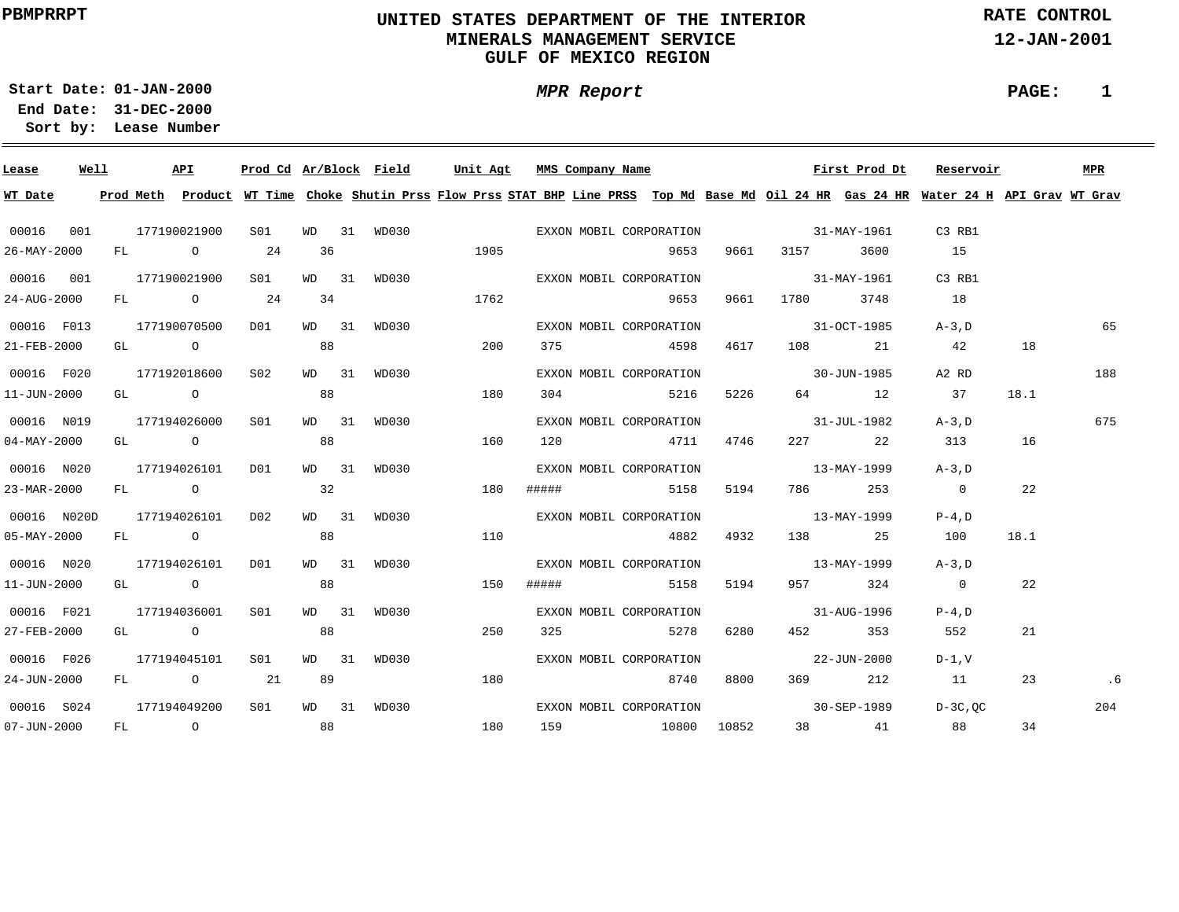# **UNITED STATES DEPARTMENT OF THE INTERIOR MINERALS MANAGEMENT SERVICEGULF OF MEXICO REGION**

**MPR Report**

**RATE CONTROL**

**12-JAN-2001**

**PAGE: 1**

**01-JAN-2000Start Date:31-DEC-2000 End Date:** 

| Lease             | Well |  | API          |                                                         |       | Prod Cd Ar/Block Field |             | Unit Agt MMS Company Name                                                                                                               |                         |      |                                                                                                                                                                                                                                 | First Prod Dt     | Reservoir      |      | <b>MPR</b> |
|-------------------|------|--|--------------|---------------------------------------------------------|-------|------------------------|-------------|-----------------------------------------------------------------------------------------------------------------------------------------|-------------------------|------|---------------------------------------------------------------------------------------------------------------------------------------------------------------------------------------------------------------------------------|-------------------|----------------|------|------------|
| WT Date           |      |  |              |                                                         |       |                        |             | Prod Meth Product WT Time Choke Shutin Prss Flow Prss STAT BHP Line PRSS Top Md Base Md Oil 24 HR Gas 24 HR Water 24 H API Grav WT Grav |                         |      |                                                                                                                                                                                                                                 |                   |                |      |            |
| 00016 001         |      |  | 177190021900 | S01                                                     |       |                        | WD 31 WD030 | EXXON MOBIL CORPORATION                                                                                                                 |                         |      | $31 - \text{MAX} - 1961$                                                                                                                                                                                                        |                   | C3 RB1         |      |            |
| 26-MAY-2000       |      |  | FL 0 24      |                                                         | 36    |                        | 1905        |                                                                                                                                         | 9653                    |      | 9661 3157 3600                                                                                                                                                                                                                  |                   | 15             |      |            |
| 00016 001         |      |  | 177190021900 | S01                                                     |       | WD 31 WD030            |             |                                                                                                                                         | EXXON MOBIL CORPORATION |      |                                                                                                                                                                                                                                 | $31 - MAX - 1961$ | C3 RB1         |      |            |
| 24-AUG-2000       |      |  | FL 0 24      |                                                         | 34    |                        | 1762        |                                                                                                                                         | 9653                    | 9661 | 1780 - 1780 - 1790 - 1790 - 1790 - 1790 - 1791 - 1791 - 1792 - 1792 - 1792 - 1793 - 1794 - 1795 - 1796 - 1797 - 1797 - 1797 - 1797 - 1797 - 1797 - 1797 - 1797 - 1797 - 1797 - 1797 - 1797 - 1797 - 1797 - 1797 - 1797 - 1797 - | 3748              | 18             |      |            |
| 00016 F013        |      |  | 177190070500 | D01                                                     |       | WD 31 WD030            |             |                                                                                                                                         | EXXON MOBIL CORPORATION |      | $31-0CT-1985$                                                                                                                                                                                                                   |                   | $A-3$ . D      |      | 65         |
| 21-FEB-2000       |      |  |              | GL $\qquad \qquad \mathsf{O} \qquad \qquad \mathsf{88}$ |       |                        | 200         |                                                                                                                                         | 375 4598                | 4617 |                                                                                                                                                                                                                                 | 108 21            | 42             | 18   |            |
| 00016 F020        |      |  | 177192018600 | S02                                                     |       | WD 31 WD030            |             |                                                                                                                                         | EXXON MOBIL CORPORATION |      | $30 - JUN - 1985$                                                                                                                                                                                                               |                   | A2 RD          |      | 188        |
| 11-JUN-2000       |      |  | GL O         |                                                         | 88    |                        | 180         | 304                                                                                                                                     | 5216                    | 5226 |                                                                                                                                                                                                                                 | 64 12             | 37             | 18.1 |            |
| 00016 N019        |      |  | 177194026000 | S01 <b>S</b>                                            |       | WD 31 WD030            |             |                                                                                                                                         | EXXON MOBIL CORPORATION |      | $31 - JUL - 1982$                                                                                                                                                                                                               |                   | $A-3$ . D      |      | 675        |
| 04-MAY-2000       |      |  | GL O         |                                                         | 88    |                        | 160         |                                                                                                                                         | 120 4711                | 4746 |                                                                                                                                                                                                                                 | 227 22            | 313            | 16   |            |
| 00016 N020        |      |  | 177194026101 | D01                                                     |       | WD 31 WD030            |             |                                                                                                                                         | EXXON MOBIL CORPORATION |      | $13 - \text{MAX} - 1999$                                                                                                                                                                                                        |                   | $A-3$ , D      |      |            |
| 23-MAR-2000       |      |  | FL O         |                                                         | 32    |                        | 180         | ##### 5158                                                                                                                              |                         |      | 5194 786 253                                                                                                                                                                                                                    |                   | $\overline{0}$ | 22   |            |
| 00016 N020D       |      |  | 177194026101 | D02                                                     | WD 31 | WD030                  |             |                                                                                                                                         | EXXON MOBIL CORPORATION |      | $13 - \text{MAX} - 1999$                                                                                                                                                                                                        |                   | $P-4$ , D      |      |            |
| $05 - MAX - 2000$ |      |  | FL O         |                                                         | 88    |                        | 110         |                                                                                                                                         | 4882                    |      | 4932 138 25                                                                                                                                                                                                                     |                   | 100            | 18.1 |            |
| 00016 N020        |      |  | 177194026101 | DO1                                                     |       | WD 31 WD030            |             |                                                                                                                                         | EXXON MOBIL CORPORATION |      | $13 - \text{MAX} - 1999$                                                                                                                                                                                                        |                   | $A-3$ . D      |      |            |
| $11 - JUN - 2000$ |      |  | GL O         |                                                         | 88    |                        | 150         | #####                                                                                                                                   | 5158                    | 5194 |                                                                                                                                                                                                                                 | 957 324           | $\overline{0}$ | 22   |            |
| 00016 F021        |      |  | 177194036001 | SO1                                                     |       | WD 31 WD030            |             |                                                                                                                                         | EXXON MOBIL CORPORATION |      | $31 - \text{AUG} - 1996$                                                                                                                                                                                                        |                   | $P-4$ , D      |      |            |
| 27-FEB-2000       |      |  | GL O         |                                                         | 88    |                        | 250         |                                                                                                                                         | 325 5278                | 6280 |                                                                                                                                                                                                                                 | 452 353           | 552            | 21   |            |
| 00016 F026        |      |  | 177194045101 | S01                                                     |       | WD 31 WD030            |             |                                                                                                                                         | EXXON MOBIL CORPORATION |      | $22 - JUN - 2000$                                                                                                                                                                                                               |                   | $D-1. V$       |      |            |
| 24-JUN-2000       |      |  | FL 0 21      |                                                         | 89    |                        | 180         |                                                                                                                                         | 8740                    | 8800 |                                                                                                                                                                                                                                 | 369 212           | 11             | 23   | .6         |
| 00016 S024        |      |  | 177194049200 | S01                                                     |       | WD 31 WD030            |             |                                                                                                                                         | EXXON MOBIL CORPORATION |      | $30 - SEP - 1989$                                                                                                                                                                                                               |                   | D-3C, OC       |      | 204        |
| $07 - JUN - 2000$ |      |  |              | FL 0 88                                                 |       |                        | 180         |                                                                                                                                         | 159 10800 10852         |      |                                                                                                                                                                                                                                 | 38 41             | 88             | 34   |            |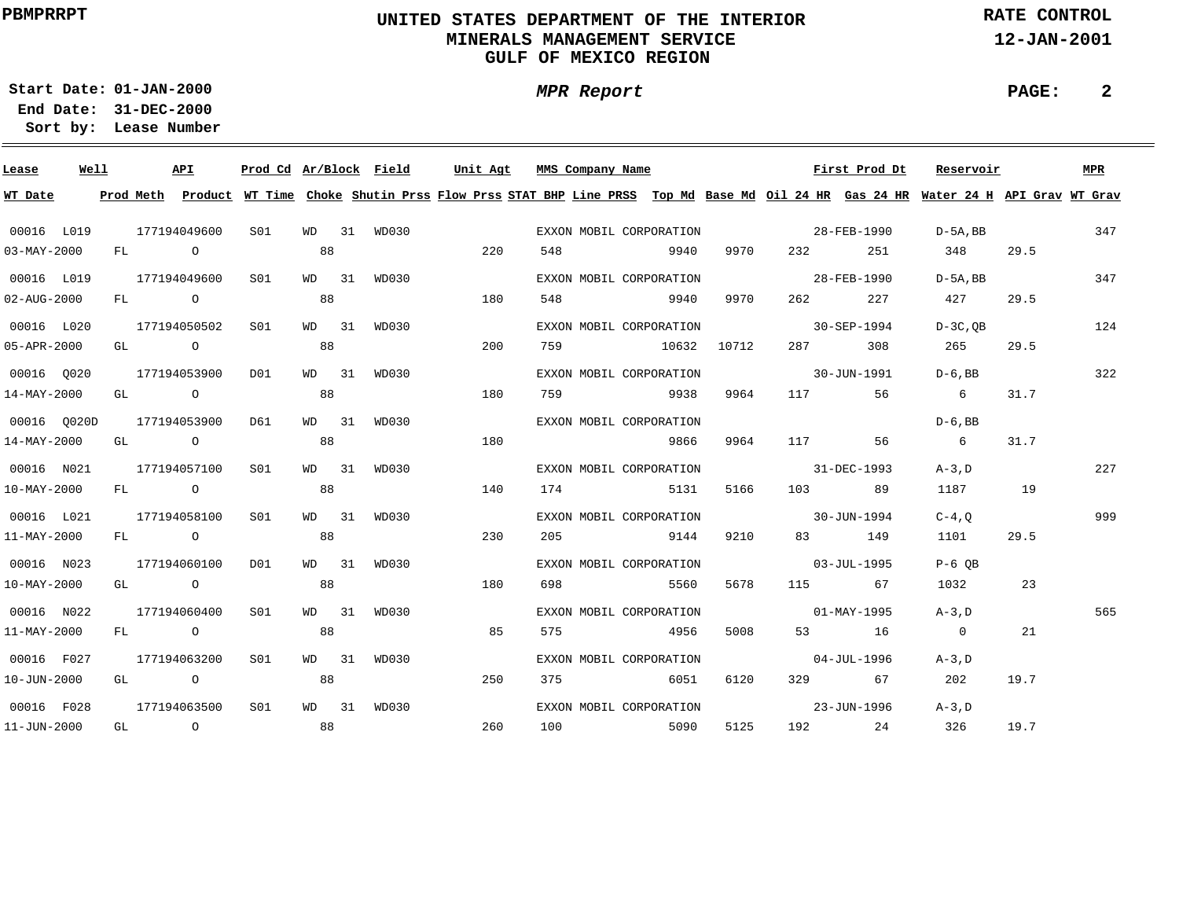# **UNITED STATES DEPARTMENT OF THE INTERIOR MINERALS MANAGEMENT SERVICEGULF OF MEXICO REGION**

**MPR Report**

**RATE CONTROL**

**12-JAN-2001**

**PAGE: 2**

**01-JAN-2000Start Date:31-DEC-2000 End Date:** 

| Lease                    | Well |  | API                                                                                                                                                                                                                                         |                 |       | Prod Cd Ar/Block Field | Unit Agt | MMS Company Name        |             |      |                                                                                                                | First Prod Dt | Reservoir                                                                                                                               |      | MPR |
|--------------------------|------|--|---------------------------------------------------------------------------------------------------------------------------------------------------------------------------------------------------------------------------------------------|-----------------|-------|------------------------|----------|-------------------------|-------------|------|----------------------------------------------------------------------------------------------------------------|---------------|-----------------------------------------------------------------------------------------------------------------------------------------|------|-----|
| WT Date                  |      |  |                                                                                                                                                                                                                                             |                 |       |                        |          |                         |             |      |                                                                                                                |               | Prod Meth Product WT Time Choke Shutin Prss Flow Prss STAT BHP Line PRSS Top Md Base Md Oil 24 HR Gas 24 HR Water 24 H API Grav WT Grav |      |     |
| 00016 L019               |      |  | 177194049600                                                                                                                                                                                                                                | S01 <b>S</b>    |       | WD 31 WD030            |          | EXXON MOBIL CORPORATION |             |      | 28-FEB-1990                                                                                                    |               | $D-5A$ , BB 347                                                                                                                         |      |     |
| $03 - MAX - 2000$        |      |  | FL O                                                                                                                                                                                                                                        |                 | 88    |                        | 220      | 548                     | <u>9940</u> | 9970 | 232                                                                                                            | 251           | 348                                                                                                                                     | 29.5 |     |
| 00016 L019               |      |  | 177194049600                                                                                                                                                                                                                                | S01             |       | WD 31 WD030            |          | EXXON MOBIL CORPORATION |             |      | 28-FEB-1990                                                                                                    |               | $D-5A$ , BB                                                                                                                             |      | 347 |
| $02 - AUG - 2000$        |      |  | FL O                                                                                                                                                                                                                                        |                 | 88    |                        | 180      | 548 9940                |             | 9970 | 262 20                                                                                                         | 227           | 427                                                                                                                                     | 29.5 |     |
| 00016 L020               |      |  | 177194050502                                                                                                                                                                                                                                | S01             |       | WD 31 WD030            |          | EXXON MOBIL CORPORATION |             |      | $30 - SEP - 1994$                                                                                              |               | $D-3C$ .OB                                                                                                                              |      | 124 |
| 05-APR-2000              |      |  | GL O                                                                                                                                                                                                                                        |                 | 88    |                        | 200      | 759 10632 10712         |             |      | 287 — 287 — 287 — 287 — 287 — 287 — 287 — 287 — 287 — 287 — 287 — 288 — 288 — 288 — 288 — 288 — 288 — 288 — 28 | 308           | 265                                                                                                                                     | 29.5 |     |
| 00016 0020               |      |  | 177194053900                                                                                                                                                                                                                                | DO1             |       | WD 31 WD030            |          | EXXON MOBIL CORPORATION |             |      | 30-JUN-1991                                                                                                    |               | $D-6$ , BB                                                                                                                              |      | 322 |
| 14-MAY-2000              |      |  | GL O                                                                                                                                                                                                                                        |                 | 88    |                        | 180      | 759 9938                |             | 9964 |                                                                                                                | 117 56        | $6\overline{6}$                                                                                                                         | 31.7 |     |
| 00016 0020D              |      |  | 177194053900                                                                                                                                                                                                                                | D61             |       | WD 31 WD030            |          | EXXON MOBIL CORPORATION |             |      |                                                                                                                |               | $D-6$ , BB                                                                                                                              |      |     |
| 14-MAY-2000              |      |  | GL O                                                                                                                                                                                                                                        |                 | 88    |                        | 180      |                         | 9866        | 9964 |                                                                                                                | 117 56        | $6\overline{6}$                                                                                                                         | 31.7 |     |
| 00016 N021               |      |  | 177194057100                                                                                                                                                                                                                                | SO1             | WD 31 | WD030                  |          | EXXON MOBIL CORPORATION |             |      | $31 - DEC - 1993$                                                                                              |               | $A-3$ . D                                                                                                                               |      | 227 |
| $10 - \text{MAX} - 2000$ |      |  | FL O                                                                                                                                                                                                                                        |                 | 88    |                        | 140      | 174 5131                |             | 5166 |                                                                                                                | 103 89        | 1187 19                                                                                                                                 |      |     |
| 00016 L021               |      |  | 177194058100                                                                                                                                                                                                                                | S01             | WD 31 | WD030                  |          | EXXON MOBIL CORPORATION |             |      | $30 - JUN - 1994$                                                                                              |               | $C-4$ , O                                                                                                                               |      | 999 |
| 11-MAY-2000              |      |  | FL O                                                                                                                                                                                                                                        |                 | 88    |                        | 230      | 205 9144                |             | 9210 |                                                                                                                | 83 149        | 1101                                                                                                                                    | 29.5 |     |
| 00016 N023               |      |  | 177194060100                                                                                                                                                                                                                                | D01             |       | WD 31 WD030            |          | EXXON MOBIL CORPORATION |             |      | $03 - JUL - 1995$                                                                                              |               | $P-6$ OB                                                                                                                                |      |     |
| $10 - \text{MAX} - 2000$ |      |  | GL O                                                                                                                                                                                                                                        |                 | 88    |                        | 180      | 698                     | 5560        | 5678 |                                                                                                                | 115 67        | 1032                                                                                                                                    | 23   |     |
| 00016 N022               |      |  | 177194060400                                                                                                                                                                                                                                | S01             |       | WD 31 WD030            |          | EXXON MOBIL CORPORATION |             |      | $01 - \text{MAX} - 1995$                                                                                       |               | $A-3$ , $D$                                                                                                                             |      | 565 |
| $11 - \text{MAX} - 2000$ |      |  | FL O                                                                                                                                                                                                                                        |                 | 88    |                        | 85       | 575                     | 4956        | 5008 |                                                                                                                | 53 16         | $\overline{0}$                                                                                                                          | 21   |     |
| 00016 F027               |      |  | 177194063200                                                                                                                                                                                                                                | SO1             |       | WD 31 WD030            |          | EXXON MOBIL CORPORATION |             |      |                                                                                                                | 04-JUL-1996   | $A-3$ , $D$                                                                                                                             |      |     |
| $10 - JUN - 2000$        |      |  | GL O                                                                                                                                                                                                                                        |                 | 88    |                        | 250      | 375                     | 6051        | 6120 |                                                                                                                | 329 67        | 202                                                                                                                                     | 19.7 |     |
| 00016 F028               |      |  | 177194063500                                                                                                                                                                                                                                | S <sub>01</sub> |       | WD 31 WD030            |          | EXXON MOBIL CORPORATION |             |      | $23 - JUN - 1996$                                                                                              |               | $A-3$ , D                                                                                                                               |      |     |
| $11 - JUN - 2000$        |      |  | GL $\qquad \qquad \begin{matrix} 0 & 0 & 0 \\ 0 & 0 & 0 \\ 0 & 0 & 0 \\ 0 & 0 & 0 \\ 0 & 0 & 0 \\ 0 & 0 & 0 \\ 0 & 0 & 0 \\ 0 & 0 & 0 \\ 0 & 0 & 0 \\ 0 & 0 & 0 \\ 0 & 0 & 0 \\ 0 & 0 & 0 \\ 0 & 0 & 0 & 0 \\ 0 & 0 & 0 & 0 \\ 0 & 0 & 0 &$ |                 |       |                        | 260      | 100 5090                |             | 5125 |                                                                                                                | 192 24        | 326                                                                                                                                     | 19.7 |     |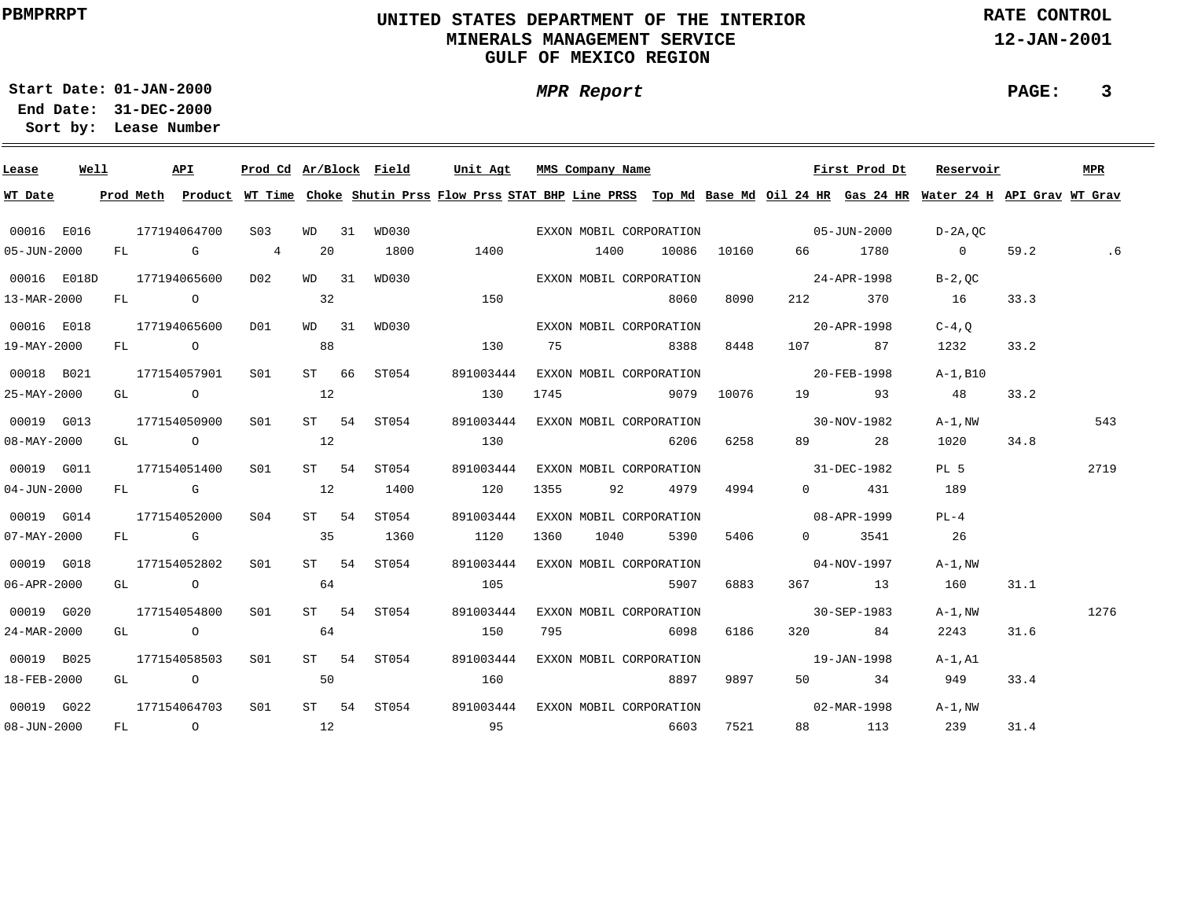# **UNITED STATES DEPARTMENT OF THE INTERIOR MINERALS MANAGEMENT SERVICEGULF OF MEXICO REGION**

**MPR Report**

**RATE CONTROL**

**12-JAN-2001**

**PAGE: 3**

**01-JAN-2000Start Date:31-DEC-2000 End Date:** 

| Lease             | Well |  | API                                                                    | Prod Cd Ar/Block Field |       |                                                                                                                                                                                                                                                                                | Unit Agt  |      | MMS Company Name |                                               |          |                          | First Prod Dt | Reservoir                                                                                                                               |      | MPR  |
|-------------------|------|--|------------------------------------------------------------------------|------------------------|-------|--------------------------------------------------------------------------------------------------------------------------------------------------------------------------------------------------------------------------------------------------------------------------------|-----------|------|------------------|-----------------------------------------------|----------|--------------------------|---------------|-----------------------------------------------------------------------------------------------------------------------------------------|------|------|
| WT Date           |      |  |                                                                        |                        |       |                                                                                                                                                                                                                                                                                |           |      |                  |                                               |          |                          |               | Prod Meth Product WT Time Choke Shutin Prss Flow Prss STAT BHP Line PRSS Top Md Base Md Oil 24 HR Gas 24 HR Water 24 H API Grav WT Grav |      |      |
| 00016 E016        |      |  | 177194064700                                                           | S03                    | WD 31 |                                                                                                                                                                                                                                                                                |           |      |                  |                                               |          |                          |               | D-2A,0C                                                                                                                                 |      |      |
| 05-JUN-2000       |      |  | FL G 4                                                                 |                        | 20    | 1800                                                                                                                                                                                                                                                                           | 1400      |      | 1400             |                                               |          | 10086 10160 66 1780      |               | $\overline{0}$                                                                                                                          | 59.2 | .6   |
| 00016 E018D       |      |  | 177194065600                                                           | D02                    | WD 31 | WD030                                                                                                                                                                                                                                                                          |           |      |                  | EXXON MOBIL CORPORATION                       |          | $24 - APR - 1998$        |               | $B-2$ , OC                                                                                                                              |      |      |
| 13-MAR-2000       |      |  | FL O                                                                   |                        | 32    |                                                                                                                                                                                                                                                                                | 150       |      |                  | 8060                                          | 8090     |                          | 212 370       | 16                                                                                                                                      | 33.3 |      |
| 00016 E018        |      |  | 177194065600                                                           | D01                    |       | WD 31 WD030                                                                                                                                                                                                                                                                    |           |      |                  | EXXON MOBIL CORPORATION                       |          | $20 - APR - 1998$        |               | $C-4$ , $O$                                                                                                                             |      |      |
| 19-MAY-2000       |      |  | $FL$ 0                                                                 |                        | 88    |                                                                                                                                                                                                                                                                                | 130       |      |                  | 75 8388                                       | 8448     |                          | 107 87        | 1232                                                                                                                                    | 33.2 |      |
| 00018 B021        |      |  | 177154057901                                                           | S01 <b>S</b>           |       | ST 66 ST054                                                                                                                                                                                                                                                                    | 891003444 |      |                  | EXXON MOBIL CORPORATION                       |          | 20-FEB-1998              |               | A-1,B10                                                                                                                                 |      |      |
| 25-MAY-2000       |      |  | GL $\qquad \qquad 0 \qquad \qquad 12$                                  |                        |       |                                                                                                                                                                                                                                                                                | 130       |      |                  | 1745 9079 10076                               |          |                          | 19 93         | 48                                                                                                                                      | 33.2 |      |
| 00019 G013        |      |  | 177154050900                                                           | S01 <b>S</b>           |       | ST 54 ST054                                                                                                                                                                                                                                                                    | 891003444 |      |                  | EXXON MOBIL CORPORATION 30-NOV-1982           |          |                          |               | $A-1$ , $NW$                                                                                                                            |      | 543  |
| $08 - MAX - 2000$ |      |  | GT O                                                                   |                        | 12    |                                                                                                                                                                                                                                                                                | 130       |      |                  | 6206                                          | 6258     |                          | 89 28         | 1020                                                                                                                                    | 34.8 |      |
| 00019 G011        |      |  | 177154051400                                                           | S01                    | ST 54 | ST054                                                                                                                                                                                                                                                                          | 891003444 |      |                  | EXXON MOBIL CORPORATION                       |          | $31 - DEC - 1982$        |               | PL <sub>5</sub>                                                                                                                         |      | 2719 |
| $04 - JUN - 2000$ |      |  | FL G                                                                   |                        | 12    | 1400                                                                                                                                                                                                                                                                           | 120       | 1355 |                  | 92 4979                                       | 4994     |                          | $0$ 431       | 189                                                                                                                                     |      |      |
| 00019 G014        |      |  | 177154052000                                                           | S04                    | ST 54 | ST054                                                                                                                                                                                                                                                                          | 891003444 |      |                  | EXXON MOBIL CORPORATION                       |          | $08 - APR - 1999$        |               | $PL-4$                                                                                                                                  |      |      |
| $07 - MAX - 2000$ |      |  | FL G                                                                   |                        | 35    | 1360                                                                                                                                                                                                                                                                           | 1120      | 1360 |                  | 5390<br>1040                                  | 5406 540 |                          | 0 3541        | 26                                                                                                                                      |      |      |
| 00019 G018        |      |  | 177154052802                                                           | SO1                    | ST 54 | ST054                                                                                                                                                                                                                                                                          | 891003444 |      |                  | EXXON MOBIL CORPORATION                       |          | $04 - NOV - 1997$        |               | $A-1$ , $NW$                                                                                                                            |      |      |
| 06-APR-2000       |      |  | GL O                                                                   |                        | 64    |                                                                                                                                                                                                                                                                                | 105       |      |                  | 5907                                          | 6883     |                          | 367 13        | 160                                                                                                                                     | 31.1 |      |
| 00019 G020        |      |  | 177154054800                                                           | S01                    |       | ST 54 ST054                                                                                                                                                                                                                                                                    | 891003444 |      |                  | EXXON MOBIL CORPORATION                       |          | $30 - SEP - 1983$        |               | $A-1$ , $NW$                                                                                                                            |      | 1276 |
| 24-MAR-2000       |      |  | GL O                                                                   |                        | 64    |                                                                                                                                                                                                                                                                                | 150       | 795  |                  | 6098                                          | 6186     |                          | 320 84        | 2243                                                                                                                                    | 31.6 |      |
| 00019 B025        |      |  | 177154058503                                                           | S01                    |       | ST 54 ST054                                                                                                                                                                                                                                                                    |           |      |                  | 891003444 EXXON MOBIL CORPORATION             |          | $19 - JAN - 1998$        |               | A-1,A1                                                                                                                                  |      |      |
| 18-FEB-2000       |      |  | GL $\qquad \qquad \begin{matrix} 0 & 0 \\ 0 & 0 \\ 0 & 0 \end{matrix}$ |                        |       |                                                                                                                                                                                                                                                                                | 160       |      |                  | 8897                                          | 9897     |                          | 50 34         | 949                                                                                                                                     | 33.4 |      |
| 00019 G022        |      |  | 177154064703                                                           | S01                    |       |                                                                                                                                                                                                                                                                                |           |      |                  | ST 54 ST054 891003444 EXXON MOBIL CORPORATION |          | $02 - \text{MAR} - 1998$ |               | $A-1$ , $NW$                                                                                                                            |      |      |
| $08 - JUN - 2000$ |      |  | FL 0 12                                                                |                        |       | $\sim$ 0.5 $\sim$ 0.5 $\sim$ 0.5 $\sim$ 0.5 $\sim$ 0.5 $\sim$ 0.5 $\sim$ 0.5 $\sim$ 0.5 $\sim$ 0.5 $\sim$ 0.5 $\sim$ 0.5 $\sim$ 0.5 $\sim$ 0.5 $\sim$ 0.5 $\sim$ 0.5 $\sim$ 0.5 $\sim$ 0.5 $\sim$ 0.5 $\sim$ 0.5 $\sim$ 0.5 $\sim$ 0.5 $\sim$ 0.5 $\sim$ 0.5 $\sim$ 0.5 $\sim$ |           |      |                  | 6603                                          | 7521     |                          | 88 113        | 239                                                                                                                                     | 31.4 |      |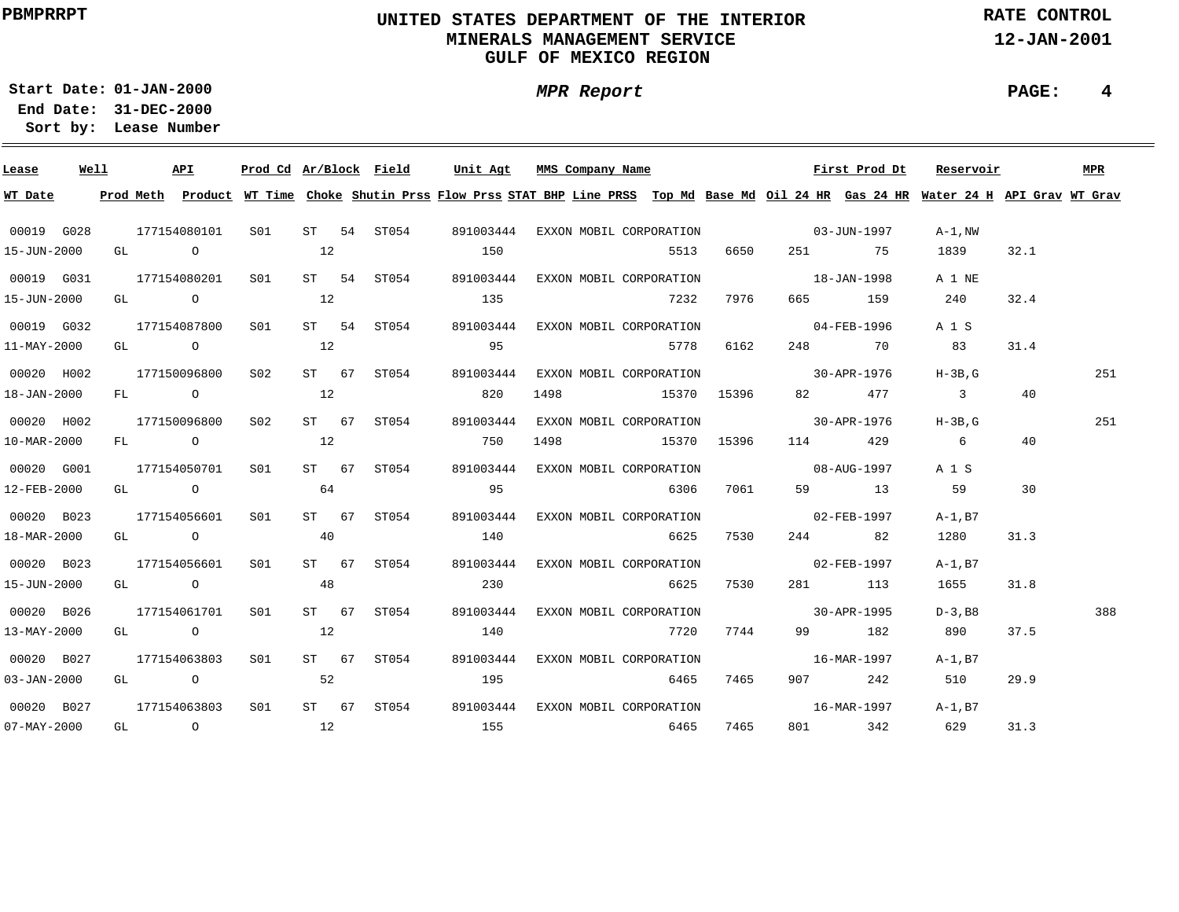# **UNITED STATES DEPARTMENT OF THE INTERIOR MINERALS MANAGEMENT SERVICEGULF OF MEXICO REGION**

**MPR Report**

**RATE CONTROL**

**12-JAN-2001**

**01-JAN-2000Start Date:**

**31-DEC-2000 End Date: Lease Number Sort by:**

| Lease             | Well |  | <b>API</b>                                            |                 |    | Prod Cd Ar/Block Field | Unit Agt                                                                                                                                | MMS Company Name |                                               |      |                          | First Prod Dt | Reservoir               |      | MPR |
|-------------------|------|--|-------------------------------------------------------|-----------------|----|------------------------|-----------------------------------------------------------------------------------------------------------------------------------------|------------------|-----------------------------------------------|------|--------------------------|---------------|-------------------------|------|-----|
| WT Date           |      |  |                                                       |                 |    |                        | Prod Meth Product WT Time Choke Shutin Prss Flow Prss STAT BHP Line PRSS Top Md Base Md Oil 24 HR Gas 24 HR Water 24 H API Grav WT Grav |                  |                                               |      |                          |               |                         |      |     |
| 00019 G028        |      |  |                                                       |                 |    |                        | 177154080101  S01  ST  54  ST054   891003444  EXXON MOBIL CORPORATION         03-JUN-1997                                               |                  |                                               |      |                          |               | A-1.NW                  |      |     |
| 15-JUN-2000       |      |  | GL O                                                  |                 | 12 |                        | 150                                                                                                                                     |                  | 5513                                          | 6650 |                          | 251 75        | 1839                    | 32.1 |     |
| 00019 G031        |      |  | 177154080201 S01                                      |                 |    | ST 54 ST054            |                                                                                                                                         |                  | 891003444 EXXON MOBIL CORPORATION 18-JAN-1998 |      |                          |               | A 1 NE                  |      |     |
| 15-JUN-2000       |      |  | GL $\qquad \qquad 0 \qquad \qquad 12$                 |                 |    |                        | 135                                                                                                                                     |                  | 7232                                          | 7976 |                          | 665 159       | 240                     | 32.4 |     |
| 00019 G032        |      |  | 177154087800 S01                                      |                 |    | ST 54 ST054            |                                                                                                                                         |                  | 891003444 EXXON MOBIL CORPORATION 04-FEB-1996 |      |                          |               | A 1 S                   |      |     |
| 11-MAY-2000       |      |  | $GL \qquad \qquad \begin{matrix} 0 & 12 \end{matrix}$ |                 |    |                        | 95                                                                                                                                      |                  | 5778 6162                                     |      |                          | 248 70        | 83                      | 31.4 |     |
| 00020 H002        |      |  | 177150096800 S02                                      |                 |    | ST 67 ST054            | 891003444                                                                                                                               |                  | EXXON MOBIL CORPORATION 30-APR-1976 H-3B, G   |      |                          |               |                         |      | 251 |
| 18-JAN-2000       |      |  | FL 0 12                                               |                 |    |                        | 820                                                                                                                                     |                  | 1498 15370 15396                              |      |                          | 82 477        | $\overline{\mathbf{3}}$ | 40   |     |
| 00020 H002        |      |  | 177150096800                                          | S02             |    | ST 67 ST054            | 891003444                                                                                                                               |                  | EXXON MOBIL CORPORATION 30-APR-1976           |      |                          |               | H-3B.G                  |      | 251 |
| 10-MAR-2000       |      |  | FL 0 12                                               |                 |    |                        | 750                                                                                                                                     |                  | 1498 15370 15396                              |      |                          | 114 429       | $6\overline{6}$         | 40   |     |
| 00020 G001        |      |  | 177154050701                                          | S01 <b>S</b>    |    | ST 67 ST054            | 891003444                                                                                                                               |                  | EXXON MOBIL CORPORATION 08-AUG-1997           |      |                          |               | A 1 S                   |      |     |
| 12-FEB-2000       |      |  | GL $\qquad \qquad \begin{matrix} 0 & 64 \end{matrix}$ |                 |    |                        | 95                                                                                                                                      |                  | 6306 7061                                     |      |                          | 59 13         | 59                      | 30   |     |
| 00020 B023        |      |  | 177154056601                                          | S <sub>01</sub> |    | ST 67 ST054            | 891003444                                                                                                                               |                  | EXXON MOBIL CORPORATION                       |      | $02 - FEB - 1997$        |               | A-1,B7                  |      |     |
| 18-MAR-2000       |      |  | GL $\qquad \qquad \begin{matrix} 0 & 40 \end{matrix}$ |                 |    |                        | 140                                                                                                                                     |                  | 6625                                          | 7530 |                          | 244 82        | 1280                    | 31.3 |     |
| 00020 B023        |      |  | 177154056601 S01                                      |                 |    | ST 67 ST054            |                                                                                                                                         |                  | 891003444 EXXON MOBIL CORPORATION             |      | $02 - FEB - 1997$        |               | A-1,B7                  |      |     |
| 15-JUN-2000       |      |  | GL $\qquad \qquad \begin{matrix} 0 & 48 \end{matrix}$ |                 |    |                        | 230                                                                                                                                     |                  | 6625                                          | 7530 |                          | 281 113       | 1655                    | 31.8 |     |
| 00020 B026        |      |  | 177154061701 S01                                      |                 |    | ST 67 ST054            |                                                                                                                                         |                  | 891003444 EXXON MOBIL CORPORATION             |      | $30 - APR - 1995$        |               | $D-3$ , B8              |      | 388 |
| 13-MAY-2000       |      |  | GL $\qquad \qquad 0$ 12                               |                 |    |                        | 140                                                                                                                                     |                  | <u>2720</u>                                   | 7744 |                          | 99 182        | 890                     | 37.5 |     |
| 00020 B027        |      |  | 177154063803 S01                                      |                 |    | ST 67 ST054            | 891003444                                                                                                                               |                  | EXXON MOBIL CORPORATION                       |      | $16 - \text{MAR} - 1997$ |               | $A-1,B7$                |      |     |
| $03 - JAN - 2000$ |      |  | GL 0 52                                               |                 |    |                        | 195                                                                                                                                     |                  | 6465                                          | 7465 |                          |               | 907 242 510             | 29.9 |     |
| 00020 B027        |      |  | 177154063803 S01                                      |                 |    |                        | ST 67 ST054 891003444                                                                                                                   |                  | EXXON MOBIL CORPORATION 16-MAR-1997 A-1, B7   |      |                          |               |                         |      |     |
| $07 - MAX - 2000$ |      |  |                                                       |                 |    |                        | GL 0 12 155 6465                                                                                                                        |                  |                                               | 7465 |                          | 801 342 629   |                         | 31.3 |     |

**PAGE: 4**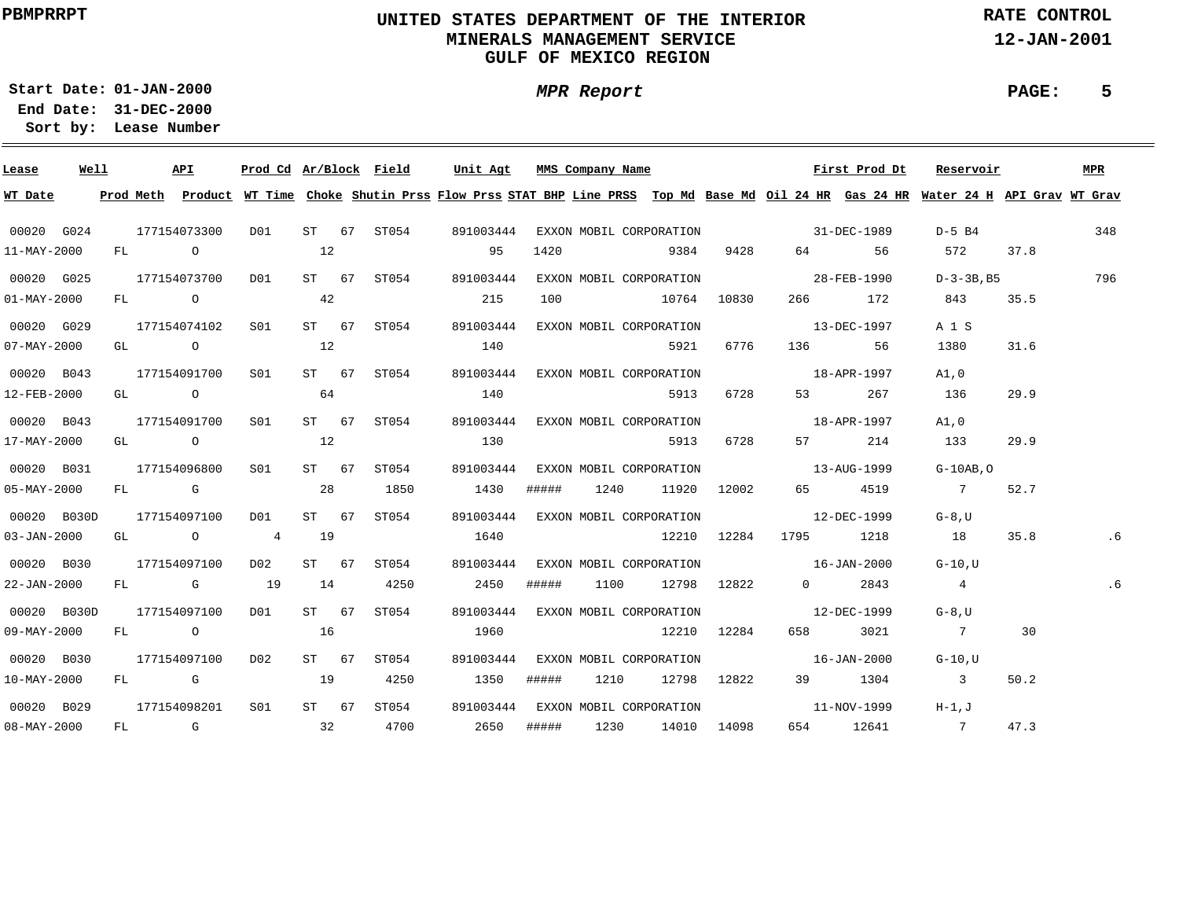# **UNITED STATES DEPARTMENT OF THE INTERIOR MINERALS MANAGEMENT SERVICEGULF OF MEXICO REGION**

**MPR Report**

**RATE CONTROL**

**12-JAN-2001**

**PAGE: 5**

**01-JAN-2000Start Date:31-DEC-2000 End Date:** 

| Lease                    | Well |      | API          | Prod Cd Ar/Block Field                |    |                              | Unit Agt                                                                                                                                |       | MMS Company Name |                                               |      |                   | First Prod Dt          | Reservoir                                               |                   | MPR |
|--------------------------|------|------|--------------|---------------------------------------|----|------------------------------|-----------------------------------------------------------------------------------------------------------------------------------------|-------|------------------|-----------------------------------------------|------|-------------------|------------------------|---------------------------------------------------------|-------------------|-----|
| WT Date                  |      |      |              |                                       |    |                              | Prod Meth Product WT Time Choke Shutin Prss Flow Prss STAT BHP Line PRSS Top Md Base Md Oil 24 HR Gas 24 HR Water 24 H API Grav WT Grav |       |                  |                                               |      |                   |                        |                                                         |                   |     |
| 00020 G024               |      |      |              |                                       |    |                              | 177154073300 D01 ST 67 ST054 891003444                                                                                                  |       |                  | EXXON MOBIL CORPORATION 31-DEC-1989           |      |                   |                        | D-5 B4 348                                              |                   |     |
| 11-MAY-2000              |      | FL O |              |                                       | 12 |                              | 95                                                                                                                                      | 1420  |                  | 9384                                          |      | 9428 64 56        |                        | 572 37.8                                                |                   |     |
| 00020 G025               |      |      |              | 177154073700 D01                      |    |                              | ST 67 ST054 891003444                                                                                                                   |       |                  | EXXON MOBIL CORPORATION 28-FEB-1990           |      |                   |                        |                                                         | $D-3-3B$ , B5 796 |     |
| $01 - MAX - 2000$        |      |      | FL O         |                                       | 42 |                              | 215                                                                                                                                     |       |                  | 100 10764 10830                               |      |                   | 266 172                | 843 35.5                                                |                   |     |
| 00020 G029               |      |      |              | 177154074102 S01                      |    | ST 67 ST054                  | 891003444                                                                                                                               |       |                  | EXXON MOBIL CORPORATION                       |      | $13 - DEC - 1997$ |                        | A 1 S                                                   |                   |     |
| $07 - MAX - 2000$        |      |      |              | GL $\qquad \qquad 0 \qquad \qquad 12$ |    |                              | 140                                                                                                                                     |       |                  | 5921                                          | 6776 |                   | 136 56                 | 1380                                                    | 31.6              |     |
| 00020 B043               |      |      |              |                                       |    | 177154091700 S01 ST 67 ST054 |                                                                                                                                         |       |                  | 891003444 EXXON MOBIL CORPORATION 18-APR-1997 |      |                   |                        | A1,0                                                    |                   |     |
| 12-FEB-2000              |      |      |              | $GL$ 0 64                             |    |                              | 140                                                                                                                                     |       |                  | 5913                                          | 6728 |                   | 53 267                 | 136                                                     | 29.9              |     |
| 00020 B043               |      |      |              |                                       |    | 177154091700 S01 ST 67 ST054 |                                                                                                                                         |       |                  | 891003444 EXXON MOBIL CORPORATION 18-APR-1997 |      |                   |                        | A1,0                                                    |                   |     |
| 17-MAY-2000              |      |      |              | GL $\qquad \qquad 0 \qquad \qquad 12$ |    |                              | 130                                                                                                                                     |       |                  | 5913                                          | 6728 |                   | 57 214                 | 133                                                     | 29.9              |     |
| 00020 B031               |      |      | 177154096800 | S01                                   |    | ST 67 ST054                  |                                                                                                                                         |       |                  |                                               |      |                   |                        | 891003444 EXXON MOBIL CORPORATION 13-AUG-1999 G-10AB, O |                   |     |
| $05 - \text{MAX} - 2000$ |      |      |              | FL G 28 1850                          |    |                              | 1430                                                                                                                                    |       |                  | ##### 1240 11920 12002                        |      |                   | 65 4519                | 7 52.7                                                  |                   |     |
| 00020 B030D              |      |      | 177154097100 | DO1                                   |    | ST 67 ST054                  |                                                                                                                                         |       |                  | 891003444 EXXON MOBIL CORPORATION 12-DEC-1999 |      |                   |                        | G-8.U                                                   |                   |     |
| $03 - JAN - 2000$        |      |      |              | GL 0 4 19                             |    |                              | 1640                                                                                                                                    |       |                  | 12210 12284 1795 1218                         |      |                   |                        | 18                                                      | 35.8              | . 6 |
| 00020 B030               |      |      | 177154097100 |                                       |    | D02 ST 67 ST054              |                                                                                                                                         |       |                  | 891003444 EXXON MOBIL CORPORATION 16-JAN-2000 |      |                   |                        | G-10,U                                                  |                   |     |
| 22-JAN-2000              |      |      |              | FL G 19 14 4250                       |    |                              | 2450                                                                                                                                    |       |                  | ##### 1100 12798 12822                        |      |                   | $0 \t 2843$            | $4\overline{4}$                                         |                   | . 6 |
| 00020 B030D              |      |      |              |                                       |    |                              |                                                                                                                                         |       |                  | 891003444 EXXON MOBIL CORPORATION 12-DEC-1999 |      |                   |                        | $G-8$ , U                                               |                   |     |
| 09-MAY-2000              |      |      |              | FL 0 16                               |    |                              | 1960                                                                                                                                    |       |                  | $12210$ $12284$                               |      |                   | 658 3021               | 7 30                                                    |                   |     |
| 00020 B030               |      |      |              | 177154097100 D02                      |    | ST 67 ST054                  | 891003444                                                                                                                               |       |                  | EXXON MOBIL CORPORATION 16-JAN-2000           |      |                   |                        | $G-10$ , $U$                                            |                   |     |
| 10-MAY-2000              |      |      |              | FL G 19 4250                          |    |                              | 1350                                                                                                                                    | ##### |                  | 1210 12798 12822                              |      |                   | 39 1304                | $\overline{\mathbf{3}}$                                 | 50.2              |     |
| 00020 B029               |      |      |              | 177154098201 S01                      |    | ST 67 ST054                  |                                                                                                                                         |       |                  | 891003444 EXXON MOBIL CORPORATION             |      |                   | $11-NOV-1999$ $H-1, J$ |                                                         |                   |     |
| $08 - MAX - 2000$        |      |      |              | FL G 32 4700                          |    |                              | 2650 ##### 1230 14010 14098                                                                                                             |       |                  |                                               |      |                   |                        | 654 12641 7                                             | 47.3              |     |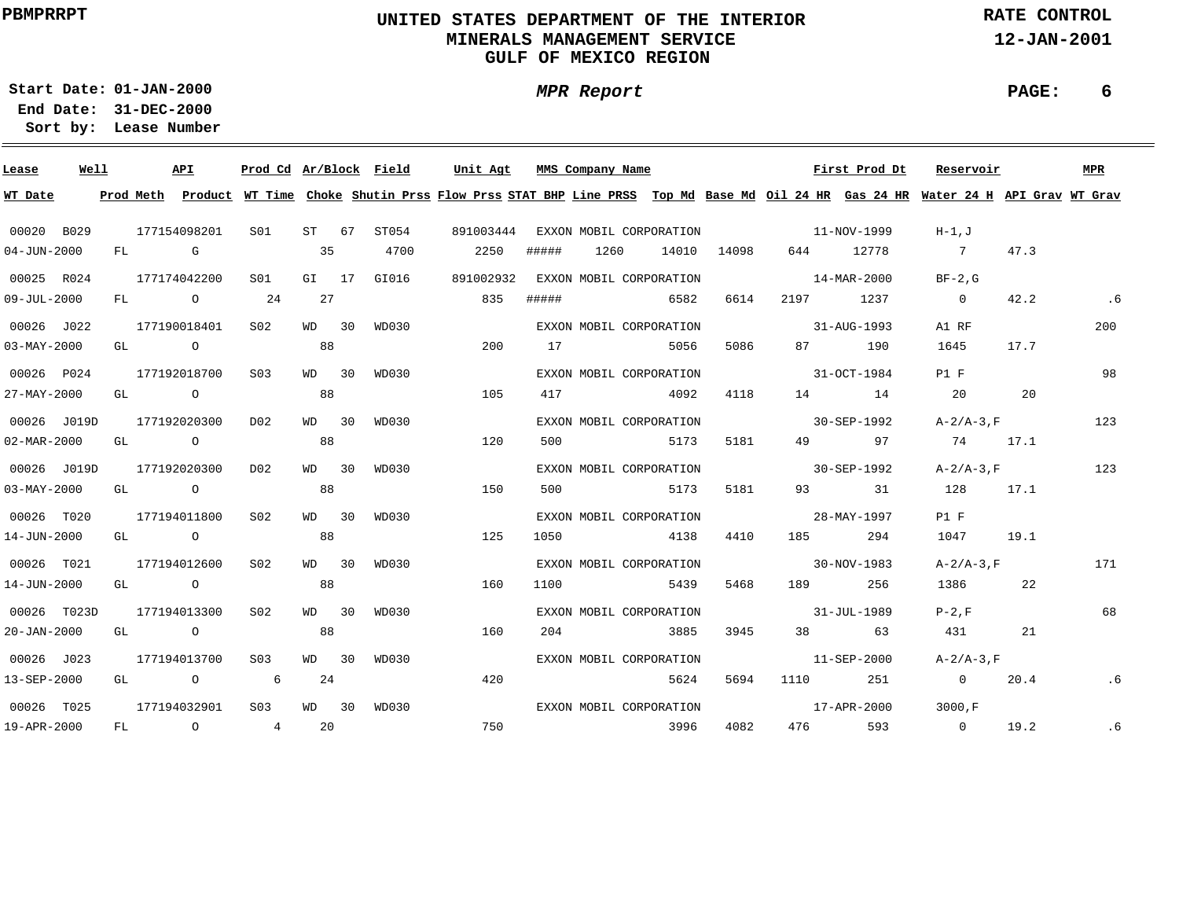# **UNITED STATES DEPARTMENT OF THE INTERIOR MINERALS MANAGEMENT SERVICEGULF OF MEXICO REGION**

**MPR Report**

**RATE CONTROL**

**12-JAN-2001**

**PAGE: 6**

**01-JAN-2000Start Date:31-DEC-2000 End Date:** 

| Lease             | Well |    |           | API            | Prod Cd Ar/Block Field |         |             | Unit Agt                                                                                                                      |       | MMS Company Name |                         |       |                          | First Prod Dt | Reservoir      |      | MPR |
|-------------------|------|----|-----------|----------------|------------------------|---------|-------------|-------------------------------------------------------------------------------------------------------------------------------|-------|------------------|-------------------------|-------|--------------------------|---------------|----------------|------|-----|
| WT Date           |      |    | Prod Meth |                |                        |         |             | Product WT Time Choke Shutin Prss Flow Prss STAT BHP Line PRSS Top Md Base Md Oil 24 HR Gas 24 HR Water 24 H API Grav WT Grav |       |                  |                         |       |                          |               |                |      |     |
| 00020 B029        |      |    |           | 177154098201   | SO1                    | ST 67   | ST054       | 891003444                                                                                                                     |       |                  | EXXON MOBIL CORPORATION |       | $11-NOV-1999$            |               | H-1.J          |      |     |
| $04 - JUN - 2000$ |      |    | FL G      |                |                        | 35      | 4700        | 2250                                                                                                                          | ##### | 1260             | 14010                   | 14098 | 644 — 100                | 12778         | 7              | 47.3 |     |
| 00025 R024        |      |    |           | 177174042200   | S <sub>01</sub>        |         | GI 17 GI016 | 891002932                                                                                                                     |       |                  | EXXON MOBIL CORPORATION |       | $14 - \text{MAR} - 2000$ |               | $BF-2.G$       |      |     |
| $09 - JUL - 2000$ |      |    |           | FL O           | 24                     | 27      |             | 835                                                                                                                           | ##### |                  | 6582                    | 6614  | 2197 1237                |               | $\overline{0}$ | 42.2 | .6  |
| 00026 J022        |      |    |           | 177190018401   | S02                    | $WD$ 30 | WD030       |                                                                                                                               |       |                  | EXXON MOBIL CORPORATION |       | $31 - \text{AUG} - 1993$ |               | A1 RF          |      | 200 |
| $03 - MAX - 2000$ |      |    |           | GL O           |                        | 88      |             | 200                                                                                                                           | 17    |                  | 5056                    | 5086  |                          | 87 190        | 1645           | 17.7 |     |
| 00026 P024        |      |    |           | 177192018700   | S <sub>0.3</sub>       | $WD$ 30 | WD030       |                                                                                                                               |       |                  | EXXON MOBIL CORPORATION |       | $31 - OCT - 1984$        |               | P1 F           |      | 98  |
| 27-MAY-2000       |      | GL |           | $\overline{O}$ |                        | 88      |             | 105                                                                                                                           | 417   |                  | 4092                    | 4118  |                          | 14 14         | 20             | 20   |     |
| 00026 J019D       |      |    |           | 177192020300   | D02                    | MD 30   | WD030       |                                                                                                                               |       |                  | EXXON MOBIL CORPORATION |       |                          | 30-SEP-1992   | $A-2/A-3$ , F  |      | 123 |
| 02-MAR-2000       |      | GL |           | $\overline{O}$ |                        | 88      |             | 120                                                                                                                           | 500   |                  | 5173                    | 5181  |                          | 49 97         | 74             | 17.1 |     |
| 00026 J019D       |      |    |           | 177192020300   | D02                    | WD 30   | WD030       |                                                                                                                               |       |                  | EXXON MOBIL CORPORATION |       | $30 - SEP - 1992$        |               | $A-2/A-3$ , F  |      | 123 |
| $03 - MAX - 2000$ |      |    |           | GL O           |                        | 88      |             | 150                                                                                                                           | 500   |                  | 5173                    | 5181  |                          | 93 31         | 128 17.1       |      |     |
| 00026 T020        |      |    |           | 177194011800   | S <sub>02</sub>        | $WD$ 30 | WD030       |                                                                                                                               |       |                  | EXXON MOBIL CORPORATION |       | 28-MAY-1997              |               | P1 F           |      |     |
| 14-JUN-2000       |      |    |           | GL O           |                        | 88      |             | 125                                                                                                                           | 1050  |                  | 4138                    | 4410  | 185 — 186                | 294           | 1047           | 19.1 |     |
| 00026 T021        |      |    |           | 177194012600   | S02                    | WD 30   | WD030       |                                                                                                                               |       |                  | EXXON MOBIL CORPORATION |       | $30 - NOV - 1983$        |               | $A-2/A-3$ , F  |      | 171 |
| 14-JUN-2000       |      |    |           | GL O           |                        | 88      |             | 160                                                                                                                           | 1100  |                  | 5439                    | 5468  | 189                      | 256           | 1386 7         | 22   |     |
| 00026 T023D       |      |    |           | 177194013300   | S02                    | WD 30   | WD030       |                                                                                                                               |       |                  | EXXON MOBIL CORPORATION |       | $31 - JUL - 1989$        |               | $P-2.F$        |      | 68  |
| $20 - JAN - 2000$ |      |    |           | GL O           |                        | 88      |             | 160                                                                                                                           | 204   |                  | 3885                    | 3945  |                          | 38 63         | 431 \          | 21   |     |
| 00026 J023        |      |    |           | 177194013700   | S03                    | $WD$ 30 | WD030       |                                                                                                                               |       |                  | EXXON MOBIL CORPORATION |       | $11 - SEP - 2000$        |               | $A-2/A-3$ , F  |      |     |
| 13-SEP-2000       |      |    |           | GL O           | $6\overline{6}$        | 24      |             | 420                                                                                                                           |       |                  | 5624                    |       | 5694 1110                | 251           | $\overline{0}$ | 20.4 | .6  |
| 00026 T025        |      |    |           | 177194032901   | S <sub>0.3</sub>       | $WD$ 30 | WD030       |                                                                                                                               |       |                  | EXXON MOBIL CORPORATION |       |                          | 17-APR-2000   | 3000.F         |      |     |
| 19-APR-2000       |      |    |           | FL O           | $4\overline{4}$        | -20     |             | 750                                                                                                                           |       |                  | 3996                    | 4082  | 476                      | 593           | $\overline{0}$ | 19.2 | .6  |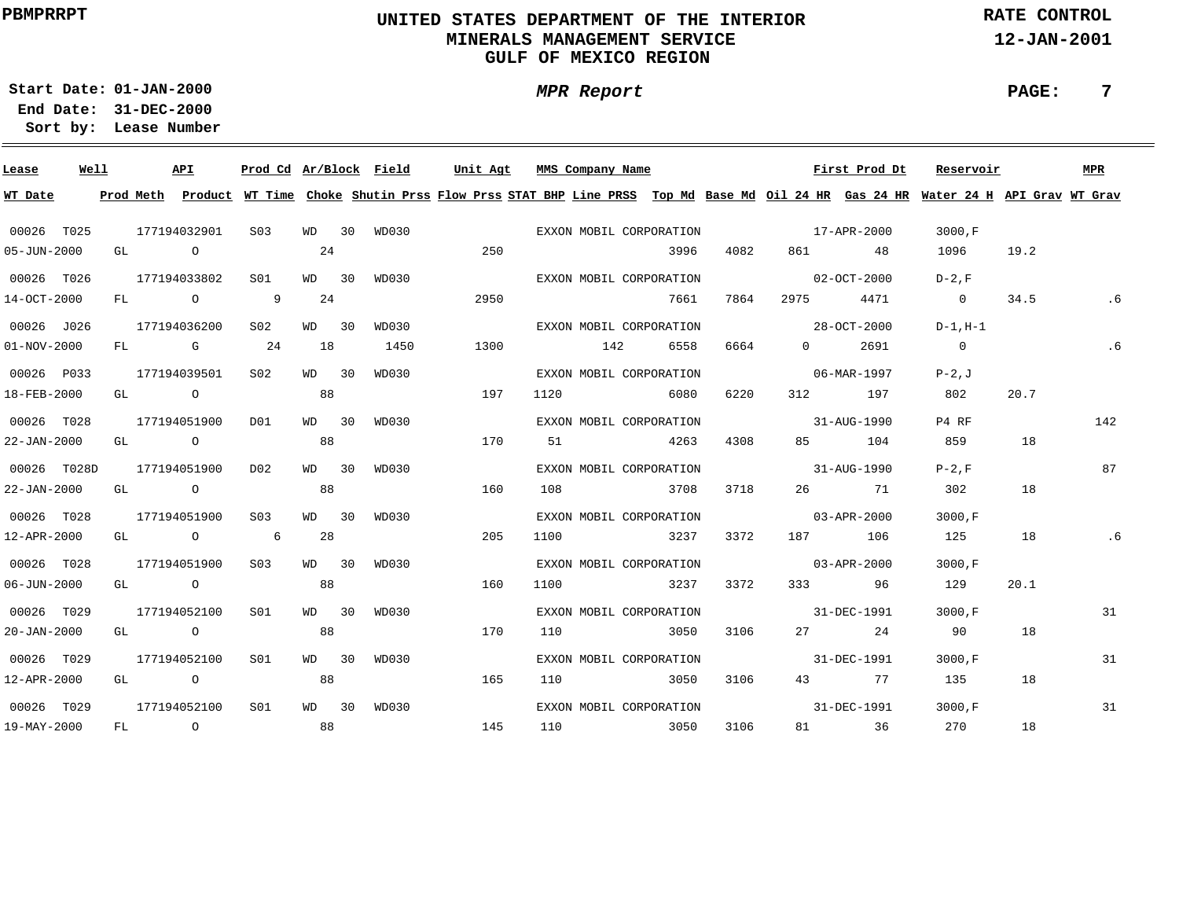# **UNITED STATES DEPARTMENT OF THE INTERIOR MINERALS MANAGEMENT SERVICEGULF OF MEXICO REGION**

**MPR Report**

**RATE CONTROL**

**12-JAN-2001**

**PAGE: 7**

**01-JAN-2000Start Date:31-DEC-2000 End Date:** 

| Lease             | Well |    |      | API            | Prod Cd Ar/Block Field |         |       | Unit Agt                                                                                                                                | MMS Company Name        |      |      |                          | First Prod Dt | Reservoir      |      | <b>MPR</b> |
|-------------------|------|----|------|----------------|------------------------|---------|-------|-----------------------------------------------------------------------------------------------------------------------------------------|-------------------------|------|------|--------------------------|---------------|----------------|------|------------|
| WT Date           |      |    |      |                |                        |         |       | Prod Meth Product WT Time Choke Shutin Prss Flow Prss STAT BHP Line PRSS Top Md Base Md Oil 24 HR Gas 24 HR Water 24 H API Grav WT Grav |                         |      |      |                          |               |                |      |            |
| 00026 T025        |      |    |      | 177194032901   | S <sub>03</sub>        | WD 30   | WD030 |                                                                                                                                         | EXXON MOBIL CORPORATION |      |      | $17 - APR - 2000$        |               | 3000.F         |      |            |
| $05 - JUN - 2000$ |      |    | GL O |                |                        | 24      |       | 250                                                                                                                                     |                         | 3996 | 4082 |                          | 861 48        | 1096           | 19.2 |            |
| 00026 T026        |      |    |      | 177194033802   | SO1                    | WD 30   | WD030 |                                                                                                                                         | EXXON MOBIL CORPORATION |      |      | $02 - OCT - 2000$        |               | $D-2.F$        |      |            |
| 14-OCT-2000       |      |    |      | FL O           | $\overline{9}$         | 24      |       | 2950                                                                                                                                    |                         | 7661 | 7864 | 2975 — 100               | 4471          | $\overline{0}$ | 34.5 |            |
| 00026 J026        |      |    |      | 177194036200   | S <sub>02</sub>        | WD 30   | WD030 |                                                                                                                                         | EXXON MOBIL CORPORATION |      |      | $28 - OCT - 2000$        |               | $D-1, H-1$     |      |            |
| $01 - NOV - 2000$ |      |    |      | FL G           | 24                     | 18      | 1450  | 1300                                                                                                                                    | 142                     | 6558 | 6664 | $\overline{0}$           | 2691          | $\overline{0}$ |      | .6         |
| 00026 P033        |      |    |      | 177194039501   | S <sub>02</sub>        | $WD$ 30 | WD030 |                                                                                                                                         | EXXON MOBIL CORPORATION |      |      |                          | 06-MAR-1997   | $P-2J$         |      |            |
| 18-FEB-2000       |      |    |      | GL O           |                        | 88      |       | 197                                                                                                                                     | 1120                    | 6080 | 6220 | 312                      | 197           | 802            | 20.7 |            |
| 00026 T028        |      |    |      | 177194051900   | DO1                    | WD 30   | WD030 |                                                                                                                                         | EXXON MOBIL CORPORATION |      |      | 31-AUG-1990              |               | P4 RF          |      | 142        |
| 22-JAN-2000       |      |    |      | GL O           |                        | 88      |       | 170                                                                                                                                     | 51                      | 4263 | 4308 |                          | 85 104        | 859            | 18   |            |
| 00026 T028D       |      |    |      | 177194051900   | D02                    | WD 30   | WD030 |                                                                                                                                         | EXXON MOBIL CORPORATION |      |      | $31 - \text{AUG} - 1990$ |               | $P-2.F$        |      | 87         |
| 22-JAN-2000       |      |    |      | GL O           |                        | 88      |       | 160                                                                                                                                     | 108                     | 3708 | 3718 |                          | 26 71         | 302            | 18   |            |
| 00026 T028        |      |    |      | 177194051900   | S <sub>03</sub>        | $WD$ 30 | WD030 |                                                                                                                                         | EXXON MOBIL CORPORATION |      |      | $03 - APR - 2000$        |               | 3000.F         |      |            |
| 12-APR-2000       |      |    |      | GL O           | 6                      | 28      |       | 205                                                                                                                                     | 1100                    | 3237 | 3372 |                          | 187 106       | 125            | 18   | . 6        |
| 00026 T028        |      |    |      | 177194051900   | S03                    | WD 30   | WD030 |                                                                                                                                         | EXXON MOBIL CORPORATION |      |      | $03 - APR - 2000$        |               | 3000.F         |      |            |
| $06 - JUN - 2000$ |      |    |      | GL O           |                        | 88      |       | 160                                                                                                                                     | 1100                    | 3237 | 3372 |                          | 333 96        | 129            | 20.1 |            |
| 00026 T029        |      |    |      | 177194052100   | SO1                    | WD 30   | WD030 |                                                                                                                                         | EXXON MOBIL CORPORATION |      |      | 31-DEC-1991              |               | 3000.F         |      | 31         |
| 20-JAN-2000       |      |    |      | GL O           |                        | 88      |       | 170                                                                                                                                     | 110                     | 3050 | 3106 |                          | 27 24         | 90             | 18   |            |
| 00026 T029        |      |    |      | 177194052100   | SO1                    | WD 30   | WD030 |                                                                                                                                         | EXXON MOBIL CORPORATION |      |      |                          | 31-DEC-1991   | 3000, F        |      | 31         |
| 12-APR-2000       |      | GL |      | $\overline{O}$ |                        | 88      |       | 165                                                                                                                                     | 110                     | 3050 | 3106 |                          | 43 77         | 135            | 18   |            |
| 00026 T029        |      |    |      | 177194052100   | S <sub>01</sub>        | $WD$ 30 | WD030 |                                                                                                                                         | EXXON MOBIL CORPORATION |      |      | 31-DEC-1991              |               | 3000.F         |      | 31         |
| 19-MAY-2000       |      |    |      | FL O           |                        | 88      |       | 145                                                                                                                                     | 110                     | 3050 | 3106 |                          | 81 36         | 270            | 18   |            |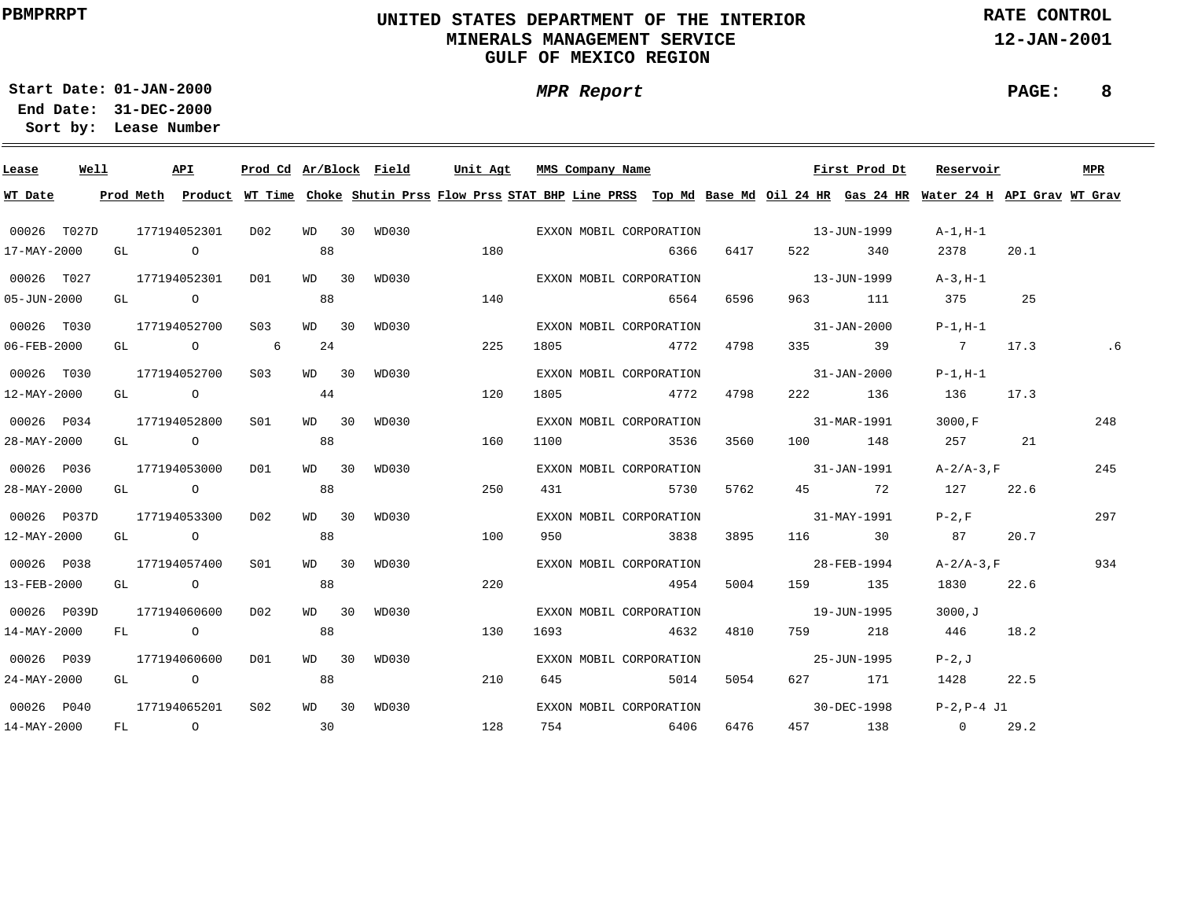# **UNITED STATES DEPARTMENT OF THE INTERIOR MINERALS MANAGEMENT SERVICEGULF OF MEXICO REGION**

**MPR Report**

**RATE CONTROL**

**12-JAN-2001**

**PAGE: 8**

**01-JAN-2000Start Date:31-DEC-2000 End Date:** 

| Lease                    | Well |  | API                                  |                 |         |    | Prod Cd Ar/Block Field | Unit Agt                                                                                                                                |      | MMS Company Name        |      |      |                   | First Prod Dt     | Reservoir                        |      | MPR |
|--------------------------|------|--|--------------------------------------|-----------------|---------|----|------------------------|-----------------------------------------------------------------------------------------------------------------------------------------|------|-------------------------|------|------|-------------------|-------------------|----------------------------------|------|-----|
| WT Date                  |      |  |                                      |                 |         |    |                        | Prod Meth Product WT Time Choke Shutin Prss Flow Prss STAT BHP Line PRSS Top Md Base Md Oil 24 HR Gas 24 HR Water 24 H API Grav WT Grav |      |                         |      |      |                   |                   |                                  |      |     |
| 00026 T027D              |      |  | 177194052301                         | DO 2            |         |    |                        | WD 30 WD030 6XXON MOBIL CORPORATION                                                                                                     |      |                         |      |      |                   | $13 - JUN - 1999$ | A-1,H-1                          |      |     |
| 17-MAY-2000              |      |  | GL O                                 |                 | 88      |    |                        | 180                                                                                                                                     |      |                         | 6366 | 6417 |                   | 522 340           | 2378                             | 20.1 |     |
| 00026 T027               |      |  | 177194052301                         | DO1             | WD 30   |    |                        | WD030                                                                                                                                   |      | EXXON MOBIL CORPORATION |      |      |                   | $13 - JUN - 1999$ | A-3,H-1                          |      |     |
| $05 - JUN - 2000$        |      |  | GL O                                 |                 | 88      |    |                        | 140                                                                                                                                     |      |                         | 6564 | 6596 |                   | 963 111           | 375                              | 25   |     |
| 00026 T030               |      |  | 177194052700                         | S03             | $WD$ 30 |    | WD030                  |                                                                                                                                         |      | EXXON MOBIL CORPORATION |      |      |                   |                   | $31 - JAN - 2000$ $P-1, H-1$     |      |     |
| 06-FEB-2000              |      |  | GL $\qquad \qquad 0 \qquad \qquad 6$ |                 |         | 24 |                        | 225                                                                                                                                     |      | 1805 4772               |      | 4798 |                   | 335 39            | 7 17.3                           |      |     |
| 00026 T030               |      |  | 177194052700                         | S03             | WD 30   |    | WD030                  |                                                                                                                                         |      | EXXON MOBIL CORPORATION |      |      | $31 - JAN - 2000$ |                   | $P-1$ , $H-1$                    |      |     |
| 12-MAY-2000              |      |  | $GL$ 0 44                            |                 |         |    |                        | 120                                                                                                                                     |      | 1805 4772               |      | 4798 |                   | 222 136           | 136                              | 17.3 |     |
| 00026 P034               |      |  | 177194052800                         | S01             | $WD$ 30 |    | WD030                  |                                                                                                                                         |      | EXXON MOBIL CORPORATION |      |      |                   |                   | $31 - \text{MAR} - 1991$ 3000, F |      | 248 |
| 28-MAY-2000              |      |  | GL O                                 |                 | 88      |    |                        | 160                                                                                                                                     |      | 1100 3536               |      | 3560 |                   |                   | 100 148 257 21                   |      |     |
| 00026 P036               |      |  | 177194053000                         | DO1             | WD 30   |    | WD030                  |                                                                                                                                         |      | EXXON MOBIL CORPORATION |      |      |                   | $31 - JAN - 1991$ | $A-2/A-3$ , F                    |      | 245 |
| 28-MAY-2000              |      |  | GL O                                 |                 | 88      |    |                        | 250                                                                                                                                     |      | 431 5730                |      |      | 5762 45 72        |                   | 127                              | 22.6 |     |
| 00026 P037D              |      |  | 177194053300                         | DO 2            | WD 30   |    | WD030                  |                                                                                                                                         |      | EXXON MOBIL CORPORATION |      |      | $31 - MAX - 1991$ |                   | $P-2$ , F                        |      | 297 |
| 12-MAY-2000              |      |  | GL O O                               |                 | 88      |    |                        | 100                                                                                                                                     |      | 950 3838                |      | 3895 |                   |                   | 116 30 87                        | 20.7 |     |
| 00026 P038               |      |  | 177194057400                         | S01             | WD 30   |    | WD030                  |                                                                                                                                         |      | EXXON MOBIL CORPORATION |      |      | 28-FEB-1994       |                   | $A - 2/A - 3$ , F                |      | 934 |
| 13-FEB-2000              |      |  | GL O                                 |                 | 88      |    |                        | 220                                                                                                                                     |      |                         | 4954 | 5004 |                   | 159 135           | 1830                             | 22.6 |     |
| 00026 P039D              |      |  | 177194060600                         | D02             | $WD$ 30 |    | WD030                  |                                                                                                                                         |      | EXXON MOBIL CORPORATION |      |      | $19 - JUN - 1995$ |                   | 3000,J                           |      |     |
| 14-MAY-2000              |      |  | FL O                                 |                 | 88      |    |                        | 130                                                                                                                                     | 1693 | 4632                    |      | 4810 |                   | 759 218           | 446 18.2                         |      |     |
| 00026 P039               |      |  | 177194060600 DO1                     |                 | WD 30   |    | WD030                  |                                                                                                                                         |      | EXXON MOBIL CORPORATION |      |      | $25 - JUN - 1995$ |                   | $P-2$ , J                        |      |     |
| 24-MAY-2000              |      |  | GL O                                 |                 | 88      |    |                        | 210                                                                                                                                     | 645  | 5014                    |      | 5054 |                   | 627 171           | 1428                             | 22.5 |     |
| 00026 P040               |      |  | 177194065201                         | S <sub>02</sub> | WD 30   |    | WD030                  |                                                                                                                                         |      | EXXON MOBIL CORPORATION |      |      |                   |                   | $30-DEC-1998$ $P-2, P-4$ J1      |      |     |
| $14 - \text{MAX} - 2000$ |      |  | FL 0 30                              |                 |         |    |                        | 128                                                                                                                                     |      | 754 6406                |      | 6476 |                   |                   | 457 138 0 29.2                   |      |     |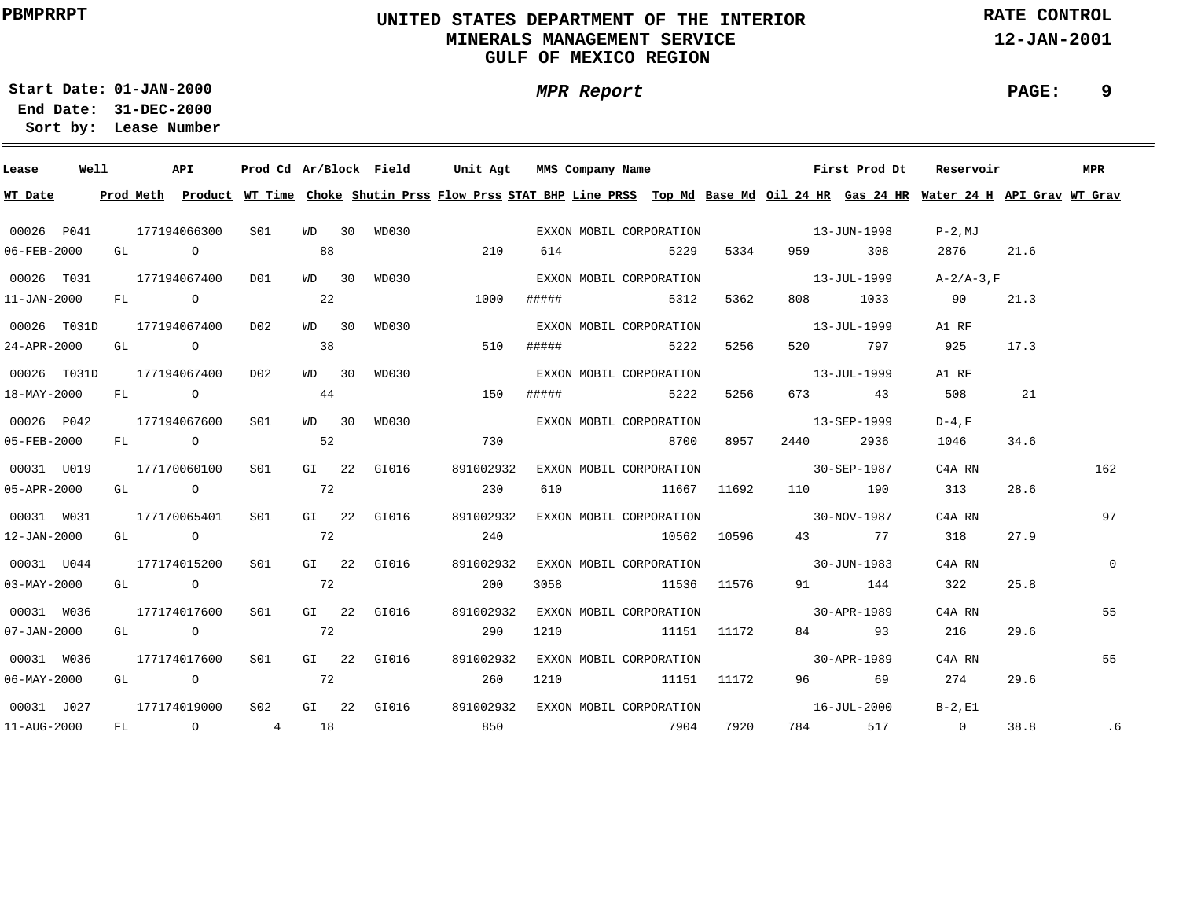# **UNITED STATES DEPARTMENT OF THE INTERIOR MINERALS MANAGEMENT SERVICEGULF OF MEXICO REGION**

**MPR Report**

**RATE CONTROL**

**12-JAN-2001**

**PAGE: 9**

**01-JAN-2000Start Date:31-DEC-2000 End Date:** 

| Lease             | Well |    |           | API            | Prod Cd Ar/Block Field |       |             | Unit Agt                                                                                                                      |       | MMS Company Name |                         |             |                   | First Prod Dt | Reservoir         |      | <b>MPR</b>   |
|-------------------|------|----|-----------|----------------|------------------------|-------|-------------|-------------------------------------------------------------------------------------------------------------------------------|-------|------------------|-------------------------|-------------|-------------------|---------------|-------------------|------|--------------|
| WT Date           |      |    | Prod Meth |                |                        |       |             | Product WT Time Choke Shutin Prss Flow Prss STAT BHP Line PRSS Top Md Base Md Oil 24 HR Gas 24 HR Water 24 H API Grav WT Grav |       |                  |                         |             |                   |               |                   |      |              |
| 00026 P041        |      |    |           | 177194066300   | S01                    | WD 30 | WD030       |                                                                                                                               |       |                  | EXXON MOBIL CORPORATION |             | $13 - JUN - 1998$ |               | P-2,MJ            |      |              |
| 06-FEB-2000       |      |    |           | GL O           |                        | 88    |             | 210                                                                                                                           | 614   |                  | 5229                    | 5334        | 959 — 100         | 308           | 2876              | 21.6 |              |
| 00026 T031        |      |    |           | 177194067400   | DO1                    | WD 30 | WD030       |                                                                                                                               |       |                  | EXXON MOBIL CORPORATION |             | $13 - JUL - 1999$ |               | $A - 2/A - 3$ , F |      |              |
| $11 - JAN - 2000$ |      |    |           | $FL$ 0         |                        | 22    |             | 1000                                                                                                                          | ##### |                  | 5312                    | 5362        |                   | 808 1033      | 90                | 21.3 |              |
| 00026 T031D       |      |    |           | 177194067400   | D02                    | WD 30 | WD030       |                                                                                                                               |       |                  | EXXON MOBIL CORPORATION |             | $13 - JUL - 1999$ |               | A1 RF             |      |              |
| 24-APR-2000       |      |    |           | GL O           |                        | 38    |             | 510                                                                                                                           | ##### |                  | 5222                    | 5256        |                   | 797           | 925               | 17.3 |              |
| 00026 T031D       |      |    |           | 177194067400   | D02                    | WD 30 | WD030       |                                                                                                                               |       |                  | EXXON MOBIL CORPORATION |             | $13 - JUL - 1999$ |               | A1 RF             |      |              |
| 18-MAY-2000       |      | FL |           | $\overline{O}$ |                        | 44    |             | 150                                                                                                                           | ##### |                  | 5222                    | 5256        |                   | 673 43        | 508               | 21   |              |
| 00026 P042        |      |    |           | 177194067600   | S01                    | WD 30 | WD030       |                                                                                                                               |       |                  | EXXON MOBIL CORPORATION |             | 13-SEP-1999       |               | $D-4$ . F         |      |              |
| 05-FEB-2000       |      |    |           | FL O           |                        | 52    |             | 730                                                                                                                           |       |                  | 8700                    | 8957        | 2440              | 2936          | 1046              | 34.6 |              |
| 00031 U019        |      |    |           | 177170060100   | SO1                    |       | GI 22 GI016 | 891002932                                                                                                                     |       |                  | EXXON MOBIL CORPORATION |             | $30 - SEP - 1987$ |               | C4A RN            |      | 162          |
| 05-APR-2000       |      |    |           | GL O           |                        | 72    |             | 230                                                                                                                           |       |                  | 610 11667 11692         |             | 110 190           |               | 313               | 28.6 |              |
| 00031 W031        |      |    |           | 177170065401   | SO1                    |       | GI 22 GI016 | 891002932                                                                                                                     |       |                  | EXXON MOBIL CORPORATION |             | $30 - NOV - 1987$ |               | C4A RN            |      | 97           |
| 12-JAN-2000       |      |    |           | GL O           |                        | 72    |             | 240                                                                                                                           |       |                  |                         |             | 10562 10596 43 77 |               | 318               | 27.9 |              |
| 00031 U044        |      |    |           | 177174015200   | SO1                    |       | GI 22 GI016 | 891002932                                                                                                                     |       |                  | EXXON MOBIL CORPORATION |             | $30 - JUN - 1983$ |               | C4A RN            |      | $\mathbf{0}$ |
| $03 - MAY - 2000$ |      |    |           | GL O           |                        | 72    |             | 200                                                                                                                           | 3058  |                  | 11536 11576             |             |                   | 91 144        | 322               | 25.8 |              |
| 00031 W036        |      |    |           | 177174017600   | SO1                    |       | GI 22 GI016 | 891002932                                                                                                                     |       |                  | EXXON MOBIL CORPORATION |             | 30-APR-1989       |               | C4A RN            |      | 55           |
| $07 - JAN - 2000$ |      |    |           | GL O           |                        | 72    |             | 290                                                                                                                           | 1210  |                  |                         | 11151 11172 |                   | 84 93         | 216               | 29.6 |              |
| 00031 W036        |      |    |           | 177174017600   | S01                    |       | GI 22 GI016 | 891002932                                                                                                                     |       |                  | EXXON MOBIL CORPORATION |             | $30 - APR - 1989$ |               | C4A RN            |      | 55           |
| $06 - MAX - 2000$ |      |    |           | GL O           |                        | 72    |             | 260                                                                                                                           | 1210  |                  | 11151 11172             |             |                   | 96 69         | 274               | 29.6 |              |
| 00031 J027        |      |    |           | 177174019000   | S02                    |       | GI 22 GI016 | 891002932                                                                                                                     |       |                  | EXXON MOBIL CORPORATION |             | $16 - JUL - 2000$ |               | $B-2.E1$          |      |              |
| 11-AUG-2000       |      |    |           | FL 0 4 18      |                        |       |             | 850                                                                                                                           |       |                  | 7904                    | 7920        | 784               | 517           | $\overline{0}$    | 38.8 | .6           |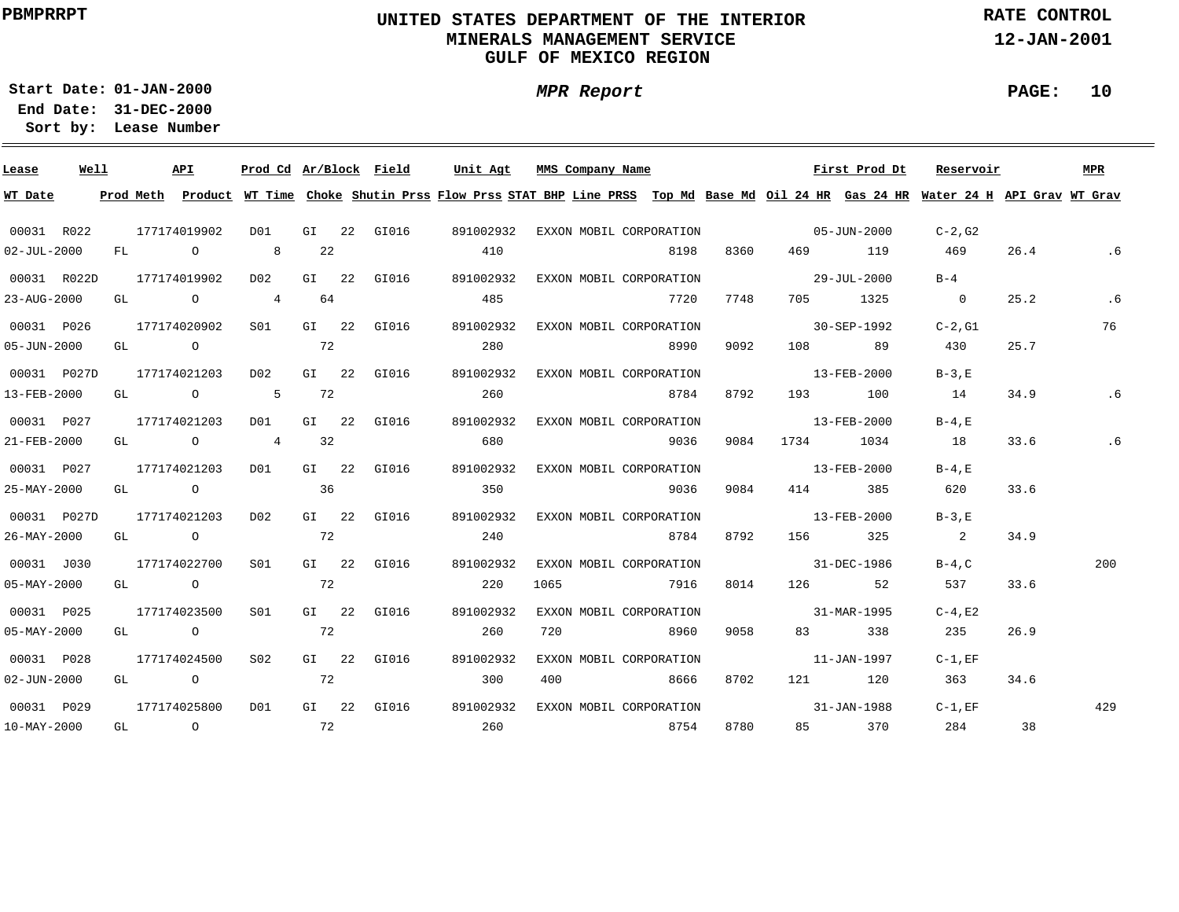# **UNITED STATES DEPARTMENT OF THE INTERIOR MINERALS MANAGEMENT SERVICEGULF OF MEXICO REGION**

**MPR Report**

**RATE CONTROL**

**12-JAN-2001**

**PAGE: 10**

**01-JAN-2000Start Date:31-DEC-2000 End Date:** 

| Lease             | Well |    | API                                                                                        | Prod Cd Ar/Block Field |         |             | Unit Agt  | MMS Company Name                                                                                                                        |      |      |                                                                                                                                                                                                                                 | First Prod Dt | Reservoir                  |      | MPR |
|-------------------|------|----|--------------------------------------------------------------------------------------------|------------------------|---------|-------------|-----------|-----------------------------------------------------------------------------------------------------------------------------------------|------|------|---------------------------------------------------------------------------------------------------------------------------------------------------------------------------------------------------------------------------------|---------------|----------------------------|------|-----|
| WT Date           |      |    |                                                                                            |                        |         |             |           | Prod Meth Product WT Time Choke Shutin Prss Flow Prss STAT BHP Line PRSS Top Md Base Md Oil 24 HR Gas 24 HR Water 24 H API Grav WT Grav |      |      |                                                                                                                                                                                                                                 |               |                            |      |     |
| 00031 R022        |      |    | 177174019902                                                                               | DO1                    |         | GI 22 GI016 | 891002932 | EXXON MOBIL CORPORATION                                                                                                                 |      |      | $05 - JUN - 2000$                                                                                                                                                                                                               |               | C-2,G2                     |      |     |
| $02 - JUL - 2000$ |      | FL | $\overline{O}$                                                                             | 8                      | 22      |             | 410       |                                                                                                                                         | 8198 | 8360 | 469 — 100                                                                                                                                                                                                                       | 119           | 469                        | 26.4 | .6  |
| 00031 R022D       |      |    | 177174019902                                                                               | D02                    |         | GI 22 GI016 | 891002932 | EXXON MOBIL CORPORATION                                                                                                                 |      |      | 29-JUL-2000                                                                                                                                                                                                                     |               | $B-4$                      |      |     |
| 23-AUG-2000       |      | GL | $\overline{O}$                                                                             | 4                      | 64      |             | 485       |                                                                                                                                         | 7720 | 7748 |                                                                                                                                                                                                                                 | 705 1325      | $\overline{0}$             | 25.2 | .6  |
| 00031 P026        |      |    | 177174020902                                                                               | S <sub>01</sub>        |         | GI 22 GI016 | 891002932 | EXXON MOBIL CORPORATION                                                                                                                 |      |      | $30 - SEP - 1992$                                                                                                                                                                                                               |               | $C-2.G1$                   |      | 76  |
| $05 - JUN - 2000$ |      | GL | $\overline{O}$                                                                             | $\sim$ 72              |         |             | 280       |                                                                                                                                         | 8990 | 9092 | 108 — 108                                                                                                                                                                                                                       | 89            | 430                        | 25.7 |     |
| 00031 P027D       |      |    | 177174021203                                                                               | D02                    |         | GI 22 GI016 | 891002932 | EXXON MOBIL CORPORATION                                                                                                                 |      |      | $13 - FEB - 2000$                                                                                                                                                                                                               |               | $B-3.E$                    |      |     |
| 13-FEB-2000       |      | GL | $\overline{O}$ and $\overline{O}$ and $\overline{O}$ and $\overline{O}$ and $\overline{O}$ | 5                      | 72      |             | 260       |                                                                                                                                         | 8784 | 8792 | 193 — 193                                                                                                                                                                                                                       | 100           | 14                         | 34.9 |     |
| 00031 P027        |      |    | 177174021203                                                                               | DO1                    |         | GI 22 GI016 | 891002932 | EXXON MOBIL CORPORATION                                                                                                                 |      |      | $13 - FEB - 2000$                                                                                                                                                                                                               |               | $B-4$ , E                  |      |     |
| 21-FEB-2000       |      |    | GL O                                                                                       | $\overline{4}$         | 32      |             | 680       |                                                                                                                                         | 9036 | 9084 | 1734                                                                                                                                                                                                                            | 1034          | 18                         | 33.6 |     |
| 00031 P027        |      |    | 177174021203                                                                               | D01                    |         | GI 22 GI016 | 891002932 | EXXON MOBIL CORPORATION                                                                                                                 |      |      | $13 - FEB - 2000$                                                                                                                                                                                                               |               | $B-4$ , $E$                |      |     |
| 25-MAY-2000       |      |    | GL O                                                                                       |                        | 36      |             | 350       |                                                                                                                                         | 9036 | 9084 | 4 1 4                                                                                                                                                                                                                           | 385           | 620                        | 33.6 |     |
| 00031 P027D       |      |    | 177174021203                                                                               | D02                    | $GI$ 22 | GI016       | 891002932 | EXXON MOBIL CORPORATION                                                                                                                 |      |      | $13 - FEB - 2000$                                                                                                                                                                                                               |               | $B-3.E$                    |      |     |
| 26-MAY-2000       |      |    | GL O                                                                                       |                        | 72      |             | 240       |                                                                                                                                         | 8784 | 8792 | 156 — 156                                                                                                                                                                                                                       | 325           | $\overline{\phantom{a}}$ 2 | 34.9 |     |
| 00031 J030        |      |    | 177174022700                                                                               | SO1                    |         | GI 22 GI016 | 891002932 | EXXON MOBIL CORPORATION                                                                                                                 |      |      | 31-DEC-1986                                                                                                                                                                                                                     |               | $B-4,C$                    |      | 200 |
| 05-MAY-2000       |      |    | GL O                                                                                       |                        | 72      |             | 220       | 1065                                                                                                                                    | 7916 | 8014 | 126 200                                                                                                                                                                                                                         | 52            | 537                        | 33.6 |     |
| 00031 P025        |      |    | 177174023500                                                                               | S <sub>01</sub>        |         | GI 22 GI016 | 891002932 | EXXON MOBIL CORPORATION                                                                                                                 |      |      | $31 - MAR - 1995$                                                                                                                                                                                                               |               | $C-4$ , E2                 |      |     |
| $05 - MAX - 2000$ |      | GL | $\overline{O}$                                                                             |                        | 72      |             | 260       | 720                                                                                                                                     | 8960 | 9058 | 83 — 1                                                                                                                                                                                                                          | 338           | 235                        | 26.9 |     |
| 00031 P028        |      |    | 177174024500                                                                               | S02                    |         | GI 22 GI016 | 891002932 | EXXON MOBIL CORPORATION                                                                                                                 |      |      |                                                                                                                                                                                                                                 | 11-JAN-1997   | $C-1$ , EF                 |      |     |
| $02 - JUN - 2000$ |      | GL | $\overline{O}$                                                                             |                        | 72      |             | 300       | 400                                                                                                                                     | 8666 | 8702 | 121 — 121 — 121 — 121 — 121 — 121 — 121 — 121 — 121 — 121 — 121 — 121 — 121 — 121 — 121 — 121 — 121 — 121 — 121 — 121 — 121 — 121 — 121 — 121 — 121 — 121 — 121 — 121 — 121 — 121 — 121 — 121 — 121 — 121 — 121 — 121 — 121 — 1 | 120           | 363                        | 34.6 |     |
| 00031 P029        |      |    | 177174025800                                                                               | D01                    |         | GI 22 GI016 | 891002932 | EXXON MOBIL CORPORATION                                                                                                                 |      |      |                                                                                                                                                                                                                                 | 31-JAN-1988   | $C-1$ , $EF$               |      | 429 |
| 10-MAY-2000       |      | GL | $\overline{O}$                                                                             | 72                     |         |             | 260       |                                                                                                                                         | 8754 | 8780 |                                                                                                                                                                                                                                 | 370           | 284                        | 38   |     |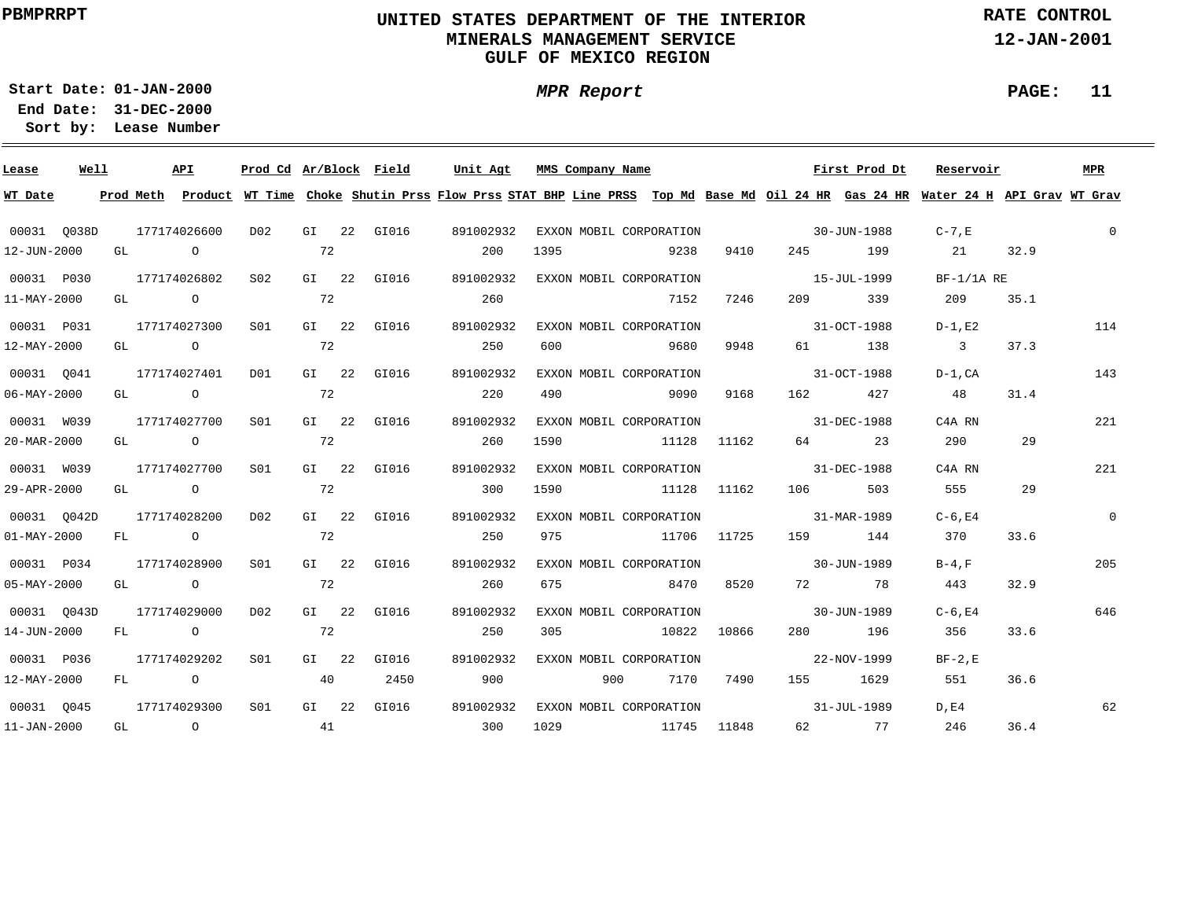# **UNITED STATES DEPARTMENT OF THE INTERIOR MINERALS MANAGEMENT SERVICEGULF OF MEXICO REGION**

**MPR Report**

**RATE CONTROL**

**12-JAN-2001**

**PAGE: 11**

**01-JAN-2000Start Date:31-DEC-2000 End Date:** 

| Lease                    | Well |    |           | API            | Prod Cd Ar/Block Field |         |             | Unit Agt  | MMS Company Name                                                                                                              |             |             |                   | First Prod Dt | Reservoir               |      | MPR          |
|--------------------------|------|----|-----------|----------------|------------------------|---------|-------------|-----------|-------------------------------------------------------------------------------------------------------------------------------|-------------|-------------|-------------------|---------------|-------------------------|------|--------------|
| WT Date                  |      |    | Prod Meth |                |                        |         |             |           | Product WT Time Choke Shutin Prss Flow Prss STAT BHP Line PRSS Top Md Base Md Oil 24 HR Gas 24 HR Water 24 H API Grav WT Grav |             |             |                   |               |                         |      |              |
| 00031 0038D              |      |    |           | 177174026600   | D02                    |         | GI 22 GI016 | 891002932 | EXXON MOBIL CORPORATION                                                                                                       |             |             | $30 - JUN - 1988$ |               | $C-7$ , $E$             |      | $\mathbf{0}$ |
| 12-JUN-2000              |      | GL |           | $\overline{a}$ |                        | 72      |             | 200       | 1395                                                                                                                          | 9238        | 9410        | 245               | 199           | 21                      | 32.9 |              |
| 00031 P030               |      |    |           | 177174026802   | S <sub>02</sub>        |         | GI 22 GI016 | 891002932 | EXXON MOBIL CORPORATION                                                                                                       |             |             | 15-JUL-1999       |               | $BF-1/1A RE$            |      |              |
| 11-MAY-2000              |      |    | GL O      |                |                        | 72      |             | 260       |                                                                                                                               | 7152        | 7246        | 209 — 10          | 339           | 209                     | 35.1 |              |
| 00031 P031               |      |    |           | 177174027300   | S01                    |         | GI 22 GI016 | 891002932 | EXXON MOBIL CORPORATION                                                                                                       |             |             | 31-OCT-1988       |               | $D-1$ , E2              |      | 114          |
| 12-MAY-2000              |      | GL |           | $\overline{O}$ |                        | 72      |             | 250       | 600                                                                                                                           | 9680        | 9948        | 61 — 10           | 138           | $\overline{\mathbf{3}}$ | 37.3 |              |
| 00031 0041               |      |    |           | 177174027401   | DO1                    |         | GI 22 GI016 | 891002932 | EXXON MOBIL CORPORATION                                                                                                       |             |             |                   | 31-OCT-1988   | $D-1$ .CA               |      | 143          |
| $06 - MAX - 2000$        |      | GL |           | $\overline{O}$ |                        | 72      |             | 220       | 490                                                                                                                           | 9090        | 9168        | 162               | 427           | 48                      | 31.4 |              |
| 00031 W039               |      |    |           | 177174027700   | S01                    |         | GI 22 GI016 | 891002932 | EXXON MOBIL CORPORATION                                                                                                       |             |             | 31-DEC-1988       |               | C4A RN                  |      | 221          |
| 20-MAR-2000              |      | GL |           | $\overline{O}$ |                        | 72      |             | 260       | 1590                                                                                                                          |             | 11128 11162 | 64 64             | 23            | 290                     | 29   |              |
| 00031 W039               |      |    |           | 177174027700   | S01                    |         | GI 22 GI016 | 891002932 | EXXON MOBIL CORPORATION                                                                                                       |             |             | 31-DEC-1988       |               | C4A RN                  |      | 221          |
| 29-APR-2000              |      |    |           | GL O           |                        | 72      |             | 300       | 1590                                                                                                                          | 11128 11162 |             | 106 10            | 503           | 555                     | 29   |              |
| 00031 Q042D              |      |    |           | 177174028200   | D02                    | $GI$ 22 | GI016       | 891002932 | EXXON MOBIL CORPORATION                                                                                                       |             |             | 31-MAR-1989       |               | $C-6$ , E4              |      | $\Omega$     |
| $01 - MAX - 2000$        |      |    |           | FL O           |                        | 72      |             | 250       | 975                                                                                                                           | 11706 11725 |             | 159 144           |               | 370                     | 33.6 |              |
| 00031 P034               |      |    |           | 177174028900   | SO1                    |         | GI 22 GI016 | 891002932 | EXXON MOBIL CORPORATION                                                                                                       |             |             | $30 - JUN - 1989$ |               | $B-4$ , $F$             |      | 205          |
| $05 - MAX - 2000$        |      |    |           | GL O           |                        | 72      |             | 260       | 675                                                                                                                           | 8470        | 8520        |                   | 72 78         | 443                     | 32.9 |              |
| 00031 0043D              |      |    |           | 177174029000   | D02                    |         | GI 22 GI016 | 891002932 | EXXON MOBIL CORPORATION                                                                                                       |             |             | $30 - JUN - 1989$ |               | $C-6$ , E4              |      | 646          |
| 14-JUN-2000              |      | FL |           | $\overline{O}$ |                        | 72      |             | 250       | 305                                                                                                                           |             | 10822 10866 |                   | 280 196       | 356                     | 33.6 |              |
| 00031 P036               |      |    |           | 177174029202   | SO1                    |         | GI 22 GI016 | 891002932 | EXXON MOBIL CORPORATION                                                                                                       |             |             |                   | 22-NOV-1999   | $BF-2,E$                |      |              |
| $12 - \text{MAY} - 2000$ |      | FL |           | $\overline{O}$ |                        | 40      | 2450        | 900       | 900                                                                                                                           | 7170        | 7490        | 155               | 1629          | 551                     | 36.6 |              |
| 00031 0045               |      |    |           | 177174029300   | S <sub>01</sub>        |         | GI 22 GI016 | 891002932 | EXXON MOBIL CORPORATION                                                                                                       |             |             |                   | 31-JUL-1989   | D.E4                    |      | 62           |
| $11 - JAN - 2000$        |      |    |           | GL O           |                        | 41      |             | 300       | 1029                                                                                                                          | 11745 11848 |             |                   | 62 77         | 246                     | 36.4 |              |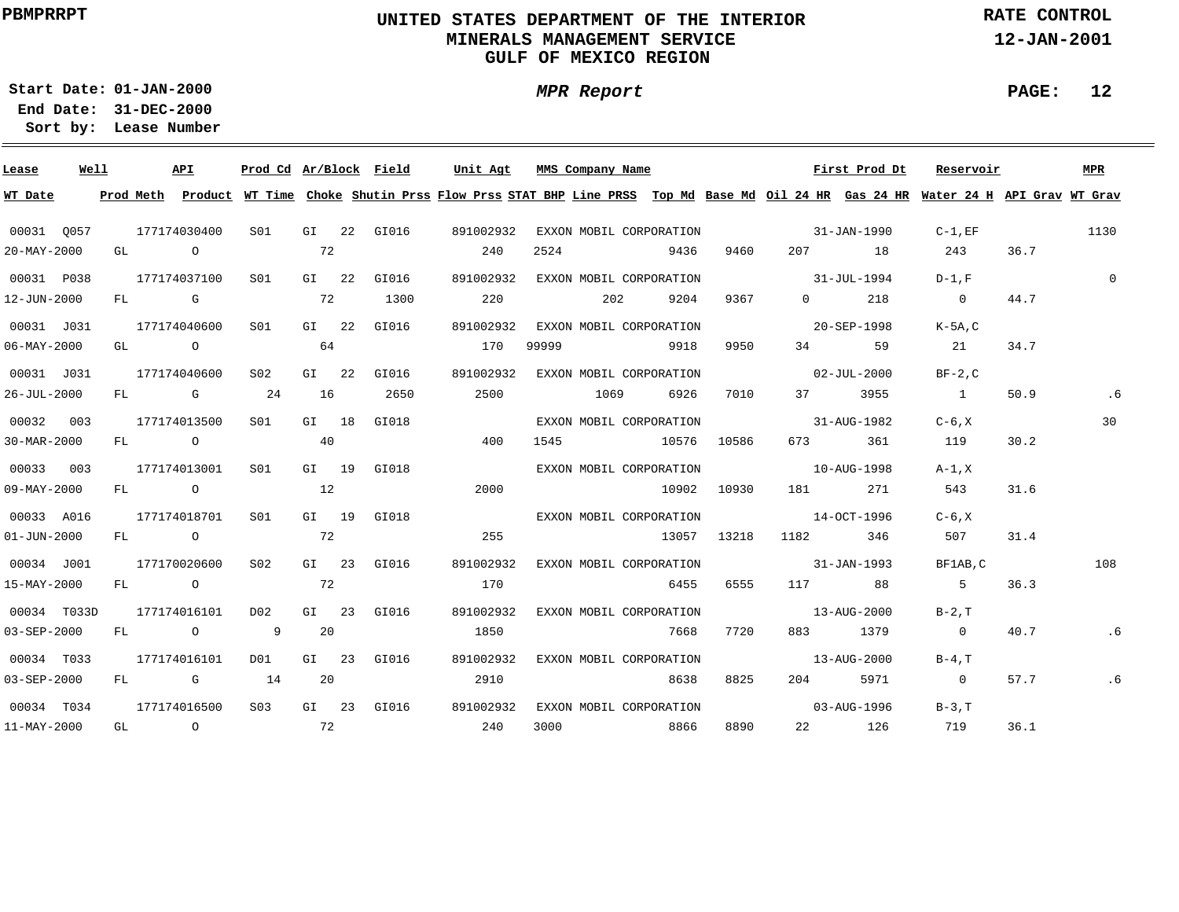# **UNITED STATES DEPARTMENT OF THE INTERIOR MINERALS MANAGEMENT SERVICEGULF OF MEXICO REGION**

**MPR Report**

**RATE CONTROL**

**12-JAN-2001**

**PAGE: 12**

**01-JAN-2000Start Date:31-DEC-2000 End Date:** 

| Lease             | Well | API          | Prod Cd Ar/Block Field |         |             | Unit Agt              | MMS Company Name                                                                                                                        |             |             |                          | First Prod Dt | Reservoir      |      | MPR         |
|-------------------|------|--------------|------------------------|---------|-------------|-----------------------|-----------------------------------------------------------------------------------------------------------------------------------------|-------------|-------------|--------------------------|---------------|----------------|------|-------------|
| WT Date           |      |              |                        |         |             |                       | Prod Meth Product WT Time Choke Shutin Prss Flow Prss STAT BHP Line PRSS Top Md Base Md Oil 24 HR Gas 24 HR Water 24 H API Grav WT Grav |             |             |                          |               |                |      |             |
| 00031 0057        |      | 177174030400 | S01                    |         | GI 22 GI016 | 891002932             | EXXON MOBIL CORPORATION                                                                                                                 |             |             |                          | 31-JAN-1990   | $C-1$ , $EF$   |      | 1130        |
| $20 - MAX - 2000$ |      | GL O         |                        | 72      |             | 240                   | 2524                                                                                                                                    | 9436        | 9460        |                          | 207 18        | 243            | 36.7 |             |
| 00031 P038        |      | 177174037100 | S01                    |         | GI 22 GI016 | 891002932             | EXXON MOBIL CORPORATION                                                                                                                 |             |             | $31 - JUL - 1994$        |               | $D-1.F$        |      | $\mathbf 0$ |
| 12-JUN-2000       |      | FL G         |                        | 72      | 1300        | 220                   | 202                                                                                                                                     | 9204        | 9367        | $0 \qquad \qquad$        | 218           | $\sim$ 0       | 44.7 |             |
| 00031 J031        |      | 177174040600 | SO1                    | $GI$ 22 | GI016       | 891002932             | EXXON MOBIL CORPORATION                                                                                                                 |             |             |                          | 20-SEP-1998   | K-5A, C        |      |             |
| $06 - MAX - 2000$ |      | GL O         |                        | 64      |             | 170                   | 99999                                                                                                                                   | 9918        | 9950        | 34                       | 59            | 21             | 34.7 |             |
| 00031 J031        |      | 177174040600 | S <sub>02</sub>        | $GI$ 22 | GI016       | 891002932             | EXXON MOBIL CORPORATION                                                                                                                 |             |             | $02 - JUL - 2000$        |               | $BF-2,C$       |      |             |
| 26-JUL-2000       |      | FL G         | 24                     | 16      | 2650        | 2500                  | 1069                                                                                                                                    | 6926        | 7010        | 37 — 1                   | 3955          | $\sim$ 1       | 50.9 |             |
| 00032 003         |      | 177174013500 | S01 <b>S</b>           | GI 18   | GI018       |                       | EXXON MOBIL CORPORATION                                                                                                                 |             |             | $31 - \text{AUG} - 1982$ |               | $C-6, X$       |      | 30          |
| 30-MAR-2000       |      | FL O         |                        | 40      |             | 400                   | 1545                                                                                                                                    | 10576 10586 |             |                          | 673 361       | 119            | 30.2 |             |
| 00033 003         |      | 177174013001 | SO1                    | GI 19   | GI018       |                       | EXXON MOBIL CORPORATION                                                                                                                 |             |             | $10 - \text{AUG} - 1998$ |               | $A-1.X$        |      |             |
| $09 - MAY - 2000$ |      | FL O         |                        | 12      |             | 2000                  |                                                                                                                                         |             | 10902 10930 | 181                      | 271           | 543            | 31.6 |             |
| 00033 A016        |      | 177174018701 | S <sub>01</sub>        |         | GI 19 GI018 |                       | EXXON MOBIL CORPORATION                                                                                                                 |             |             | $14-0CT-1996$            |               | $C-6. X$       |      |             |
| $01 - JUN - 2000$ |      | FL O         |                        | 72      |             | 255                   |                                                                                                                                         |             | 13057 13218 |                          | 346           | 507            | 31.4 |             |
| 00034 J001        |      | 177170020600 | S <sub>02</sub>        |         | GI 23 GI016 | 891002932             | EXXON MOBIL CORPORATION                                                                                                                 |             |             | $31 - JAN - 1993$        |               | BF1AB, C       |      | 108         |
| 15-MAY-2000       |      | FL O         |                        | 72      |             | 170                   |                                                                                                                                         | 6455        | 6555        | 117 88                   |               | - 5            | 36.3 |             |
| 00034 T033D       |      | 177174016101 | DO 2                   |         | GI 23 GI016 | 891002932             | EXXON MOBIL CORPORATION                                                                                                                 |             |             |                          | 13-AUG-2000   | $B-2$ , $T$    |      |             |
| $03 - SEP - 2000$ |      | FL O         | $\overline{9}$         | 20      |             | 1850                  |                                                                                                                                         | 7668        | 7720        |                          | 883 1379      | $\overline{0}$ | 40.7 | .6          |
| 00034 T033        |      | 177174016101 | DO1                    |         | GI 23 GI016 | 891002932             | EXXON MOBIL CORPORATION                                                                                                                 |             |             |                          | 13-AUG-2000   | $B-4$ , $T$    |      |             |
| 03-SEP-2000       |      | FL G 14      |                        | 20      |             | 2910                  |                                                                                                                                         | 8638        | 8825        | 204                      | 5971          | $\overline{0}$ | 57.7 | .6          |
| 00034 T034        |      | 177174016500 | S <sub>0.3</sub>       |         |             | GI 23 GI016 891002932 | EXXON MOBIL CORPORATION                                                                                                                 |             |             | $03 - \text{AUG} - 1996$ |               | $B-3.T$        |      |             |
| 11-MAY-2000       |      | GL O         | $\sim$ 72              |         |             | 240                   | 3000                                                                                                                                    | 8866        | 8890        |                          | 22 126        | 719            | 36.1 |             |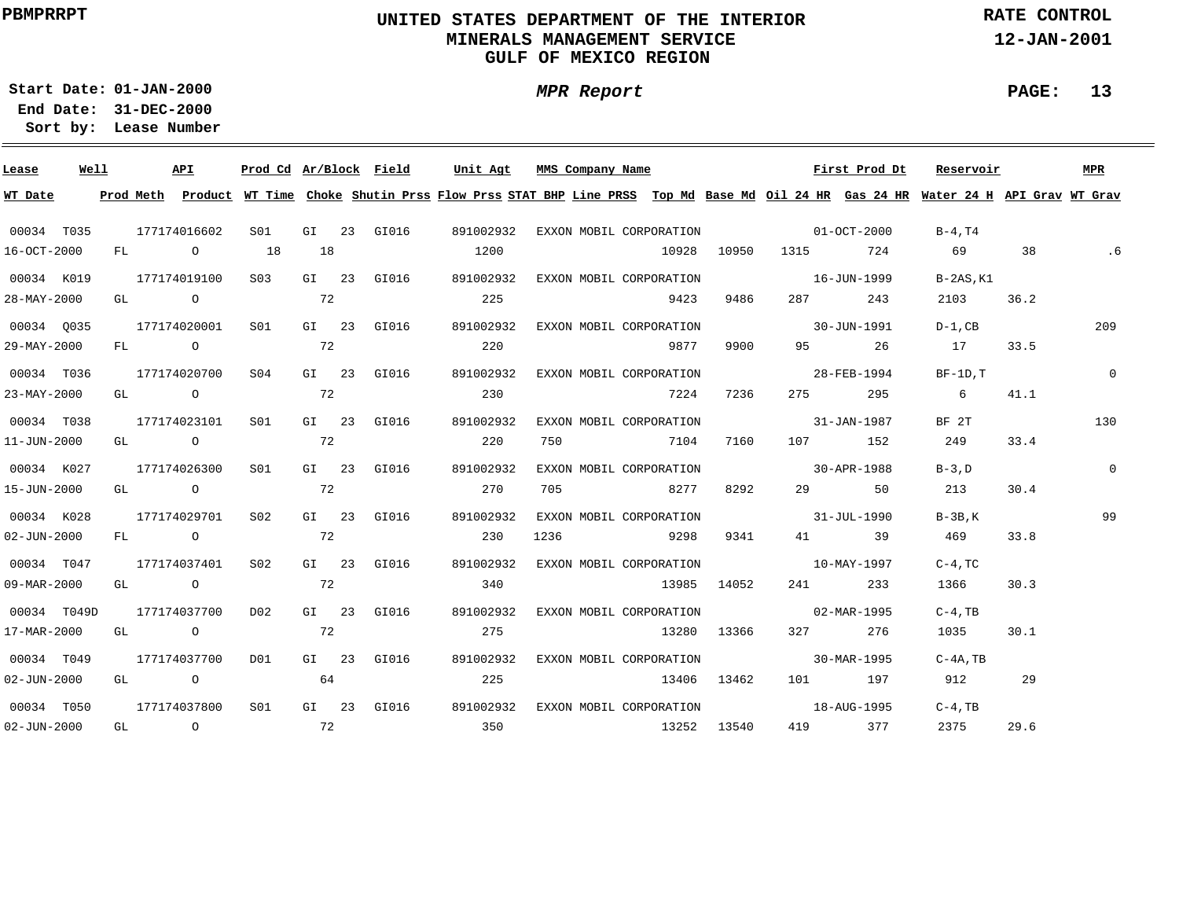# **UNITED STATES DEPARTMENT OF THE INTERIOR MINERALS MANAGEMENT SERVICEGULF OF MEXICO REGION**

**MPR Report**

**RATE CONTROL**

**12-JAN-2001**

**PAGE: 13**

**01-JAN-2000Start Date:31-DEC-2000 End Date:** 

| Lease             | Well | API              | Prod Cd Ar/Block Field |    |             | Unit Agt                                                                                                                                | MMS Company Name                    |             |             |                                                                                                                | First Prod Dt | Reservoir       |      | <b>MPR</b>  |
|-------------------|------|------------------|------------------------|----|-------------|-----------------------------------------------------------------------------------------------------------------------------------------|-------------------------------------|-------------|-------------|----------------------------------------------------------------------------------------------------------------|---------------|-----------------|------|-------------|
| WT Date           |      |                  |                        |    |             | Prod Meth Product WT Time Choke Shutin Prss Flow Prss STAT BHP Line PRSS Top Md Base Md Oil 24 HR Gas 24 HR Water 24 H API Grav WT Grav |                                     |             |             |                                                                                                                |               |                 |      |             |
| 00034 T035        |      | 177174016602     | S01 <b>S</b>           |    | GI 23 GI016 | 891002932                                                                                                                               | EXXON MOBIL CORPORATION 01-OCT-2000 |             |             |                                                                                                                |               | B-4,T4          |      |             |
| 16-OCT-2000       |      | FL O             | 18                     | 18 |             | 1200                                                                                                                                    |                                     |             |             | 10928 10950 1315 724                                                                                           |               | 69 38           |      |             |
| 00034 K019        |      | 177174019100     | S <sub>03</sub>        |    | GI 23 GI016 | 891002932                                                                                                                               | EXXON MOBIL CORPORATION             |             |             | $16 - JUN - 1999$                                                                                              |               | $B-2AS$ , $K1$  |      |             |
| 28-MAY-2000       |      | GL O             |                        | 72 |             | 225                                                                                                                                     |                                     | 9423        | 9486        | 287 — 287 — 287 — 287 — 287 — 287 — 287 — 287 — 287 — 287 — 288 — 288 — 288 — 288 — 288 — 288 — 288 — 288 — 28 | 243           | 2103            | 36.2 |             |
| 00034 0035        |      | 177174020001     | S01                    |    | GI 23 GI016 | 891002932                                                                                                                               | EXXON MOBIL CORPORATION             |             |             | $30 - JUN - 1991$                                                                                              |               | $D-1$ , $CB$    |      | 209         |
| 29-MAY-2000       |      | $FL \t0$ 72      |                        |    |             | 220                                                                                                                                     |                                     | 9877        | 9900        |                                                                                                                | 95 26         | 17              | 33.5 |             |
| 00034 T036        |      | 177174020700 S04 |                        |    | GI 23 GI016 | 891002932                                                                                                                               | EXXON MOBIL CORPORATION             |             |             | $28 - FEB - 1994$                                                                                              |               | $BF-1D, T$      |      | $\mathbf 0$ |
| 23-MAY-2000       |      | $GL$ 0 72        |                        |    |             | 230                                                                                                                                     |                                     | 7224        | 7236        |                                                                                                                | 275 295       | $6\overline{6}$ | 41.1 |             |
| 00034 T038        |      | 177174023101     | S01                    |    | GI 23 GI016 | 891002932                                                                                                                               | EXXON MOBIL CORPORATION             |             |             | $31 - JAN - 1987$                                                                                              |               | BF 2T           |      | 130         |
| 11-JUN-2000       |      | GL O             |                        | 72 |             | 220                                                                                                                                     | 750 7104                            |             | 7160        |                                                                                                                | 107 152       | 249             | 33.4 |             |
| 00034 K027        |      | 177174026300     | S01 <b>S</b>           |    | GI 23 GI016 | 891002932                                                                                                                               | EXXON MOBIL CORPORATION             |             |             | $30 - APR - 1988$                                                                                              |               | $B-3$ , $D$     |      | $\mathbf 0$ |
| 15-JUN-2000       |      | GL O             |                        | 72 |             | 270                                                                                                                                     | 705 8277                            |             | 8292        |                                                                                                                | 29 50         | 213             | 30.4 |             |
| 00034 K028        |      | 177174029701     | S02                    |    | GI 23 GI016 | 891002932                                                                                                                               | EXXON MOBIL CORPORATION             |             |             | $31 - JUL - 1990$                                                                                              |               | $B-3B$ , K      |      | 99          |
| $02 - JUN - 2000$ |      | FL O             |                        | 72 |             | 230                                                                                                                                     | 1236 9298                           |             | 9341        |                                                                                                                | 41 39         | 469             | 33.8 |             |
| 00034 T047        |      | 177174037401     | S02                    |    | GI 23 GI016 | 891002932                                                                                                                               | EXXON MOBIL CORPORATION             |             |             | $10 - \text{MAX} - 1997$                                                                                       |               | $C-4$ , $TC$    |      |             |
| 09-MAR-2000       |      | GT O             |                        | 72 |             | 340                                                                                                                                     |                                     |             | 13985 14052 | 241                                                                                                            | 233           | 1366            | 30.3 |             |
| 00034 T049D       |      | 177174037700     | D02                    |    | GI 23 GI016 | 891002932                                                                                                                               | EXXON MOBIL CORPORATION             |             |             | $02 - \text{MAR} - 1995$                                                                                       |               | $C-4$ , TB      |      |             |
| 17-MAR-2000       |      | GL O             |                        | 72 |             | 275                                                                                                                                     |                                     |             | 13280 13366 |                                                                                                                | 327 276       | 1035            | 30.1 |             |
| 00034 T049        |      | 177174037700 D01 |                        |    | GI 23 GI016 | 891002932                                                                                                                               | EXXON MOBIL CORPORATION             |             |             | $30 - \text{MAR} - 1995$                                                                                       |               | $C-4A$ , TB     |      |             |
| $02 - JUN - 2000$ |      | GL O             |                        | 64 |             | 225                                                                                                                                     |                                     | 13406 13462 |             |                                                                                                                | 101 197       | 912 29          |      |             |
| 00034 T050        |      | 177174037800     | S01                    |    |             | GI 23 GI016 891002932                                                                                                                   | EXXON MOBIL CORPORATION             |             |             | $18 - \text{AUG} - 1995$                                                                                       |               | $C-4$ , TB      |      |             |
| $02 - JUN - 2000$ |      | GL 0 72          |                        |    |             | 350                                                                                                                                     | 13252 13540                         |             |             |                                                                                                                | 419 377       | 2375            | 29.6 |             |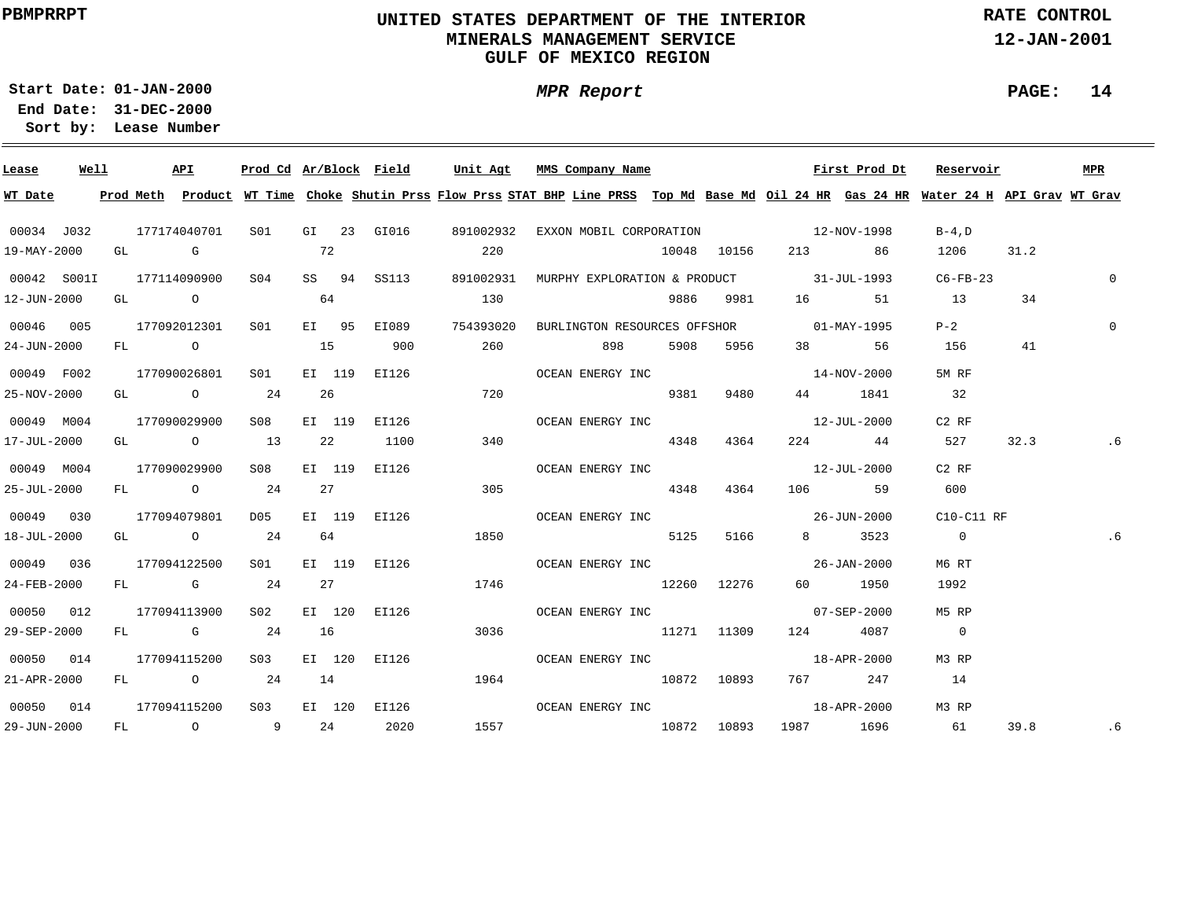# **UNITED STATES DEPARTMENT OF THE INTERIOR MINERALS MANAGEMENT SERVICEGULF OF MEXICO REGION**

**MPR Report**

**RATE CONTROL**

**12-JAN-2001**

**PAGE: 14**

**01-JAN-2000Start Date:31-DEC-2000 End Date:** 

| Lease       | Well |  | API              |                             |  |                               |      |      | <u>Prod Cd Ar/Block Field Unit Agt MMS Company Name</u>                                                                                                 |           |             | First Prod Dt Reservoir |      | MPR            |
|-------------|------|--|------------------|-----------------------------|--|-------------------------------|------|------|---------------------------------------------------------------------------------------------------------------------------------------------------------|-----------|-------------|-------------------------|------|----------------|
|             |      |  |                  |                             |  |                               |      |      | WT Date 19 Prod Meth Product WT Time Choke Shutin Prss Flow Prss STAT BHP Line PRSS Top Md Base Md Oil 24 HR Gas 24 HR Water 24 H API Grav WT Grav      |           |             |                         |      |                |
|             |      |  |                  |                             |  |                               |      |      | 00034 J032  177174040701  S01  GI  23  GI016  891002932  EXXON  MOBIL CORPORATION  12-NOV-1998                                                          |           |             | $B-4$ , D               |      |                |
| 19-MAY-2000 |      |  |                  | $GL$ G $72$                 |  |                               | 220  |      | 10048 10156 213 86                                                                                                                                      |           |             | 1206 31.2               |      |                |
|             |      |  |                  |                             |  |                               |      |      | 00042 S001I 177114090900 S04 SS 94 SS113 891002931 MURPHY EXPLORATION & PRODUCT 31-JUL-1993 C6-FB-23                                                    |           |             |                         |      | $\overline{0}$ |
| 12-JUN-2000 |      |  |                  | GL $\qquad \qquad \circ$ 64 |  |                               | 130  |      |                                                                                                                                                         |           |             | 9886 9981 16 51 13      | 34   |                |
| 00046 005   |      |  |                  |                             |  |                               |      |      | 177092012301 S01 EI 95 EI089 754393020 BURLINGTON RESOURCES OFFSHOR 01-MAY-1995                                                                         |           |             | $P-2$                   |      | $\Omega$       |
| 24-JUN-2000 |      |  |                  |                             |  | FL 0 15 900 260               |      |      | 898 5908 5956                                                                                                                                           |           | 38 56       | 156                     | 41   |                |
| 00049 F002  |      |  |                  |                             |  |                               |      |      | $177090026801 \qquad \texttt{S01} \qquad \texttt{EI} \quad 119 \qquad \texttt{EI126} \qquad \qquad \texttt{OCEAN ENERGY INC} \qquad \qquad 14-NOV-2000$ |           |             | 5M RF                   |      |                |
| 25-NOV-2000 |      |  |                  | GL 0 24 26                  |  | 720                           |      |      |                                                                                                                                                         | 9381 9480 | 44 1841     | 32                      |      |                |
| 00049 M004  |      |  | 177090029900     | S08                         |  |                               |      |      |                                                                                                                                                         |           |             | $C2$ RF                 |      |                |
| 17-JUL-2000 |      |  |                  |                             |  | GL 0 13 22 1100 340           |      |      | 4348 4364                                                                                                                                               |           | 224 44      | 527                     | 32.3 | . 6            |
| 00049 M004  |      |  | 177090029900 S08 |                             |  |                               |      |      |                                                                                                                                                         |           |             | $C2$ RF                 |      |                |
| 25-JUL-2000 |      |  |                  |                             |  | FL 0 24 27 305                |      |      | 4348 4364 106 59                                                                                                                                        |           |             | 600                     |      |                |
| 00049 030   |      |  |                  |                             |  |                               |      |      | 177094079801 D05 EI 119 EI126     OCEAN ENERGY INC     26-JUN-2000 C10-C11 RF                                                                           |           |             |                         |      |                |
| 18-JUL-2000 |      |  |                  |                             |  | GL 0 24 64 1850               |      |      | 5125 5166                                                                                                                                               |           | 8 3523      | $\overline{0}$          |      | .6             |
| 00049 036   |      |  | 177094122500     |                             |  |                               |      |      |                                                                                                                                                         |           |             | M6 RT                   |      |                |
| 24-FEB-2000 |      |  |                  |                             |  | FL G 24 27 1746               |      |      | 12260 12276 60 1950                                                                                                                                     |           |             | 1992                    |      |                |
| 00050 012   |      |  |                  |                             |  | 177094113900 S02 EI 120 EI126 |      |      | OCEAN ENERGY INC 07-SEP-2000                                                                                                                            |           |             | M5 RP                   |      |                |
| 29-SEP-2000 |      |  |                  | FL G 24 16                  |  |                               |      | 3036 | 11271 11309 124 4087                                                                                                                                    |           |             | $\overline{0}$          |      |                |
| 00050 014   |      |  |                  |                             |  | 177094115200 S03 EI 120 EI126 |      |      | OCEAN ENERGY INC                                                                                                                                        |           | 18-APR-2000 | M3 RP                   |      |                |
| 21-APR-2000 |      |  |                  |                             |  | FL 0 24 14                    | 1964 |      | $10872$ $10893$ $767$ $247$                                                                                                                             |           |             | 14                      |      |                |
|             |      |  |                  |                             |  |                               |      |      |                                                                                                                                                         |           |             | M3 RP                   |      |                |
|             |      |  |                  |                             |  |                               |      |      |                                                                                                                                                         |           |             |                         | 39.8 | .6             |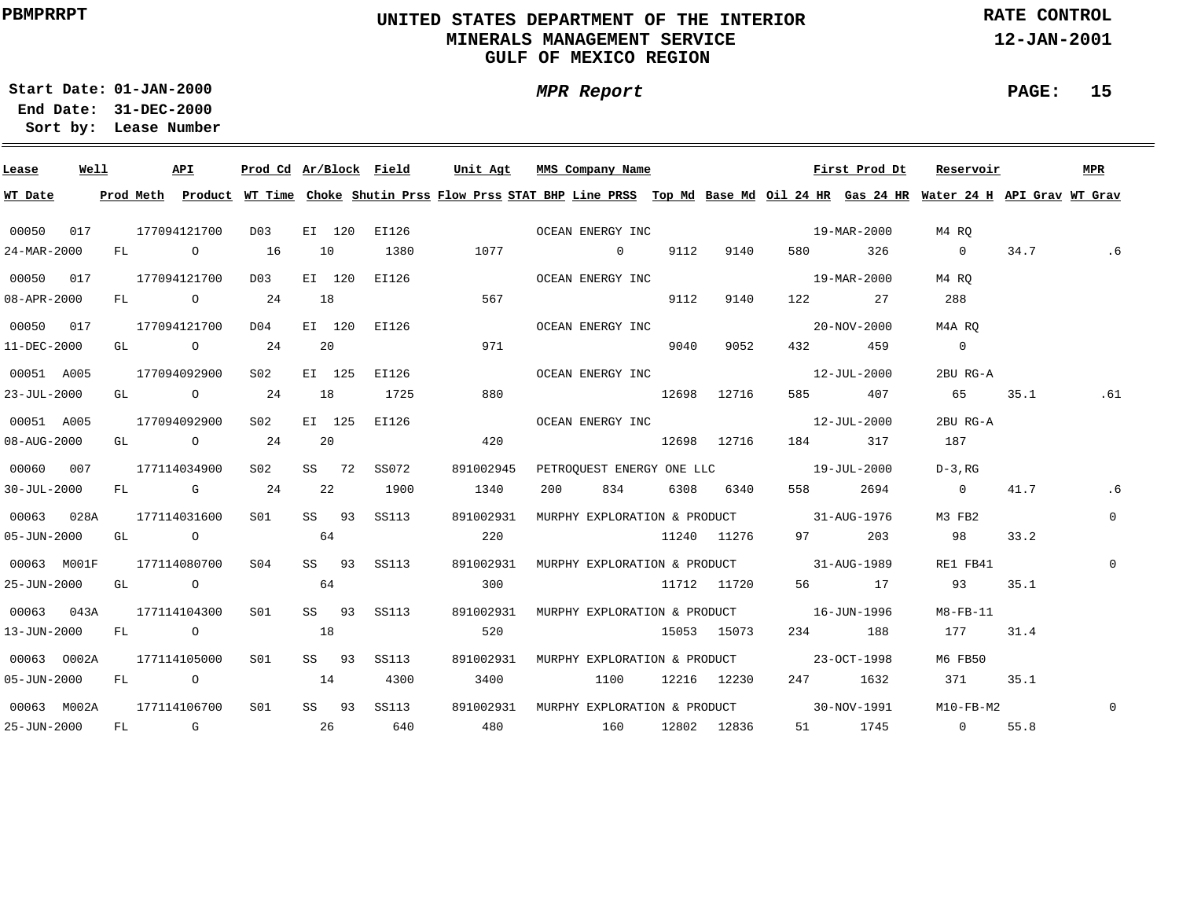# **UNITED STATES DEPARTMENT OF THE INTERIOR MINERALS MANAGEMENT SERVICEGULF OF MEXICO REGION**

**MPR Report**

**RATE CONTROL**

**12-JAN-2001**

**PAGE: 15**

**01-JAN-2000Start Date:**

**31-DEC-2000 End Date: Lease Number Sort by:**

| Lease             | Well | API                                   |                 |    |        | Prod Cd Ar/Block Field | Unit Agt                                                                                                                                |     | MMS Company Name |      |               |                                          | First Prod Dt | Reservoir      |      | MPR          |
|-------------------|------|---------------------------------------|-----------------|----|--------|------------------------|-----------------------------------------------------------------------------------------------------------------------------------------|-----|------------------|------|---------------|------------------------------------------|---------------|----------------|------|--------------|
| WT Date           |      |                                       |                 |    |        |                        | Prod Meth Product WT Time Choke Shutin Prss Flow Prss STAT BHP Line PRSS Top Md Base Md Oil 24 HR Gas 24 HR Water 24 H API Grav WT Grav |     |                  |      |               |                                          |               |                |      |              |
| 00050 017         |      | 177094121700                          | D03             |    |        |                        | EI 120 EI126 CCEAN ENERGY INC 29-MAR-2000                                                                                               |     |                  |      |               |                                          |               | M4 RO          |      |              |
| 24-MAR-2000       |      | FL 0 16                               |                 | 10 |        | 1380                   |                                                                                                                                         |     | 1077 0 9112 9140 |      |               |                                          | 580 326       | $\overline{0}$ |      | 34.7 .6      |
| 00050 017         |      | 177094121700                          | D03             |    | EI 120 | EI126                  |                                                                                                                                         |     | OCEAN ENERGY INC |      |               |                                          | 19-MAR-2000   | M4 RO          |      |              |
| 08-APR-2000       |      | FL 0 24                               |                 | 18 |        |                        | 567                                                                                                                                     |     |                  | 9112 | 9140          |                                          | 122 27        | 288            |      |              |
| 00050 017         |      | 177094121700                          | D04             |    |        | EI 120 EI126           |                                                                                                                                         |     | OCEAN ENERGY INC |      |               |                                          | 20-NOV-2000   | M4A RO         |      |              |
| 11-DEC-2000       |      | GL $\qquad \qquad$ 0 24               |                 |    | 20     |                        | 971                                                                                                                                     |     |                  | 9040 | 9052          |                                          | 432 459       | $\overline{0}$ |      |              |
| 00051 A005        |      | 177094092900                          | S02             |    | EI 125 | EI126                  |                                                                                                                                         |     | OCEAN ENERGY INC |      |               |                                          | 12-JUL-2000   | 2BU RG-A       |      |              |
| $23 - JUL - 2000$ |      | GL $\qquad \qquad \circ$ 24           |                 | 18 |        | 1725                   | 880                                                                                                                                     |     | 12698 12716      |      |               |                                          | 585 407       | 65             | 35.1 | .61          |
| 00051 A005        |      | 177094092900                          | S02             |    | EI 125 | EI126                  |                                                                                                                                         |     |                  |      |               | OCEAN ENERGY INC 12-JUL-2000             |               | 2BU RG-A       |      |              |
| 08-AUG-2000       |      | GL $\qquad \qquad 0 \qquad \qquad 24$ |                 | 20 |        |                        | 420                                                                                                                                     |     | 12698 12716      |      |               | 184 317                                  |               | 187            |      |              |
| 00060 007         |      | 177114034900                          | S02             |    | SS 72  | SS072                  | 891002945                                                                                                                               |     |                  |      |               | PETROOUEST ENERGY ONE LLC 19-JUL-2000    |               | $D-3$ , RG     |      |              |
| $30 - JUL - 2000$ |      | FL G 24                               |                 |    | 22     | 1900                   | 1340                                                                                                                                    | 200 |                  |      | 834 6308 6340 |                                          | 558 2694      | $\overline{0}$ | 41.7 | . 6          |
| 00063 028A        |      | 177114031600                          | S01             |    | SS 93  | SS113                  | 891002931                                                                                                                               |     |                  |      |               | MURPHY EXPLORATION & PRODUCT 31-AUG-1976 |               | M3 FB2         |      | $\mathbf{0}$ |
| $05 - JUN - 2000$ |      | GL O                                  | 64              |    |        |                        | 220                                                                                                                                     |     |                  |      |               | 11240 11276 97 203                       |               | 98             | 33.2 |              |
| 00063 M001F       |      | 177114080700                          | S04             |    |        | SS 93 SS113            | 891002931                                                                                                                               |     |                  |      |               | MURPHY EXPLORATION & PRODUCT 31-AUG-1989 |               | RE1 FB41       |      | $\Omega$     |
| 25-JUN-2000       |      | GL O                                  |                 | 64 |        |                        | 300                                                                                                                                     |     |                  |      |               | 11712 11720 56 17                        |               | 93             | 35.1 |              |
| 00063 043A        |      | 177114104300                          | SO1             |    |        | SS 93 SS113            | 891002931 MURPHY EXPLORATION & PRODUCT 16-JUN-1996                                                                                      |     |                  |      |               |                                          |               | M8-FB-11       |      |              |
| 13-JUN-2000       |      | FL O                                  |                 | 18 |        |                        | 520                                                                                                                                     |     |                  |      | 15053 15073   |                                          | 234 188       | 177            | 31.4 |              |
| 00063 0002A       |      | 177114105000                          | S01             |    | SS 93  | SS113                  | 891002931                                                                                                                               |     |                  |      |               | MURPHY EXPLORATION & PRODUCT 23-OCT-1998 |               | M6 FB50        |      |              |
| $05 - JUN - 2000$ |      | FL 0 14                               |                 |    |        | 4300                   | 3400                                                                                                                                    |     | 1100             |      | 12216 12230   |                                          | 247 1632      | 371            | 35.1 |              |
| 00063 M002A       |      | 177114106700                          | S <sub>01</sub> |    |        | SS 93 SS113            | 891002931 MURPHY EXPLORATION & PRODUCT 30-NOV-1991                                                                                      |     |                  |      |               |                                          |               | M10-FB-M2      |      | $\mathbf 0$  |
| 25-JUN-2000       |      | FL G 26 640                           |                 |    |        |                        | 480 160 12802 12836                                                                                                                     |     |                  |      |               |                                          |               | 51 1745 0      | 55.8 |              |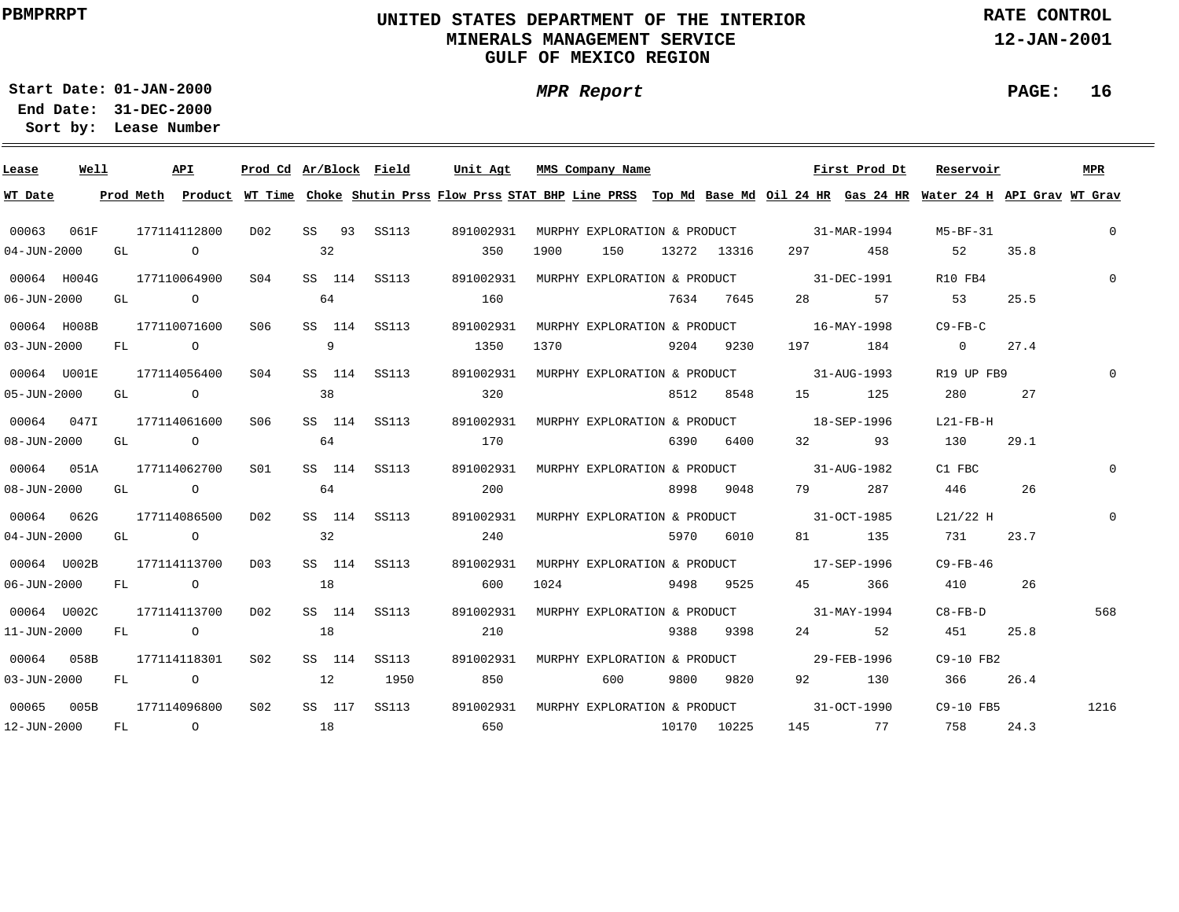# **UNITED STATES DEPARTMENT OF THE INTERIOR MINERALS MANAGEMENT SERVICEGULF OF MEXICO REGION**

**MPR Report**

**RATE CONTROL**

**12-JAN-2001**

**PAGE: 16**

**01-JAN-2000Start Date:31-DEC-2000 End Date:** 

| Lease             | Well |      | API            | Prod Cd Ar/Block Field |    |        |              | Unit Agt                                                                                                                                |      | MMS Company Name             |      |             |                                          | First Prod Dt | Reservoir     |      | MPR      |
|-------------------|------|------|----------------|------------------------|----|--------|--------------|-----------------------------------------------------------------------------------------------------------------------------------------|------|------------------------------|------|-------------|------------------------------------------|---------------|---------------|------|----------|
| WT Date           |      |      |                |                        |    |        |              | Prod Meth Product WT Time Choke Shutin Prss Flow Prss STAT BHP Line PRSS Top Md Base Md Oil 24 HR Gas 24 HR Water 24 H API Grav WT Grav |      |                              |      |             |                                          |               |               |      |          |
| 00063             | 061F |      | 177114112800   | DO2                    |    |        | SS 93 SS113  | 891002931                                                                                                                               |      |                              |      |             | MURPHY EXPLORATION & PRODUCT 31-MAR-1994 |               | M5-BF-31      |      | $\Omega$ |
| $04 - JUN - 2000$ |      | GL   | $\overline{a}$ |                        |    | 32     |              | 350                                                                                                                                     | 1900 | 150                          |      | 13272 13316 | 297 — 201                                | 458           | 52            | 35.8 |          |
| 00064 H004G       |      |      | 177110064900   | S <sub>04</sub>        |    |        | SS 114 SS113 | 891002931                                                                                                                               |      |                              |      |             | MURPHY EXPLORATION & PRODUCT 31-DEC-1991 |               | R10 FB4       |      | $\Omega$ |
| $06 - JUN - 2000$ |      | GL   | $\overline{a}$ |                        |    | 64     |              | 160                                                                                                                                     |      |                              |      | 7634 7645   | 28 — 28                                  | 57            | 53            | 25.5 |          |
| 00064 H008B       |      |      | 177110071600   | S06                    |    |        | SS 114 SS113 | 891002931                                                                                                                               |      |                              |      |             | MURPHY EXPLORATION & PRODUCT 16-MAY-1998 |               | C9-FB-C       |      |          |
| $03 - JUN - 2000$ |      | FL   | $\overline{O}$ |                        |    | 9      |              | 1350                                                                                                                                    | 1370 |                              | 9204 | 9230        | 197 — 197                                | 184           | $\sim$ 0      | 27.4 |          |
| 00064 U001E       |      |      | 177114056400   | S04                    |    |        | SS 114 SS113 | 891002931                                                                                                                               |      |                              |      |             | MURPHY EXPLORATION & PRODUCT 31-AUG-1993 |               | R19 UP FB9    |      | $\Omega$ |
| $05 - JUN - 2000$ |      | GL   | $\overline{O}$ |                        | 38 |        |              | 320                                                                                                                                     |      |                              | 8512 | 8548        |                                          | 125           | 280           | 27   |          |
| 00064 0471        |      |      | 177114061600   | S06                    |    |        | SS 114 SS113 | 891002931                                                                                                                               |      |                              |      |             | MURPHY EXPLORATION & PRODUCT 18-SEP-1996 |               | $L21-FB-H$    |      |          |
| $08 - JUN - 2000$ |      | GL   | $\overline{O}$ |                        | 64 |        |              | 170                                                                                                                                     |      |                              | 6390 | 6400        |                                          | 32 93         | 130           | 29.1 |          |
| 00064 051A        |      |      | 177114062700   | SO1                    |    |        | SS 114 SS113 | 891002931                                                                                                                               |      |                              |      |             | MURPHY EXPLORATION & PRODUCT 31-AUG-1982 |               | C1 FBC        |      |          |
| $08 - JUN - 2000$ |      |      | GL O           |                        | 64 |        |              | 200                                                                                                                                     |      |                              | 8998 | 9048        | 79 — 20                                  | 287           | 446           | 26   |          |
| 00064 062G        |      |      | 177114086500   | D02                    |    |        | SS 114 SS113 | 891002931                                                                                                                               |      |                              |      |             | MURPHY EXPLORATION & PRODUCT 31-OCT-1985 |               | L21/22 H      |      | $\Omega$ |
| $04 - JUN - 2000$ |      | GL   | $\overline{O}$ |                        |    | 32     |              | 240                                                                                                                                     |      |                              | 5970 | 6010        | 81 — 10                                  | 135           | 731           | 23.7 |          |
| 00064 U002B       |      |      | 177114113700   | D03                    |    |        | SS 114 SS113 | 891002931                                                                                                                               |      |                              |      |             | MURPHY EXPLORATION & PRODUCT 17-SEP-1996 |               | $C9-FB-46$    |      |          |
| $06 - JUN - 2000$ |      | FL   | $\overline{O}$ |                        | 18 |        |              | 600                                                                                                                                     | 1024 |                              | 9498 | 9525        | 45 — 10                                  | 366           | 410           | 26   |          |
| 00064 U002C       |      |      | 177114113700   | D02                    |    |        | SS 114 SS113 | 891002931                                                                                                                               |      | MURPHY EXPLORATION & PRODUCT |      |             |                                          | 31-MAY-1994   | $C8 - FB - D$ |      | 568      |
| 11-JUN-2000       |      | FL   | $\overline{O}$ |                        | 18 |        |              | 210                                                                                                                                     |      |                              | 9388 | 9398        |                                          | 52            | 451           | 25.8 |          |
| 00064             | 058B |      | 177114118301   | S02                    |    | SS 114 | SS113        | 891002931                                                                                                                               |      | MURPHY EXPLORATION & PRODUCT |      |             |                                          | 29-FEB-1996   | C9-10 FB2     |      |          |
| $03 - JUN - 2000$ |      | FL   | $\overline{O}$ |                        | 12 |        | 1950         | 850                                                                                                                                     |      | 600                          | 9800 | 9820        | 92                                       | 130           | 366           | 26.4 |          |
| 00065             | 005B |      | 177114096800   | S <sub>02</sub>        |    | SS 117 | SS113        | 891002931                                                                                                                               |      |                              |      |             | MURPHY EXPLORATION & PRODUCT 31-OCT-1990 |               | C9-10 FB5     |      | 1216     |
| 12-JUN-2000       |      | FL - | $\overline{a}$ |                        | 18 |        |              | 650                                                                                                                                     |      |                              |      | 10170 10225 |                                          | 145 77        | 758           | 24.3 |          |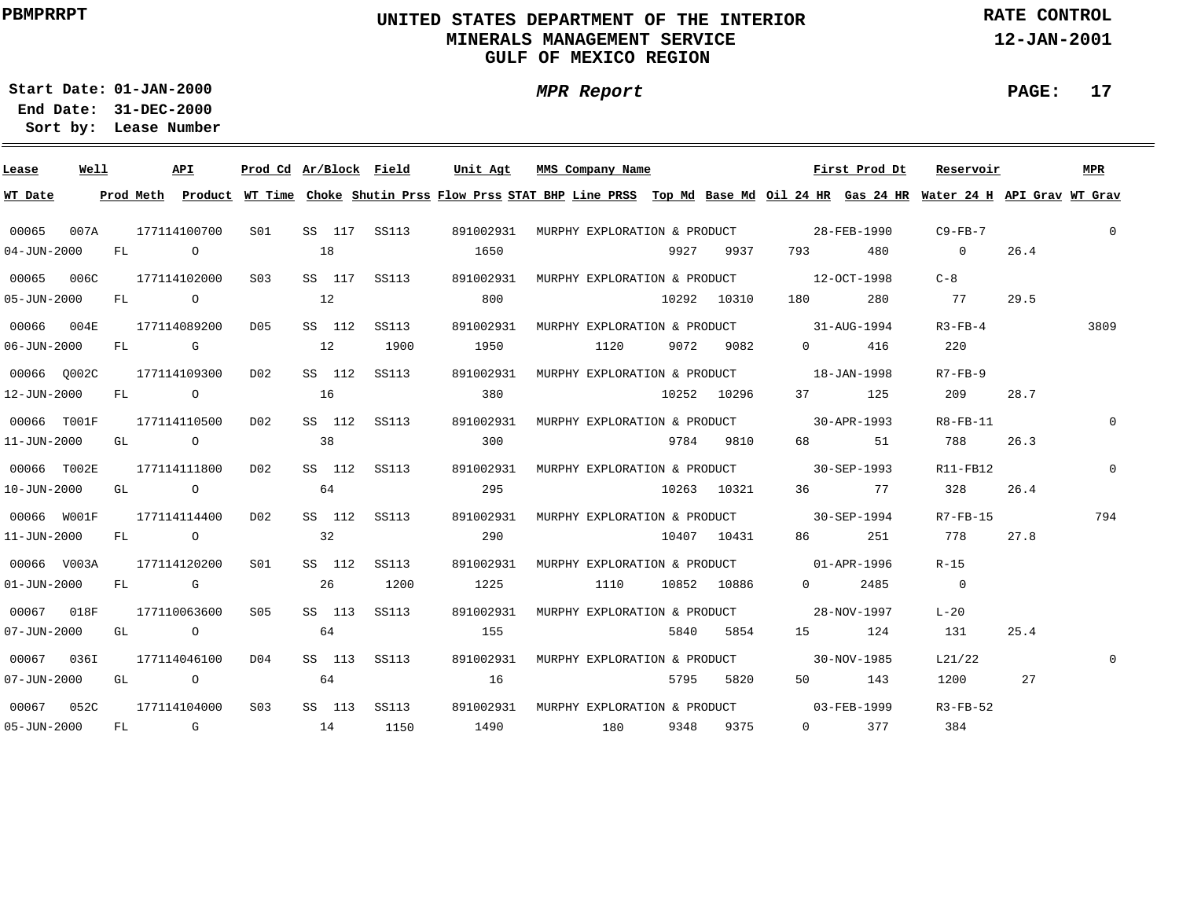# **UNITED STATES DEPARTMENT OF THE INTERIOR MINERALS MANAGEMENT SERVICEGULF OF MEXICO REGION**

**MPR Report**

**RATE CONTROL**

**12-JAN-2001**

**PAGE: 17**

**01-JAN-2000Start Date:**

**31-DEC-2000 End Date: Lease Number Sort by:**

| Lease             | Well |    |                | API                                                                                                                                                                                                                            | Prod Cd Ar/Block Field |    |        |              | Unit Agt                                           | MMS Company Name                         |      |             |                                                                                                                                                                                                                                 |                                                                                                                                                                                                                                                                                                                                    | First Prod Dt     | Reservoir                                                                                                                               |      | MPR      |
|-------------------|------|----|----------------|--------------------------------------------------------------------------------------------------------------------------------------------------------------------------------------------------------------------------------|------------------------|----|--------|--------------|----------------------------------------------------|------------------------------------------|------|-------------|---------------------------------------------------------------------------------------------------------------------------------------------------------------------------------------------------------------------------------|------------------------------------------------------------------------------------------------------------------------------------------------------------------------------------------------------------------------------------------------------------------------------------------------------------------------------------|-------------------|-----------------------------------------------------------------------------------------------------------------------------------------|------|----------|
| WT Date           |      |    |                |                                                                                                                                                                                                                                |                        |    |        |              |                                                    |                                          |      |             |                                                                                                                                                                                                                                 |                                                                                                                                                                                                                                                                                                                                    |                   | Prod Meth Product WT Time Choke Shutin Prss Flow Prss STAT BHP Line PRSS Top Md Base Md Oil 24 HR Gas 24 HR Water 24 H API Grav WT Grav |      |          |
| 00065             | 007A |    |                | 177114100700                                                                                                                                                                                                                   | S01                    |    |        | SS 117 SS113 | 891002931 MURPHY EXPLORATION & PRODUCT 28-FEB-1990 |                                          |      |             |                                                                                                                                                                                                                                 |                                                                                                                                                                                                                                                                                                                                    |                   | C9-FB-7                                                                                                                                 |      | $\Omega$ |
| $04 - JUN - 2000$ |      | FL | $\overline{0}$ |                                                                                                                                                                                                                                |                        | 18 |        |              | 1650                                               |                                          |      | 9927 9937   | 793 — 10                                                                                                                                                                                                                        |                                                                                                                                                                                                                                                                                                                                    | 480               | $\overline{0}$                                                                                                                          | 26.4 |          |
| 00065 006C        |      |    |                | 177114102000                                                                                                                                                                                                                   | S03                    |    |        | SS 117 SS113 | 891002931                                          | MURPHY EXPLORATION & PRODUCT 12-OCT-1998 |      |             |                                                                                                                                                                                                                                 |                                                                                                                                                                                                                                                                                                                                    |                   | $C-8$                                                                                                                                   |      |          |
| $05 - JUN - 2000$ |      | FL |                | $\overline{O}$                                                                                                                                                                                                                 |                        | 12 |        |              | 800                                                |                                          |      | 10292 10310 | 180 — 180 — 180 — 180 — 180 — 180 — 180 — 180 — 180 — 180 — 181 — 182 — 182 — 182 — 182 — 182 — 182 — 182 — 182 — 182 — 182 — 182 — 182 — 182 — 182 — 182 — 182 — 182 — 182 — 182 — 182 — 182 — 182 — 182 — 182 — 182 — 182 — 1 |                                                                                                                                                                                                                                                                                                                                    | 280               | 77                                                                                                                                      | 29.5 |          |
| 00066             | 004E |    |                | 177114089200                                                                                                                                                                                                                   | D05                    |    | SS 112 | SS113        | 891002931                                          | MURPHY EXPLORATION & PRODUCT 31-AUG-1994 |      |             |                                                                                                                                                                                                                                 |                                                                                                                                                                                                                                                                                                                                    |                   | $R3-FB-4$                                                                                                                               |      | 3809     |
| $06 - JUN - 2000$ |      | FL |                | and the control of the control of the control of the control of the control of the control of the control of the control of the control of the control of the control of the control of the control of the control of the cont |                        | 12 |        | 1900         | 1950                                               | 1120                                     |      | 9072 9082   |                                                                                                                                                                                                                                 | $0 \qquad \qquad$                                                                                                                                                                                                                                                                                                                  | 416               | 220                                                                                                                                     |      |          |
| 00066 0002C       |      |    |                | 177114109300                                                                                                                                                                                                                   | DO 2                   |    | SS 112 | SS113        | 891002931                                          | MURPHY EXPLORATION & PRODUCT 18-JAN-1998 |      |             |                                                                                                                                                                                                                                 |                                                                                                                                                                                                                                                                                                                                    |                   | $R7 - FB - 9$                                                                                                                           |      |          |
| 12-JUN-2000       |      | FL |                | $\overline{O}$                                                                                                                                                                                                                 |                        | 16 |        |              | 380                                                |                                          |      | 10252 10296 |                                                                                                                                                                                                                                 | 37 — 1                                                                                                                                                                                                                                                                                                                             | 125               | 209                                                                                                                                     | 28.7 |          |
| 00066 T001F       |      |    |                | 177114110500                                                                                                                                                                                                                   | D02                    |    |        | SS 112 SS113 | 891002931                                          | MURPHY EXPLORATION & PRODUCT 30-APR-1993 |      |             |                                                                                                                                                                                                                                 |                                                                                                                                                                                                                                                                                                                                    |                   | $R8 - FB - 11$                                                                                                                          |      |          |
| 11-JUN-2000       |      |    |                | GL O                                                                                                                                                                                                                           |                        | 38 |        |              | 300                                                |                                          |      | 9784 9810   |                                                                                                                                                                                                                                 |                                                                                                                                                                                                                                                                                                                                    | 68 51             | 788                                                                                                                                     | 26.3 |          |
| 00066 T002E       |      |    |                | 177114111800                                                                                                                                                                                                                   | D02                    |    | SS 112 | SS113        | 891002931                                          | MURPHY EXPLORATION & PRODUCT 30-SEP-1993 |      |             |                                                                                                                                                                                                                                 |                                                                                                                                                                                                                                                                                                                                    |                   | $R11-FB12$                                                                                                                              |      | $\Omega$ |
| 10-JUN-2000       |      |    |                | GL O                                                                                                                                                                                                                           |                        | 64 |        |              | 295                                                |                                          |      | 10263 10321 |                                                                                                                                                                                                                                 |                                                                                                                                                                                                                                                                                                                                    | 36 77             | 328                                                                                                                                     | 26.4 |          |
| 00066 W001F       |      |    |                | 177114114400                                                                                                                                                                                                                   | DO 2                   |    | SS 112 | SS113        | 891002931                                          | MURPHY EXPLORATION & PRODUCT 30-SEP-1994 |      |             |                                                                                                                                                                                                                                 |                                                                                                                                                                                                                                                                                                                                    |                   | R7-FB-15                                                                                                                                |      | 794      |
| 11-JUN-2000       |      |    |                | FL O                                                                                                                                                                                                                           |                        | 32 |        |              | 290                                                |                                          |      | 10407 10431 |                                                                                                                                                                                                                                 | 86 — 1                                                                                                                                                                                                                                                                                                                             | 251               | 778                                                                                                                                     | 27.8 |          |
| 00066 V003A       |      |    |                | 177114120200                                                                                                                                                                                                                   | SO1                    |    | SS 112 | SS113        | 891002931                                          | MURPHY EXPLORATION & PRODUCT 01-APR-1996 |      |             |                                                                                                                                                                                                                                 |                                                                                                                                                                                                                                                                                                                                    |                   | $R-15$                                                                                                                                  |      |          |
| $01 - JUN - 2000$ |      | FL |                | <b>G</b> G                                                                                                                                                                                                                     |                        | 26 |        | 1200         | 1225                                               | 1110                                     |      | 10852 10886 |                                                                                                                                                                                                                                 | $\overline{0}$ and $\overline{0}$ and $\overline{0}$ and $\overline{0}$ and $\overline{0}$ and $\overline{0}$ and $\overline{0}$ and $\overline{0}$ and $\overline{0}$ and $\overline{0}$ and $\overline{0}$ and $\overline{0}$ and $\overline{0}$ and $\overline{0}$ and $\overline{0}$ and $\overline{0}$ and $\overline{0}$ and | 2485              | $\overline{0}$                                                                                                                          |      |          |
| 00067             | 018F |    |                | 177110063600                                                                                                                                                                                                                   | S05                    |    | SS 113 | SS113        | 891002931                                          | MURPHY EXPLORATION & PRODUCT             |      |             |                                                                                                                                                                                                                                 |                                                                                                                                                                                                                                                                                                                                    | 28-NOV-1997       | $L-20$                                                                                                                                  |      |          |
| $07 - JUN - 2000$ |      | GL |                | $\overline{O}$                                                                                                                                                                                                                 |                        | 64 |        |              | 155                                                |                                          | 5840 | 5854        |                                                                                                                                                                                                                                 |                                                                                                                                                                                                                                                                                                                                    | 124               | 131                                                                                                                                     | 25.4 |          |
| 00067             | 036I |    |                | 177114046100                                                                                                                                                                                                                   | D04                    |    | SS 113 | SS113        | 891002931                                          | MURPHY EXPLORATION & PRODUCT             |      |             |                                                                                                                                                                                                                                 |                                                                                                                                                                                                                                                                                                                                    | $30 - NOV - 1985$ | L21/22                                                                                                                                  |      | $\Omega$ |
| $07 - JUN - 2000$ |      | GL |                | $\overline{O}$                                                                                                                                                                                                                 |                        | 64 |        |              | 16                                                 |                                          |      | 5795 5820   |                                                                                                                                                                                                                                 | 50 — 10                                                                                                                                                                                                                                                                                                                            | 143               | 1200                                                                                                                                    | 27   |          |
| 00067             | 052C |    |                | 177114104000                                                                                                                                                                                                                   | S <sub>0.3</sub>       |    | SS 113 | SS113        | 891002931                                          | MURPHY EXPLORATION & PRODUCT 03-FEB-1999 |      |             |                                                                                                                                                                                                                                 |                                                                                                                                                                                                                                                                                                                                    |                   | $R3-FB-52$                                                                                                                              |      |          |
| $05 - JUN - 2000$ |      | FL |                | and the Company of the Company of the Company of the Company of the Company of the Company of the Company of the Company of the Company of the Company of the Company of the Company of the Company of the Company of the Comp |                        | 14 |        | 1150         | 1490                                               | 180 9348 9375                            |      |             |                                                                                                                                                                                                                                 | $\Omega$                                                                                                                                                                                                                                                                                                                           | 377               | 384                                                                                                                                     |      |          |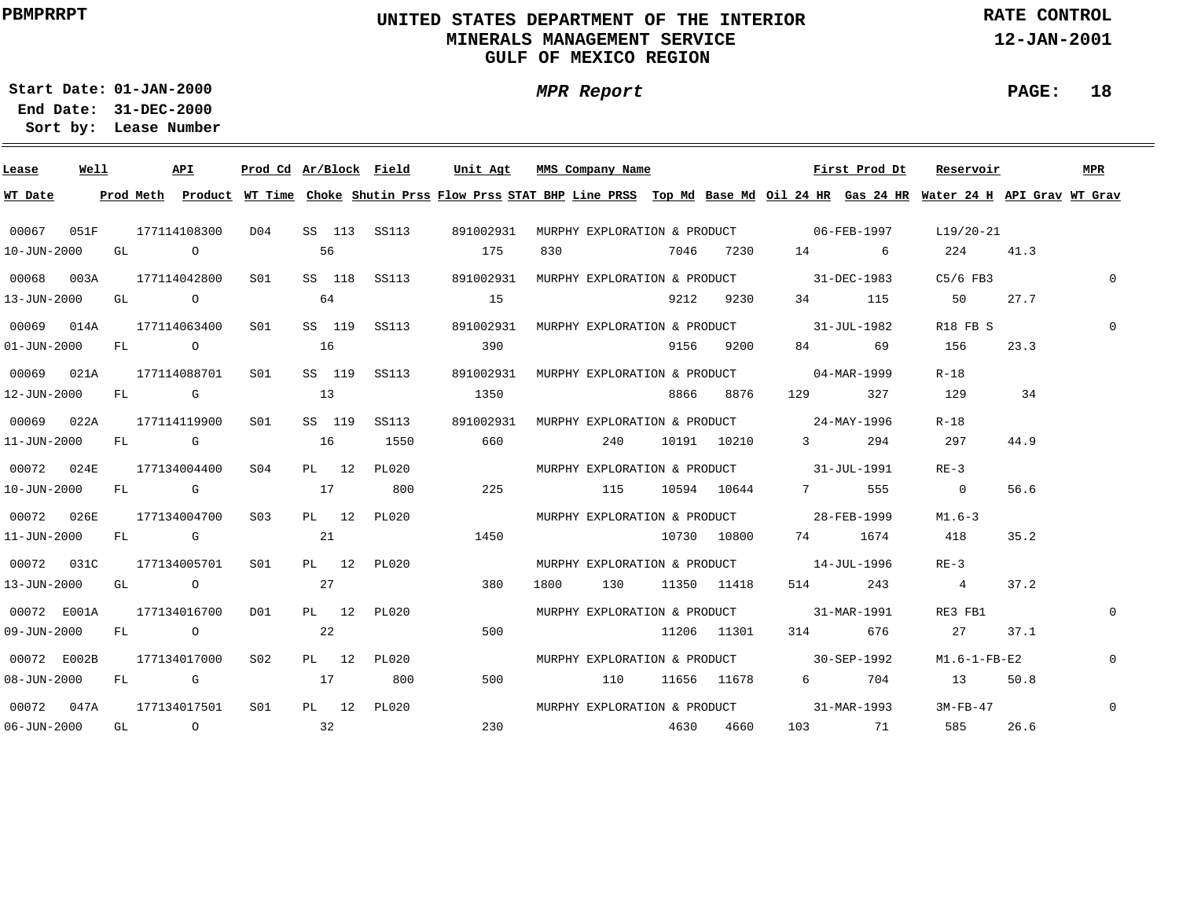# **UNITED STATES DEPARTMENT OF THE INTERIOR MINERALS MANAGEMENT SERVICEGULF OF MEXICO REGION**

**MPR Report**

**RATE CONTROL**

**12-JAN-2001**

**PAGE: 18**

**01-JAN-2000Start Date:31-DEC-2000 End Date:** 

| Lease                     | Well |      | API          |                 |    |        | Prod Cd Ar/Block Field | Unit Agt                                                                                                                                |      | MMS Company Name |             |                                          | First Prod Dt                            | Reservoir                                          |      | MPR          |
|---------------------------|------|------|--------------|-----------------|----|--------|------------------------|-----------------------------------------------------------------------------------------------------------------------------------------|------|------------------|-------------|------------------------------------------|------------------------------------------|----------------------------------------------------|------|--------------|
| WT Date                   |      |      |              |                 |    |        |                        | Prod Meth Product WT Time Choke Shutin Prss Flow Prss STAT BHP Line PRSS Top Md Base Md Oil 24 HR Gas 24 HR Water 24 H API Grav WT Grav |      |                  |             |                                          |                                          |                                                    |      |              |
| 00067                     | 051F |      | 177114108300 | D04             |    |        |                        | SS 113 SS113 891002931                                                                                                                  |      |                  |             |                                          |                                          | MURPHY EXPLORATION & PRODUCT 06-FEB-1997 L19/20-21 |      |              |
| 10-JUN-2000               |      | GL O |              |                 | 56 |        |                        | 175                                                                                                                                     | 830  |                  | 7046 7230   | 14 6                                     |                                          | 224 41.3                                           |      |              |
| 00068 003A 177114042800   |      |      |              | S01             |    |        | SS 118 SS113           | 891002931 MURPHY EXPLORATION & PRODUCT 31-DEC-1983                                                                                      |      |                  |             |                                          |                                          | C5/6 FB3                                           |      | $\mathbf{0}$ |
| 13-JUN-2000 GL 0          |      |      |              |                 |    | 64     |                        | 15                                                                                                                                      |      |                  | 9212 9230   |                                          | 34 115                                   | 50 27.7                                            |      |              |
| 00069 014A 177114063400   |      |      |              | S <sub>01</sub> |    |        | SS 119 SS113           | 891002931 MURPHY EXPLORATION & PRODUCT 31-JUL-1982                                                                                      |      |                  |             |                                          |                                          | R18 FB S                                           |      | $\Omega$     |
| 01-JUN-2000 FL 0          |      |      |              |                 | 16 |        |                        | 390                                                                                                                                     |      |                  | 9156 9200   |                                          | 84 69                                    | 156                                                | 23.3 |              |
| 00069  021A  177114088701 |      |      |              | S01             |    | SS 119 | SS113                  | 891002931 MURPHY EXPLORATION & PRODUCT 04-MAR-1999                                                                                      |      |                  |             |                                          |                                          | $R-18$                                             |      |              |
| 12-JUN-2000               |      |      | FL G         |                 | 13 |        |                        | 1350                                                                                                                                    |      |                  | 8866 8876   | 129                                      | 327                                      | 129                                                | 34   |              |
| 00069 022A 177114119900   |      |      |              | S01             |    | SS 119 | SS113                  | 891002931 MURPHY EXPLORATION & PRODUCT 24-MAY-1996                                                                                      |      |                  |             |                                          |                                          | $R-18$                                             |      |              |
| 11-JUN-2000               |      |      | FLG C        |                 | 16 |        | 1550                   | 660                                                                                                                                     |      | 240              | 10191 10210 | $3 \sim 3$                               | 294                                      | 297                                                | 44.9 |              |
| 00072 024E                |      |      | 177134004400 | SO4             |    | PL 12  | PL020                  |                                                                                                                                         |      |                  |             | MURPHY EXPLORATION & PRODUCT 31-JUL-1991 |                                          | $RE-3$                                             |      |              |
| 10-JUN-2000               |      |      | FL G         |                 | 17 |        | 800                    | 225                                                                                                                                     |      |                  |             | 115 10594 10644 7                        | 555                                      | $\overline{0}$                                     | 56.6 |              |
| 00072 026E                |      |      | 177134004700 | S03             |    | PL 12  | PL020                  |                                                                                                                                         |      |                  |             | MURPHY EXPLORATION & PRODUCT 28-FEB-1999 |                                          | M1.6-3                                             |      |              |
| 11-JUN-2000 FL G          |      |      |              |                 | 21 |        |                        | 1450                                                                                                                                    |      |                  | 10730 10800 | 74 1674                                  |                                          | 418                                                | 35.2 |              |
| 00072 031C                |      |      | 177134005701 | SO1             |    | PL 12  | PL020                  |                                                                                                                                         |      |                  |             | MURPHY EXPLORATION & PRODUCT 14-JUL-1996 |                                          | $RE-3$                                             |      |              |
| 13-JUN-2000 GL 0          |      |      |              |                 | 27 |        |                        | 380                                                                                                                                     | 1800 | 130 11350 11418  |             |                                          | 514 243                                  | $4\overline{4}$                                    | 37.2 |              |
| 00072 E001A               |      |      | 177134016700 | DO1             |    |        | PL 12 PL020            |                                                                                                                                         |      |                  |             | MURPHY EXPLORATION & PRODUCT 31-MAR-1991 |                                          | RE3 FB1                                            |      | $\Omega$     |
| 09-JUN-2000               |      |      | FL O         |                 | 22 |        |                        | 500                                                                                                                                     |      |                  |             | 11206 11301 314 676                      |                                          | 27                                                 | 37.1 |              |
| 00072 E002B 177134017000  |      |      |              | S02             |    |        | PL 12 PL020            |                                                                                                                                         |      |                  |             | MURPHY EXPLORATION & PRODUCT 30-SEP-1992 |                                          | M1.6-1-FB-E2                                       |      | $\mathbf{0}$ |
| $08 - JUN - 2000$         |      |      | FL G         |                 | 17 |        | 800                    | 500                                                                                                                                     |      | 110              | 11656 11678 |                                          | 6 704                                    | 13 50.8                                            |      |              |
| 00072 047A 177134017501   |      |      |              | S01             |    |        | PL 12 PL020            |                                                                                                                                         |      |                  |             |                                          | MURPHY EXPLORATION & PRODUCT 31-MAR-1993 | 3M-FB-47                                           |      | $\mathbf 0$  |
| $06 - JUN - 2000$         |      |      |              | $GL$ 0 32       |    |        |                        | 230                                                                                                                                     |      |                  | 4630 4660   |                                          | 103 71                                   | 585                                                | 26.6 |              |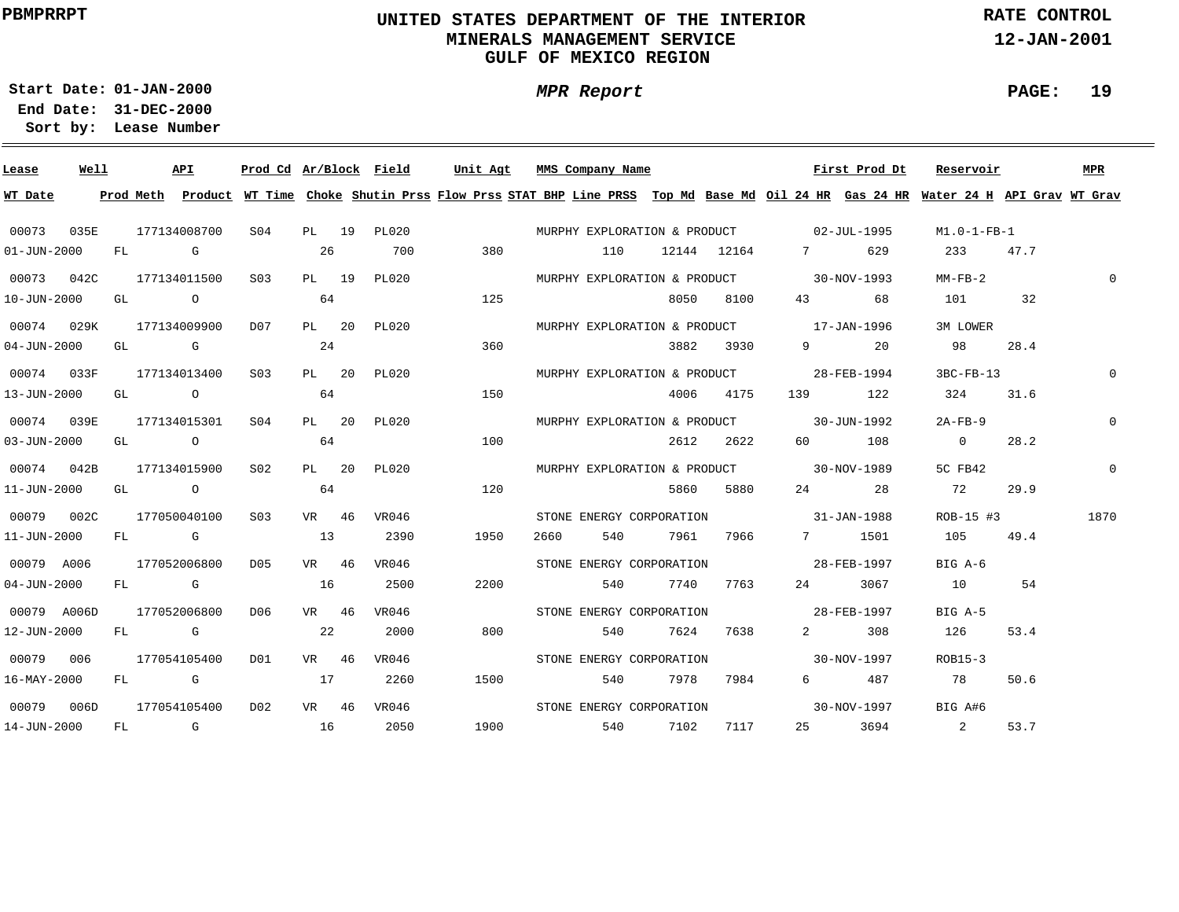# **UNITED STATES DEPARTMENT OF THE INTERIOR MINERALS MANAGEMENT SERVICEGULF OF MEXICO REGION**

**MPR Report**

**RATE CONTROL**

**12-JAN-2001**

**PAGE: 19**

**01-JAN-2000Start Date:31-DEC-2000 End Date:** 

| Lease                    | Well | API                            |           |       | Prod Cd Ar/Block Field | Unit Agt                                                                                                                                | MMS Company Name                         |       |      |               |                                        | First Prod Dt                        | Reservoir                                    |      | MPR         |
|--------------------------|------|--------------------------------|-----------|-------|------------------------|-----------------------------------------------------------------------------------------------------------------------------------------|------------------------------------------|-------|------|---------------|----------------------------------------|--------------------------------------|----------------------------------------------|------|-------------|
| WT Date                  |      |                                |           |       |                        | Prod Meth Product WT Time Choke Shutin Prss Flow Prss STAT BHP Line PRSS Top Md Base Md Oil 24 HR Gas 24 HR Water 24 H API Grav WT Grav |                                          |       |      |               |                                        |                                      |                                              |      |             |
| 00073                    | 035E | 177134008700                   |           |       |                        | S04 PL 19 PL020 MURPHY EXPLORATION & PRODUCT 02-JUL-1995                                                                                |                                          |       |      |               |                                        |                                      | M1.0-1-FB-1                                  |      |             |
| $01 - JUN - 2000$        |      | FL G                           |           | 26    | 700                    | 380                                                                                                                                     |                                          | 110   |      | 12144 12164   | 7                                      | 629                                  | 233 47.7                                     |      |             |
|                          |      | 00073  042C  177134011500  S03 |           | PL 19 | PL020                  |                                                                                                                                         | MURPHY EXPLORATION & PRODUCT 30-NOV-1993 |       |      |               |                                        |                                      | $MM-FB-2$                                    |      | 0           |
| $10 - JUN - 2000$        |      | GL O                           |           | 64    |                        | 125                                                                                                                                     |                                          |       |      | 8050 8100     |                                        | 43 68                                | 101 32                                       |      |             |
|                          |      | 00074 029K 177134009900 D07    |           |       | PL 20 PL020            |                                                                                                                                         | MURPHY EXPLORATION & PRODUCT 17-JAN-1996 |       |      |               |                                        |                                      | 3M LOWER                                     |      |             |
| $04 - JUN - 2000$        |      | GL G $24$                      |           |       |                        | 360                                                                                                                                     |                                          |       |      | 3882 3930     |                                        | 9 20                                 | 98 3                                         | 28.4 |             |
|                          |      | 00074 033F 177134013400 S03    |           |       | PL 20 PL020            |                                                                                                                                         | MURPHY EXPLORATION & PRODUCT 28-FEB-1994 |       |      |               |                                        |                                      | 3BC-FB-13                                    |      | $\mathbf 0$ |
| 13-JUN-2000              |      | $GL$ 0 64                      |           |       |                        | 150                                                                                                                                     |                                          |       |      | 4006 4175     |                                        | 139 122                              | 324                                          | 31.6 |             |
| 00074 039E               |      | 177134015301 S04               |           |       | PL 20 PL020            |                                                                                                                                         | MURPHY EXPLORATION & PRODUCT 30-JUN-1992 |       |      |               |                                        |                                      | 2A-FB-9                                      |      | 0           |
| $03 - JUN - 2000$        |      | $GL$ 0 64                      |           |       |                        | 100                                                                                                                                     |                                          |       |      | 2612 2622     |                                        | 60 108                               | $\overline{0}$                               | 28.2 |             |
| 00074 042B               |      | 177134015900                   | S02       | PL 20 | PL020                  |                                                                                                                                         | MURPHY EXPLORATION & PRODUCT 30-NOV-1989 |       |      |               |                                        |                                      | 5C FB42                                      |      | $\mathbf 0$ |
| 11-JUN-2000              |      | GL O                           |           | 64    |                        | 120                                                                                                                                     |                                          |       |      | 5860 5880     |                                        | 24 28                                | 72                                           | 29.9 |             |
| 00079 002C               |      | 177050040100                   | S03       | VR 46 | VR046                  |                                                                                                                                         | STONE ENERGY CORPORATION 31-JAN-1988     |       |      |               |                                        |                                      | ROB-15 #3                                    |      | 1870        |
| 11-JUN-2000              |      | FL G                           |           | 13    | 2390                   | 1950                                                                                                                                    | 2660                                     |       |      | 540 7961 7966 |                                        | 7 1501                               | 105 49.4                                     |      |             |
| 00079 A006               |      | 177052006800                   | D05       | VR 46 | VR046                  |                                                                                                                                         |                                          |       |      |               | STONE ENERGY CORPORATION 5 28-FEB-1997 |                                      | BIG A-6                                      |      |             |
| $04 - JUN - 2000$        |      | FL G                           |           | 16    | 2500                   | 2200                                                                                                                                    |                                          | 540 6 |      | 7740 7763     |                                        | 24 3067                              | 10 54                                        |      |             |
| 00079 A006D              |      | 177052006800                   | D06       | VR 46 | VR046                  |                                                                                                                                         | STONE ENERGY CORPORATION 28-FEB-1997     |       |      |               |                                        |                                      | BIG A-5                                      |      |             |
| 12-JUN-2000              |      | FL G                           | $\sim$ 22 |       | 2000                   | 800                                                                                                                                     |                                          | 540   | 7624 | 7638          | $\mathbf{2}$                           | 308                                  | 126                                          | 53.4 |             |
| 00079 006                |      | 177054105400                   | D01       | VR 46 | VR046                  |                                                                                                                                         |                                          |       |      |               |                                        | STONE ENERGY CORPORATION 30-NOV-1997 | ROB15-3                                      |      |             |
| $16 - \text{MAX} - 2000$ |      | $FL$ G and $17$                |           |       | 2260                   | 1500                                                                                                                                    |                                          | 540   | 7978 | 7984          |                                        | 6 487                                | 78                                           | 50.6 |             |
| 00079 006D               |      | 177054105400                   | D02       | VR 46 | VR046                  |                                                                                                                                         |                                          |       |      |               |                                        |                                      | STONE ENERGY CORPORATION 50-NOV-1997 BIG A#6 |      |             |
| 14-JUN-2000              |      | $FL$ G and $16$                |           |       | 2050                   | 1900 1900                                                                                                                               |                                          |       |      | 540 7102 7117 |                                        |                                      | 25 3694 2                                    | 53.7 |             |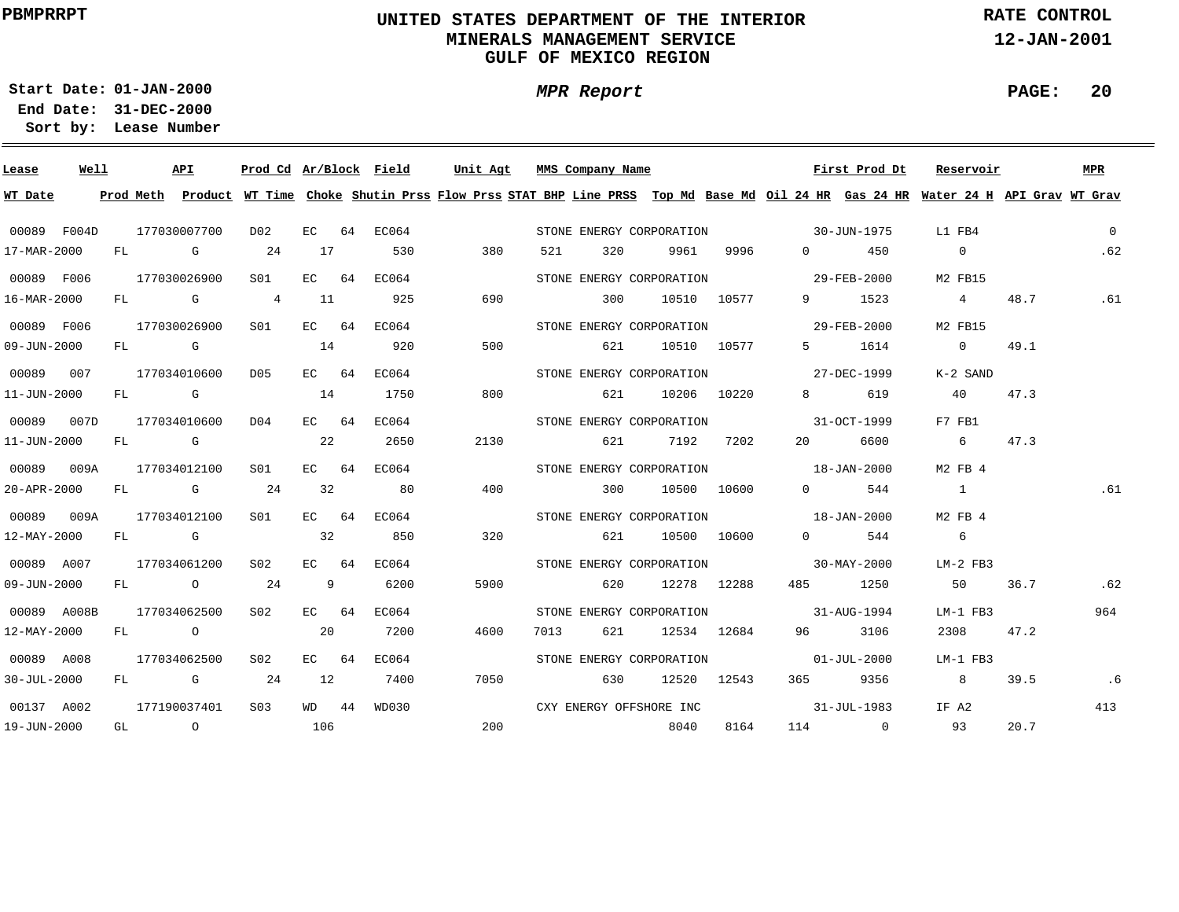# **UNITED STATES DEPARTMENT OF THE INTERIOR MINERALS MANAGEMENT SERVICEGULF OF MEXICO REGION**

**MPR Report**

**RATE CONTROL**

**12-JAN-2001**

**PAGE: 20**

**01-JAN-2000Start Date:31-DEC-2000 End Date:** 

| Lease             | Well |    | API                                                    | Prod Cd Ar/Block Field |         |             | Unit Agt                                                                                                                                | MMS Company Name         |       |      |             |                                      | First Prod Dt | Reservoir      |      | <b>MPR</b>     |
|-------------------|------|----|--------------------------------------------------------|------------------------|---------|-------------|-----------------------------------------------------------------------------------------------------------------------------------------|--------------------------|-------|------|-------------|--------------------------------------|---------------|----------------|------|----------------|
| WT Date           |      |    |                                                        |                        |         |             | Prod Meth Product WT Time Choke Shutin Prss Flow Prss STAT BHP Line PRSS Top Md Base Md Oil 24 HR Gas 24 HR Water 24 H API Grav WT Grav |                          |       |      |             |                                      |               |                |      |                |
| 00089 F004D       |      |    | 177030007700                                           | D02                    |         | EC 64 EC064 |                                                                                                                                         |                          |       |      |             | STONE ENERGY CORPORATION 30-JUN-1975 |               | L1 FB4         |      | $\overline{0}$ |
| 17-MAR-2000       |      |    | FL G                                                   | 24                     | 17      | 530         | 380                                                                                                                                     | 521                      | 320   | 9961 | 9996        | $\Omega$                             | 450           | $\mathbf{0}$   |      | .62            |
| 00089 F006        |      |    | 177030026900                                           | S01                    | EC 64   | EC064       |                                                                                                                                         | STONE ENERGY CORPORATION |       |      |             | $29 - FEB - 2000$                    |               | M2 FB15        |      |                |
| 16-MAR-2000       |      |    | FL G 4                                                 |                        | 11      | 925         | 690                                                                                                                                     |                          | 300   |      | 10510 10577 |                                      | 9 1523        | $\overline{4}$ | 48.7 | .61            |
| 00089 F006        |      |    | 177030026900                                           | S01                    | EC 64   | EC064       |                                                                                                                                         | STONE ENERGY CORPORATION |       |      |             | $29 - \text{FEB} - 2000$             |               | M2 FB15        |      |                |
| 09-JUN-2000       |      |    | FL G                                                   |                        | 14      | 920         | 500                                                                                                                                     |                          | 621   |      | 10510 10577 |                                      | 5 1614        | $\overline{0}$ | 49.1 |                |
| 00089 007         |      |    | 177034010600                                           | D05                    | $EC$ 64 | EC064       |                                                                                                                                         | STONE ENERGY CORPORATION |       |      |             | 27-DEC-1999                          |               | K-2 SAND       |      |                |
| $11 - JUN - 2000$ |      |    | FL G                                                   |                        | 14      | 1750        | 800                                                                                                                                     |                          | 621   |      | 10206 10220 | $8 \sim 1$                           | 619           | 40             | 47.3 |                |
| 00089 007D        |      |    | 177034010600                                           | D04                    | $EC$ 64 | EC064       |                                                                                                                                         | STONE ENERGY CORPORATION |       |      |             |                                      | 31-OCT-1999   | F7 FB1         |      |                |
| 11-JUN-2000       |      | FL | $\mathbb G$                                            |                        | 22      | 2650        | 2130                                                                                                                                    |                          | 621   | 7192 | 7202        | 20                                   | 6600          | 6              | 47.3 |                |
| 00089 009A        |      |    | 177034012100                                           | S01                    | EC 64   | EC064       |                                                                                                                                         |                          |       |      |             | STONE ENERGY CORPORATION 18-JAN-2000 |               | M2 FB 4        |      |                |
| 20-APR-2000       |      | FL | G $24$                                                 |                        | 32      | 80          | 400                                                                                                                                     |                          | 300   |      | 10500 10600 | $\Omega$                             | 544           | $\sim$ 1       |      | .61            |
| 00089 009A        |      |    | 177034012100                                           | S01                    | $EC$ 64 | EC064       |                                                                                                                                         |                          |       |      |             | STONE ENERGY CORPORATION 18-JAN-2000 |               | M2 FB 4        |      |                |
| $12 - MAX - 2000$ |      |    | FL G                                                   |                        | 32      | 850         | 320                                                                                                                                     |                          | 621 — |      | 10500 10600 |                                      | $0$ 544       | 6              |      |                |
| 00089 A007        |      |    | 177034061200                                           | S02                    | EC 64   | EC064       |                                                                                                                                         |                          |       |      |             | STONE ENERGY CORPORATION 30-MAY-2000 |               | LM-2 FB3       |      |                |
| $09 - JUN - 2000$ |      |    | FL 0 24                                                |                        | 9       | 6200        | 5900                                                                                                                                    |                          | 620   |      | 12278 12288 |                                      | 485 1250      | 50             | 36.7 | .62            |
| 00089 A008B       |      |    | 177034062500                                           | S <sub>02</sub>        | $EC$ 64 | EC064       |                                                                                                                                         |                          |       |      |             | STONE ENERGY CORPORATION 31-AUG-1994 |               | LM-1 FB3       |      | 964            |
| 12-MAY-2000       |      |    | FL O                                                   |                        | 20      | 7200        | 4600                                                                                                                                    | 7013                     | 621   |      | 12534 12684 | 96 — 10                              | 3106          | 2308           | 47.2 |                |
| 00089 A008        |      |    | 177034062500                                           | S02                    | EC 64   | EC064       |                                                                                                                                         | STONE ENERGY CORPORATION |       |      |             | $01 - JUL - 2000$                    |               | LM-1 FB3       |      |                |
| $30 - JUL - 2000$ |      |    | FL G 24                                                |                        | 12      | 7400        | 7050                                                                                                                                    |                          | 630   |      | 12520 12543 |                                      | 365 9356      | $8 - 8$        | 39.5 | .6             |
| 00137 A002        |      |    | 177190037401                                           | S <sub>0.3</sub>       | $WD$ 44 | WD030       |                                                                                                                                         | CXY ENERGY OFFSHORE INC  |       |      |             | $31 - JUL - 1983$                    |               | IF A2          |      | 413            |
| 19-JUN-2000       |      |    | $GL \qquad \qquad \begin{matrix} 0 & 106 \end{matrix}$ |                        |         |             | 200                                                                                                                                     |                          |       | 8040 | 8164        |                                      | 114 0 93      |                | 20.7 |                |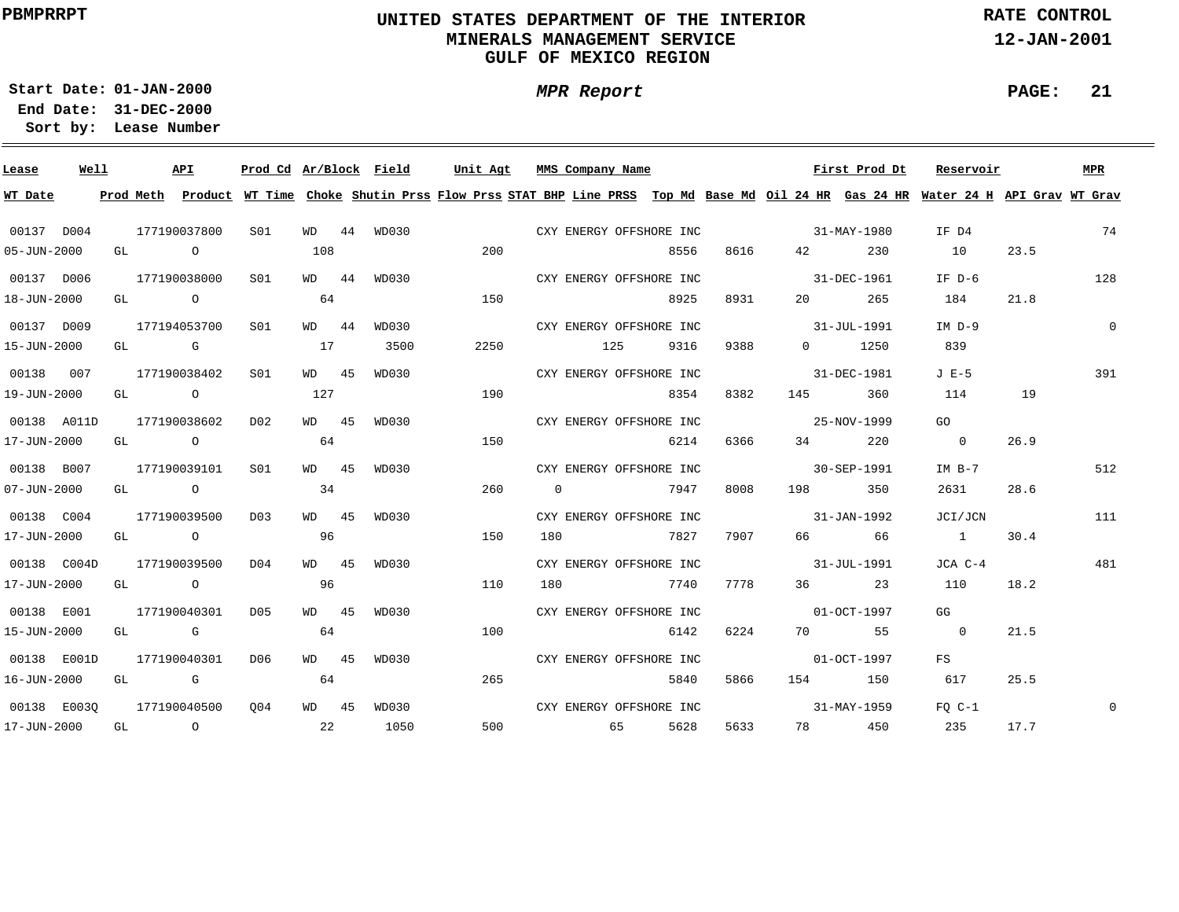# **UNITED STATES DEPARTMENT OF THE INTERIOR MINERALS MANAGEMENT SERVICEGULF OF MEXICO REGION**

**MPR Report**

**RATE CONTROL**

**12-JAN-2001**

**PAGE: 21**

**01-JAN-2000Start Date:31-DEC-2000 End Date:** 

| Lease                    | Well |  | API          |                 |         | Prod Cd Ar/Block Field |      |                | Unit Agt MMS Company Name |      |      |                   | First Prod Dt | Reservoir                                                                                                                               |      | MPR          |
|--------------------------|------|--|--------------|-----------------|---------|------------------------|------|----------------|---------------------------|------|------|-------------------|---------------|-----------------------------------------------------------------------------------------------------------------------------------------|------|--------------|
| WT Date                  |      |  |              |                 |         |                        |      |                |                           |      |      |                   |               | Prod Meth Product WT Time Choke Shutin Prss Flow Prss STAT BHP Line PRSS Top Md Base Md Oil 24 HR Gas 24 HR Water 24 H API Grav WT Grav |      |              |
| 00137 D004               |      |  | 177190037800 | SO1             |         | WD 44 WD030            |      |                | CXY ENERGY OFFSHORE INC   |      |      | $31 - MAX - 1980$ |               | IF D4                                                                                                                                   |      | 74           |
| 05-JUN-2000              |      |  | GL O         |                 | 108     |                        | 200  |                |                           | 8556 | 8616 | 42 and $\sim$     | 230           | 10                                                                                                                                      | 23.5 |              |
| 00137 D006               |      |  | 177190038000 | S01             | WD 44   | WD030                  |      |                | CXY ENERGY OFFSHORE INC   |      |      | $31 - DEC - 1961$ |               | IF D-6                                                                                                                                  |      | 128          |
| 18-JUN-2000              |      |  | GL O         |                 | 64      |                        | 150  |                |                           | 8925 | 8931 | 20                | 265           | 184                                                                                                                                     | 21.8 |              |
| 00137 D009               |      |  | 177194053700 | S <sub>01</sub> | WD 44   | WD030                  |      |                | CXY ENERGY OFFSHORE INC   |      |      | $31 - JUL - 1991$ |               | $IM D-9$                                                                                                                                |      | $\mathbf{0}$ |
| 15-JUN-2000              |      |  | $GL$ G $17$  |                 |         | 3500                   | 2250 |                | 125                       | 9316 | 9388 |                   | $0 \t 1250$   | 839                                                                                                                                     |      |              |
| 00138 007                |      |  | 177190038402 | SO1             | WD 45   | WD030                  |      |                | CXY ENERGY OFFSHORE INC   |      |      | 31-DEC-1981       |               | $J E-5$                                                                                                                                 |      | 391          |
| 19-JUN-2000              |      |  | GL O         |                 | 127     |                        | 190  |                |                           | 8354 | 8382 |                   | 145 360       | 114                                                                                                                                     | 19   |              |
| 00138 A011D              |      |  | 177190038602 | D02             | WD 45   | WD030                  |      |                | CXY ENERGY OFFSHORE INC   |      |      | $25 - NOV - 1999$ |               | GO                                                                                                                                      |      |              |
| 17-JUN-2000              |      |  | GL O         |                 | 64      |                        | 150  |                |                           | 6214 | 6366 | 34 and $\sim$     | 220           | $\sim$ 0                                                                                                                                | 26.9 |              |
| 00138 B007               |      |  | 177190039101 | SO1             | WD 45   | WD030                  |      |                | CXY ENERGY OFFSHORE INC   |      |      | 30-SEP-1991       |               | IM B-7                                                                                                                                  |      | 512          |
| $07 - JUN - 2000$        |      |  | GL O         |                 | 34      |                        | 260  | $\overline{0}$ | 7947                      |      | 8008 | 198 7             | 350           | 2631                                                                                                                                    | 28.6 |              |
| 00138 C004               |      |  | 177190039500 | DO3             | $WD$ 45 | WD030                  |      |                | CXY ENERGY OFFSHORE INC   |      |      | $31 - JAN - 1992$ |               | JCI/JCN                                                                                                                                 |      | 111          |
| 17-JUN-2000              |      |  | GL O         |                 | 96      |                        | 150  | 180            | 7827                      |      |      | 7907 66 66        |               | 1                                                                                                                                       | 30.4 |              |
| 00138 C004D              |      |  | 177190039500 | D <sub>04</sub> | WD 45   | WD030                  |      |                | CXY ENERGY OFFSHORE INC   |      |      | $31 - JUL - 1991$ |               | JCA C-4                                                                                                                                 |      | 481          |
| 17-JUN-2000              |      |  | GL O         |                 | 96      |                        | 110  | 180            | 7740                      |      | 7778 |                   | 36 23         | 110                                                                                                                                     | 18.2 |              |
| 00138 E001               |      |  | 177190040301 | D05             | WD 45   | WD030                  |      |                | CXY ENERGY OFFSHORE INC   |      |      | $01 - OCT - 1997$ |               | GG                                                                                                                                      |      |              |
| 15-JUN-2000              |      |  | GL G         |                 | 64      |                        | 100  |                |                           | 6142 | 6224 |                   | 70 55         | $\sim$ 0                                                                                                                                | 21.5 |              |
| 00138 E001D              |      |  | 177190040301 | D06             | WD 45   | WD030                  |      |                | CXY ENERGY OFFSHORE INC   |      |      | $01-0CT-1997$     |               | FS                                                                                                                                      |      |              |
| 16-JUN-2000              |      |  | GL G         |                 | 64      |                        | 265  |                |                           | 5840 | 5866 |                   | 154 150       | 617                                                                                                                                     | 25.5 |              |
| 00138 E0030 177190040500 |      |  |              | 004             | WD 45   | WD030                  |      |                | CXY ENERGY OFFSHORE INC   |      |      | 31-MAY-1959       |               | $FOC-1$                                                                                                                                 |      | $\mathbf 0$  |
| 17-JUN-2000              |      |  | GL O         | $\sim$ 22       |         | 1050                   |      |                | 500 65                    | 5628 | 5633 |                   | 78 450        | 235                                                                                                                                     | 17.7 |              |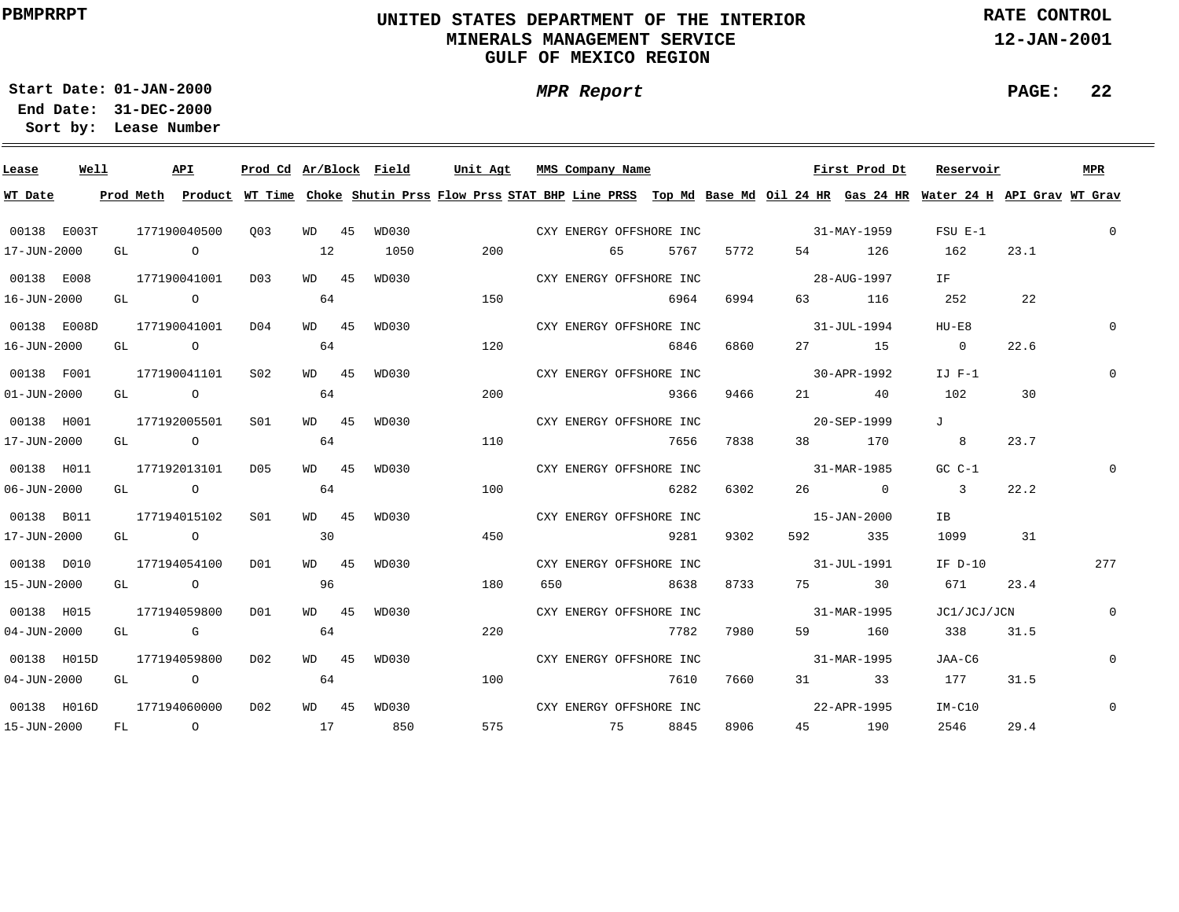# **UNITED STATES DEPARTMENT OF THE INTERIOR MINERALS MANAGEMENT SERVICEGULF OF MEXICO REGION**

**MPR Report**

**RATE CONTROL**

**12-JAN-2001**

**PAGE: 22**

÷

**01-JAN-2000Start Date:31-DEC-2000 End Date:** 

| Lease             | Well |      | API          |                 |                 | Prod Cd Ar/Block Field | Unit Agt |     | MMS Company Name |                         |      |                          | First Prod Dt     | Reservoir                                                                                                                               |      | <b>MPR</b>   |
|-------------------|------|------|--------------|-----------------|-----------------|------------------------|----------|-----|------------------|-------------------------|------|--------------------------|-------------------|-----------------------------------------------------------------------------------------------------------------------------------------|------|--------------|
| WT Date           |      |      |              |                 |                 |                        |          |     |                  |                         |      |                          |                   | Prod Meth Product WT Time Choke Shutin Prss Flow Prss STAT BHP Line PRSS Top Md Base Md Oil 24 HR Gas 24 HR Water 24 H API Grav WT Grav |      |              |
| 00138 E003T       |      |      | 177190040500 | 003             | WD 45           | WD030                  |          |     |                  | CXY ENERGY OFFSHORE INC |      | $31 - MAX - 1959$        |                   | $FSU E-1$                                                                                                                               |      | $\mathbf 0$  |
| 17-JUN-2000       |      | GL O |              |                 | 12              | 1050                   | 200      |     | 65               | 5767                    | 5772 |                          | 54 126            | 162                                                                                                                                     | 23.1 |              |
| 00138 E008        |      |      | 177190041001 | D03             | WD 45           | WD030                  |          |     |                  | CXY ENERGY OFFSHORE INC |      | 28-AUG-1997              |                   | IF 1                                                                                                                                    |      |              |
| 16-JUN-2000       |      |      | GL O         |                 | 64              |                        | 150      |     |                  | 6964                    | 6994 |                          | 63 116            | 252                                                                                                                                     | 22   |              |
| 00138 E008D       |      |      | 177190041001 | D <sub>04</sub> | WD 45           | WD030                  |          |     |                  | CXY ENERGY OFFSHORE INC |      |                          | $31 - JUL - 1994$ | HU-E8                                                                                                                                   |      | $\Omega$     |
| 16-JUN-2000       |      |      | GL O         |                 | 64              |                        | 120      |     |                  | 6846                    | 6860 |                          | 27 15             | $\overline{0}$                                                                                                                          | 22.6 |              |
| 00138 F001        |      |      | 177190041101 | S02             | WD 45           | WD030                  |          |     |                  | CXY ENERGY OFFSHORE INC |      |                          | 30-APR-1992       | $IJ$ $F-1$                                                                                                                              |      | $\mathbf{0}$ |
| $01 - JUN - 2000$ |      |      | GL O         |                 | 64              |                        | 200      |     |                  | 9366                    | 9466 |                          | 21 40             | 102                                                                                                                                     | 30   |              |
| 00138 H001        |      |      | 177192005501 | S01             | WD 45           | WD030                  |          |     |                  | CXY ENERGY OFFSHORE INC |      |                          | 20-SEP-1999       | $J$ and $J$                                                                                                                             |      |              |
| 17-JUN-2000       |      |      | GL O         |                 | 64              |                        | 110      |     |                  | 7656                    | 7838 |                          | 38 170            | 8 <sup>8</sup>                                                                                                                          | 23.7 |              |
| 00138 H011        |      |      | 177192013101 | D05             | WD 45           | WD030                  |          |     |                  | CXY ENERGY OFFSHORE INC |      | $31 - \text{MAR} - 1985$ |                   | $GC C-1$                                                                                                                                |      |              |
| $06 - JUN - 2000$ |      |      | GL O         |                 | 64              |                        | 100      |     |                  | 6282                    | 6302 |                          | $26$ 0            | $\sim$ 3                                                                                                                                | 22.2 |              |
| 00138 B011        |      |      | 177194015102 | S01             | WD 45           | WD030                  |          |     |                  | CXY ENERGY OFFSHORE INC |      | $15 - JAN - 2000$        |                   | IB                                                                                                                                      |      |              |
| 17-JUN-2000       |      |      | GL O         |                 | $\overline{30}$ |                        | 450      |     |                  | 9281                    | 9302 |                          | 592 335           | 1099 31                                                                                                                                 |      |              |
| 00138 D010        |      |      | 177194054100 | DO1             | WD 45           | WD030                  |          |     |                  | CXY ENERGY OFFSHORE INC |      | $31 - JUL - 1991$        |                   | IF D-10                                                                                                                                 |      | 277          |
| 15-JUN-2000       |      |      | GL O         |                 | 96              |                        | 180      | 650 |                  | 8638                    | 8733 |                          | 75 30             | 671                                                                                                                                     | 23.4 |              |
| 00138 H015        |      |      | 177194059800 | DO1             | WD 45           | WD030                  |          |     |                  | CXY ENERGY OFFSHORE INC |      | $31 - MAR - 1995$        |                   | JC1/JCJ/JCN                                                                                                                             |      | $\mathbf{0}$ |
| $04 - JUN - 2000$ |      |      | GL G         |                 | 64              |                        | 220      |     |                  | 7782                    | 7980 |                          | 59 160            | 338                                                                                                                                     | 31.5 |              |
| 00138 H015D       |      |      | 177194059800 | D02             | WD 45           | WD030                  |          |     |                  | CXY ENERGY OFFSHORE INC |      |                          | 31-MAR-1995       | JAA-C6                                                                                                                                  |      | $\mathbf{0}$ |
| $04 - JUN - 2000$ |      |      | GL O         |                 | 64              |                        | 100      |     |                  | 7610                    | 7660 |                          | 31 33             | 177                                                                                                                                     | 31.5 |              |
| 00138 H016D       |      |      | 177194060000 | D02             | WD 45           | WD030                  |          |     |                  | CXY ENERGY OFFSHORE INC |      |                          | 22-APR-1995       | $IM-Cl0$                                                                                                                                |      | $\mathbf 0$  |
| 15-JUN-2000       |      |      | FL O         |                 | 17              | 850                    |          |     | 575 75           | 8845                    | 8906 |                          | 45 190            | 2546                                                                                                                                    | 29.4 |              |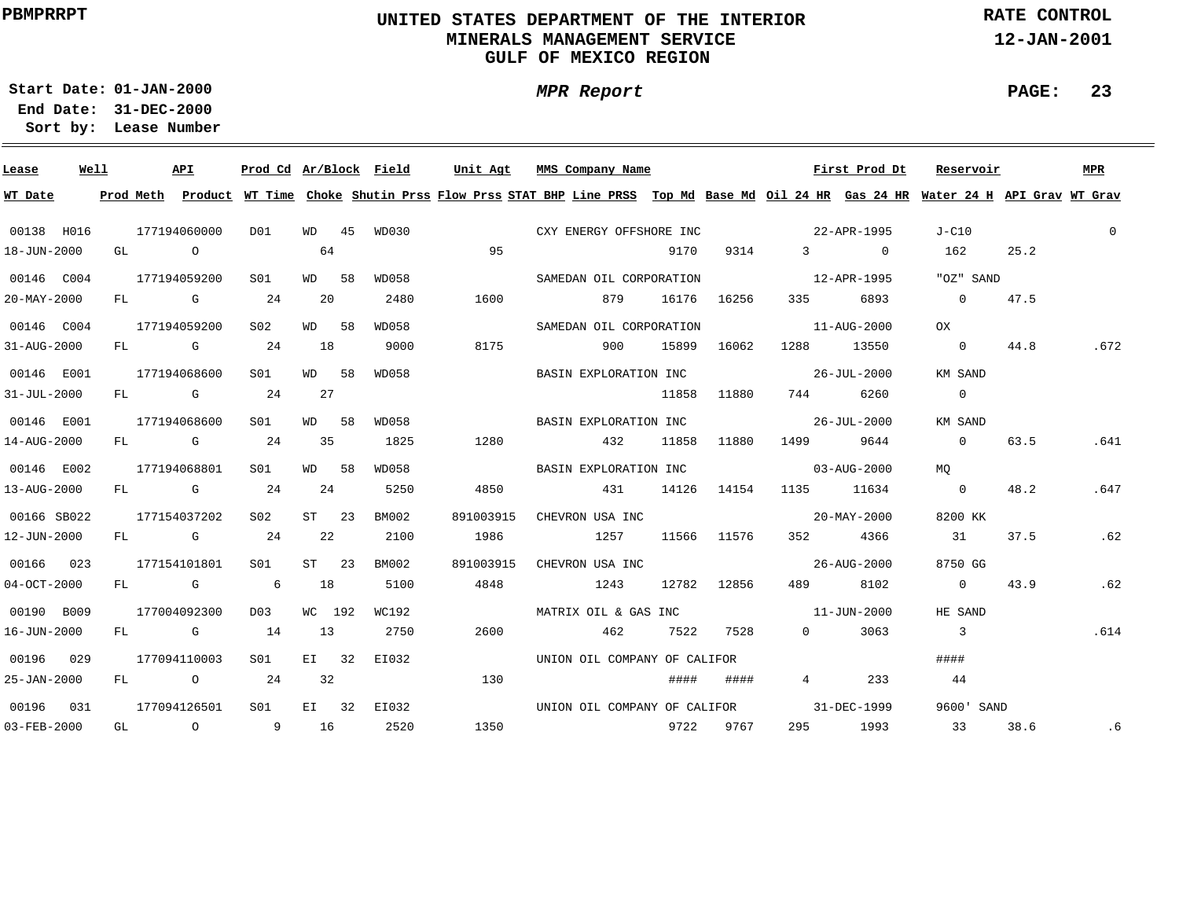# **UNITED STATES DEPARTMENT OF THE INTERIOR MINERALS MANAGEMENT SERVICEGULF OF MEXICO REGION**

**MPR Report**

**RATE CONTROL**

**12-JAN-2001**

**PAGE: 23**

**01-JAN-2000Start Date:31-DEC-2000 End Date:** 

| Lease             | Well |      | API          |                 |                | Prod Cd Ar/Block Field |           | Unit Agt MMS Company Name |                              |       |             |                                  | First Prod Dt    | Reservoir                                                                                                                               |      | MPR          |
|-------------------|------|------|--------------|-----------------|----------------|------------------------|-----------|---------------------------|------------------------------|-------|-------------|----------------------------------|------------------|-----------------------------------------------------------------------------------------------------------------------------------------|------|--------------|
| WT Date           |      |      |              |                 |                |                        |           |                           |                              |       |             |                                  |                  | Prod Meth Product WT Time Choke Shutin Prss Flow Prss STAT BHP Line PRSS Top Md Base Md Oil 24 HR Gas 24 HR Water 24 H API Grav WT Grav |      |              |
| 00138 H016        |      |      | 177194060000 | DO1             |                | WD 45 WD030            |           |                           | CXY ENERGY OFFSHORE INC      |       |             | 22-APR-1995                      |                  | J-C10                                                                                                                                   |      | $\mathbf{0}$ |
| 18-JUN-2000       |      | GL O |              |                 | 64             |                        | 95        |                           |                              | 9170  | 9314        |                                  | $\overline{3}$ 0 | 162                                                                                                                                     | 25.2 |              |
| 00146 C004        |      |      | 177194059200 | SO1             | WD 58          | WD058                  |           |                           | SAMEDAN OIL CORPORATION      |       |             | 12-APR-1995                      |                  | "OZ" SAND                                                                                                                               |      |              |
| $20 - MAX - 2000$ |      | FL   | $G$ 24       |                 | 20             | 2480                   | 1600      |                           | 879                          |       | 16176 16256 | 335                              | 6893             | $\overline{0}$                                                                                                                          | 47.5 |              |
| 00146 C004        |      |      | 177194059200 | S <sub>02</sub> | WD 58          | WD058                  |           |                           | SAMEDAN OIL CORPORATION      |       |             |                                  | 11-AUG-2000      | OX                                                                                                                                      |      |              |
| 31-AUG-2000       |      | FL   | <b>G</b> 24  |                 | 18             | 9000                   | 8175      |                           | 900                          | 15899 | 16062       | 1288 - 128                       | 13550            | $\overline{0}$                                                                                                                          | 44.8 | .672         |
| 00146 E001        |      |      | 177194068600 | SO1             | WD 58          | WD058                  |           |                           | BASIN EXPLORATION INC        |       |             | $26 - JUL - 2000$                |                  | KM SAND                                                                                                                                 |      |              |
| $31 - JUL - 2000$ |      |      | FL G 24      |                 | 27             |                        |           |                           |                              | 11858 | 11880       | 744                              | 6260             | $\overline{0}$                                                                                                                          |      |              |
| 00146 E001        |      |      | 177194068600 | SO1             | WD 58          | WD058                  |           |                           | BASIN EXPLORATION INC        |       |             | $26 - JUL - 2000$                |                  | KM SAND                                                                                                                                 |      |              |
| 14-AUG-2000       |      |      | FL G 24      |                 | 35             | 1825                   | 1280      |                           | 432                          | 11858 | 11880       |                                  | 1499 9644        | $\overline{0}$                                                                                                                          | 63.5 | .641         |
| 00146 E002        |      |      | 177194068801 | S01             | WD 58          | WD058                  |           |                           | BASIN EXPLORATION INC        |       |             | $03 - \text{AUG} - 2000$         |                  | MO                                                                                                                                      |      |              |
| 13-AUG-2000       |      |      | $FL$ G 24    |                 | 24             | 5250                   | 4850      |                           | 431 14126 14154              |       |             | 1135 11634                       |                  | $\overline{0}$                                                                                                                          | 48.2 | .647         |
| 00166 SB022       |      |      | 177154037202 | S02             | $ST$ 23        | BM002                  | 891003915 |                           | CHEVRON USA INC              |       |             |                                  | 20-MAY-2000      | 8200 KK                                                                                                                                 |      |              |
| 12-JUN-2000       |      |      | $FL$ G 24    |                 | 22             | 2100                   | 1986      |                           | 1257                         |       |             | 11566 11576 352 4366             |                  | 31                                                                                                                                      | 37.5 | .62          |
| 00166 023         |      |      | 177154101801 | S01             | $ST \qquad 23$ | BM002                  | 891003915 |                           | CHEVRON USA INC              |       |             |                                  | 26-AUG-2000      | 8750 GG                                                                                                                                 |      |              |
| $04-0CT-2000$     |      |      | FL G 6       |                 | 18             | 5100                   | 4848      | 1243                      |                              |       | 12782 12856 | 489 — 189                        | 8102             | $\overline{0}$                                                                                                                          | 43.9 | .62          |
| 00190 B009        |      |      | 177004092300 | D03             | WC 192         | WC192                  |           |                           |                              |       |             | MATRIX OIL & GAS INC 11-JUN-2000 |                  | HE SAND                                                                                                                                 |      |              |
| 16-JUN-2000       |      |      | $FL$ G 14    |                 | 13             | 2750                   | 2600      |                           | 462                          |       | 7522 7528   | $0 \qquad \qquad$                | 3063             | $\overline{\phantom{a}}$ 3                                                                                                              |      | .614         |
| 00196 029         |      |      | 177094110003 | S01             | $E1$ 32        | EI032                  |           |                           | UNION OIL COMPANY OF CALIFOR |       |             |                                  |                  | ####                                                                                                                                    |      |              |
| 25-JAN-2000       |      | FL   | $\circ$ 24   |                 | 32             |                        | 130       |                           |                              | ####  | ####        | $\overline{4}$                   | 233              | 44                                                                                                                                      |      |              |
| 00196 031         |      |      | 177094126501 | S01 <b>S</b>    |                | EI 32 EI032            |           |                           | UNION OIL COMPANY OF CALIFOR |       |             |                                  | 31-DEC-1999      | 9600' SAND                                                                                                                              |      |              |
| 03-FEB-2000       |      |      | GL 0 9 16    |                 |                | 2520                   |           |                           |                              |       | 9722 9767   |                                  | 295 1993         | 33                                                                                                                                      | 38.6 | .6           |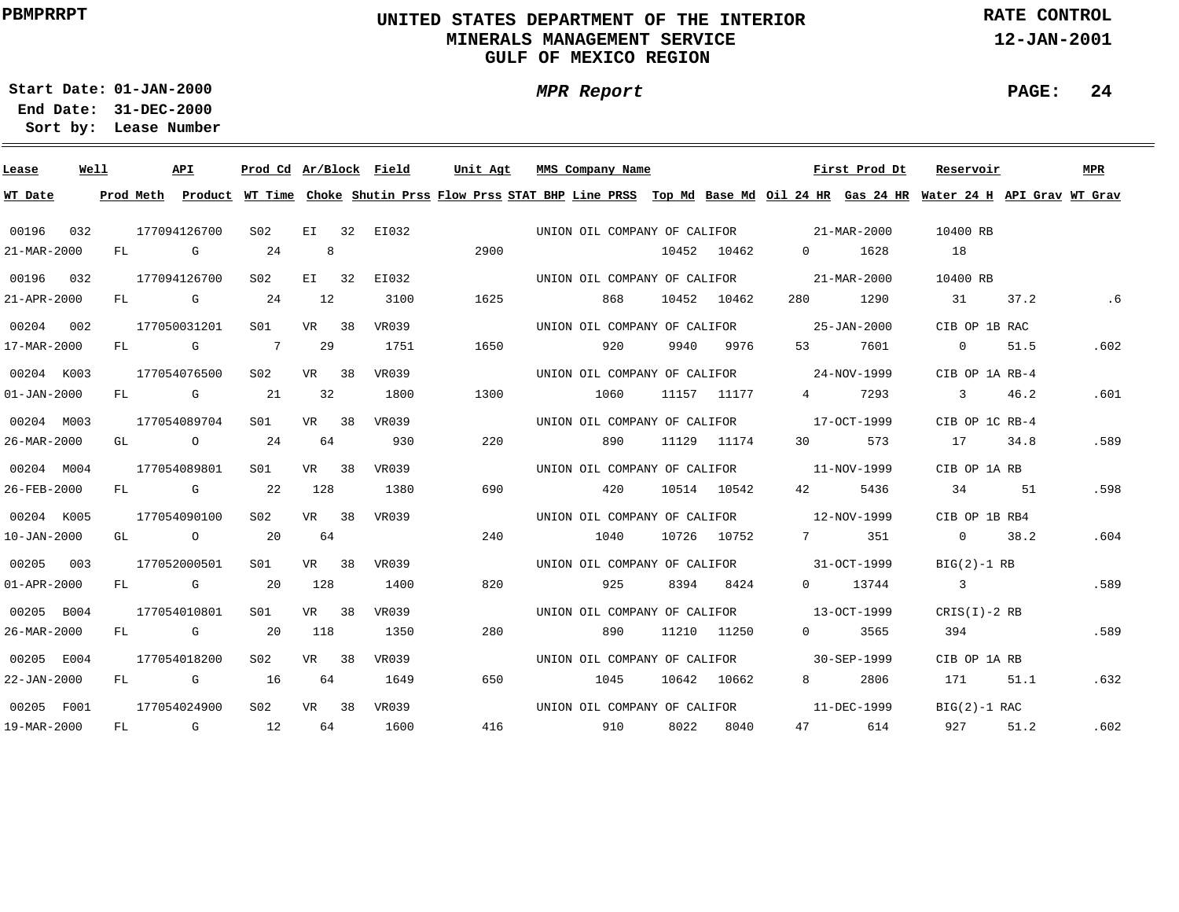# **UNITED STATES DEPARTMENT OF THE INTERIOR MINERALS MANAGEMENT SERVICEGULF OF MEXICO REGION**

**MPR Report**

**RATE CONTROL**

**12-JAN-2001**

**PAGE: 24**

÷

**01-JAN-2000Start Date:**

**31-DEC-2000 End Date: Lease Number Sort by:**

| Lease             | Well |    |           | API                                                                                                                                                                                                                            | Prod Cd Ar/Block Field |         |             | Unit Agt | MMS Company Name                         |      |             |                                   | First Prod Dt                                                                                                                 | Reservoir               |      | MPR  |
|-------------------|------|----|-----------|--------------------------------------------------------------------------------------------------------------------------------------------------------------------------------------------------------------------------------|------------------------|---------|-------------|----------|------------------------------------------|------|-------------|-----------------------------------|-------------------------------------------------------------------------------------------------------------------------------|-------------------------|------|------|
| WT Date           |      |    | Prod Meth |                                                                                                                                                                                                                                |                        |         |             |          |                                          |      |             |                                   | Product WT Time Choke Shutin Prss Flow Prss STAT BHP Line PRSS Top Md Base Md Oil 24 HR Gas 24 HR Water 24 H API Grav WT Grav |                         |      |      |
| 00196             | 032  |    |           | 177094126700                                                                                                                                                                                                                   | S02                    |         | EI 32 EI032 |          | UNION OIL COMPANY OF CALIFOR 21-MAR-2000 |      |             |                                   |                                                                                                                               | 10400 RB                |      |      |
| 21-MAR-2000       |      | FL |           | G                                                                                                                                                                                                                              | 24                     | 8       |             | 2900     |                                          |      | 10452 10462 | $\overline{0}$ and $\overline{0}$ | 1628                                                                                                                          | 18                      |      |      |
| 00196 032         |      |    |           | 177094126700                                                                                                                                                                                                                   | S <sub>02</sub>        | $E1$ 32 | EI032       |          | UNION OIL COMPANY OF CALIFOR             |      |             |                                   | 21-MAR-2000                                                                                                                   | 10400 RB                |      |      |
| 21-APR-2000       |      | FL |           | $\mathbf G$                                                                                                                                                                                                                    | 24                     | 12      | 3100        | 1625     | 868                                      |      | 10452 10462 | 280                               | 1290                                                                                                                          | 31                      | 37.2 | .6   |
| 00204 002         |      |    |           | 177050031201                                                                                                                                                                                                                   | S01                    | VR 38   | VR039       |          | UNION OIL COMPANY OF CALIFOR             |      |             |                                   | 25-JAN-2000                                                                                                                   | CIB OP 1B RAC           |      |      |
| 17-MAR-2000       |      | FL |           | and the Company of the Company of the Company of the Company of the Company of the Company of the Company of the Company of the Company of the Company of the Company of the Company of the Company of the Company of the Comp | $\overline{7}$         | 29      | 1751        | 1650     | 920                                      | 9940 | 9976        | 53                                | 7601                                                                                                                          | $\overline{0}$          | 51.5 | .602 |
| 00204 K003        |      |    |           | 177054076500                                                                                                                                                                                                                   | S02                    | VR 38   | VR039       |          | UNION OIL COMPANY OF CALIFOR 24-NOV-1999 |      |             |                                   |                                                                                                                               | CIB OP 1A RB-4          |      |      |
| $01 - JAN - 2000$ |      | FL |           | <b>G</b>                                                                                                                                                                                                                       | 21                     | 32      | 1800        | 1300     | 1060                                     |      | 11157 11177 | $4\degree$                        | 7293                                                                                                                          | $\overline{\mathbf{3}}$ | 46.2 | .601 |
| 00204 M003        |      |    |           | 177054089704                                                                                                                                                                                                                   | S <sub>01</sub>        | VR 38   | VR039       |          | UNION OIL COMPANY OF CALIFOR 17-OCT-1999 |      |             |                                   |                                                                                                                               | CIB OP 1C RB-4          |      |      |
| 26-MAR-2000       |      |    |           | GL O                                                                                                                                                                                                                           | 24                     | 64      | 930         | 220      | 890                                      |      | 11129 11174 | 30                                | 573                                                                                                                           | 17 34.8                 |      | .589 |
| 00204 M004        |      |    |           | 177054089801                                                                                                                                                                                                                   | SO1                    | VR 38   | VR039       |          | UNION OIL COMPANY OF CALIFOR 11-NOV-1999 |      |             |                                   |                                                                                                                               | CIB OP 1A RB            |      |      |
| 26-FEB-2000       |      |    |           | FL G                                                                                                                                                                                                                           | 22                     | 128     | 1380        | 690      | 420                                      |      | 10514 10542 | 42 and $\overline{a}$             | 5436                                                                                                                          | 34                      | 51   | .598 |
| 00204 K005        |      |    |           | 177054090100                                                                                                                                                                                                                   | S02                    | VR 38   | VR039       |          | UNION OIL COMPANY OF CALIFOR 12-NOV-1999 |      |             |                                   |                                                                                                                               | CIB OP 1B RB4           |      |      |
| $10 - JAN - 2000$ |      |    |           | GL O                                                                                                                                                                                                                           | 20                     | 64      |             | 240      | 1040                                     |      | 10726 10752 |                                   | 7 351                                                                                                                         | 0 38.2                  |      | .604 |
| 00205 003         |      |    |           | 177052000501                                                                                                                                                                                                                   | S01                    | VR 38   | VR039       |          | UNION OIL COMPANY OF CALIFOR 31-OCT-1999 |      |             |                                   |                                                                                                                               | $BIG(2)-1$ RB           |      |      |
| $01 - APR - 2000$ |      |    |           | FL G                                                                                                                                                                                                                           | $\overline{20}$        | 128     | 1400        | 820      | 925                                      |      | 8394 8424   |                                   | 0 13744                                                                                                                       | $\overline{\mathbf{3}}$ |      | .589 |
| 00205 B004        |      |    |           | 177054010801                                                                                                                                                                                                                   | S01                    | VR 38   | VR039       |          | UNION OIL COMPANY OF CALIFOR 13-OCT-1999 |      |             |                                   |                                                                                                                               | $CRIS(I)-2 RB$          |      |      |
| 26-MAR-2000       |      | FL |           | $\mathbb G$                                                                                                                                                                                                                    | 20                     | 118     | 1350        | 280      | 890                                      |      | 11210 11250 | $0 \qquad \qquad$                 | 3565                                                                                                                          | 394                     |      | .589 |
| 00205 E004        |      |    |           | 177054018200                                                                                                                                                                                                                   | S02                    | VR 38   | VR039       |          | UNION OIL COMPANY OF CALIFOR 30-SEP-1999 |      |             |                                   |                                                                                                                               | CIB OP 1A RB            |      |      |
| 22-JAN-2000       |      | FL |           | and the Company of the Company of the Company of the Company of the Company of the Company of the Company of the Company of the Company of the Company of the Company of the Company of the Company of the Company of the Comp | 16                     | 64      | 1649        | 650      | 1045                                     |      | 10642 10662 | $8 \sim 1$                        | 2806                                                                                                                          | 171                     | 51.1 | .632 |
| 00205 F001        |      |    |           | 177054024900                                                                                                                                                                                                                   | S02                    | VR 38   | VR039       |          | UNION OIL COMPANY OF CALIFOR             |      |             |                                   | 11-DEC-1999                                                                                                                   | $BIG(2)-1 RAC$          |      |      |
| 19-MAR-2000       |      | FL |           | $\mathbb G$                                                                                                                                                                                                                    | 12                     | 64      | 1600        | 416      | 910                                      | 8022 | 8040        |                                   | 47 614                                                                                                                        | 927 — 10                | 51.2 | .602 |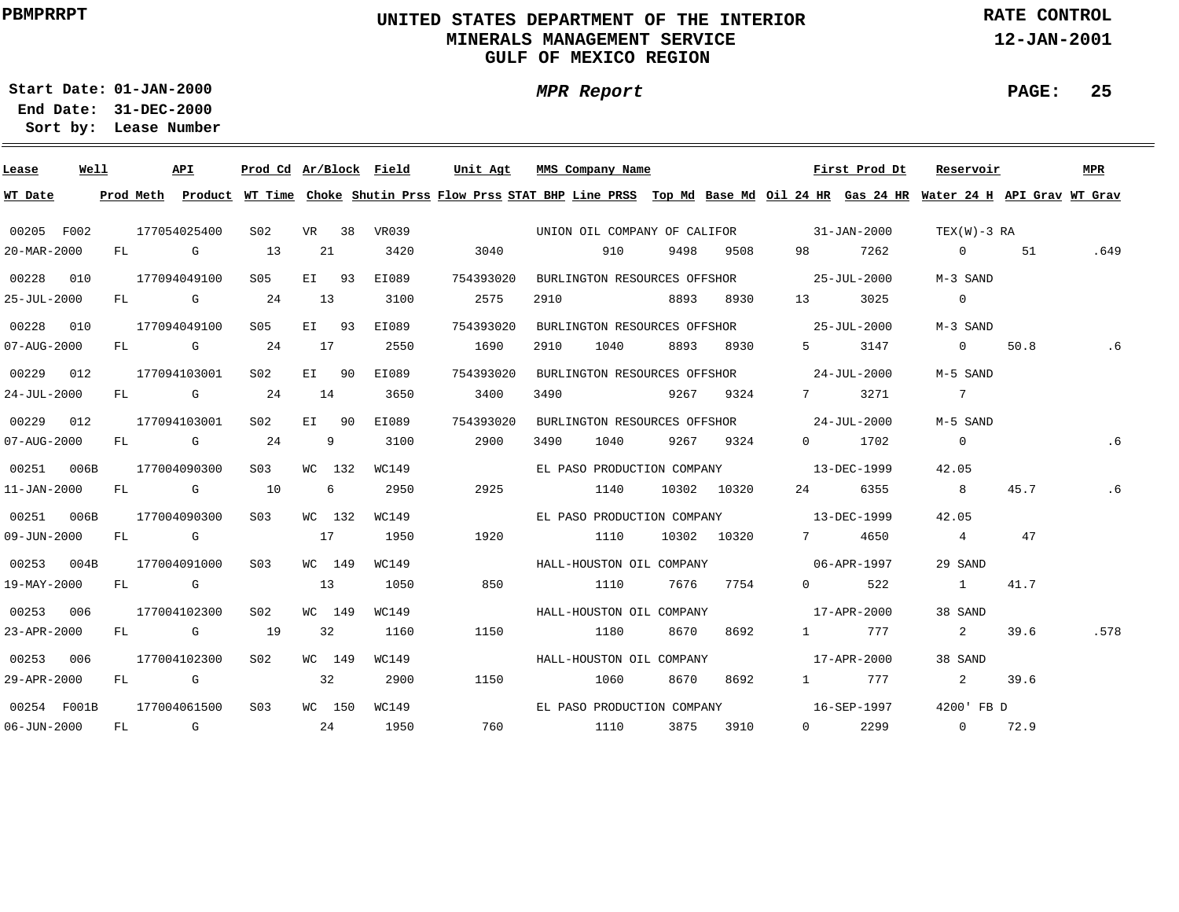# **UNITED STATES DEPARTMENT OF THE INTERIOR MINERALS MANAGEMENT SERVICEGULF OF MEXICO REGION**

**MPR Report**

**RATE CONTROL**

**12-JAN-2001**

**PAGE: 25**

**01-JAN-2000Start Date:31-DEC-2000 End Date:** 

| Lease             | Well | API          |                 |                |   | Prod Cd Ar/Block Field | Unit Agt                                                                                                                                |      | MMS Company Name           |      |                  | First Prod Dt                            | Reservoir               |      | MPR  |
|-------------------|------|--------------|-----------------|----------------|---|------------------------|-----------------------------------------------------------------------------------------------------------------------------------------|------|----------------------------|------|------------------|------------------------------------------|-------------------------|------|------|
| WT Date           |      |              |                 |                |   |                        | Prod Meth Product WT Time Choke Shutin Prss Flow Prss STAT BHP Line PRSS Top Md Base Md Oil 24 HR Gas 24 HR Water 24 H API Grav WT Grav |      |                            |      |                  |                                          |                         |      |      |
| 00205 F002        |      | 177054025400 | S02             | VR 38          |   | VR039                  |                                                                                                                                         |      |                            |      |                  | UNION OIL COMPANY OF CALIFOR 31-JAN-2000 | TEX(W)-3 RA             |      |      |
| 20-MAR-2000       |      | FL G         | 13              | 21             |   | 3420                   | 3040                                                                                                                                    |      | 910                        | 9498 | 9508             | 7262<br>98 — 10                          | $\overline{0}$          | 51   | .649 |
| 00228 010         |      | 177094049100 | S05             | EI 93          |   | EI089                  | 754393020                                                                                                                               |      |                            |      |                  | BURLINGTON RESOURCES OFFSHOR 25-JUL-2000 | M-3 SAND                |      |      |
| 25-JUL-2000       |      | $FL$ G 24    |                 | 13             |   | 3100                   | 2575                                                                                                                                    |      | 2910 8893                  |      | 8930             | 13<br>3025                               | $\overline{0}$          |      |      |
| 00228 010         |      | 177094049100 | S05             | EI 93          |   | EI089                  | 754393020                                                                                                                               |      |                            |      |                  | BURLINGTON RESOURCES OFFSHOR 25-JUL-2000 | M-3 SAND                |      |      |
| $07 - AUG - 2000$ |      | $FL$ G 24    |                 | 17             |   | 2550                   | 1690                                                                                                                                    | 2910 | 1040                       | 8893 | 8930             | $5 - 5$<br>3147                          | $\overline{0}$          | 50.8 |      |
| 00229 012         |      | 177094103001 | S02             | EI 90          |   | EI089                  | 754393020                                                                                                                               |      |                            |      |                  | BURLINGTON RESOURCES OFFSHOR 24-JUL-2000 | M-5 SAND                |      |      |
| 24-JUL-2000       |      | $FL$ G 24    |                 | 14             |   | 3650                   | 3400                                                                                                                                    |      | 3490 9267                  |      | 9324             | 7 3271                                   | $\overline{7}$          |      |      |
| 00229 012         |      | 177094103001 | S02             | EI 90          |   | EI089                  | 754393020                                                                                                                               |      |                            |      |                  | BURLINGTON RESOURCES OFFSHOR 24-JUL-2000 | M-5 SAND                |      |      |
| 07-AUG-2000       |      | $FL$ G 24    |                 | $\overline{9}$ |   | 3100                   | 2900                                                                                                                                    | 3490 | 1040                       |      | 9267 9324        | $0 \t 1702$                              | $\overline{0}$          |      | . 6  |
| 00251             | 006B | 177004090300 | S <sub>03</sub> | WC 132         |   | WC149                  |                                                                                                                                         |      |                            |      |                  | EL PASO PRODUCTION COMPANY 13-DEC-1999   | 42.05                   |      |      |
| 11-JAN-2000       |      | FL G 10      |                 |                | 6 | 2950                   | 2925                                                                                                                                    |      |                            |      | 1140 10302 10320 | 6355                                     | 8 <sup>1</sup>          | 45.7 | . 6  |
| 00251 006B        |      | 177004090300 | S <sub>03</sub> | WC 132         |   | WC149                  |                                                                                                                                         |      |                            |      |                  | EL PASO PRODUCTION COMPANY 13-DEC-1999   | 42.05                   |      |      |
| 09-JUN-2000       |      | FL G         |                 | 17             |   | 1950                   | 1920                                                                                                                                    |      | 1110                       |      | 10302 10320      | 7 4650                                   | $4\overline{4}$         | 47   |      |
| 00253 004B        |      | 177004091000 | S03             | WC 149         |   | WC149                  |                                                                                                                                         |      |                            |      |                  | HALL-HOUSTON OIL COMPANY 06-APR-1997     | 29 SAND                 |      |      |
| 19-MAY-2000       |      | FL G         |                 | 13             |   | 1050                   | 850                                                                                                                                     |      | 1110                       | 7676 | 7754             | 522<br>$0 \qquad \qquad$                 | $\sim$ 1                | 41.7 |      |
| 00253 006         |      | 177004102300 | S02             | WC 149         |   | WC149                  |                                                                                                                                         |      | HALL-HOUSTON OIL COMPANY   |      |                  | 17-APR-2000                              | 38 SAND                 |      |      |
| 23-APR-2000       |      | FL G         | 19              | 32             |   | 1160                   | 1150                                                                                                                                    | 1180 |                            | 8670 | 8692             | 777<br>$1 \qquad \qquad$                 | $\overline{\mathbf{a}}$ | 39.6 | .578 |
| 00253 006         |      | 177004102300 | S02             | WC 149         |   | WC149                  |                                                                                                                                         |      | HALL-HOUSTON OIL COMPANY   |      |                  | 17-APR-2000                              | 38 SAND                 |      |      |
| 29-APR-2000       |      | FL G         |                 | 32             |   | 2900                   | 1150                                                                                                                                    | 1060 |                            | 8670 | 8692             | 1 777                                    | $\sim$ 2                | 39.6 |      |
| 00254 F001B       |      | 177004061500 | S03             | WC 150         |   | WC149                  |                                                                                                                                         |      | EL PASO PRODUCTION COMPANY |      |                  | 16-SEP-1997                              | 4200' FB D              |      |      |
| $06 - JUN - 2000$ |      | FL G         |                 | 24             |   | 1950                   |                                                                                                                                         |      | 760 1110 3875              |      | 3910             | 2299<br>$0 \qquad \qquad$                | $0 \t 72.9$             |      |      |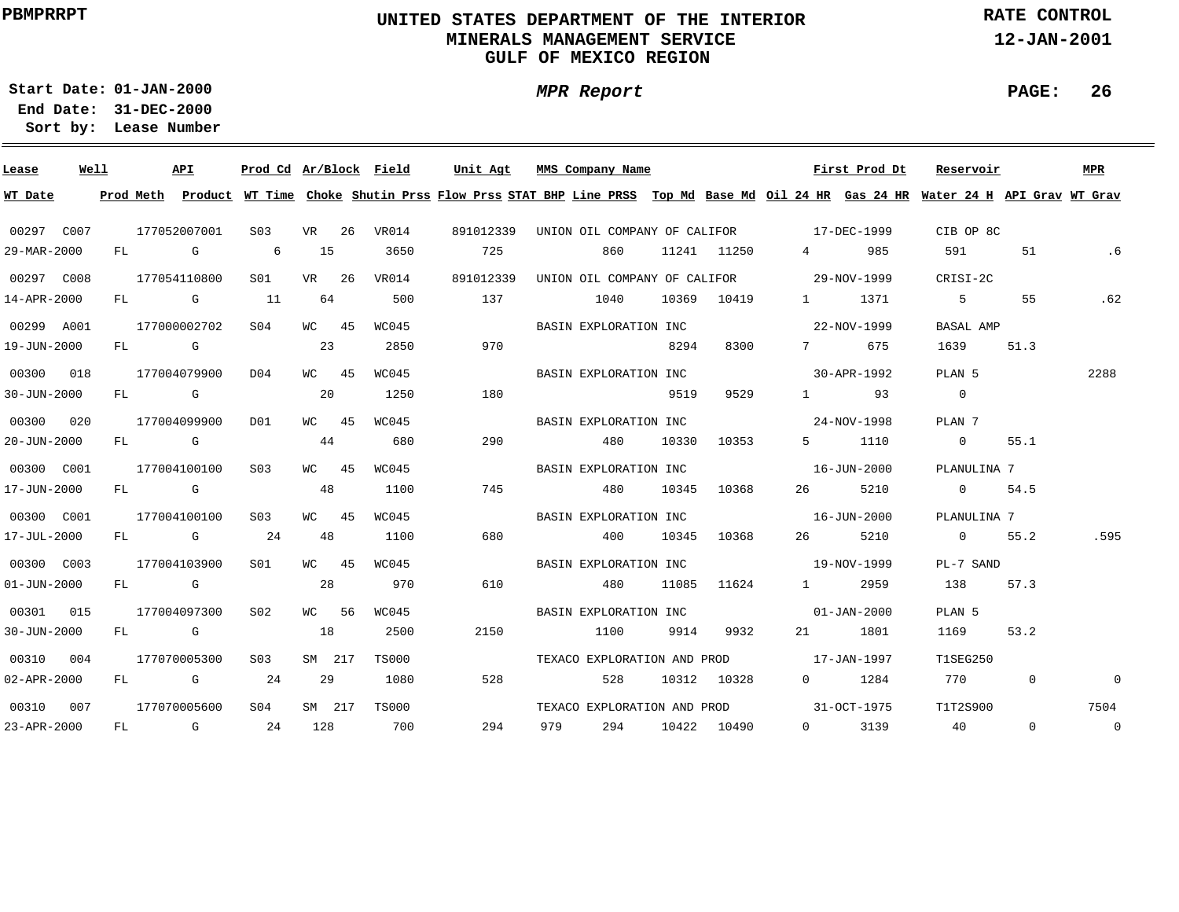# **UNITED STATES DEPARTMENT OF THE INTERIOR MINERALS MANAGEMENT SERVICEGULF OF MEXICO REGION**

**MPR Report**

**RATE CONTROL**

**12-JAN-2001**

**PAGE: 26**

**01-JAN-2000Start Date:**

**31-DEC-2000 End Date: Lease Number Sort by:**

| Lease             | Well |  | API          | Prod Cd Ar/Block Field |           |              | Unit Agt                                                                                                                                |     | MMS Company Name                         |                 |             |                   | First Prod Dt | Reservoir         |          | MPR            |
|-------------------|------|--|--------------|------------------------|-----------|--------------|-----------------------------------------------------------------------------------------------------------------------------------------|-----|------------------------------------------|-----------------|-------------|-------------------|---------------|-------------------|----------|----------------|
| WT Date           |      |  |              |                        |           |              | Prod Meth Product WT Time Choke Shutin Prss Flow Prss STAT BHP Line PRSS Top Md Base Md Oil 24 HR Gas 24 HR Water 24 H API Grav WT Grav |     |                                          |                 |             |                   |               |                   |          |                |
| 00297 C007        |      |  | 177052007001 | S03                    | VR 26     | VR014        | 891012339                                                                                                                               |     | UNION OIL COMPANY OF CALIFOR 17-DEC-1999 |                 |             |                   |               | CIB OP 8C         |          |                |
| 29-MAR-2000       |      |  | FL G         | $6\overline{6}$        | 15        | 3650         | 725                                                                                                                                     |     | 860                                      |                 | 11241 11250 | $\frac{4}{1}$     | 985           | 591               | 51       | . 6            |
| 00297 C008        |      |  | 177054110800 | S <sub>01</sub>        | VR 26     | VR014        | 891012339                                                                                                                               |     | UNION OIL COMPANY OF CALIFOR 29-NOV-1999 |                 |             |                   |               | CRISI-2C          |          |                |
| 14-APR-2000       |      |  | FL G 11      |                        | 64        | 500          | 137                                                                                                                                     |     | 1040                                     |                 | 10369 10419 |                   | 1 1371        | $5 - 5$           | 55       | .62            |
| 00299 A001        |      |  | 177000002702 | S04                    | WC 45     | WC045        |                                                                                                                                         |     | BASIN EXPLORATION INC                    |                 |             | 22-NOV-1999       |               | BASAL AMP         |          |                |
| 19-JUN-2000       |      |  | FL G         |                        | 23        | 2850         | 970                                                                                                                                     |     |                                          | 8294            | 8300        |                   | 7 675         | 1639              | 51.3     |                |
| 00300 018         |      |  | 177004079900 | D04                    | WC 45     | WC045        |                                                                                                                                         |     | BASIN EXPLORATION INC                    |                 |             |                   | 30-APR-1992   | PLAN 5            |          | 2288           |
| $30 - JUN - 2000$ |      |  | FL G         |                        | 20        | 1250         | 180                                                                                                                                     |     |                                          | 9519            | 9529        |                   | 1 93          | $\overline{0}$    |          |                |
| 00300 020         |      |  | 177004099900 | D01                    | WC 45     | WC045        |                                                                                                                                         |     | BASIN EXPLORATION INC                    |                 |             |                   | 24-NOV-1998   | PLAN 7            |          |                |
| 20-JUN-2000       |      |  | FL G         |                        | 44        | 680          | 290                                                                                                                                     |     | 480                                      | 10330           | 10353       |                   | 5 1110        | $\overline{0}$    | 55.1     |                |
| 00300 C001        |      |  | 177004100100 | S03                    | WC 45     | WC045        |                                                                                                                                         |     | BASIN EXPLORATION INC                    |                 |             |                   | 16-JUN-2000   | PLANULINA 7       |          |                |
| 17-JUN-2000       |      |  | FL G         |                        | 48        | 1100         | 745                                                                                                                                     |     | 480                                      | 10345           | 10368       | 26                | 5210          | $\overline{0}$    | 54.5     |                |
| 00300 C001        |      |  | 177004100100 | S03                    | WC 45     | WC045        |                                                                                                                                         |     | BASIN EXPLORATION INC                    |                 |             | $16 - JUN - 2000$ |               | PLANULINA 7       |          |                |
| 17-JUL-2000       |      |  | $FL$ G 24    |                        | 48        | 1100         | 680                                                                                                                                     |     | 400                                      | 10345           | 10368       |                   | 26 5210       | 0 55.2            |          | .595           |
| 00300 C003        |      |  | 177004103900 | S01                    | $WC = 45$ | WC045        |                                                                                                                                         |     | BASIN EXPLORATION INC                    |                 |             | $19 - NOV - 1999$ |               | PL-7 SAND         |          |                |
| $01 - JUN - 2000$ |      |  | FL G         |                        | 28        | 970          | 610                                                                                                                                     |     | 480                                      | 11085           |             | 11624 1 2959      |               | 138               | 57.3     |                |
| 00301 015         |      |  | 177004097300 | S02                    | WC 56     | WC045        |                                                                                                                                         |     | BASIN EXPLORATION INC                    |                 |             | $01 - JAN - 2000$ |               | PLAN <sub>5</sub> |          |                |
| $30 - JUN - 2000$ |      |  | FL G         |                        | 18        | 2500         | 2150                                                                                                                                    |     | 1100                                     |                 | 9914 9932   |                   | 21 1801       | 1169              | 53.2     |                |
| 00310 004         |      |  | 177070005300 | S03                    | SM 217    | <b>TS000</b> |                                                                                                                                         |     | TEXACO EXPLORATION AND PROD 17-JAN-1997  |                 |             |                   |               | T1SEG250          |          |                |
| 02-APR-2000       |      |  | FL G 24      |                        | 29        | 1080         | 528                                                                                                                                     |     | 528                                      |                 | 10312 10328 |                   | $0 \t 1284$   | 770               | $\circ$  | $\mathsf{O}$   |
| 00310 007         |      |  | 177070005600 | SO <sub>4</sub>        | SM 217    | <b>TS000</b> |                                                                                                                                         |     | TEXACO EXPLORATION AND PROD 31-OCT-1975  |                 |             |                   |               | T1T2S900          |          | 7504           |
| 23-APR-2000       |      |  | $FL$ G 24    |                        | 128       | 700          | 294                                                                                                                                     | 979 |                                          | 294 10422 10490 |             |                   | 0 3139        | 40                | $\Omega$ | $\overline{0}$ |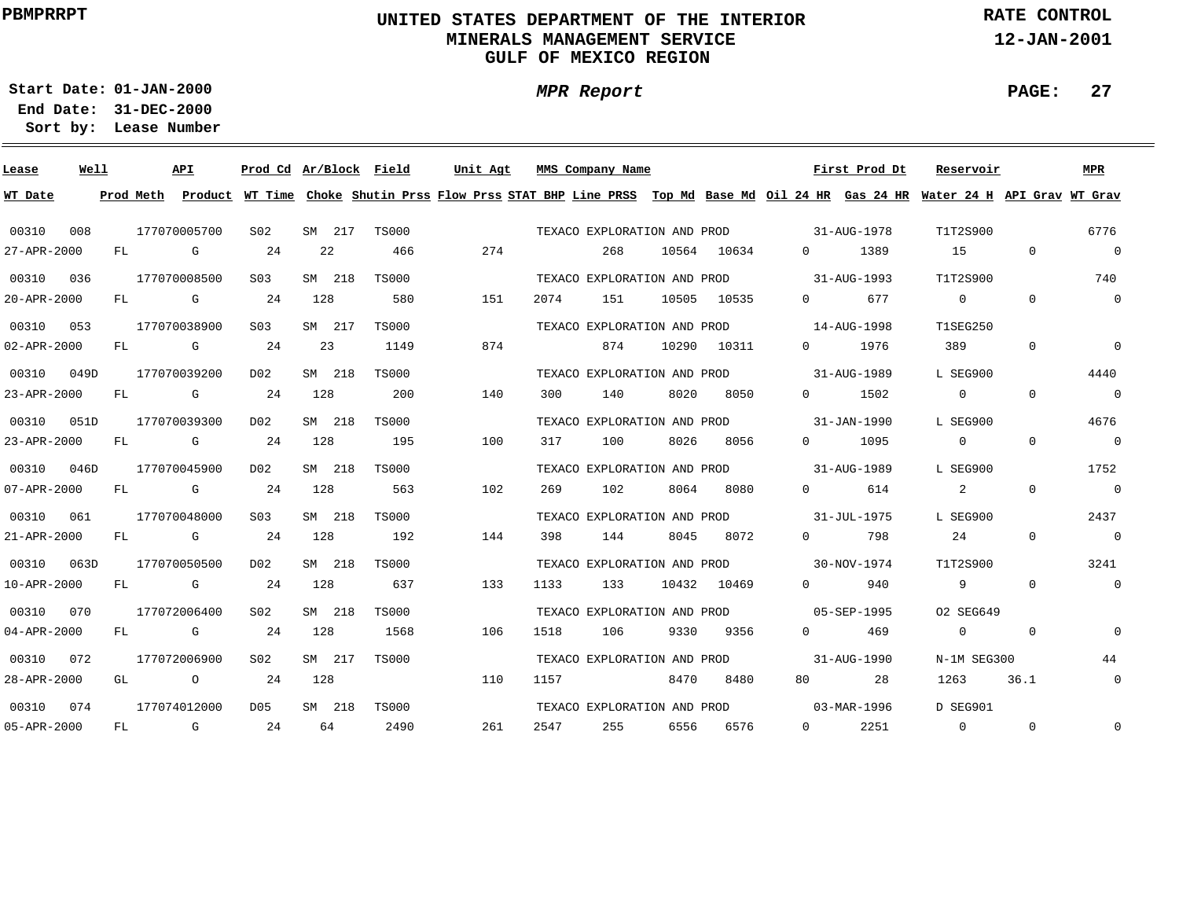# **UNITED STATES DEPARTMENT OF THE INTERIOR MINERALS MANAGEMENT SERVICEGULF OF MEXICO REGION**

**MPR Report**

**RATE CONTROL**

**12-JAN-2001**

**PAGE: 27**

**01-JAN-2000Start Date:31-DEC-2000 End Date:** 

| Lease             | Well |     |              | API         | Prod Cd Ar/Block Field |        |              | Unit Agt |     |      | MMS Company Name            |       |       |                   | First Prod Dt                            | Reservoir                                                                                                                     |              | MPR            |
|-------------------|------|-----|--------------|-------------|------------------------|--------|--------------|----------|-----|------|-----------------------------|-------|-------|-------------------|------------------------------------------|-------------------------------------------------------------------------------------------------------------------------------|--------------|----------------|
| WT Date           |      |     | Prod Meth    |             |                        |        |              |          |     |      |                             |       |       |                   |                                          | Product WT Time Choke Shutin Prss Flow Prss STAT BHP Line PRSS Top Md Base Md Oil 24 HR Gas 24 HR Water 24 H API Grav WT Grav |              |                |
| 00310             | 008  |     | 177070005700 |             | S <sub>02</sub>        | SM 217 | <b>TS000</b> |          |     |      | TEXACO EXPLORATION AND PROD |       |       |                   | $31 - \text{A} \text{U} \text{G} - 1978$ | T1T2S900                                                                                                                      |              | 6776           |
| 27-APR-2000       |      | FL  |              | G           | 24                     | 22     | 466          |          | 274 |      | 268                         | 10564 | 10634 | $\overline{0}$    | 1389                                     | 15                                                                                                                            | $\mathbf{0}$ | $\overline{0}$ |
| 00310             | 036  |     | 177070008500 |             | S <sub>03</sub>        | SM 218 | <b>TS000</b> |          |     |      | TEXACO EXPLORATION AND PROD |       |       |                   | 31-AUG-1993                              | T1T2S900                                                                                                                      |              | 740            |
| 20-APR-2000       |      | FL. |              | G           | 24                     | 128    | 580          |          | 151 | 2074 | 151                         | 10505 | 10535 | $\Omega$          | 677                                      | $\overline{0}$                                                                                                                | $\Omega$     | $\overline{0}$ |
| 00310             | 053  |     | 177070038900 |             | S <sub>03</sub>        | SM 217 | <b>TS000</b> |          |     |      | TEXACO EXPLORATION AND PROD |       |       |                   | $14 - \text{A} \text{U} \text{G} - 1998$ | <b>T1SEG250</b>                                                                                                               |              |                |
| $02 - APR - 2000$ |      | FL  |              | G           | 24                     | 23     | 1149         |          | 874 |      | 874                         | 10290 | 10311 | $\Omega$          | 1976                                     | 389                                                                                                                           | $\Omega$     | $\mathbf 0$    |
| 00310             | 049D |     | 177070039200 |             | D02                    | SM 218 | <b>TS000</b> |          |     |      | TEXACO EXPLORATION AND PROD |       |       |                   | $31 - \text{A} \text{U} \text{G} - 1989$ | L SEG900                                                                                                                      |              | 4440           |
| 23-APR-2000       |      | FL  |              | G           | 24                     | 128    | 200          |          | 140 | 300  | 140                         | 8020  | 8050  | $\Omega$          | 1502                                     | $\mathbf{0}$                                                                                                                  | $\Omega$     | $\overline{0}$ |
| 00310             | 051D |     | 177070039300 |             | D02                    | SM 218 | <b>TS000</b> |          |     |      | TEXACO EXPLORATION AND PROD |       |       |                   | 31-JAN-1990                              | L SEG900                                                                                                                      |              | 4676           |
| 23-APR-2000       |      | FL  |              | G           | 24                     | 128    | 195          |          | 100 | 317  | 100                         | 8026  | 8056  | $\Omega$          | 1095                                     | $\overline{0}$                                                                                                                | $\Omega$     | $\overline{0}$ |
| 00310             | 046D |     | 177070045900 |             | D02                    | SM 218 | <b>TS000</b> |          |     |      | TEXACO EXPLORATION AND PROD |       |       |                   | 31-AUG-1989                              | L SEG900                                                                                                                      |              | 1752           |
| 07-APR-2000       |      | FL  |              | G           | 24                     | 128    | 563          |          | 102 | 269  | 102                         | 8064  | 8080  | $\Omega$          | 614                                      | $\overline{a}$                                                                                                                | $\Omega$     | $\overline{0}$ |
| 00310             | 061  |     | 177070048000 |             | S <sub>03</sub>        | SM 218 | <b>TS000</b> |          |     |      | TEXACO EXPLORATION AND PROD |       |       |                   | 31-JUL-1975                              | L SEG900                                                                                                                      |              | 2437           |
| 21-APR-2000       |      | FL. |              | $G$ and $G$ | 24                     | 128    | 192          |          | 144 | 398  | 144                         | 8045  | 8072  | $\Omega$          | 798                                      | 24                                                                                                                            | $\Omega$     | $\overline{0}$ |
| 00310             | 063D |     | 177070050500 |             | D02                    | SM 218 | <b>TS000</b> |          |     |      | TEXACO EXPLORATION AND PROD |       |       |                   | 30-NOV-1974                              | T1T2S900                                                                                                                      |              | 3241           |
| $10 - APR - 2000$ |      | FL  |              | G           | 24                     | 128    | 637          |          | 133 | 1133 | 133                         | 10432 | 10469 | $\Omega$          | 940                                      | 9                                                                                                                             | $\Omega$     | $\overline{0}$ |
| 00310             | 070  |     | 177072006400 |             | SO2                    | SM 218 | <b>TS000</b> |          |     |      | TEXACO EXPLORATION AND PROD |       |       |                   | 05-SEP-1995                              | 02 SEG649                                                                                                                     |              |                |
| $04 - APR - 2000$ |      | FL. |              | G           | 24                     | 128    | 1568         |          | 106 | 1518 | 106                         | 9330  | 9356  | $\Omega$          | 469                                      | $\overline{0}$                                                                                                                | $\Omega$     | $\Omega$       |
| 00310             | 072  |     | 177072006900 |             | SO2                    | SM 217 | <b>TS000</b> |          |     |      | TEXACO EXPLORATION AND PROD |       |       |                   | 31-AUG-1990                              | N-1M SEG300                                                                                                                   |              | 44             |
| 28-APR-2000       |      | GL  |              | $\circ$     | 24                     | 128    |              |          | 110 | 1157 |                             | 8470  | 8480  | 80                | 28                                       | 1263                                                                                                                          | 36.1         | $\overline{0}$ |
| 00310             | 074  |     | 177074012000 |             | D <sub>05</sub>        | SM 218 | <b>TS000</b> |          |     |      | TEXACO EXPLORATION AND PROD |       |       |                   | 03-MAR-1996                              | D SEG901                                                                                                                      |              |                |
| 05-APR-2000       |      | FL. |              | G           | 24                     | 64     | 2490         |          | 261 | 2547 | 255                         | 6556  | 6576  | $0 \qquad \qquad$ | 2251                                     | $\mathbf{0}$                                                                                                                  | $\Omega$     | $\mathbf{0}$   |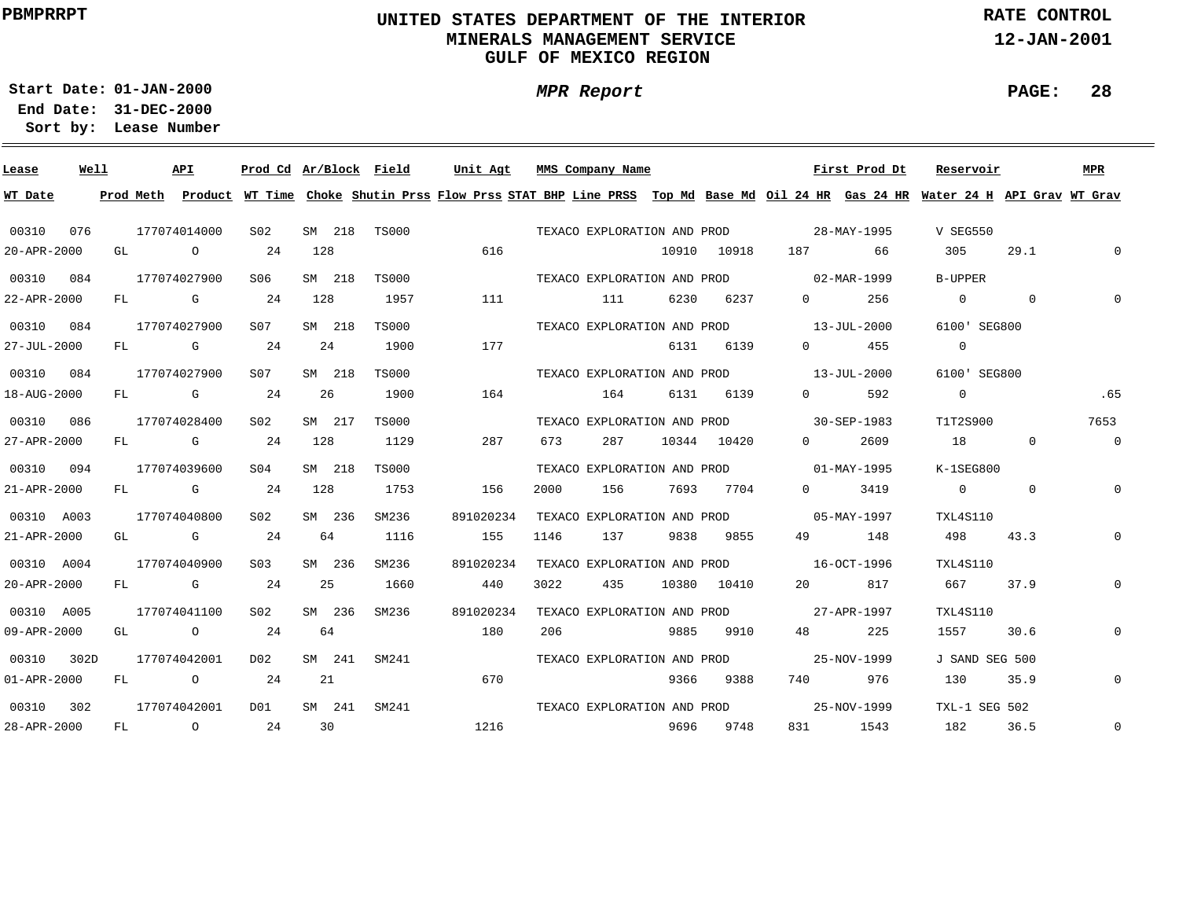# **UNITED STATES DEPARTMENT OF THE INTERIOR MINERALS MANAGEMENT SERVICEGULF OF MEXICO REGION**

**RATE CONTROL**

**12-JAN-2001**

**PAGE: 28**

**01-JAN-2000Start Date:**

**31-DEC-2000 End Date: Lease Number Sort by:**

| Lease             | Well |    | API                                                  | Prod Cd Ar/Block Field |        |              | Unit Agt                                                                                                                                |      | MMS Company Name            |      |             |                                         | First Prod Dt | Reservoir      |                | MPR            |
|-------------------|------|----|------------------------------------------------------|------------------------|--------|--------------|-----------------------------------------------------------------------------------------------------------------------------------------|------|-----------------------------|------|-------------|-----------------------------------------|---------------|----------------|----------------|----------------|
| WT Date           |      |    |                                                      |                        |        |              | Prod Meth Product WT Time Choke Shutin Prss Flow Prss STAT BHP Line PRSS Top Md Base Md Oil 24 HR Gas 24 HR Water 24 H API Grav WT Grav |      |                             |      |             |                                         |               |                |                |                |
| 00310             | 076  |    | 177074014000                                         | S02                    | SM 218 | TS000        |                                                                                                                                         |      | TEXACO EXPLORATION AND PROD |      |             |                                         | 28-MAY-1995   | V SEG550       |                |                |
| 20-APR-2000       |      | GL | $\overline{O}$                                       | 24                     | 128    |              | 616                                                                                                                                     |      |                             |      | 10910 10918 |                                         | 66            | 305            | 29.1           | $\Omega$       |
| 00310             | 084  |    | 177074027900                                         | S06                    | SM 218 | <b>TS000</b> |                                                                                                                                         |      |                             |      |             | TEXACO EXPLORATION AND PROD 02-MAR-1999 |               | B-UPPER        |                |                |
| 22-APR-2000       |      | FL | <b>G</b> G                                           | 24                     | 128    | 1957         | 111                                                                                                                                     |      | 111                         | 6230 | 6237        | $\Omega$ and $\Omega$                   | 256           | $\Omega$       | $\overline{0}$ | $\Omega$       |
| 00310 084         |      |    | 177074027900                                         | S07                    | SM 218 | TS000        |                                                                                                                                         |      |                             |      |             | TEXACO EXPLORATION AND PROD 13-JUL-2000 |               | 6100' SEG800   |                |                |
| 27-JUL-2000       |      | FL | $\mathbf G$                                          | 24                     | 24     | 1900         | 177                                                                                                                                     |      |                             | 6131 | 6139        | $\overline{0}$                          | 455           | $\overline{0}$ |                |                |
| 00310             | 084  |    | 177074027900                                         | S07                    | SM 218 | <b>TS000</b> |                                                                                                                                         |      |                             |      |             | TEXACO EXPLORATION AND PROD 13-JUL-2000 |               | 6100' SEG800   |                |                |
| 18-AUG-2000       |      |    | FL G                                                 | 24                     | 26     | 1900         | 164                                                                                                                                     |      | 164                         |      | 6131 6139   | $\Omega$                                | 592           | $\overline{0}$ |                | .65            |
| 00310             | 086  |    | 177074028400                                         | S02                    | SM 217 | <b>TS000</b> |                                                                                                                                         |      |                             |      |             | TEXACO EXPLORATION AND PROD 30-SEP-1983 |               | T1T2S900       |                | 7653           |
| 27-APR-2000       |      |    | FL G                                                 | 24                     | 128    | 1129         | 287                                                                                                                                     | 673  | 287                         |      | 10344 10420 | $\Omega$                                | 2609          | 18             | $\mathbf{0}$   | $\overline{0}$ |
| 00310 094         |      |    | 177074039600                                         | S <sub>04</sub>        | SM 218 | <b>TS000</b> |                                                                                                                                         |      |                             |      |             | TEXACO EXPLORATION AND PROD 01-MAY-1995 |               | $K-1SEG800$    |                |                |
| 21-APR-2000       |      |    | FL G                                                 | 24                     | 128    | 1753         | 156                                                                                                                                     | 2000 | 156                         |      | 7693 7704   | $\Omega$                                | 3419          | $\overline{0}$ | $\Omega$       | $\mathbf{0}$   |
| 00310 A003        |      |    | 177074040800                                         | S02                    | SM 236 | SM236        | 891020234                                                                                                                               |      |                             |      |             | TEXACO EXPLORATION AND PROD 05-MAY-1997 |               | TXL4S110       |                |                |
| 21-APR-2000       |      |    | GL G                                                 | 24                     | 64     | 1116         | 155                                                                                                                                     | 1146 | 137                         |      | 9838 9855   |                                         | 49 148        | 498            | 43.3           | $\mathbf{0}$   |
| 00310 A004        |      |    | 177074040900                                         | S03                    | SM 236 | SM236        | 891020234                                                                                                                               |      |                             |      |             | TEXACO EXPLORATION AND PROD 16-OCT-1996 |               | TXL4S110       |                |                |
| 20-APR-2000       |      |    | FL G                                                 | 24                     | 25     | 1660         | 440                                                                                                                                     | 3022 | 435                         |      | 10380 10410 | 20                                      | 817           | 667 —          | 37.9           | $\mathbf 0$    |
| 00310 A005        |      |    | 177074041100                                         | S02                    | SM 236 | SM236        | 891020234                                                                                                                               |      | TEXACO EXPLORATION AND PROD |      |             | 27-APR-1997                             |               | TXL4S110       |                |                |
| 09-APR-2000       |      |    | GL O                                                 | 24                     | 64     |              | 180                                                                                                                                     | 206  |                             | 9885 | 9910        | 48 — 18                                 | 225           | 1557           | 30.6           | $\overline{0}$ |
| 00310             | 302D |    | 177074042001                                         | D02                    | SM 241 | SM241        |                                                                                                                                         |      | TEXACO EXPLORATION AND PROD |      |             |                                         | 25-NOV-1999   | J SAND SEG 500 |                |                |
| $01 - APR - 2000$ |      | FL | $\overline{O}$ and $\overline{O}$ and $\overline{O}$ | 24                     | 21     |              | 670                                                                                                                                     |      |                             | 9366 | 9388        | 740 740                                 | 976           | 130            | 35.9           | $\mathbf 0$    |
| 00310             | 302  |    | 177074042001                                         | DO 1                   | SM 241 | SM241        |                                                                                                                                         |      | TEXACO EXPLORATION AND PROD |      |             |                                         | 25-NOV-1999   | TXL-1 SEG 502  |                |                |
| 28-APR-2000       |      |    | FL O                                                 | 24                     | 30     |              | 1216                                                                                                                                    |      | 9696 9748                   |      |             |                                         | 831 1543      | 182            | 36.5           | $\mathbf 0$    |

**MPR Report**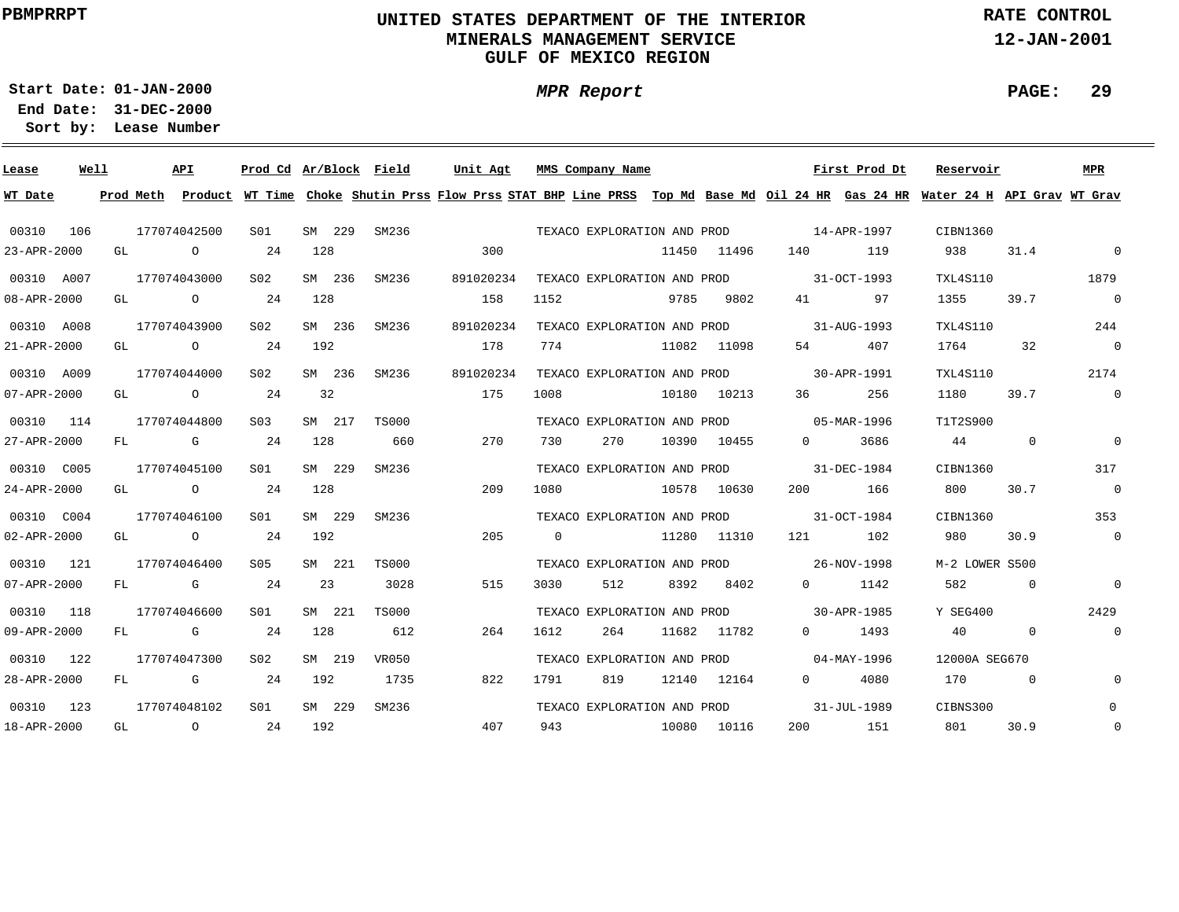# **UNITED STATES DEPARTMENT OF THE INTERIOR MINERALS MANAGEMENT SERVICEGULF OF MEXICO REGION**

**MPR Report**

**RATE CONTROL**

**12-JAN-2001**

**PAGE: 29**

-

**01-JAN-2000Start Date:31-DEC-2000 End Date:** 

| Lease             | Well |           | API          | Prod Cd Ar/Block Field |        |        |              | Unit Agt  |     |                | MMS Company Name            |      |                             |          | First Prod Dt                                                                                                                 | Reservoir      |                | MPR            |
|-------------------|------|-----------|--------------|------------------------|--------|--------|--------------|-----------|-----|----------------|-----------------------------|------|-----------------------------|----------|-------------------------------------------------------------------------------------------------------------------------------|----------------|----------------|----------------|
| WT Date           |      | Prod Meth |              |                        |        |        |              |           |     |                |                             |      |                             |          | Product WT Time Choke Shutin Prss Flow Prss STAT BHP Line PRSS Top Md Base Md Oil 24 HR Gas 24 HR Water 24 H API Grav WT Grav |                |                |                |
| 00310             | 106  |           | 177074042500 | S01                    | SM 229 |        | SM236        |           |     |                | TEXACO EXPLORATION AND PROD |      |                             |          | 14-APR-1997                                                                                                                   | CIBN1360       |                |                |
| 23-APR-2000       |      | GL        | $\circ$      | 24                     | 128    |        |              |           | 300 |                |                             |      | 11450 11496                 | 140      | 119                                                                                                                           | 938            | 31.4           | $\mathbf 0$    |
| 00310 A007        |      |           | 177074043000 | S02                    | SM 236 |        | SM236        | 891020234 |     |                | TEXACO EXPLORATION AND PROD |      |                             |          | 31-OCT-1993                                                                                                                   | TXL4S110       |                | 1879           |
| 08-APR-2000       |      | GL        | $\circ$      | 24                     | 128    |        |              |           | 158 | 1152           |                             | 9785 | 9802                        | 41       | 97                                                                                                                            | 1355           | 39.7           | $\overline{0}$ |
| 00310 A008        |      |           | 177074043900 | S02                    | SM 236 |        | SM236        | 891020234 |     |                | TEXACO EXPLORATION AND PROD |      |                             |          | 31-AUG-1993                                                                                                                   | TXL4S110       |                | 244            |
| 21-APR-2000       |      | GL        | $\circ$      | 24                     | 192    |        |              |           | 178 | 774            |                             |      | 11082 11098                 | 54       | 407                                                                                                                           | 1764           | 32             | $\overline{0}$ |
| 00310 A009        |      |           | 177074044000 | SO2                    | SM 236 |        | SM236        | 891020234 |     |                | TEXACO EXPLORATION AND PROD |      |                             |          | 30-APR-1991                                                                                                                   | TXL4S110       |                | 2174           |
| 07-APR-2000       |      | GL        | $\circ$      | 24                     | 32     |        |              |           | 175 | 1008           |                             |      | 10180 10213                 | 36       | 256                                                                                                                           | 1180           | 39.7           | $\mathbf 0$    |
| 00310             | 114  |           | 177074044800 | S <sub>03</sub>        | SM 217 |        | <b>TS000</b> |           |     |                | TEXACO EXPLORATION AND PROD |      |                             |          | $05 - \text{MAR} - 1996$                                                                                                      | T1T2S900       |                |                |
| 27-APR-2000       |      | FL.       | $G$ and $G$  | 24                     | 128    |        | 660          |           | 270 | 730            | 270                         |      | 10390 10455                 |          | $\Omega$<br>3686                                                                                                              | 44             | $\overline{0}$ | $\mathbf 0$    |
| 00310 C005        |      |           | 177074045100 | S01                    | SM 229 |        | SM236        |           |     |                | TEXACO EXPLORATION AND PROD |      |                             |          | 31-DEC-1984                                                                                                                   | CIBN1360       |                | 317            |
| 24-APR-2000       |      | GL        | $\circ$      | 24                     | 128    |        |              |           | 209 | 1080           |                             |      | 10578 10630                 | 200      | 166                                                                                                                           | 800            | 30.7           | $\overline{0}$ |
| 00310 C004        |      |           | 177074046100 | S01                    | SM 229 |        | SM236        |           |     |                |                             |      | TEXACO EXPLORATION AND PROD |          | 31-OCT-1984                                                                                                                   | CIBN1360       |                | 353            |
| $02 - APR - 2000$ |      | GL        | $\circ$      | 24                     | 192    |        |              |           | 205 | $\overline{0}$ |                             |      | 11280 11310                 | 121      | 102                                                                                                                           | 980            | 30.9           | $\overline{0}$ |
| 00310 121         |      |           | 177074046400 | S05                    |        | SM 221 | <b>TS000</b> |           |     |                | TEXACO EXPLORATION AND PROD |      |                             |          | 26-NOV-1998                                                                                                                   | M-2 LOWER S500 |                |                |
| $07 - APR - 2000$ |      | FL.       | G            | -24                    | 23     |        | 3028         |           | 515 | 3030           | 512                         | 8392 | 8402                        |          | 1142<br>$\Omega$                                                                                                              | 582            | $\overline{0}$ | $\Omega$       |
| 00310             | 118  |           | 177074046600 | S01                    |        | SM 221 | <b>TS000</b> |           |     |                | TEXACO EXPLORATION AND PROD |      |                             |          | 30-APR-1985                                                                                                                   | Y SEG400       |                | 2429           |
| 09-APR-2000       |      | FL.       | G            | 24                     | 128    |        | 612          |           | 264 | 1612           | 264                         |      | 11682 11782                 | $\Omega$ | 1493                                                                                                                          | 40             | $\Omega$       | $\mathbf 0$    |
| 00310             | 122  |           | 177074047300 | S02                    | SM 219 |        | VR050        |           |     |                | TEXACO EXPLORATION AND PROD |      |                             |          | 04-MAY-1996                                                                                                                   | 12000A SEG670  |                |                |
| 28-APR-2000       |      | FL        | G            | 24                     | 192    |        | 1735         |           | 822 | 1791           | 819                         |      | 12140 12164                 | $\Omega$ | 4080                                                                                                                          | 170            | $\Omega$       | $\Omega$       |
| 00310             | 123  |           | 177074048102 | S01                    | SM 229 |        | SM236        |           |     |                | TEXACO EXPLORATION AND PROD |      |                             |          | 31-JUL-1989                                                                                                                   | CIBNS300       |                | $\mathbf 0$    |
| 18-APR-2000       |      | GL        | $\circ$      | 24                     | 192    |        |              |           | 407 | 943            |                             |      | 10080 10116                 | 200      | 151                                                                                                                           | 801            | 30.9           | $\mathbf 0$    |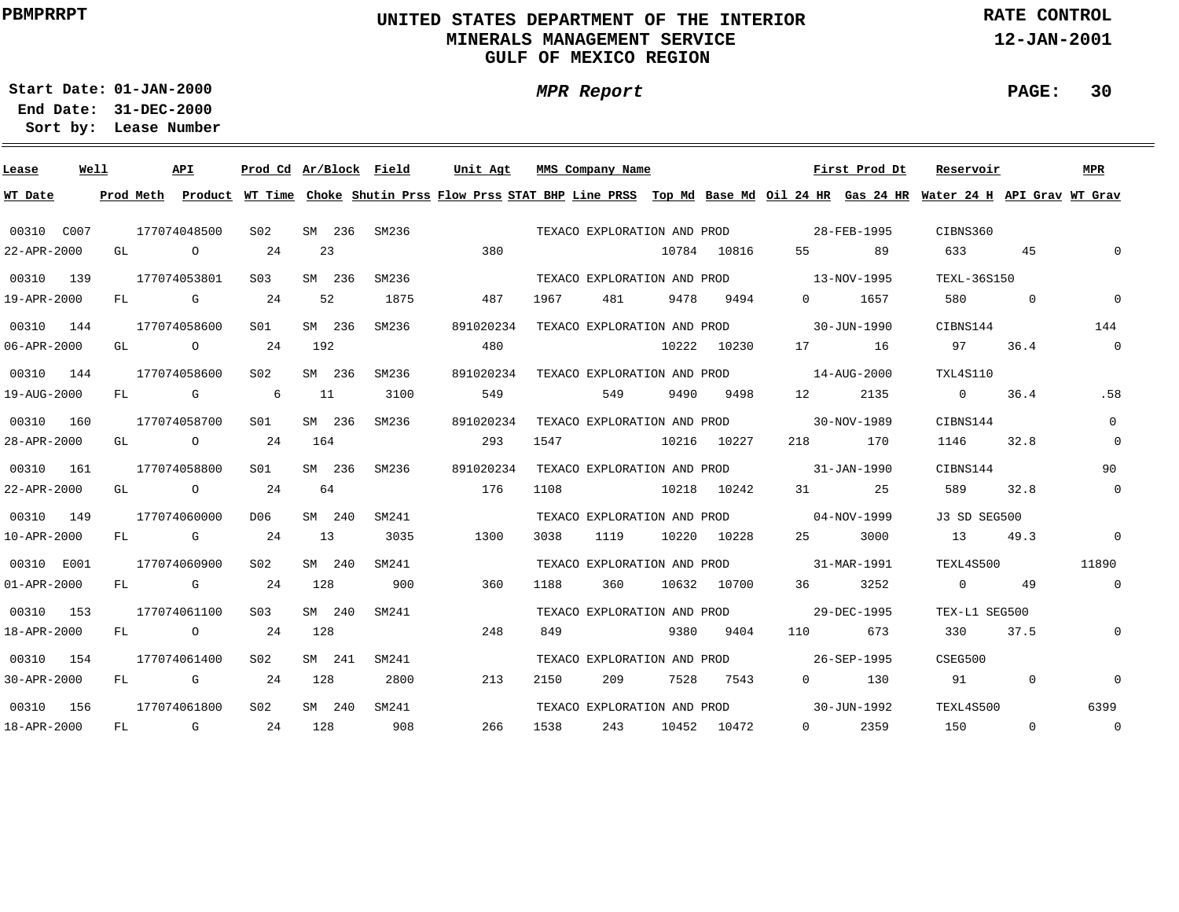# **UNITED STATES DEPARTMENT OF THE INTERIOR MINERALS MANAGEMENT SERVICEGULF OF MEXICO REGION**

**MPR Report**

**RATE CONTROL**

**12-JAN-2001**

**PAGE: 30**

**01-JAN-2000Start Date:31-DEC-2000 End Date:** 

| Lease             | Well |           |              | API                                                                                                            | Prod Cd Ar/Block Field |        |        |       | Unit Agt  |      |      | MMS Company Name            |             |             |                   | First Prod Dt     | Reservoir                                                                                                                     |          | <b>MPR</b>     |
|-------------------|------|-----------|--------------|----------------------------------------------------------------------------------------------------------------|------------------------|--------|--------|-------|-----------|------|------|-----------------------------|-------------|-------------|-------------------|-------------------|-------------------------------------------------------------------------------------------------------------------------------|----------|----------------|
| WT Date           |      | Prod Meth |              |                                                                                                                |                        |        |        |       |           |      |      |                             |             |             |                   |                   | Product WT Time Choke Shutin Prss Flow Prss STAT BHP Line PRSS Top Md Base Md Oil 24 HR Gas 24 HR Water 24 H API Grav WT Grav |          |                |
| 00310 C007        |      |           | 177074048500 |                                                                                                                | S <sub>02</sub>        |        | SM 236 | SM236 |           |      |      | TEXACO EXPLORATION AND PROD |             |             |                   | 28-FEB-1995       | CIBNS360                                                                                                                      |          |                |
| 22-APR-2000       |      | GL        |              | $\circ$                                                                                                        | 24                     | 23     |        |       |           | 380  |      |                             |             | 10784 10816 | 55                | 89                | 633                                                                                                                           | 45       | $\Omega$       |
| 00310 139         |      |           | 177074053801 |                                                                                                                | S <sub>03</sub>        | SM 236 |        | SM236 |           |      |      | TEXACO EXPLORATION AND PROD |             |             | $13 - NOV - 1995$ |                   | TEXL-36S150                                                                                                                   |          |                |
| 19-APR-2000       |      | FL        |              | G                                                                                                              | 24                     | 52     |        | 1875  |           | 487  | 1967 | 481                         | 9478        | 9494        | $0 \qquad \qquad$ | 1657              | 580                                                                                                                           | 0        | $\mathbf 0$    |
| 00310 144         |      |           | 177074058600 |                                                                                                                | S01                    | SM 236 |        | SM236 | 891020234 |      |      | TEXACO EXPLORATION AND PROD |             |             |                   | 30-JUN-1990       | CIBNS144                                                                                                                      |          | 144            |
| 06-APR-2000       |      | GL        |              | $\circ$                                                                                                        | 24                     | 192    |        |       |           | 480  |      |                             |             | 10222 10230 | 17                | 16                | 97                                                                                                                            | 36.4     | $\overline{0}$ |
| 00310 144         |      |           | 177074058600 |                                                                                                                | S <sub>02</sub>        | SM 236 |        | SM236 | 891020234 |      |      | TEXACO EXPLORATION AND PROD |             |             |                   | 14-AUG-2000       | TXL4S110                                                                                                                      |          |                |
| 19-AUG-2000       |      | FL        |              | G                                                                                                              | 6                      | 11     |        | 3100  |           | 549  |      | 549                         | 9490        | 9498        | 12                | 2135              | $\overline{0}$                                                                                                                | 36.4     | .58            |
| 00310 160         |      |           | 177074058700 |                                                                                                                | S01                    | SM 236 |        | SM236 | 891020234 |      |      | TEXACO EXPLORATION AND PROD |             |             |                   | 30-NOV-1989       | CIBNS144                                                                                                                      |          | $\Omega$       |
| 28-APR-2000       |      | GL        |              | $\overline{O}$                                                                                                 | 24                     | 164    |        |       |           | 293  | 1547 |                             | 10216 10227 |             | 218               | 170               | 1146                                                                                                                          | 32.8     | $\mathsf{O}$   |
| 00310 161         |      |           | 177074058800 |                                                                                                                | S01                    | SM 236 |        | SM236 | 891020234 |      |      | TEXACO EXPLORATION AND PROD |             |             |                   | $31 - JAN - 1990$ | CIBNS144                                                                                                                      |          | 90             |
| 22-APR-2000       |      |           | GL O         |                                                                                                                | 24                     | 64     |        |       |           | 176  | 1108 |                             | 10218 10242 |             |                   | 25                | 589                                                                                                                           | 32.8     | $\overline{0}$ |
| 00310 149         |      |           | 177074060000 |                                                                                                                | DO 6                   | SM 240 |        | SM241 |           |      |      | TEXACO EXPLORATION AND PROD |             |             | $04 - NOV - 1999$ |                   | J3 SD SEG500                                                                                                                  |          |                |
| 10-APR-2000       |      | FL        |              | $G$ and $G$                                                                                                    | 24                     | 13     |        | 3035  |           | 1300 | 3038 | 1119                        |             | 10220 10228 | 25 — 25           | 3000              | 13                                                                                                                            | 49.3     | $\circ$        |
| 00310 E001        |      |           | 177074060900 |                                                                                                                | S02                    | SM 240 |        | SM241 |           |      |      | TEXACO EXPLORATION AND PROD |             |             | 31-MAR-1991       |                   | TEXL4S500                                                                                                                     |          | 11890          |
| $01 - APR - 2000$ |      | FL        | <b>G</b> G   |                                                                                                                | 24                     | 128    |        | 900   |           | 360  | 1188 | 360                         |             | 10632 10700 | 36 — 1            | 3252              | $\overline{0}$                                                                                                                | 49       | $\overline{0}$ |
| 00310 153         |      |           | 177074061100 |                                                                                                                | S <sub>0.3</sub>       | SM 240 |        | SM241 |           |      |      | TEXACO EXPLORATION AND PROD |             |             |                   | $29 - DEC - 1995$ | TEX-L1 SEG500                                                                                                                 |          |                |
| 18-APR-2000       |      | FL        |              | $\circ$                                                                                                        | 24                     | 128    |        |       |           | 248  | 849  |                             | 9380        | 9404        | 110               | 673               | 330                                                                                                                           | 37.5     | $\mathbf 0$    |
| 00310 154         |      |           | 177074061400 |                                                                                                                | S02                    | SM 241 |        | SM241 |           |      |      | TEXACO EXPLORATION AND PROD |             |             |                   | 26-SEP-1995       | CSEG500                                                                                                                       |          |                |
| 30-APR-2000       |      | FL.       |              | G and the set of the set of the set of the set of the set of the set of the set of the set of the set of the s | 24                     | 128    |        | 2800  |           | 213  | 2150 | 209                         | 7528        | 7543        | $0 \qquad \qquad$ | 130               | 91                                                                                                                            | 0        | $\overline{0}$ |
| 00310             | 156  |           | 177074061800 |                                                                                                                | S <sub>02</sub>        | SM 240 |        | SM241 |           |      |      | TEXACO EXPLORATION AND PROD |             |             |                   | 30-JUN-1992       | TEXL4S500                                                                                                                     |          | 6399           |
| 18-APR-2000       |      | FL        |              | <b>G</b> G                                                                                                     | 24                     | 128    |        | 908   |           | 266  | 1538 | 243                         |             | 10452 10472 | $\Omega$          | 2359              | 150                                                                                                                           | $\Omega$ | $\overline{0}$ |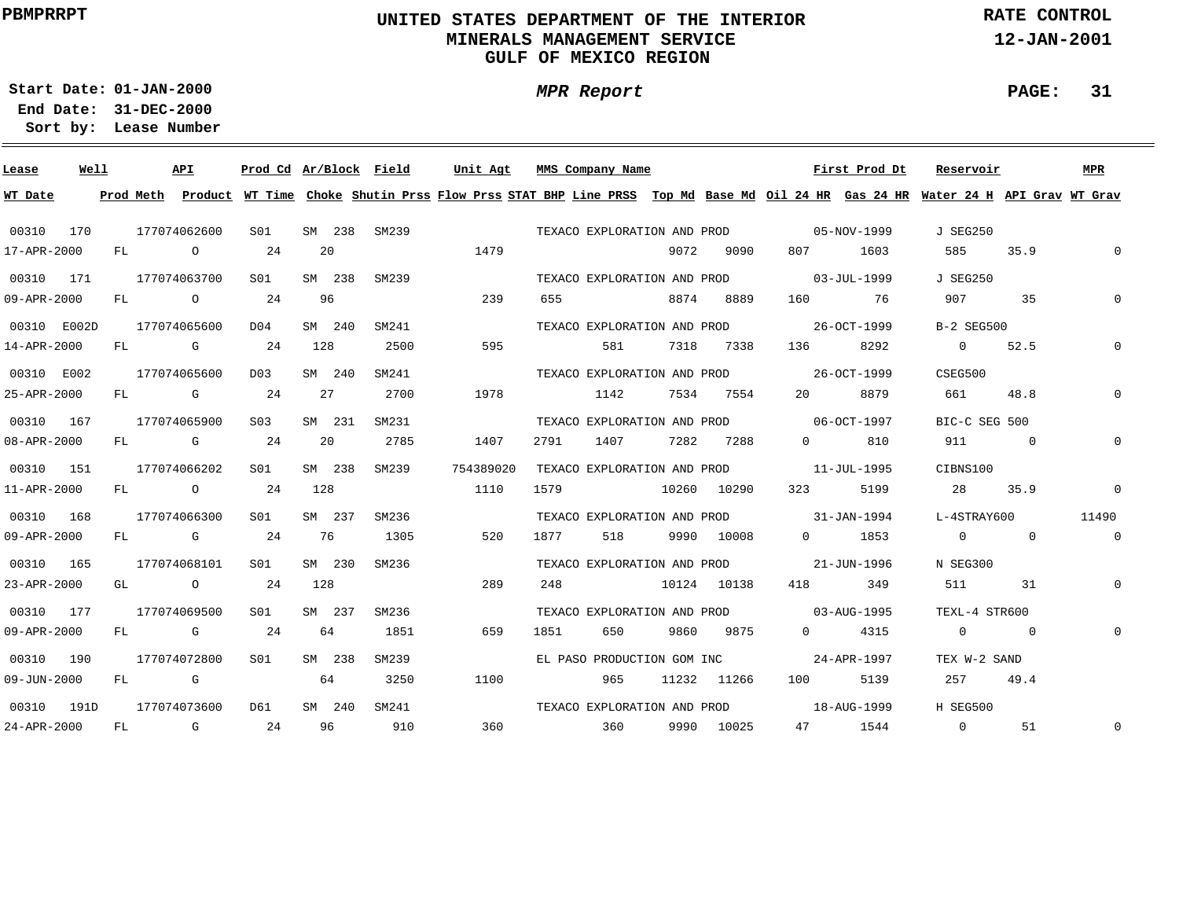# **UNITED STATES DEPARTMENT OF THE INTERIOR MINERALS MANAGEMENT SERVICEGULF OF MEXICO REGION**

**MPR Report**

**RATE CONTROL**

**12-JAN-2001**

**PAGE: 31**

÷

**01-JAN-2000Start Date:31-DEC-2000 End Date:** 

| Lease             | Well |    | <b>API</b>                                                                                                                                                                                                                     | Prod Cd Ar/Block Field |     |        |       | Unit Agt                                                                                                                                |      | MMS Company Name            |      |             |                                         | First Prod Dt | Reservoir       |                | MPR            |
|-------------------|------|----|--------------------------------------------------------------------------------------------------------------------------------------------------------------------------------------------------------------------------------|------------------------|-----|--------|-------|-----------------------------------------------------------------------------------------------------------------------------------------|------|-----------------------------|------|-------------|-----------------------------------------|---------------|-----------------|----------------|----------------|
| WT Date           |      |    |                                                                                                                                                                                                                                |                        |     |        |       | Prod Meth Product WT Time Choke Shutin Prss Flow Prss STAT BHP Line PRSS Top Md Base Md Oil 24 HR Gas 24 HR Water 24 H API Grav WT Grav |      |                             |      |             |                                         |               |                 |                |                |
| 00310 170         |      |    | 177074062600                                                                                                                                                                                                                   | SO1                    |     | SM 238 | SM239 |                                                                                                                                         |      | TEXACO EXPLORATION AND PROD |      |             | $05 - NOV - 1999$                       |               | J SEG250        |                |                |
| 17-APR-2000       |      | FL | $\overline{O}$                                                                                                                                                                                                                 | 24                     |     | 20     |       | 1479                                                                                                                                    |      |                             | 9072 | 9090        | 807                                     | 1603          | 585             | 35.9           | $\mathbf 0$    |
| 00310 171         |      |    | 177074063700                                                                                                                                                                                                                   | S01                    |     | SM 238 | SM239 |                                                                                                                                         |      | TEXACO EXPLORATION AND PROD |      |             | 03-JUL-1999                             |               | <b>J SEG250</b> |                |                |
| 09-APR-2000       |      | FL | $\circ$                                                                                                                                                                                                                        | 24                     |     | 96     |       | 239                                                                                                                                     | 655  |                             |      | 8874 8889   | 160 160                                 | 76            | 907             | 35             | $\Omega$       |
| 00310 E002D       |      |    | 177074065600                                                                                                                                                                                                                   | D04                    |     | SM 240 | SM241 |                                                                                                                                         |      | TEXACO EXPLORATION AND PROD |      |             | 26-OCT-1999                             |               | B-2 SEG500      |                |                |
| 14-APR-2000       |      | FL | G                                                                                                                                                                                                                              | 24                     | 128 |        | 2500  | 595                                                                                                                                     |      | 581                         |      | 7318 7338   | 136                                     | 8292          | $\overline{0}$  | 52.5           | 0              |
| 00310 E002        |      |    | 177074065600                                                                                                                                                                                                                   | D03                    |     | SM 240 | SM241 |                                                                                                                                         |      | TEXACO EXPLORATION AND PROD |      |             | 26-OCT-1999                             |               | CSEG500         |                |                |
| 25-APR-2000       |      | FL | $\mathbf G$                                                                                                                                                                                                                    | 24                     |     | 27     | 2700  | 1978                                                                                                                                    |      | 1142                        | 7534 | 7554        | 20 —                                    | 8879          | 661             | 48.8           |                |
| 00310 167         |      |    | 177074065900                                                                                                                                                                                                                   | S03                    |     | SM 231 | SM231 |                                                                                                                                         |      |                             |      |             | TEXACO EXPLORATION AND PROD 06-OCT-1997 |               | BIC-C SEG 500   |                |                |
| 08-APR-2000       |      | FL | and the Company of the Company of the Company of the Company of the Company of the Company of the Company of the Company of the Company of the Company of the Company of the Company of the Company of the Company of the Comp | 24                     |     | 20     | 2785  | 1407                                                                                                                                    | 2791 | 1407                        | 7282 | 7288        | $\Omega$                                | 810           | 911             | $\overline{0}$ | 0              |
| 00310 151         |      |    | 177074066202                                                                                                                                                                                                                   | S01                    |     | SM 238 | SM239 | 754389020                                                                                                                               |      |                             |      |             | TEXACO EXPLORATION AND PROD 11-JUL-1995 |               | CIBNS100        |                |                |
| 11-APR-2000       |      |    | FL O                                                                                                                                                                                                                           | 24                     | 128 |        |       | 1110                                                                                                                                    | 1579 | 10260 10290                 |      |             | 323 and $\overline{a}$                  | 5199          | 28              | 35.9           | $\mathbf 0$    |
| 00310 168         |      |    | 177074066300                                                                                                                                                                                                                   | SO1                    |     | SM 237 | SM236 |                                                                                                                                         |      |                             |      |             | TEXACO EXPLORATION AND PROD 31-JAN-1994 |               | L-4STRAY600     |                | 11490          |
| 09-APR-2000       |      |    | FL G                                                                                                                                                                                                                           | 24                     |     | 76     | 1305  | 520                                                                                                                                     | 1877 | 518                         |      | 9990 10008  | $\Omega$                                | 1853          | $\overline{0}$  | $\Omega$       | $\overline{0}$ |
| 00310 165         |      |    | 177074068101                                                                                                                                                                                                                   | S01                    |     | SM 230 | SM236 |                                                                                                                                         |      |                             |      |             | TEXACO EXPLORATION AND PROD 21-JUN-1996 |               | N SEG300        |                |                |
| 23-APR-2000       |      | GL | $\overline{O}$                                                                                                                                                                                                                 | 24                     | 128 |        |       | 289                                                                                                                                     | 248  |                             |      | 10124 10138 | 418 — 18                                | 349           | 511 — 10        | 31             | 0              |
| 00310 177         |      |    | 177074069500                                                                                                                                                                                                                   | SO1                    |     | SM 237 | SM236 |                                                                                                                                         |      |                             |      |             | TEXACO EXPLORATION AND PROD 03-AUG-1995 |               | TEXL-4 STR600   |                |                |
| $09 - APR - 2000$ |      | FL | and the control of the control of the control of the control of the control of the control of the control of the control of the control of the control of the control of the control of the control of the control of the cont | 24                     |     | 64     | 1851  | 659                                                                                                                                     | 1851 | 650                         |      | 9860 9875   | $\Omega$                                | 4315          | $\overline{0}$  | $\overline{0}$ | $\mathsf{O}$   |
| 00310 190         |      |    | 177074072800                                                                                                                                                                                                                   | S01                    |     | SM 238 | SM239 |                                                                                                                                         |      | EL PASO PRODUCTION GOM INC  |      |             |                                         | 24-APR-1997   | TEX W-2 SAND    |                |                |
| 09-JUN-2000       |      | FL | <b>G</b>                                                                                                                                                                                                                       |                        |     | 64     | 3250  | 1100                                                                                                                                    |      | 965                         |      | 11232 11266 | 100 000                                 | 5139          | 257             | 49.4           |                |
| 00310 191D        |      |    | 177074073600                                                                                                                                                                                                                   | D61                    |     | SM 240 | SM241 |                                                                                                                                         |      | TEXACO EXPLORATION AND PROD |      |             |                                         | 18-AUG-1999   | H SEG500        |                |                |
| 24-APR-2000       |      | FL | $\mathbb G$                                                                                                                                                                                                                    | 24                     |     | 96     | 910   | 360                                                                                                                                     |      | 360                         |      | 9990 10025  |                                         | 47 1544       | $\overline{0}$  | 51             | $\mathsf{O}$   |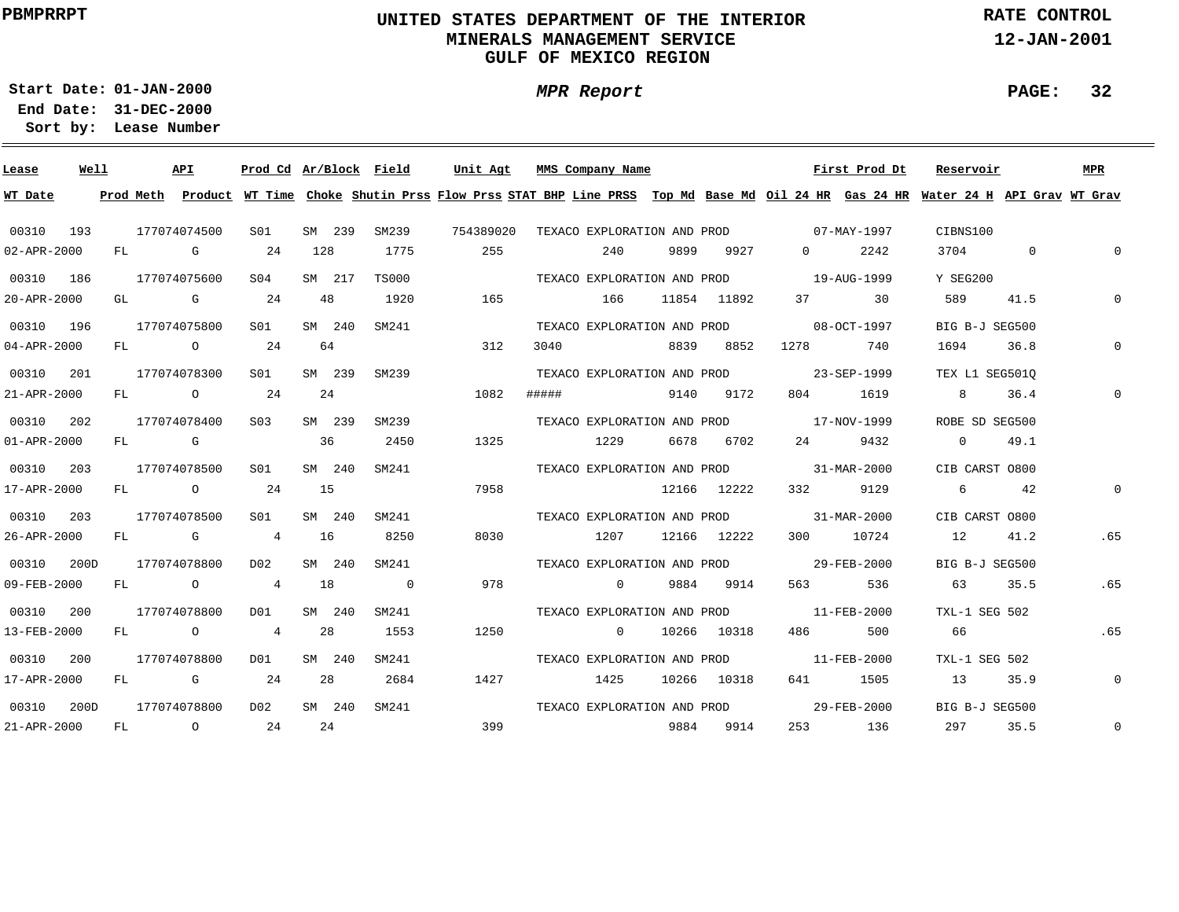# **UNITED STATES DEPARTMENT OF THE INTERIOR MINERALS MANAGEMENT SERVICEGULF OF MEXICO REGION**

**MPR Report**

**RATE CONTROL**

**12-JAN-2001**

**PAGE: 32**

÷

**01-JAN-2000Start Date:31-DEC-2000 End Date:** 

| Lease             | Well |           | API            | Prod Cd Ar/Block Field |     |        |                | Unit Agt                                                                                                                      |                             | MMS Company Name            |                  |             |                                         | First Prod Dt | Reservoir       |              | <b>MPR</b>     |
|-------------------|------|-----------|----------------|------------------------|-----|--------|----------------|-------------------------------------------------------------------------------------------------------------------------------|-----------------------------|-----------------------------|------------------|-------------|-----------------------------------------|---------------|-----------------|--------------|----------------|
| WT Date           |      | Prod Meth |                |                        |     |        |                | Product WT Time Choke Shutin Prss Flow Prss STAT BHP Line PRSS Top Md Base Md Oil 24 HR Gas 24 HR Water 24 H API Grav WT Grav |                             |                             |                  |             |                                         |               |                 |              |                |
| 00310 193         |      |           | 177074074500   | SO1                    |     | SM 239 | SM239          | 754389020                                                                                                                     |                             |                             |                  |             | TEXACO EXPLORATION AND PROD 07-MAY-1997 |               | CIBNS100        |              |                |
| $02 - APR - 2000$ |      | FL        | <b>G</b>       | 24                     | 128 |        | 1775           | 255                                                                                                                           |                             | 240                         | 9899             | 9927        | $\Omega$                                | 2242          | 3704            | $\mathbf{0}$ | $\Omega$       |
| 00310 186         |      |           | 177074075600   | SO4                    |     | SM 217 | <b>TS000</b>   |                                                                                                                               |                             | TEXACO EXPLORATION AND PROD |                  |             | 19-AUG-1999                             |               | Y SEG200        |              |                |
| 20-APR-2000       |      | GL        | <b>G</b>       | 24                     | 48  |        | 1920           | 165                                                                                                                           |                             | 166                         |                  | 11854 11892 | 37 — 1                                  | 30            | 589             | 41.5         | $\Omega$       |
| 00310 196         |      |           | 177074075800   | S01                    |     | SM 240 | SM241          |                                                                                                                               |                             | TEXACO EXPLORATION AND PROD |                  |             |                                         | 08-OCT-1997   | BIG B-J SEG500  |              |                |
| $04 - APR - 2000$ |      | FL        | $\overline{O}$ | 24                     | 64  |        |                | 312                                                                                                                           | 3040                        |                             | 8839             | 8852        | 1278                                    | 740           | 1694            | 36.8         | $\Omega$       |
| 00310 201         |      |           | 177074078300   | S01                    |     | SM 239 | SM239          |                                                                                                                               |                             | TEXACO EXPLORATION AND PROD |                  |             |                                         | 23-SEP-1999   | TEX L1 SEG5010  |              |                |
| 21-APR-2000       |      | FL        | $\overline{O}$ | 24                     | 24  |        |                | 1082                                                                                                                          | #####                       |                             |                  | 9140 9172   | 804                                     | 1619          | 8 - 10          | 36.4         | $\mathbf 0$    |
| 00310 202         |      |           | 177074078400   | S03                    |     | SM 239 | SM239          |                                                                                                                               |                             | TEXACO EXPLORATION AND PROD |                  |             | 17-NOV-1999                             |               | ROBE SD SEG500  |              |                |
| $01 - APR - 2000$ |      | FL        | <b>G</b>       |                        | 36  |        | 2450           | 1325                                                                                                                          |                             | 1229                        | 6678             | 6702        | 24 \                                    | 9432          | $\overline{0}$  | 49.1         |                |
| 00310 203         |      |           | 177074078500   | S01                    |     | SM 240 | SM241          |                                                                                                                               |                             |                             |                  |             | TEXACO EXPLORATION AND PROD 31-MAR-2000 |               | CIB CARST 0800  |              |                |
| 17-APR-2000       |      | FL        | $\overline{O}$ | 24                     | 15  |        |                | 7958                                                                                                                          |                             |                             | 12166 12222      |             | 332                                     | 9129          | $6\overline{6}$ | 42           | 0              |
| 00310 203         |      |           | 177074078500   | S01                    |     | SM 240 | SM241          |                                                                                                                               |                             |                             |                  |             | TEXACO EXPLORATION AND PROD 31-MAR-2000 |               | CIB CARST 0800  |              |                |
| 26-APR-2000       |      | FL        | <b>G</b> G     | $\overline{4}$         | 16  |        | 8250           | 8030                                                                                                                          |                             |                             | 1207 12166 12222 |             |                                         | 300 10724     | 12              | 41.2         | .65            |
| 00310             | 200D |           | 177074078800   | D02                    |     | SM 240 | SM241          |                                                                                                                               |                             |                             |                  |             | TEXACO EXPLORATION AND PROD 29-FEB-2000 |               | BIG B-J SEG500  |              |                |
| 09-FEB-2000       |      | FL        | $\overline{O}$ | $\overline{4}$         | 18  |        | $\overline{0}$ | 978                                                                                                                           |                             | $\overline{0}$              | 9884             | 9914        |                                         | 536           | 63 — 1          | 35.5         | .65            |
| 00310 200         |      |           | 177074078800   | DO1                    |     | SM 240 | SM241          |                                                                                                                               |                             |                             |                  |             | TEXACO EXPLORATION AND PROD 11-FEB-2000 |               | TXL-1 SEG 502   |              |                |
| 13-FEB-2000       |      |           | FL O           | $\overline{4}$         | 28  |        | 1553           | 1250                                                                                                                          |                             | $\Omega$                    |                  | 10266 10318 |                                         | 500           | 66              |              | .65            |
| 00310             | 200  |           | 177074078800   | DO1                    |     | SM 240 | SM241          |                                                                                                                               |                             |                             |                  |             | TEXACO EXPLORATION AND PROD 11-FEB-2000 |               | TXL-1 SEG 502   |              |                |
| 17-APR-2000       |      | FL        | $\mathbf G$    | 24                     | 28  |        | 2684           | 1427                                                                                                                          |                             | 1425                        |                  | 10266 10318 | 641 64                                  | 1505          | 13              | 35.9         | $\overline{0}$ |
| 00310             | 200D |           | 177074078800   | D02                    |     | SM 240 | SM241          |                                                                                                                               | TEXACO EXPLORATION AND PROD |                             |                  |             | 29-FEB-2000                             |               | BIG B-J SEG500  |              |                |
| 21-APR-2000       |      | FL        | $\circ$ 24     |                        | 24  |        |                | 399                                                                                                                           |                             |                             | 9884             | 9914        |                                         | 253 136       | 297             | 35.5         | $\mathbf 0$    |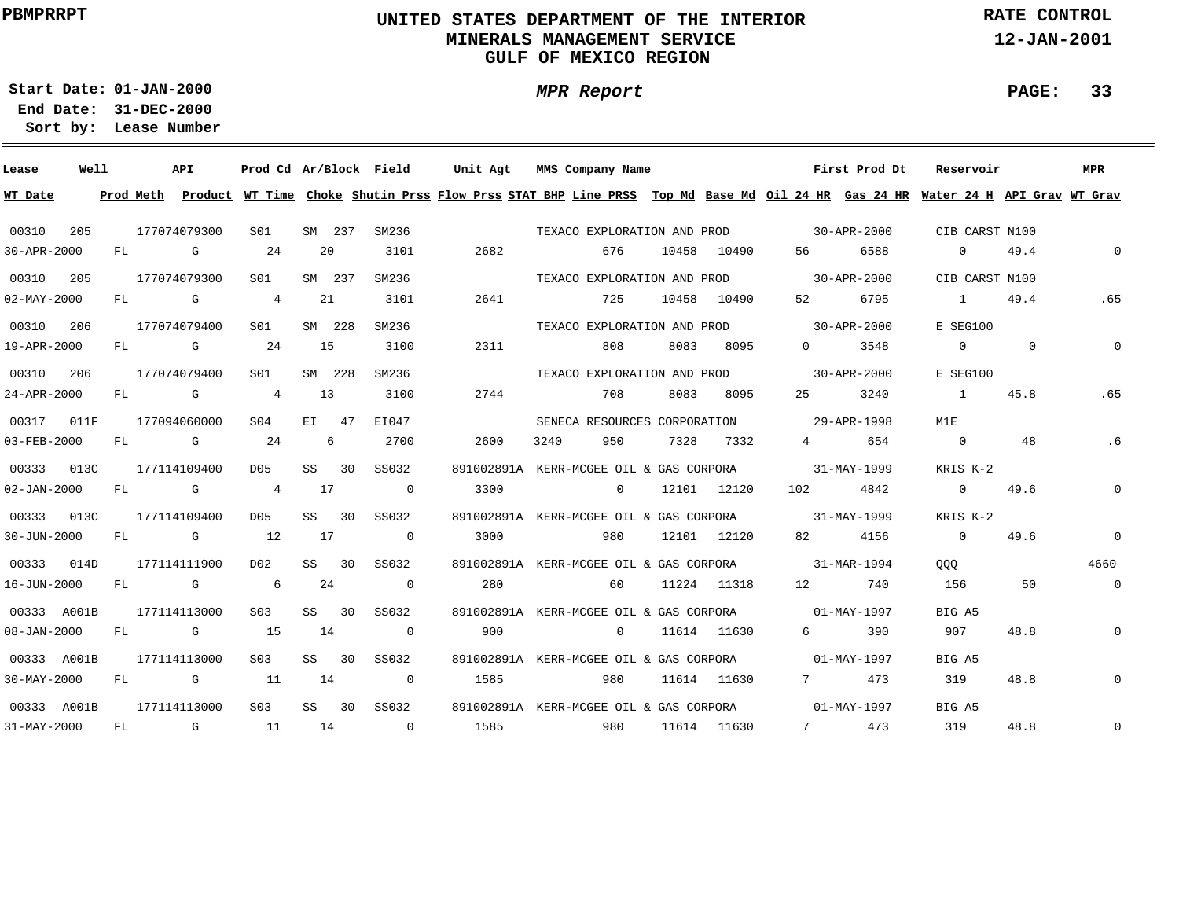# **UNITED STATES DEPARTMENT OF THE INTERIOR MINERALS MANAGEMENT SERVICEGULF OF MEXICO REGION**

**MPR Report**

**RATE CONTROL**

**12-JAN-2001**

**PAGE: 33**

**01-JAN-2000Start Date:**

**31-DEC-2000 End Date: Lease Number Sort by:**

| Lease             | Well |           | <b>API</b>                                                                                                                                                                                                                     | Prod Cd Ar/Block Field |    |         |                          | Unit Agt   | MMS Company Name                                                                                                              |       |             |                                                                                                                                                                                                                                 | First Prod Dt     | Reservoir         |                | <b>MPR</b>     |
|-------------------|------|-----------|--------------------------------------------------------------------------------------------------------------------------------------------------------------------------------------------------------------------------------|------------------------|----|---------|--------------------------|------------|-------------------------------------------------------------------------------------------------------------------------------|-------|-------------|---------------------------------------------------------------------------------------------------------------------------------------------------------------------------------------------------------------------------------|-------------------|-------------------|----------------|----------------|
| WT Date           |      | Prod Meth |                                                                                                                                                                                                                                |                        |    |         |                          |            | Product WT Time Choke Shutin Prss Flow Prss STAT BHP Line PRSS Top Md Base Md Oil 24 HR Gas 24 HR Water 24 H API Grav WT Grav |       |             |                                                                                                                                                                                                                                 |                   |                   |                |                |
| 00310             | 205  |           | 177074079300                                                                                                                                                                                                                   | SO1                    |    | SM 237  | SM236                    |            | TEXACO EXPLORATION AND PROD                                                                                                   |       |             | $30 - APR - 2000$                                                                                                                                                                                                               |                   | CIB CARST N100    |                |                |
| 30-APR-2000       |      | FL        | G                                                                                                                                                                                                                              | 24                     |    | 20      | 3101                     | 2682       | 676                                                                                                                           | 10458 | 10490       | 56 — 1                                                                                                                                                                                                                          | 6588              | $\overline{0}$    | 49.4           | $\Omega$       |
| 00310             | 205  |           | 177074079300                                                                                                                                                                                                                   | SO1                    |    | SM 237  | SM236                    |            | TEXACO EXPLORATION AND PROD                                                                                                   |       |             | $30 - APR - 2000$                                                                                                                                                                                                               |                   | CIB CARST N100    |                |                |
| $02 - MAX - 2000$ |      | FL        | G                                                                                                                                                                                                                              | 4                      |    | 21      | 3101                     | 2641       | 725                                                                                                                           |       | 10458 10490 |                                                                                                                                                                                                                                 | 6795              | $\sim$ 1          | 49.4           | .65            |
| 00310             | 206  |           | 177074079400                                                                                                                                                                                                                   | SO1                    |    | SM 228  | SM236                    |            | TEXACO EXPLORATION AND PROD                                                                                                   |       |             |                                                                                                                                                                                                                                 | $30 - APR - 2000$ | E SEG100          |                |                |
| 19-APR-2000       |      | FL        | G                                                                                                                                                                                                                              | 24                     |    | - 15    | 3100                     | 2311       | 808                                                                                                                           | 8083  | 8095        | $\Omega$                                                                                                                                                                                                                        | 3548              | $0 \qquad \qquad$ | $\overline{0}$ | $\mathbf 0$    |
| 00310             | 206  |           | 177074079400                                                                                                                                                                                                                   | S01                    |    | SM 228  | SM236                    |            | TEXACO EXPLORATION AND PROD                                                                                                   |       |             |                                                                                                                                                                                                                                 | 30-APR-2000       | E SEG100          |                |                |
| 24-APR-2000       |      | FL        | <b>G</b> and the state of the state of the state of the state of the state of the state of the state of the state of                                                                                                           | $\overline{4}$         |    | 13      | 3100                     | 2744       | 708                                                                                                                           | 8083  | 8095        | 25                                                                                                                                                                                                                              | 3240              | $\sim$ 1          | 45.8           | .65            |
| 00317             | 011F |           | 177094060000                                                                                                                                                                                                                   | SO <sub>4</sub>        |    | $E1$ 47 | EI047                    |            | SENECA RESOURCES CORPORATION 29-APR-1998                                                                                      |       |             |                                                                                                                                                                                                                                 |                   | M1E               |                |                |
| $03 - FEB - 2000$ |      | FL        | <b>G</b>                                                                                                                                                                                                                       | 24                     |    | 6       | 2700                     | 2600       | 950<br>3240                                                                                                                   | 7328  | 7332        | $4\degree$                                                                                                                                                                                                                      | 654               | $\overline{0}$    | 48             | .6             |
| 00333             | 013C |           | 177114109400                                                                                                                                                                                                                   | D05                    | SS | 30      | SS032                    | 891002891A | KERR-MCGEE OIL & GAS CORPORA 31-MAY-1999                                                                                      |       |             |                                                                                                                                                                                                                                 |                   | KRIS K-2          |                |                |
| $02 - JAN - 2000$ |      | FL        | and the control of the control of the control of the control of the control of the control of the control of the control of the control of the control of the control of the control of the control of the control of the cont | 4                      |    | 17      | $\overline{0}$           | 3300       | $\overline{0}$                                                                                                                |       | 12101 12120 | 102 — 102 — 103 — 103 — 103 — 103 — 103 — 103 — 103 — 103 — 104 — 104 — 105 — 105 — 106 — 107 — 108 — 108 — 108 — 108 — 108 — 108 — 108 — 108 — 108 — 108 — 108 — 108 — 108 — 108 — 108 — 108 — 108 — 108 — 108 — 108 — 108 — 1 | 4842              | $\overline{0}$    | 49.6           | $\overline{0}$ |
| 00333             | 013C |           | 177114109400                                                                                                                                                                                                                   | D05                    | SS | 30      | SS032                    |            | 891002891A KERR-MCGEE OIL & GAS CORPORA 31-MAY-1999                                                                           |       |             |                                                                                                                                                                                                                                 |                   | KRIS K-2          |                |                |
| 30-JUN-2000       |      | FL        | <b>G</b> G                                                                                                                                                                                                                     | 12                     | 17 |         | $\overline{0}$           | 3000       | 980                                                                                                                           |       | 12101 12120 | 82 — 1                                                                                                                                                                                                                          | 4156              | $\overline{0}$    | 49.6           | $\mathbf 0$    |
| 00333             | 014D |           | 177114111900                                                                                                                                                                                                                   | D02                    | SS | 30      | SS032                    |            | 891002891A KERR-MCGEE OIL & GAS CORPORA 31-MAR-1994                                                                           |       |             |                                                                                                                                                                                                                                 |                   | QQQ               |                | 4660           |
| 16-JUN-2000       |      | FL        | <b>G</b>                                                                                                                                                                                                                       | $6\overline{6}$        |    | 24      | $\overline{0}$           | 280        | 60                                                                                                                            |       | 11224 11318 | 12 and $\sim$                                                                                                                                                                                                                   | 740               | 156               | 50             | $\overline{0}$ |
| 00333 A001B       |      |           | 177114113000                                                                                                                                                                                                                   | S03                    |    | SS 30   | SS032                    |            | 891002891A KERR-MCGEE OIL & GAS CORPORA 01-MAY-1997                                                                           |       |             |                                                                                                                                                                                                                                 |                   | BIG A5            |                |                |
| $08 - JAN - 2000$ |      | FL        | G                                                                                                                                                                                                                              | 15                     |    | 14      | $\overline{\phantom{0}}$ | 900        | $\overline{0}$                                                                                                                |       | 11614 11630 | $6 \qquad \qquad$                                                                                                                                                                                                               | 390               | 907               | 48.8           | $\mathbf 0$    |
| 00333 A001B       |      |           | 177114113000                                                                                                                                                                                                                   | S03                    | SS | 30      | SS032                    |            | 891002891A KERR-MCGEE OIL & GAS CORPORA 01-MAY-1997                                                                           |       |             |                                                                                                                                                                                                                                 |                   | BIG A5            |                |                |
| $30 - MAX - 2000$ |      | FL        | G                                                                                                                                                                                                                              | 11                     |    | 14      | $\overline{0}$           | 1585       | 980                                                                                                                           |       | 11614 11630 | $7$ and $7$                                                                                                                                                                                                                     | 473               | 319               | 48.8           | $\mathbf 0$    |
| 00333 A001B       |      |           | 177114113000                                                                                                                                                                                                                   | S03                    |    | SS 30   | SS032                    |            | 891002891A KERR-MCGEE OIL & GAS CORPORA 01-MAY-1997                                                                           |       |             |                                                                                                                                                                                                                                 |                   | BIG A5            |                |                |
| 31-MAY-2000       |      | FL        | <b>G</b>                                                                                                                                                                                                                       | 11                     | 14 |         | $\overline{0}$           | 1585       | 980                                                                                                                           |       | 11614 11630 | 7                                                                                                                                                                                                                               | 473               | 319               | 48.8           | $\mathbf 0$    |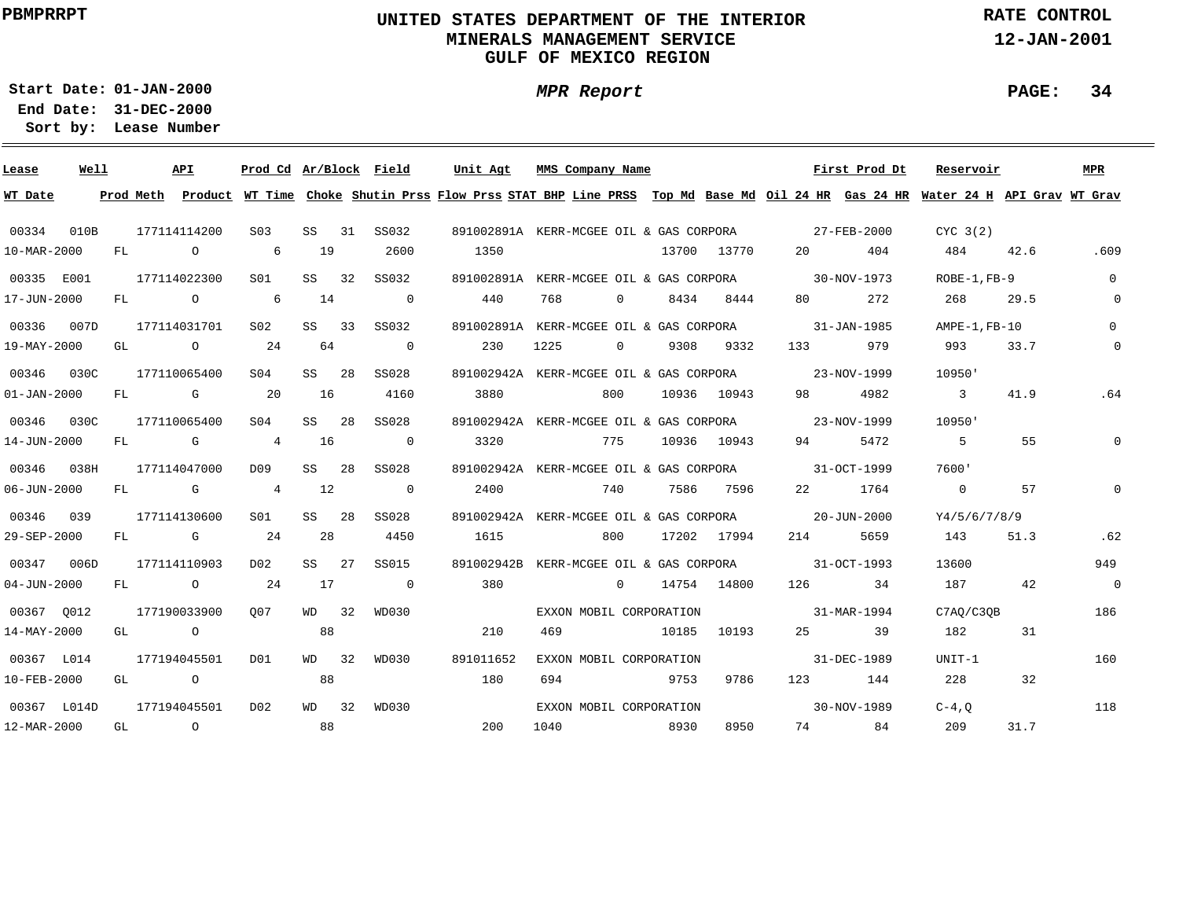# **UNITED STATES DEPARTMENT OF THE INTERIOR MINERALS MANAGEMENT SERVICEGULF OF MEXICO REGION**

**MPR Report**

**RATE CONTROL**

**12-JAN-2001**

**PAGE: 34**

**01-JAN-2000Start Date:31-DEC-2000 End Date:** 

| Lease             | Well |    | API            | Prod Cd Ar/Block Field |             |    |                          | Unit Agt  |      | MMS Company Name        |                   |      |                 |         | First Prod Dt                                                                                                                           | Reservoir               |      | MPR            |
|-------------------|------|----|----------------|------------------------|-------------|----|--------------------------|-----------|------|-------------------------|-------------------|------|-----------------|---------|-----------------------------------------------------------------------------------------------------------------------------------------|-------------------------|------|----------------|
| WT Date           |      |    |                |                        |             |    |                          |           |      |                         |                   |      |                 |         | Prod Meth Product WT Time Choke Shutin Prss Flow Prss STAT BHP Line PRSS Top Md Base Md Oil 24 HR Gas 24 HR Water 24 H API Grav WT Grav |                         |      |                |
| 00334             | 010B |    | 177114114200   | S <sub>03</sub>        | SS          | 31 | SS032                    |           |      |                         |                   |      |                 |         | 891002891A KERR-MCGEE OIL & GAS CORPORA 27-FEB-2000                                                                                     | CYC 3(2)                |      |                |
| 10-MAR-2000       |      | FL | $\overline{O}$ | 6 19                   |             |    | 2600                     | 1350      |      |                         |                   |      | 13700 13770     |         | 20<br>404                                                                                                                               | 484 42.6                |      | .609           |
| 00335 E001        |      |    | 177114022300   | S01                    | SS 32 SS032 |    |                          |           |      |                         |                   |      |                 |         | 891002891A KERR-MCGEE OIL & GAS CORPORA 30-NOV-1973                                                                                     | ROBE-1,FB-9             |      | $\overline{0}$ |
| 17-JUN-2000       |      | FL | $\overline{O}$ | $6\overline{6}$        | 14          |    | $\overline{0}$           | 440       |      | 768                     | $\overline{0}$    | 8434 | 8444            | 80 — 10 | 272                                                                                                                                     | 268                     | 29.5 | $\overline{0}$ |
| 00336 007D        |      |    | 177114031701   | SO2                    | $SS$ 33     |    | SS032                    |           |      |                         |                   |      |                 |         | 891002891A KERR-MCGEE OIL & GAS CORPORA 31-JAN-1985                                                                                     | AMPE-1,FB-10            |      | $\overline{0}$ |
| 19-MAY-2000       |      | GL | $\circ$ 24     |                        | 64          |    | $\overline{0}$           | 230       | 1225 |                         | $0 \qquad \qquad$ |      | 9308 9332       | 133     | 979                                                                                                                                     | 993                     | 33.7 | $\mathbf 0$    |
| 00346 030C        |      |    | 177110065400   | S <sub>04</sub>        | SS 28       |    | SS028                    |           |      |                         |                   |      |                 |         | 891002942A KERR-MCGEE OIL & GAS CORPORA 23-NOV-1999                                                                                     | 10950'                  |      |                |
| $01 - JAN - 2000$ |      | FL | <b>G</b> 20    |                        | 16          |    | 4160                     | 3880      |      | 800                     |                   |      | 10936 10943     | 98 — 1  | 4982                                                                                                                                    | $\overline{\mathbf{3}}$ | 41.9 | .64            |
| 00346 030C        |      |    | 177110065400   | SO4                    | SS 28       |    | SS028                    |           |      |                         |                   |      |                 |         | 891002942A KERR-MCGEE OIL & GAS CORPORA 23-NOV-1999                                                                                     | 10950'                  |      |                |
| 14-JUN-2000       |      | FL | G 4 16         |                        |             |    | $\overline{0}$           | 3320      |      |                         |                   |      | 775 10936 10943 | 94 — 10 | 5472                                                                                                                                    | -5                      | 55   | 0              |
| 00346 038H        |      |    | 177114047000   | D09                    | SS 28       |    | SS028                    |           |      |                         |                   |      |                 |         | 891002942A KERR-MCGEE OIL & GAS CORPORA 31-OCT-1999                                                                                     | 7600'                   |      |                |
| $06 - JUN - 2000$ |      |    | FL G 4         |                        | 12          |    | $\overline{0}$           | 2400      |      |                         |                   |      | 740 7586 7596   |         | 22 1764                                                                                                                                 | $\overline{0}$          | 57   |                |
| 00346 039         |      |    | 177114130600   | SO1                    | SS 28       |    | SS028                    |           |      |                         |                   |      |                 |         | 891002942A KERR-MCGEE OIL & GAS CORPORA 20-JUN-2000                                                                                     | Y4/5/6/7/8/9            |      |                |
| 29-SEP-2000       |      |    | $FL$ G 24      |                        | 28          |    | 4450                     | 1615      |      |                         |                   |      | 800 17202 17994 |         | 214 5659                                                                                                                                | 143                     | 51.3 | .62            |
| 00347 006D        |      |    | 177114110903   | DO 2                   | SS 27       |    | SS015                    |           |      |                         |                   |      |                 |         | 891002942B KERR-MCGEE OIL & GAS CORPORA 31-OCT-1993                                                                                     | 13600                   |      | 949            |
| $04 - JUN - 2000$ |      |    | FL 0 24        |                        | 17          |    | $\overline{\phantom{0}}$ | 380       |      | 0 14754 14800           |                   |      |                 |         | 126 34                                                                                                                                  | 187                     | 42   | $\overline{0}$ |
| 00367 0012        |      |    | 177190033900   | 007                    | WD 32       |    | WD030                    |           |      | EXXON MOBIL CORPORATION |                   |      |                 |         | $31 - MAR - 1994$                                                                                                                       | C7AO/C3OB               |      | 186            |
| 14-MAY-2000       |      |    | GL O           |                        | 88          |    |                          | 210       |      | 469                     |                   |      | 10185 10193     |         | 25 39                                                                                                                                   | 182                     | 31   |                |
| 00367 L014        |      |    | 177194045501   | D01                    | $WD$ 32     |    | WD030                    | 891011652 |      | EXXON MOBIL CORPORATION |                   |      |                 |         | 31-DEC-1989                                                                                                                             | UNIT-1                  |      | 160            |
| 10-FEB-2000       |      |    | GL O           |                        | 88          |    |                          | 180       |      | 694                     |                   | 9753 | 9786            |         | 123 144                                                                                                                                 | 228                     | 32   |                |
| 00367 L014D       |      |    | 177194045501   | D <sub>0</sub> 2       | $WD$ 32     |    | WD030                    |           |      | EXXON MOBIL CORPORATION |                   |      |                 |         | $30 - NOV - 1989$                                                                                                                       | $C-4, O$                |      | 118            |
| 12-MAR-2000       |      |    | GL O           |                        | 88          |    |                          | 200       |      | 1040 8930               |                   |      | 8950            |         | 74 84                                                                                                                                   | 209                     | 31.7 |                |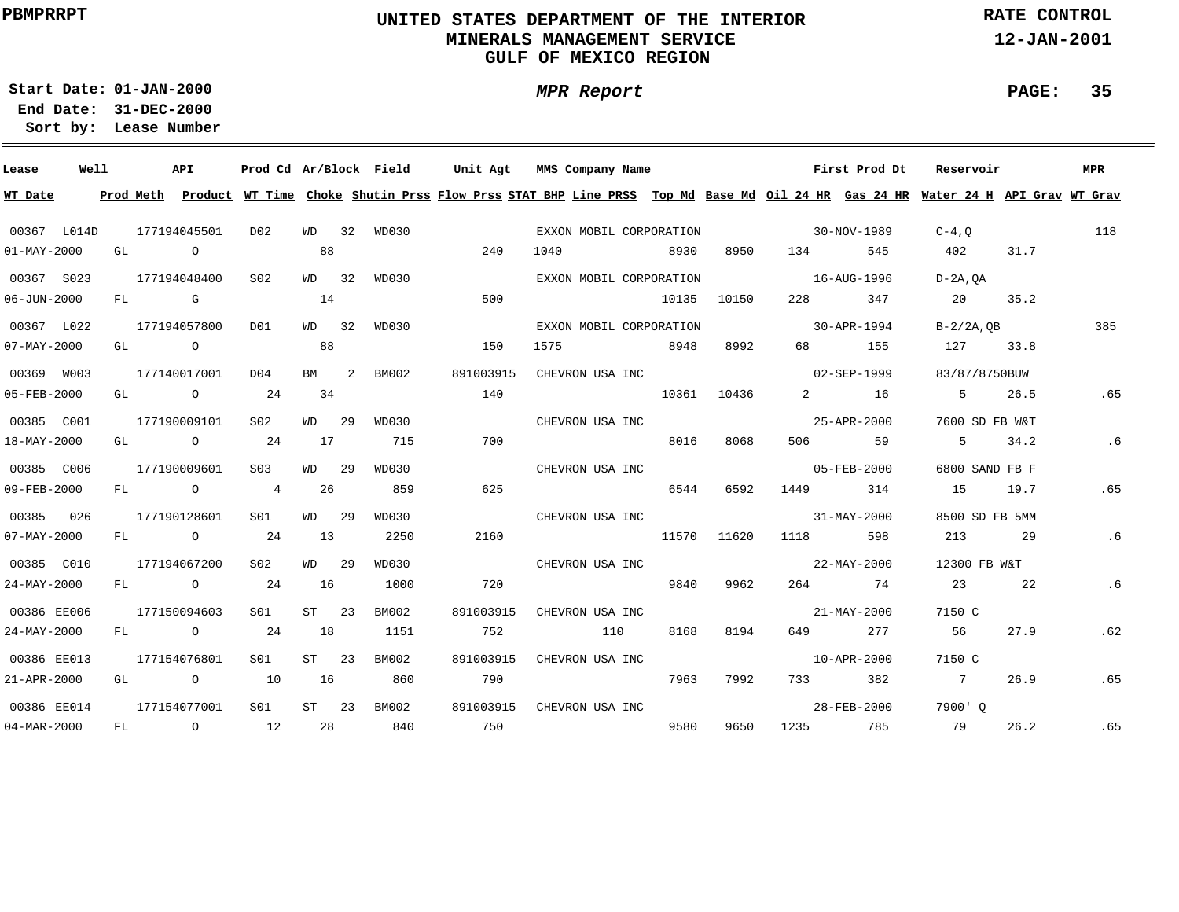# **UNITED STATES DEPARTMENT OF THE INTERIOR MINERALS MANAGEMENT SERVICEGULF OF MEXICO REGION**

**MPR Report**

**RATE CONTROL**

**12-JAN-2001**

**PAGE: 35**

**01-JAN-2000Start Date:31-DEC-2000 End Date:** 

| Lease             | Well |    |                | API            | Prod Cd Ar/Block Field |           |   |             | Unit Agt  | MMS Company Name                                                                                                                        |       |             |                                   | First Prod Dt     | Reservoir       |      | MPR |
|-------------------|------|----|----------------|----------------|------------------------|-----------|---|-------------|-----------|-----------------------------------------------------------------------------------------------------------------------------------------|-------|-------------|-----------------------------------|-------------------|-----------------|------|-----|
| WT Date           |      |    |                |                |                        |           |   |             |           | Prod Meth Product WT Time Choke Shutin Prss Flow Prss STAT BHP Line PRSS Top Md Base Md Oil 24 HR Gas 24 HR Water 24 H API Grav WT Grav |       |             |                                   |                   |                 |      |     |
| 00367 L014D       |      |    |                | 177194045501   | D02                    |           |   | WD 32 WD030 |           | EXXON MOBIL CORPORATION                                                                                                                 |       |             |                                   | 30-NOV-1989       | $C-4$ , O       |      | 118 |
| $01 - MAX - 2000$ |      | GL | $\overline{a}$ |                |                        | 88        |   |             | 240       | 1040                                                                                                                                    | 8930  | 8950        | 134                               | 545               | 402             | 31.7 |     |
| 00367 S023        |      |    |                | 177194048400   | S02                    | WD 32     |   | WD030       |           | EXXON MOBIL CORPORATION                                                                                                                 |       |             | 16-AUG-1996                       |                   | $D-2A$ , OA     |      |     |
| $06 - JUN - 2000$ |      | FL | <b>G</b> G     |                |                        | 14        |   |             | 500       |                                                                                                                                         | 10135 | 10150       | 228                               | 347               | 20              | 35.2 |     |
| 00367 L022        |      |    |                | 177194057800   | DO1                    | WD 32     |   | WD030       |           | EXXON MOBIL CORPORATION                                                                                                                 |       |             | $30 - APR - 1994$                 |                   | $B - 2/2A$ , OB |      | 385 |
| $07 - MAX - 2000$ |      | GL |                | $\overline{O}$ |                        | 88        |   |             | 150       | 1575                                                                                                                                    | 8948  | 8992        | 68 — 10                           | 155               | 127             | 33.8 |     |
| 00369 W003        |      |    |                | 177140017001   | D04                    | <b>BM</b> | 2 | BM002       | 891003915 | CHEVRON USA INC                                                                                                                         |       |             |                                   | 02-SEP-1999       | 83/87/8750BUW   |      |     |
| 05-FEB-2000       |      | GL |                | $\circ$ 24     |                        | 34        |   |             | 140       |                                                                                                                                         | 10361 | 10436       | $\overline{2}$ and $\overline{2}$ | 16                | $5^{\circ}$     | 26.5 | .65 |
| 00385 C001        |      |    |                | 177190009101   | S02                    | WD 29     |   | WD030       |           | CHEVRON USA INC                                                                                                                         |       |             |                                   | 25-APR-2000       | 7600 SD FB W&T  |      |     |
| 18-MAY-2000       |      | GL |                | $\overline{O}$ | 24                     | 17        |   | 715         | 700       |                                                                                                                                         | 8016  | 8068        | 506 700                           | 59                | $5 \t34.2$      |      | .6  |
| 00385 C006        |      |    |                | 177190009601   | S <sub>03</sub>        | WD 29     |   | WD030       |           | CHEVRON USA INC                                                                                                                         |       |             |                                   | $05 - FEB - 2000$ | 6800 SAND FB F  |      |     |
| 09-FEB-2000       |      |    |                | FL O           | $\overline{4}$         | 26        |   | 859         | 625       |                                                                                                                                         | 6544  | 6592        | 1449                              | 314               | 15              | 19.7 | .65 |
| 00385             | 026  |    |                | 177190128601   | SO1                    | WD 29     |   | WD030       |           | CHEVRON USA INC                                                                                                                         |       |             |                                   | 31-MAY-2000       | 8500 SD FB 5MM  |      |     |
| $07 - MAX - 2000$ |      |    |                | FL O           | 24                     | 13        |   | 2250        | 2160      |                                                                                                                                         |       | 11570 11620 | 1118                              | 598               | 213             | 29   | .6  |
| 00385 C010        |      |    |                | 177194067200   | S02                    | WD 29     |   | WD030       |           | CHEVRON USA INC                                                                                                                         |       |             |                                   | 22-MAY-2000       | 12300 FB W&T    |      |     |
| 24-MAY-2000       |      |    |                | FL O           | 24                     | 16        |   | 1000        | 720       |                                                                                                                                         | 9840  | 9962        |                                   | 264 74            | 23              | 22   | .6  |
| 00386 EE006       |      |    |                | 177150094603   | SO1                    | $ST$ 23   |   | BM002       | 891003915 | CHEVRON USA INC                                                                                                                         |       |             |                                   | 21-MAY-2000       | 7150 C          |      |     |
| $24 - MAX - 2000$ |      |    |                | FL O           | 24                     | 18        |   | 1151        | 752       | 110                                                                                                                                     | 8168  | 8194        | 649 — 10                          | 277               | 56              | 27.9 | .62 |
| 00386 EE013       |      |    |                | 177154076801   | S01                    | $ST$ 23   |   | BM002       | 891003915 | CHEVRON USA INC                                                                                                                         |       |             |                                   | 10-APR-2000       | 7150 C          |      |     |
| 21-APR-2000       |      | GL |                | $\overline{O}$ | 10                     | 16        |   | 860         | 790       |                                                                                                                                         | 7963  | 7992        |                                   | 733 382           | $\overline{7}$  | 26.9 | .65 |
| 00386 EE014       |      |    |                | 177154077001   | S <sub>01</sub>        | $ST$ 23   |   | BM002       | 891003915 | CHEVRON USA INC                                                                                                                         |       |             |                                   | 28-FEB-2000       | 7900' O         |      |     |
| 04-MAR-2000       |      | FL |                | $\overline{O}$ | 12                     | 28        |   | 840         | 750       |                                                                                                                                         | 9580  | 9650        |                                   | 1235 785          | 79              | 26.2 | .65 |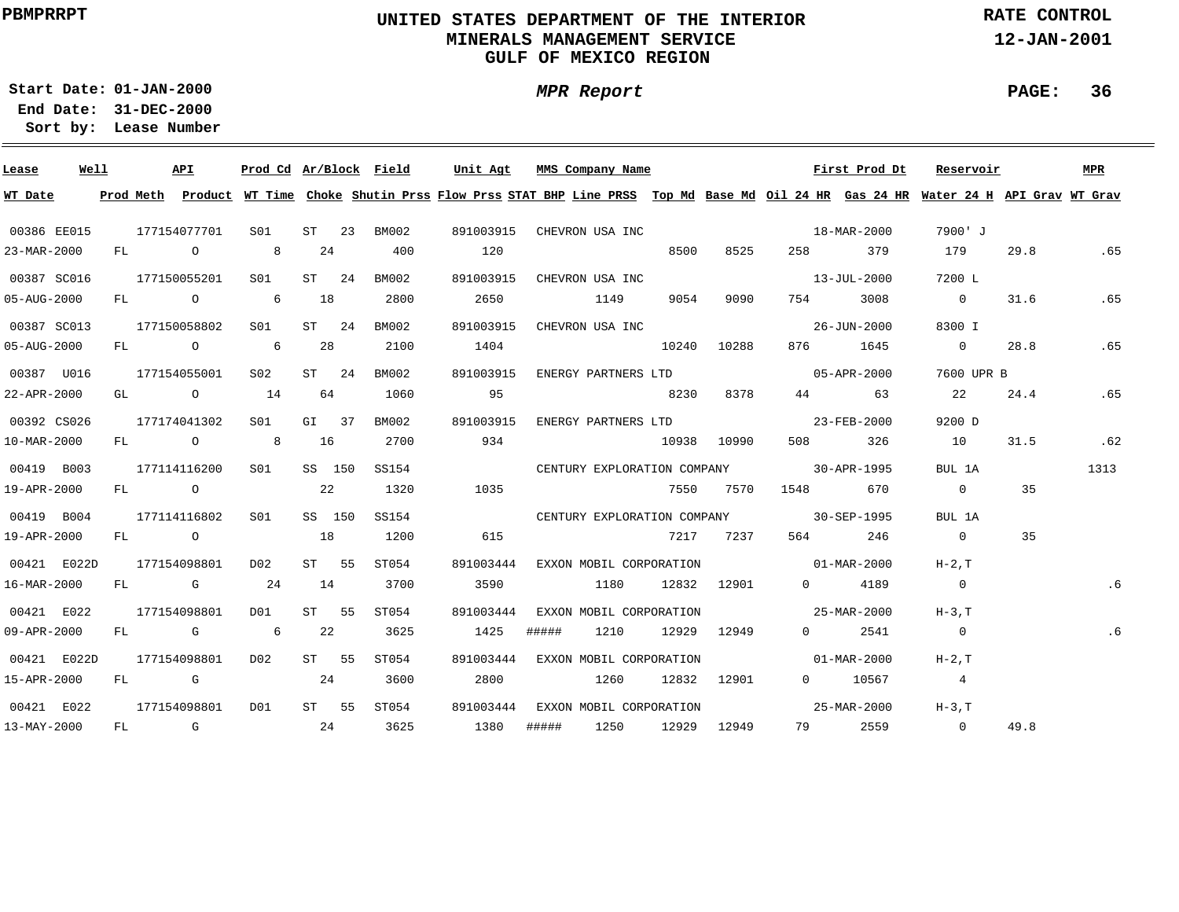# **UNITED STATES DEPARTMENT OF THE INTERIOR MINERALS MANAGEMENT SERVICEGULF OF MEXICO REGION**

**RATE CONTROL**

**12-JAN-2001**

**01-JAN-2000Start Date:**

**31-DEC-2000 End Date: Lease Number Sort by:**

| Lease       | Well |  | API                                   | Prod Cd Ar/Block Field |         |         |             | Unit Agt                                                                                                                                |       | MMS Company Name        |       |                        |                                         | First Prod Dt            | Reservoir      |      | MPR  |
|-------------|------|--|---------------------------------------|------------------------|---------|---------|-------------|-----------------------------------------------------------------------------------------------------------------------------------------|-------|-------------------------|-------|------------------------|-----------------------------------------|--------------------------|----------------|------|------|
| WT Date     |      |  |                                       |                        |         |         |             | Prod Meth Product WT Time Choke Shutin Prss Flow Prss STAT BHP Line PRSS Top Md Base Md Oil 24 HR Gas 24 HR Water 24 H API Grav WT Grav |       |                         |       |                        |                                         |                          |                |      |      |
| 00386 EE015 |      |  | 177154077701                          | S01                    |         | $ST$ 23 | BM002       | 891003915 CHEVRON USA INC                                                                                                               |       |                         |       |                        | $18 - \text{MAR} - 2000$                |                          | 7900' J        |      |      |
| 23-MAR-2000 |      |  | FL 0 8                                |                        | 24      |         | 400         | 120                                                                                                                                     |       |                         | 8500  | 8525                   | 258 — 1                                 | 379                      | 179            | 29.8 | .65  |
| 00387 SC016 |      |  | 177150055201                          | S01                    |         | $ST$ 24 | BM002       | 891003915 CHEVRON USA INC                                                                                                               |       |                         |       |                        |                                         | $13 - JUL - 2000$        | 7200 L         |      |      |
| 05-AUG-2000 |      |  | $FL$ 0 6                              |                        | 18      |         | 2800        | 2650                                                                                                                                    |       | 1149                    | 9054  | 9090                   | 754 — 1                                 | 3008                     | $\overline{0}$ | 31.6 | .65  |
| 00387 SC013 |      |  | 177150058802                          | S01 <b>S</b>           |         | $ST$ 24 | BM002       | 891003915                                                                                                                               |       | CHEVRON USA INC         |       |                        |                                         | 26-JUN-2000              | 8300 I         |      |      |
| 05-AUG-2000 |      |  | FL O 6                                |                        | 28      |         | 2100        | 1404                                                                                                                                    |       |                         | 10240 | 10288                  |                                         | 876 1645                 | $\sim$ 0       | 28.8 | .65  |
| 00387 U016  |      |  | 177154055001                          | S02                    | $ST$ 24 |         | BM002       | 891003915                                                                                                                               |       |                         |       | ENERGY PARTNERS LTD    |                                         | $05 - APR - 2000$        | 7600 UPR B     |      |      |
| 22-APR-2000 |      |  | GL $\qquad \qquad 0 \qquad \qquad 14$ |                        | 64      |         | 1060        | 95                                                                                                                                      |       | 8230                    |       | 8378                   |                                         | 44 63                    | 22             | 24.4 | .65  |
| 00392 CS026 |      |  | 177174041302                          | S01                    | $GL$ 37 |         | BM002       | 891003915                                                                                                                               |       |                         |       |                        | ENERGY PARTNERS LTD 23-FEB-2000         |                          | 9200 D         |      |      |
| 10-MAR-2000 |      |  | FL 0 8                                |                        | 16      |         | 2700        | 934                                                                                                                                     |       |                         |       | 10938 10990            |                                         | 508 326                  | 10             | 31.5 | .62  |
| 00419 B003  |      |  | 177114116200                          | S01                    | SS 150  |         | SS154       |                                                                                                                                         |       |                         |       |                        | CENTURY EXPLORATION COMPANY 30-APR-1995 |                          | BUL 1A         |      | 1313 |
| 19-APR-2000 |      |  | FL O                                  |                        | 22      |         | 1320        | 1035                                                                                                                                    |       |                         |       |                        | 7550 7570 1548 670                      |                          | $\overline{0}$ | 35   |      |
| 00419 B004  |      |  | 177114116802                          | S01                    | SS 150  |         | SS154       |                                                                                                                                         |       |                         |       |                        | CENTURY EXPLORATION COMPANY 30-SEP-1995 |                          | BUL 1A         |      |      |
| 19-APR-2000 |      |  |                                       | FL 0 18                |         |         | 1200        | 615                                                                                                                                     |       |                         |       | 7217 7237              | 564 7                                   | 246                      | $\overline{0}$ | 35   |      |
| 00421 E022D |      |  | 177154098801                          | D02                    | ST 55   |         | ST054       | 891003444 EXXON MOBIL CORPORATION                                                                                                       |       |                         |       |                        | $01 - \text{MAR} - 2000$                |                          | $H-2$ , $T$    |      |      |
| 16-MAR-2000 |      |  | FL G 24                               |                        | 14      |         | 3700        | 3590                                                                                                                                    |       | 1180                    |       | 12832 12901            |                                         | 0 4189                   | $\overline{0}$ |      | .6   |
| 00421 E022  |      |  | 177154098801                          | D01                    | ST 55   |         | ST054       | 891003444                                                                                                                               |       | EXXON MOBIL CORPORATION |       |                        | $25 - \text{MAR} - 2000$                |                          | $H-3.T$        |      |      |
| 09-APR-2000 |      |  | FL G 6                                |                        | 22      |         | 3625        | 1425                                                                                                                                    | ##### | 1210                    |       | 12929 12949            | $0 \qquad \qquad$                       | 2541                     | $\overline{0}$ |      | .6   |
| 00421 E022D |      |  | 177154098801                          | D02                    | ST 55   |         | ST054       | 891003444 EXXON MOBIL CORPORATION                                                                                                       |       |                         |       |                        | $01 - \text{MAR} - 2000$                |                          | $H-2, T$       |      |      |
| 15-APR-2000 |      |  |                                       | $FL$ G 24              |         |         | 3600        | 2800                                                                                                                                    |       | 1260                    |       | 12832 12901            |                                         | 0 10567                  | $\overline{4}$ |      |      |
| 00421 E022  |      |  | 177154098801                          | DO1                    |         |         | ST 55 ST054 | 891003444 EXXON MOBIL CORPORATION                                                                                                       |       |                         |       |                        |                                         | $25 - \text{MAR} - 2000$ | $H-3,T$        |      |      |
| 13-MAY-2000 |      |  |                                       | $FL$ G 24              |         |         | 3625        | 1380                                                                                                                                    |       |                         |       | ##### 1250 12929 12949 |                                         | 79 2559                  | $\overline{0}$ | 49.8 |      |

**PAGE: 36**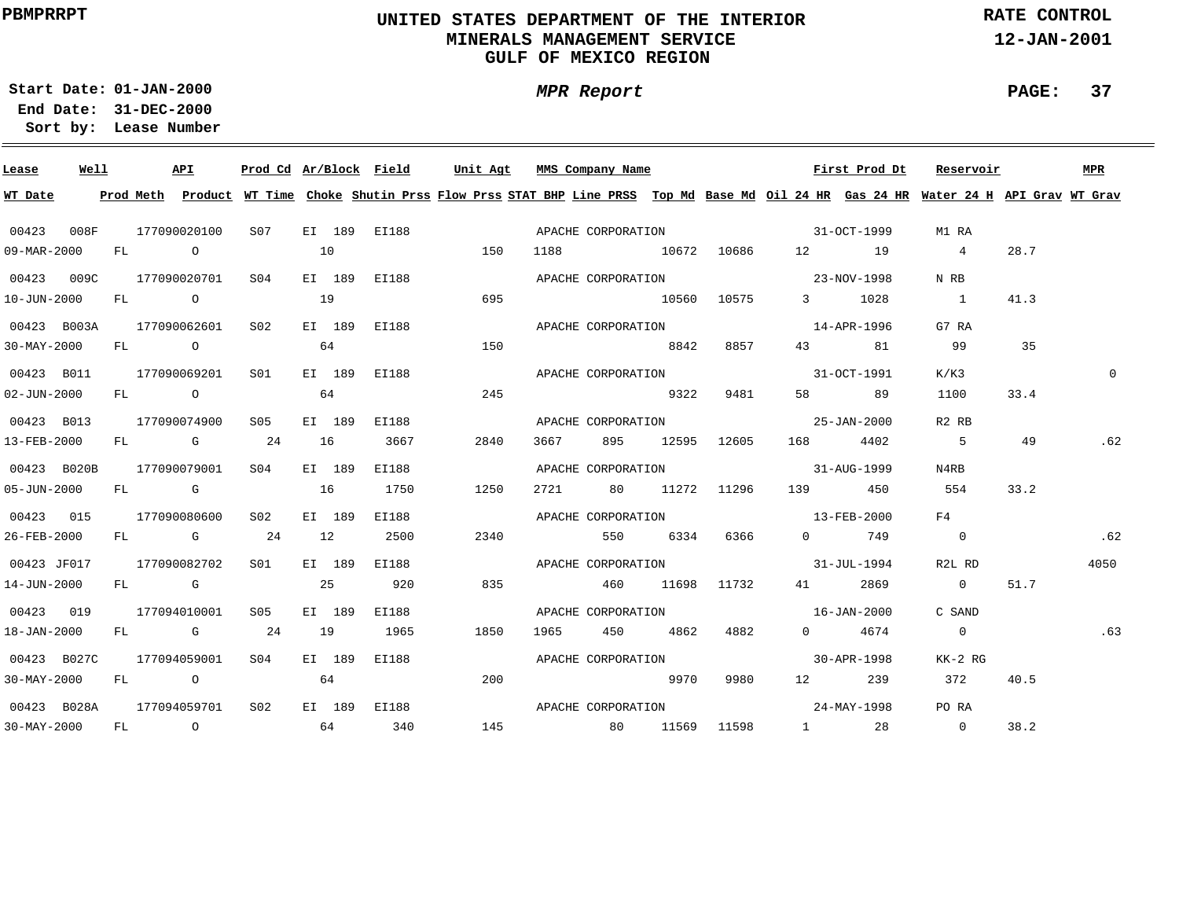# **UNITED STATES DEPARTMENT OF THE INTERIOR MINERALS MANAGEMENT SERVICEGULF OF MEXICO REGION**

**MPR Report**

**RATE CONTROL**

**12-JAN-2001**

**PAGE: 37**

**01-JAN-2000Start Date:31-DEC-2000 End Date:** 

| Lease             | Well |  | API          | Prod Cd Ar/Block Field |    |        |              | Unit Agt |      | MMS Company Name    |       |             |                                | First Prod Dt | Reservoir                                                                                                                               |      | <b>MPR</b> |
|-------------------|------|--|--------------|------------------------|----|--------|--------------|----------|------|---------------------|-------|-------------|--------------------------------|---------------|-----------------------------------------------------------------------------------------------------------------------------------------|------|------------|
| WT Date           |      |  |              |                        |    |        |              |          |      |                     |       |             |                                |               | Prod Meth Product WT Time Choke Shutin Prss Flow Prss STAT BHP Line PRSS Top Md Base Md Oil 24 HR Gas 24 HR Water 24 H API Grav WT Grav |      |            |
| 00423             | 008F |  | 177090020100 | S07 -                  |    |        | EI 189 EI188 |          |      |                     |       |             | APACHE CORPORATION 51-OCT-1999 |               | M1 RA                                                                                                                                   |      |            |
| 09-MAR-2000       |      |  | FL O         |                        | 10 |        |              | 150      | 1188 |                     |       |             | 10672 10686 12 19              |               | $\overline{4}$                                                                                                                          | 28.7 |            |
| 00423 009C        |      |  | 177090020701 | S04                    |    | EI 189 | EI188        |          |      |                     |       |             |                                |               | N RB                                                                                                                                    |      |            |
| 10-JUN-2000       |      |  | FL O         |                        | 19 |        |              | 695      |      | 10560 10575         |       |             |                                | 3 1028        | $\sim$ 1                                                                                                                                | 41.3 |            |
| 00423 B003A       |      |  | 177090062601 | S02                    |    | EI 189 | EI188        |          |      |                     |       |             | APACHE CORPORATION 14-APR-1996 |               | G7 RA                                                                                                                                   |      |            |
| $30 - MAX - 2000$ |      |  | $FL$ 0       |                        | 64 |        |              | 150      |      | 8842                |       | 8857        | 43 and $\sim$                  | 81            | 99                                                                                                                                      | 35   |            |
| 00423 B011        |      |  | 177090069201 | S01                    |    | EI 189 | EI188        |          |      | APACHE CORPORATION  |       |             |                                | 31-OCT-1991   | K/K3                                                                                                                                    |      | $\Omega$   |
| $02 - JUN - 2000$ |      |  | FL O         |                        | 64 |        |              | 245      |      |                     | 9322  | 9481        | 58 — 1                         | 89            | 1100                                                                                                                                    | 33.4 |            |
| 00423 B013        |      |  | 177090074900 | S05                    |    | EI 189 | EI188        |          |      | APACHE CORPORATION  |       |             |                                | 25-JAN-2000   | R <sub>2</sub> R <sub>B</sub>                                                                                                           |      |            |
| 13-FEB-2000       |      |  | $FL$ G 24    |                        | 16 |        | 3667         | 2840     | 3667 | 895                 |       | 12595 12605 |                                | 168 4402      | 5                                                                                                                                       | 49   | .62        |
| 00423 B020B       |      |  | 177090079001 | SO(4)                  |    | EI 189 | EI188        |          |      |                     |       |             | APACHE CORPORATION 31-AUG-1999 |               | N4RB                                                                                                                                    |      |            |
| 05-JUN-2000       |      |  | FL G         |                        | 16 |        | 1750         | 1250     |      | 2721 80 11272 11296 |       |             |                                | 139 450       | 554                                                                                                                                     | 33.2 |            |
| 00423 015         |      |  | 177090080600 | S <sub>02</sub>        |    | EI 189 | EI188        |          |      |                     |       |             | APACHE CORPORATION 13-FEB-2000 |               | F4                                                                                                                                      |      |            |
| 26-FEB-2000       |      |  | $FL$ G 24    |                        | 12 |        | 2500         | 2340     |      | 550 6334 6366       |       |             |                                | 0 749         | $\overline{0}$                                                                                                                          |      | .62        |
| 00423 JF017       |      |  | 177090082702 | SO1 SO                 |    | EI 189 | EI188        |          |      |                     |       |             | APACHE CORPORATION 31-JUL-1994 |               | R2L RD                                                                                                                                  |      | 4050       |
| 14-JUN-2000       |      |  | FL G         | $\sim$ 25              |    |        | 920          | 835      |      | 460                 |       | 11698 11732 |                                | 41 2869       | $\overline{0}$                                                                                                                          | 51.7 |            |
| 00423 019         |      |  | 177094010001 | S05                    |    | EI 189 | EI188        |          |      |                     |       |             | APACHE CORPORATION 16-JAN-2000 |               | C SAND                                                                                                                                  |      |            |
| 18-JAN-2000       |      |  | FL G 24      |                        | 19 |        | 1965         | 1850     | 1965 | 450                 |       | 4862 4882   |                                | 0 4674        | $\overline{0}$                                                                                                                          |      | .63        |
| 00423 B027C       |      |  | 177094059001 | S04                    |    | EI 189 | EI188        |          |      | APACHE CORPORATION  |       |             |                                | 30-APR-1998   | KK-2 RG                                                                                                                                 |      |            |
| $30 - MAX - 2000$ |      |  | FL O         | 64                     |    |        |              | 200      |      | 9970                |       | 9980        |                                | 12 239        | 372                                                                                                                                     | 40.5 |            |
| 00423 B028A       |      |  | 177094059701 | S <sub>02</sub>        |    | EI 189 | EI188        |          |      | APACHE CORPORATION  |       |             | $24 - \text{MAX} - 1998$       |               | PO RA                                                                                                                                   |      |            |
| $30 - MAX - 2000$ |      |  | FL O         | 64 340                 |    |        |              |          |      | 145 80              | 11569 |             |                                | 11598 1 28 0  |                                                                                                                                         | 38.2 |            |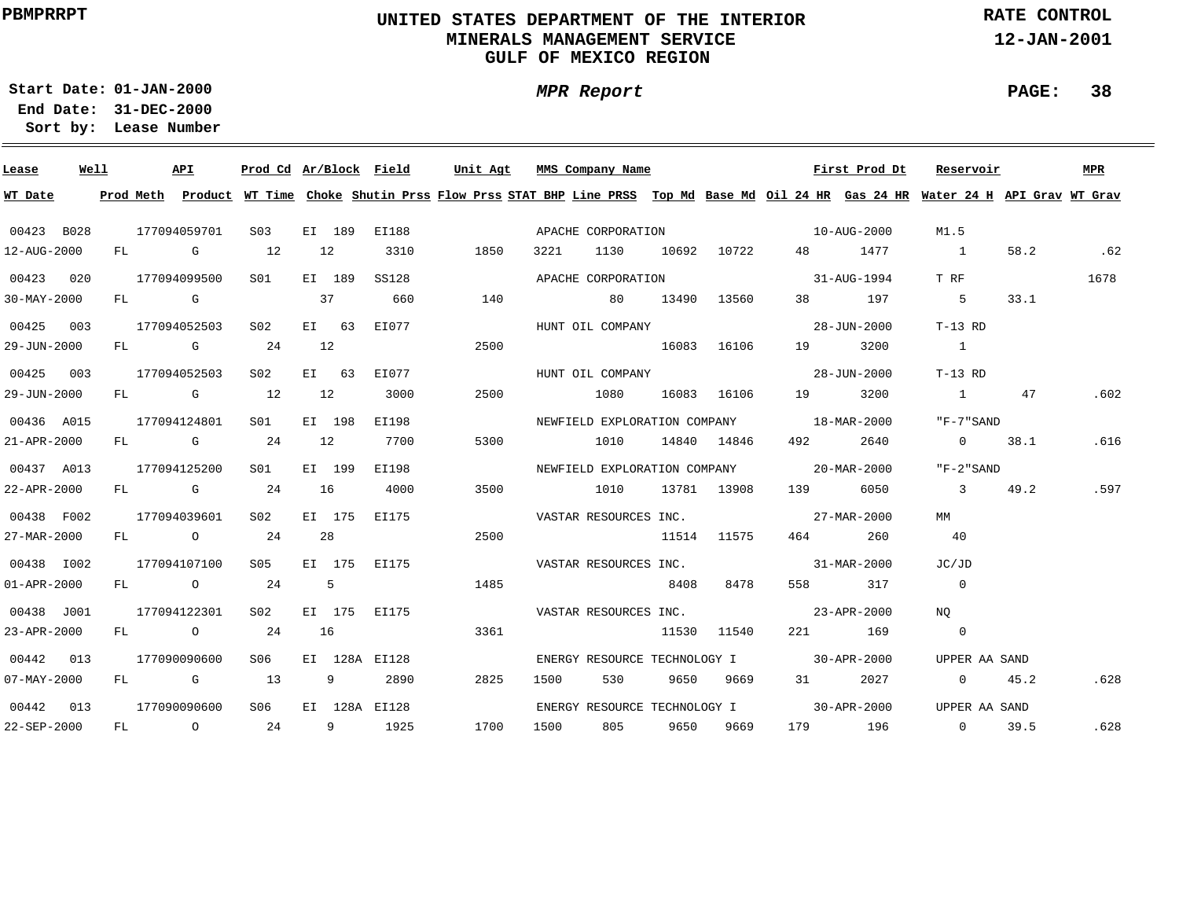# **UNITED STATES DEPARTMENT OF THE INTERIOR MINERALS MANAGEMENT SERVICEGULF OF MEXICO REGION**

**MPR Report**

**RATE CONTROL**

**12-JAN-2001**

**PAGE: 38**

**01-JAN-2000Start Date:31-DEC-2000 End Date:** 

| Lease             | Well |  | API          | Prod Cd Ar/Block Field |                |                |               | Unit Agt                                                                                                                                |      | MMS Company Name |      |             |                                          | First Prod Dt | Reservoir               |      | MPR  |
|-------------------|------|--|--------------|------------------------|----------------|----------------|---------------|-----------------------------------------------------------------------------------------------------------------------------------------|------|------------------|------|-------------|------------------------------------------|---------------|-------------------------|------|------|
| WT Date           |      |  |              |                        |                |                |               | Prod Meth Product WT Time Choke Shutin Prss Flow Prss STAT BHP Line PRSS Top Md Base Md Oil 24 HR Gas 24 HR Water 24 H API Grav WT Grav |      |                  |      |             |                                          |               |                         |      |      |
| 00423 B028        |      |  | 177094059701 | S <sub>03</sub>        |                | EI 189         | EI188         |                                                                                                                                         |      |                  |      |             | APACHE CORPORATION 10-AUG-2000           |               | M1.5                    |      |      |
| 12-AUG-2000       |      |  | FL G         | 12                     | 12             |                | 3310          | 1850                                                                                                                                    | 3221 |                  |      |             | 1130 10692 10722 48 1477                 |               | $\overline{1}$          | 58.2 | .62  |
| 00423 020         |      |  | 177094099500 | S01 <b>S</b>           |                | EI 189         | <b>SS128</b>  |                                                                                                                                         |      |                  |      |             | APACHE CORPORATION 31-AUG-1994           |               | T RF                    |      | 1678 |
| $30 - MAX - 2000$ |      |  | FL G         |                        | 37             |                | 660           | 140                                                                                                                                     |      | 80 13490 13560   |      |             | 38 197                                   |               | 5 <sub>5</sub>          | 33.1 |      |
| 00425 003         |      |  | 177094052503 | S02                    |                |                | EI 63 EI077   |                                                                                                                                         |      |                  |      |             | HUNT OIL COMPANY 28-JUN-2000             |               | $T-13$ RD               |      |      |
| 29-JUN-2000       |      |  | $FL$ G 24    |                        | 12             |                |               | 2500                                                                                                                                    |      | 16083 16106      |      |             | 19                                       | 3200          | $\overline{1}$          |      |      |
| 00425 003         |      |  | 177094052503 | S02                    |                | EI 63          | EI077         |                                                                                                                                         |      | HUNT OIL COMPANY |      |             |                                          | 28-JUN-2000   | $T-13$ RD               |      |      |
| 29-JUN-2000       |      |  | $FL$ G 12    |                        | 12             |                | 3000          | 2500                                                                                                                                    |      | 1080             |      | 16083 16106 | 19                                       | 3200          | $\mathbf{1}$            | 47   | .602 |
| 00436 A015        |      |  | 177094124801 | S01                    |                | EI 198         | EI198         |                                                                                                                                         |      |                  |      |             | NEWFIELD EXPLORATION COMPANY 18-MAR-2000 |               | "F-7"SAND               |      |      |
| 21-APR-2000       |      |  |              | FL G 24 12             |                |                | 7700          | 5300                                                                                                                                    |      | 1010             |      | 14840 14846 |                                          | 2640          | $\overline{0}$          | 38.1 | .616 |
| 00437 A013        |      |  | 177094125200 | S01                    |                | EI 199         | EI198         |                                                                                                                                         |      |                  |      |             | NEWFIELD EXPLORATION COMPANY 20-MAR-2000 |               | "F-2"SAND               |      |      |
| 22-APR-2000       |      |  | $FL$ G 24    |                        | 16             |                | 4000          | 3500                                                                                                                                    |      | 1010 13781 13908 |      |             | 139 6050                                 |               | $\overline{\mathbf{3}}$ | 49.2 | .597 |
| 00438 F002        |      |  | 177094039601 | S02 <b>S</b>           |                | EI 175         | EI175         |                                                                                                                                         |      |                  |      |             | VASTAR RESOURCES INC. 27-MAR-2000        |               | MM                      |      |      |
| 27-MAR-2000       |      |  | FL 0 24      |                        | 28             |                |               | 2500                                                                                                                                    |      |                  |      | 11514 11575 |                                          | 464 260       | 40                      |      |      |
| 00438 1002        |      |  | 177094107100 | S05 -                  |                |                | EI 175 EI175  |                                                                                                                                         |      |                  |      |             | VASTAR RESOURCES INC. 31-MAR-2000        |               | JC/JD                   |      |      |
| $01 - APR - 2000$ |      |  | FL 0 24      |                        | 5 <sub>5</sub> |                |               | 1485                                                                                                                                    |      |                  |      | 8408 8478   |                                          | 558 317       | $\overline{0}$          |      |      |
| 00438 J001        |      |  | 177094122301 | S02                    |                |                | EI 175 EI175  |                                                                                                                                         |      |                  |      |             | VASTAR RESOURCES INC. 23-APR-2000        |               | NO                      |      |      |
| 23-APR-2000       |      |  | FL O         | 24                     | 16             |                |               | 3361                                                                                                                                    |      |                  |      | 11530 11540 |                                          | 221 169       | $\overline{0}$          |      |      |
| 00442 013         |      |  | 177090090600 | S06                    |                |                | EI 128A EI128 |                                                                                                                                         |      |                  |      |             | ENERGY RESOURCE TECHNOLOGY I 30-APR-2000 |               | UPPER AA SAND           |      |      |
| $07 - MAX - 2000$ |      |  | FL G 13      |                        |                | $\overline{9}$ | 2890          | 2825                                                                                                                                    | 1500 | 530              |      | 9650 9669   |                                          | 31 2027       | 0 $45.2$                |      | .628 |
| 00442 013         |      |  | 177090090600 | S06 -                  |                |                | EI 128A EI128 |                                                                                                                                         |      |                  |      |             | ENERGY RESOURCE TECHNOLOGY I 30-APR-2000 |               | UPPER AA SAND           |      |      |
| 22-SEP-2000       |      |  |              | $FL$ 0 24              |                |                | 9 1925        | 1700                                                                                                                                    | 1500 | 805              | 9650 | 9669        |                                          |               | 179 196 0               | 39.5 | .628 |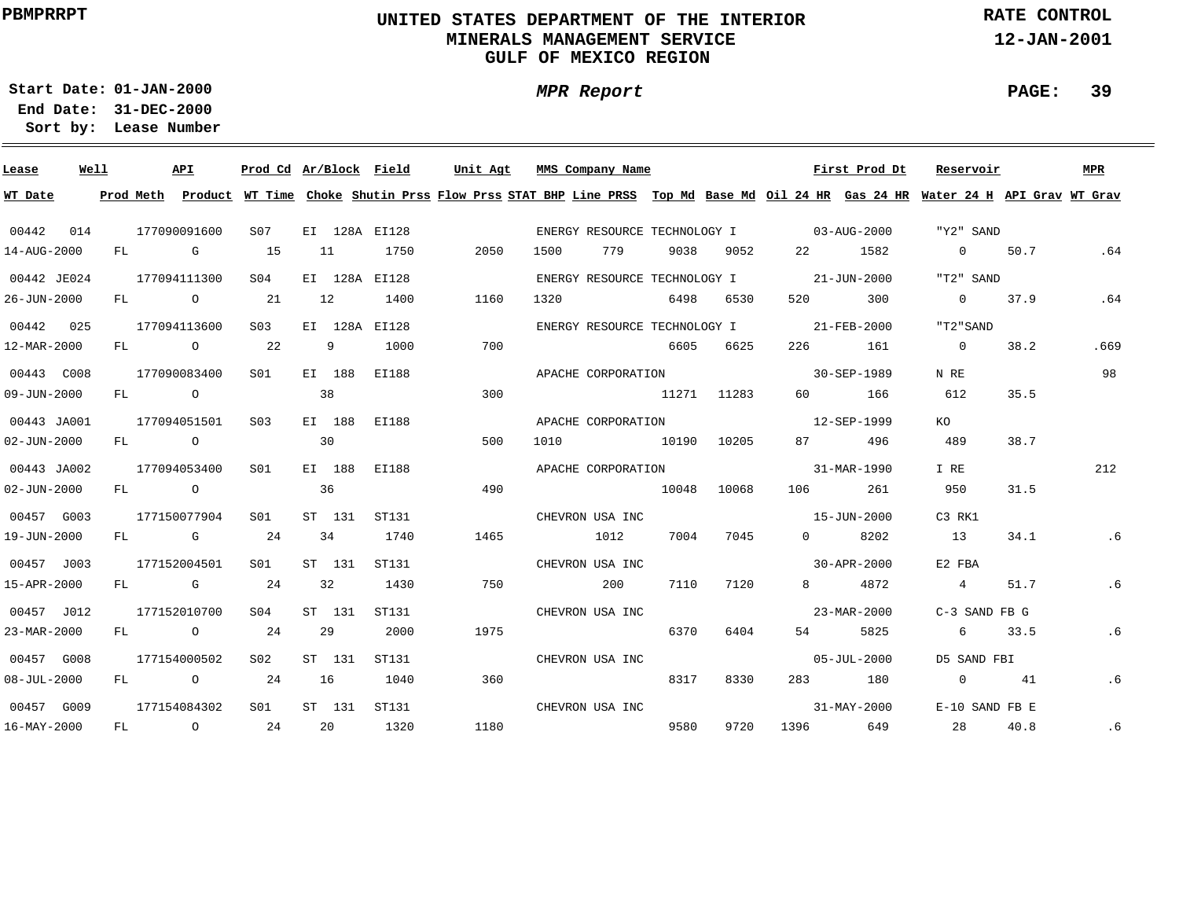# **UNITED STATES DEPARTMENT OF THE INTERIOR MINERALS MANAGEMENT SERVICEGULF OF MEXICO REGION**

**MPR Report**

**RATE CONTROL**

**12-JAN-2001**

**PAGE: 39**

**01-JAN-2000Start Date:31-DEC-2000 End Date:** 

| Lease             | Well |    |           | <b>API</b>     | Prod Cd Ar/Block Field |    |        |               | Unit Agt |      | MMS Company Name             |             |       |                                          | First Prod Dt     | Reservoir                                                                                                                     |      | MPR  |
|-------------------|------|----|-----------|----------------|------------------------|----|--------|---------------|----------|------|------------------------------|-------------|-------|------------------------------------------|-------------------|-------------------------------------------------------------------------------------------------------------------------------|------|------|
| WT Date           |      |    | Prod Meth |                |                        |    |        |               |          |      |                              |             |       |                                          |                   | Product WT Time Choke Shutin Prss Flow Prss STAT BHP Line PRSS Top Md Base Md Oil 24 HR Gas 24 HR Water 24 H API Grav WT Grav |      |      |
| 00442             | 014  |    |           | 177090091600   | S07                    |    |        | EI 128A EI128 |          |      |                              |             |       | ENERGY RESOURCE TECHNOLOGY I 03-AUG-2000 |                   | "Y2" SAND                                                                                                                     |      |      |
| 14-AUG-2000       |      | FL |           | G              | 15                     | 11 |        | 1750          | 2050     | 1500 | 779                          | 9038        | 9052  | 22 —                                     | 1582              | $0 \t 50.7$                                                                                                                   |      | .64  |
| 00442 JE024       |      |    |           | 177094111300   | SO <sub>4</sub>        |    |        | EI 128A EI128 |          |      | ENERGY RESOURCE TECHNOLOGY I |             |       | $21 - JUN - 2000$                        |                   | "T2" SAND                                                                                                                     |      |      |
| 26-JUN-2000       |      |    |           | FL O           | 21                     | 12 |        | 1400          | 1160     | 1320 |                              | 6498        | 6530  | 520 320                                  | 300               | $\Omega$                                                                                                                      | 37.9 | .64  |
| 00442 025         |      |    |           | 177094113600   | S <sub>03</sub>        |    |        | EI 128A EI128 |          |      | ENERGY RESOURCE TECHNOLOGY I |             |       |                                          | $21 - FEB - 2000$ | "T2"SAND                                                                                                                      |      |      |
| 12-MAR-2000       |      |    |           | FL O           | 22                     |    | 9      | 1000          | 700      |      |                              | 6605        | 6625  | 226 20                                   | 161               | $\overline{0}$                                                                                                                | 38.2 | .669 |
| 00443 C008        |      |    |           | 177090083400   | S01                    |    | EI 188 | EI188         |          |      | APACHE CORPORATION           |             |       | 30-SEP-1989                              |                   | N RE                                                                                                                          |      | 98   |
| 09-JUN-2000       |      | FL |           | $\overline{O}$ |                        | 38 |        |               | 300      |      |                              | 11271 11283 |       | 60 — 10                                  | 166               | 612                                                                                                                           | 35.5 |      |
| 00443 JA001       |      |    |           | 177094051501   | S <sub>0</sub> 3       |    | EI 188 | EI188         |          |      | APACHE CORPORATION           |             |       |                                          | 12-SEP-1999       | KO.                                                                                                                           |      |      |
| 02-JUN-2000       |      | FL |           | $\overline{O}$ |                        | 30 |        |               | 500      | 1010 |                              | 10190       | 10205 | 87 — 18                                  | 496               | 489                                                                                                                           | 38.7 |      |
| 00443 JA002       |      |    |           | 177094053400   | S01                    |    | EI 188 | EI188         |          |      | APACHE CORPORATION           |             |       |                                          | 31-MAR-1990       | I RE                                                                                                                          |      | 212  |
| $02 - JUN - 2000$ |      | FL |           | $\overline{O}$ |                        | 36 |        |               | 490      |      |                              | 10048       | 10068 | 106 70                                   | 261               | 950                                                                                                                           | 31.5 |      |
| 00457 G003        |      |    |           | 177150077904   | SO1                    |    | ST 131 | ST131         |          |      | CHEVRON USA INC              |             |       | 15-JUN-2000                              |                   | C3 RK1                                                                                                                        |      |      |
| 19-JUN-2000       |      |    |           | FL G 24        |                        | 34 |        | 1740          | 1465     |      | 1012                         | 7004        | 7045  | $\Omega$                                 | 8202              | 13                                                                                                                            | 34.1 | . 6  |
| 00457 J003        |      |    |           | 177152004501   | SO1                    |    | ST 131 | ST131         |          |      | CHEVRON USA INC              |             |       | $30 - APR - 2000$                        |                   | E2 FBA                                                                                                                        |      |      |
| 15-APR-2000       |      |    |           | FL G           | 24                     | 32 |        | 1430          | 750      |      | 200                          | 7110        | 7120  | 8                                        | 4872              | $\overline{4}$                                                                                                                | 51.7 | .6   |
| 00457 J012        |      |    |           | 177152010700   | S <sub>04</sub>        |    | ST 131 | ST131         |          |      | CHEVRON USA INC              |             |       |                                          | 23-MAR-2000       | $C-3$ SAND FB $G$                                                                                                             |      |      |
| 23-MAR-2000       |      |    |           | FL O           | 24                     | 29 |        | 2000          | 1975     |      |                              | 6370        | 6404  | 54 7                                     | 5825              | 6                                                                                                                             | 33.5 | .6   |
| 00457 G008        |      |    |           | 177154000502   | S02                    |    | ST 131 | ST131         |          |      | CHEVRON USA INC              |             |       |                                          | $05 - JUL - 2000$ | D5 SAND FBI                                                                                                                   |      |      |
| $08 - JUL - 2000$ |      |    |           | FL O           | 24                     | 16 |        | 1040          | 360      |      |                              | 8317        | 8330  |                                          | 283 180           | $\overline{0}$                                                                                                                | 41   | .6   |
| 00457 G009        |      |    |           | 177154084302   | SO1                    |    | ST 131 | ST131         |          |      | CHEVRON USA INC              |             |       |                                          | $31 - MAX - 2000$ | E-10 SAND FB E                                                                                                                |      |      |
| 16-MAY-2000       |      | FL |           | $\circ$        | 24                     |    | 20     | 1320          | 1180     |      |                              | 9580        | 9720  | 1396 139                                 | 649               | 28                                                                                                                            | 40.8 | .6   |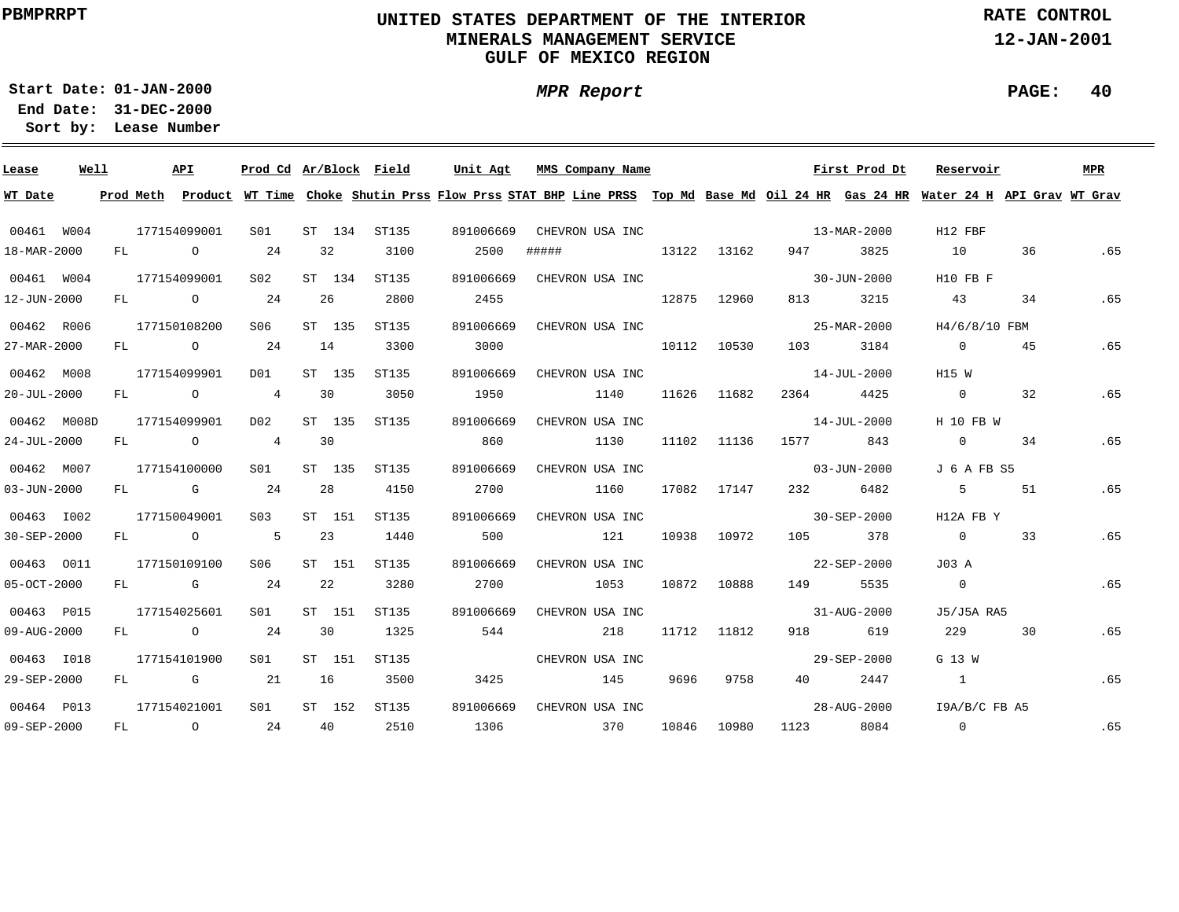# **UNITED STATES DEPARTMENT OF THE INTERIOR MINERALS MANAGEMENT SERVICEGULF OF MEXICO REGION**

**MPR Report**

**RATE CONTROL**

**12-JAN-2001**

**PAGE: 40**

**01-JAN-2000Start Date:**

| Lease             | Well |    |           | API                                                                                                                                                                                                                            | Prod Cd Ar/Block Field |        |       | Unit Agt  |       | MMS Company Name |       |             |                                                                                                                     | First Prod Dt     | Reservoir                                                                                                                     |    | MPR |
|-------------------|------|----|-----------|--------------------------------------------------------------------------------------------------------------------------------------------------------------------------------------------------------------------------------|------------------------|--------|-------|-----------|-------|------------------|-------|-------------|---------------------------------------------------------------------------------------------------------------------|-------------------|-------------------------------------------------------------------------------------------------------------------------------|----|-----|
| WT Date           |      |    | Prod Meth |                                                                                                                                                                                                                                |                        |        |       |           |       |                  |       |             |                                                                                                                     |                   | Product WT Time Choke Shutin Prss Flow Prss STAT BHP Line PRSS Top Md Base Md Oil 24 HR Gas 24 HR Water 24 H API Grav WT Grav |    |     |
| 00461 W004        |      |    |           | 177154099001                                                                                                                                                                                                                   | SO1                    | ST 134 | ST135 | 891006669 |       | CHEVRON USA INC  |       |             |                                                                                                                     | 13-MAR-2000       | H12 FBF                                                                                                                       |    |     |
| 18-MAR-2000       |      | FL |           | $\overline{O}$                                                                                                                                                                                                                 | 24                     | 32     | 3100  | 2500      | ##### | 13122 13162      |       |             | 947 — 10                                                                                                            | 3825              | 10                                                                                                                            | 36 | .65 |
| 00461 W004        |      |    |           | 177154099001                                                                                                                                                                                                                   | S02                    | ST 134 | ST135 | 891006669 |       | CHEVRON USA INC  |       |             |                                                                                                                     | 30-JUN-2000       | H10 FB F                                                                                                                      |    |     |
| 12-JUN-2000       |      |    |           | FL O                                                                                                                                                                                                                           | 24                     | 26     | 2800  | 2455      |       |                  | 12875 | 12960       | 813 — 10                                                                                                            | 3215              | 43                                                                                                                            | 34 | .65 |
| 00462 R006        |      |    |           | 177150108200                                                                                                                                                                                                                   | S06                    | ST 135 | ST135 | 891006669 |       | CHEVRON USA INC  |       |             |                                                                                                                     | 25-MAR-2000       | H4/6/8/10 FBM                                                                                                                 |    |     |
| 27-MAR-2000       |      | FL |           | $\overline{O}$                                                                                                                                                                                                                 | 24                     | 14     | 3300  | 3000      |       |                  | 10112 | 10530       | 103                                                                                                                 | 3184              | $\overline{0}$                                                                                                                | 45 | .65 |
| 00462 M008        |      |    |           | 177154099901                                                                                                                                                                                                                   | DO1                    | ST 135 | ST135 | 891006669 |       | CHEVRON USA INC  |       |             |                                                                                                                     | $14 - JUL - 2000$ | H15 W                                                                                                                         |    |     |
| $20 - JUL - 2000$ |      | FL |           | $\overline{O}$                                                                                                                                                                                                                 | 4                      | 30     | 3050  | 1950      |       | 1140             | 11626 | 11682       | 2364                                                                                                                | 4425              | $\overline{0}$                                                                                                                | 32 | .65 |
| 00462 M008D       |      |    |           | 177154099901                                                                                                                                                                                                                   | D02                    | ST 135 | ST135 | 891006669 |       | CHEVRON USA INC  |       |             |                                                                                                                     | 14-JUL-2000       | H 10 FB W                                                                                                                     |    |     |
| 24-JUL-2000       |      | FL |           | $\overline{O}$                                                                                                                                                                                                                 | 4                      | 30     |       | 860       |       | 1130             | 11102 | 11136       | 1577 — 1577 — 1587 — 1588 — 1588 — 1588 — 1588 — 1588 — 1588 — 1588 — 1588 — 1588 — 1588 — 1588 — 1588 — 1588 — 158 | 843               | $\overline{0}$                                                                                                                | 34 | .65 |
| 00462 M007        |      |    |           | 177154100000                                                                                                                                                                                                                   | SO1                    | ST 135 | ST135 | 891006669 |       | CHEVRON USA INC  |       |             |                                                                                                                     | $03 - JUN - 2000$ | J 6 A FB S5                                                                                                                   |    |     |
| $03 - JUN - 2000$ |      | FL |           | $\mathbb G$                                                                                                                                                                                                                    | 24                     | 28     | 4150  | 2700      |       | 1160             | 17082 | 17147       |                                                                                                                     | 232 6482          | 5                                                                                                                             | 51 | .65 |
| 00463 1002        |      |    |           | 177150049001                                                                                                                                                                                                                   | S <sub>03</sub>        | ST 151 | ST135 | 891006669 |       | CHEVRON USA INC  |       |             | $30 - SEP - 2000$                                                                                                   |                   | H12A FB Y                                                                                                                     |    |     |
| 30-SEP-2000       |      |    |           | FL O                                                                                                                                                                                                                           | $5^{\circ}$            | 23     | 1440  | 500       |       | 121              | 10938 | 10972       |                                                                                                                     | 105 378           | $\overline{0}$                                                                                                                | 33 | .65 |
| 00463 0011        |      |    |           | 177150109100                                                                                                                                                                                                                   | S06                    | ST 151 | ST135 | 891006669 |       | CHEVRON USA INC  |       |             |                                                                                                                     | 22-SEP-2000       | J03 A                                                                                                                         |    |     |
| 05-OCT-2000       |      |    |           | FL G                                                                                                                                                                                                                           | 24                     | 22     | 3280  | 2700      |       | 1053             |       | 10872 10888 |                                                                                                                     | 149 5535          | $\overline{0}$                                                                                                                |    | .65 |
| 00463 P015        |      |    |           | 177154025601                                                                                                                                                                                                                   | S01                    | ST 151 | ST135 | 891006669 |       | CHEVRON USA INC  |       |             |                                                                                                                     | 31-AUG-2000       | J5/J5A RA5                                                                                                                    |    |     |
| 09-AUG-2000       |      | FL |           | $\overline{O}$                                                                                                                                                                                                                 | 24                     | 30     | 1325  | 544       |       | 218              |       | 11712 11812 | 918 — 10                                                                                                            | 619               | 229                                                                                                                           | 30 | .65 |
| 00463 1018        |      |    |           | 177154101900                                                                                                                                                                                                                   | SO1                    | ST 151 | ST135 |           |       | CHEVRON USA INC  |       |             |                                                                                                                     | 29-SEP-2000       | G 13 W                                                                                                                        |    |     |
| 29-SEP-2000       |      | FL |           | and the Company of the Company of the Company of the Company of the Company of the Company of the Company of the Company of the Company of the Company of the Company of the Company of the Company of the Company of the Comp | 21                     | 16     | 3500  | 3425      |       | 145              | 9696  | 9758        | 40 — 10                                                                                                             | 2447              | $\overline{1}$                                                                                                                |    | .65 |
| 00464 P013        |      |    |           | 177154021001                                                                                                                                                                                                                   | S01                    | ST 152 | ST135 | 891006669 |       | CHEVRON USA INC  |       |             |                                                                                                                     | 28-AUG-2000       | I9A/B/C FB A5                                                                                                                 |    |     |
| 09-SEP-2000       |      | FL |           | $\overline{O}$                                                                                                                                                                                                                 | 24                     | 40     | 2510  | 1306      |       | 370              | 10846 | 10980       | 1123                                                                                                                | 8084              | $\overline{0}$                                                                                                                |    | .65 |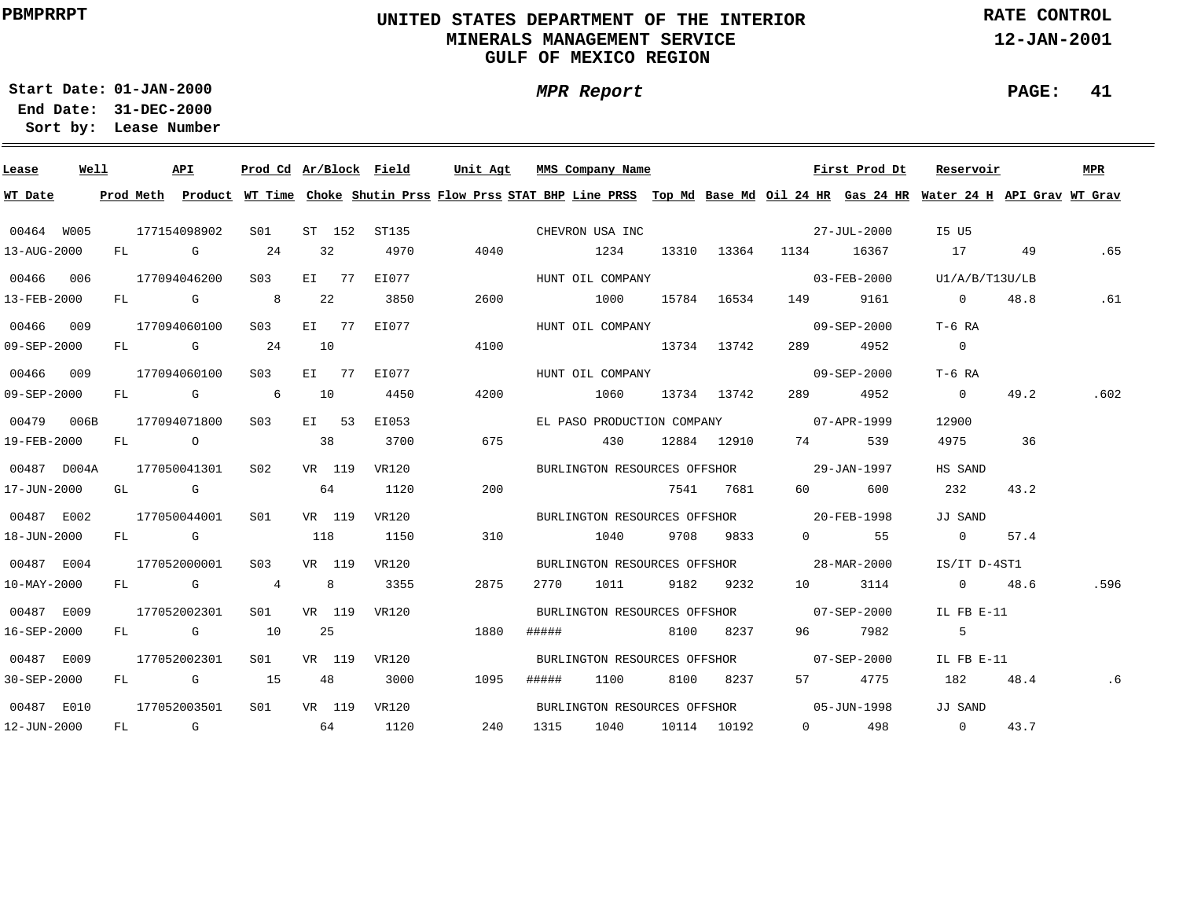# **UNITED STATES DEPARTMENT OF THE INTERIOR MINERALS MANAGEMENT SERVICEGULF OF MEXICO REGION**

**MPR Report**

**RATE CONTROL**

**12-JAN-2001**

**PAGE: 41**

**01-JAN-2000Start Date:**

| Lease             | Well |    | API          |                  |                |          | Prod Cd Ar/Block Field | Unit Agt |       | MMS Company Name |                 |                                                                                                                                                                                                                                 | First Prod Dt         | Reservoir                                                                                                                               |      | <b>MPR</b> |
|-------------------|------|----|--------------|------------------|----------------|----------|------------------------|----------|-------|------------------|-----------------|---------------------------------------------------------------------------------------------------------------------------------------------------------------------------------------------------------------------------------|-----------------------|-----------------------------------------------------------------------------------------------------------------------------------------|------|------------|
| WT Date           |      |    |              |                  |                |          |                        |          |       |                  |                 |                                                                                                                                                                                                                                 |                       | Prod Meth Product WT Time Choke Shutin Prss Flow Prss STAT BHP Line PRSS Top Md Base Md Oil 24 HR Gas 24 HR Water 24 H API Grav WT Grav |      |            |
| 00464 W005        |      |    | 177154098902 | SO1              |                | ST 152   | ST135                  |          |       | CHEVRON USA INC  |                 | $27 - JUL - 2000$                                                                                                                                                                                                               |                       | I5 U5                                                                                                                                   |      |            |
| 13-AUG-2000       |      |    | FL G         | 24               |                | 32       | 4970                   | 4040     |       | 1234             |                 | 13310 13364 1134 16367                                                                                                                                                                                                          |                       | 17                                                                                                                                      | 49   | .65        |
| 00466 006         |      |    | 177094046200 | S <sub>0.3</sub> |                | $E I$ 77 | EI077                  |          |       | HUNT OIL COMPANY |                 | $03 - \text{FEB} - 2000$                                                                                                                                                                                                        |                       | U1/A/B/T13U/LB                                                                                                                          |      |            |
| 13-FEB-2000       |      |    | FL G 8       |                  | 22             |          | 3850                   | 2600     |       | 1000             | 15784 16534     | 149                                                                                                                                                                                                                             | 9161                  | $\overline{0}$                                                                                                                          | 48.8 | .61        |
| 00466 009         |      |    | 177094060100 | S03              |                | $E I$ 77 | EI077                  |          |       | HUNT OIL COMPANY |                 | $09 - SEP - 2000$                                                                                                                                                                                                               |                       | $T-6$ RA                                                                                                                                |      |            |
| 09-SEP-2000       |      |    | $FL$ G 24    |                  | 10             |          |                        | 4100     |       | 13734 13742      |                 | 289                                                                                                                                                                                                                             | 4952                  | $\overline{0}$                                                                                                                          |      |            |
| 00466 009         |      |    | 177094060100 | S03              |                | $EI$ 77  | EI077                  |          |       | HUNT OIL COMPANY |                 |                                                                                                                                                                                                                                 | 09-SEP-2000           | T-6 RA                                                                                                                                  |      |            |
| 09-SEP-2000       |      | FL | $\mathbb G$  | $\overline{6}$   | 10             |          | 4450                   | 4200     |       | 1060             | 13734 13742     | 289 — 289 — 289 — 289 — 289 — 289 — 289 — 289 — 289 — 289 — 289 — 289 — 289 — 289 — 289 — 289 — 289 — 289 — 289 — 289 — 289 — 289 — 289 — 289 — 289 — 289 — 289 — 289 — 289 — 289 — 289 — 289 — 289 — 289 — 289 — 289 — 289 — 2 | 4952                  | $\overline{0}$                                                                                                                          | 49.2 | .602       |
| 00479 006B        |      |    | 177094071800 | S03              |                | EI 53    | EI053                  |          |       |                  |                 | EL PASO PRODUCTION COMPANY 07-APR-1999                                                                                                                                                                                          |                       | 12900                                                                                                                                   |      |            |
| 19-FEB-2000       |      |    | FL O         |                  | 38             |          | 3700                   | 675      |       |                  | 430 12884 12910 | 74 — 200                                                                                                                                                                                                                        | 539                   | 4975                                                                                                                                    | 36   |            |
| 00487 D004A       |      |    | 177050041301 | S02              |                | VR 119   | <b>VR120</b>           |          |       |                  |                 | BURLINGTON RESOURCES OFFSHOR 29-JAN-1997                                                                                                                                                                                        |                       | HS SAND                                                                                                                                 |      |            |
| 17-JUN-2000       |      |    | GL G         |                  |                | 64       | 1120                   | 200      |       |                  | 7541 7681       | 60 — 10                                                                                                                                                                                                                         | 600                   | 232                                                                                                                                     | 43.2 |            |
| 00487 E002        |      |    | 177050044001 | S01              |                | VR 119   | VR120                  |          |       |                  |                 | BURLINGTON RESOURCES OFFSHOR 10-FEB-1998                                                                                                                                                                                        |                       | JJ SAND                                                                                                                                 |      |            |
| 18-JUN-2000       |      |    | FL G         |                  | 118            |          | 1150                   | 310      |       | 1040             | 9708 9833       |                                                                                                                                                                                                                                 | $0$ 55                | $\overline{0}$                                                                                                                          | 57.4 |            |
| 00487 E004        |      |    | 177052000001 | S03              |                | VR 119   | VR120                  |          |       |                  |                 | BURLINGTON RESOURCES OFFSHOR 28-MAR-2000                                                                                                                                                                                        |                       | IS/IT D-4ST1                                                                                                                            |      |            |
| 10-MAY-2000       |      |    | FL G         | $\overline{4}$   | 8 <sup>1</sup> |          | 3355                   | 2875     | 2770  | 1011             | 9182 9232       |                                                                                                                                                                                                                                 | 10 3114               | 0 $48.6$                                                                                                                                |      | .596       |
| 00487 E009        |      |    | 177052002301 | S01 <b>S</b>     |                | VR 119   | VR120                  |          |       |                  |                 | BURLINGTON RESOURCES OFFSHOR 07-SEP-2000                                                                                                                                                                                        |                       | IL FB E-11                                                                                                                              |      |            |
| 16-SEP-2000       |      |    | FL G 10      |                  | 25             |          |                        | 1880     | ##### |                  | 8100 8237       |                                                                                                                                                                                                                                 | 96 7982               | -5                                                                                                                                      |      |            |
| 00487 E009        |      |    | 177052002301 | S <sub>01</sub>  |                | VR 119   | VR120                  |          |       |                  |                 | BURLINGTON RESOURCES OFFSHOR 07-SEP-2000                                                                                                                                                                                        |                       | IL FB $E-11$                                                                                                                            |      |            |
| $30 - SEP - 2000$ |      |    | FL G 15      |                  |                | 48       | 3000                   | 1095     | ##### | 1100             | 8100 8237       |                                                                                                                                                                                                                                 | 57 4775               | 182                                                                                                                                     | 48.4 | .6         |
| 00487 E010        |      |    | 177052003501 | S01 <b>S</b>     |                | VR 119   | VR120                  |          |       |                  |                 | BURLINGTON RESOURCES OFFSHOR 05-JUN-1998                                                                                                                                                                                        |                       | JJ SAND                                                                                                                                 |      |            |
| 12-JUN-2000       |      |    | FL G         | 64               |                |          | 1120                   | 240      | 1315  | 1040             | 10114 10192     |                                                                                                                                                                                                                                 | $0 \qquad \qquad 498$ | $0 \qquad \qquad$                                                                                                                       | 43.7 |            |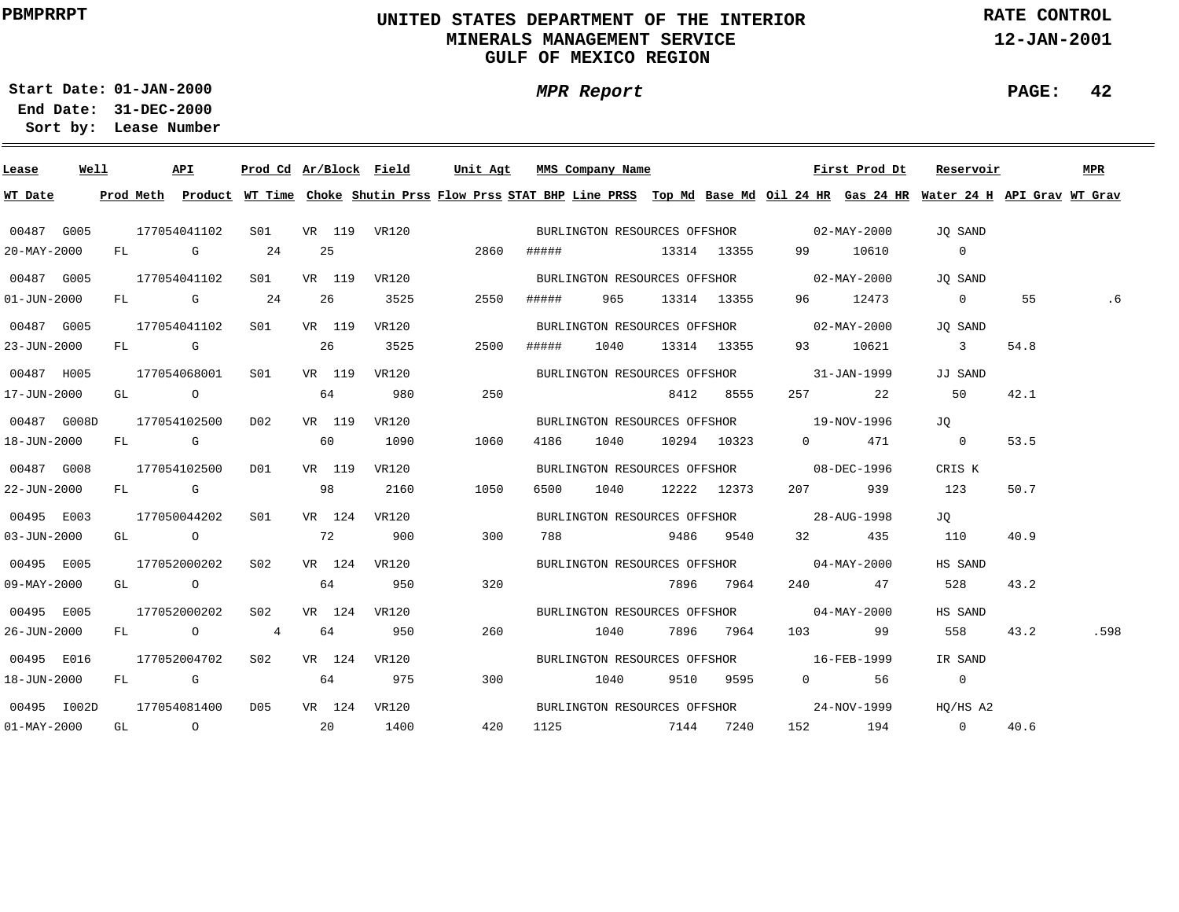# **UNITED STATES DEPARTMENT OF THE INTERIOR MINERALS MANAGEMENT SERVICEGULF OF MEXICO REGION**

**MPR Report**

**RATE CONTROL**

**12-JAN-2001**

**PAGE: 42**

**01-JAN-2000Start Date:**

| Lease             | Well |  | API              |                  |    |        |              |                  |       | <u>Prod Cd Ar/Block Field Unit Agt MMS Company Name</u>                                                                                                                                                                        |                  |                        | First Prod Dt        | Reservoir                                                                                                                               |      | MPR  |
|-------------------|------|--|------------------|------------------|----|--------|--------------|------------------|-------|--------------------------------------------------------------------------------------------------------------------------------------------------------------------------------------------------------------------------------|------------------|------------------------|----------------------|-----------------------------------------------------------------------------------------------------------------------------------------|------|------|
| WT Date           |      |  |                  |                  |    |        |              |                  |       |                                                                                                                                                                                                                                |                  |                        |                      | Prod Meth Product WT Time Choke Shutin Prss Flow Prss STAT BHP Line PRSS Top Md Base Md Oil 24 HR Gas 24 HR Water 24 H API Grav WT Grav |      |      |
| 00487 G005        |      |  | 177054041102     |                  |    |        |              | S01 VR 119 VR120 |       | BURLINGTON RESOURCES OFFSHOR 02-MAY-2000                                                                                                                                                                                       |                  |                        |                      | JO SAND                                                                                                                                 |      |      |
| 20-MAY-2000       |      |  | $FL$ G 24        |                  |    | 25     |              | 2860             |       | ##### 13314 13355                                                                                                                                                                                                              |                  |                        | 99 10610             | $\overline{0}$                                                                                                                          |      |      |
| 00487 G005        |      |  | 177054041102     | S01              |    |        | VR 119 VR120 |                  |       | BURLINGTON RESOURCES OFFSHOR 02-MAY-2000                                                                                                                                                                                       |                  |                        |                      | JO SAND                                                                                                                                 |      |      |
| $01 - JUN - 2000$ |      |  | $FL$ G 24        |                  |    | 26     | 3525         | 2550             | ##### |                                                                                                                                                                                                                                | 965 13314 13355  |                        | 96 12473             | $\overline{0}$                                                                                                                          | 55   | . 6  |
| 00487 G005        |      |  | 177054041102     | S01 VR 119       |    |        | VR120        |                  |       | BURLINGTON RESOURCES OFFSHOR 02-MAY-2000                                                                                                                                                                                       |                  |                        |                      | JO SAND                                                                                                                                 |      |      |
| 23-JUN-2000       |      |  |                  | $FL$ G 26        |    |        | 3525         | 2500             | ##### |                                                                                                                                                                                                                                | 1040 13314 13355 |                        |                      | 93 10621 3                                                                                                                              | 54.8 |      |
| 00487 H005        |      |  | 177054068001     | SO1 SO           |    | VR 119 | VR120        |                  |       | BURLINGTON RESOURCES OFFSHOR 31-JAN-1999                                                                                                                                                                                       |                  |                        |                      | JJ SAND                                                                                                                                 |      |      |
| 17-JUN-2000       |      |  | GL O             |                  | 64 |        | 980          | 250              |       | 8412 8555                                                                                                                                                                                                                      |                  |                        | 257 22               | 50                                                                                                                                      | 42.1 |      |
| 00487 G008D       |      |  | 177054102500     | DO2              |    | VR 119 | VR120        |                  |       | BURLINGTON RESOURCES OFFSHOR 19-NOV-1996                                                                                                                                                                                       |                  |                        |                      | JO                                                                                                                                      |      |      |
| 18-JUN-2000       |      |  | FL G             |                  | 60 |        | 1090         | 1060             | 4186  |                                                                                                                                                                                                                                |                  | 1040 10294 10323 0 471 |                      | $\sim$ 0                                                                                                                                | 53.5 |      |
| 00487 G008        |      |  | 177054102500     | DO1              |    | VR 119 | VR120        |                  |       | BURLINGTON RESOURCES OFFSHOR 08-DEC-1996                                                                                                                                                                                       |                  |                        |                      | CRIS K                                                                                                                                  |      |      |
| 22-JUN-2000       |      |  | FL G             | 98               |    |        | 2160         | 1050             | 6500  | 1040                                                                                                                                                                                                                           | 12222 12373      |                        | 207 939 123          |                                                                                                                                         | 50.7 |      |
| 00495 E003        |      |  | 177050044202 S01 |                  |    | VR 124 | VR120        |                  |       | BURLINGTON RESOURCES OFFSHOR 28-AUG-1998                                                                                                                                                                                       |                  |                        |                      | JO JO                                                                                                                                   |      |      |
| $03 - JUN - 2000$ |      |  | GL O             |                  | 72 |        | 900          | 300              |       | 788 — 1990 — 1991 — 1991 — 1991 — 1992 — 1993 — 1994 — 1994 — 1994 — 1994 — 1994 — 1994 — 1994 — 1994 — 1994 — 1994 — 1994 — 1994 — 1994 — 1994 — 1994 — 1994 — 1994 — 1994 — 1994 — 1994 — 1994 — 1994 — 1994 — 1994 — 1994 — |                  | 9486 9540 32 435       |                      | 110                                                                                                                                     | 40.9 |      |
| 00495 E005        |      |  | 177052000202 S02 |                  |    |        | VR 124 VR120 |                  |       | BURLINGTON RESOURCES OFFSHOR 04-MAY-2000                                                                                                                                                                                       |                  |                        |                      | HS SAND                                                                                                                                 |      |      |
| $09 - MAX - 2000$ |      |  | GL O             |                  | 64 |        | 950          | 320              |       |                                                                                                                                                                                                                                | 7896 7964        |                        | 240 47               | 528                                                                                                                                     | 43.2 |      |
| 00495 E005        |      |  | 177052000202     | S02              |    |        | VR 124 VR120 |                  |       | BURLINGTON RESOURCES OFFSHOR 04-MAY-2000                                                                                                                                                                                       |                  |                        |                      | HS SAND                                                                                                                                 |      |      |
| 26-JUN-2000       |      |  | FL 0 4           |                  |    |        | 64 950       | 260              |       | 1040 7896 7964                                                                                                                                                                                                                 |                  |                        | 103 99               | 558                                                                                                                                     | 43.2 | .598 |
| 00495 E016        |      |  | 177052004702     | S02 <b>S</b>     |    |        | VR 124 VR120 |                  |       | BURLINGTON RESOURCES OFFSHOR 16-FEB-1999                                                                                                                                                                                       |                  |                        |                      | IR SAND                                                                                                                                 |      |      |
| 18-JUN-2000       |      |  |                  | FL G 64 975      |    |        |              | 300              |       | 1040 9510 9595                                                                                                                                                                                                                 |                  |                        | $0 \qquad \qquad 56$ | $\overline{0}$                                                                                                                          |      |      |
| 00495 I002D       |      |  | 177054081400     | D05 VR 124 VR120 |    |        |              |                  |       |                                                                                                                                                                                                                                |                  |                        |                      | BURLINGTON RESOURCES OFFSHOR<br>24-NOV-1999 HQ/HS A2                                                                                    |      |      |
| $01 - MAX - 2000$ |      |  |                  | GL 0 20          |    |        | 1400         |                  |       | 420 1125 7144 7240                                                                                                                                                                                                             |                  |                        |                      | 152 194 0                                                                                                                               | 40.6 |      |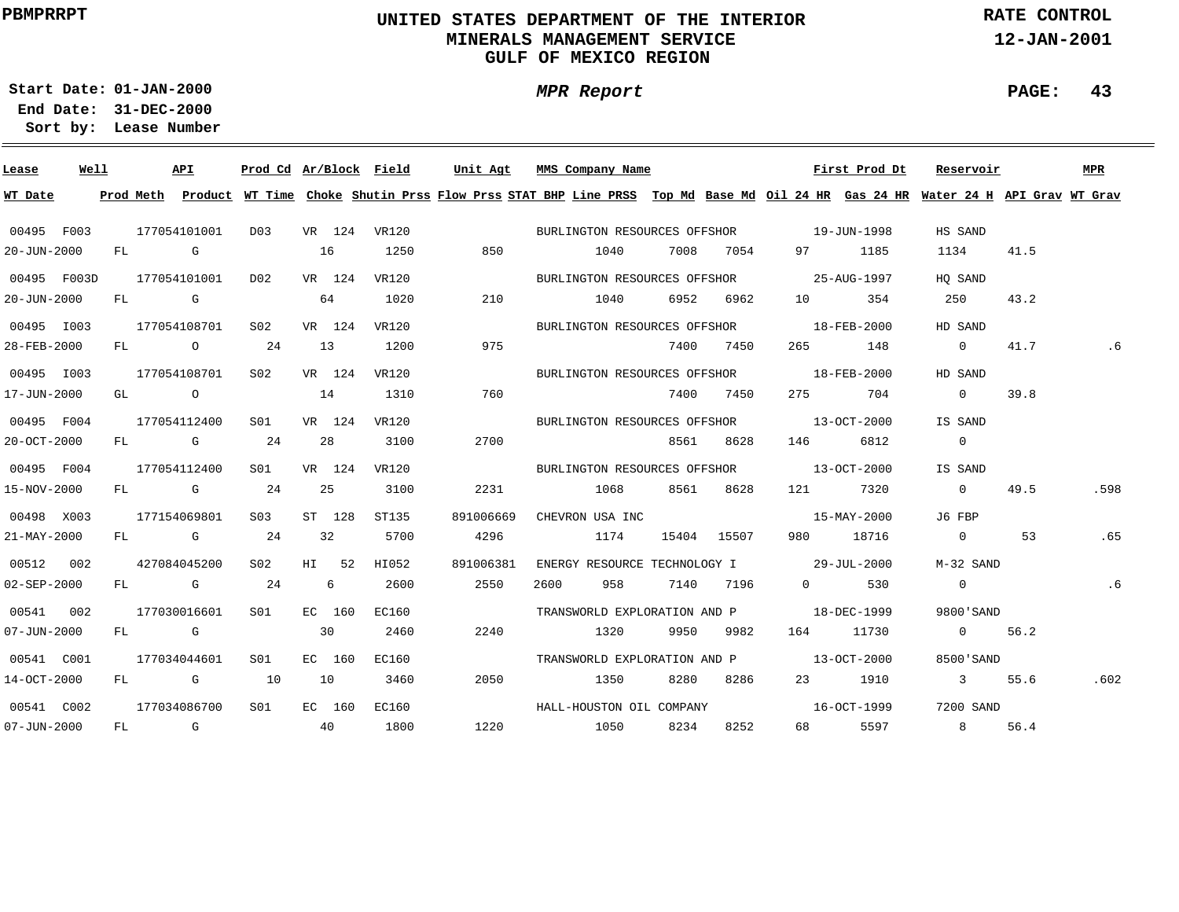# **UNITED STATES DEPARTMENT OF THE INTERIOR MINERALS MANAGEMENT SERVICEGULF OF MEXICO REGION**

**MPR Report**

**RATE CONTROL**

**12-JAN-2001**

**PAGE: 43**

**01-JAN-2000Start Date:**

| Lease             | Well |      | API                  |                  |    |        |       |           | Prod Cd Ar/Block Field Unit Agt MMS Company Name                                                                                        |      |             |                   | First Prod Dt     | Reservoir               |      | <b>MPR</b> |
|-------------------|------|------|----------------------|------------------|----|--------|-------|-----------|-----------------------------------------------------------------------------------------------------------------------------------------|------|-------------|-------------------|-------------------|-------------------------|------|------------|
| WT Date           |      |      |                      |                  |    |        |       |           | Prod Meth Product WT Time Choke Shutin Prss Flow Prss STAT BHP Line PRSS Top Md Base Md Oil 24 HR Gas 24 HR Water 24 H API Grav WT Grav |      |             |                   |                   |                         |      |            |
| 00495 F003        |      |      | 177054101001         | D03 VR 124 VR120 |    |        |       |           | BURLINGTON RESOURCES OFFSHOR 19-JUN-1998                                                                                                |      |             |                   |                   | HS SAND                 |      |            |
| $20 - JUN - 2000$ |      | FL G |                      |                  | 16 |        | 1250  | 850       | 1040                                                                                                                                    |      | 7008 7054   |                   | 97 1185           | 1134                    | 41.5 |            |
| 00495 F003D       |      |      | 177054101001         | D02              |    | VR 124 | VR120 |           | BURLINGTON RESOURCES OFFSHOR 25-AUG-1997                                                                                                |      |             |                   |                   | HO SAND                 |      |            |
| 20-JUN-2000       |      |      | FL G                 |                  |    | 64     | 1020  | 210       | 1040                                                                                                                                    |      | 6952 6962   | 10                | 354               | 250                     | 43.2 |            |
| 00495 1003        |      |      |                      | S02              |    | VR 124 | VR120 |           | BURLINGTON RESOURCES OFFSHOR                                                                                                            |      |             |                   | 18-FEB-2000       | HD SAND                 |      |            |
| 28-FEB-2000       |      |      | 177054108701<br>FL O | 24               | 13 |        | 1200  | 975       |                                                                                                                                         |      | 7400 7450   |                   | 265 148           | $\overline{0}$          | 41.7 | . 6        |
|                   |      |      |                      |                  |    |        |       |           |                                                                                                                                         |      |             |                   |                   |                         |      |            |
| 00495 1003        |      |      | 177054108701         | S02 <b>S</b>     |    | VR 124 | VR120 |           | BURLINGTON RESOURCES OFFSHOR 18-FEB-2000                                                                                                |      |             |                   |                   | HD SAND                 |      |            |
| 17-JUN-2000       |      |      | GL O                 |                  | 14 |        | 1310  | 760       |                                                                                                                                         |      | 7400 7450   | 275 — 17          | 704               | $\overline{0}$          | 39.8 |            |
| 00495 F004        |      |      | 177054112400         | SO1              |    | VR 124 | VR120 |           | BURLINGTON RESOURCES OFFSHOR 13-OCT-2000                                                                                                |      |             |                   |                   | IS SAND                 |      |            |
| 20-OCT-2000       |      |      | FL G                 | 24               |    | 28     | 3100  | 2700      |                                                                                                                                         |      | 8561 8628   | 146               | 6812              | $\overline{0}$          |      |            |
| 00495 F004        |      |      | 177054112400         | S01              |    | VR 124 | VR120 |           | BURLINGTON RESOURCES OFFSHOR 13-OCT-2000                                                                                                |      |             |                   |                   | IS SAND                 |      |            |
| 15-NOV-2000       |      |      | FL G                 | 24               |    | 25     | 3100  | 2231      | 1068                                                                                                                                    |      | 8561 8628   |                   | 121 7320          | $\overline{0}$          | 49.5 | .598       |
| 00498 X003        |      |      | 177154069801         | S <sub>03</sub>  |    | ST 128 | ST135 | 891006669 | CHEVRON USA INC                                                                                                                         |      |             | $15 - MAX - 2000$ |                   | J6 FBP                  |      |            |
| 21-MAY-2000       |      |      | FL G                 | 24               |    | 32     | 5700  | 4296      | 1174                                                                                                                                    |      | 15404 15507 |                   | 980 18716         | $\overline{0}$          | 53   | .65        |
| 00512 002         |      |      | 427084045200         | S02              |    | HI 52  | HI052 | 891006381 | ENERGY RESOURCE TECHNOLOGY I 29-JUL-2000                                                                                                |      |             |                   |                   | M-32 SAND               |      |            |
| 02-SEP-2000       |      |      | FL G                 | 24               |    | 6      | 2600  | 2550      | 2600<br>958                                                                                                                             |      | 7140 7196   | $\overline{0}$    | 530               | $\overline{0}$          |      | .6         |
| 00541 002         |      |      | 177030016601         | S01              |    | EC 160 | EC160 |           | TRANSWORLD EXPLORATION AND P 18-DEC-1999                                                                                                |      |             |                   |                   | 9800'SAND               |      |            |
| 07-JUN-2000       |      |      | FL G                 |                  |    | 30     | 2460  | 2240      | 1320                                                                                                                                    | 9950 | 9982        |                   | 164 11730         | $0 \t 56.2$             |      |            |
| 00541 C001        |      |      | 177034044601         | S01              |    | EC 160 | EC160 |           | TRANSWORLD EXPLORATION AND P                                                                                                            |      |             |                   | $13 - OCT - 2000$ | 8500'SAND               |      |            |
| 14-OCT-2000       |      |      | FL G 10              |                  | 10 |        | 3460  | 2050      | 1350                                                                                                                                    | 8280 | 8286        |                   | 23 1910           | $\overline{\mathbf{3}}$ | 55.6 | .602       |
| 00541 C002        |      |      | 177034086700         | S <sub>01</sub>  |    | EC 160 | EC160 |           | HALL-HOUSTON OIL COMPANY                                                                                                                |      |             |                   | $16 - 0CT - 1999$ | 7200 SAND               |      |            |
|                   |      |      | FL G                 | 40               |    |        |       | 1220      |                                                                                                                                         |      | 8252        |                   | 68 5597           | 8 56.4                  |      |            |
| 07-JUN-2000       |      |      |                      |                  |    |        | 1800  |           | 1050                                                                                                                                    | 8234 |             |                   |                   |                         |      |            |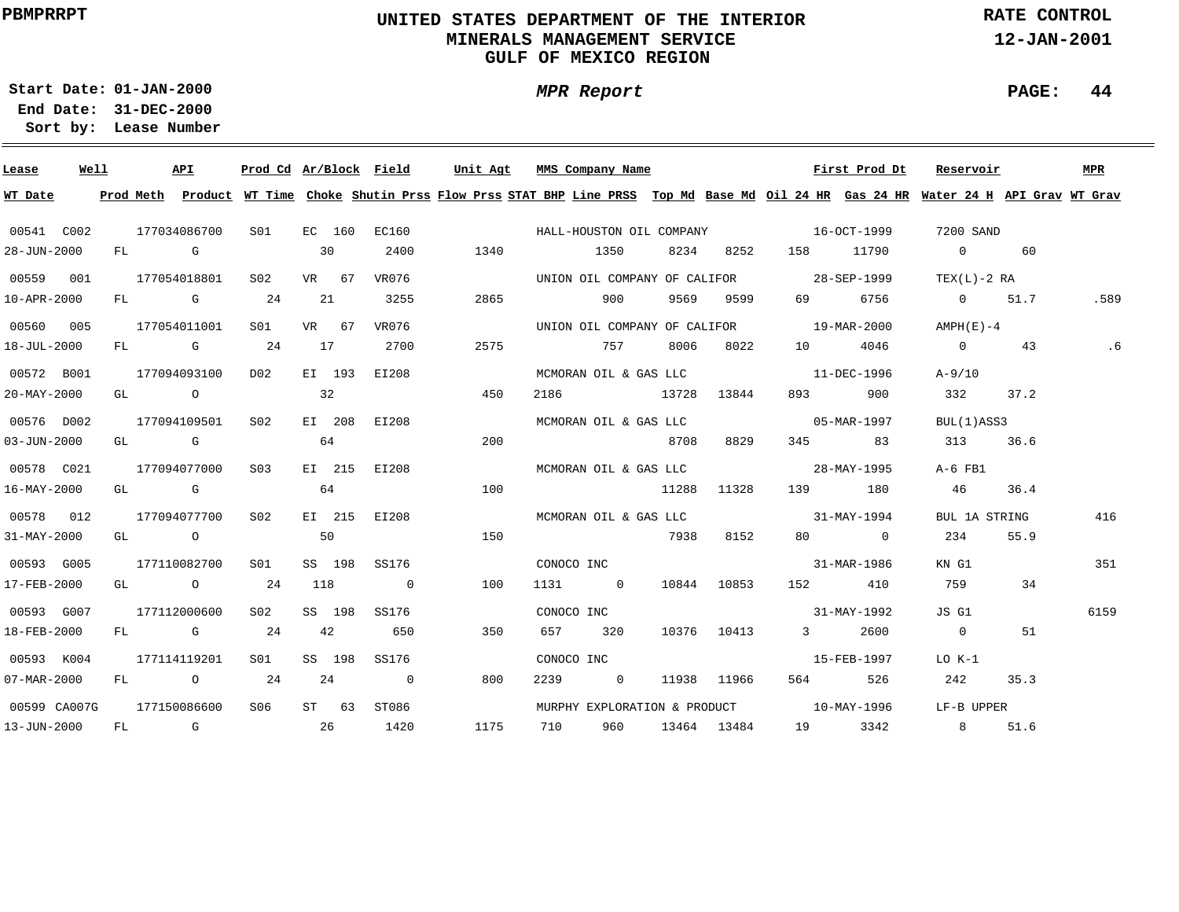# **UNITED STATES DEPARTMENT OF THE INTERIOR MINERALS MANAGEMENT SERVICEGULF OF MEXICO REGION**

**MPR Report**

**RATE CONTROL**

**12-JAN-2001**

**PAGE: 44**

**01-JAN-2000Start Date:**

| Lease                    | Well |  | API                     |                 |                 |         | Prod Cd Ar/Block Field   | Unit Agt |      |            | MMS Company Name |      |                 |                                   | First Prod Dt                            | Reservoir                                                                                                                               |      | MPR  |
|--------------------------|------|--|-------------------------|-----------------|-----------------|---------|--------------------------|----------|------|------------|------------------|------|-----------------|-----------------------------------|------------------------------------------|-----------------------------------------------------------------------------------------------------------------------------------------|------|------|
| WT Date                  |      |  |                         |                 |                 |         |                          |          |      |            |                  |      |                 |                                   |                                          | Prod Meth Product WT Time Choke Shutin Prss Flow Prss STAT BHP Line PRSS Top Md Base Md Oil 24 HR Gas 24 HR Water 24 H API Grav WT Grav |      |      |
| 00541 C002               |      |  | 177034086700            | S01 <b>S</b>    |                 | EC 160  |                          |          |      |            |                  |      |                 |                                   |                                          | 7200 SAND                                                                                                                               |      |      |
| 28-JUN-2000              |      |  | FL G                    |                 | 30              |         | 2400                     | 1340     |      |            | 1350             |      | 8234 8252       |                                   | 158 11790                                | $\overline{0}$                                                                                                                          | 60   |      |
| 00559 001                |      |  | 177054018801            | S02             |                 | VR 67   | VR076                    |          |      |            |                  |      |                 |                                   | UNION OIL COMPANY OF CALIFOR 28-SEP-1999 | $TEX(L)-2 RA$                                                                                                                           |      |      |
| 10-APR-2000              |      |  | $FL$ G 24               |                 | 21              |         | 3255                     |          | 2865 |            | 900              |      | 9569 9599       | 69 — 10                           | 6756                                     | 0 51.7                                                                                                                                  |      | .589 |
| 00560 005                |      |  | 177054011001            | S01 <b>S</b>    |                 | VR 67   | VR076                    |          |      |            |                  |      |                 |                                   | UNION OIL COMPANY OF CALIFOR 19-MAR-2000 | AMPH(E)-4                                                                                                                               |      |      |
| 18-JUL-2000              |      |  | FL G 24                 |                 | 17              |         | 2700                     |          | 2575 |            | 757              |      | 8006 8022       | 10                                | 4046                                     | $\overline{0}$                                                                                                                          | 43   |      |
| 00572 B001               |      |  | 177094093100            | D02             |                 | EI 193  | EI208                    |          |      |            |                  |      |                 | MCMORAN OIL & GAS LLC 11-DEC-1996 |                                          | $A - 9/10$                                                                                                                              |      |      |
| $20 - MAX - 2000$        |      |  | GL O                    |                 | $\overline{32}$ |         |                          |          | 450  |            | 2186 13728 13844 |      |                 | 893 — 100                         | 900                                      | 332                                                                                                                                     | 37.2 |      |
| 00576 D002               |      |  | 177094109501            | S02             |                 | EI 208  | EI208                    |          |      |            |                  |      |                 |                                   | MCMORAN OIL & GAS LLC 05-MAR-1997        | BUL(1)ASS3                                                                                                                              |      |      |
| $03 - JUN - 2000$        |      |  | GL G                    |                 | 64              |         |                          |          | 200  |            |                  | 8708 | 8829            |                                   | 345 83                                   | 313                                                                                                                                     | 36.6 |      |
| 00578 C021               |      |  | 177094077000            | S03             |                 | EI 215  | EI208                    |          |      |            |                  |      |                 |                                   | MCMORAN OIL & GAS LLC 28-MAY-1995        | A-6 FB1                                                                                                                                 |      |      |
| $16 - \text{MAX} - 2000$ |      |  | GL G                    |                 |                 | 64      |                          |          | 100  |            | 11288 11328      |      |                 |                                   | 139 180                                  | 46                                                                                                                                      | 36.4 |      |
| 00578 012                |      |  | 177094077700            | S02             |                 | EI 215  | EI208                    |          |      |            |                  |      |                 |                                   | MCMORAN OIL & GAS LLC 31-MAY-1994        | BUL 1A STRING                                                                                                                           |      | 416  |
| $31 - MAX - 2000$        |      |  | GL O                    |                 | 50              |         |                          |          | 150  |            |                  | 7938 | 8152            |                                   | 80 0                                     | 234                                                                                                                                     | 55.9 |      |
| 00593 G005               |      |  | 177110082700            | SO1             |                 | SS 198  | SS176                    |          |      | CONOCO INC |                  |      |                 | $31 - \text{MAR} - 1986$          |                                          | KN G1                                                                                                                                   |      | 351  |
| 17-FEB-2000              |      |  | GL $\qquad \qquad$ 0 24 |                 | 118             |         | $\overline{\phantom{0}}$ |          | 100  |            | 1131 0           |      | 10844 10853     | 152 and 152                       | 410                                      | 759                                                                                                                                     | 34   |      |
| 00593 G007               |      |  | 177112000600            | S02             |                 | SS 198  | SS176                    |          |      | CONOCO INC |                  |      |                 |                                   | $31 - MAY - 1992$                        | JS G1                                                                                                                                   |      | 6159 |
| 18-FEB-2000              |      |  | $FL$ G 24               |                 |                 | 42      | 650                      |          | 350  |            | 657 320          |      |                 | 10376 10413 3                     | 2600                                     | $\overline{0}$                                                                                                                          | 51   |      |
| 00593 K004               |      |  | 177114119201            | S <sub>01</sub> |                 | SS 198  | SS176                    |          |      | CONOCO INC |                  |      |                 |                                   | 15-FEB-1997                              | LO K-1                                                                                                                                  |      |      |
| 07-MAR-2000              |      |  | FL 0 24                 |                 | 24              |         | $\overline{0}$           |          | 800  | 2239       | $\overline{0}$   |      | 11938 11966     | 564 7                             | 526                                      | 242                                                                                                                                     | 35.3 |      |
| 00599 CA007G             |      |  | 177150086600            | S06             |                 | $ST$ 63 | ST086                    |          |      |            |                  |      |                 |                                   | MURPHY EXPLORATION & PRODUCT 10-MAY-1996 | LF-B UPPER                                                                                                                              |      |      |
| 13-JUN-2000              |      |  | FL G                    | $\sim$ 26       |                 |         | 1420                     |          | 1175 | 710        |                  |      | 960 13464 13484 |                                   | 19 3342                                  | 8 <sup>1</sup>                                                                                                                          | 51.6 |      |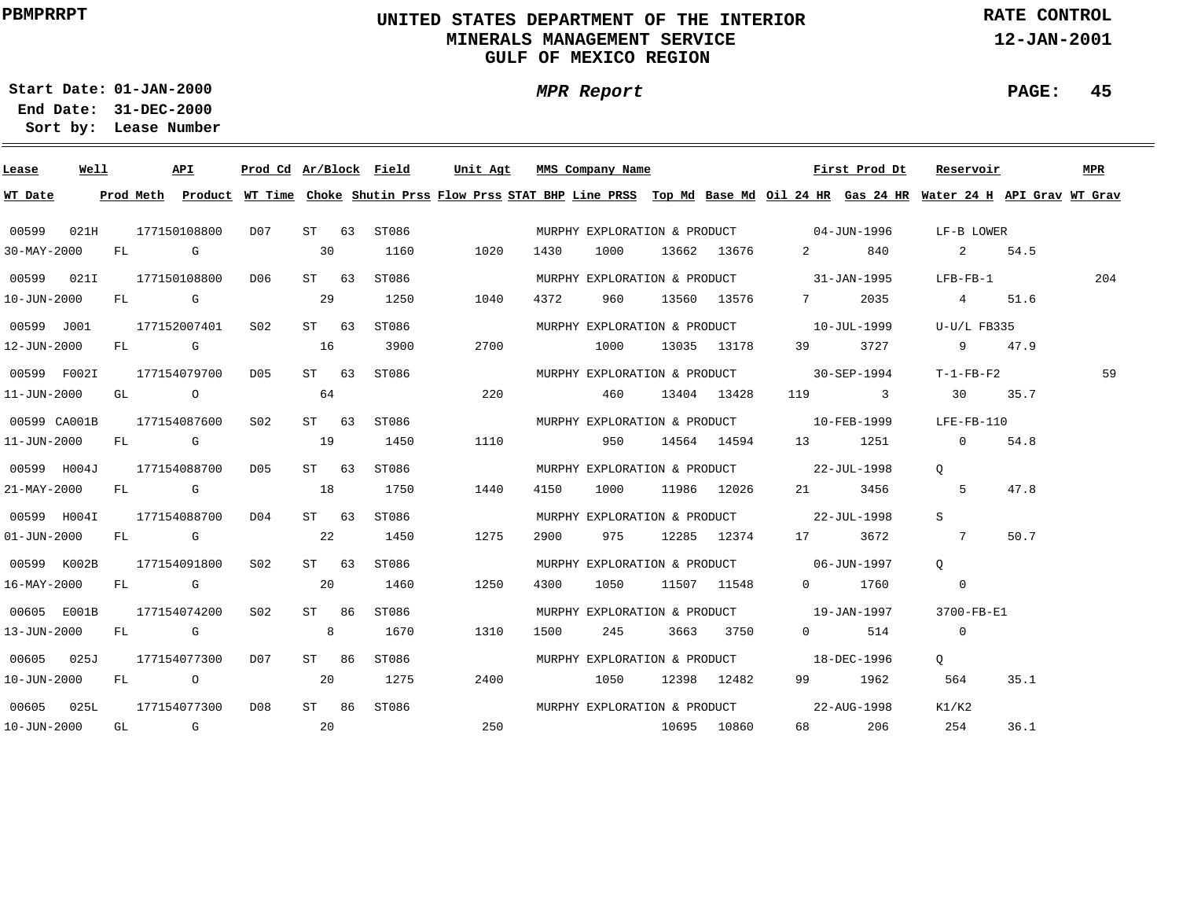# **UNITED STATES DEPARTMENT OF THE INTERIOR MINERALS MANAGEMENT SERVICEGULF OF MEXICO REGION**

**MPR Report**

**RATE CONTROL**

**12-JAN-2001**

**PAGE: 45**

**01-JAN-2000Start Date:**

| Lease             | Well |      | API          | Prod Cd Ar/Block Field |         |       | Unit Agt |      | MMS Company Name |                  |                                          | First Prod Dt | Reservoir                                                                                                                               |        | MPR |
|-------------------|------|------|--------------|------------------------|---------|-------|----------|------|------------------|------------------|------------------------------------------|---------------|-----------------------------------------------------------------------------------------------------------------------------------------|--------|-----|
| WT Date           |      |      |              |                        |         |       |          |      |                  |                  |                                          |               | Prod Meth Product WT Time Choke Shutin Prss Flow Prss STAT BHP Line PRSS Top Md Base Md Oil 24 HR Gas 24 HR Water 24 H API Grav WT Grav |        |     |
| 00599             | 021H |      | 177150108800 | D07                    | ST 63   | ST086 |          |      |                  |                  | MURPHY EXPLORATION & PRODUCT 04-JUN-1996 |               | LF-B LOWER                                                                                                                              |        |     |
| $30 - MAX - 2000$ |      | FL G |              |                        | 30      | 1160  | 1020     | 1430 | 1000             | 13662 13676      |                                          | 2 840         | 2 54.5                                                                                                                                  |        |     |
| 00599 021I        |      |      | 177150108800 | DO6                    | ST 63   | ST086 |          |      |                  |                  | MURPHY EXPLORATION & PRODUCT 31-JAN-1995 |               | $LFB-FB-1$                                                                                                                              |        | 204 |
| $10 - JUN - 2000$ |      |      | FL G         |                        | 29      | 1250  | 1040     | 4372 | 960              |                  | 13560 13576 7                            | 2035          | 4 51.6                                                                                                                                  |        |     |
| 00599 J001        |      |      | 177152007401 | S02                    | ST 63   | ST086 |          |      |                  |                  | MURPHY EXPLORATION & PRODUCT 10-JUL-1999 |               | $U-U/L$ FB335                                                                                                                           |        |     |
| 12-JUN-2000       |      |      | FL G         |                        | 16      | 3900  | 2700     |      | 1000             |                  | 13035 13178 39 3727                      |               |                                                                                                                                         | 9 47.9 |     |
| 00599 F002I       |      |      | 177154079700 | D05                    | ST 63   | ST086 |          |      |                  |                  | MURPHY EXPLORATION & PRODUCT 30-SEP-1994 |               | $T-1-FB-F2$                                                                                                                             |        | 59  |
| 11-JUN-2000       |      |      | GL O         |                        | 64      |       | 220      |      | 460              | 13404 13428      |                                          | 119 3         | 30 35.7                                                                                                                                 |        |     |
| 00599 CA001B      |      |      | 177154087600 | S02                    | ST 63   | ST086 |          |      |                  |                  | MURPHY EXPLORATION & PRODUCT 10-FEB-1999 |               | LFE-FB-110                                                                                                                              |        |     |
| 11-JUN-2000       |      |      | FL G         |                        | 19      | 1450  | 1110     |      | 950              | 14564 14594      |                                          | 13 1251       | $\overline{0}$                                                                                                                          | 54.8   |     |
| 00599 H004J       |      |      | 177154088700 | D05                    | ST 63   | ST086 |          |      |                  |                  | MURPHY EXPLORATION & PRODUCT 22-JUL-1998 |               | $\circ$                                                                                                                                 |        |     |
| 21-MAY-2000       |      |      | FL G         |                        | 18      | 1750  | 1440     | 4150 |                  | 1000 11986 12026 |                                          | 21 3456       | 5                                                                                                                                       | 47.8   |     |
| 00599 H004I       |      |      | 177154088700 | D04                    | $ST$ 63 | ST086 |          |      |                  |                  | MURPHY EXPLORATION & PRODUCT 22-JUL-1998 |               | S.                                                                                                                                      |        |     |
| $01 - JUN - 2000$ |      |      | FL G         |                        | 22      | 1450  | 1275     | 2900 |                  |                  | 975 12285 12374 17 3672                  |               | $\overline{7}$                                                                                                                          | 50.7   |     |
| 00599 K002B       |      |      | 177154091800 | S <sub>02</sub>        | $ST$ 63 | ST086 |          |      |                  |                  | MURPHY EXPLORATION & PRODUCT 06-JUN-1997 |               | $\circ$                                                                                                                                 |        |     |
| 16-MAY-2000       |      |      | FL G         |                        | 20      | 1460  | 1250     | 4300 |                  | 1050 11507 11548 |                                          | 0 1760        | $\overline{0}$                                                                                                                          |        |     |
| 00605 E001B       |      |      | 177154074200 | S02                    | ST 86   | ST086 |          |      |                  |                  | MURPHY EXPLORATION & PRODUCT 19-JAN-1997 |               | 3700-FB-E1                                                                                                                              |        |     |
| 13-JUN-2000       |      |      | FL G         |                        | 8       | 1670  | 1310     | 1500 | 245              | 3663 3750        |                                          | $0$ 514       | $\overline{0}$                                                                                                                          |        |     |
| 00605 025J        |      |      | 177154077300 | D07                    | ST 86   | ST086 |          |      |                  |                  | MURPHY EXPLORATION & PRODUCT 18-DEC-1996 |               | Q                                                                                                                                       |        |     |
| 10-JUN-2000       |      |      | FL O         |                        | 20      | 1275  | 2400     |      | 1050             | 12398 12482      |                                          | 99 1962       | 564                                                                                                                                     | 35.1   |     |
| 00605             | 025L |      | 177154077300 | D08                    | ST 86   | ST086 |          |      |                  |                  | MURPHY EXPLORATION & PRODUCT 22-AUG-1998 |               | K1/K2                                                                                                                                   |        |     |
| $10 - JUN - 2000$ |      |      | GL G         | $\sim$ 20              |         |       |          | 250  | 10695 10860      |                  |                                          | 68 206        | 254                                                                                                                                     | 36.1   |     |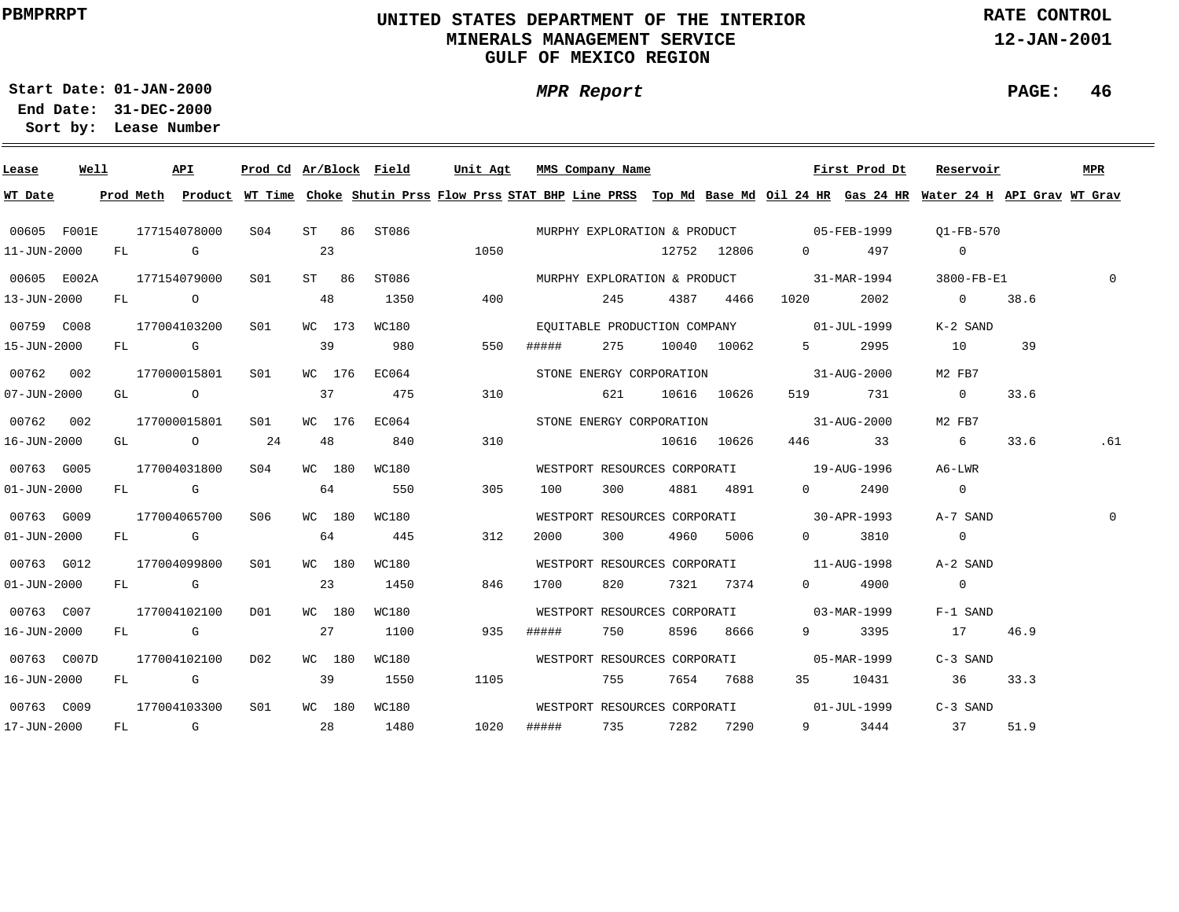# **UNITED STATES DEPARTMENT OF THE INTERIOR MINERALS MANAGEMENT SERVICEGULF OF MEXICO REGION**

**MPR Report**

**RATE CONTROL**

**12-JAN-2001**

**PAGE: 46**

**01-JAN-2000Start Date:31-DEC-2000 End Date:** 

| Lease             | Well |  | API                      |                 |        |        | Prod Cd Ar/Block Field | Unit Agt |            | MMS Company Name    |                 |                                          | First Prod Dt | Reservoir                                                                                                                               |      | <b>MPR</b> |
|-------------------|------|--|--------------------------|-----------------|--------|--------|------------------------|----------|------------|---------------------|-----------------|------------------------------------------|---------------|-----------------------------------------------------------------------------------------------------------------------------------------|------|------------|
| WT Date           |      |  |                          |                 |        |        |                        |          |            |                     |                 |                                          |               | Prod Meth Product WT Time Choke Shutin Prss Flow Prss STAT BHP Line PRSS Top Md Base Md Oil 24 HR Gas 24 HR Water 24 H API Grav WT Grav |      |            |
| 00605 F001E       |      |  | 177154078000             |                 |        |        | S04 ST 86 ST086        |          |            |                     |                 |                                          |               | MURPHY EXPLORATION & PRODUCT 05-FEB-1999 01-FB-570                                                                                      |      |            |
| 11-JUN-2000       |      |  | FL G                     |                 | 23     |        |                        | 1050     |            |                     | 12752 12806     |                                          | 0 497         | $\sim$ 0                                                                                                                                |      |            |
|                   |      |  | 00605 E002A 177154079000 | S01 <b>S</b>    |        |        | ST 86 ST086            |          |            |                     |                 |                                          |               | MURPHY EXPLORATION & PRODUCT 31-MAR-1994 3800-FB-E1                                                                                     |      | $\Omega$   |
| 13-JUN-2000       |      |  | FL O                     |                 | 48     |        | 1350                   |          | 400 000    | 245                 | 4387 4466       | 1020                                     | 2002          | $0 \t 38.6$                                                                                                                             |      |            |
| 00759 C008        |      |  | 177004103200             | S01             |        |        | WC 173 WC180           |          |            |                     |                 | EQUITABLE PRODUCTION COMPANY 01-JUL-1999 |               | K-2 SAND                                                                                                                                |      |            |
| 15-JUN-2000       |      |  |                          | FL G 39         |        |        | 980                    | 550      | #####      |                     | 275 10040 10062 | $5 \sim$                                 | 2995          | 10                                                                                                                                      | 39   |            |
| 00762 002         |      |  | 177000015801 S01         |                 |        |        | WC 176 EC064           |          |            |                     |                 | STONE ENERGY CORPORATION 31-AUG-2000     |               | M2 FB7                                                                                                                                  |      |            |
| $07 - JUN - 2000$ |      |  |                          |                 |        |        | 475                    | 310      |            |                     | 621 10616 10626 |                                          | 519 731       | $\overline{0}$                                                                                                                          | 33.6 |            |
| 00762 002         |      |  | 177000015801             | S01             |        |        | WC 176 EC064           |          |            |                     |                 | STONE ENERGY CORPORATION 31-AUG-2000     |               | M2 FB7                                                                                                                                  |      |            |
| 16-JUN-2000       |      |  | GL $\qquad \qquad$ 0 24  |                 | 48     |        | 840                    | 310      |            |                     | 10616 10626     |                                          | 446 33        | $\sim$ 6                                                                                                                                | 33.6 | .61        |
| 00763 G005        |      |  | 177004031800             | S04             | WC 180 |        | WC180                  |          |            |                     |                 | WESTPORT RESOURCES CORPORATI 19-AUG-1996 |               | A6-LWR                                                                                                                                  |      |            |
| $01 - JUN - 2000$ |      |  |                          | $FL$ G 64       |        |        | 550                    | 305      |            | 100                 | 300 4881 4891   |                                          | $0 \t 2490$   | $\overline{0}$                                                                                                                          |      |            |
| 00763 G009        |      |  | 177004065700             | S06             |        | WC 180 | WC180                  |          |            |                     |                 | WESTPORT RESOURCES CORPORATI 30-APR-1993 |               | A-7 SAND                                                                                                                                |      |            |
| $01 - JUN - 2000$ |      |  | FL G                     |                 |        | 64     | 445                    | 312      | 2000 — 100 |                     | 4960 5006       |                                          | 0 3810        | $\overline{0}$                                                                                                                          |      |            |
| 00763 G012        |      |  | 177004099800             | SO1             |        | WC 180 | WC180                  |          |            |                     |                 | WESTPORT RESOURCES CORPORATI 11-AUG-1998 |               | A-2 SAND                                                                                                                                |      |            |
| $01 - JUN - 2000$ |      |  | FL G                     | $\sim$ 23       |        |        | 1450                   | 846      | 1700       | 820 — 10            | 7321 7374       |                                          | $0 \t 4900$   | $\overline{0}$                                                                                                                          |      |            |
| 00763 C007        |      |  | 177004102100             | D01             | WC 180 |        | WC180                  |          |            |                     |                 | WESTPORT RESOURCES CORPORATI 03-MAR-1999 |               | F-1 SAND                                                                                                                                |      |            |
| 16-JUN-2000       |      |  | FL G                     | 27              |        |        | 1100                   | 935      | #####      | 750                 | 8596 8666       |                                          | 9 3395        | 17 46.9                                                                                                                                 |      |            |
| 00763 C007D       |      |  | 177004102100             | DO <sub>2</sub> | WC 180 |        | WC180                  |          |            |                     |                 | WESTPORT RESOURCES CORPORATI 05-MAR-1999 |               | C-3 SAND                                                                                                                                |      |            |
| 16-JUN-2000       |      |  | FL G                     | $\sim$ 39       |        |        | 1550                   | 1105     |            | 755                 | 7654 7688       |                                          |               | 35 10431 36 33.3                                                                                                                        |      |            |
| 00763 C009        |      |  | 177004103300             | S <sub>01</sub> |        |        | WC 180 WC180           |          |            |                     |                 |                                          |               | WESTPORT RESOURCES CORPORATI 01-JUL-1999 C-3 SAND                                                                                       |      |            |
| 17-JUN-2000       |      |  |                          | FL G 28         |        |        | 1480                   | 1020     |            | ##### 735 7282 7290 |                 |                                          | 9 3444        | 37                                                                                                                                      | 51.9 |            |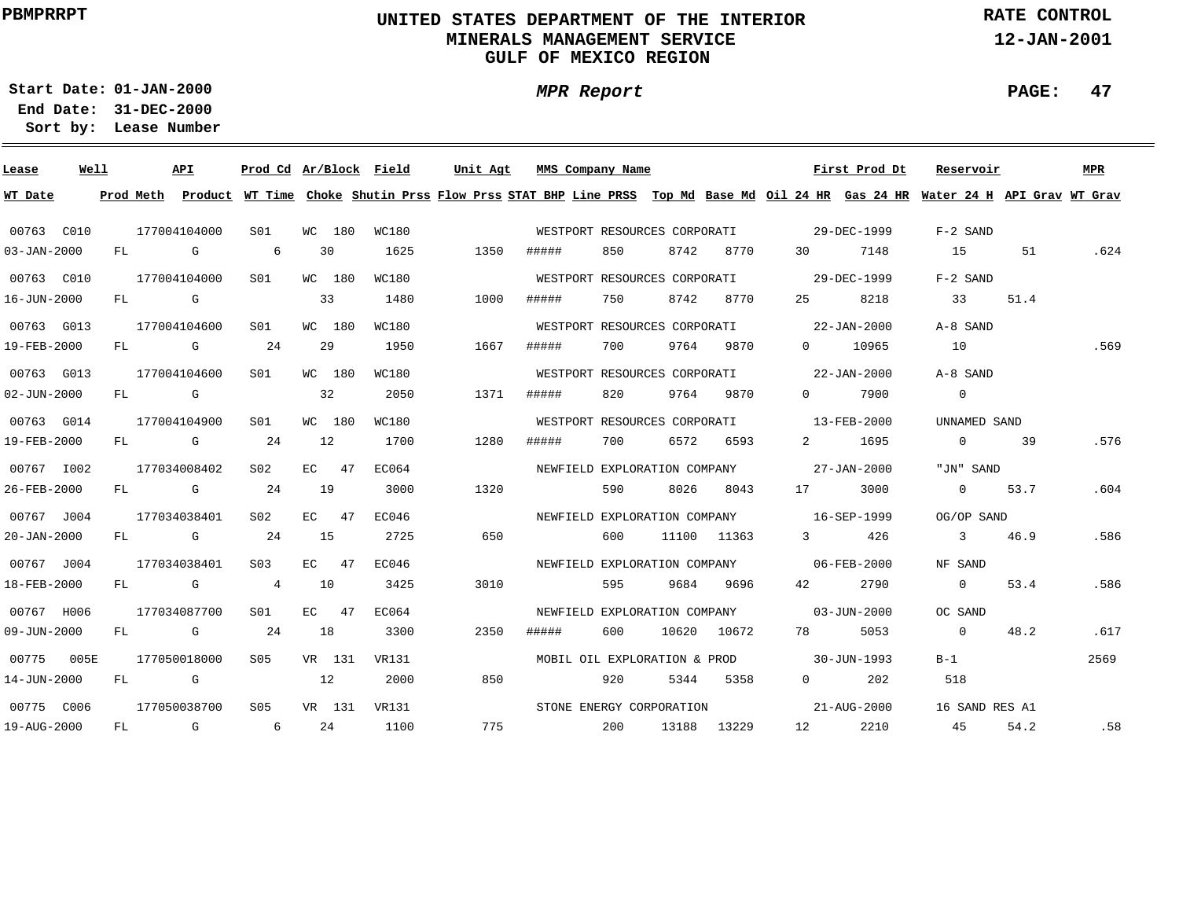# **UNITED STATES DEPARTMENT OF THE INTERIOR MINERALS MANAGEMENT SERVICEGULF OF MEXICO REGION**

**MPR Report**

**RATE CONTROL**

**12-JAN-2001**

**PAGE: 47**

**01-JAN-2000Start Date:31-DEC-2000 End Date:** 

| Lease             | Well |     |           | API                                                                                                                                                                                                                            | Prod Cd Ar/Block Field |     |         |       | Unit Agt |     |       | MMS Company Name |                              |             |                                          | First Prod Dt     | Reservoir                                                                                                                     |      | MPR  |
|-------------------|------|-----|-----------|--------------------------------------------------------------------------------------------------------------------------------------------------------------------------------------------------------------------------------|------------------------|-----|---------|-------|----------|-----|-------|------------------|------------------------------|-------------|------------------------------------------|-------------------|-------------------------------------------------------------------------------------------------------------------------------|------|------|
| WT Date           |      |     | Prod Meth |                                                                                                                                                                                                                                |                        |     |         |       |          |     |       |                  |                              |             |                                          |                   | Product WT Time Choke Shutin Prss Flow Prss STAT BHP Line PRSS Top Md Base Md Oil 24 HR Gas 24 HR Water 24 H API Grav WT Grav |      |      |
| 00763 C010        |      |     |           | 177004104000                                                                                                                                                                                                                   | SO1                    |     | WC 180  | WC180 |          |     |       |                  | WESTPORT RESOURCES CORPORATI |             | 29-DEC-1999                              |                   | $F-2$ SAND                                                                                                                    |      |      |
| $03 - JAN - 2000$ |      | FL. |           | G                                                                                                                                                                                                                              | 6                      |     | 30      | 1625  | 1350     |     | ##### | 850              | 8742                         | 8770        | 30                                       | 7148              | 1.5                                                                                                                           | 51   | .624 |
| 00763 C010        |      |     |           | 177004104000                                                                                                                                                                                                                   | S01                    |     | WC 180  | WC180 |          |     |       |                  | WESTPORT RESOURCES CORPORATI |             |                                          | 29-DEC-1999       | $F-2$ SAND                                                                                                                    |      |      |
| 16-JUN-2000       |      | FL  |           | G                                                                                                                                                                                                                              |                        |     | 33      | 1480  | 1000     |     | ##### | 750              | 8742                         | 8770        | 25                                       | 8218              | 33                                                                                                                            | 51.4 |      |
| 00763 G013        |      |     |           | 177004104600                                                                                                                                                                                                                   | S <sub>01</sub>        |     | WC 180  | WC180 |          |     |       |                  | WESTPORT RESOURCES CORPORATI |             |                                          | $22 - JAN - 2000$ | A-8 SAND                                                                                                                      |      |      |
| 19-FEB-2000       |      | FL. |           | G                                                                                                                                                                                                                              | -24                    |     | 29      | 1950  | 1667     |     | ##### | 700              | 9764                         | 9870        | $\overline{0}$                           | 10965             | 10                                                                                                                            |      | .569 |
| 00763 G013        |      |     |           | 177004104600                                                                                                                                                                                                                   | S01                    |     | WC 180  | WC180 |          |     |       |                  | WESTPORT RESOURCES CORPORATI |             |                                          | 22-JAN-2000       | A-8 SAND                                                                                                                      |      |      |
| $02 - JUN - 2000$ |      | FL. |           | <b>G</b>                                                                                                                                                                                                                       |                        |     | 32      | 2050  | 1371     |     | ##### | 820              | 9764                         | 9870        | $\Omega$                                 | 7900              | $\overline{0}$                                                                                                                |      |      |
| 00763 G014        |      |     |           | 177004104900                                                                                                                                                                                                                   | SO1                    |     | WC 180  | WC180 |          |     |       |                  | WESTPORT RESOURCES CORPORATI |             |                                          | 13-FEB-2000       | UNNAMED SAND                                                                                                                  |      |      |
| 19-FEB-2000       |      | FL. |           | G                                                                                                                                                                                                                              | 24                     |     | 12      | 1700  | 1280     |     | ##### | 700              | 6572                         | 6593        | $2 \left( \frac{1}{2} \right)$           | 1695              | $\overline{0}$                                                                                                                | 39   | .576 |
| 00767 1002        |      |     |           | 177034008402                                                                                                                                                                                                                   | S <sub>02</sub>        |     | $EC$ 47 | EC064 |          |     |       |                  | NEWFIELD EXPLORATION COMPANY |             |                                          | $27 - JAN - 2000$ | "JN" SAND                                                                                                                     |      |      |
| 26-FEB-2000       |      | FL  |           | and the Company of the Company of the Company of the Company of the Company of the Company of the Company of the Company of the Company of the Company of the Company of the Company of the Company of the Company of the Comp | 24                     | 19  |         | 3000  | 1320     |     |       | 590              | 8026                         | 8043        | 17                                       | 3000              | $\overline{0}$                                                                                                                | 53.7 | .604 |
| 00767 J004        |      |     |           | 177034038401                                                                                                                                                                                                                   | S <sub>02</sub>        | EC. | 47      | EC046 |          |     |       |                  |                              |             | NEWFIELD EXPLORATION COMPANY 16-SEP-1999 |                   | OG/OP SAND                                                                                                                    |      |      |
| $20 - JAN - 2000$ |      | FL  |           | $\mathbf G$                                                                                                                                                                                                                    | 24                     | 15  |         | 2725  |          | 650 |       | 600              |                              | 11100 11363 | $3 \left( \frac{1}{2} \right)$           | 426               | $\overline{\mathbf{3}}$                                                                                                       | 46.9 | .586 |
| 00767 J004        |      |     |           | 177034038401                                                                                                                                                                                                                   | S <sub>03</sub>        |     | $EC$ 47 | EC046 |          |     |       |                  |                              |             | NEWFIELD EXPLORATION COMPANY 06-FEB-2000 |                   | NF SAND                                                                                                                       |      |      |
| 18-FEB-2000       |      | FL  |           | G                                                                                                                                                                                                                              | $\overline{4}$         | 10  |         | 3425  | 3010     |     |       | 595              |                              | 9684 9696   | 42                                       | 2790              | $\overline{0}$                                                                                                                | 53.4 | .586 |
| 00767 H006        |      |     |           | 177034087700                                                                                                                                                                                                                   | S01                    |     | $EC$ 47 | EC064 |          |     |       |                  | NEWFIELD EXPLORATION COMPANY |             | $03 - JUN - 2000$                        |                   | OC SAND                                                                                                                       |      |      |
| 09-JUN-2000       |      | FL  |           | G                                                                                                                                                                                                                              | 24                     | 18  |         | 3300  | 2350     |     | ##### | 600              |                              | 10620 10672 | 78 —                                     | 5053              | $\overline{0}$                                                                                                                | 48.2 | .617 |
| 00775 005E        |      |     |           | 177050018000                                                                                                                                                                                                                   | S05                    |     | VR 131  | VR131 |          |     |       |                  | MOBIL OIL EXPLORATION & PROD |             | $30 - JUN - 1993$                        |                   | $B-1$                                                                                                                         |      | 2569 |
| 14-JUN-2000       |      | FL  |           | G                                                                                                                                                                                                                              |                        | 12  |         | 2000  |          | 850 |       | 920              | 5344                         | 5358        | $0 \qquad \qquad$                        | 202               | 518                                                                                                                           |      |      |
| 00775 C006        |      |     |           | 177050038700                                                                                                                                                                                                                   | S05                    |     | VR 131  | VR131 |          |     |       |                  | STONE ENERGY CORPORATION     |             |                                          | 21-AUG-2000       | 16 SAND RES A1                                                                                                                |      |      |
| 19-AUG-2000       |      | FL. |           | G                                                                                                                                                                                                                              | 6                      |     | 24      | 1100  |          | 775 |       | 200              | 13188                        | 13229       | 12                                       | 2210              | 45                                                                                                                            | 54.2 | .58  |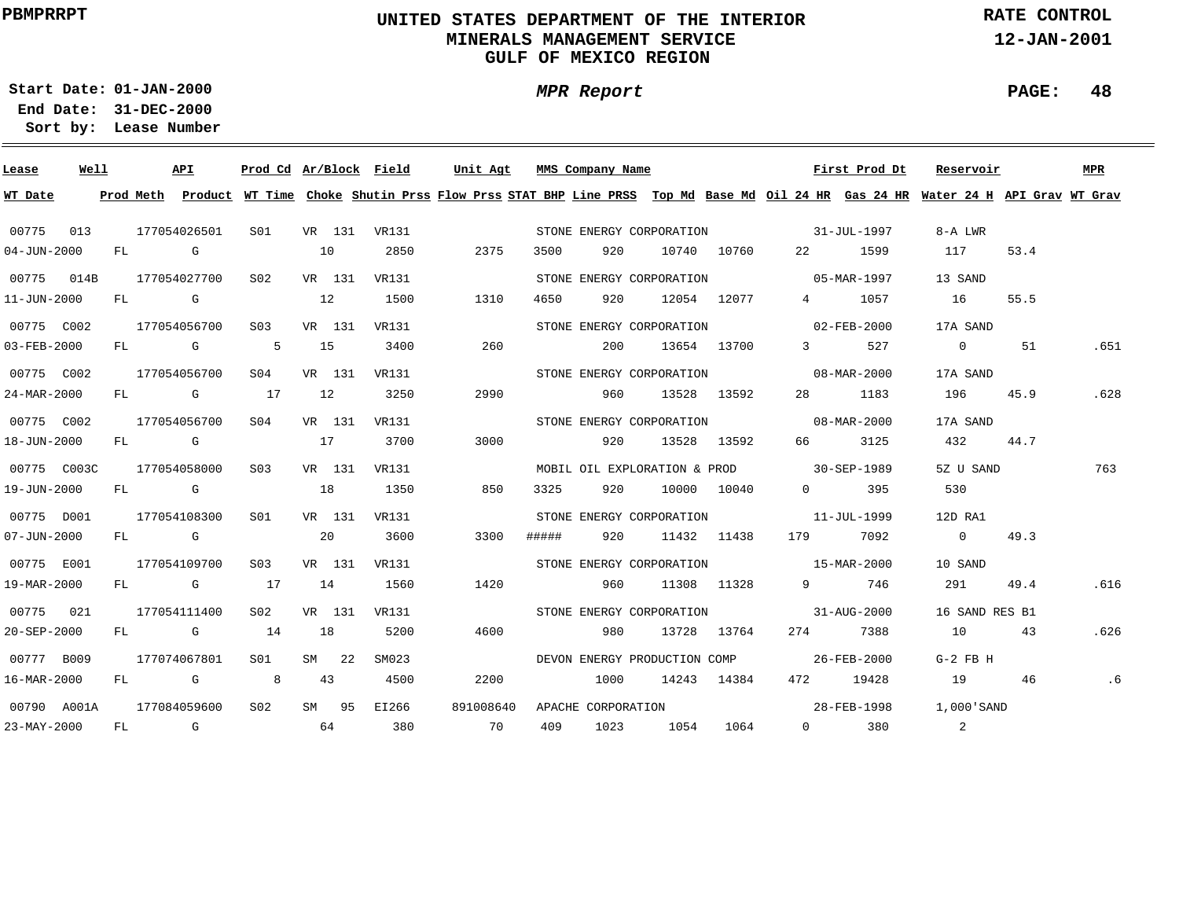# **UNITED STATES DEPARTMENT OF THE INTERIOR MINERALS MANAGEMENT SERVICEGULF OF MEXICO REGION**

**MPR Report**

**RATE CONTROL**

**12-JAN-2001**

**PAGE: 48**

**01-JAN-2000Start Date:**

| Lease             | Well |    |        | API                                                                                                                                                                                                                            | Prod Cd Ar/Block Field |    |        |              | Unit Agt  |       | MMS Company Name   |                              |             |                                                             | First Prod Dt | Reservoir                                                                                                                               |      | MPR  |
|-------------------|------|----|--------|--------------------------------------------------------------------------------------------------------------------------------------------------------------------------------------------------------------------------------|------------------------|----|--------|--------------|-----------|-------|--------------------|------------------------------|-------------|-------------------------------------------------------------|---------------|-----------------------------------------------------------------------------------------------------------------------------------------|------|------|
| WT Date           |      |    |        |                                                                                                                                                                                                                                |                        |    |        |              |           |       |                    |                              |             |                                                             |               | Prod Meth Product WT Time Choke Shutin Prss Flow Prss STAT BHP Line PRSS Top Md Base Md Oil 24 HR Gas 24 HR Water 24 H API Grav WT Grav |      |      |
| 00775             | 013  |    |        | 177054026501                                                                                                                                                                                                                   | S01                    |    |        | VR 131 VR131 |           |       |                    |                              |             | STONE ENERGY CORPORATION 31-JUL-1997                        |               | 8-A LWR                                                                                                                                 |      |      |
| $04 - JUN - 2000$ |      |    | FL G   |                                                                                                                                                                                                                                |                        | 10 |        | 2850         | 2375      | 3500  | 920                |                              | 10740 10760 |                                                             | 22 1599       | 117                                                                                                                                     | 53.4 |      |
| 00775 014B        |      |    |        | 177054027700                                                                                                                                                                                                                   | S02                    |    | VR 131 | VR131        |           |       |                    | STONE ENERGY CORPORATION     |             | $05 - \text{MAR} - 1997$                                    |               | 13 SAND                                                                                                                                 |      |      |
| 11-JUN-2000       |      |    | $FL$ G |                                                                                                                                                                                                                                |                        | 12 |        | 1500         | 1310      | 4650  | 920                |                              | 12054 12077 |                                                             | 4 1057        | 16                                                                                                                                      | 55.5 |      |
| 00775 C002        |      |    |        | 177054056700                                                                                                                                                                                                                   | S03                    |    | VR 131 | VR131        |           |       |                    | STONE ENERGY CORPORATION     |             | $02 - FEB - 2000$                                           |               | 17A SAND                                                                                                                                |      |      |
| 03-FEB-2000       |      |    |        | $FL$ G and $G$ and $G$ and $G$ and $G$ and $G$ and $G$ and $G$ and $G$ and $G$ and $G$ and $G$ and $G$ and $G$ and $G$ and $G$ and $G$ and $G$ and $G$ and $G$ and $G$ and $G$ and $G$ and $G$ and $G$ and $G$ and $G$ and $G$ | 5                      |    | 15     | 3400         | 260       |       | 200                |                              | 13654 13700 | $\overline{3}$ and $\overline{3}$                           | 527           | $\overline{0}$                                                                                                                          | 51   | .651 |
| 00775 C002        |      |    |        | 177054056700                                                                                                                                                                                                                   | S04                    |    | VR 131 | VR131        |           |       |                    | STONE ENERGY CORPORATION     |             |                                                             | 08-MAR-2000   | 17A SAND                                                                                                                                |      |      |
| 24-MAR-2000       |      |    |        | FL G                                                                                                                                                                                                                           | 17                     | 12 |        | 3250         | 2990      |       | 960                |                              | 13528 13592 | 28 — 28                                                     | 1183          | 196                                                                                                                                     | 45.9 | .628 |
| 00775 C002        |      |    |        | 177054056700                                                                                                                                                                                                                   | SO4                    |    | VR 131 | VR131        |           |       |                    |                              |             | STONE ENERGY CORPORATION 68-MAR-2000                        |               | 17A SAND                                                                                                                                |      |      |
| 18-JUN-2000       |      |    |        | FL G                                                                                                                                                                                                                           |                        | 17 |        | 3700         | 3000      |       | 920                |                              | 13528 13592 | 66 — 1                                                      | 3125          | 432                                                                                                                                     | 44.7 |      |
| 00775 C003C       |      |    |        | 177054058000                                                                                                                                                                                                                   | S <sub>03</sub>        |    | VR 131 | VR131        |           |       |                    |                              |             | MOBIL OIL EXPLORATION & PROD 30-SEP-1989                    |               | 5Z U SAND                                                                                                                               |      | 763  |
| 19-JUN-2000       |      |    |        | FL G                                                                                                                                                                                                                           |                        | 18 |        | 1350         | 850       | 3325  | 920                |                              | 10000 10040 | $\Omega$ and $\Omega$                                       | 395           | 530                                                                                                                                     |      |      |
| 00775 D001        |      |    |        | 177054108300                                                                                                                                                                                                                   | S01                    |    | VR 131 | VR131        |           |       |                    |                              |             | STONE ENERGY CORPORATION 11-JUL-1999                        |               | 12D RA1                                                                                                                                 |      |      |
| 07-JUN-2000       |      |    |        | FL G                                                                                                                                                                                                                           |                        |    | 20     | 3600         | 3300      | ##### | 920                |                              | 11432 11438 |                                                             | 179 7092      | $\overline{0}$                                                                                                                          | 49.3 |      |
| 00775 E001        |      |    |        | 177054109700                                                                                                                                                                                                                   | S03                    |    | VR 131 | VR131        |           |       |                    | STONE ENERGY CORPORATION     |             | $15 - \text{MAR} - 2000$                                    |               | 10 SAND                                                                                                                                 |      |      |
| 19-MAR-2000       |      |    |        | FL G                                                                                                                                                                                                                           | 17                     | 14 |        | 1560         | 1420      |       | 960                |                              | 11308 11328 | $9 \left( \begin{array}{ccc} 9 & 1 & 1 \end{array} \right)$ | 746           | 291                                                                                                                                     | 49.4 | .616 |
| 00775 021         |      |    |        | 177054111400                                                                                                                                                                                                                   | S02                    |    | VR 131 | VR131        |           |       |                    | STONE ENERGY CORPORATION     |             | $31 - \text{AUG} - 2000$                                    |               | 16 SAND RES B1                                                                                                                          |      |      |
| 20-SEP-2000       |      |    |        | FL G                                                                                                                                                                                                                           | 14                     | 18 |        | 5200         | 4600      |       | 980                |                              | 13728 13764 | 274                                                         | 7388          | 10                                                                                                                                      | 43   | .626 |
| 00777 B009        |      |    |        | 177074067801                                                                                                                                                                                                                   | SO1                    |    | SM 22  | SM023        |           |       |                    | DEVON ENERGY PRODUCTION COMP |             |                                                             | 26-FEB-2000   | $G-2$ FB H                                                                                                                              |      |      |
| 16-MAR-2000       |      | FL |        | $\mathbf G$                                                                                                                                                                                                                    | 8 <sup>1</sup>         |    | 43     | 4500         | 2200      |       | 1000               |                              | 14243 14384 |                                                             | 472 19428     | 19                                                                                                                                      | 46   | .6   |
| 00790 A001A       |      |    |        | 177084059600                                                                                                                                                                                                                   | S <sub>02</sub>        |    | SM 95  | EI266        | 891008640 |       | APACHE CORPORATION |                              |             | 28-FEB-1998                                                 |               | 1,000 SAND                                                                                                                              |      |      |
| $23 - MAX - 2000$ |      | FL |        | $\mathbb G$                                                                                                                                                                                                                    | 64                     |    |        | 380          | 70        | 409   | 1023               | 1054                         | 1064        |                                                             | $0$ 380       | $\overline{\mathbf{c}}$                                                                                                                 |      |      |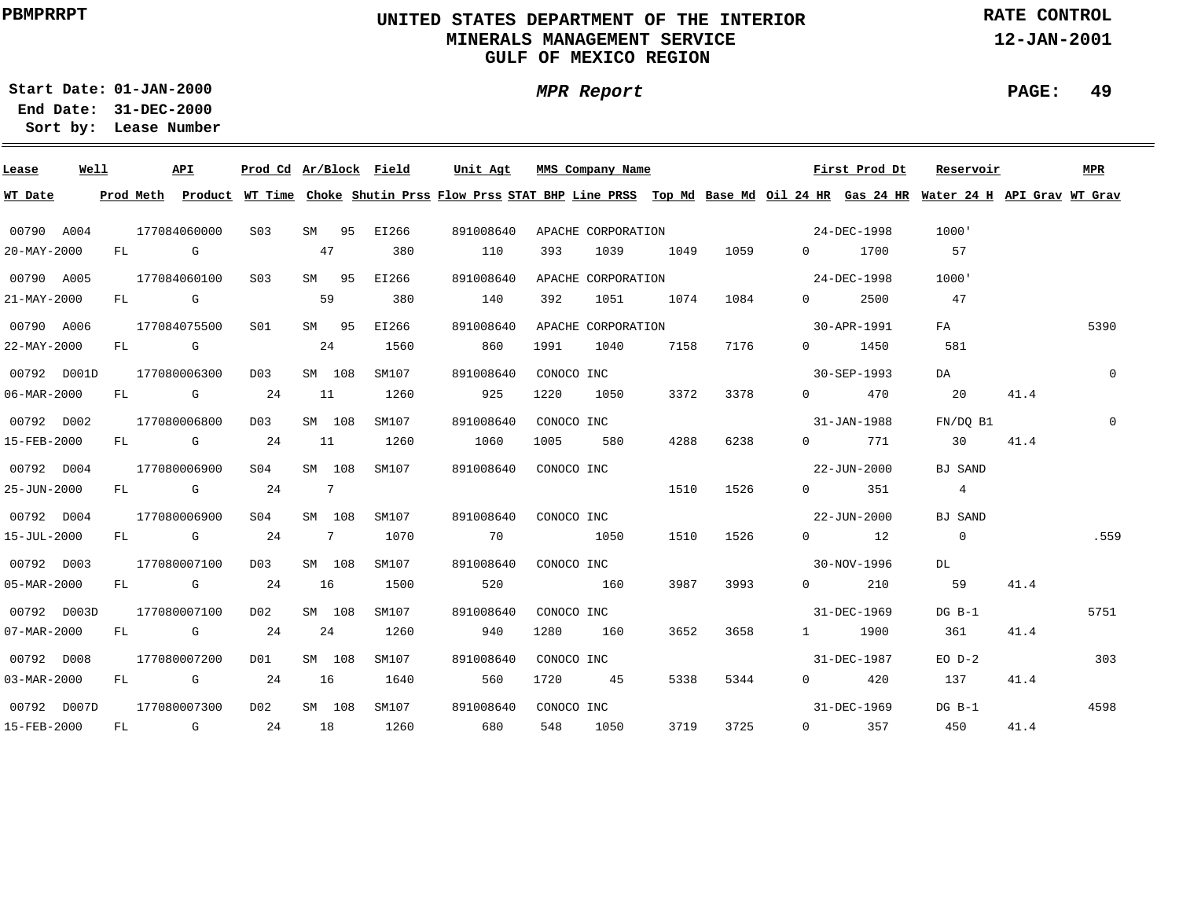# **UNITED STATES DEPARTMENT OF THE INTERIOR MINERALS MANAGEMENT SERVICEGULF OF MEXICO REGION**

**MPR Report**

**RATE CONTROL**

**12-JAN-2001**

**01-JAN-2000Start Date:31-DEC-2000 End Date:** 

**Lease Number Sort by:**

| Lease       | Well |    |                                                                                                                 | API                                                                                                                                                                                                                            | Prod Cd Ar/Block Field |                |        |       | Unit Agt  |     |            | MMS Company Name   |      |           |                   | First Prod Dt         | Reservoir                                                                                                                               |      | MPR            |
|-------------|------|----|-----------------------------------------------------------------------------------------------------------------|--------------------------------------------------------------------------------------------------------------------------------------------------------------------------------------------------------------------------------|------------------------|----------------|--------|-------|-----------|-----|------------|--------------------|------|-----------|-------------------|-----------------------|-----------------------------------------------------------------------------------------------------------------------------------------|------|----------------|
| WT Date     |      |    |                                                                                                                 |                                                                                                                                                                                                                                |                        |                |        |       |           |     |            |                    |      |           |                   |                       | Prod Meth Product WT Time Choke Shutin Prss Flow Prss STAT BHP Line PRSS Top Md Base Md Oil 24 HR Gas 24 HR Water 24 H API Grav WT Grav |      |                |
| 00790 A004  |      |    |                                                                                                                 | 177084060000                                                                                                                                                                                                                   | S <sub>0.3</sub>       | SM             | 95     | EI266 | 891008640 |     |            | APACHE CORPORATION |      |           |                   | 24-DEC-1998           | 1000'                                                                                                                                   |      |                |
| 20-MAY-2000 |      | FL | and the Control Control Control Control Control Control Control Control Control Control Control Control Control |                                                                                                                                                                                                                                |                        | 47             |        | 380   |           | 110 | 393        | 1039               | 1049 | 1059      | $\Omega$          | 1700                  | 57                                                                                                                                      |      |                |
| 00790 A005  |      |    |                                                                                                                 | 177084060100                                                                                                                                                                                                                   | S <sub>03</sub>        |                | SM 95  | EI266 | 891008640 |     |            | APACHE CORPORATION |      |           |                   | 24-DEC-1998           | 1000'                                                                                                                                   |      |                |
| 21-MAY-2000 |      |    | FL G                                                                                                            |                                                                                                                                                                                                                                |                        | 59             |        | 380   |           | 140 | 392        | 1051               | 1074 | 1084      | $\Omega$          | 2500                  | 47                                                                                                                                      |      |                |
| 00790 A006  |      |    |                                                                                                                 | 177084075500                                                                                                                                                                                                                   | SO1                    |                | SM 95  | EI266 | 891008640 |     |            | APACHE CORPORATION |      |           |                   | 30-APR-1991           | FA                                                                                                                                      |      | 5390           |
| 22-MAY-2000 |      |    | FL G                                                                                                            |                                                                                                                                                                                                                                |                        |                | 24     | 1560  |           | 860 | 1991       | 1040               | 7158 | 7176      |                   | $0 \t 1450$           | 581                                                                                                                                     |      |                |
| 00792 D001D |      |    |                                                                                                                 | 177080006300                                                                                                                                                                                                                   | D03                    |                | SM 108 | SM107 | 891008640 |     | CONOCO INC |                    |      |           |                   | 30-SEP-1993           | DA                                                                                                                                      |      | $\mathbf{0}$   |
| 06-MAR-2000 |      | FL |                                                                                                                 | and the Company of the Company of the Company of the Company of the Company of the Company of the Company of the Company of the Company of the Company of the Company of the Company of the Company of the Company of the Comp | 24                     | 11             |        | 1260  |           | 925 | 1220       | 1050               | 3372 | 3378      | $0 \qquad \qquad$ | 470                   | 20                                                                                                                                      | 41.4 |                |
| 00792 D002  |      |    |                                                                                                                 | 177080006800                                                                                                                                                                                                                   | D03                    |                | SM 108 | SM107 | 891008640 |     | CONOCO INC |                    |      |           |                   | 31-JAN-1988           | FN/DO B1                                                                                                                                |      | $\overline{0}$ |
| 15-FEB-2000 |      |    |                                                                                                                 | FL G                                                                                                                                                                                                                           | 24                     | 11             |        | 1260  | 1060      |     | 1005       | 580                | 4288 | 6238      |                   | 0 771                 | 30                                                                                                                                      | 41.4 |                |
| 00792 D004  |      |    |                                                                                                                 | 177080006900                                                                                                                                                                                                                   | SO4                    |                | SM 108 | SM107 | 891008640 |     | CONOCO INC |                    |      |           |                   | 22-JUN-2000           | BJ SAND                                                                                                                                 |      |                |
| 25-JUN-2000 |      |    |                                                                                                                 | FL G                                                                                                                                                                                                                           | 24                     | $\overline{7}$ |        |       |           |     |            |                    | 1510 | 1526      |                   | $0 \t 351$            | $\overline{4}$                                                                                                                          |      |                |
| 00792 D004  |      |    |                                                                                                                 | 177080006900                                                                                                                                                                                                                   | SO4                    |                | SM 108 | SM107 | 891008640 |     | CONOCO INC |                    |      |           |                   | 22-JUN-2000           | BJ SAND                                                                                                                                 |      |                |
| 15-JUL-2000 |      |    |                                                                                                                 | FL G                                                                                                                                                                                                                           | 24                     | $\overline{7}$ |        | 1070  | 70        |     |            | 1050               |      | 1510 1526 |                   | $0 \qquad \qquad 12$  | $\overline{0}$                                                                                                                          |      | .559           |
| 00792 D003  |      |    |                                                                                                                 | 177080007100                                                                                                                                                                                                                   | D03                    |                | SM 108 | SM107 | 891008640 |     |            | CONOCO INC         |      |           |                   | 30-NOV-1996           | DL                                                                                                                                      |      |                |
| 05-MAR-2000 |      |    |                                                                                                                 | FL G                                                                                                                                                                                                                           | 24                     | 16             |        | 1500  |           | 520 |            | 160                | 3987 | 3993      | $\overline{0}$    | 210                   | 59                                                                                                                                      | 41.4 |                |
| 00792 D003D |      |    |                                                                                                                 | 177080007100                                                                                                                                                                                                                   | D02                    |                | SM 108 | SM107 | 891008640 |     |            | CONOCO INC         |      |           |                   | 31-DEC-1969           | $DG$ $B-1$                                                                                                                              |      | 5751           |
| 07-MAR-2000 |      | FL |                                                                                                                 | <b>G</b> G                                                                                                                                                                                                                     | 24                     |                | 24     | 1260  |           | 940 | 1280       | 160                | 3652 | 3658      |                   | 1 1900                | 361                                                                                                                                     | 41.4 |                |
| 00792 D008  |      |    |                                                                                                                 | 177080007200                                                                                                                                                                                                                   | DO1                    |                | SM 108 | SM107 | 891008640 |     | CONOCO INC |                    |      |           |                   | 31-DEC-1987           | $EO$ $D-2$                                                                                                                              |      | 303            |
| 03-MAR-2000 |      | FL |                                                                                                                 | G 24                                                                                                                                                                                                                           |                        | 16             |        | 1640  |           | 560 | 1720       | 45                 | 5338 | 5344      |                   | $0 \qquad \qquad 420$ | 137                                                                                                                                     | 41.4 |                |
| 00792 D007D |      |    |                                                                                                                 | 177080007300                                                                                                                                                                                                                   | D02                    |                | SM 108 | SM107 | 891008640 |     | CONOCO INC |                    |      |           |                   | 31-DEC-1969           | $DG$ $B-1$                                                                                                                              |      | 4598           |
| 15-FEB-2000 |      |    |                                                                                                                 | FL G                                                                                                                                                                                                                           | 24                     | 18             |        | 1260  |           | 680 | 548        | 1050               | 3719 | 3725      |                   | $0 \t 357$            | 450                                                                                                                                     | 41.4 |                |

**PAGE: 49**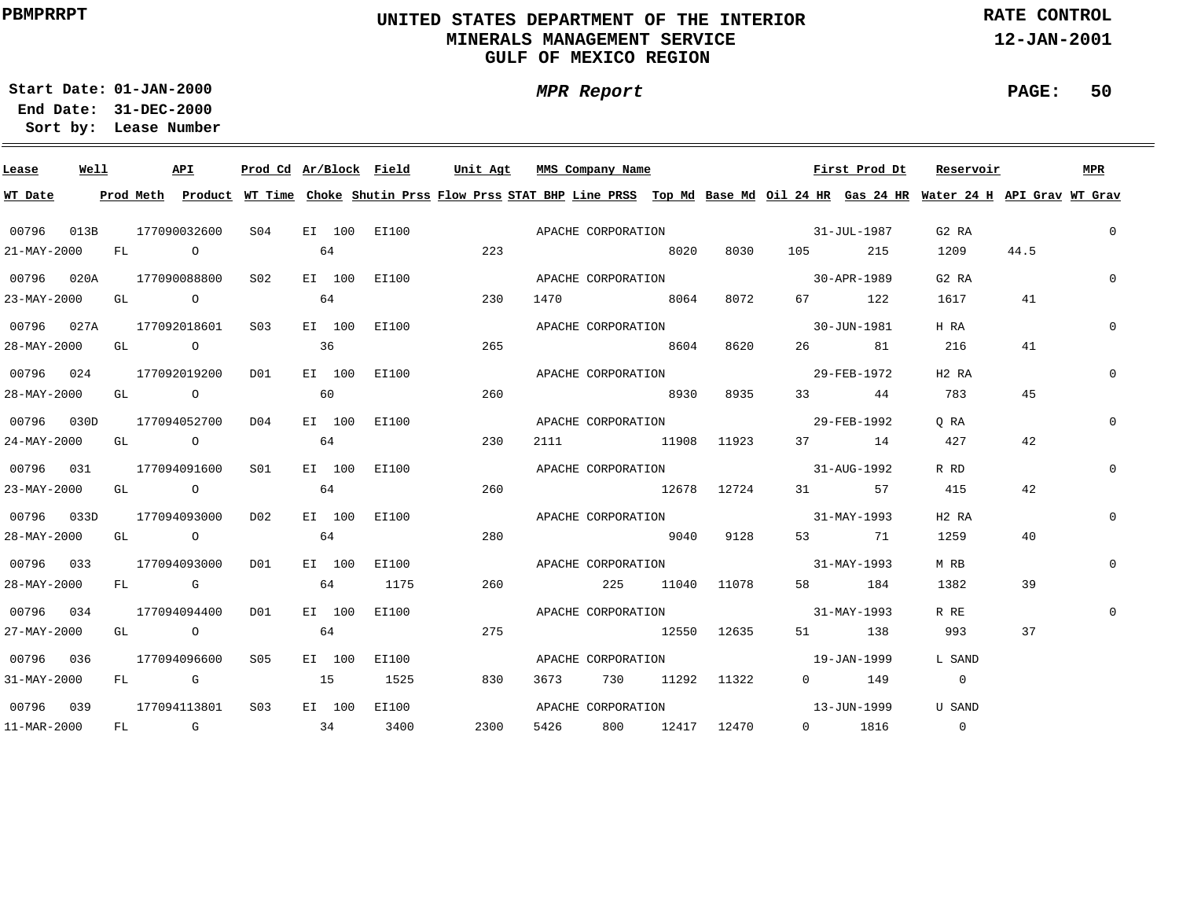# **UNITED STATES DEPARTMENT OF THE INTERIOR MINERALS MANAGEMENT SERVICEGULF OF MEXICO REGION**

**MPR Report**

**RATE CONTROL**

**12-JAN-2001**

**PAGE: 50**

**01-JAN-2000Start Date:31-DEC-2000 End Date:** 

| Lease                    | Well |  | API                                                     |                  |    |        | Prod Cd Ar/Block Field | Unit Agt | MMS Company Name   |                    |                  |                                                             | First Prod Dt     | Reservoir                                                                                                                               |      | MPR          |
|--------------------------|------|--|---------------------------------------------------------|------------------|----|--------|------------------------|----------|--------------------|--------------------|------------------|-------------------------------------------------------------|-------------------|-----------------------------------------------------------------------------------------------------------------------------------------|------|--------------|
| WT Date                  |      |  |                                                         |                  |    |        |                        |          |                    |                    |                  |                                                             |                   | Prod Meth Product WT Time Choke Shutin Prss Flow Prss STAT BHP Line PRSS Top Md Base Md Oil 24 HR Gas 24 HR Water 24 H API Grav WT Grav |      |              |
| 00796 013B 177090032600  |      |  |                                                         |                  |    |        |                        |          |                    |                    |                  | S04 EI 100 EI100 CORPORATION APACHE CORPORATION 31-JUL-1987 |                   | G2 RA                                                                                                                                   |      | $\mathbf{0}$ |
| $21 - \text{MAX} - 2000$ |      |  | FL O                                                    |                  | 64 |        |                        | 223      |                    |                    |                  | 8020 8030 105 215                                           |                   | 1209                                                                                                                                    | 44.5 |              |
| 00796 020A 177090088800  |      |  |                                                         | S02              |    |        | EI 100 EI100           |          |                    |                    |                  | APACHE CORPORATION 30-APR-1989                              |                   | G2 RA                                                                                                                                   |      | $\Omega$     |
| 23-MAY-2000 GL O         |      |  |                                                         |                  | 64 |        |                        | 230      |                    |                    | 1470 8064 8072   |                                                             | 67 122            | 1617                                                                                                                                    | 41   |              |
|                          |      |  | 00796 027A 177092018601 S03                             |                  |    |        | EI 100 EI100           |          |                    |                    |                  | APACHE CORPORATION 30-JUN-1981                              |                   | H RA                                                                                                                                    |      | $\Omega$     |
| 28-MAY-2000              |      |  | GL $\qquad \qquad \mathsf{O} \qquad \qquad \mathsf{36}$ |                  |    |        |                        | 265      |                    | 8604               | 8620             |                                                             | 26 81             | 216                                                                                                                                     | 41   |              |
| 00796 024                |      |  | 177092019200                                            | D01              |    |        | EI 100 EI100           |          | APACHE CORPORATION |                    |                  |                                                             | 29-FEB-1972       | H <sub>2</sub> R <sub>A</sub>                                                                                                           |      | $\Omega$     |
| 28-MAY-2000              |      |  | $GL \qquad \qquad O \qquad \qquad \qquad 60$            |                  |    |        |                        | 260      |                    | 8930               | 8935             |                                                             | 33 44             | 783                                                                                                                                     | 45   |              |
| 00796 030D               |      |  | 177094052700 D04                                        |                  |    |        | EI 100 EI100           |          |                    |                    |                  | APACHE CORPORATION 29-FEB-1992                              |                   | O RA                                                                                                                                    |      | $\mathbf{0}$ |
| 24-MAY-2000              |      |  | GL O                                                    |                  | 64 |        |                        | 230      |                    |                    | 2111 11908 11923 |                                                             | 37 14             | 427                                                                                                                                     | 42   |              |
| 00796 031                |      |  | 177094091600                                            | S01 <b>S</b>     |    |        | EI 100 EI100           |          |                    |                    |                  | APACHE CORPORATION 31-AUG-1992                              |                   | R RD                                                                                                                                    |      | $\Omega$     |
| 23-MAY-2000              |      |  | GL O                                                    |                  | 64 |        |                        | 260      |                    |                    | 12678 12724      |                                                             | 31 57             | 415                                                                                                                                     | 42   |              |
| 00796 033D               |      |  | 177094093000                                            | DO 2             |    | EI 100 | EI100                  |          |                    |                    |                  | APACHE CORPORATION 31-MAY-1993                              |                   | H <sub>2</sub> R <sub>A</sub>                                                                                                           |      | $\Omega$     |
| 28-MAY-2000              |      |  | GL O                                                    |                  | 64 |        |                        | 280      |                    | 9040 9128          |                  |                                                             | 53 71             | 1259                                                                                                                                    | 40   |              |
| 00796 033                |      |  | 177094093000                                            | D01              |    | EI 100 | EI100                  |          |                    |                    |                  | APACHE CORPORATION 31-MAY-1993                              |                   | M RB                                                                                                                                    |      | $\Omega$     |
| 28-MAY-2000              |      |  | FL G                                                    |                  |    | 64     | 1175                   | 260      |                    |                    | 225 11040 11078  |                                                             | 58 184            | 1382                                                                                                                                    | 39   |              |
| 00796 034                |      |  | 177094094400                                            | D01              |    | EI 100 | EI100                  |          |                    |                    |                  | APACHE CORPORATION 31-MAY-1993                              |                   | R RE                                                                                                                                    |      | $\mathbf{0}$ |
| 27-MAY-2000              |      |  | GL O                                                    |                  | 64 |        |                        | 275      |                    |                    | 12550 12635      |                                                             | 51 138            | 993                                                                                                                                     | 37   |              |
| 00796 036                |      |  | 177094096600                                            | S05              |    | EI 100 | EI100                  |          |                    | APACHE CORPORATION |                  | $19 - JAN - 1999$                                           |                   | L SAND                                                                                                                                  |      |              |
| 31-MAY-2000              |      |  | FL G                                                    | 15 1525          |    |        |                        | 830      | 3673               |                    | 730 11292 11322  |                                                             | $0$ 149           | $\overline{0}$                                                                                                                          |      |              |
| 00796 039                |      |  | 177094113801                                            | S <sub>0.3</sub> |    |        | EI 100 EI100           |          |                    | APACHE CORPORATION |                  |                                                             | $13 - JUN - 1999$ | U SAND                                                                                                                                  |      |              |
| 11-MAR-2000              |      |  | $FL$ G 34                                               |                  |    |        | 3400                   | 2300     | 5426               |                    |                  | 800 12417 12470 0 1816                                      |                   | $\sim$ 0                                                                                                                                |      |              |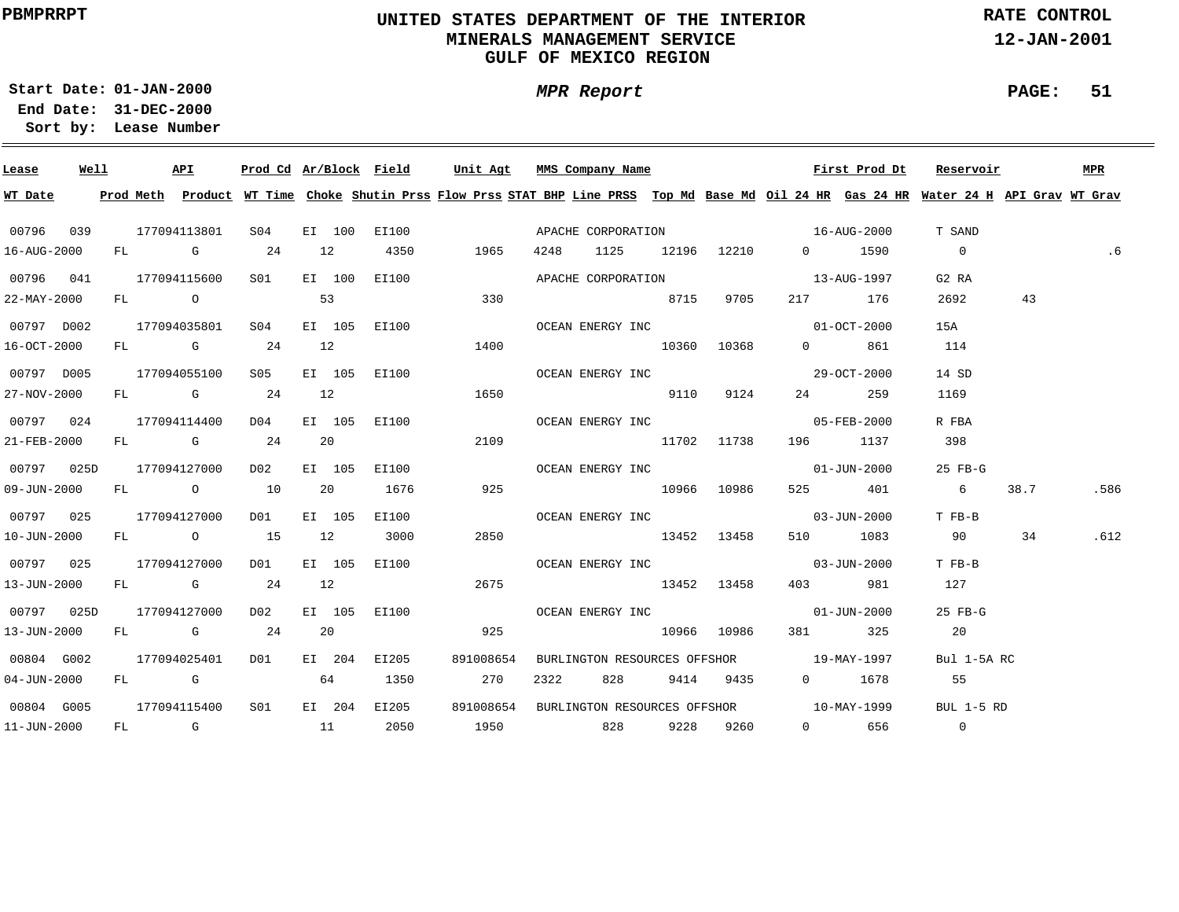# **UNITED STATES DEPARTMENT OF THE INTERIOR MINERALS MANAGEMENT SERVICEGULF OF MEXICO REGION**

**MPR Report**

**RATE CONTROL**

**12-JAN-2001**

#### **PAGE: 51**

**31-DEC-2000 End Date: Lease Number Sort by:**

**01-JAN-2000Start Date:**

| Lease       | Well |  | API                       |                                          |        | Prod Cd Ar/Block Field                        | Unit Agt  |      |  | MMS Company Name |                              | First Prod Dt                                                                                                  | Reservoir                                                                                                                               |      | <b>MPR</b> |
|-------------|------|--|---------------------------|------------------------------------------|--------|-----------------------------------------------|-----------|------|--|------------------|------------------------------|----------------------------------------------------------------------------------------------------------------|-----------------------------------------------------------------------------------------------------------------------------------------|------|------------|
| WT Date     |      |  |                           |                                          |        |                                               |           |      |  |                  |                              |                                                                                                                | Prod Meth Product WT Time Choke Shutin Prss Flow Prss STAT BHP Line PRSS Top Md Base Md Oil 24 HR Gas 24 HR Water 24 H API Grav WT Grav |      |            |
|             |      |  |                           | 00796 039 177094113801 S04               |        |                                               |           |      |  |                  |                              |                                                                                                                | T SAND                                                                                                                                  |      |            |
| 16-AUG-2000 |      |  | FL G 24                   |                                          |        | 12 4350 1965                                  |           |      |  |                  | 4248 1125 12196 12210 0 1590 |                                                                                                                | $\overline{0}$                                                                                                                          |      | .6         |
|             |      |  |                           |                                          |        | 00796  041  177094115600  S01  EI  100  EI100 |           |      |  |                  |                              | APACHE CORPORATION 5 22 22 23 23 24 25 26 27 28 29 20 21 22 23 24 25 26 27 28 29 20 21 22 23 24 25 26 27 27 27 | G2 RA                                                                                                                                   |      |            |
| 22-MAY-2000 |      |  |                           | FL 0 53                                  |        |                                               | 330       |      |  | 8715 9705        |                              | 217 176                                                                                                        | 2692                                                                                                                                    | 43   |            |
|             |      |  |                           | 00797 D002 177094035801 S04              |        | EI 105 EI100                                  |           |      |  |                  | OCEAN ENERGY INC 01-OCT-2000 |                                                                                                                | 15A                                                                                                                                     |      |            |
| 16-OCT-2000 |      |  |                           |                                          |        | FL G 24 12                                    | 1400      |      |  |                  | 10360 10368 0 861            |                                                                                                                | 114                                                                                                                                     |      |            |
| 00797 D005  |      |  |                           |                                          |        | 177094055100 S05 EI 105 EI100                 |           |      |  |                  | OCEAN ENERGY INC 29-OCT-2000 |                                                                                                                | 14 SD                                                                                                                                   |      |            |
| 27-NOV-2000 |      |  |                           |                                          |        | FL G 24 12 1650                               |           |      |  | 9110 9124        |                              | 24 259                                                                                                         | 1169                                                                                                                                    |      |            |
| 00797 024   |      |  |                           |                                          |        | 177094114400 D04 EI 105 EI100                 |           |      |  |                  | OCEAN ENERGY INC 65-FEB-2000 |                                                                                                                | R FBA                                                                                                                                   |      |            |
| 21-FEB-2000 |      |  |                           | FL G 24 20                               |        |                                               | 2109      |      |  | 11702 11738      |                              | 196 1137                                                                                                       | 398                                                                                                                                     |      |            |
|             |      |  | 00797  025D  177094127000 | D02                                      |        | EI 105 EI100                                  |           |      |  |                  | OCEAN ENERGY INC 01-JUN-2000 |                                                                                                                | 25 FB-G                                                                                                                                 |      |            |
|             |      |  |                           | 09-JUN-2000 FL 0 10 20 1676              |        |                                               | 925       |      |  | 10966 10986      |                              | 525 401                                                                                                        | $6\overline{6}$                                                                                                                         | 38.7 | .586       |
|             |      |  | 00797 025 177094127000    | DO1                                      | EI 105 | EI100                                         |           |      |  |                  | OCEAN ENERGY INC 03-JUN-2000 |                                                                                                                | T FB-B                                                                                                                                  |      |            |
| 10-JUN-2000 |      |  |                           | FL 0 15 12 3000                          |        |                                               | 2850      |      |  | 13452 13458      |                              | 510 1083                                                                                                       | 90                                                                                                                                      | 34   | .612       |
|             |      |  | 00797 025 177094127000    |                                          |        | D01 EI 105 EI100                              |           |      |  |                  | OCEAN ENERGY INC 63-JUN-2000 |                                                                                                                | T FB-B                                                                                                                                  |      |            |
| 13-JUN-2000 |      |  |                           | FL G 24 12                               |        |                                               | 2675      |      |  | 13452 13458      |                              | 403 981                                                                                                        | 127                                                                                                                                     |      |            |
|             |      |  |                           |                                          |        | 00797 025D 177094127000 D02 EI 105 EI100      |           |      |  |                  |                              | OCEAN ENERGY INC<br>01-JUN-2000                                                                                | $25$ FB-G                                                                                                                               |      |            |
| 13-JUN-2000 |      |  |                           | FL G 24 20                               |        |                                               | 925       |      |  | 10966 10986      |                              | 381 325                                                                                                        | 20                                                                                                                                      |      |            |
|             |      |  |                           | 00804 G002 177094025401 D01 EI 204 EI205 |        |                                               | 891008654 |      |  |                  |                              | BURLINGTON RESOURCES OFFSHOR 19-MAY-1997                                                                       | Bul 1-5A RC                                                                                                                             |      |            |
| 04-JUN-2000 |      |  |                           | FL G 64 1350                             |        |                                               | 270       | 2322 |  |                  |                              | 828 9414 9435 0 1678 55                                                                                        |                                                                                                                                         |      |            |
|             |      |  |                           | 00804 G005 177094115400 S01              |        | EI 204 EI205                                  |           |      |  |                  |                              | 891008654 BURLINGTON RESOURCES OFFSHOR 10-MAY-1999                                                             | BUL $1-5$ RD                                                                                                                            |      |            |
| 11-JUN-2000 |      |  |                           |                                          |        |                                               |           |      |  |                  |                              | FL G 11 2050 1950 828 9228 9260 0 656 0                                                                        |                                                                                                                                         |      |            |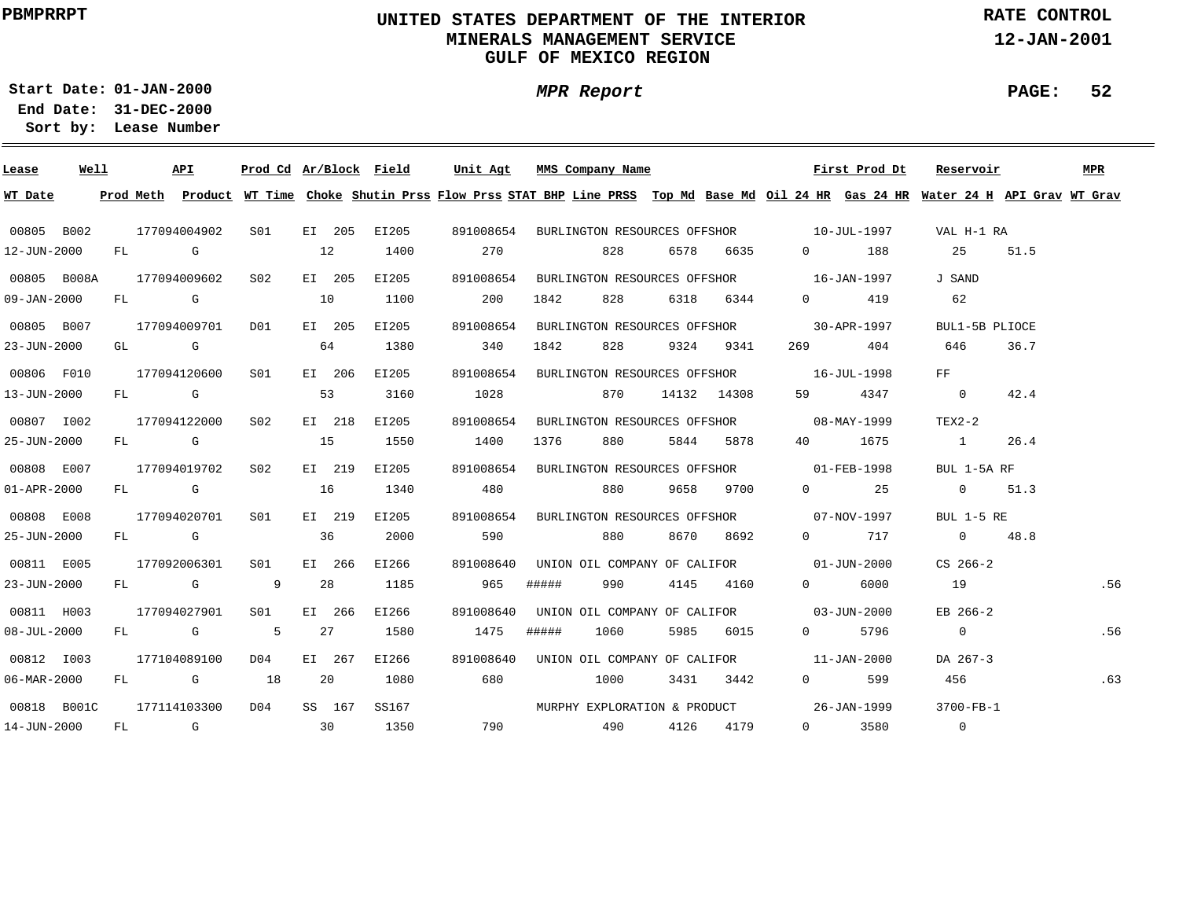# **UNITED STATES DEPARTMENT OF THE INTERIOR MINERALS MANAGEMENT SERVICEGULF OF MEXICO REGION**

**MPR Report**

**RATE CONTROL**

**12-JAN-2001**

**PAGE: 52**

**01-JAN-2000Start Date:31-DEC-2000 End Date:** 

| Lease             | Well |      | API          | Prod Cd Ar/Block Field |    |        |       | Unit Agt                                           |       |      | MMS Company Name  |      |               |                                                                                                                | First Prod Dt                | Reservoir                                                                                                                               |      | <b>MPR</b> |
|-------------------|------|------|--------------|------------------------|----|--------|-------|----------------------------------------------------|-------|------|-------------------|------|---------------|----------------------------------------------------------------------------------------------------------------|------------------------------|-----------------------------------------------------------------------------------------------------------------------------------------|------|------------|
| WT Date           |      |      |              |                        |    |        |       |                                                    |       |      |                   |      |               |                                                                                                                |                              | Prod Meth Product WT Time Choke Shutin Prss Flow Prss STAT BHP Line PRSS Top Md Base Md Oil 24 HR Gas 24 HR Water 24 H API Grav WT Grav |      |            |
| 00805 B002        |      |      | 177094004902 | S01 EI 205             |    |        | EI205 | 891008654 BURLINGTON RESOURCES OFFSHOR 10-JUL-1997 |       |      |                   |      |               |                                                                                                                |                              | VAL H-1 RA                                                                                                                              |      |            |
| 12-JUN-2000       |      | FL G |              |                        | 12 |        | 1400  | 270                                                |       |      | 828               | 6578 | 6635          |                                                                                                                | 188<br>$\Omega$ and $\Omega$ | 25                                                                                                                                      | 51.5 |            |
| 00805 B008A       |      |      | 177094009602 | SO <sub>2</sub>        |    | EI 205 | EI205 | 891008654                                          |       |      |                   |      |               | BURLINGTON RESOURCES OFFSHOR 16-JAN-1997                                                                       |                              | J SAND                                                                                                                                  |      |            |
| $09 - JAN - 2000$ |      |      | FL G         |                        | 10 |        | 1100  | 200                                                |       | 1842 | 828               |      | 6318 6344     |                                                                                                                | $0 \qquad \qquad 419$        | 62                                                                                                                                      |      |            |
| 00805 B007        |      |      | 177094009701 | DO1                    |    | EI 205 | EI205 | 891008654                                          |       |      |                   |      |               | BURLINGTON RESOURCES OFFSHOR 30-APR-1997                                                                       |                              | BUL1-5B PLIOCE                                                                                                                          |      |            |
| 23-JUN-2000       |      | GL G |              |                        | 64 |        | 1380  | 340                                                |       | 1842 | 828               |      | 9324 9341     | 269 — 269 — 269 — 269 — 269 — 269 — 269 — 269 — 269 — 269 — 269 — 269 — 269 — 269 — 269 — 269 — 269 — 269 — 26 | 404                          | 646                                                                                                                                     | 36.7 |            |
| 00806 F010        |      |      | 177094120600 | S01                    |    | EI 206 | EI205 | 891008654                                          |       |      |                   |      |               | BURLINGTON RESOURCES OFFSHOR 16-JUL-1998                                                                       |                              | $_{\rm FF}$                                                                                                                             |      |            |
| 13-JUN-2000       |      |      | $FL$ G       | 53                     |    |        | 3160  | 1028                                               |       |      | 870 —             |      | 14132 14308   | 59 — 1                                                                                                         | 4347                         | $\sim$ 0                                                                                                                                | 42.4 |            |
| 00807 1002        |      |      | 177094122000 | S02                    |    | EI 218 | EI205 | 891008654                                          |       |      |                   |      |               | BURLINGTON RESOURCES OFFSHOR 08-MAY-1999                                                                       |                              | $TEX2-2$                                                                                                                                |      |            |
| 25-JUN-2000       |      |      | FL G         |                        | 15 |        | 1550  | 1400                                               |       | 1376 | 880 — 18          | 5844 | 5878          |                                                                                                                | 40 1675                      | $\sim$ 1                                                                                                                                | 26.4 |            |
| 00808 E007        |      |      | 177094019702 | S02                    |    | EI 219 | EI205 | 891008654                                          |       |      |                   |      |               | BURLINGTON RESOURCES OFFSHOR 01-FEB-1998                                                                       |                              | BUL 1-5A RF                                                                                                                             |      |            |
| $01 - APR - 2000$ |      |      | FL G         |                        | 16 |        | 1340  | 480                                                |       |      |                   |      | 880 9658 9700 |                                                                                                                | $0 \qquad \qquad 25$         | $0 \t 51.3$                                                                                                                             |      |            |
| 00808 E008        |      |      | 177094020701 | SO1                    |    | EI 219 | EI205 | 891008654                                          |       |      |                   |      |               | BURLINGTON RESOURCES OFFSHOR 07-NOV-1997                                                                       |                              | BUL $1-5$ RE                                                                                                                            |      |            |
| 25-JUN-2000       |      |      | FL G         |                        | 36 |        | 2000  | 590                                                |       |      | 880 — 18          |      | 8670 8692     |                                                                                                                | $0 \t 717$                   | 0 $48.8$                                                                                                                                |      |            |
| 00811 E005        |      |      | 177092006301 | SO1                    |    | EI 266 | EI266 | 891008640                                          |       |      |                   |      |               | UNION OIL COMPANY OF CALIFOR 01-JUN-2000                                                                       |                              | $CS$ 266-2                                                                                                                              |      |            |
| 23-JUN-2000       |      |      |              | FL G 9                 |    | 28     | 1185  | 965                                                | ##### |      | 990               |      | 4145 4160     |                                                                                                                | 6000<br>$\Omega$             | 19                                                                                                                                      |      | .56        |
| 00811 H003        |      |      | 177094027901 | S01 EI 266             |    |        | EI266 | 891008640                                          |       |      |                   |      |               | UNION OIL COMPANY OF CALIFOR 03-JUN-2000                                                                       |                              | EB 266-2                                                                                                                                |      |            |
| $08 - JUL - 2000$ |      |      | FL G         | $\overline{5}$         |    | 27     | 1580  | 1475                                               | ##### |      | 1060              | 5985 | 6015          |                                                                                                                | 5796<br>$0 \qquad \qquad$    | $\overline{0}$                                                                                                                          |      | .56        |
| 00812 1003        |      |      | 177104089100 | D04                    |    | EI 267 | EI266 | 891008640 UNION OIL COMPANY OF CALIFOR 11-JAN-2000 |       |      |                   |      |               |                                                                                                                |                              | DA 267-3                                                                                                                                |      |            |
| $06 - MAR - 2000$ |      |      | FL G 18      |                        |    | 20     | 1080  | 680                                                |       |      | 1000              |      | 3431 3442     |                                                                                                                | $\overline{0}$<br>599        | 456                                                                                                                                     |      | .63        |
| 00818 B001C       |      |      | 177114103300 | D <sub>0</sub> 4       |    | SS 167 | SS167 |                                                    |       |      |                   |      |               | MURPHY EXPLORATION & PRODUCT 26-JAN-1999                                                                       |                              | 3700-FB-1                                                                                                                               |      |            |
| 14-JUN-2000       |      |      |              | FL G 30                |    |        | 1350  |                                                    |       |      | 790 490 4126 4179 |      |               |                                                                                                                | $0 \qquad \qquad$<br>3580    | $\overline{0}$                                                                                                                          |      |            |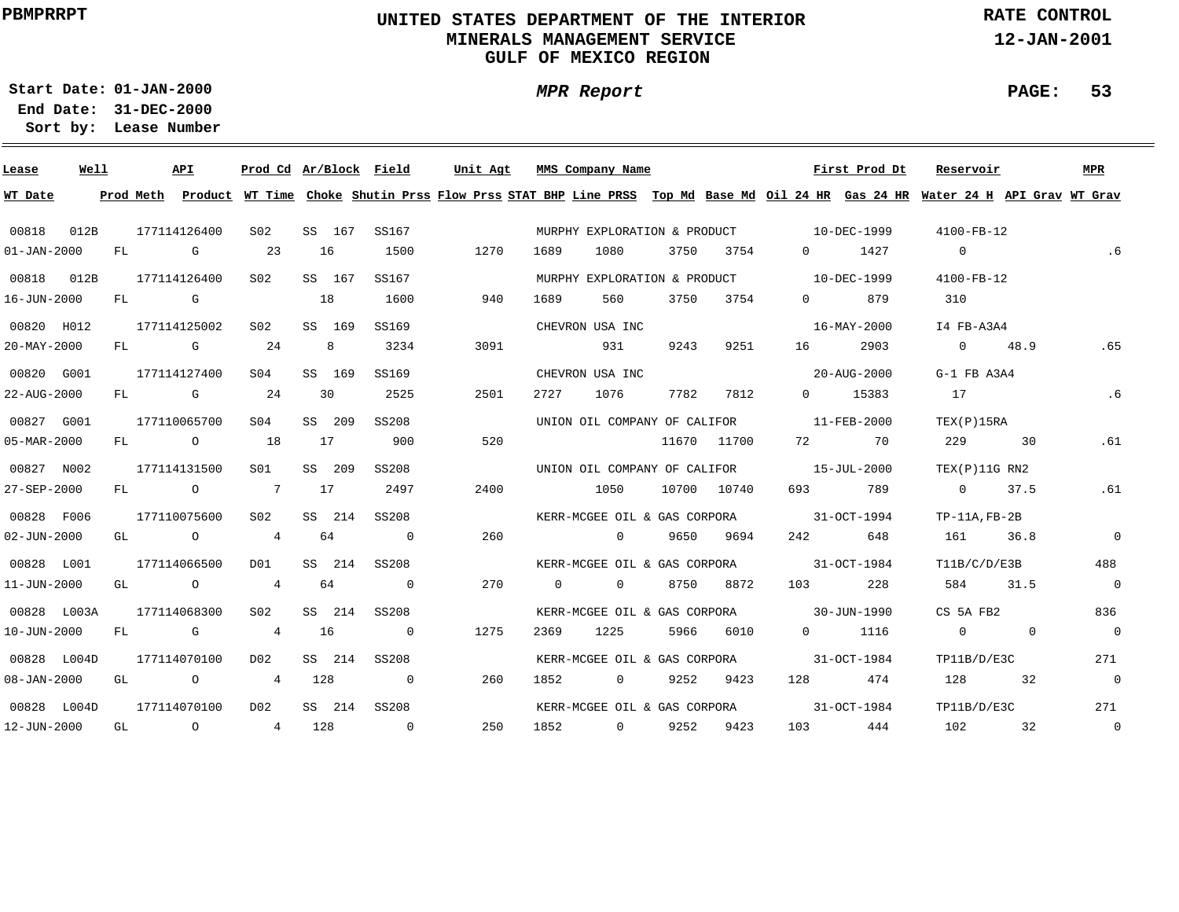# **UNITED STATES DEPARTMENT OF THE INTERIOR MINERALS MANAGEMENT SERVICEGULF OF MEXICO REGION**

**MPR Report**

**RATE CONTROL**

**12-JAN-2001**

**PAGE: 53**

**01-JAN-2000Start Date:**

| Lease             | Well |    |                         | API            | Prod Cd Ar/Block Field |     |        |                | Unit Agt |      |          | MMS Company Name             |      |             |                                          | First Prod Dt                            | Reservoir                                                                                                                     |             | MPR            |
|-------------------|------|----|-------------------------|----------------|------------------------|-----|--------|----------------|----------|------|----------|------------------------------|------|-------------|------------------------------------------|------------------------------------------|-------------------------------------------------------------------------------------------------------------------------------|-------------|----------------|
| WT Date           |      |    | Prod Meth               |                |                        |     |        |                |          |      |          |                              |      |             |                                          |                                          | Product WT Time Choke Shutin Prss Flow Prss STAT BHP Line PRSS Top Md Base Md Oil 24 HR Gas 24 HR Water 24 H API Grav WT Grav |             |                |
| 00818             | 012B |    |                         | 177114126400   | S <sub>02</sub>        |     | SS 167 | SS167          |          |      |          |                              |      |             |                                          | MURPHY EXPLORATION & PRODUCT 10-DEC-1999 | 4100-FB-12                                                                                                                    |             |                |
| $01 - JAN - 2000$ |      | FL |                         | $\mathbb G$    | 23                     | 16  |        | 1500           | 1270     |      | 1689     | 1080                         | 3750 | 3754        | $\Omega$                                 | 1427                                     | $\overline{0}$                                                                                                                |             | .6             |
| 00818 012B        |      |    |                         | 177114126400   | S <sub>02</sub>        |     | SS 167 | SS167          |          |      |          |                              |      |             | MURPHY EXPLORATION & PRODUCT 10-DEC-1999 |                                          | $4100 - FB - 12$                                                                                                              |             |                |
| 16-JUN-2000       |      | FL | $\overline{\mathbf{G}}$ |                |                        | 18  |        | 1600           |          | 940  | 1689     | 560                          | 3750 | 3754        | $0 \qquad \qquad$                        | 879                                      | 310                                                                                                                           |             |                |
| 00820 H012        |      |    |                         | 177114125002   | S <sub>02</sub>        |     | SS 169 | SS169          |          |      |          | CHEVRON USA INC              |      |             |                                          | 16-MAY-2000                              | I4 FB-A3A4                                                                                                                    |             |                |
| $20 - MAX - 2000$ |      | FL |                         | $\mathbf G$    | 24                     |     | 8      | 3234           |          | 3091 |          | 931                          | 9243 | 9251        |                                          | 2903                                     |                                                                                                                               | $0 \t 48.9$ | .65            |
| 00820 G001        |      |    |                         | 177114127400   | S <sub>04</sub>        |     | SS 169 | SS169          |          |      |          | CHEVRON USA INC              |      |             |                                          | 20-AUG-2000                              | $G-1$ FB A3A4                                                                                                                 |             |                |
| 22-AUG-2000       |      | FL |                         | $\mathbf G$    | 24                     | 30  |        | 2525           | 2501     |      | 2727     | 1076                         | 7782 | 7812        |                                          | 0 15383                                  | 17                                                                                                                            |             | .6             |
| 00827 G001        |      |    |                         | 177110065700   | S <sub>04</sub>        |     | SS 209 | SS208          |          |      |          |                              |      |             | UNION OIL COMPANY OF CALIFOR 11-FEB-2000 |                                          | TEX(P)15RA                                                                                                                    |             |                |
| 05-MAR-2000       |      | FL |                         | $\overline{O}$ | 18                     | 17  |        | 900            |          | 520  |          |                              |      | 11670 11700 | 72 — 20                                  | 70                                       | 229                                                                                                                           | 30          | .61            |
| 00827 N002        |      |    |                         | 177114131500   | S01                    |     | SS 209 | SS208          |          |      |          |                              |      |             | UNION OIL COMPANY OF CALIFOR 15-JUL-2000 |                                          | TEX(P)11G RN2                                                                                                                 |             |                |
| 27-SEP-2000       |      |    |                         | FL O           | $\overline{7}$         | 17  |        | 2497           | 2400     |      |          | 1050                         |      | 10700 10740 | 693 — 100                                | 789                                      | 0 37.5                                                                                                                        |             | .61            |
| 00828 F006        |      |    |                         | 177110075600   | S02                    |     | SS 214 | SS208          |          |      |          |                              |      |             | KERR-MCGEE OIL & GAS CORPORA 31-OCT-1994 |                                          | $TP-11A$ , $FB-2B$                                                                                                            |             |                |
| $02 - JUN - 2000$ |      |    |                         | GL O           | 4                      | 64  |        | $\overline{0}$ |          | 260  |          | $\Omega$                     |      | 9650 9694   | 242                                      | 648                                      | 161                                                                                                                           | 36.8        | $\Omega$       |
| 00828 L001        |      |    |                         | 177114066500   | DO1                    |     | SS 214 | SS208          |          |      |          |                              |      |             | KERR-MCGEE OIL & GAS CORPORA 31-OCT-1984 |                                          | T11B/C/D/E3B                                                                                                                  |             | 488            |
| 11-JUN-2000       |      |    |                         | GL O           | $\overline{4}$         | 64  |        | $\overline{0}$ |          | 270  | $\Omega$ | $\overline{0}$               |      | 8750 8872   | 103                                      | 228                                      | 584                                                                                                                           | 31.5        | $\overline{0}$ |
| 00828 L003A       |      |    |                         | 177114068300   | S <sub>02</sub>        |     | SS 214 | SS208          |          |      |          |                              |      |             | KERR-MCGEE OIL & GAS CORPORA 30-JUN-1990 |                                          | CS 5A FB2                                                                                                                     |             | 836            |
| 10-JUN-2000       |      | FL |                         | $\mathbb G$    | $\overline{4}$         | 16  |        | $\overline{0}$ | 1275     |      | 2369     | 1225                         | 5966 | 6010        | $\Omega$                                 | 1116                                     | $\Omega$                                                                                                                      | $\Omega$    | $\overline{0}$ |
| 00828 L004D       |      |    |                         | 177114070100   | D02                    |     | SS 214 | SS208          |          |      |          | KERR-MCGEE OIL & GAS CORPORA |      |             |                                          | 31-OCT-1984                              | TP11B/D/E3C                                                                                                                   |             | 271            |
| $08 - JAN - 2000$ |      | GL |                         | $\overline{O}$ | $\overline{4}$         | 128 |        | $\overline{0}$ |          | 260  | 1852     | $\overline{0}$               | 9252 | 9423        | 128                                      | 474                                      | 128                                                                                                                           | 32          | $\overline{0}$ |
| 00828 L004D       |      |    |                         | 177114070100   | D <sub>02</sub>        |     | SS 214 | SS208          |          |      |          | KERR-MCGEE OIL & GAS CORPORA |      |             |                                          | 31-OCT-1984                              | TP11B/D/E3C                                                                                                                   |             | 271            |
| 12-JUN-2000       |      | GL |                         | $\overline{O}$ | $4\overline{ }$        | 128 |        | $\overline{0}$ |          | 250  | 1852     | $\overline{0}$               | 9252 | 9423        | 103                                      | 444                                      | 102                                                                                                                           | 32          | $\overline{0}$ |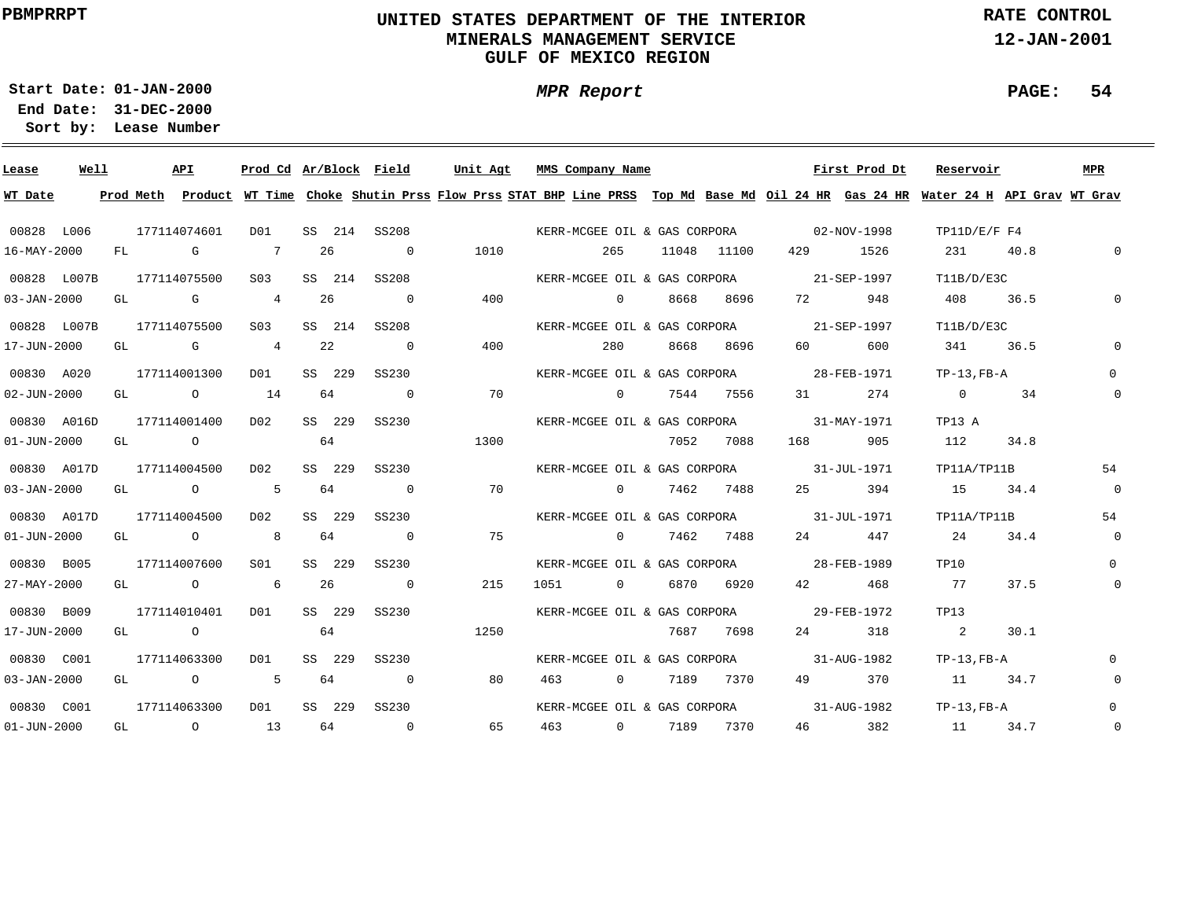# **UNITED STATES DEPARTMENT OF THE INTERIOR MINERALS MANAGEMENT SERVICEGULF OF MEXICO REGION**

**MPR Report**

**RATE CONTROL**

**12-JAN-2001**

**PAGE: 54**

**01-JAN-2000Start Date:**

| Lease             | Well |    | API          |                                                                                                                                                                                                                                                                                                                                    |                 |    |        | Prod Cd Ar/Block Field   | Unit Agt                                                                                                                                | MMS Company Name |                |      |             |                                          | First Prod Dt | Reservoir        |      | MPR         |
|-------------------|------|----|--------------|------------------------------------------------------------------------------------------------------------------------------------------------------------------------------------------------------------------------------------------------------------------------------------------------------------------------------------|-----------------|----|--------|--------------------------|-----------------------------------------------------------------------------------------------------------------------------------------|------------------|----------------|------|-------------|------------------------------------------|---------------|------------------|------|-------------|
| WT Date           |      |    |              |                                                                                                                                                                                                                                                                                                                                    |                 |    |        |                          | Prod Meth Product WT Time Choke Shutin Prss Flow Prss STAT BHP Line PRSS Top Md Base Md Oil 24 HR Gas 24 HR Water 24 H API Grav WT Grav |                  |                |      |             |                                          |               |                  |      |             |
| 00828 L006        |      |    | 177114074601 |                                                                                                                                                                                                                                                                                                                                    | DO1             |    |        | SS 214 SS208             | KERR-MCGEE OIL & GAS CORPORA 02-NOV-1998                                                                                                |                  |                |      |             |                                          |               | TP11D/E/F F4     |      |             |
| 16-MAY-2000       |      |    | FL G         |                                                                                                                                                                                                                                                                                                                                    | $\overline{7}$  | 26 |        | $\overline{0}$           | 1010                                                                                                                                    |                  | 265            |      | 11048 11100 |                                          | 429 1526      | 231              | 40.8 | $\Omega$    |
| 00828 L007B       |      |    | 177114075500 |                                                                                                                                                                                                                                                                                                                                    | S <sub>03</sub> |    | SS 214 | SS208                    |                                                                                                                                         |                  |                |      |             | KERR-MCGEE OIL & GAS CORPORA 21-SEP-1997 |               | T11B/D/E3C       |      |             |
| $03 - JAN - 2000$ |      |    | GL G         |                                                                                                                                                                                                                                                                                                                                    | 4               | 26 |        | $\overline{\phantom{0}}$ | 400                                                                                                                                     |                  | $\overline{0}$ | 8668 | 8696        | 72 — 20                                  | 948           | 408 36.5         |      | $\Omega$    |
| 00828 L007B       |      |    | 177114075500 |                                                                                                                                                                                                                                                                                                                                    | S03             |    | SS 214 | SS208                    |                                                                                                                                         |                  |                |      |             | KERR-MCGEE OIL & GAS CORPORA 21-SEP-1997 |               | T11B/D/E3C       |      |             |
| 17-JUN-2000       |      |    | GL G         |                                                                                                                                                                                                                                                                                                                                    | $\overline{4}$  | 22 |        | $\overline{0}$           | 400                                                                                                                                     |                  | 280            |      | 8668 8696   | 60 — 10                                  | 600           | 341 36.5         |      |             |
| 00830 A020        |      |    | 177114001300 |                                                                                                                                                                                                                                                                                                                                    | D01             |    | SS 229 | SS230                    |                                                                                                                                         |                  |                |      |             | KERR-MCGEE OIL & GAS CORPORA 28-FEB-1971 |               | $TP-13$ , $FB-A$ |      | $\Omega$    |
| $02 - JUN - 2000$ |      |    |              | GL $\qquad \qquad 0 \qquad \qquad 14$                                                                                                                                                                                                                                                                                              |                 |    | 64     | $\overline{\phantom{0}}$ | 70                                                                                                                                      |                  | $\overline{0}$ |      | 7544 7556   | 31 and $\sim$                            | 274           | $\overline{0}$   | 34   | 0           |
| 00830 A016D       |      |    | 177114001400 |                                                                                                                                                                                                                                                                                                                                    | D02             |    | SS 229 | SS230                    |                                                                                                                                         |                  |                |      |             | KERR-MCGEE OIL & GAS CORPORA 31-MAY-1971 |               | TP13 A           |      |             |
| $01 - JUN - 2000$ |      | GL |              | $\overline{O}$ and $\overline{O}$ and $\overline{O}$ and $\overline{O}$ and $\overline{O}$ and $\overline{O}$ and $\overline{O}$ and $\overline{O}$ and $\overline{O}$ and $\overline{O}$ and $\overline{O}$ and $\overline{O}$ and $\overline{O}$ and $\overline{O}$ and $\overline{O}$ and $\overline{O}$ and $\overline{O}$ and | 64              |    |        |                          | 1300                                                                                                                                    |                  |                |      | 7052 7088   | 168 — 168                                | 905           | 112              | 34.8 |             |
| 00830 A017D       |      |    | 177114004500 |                                                                                                                                                                                                                                                                                                                                    | D02             |    | SS 229 | SS230                    |                                                                                                                                         |                  |                |      |             | KERR-MCGEE OIL & GAS CORPORA 31-JUL-1971 |               | TP11A/TP11B      |      | 54          |
| $03 - JAN - 2000$ |      | GL |              | $\overline{O}$                                                                                                                                                                                                                                                                                                                     | $5^{\circ}$     |    | 64     | $\overline{0}$           | 70                                                                                                                                      |                  |                |      | 0 7462 7488 | 25 — 25                                  | 394           | 15               | 34.4 | $\mathbf 0$ |
| 00830 A017D       |      |    | 177114004500 |                                                                                                                                                                                                                                                                                                                                    | DO 2            |    | SS 229 | SS230                    |                                                                                                                                         |                  |                |      |             | KERR-MCGEE OIL & GAS CORPORA 31-JUL-1971 |               | TP11A/TP11B      |      | 54          |
| $01 - JUN - 2000$ |      |    | GL O         |                                                                                                                                                                                                                                                                                                                                    | 8 <sup>8</sup>  |    | 64     | $\overline{0}$           | 75                                                                                                                                      |                  | $\overline{0}$ |      | 7462 7488   |                                          | 24 447        | 24               | 34.4 | $\mathbf 0$ |
| 00830 B005        |      |    | 177114007600 |                                                                                                                                                                                                                                                                                                                                    | SO1             |    | SS 229 | SS230                    |                                                                                                                                         |                  |                |      |             | KERR-MCGEE OIL & GAS CORPORA 28-FEB-1989 |               | TP10             |      | $\Omega$    |
| 27-MAY-2000       |      |    | GL O         |                                                                                                                                                                                                                                                                                                                                    | $6\overline{6}$ | 26 |        | $\overline{0}$           | 215                                                                                                                                     | 1051             |                |      | 0 6870 6920 | 42 and $\sim$                            | 468           | 77               | 37.5 | 0           |
| 00830 B009        |      |    | 177114010401 |                                                                                                                                                                                                                                                                                                                                    | DO1             |    | SS 229 | SS230                    |                                                                                                                                         |                  |                |      |             | KERR-MCGEE OIL & GAS CORPORA 29-FEB-1972 |               | TP13             |      |             |
| 17-JUN-2000       |      |    | GL O         |                                                                                                                                                                                                                                                                                                                                    |                 | 64 |        |                          | 1250                                                                                                                                    |                  |                |      | 7687 7698   | 24 and $\sim$                            | 318           | $\sim$ 2         | 30.1 |             |
| 00830 C001        |      |    | 177114063300 |                                                                                                                                                                                                                                                                                                                                    | DO1             |    | SS 229 | SS230                    |                                                                                                                                         |                  |                |      |             | KERR-MCGEE OIL & GAS CORPORA 31-AUG-1982 |               | $TP-13$ , $FB-A$ |      |             |
| $03 - JAN - 2000$ |      |    |              | GL 0 $5$                                                                                                                                                                                                                                                                                                                           |                 |    | 64     | $\overline{0}$           | 80                                                                                                                                      | 463 — 100        |                |      | 0 7189 7370 | 49 — 10                                  | 370           | 11 34.7          |      | 0           |
| 00830 C001        |      |    | 177114063300 |                                                                                                                                                                                                                                                                                                                                    | DO1             |    | SS 229 | SS230                    |                                                                                                                                         |                  |                |      |             | KERR-MCGEE OIL & GAS CORPORA 31-AUG-1982 |               | TP-13,FB-A       |      |             |
| $01 - JUN - 2000$ |      |    |              | GL 0 13                                                                                                                                                                                                                                                                                                                            |                 | 64 |        | $\sim$ 0                 | 65                                                                                                                                      | 463 0 7189 7370  |                |      |             | 46 — 10                                  | 382           | 11 34.7          |      | $\mathbf 0$ |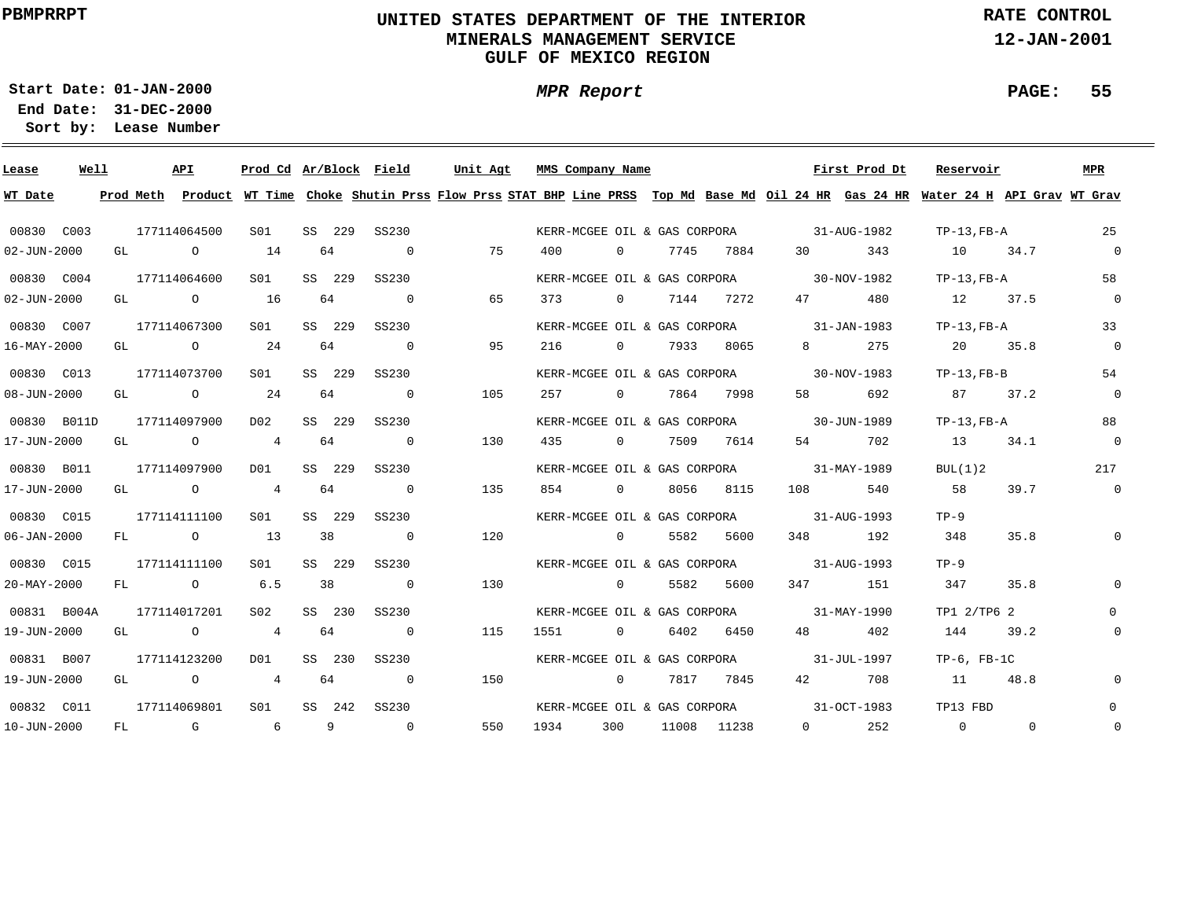# **UNITED STATES DEPARTMENT OF THE INTERIOR MINERALS MANAGEMENT SERVICEGULF OF MEXICO REGION**

**MPR Report**

**RATE CONTROL**

**12-JAN-2001**

**PAGE: 55**

**01-JAN-2000Start Date:**

| Lease             | Well |    |                          | API            | Prod Cd Ar/Block Field |        |                          | Unit Agt                                                                                                                      |      | MMS Company Name |                |      |                              |                                          | First Prod Dt | Reservoir        |          | <b>MPR</b>     |
|-------------------|------|----|--------------------------|----------------|------------------------|--------|--------------------------|-------------------------------------------------------------------------------------------------------------------------------|------|------------------|----------------|------|------------------------------|------------------------------------------|---------------|------------------|----------|----------------|
| WT Date           |      |    | Prod Meth                |                |                        |        |                          | Product WT Time Choke Shutin Prss Flow Prss STAT BHP Line PRSS Top Md Base Md Oil 24 HR Gas 24 HR Water 24 H API Grav WT Grav |      |                  |                |      |                              |                                          |               |                  |          |                |
| 00830 C003        |      |    |                          | 177114064500   | S01                    | SS 229 | SS230                    |                                                                                                                               |      |                  |                |      |                              | KERR-MCGEE OIL & GAS CORPORA 31-AUG-1982 |               | TP-13,FB-A       |          | 25             |
| 02-JUN-2000       |      |    |                          | GL O           | 14                     | 64     | $\overline{0}$           | 75                                                                                                                            | 400  |                  | $\overline{0}$ | 7745 | 7884                         | 30                                       | 343           | 10 34.7          |          | $\overline{0}$ |
| 00830 C004        |      |    |                          | 177114064600   | S01                    | SS 229 | SS230                    |                                                                                                                               |      |                  |                |      |                              | KERR-MCGEE OIL & GAS CORPORA 30-NOV-1982 |               | $TP-13$ , $FB-A$ |          | 58             |
| $02 - JUN - 2000$ |      |    | GL DESCRIPTION OF STREET | $\circ$        | 16                     | 64     | $\overline{\mathbf{0}}$  | 65                                                                                                                            | 373  |                  | $\overline{0}$ |      | 7144 7272                    | 47 — 200                                 | 480           | 12 37.5          |          | $\mathsf{O}$   |
| 00830 C007        |      |    |                          | 177114067300   | S01                    | SS 229 | SS230                    |                                                                                                                               |      |                  |                |      |                              | KERR-MCGEE OIL & GAS CORPORA 31-JAN-1983 |               | $TP-13$ , $FB-A$ |          | 33             |
| 16-MAY-2000       |      | GL |                          | $\overline{a}$ | 24                     | 64     | $\overline{0}$           | 95                                                                                                                            | 216  |                  | $\overline{0}$ |      | 7933 8065                    |                                          | 275           | 20 35.8          |          | $\mathsf{O}$   |
| 00830 C013        |      |    |                          | 177114073700   | S01                    | SS 229 | SS230                    |                                                                                                                               |      |                  |                |      | KERR-MCGEE OIL & GAS CORPORA |                                          | 30-NOV-1983   | $TP-13$ , $FB-B$ |          | 54             |
| $08 - JUN - 2000$ |      | GL |                          | $\overline{O}$ | 24                     | 64     | $\overline{\phantom{0}}$ | 105                                                                                                                           | 257  |                  | $\overline{0}$ |      | 7864 7998                    | 58 — 1                                   | 692           | 87               | 37.2     | $\mathbf 0$    |
| 00830 B011D       |      |    |                          | 177114097900   | D02                    | SS 229 | SS230                    |                                                                                                                               |      |                  |                |      |                              | KERR-MCGEE OIL & GAS CORPORA 30-JUN-1989 |               | $TP-13$ , $FB-A$ |          | 88             |
| 17-JUN-2000       |      | GL |                          | $\overline{O}$ | $\overline{4}$         | 64     | $\overline{0}$           | 130                                                                                                                           | 435  |                  | $\overline{0}$ |      | 7509 7614                    | 54 6                                     | 702           | 13               | 34.1     | $\mathsf{O}$   |
| 00830 B011        |      |    |                          | 177114097900   | DO1                    | SS 229 | SS230                    |                                                                                                                               |      |                  |                |      |                              | KERR-MCGEE OIL & GAS CORPORA 31-MAY-1989 |               | BUL(1)2          |          | 217            |
| 17-JUN-2000       |      |    |                          | GL O           | $\overline{4}$         | 64     | $\overline{0}$           | 135                                                                                                                           | 854  |                  |                |      | 0 8056 8115                  | 108 7                                    | 540           | 58               | 39.7     | $\mathsf{O}$   |
| 00830 C015        |      |    |                          | 177114111100   | S01                    | SS 229 | SS230                    |                                                                                                                               |      |                  |                |      | KERR-MCGEE OIL & GAS CORPORA | 31-AUG-1993                              |               | $TP-9$           |          |                |
| $06 - JAN - 2000$ |      |    |                          | FL O           | 13                     | 38     | $\overline{0}$           | 120                                                                                                                           |      |                  | $\overline{0}$ |      | 5582 5600                    |                                          | 348 192       | 348              | 35.8     | 0              |
| 00830 C015        |      |    |                          | 177114111100   | S01                    | SS 229 | SS230                    |                                                                                                                               |      |                  |                |      |                              | KERR-MCGEE OIL & GAS CORPORA 31-AUG-1993 |               | $TP-9$           |          |                |
| 20-MAY-2000       |      |    |                          | FL O           | 6.5                    | 38     | $\overline{0}$           | 130                                                                                                                           |      |                  | $\overline{0}$ |      | 5582 5600                    |                                          | 347 151       | 347              | 35.8     | $\Omega$       |
| 00831 B004A       |      |    |                          | 177114017201   | S02                    | SS 230 | SS230                    |                                                                                                                               |      |                  |                |      |                              | KERR-MCGEE OIL & GAS CORPORA 31-MAY-1990 |               | TP1 2/TP6 2      |          | 0              |
| 19-JUN-2000       |      |    |                          | GL O           | $\overline{4}$         | 64     | $\overline{0}$           | 115                                                                                                                           | 1551 |                  | $\overline{0}$ |      | 6402 6450                    | 48 — 18                                  | 402           | 144              | 39.2     | $\mathsf{O}$   |
| 00831 B007        |      |    |                          | 177114123200   | D01                    | SS 230 | SS230                    |                                                                                                                               |      |                  |                |      |                              | KERR-MCGEE OIL & GAS CORPORA 31-JUL-1997 |               | $TP-6$ , $FB-1C$ |          |                |
| 19-JUN-2000       |      | GL |                          | $\overline{O}$ | $\overline{4}$         | 64     | $\overline{0}$           | 150                                                                                                                           |      |                  | $\overline{0}$ |      | 7817 7845                    | 42 and $\overline{a}$                    | 708           | 11               | 48.8     | $\mathsf{O}$   |
| 00832 C011        |      |    |                          | 177114069801   | SO1                    | SS 242 | SS230                    |                                                                                                                               |      |                  |                |      |                              | KERR-MCGEE OIL & GAS CORPORA 31-OCT-1983 |               | TP13 FBD         |          | $\Omega$       |
| 10-JUN-2000       |      | FL |                          | G              | 6                      | 9      | $\overline{0}$           | 550                                                                                                                           | 1934 | 300              |                |      | 11008 11238                  | $0 \qquad \qquad$                        | 252           | $\overline{0}$   | $\Omega$ | 0              |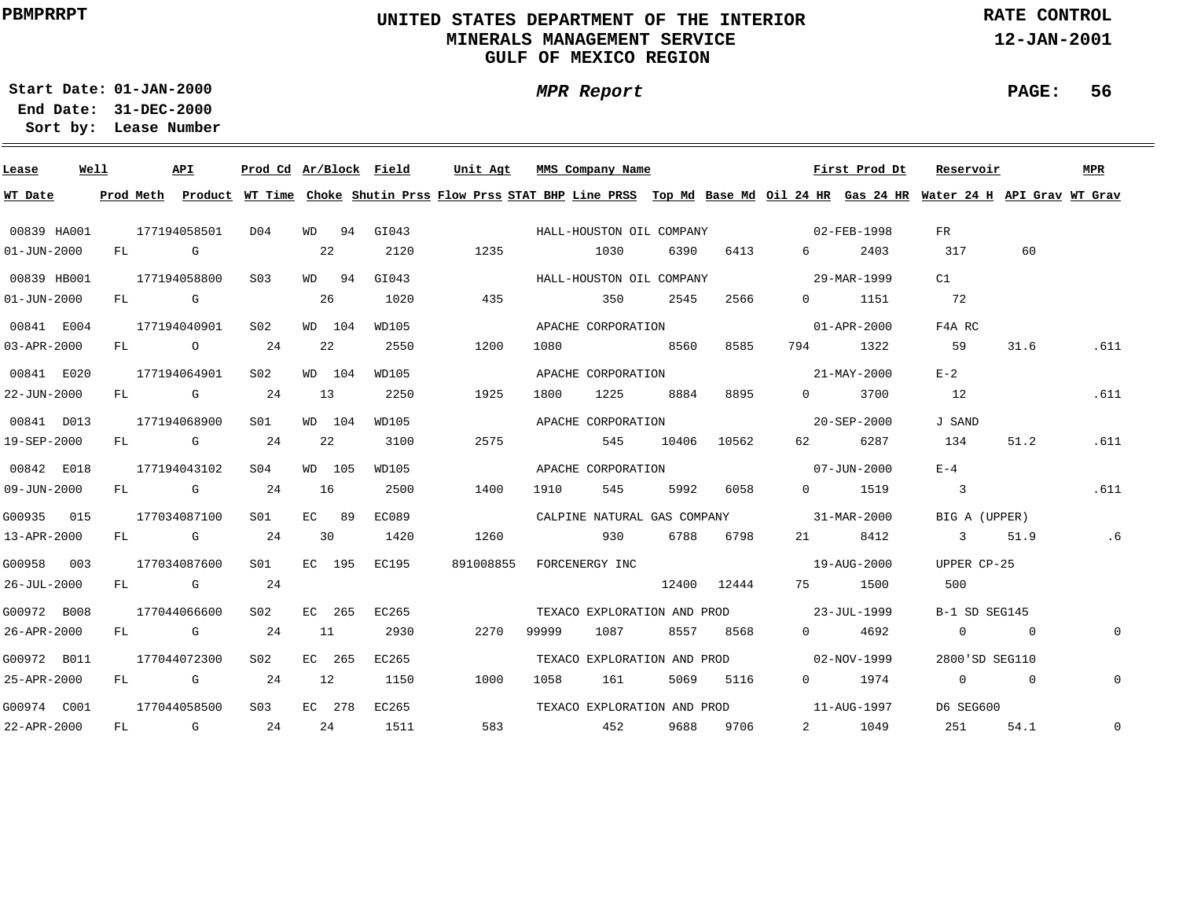# **UNITED STATES DEPARTMENT OF THE INTERIOR MINERALS MANAGEMENT SERVICEGULF OF MEXICO REGION**

**MPR Report**

**RATE CONTROL**

**12-JAN-2001**

**PAGE: 56**

**01-JAN-2000Start Date:31-DEC-2000 End Date:** 

| Lease             | Well |              | API          | Prod Cd Ar/Block Field |       |        |       | Unit Agt                                                                                                                                |       | MMS Company Name            |               |             |                                         | First Prod Dt | Reservoir                  |                                          | MPR         |
|-------------------|------|--------------|--------------|------------------------|-------|--------|-------|-----------------------------------------------------------------------------------------------------------------------------------------|-------|-----------------------------|---------------|-------------|-----------------------------------------|---------------|----------------------------|------------------------------------------|-------------|
| WT Date           |      |              |              |                        |       |        |       | Prod Meth Product WT Time Choke Shutin Prss Flow Prss STAT BHP Line PRSS Top Md Base Md Oil 24 HR Gas 24 HR Water 24 H API Grav WT Grav |       |                             |               |             |                                         |               |                            |                                          |             |
| 00839 HA001       |      |              | 177194058501 | D04                    |       | WD 94  | GI043 |                                                                                                                                         |       |                             |               |             |                                         |               | FR                         |                                          |             |
| $01 - JUN - 2000$ |      | FL G         |              |                        | 22    |        | 2120  | 1235                                                                                                                                    |       | 1030                        | 6390          | 6413        | $6 \quad \sigma$                        | 2403          | 317                        | 60                                       |             |
| 00839 HB001       |      | 177194058800 |              | S03                    |       | WD 94  | GIO43 |                                                                                                                                         |       | HALL-HOUSTON OIL COMPANY    |               |             | $29 - \text{MAR} - 1999$                |               | C1                         |                                          |             |
| $01 - JUN - 2000$ |      | FL G         |              |                        | -26   |        | 1020  | 435                                                                                                                                     |       | 350                         | 2545          | 2566        | $0 \qquad \qquad$                       | 1151          | 72                         |                                          |             |
| 00841 E004        |      | 177194040901 |              | S02                    |       | WD 104 | WD105 |                                                                                                                                         |       | APACHE CORPORATION          |               |             |                                         | 01-APR-2000   | F4A RC                     |                                          |             |
| $03 - APR - 2000$ |      |              | $FL$ 0 24    |                        |       | 22     | 2550  | 1200                                                                                                                                    | 1080  | 8560                        |               | 8585        |                                         | 794 1322      | 59                         | 31.6                                     | .611        |
| 00841 E020        |      |              | 177194064901 | S02                    |       | WD 104 | WD105 |                                                                                                                                         |       | APACHE CORPORATION          |               |             |                                         | 21-MAY-2000   | $E-2$                      |                                          |             |
| 22-JUN-2000       |      |              | $FL$ G 24    |                        | 13    |        | 2250  | 1925                                                                                                                                    | 1800  | 1225                        | 8884          | 8895        | $\Omega$                                | 3700          | 12                         |                                          | .611        |
| 00841 D013        |      |              | 177194068900 | SO1                    |       | WD 104 | WD105 |                                                                                                                                         |       | APACHE CORPORATION          |               |             |                                         | 20-SEP-2000   | J SAND                     |                                          |             |
| 19-SEP-2000       |      |              | FL G         | 24                     | 22    |        | 3100  | 2575                                                                                                                                    |       | 545                         |               | 10406 10562 | 62 — 10                                 | 6287          | 134                        | 51.2                                     | .611        |
| 00842 E018        |      |              | 177194043102 | S04                    |       | WD 105 | WD105 |                                                                                                                                         |       |                             |               |             | APACHE CORPORATION 07-JUN-2000          |               | $E - 4$                    |                                          |             |
| $09 - JUN - 2000$ |      |              | $FL$ G 24    |                        | 16    |        | 2500  | 1400                                                                                                                                    | 1910  | 545                         | 5992          | 6058        |                                         | 0 1519        | $\overline{\phantom{a}}$ 3 |                                          | .611        |
| G00935 015        |      |              | 177034087100 | SO1 SO                 | EC 89 |        | EC089 |                                                                                                                                         |       |                             |               |             | CALPINE NATURAL GAS COMPANY 31-MAR-2000 |               | BIG A (UPPER)              |                                          |             |
| 13-APR-2000       |      |              | FL G         | 24                     | 30    |        | 1420  | 1260                                                                                                                                    |       |                             | 930 6788 6798 |             |                                         | 21 8412       | 3 51.9                     |                                          | .6          |
| G00958 003        |      |              | 177034087600 | S01 <b>S</b>           |       | EC 195 | EC195 | 891008855                                                                                                                               |       | FORCENERGY INC              |               |             |                                         | 19-AUG-2000   | UPPER CP-25                |                                          |             |
| 26-JUL-2000       |      |              | FL G         | 24                     |       |        |       |                                                                                                                                         |       |                             |               | 12400 12444 |                                         | 75 1500       | 500                        |                                          |             |
| G00972 B008       |      |              | 177044066600 | S02                    |       | EC 265 | EC265 |                                                                                                                                         |       |                             |               |             | TEXACO EXPLORATION AND PROD 23-JUL-1999 |               | B-1 SD SEG145              |                                          |             |
| 26-APR-2000       |      |              | FL G         | 24                     | 11    |        | 2930  | 2270                                                                                                                                    | 99999 | 1087                        |               | 8557 8568   | $0 \qquad \qquad$                       | 4692          | $\overline{0}$             | $\overline{0}$                           | $\mathbf 0$ |
| G00972 B011       |      |              | 177044072300 | S02                    |       | EC 265 | EC265 |                                                                                                                                         |       | TEXACO EXPLORATION AND PROD |               |             |                                         | 02-NOV-1999   | 2800'SD SEG110             |                                          |             |
| 25-APR-2000       |      |              | FL G         | 24                     | 12    |        | 1150  | 1000                                                                                                                                    | 1058  | 161                         | 5069          | 5116        | $0 \qquad \qquad$                       | 1974          |                            | $\begin{array}{ccc} 0 & & 0 \end{array}$ | $\mathbf 0$ |
| G00974 C001       |      |              | 177044058500 | S <sub>0.3</sub>       |       | EC 278 | EC265 |                                                                                                                                         |       | TEXACO EXPLORATION AND PROD |               |             | $11 - \text{AUG} - 1997$                |               | D6 SEG600                  |                                          |             |
| 22-APR-2000       |      |              | FL G         | 24                     |       | 24     | 1511  | 583                                                                                                                                     |       | 452                         |               | 9688 9706   |                                         | 2 1049        | 251 7                      | 54.1                                     | $\mathbf 0$ |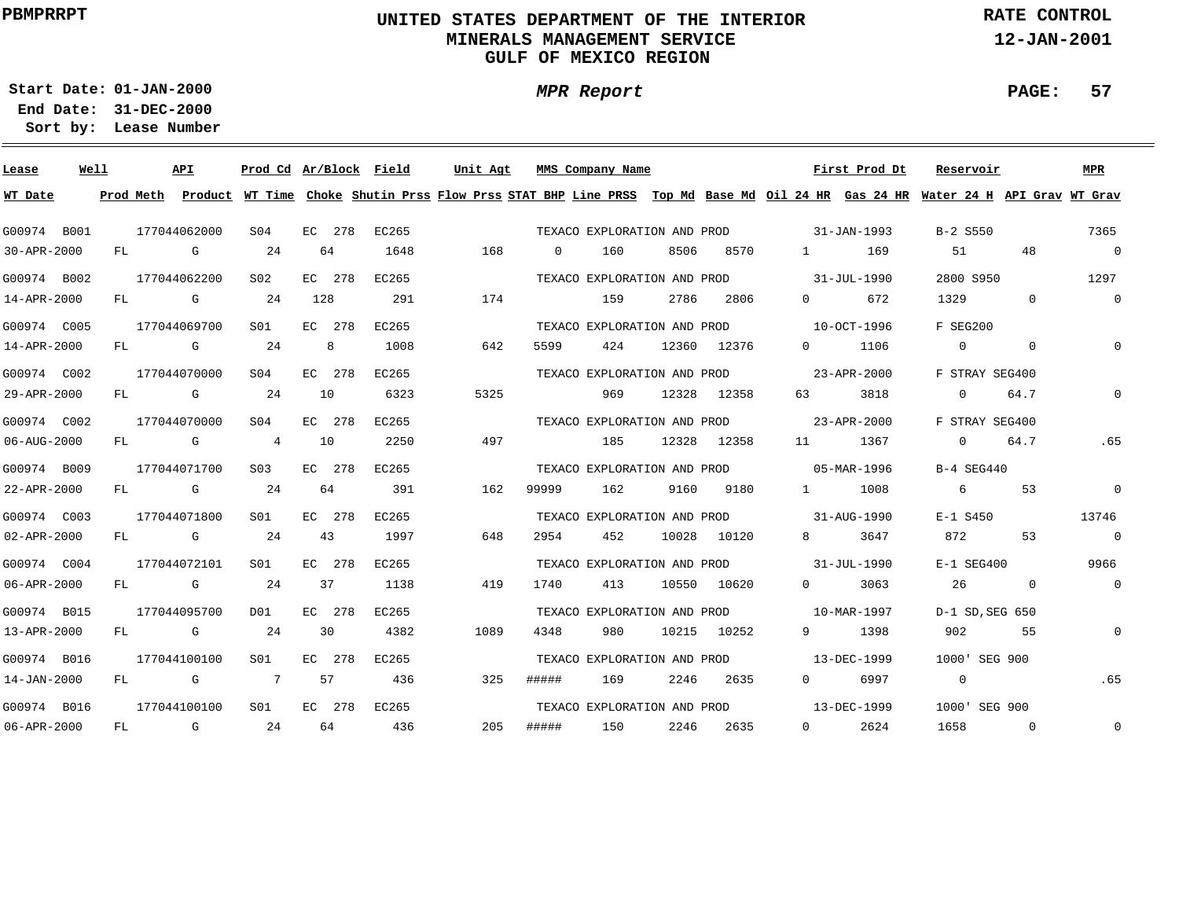# **UNITED STATES DEPARTMENT OF THE INTERIOR MINERALS MANAGEMENT SERVICEGULF OF MEXICO REGION**

**MPR Report**

**RATE CONTROL**

**12-JAN-2001**

**PAGE: 57**

**01-JAN-2000Start Date:**

| Lease       | Well |           | API          | Prod Cd Ar/Block Field |        |   |       | Unit Agt |     |          | MMS Company Name            |       |       |                        | First Prod Dt                                                                                                                 | Reservoir      |              | <b>MPR</b>     |
|-------------|------|-----------|--------------|------------------------|--------|---|-------|----------|-----|----------|-----------------------------|-------|-------|------------------------|-------------------------------------------------------------------------------------------------------------------------------|----------------|--------------|----------------|
| WT Date     |      | Prod Meth |              |                        |        |   |       |          |     |          |                             |       |       |                        | Product WT Time Choke Shutin Prss Flow Prss STAT BHP Line PRSS Top Md Base Md Oil 24 HR Gas 24 HR Water 24 H API Grav WT Grav |                |              |                |
| G00974 B001 |      |           | 177044062000 | S <sub>04</sub>        | EC 278 |   | EC265 |          |     |          | TEXACO EXPLORATION AND PROD |       |       |                        | 31-JAN-1993                                                                                                                   | B-2 S550       |              | 7365           |
| 30-APR-2000 |      | FL        | G            | 24                     | 64     |   | 1648  |          | 168 | $\Omega$ | 160                         | 8506  | 8570  | $1 \quad \blacksquare$ | 169                                                                                                                           | 51             | 48           | $\overline{0}$ |
| G00974 B002 |      |           | 177044062200 | S <sub>0</sub> 2       | EC 278 |   | EC265 |          |     |          | TEXACO EXPLORATION AND PROD |       |       |                        | 31-JUL-1990                                                                                                                   | 2800 S950      |              | 1297           |
| 14-APR-2000 |      | FL        | G            | 24                     | 128    |   | 291   |          | 174 |          | 159                         | 2786  | 2806  | $\Omega$               | 672                                                                                                                           | 1329           | $\Omega$     | $\mathbf 0$    |
| G00974 C005 |      |           | 177044069700 | S01                    | EC 278 |   | EC265 |          |     |          | TEXACO EXPLORATION AND PROD |       |       |                        | 10-OCT-1996                                                                                                                   | F SEG200       |              |                |
| 14-APR-2000 |      | FL.       | G            | 24                     |        | 8 | 1008  |          | 642 | 5599     | 424                         | 12360 | 12376 | $\Omega$               | 1106                                                                                                                          | $\mathbf{0}$   | $\mathbf{0}$ | $\Omega$       |
| G00974 C002 |      |           | 177044070000 | S <sub>04</sub>        | EC 278 |   | EC265 |          |     |          | TEXACO EXPLORATION AND PROD |       |       |                        | 23-APR-2000                                                                                                                   | F STRAY SEG400 |              |                |
| 29-APR-2000 |      | FL.       | G            | 24                     | 10     |   | 6323  | 5325     |     |          | 969                         | 12328 | 12358 | 63                     | 3818                                                                                                                          | $\Omega$       | 64.7         | $\Omega$       |
| G00974 C002 |      |           | 177044070000 | S04                    | EC 278 |   | EC265 |          |     |          | TEXACO EXPLORATION AND PROD |       |       |                        | 23-APR-2000                                                                                                                   | F STRAY SEG400 |              |                |
| 06-AUG-2000 |      | FL.       | G            | $\overline{4}$         | 10     |   | 2250  |          | 497 |          | 185                         | 12328 | 12358 | 11                     | 1367                                                                                                                          | $\overline{0}$ | 64.7         | .65            |
| G00974 B009 |      |           | 177044071700 | S <sub>03</sub>        | EC 278 |   | EC265 |          |     |          | TEXACO EXPLORATION AND PROD |       |       |                        | 05-MAR-1996                                                                                                                   | B-4 SEG440     |              |                |
| 22-APR-2000 |      | FL        | G            | 24                     | 64     |   | 391   |          | 162 | 99999    | 162                         | 9160  | 9180  | $1 \quad \cdots$       | 1008                                                                                                                          | 6              | 53           | $\Omega$       |
| G00974 C003 |      |           | 177044071800 | SO1                    | EC 278 |   | EC265 |          |     |          | TEXACO EXPLORATION AND PROD |       |       |                        | 31-AUG-1990                                                                                                                   | $E-1$ S450     |              | 13746          |
| 02-APR-2000 |      | FL.       | G            | 24                     | 43     |   | 1997  |          | 648 | 2954     | 452                         | 10028 | 10120 | 8                      | 3647                                                                                                                          | 872            | 53           | $\mathbf 0$    |
| G00974 C004 |      |           | 177044072101 | S01                    | EC 278 |   | EC265 |          |     |          | TEXACO EXPLORATION AND PROD |       |       |                        | 31-JUL-1990                                                                                                                   | $E-1$ SEG400   |              | 9966           |
| 06-APR-2000 |      | FL.       | G            | 24                     | 37     |   | 1138  |          | 419 | 1740     | 413                         | 10550 | 10620 | $\Omega$               | 3063                                                                                                                          | 26             | $\Omega$     | $\mathbf 0$    |
| G00974 B015 |      |           | 177044095700 | DO1                    | EC 278 |   | EC265 |          |     |          | TEXACO EXPLORATION AND PROD |       |       |                        | 10-MAR-1997                                                                                                                   | D-1 SD.SEG 650 |              |                |
| 13-APR-2000 |      | FL.       | G            | 24                     | 30     |   | 4382  | 1089     |     | 4348     | 980                         | 10215 | 10252 | 9                      | 1398                                                                                                                          | 902            | 55           | $\mathbf 0$    |
| G00974 B016 |      |           | 177044100100 | S01                    | EC 278 |   | EC265 |          |     |          | TEXACO EXPLORATION AND PROD |       |       |                        | 13-DEC-1999                                                                                                                   | 1000' SEG 900  |              |                |
| 14-JAN-2000 |      | FL.       | G            | 7                      | 57     |   | 436   |          | 325 | #####    | 169                         | 2246  | 2635  | $\Omega$               | 6997                                                                                                                          | $\overline{0}$ |              | .65            |
| G00974 B016 |      |           | 177044100100 | S01                    | EC 278 |   | EC265 |          |     |          | TEXACO EXPLORATION AND PROD |       |       |                        | 13-DEC-1999                                                                                                                   | 1000' SEG 900  |              |                |
| 06-APR-2000 |      | FL        | G            | 24                     | 64     |   | 436   |          | 205 | #####    | 150                         | 2246  | 2635  | $\mathbf{0}$           | 2624                                                                                                                          | 1658           | $\mathbf 0$  | $\mathbf 0$    |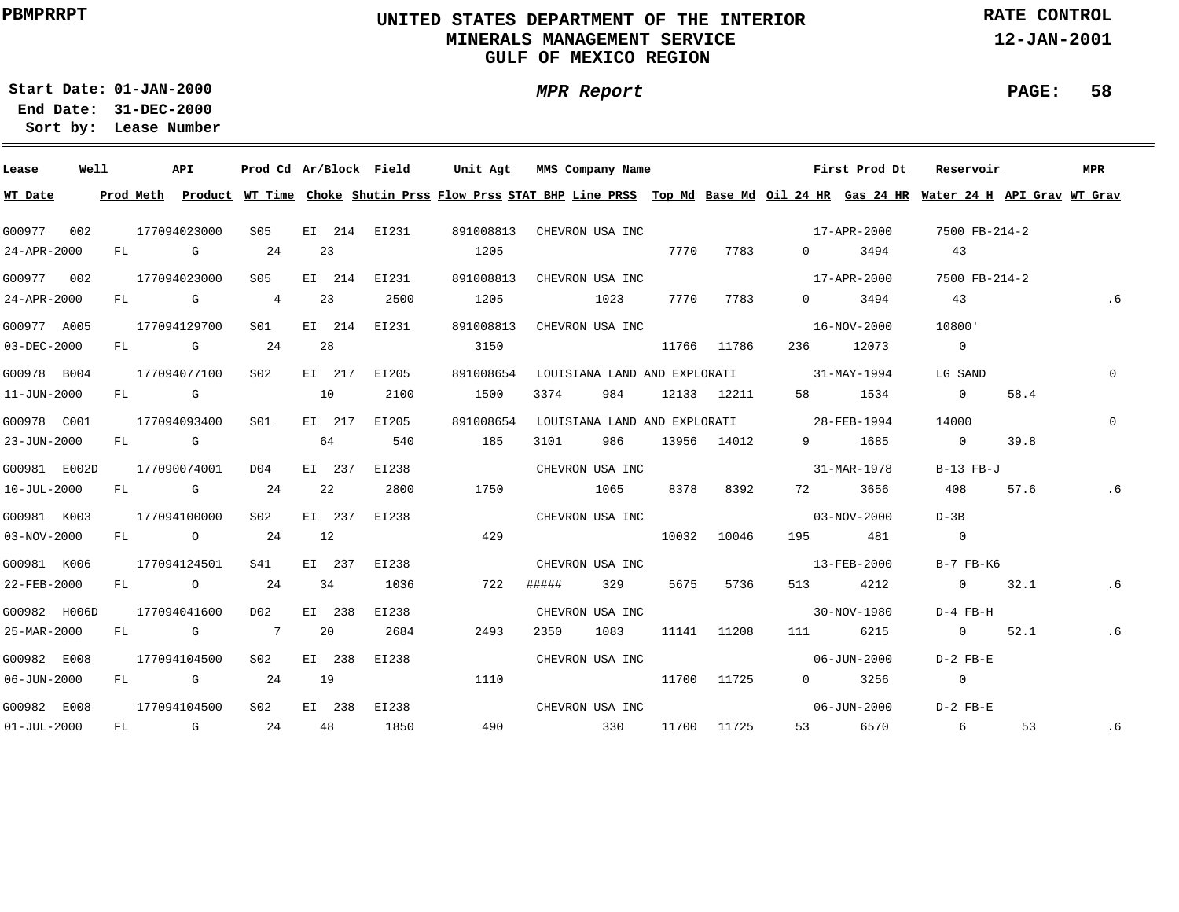# **UNITED STATES DEPARTMENT OF THE INTERIOR MINERALS MANAGEMENT SERVICEGULF OF MEXICO REGION**

**MPR Report**

**RATE CONTROL**

**12-JAN-2001**

**PAGE: 58**

**01-JAN-2000Start Date:31-DEC-2000 End Date:** 

| Lease             | Well |  | API          | Prod Cd Ar/Block Field |    |        |                                        | Unit Agt  |       | MMS Company Name |      |             |                                          | First Prod Dt     | Reservoir                                                                                                                               |      | MPR      |
|-------------------|------|--|--------------|------------------------|----|--------|----------------------------------------|-----------|-------|------------------|------|-------------|------------------------------------------|-------------------|-----------------------------------------------------------------------------------------------------------------------------------------|------|----------|
| WT Date           |      |  |              |                        |    |        |                                        |           |       |                  |      |             |                                          |                   | Prod Meth Product WT Time Choke Shutin Prss Flow Prss STAT BHP Line PRSS Top Md Base Md Oil 24 HR Gas 24 HR Water 24 H API Grav WT Grav |      |          |
| G00977 002        |      |  | 177094023000 | S05                    |    |        | EI 214 EI231 891008813 CHEVRON USA INC |           |       |                  |      |             |                                          | 17-APR-2000       | 7500 FB-214-2                                                                                                                           |      |          |
| 24-APR-2000       |      |  | FL G         | 24                     | 23 |        |                                        | 1205      |       |                  | 7770 | 7783        | $\overline{0}$                           | 3494              | 43                                                                                                                                      |      |          |
| G00977 002        |      |  | 177094023000 | S05                    |    | EI 214 | EI231                                  | 891008813 |       | CHEVRON USA INC  |      |             |                                          | 17-APR-2000       | 7500 FB-214-2                                                                                                                           |      |          |
| 24-APR-2000       |      |  | FL G         | 4                      |    | 23     | 2500                                   | 1205      |       | 1023             |      | 7770 7783   |                                          | $0 \t3494$        | 43                                                                                                                                      |      | .6       |
| G00977 A005       |      |  | 177094129700 | S01 <b>S</b>           |    | EI 214 | EI231                                  | 891008813 |       | CHEVRON USA INC  |      |             |                                          | 16-NOV-2000       | 10800'                                                                                                                                  |      |          |
| 03-DEC-2000       |      |  | FL G 24      |                        | 28 |        |                                        | 3150      |       |                  |      | 11766 11786 |                                          | 236 12073         | $\overline{0}$                                                                                                                          |      |          |
| G00978 B004       |      |  | 177094077100 | S02                    |    | EI 217 | EI205                                  | 891008654 |       |                  |      |             | LOUISIANA LAND AND EXPLORATI 31-MAY-1994 |                   | LG SAND                                                                                                                                 |      | $\Omega$ |
| 11-JUN-2000       |      |  | $FL$ G 10    |                        |    |        | 2100                                   | 1500      | 3374  | 984              |      | 12133 12211 | 58 — 1                                   | 1534              | $\overline{0}$                                                                                                                          | 58.4 |          |
| G00978 C001       |      |  | 177094093400 | S01                    |    | EI 217 | EI205                                  | 891008654 |       |                  |      |             | LOUISIANA LAND AND EXPLORATI 28-FEB-1994 |                   | 14000                                                                                                                                   |      | $\Omega$ |
| 23-JUN-2000       |      |  | $FL$ G       |                        | 64 |        | 540                                    | 185       | 3101  | 986              |      | 13956 14012 |                                          | 9 1685            | $\overline{0}$                                                                                                                          | 39.8 |          |
| G00981 E002D      |      |  | 177090074001 | DO 4                   |    | EI 237 | EI238                                  |           |       | CHEVRON USA INC  |      |             |                                          | 31-MAR-1978       | B-13 FB-J                                                                                                                               |      |          |
| $10 - JUL - 2000$ |      |  | FL G 24      |                        |    | 22     | 2800                                   | 1750      |       | 1065             | 8378 | 8392        |                                          | 72 3656           | 408                                                                                                                                     | 57.6 | . 6      |
| G00981 K003       |      |  | 177094100000 | S02                    |    | EI 237 | EI238                                  |           |       | CHEVRON USA INC  |      |             | $03 - NOV - 2000$                        |                   | $D - 3B$                                                                                                                                |      |          |
| $03 - NOV - 2000$ |      |  | FL 0 24      |                        | 12 |        |                                        | 429       |       |                  |      | 10032 10046 |                                          | 195 481           | $\sim$ 0                                                                                                                                |      |          |
| G00981 K006       |      |  | 177094124501 | S41                    |    | EI 237 | EI238                                  |           |       | CHEVRON USA INC  |      |             |                                          | 13-FEB-2000       | $B-7$ $FB-K6$                                                                                                                           |      |          |
| 22-FEB-2000       |      |  | FL 0 24      |                        | 34 |        | 1036                                   | 722       | ##### | 329              |      | 5675 5736   |                                          | 513 4212          | 0 $32.1$                                                                                                                                |      | .6       |
| G00982 H006D      |      |  | 177094041600 | D02                    |    | EI 238 | EI238                                  |           |       | CHEVRON USA INC  |      |             |                                          | 30-NOV-1980       | D-4 FB-H                                                                                                                                |      |          |
| 25-MAR-2000       |      |  | FL G 7       |                        |    | 20     | 2684                                   | 2493      | 2350  | 1083             |      | 11141 11208 | 111 7                                    | 6215              | 0 $52.1$                                                                                                                                |      | .6       |
| G00982 E008       |      |  | 177094104500 | S02                    |    | EI 238 | EI238                                  |           |       | CHEVRON USA INC  |      |             |                                          | 06-JUN-2000       | $D-2$ FB-E                                                                                                                              |      |          |
| $06 - JUN - 2000$ |      |  | FL G 24      |                        | 19 |        |                                        | 1110      |       | 11700 11725      |      |             |                                          | $0$ 3256          | $\overline{0}$                                                                                                                          |      |          |
| G00982 E008       |      |  | 177094104500 | S02                    |    | EI 238 | EI238                                  |           |       | CHEVRON USA INC  |      |             |                                          | $06 - JUN - 2000$ | $D-2$ $FB-E$                                                                                                                            |      |          |
| $01 - JUL - 2000$ |      |  | $FL$ G 24    |                        | 48 |        | 1850                                   | 490       |       | 330              |      | 11700 11725 |                                          | 53 6570           | $6\overline{6}$                                                                                                                         | 53   | .6       |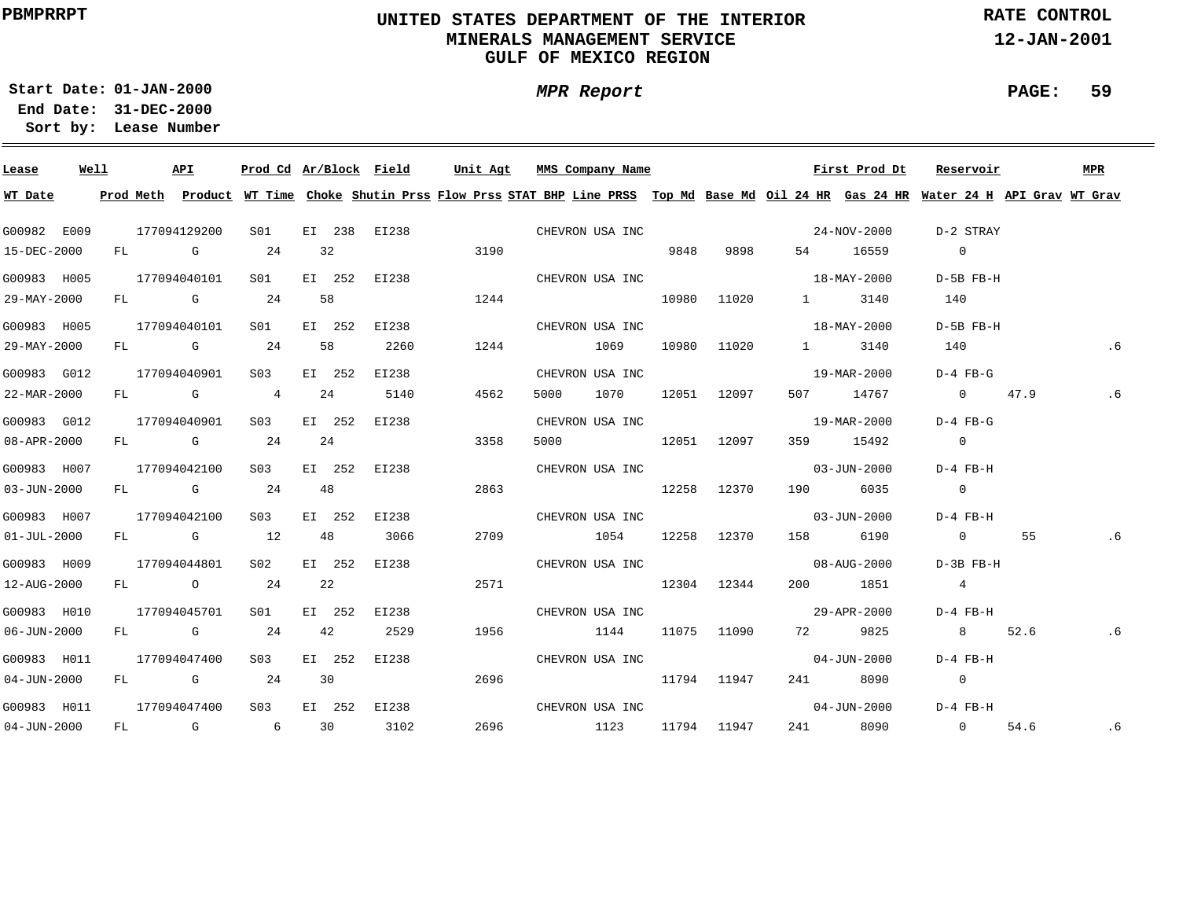# **UNITED STATES DEPARTMENT OF THE INTERIOR MINERALS MANAGEMENT SERVICEGULF OF MEXICO REGION**

**MPR Report**

**RATE CONTROL**

**12-JAN-2001**

**PAGE: 59**

**01-JAN-2000Start Date:31-DEC-2000 End Date:** 

| Lease             | Well |  | API          |                 |    |        | Prod Cd Ar/Block Field | Unit Agt |           | MMS Company Name |      |             |                               | First Prod Dt                                                                                                                           | Reservoir                |      | <b>MPR</b> |
|-------------------|------|--|--------------|-----------------|----|--------|------------------------|----------|-----------|------------------|------|-------------|-------------------------------|-----------------------------------------------------------------------------------------------------------------------------------------|--------------------------|------|------------|
| WT Date           |      |  |              |                 |    |        |                        |          |           |                  |      |             |                               | Prod Meth Product WT Time Choke Shutin Prss Flow Prss STAT BHP Line PRSS Top Md Base Md Oil 24 HR Gas 24 HR Water 24 H API Grav WT Grav |                          |      |            |
| G00982 E009       |      |  | 177094129200 | S01             |    |        | EI 238 EI238           |          |           | CHEVRON USA INC  |      |             |                               | 24-NOV-2000                                                                                                                             | D-2 STRAY                |      |            |
| 15-DEC-2000       |      |  | FL G         | 24              |    | 32     |                        | 3190     |           |                  | 9848 | 9898        |                               | 54 16559                                                                                                                                | $\overline{0}$           |      |            |
| G00983 H005       |      |  | 177094040101 | S01 <b>S</b>    |    |        | EI 252 EI238           |          |           | CHEVRON USA INC  |      |             |                               | $18 - \text{MAX} - 2000$                                                                                                                | D-5B FB-H                |      |            |
| 29-MAY-2000       |      |  | FL G 24      |                 |    | 58     |                        | 1244     |           |                  |      | 10980 11020 |                               | 1 3140                                                                                                                                  | 140                      |      |            |
| G00983 H005       |      |  | 177094040101 | S01             |    | EI 252 | EI238                  |          |           | CHEVRON USA INC  |      |             |                               | $18 - \text{MAX} - 2000$                                                                                                                | D-5B FB-H                |      |            |
| 29-MAY-2000       |      |  | FL G 24      |                 |    | 58     | 2260                   | 1244     | 1069      |                  |      | 10980 11020 | $\mathbf{1}$ and $\mathbf{1}$ | 3140                                                                                                                                    | 140                      |      | . 6        |
| G00983 G012       |      |  | 177094040901 | S <sub>03</sub> |    | EI 252 | EI238                  |          |           | CHEVRON USA INC  |      |             |                               | 19-MAR-2000                                                                                                                             | $D-4$ $FB-G$             |      |            |
| 22-MAR-2000       |      |  | FL G 4       |                 |    | 24     | 5140                   | 4562     | 5000 - 10 | 1070             |      | 12051 12097 |                               | 507 14767                                                                                                                               | 0 $47.9$                 |      | . 6        |
| G00983 G012       |      |  | 177094040901 | S03             |    | EI 252 | EI238                  |          |           | CHEVRON USA INC  |      |             |                               | 19-MAR-2000                                                                                                                             | $D-4$ FB-G               |      |            |
| 08-APR-2000       |      |  | FL G         | 24              | 24 |        |                        | 3358     |           | 5000 12051 12097 |      |             |                               | 359 15492                                                                                                                               | $\overline{0}$           |      |            |
| G00983 H007       |      |  | 177094042100 | S03 - 1         |    |        | EI 252 EI238           |          |           | CHEVRON USA INC  |      |             |                               | $03 - JUN - 2000$                                                                                                                       | D-4 FB-H                 |      |            |
| $03 - JUN - 2000$ |      |  | FL G 24      |                 |    | 48     |                        | 2863     |           | 12258 12370      |      |             |                               | 190 6035                                                                                                                                | $\overline{0}$           |      |            |
| G00983 H007       |      |  | 177094042100 | S <sub>03</sub> |    | EI 252 | EI238                  |          |           | CHEVRON USA INC  |      |             |                               | $03 - JUN - 2000$                                                                                                                       | D-4 FB-H                 |      |            |
| $01 - JUL - 2000$ |      |  | FL G 12      |                 |    | 48     | 3066                   | 2709     |           | 1054 12258 12370 |      |             |                               | 158 6190                                                                                                                                | $\overline{0}$           | 55   | . 6        |
| G00983 H009       |      |  | 177094044801 | S02 <b>S</b>    |    | EI 252 | EI238                  |          |           | CHEVRON USA INC  |      |             |                               | $08 - \text{AUG} - 2000$                                                                                                                | $D-3B$ $FB-H$            |      |            |
| 12-AUG-2000       |      |  | FL O         | 24              |    | 22     |                        | 2571     |           | 12304 12344      |      |             |                               | 200 1851                                                                                                                                | $\overline{4}$           |      |            |
| G00983 H010       |      |  | 177094045701 | S01 <b>S</b>    |    | EI 252 | EI238                  |          |           | CHEVRON USA INC  |      |             |                               | 29-APR-2000                                                                                                                             | D-4 FB-H                 |      |            |
| $06 - JUN - 2000$ |      |  | FL G 24      |                 |    | 42     | 2529                   | 1956     |           | 1144             |      | 11075 11090 |                               | 72 9825                                                                                                                                 | 8 52.6                   |      | .6         |
| G00983 H011       |      |  | 177094047400 | S03             |    | EI 252 | EI238                  |          |           | CHEVRON USA INC  |      |             |                               | 04-JUN-2000                                                                                                                             | D-4 FB-H                 |      |            |
| $04 - JUN - 2000$ |      |  | FL G 24      |                 |    | 30     |                        | 2696     |           | 11794 11947      |      |             |                               | 241 8090                                                                                                                                | $\overline{\phantom{0}}$ |      |            |
| G00983 H011       |      |  | 177094047400 | S <sub>03</sub> |    |        | EI 252 EI238           |          |           | CHEVRON USA INC  |      |             |                               | $04 - JUN - 2000$                                                                                                                       | D-4 FB-H                 |      |            |
| $04 - JUN - 2000$ |      |  | FL G 6 30    |                 |    |        | 3102                   | 2696     |           | 1123             |      | 11794 11947 |                               | 241 8090                                                                                                                                | $\overline{0}$           | 54.6 | .6         |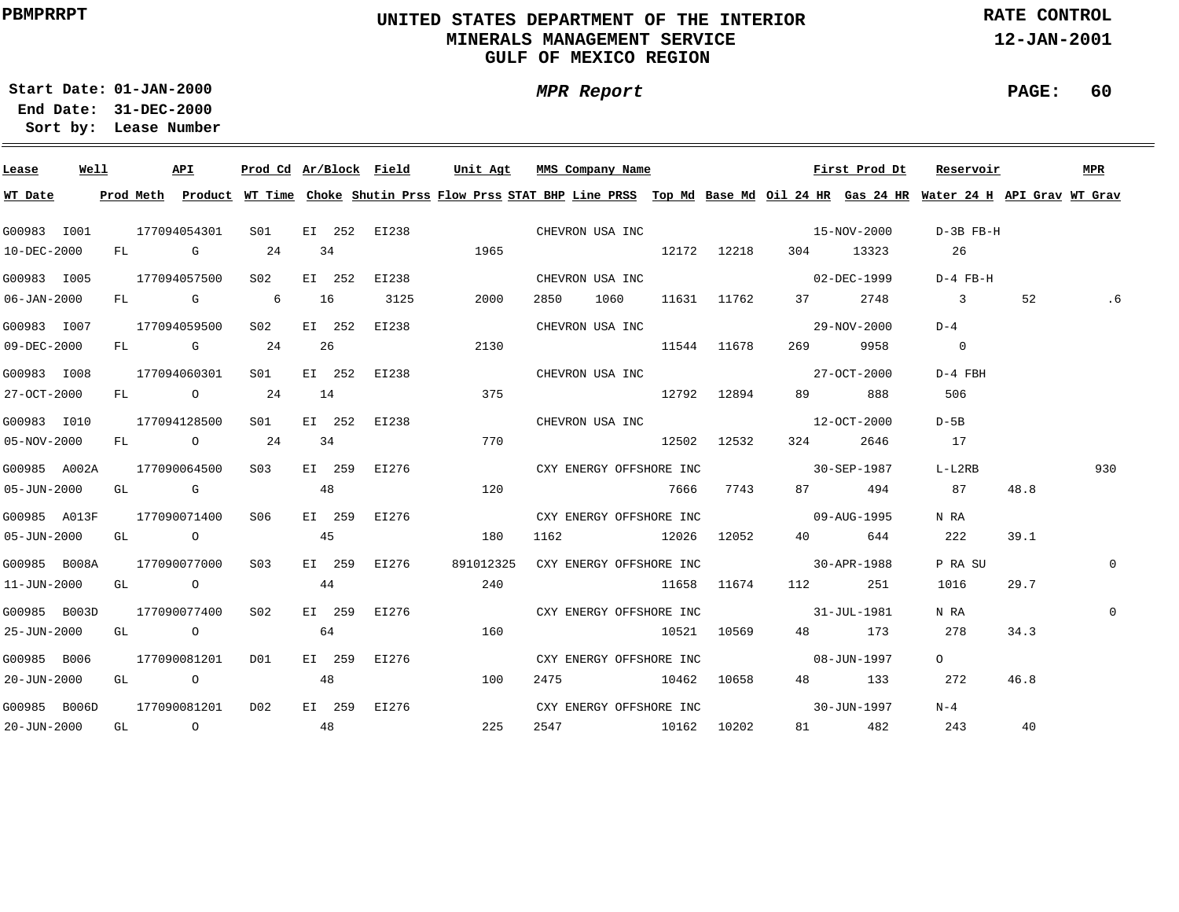# **UNITED STATES DEPARTMENT OF THE INTERIOR MINERALS MANAGEMENT SERVICEGULF OF MEXICO REGION**

**MPR Report**

**RATE CONTROL**

**12-JAN-2001**

**PAGE: 60**

**01-JAN-2000Start Date:31-DEC-2000 End Date:** 

| Lease                     | Well |  | API              |                                                       |    |    | Prod Cd Ar/Block Field        | Unit Agt                                                                                                                                                       | MMS Company Name |  |                                                                                                                | First Prod Dt | Reservoir               |      | MPR         |
|---------------------------|------|--|------------------|-------------------------------------------------------|----|----|-------------------------------|----------------------------------------------------------------------------------------------------------------------------------------------------------------|------------------|--|----------------------------------------------------------------------------------------------------------------|---------------|-------------------------|------|-------------|
| WT Date                   |      |  |                  |                                                       |    |    |                               | Prod Meth Product WT Time Choke Shutin Prss Flow Prss STAT BHP Line PRSS Top Md Base Md Oil 24 HR Gas 24 HR Water 24 H API Grav WT Grav                        |                  |  |                                                                                                                |               |                         |      |             |
| G00983 I001               |      |  |                  |                                                       |    |    |                               | $177094054301 \qquad \text{S01} \qquad \text{E1} \quad 252 \qquad \text{E1238} \qquad \qquad \text{CHEVRON USA INC}$                                           |                  |  |                                                                                                                |               | $D-3B$ $FB-H$           |      |             |
| 10-DEC-2000               |      |  | FL G 24          |                                                       | 34 |    |                               | 1965                                                                                                                                                           |                  |  | 12172 12218 304 13323                                                                                          |               | 26                      |      |             |
| G00983 I005               |      |  |                  |                                                       |    |    |                               | 177094057500 S02 EI 252 EI238                                                                                                                                  |                  |  | CHEVRON USA INC<br>02-DEC-1999                                                                                 |               | D-4 FB-H                |      |             |
| 06-JAN-2000               |      |  |                  | FL G 6 16                                             |    |    | 3125                          | 2000                                                                                                                                                           |                  |  | 2850 1060 11631 11762 37 2748                                                                                  |               | $\overline{\mathbf{3}}$ | 52   |             |
| G00983 I007               |      |  |                  |                                                       |    |    | 177094059500 S02 EI 252 EI238 |                                                                                                                                                                |                  |  | CHEVRON USA INC 29-NOV-2000                                                                                    |               | $D-4$                   |      |             |
| 09-DEC-2000               |      |  |                  | FL G 24 26                                            |    |    |                               | 2130                                                                                                                                                           | 11544 11678      |  | 269 — 269 — 269 — 269 — 269 — 269 — 269 — 269 — 269 — 269 — 269 — 269 — 269 — 269 — 269 — 269 — 269 — 269 — 26 | 9958          | $\overline{0}$          |      |             |
| G00983 I008               |      |  |                  |                                                       |    |    |                               | 177094060301 S01 EI 252 EI238                                                                                                                                  |                  |  | CHEVRON USA INC 27-OCT-2000                                                                                    |               | $D-4$ FBH               |      |             |
| 27-OCT-2000               |      |  |                  | FL 0 24 14                                            |    |    |                               | 375                                                                                                                                                            | 12792 12894      |  |                                                                                                                | 89 888        | 506                     |      |             |
| G00983 I010               |      |  |                  |                                                       |    |    | 177094128500 SO1 EI 252 EI238 |                                                                                                                                                                |                  |  | CHEVRON USA INC 2000 12-OCT-2000                                                                               |               | $D-5B$                  |      |             |
| 05-NOV-2000               |      |  | FL 0 24          |                                                       |    | 34 |                               | 770                                                                                                                                                            | $12502$ $12532$  |  | 324                                                                                                            | 2646          | 17                      |      |             |
| G00985 A002A              |      |  |                  |                                                       |    |    |                               | $177090064500 \qquad \textrm{S03} \qquad \textrm{EI} \quad 259 \qquad \textrm{EI276} \qquad \qquad \textrm{CXY ENERGY OFFSHORE INC} \qquad \qquad 30-SEP-1987$ |                  |  |                                                                                                                |               | $L-L2RB$                |      | 930         |
| 05-JUN-2000               |      |  |                  | $GL$ G and $48$                                       |    |    |                               | 120                                                                                                                                                            |                  |  | 7666 7743 87 494                                                                                               |               | 87                      | 48.8 |             |
| G00985 A013F              |      |  | 177090071400 S06 |                                                       |    |    | EI 259 EI276                  |                                                                                                                                                                |                  |  |                                                                                                                |               | N RA                    |      |             |
| 05-JUN-2000               |      |  |                  | $GL$ 0 45                                             |    |    |                               | 180                                                                                                                                                            |                  |  | 1162 12026 12052 40 644                                                                                        |               | 222                     | 39.1 |             |
| G00985 B008A 177090077000 |      |  |                  | S <sub>03</sub>                                       |    |    | EI 259 EI276                  | 891012325                                                                                                                                                      |                  |  | CXY ENERGY OFFSHORE INC 30-APR-1988                                                                            |               | P RA SU                 |      | 0           |
| 11-JUN-2000               |      |  |                  | GL $\qquad \qquad \circ$ 44                           |    |    |                               | 240                                                                                                                                                            |                  |  | 11658 11674 112 251                                                                                            |               | 1016                    | 29.7 |             |
| G00985 B003D              |      |  | 177090077400 S02 |                                                       |    |    |                               | EI 259 EI276                                                                                                                                                   |                  |  | CXY ENERGY OFFSHORE INC 31-JUL-1981                                                                            |               | N RA                    |      | $\mathbf 0$ |
| 25-JUN-2000               |      |  |                  | GL $\qquad \qquad \begin{matrix} 0 & 64 \end{matrix}$ |    |    |                               | 160                                                                                                                                                            |                  |  | 10521 10569 48 173                                                                                             |               | 278                     | 34.3 |             |
| G00985 B006               |      |  | 177090081201 D01 |                                                       |    |    | EI 259 EI276                  |                                                                                                                                                                |                  |  | CXY ENERGY OFFSHORE INC 08-JUN-1997                                                                            |               | $\Omega$                |      |             |
| 20-JUN-2000               |      |  |                  | GL $\qquad \qquad \begin{matrix} 0 & 48 \end{matrix}$ |    |    |                               | 100                                                                                                                                                            |                  |  | 2475 10462 10658 48 133                                                                                        |               | 272                     | 46.8 |             |
| G00985 B006D              |      |  | 177090081201 D02 |                                                       |    |    | EI 259 EI276                  |                                                                                                                                                                |                  |  | CXY ENERGY OFFSHORE INC 30-JUN-1997                                                                            |               | $N-4$                   |      |             |
| 20-JUN-2000               |      |  |                  | $GL$ 0 48                                             |    |    |                               | 225                                                                                                                                                            | 2547 10162 10202 |  |                                                                                                                | 81 482 243    |                         | 40   |             |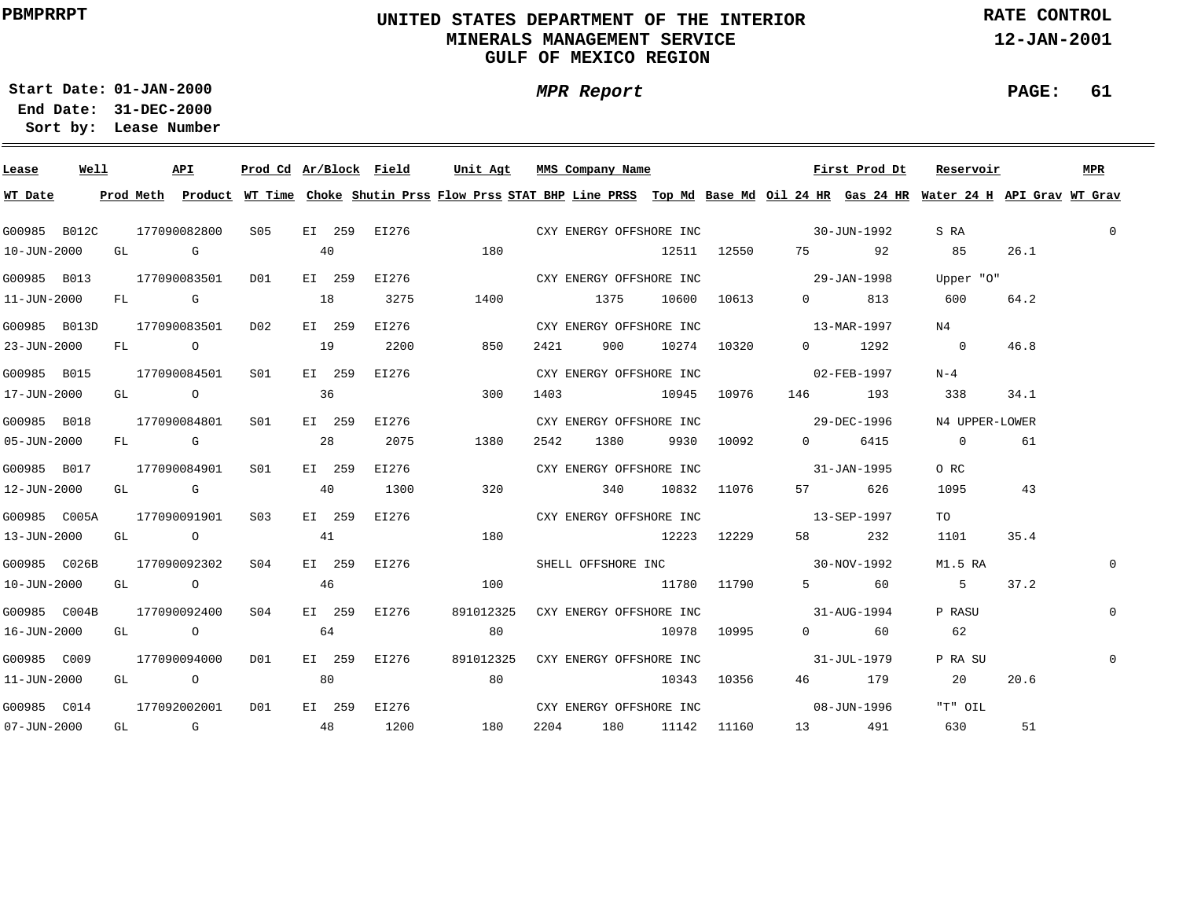# **UNITED STATES DEPARTMENT OF THE INTERIOR MINERALS MANAGEMENT SERVICEGULF OF MEXICO REGION**

**MPR Report**

**RATE CONTROL**

**12-JAN-2001**

**PAGE: 61**

**01-JAN-2000Start Date:31-DEC-2000 End Date:** 

| Lease                    | Well |  | API                           |                               |    |        | Prod Cd Ar/Block Field Unit Agt MMS Company Name |      |  |                      |  |                                                                               | First Prod Dt                                                                  | Reservoir                                                                                                                               |      | MPR            |
|--------------------------|------|--|-------------------------------|-------------------------------|----|--------|--------------------------------------------------|------|--|----------------------|--|-------------------------------------------------------------------------------|--------------------------------------------------------------------------------|-----------------------------------------------------------------------------------------------------------------------------------------|------|----------------|
| WT Date                  |      |  |                               |                               |    |        |                                                  |      |  |                      |  |                                                                               |                                                                                | Prod Meth Product WT Time Choke Shutin Prss Flow Prss STAT BHP Line PRSS Top Md Base Md Oil 24 HR Gas 24 HR Water 24 H API Grav WT Grav |      |                |
|                          |      |  |                               |                               |    |        |                                                  |      |  |                      |  |                                                                               | G00985 B012C 177090082800 S05 EI 259 EI276 CXY ENERGY OFFSHORE INC 30-JUN-1992 | S RA                                                                                                                                    |      | $\overline{0}$ |
| 10-JUN-2000              |      |  | GL G                          |                               | 40 |        |                                                  | 180  |  |                      |  |                                                                               | 12511 12550 75 92 85                                                           |                                                                                                                                         | 26.1 |                |
|                          |      |  |                               |                               |    |        |                                                  |      |  |                      |  | G00985 B013 177090083501 D01 EI 259 E1276 CXY ENERGY OFFSHORE INC 39-JAN-1998 |                                                                                | Upper "O"                                                                                                                               |      |                |
| $11 - JUN - 2000$        |      |  |                               | FL G 18                       |    |        | 3275                                             | 1400 |  | 1375 10600 10613     |  |                                                                               | 0 813                                                                          | 600                                                                                                                                     | 64.2 |                |
| G00985 B013D             |      |  |                               | 177090083501 D02              |    | EI 259 | EI276                                            |      |  |                      |  |                                                                               | CXY ENERGY OFFSHORE INC 13-MAR-1997                                            | N4                                                                                                                                      |      |                |
| 23-JUN-2000              |      |  |                               | FL 0 19                       |    |        | 2200                                             | 850  |  | 2421 900 10274 10320 |  |                                                                               | $0 \t 1292$                                                                    | $\sim$ 0                                                                                                                                | 46.8 |                |
| G00985 B015              |      |  |                               | 177090084501 S01 EI 259       |    |        | EI276                                            |      |  |                      |  |                                                                               |                                                                                | $N-4$                                                                                                                                   |      |                |
| 17-JUN-2000              |      |  | GL O                          |                               | 36 |        |                                                  | 300  |  | 1403 10945 10976     |  |                                                                               | 146 193                                                                        | 338                                                                                                                                     | 34.1 |                |
| G00985 B018              |      |  | 177090084801                  | S01 <b>S</b>                  |    | EI 259 | EI276                                            |      |  |                      |  |                                                                               |                                                                                | N4 UPPER-LOWER                                                                                                                          |      |                |
| 05-JUN-2000              |      |  | FL G                          |                               |    | 28     | 2075                                             | 1380 |  | 2542 1380 9930 10092 |  |                                                                               | 0 6415                                                                         | $\overline{0}$                                                                                                                          | 61   |                |
| G00985 B017              |      |  | 177090084901                  | S01 <b>S</b>                  |    | EI 259 | EI276                                            |      |  |                      |  | CXY ENERGY OFFSHORE INC 31-JAN-1995                                           |                                                                                | O RC                                                                                                                                    |      |                |
| 12-JUN-2000              |      |  |                               | $GL$ G and $40$               |    |        | 1300                                             | 320  |  | 340 10832 11076      |  |                                                                               | 57 626                                                                         | 1095 43                                                                                                                                 |      |                |
|                          |      |  | G00985 C005A 177090091901 S03 |                               |    | EI 259 | E1276                                            |      |  |                      |  | CXY ENERGY OFFSHORE INC 13-SEP-1997                                           |                                                                                | TO                                                                                                                                      |      |                |
|                          |      |  |                               | 13-JUN-2000 GL 0 41           |    |        |                                                  | 180  |  | 12223 12229          |  |                                                                               | 58 232                                                                         | 1101                                                                                                                                    | 35.4 |                |
|                          |      |  |                               | G00985 C026B 177090092302 S04 |    |        |                                                  |      |  |                      |  |                                                                               |                                                                                | M1.5 RA                                                                                                                                 |      | $\overline{0}$ |
| $10 - JUN - 2000$        |      |  | GL O                          | 46                            |    |        |                                                  | 100  |  | 11780 11790          |  |                                                                               | 5 60                                                                           | $5^{\circ}$                                                                                                                             | 37.2 |                |
|                          |      |  |                               | G00985 C004B 177090092400 S04 |    |        | EI 259 EI276                                     |      |  |                      |  | 891012325 CXY ENERGY OFFSHORE INC 31-AUG-1994                                 |                                                                                | P RASU                                                                                                                                  |      | $\overline{0}$ |
| 16-JUN-2000              |      |  | GL O                          |                               | 64 |        |                                                  | 80   |  | 10978 10995          |  |                                                                               | $0 \qquad 60$                                                                  | 62                                                                                                                                      |      |                |
| G00985 C009              |      |  |                               | 177090094000 D01              |    |        | EI 259 EI276                                     |      |  |                      |  |                                                                               | 891012325 CXY ENERGY OFFSHORE INC 31-JUL-1979                                  | P RA SU                                                                                                                                 |      | $\mathsf{O}$   |
| 11-JUN-2000              |      |  |                               | GL O 80                       |    |        |                                                  | 80   |  | 10343 10356          |  |                                                                               |                                                                                | 46 179 20                                                                                                                               | 20.6 |                |
| G00985 C014 177092002001 |      |  |                               |                               |    |        |                                                  |      |  |                      |  |                                                                               |                                                                                | "T" OIL                                                                                                                                 |      |                |
| $07 - JUN - 2000$        |      |  |                               | $GL$ G and $48$               |    |        | 1200                                             | 180  |  | 2204 180 11142 11160 |  |                                                                               | 13 491                                                                         | 630                                                                                                                                     | 51   |                |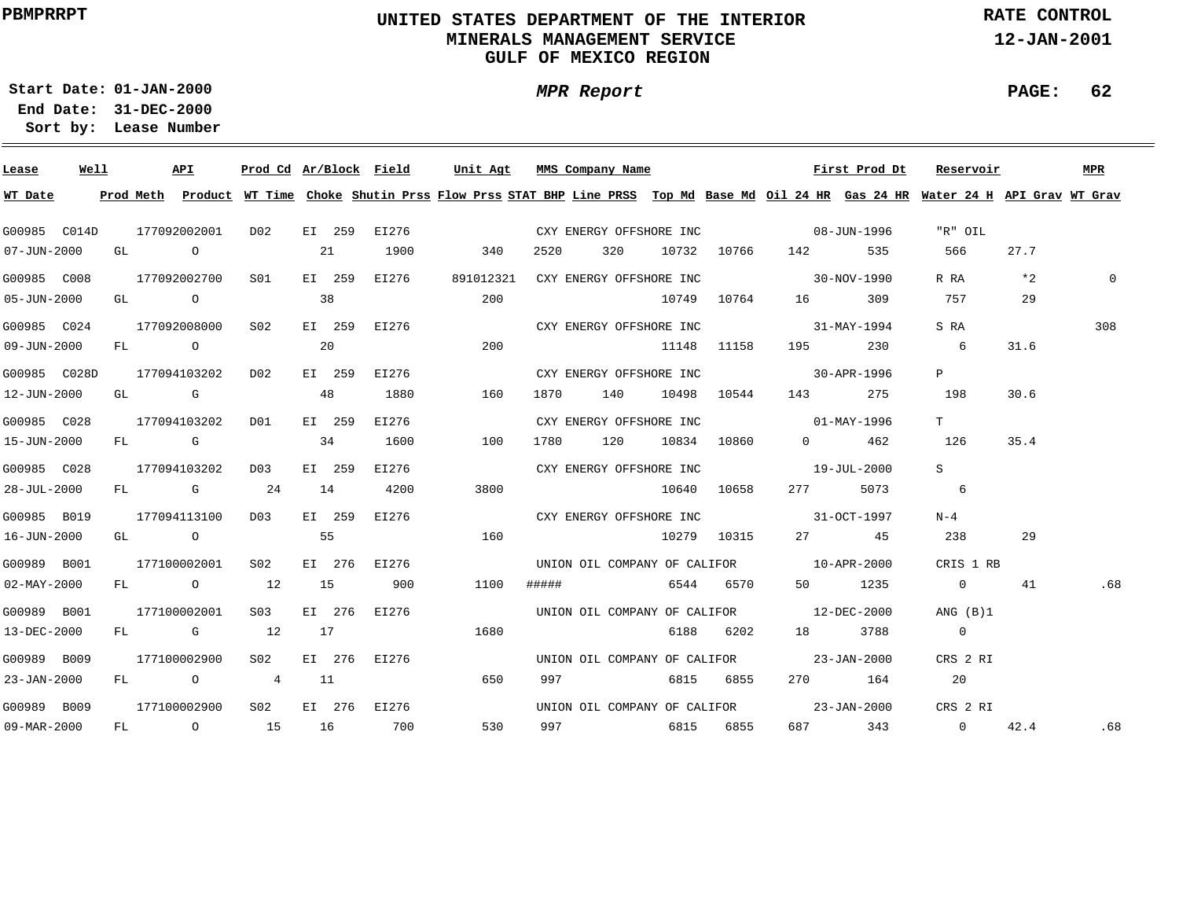# **UNITED STATES DEPARTMENT OF THE INTERIOR MINERALS MANAGEMENT SERVICEGULF OF MEXICO REGION**

**MPR Report**

**RATE CONTROL**

**12-JAN-2001**

**PAGE: 62**

**01-JAN-2000Start Date:31-DEC-2000 End Date:** 

| Lease             | Well |  | API          |                 |    |        | Prod Cd Ar/Block Field Unit Agt MMS Company Name |      |     |       |                         |             |                                               |                                          | First Prod Dt Reservoir                                                                                                                 |          | <b>MPR</b> |
|-------------------|------|--|--------------|-----------------|----|--------|--------------------------------------------------|------|-----|-------|-------------------------|-------------|-----------------------------------------------|------------------------------------------|-----------------------------------------------------------------------------------------------------------------------------------------|----------|------------|
| WT Date           |      |  |              |                 |    |        |                                                  |      |     |       |                         |             |                                               |                                          | Prod Meth Product WT Time Choke Shutin Prss Flow Prss STAT BHP Line PRSS Top Md Base Md Oil 24 HR Gas 24 HR Water 24 H API Grav WT Grav |          |            |
| G00985 C014D      |      |  | 177092002001 | D02             |    |        | EI 259 EI276                                     |      |     |       |                         |             | CXY ENERGY OFFSHORE INC 08-JUN-1996           |                                          | "R" OIL                                                                                                                                 |          |            |
| 07-JUN-2000       |      |  | GL O         |                 | 21 |        | 1900                                             |      | 340 | 2520  | 320                     |             | 10732 10766 142                               | 535                                      | 566                                                                                                                                     | 27.7     |            |
| G00985 C008       |      |  | 177092002700 | S01             |    |        | EI 259 EI276                                     |      |     |       |                         |             | 891012321 CXY ENERGY OFFSHORE INC 30-NOV-1990 |                                          | R RA                                                                                                                                    | $*2$     | $\Omega$   |
| 05-JUN-2000       |      |  | GL O         |                 | 38 |        |                                                  |      | 200 |       |                         | 10749 10764 | 16                                            | 309                                      | 757                                                                                                                                     | 29       |            |
| G00985 C024       |      |  | 177092008000 | S <sub>02</sub> |    |        | EI 259 EI276                                     |      |     |       |                         |             | CXY ENERGY OFFSHORE INC 31-MAY-1994           |                                          | S RA                                                                                                                                    |          | 308        |
| 09-JUN-2000       |      |  |              | $FL$ 0 20       |    |        |                                                  |      | 200 |       | 11148 11158             |             | 195 — 196                                     | 230                                      | $6\overline{6}$                                                                                                                         | 31.6     |            |
| G00985 C028D      |      |  | 177094103202 | D02             |    | EI 259 | EI276                                            |      |     |       |                         |             | CXY ENERGY OFFSHORE INC 30-APR-1996           |                                          | P                                                                                                                                       |          |            |
| 12-JUN-2000       |      |  | GL G         |                 | 48 |        | 1880                                             |      | 160 |       | 1870 140 10498 10544    |             | 143                                           | 275                                      | 198                                                                                                                                     | 30.6     |            |
| G00985 C028       |      |  | 177094103202 | DO1             |    | EI 259 | EI276                                            |      |     |       | CXY ENERGY OFFSHORE INC |             | $01 - \text{MAX} - 1996$                      |                                          | $T$ and $T$                                                                                                                             |          |            |
| 15-JUN-2000       |      |  | FL G         |                 |    | 34     | 1600                                             |      | 100 |       | 1780 120 10834 10860    |             |                                               | $0 \qquad \qquad 462$                    | 126                                                                                                                                     | 35.4     |            |
| G00985 C028       |      |  | 177094103202 | D03             |    | EI 259 | EI276                                            |      |     |       | CXY ENERGY OFFSHORE INC |             | $19 - JUL - 2000$                             |                                          | S.                                                                                                                                      |          |            |
| 28-JUL-2000       |      |  | $FL$ G 24    |                 | 14 |        | 4200                                             | 3800 |     |       | 10640 10658             |             | 277 — 277                                     | 5073                                     | $6\overline{6}$                                                                                                                         |          |            |
| G00985 B019       |      |  | 177094113100 | DO3             |    | EI 259 | EI276                                            |      |     |       |                         |             | CXY ENERGY OFFSHORE INC 31-OCT-1997           |                                          | $N-4$                                                                                                                                   |          |            |
| 16-JUN-2000       |      |  | GL O         | 55              |    |        |                                                  | 160  |     |       |                         |             | 10279 10315 27 45                             |                                          | 238                                                                                                                                     | 29       |            |
| G00989 B001       |      |  | 177100002001 | S02             |    |        | EI 276 EI276                                     |      |     |       |                         |             | UNION OIL COMPANY OF CALIFOR 10-APR-2000      |                                          | CRIS 1 RB                                                                                                                               |          |            |
| $02 - MAX - 2000$ |      |  | FL 0 12      |                 | 15 |        | 900                                              | 1100 |     | ##### | 6544 6570               |             |                                               | 50 1235                                  | $\overline{0}$                                                                                                                          | 41       | .68        |
| G00989 B001       |      |  | 177100002001 | S03             |    |        | EI 276 EI276                                     |      |     |       |                         |             | UNION OIL COMPANY OF CALIFOR 12-DEC-2000      |                                          | ANG (B)1                                                                                                                                |          |            |
| 13-DEC-2000       |      |  | FL G 12      |                 | 17 |        |                                                  | 1680 |     |       |                         |             | 6188 6202 18 3788                             |                                          | $\sim$ 0                                                                                                                                |          |            |
| G00989 B009       |      |  | 177100002900 | S02             |    |        | EI 276 EI276                                     |      |     |       |                         |             | UNION OIL COMPANY OF CALIFOR 23-JAN-2000      |                                          | CRS 2 RI                                                                                                                                |          |            |
| 23-JAN-2000       |      |  | FL O         | 4 11            |    |        |                                                  |      | 650 | 997   |                         | 6815 6855   |                                               | 270 164                                  | 20                                                                                                                                      |          |            |
| G00989 B009       |      |  | 177100002900 | S02             |    |        | EI 276 EI276                                     |      |     |       |                         |             |                                               | UNION OIL COMPANY OF CALIFOR 23-JAN-2000 | CRS 2 RI                                                                                                                                |          |            |
| 09-MAR-2000       |      |  |              | FL 0 15 16 700  |    |        |                                                  |      | 530 |       | 997 6815 6855           |             |                                               |                                          | 687 343 0                                                                                                                               | 42.4 .68 |            |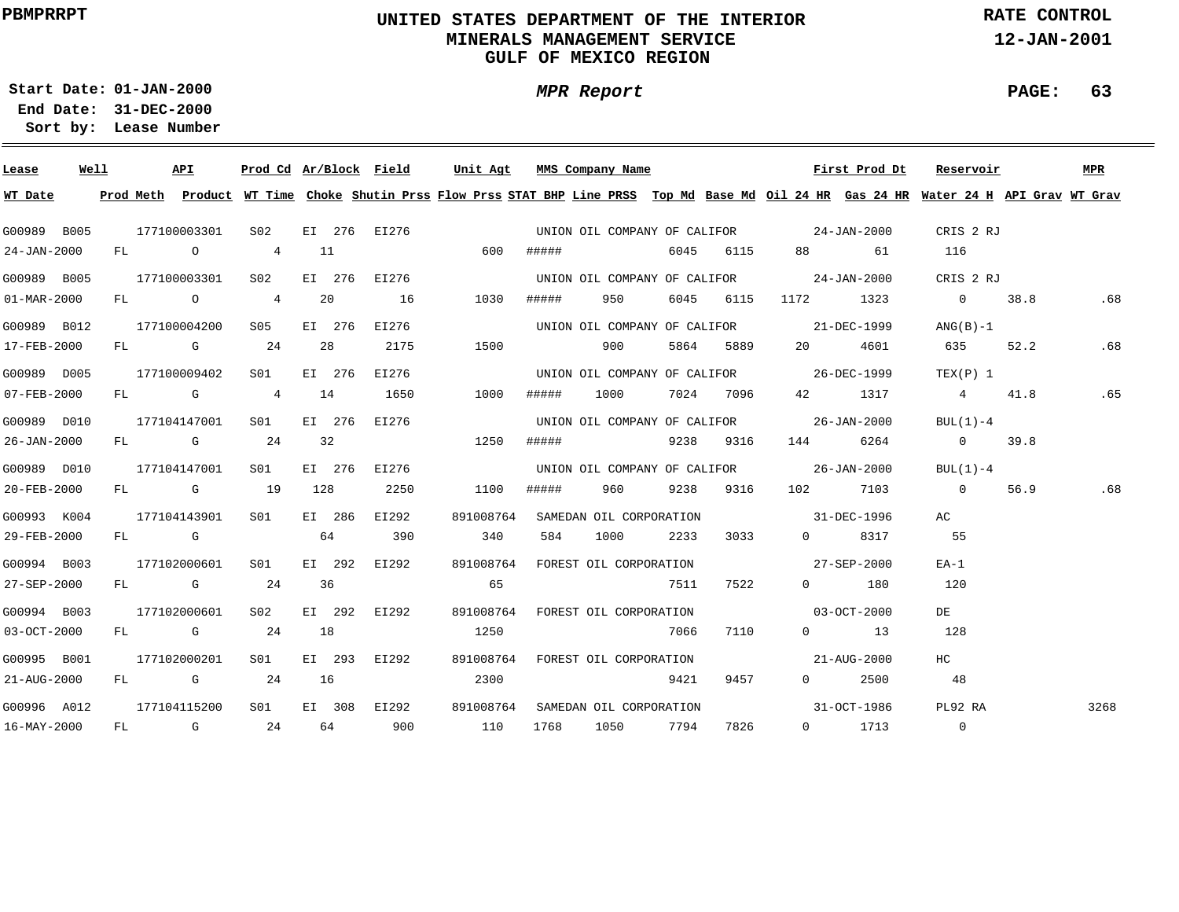# **UNITED STATES DEPARTMENT OF THE INTERIOR MINERALS MANAGEMENT SERVICEGULF OF MEXICO REGION**

**RATE CONTROL**

**12-JAN-2001**

**PAGE: 63**

**01-JAN-2000Start Date:31-DEC-2000 End Date:** 

**Lease Number Sort by:**

| Lease                    | Well |              | API          |                 |        |         | Prod Cd Ar/Block Field | Unit Agt                                                |       | MMS Company Name                         |      |           |                       | First Prod Dt        | Reservoir                                                                                                                                                                                                                                                                                                                                                                           |      | <b>MPR</b> |
|--------------------------|------|--------------|--------------|-----------------|--------|---------|------------------------|---------------------------------------------------------|-------|------------------------------------------|------|-----------|-----------------------|----------------------|-------------------------------------------------------------------------------------------------------------------------------------------------------------------------------------------------------------------------------------------------------------------------------------------------------------------------------------------------------------------------------------|------|------------|
| WT Date                  |      |              |              |                 |        |         |                        |                                                         |       |                                          |      |           |                       |                      | Prod Meth Product WT Time Choke Shutin Prss Flow Prss STAT BHP Line PRSS Top Md Base Md Oil 24 HR Gas 24 HR Water 24 H API Grav WT Grav                                                                                                                                                                                                                                             |      |            |
| G00989 B005              |      |              | 177100003301 | S02             |        |         |                        | EI 276 EI276 CONDION OIL COMPANY OF CALIFOR 24-JAN-2000 |       |                                          |      |           |                       |                      | CRIS 2 RJ                                                                                                                                                                                                                                                                                                                                                                           |      |            |
| 24-JAN-2000              |      |              |              | FL 0 4 11       |        |         |                        | 600                                                     | ##### |                                          |      | 6045 6115 | 88 — 100              | 61                   | 116                                                                                                                                                                                                                                                                                                                                                                                 |      |            |
| G00989 B005              |      |              | 177100003301 | S02             |        |         | EI 276 EI276           |                                                         |       | UNION OIL COMPANY OF CALIFOR 24-JAN-2000 |      |           |                       |                      | CRIS 2 RJ                                                                                                                                                                                                                                                                                                                                                                           |      |            |
| $01 - \text{MAR} - 2000$ |      |              | FL O 4       |                 | 20     |         | 16                     | 1030                                                    | ##### | 950                                      |      | 6045 6115 | 1172 1323             |                      | $\overline{0}$                                                                                                                                                                                                                                                                                                                                                                      | 38.8 | .68        |
| G00989 B012              |      |              | 177100004200 | S05 - 1         | EI 276 |         | EI276                  |                                                         |       | UNION OIL COMPANY OF CALIFOR 21-DEC-1999 |      |           |                       |                      | $ANG(B)-1$                                                                                                                                                                                                                                                                                                                                                                          |      |            |
| 17-FEB-2000              |      |              | FL G 24      |                 | 28     |         | 2175                   | 1500                                                    |       | 900                                      |      | 5864 5889 | 20                    | 4601                 | 635 — 1                                                                                                                                                                                                                                                                                                                                                                             | 52.2 | .68        |
| G00989 D005              |      |              | 177100009402 | S01             | EI 276 |         | EI276                  |                                                         |       | UNION OIL COMPANY OF CALIFOR 26-DEC-1999 |      |           |                       |                      | TEX(P) 1                                                                                                                                                                                                                                                                                                                                                                            |      |            |
| 07-FEB-2000              |      |              | FL G 4       |                 | 14     |         | 1650                   | 1000                                                    | ##### | 1000                                     |      | 7024 7096 |                       | 42 1317              | $4\phantom{.0000}\phantom{.0000}\phantom{.0000}\phantom{.0000}\phantom{.0000}\phantom{.0000}\phantom{.0000}\phantom{.0000}\phantom{.0000}\phantom{.0000}\phantom{.0000}\phantom{.0000}\phantom{.0000}\phantom{.0000}\phantom{.0000}\phantom{.0000}\phantom{.0000}\phantom{.0000}\phantom{.0000}\phantom{.0000}\phantom{.0000}\phantom{.0000}\phantom{.0000}\phantom{.0000}\phantom$ | 41.8 | .65        |
| G00989 D010              |      |              | 177104147001 | SO1 SO          | EI 276 |         | EI276                  |                                                         |       | UNION OIL COMPANY OF CALIFOR 26-JAN-2000 |      |           |                       |                      | $BUL(1)-4$                                                                                                                                                                                                                                                                                                                                                                          |      |            |
| 26-JAN-2000              |      |              | FL G 24      |                 | 32     |         |                        | 1250                                                    | ##### |                                          |      | 9238 9316 | 144                   | 6264                 | $\overline{0}$                                                                                                                                                                                                                                                                                                                                                                      | 39.8 |            |
| G00989 D010              |      |              | 177104147001 | S <sub>01</sub> | EI 276 |         | EI276                  |                                                         |       | UNION OIL COMPANY OF CALIFOR 26-JAN-2000 |      |           |                       |                      | BUL(1)-4                                                                                                                                                                                                                                                                                                                                                                            |      |            |
| 20-FEB-2000              |      |              | FL G         | 19              | 128    |         | 2250                   | 1100                                                    | ##### | 960 —                                    |      | 9238 9316 |                       | 102 7103             | $\overline{0}$                                                                                                                                                                                                                                                                                                                                                                      | 56.9 | .68        |
| G00993 K004              |      |              | 177104143901 | SO1             | EI 286 |         | EI292                  | 891008764                                               |       | SAMEDAN OIL CORPORATION                  |      |           | $31 - DEC - 1996$     |                      | AC.                                                                                                                                                                                                                                                                                                                                                                                 |      |            |
| 29-FEB-2000              |      |              | FL G         |                 | 64     |         | 390                    | 340                                                     | 584   | 1000                                     |      | 2233 3033 | $\Omega$ and $\Omega$ | 8317                 | 55                                                                                                                                                                                                                                                                                                                                                                                  |      |            |
| G00994 B003              |      |              | 177102000601 | S01             | EI 292 |         | EI292                  | 891008764                                               |       | FOREST OIL CORPORATION                   |      |           | $27 - SEP - 2000$     |                      | $EA-1$                                                                                                                                                                                                                                                                                                                                                                              |      |            |
| 27-SEP-2000              |      |              | $FL$ G 24    |                 | 36     |         |                        | 65                                                      |       |                                          | 7511 | 7522      |                       | $0$ 180              | 120                                                                                                                                                                                                                                                                                                                                                                                 |      |            |
| G00994 B003              |      | 177102000601 |              | S <sub>02</sub> |        | EI 292  | EI292                  | 891008764                                               |       | FOREST OIL CORPORATION                   |      |           | $03 - OCT - 2000$     |                      | DE                                                                                                                                                                                                                                                                                                                                                                                  |      |            |
| 03-OCT-2000              |      |              | FL G         | 24              | 18     |         |                        | 1250                                                    |       |                                          | 7066 | 7110      |                       | $0 \qquad \qquad 13$ | 128                                                                                                                                                                                                                                                                                                                                                                                 |      |            |
| G00995 B001              |      |              | 177102000201 | S <sub>01</sub> |        | EI 293  | EI292                  |                                                         |       | 891008764 FOREST OIL CORPORATION         |      |           |                       | $21 - AUG - 2000$    | HC                                                                                                                                                                                                                                                                                                                                                                                  |      |            |
| 21-AUG-2000              |      |              | $FL$ G 24    |                 | 16     |         |                        | 2300                                                    |       |                                          | 9421 | 9457      |                       | $0 \t 2500$          | 48                                                                                                                                                                                                                                                                                                                                                                                  |      |            |
| G00996 A012              |      |              | 177104115200 | SO1             | EI 308 |         | EI292                  | 891008764                                               |       | SAMEDAN OIL CORPORATION                  |      |           |                       | 31-OCT-1986          | PL92 RA                                                                                                                                                                                                                                                                                                                                                                             |      | 3268       |
| 16-MAY-2000              |      |              | $FL$ G 24    |                 |        | 64 — 10 | 900                    | 110                                                     | 1768  | 1050                                     | 7794 | 7826      |                       | $0 \t 1713$          | $\overline{0}$                                                                                                                                                                                                                                                                                                                                                                      |      |            |

**MPR Report**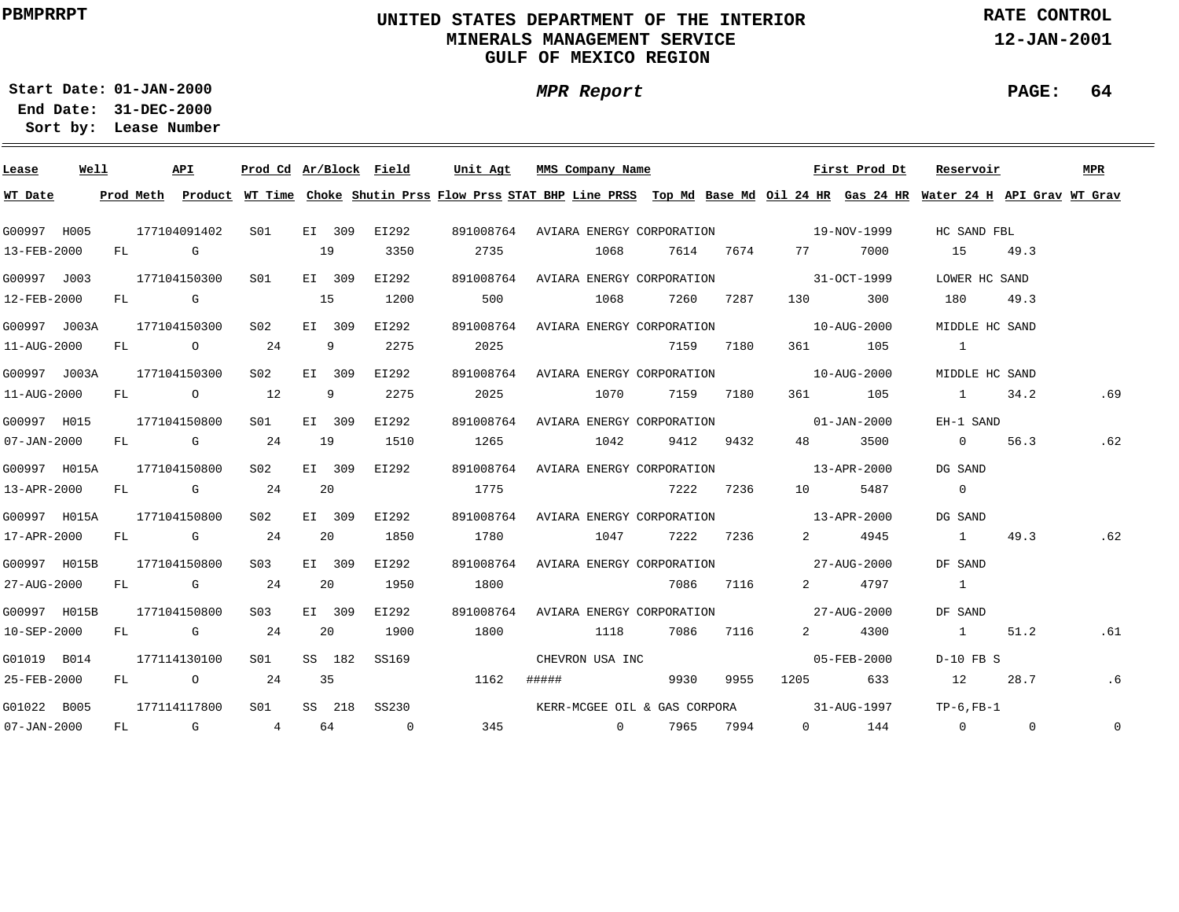# **UNITED STATES DEPARTMENT OF THE INTERIOR MINERALS MANAGEMENT SERVICEGULF OF MEXICO REGION**

**MPR Report**

**RATE CONTROL**

**12-JAN-2001**

**PAGE: 64**

**01-JAN-2000Start Date:31-DEC-2000 End Date:** 

| Lease             | Well |  | API          | Prod Cd Ar/Block Field |        |        |              | Unit Agt |                 | MMS Company Name |                 |           |                                                 | First Prod Dt | Reservoir                                                                                                                               |      | MPR            |
|-------------------|------|--|--------------|------------------------|--------|--------|--------------|----------|-----------------|------------------|-----------------|-----------|-------------------------------------------------|---------------|-----------------------------------------------------------------------------------------------------------------------------------------|------|----------------|
| WT Date           |      |  |              |                        |        |        |              |          |                 |                  |                 |           |                                                 |               | Prod Meth Product WT Time Choke Shutin Prss Flow Prss STAT BHP Line PRSS Top Md Base Md Oil 24 HR Gas 24 HR Water 24 H API Grav WT Grav |      |                |
| G00997 H005       |      |  | 177104091402 | S01                    | EI 309 |        | EI292        |          |                 |                  |                 |           | 891008764 AVIARA ENERGY CORPORATION 19-NOV-1999 |               | HC SAND FBL                                                                                                                             |      |                |
| 13-FEB-2000       |      |  | FL G         |                        | 19     |        | 3350         | 2735     |                 | 1068             |                 |           | 7614 7674 77 7000                               |               | 15                                                                                                                                      | 49.3 |                |
| G00997 J003       |      |  | 177104150300 | SO1                    | EI 309 |        | EI292        |          |                 |                  |                 |           | 891008764 AVIARA ENERGY CORPORATION 31-OCT-1999 |               | LOWER HC SAND                                                                                                                           |      |                |
| 12-FEB-2000       |      |  | FL G         |                        | 15     |        | 1200         | 500      |                 | 1068             |                 | 7260 7287 |                                                 | 130 300       | 180                                                                                                                                     | 49.3 |                |
| G00997 J003A      |      |  | 177104150300 | S02                    | EI 309 |        | EI292        |          |                 |                  |                 |           | 891008764 AVIARA ENERGY CORPORATION 10-AUG-2000 |               | MIDDLE HC SAND                                                                                                                          |      |                |
| 11-AUG-2000       |      |  | FL 0 24      |                        | 9      |        | 2275         | 2025     |                 |                  |                 | 7159 7180 |                                                 | 361 105       | $\sim$ 1                                                                                                                                |      |                |
| G00997 J003A      |      |  | 177104150300 | S02                    |        | EI 309 | EI292        |          |                 |                  |                 |           | 891008764 AVIARA ENERGY CORPORATION 10-AUG-2000 |               | MIDDLE HC SAND                                                                                                                          |      |                |
| 11-AUG-2000       |      |  | FL 0 12      |                        |        | 9      | 2275         |          | 2025 and $\sim$ |                  | 1070 7159 7180  |           |                                                 | 361 105       | 1 34.2                                                                                                                                  |      | .69            |
| G00997 H015       |      |  | 177104150800 | S01 <b>S</b>           | EI 309 |        | EI292        |          |                 |                  |                 |           | 891008764 AVIARA ENERGY CORPORATION 01-JAN-2000 |               | EH-1 SAND                                                                                                                               |      |                |
| $07 - JAN - 2000$ |      |  | $FL$ G 24    |                        | 19     |        | 1510         | 1265     |                 | 1042             | 9412            | 9432      | 48 — 18                                         | 3500          | $\overline{0}$                                                                                                                          | 56.3 | .62            |
| G00997 H015A      |      |  | 177104150800 | S02                    | EI 309 |        | EI292        |          |                 |                  |                 |           | 891008764 AVIARA ENERGY CORPORATION 13-APR-2000 |               | DG SAND                                                                                                                                 |      |                |
| 13-APR-2000       |      |  | FL G 24      |                        | 20     |        |              | 1775     |                 |                  |                 | 7222 7236 |                                                 | 10 5487       | $\overline{0}$                                                                                                                          |      |                |
| G00997 H015A      |      |  | 177104150800 | S02                    | EI 309 |        | EI292        |          |                 |                  |                 |           | 891008764 AVIARA ENERGY CORPORATION 13-APR-2000 |               | DG SAND                                                                                                                                 |      |                |
| 17-APR-2000       |      |  | $FL$ G 24    |                        | 20     |        | 1850         | 1780     |                 |                  | 1047 7222 7236  |           |                                                 | 2 4945        | $\sim$ 1                                                                                                                                | 49.3 | .62            |
| G00997 H015B      |      |  | 177104150800 | S03 -                  | EI 309 |        | EI292        |          |                 |                  |                 |           | 891008764 AVIARA ENERGY CORPORATION 27-AUG-2000 |               | DF SAND                                                                                                                                 |      |                |
| 27-AUG-2000       |      |  | $FL$ G 24    |                        | 20     |        | 1950         | 1800     |                 |                  |                 | 7086 7116 |                                                 | 2 4797        | $\sim$ 1                                                                                                                                |      |                |
| G00997 H015B      |      |  | 177104150800 | S <sub>03</sub>        | EI 309 |        | EI292        |          |                 |                  |                 |           | 891008764 AVIARA ENERGY CORPORATION 27-AUG-2000 |               | DF SAND                                                                                                                                 |      |                |
| 10-SEP-2000       |      |  | FL G 24      |                        | 20     |        | 1900         | 1800     |                 | 1118             |                 | 7086 7116 |                                                 | 2 4300        | 1                                                                                                                                       | 51.2 | .61            |
| G01019 B014       |      |  | 177114130100 | S01 <b>S</b>           |        | SS 182 | SS169        |          |                 | CHEVRON USA INC  |                 |           |                                                 | 05-FEB-2000   | $D-10$ FB S                                                                                                                             |      |                |
| 25-FEB-2000       |      |  | FL 0 24      |                        | 35     |        |              | 1162     |                 |                  | ##### 9930      | 9955      |                                                 | 1205 633      | 12                                                                                                                                      | 28.7 | .6             |
| G01022 B005       |      |  | 177114117800 | S01                    |        |        | SS 218 SS230 |          |                 |                  |                 |           |                                                 |               | KERR-MCGEE OIL & GAS CORPORA 31-AUG-1997 TP-6, FB-1                                                                                     |      |                |
| $07 - JAN - 2000$ |      |  | $FL$ G 4     |                        |        |        | 64 0         |          |                 |                  | 345 0 7965 7994 |           |                                                 | $0$ 144       | $\overline{0}$ 0                                                                                                                        |      | $\overline{0}$ |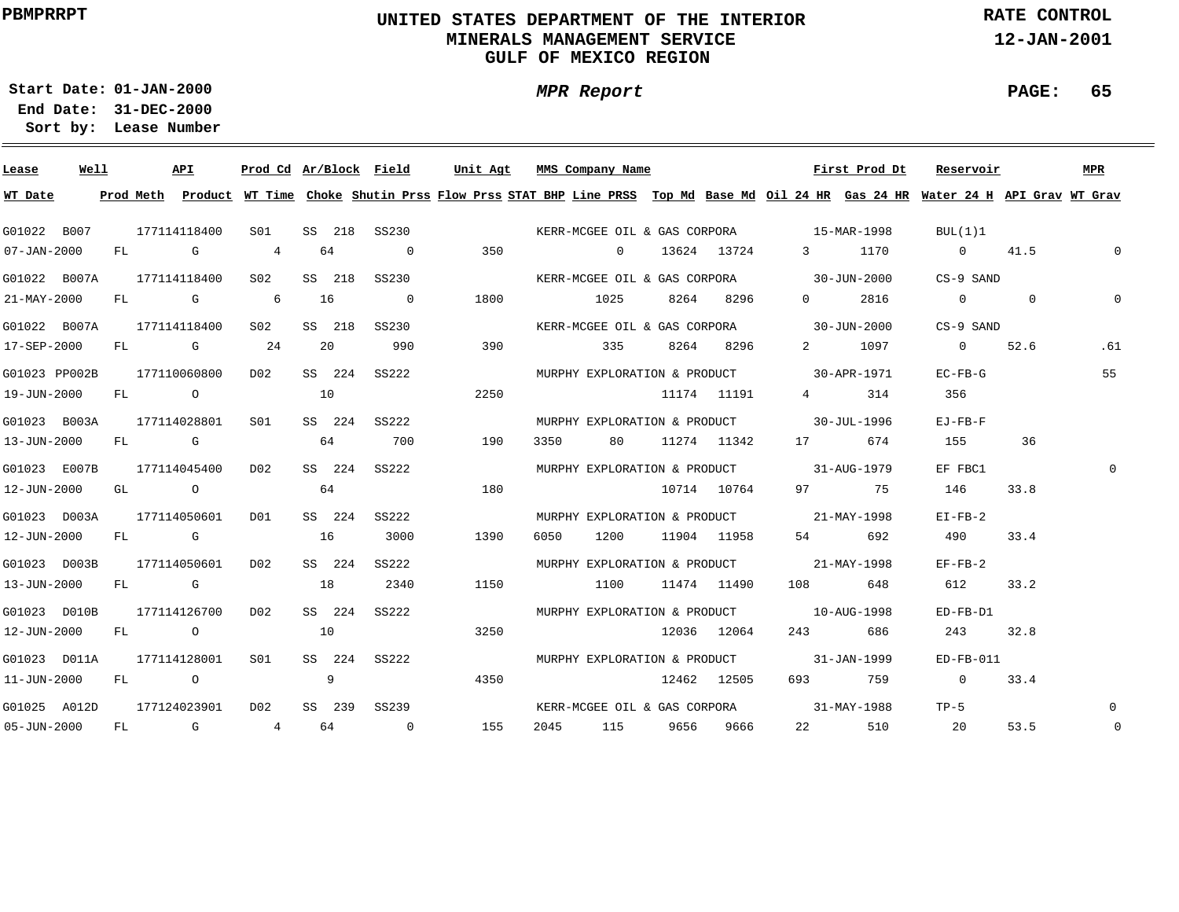# **UNITED STATES DEPARTMENT OF THE INTERIOR MINERALS MANAGEMENT SERVICEGULF OF MEXICO REGION**

**MPR Report**

**RATE CONTROL**

**12-JAN-2001**

**PAGE: 65**

**01-JAN-2000Start Date:**

| Lease             | Well |    |              | API                                                                                                                                                                                                                            |                |        |        | Prod Cd Ar/Block Field |      |      | Unit Agt MMS Company Name |             |                                          | First Prod Dt                                                                                                                           | Reservoir      |          | MPR         |
|-------------------|------|----|--------------|--------------------------------------------------------------------------------------------------------------------------------------------------------------------------------------------------------------------------------|----------------|--------|--------|------------------------|------|------|---------------------------|-------------|------------------------------------------|-----------------------------------------------------------------------------------------------------------------------------------------|----------------|----------|-------------|
| WT Date           |      |    |              |                                                                                                                                                                                                                                |                |        |        |                        |      |      |                           |             |                                          | Prod Meth Product WT Time Choke Shutin Prss Flow Prss STAT BHP Line PRSS Top Md Base Md Oil 24 HR Gas 24 HR Water 24 H API Grav WT Grav |                |          |             |
| G01022 B007       |      |    | 177114118400 |                                                                                                                                                                                                                                | S01            |        |        | SS 218 SS230           |      |      |                           |             | KERR-MCGEE OIL & GAS CORPORA 15-MAR-1998 |                                                                                                                                         | BUL(1)1        |          |             |
| $07 - JAN - 2000$ |      |    | FL G         |                                                                                                                                                                                                                                | 4              | 64     |        | $\overline{0}$         | 350  |      | $\overline{0}$            | 13624 13724 |                                          | 3 1170                                                                                                                                  | $0 \t 41.5$    |          | $\Omega$    |
| G01022 B007A      |      |    | 177114118400 |                                                                                                                                                                                                                                | S02            | SS 218 |        | SS230                  |      |      |                           |             | KERR-MCGEE OIL & GAS CORPORA 30-JUN-2000 |                                                                                                                                         | CS-9 SAND      |          |             |
| 21-MAY-2000       |      |    |              | FL G                                                                                                                                                                                                                           | $\sim$ 6       | 16     |        | $\overline{0}$         | 1800 |      | 1025                      | 8264 8296   | $0 \qquad \qquad$                        | 2816                                                                                                                                    | $\overline{0}$ | $\Omega$ |             |
| G01022 B007A      |      |    | 177114118400 |                                                                                                                                                                                                                                | S02            |        | SS 218 | SS230                  |      |      |                           |             | KERR-MCGEE OIL & GAS CORPORA 30-JUN-2000 |                                                                                                                                         | CS-9 SAND      |          |             |
| 17-SEP-2000       |      | FL |              | and the control of the control of the control of the control of the control of the control of the control of the control of the control of the control of the control of the control of the control of the control of the cont | 24             | 20     |        | 990                    | 390  |      | 335 — 1                   | 8264 8296   | $2 \left( \frac{1}{2} \right)$           | 1097                                                                                                                                    | $\overline{0}$ | 52.6     | .61         |
| G01023 PP002B     |      |    | 177110060800 |                                                                                                                                                                                                                                | D02            | SS 224 |        | SS222                  |      |      |                           |             | MURPHY EXPLORATION & PRODUCT 30-APR-1971 |                                                                                                                                         | $EC-FB-G$      |          | 55          |
| 19-JUN-2000       |      |    | FL O         |                                                                                                                                                                                                                                | 10             |        |        |                        | 2250 |      |                           | 11174 11191 | $\frac{4}{1}$                            | 314                                                                                                                                     | 356            |          |             |
| G01023 B003A      |      |    | 177114028801 |                                                                                                                                                                                                                                | SO1            |        | SS 224 | SS222                  |      |      |                           |             | MURPHY EXPLORATION & PRODUCT 30-JUL-1996 |                                                                                                                                         | EJ-FB-F        |          |             |
| 13-JUN-2000       |      |    | FL G         |                                                                                                                                                                                                                                |                | 64     |        | 700                    | 190  |      | 3350 80 11274 11342       |             |                                          | 17 674                                                                                                                                  | 155            | 36       |             |
| G01023 E007B      |      |    | 177114045400 |                                                                                                                                                                                                                                | D02            | SS 224 |        | SS222                  |      |      |                           |             | MURPHY EXPLORATION & PRODUCT 31-AUG-1979 |                                                                                                                                         | EF FBC1        |          |             |
| 12-JUN-2000       |      |    | GL O         |                                                                                                                                                                                                                                |                | 64     |        |                        | 180  |      |                           | 10714 10764 |                                          | 97 75                                                                                                                                   | 146            | 33.8     |             |
| G01023 D003A      |      |    | 177114050601 |                                                                                                                                                                                                                                | DO1            | SS 224 |        | SS222                  |      |      |                           |             | MURPHY EXPLORATION & PRODUCT 21-MAY-1998 |                                                                                                                                         | $EI-FB-2$      |          |             |
| 12-JUN-2000       |      |    | FL G         |                                                                                                                                                                                                                                |                | 16     |        | 3000                   | 1390 | 6050 | 1200                      |             | 11904 11958 54                           | 692                                                                                                                                     | 490            | 33.4     |             |
| G01023 D003B      |      |    | 177114050601 |                                                                                                                                                                                                                                | DO 2           | SS 224 |        | SS222                  |      |      |                           |             | MURPHY EXPLORATION & PRODUCT 21-MAY-1998 |                                                                                                                                         | EF-FB-2        |          |             |
| 13-JUN-2000       |      |    | FL G         |                                                                                                                                                                                                                                |                | 18     |        | 2340                   | 1150 |      | 1100                      | 11474 11490 | 108 30                                   | 648                                                                                                                                     | 612            | 33.2     |             |
| G01023 D010B      |      |    | 177114126700 |                                                                                                                                                                                                                                | DO 2           |        | SS 224 | SS222                  |      |      |                           |             | MURPHY EXPLORATION & PRODUCT 10-AUG-1998 |                                                                                                                                         | $ED-FB-D1$     |          |             |
| 12-JUN-2000       |      |    | FL O         |                                                                                                                                                                                                                                |                | 10     |        |                        | 3250 |      |                           | 12036 12064 | 243                                      | 686                                                                                                                                     | 243            | 32.8     |             |
| G01023 D011A      |      |    | 177114128001 |                                                                                                                                                                                                                                | SO1            |        | SS 224 | SS222                  |      |      |                           |             | MURPHY EXPLORATION & PRODUCT 31-JAN-1999 |                                                                                                                                         | $ED-FB-011$    |          |             |
| 11-JUN-2000       |      | FL |              | $\overline{O}$                                                                                                                                                                                                                 |                | 9      |        |                        | 4350 |      |                           | 12462 12505 |                                          | 693 759                                                                                                                                 | $\overline{0}$ | 33.4     |             |
| G01025 A012D      |      |    | 177124023901 |                                                                                                                                                                                                                                | D02            | SS 239 |        | SS239                  |      |      |                           |             | KERR-MCGEE OIL & GAS CORPORA 31-MAY-1988 |                                                                                                                                         | $TP-5$         |          | $\Omega$    |
| 05-JUN-2000       |      | FL |              | and the Company of the Company of the Company of the Company of the Company of the Company of the Company of the Company of the Company of the Company of the Company of the Company of the Company of the Company of the Comp | $\overline{4}$ | 64     |        | $\overline{0}$         | 155  | 2045 | 115                       | 9656 9666   | 22                                       |                                                                                                                                         | 510 20         | 53.5     | $\mathbf 0$ |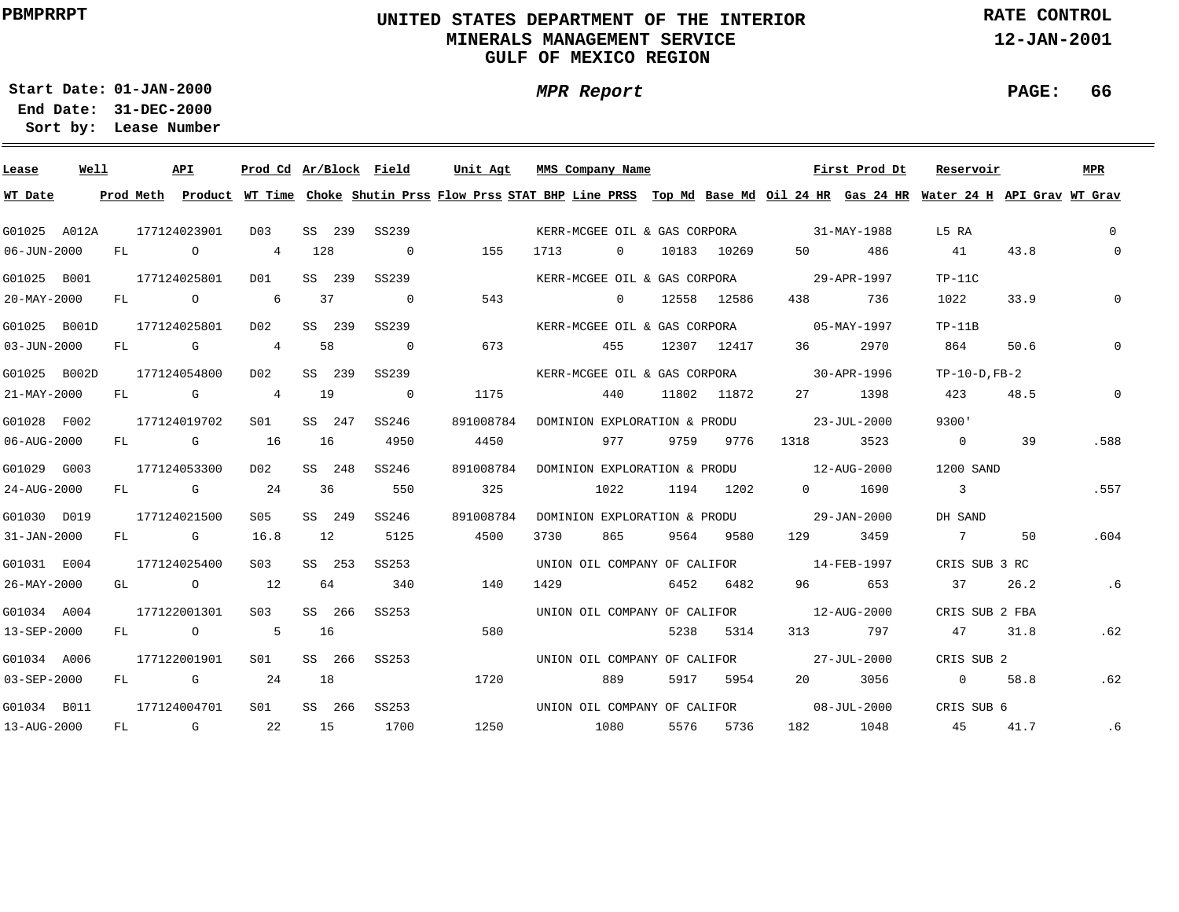# **UNITED STATES DEPARTMENT OF THE INTERIOR MINERALS MANAGEMENT SERVICEGULF OF MEXICO REGION**

**MPR Report**

**RATE CONTROL**

**12-JAN-2001**

**PAGE: 66**

**01-JAN-2000Start Date:**

| Lease        | Well |     |           | API          | Prod Cd Ar/Block Field |        |                | Unit Agt  | MMS Company Name                     |          |      |             |                          | First Prod Dt            | Reservoir                                                                                                                     |      | MPR         |
|--------------|------|-----|-----------|--------------|------------------------|--------|----------------|-----------|--------------------------------------|----------|------|-------------|--------------------------|--------------------------|-------------------------------------------------------------------------------------------------------------------------------|------|-------------|
| WT Date      |      |     | Prod Meth |              |                        |        |                |           |                                      |          |      |             |                          |                          | Product WT Time Choke Shutin Prss Flow Prss STAT BHP Line PRSS Top Md Base Md Oil 24 HR Gas 24 HR Water 24 H API Grav WT Grav |      |             |
| G01025 A012A |      |     |           | 177124023901 | D03                    | SS 239 | SS239          |           | KERR-MCGEE OIL & GAS CORPORA         |          |      |             | $31 - MAX - 1988$        |                          | L5 RA                                                                                                                         |      | $\Omega$    |
| 06-JUN-2000  |      | FL  |           | $\circ$      | 4                      | 128    | $\overline{0}$ | 155       | 1713                                 | $\Omega$ |      | 10183 10269 | 50                       | 486                      | 41                                                                                                                            | 43.8 | $\Omega$    |
| G01025 B001  |      |     |           | 177124025801 | DO1                    | SS 239 | SS239          |           | KERR-MCGEE OIL & GAS CORPORA         |          |      |             |                          | 29-APR-1997              | $TP-11C$                                                                                                                      |      |             |
| 20-MAY-2000  |      | FL  |           | $\circ$      | 6                      | 37     | $\overline{0}$ | 543       |                                      | $\circ$  |      | 12558 12586 | 438                      | 736                      | 1022                                                                                                                          | 33.9 | $\Omega$    |
| G01025 B001D |      |     |           | 177124025801 | D02                    | SS 239 | SS239          |           | KERR-MCGEE OIL & GAS CORPORA         |          |      |             |                          | 05-MAY-1997              | $TP-11B$                                                                                                                      |      |             |
| 03-JUN-2000  |      | FL  |           | G            | $\overline{4}$         | 58     | $\overline{0}$ | 673       |                                      | 455      |      | 12307 12417 | 36                       | 2970                     | 864                                                                                                                           | 50.6 | $\Omega$    |
| G01025 B002D |      |     |           | 177124054800 | D <sub>02</sub>        | SS 239 | SS239          |           | KERR-MCGEE OIL & GAS CORPORA         |          |      |             |                          | 30-APR-1996              | $TP-10-D$ , $FB-2$                                                                                                            |      |             |
| 21-MAY-2000  |      | FL  |           | G            | $\overline{4}$         | 19     | $\overline{0}$ | 1175      |                                      | 440      |      | 11802 11872 | 27                       | 1398                     | 423                                                                                                                           | 48.5 | $\mathbf 0$ |
| G01028 F002  |      |     |           | 177124019702 | SO1                    | SS 247 | SS246          | 891008784 | DOMINION EXPLORATION & PRODU         |          |      |             | $23 - JUL - 2000$        |                          | 9300'                                                                                                                         |      |             |
| 06-AUG-2000  |      | FL  |           | <b>G</b> G   | 16                     | 16     | 4950           | 4450      |                                      | 977      | 9759 | 9776        | 1318                     | 3523                     | $\overline{0}$                                                                                                                | 39   | .588        |
| G01029 G003  |      |     |           | 177124053300 | D02                    | SS 248 | SS246          | 891008784 | DOMINION EXPLORATION & PRODU         |          |      |             | $12 - \text{AUG} - 2000$ |                          | 1200 SAND                                                                                                                     |      |             |
| 24-AUG-2000  |      | FL  |           | G            | 24                     | 36     | 550            | 325       |                                      | 1022     | 1194 | 1202        | $\Omega$                 | 1690                     | $\overline{\phantom{a}}$                                                                                                      |      | .557        |
| G01030 D019  |      |     |           | 177124021500 | S05                    | SS 249 | SS246          | 891008784 | DOMINION EXPLORATION & PRODU         |          |      |             |                          | 29-JAN-2000              | DH SAND                                                                                                                       |      |             |
| 31-JAN-2000  |      | FL  |           | $G$ and $G$  | 16.8                   | 12     | 5125           | 4500      | 3730                                 | 865      | 9564 | 9580        | 129                      | 3459                     | $7\overline{)}$                                                                                                               | 50   | .604        |
| G01031 E004  |      |     |           | 177124025400 | S <sub>03</sub>        | SS 253 | SS253          |           |                                      |          |      |             |                          | $14 - \text{FEB} - 1997$ |                                                                                                                               |      |             |
| 26-MAY-2000  |      | GL  |           | $\circ$      | 12                     | 64     | 340            | 140       | UNION OIL COMPANY OF CALIFOR<br>1429 |          | 6452 | 6482        | 96                       | 653                      | CRIS SUB 3 RC<br>37                                                                                                           | 26.2 | .6          |
|              |      |     |           |              |                        |        |                |           |                                      |          |      |             |                          |                          |                                                                                                                               |      |             |
| G01034 A004  |      |     |           | 177122001301 | S <sub>03</sub>        | SS 266 | SS253          |           | UNION OIL COMPANY OF CALIFOR         |          |      |             |                          | 12-AUG-2000              | CRIS SUB 2 FBA                                                                                                                |      |             |
| 13-SEP-2000  |      | FL. |           | $\circ$      | 5                      | 16     |                | 580       |                                      |          | 5238 | 5314        | 313                      | 797                      | 47                                                                                                                            | 31.8 | .62         |
| G01034 A006  |      |     |           | 177122001901 | S01                    | SS 266 | SS253          |           | UNION OIL COMPANY OF CALIFOR         |          |      |             |                          | 27-JUL-2000              | CRIS SUB 2                                                                                                                    |      |             |
| 03-SEP-2000  |      | FL  |           | G            | 24                     | 18     |                | 1720      |                                      | 889      | 5917 | 5954        | 20                       | 3056                     | $\Omega$                                                                                                                      | 58.8 | .62         |
| G01034 B011  |      |     |           | 177124004701 | S01                    | SS 266 | SS253          |           | UNION OIL COMPANY OF CALIFOR         |          |      |             |                          | 08-JUL-2000              | CRIS SUB 6                                                                                                                    |      |             |
| 13-AUG-2000  |      | FL  |           | G            | 22                     | 15     | 1700           | 1250      |                                      | 1080     | 5576 | 5736        | 182                      | 1048                     | 45                                                                                                                            | 41.7 | .6          |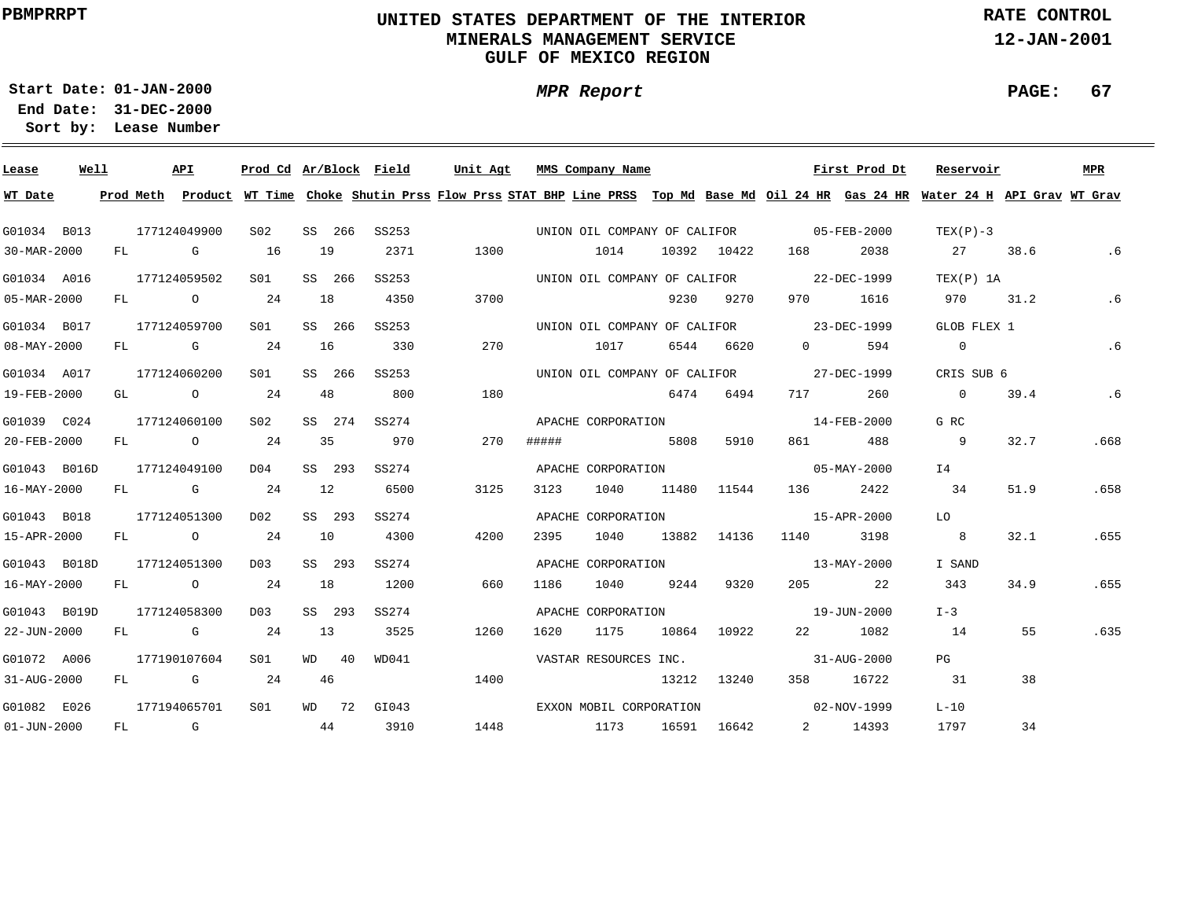# **UNITED STATES DEPARTMENT OF THE INTERIOR MINERALS MANAGEMENT SERVICEGULF OF MEXICO REGION**

**MPR Report**

**RATE CONTROL**

**12-JAN-2001**

**PAGE: 67**

**01-JAN-2000Start Date:**

| Lease             | Well |    | API            |                | Prod Cd Ar/Block Field |    |         |       | Unit Agt |       | MMS Company Name             |       |             |                                          | First Prod Dt                            | Reservoir                                                                                                                               |      | MPR  |
|-------------------|------|----|----------------|----------------|------------------------|----|---------|-------|----------|-------|------------------------------|-------|-------------|------------------------------------------|------------------------------------------|-----------------------------------------------------------------------------------------------------------------------------------------|------|------|
| WT Date           |      |    |                |                |                        |    |         |       |          |       |                              |       |             |                                          |                                          | Prod Meth Product WT Time Choke Shutin Prss Flow Prss STAT BHP Line PRSS Top Md Base Md Oil 24 HR Gas 24 HR Water 24 H API Grav WT Grav |      |      |
| G01034 B013       |      |    | 177124049900   |                | S <sub>02</sub>        |    | SS 266  | SS253 |          |       |                              |       |             | UNION OIL COMPANY OF CALIFOR 65-FEB-2000 |                                          | $TEX(P)-3$                                                                                                                              |      |      |
| 30-MAR-2000       |      | FL |                | G              | 16                     |    | 19      | 2371  | 1300     |       | 1014                         |       | 10392 10422 | 168                                      | 2038                                     | 27                                                                                                                                      | 38.6 | .6   |
|                   |      |    |                |                |                        |    |         |       |          |       |                              |       |             |                                          |                                          |                                                                                                                                         |      |      |
| G01034 A016       |      |    | 177124059502   |                | S01                    |    | SS 266  | SS253 |          |       | UNION OIL COMPANY OF CALIFOR |       |             | 22-DEC-1999                              |                                          | TEX(P) 1A                                                                                                                               |      |      |
| 05-MAR-2000       |      | FL | $\overline{O}$ |                | 24                     |    | 18      | 4350  | 3700     |       |                              | 9230  | 9270        | 970 —                                    | 1616                                     | 970                                                                                                                                     | 31.2 | .6   |
| G01034 B017       |      |    | 177124059700   |                | S01                    |    | SS 266  | SS253 |          |       | UNION OIL COMPANY OF CALIFOR |       |             | 23-DEC-1999                              |                                          | GLOB FLEX 1                                                                                                                             |      |      |
| 08-MAY-2000       |      | FL | <b>G</b>       |                | 24                     | 16 |         | 330   | 270      |       | 1017                         |       | 6544 6620   | $\Omega$                                 | 594                                      | $\overline{0}$                                                                                                                          |      | .6   |
| G01034 A017       |      |    | 177124060200   |                | S01                    |    | SS 266  | SS253 |          |       | UNION OIL COMPANY OF CALIFOR |       |             | 27-DEC-1999                              |                                          | CRIS SUB 6                                                                                                                              |      |      |
| 19-FEB-2000       |      |    | GL O           |                | 24                     |    | 48      | 800   | 180      |       |                              | 6474  | 6494        | 717                                      | 260                                      | $\overline{0}$                                                                                                                          | 39.4 | .6   |
| G01039 C024       |      |    | 177124060100   |                | S <sub>02</sub>        |    | SS 274  | SS274 |          |       | APACHE CORPORATION           |       |             | $14 - FEB - 2000$                        |                                          | G RC                                                                                                                                    |      |      |
| 20-FEB-2000       |      |    | FL O           |                | 24                     |    | 35      | 970   | 270      | ##### |                              | 5808  | 5910        | 861 — 100                                | 488                                      | $\overline{9}$                                                                                                                          | 32.7 | .668 |
|                   |      |    |                |                |                        |    |         |       |          |       |                              |       |             |                                          |                                          |                                                                                                                                         |      |      |
| G01043 B016D      |      |    | 177124049100   |                | D04                    |    | SS 293  | SS274 |          |       | APACHE CORPORATION           |       |             | $05 - \text{MAX} - 2000$                 |                                          | I 4                                                                                                                                     |      |      |
| 16-MAY-2000       |      | FL | <b>G</b>       |                | 24                     | 12 |         | 6500  | 3125     | 3123  | 1040                         |       | 11480 11544 | 136 — 136                                | 2422                                     | 34                                                                                                                                      | 51.9 | .658 |
| G01043 B018       |      |    | 177124051300   |                | D02                    |    | SS 293  | SS274 |          |       | APACHE CORPORATION           |       |             | $15 - APR - 2000$                        |                                          | LO                                                                                                                                      |      |      |
| 15-APR-2000       |      | FL | $\overline{O}$ |                | 24                     |    | 10      | 4300  | 4200     | 2395  | 1040                         |       | 13882 14136 | 1140                                     | 3198                                     | $\overline{8}$                                                                                                                          | 32.1 | .655 |
| G01043 B018D      |      |    | 177124051300   |                | D03                    |    | SS 293  | SS274 |          |       | APACHE CORPORATION           |       |             |                                          | 13-MAY-2000                              | I SAND                                                                                                                                  |      |      |
| 16-MAY-2000       |      | FL |                | $\overline{O}$ | 24                     |    | 18      | 1200  | 660      | 1186  | 1040                         | 9244  | 9320        | 205                                      | 22                                       | 343                                                                                                                                     | 34.9 | .655 |
| G01043 B019D      |      |    | 177124058300   |                | D03                    |    | SS 293  | SS274 |          |       | APACHE CORPORATION           |       |             |                                          | 19-JUN-2000                              | $I-3$                                                                                                                                   |      |      |
| 22-JUN-2000       |      | FL |                | $\mathbb G$    | 24                     | 13 |         | 3525  | 1260     | 1620  | 1175                         | 10864 | 10922       | 22 and $\sim$                            | 1082                                     | 14                                                                                                                                      | 55   | .635 |
|                   |      |    |                |                |                        |    |         |       |          |       |                              |       |             |                                          |                                          |                                                                                                                                         |      |      |
| G01072 A006       |      |    | 177190107604   |                | S <sub>01</sub>        |    | $WD$ 40 | WD041 |          |       | VASTAR RESOURCES INC.        |       |             |                                          | $31 - \text{A} \text{U} \text{G} - 2000$ | PG                                                                                                                                      |      |      |
| 31-AUG-2000       |      | FL | $\mathbb G$    |                | 24                     |    | 46      |       | 1400     |       |                              | 13212 | 13240       | 358                                      | 16722                                    | 31                                                                                                                                      | 38   |      |
| G01082 E026       |      |    | 177194065701   |                | S <sub>01</sub>        |    | WD 72   | GIO43 |          |       | EXXON MOBIL CORPORATION      |       |             | $02 - NOV - 1999$                        |                                          | $L-10$                                                                                                                                  |      |      |
| $01 - JUN - 2000$ |      | FL | $\mathbb G$    |                | 44                     |    |         | 3910  | 1448     |       | 1173                         |       | 16591 16642 |                                          | 2 14393                                  | 1797                                                                                                                                    | 34   |      |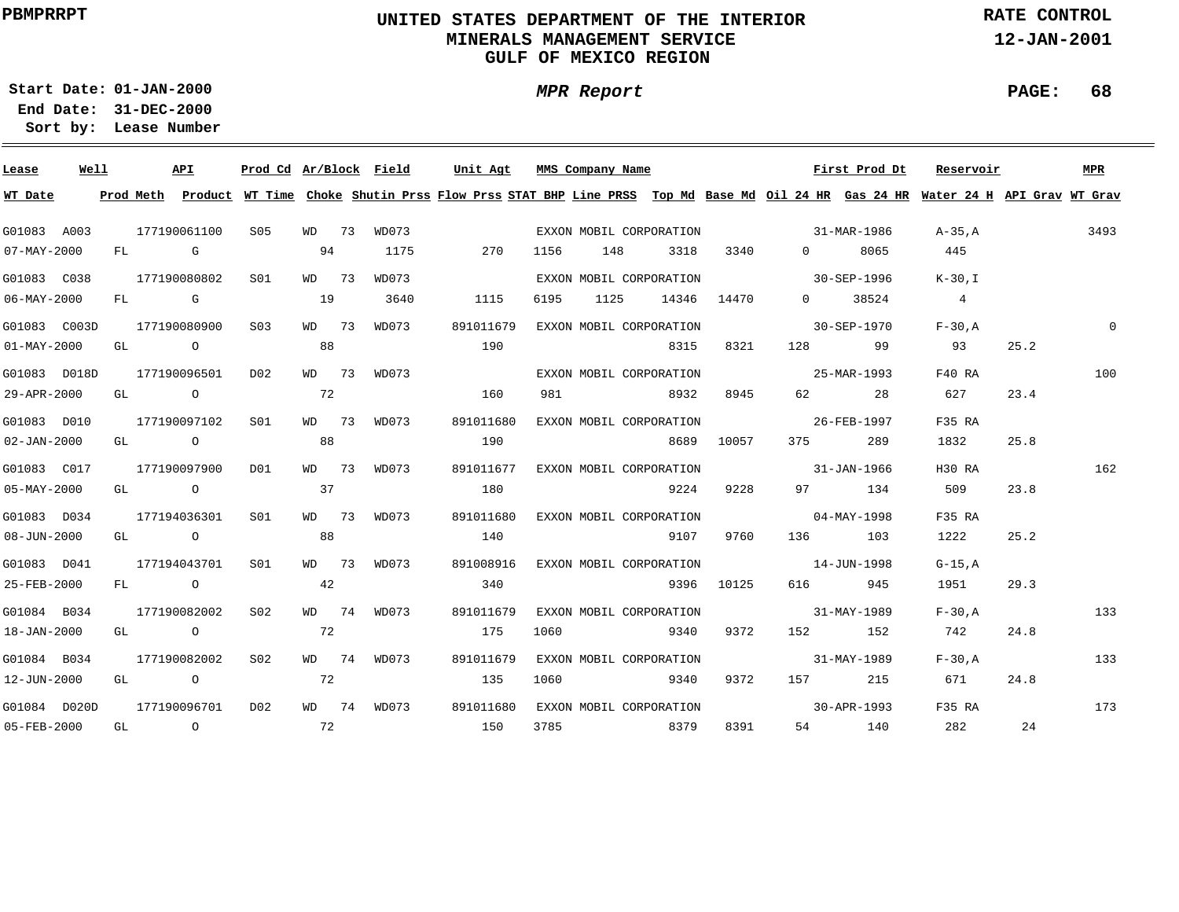# **UNITED STATES DEPARTMENT OF THE INTERIOR MINERALS MANAGEMENT SERVICEGULF OF MEXICO REGION**

**MPR Report**

**RATE CONTROL**

**12-JAN-2001**

**PAGE: 68**

**01-JAN-2000Start Date:**

| Lease             | Well |    |                                                                                                                                                                                                                                | API            | Prod Cd Ar/Block Field |       |             | Unit Agt                                                                                                                                |      | MMS Company Name |                         |            |                          | First Prod Dt | Reservoir      |      | MPR      |
|-------------------|------|----|--------------------------------------------------------------------------------------------------------------------------------------------------------------------------------------------------------------------------------|----------------|------------------------|-------|-------------|-----------------------------------------------------------------------------------------------------------------------------------------|------|------------------|-------------------------|------------|--------------------------|---------------|----------------|------|----------|
| WT Date           |      |    |                                                                                                                                                                                                                                |                |                        |       |             | Prod Meth Product WT Time Choke Shutin Prss Flow Prss STAT BHP Line PRSS Top Md Base Md Oil 24 HR Gas 24 HR Water 24 H API Grav WT Grav |      |                  |                         |            |                          |               |                |      |          |
| G01083 A003       |      |    |                                                                                                                                                                                                                                | 177190061100   | S05                    | WD 73 | WD073       |                                                                                                                                         |      |                  | EXXON MOBIL CORPORATION |            | $31 - \text{MAR} - 1986$ |               | A-35,A         |      | 3493     |
| 07-MAY-2000       |      |    | FL G                                                                                                                                                                                                                           |                |                        | 94    | 1175        | 270                                                                                                                                     | 1156 | 148              | 3318                    | 3340       | $0 \qquad \qquad$        | 8065          | 445            |      |          |
| G01083 C038       |      |    |                                                                                                                                                                                                                                | 177190080802   | S01                    | WD 73 | WD073       |                                                                                                                                         |      |                  | EXXON MOBIL CORPORATION |            | 30-SEP-1996              |               | $K-30, I$      |      |          |
| $06 - MAX - 2000$ |      | FL | and the control of the control of the control of the control of the control of the control of the control of the control of the control of the control of the control of the control of the control of the control of the cont |                |                        | 19    | 3640        | 1115                                                                                                                                    | 6195 | 1125             | 14346                   | 14470      | $\Omega$                 | 38524         | $\overline{4}$ |      |          |
| G01083 C003D      |      |    |                                                                                                                                                                                                                                | 177190080900   | S <sub>0</sub> 3       | WD 73 | WD073       | 891011679                                                                                                                               |      |                  | EXXON MOBIL CORPORATION |            |                          | 30-SEP-1970   | $F-30.A$       |      | $\Omega$ |
| $01 - MAX - 2000$ |      | GL |                                                                                                                                                                                                                                | $\overline{a}$ |                        | 88    |             | 190                                                                                                                                     |      |                  | 8315                    | 8321       | 128 3                    | 99            | 93             | 25.2 |          |
| G01083 D018D      |      |    |                                                                                                                                                                                                                                | 177190096501   | D02                    | WD 73 | WD073       |                                                                                                                                         |      |                  | EXXON MOBIL CORPORATION |            |                          | 25-MAR-1993   | F40 RA         |      | 100      |
| 29-APR-2000       |      | GL | $\overline{a}$                                                                                                                                                                                                                 |                |                        | 72    |             | 160                                                                                                                                     | 981  |                  | 8932                    | 8945       |                          | 28            | 627            | 23.4 |          |
| G01083 D010       |      |    |                                                                                                                                                                                                                                | 177190097102   | SO1                    | WD 73 | WD073       | 891011680                                                                                                                               |      |                  | EXXON MOBIL CORPORATION |            | 26-FEB-1997              |               | F35 RA         |      |          |
| $02 - JAN - 2000$ |      | GL | $\overline{a}$                                                                                                                                                                                                                 |                |                        | 88    |             | 190                                                                                                                                     |      |                  | 8689                    | 10057      | 375 — 1                  | 289           | 1832           | 25.8 |          |
| G01083 C017       |      |    |                                                                                                                                                                                                                                | 177190097900   | DO1                    | WD 73 | WD073       | 891011677                                                                                                                               |      |                  | EXXON MOBIL CORPORATION |            | $31 - JAN - 1966$        |               | H30 RA         |      | 162      |
| 05-MAY-2000       |      |    |                                                                                                                                                                                                                                | GL O           |                        | 37    |             | 180                                                                                                                                     |      |                  | 9224                    | 9228       |                          | 97 134        | 509            | 23.8 |          |
| G01083 D034       |      |    |                                                                                                                                                                                                                                | 177194036301   | SO1                    | WD 73 | WD073       | 891011680                                                                                                                               |      |                  | EXXON MOBIL CORPORATION |            |                          | 04-MAY-1998   | F35 RA         |      |          |
| 08-JUN-2000       |      |    | GL O                                                                                                                                                                                                                           |                |                        | 88    |             | 140                                                                                                                                     |      |                  | 9107                    | 9760       |                          | 136 103       | 1222           | 25.2 |          |
| G01083 D041       |      |    |                                                                                                                                                                                                                                | 177194043701   | S <sub>01</sub>        | WD 73 | WD073       | 891008916                                                                                                                               |      |                  | EXXON MOBIL CORPORATION |            | $14 - JUN - 1998$        |               | $G-15.A$       |      |          |
| 25-FEB-2000       |      |    | FL O                                                                                                                                                                                                                           |                |                        | 42    |             | 340                                                                                                                                     |      |                  |                         | 9396 10125 |                          | 616 945       | 1951           | 29.3 |          |
| G01084 B034       |      |    |                                                                                                                                                                                                                                | 177190082002   | S <sub>02</sub>        | WD 74 | WD073       | 891011679                                                                                                                               |      |                  | EXXON MOBIL CORPORATION |            |                          | 31-MAY-1989   | $F-30$ , $A$   |      | 133      |
| 18-JAN-2000       |      | GL | $\overline{O}$                                                                                                                                                                                                                 |                |                        | 72    |             | 175                                                                                                                                     | 1060 |                  | 9340                    | 9372       | 152 \                    | 152           | 742            | 24.8 |          |
| G01084 B034       |      |    |                                                                                                                                                                                                                                | 177190082002   | S <sub>02</sub>        |       | WD 74 WD073 | 891011679                                                                                                                               |      |                  | EXXON MOBIL CORPORATION |            |                          | 31-MAY-1989   | $F-30.A$       |      | 133      |
| 12-JUN-2000       |      | GL | $\overline{a}$                                                                                                                                                                                                                 |                |                        | 72    |             | 135                                                                                                                                     | 1060 |                  | 9340                    | 9372       |                          | 157 215       | 671            | 24.8 |          |
| G01084 D020D      |      |    |                                                                                                                                                                                                                                | 177190096701   | D02                    | WD 74 | WD073       | 891011680                                                                                                                               |      |                  | EXXON MOBIL CORPORATION |            |                          | 30-APR-1993   | F35 RA         |      | 173      |
| 05-FEB-2000       |      | GL | $\overline{O}$                                                                                                                                                                                                                 |                | 72                     |       |             | 150                                                                                                                                     | 3785 |                  | 8379                    | 8391       |                          | 54 140        | 282            | 24   |          |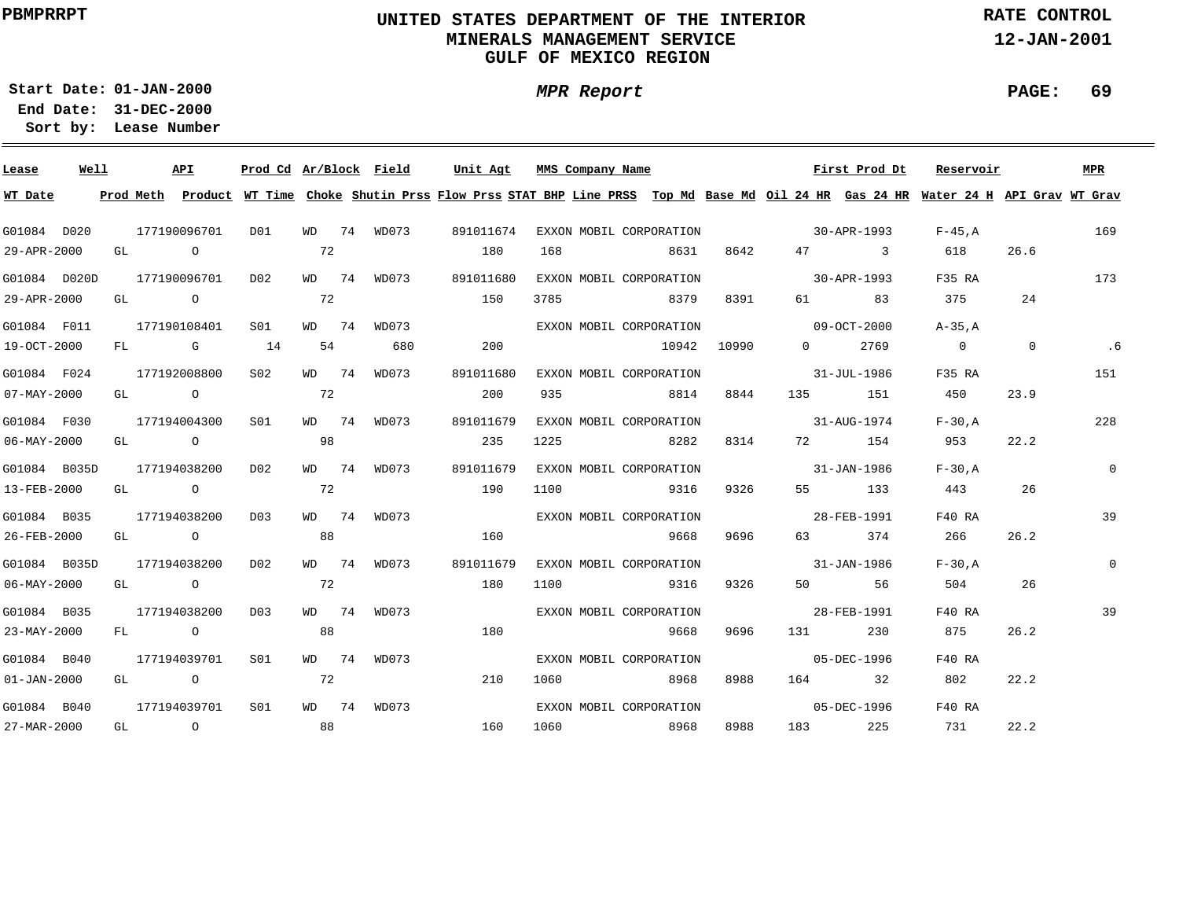# **UNITED STATES DEPARTMENT OF THE INTERIOR MINERALS MANAGEMENT SERVICEGULF OF MEXICO REGION**

**MPR Report**

**RATE CONTROL**

**12-JAN-2001**

**PAGE: 69**

**01-JAN-2000Start Date:31-DEC-2000 End Date:** 

| Lease                    | Well |  | API          | Prod Cd Ar/Block Field |    |             | Unit Agt                                                                                                                                | MMS Company Name |                         |       |                          | First Prod Dt             | Reservoir                                          |      | <b>MPR</b>   |
|--------------------------|------|--|--------------|------------------------|----|-------------|-----------------------------------------------------------------------------------------------------------------------------------------|------------------|-------------------------|-------|--------------------------|---------------------------|----------------------------------------------------|------|--------------|
| WT Date                  |      |  |              |                        |    |             | Prod Meth Product WT Time Choke Shutin Prss Flow Prss STAT BHP Line PRSS Top Md Base Md Oil 24 HR Gas 24 HR Water 24 H API Grav WT Grav |                  |                         |       |                          |                           |                                                    |      |              |
| G01084 D020              |      |  | 177190096701 | D01                    |    | WD 74 WD073 | 891011674                                                                                                                               |                  | EXXON MOBIL CORPORATION |       |                          | $30 - APR - 1993$ F-45, A |                                                    |      | 169          |
| 29-APR-2000              |      |  | GL O         |                        | 72 |             | 180                                                                                                                                     | 168              | 8631                    | 8642  |                          | 47 3                      | 618                                                | 26.6 |              |
| G01084 D020D             |      |  | 177190096701 | D02                    |    | WD 74 WD073 | 891011680                                                                                                                               |                  | EXXON MOBIL CORPORATION |       | $30 - APR - 1993$        |                           | F35 RA                                             |      | 173          |
| 29-APR-2000              |      |  | GL O         |                        | 72 |             | 150                                                                                                                                     | 3785             | 8379                    | 8391  |                          | 61 83                     | 375 — 1                                            | 24   |              |
| G01084 F011              |      |  | 177190108401 | S01                    |    | WD 74 WD073 |                                                                                                                                         |                  | EXXON MOBIL CORPORATION |       | $09 - OCT - 2000$        |                           | A-35.A                                             |      |              |
| 19-OCT-2000              |      |  | FL G 14      |                        | 54 | 680         | 200                                                                                                                                     |                  | 10942                   | 10990 | $\Omega$                 | 2769                      | $\begin{array}{ccc} & & 0 & \quad & 0 \end{array}$ |      | .6           |
| G01084 F024              |      |  | 177192008800 | S02                    |    | WD 74 WD073 | 891011680                                                                                                                               |                  | EXXON MOBIL CORPORATION |       | $31 - JUL - 1986$        |                           | F35 RA                                             |      | 151          |
| $07 - MAX - 2000$        |      |  | GL O         | 72                     |    |             | 200                                                                                                                                     | 935              | 8814                    | 8844  |                          | 135 151                   | 450                                                | 23.9 |              |
| G01084 F030              |      |  | 177194004300 | S01 <b>S</b>           |    | WD 74 WD073 | 891011679                                                                                                                               |                  | EXXON MOBIL CORPORATION |       | $31 - \text{AUG} - 1974$ |                           | F-30,A                                             |      | 228          |
| $06 - \text{MAX} - 2000$ |      |  | GL O         |                        | 98 |             | 235                                                                                                                                     |                  | 1225 8282               | 8314  |                          | 72 154                    | 953                                                | 22.2 |              |
| G01084 B035D             |      |  | 177194038200 | DO 2                   |    | WD 74 WD073 | 891011679                                                                                                                               |                  | EXXON MOBIL CORPORATION |       | $31 - JAN - 1986$        |                           | F-30.A                                             |      | $\mathbf{0}$ |
| 13-FEB-2000              |      |  | GL O         |                        | 72 |             | 190                                                                                                                                     | 1100             | 9316                    | 9326  |                          | 55 133                    | 443 26                                             |      |              |
| G01084 B035              |      |  | 177194038200 | D03                    |    | WD 74 WD073 |                                                                                                                                         |                  | EXXON MOBIL CORPORATION |       | 28-FEB-1991              |                           | F40 RA                                             |      | 39           |
| 26-FEB-2000              |      |  | GL O         |                        | 88 |             | 160                                                                                                                                     |                  | 9668                    | 9696  | 63 — 1                   | 374                       | 266                                                | 26.2 |              |
| G01084 B035D             |      |  | 177194038200 | D02                    |    | WD 74 WD073 | 891011679                                                                                                                               |                  | EXXON MOBIL CORPORATION |       | $31 - JAN - 1986$        |                           | F-30,A                                             |      | $\mathbf 0$  |
| $06 - \text{MAX} - 2000$ |      |  | GL O         |                        | 72 |             | 180                                                                                                                                     | 1100             | 9316                    | 9326  |                          | 50 56                     | 504 26                                             |      |              |
| G01084 B035              |      |  | 177194038200 | D03                    |    | WD 74 WD073 |                                                                                                                                         |                  | EXXON MOBIL CORPORATION |       | 28-FEB-1991              |                           | F40 RA                                             |      | 39           |
| 23-MAY-2000              |      |  | FL O         |                        | 88 |             | 180                                                                                                                                     |                  | 9668                    | 9696  | 131 \                    | 230                       | 875                                                | 26.2 |              |
| G01084 B040              |      |  | 177194039701 | S <sub>01</sub>        |    | WD 74 WD073 |                                                                                                                                         |                  | EXXON MOBIL CORPORATION |       |                          | 05-DEC-1996               | F40 RA                                             |      |              |
| $01 - JAN - 2000$        |      |  | GL O         |                        | 72 |             | 210                                                                                                                                     | 1060             | 8968                    | 8988  |                          | 164 32                    | 802                                                | 22.2 |              |
| G01084 B040              |      |  | 177194039701 | S01                    |    | WD 74 WD073 |                                                                                                                                         |                  | EXXON MOBIL CORPORATION |       | 05-DEC-1996              |                           | F40 RA                                             |      |              |
| 27-MAR-2000              |      |  | GL O         |                        | 88 |             | 160                                                                                                                                     |                  | 1060 8968               | 8988  |                          | 183 225                   | 731                                                | 22.2 |              |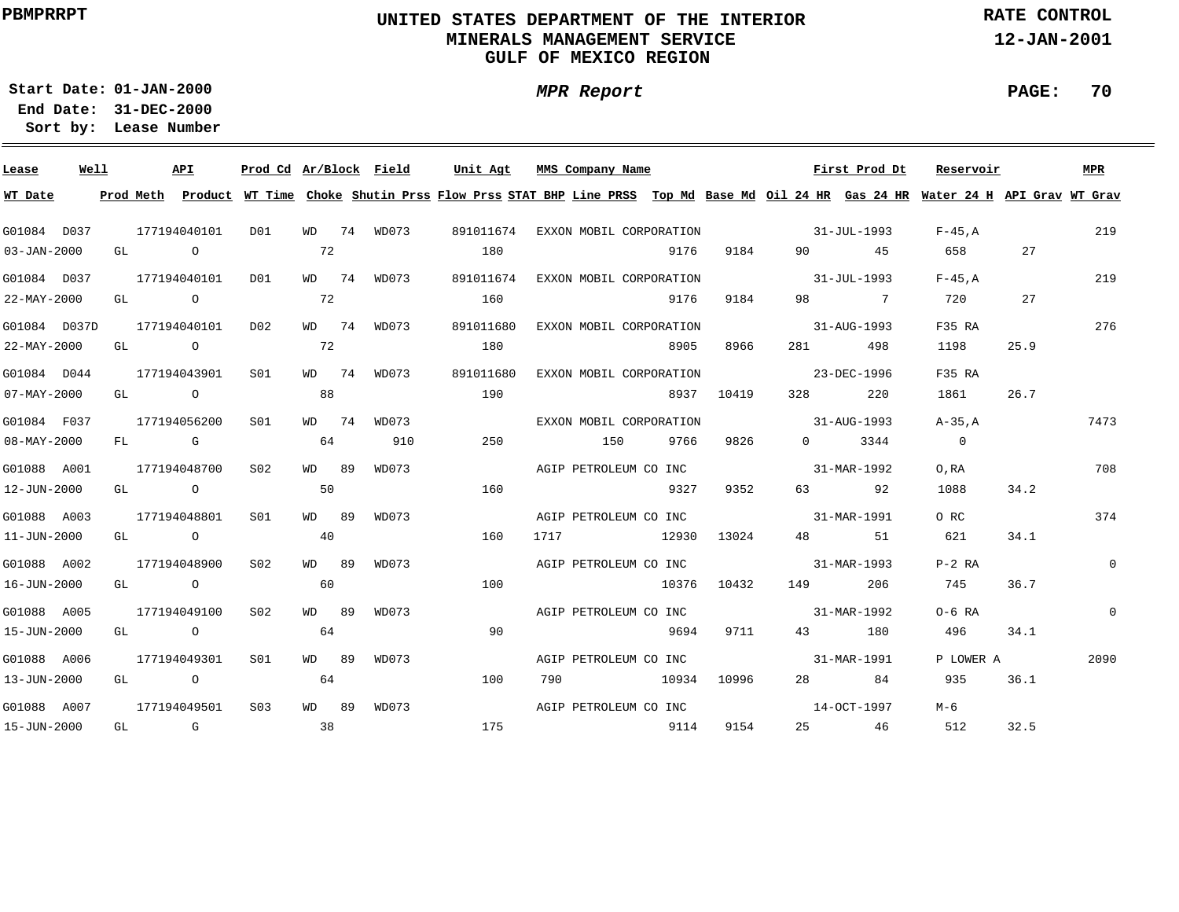# **UNITED STATES DEPARTMENT OF THE INTERIOR MINERALS MANAGEMENT SERVICEGULF OF MEXICO REGION**

**MPR Report**

**RATE CONTROL**

**12-JAN-2001**

**PAGE: 70**

**01-JAN-2000Start Date:31-DEC-2000 End Date:** 

| Lease             | Well |      | API             |                 |       | Prod Cd Ar/Block Field | Unit Agt  | MMS Company Name                                                                                                                        |       |             |                                                                                                                                                                                                                                 | First Prod Dt | Reservoir      |      | MPR            |
|-------------------|------|------|-----------------|-----------------|-------|------------------------|-----------|-----------------------------------------------------------------------------------------------------------------------------------------|-------|-------------|---------------------------------------------------------------------------------------------------------------------------------------------------------------------------------------------------------------------------------|---------------|----------------|------|----------------|
| WT Date           |      |      |                 |                 |       |                        |           | Prod Meth Product WT Time Choke Shutin Prss Flow Prss STAT BHP Line PRSS Top Md Base Md Oil 24 HR Gas 24 HR Water 24 H API Grav WT Grav |       |             |                                                                                                                                                                                                                                 |               |                |      |                |
| G01084 D037       |      |      | 177194040101    | D01             |       | WD 74 WD073            |           | 891011674 EXXON MOBIL CORPORATION                                                                                                       |       |             | $31 - JUL - 1993$                                                                                                                                                                                                               |               | $F-45.A$       |      | 219            |
| $03 - JAN - 2000$ |      | GL O |                 |                 | 72    |                        | 180       |                                                                                                                                         | 9176  | 9184        |                                                                                                                                                                                                                                 | 90 45         |                | 27   |                |
| G01084 D037       |      |      | 177194040101    | DO1             |       | WD 74 WD073            |           | 891011674 EXXON MOBIL CORPORATION                                                                                                       |       |             | $31 - JUL - 1993$                                                                                                                                                                                                               |               | $F-45.A$       |      | 219            |
| $22 - MAX - 2000$ |      |      | GL O            |                 | 72    |                        | 160       |                                                                                                                                         | 9176  | 9184        |                                                                                                                                                                                                                                 | 98 7          | 720            | 27   |                |
| G01084 D037D      |      |      | 177194040101    | D02             |       | WD 74 WD073            | 891011680 | EXXON MOBIL CORPORATION                                                                                                                 |       |             |                                                                                                                                                                                                                                 | 31-AUG-1993   | F35 RA         |      | 276            |
| $22 - MAX - 2000$ |      | GL   | $\overline{O}$  |                 | 72    |                        | 180       |                                                                                                                                         | 8905  | 8966        | 281 7                                                                                                                                                                                                                           | 498           | 1198           | 25.9 |                |
| G01084 D044       |      |      | 177194043901    | S01             |       | WD 74 WD073            | 891011680 | EXXON MOBIL CORPORATION                                                                                                                 |       |             |                                                                                                                                                                                                                                 | 23-DEC-1996   | F35 RA         |      |                |
| $07 - MAX - 2000$ |      | GL   | $\circ$ $\circ$ |                 | 88    |                        | 190       |                                                                                                                                         |       | 8937 10419  | 328 — 1                                                                                                                                                                                                                         | 220           | 1861           | 26.7 |                |
| G01084 F037       |      |      | 177194056200    | S01             |       | WD 74 WD073            |           | EXXON MOBIL CORPORATION                                                                                                                 |       |             | $31 - \text{AUG} - 1993$                                                                                                                                                                                                        |               | A-35.A         |      | 7473           |
| $08 - MAX - 2000$ |      |      | FL G            |                 | 64    | 910                    | 250       | 150                                                                                                                                     | 9766  | 9826        |                                                                                                                                                                                                                                 | $0 \t3344$    | $\overline{0}$ |      |                |
| G01088 A001       |      |      | 177194048700    | S <sub>02</sub> | WD 89 | WD073                  |           | AGIP PETROLEUM CO INC                                                                                                                   |       |             | 31-MAR-1992                                                                                                                                                                                                                     |               | O, RA          |      | 708            |
| 12-JUN-2000       |      |      | GL O            |                 | 50    |                        | 160       |                                                                                                                                         | 9327  | 9352        |                                                                                                                                                                                                                                 | 63 92         | 1088           | 34.2 |                |
| G01088 A003       |      |      | 177194048801    | SO1             | WD 89 | WD073                  |           | AGIP PETROLEUM CO INC 31-MAR-1991                                                                                                       |       |             |                                                                                                                                                                                                                                 |               | O RC           |      | 374            |
| $11 - JUN - 2000$ |      |      | GL O            |                 | 40    |                        | 160       | 1717                                                                                                                                    | 12930 | 13024       |                                                                                                                                                                                                                                 | 48 51         | 621            | 34.1 |                |
| G01088 A002       |      |      | 177194048900    | S02             | WD 89 | WD073                  |           | AGIP PETROLEUM CO INC                                                                                                                   |       |             | $31 - MAR - 1993$                                                                                                                                                                                                               |               | $P-2$ RA       |      | $\overline{0}$ |
| 16-JUN-2000       |      | GL O |                 |                 | 60    |                        | 100       |                                                                                                                                         |       | 10376 10432 | 149 — 149 — 149 — 149 — 149 — 149 — 149 — 149 — 149 — 149 — 149 — 149 — 149 — 149 — 149 — 149 — 149 — 140 — 140 — 140 — 140 — 140 — 140 — 140 — 140 — 140 — 140 — 140 — 140 — 140 — 140 — 140 — 140 — 140 — 140 — 140 — 140 — 1 | 206           | 745            | 36.7 |                |
| G01088 A005       |      |      | 177194049100    | S02             | WD 89 | WD073                  |           | AGIP PETROLEUM CO INC                                                                                                                   |       |             |                                                                                                                                                                                                                                 | 31-MAR-1992   | $O-6$ RA       |      | $\overline{0}$ |
| 15-JUN-2000       |      | GL O |                 |                 | 64    |                        | 90        |                                                                                                                                         | 9694  | 9711        |                                                                                                                                                                                                                                 | 43 180        | 496            | 34.1 |                |
| G01088 A006       |      |      | 177194049301    | S <sub>01</sub> | WD 89 | WD073                  |           | AGIP PETROLEUM CO INC                                                                                                                   |       |             |                                                                                                                                                                                                                                 | 31-MAR-1991   | P LOWER A      |      | 2090           |
| 13-JUN-2000       |      |      | GL O            |                 | 64    |                        | 100       | 790                                                                                                                                     | 10934 | 10996       |                                                                                                                                                                                                                                 | 28 84         | 935            | 36.1 |                |
| G01088 A007       |      |      | 177194049501    | S03             | WD 89 | WD073                  |           | AGIP PETROLEUM CO INC                                                                                                                   |       |             | $14 - \Omega$ CT $-1997$                                                                                                                                                                                                        |               | М-6            |      |                |
| 15-JUN-2000       |      | GL G |                 |                 | 38    |                        | 175       | 9114                                                                                                                                    |       | 9154        |                                                                                                                                                                                                                                 | 25 46         | 512            | 32.5 |                |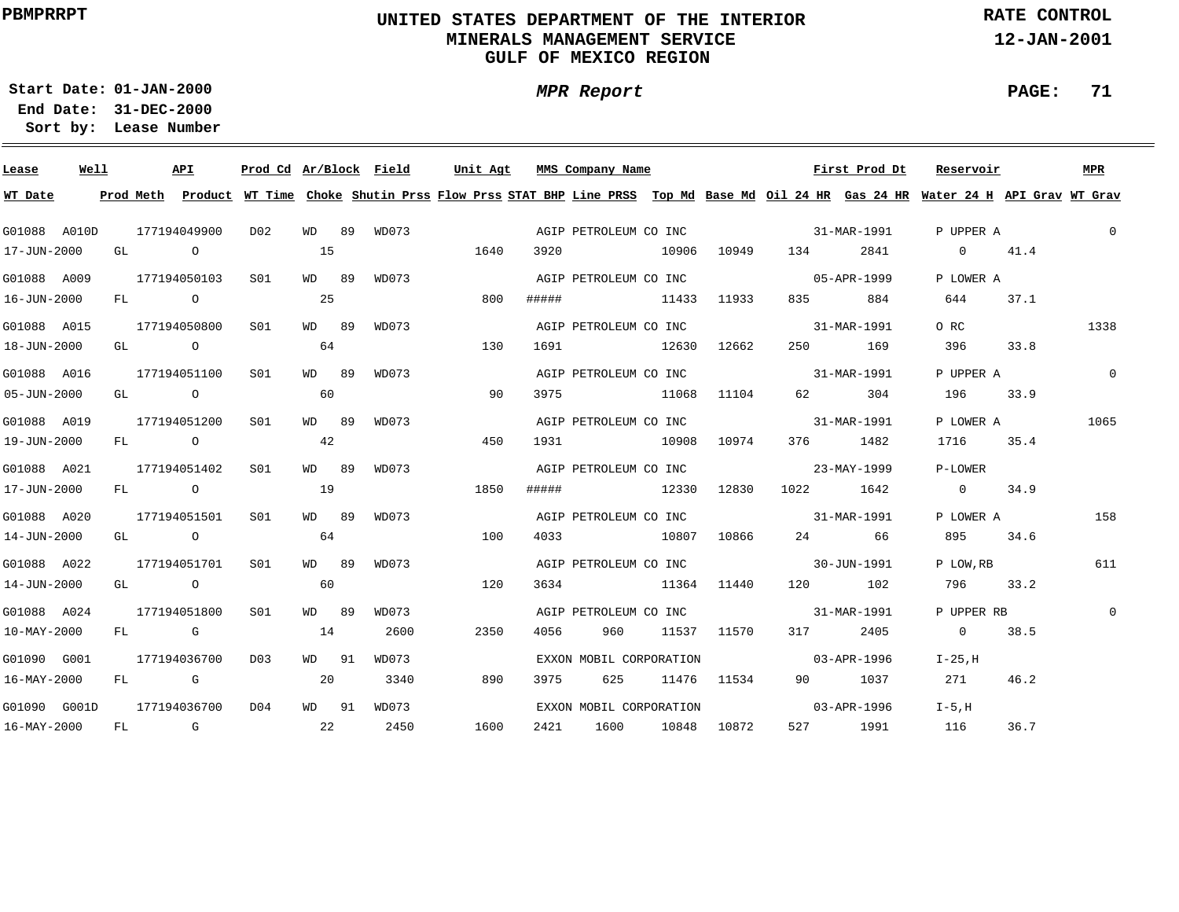# **UNITED STATES DEPARTMENT OF THE INTERIOR MINERALS MANAGEMENT SERVICEGULF OF MEXICO REGION**

**MPR Report**

**RATE CONTROL**

**12-JAN-2001**

**PAGE: 71**

**01-JAN-2000Start Date:31-DEC-2000 End Date:** 

| Lease                    | Well |    |             | <b>API</b>   | Prod Cd Ar/Block Field |       |       | Unit Agt |       | MMS Company Name        |       |             |                                   | First Prod Dt | Reservoir                                                                                                                               |      | MPR            |
|--------------------------|------|----|-------------|--------------|------------------------|-------|-------|----------|-------|-------------------------|-------|-------------|-----------------------------------|---------------|-----------------------------------------------------------------------------------------------------------------------------------------|------|----------------|
| WT Date                  |      |    |             |              |                        |       |       |          |       |                         |       |             |                                   |               | Prod Meth Product WT Time Choke Shutin Prss Flow Prss STAT BHP Line PRSS Top Md Base Md Oil 24 HR Gas 24 HR Water 24 H API Grav WT Grav |      |                |
| G01088 A010D             |      |    |             | 177194049900 | DO 2                   | WD 89 | WD073 |          |       | AGIP PETROLEUM CO INC   |       |             | 31-MAR-1991                       |               | P UPPER A                                                                                                                               |      | $\mathbf{0}$   |
| 17-JUN-2000              |      |    | GL O        |              |                        | 15    |       | 1640     | 3920  |                         | 10906 | 10949       | 134                               | 2841          | $0 \t 41.4$                                                                                                                             |      |                |
| G01088 A009              |      |    |             | 177194050103 | SO1                    | WD 89 | WD073 |          |       | AGIP PETROLEUM CO INC   |       |             | $05 - APR - 1999$                 |               | P LOWER A                                                                                                                               |      |                |
| 16-JUN-2000              |      |    | FL O        |              |                        | 25    |       | 800      | ##### | 11433 11933             |       |             |                                   | 884           | 644                                                                                                                                     | 37.1 |                |
| G01088 A015              |      |    |             | 177194050800 | SO1                    | WD 89 | WD073 |          |       | AGIP PETROLEUM CO INC   |       |             | $31 - \text{MAR} - 1991$          |               | O RC                                                                                                                                    |      | 1338           |
| 18-JUN-2000              |      |    |             | GL O         |                        | 64    |       | 130      | 1691  | 12630 12662             |       |             |                                   | 250 169       | 396 70                                                                                                                                  | 33.8 |                |
| G01088 A016              |      |    |             | 177194051100 | S01                    | WD 89 | WD073 |          |       |                         |       |             | AGIP PETROLEUM CO INC 31-MAR-1991 |               | P UPPER A                                                                                                                               |      | $\overline{0}$ |
| 05-JUN-2000              |      |    |             | GL O         |                        | 60    |       | 90       | 3975  |                         | 11068 | 11104       |                                   | 304           | 196                                                                                                                                     | 33.9 |                |
| G01088 A019              |      |    |             | 177194051200 | SO1                    | WD 89 | WD073 |          |       |                         |       |             | AGIP PETROLEUM CO INC 31-MAR-1991 |               | P LOWER A                                                                                                                               |      | 1065           |
| 19-JUN-2000              |      |    |             | FL O         |                        | 42    |       | 450      | 1931  |                         | 10908 | 10974       |                                   | 376 1482      | 1716                                                                                                                                    | 35.4 |                |
| G01088 A021              |      |    |             | 177194051402 | S01                    | WD 89 | WD073 |          |       |                         |       |             | AGIP PETROLEUM CO INC 23-MAY-1999 |               | P-LOWER                                                                                                                                 |      |                |
| 17-JUN-2000              |      |    |             | FL O         |                        | 19    |       | 1850     | ##### | 12330                   |       | 12830       | 1022 1642                         |               | $0 \t 34.9$                                                                                                                             |      |                |
| G01088 A020              |      |    |             | 177194051501 | S01                    | WD 89 | WD073 |          |       |                         |       |             | AGIP PETROLEUM CO INC 31-MAR-1991 |               | P LOWER A                                                                                                                               |      | 158            |
| 14-JUN-2000              |      |    |             | GL O         |                        | 64    |       | 100      | 4033  | 10807 10866             |       |             |                                   | 24 66         | 895                                                                                                                                     | 34.6 |                |
| G01088 A022              |      |    |             | 177194051701 | SO1                    | WD 89 | WD073 |          |       |                         |       |             | AGIP PETROLEUM CO INC 30-JUN-1991 |               | P LOW, RB                                                                                                                               |      | 611            |
| 14-JUN-2000              |      |    | GL O        |              |                        | 60    |       | 120      | 3634  | 11364 11440             |       |             |                                   | 120 102       | 796 33.2                                                                                                                                |      |                |
| G01088 A024              |      |    |             | 177194051800 | S <sub>01</sub>        | WD 89 | WD073 |          |       |                         |       |             | AGIP PETROLEUM CO INC 31-MAR-1991 |               | P UPPER RB                                                                                                                              |      | $\mathbf{0}$   |
| 10-MAY-2000              |      |    | $FL$ G      |              |                        | 14    | 2600  | 2350     | 4056  | 960                     |       | 11537 11570 | 317                               | 2405          | $\sim$ 0                                                                                                                                | 38.5 |                |
| G01090 G001              |      |    |             | 177194036700 | D03                    | WD 91 | WD073 |          |       | EXXON MOBIL CORPORATION |       |             | $03 - APR - 1996$                 |               | I-25,H                                                                                                                                  |      |                |
| $16 - \text{MAY} - 2000$ |      |    | FL G        |              |                        | 20    | 3340  | 890      | 3975  | 625                     |       | 11476 11534 |                                   | 90 1037       | 271                                                                                                                                     | 46.2 |                |
| G01090 G001D             |      |    |             | 177194036700 | D04                    | WD 91 | WD073 |          |       | EXXON MOBIL CORPORATION |       |             | $03 - APR - 1996$                 |               | $I-5.H$                                                                                                                                 |      |                |
| 16-MAY-2000              |      | FL | $\mathbb G$ |              | $\sim$ 22              |       | 2450  | 1600     | 2421  | 1600                    |       | 10848 10872 |                                   | 527 1991      | 116                                                                                                                                     | 36.7 |                |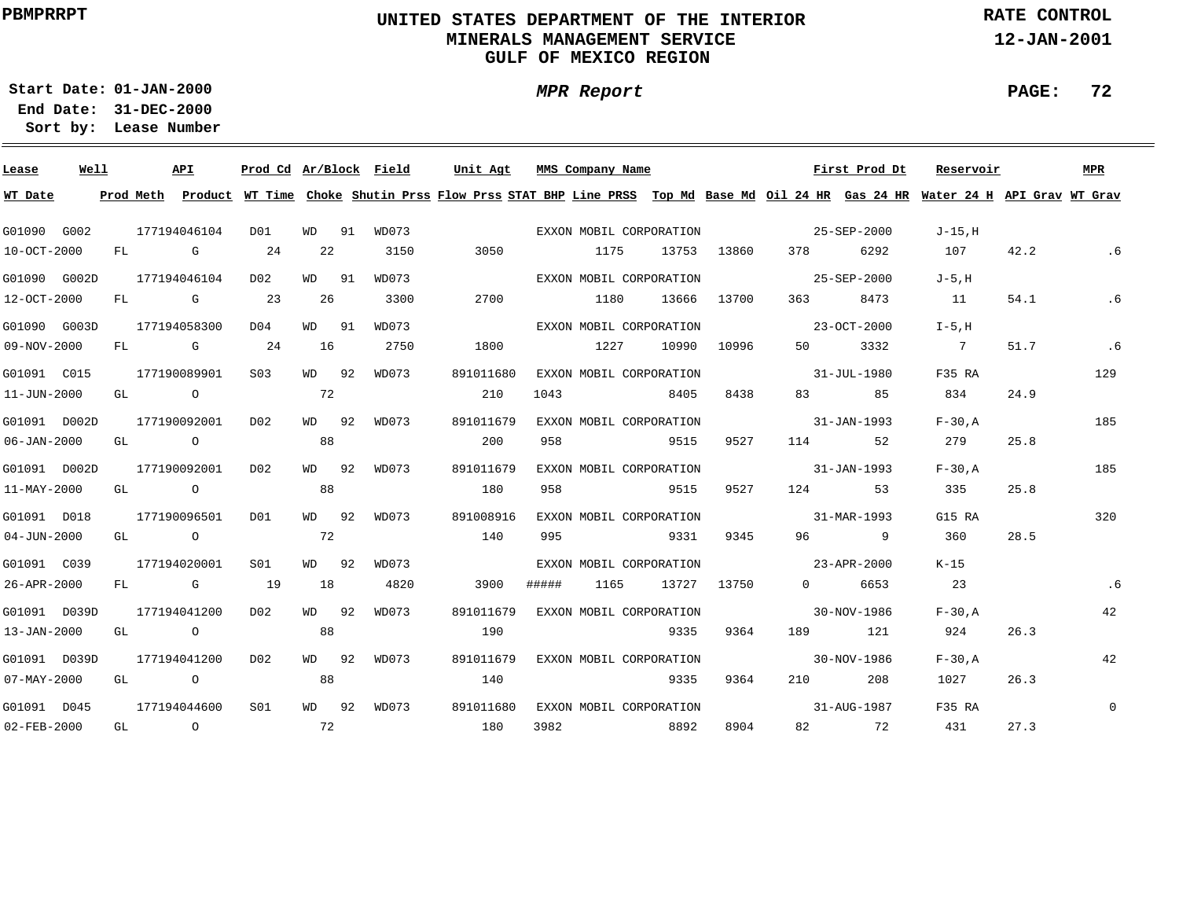# **UNITED STATES DEPARTMENT OF THE INTERIOR MINERALS MANAGEMENT SERVICEGULF OF MEXICO REGION**

**MPR Report**

**RATE CONTROL**

**12-JAN-2001**

**PAGE: 72**

**01-JAN-2000Start Date:**

| Lease             | Well |    |                | API                                                                                                                                                                                                                            | Prod Cd Ar/Block Field |         |       | Unit Agt                                                                                                                                | MMS Company Name |      |                         |             |                                                                                                                                                                                                                                 | First Prod Dt     | Reservoir      |      | MPR         |
|-------------------|------|----|----------------|--------------------------------------------------------------------------------------------------------------------------------------------------------------------------------------------------------------------------------|------------------------|---------|-------|-----------------------------------------------------------------------------------------------------------------------------------------|------------------|------|-------------------------|-------------|---------------------------------------------------------------------------------------------------------------------------------------------------------------------------------------------------------------------------------|-------------------|----------------|------|-------------|
| WT Date           |      |    |                |                                                                                                                                                                                                                                |                        |         |       | Prod Meth Product WT Time Choke Shutin Prss Flow Prss STAT BHP Line PRSS Top Md Base Md Oil 24 HR Gas 24 HR Water 24 H API Grav WT Grav |                  |      |                         |             |                                                                                                                                                                                                                                 |                   |                |      |             |
| G01090 G002       |      |    |                | 177194046104                                                                                                                                                                                                                   | D01                    | WD 91   | WD073 |                                                                                                                                         |                  |      | EXXON MOBIL CORPORATION |             |                                                                                                                                                                                                                                 | 25-SEP-2000       | J-15.H         |      |             |
| 10-OCT-2000       |      | FL |                | and the control of the control of the control of the control of the control of the control of the control of the control of the control of the control of the control of the control of the control of the control of the cont | 24                     | 22      | 3150  | 3050                                                                                                                                    |                  | 1175 | 13753                   | 13860       | 378                                                                                                                                                                                                                             | 6292              | 107            | 42.2 | .6          |
| G01090 G002D      |      |    |                | 177194046104                                                                                                                                                                                                                   | D02                    | WD 91   | WD073 |                                                                                                                                         |                  |      | EXXON MOBIL CORPORATION |             |                                                                                                                                                                                                                                 | 25-SEP-2000       | $J-5.H$        |      |             |
| 12-OCT-2000       |      | FL |                | $\mathbb G$                                                                                                                                                                                                                    | 23                     | 26      | 3300  | 2700                                                                                                                                    |                  | 1180 | 13666                   | 13700       | 363                                                                                                                                                                                                                             | 8473              | 11             | 54.1 | .6          |
| G01090 G003D      |      |    |                | 177194058300                                                                                                                                                                                                                   | D04                    | WD 91   | WD073 |                                                                                                                                         |                  |      | EXXON MOBIL CORPORATION |             |                                                                                                                                                                                                                                 | 23-OCT-2000       | $I-5.H$        |      |             |
| 09-NOV-2000       |      | FL |                | $\mathbf G$                                                                                                                                                                                                                    | 24                     | 16      | 2750  | 1800                                                                                                                                    |                  | 1227 | 10990                   | 10996       | 50 —                                                                                                                                                                                                                            | 3332              | $\overline{7}$ | 51.7 | .6          |
| G01091 C015       |      |    |                | 177190089901                                                                                                                                                                                                                   | S <sub>0.3</sub>       | WD 92   | WD073 | 891011680                                                                                                                               |                  |      | EXXON MOBIL CORPORATION |             |                                                                                                                                                                                                                                 | 31-JUL-1980       | F35 RA         |      | 129         |
| 11-JUN-2000       |      | GL |                | $\overline{O}$                                                                                                                                                                                                                 |                        | 72      |       | 210                                                                                                                                     | 1043             |      | 8405                    | 8438        |                                                                                                                                                                                                                                 | 85                | 834            | 24.9 |             |
| G01091 D002D      |      |    |                | 177190092001                                                                                                                                                                                                                   | D02                    | WD 92   | WD073 | 891011679                                                                                                                               |                  |      | EXXON MOBIL CORPORATION |             | 31-JAN-1993                                                                                                                                                                                                                     |                   | $F-30.A$       |      | 185         |
| 06-JAN-2000       |      | GL | $\overline{a}$ |                                                                                                                                                                                                                                |                        | 88      |       | 200                                                                                                                                     | 958              |      | 9515                    | 9527        | 114                                                                                                                                                                                                                             | 52                | 279            | 25.8 |             |
| G01091 D002D      |      |    |                | 177190092001                                                                                                                                                                                                                   | D02                    | $WD$ 92 | WD073 | 891011679                                                                                                                               |                  |      | EXXON MOBIL CORPORATION |             | $31 - JAN - 1993$                                                                                                                                                                                                               |                   | $F-30.A$       |      | 185         |
| 11-MAY-2000       |      | GL |                | $\overline{O}$                                                                                                                                                                                                                 |                        | 88      |       | 180                                                                                                                                     | 958              |      | 9515                    | 9527        | 124                                                                                                                                                                                                                             | 53                | 335            | 25.8 |             |
| G01091 D018       |      |    |                | 177190096501                                                                                                                                                                                                                   | D01                    | WD 92   | WD073 | 891008916                                                                                                                               |                  |      | EXXON MOBIL CORPORATION |             | 31-MAR-1993                                                                                                                                                                                                                     |                   | G15 RA         |      | 320         |
| 04-JUN-2000       |      |    | GL O           |                                                                                                                                                                                                                                |                        | 72      |       | 140                                                                                                                                     | 995              |      | 9331                    | 9345        |                                                                                                                                                                                                                                 | 96 9              | 360            | 28.5 |             |
| G01091 C039       |      |    |                | 177194020001                                                                                                                                                                                                                   | S01                    | $WD$ 92 | WD073 |                                                                                                                                         |                  |      | EXXON MOBIL CORPORATION |             | $23 - APR - 2000$                                                                                                                                                                                                               |                   | K-15           |      |             |
| 26-APR-2000       |      | FL |                | die gehörte Gesetzt der Gesetzt der Statistik und der Statistik und der Statistik und der Statistik und der St                                                                                                                 | 19                     | 18      | 4820  | 3900                                                                                                                                    | #####            | 1165 |                         | 13727 13750 | $\Omega$                                                                                                                                                                                                                        | 6653              | 23             |      | . 6         |
| G01091 D039D      |      |    |                | 177194041200                                                                                                                                                                                                                   | D02                    | WD 92   | WD073 | 891011679                                                                                                                               |                  |      | EXXON MOBIL CORPORATION |             |                                                                                                                                                                                                                                 | 30-NOV-1986       | $F-30.A$       |      | 42          |
| 13-JAN-2000       |      | GL |                | $\overline{O}$                                                                                                                                                                                                                 |                        | 88      |       | 190                                                                                                                                     |                  |      | 9335                    | 9364        | 189 — 189 — 189 — 189 — 189 — 189 — 189 — 189 — 189 — 189 — 189 — 189 — 189 — 189 — 189 — 189 — 189 — 189 — 189 — 189 — 189 — 189 — 189 — 189 — 189 — 189 — 189 — 189 — 189 — 189 — 189 — 189 — 189 — 189 — 189 — 189 — 189 — 1 | 121               | 924            | 26.3 |             |
| G01091 D039D      |      |    |                | 177194041200                                                                                                                                                                                                                   | D02                    | WD 92   | WD073 | 891011679                                                                                                                               |                  |      | EXXON MOBIL CORPORATION |             |                                                                                                                                                                                                                                 | $30 - NOV - 1986$ | $F-30.A$       |      | 42          |
| $07 - MAX - 2000$ |      | GL |                | $\overline{O}$                                                                                                                                                                                                                 |                        | 88      |       | 140                                                                                                                                     |                  |      | 9335                    | 9364        | 210                                                                                                                                                                                                                             | 208               | 1027           | 26.3 |             |
| G01091 D045       |      |    |                | 177194044600                                                                                                                                                                                                                   | S01                    | WD 92   | WD073 | 891011680                                                                                                                               |                  |      | EXXON MOBIL CORPORATION |             |                                                                                                                                                                                                                                 | 31-AUG-1987       | F35 RA         |      | $\mathsf 0$ |
| 02-FEB-2000       |      | GL | $\overline{a}$ |                                                                                                                                                                                                                                |                        | 72      |       | 180                                                                                                                                     | 3982             |      | 8892                    | 8904        |                                                                                                                                                                                                                                 | 82 72             | 431            | 27.3 |             |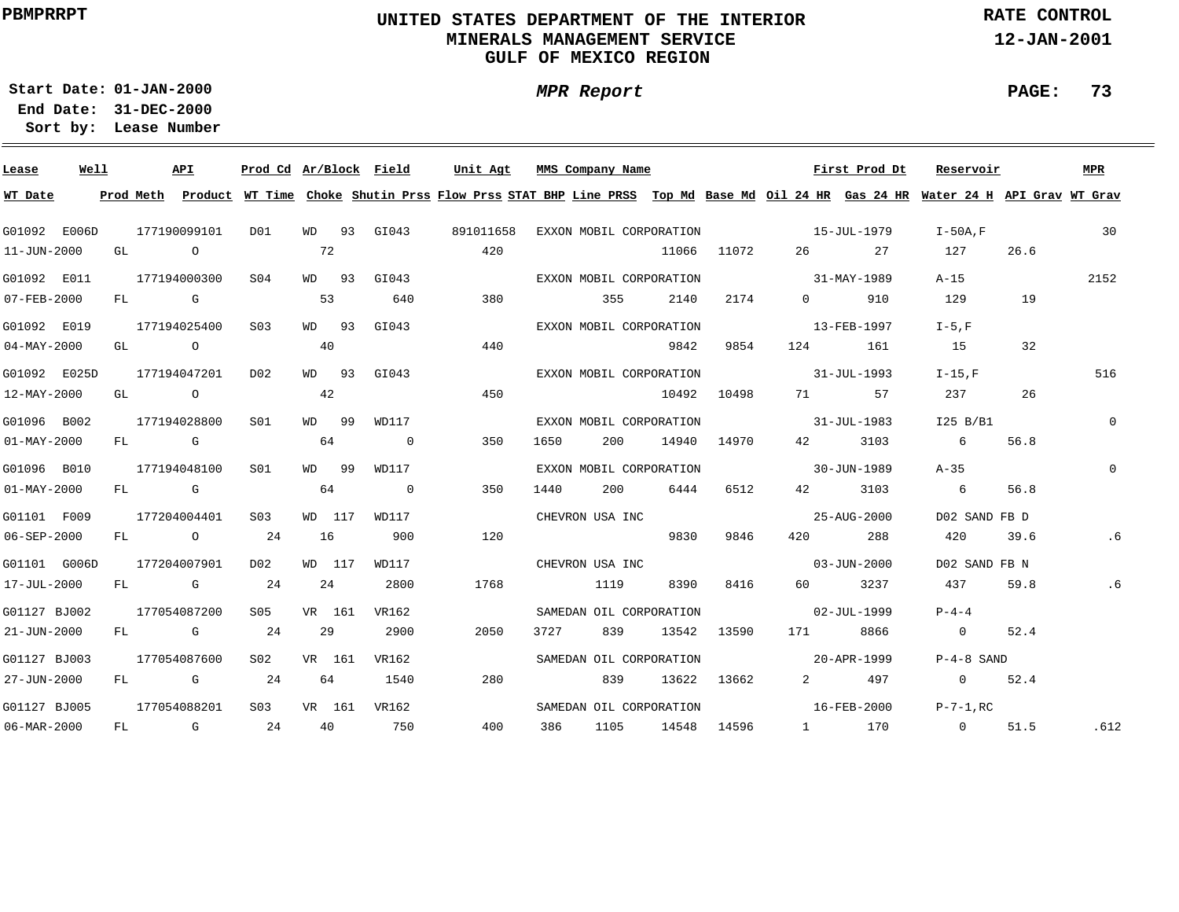### **UNITED STATES DEPARTMENT OF THE INTERIOR MINERALS MANAGEMENT SERVICEGULF OF MEXICO REGION**

**MPR Report**

**RATE CONTROL**

**12-JAN-2001**

**PAGE: 73**

**01-JAN-2000Start Date:31-DEC-2000 End Date:** 

| Lease             | Well |    |            | API            | Prod Cd Ar/Block Field |           |         |                | Unit Agt  |      |      | MMS Company Name        |       |             |                       | First Prod Dt                                                                                                                           | Reservoir       |      | <b>MPR</b>     |
|-------------------|------|----|------------|----------------|------------------------|-----------|---------|----------------|-----------|------|------|-------------------------|-------|-------------|-----------------------|-----------------------------------------------------------------------------------------------------------------------------------------|-----------------|------|----------------|
| WT Date           |      |    |            |                |                        |           |         |                |           |      |      |                         |       |             |                       | Prod Meth Product WT Time Choke Shutin Prss Flow Prss STAT BHP Line PRSS Top Md Base Md Oil 24 HR Gas 24 HR Water 24 H API Grav WT Grav |                 |      |                |
| G01092 E006D      |      |    |            | 177190099101   | DO1                    |           |         | WD 93 GI043    | 891011658 |      |      | EXXON MOBIL CORPORATION |       |             |                       | $15 - JUL - 1979$                                                                                                                       | $I-50A.F$       |      | 30             |
| $11 - JUN - 2000$ |      | GL |            | $\circ$        |                        | 72        |         |                |           | 420  |      |                         | 11066 | 11072       | 26                    | 27                                                                                                                                      | 127             | 26.6 |                |
| G01092 E011       |      |    |            | 177194000300   | SO4                    |           | WD 93   | GI043          |           |      |      | EXXON MOBIL CORPORATION |       |             |                       | 31-MAY-1989                                                                                                                             | $A-15$          |      | 2152           |
| $07 - FEB - 2000$ |      | FL |            | G              |                        | 53        |         | 640            |           | 380  |      | 355                     | 2140  | 2174        | $\Omega$              | 910                                                                                                                                     | 129             | 19   |                |
| G01092 E019       |      |    |            | 177194025400   | S <sub>03</sub>        |           | $WD$ 93 | GI043          |           |      |      | EXXON MOBIL CORPORATION |       |             |                       | 13-FEB-1997                                                                                                                             | $I-5.F$         |      |                |
| $04 - MAX - 2000$ |      | GL |            | $\circ$        |                        | 40        |         |                |           | 440  |      |                         | 9842  | 9854        | 124                   | 161                                                                                                                                     | 15              | 32   |                |
| G01092 E025D      |      |    |            | 177194047201   | DO 2                   |           | WD 93   | GI043          |           |      |      | EXXON MOBIL CORPORATION |       |             |                       | 31-JUL-1993                                                                                                                             | $I-15.F$        |      | 516            |
| 12-MAY-2000       |      | GL |            | $\circ$        |                        | 42        |         |                |           | 450  |      |                         | 10492 | 10498       | 71 — 200              | 57                                                                                                                                      | 237             | 26   |                |
| G01096 B002       |      |    |            | 177194028800   | S01                    | WD        | -99     | WD117          |           |      |      | EXXON MOBIL CORPORATION |       |             |                       | 31-JUL-1983                                                                                                                             | I25 B/B1        |      | $\overline{0}$ |
| $01 - MAX - 2000$ |      | FL |            | G              |                        | 64        |         | $\overline{0}$ |           | 350  | 1650 | 200                     | 14940 | 14970       | 42                    | 3103                                                                                                                                    | $6\overline{6}$ | 56.8 |                |
| G01096 B010       |      |    |            | 177194048100   | S01                    | <b>WD</b> | -99     | WD117          |           |      |      | EXXON MOBIL CORPORATION |       |             |                       | 30-JUN-1989                                                                                                                             | $A - 35$        |      | $\Omega$       |
| $01 - MAX - 2000$ |      | FL | <b>G</b> G |                |                        | 64        |         | $\overline{0}$ |           | 350  | 1440 | 200                     | 6444  | 6512        | 42 and $\overline{a}$ | 3103                                                                                                                                    | 6               | 56.8 |                |
| G01101 F009       |      |    |            | 177204004401   | S <sub>03</sub>        |           | WD 117  | WD117          |           |      |      | CHEVRON USA INC         |       |             |                       | 25-AUG-2000                                                                                                                             | D02 SAND FB D   |      |                |
| 06-SEP-2000       |      | FL |            | $\overline{O}$ | 24                     | 16        |         | 900            |           | 120  |      |                         | 9830  | 9846        | 420                   | 288                                                                                                                                     | 420             | 39.6 | .6             |
| G01101 G006D      |      |    |            | 177204007901   | D02                    |           | WD 117  | WD117          |           |      |      | CHEVRON USA INC         |       |             |                       | $03 - JUN - 2000$                                                                                                                       | D02 SAND FB N   |      |                |
| 17-JUL-2000       |      | FL |            | G              | 24                     | 24        |         | 2800           |           | 1768 |      | 1119                    | 8390  | 8416        | 60 -                  | 3237                                                                                                                                    | 437             | 59.8 | .6             |
| G01127 BJ002      |      |    |            | 177054087200   | S05                    |           | VR 161  | VR162          |           |      |      | SAMEDAN OIL CORPORATION |       |             |                       | $02 - JUL - 1999$                                                                                                                       | $P - 4 - 4$     |      |                |
| 21-JUN-2000       |      | FL |            | G              | 24                     | 29        |         | 2900           |           | 2050 | 3727 | 839                     |       | 13542 13590 | 171                   | 8866                                                                                                                                    | $\overline{0}$  | 52.4 |                |
| G01127 BJ003      |      |    |            | 177054087600   | S02                    |           | VR 161  | VR162          |           |      |      | SAMEDAN OIL CORPORATION |       |             |                       | 20-APR-1999                                                                                                                             | $P-4-8$ SAND    |      |                |
| 27-JUN-2000       |      | FL |            | G              | 24                     | 64        |         | 1540           |           | 280  |      | 839                     |       | 13622 13662 |                       | $2 \left( \frac{1}{2} \right)$<br>497                                                                                                   | $\Omega$        | 52.4 |                |
| G01127 BJ005      |      |    |            | 177054088201   | S <sub>03</sub>        |           | VR 161  | VR162          |           |      |      | SAMEDAN OIL CORPORATION |       |             |                       | 16-FEB-2000                                                                                                                             | $P-7-1$ , RC    |      |                |
| 06-MAR-2000       |      | FL |            | G              | 24                     | 40        |         | 750            |           | 400  | 386  | 1105                    |       | 14548 14596 |                       | 1 170                                                                                                                                   | $\overline{0}$  | 51.5 | .612           |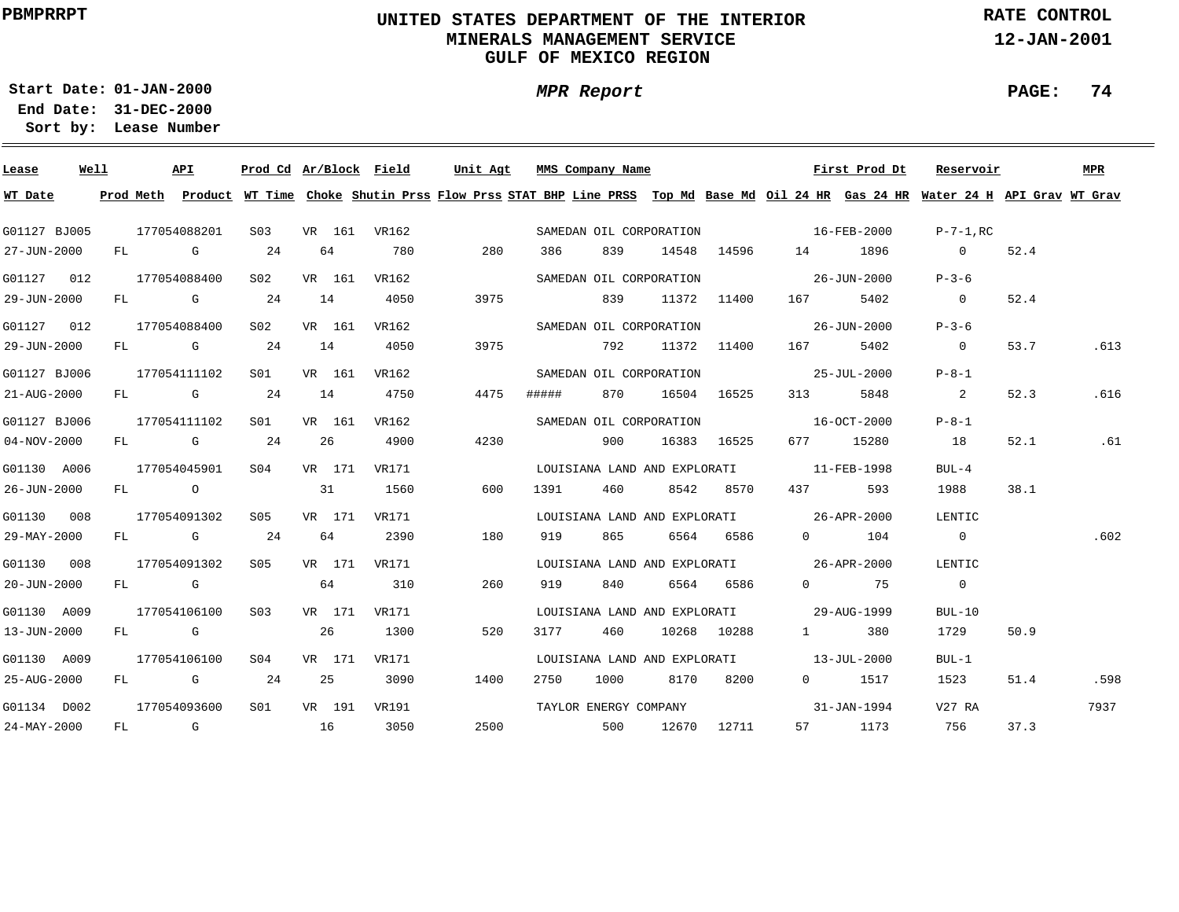### **UNITED STATES DEPARTMENT OF THE INTERIOR MINERALS MANAGEMENT SERVICEGULF OF MEXICO REGION**

**MPR Report**

**RATE CONTROL**

**12-JAN-2001**

**PAGE: 74**

**01-JAN-2000Start Date:**

| Lease             | Well |    |      | API          |                  |    |        | Prod Cd Ar/Block Field | Unit Agt |     |       | MMS Company Name             |      |             |                                          | First Prod Dt         | Reservoir                                                                                                                               |      | MPR  |
|-------------------|------|----|------|--------------|------------------|----|--------|------------------------|----------|-----|-------|------------------------------|------|-------------|------------------------------------------|-----------------------|-----------------------------------------------------------------------------------------------------------------------------------------|------|------|
| WT Date           |      |    |      |              |                  |    |        |                        |          |     |       |                              |      |             |                                          |                       | Prod Meth Product WT Time Choke Shutin Prss Flow Prss STAT BHP Line PRSS Top Md Base Md Oil 24 HR Gas 24 HR Water 24 H API Grav WT Grav |      |      |
| G01127 BJ005      |      |    |      | 177054088201 | S <sub>03</sub>  |    |        | VR 161 VR162           |          |     |       | SAMEDAN OIL CORPORATION      |      |             | $16 - FEB - 2000$                        |                       | $P-7-1$ .RC                                                                                                                             |      |      |
| 27-JUN-2000       |      | FL |      | G            | 24               |    | 64     | 780                    | 280      |     | 386   | 839                          |      | 14548 14596 | 14                                       | 1896                  | $\overline{0}$                                                                                                                          | 52.4 |      |
| G01127 012        |      |    |      | 177054088400 | S02              |    | VR 161 | VR162                  |          |     |       | SAMEDAN OIL CORPORATION      |      |             |                                          | 26-JUN-2000           | $P - 3 - 6$                                                                                                                             |      |      |
| 29-JUN-2000       |      |    |      | FL G         | 24               |    | 14     | 4050                   | 3975     |     |       | 839                          |      | 11372 11400 | 167 —                                    | 5402                  | $\overline{0}$                                                                                                                          | 52.4 |      |
|                   |      |    |      |              |                  |    |        |                        |          |     |       |                              |      |             |                                          |                       |                                                                                                                                         |      |      |
| G01127 012        |      |    |      | 177054088400 | S02              |    | VR 161 | VR162                  |          |     |       | SAMEDAN OIL CORPORATION      |      |             |                                          | 26-JUN-2000           | $P - 3 - 6$                                                                                                                             |      |      |
| 29-JUN-2000       |      |    |      | FL G         | 24               | 14 |        | 4050                   | 3975     |     |       | 792                          |      | 11372 11400 | 167 — 167                                | 5402                  | $\overline{\phantom{0}}$                                                                                                                | 53.7 | .613 |
| G01127 BJ006      |      |    |      | 177054111102 | S01              |    | VR 161 | VR162                  |          |     |       | SAMEDAN OIL CORPORATION      |      |             | $25 - JUL - 2000$                        |                       | $P - 8 - 1$                                                                                                                             |      |      |
| 21-AUG-2000       |      |    |      | FL G         | 24               | 14 |        | 4750                   | 4475     |     | ##### | 870                          |      | 16504 16525 | 313                                      | 5848                  | $\overline{\phantom{a}}$ 2                                                                                                              | 52.3 | .616 |
| G01127 BJ006      |      |    |      | 177054111102 | SO1              |    | VR 161 | VR162                  |          |     |       | SAMEDAN OIL CORPORATION      |      |             | $16 - OCT - 2000$                        |                       | $P - 8 - 1$                                                                                                                             |      |      |
| $04 - NOV - 2000$ |      |    |      | FL G         | 24               |    | 26     | 4900                   | 4230     |     |       | 900                          |      | 16383 16525 |                                          | 677 15280             | 18                                                                                                                                      | 52.1 | .61  |
| G01130 A006       |      |    |      | 177054045901 | S <sub>04</sub>  |    | VR 171 | VR171                  |          |     |       |                              |      |             | LOUISIANA LAND AND EXPLORATI 11-FEB-1998 |                       | $BUL-4$                                                                                                                                 |      |      |
| 26-JUN-2000       |      |    | FL O |              |                  |    | 31     | 1560                   |          | 600 | 1391  | 460                          |      | 8542 8570   | 437                                      | 593                   | 1988                                                                                                                                    | 38.1 |      |
|                   |      |    |      |              |                  |    |        |                        |          |     |       |                              |      |             |                                          |                       |                                                                                                                                         |      |      |
| G01130 008        |      |    |      | 177054091302 | S05              |    | VR 171 | VR171                  |          |     |       |                              |      |             | LOUISIANA LAND AND EXPLORATI 26-APR-2000 |                       | LENTIC                                                                                                                                  |      |      |
| 29-MAY-2000       |      |    |      | FL G         | 24               |    | 64     | 2390                   | 180      |     | 919   | 865                          |      | 6564 6586   |                                          | $0$ 104               | $\overline{0}$                                                                                                                          |      | .602 |
| G01130 008        |      |    |      | 177054091302 | S05              |    | VR 171 | VR171                  |          |     |       |                              |      |             | LOUISIANA LAND AND EXPLORATI 26-APR-2000 |                       | LENTIC                                                                                                                                  |      |      |
| $20 - JUN - 2000$ |      |    | FL G |              |                  |    | 64     | 310                    |          | 260 | 919   | 840                          |      | 6564 6586   |                                          | $0 \hspace{1.5cm} 75$ | $\overline{0}$                                                                                                                          |      |      |
| G01130 A009       |      |    |      | 177054106100 | S <sub>0</sub> 3 |    | VR 171 | VR171                  |          |     |       |                              |      |             | LOUISIANA LAND AND EXPLORATI 29-AUG-1999 |                       | $BUL-10$                                                                                                                                |      |      |
| 13-JUN-2000       |      |    | FL G |              |                  |    | 26     | 1300                   | 520      |     | 3177  | 460                          |      | 10268 10288 | $1 \qquad \qquad$                        | 380                   | 1729                                                                                                                                    | 50.9 |      |
| G01130 A009       |      |    |      | 177054106100 | S <sub>04</sub>  |    | VR 171 | VR171                  |          |     |       | LOUISIANA LAND AND EXPLORATI |      |             |                                          | 13-JUL-2000           | $BUL-1$                                                                                                                                 |      |      |
| 25-AUG-2000       |      | FL |      | $\mathbb G$  | 24               |    | 25     | 3090                   | 1400     |     | 2750  | 1000                         | 8170 | 8200        |                                          | 0 1517                | 1523                                                                                                                                    | 51.4 | .598 |
|                   |      |    |      |              |                  |    |        |                        |          |     |       |                              |      |             |                                          |                       |                                                                                                                                         |      |      |
| G01134 D002       |      |    |      | 177054093600 | S01              |    | VR 191 | VR191                  |          |     |       | TAYLOR ENERGY COMPANY        |      |             |                                          | 31-JAN-1994           | V27 RA                                                                                                                                  |      | 7937 |
| 24-MAY-2000       |      | FL |      | $\mathbf G$  | 16               |    |        | 3050                   | 2500     |     |       | 500                          |      | 12670 12711 |                                          | 57 1173               | 756                                                                                                                                     | 37.3 |      |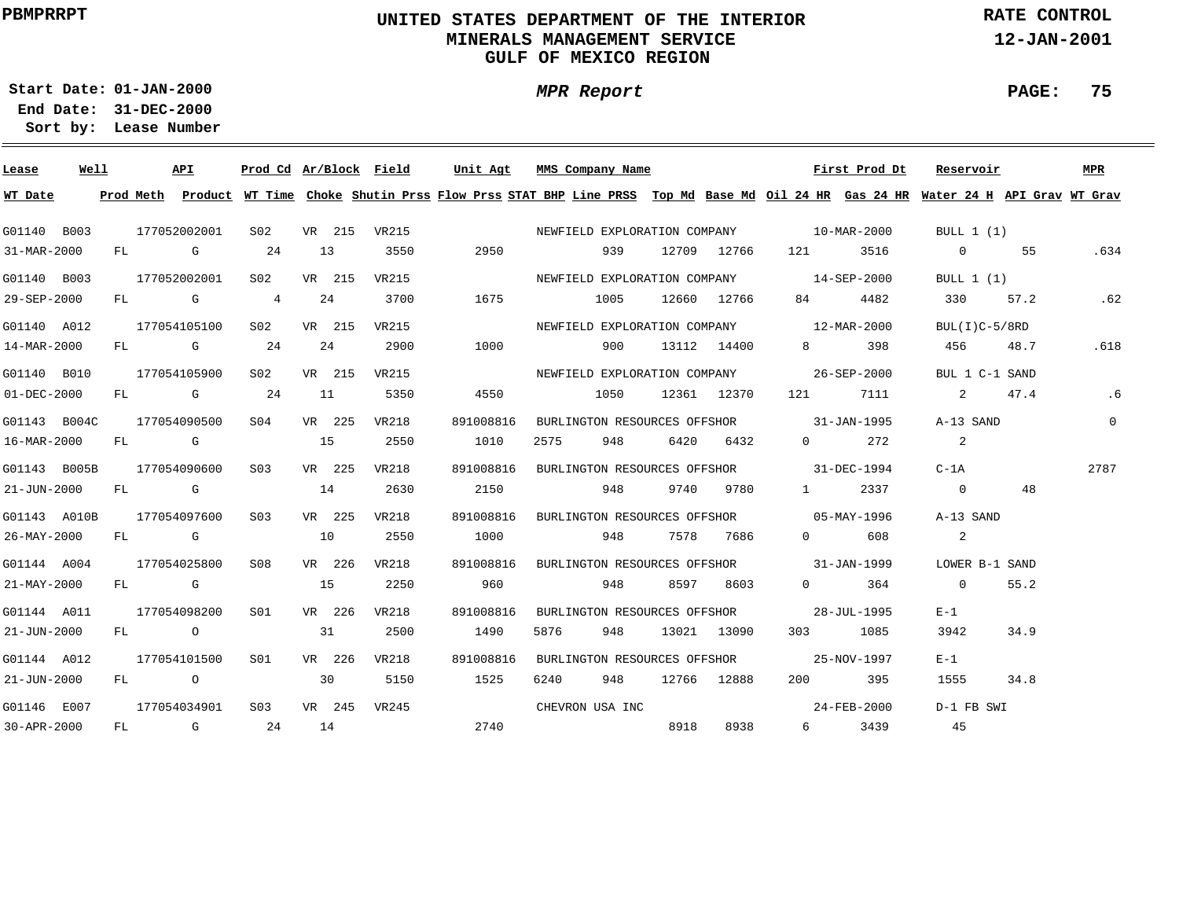### **UNITED STATES DEPARTMENT OF THE INTERIOR MINERALS MANAGEMENT SERVICEGULF OF MEXICO REGION**

**MPR Report**

**RATE CONTROL**

**12-JAN-2001**

**PAGE: 75**

**01-JAN-2000Start Date:**

| Lease        | Well |    |      | API                                                                                                                                                                                                                            |                  |        | Prod Cd Ar/Block Field |           | Unit Agt MMS Company Name                                                                                                               |                  |             |                                                                                                                                                                                                                                                                                                                                    | First Prod Dt | Reservoir                  |      | MPR            |
|--------------|------|----|------|--------------------------------------------------------------------------------------------------------------------------------------------------------------------------------------------------------------------------------|------------------|--------|------------------------|-----------|-----------------------------------------------------------------------------------------------------------------------------------------|------------------|-------------|------------------------------------------------------------------------------------------------------------------------------------------------------------------------------------------------------------------------------------------------------------------------------------------------------------------------------------|---------------|----------------------------|------|----------------|
| WT Date      |      |    |      |                                                                                                                                                                                                                                |                  |        |                        |           | Prod Meth Product WT Time Choke Shutin Prss Flow Prss STAT BHP Line PRSS Top Md Base Md Oil 24 HR Gas 24 HR Water 24 H API Grav WT Grav |                  |             |                                                                                                                                                                                                                                                                                                                                    |               |                            |      |                |
| G01140 B003  |      |    |      | 177052002001                                                                                                                                                                                                                   | S02              |        | VR 215 VR215           |           | NEWFIELD EXPLORATION COMPANY 10-MAR-2000                                                                                                |                  |             |                                                                                                                                                                                                                                                                                                                                    |               | BULL 1 (1)                 |      |                |
| 31-MAR-2000  |      | FL |      | and the Company of the Company of the Company of the Company of the Company of the Company of the Company of the Company of the Company of the Company of the Company of the Company of the Company of the Company of the Comp | 24               | 13     | 3550                   | 2950      | 939                                                                                                                                     |                  | 12709 12766 | 121 — 121 — 121 — 121 — 121 — 121 — 121 — 121 — 121 — 121 — 121 — 121 — 121 — 121 — 121 — 121 — 121 — 121 — 121 — 121 — 121 — 121 — 121 — 121 — 121 — 121 — 121 — 121 — 121 — 121 — 121 — 121 — 121 — 121 — 121 — 121 — 121 — 1                                                                                                    | 3516          | $\overline{0}$             | 55   | .634           |
| G01140 B003  |      |    |      | 177052002001                                                                                                                                                                                                                   | S02              | VR 215 | VR215                  |           | NEWFIELD EXPLORATION COMPANY 14-SEP-2000                                                                                                |                  |             |                                                                                                                                                                                                                                                                                                                                    |               | BULL $1(1)$                |      |                |
| 29-SEP-2000  |      |    |      | FL G                                                                                                                                                                                                                           | $\overline{4}$   | 24     | 3700                   | 1675      | 1005                                                                                                                                    |                  | 12660 12766 | 84 — 10                                                                                                                                                                                                                                                                                                                            | 4482          | 330                        | 57.2 | .62            |
| G01140 A012  |      |    |      | 177054105100                                                                                                                                                                                                                   | S02              | VR 215 | <b>VR215</b>           |           | NEWFIELD EXPLORATION COMPANY 12-MAR-2000                                                                                                |                  |             |                                                                                                                                                                                                                                                                                                                                    |               | $BUL(I)C-5/8RD$            |      |                |
| 14-MAR-2000  |      |    |      | FL G                                                                                                                                                                                                                           | 24               | 24     | 2900                   | 1000      | 900                                                                                                                                     |                  | 13112 14400 | $8 \left( \frac{1}{2} \right)$                                                                                                                                                                                                                                                                                                     | 398           | 456 48.7                   |      | .618           |
| G01140 B010  |      |    |      | 177054105900                                                                                                                                                                                                                   | S02              | VR 215 | VR215                  |           | NEWFIELD EXPLORATION COMPANY 26-SEP-2000                                                                                                |                  |             |                                                                                                                                                                                                                                                                                                                                    |               | BUL 1 C-1 SAND             |      |                |
| 01-DEC-2000  |      |    |      | FL G                                                                                                                                                                                                                           | 24               | 11     | 5350                   | 4550      |                                                                                                                                         | 1050 12361 12370 |             |                                                                                                                                                                                                                                                                                                                                    | 121 7111      | 2 47.4                     |      | .6             |
| G01143 B004C |      |    |      | 177054090500                                                                                                                                                                                                                   | S04              | VR 225 | VR218                  | 891008816 | BURLINGTON RESOURCES OFFSHOR 31-JAN-1995                                                                                                |                  |             |                                                                                                                                                                                                                                                                                                                                    |               | A-13 SAND                  |      | $\overline{0}$ |
| 16-MAR-2000  |      |    |      | FL G                                                                                                                                                                                                                           |                  | 15     | 2550                   | 1010      | 2575<br>948 — 10                                                                                                                        |                  | 6420 6432   | $\Omega$ and $\Omega$                                                                                                                                                                                                                                                                                                              | 272           | $\overline{\phantom{a}}$ 2 |      |                |
| G01143 B005B |      |    |      | 177054090600                                                                                                                                                                                                                   | S03              | VR 225 | VR218                  | 891008816 | BURLINGTON RESOURCES OFFSHOR 31-DEC-1994                                                                                                |                  |             |                                                                                                                                                                                                                                                                                                                                    |               | $C-1A$                     |      | 2787           |
| 21-JUN-2000  |      |    |      | FL G                                                                                                                                                                                                                           |                  | 14     | 2630                   | 2150      | 948                                                                                                                                     | 9740             | 9780        | $1 \quad \cdots$                                                                                                                                                                                                                                                                                                                   | 2337          | $\overline{0}$             | 48   |                |
| G01143 A010B |      |    |      | 177054097600                                                                                                                                                                                                                   | S <sub>03</sub>  | VR 225 | VR218                  | 891008816 | BURLINGTON RESOURCES OFFSHOR 05-MAY-1996                                                                                                |                  |             |                                                                                                                                                                                                                                                                                                                                    |               | A-13 SAND                  |      |                |
| 26-MAY-2000  |      |    |      | FL G                                                                                                                                                                                                                           |                  | 10     | 2550                   | 1000      | 948                                                                                                                                     | 7578             | 7686        | $\Omega$                                                                                                                                                                                                                                                                                                                           | 608           | 2                          |      |                |
| G01144 A004  |      |    |      | 177054025800                                                                                                                                                                                                                   | S08              | VR 226 | VR218                  | 891008816 | BURLINGTON RESOURCES OFFSHOR 31-JAN-1999                                                                                                |                  |             |                                                                                                                                                                                                                                                                                                                                    |               | LOWER B-1 SAND             |      |                |
| 21-MAY-2000  |      |    | FL G |                                                                                                                                                                                                                                |                  | 15     | 2250                   | 960       | 948                                                                                                                                     | 8597             | 8603        | $\overline{0}$ and $\overline{0}$ and $\overline{0}$ and $\overline{0}$ and $\overline{0}$ and $\overline{0}$ and $\overline{0}$ and $\overline{0}$ and $\overline{0}$ and $\overline{0}$ and $\overline{0}$ and $\overline{0}$ and $\overline{0}$ and $\overline{0}$ and $\overline{0}$ and $\overline{0}$ and $\overline{0}$ and | 364           | $\sim$ 0                   | 55.2 |                |
| G01144 A011  |      |    |      | 177054098200                                                                                                                                                                                                                   | S <sub>01</sub>  | VR 226 | VR218                  | 891008816 | BURLINGTON RESOURCES OFFSHOR                                                                                                            |                  |             |                                                                                                                                                                                                                                                                                                                                    | 28-JUL-1995   | $E-1$                      |      |                |
| 21-JUN-2000  |      |    | FL O |                                                                                                                                                                                                                                |                  | 31     | 2500                   | 1490      | 948<br>5876                                                                                                                             |                  | 13021 13090 |                                                                                                                                                                                                                                                                                                                                    | 303 1085      | 3942                       | 34.9 |                |
| G01144 A012  |      |    |      | 177054101500                                                                                                                                                                                                                   | S01              | VR 226 | VR218                  | 891008816 | BURLINGTON RESOURCES OFFSHOR                                                                                                            |                  |             |                                                                                                                                                                                                                                                                                                                                    | 25-NOV-1997   | $E-1$                      |      |                |
| 21-JUN-2000  |      |    |      | FL O                                                                                                                                                                                                                           |                  | 30     | 5150                   | 1525      | 6240 948                                                                                                                                |                  | 12766 12888 |                                                                                                                                                                                                                                                                                                                                    | 200 395       | 1555                       | 34.8 |                |
| G01146 E007  |      |    |      | 177054034901                                                                                                                                                                                                                   | S <sub>0.3</sub> | VR 245 | VR245                  |           | CHEVRON USA INC                                                                                                                         |                  |             |                                                                                                                                                                                                                                                                                                                                    | 24-FEB-2000   | D-1 FB SWI                 |      |                |
| 30-APR-2000  |      | FL |      | and the control of the control of the control of the control of the control of the control of the control of the control of the control of the control of the control of the control of the control of the control of the cont | 24               | 14     |                        | 2740      |                                                                                                                                         | 8918             | 8938        | $6 \quad \sigma$                                                                                                                                                                                                                                                                                                                   | 3439          | 45                         |      |                |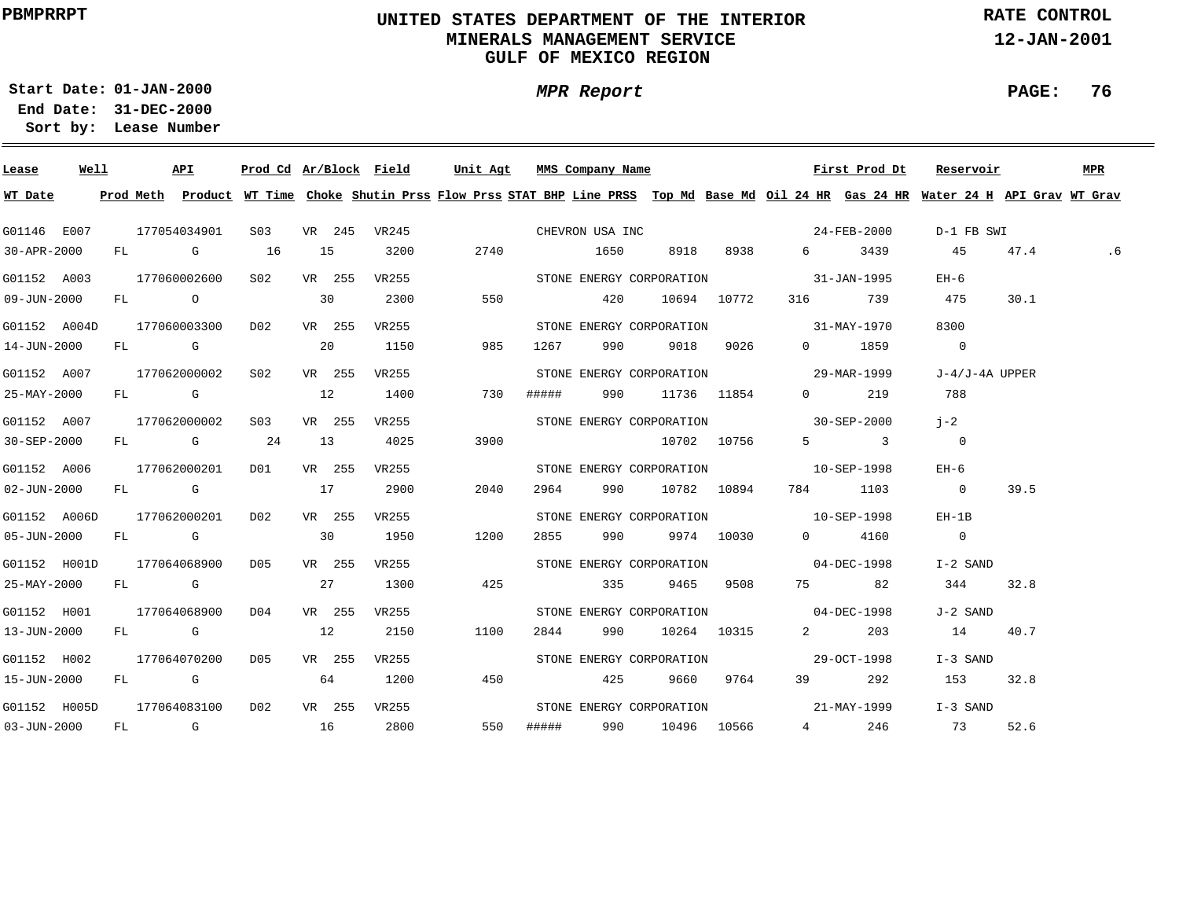### **UNITED STATES DEPARTMENT OF THE INTERIOR MINERALS MANAGEMENT SERVICEGULF OF MEXICO REGION**

**MPR Report**

**RATE CONTROL**

**12-JAN-2001**

**PAGE: 76**

**01-JAN-2000Start Date:**

| Lease                                      | Well | API                           |                 |        |        |              | Prod Cd Ar/Block Field Unit Agt MMS Company Name |     |          |                       |           |                                           | First Prod Dt       | Reservoir                                                                                                                               |      | MPR |
|--------------------------------------------|------|-------------------------------|-----------------|--------|--------|--------------|--------------------------------------------------|-----|----------|-----------------------|-----------|-------------------------------------------|---------------------|-----------------------------------------------------------------------------------------------------------------------------------------|------|-----|
| WT Date                                    |      |                               |                 |        |        |              |                                                  |     |          |                       |           |                                           |                     | Prod Meth Product WT Time Choke Shutin Prss Flow Prss STAT BHP Line PRSS Top Md Base Md Oil 24 HR Gas 24 HR Water 24 H API Grav WT Grav |      |     |
| G01146 E007                                |      | 177054034901                  |                 |        |        |              |                                                  |     |          |                       |           |                                           |                     | D-1 FB SWI                                                                                                                              |      |     |
| 30-APR-2000                                |      | $FL$ G 16                     |                 |        | 15     | 3200         |                                                  |     |          | 2740 1650 8918 8938   |           |                                           | 6 3439              | 45 47.4                                                                                                                                 |      | . 6 |
| G01152 A003                                |      | 177060002600                  | S <sub>02</sub> |        | VR 255 | VR255        |                                                  |     |          |                       |           | STONE ENERGY CORPORATION 31-JAN-1995      |                     | $EH-6$                                                                                                                                  |      |     |
| 09-JUN-2000                                |      | FL O                          |                 | 30     |        | 2300         | 550                                              | 420 |          | 10694 10772           |           |                                           | 316 739             | 475                                                                                                                                     | 30.1 |     |
| G01152 A004D 177060003300 D02 VR 255 VR255 |      |                               |                 |        |        |              |                                                  |     |          |                       |           | STONE ENERGY CORPORATION 31-MAY-1970      |                     | 8300                                                                                                                                    |      |     |
| 14-JUN-2000                                |      | FL G 20                       |                 |        |        | 1150         | 985                                              |     | 1267 990 |                       | 9018 9026 |                                           | 0 1859              | $\sim$ 0                                                                                                                                |      |     |
| G01152 A007                                |      | 177062000002 S02 VR 255 VR255 |                 |        |        |              |                                                  |     |          |                       |           | STONE ENERGY CORPORATION 29-MAR-1999      |                     | J-4/J-4A UPPER                                                                                                                          |      |     |
| 25-MAY-2000                                |      | $FL$ G and $12$               |                 |        |        | 1400         | 730                                              |     |          | ##### 990 11736 11854 |           |                                           | $0$ 219             | 788                                                                                                                                     |      |     |
| G01152 A007                                |      | 177062000002 S03 VR 255 VR255 |                 |        |        |              |                                                  |     |          |                       |           | STONE ENERGY CORPORATION 30-SEP-2000      |                     | $i-2$                                                                                                                                   |      |     |
| 30-SEP-2000                                |      | FL G 24                       |                 |        | 13     | 4025         | 3900                                             |     |          | 10702 10756           |           |                                           | $5 \qquad \qquad 3$ | $\overline{\phantom{0}}$                                                                                                                |      |     |
| G01152 A006                                |      | 177062000201                  | DO1 DO          |        | VR 255 | VR255        |                                                  |     |          |                       |           | STONE ENERGY CORPORATION 10-SEP-1998      |                     | EH-6                                                                                                                                    |      |     |
| $02 - JUN - 2000$                          |      | $FL$ G and $17$               |                 |        |        | 2900         | 2040                                             |     |          | 2964 990 10782 10894  |           |                                           | 784 1103            | $\overline{0}$                                                                                                                          | 39.5 |     |
| G01152 A006D                               |      | 177062000201                  | DO <sub>2</sub> | VR 255 |        | VR255        |                                                  |     |          |                       |           | STONE ENERGY CORPORATION 10-SEP-1998      |                     | $EH-1B$                                                                                                                                 |      |     |
| 05-JUN-2000                                |      | $FL$ G 30                     |                 |        |        | 1950         | 1200                                             |     |          | 2855 990 9974 10030   |           |                                           | 0 4160              | $\sim$ 0                                                                                                                                |      |     |
| G01152 H001D 177064068900 D05              |      |                               |                 |        | VR 255 | VR 255       |                                                  |     |          |                       |           | STONE ENERGY CORPORATION 04-DEC-1998      |                     | I-2 SAND                                                                                                                                |      |     |
| 25-MAY-2000                                |      | FL G 27                       |                 |        |        | 1300         | 425                                              |     |          | 335 9465 9508         |           |                                           | 75 82               | 344 32.8                                                                                                                                |      |     |
| G01152 H001                                |      | 177064068900 D04              |                 |        |        | VR 255 VR255 |                                                  |     |          |                       |           | STONE ENERGY CORPORATION 04-DEC-1998      |                     | J-2 SAND                                                                                                                                |      |     |
| 13-JUN-2000                                |      | FL G                          | 12              |        |        | 2150         | 1100                                             |     |          | 2844 990 10264 10315  |           |                                           | 2 203               | 14 40.7                                                                                                                                 |      |     |
| G01152 H002                                |      | 177064070200 D05              |                 |        |        | VR 255 VR255 |                                                  |     |          |                       |           | STONE ENERGY CORPORATION 5700 29-OCT-1998 |                     | I-3 SAND                                                                                                                                |      |     |
| 15-JUN-2000                                |      | FL G                          |                 |        | 64     | 1200         | 450                                              |     | 425      |                       | 9660 9764 |                                           | 39 292              | 153 32.8                                                                                                                                |      |     |
| G01152 H005D 177064083100 D02              |      |                               |                 |        |        | VR 255 VR255 |                                                  |     |          |                       |           | STONE ENERGY CORPORATION 21-MAY-1999      |                     | I-3 SAND                                                                                                                                |      |     |
| 03-JUN-2000 FL G 16 2800                   |      |                               |                 |        |        |              | 550                                              |     |          | ##### 990 10496 10566 |           |                                           | 4 246               | 73 52.6                                                                                                                                 |      |     |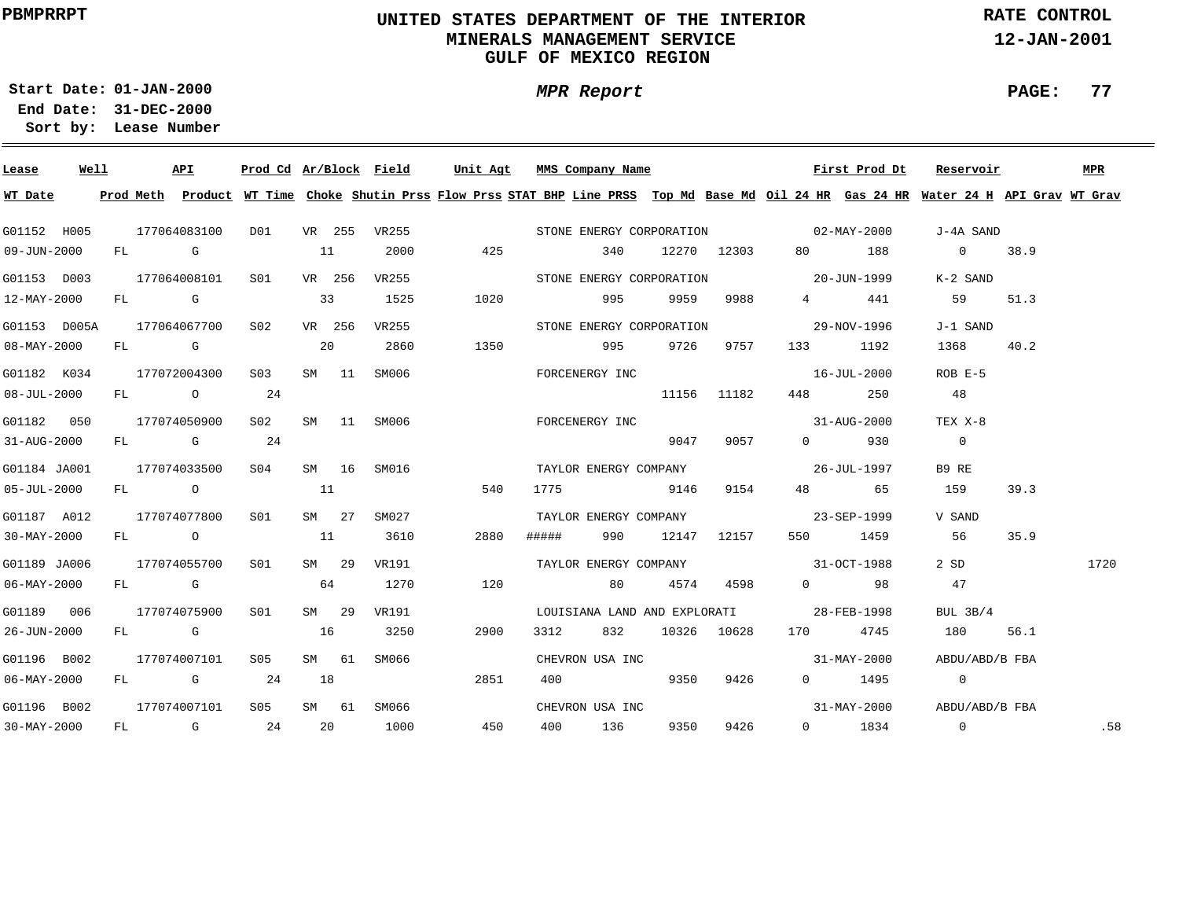### **UNITED STATES DEPARTMENT OF THE INTERIOR MINERALS MANAGEMENT SERVICEGULF OF MEXICO REGION**

**MPR Report**

**RATE CONTROL**

**12-JAN-2001**

**PAGE: 77**

**01-JAN-2000Start Date:31-DEC-2000 End Date:** 

| Lease                    | Well |  | API              |     |        |       |              | Prod Cd Ar/Block Field Unit Agt MMS Company Name                                                                                        |      |                       |      |             |                                                                                                                                                                                                                                                                                                                                    | First Prod Dt | Reservoir                |      | MPR  |
|--------------------------|------|--|------------------|-----|--------|-------|--------------|-----------------------------------------------------------------------------------------------------------------------------------------|------|-----------------------|------|-------------|------------------------------------------------------------------------------------------------------------------------------------------------------------------------------------------------------------------------------------------------------------------------------------------------------------------------------------|---------------|--------------------------|------|------|
| WT Date                  |      |  |                  |     |        |       |              | Prod Meth Product WT Time Choke Shutin Prss Flow Prss STAT BHP Line PRSS Top Md Base Md Oil 24 HR Gas 24 HR Water 24 H API Grav WT Grav |      |                       |      |             |                                                                                                                                                                                                                                                                                                                                    |               |                          |      |      |
| G01152 H005              |      |  | 177064083100     | DO1 |        |       | VR 255 VR255 |                                                                                                                                         |      |                       |      |             | STONE ENERGY CORPORATION 02-MAY-2000                                                                                                                                                                                                                                                                                               |               | J-4A SAND                |      |      |
| 09-JUN-2000              |      |  | FL G             |     | 11     |       | 2000         | 425                                                                                                                                     |      | 340                   |      | 12270 12303 |                                                                                                                                                                                                                                                                                                                                    | 80 188        | $0 \t38.9$               |      |      |
| G01153 D003              |      |  | 177064008101     | S01 | VR 256 |       | VR255        |                                                                                                                                         |      |                       |      |             | STONE ENERGY CORPORATION 20-JUN-1999                                                                                                                                                                                                                                                                                               |               | K-2 SAND                 |      |      |
| 12-MAY-2000              |      |  | FL G             |     | 33     |       | 1525         | 1020                                                                                                                                    |      | 995                   | 9959 | 9988        |                                                                                                                                                                                                                                                                                                                                    | 4 441         | 59                       | 51.3 |      |
| G01153 D005A             |      |  | 177064067700 S02 |     |        |       | VR 256 VR255 |                                                                                                                                         |      |                       |      |             | STONE ENERGY CORPORATION 29-NOV-1996                                                                                                                                                                                                                                                                                               |               | J-1 SAND                 |      |      |
| 08-MAY-2000              |      |  | FL G             |     | 20     |       | 2860         | 1350                                                                                                                                    |      | 995                   | 9726 | 9757        |                                                                                                                                                                                                                                                                                                                                    | 133 1192      | 1368                     | 40.2 |      |
| G01182 K034              |      |  | 177072004300     | S03 |        |       | SM 11 SM006  |                                                                                                                                         |      | FORCENERGY INC        |      |             |                                                                                                                                                                                                                                                                                                                                    | 16-JUL-2000   | $ROB E-5$                |      |      |
| $08 - JUL - 2000$        |      |  | FL O             | 24  |        |       |              |                                                                                                                                         |      |                       |      | 11156 11182 | 448 — 100                                                                                                                                                                                                                                                                                                                          | 250           | 48                       |      |      |
| G01182 050               |      |  | 177074050900     | S02 |        |       | SM 11 SM006  |                                                                                                                                         |      | FORCENERGY INC        |      |             | $31 - \text{AUG} - 2000$                                                                                                                                                                                                                                                                                                           |               | TEX X-8                  |      |      |
| 31-AUG-2000              |      |  | FL G             | 24  |        |       |              |                                                                                                                                         |      |                       | 9047 | 9057        | $\overline{0}$ and $\overline{0}$ and $\overline{0}$ and $\overline{0}$ and $\overline{0}$ and $\overline{0}$ and $\overline{0}$ and $\overline{0}$ and $\overline{0}$ and $\overline{0}$ and $\overline{0}$ and $\overline{0}$ and $\overline{0}$ and $\overline{0}$ and $\overline{0}$ and $\overline{0}$ and $\overline{0}$ and | 930           | $\overline{0}$           |      |      |
| G01184 JA001             |      |  | 177074033500     | S04 |        |       | SM 16 SM016  | TAYLOR ENERGY COMPANY FOR THE 26-JUL-1997                                                                                               |      |                       |      |             |                                                                                                                                                                                                                                                                                                                                    |               | B9 RE                    |      |      |
| $05 - JUL - 2000$        |      |  | FL O             |     | 11     |       |              | 540                                                                                                                                     |      | 1775 9146             |      | 9154        |                                                                                                                                                                                                                                                                                                                                    | 48 65         | 159                      | 39.3 |      |
| G01187 A012              |      |  | 177074077800     | SO1 |        | SM 27 | SM027        |                                                                                                                                         |      |                       |      |             | TAYLOR ENERGY COMPANY TAG AND 23-SEP-1999                                                                                                                                                                                                                                                                                          |               | V SAND                   |      |      |
| 30-MAY-2000              |      |  | FL O             |     | 11     |       | 3610         | 2880                                                                                                                                    |      | ##### 990 12147 12157 |      |             |                                                                                                                                                                                                                                                                                                                                    | 550 1459      | 56                       | 35.9 |      |
| G01189 JA006             |      |  | 177074055700     | S01 |        | SM 29 | VR191        |                                                                                                                                         |      |                       |      |             | TAYLOR ENERGY COMPANY 31-OCT-1988                                                                                                                                                                                                                                                                                                  |               | 2 SD                     |      | 1720 |
| $06 - \text{MAX} - 2000$ |      |  | FL G             |     | 64     |       | 1270         | 120                                                                                                                                     |      | 80                    |      |             | 4574 4598 0 98                                                                                                                                                                                                                                                                                                                     |               | 47                       |      |      |
| G01189 006               |      |  | 177074075900     | S01 |        | SM 29 | VR191        |                                                                                                                                         |      |                       |      |             | LOUISIANA LAND AND EXPLORATI 28-FEB-1998                                                                                                                                                                                                                                                                                           |               | BUL 3B/4                 |      |      |
| 26-JUN-2000              |      |  | FL G             |     | 16     |       | 3250         | 2900                                                                                                                                    | 3312 | 832                   |      | 10326 10628 |                                                                                                                                                                                                                                                                                                                                    | 170 4745      | 180                      | 56.1 |      |
| G01196 B002              |      |  | 177074007101     | S05 |        | SM 61 | SM066        |                                                                                                                                         |      | CHEVRON USA INC       |      |             |                                                                                                                                                                                                                                                                                                                                    | 31-MAY-2000   | ABDU/ABD/B FBA           |      |      |
| $06 - \text{MAX} - 2000$ |      |  | FL G 24          |     | 18     |       |              | 2851                                                                                                                                    | 400  | 9350                  |      | 9426        |                                                                                                                                                                                                                                                                                                                                    | $0 \t1495$    | $\overline{\phantom{0}}$ |      |      |
| G01196 B002              |      |  | 177074007101 S05 |     |        | SM 61 | SM066        |                                                                                                                                         |      | CHEVRON USA INC       |      |             |                                                                                                                                                                                                                                                                                                                                    | 31-MAY-2000   | ABDU/ABD/B FBA           |      |      |
| 30-MAY-2000              |      |  | $FL$ G 24        |     | 20     |       | 1000         | 450                                                                                                                                     |      | 400 136               | 9350 | 9426        |                                                                                                                                                                                                                                                                                                                                    | $0 \t 1834$   | $\overline{0}$           |      | .58  |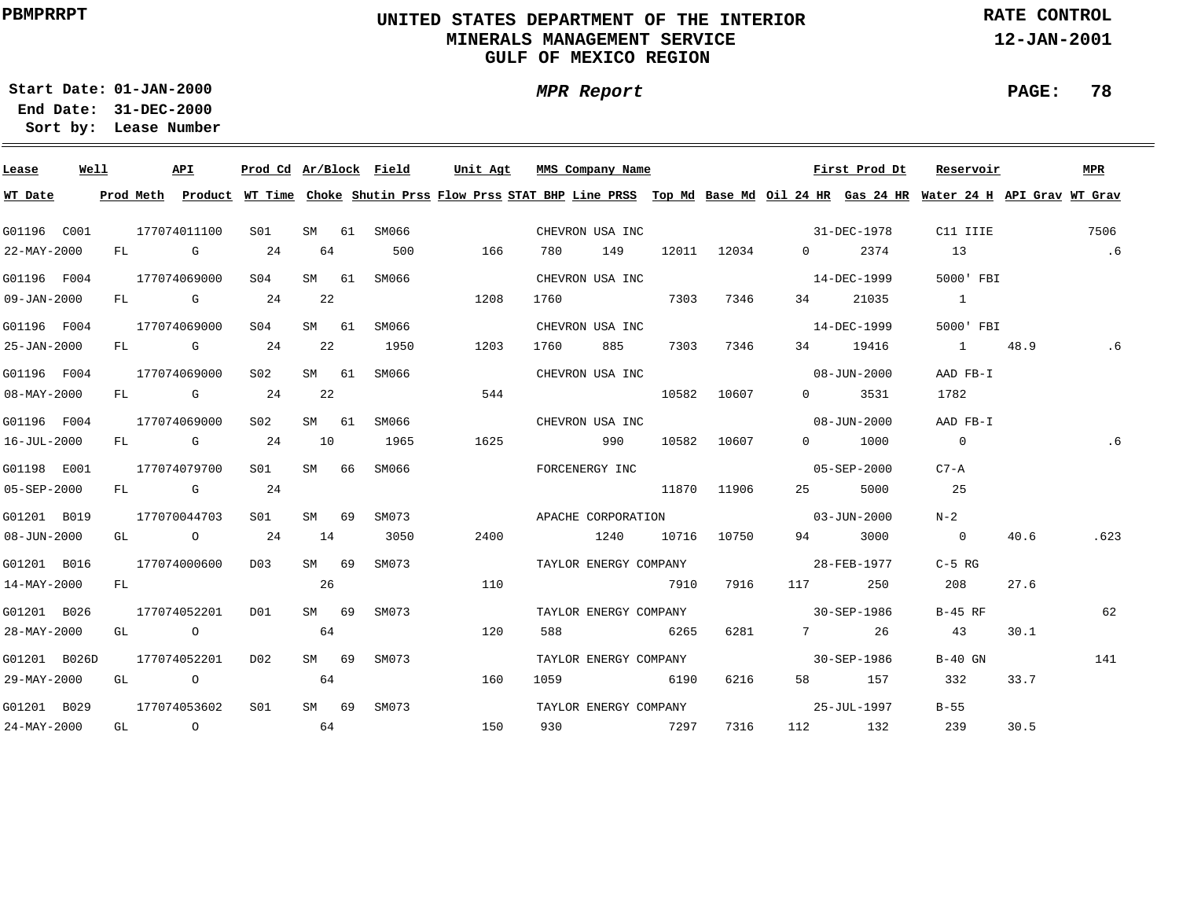### **UNITED STATES DEPARTMENT OF THE INTERIOR MINERALS MANAGEMENT SERVICEGULF OF MEXICO REGION**

**MPR Report**

**RATE CONTROL**

**12-JAN-2001**

**PAGE: 78**

**01-JAN-2000Start Date:**

| Lease             | Well |    |      | API                                                                                                                                                                                                                            | Prod Cd Ar/Block Field |       |    |             | Unit Agt |      | MMS Company Name      |       |             |                                                                                                                                                                                                                                                                                                                                    | First Prod Dt     | Reservoir                                                                                                                               |      | MPR  |
|-------------------|------|----|------|--------------------------------------------------------------------------------------------------------------------------------------------------------------------------------------------------------------------------------|------------------------|-------|----|-------------|----------|------|-----------------------|-------|-------------|------------------------------------------------------------------------------------------------------------------------------------------------------------------------------------------------------------------------------------------------------------------------------------------------------------------------------------|-------------------|-----------------------------------------------------------------------------------------------------------------------------------------|------|------|
| WT Date           |      |    |      |                                                                                                                                                                                                                                |                        |       |    |             |          |      |                       |       |             |                                                                                                                                                                                                                                                                                                                                    |                   | Prod Meth Product WT Time Choke Shutin Prss Flow Prss STAT BHP Line PRSS Top Md Base Md Oil 24 HR Gas 24 HR Water 24 H API Grav WT Grav |      |      |
| G01196 C001       |      |    |      | 177074011100                                                                                                                                                                                                                   | S01                    |       |    | SM 61 SM066 |          |      | CHEVRON USA INC       |       |             | $31 - DEC - 1978$                                                                                                                                                                                                                                                                                                                  |                   | C11 IIIE                                                                                                                                |      | 7506 |
| 22-MAY-2000       |      |    |      | FL G                                                                                                                                                                                                                           | 24                     | 64    |    | 500         | 166      | 780  | 149                   |       | 12011 12034 | $\overline{0}$ and $\overline{0}$ and $\overline{0}$ and $\overline{0}$ and $\overline{0}$ and $\overline{0}$ and $\overline{0}$ and $\overline{0}$ and $\overline{0}$ and $\overline{0}$ and $\overline{0}$ and $\overline{0}$ and $\overline{0}$ and $\overline{0}$ and $\overline{0}$ and $\overline{0}$ and $\overline{0}$ and | 2374              | 13                                                                                                                                      |      | .6   |
| G01196 F004       |      |    |      | 177074069000                                                                                                                                                                                                                   | S04                    | SM 61 |    | SM066       |          |      | CHEVRON USA INC       |       |             |                                                                                                                                                                                                                                                                                                                                    | 14-DEC-1999       | 5000' FBI                                                                                                                               |      |      |
| $09 - JAN - 2000$ |      |    |      | FL G                                                                                                                                                                                                                           | 24                     | 22    |    |             | 1208     | 1760 |                       | 7303  | 7346        | 34                                                                                                                                                                                                                                                                                                                                 | 21035             | $\overline{1}$                                                                                                                          |      |      |
| G01196 F004       |      |    |      | 177074069000                                                                                                                                                                                                                   | SO4                    | SM 61 |    | SM066       |          |      | CHEVRON USA INC       |       |             |                                                                                                                                                                                                                                                                                                                                    | 14-DEC-1999       | 5000' FBI                                                                                                                               |      |      |
| 25-JAN-2000       |      | FL |      | <b>G</b>                                                                                                                                                                                                                       | 24                     | 22    |    | 1950        | 1203     | 1760 | 885                   | 7303  | 7346        |                                                                                                                                                                                                                                                                                                                                    | 34 19416          | 1 48.9                                                                                                                                  |      | .6   |
| G01196 F004       |      |    |      | 177074069000                                                                                                                                                                                                                   | S02                    | SM 61 |    | SM066       |          |      | CHEVRON USA INC       |       |             |                                                                                                                                                                                                                                                                                                                                    | $08 - JUN - 2000$ | AAD FB-I                                                                                                                                |      |      |
| $08 - MAY - 2000$ |      | FL |      | and the control of the control of the control of the control of the control of the control of the control of the control of the control of the control of the control of the control of the control of the control of the cont | 24                     | 22    |    |             | 544      |      |                       | 10582 | 10607       | $\Omega$                                                                                                                                                                                                                                                                                                                           | 3531              | 1782                                                                                                                                    |      |      |
| G01196 F004       |      |    |      | 177074069000                                                                                                                                                                                                                   | S02                    | SM 61 |    | SM066       |          |      | CHEVRON USA INC       |       |             |                                                                                                                                                                                                                                                                                                                                    | $08 - JUN - 2000$ | AAD FB-I                                                                                                                                |      |      |
| 16-JUL-2000       |      | FL |      | $\mathbf G$                                                                                                                                                                                                                    | 24                     | 10    |    | 1965        | 1625     |      | 990                   | 10582 | 10607       | $\Omega$                                                                                                                                                                                                                                                                                                                           | 1000              | $\overline{0}$                                                                                                                          |      | .6   |
| G01198 E001       |      |    |      | 177074079700                                                                                                                                                                                                                   | SO1                    | SM 66 |    | SM066       |          |      | FORCENERGY INC        |       |             |                                                                                                                                                                                                                                                                                                                                    | 05-SEP-2000       | $C7 - A$                                                                                                                                |      |      |
| 05-SEP-2000       |      |    |      | FL G                                                                                                                                                                                                                           | 24                     |       |    |             |          |      |                       |       | 11870 11906 | 25 — 1                                                                                                                                                                                                                                                                                                                             | 5000              | 25                                                                                                                                      |      |      |
| G01201 B019       |      |    |      | 177070044703                                                                                                                                                                                                                   | SO1                    | SM    | 69 | SM073       |          |      |                       |       |             | APACHE CORPORATION 03-JUN-2000                                                                                                                                                                                                                                                                                                     |                   | $N-2$                                                                                                                                   |      |      |
| 08-JUN-2000       |      |    |      | GL O                                                                                                                                                                                                                           | 24                     | 14    |    | 3050        | 2400     |      | 1240                  |       | 10716 10750 | 94 — 10                                                                                                                                                                                                                                                                                                                            | 3000              | $\overline{0}$                                                                                                                          | 40.6 | .623 |
| G01201 B016       |      |    |      | 177074000600                                                                                                                                                                                                                   | D03                    | SM 69 |    | SM073       |          |      | TAYLOR ENERGY COMPANY |       |             | 28-FEB-1977                                                                                                                                                                                                                                                                                                                        |                   | $C-5$ RG                                                                                                                                |      |      |
| 14-MAY-2000       |      | FL |      |                                                                                                                                                                                                                                |                        | 26    |    |             | 110      |      |                       | 7910  | 7916        | 117                                                                                                                                                                                                                                                                                                                                | 250               | 208                                                                                                                                     | 27.6 |      |
| G01201 B026       |      |    |      | 177074052201                                                                                                                                                                                                                   | DO1                    | SM 69 |    | SM073       |          |      | TAYLOR ENERGY COMPANY |       |             | $30 - SEP - 1986$                                                                                                                                                                                                                                                                                                                  |                   | $B-45$ RF                                                                                                                               |      | 62   |
| 28-MAY-2000       |      |    | GL O |                                                                                                                                                                                                                                |                        | 64    |    |             | 120      | 588  | 6265                  |       | 6281        |                                                                                                                                                                                                                                                                                                                                    | 7 26              | 43                                                                                                                                      | 30.1 |      |
| G01201 B026D      |      |    |      | 177074052201                                                                                                                                                                                                                   | D02                    | SM 69 |    | SM073       |          |      | TAYLOR ENERGY COMPANY |       |             | $30 - SEP - 1986$                                                                                                                                                                                                                                                                                                                  |                   | $B-40$ GN                                                                                                                               |      | 141  |
| 29-MAY-2000       |      |    | GL O |                                                                                                                                                                                                                                |                        | 64    |    |             | 160      | 1059 |                       | 6190  | 6216        |                                                                                                                                                                                                                                                                                                                                    | 58 157            | 332                                                                                                                                     | 33.7 |      |
| G01201 B029       |      |    |      | 177074053602                                                                                                                                                                                                                   | S <sub>01</sub>        | SM 69 |    | SM073       |          |      | TAYLOR ENERGY COMPANY |       |             | 25-JUL-1997                                                                                                                                                                                                                                                                                                                        |                   | $B-55$                                                                                                                                  |      |      |
| 24-MAY-2000       |      |    | GL O |                                                                                                                                                                                                                                | 64                     |       |    |             | 150      | 930  |                       | 7297  | 7316        |                                                                                                                                                                                                                                                                                                                                    | 112 132           | 239                                                                                                                                     | 30.5 |      |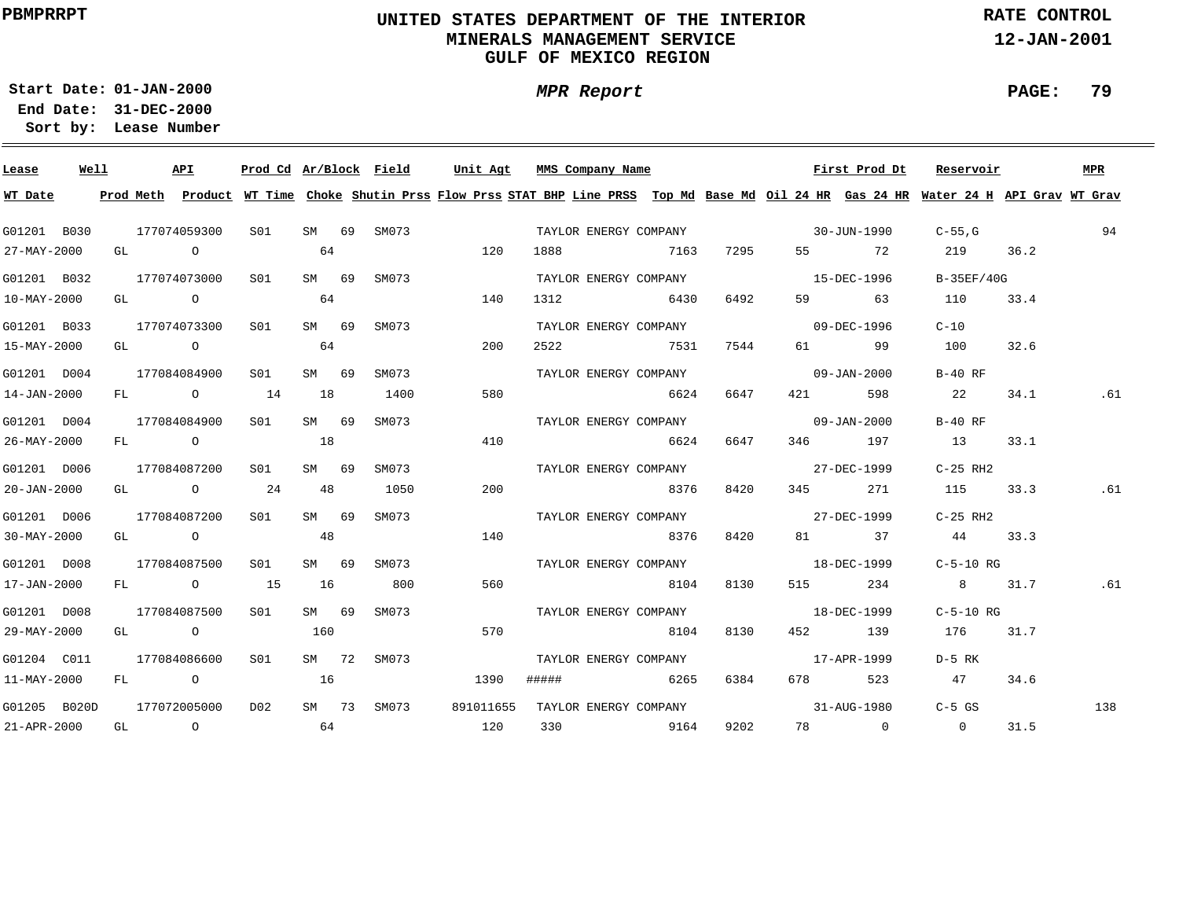### **UNITED STATES DEPARTMENT OF THE INTERIOR MINERALS MANAGEMENT SERVICEGULF OF MEXICO REGION**

**MPR Report**

**RATE CONTROL**

**12-JAN-2001**

**PAGE: 79**

**01-JAN-2000Start Date:31-DEC-2000 End Date:** 

| Lease             | Well |  | API                     | Prod Cd Ar/Block Field |       |             | Unit Agt                                                                                                                                |       | MMS Company Name |                       |      |                                    | First Prod Dt | Reservoir      |      | <b>MPR</b> |
|-------------------|------|--|-------------------------|------------------------|-------|-------------|-----------------------------------------------------------------------------------------------------------------------------------------|-------|------------------|-----------------------|------|------------------------------------|---------------|----------------|------|------------|
| WT Date           |      |  |                         |                        |       |             | Prod Meth Product WT Time Choke Shutin Prss Flow Prss STAT BHP Line PRSS Top Md Base Md Oil 24 HR Gas 24 HR Water 24 H API Grav WT Grav |       |                  |                       |      |                                    |               |                |      |            |
| G01201 B030       |      |  | 177074059300            | S01                    |       | SM 69 SM073 |                                                                                                                                         |       |                  |                       |      | TAYLOR ENERGY COMPANY 30-JUN-1990  |               | $C-55$ , G     |      | 94         |
| 27-MAY-2000       |      |  | GL O                    |                        | 64    |             | 120                                                                                                                                     | 1888  |                  | 7163                  | 7295 |                                    | 55 72         | 219            | 36.2 |            |
| G01201 B032       |      |  | 177074073000            | S01                    | SM 69 | SM073       |                                                                                                                                         |       |                  | TAYLOR ENERGY COMPANY |      | $15 - DEC - 1996$                  |               | B-35EF/40G     |      |            |
| 10-MAY-2000       |      |  | GL O                    |                        | 64    |             | 140                                                                                                                                     | 1312  |                  | 6430                  | 6492 | 59 — 10                            | 63            | 110            | 33.4 |            |
| G01201 B033       |      |  | 177074073300            | S01                    | SM 69 | SM073       |                                                                                                                                         |       |                  | TAYLOR ENERGY COMPANY |      | $09 - DEC - 1996$                  |               | $C - 10$       |      |            |
| 15-MAY-2000       |      |  | GL O                    |                        | 64    |             | 200                                                                                                                                     |       |                  | 2522 7531             | 7544 | 61 — 1                             | 99            | 100            | 32.6 |            |
| G01201 D004       |      |  | 177084084900            | S01                    | SM 69 | SM073       |                                                                                                                                         |       |                  |                       |      | TAYLOR ENERGY COMPANY 09-JAN-2000  |               | $B-40$ RF      |      |            |
| 14-JAN-2000       |      |  | FL 0 14                 |                        | 18    | 1400        | 580                                                                                                                                     |       |                  | 6624                  | 6647 | 421 \                              | 598           | 22             | 34.1 | .61        |
| G01201 D004       |      |  | 177084084900            | S01 <b>S</b>           | SM 69 | SM073       |                                                                                                                                         |       |                  | TAYLOR ENERGY COMPANY |      | $09 - JAN - 2000$                  |               | $B-40$ RF      |      |            |
| 26-MAY-2000       |      |  | FL O                    |                        | 18    |             | 410                                                                                                                                     |       |                  | 6624                  | 6647 |                                    | 346 197       | 13             | 33.1 |            |
| G01201 D006       |      |  | 177084087200            | S01                    | SM 69 | SM073       |                                                                                                                                         |       |                  |                       |      | TAYLOR ENERGY COMPANY 677-DEC-1999 |               | C-25 RH2       |      |            |
| 20-JAN-2000       |      |  | GL $\qquad \qquad$ 0 24 |                        | 48    | 1050        | 200                                                                                                                                     |       |                  | 8376                  | 8420 |                                    | 345 271       | 115            | 33.3 | .61        |
| G01201 D006       |      |  | 177084087200            | S01 <b>S</b>           | SM 69 | SM073       |                                                                                                                                         |       |                  |                       |      | TAYLOR ENERGY COMPANY 677-DEC-1999 |               | C-25 RH2       |      |            |
| $30 - MAX - 2000$ |      |  | GL O                    |                        | 48    |             | 140                                                                                                                                     |       |                  | 8376                  | 8420 |                                    | 81 37         | 44 33.3        |      |            |
| G01201 D008       |      |  | 177084087500            | S01                    | SM 69 | SM073       |                                                                                                                                         |       |                  |                       |      | TAYLOR ENERGY COMPANY 18-DEC-1999  |               | $C-5-10$ RG    |      |            |
| 17-JAN-2000       |      |  | FL 0 15                 |                        | 16    | 800         | 560                                                                                                                                     |       |                  | 8104                  | 8130 |                                    | 515 234       | 8 31.7         |      | .61        |
| G01201 D008       |      |  | 177084087500            | S <sub>01</sub>        | SM 69 | SM073       |                                                                                                                                         |       |                  |                       |      | TAYLOR ENERGY COMPANY 18-DEC-1999  |               | C-5-10 RG      |      |            |
| 29-MAY-2000       |      |  | GL O                    |                        | 160   |             | 570                                                                                                                                     |       |                  | 8104                  | 8130 |                                    | 452 139       | 176 31.7       |      |            |
| G01204 C011       |      |  | 177084086600            | S01                    | SM 72 | SM073       |                                                                                                                                         |       |                  | TAYLOR ENERGY COMPANY |      | 17-APR-1999                        |               | D-5 RK         |      |            |
| 11-MAY-2000       |      |  | FL O                    |                        | 16    |             | 1390                                                                                                                                    | ##### |                  | 6265                  | 6384 |                                    | 678 523       | 47             | 34.6 |            |
| G01205 B020D      |      |  | 177072005000            | D02                    |       | SM 73 SM073 | 891011655                                                                                                                               |       |                  | TAYLOR ENERGY COMPANY |      | 31-AUG-1980                        |               | $C-5$ GS       |      | 138        |
| 21-APR-2000       |      |  | GL O                    | 64                     |       |             | 120                                                                                                                                     |       |                  | 330 9164              | 9202 |                                    | 78 0          | $\overline{0}$ | 31.5 |            |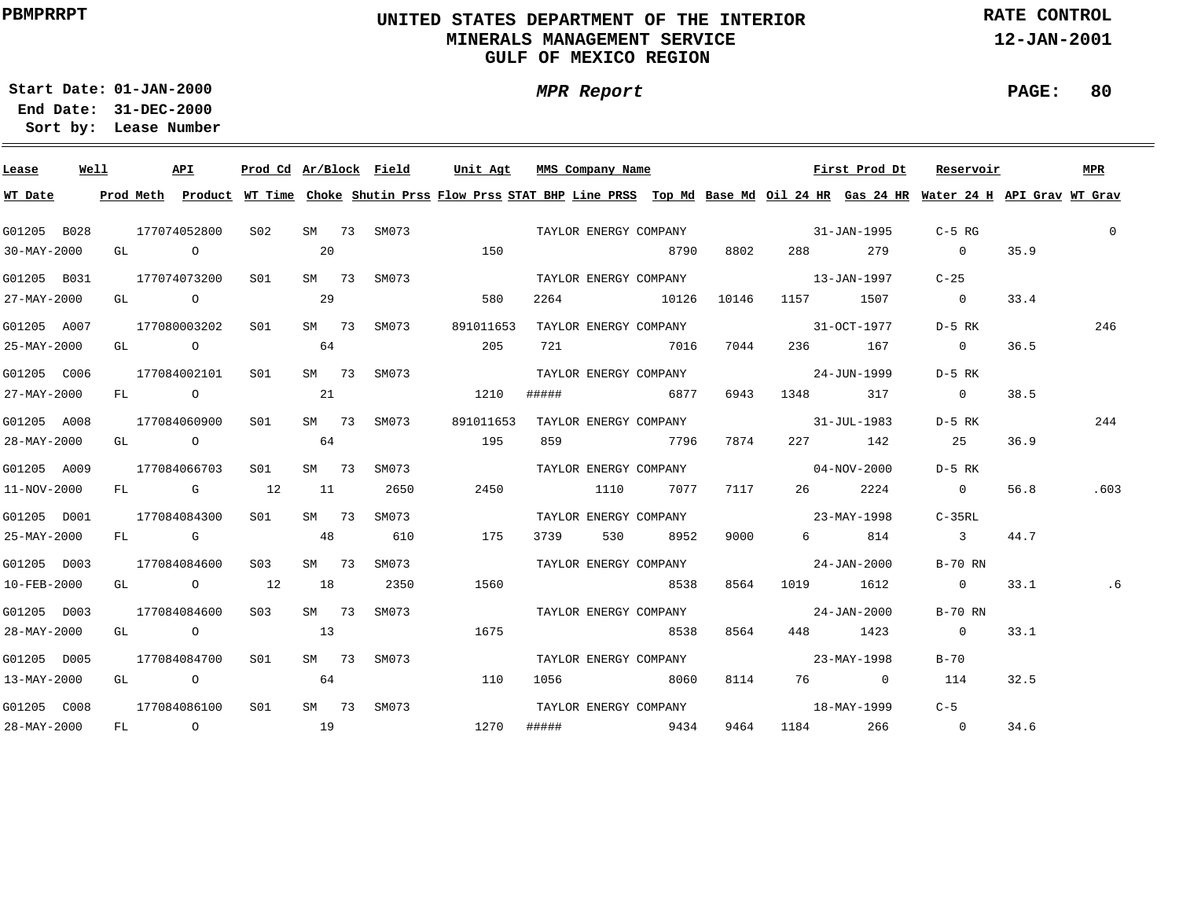### **UNITED STATES DEPARTMENT OF THE INTERIOR MINERALS MANAGEMENT SERVICEGULF OF MEXICO REGION**

**MPR Report**

**RATE CONTROL**

**12-JAN-2001**

**PAGE: 80**

**01-JAN-2000Start Date:31-DEC-2000 End Date:** 

| Lease             | Well |  | API                                   | Prod Cd Ar/Block Field |       |             | Unit Agt                                                                                                                                                                                                                       |       | MMS Company Name |                       |          |                                   | First Prod Dt | Reservoir                                                                                                                               |      | <b>MPR</b>   |
|-------------------|------|--|---------------------------------------|------------------------|-------|-------------|--------------------------------------------------------------------------------------------------------------------------------------------------------------------------------------------------------------------------------|-------|------------------|-----------------------|----------|-----------------------------------|---------------|-----------------------------------------------------------------------------------------------------------------------------------------|------|--------------|
| WT Date           |      |  |                                       |                        |       |             |                                                                                                                                                                                                                                |       |                  |                       |          |                                   |               | Prod Meth Product WT Time Choke Shutin Prss Flow Prss STAT BHP Line PRSS Top Md Base Md Oil 24 HR Gas 24 HR Water 24 H API Grav WT Grav |      |              |
| G01205 B028       |      |  | 177074052800                          | S <sub>02</sub>        |       | SM 73 SM073 | TAYLOR ENERGY COMPANY FOR THE SET ON THE SERVICE SERVICE SERVICE SERVICE SERVICE SERVICE SERVICE SERVICE SERVICE SERVICE SERVICE SERVICE SERVICE SERVICE SERVICE SERVICE SERVICE SERVICE SERVICE SERVICE SERVICE SERVICE SERVI |       |                  |                       |          |                                   |               | $C-5$ RG                                                                                                                                |      | $\mathbf{0}$ |
| 30-MAY-2000       |      |  | GL O                                  |                        | 20    |             | 150                                                                                                                                                                                                                            |       |                  | 8790                  | 8802     | 288 — 100                         | 279           | $\sim$ 0                                                                                                                                | 35.9 |              |
| G01205 B031       |      |  | 177074073200                          | S01                    |       | SM 73 SM073 |                                                                                                                                                                                                                                |       |                  | TAYLOR ENERGY COMPANY |          | $13 - JAN - 1997$                 |               | $C-25$                                                                                                                                  |      |              |
| 27-MAY-2000       |      |  | GL O                                  |                        | 29    |             | 580                                                                                                                                                                                                                            |       |                  | 2264 10126            | 10146    | 1157                              | 1507          | $\overline{0}$                                                                                                                          | 33.4 |              |
| G01205 A007       |      |  | 177080003202                          | S01                    |       | SM 73 SM073 | 891011653                                                                                                                                                                                                                      |       |                  | TAYLOR ENERGY COMPANY |          | $31 - OCT - 1977$                 |               | D-5 RK                                                                                                                                  |      | 246          |
| 25-MAY-2000       |      |  |                                       | $GL$ 0 64              |       |             | 205                                                                                                                                                                                                                            | 721   |                  | 7016                  | 7044     |                                   | 236 167       | $\overline{0}$                                                                                                                          | 36.5 |              |
| G01205 C006       |      |  | 177084002101                          | S01                    | SM 73 | SM073       |                                                                                                                                                                                                                                |       |                  | TAYLOR ENERGY COMPANY |          | $24 - JUN - 1999$                 |               | D-5 RK                                                                                                                                  |      |              |
| 27-MAY-2000       |      |  | FL O                                  |                        | 21    |             | 1210                                                                                                                                                                                                                           | ##### |                  | 6877                  | 6943     | 1348 317                          |               | $\sim$ 0                                                                                                                                | 38.5 |              |
| G01205 A008       |      |  | 177084060900                          | S01                    | SM 73 | SM073       | 891011653                                                                                                                                                                                                                      |       |                  |                       |          | TAYLOR ENERGY COMPANY 31-JUL-1983 |               | D-5 RK                                                                                                                                  |      | 244          |
| 28-MAY-2000       |      |  | GL O                                  |                        | 64    |             | 195                                                                                                                                                                                                                            |       |                  | 859 7796              | 7874     |                                   | 227 142       | 25                                                                                                                                      | 36.9 |              |
| G01205 A009       |      |  | 177084066703                          | S01                    | SM 73 | SM073       |                                                                                                                                                                                                                                |       |                  | TAYLOR ENERGY COMPANY |          | $04 - NOV - 2000$                 |               | D-5 RK                                                                                                                                  |      |              |
| 11-NOV-2000       |      |  | FL G 12                               |                        | 11    | 2650        | 2450                                                                                                                                                                                                                           |       |                  | 1110 7077             | 7117     | 26                                | 2224          | $\overline{0}$                                                                                                                          | 56.8 | .603         |
| G01205 D001       |      |  | 177084084300                          | S01                    | SM 73 | SM073       |                                                                                                                                                                                                                                |       |                  | TAYLOR ENERGY COMPANY |          | $23 - \text{MAX} - 1998$          |               | C-35RL                                                                                                                                  |      |              |
| 25-MAY-2000       |      |  | FL G                                  | 48                     |       | 610         | 175                                                                                                                                                                                                                            | 3739  | 530 6            | 8952                  | 9000 000 |                                   | 6 814         | $\overline{\phantom{a}}$ 3                                                                                                              | 44.7 |              |
| G01205 D003       |      |  | 177084084600                          | S <sub>03</sub>        | SM 73 | SM073       |                                                                                                                                                                                                                                |       |                  | TAYLOR ENERGY COMPANY |          | $24 - JAN - 2000$                 |               | B-70 RN                                                                                                                                 |      |              |
| 10-FEB-2000       |      |  | GL $\qquad \qquad 0 \qquad \qquad 12$ |                        | 18    | 2350        | 1560                                                                                                                                                                                                                           |       |                  | 8538                  | 8564     | 1019 1612                         |               | $\sim$ 0                                                                                                                                | 33.1 | . 6          |
| G01205 D003       |      |  | 177084084600                          | S <sub>03</sub>        | SM 73 | SM073       |                                                                                                                                                                                                                                |       |                  | TAYLOR ENERGY COMPANY |          | $24 - JAN - 2000$                 |               | B-70 RN                                                                                                                                 |      |              |
| 28-MAY-2000       |      |  | GL O                                  |                        | 13    |             | 1675                                                                                                                                                                                                                           |       |                  | 8538                  | 8564     |                                   | 448 1423      | $\overline{0}$                                                                                                                          | 33.1 |              |
| G01205 D005       |      |  | 177084084700                          | S01                    |       | SM 73 SM073 |                                                                                                                                                                                                                                |       |                  | TAYLOR ENERGY COMPANY |          | $23 - \text{MAX} - 1998$          |               | $B-70$                                                                                                                                  |      |              |
| $13 - MAX - 2000$ |      |  | GL O                                  |                        | 64    |             | 110                                                                                                                                                                                                                            | 1056  |                  | 8060                  | 8114     |                                   | 76 0          | 114                                                                                                                                     | 32.5 |              |
| G01205 C008       |      |  | 177084086100                          | S01                    |       | SM 73 SM073 |                                                                                                                                                                                                                                |       |                  | TAYLOR ENERGY COMPANY |          | $18 - \text{MAX} - 1999$          |               | $C-5$                                                                                                                                   |      |              |
| 28-MAY-2000       |      |  | FL O                                  | 19                     |       |             | 1270                                                                                                                                                                                                                           | ##### |                  | 9434                  | 9464     | 1184 266                          |               | $\overline{0}$                                                                                                                          | 34.6 |              |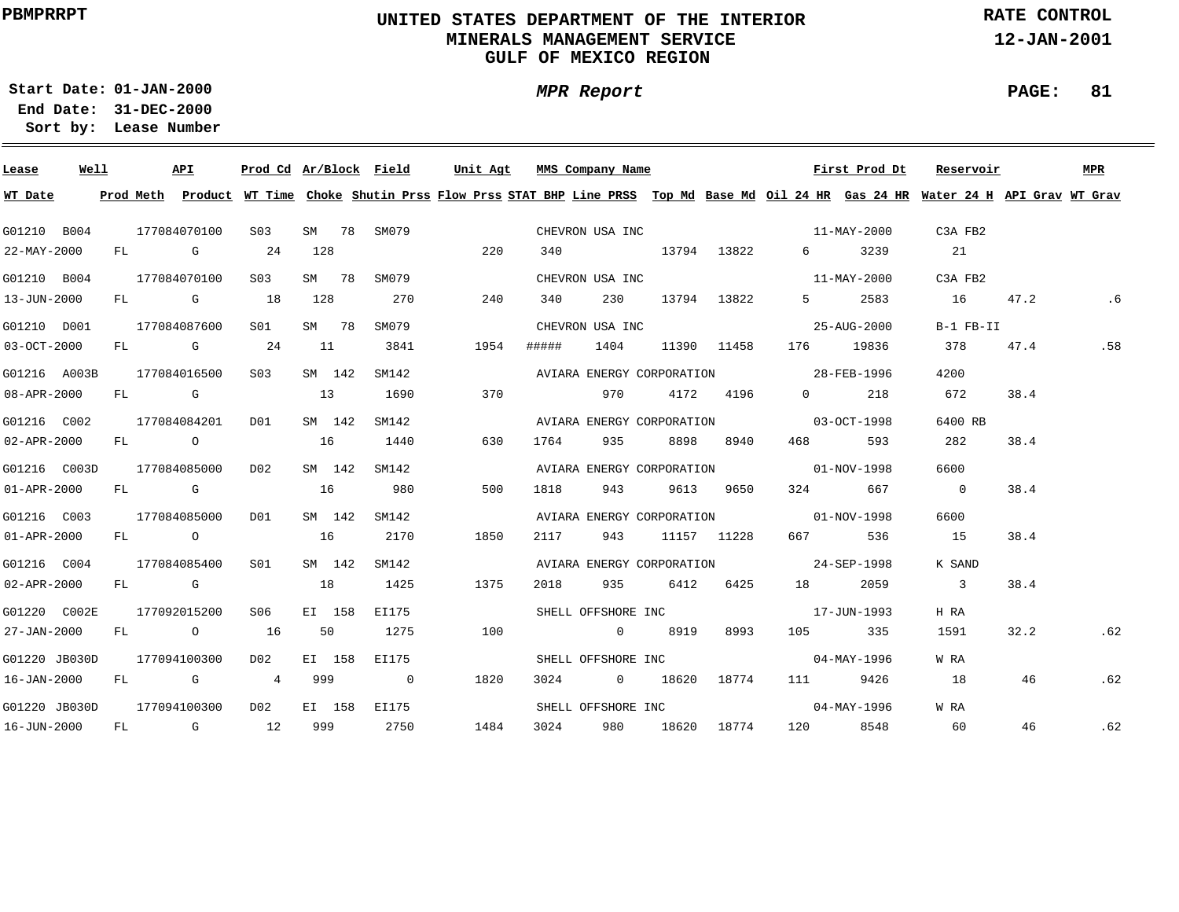### **UNITED STATES DEPARTMENT OF THE INTERIOR MINERALS MANAGEMENT SERVICEGULF OF MEXICO REGION**

**MPR Report**

**RATE CONTROL**

**12-JAN-2001**

**01-JAN-2000Start Date:31-DEC-2000 End Date:** 

**Lease Number Sort by:**

| Lease             | Well |  | API          | Prod Cd Ar/Block Field |        |             | Unit Agt |       | MMS Company Name          |                 |             |                                       | First Prod Dt     | Reservoir                                                                                                                               |      | MPR |
|-------------------|------|--|--------------|------------------------|--------|-------------|----------|-------|---------------------------|-----------------|-------------|---------------------------------------|-------------------|-----------------------------------------------------------------------------------------------------------------------------------------|------|-----|
| WT Date           |      |  |              |                        |        |             |          |       |                           |                 |             |                                       |                   | Prod Meth Product WT Time Choke Shutin Prss Flow Prss STAT BHP Line PRSS Top Md Base Md Oil 24 HR Gas 24 HR Water 24 H API Grav WT Grav |      |     |
| G01210 B004       |      |  | 177084070100 | S03                    |        | SM 78 SM079 |          |       |                           |                 |             | CHEVRON USA INC 11-MAY-2000           |                   | C3A FB2                                                                                                                                 |      |     |
| 22-MAY-2000       |      |  | FL G         | 24                     | 128    |             | 220      | 340   |                           | 13794 13822     |             | $6 \qquad \qquad$                     | 3239              | 21                                                                                                                                      |      |     |
| G01210 B004       |      |  | 177084070100 | S <sub>03</sub>        | SM 78  | SM079       |          |       | CHEVRON USA INC           |                 |             |                                       | $11 - MAX - 2000$ | C3A FB2                                                                                                                                 |      |     |
| 13-JUN-2000       |      |  | FL G 18      |                        | 128    | 270         | 240      | 340   | 230                       |                 | 13794 13822 | $5^{\circ}$                           | 2583              | 16                                                                                                                                      | 47.2 | .6  |
| G01210 D001       |      |  | 177084087600 | SO1                    | SM 78  | SM079       |          |       | CHEVRON USA INC           |                 |             |                                       | 25-AUG-2000       | $B-1$ $FB-II$                                                                                                                           |      |     |
| $03 - OCT - 2000$ |      |  | FL G 24      |                        | 11     | 3841        | 1954     | ##### | 1404                      |                 | 11390 11458 |                                       | 176 19836         | 378                                                                                                                                     | 47.4 | .58 |
| G01216 A003B      |      |  | 177084016500 | S03                    | SM 142 | SM142       |          |       | AVIARA ENERGY CORPORATION |                 |             | 28-FEB-1996                           |                   | 4200                                                                                                                                    |      |     |
| 08-APR-2000       |      |  | FL G         | $\sim$ 13              |        | 1690        | 370      |       | 970                       |                 | 4172 4196   | $\Omega$ and $\Omega$                 | 218               | 672                                                                                                                                     | 38.4 |     |
| G01216 C002       |      |  | 177084084201 | D01                    | SM 142 | SM142       |          |       | AVIARA ENERGY CORPORATION |                 |             |                                       | 03-OCT-1998       | 6400 RB                                                                                                                                 |      |     |
| 02-APR-2000       |      |  | FL O         |                        | 16     | 1440        | 630      | 1764  | 935                       | 8898            | 8940        | 468 — 168                             | 593               | 282                                                                                                                                     | 38.4 |     |
| G01216 C003D      |      |  | 177084085000 | DO 2                   | SM 142 | SM142       |          |       |                           |                 |             | AVIARA ENERGY CORPORATION 01-NOV-1998 |                   | 6600                                                                                                                                    |      |     |
| 01-APR-2000       |      |  | FL G         |                        | 16     | 980         | 500      | 1818  | 943                       |                 | 9613 9650   |                                       | 324 667           | $\overline{0}$                                                                                                                          | 38.4 |     |
| G01216 C003       |      |  | 177084085000 | DO1                    | SM 142 | SM142       |          |       |                           |                 |             | AVIARA ENERGY CORPORATION 01-NOV-1998 |                   | 6600                                                                                                                                    |      |     |
| $01 - APR - 2000$ |      |  | FL O         |                        | 16     | 2170        | 1850     | 2117  | 943                       |                 | 11157 11228 |                                       | 667 536           | 15                                                                                                                                      | 38.4 |     |
| G01216 C004       |      |  | 177084085400 | S01                    | SM 142 | SM142       |          |       |                           |                 |             | AVIARA ENERGY CORPORATION 24-SEP-1998 |                   | K SAND                                                                                                                                  |      |     |
| 02-APR-2000       |      |  | FL G         |                        | 18     | 1425        | 1375     | 2018  | 935                       |                 | 6412 6425   |                                       | 2059              | $\overline{\phantom{a}}$ 3                                                                                                              | 38.4 |     |
| G01220 C002E      |      |  | 177092015200 | S06                    | EI 158 | EI175       |          |       |                           |                 |             | SHELL OFFSHORE INC 17-JUN-1993        |                   | H RA                                                                                                                                    |      |     |
| 27-JAN-2000       |      |  | FL 0 16      |                        | 50     | 1275        | 100      |       | $\sim$ 0                  | 8919            | 8993        | 105                                   | 335               | 1591                                                                                                                                    | 32.2 | .62 |
| G01220 JB030D     |      |  | 177094100300 | D02                    | EI 158 | EI175       |          |       | SHELL OFFSHORE INC        |                 |             |                                       | $04$ -MAY-1996    | W RA                                                                                                                                    |      |     |
| 16-JAN-2000       |      |  | FL G         | $4\overline{4}$        | 999    | $\sim$ 0    | 1820     | 3024  |                           | 0 18620 18774   |             |                                       | 111 9426          | 18                                                                                                                                      | 46   | .62 |
| G01220 JB030D     |      |  | 177094100300 | D02                    | EI 158 | EI175       |          |       | SHELL OFFSHORE INC        |                 |             |                                       | 04-MAY-1996       | W RA                                                                                                                                    |      |     |
| 16-JUN-2000       |      |  | FL G 12      |                        | 999    | 2750        | 1484     | 3024  |                           | 980 18620 18774 |             | 120 8548                              |                   | 60                                                                                                                                      | 46   | .62 |

**PAGE: 81**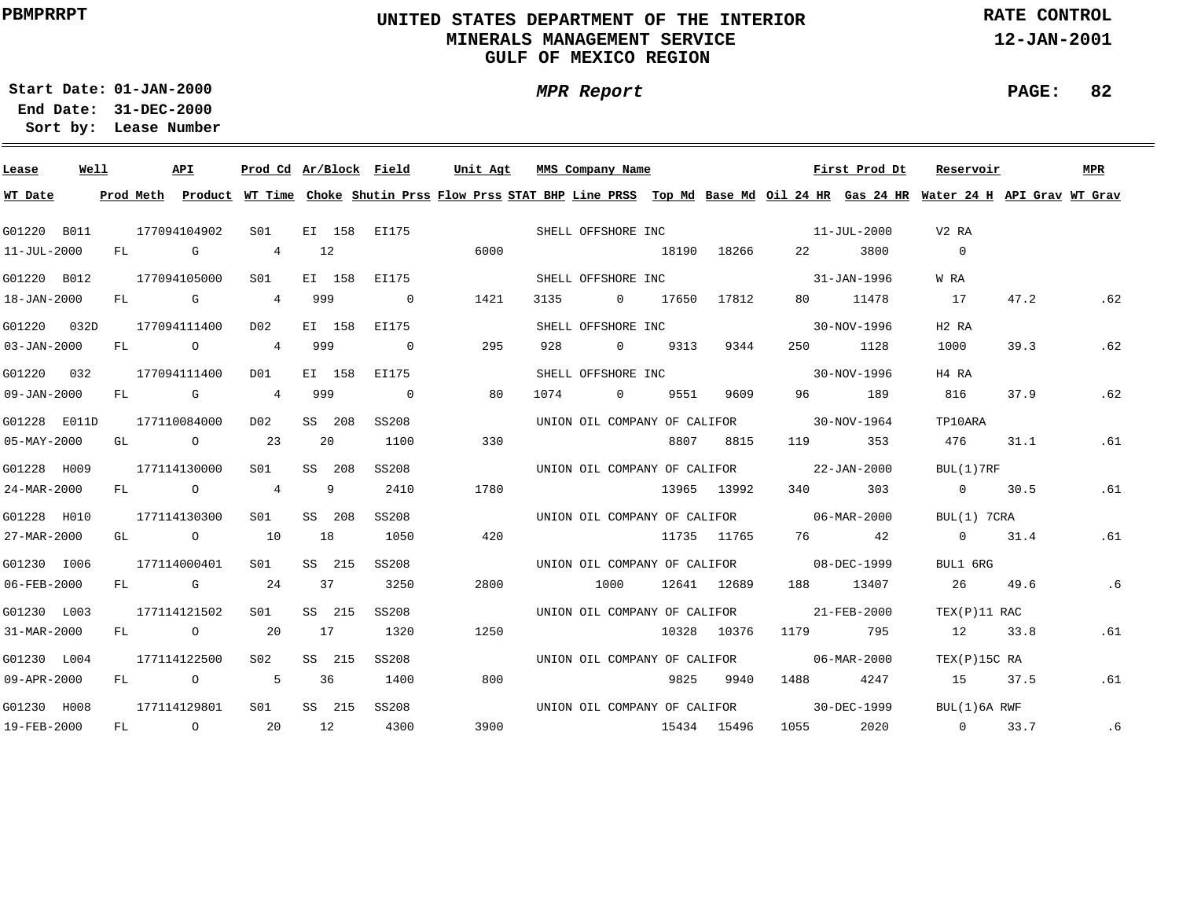### **UNITED STATES DEPARTMENT OF THE INTERIOR MINERALS MANAGEMENT SERVICEGULF OF MEXICO REGION**

**MPR Report**

**RATE CONTROL**

**12-JAN-2001**

**PAGE: 82**

**01-JAN-2000Start Date:31-DEC-2000 End Date:** 

| Lease             | Well |    | API                                   | Prod Cd Ar/Block Field |    |        |                | Unit Agt |      | MMS Company Name             |             |                                          | First Prod Dt                            | Reservoir                                                                                                                               |      | <b>MPR</b> |
|-------------------|------|----|---------------------------------------|------------------------|----|--------|----------------|----------|------|------------------------------|-------------|------------------------------------------|------------------------------------------|-----------------------------------------------------------------------------------------------------------------------------------------|------|------------|
| WT Date           |      |    |                                       |                        |    |        |                |          |      |                              |             |                                          |                                          | Prod Meth Product WT Time Choke Shutin Prss Flow Prss STAT BHP Line PRSS Top Md Base Md Oil 24 HR Gas 24 HR Water 24 H API Grav WT Grav |      |            |
| G01220 B011       |      |    | 177094104902                          | S01 <b>S</b>           |    |        | EI 158 EI175   |          |      |                              |             | SHELL OFFSHORE INC 11-JUL-2000           |                                          | V2 RA                                                                                                                                   |      |            |
| 11-JUL-2000       |      |    | FL G                                  | 4 12                   |    |        |                | 6000     |      |                              | 18190 18266 |                                          | 22 3800                                  | $\Omega$                                                                                                                                |      |            |
| G01220 B012       |      |    | 177094105000                          | S01 <b>S</b>           |    |        | EI 158 EI175   |          |      | SHELL OFFSHORE INC           |             | $31 - JAN - 1996$                        |                                          | W RA                                                                                                                                    |      |            |
| 18-JAN-2000       |      |    | FL G 4 999                            |                        |    |        | $\sim$ 0       | 1421     | 3135 | 0 17650 17812                |             |                                          | 80 11478                                 | 17                                                                                                                                      | 47.2 | .62        |
| G01220 032D       |      |    | 177094111400                          | DO 2                   |    |        | EI 158 EI175   |          |      | SHELL OFFSHORE INC           |             |                                          | 30-NOV-1996                              | H <sub>2</sub> R <sub>A</sub>                                                                                                           |      |            |
| $03 - JAN - 2000$ |      |    | FL O                                  | 4 999                  |    |        | $\overline{0}$ | 295      | 928  | 0 9313                       | 9344        |                                          | 250 1128                                 | 1000                                                                                                                                    | 39.3 | .62        |
| G01220 032        |      |    | 177094111400                          | DO1                    |    |        | EI 158 EI175   |          |      | SHELL OFFSHORE INC           |             |                                          | 30-NOV-1996                              | H4 RA                                                                                                                                   |      |            |
| $09 - JAN - 2000$ |      |    | FL G 4 999                            |                        |    |        | $\overline{0}$ | 80       | 1074 | $0$ 9551                     | 9609        |                                          | 96 189                                   | 816                                                                                                                                     | 37.9 | .62        |
| G01228 E011D      |      |    | 177110084000                          | D02                    |    | SS 208 | SS208          |          |      | UNION OIL COMPANY OF CALIFOR |             |                                          | $30 - NOV - 1964$                        | TP10ARA                                                                                                                                 |      |            |
| $05 - MAX - 2000$ |      | GL | $\sim$ 0 23                           |                        |    | 20     | 1100           | 330      |      |                              | 8807 8815   | 119                                      | 353                                      | 476                                                                                                                                     | 31.1 | . 61       |
| G01228 H009       |      |    | 177114130000                          | S01                    |    | SS 208 | SS208          |          |      |                              |             |                                          | UNION OIL COMPANY OF CALIFOR 22-JAN-2000 | BUL(1)7RF                                                                                                                               |      |            |
| 24-MAR-2000       |      |    | FL O                                  | $\overline{4}$         | 9  |        | 2410           | 1780     |      |                              | 13965 13992 |                                          | 340 303                                  | $0 \t 30.5$                                                                                                                             |      | .61        |
| G01228 H010       |      |    | 177114130300                          | S01                    |    | SS 208 | SS208          |          |      |                              |             | UNION OIL COMPANY OF CALIFOR 06-MAR-2000 |                                          | BUL(1) 7CRA                                                                                                                             |      |            |
| 27-MAR-2000       |      |    | GL $\qquad \qquad 0 \qquad \qquad 10$ |                        | 18 |        | 1050           | 420      |      |                              | 11735 11765 |                                          | 76 42                                    | 0 31.4                                                                                                                                  |      | .61        |
| G01230 I006       |      |    | 177114000401                          | S01 <b>S</b>           |    | SS 215 | SS208          |          |      |                              |             | UNION OIL COMPANY OF CALIFOR 08-DEC-1999 |                                          | BUL1 6RG                                                                                                                                |      |            |
| $06 - FEB - 2000$ |      |    | $FL$ G 24                             |                        | 37 |        | 3250           | 2800     |      |                              |             | 1000 12641 12689 188 13407               |                                          | 26 49.6                                                                                                                                 |      | .6         |
| G01230 L003       |      |    | 177114121502                          | S01                    |    | SS 215 | SS208          |          |      |                              |             |                                          | UNION OIL COMPANY OF CALIFOR 21-FEB-2000 | TEX(P)11 RAC                                                                                                                            |      |            |
| 31-MAR-2000       |      |    | FL O                                  | 20                     | 17 |        | 1320           | 1250     |      |                              |             | 10328 10376 1179 795                     |                                          | 12 33.8                                                                                                                                 |      | .61        |
| G01230 L004       |      |    | 177114122500                          | S02                    |    | SS 215 | SS208          |          |      |                              |             |                                          | UNION OIL COMPANY OF CALIFOR 06-MAR-2000 | TEX(P)15C RA                                                                                                                            |      |            |
| $09 - APR - 2000$ |      |    | FL O                                  | 5 36                   |    |        | 1400           | 800      |      |                              | 9825 9940   |                                          | 1488 4247                                | 15 37.5                                                                                                                                 |      | .61        |
| G01230 H008       |      |    | 177114129801                          | S <sub>01</sub>        |    | SS 215 | SS208          |          |      |                              |             |                                          | UNION OIL COMPANY OF CALIFOR 30-DEC-1999 | BUL(1)6A RWF                                                                                                                            |      |            |
| 19-FEB-2000       |      |    | FL 0 20                               |                        | 12 |        | 4300           | 3900     |      | 15434 15496                  |             |                                          |                                          | 1055 2020 0 33.7                                                                                                                        |      | .6         |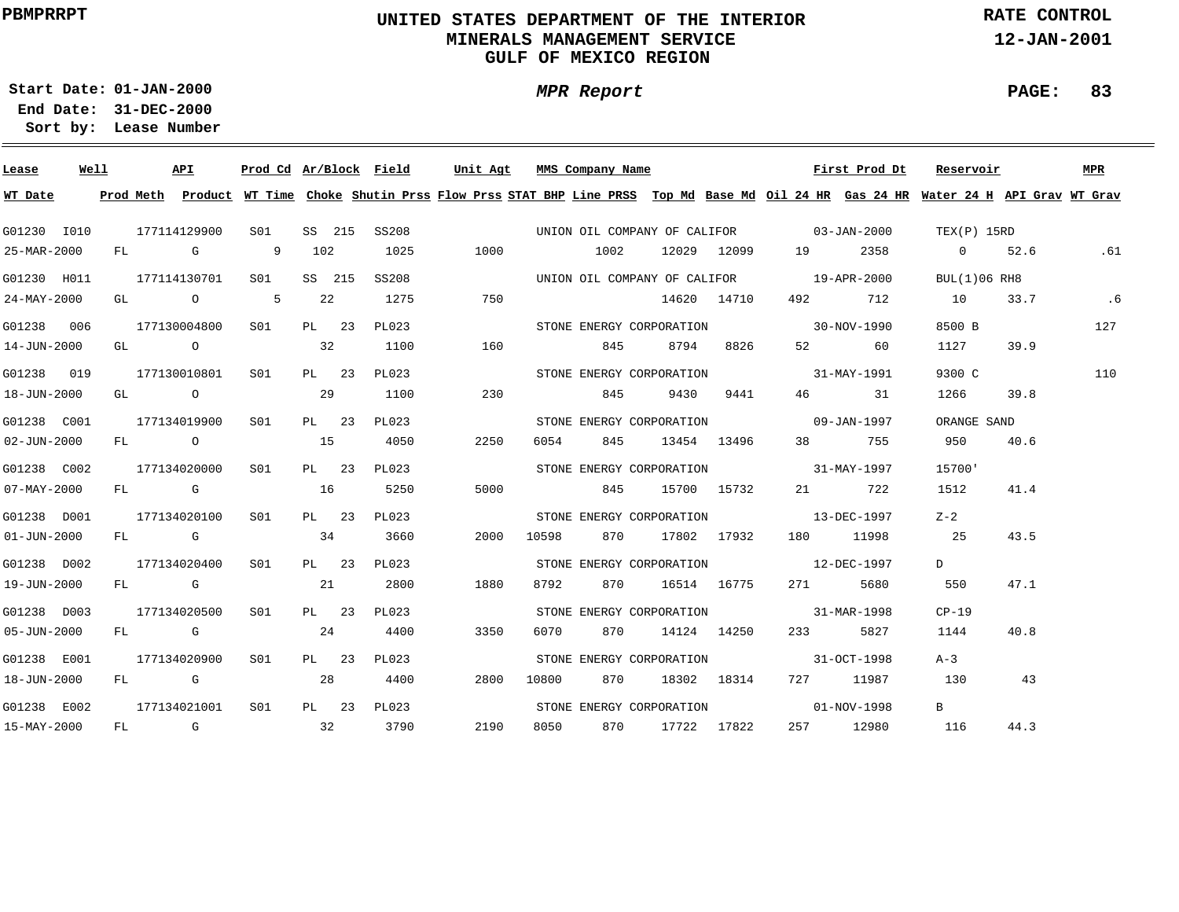### **UNITED STATES DEPARTMENT OF THE INTERIOR MINERALS MANAGEMENT SERVICEGULF OF MEXICO REGION**

**MPR Report**

**RATE CONTROL**

**12-JAN-2001**

**PAGE: 83**

**01-JAN-2000Start Date:**

| Lease             | Well |  | API          |                |        | Prod Cd Ar/Block Field |      |       | Unit Agt MMS Company Name |                 |             |                                                                                                                | First Prod Dt | Reservoir                                                                                                                               |      | MPR |
|-------------------|------|--|--------------|----------------|--------|------------------------|------|-------|---------------------------|-----------------|-------------|----------------------------------------------------------------------------------------------------------------|---------------|-----------------------------------------------------------------------------------------------------------------------------------------|------|-----|
| WT Date           |      |  |              |                |        |                        |      |       |                           |                 |             |                                                                                                                |               | Prod Meth Product WT Time Choke Shutin Prss Flow Prss STAT BHP Line PRSS Top Md Base Md Oil 24 HR Gas 24 HR Water 24 H API Grav WT Grav |      |     |
| G01230 I010       |      |  | 177114129900 | S01 <b>S</b>   | SS 215 | SS208                  |      |       |                           |                 |             | UNION OIL COMPANY OF CALIFOR 03-JAN-2000                                                                       |               | TEX(P) 15RD                                                                                                                             |      |     |
| 25-MAR-2000       |      |  | FL G         | $\overline{9}$ | 102    | 1025                   | 1000 |       | 1002                      |                 |             | 12029 12099 19                                                                                                 | 2358          | $0 \t 52.6$                                                                                                                             |      | .61 |
| G01230 H011       |      |  | 177114130701 | S01 <b>S</b>   | SS 215 | SS208                  |      |       |                           |                 |             | UNION OIL COMPANY OF CALIFOR 19-APR-2000                                                                       |               | BUL(1)06 RH8                                                                                                                            |      |     |
| 24-MAY-2000       |      |  | GL 0 5       |                | 22     | 1275                   | 750  |       |                           |                 | 14620 14710 |                                                                                                                | 492 712       | 10                                                                                                                                      | 33.7 | .6  |
| G01238 006        |      |  | 177130004800 | S01 <b>S</b>   | PL 23  | PL023                  |      |       | STONE ENERGY CORPORATION  |                 |             |                                                                                                                | 30-NOV-1990   | 8500 B                                                                                                                                  |      | 127 |
| 14-JUN-2000       |      |  | GL O         |                | 32     | 1100                   | 160  |       | 845                       | 8794            | 8826        |                                                                                                                | 52 60         | 1127                                                                                                                                    | 39.9 |     |
| G01238 019        |      |  | 177130010801 | SO1            | PL 23  | PL023                  |      |       | STONE ENERGY CORPORATION  |                 |             |                                                                                                                | 31-MAY-1991   | 9300 C                                                                                                                                  |      | 110 |
| 18-JUN-2000       |      |  | GL O         |                | 29     | 1100                   | 230  |       | 845                       | 9430            | 9441        |                                                                                                                | 46 31         | 1266                                                                                                                                    | 39.8 |     |
| G01238 C001       |      |  | 177134019900 | S01            | PL 23  | PL023                  |      |       |                           |                 |             | STONE ENERGY CORPORATION 09-JAN-1997                                                                           |               | ORANGE SAND                                                                                                                             |      |     |
| $02 - JUN - 2000$ |      |  | FL O         |                | 15     | 4050                   | 2250 | 6054  | 845                       | 13454 13496     |             |                                                                                                                | 38 755        | 950                                                                                                                                     | 40.6 |     |
| G01238 C002       |      |  | 177134020000 | SO1            | PL 23  | PL023                  |      |       |                           |                 |             | STONE ENERGY CORPORATION 31-MAY-1997                                                                           |               | 15700'                                                                                                                                  |      |     |
| 07-MAY-2000       |      |  | FL G         |                | 16     | 5250                   | 5000 |       | 845                       | 15700 15732     |             |                                                                                                                | 21 722        | 1512                                                                                                                                    | 41.4 |     |
| G01238 D001       |      |  | 177134020100 | SO1            | PL 23  | PL023                  |      |       |                           |                 |             | STONE ENERGY CORPORATION 13-DEC-1997                                                                           |               | $Z-2$                                                                                                                                   |      |     |
| $01 - JUN - 2000$ |      |  | FL G         |                | 34     | 3660                   | 2000 | 10598 |                           | 870 17802 17932 |             |                                                                                                                | 180 11998     | 25                                                                                                                                      | 43.5 |     |
| G01238 D002       |      |  | 177134020400 | SO1            | PL 23  | PL023                  |      |       |                           |                 |             | STONE ENERGY CORPORATION 12-DEC-1997                                                                           |               | D                                                                                                                                       |      |     |
| 19-JUN-2000       |      |  | FL G         |                | 21     | 2800                   | 1880 | 8792  | 870                       | 16514 16775     |             | 271 — 271 — 271 — 271 — 271 — 271 — 271 — 287 — 287 — 288 — 288 — 288 — 288 — 288 — 288 — 288 — 288 — 288 — 28 | 5680          | 550                                                                                                                                     | 47.1 |     |
| G01238 D003       |      |  | 177134020500 | SO1            | PL 23  | PL023                  |      |       |                           |                 |             | STONE ENERGY CORPORATION 31-MAR-1998                                                                           |               | $CP-19$                                                                                                                                 |      |     |
| $05 - JUN - 2000$ |      |  | FL G         |                | 24     | 4400                   | 3350 | 6070  |                           | 870 14124 14250 |             | 233                                                                                                            | 5827          | 1144                                                                                                                                    | 40.8 |     |
| G01238 E001       |      |  | 177134020900 | S01            | PL 23  | PL023                  |      |       | STONE ENERGY CORPORATION  |                 |             | $31 - 0CT - 1998$                                                                                              |               | $A - 3$                                                                                                                                 |      |     |
| 18-JUN-2000       |      |  | FL G         |                | 28     | 4400                   | 2800 | 10800 | 870                       |                 | 18302 18314 |                                                                                                                | 727 11987     | 130                                                                                                                                     | 43   |     |
| G01238 E002       |      |  | 177134021001 | S01            |        | PL 23 PL023            |      |       | STONE ENERGY CORPORATION  |                 |             | 01-NOV-1998                                                                                                    |               | $\mathbf{B}$                                                                                                                            |      |     |
| 15-MAY-2000       |      |  | FL G         | 32             |        | 3790                   | 2190 | 8050  | 870 17722 17822           |                 |             |                                                                                                                | 257 12980     | 116                                                                                                                                     | 44.3 |     |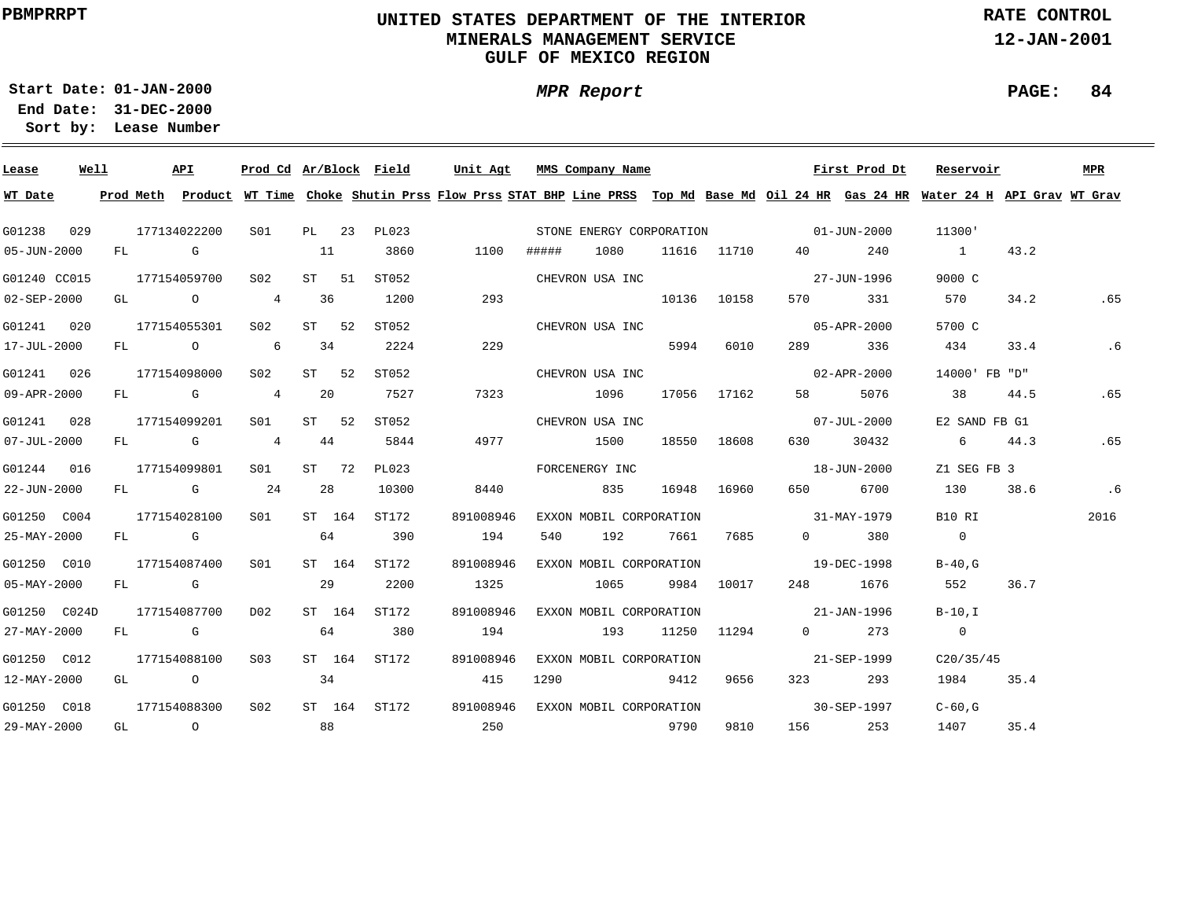### **UNITED STATES DEPARTMENT OF THE INTERIOR MINERALS MANAGEMENT SERVICEGULF OF MEXICO REGION**

**MPR Report**

**RATE CONTROL**

**12-JAN-2001**

# **01-JAN-2000Start Date:**

**31-DEC-2000 End Date: Lease Number Sort by:**

| Lease             | Well | API          |                 |        | Prod Cd Ar/Block Field |                                      |       | Unit Agt MMS Company Name |      |             |                          | First Prod Dt         | Reservoir                                                                                                                               |      | MPR  |
|-------------------|------|--------------|-----------------|--------|------------------------|--------------------------------------|-------|---------------------------|------|-------------|--------------------------|-----------------------|-----------------------------------------------------------------------------------------------------------------------------------------|------|------|
| WT Date           |      |              |                 |        |                        |                                      |       |                           |      |             |                          |                       | Prod Meth Product WT Time Choke Shutin Prss Flow Prss STAT BHP Line PRSS Top Md Base Md Oil 24 HR Gas 24 HR Water 24 H API Grav WT Grav |      |      |
| G01238            | 029  | 177134022200 |                 |        | S01 PL 23 PL023        | STONE ENERGY CORPORATION 01-JUN-2000 |       |                           |      |             |                          |                       | 11300'                                                                                                                                  |      |      |
| $05 - JUN - 2000$ |      | FL G         |                 | 11     | 3860                   | 1100                                 | ##### | 1080                      |      |             | 11616 11710 40           | 240                   | $\sim$ 1                                                                                                                                | 43.2 |      |
| G01240 CC015      |      | 177154059700 | S02             | ST 51  | ST052                  |                                      |       | CHEVRON USA INC           |      |             | 27-JUN-1996              |                       | 9000 C                                                                                                                                  |      |      |
| 02-SEP-2000       |      |              | GL 0 4 36       |        | 1200                   | 293                                  |       |                           |      | 10136 10158 |                          | 570 331               | 570                                                                                                                                     | 34.2 | .65  |
| G01241 020        |      | 177154055301 | S02             | ST 52  | ST052                  |                                      |       | CHEVRON USA INC           |      |             |                          | 05-APR-2000           | 5700 C                                                                                                                                  |      |      |
| 17-JUL-2000       |      |              | FL 0 6 34       |        | 2224                   | 229                                  |       |                           | 5994 | 6010        | 289                      | 336                   | 434                                                                                                                                     | 33.4 | .6   |
| G01241 026        |      | 177154098000 | S02             | ST 52  | ST052                  |                                      |       | CHEVRON USA INC           |      |             |                          | 02-APR-2000           | 14000' FB "D"                                                                                                                           |      |      |
| 09-APR-2000       |      | FL G 4       |                 | -20    | 7527                   | 7323                                 |       | 1096                      |      | 17056 17162 | 58 — 1                   | 5076                  | 38                                                                                                                                      | 44.5 | .65  |
| G01241 028        |      | 177154099201 | S01             | ST 52  | ST052                  |                                      |       | CHEVRON USA INC           |      |             |                          | 07-JUL-2000           | E2 SAND FB G1                                                                                                                           |      |      |
| $07 - JUL - 2000$ |      | FL G 4       |                 | 44     | 5844                   | 4977                                 |       | 1500                      |      | 18550 18608 |                          | 630 30432             | 6 44.3                                                                                                                                  |      | .65  |
| G01244 016        |      | 177154099801 | S01 <b>S</b>    | ST 72  | PL023                  |                                      |       | FORCENERGY INC            |      |             | 18-JUN-2000              |                       | Z1 SEG FB 3                                                                                                                             |      |      |
| 22-JUN-2000       |      | $FL$ G 24    |                 | 28     | 10300                  | 8440                                 |       | 835                       |      | 16948 16960 | 650 — 10                 | 6700                  | 130                                                                                                                                     | 38.6 | .6   |
| G01250 C004       |      | 177154028100 | SO1 SO          | ST 164 | ST172                  | 891008946                            |       | EXXON MOBIL CORPORATION   |      |             | $31 - \text{MAX} - 1979$ |                       | B10 RI                                                                                                                                  |      | 2016 |
| 25-MAY-2000       |      | FL G         |                 | 64     | 390                    | 194                                  | 540   | 192 7661 7685             |      |             |                          | $0 \t380$             | $\overline{0}$                                                                                                                          |      |      |
| G01250 C010       |      | 177154087400 | SO1             | ST 164 | ST172                  | 891008946                            |       | EXXON MOBIL CORPORATION   |      |             | $19 - DEC - 1998$        |                       | $B-40.G$                                                                                                                                |      |      |
| $05 - MAX - 2000$ |      | FL G         |                 | 29     | 2200                   | 1325                                 |       | 1065 9984 10017           |      |             |                          | 248 1676              | 552                                                                                                                                     | 36.7 |      |
| G01250 C024D      |      | 177154087700 | DO <sub>2</sub> | ST 164 | ST172                  | 891008946                            |       | EXXON MOBIL CORPORATION   |      |             | $21 - JAN - 1996$        |                       | B-10,I                                                                                                                                  |      |      |
| 27-MAY-2000       |      | FL G         |                 | 64     | 380                    | 194                                  |       | 193                       |      | 11250 11294 |                          | $0 \qquad \qquad 273$ | $\overline{0}$                                                                                                                          |      |      |
| G01250 C012       |      | 177154088100 | S03             |        | ST 164 ST172           | 891008946                            |       | EXXON MOBIL CORPORATION   |      |             | 21-SEP-1999              |                       | C20/35/45                                                                                                                               |      |      |
| $12 - MAX - 2000$ |      | GL O         |                 | 34     |                        | 415                                  | 1290  | 9412                      |      | 9656        | 323 and $\overline{a}$   | 293                   | 1984 35.4                                                                                                                               |      |      |
| G01250 C018       |      | 177154088300 | S02             |        | ST 164 ST172           | 891008946                            |       | EXXON MOBIL CORPORATION   |      |             | 30-SEP-1997              |                       | $C-60$ , G                                                                                                                              |      |      |
| 29-MAY-2000       |      | GL O         | 88              |        |                        | 250                                  |       | 9790                      |      | 9810        |                          | 156 253               | 1407                                                                                                                                    | 35.4 |      |

**PAGE: 84**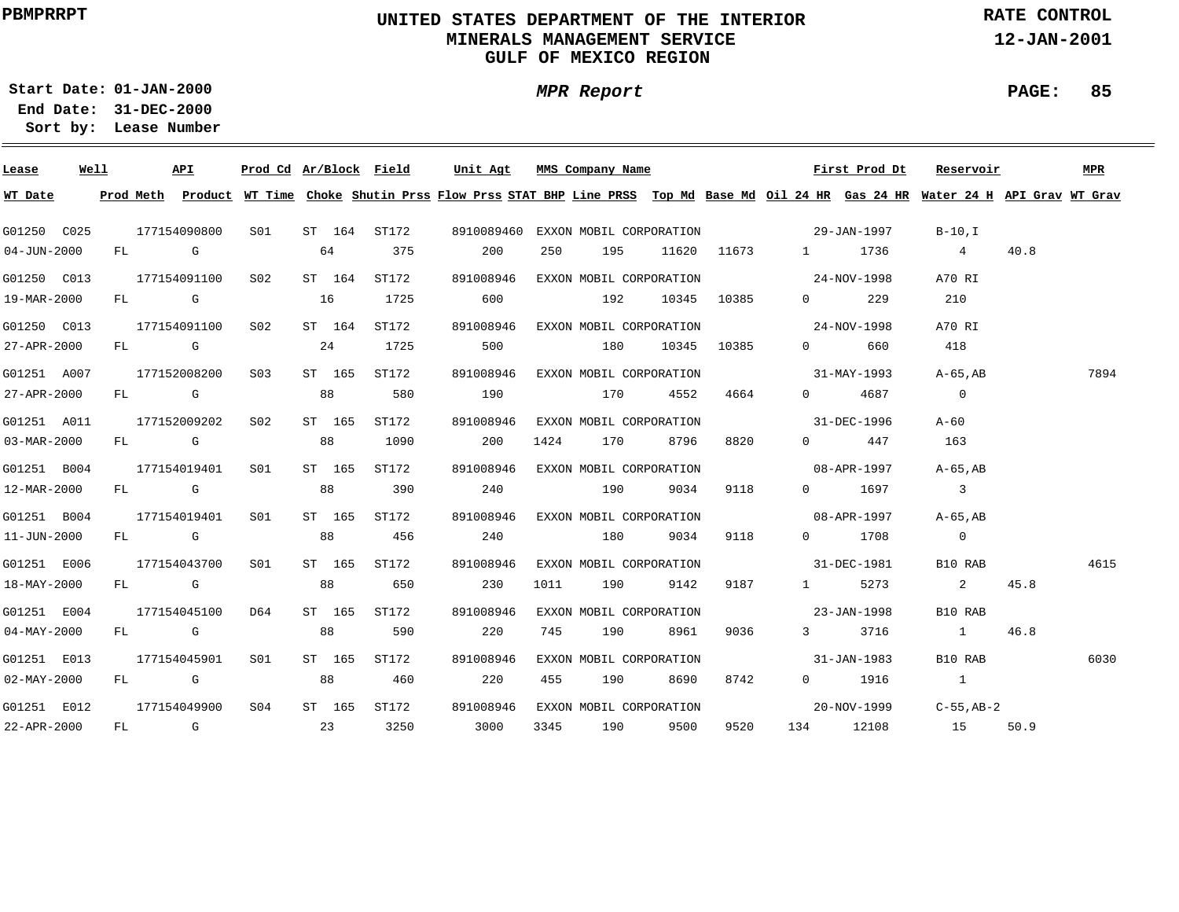### **UNITED STATES DEPARTMENT OF THE INTERIOR MINERALS MANAGEMENT SERVICEGULF OF MEXICO REGION**

**MPR Report**

**RATE CONTROL**

**12-JAN-2001**

**PAGE: 85**

**01-JAN-2000Start Date:31-DEC-2000 End Date:** 

| Lease                    | Well |  | API                          | Prod Cd Ar/Block Field |    |                               | Unit Agt                                                                                                                                |      | MMS Company Name                    |                 |      |      | First Prod Dt                       | Reservoir                  |      | <b>MPR</b> |
|--------------------------|------|--|------------------------------|------------------------|----|-------------------------------|-----------------------------------------------------------------------------------------------------------------------------------------|------|-------------------------------------|-----------------|------|------|-------------------------------------|----------------------------|------|------------|
| WT Date                  |      |  |                              |                        |    |                               | Prod Meth Product WT Time Choke Shutin Prss Flow Prss STAT BHP Line PRSS Top Md Base Md Oil 24 HR Gas 24 HR Water 24 H API Grav WT Grav |      |                                     |                 |      |      |                                     |                            |      |            |
| G01250 C025              |      |  |                              |                        |    | 177154090800 S01 ST 164 ST172 |                                                                                                                                         |      |                                     |                 |      |      |                                     |                            |      |            |
| $04 - JUN - 2000$        |      |  | FL G                         | 64 375                 |    |                               | 200                                                                                                                                     | 250  |                                     |                 |      |      | 195 11620 11673 1 1736              | $\overline{4}$             | 40.8 |            |
| G01250 C013              |      |  | 177154091100 S02             |                        |    | ST 164 ST172                  | 891008946                                                                                                                               |      |                                     |                 |      |      | EXXON MOBIL CORPORATION 24-NOV-1998 | A70 RI                     |      |            |
| 19-MAR-2000              |      |  | FL G                         |                        | 16 | 1725                          | 600                                                                                                                                     |      |                                     | 192 10345 10385 |      |      | $0 \qquad \qquad 229$               | 210                        |      |            |
| G01250 C013              |      |  | 177154091100 S02             |                        |    | ST 164 ST172                  | 891008946                                                                                                                               |      | EXXON MOBIL CORPORATION             |                 |      |      | $24 - NOV - 1998$                   | A70 RI                     |      |            |
| 27-APR-2000              |      |  | FL G                         |                        |    | 24 1725                       | 500                                                                                                                                     |      |                                     | 180 10345 10385 |      |      | 0 660                               | 418                        |      |            |
| G01251 A007              |      |  | 177152008200 S03             |                        |    | ST 165 ST172                  | 891008946                                                                                                                               |      | EXXON MOBIL CORPORATION             |                 |      |      | $31 - \text{MAX} - 1993$            | A-65.AB                    |      | 7894       |
| 27-APR-2000              |      |  | FL G 88                      |                        |    | 580                           | 190                                                                                                                                     |      | 170                                 | 4552            | 4664 |      | 0 4687                              | $\overline{\phantom{0}}$   |      |            |
| G01251 A011              |      |  | 177152009202 S02             |                        |    | ST 165 ST172                  | 891008946                                                                                                                               |      | EXXON MOBIL CORPORATION 31-DEC-1996 |                 |      |      |                                     | A-60                       |      |            |
| 03-MAR-2000              |      |  | FL G 88                      |                        |    | 1090                          | 200                                                                                                                                     |      | 1424 170 8796                       |                 | 8820 |      | $0 \qquad \qquad 447$               | 163                        |      |            |
| G01251 B004              |      |  | 177154019401 S01             |                        |    | ST 165 ST172                  | 891008946                                                                                                                               |      |                                     |                 |      |      | EXXON MOBIL CORPORATION 08-APR-1997 | A-65,AB                    |      |            |
| 12-MAR-2000              |      |  | FL G                         |                        | 88 | 390                           | 240                                                                                                                                     |      |                                     | 190 9034        | 9118 |      | 0 1697                              | $\overline{\mathbf{3}}$    |      |            |
| G01251 B004              |      |  | 177154019401                 | S01                    |    | ST 165 ST172                  | 891008946                                                                                                                               |      | EXXON MOBIL CORPORATION             |                 |      |      | $08 - APR - 1997$                   | A-65,AB                    |      |            |
| 11-JUN-2000              |      |  | FL G 88                      |                        |    | 456                           | 240                                                                                                                                     |      | 180 9034                            |                 |      | 9118 | 0 1708                              | $\sim$ 0                   |      |            |
| G01251 E006              |      |  | 177154043700 SO1             |                        |    | ST 165 ST172                  | 891008946                                                                                                                               |      | EXXON MOBIL CORPORATION             |                 |      |      | 31-DEC-1981                         | B10 RAB                    |      | 4615       |
| 18-MAY-2000              |      |  | FL G 88                      |                        |    | 650                           | 230                                                                                                                                     | 1011 |                                     | 190 9142        | 9187 |      | 1 5273                              | $\overline{2}$             | 45.8 |            |
| G01251 E004              |      |  | 177154045100 D64             |                        |    | ST 165 ST172                  | 891008946                                                                                                                               |      | EXXON MOBIL CORPORATION             |                 |      |      | 23-JAN-1998                         | B10 RAB                    |      |            |
| $04 - \text{MAX} - 2000$ |      |  | FL G                         |                        | 88 | 590                           | 220                                                                                                                                     | 745  |                                     | 190 8961        | 9036 |      | 3 3716                              | $\mathbf{1}$               | 46.8 |            |
| G01251 E013              |      |  | 177154045901 S01             |                        |    | ST 165 ST172                  | 891008946                                                                                                                               |      | EXXON MOBIL CORPORATION             |                 |      |      | $31 - JAN - 1983$                   | B10 RAB                    |      | 6030       |
| $02 - \text{MAX} - 2000$ |      |  | FL G                         |                        | 88 | 460                           | 220                                                                                                                                     | 455  | 190 8690                            |                 | 8742 |      | $0 \t 1916 \t 1$                    |                            |      |            |
|                          |      |  | G01251 E012 177154049900 S04 |                        |    | ST 165 ST172                  | 891008946                                                                                                                               |      | EXXON MOBIL CORPORATION             |                 |      |      |                                     | $20-NOV-1999$ $C-55, AB-2$ |      |            |
| 22-APR-2000              |      |  | FL G 23                      |                        |    | 3250                          | 3000                                                                                                                                    |      | 3345 190 9500 9520                  |                 |      |      | 134 12108                           | 15                         | 50.9 |            |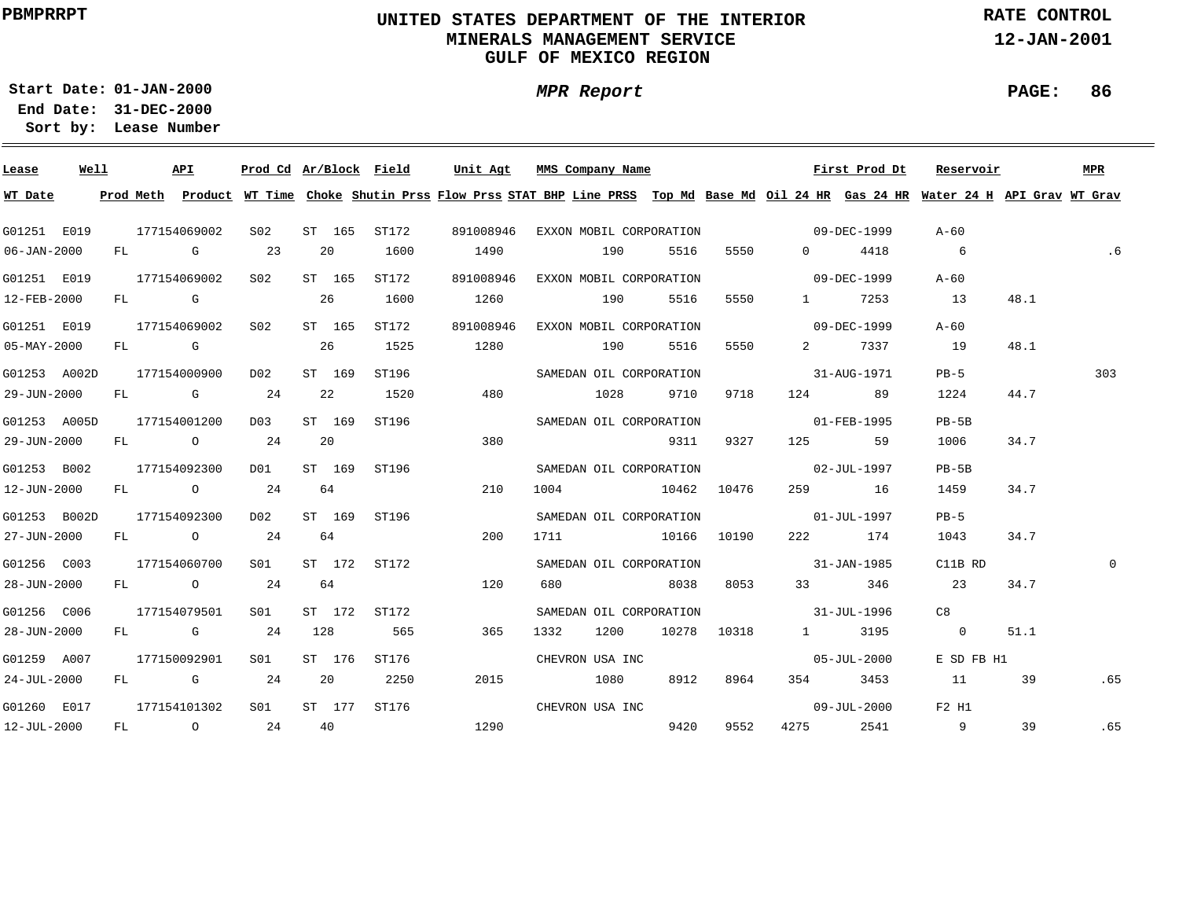### **UNITED STATES DEPARTMENT OF THE INTERIOR MINERALS MANAGEMENT SERVICEGULF OF MEXICO REGION**

**MPR Report**

**RATE CONTROL**

**12-JAN-2001**

**PAGE: 86**

**01-JAN-2000Start Date:**

| Lease        | Well |    | API          |                 |        |        | Prod Cd Ar/Block Field | Unit Agt  |      | MMS Company Name        |      |             |                                                                                                                                                                                                                                                                                                                                    | First Prod Dt | Reservoir                                                                                                                               |      | <b>MPR</b> |
|--------------|------|----|--------------|-----------------|--------|--------|------------------------|-----------|------|-------------------------|------|-------------|------------------------------------------------------------------------------------------------------------------------------------------------------------------------------------------------------------------------------------------------------------------------------------------------------------------------------------|---------------|-----------------------------------------------------------------------------------------------------------------------------------------|------|------------|
| WT Date      |      |    |              |                 |        |        |                        |           |      |                         |      |             |                                                                                                                                                                                                                                                                                                                                    |               | Prod Meth Product WT Time Choke Shutin Prss Flow Prss STAT BHP Line PRSS Top Md Base Md Oil 24 HR Gas 24 HR Water 24 H API Grav WT Grav |      |            |
| G01251 E019  |      |    | 177154069002 | S <sub>02</sub> |        | ST 165 | ST172                  | 891008946 |      | EXXON MOBIL CORPORATION |      |             | $09 - DEC - 1999$                                                                                                                                                                                                                                                                                                                  |               | $A - 60$                                                                                                                                |      |            |
| 06-JAN-2000  |      |    | FL G         | 23              | 20     |        | 1600                   | 1490      |      | 190                     | 5516 | 5550        | $\overline{0}$ and $\overline{0}$ and $\overline{0}$ and $\overline{0}$ and $\overline{0}$ and $\overline{0}$ and $\overline{0}$ and $\overline{0}$ and $\overline{0}$ and $\overline{0}$ and $\overline{0}$ and $\overline{0}$ and $\overline{0}$ and $\overline{0}$ and $\overline{0}$ and $\overline{0}$ and $\overline{0}$ and | 4418          | $6\overline{6}$                                                                                                                         |      | .6         |
| G01251 E019  |      |    | 177154069002 | S02             |        | ST 165 | ST172                  | 891008946 |      | EXXON MOBIL CORPORATION |      |             | $09 - DEC - 1999$                                                                                                                                                                                                                                                                                                                  |               | A-60                                                                                                                                    |      |            |
| 12-FEB-2000  |      |    | FL G         |                 | 26     |        | 1600                   | 1260      |      | 190                     | 5516 | 5550        | $1 \quad \cdots$                                                                                                                                                                                                                                                                                                                   | 7253          | 13                                                                                                                                      | 48.1 |            |
| G01251 E019  |      |    | 177154069002 | S02             |        | ST 165 | ST172                  | 891008946 |      | EXXON MOBIL CORPORATION |      |             | $09 - DEC - 1999$                                                                                                                                                                                                                                                                                                                  |               | A-60                                                                                                                                    |      |            |
| 05-MAY-2000  |      |    | FL G         |                 | 26     |        | 1525                   | 1280      |      | 190                     | 5516 | 5550        | $2 \left( \frac{1}{2} \right)$                                                                                                                                                                                                                                                                                                     | 7337          | 19                                                                                                                                      | 48.1 |            |
| G01253 A002D |      |    | 177154000900 | D02             |        | ST 169 | ST196                  |           |      | SAMEDAN OIL CORPORATION |      |             |                                                                                                                                                                                                                                                                                                                                    | 31-AUG-1971   | $PB-5$                                                                                                                                  |      | 303        |
| 29-JUN-2000  |      | FL | G 24         |                 |        | 22     | 1520                   | 480       |      | 1028                    | 9710 | 9718        | 124 20                                                                                                                                                                                                                                                                                                                             | 89            | 1224                                                                                                                                    | 44.7 |            |
| G01253 A005D |      |    | 177154001200 | D03             | ST 169 |        | ST196                  |           |      | SAMEDAN OIL CORPORATION |      |             |                                                                                                                                                                                                                                                                                                                                    | 01-FEB-1995   | $PB-5B$                                                                                                                                 |      |            |
| 29-JUN-2000  |      |    | FL 0 24      |                 | 20     |        |                        | 380       |      |                         | 9311 | 9327        | 125                                                                                                                                                                                                                                                                                                                                | 59            | 1006                                                                                                                                    | 34.7 |            |
| G01253 B002  |      |    | 177154092300 | DO1             |        | ST 169 | ST196                  |           |      | SAMEDAN OIL CORPORATION |      |             |                                                                                                                                                                                                                                                                                                                                    | 02-JUL-1997   | $PB-5B$                                                                                                                                 |      |            |
| 12-JUN-2000  |      |    | FL 0 24      |                 | 64     |        |                        | 210       |      | 1004 10462 10476        |      |             |                                                                                                                                                                                                                                                                                                                                    | 259 16        | 1459                                                                                                                                    | 34.7 |            |
| G01253 B002D |      |    | 177154092300 | D02             |        | ST 169 | ST196                  |           |      | SAMEDAN OIL CORPORATION |      |             | $01 - JUL - 1997$                                                                                                                                                                                                                                                                                                                  |               | $PB-5$                                                                                                                                  |      |            |
| 27-JUN-2000  |      |    | FL 0 24      |                 | 64     |        |                        | 200       |      | 1711 10166 10190        |      |             |                                                                                                                                                                                                                                                                                                                                    | 222 174       | 1043                                                                                                                                    | 34.7 |            |
| G01256 C003  |      |    | 177154060700 | SO1 SO          |        | ST 172 | ST172                  |           |      | SAMEDAN OIL CORPORATION |      |             | $31 - JAN - 1985$                                                                                                                                                                                                                                                                                                                  |               | C11B RD                                                                                                                                 |      | $\Omega$   |
| 28-JUN-2000  |      |    | FL 0 24      |                 | 64     |        |                        | 120       | 680  | 8038                    |      | 8053        |                                                                                                                                                                                                                                                                                                                                    | 33 346        | 23                                                                                                                                      | 34.7 |            |
| G01256 C006  |      |    | 177154079501 | SO1             |        | ST 172 | ST172                  |           |      | SAMEDAN OIL CORPORATION |      |             | 31-JUL-1996                                                                                                                                                                                                                                                                                                                        |               | C8                                                                                                                                      |      |            |
| 28-JUN-2000  |      |    | $FL$ G 24    |                 | 128    |        | 565                    | 365       | 1332 | 1200                    |      | 10278 10318 |                                                                                                                                                                                                                                                                                                                                    | 1 3195        | $\overline{0}$                                                                                                                          | 51.1 |            |
| G01259 A007  |      |    | 177150092901 | S <sub>01</sub> |        | ST 176 | ST176                  |           |      | CHEVRON USA INC         |      |             |                                                                                                                                                                                                                                                                                                                                    | 05-JUL-2000   | E SD FB H1                                                                                                                              |      |            |
| 24-JUL-2000  |      |    | $FL$ G 24    |                 | 20     |        | 2250                   | 2015      |      | 1080                    | 8912 | 8964        | 354                                                                                                                                                                                                                                                                                                                                | 3453          | 11                                                                                                                                      | 39   | .65        |
| G01260 E017  |      |    | 177154101302 | S <sub>01</sub> |        | ST 177 | ST176                  |           |      | CHEVRON USA INC         |      |             |                                                                                                                                                                                                                                                                                                                                    | 09-JUL-2000   | F2 H1                                                                                                                                   |      |            |
| 12-JUL-2000  |      |    | FL 0 24      |                 | 40     |        |                        | 1290      |      |                         | 9420 | 9552        | 4275                                                                                                                                                                                                                                                                                                                               |               | 2541 9                                                                                                                                  | 39   | .65        |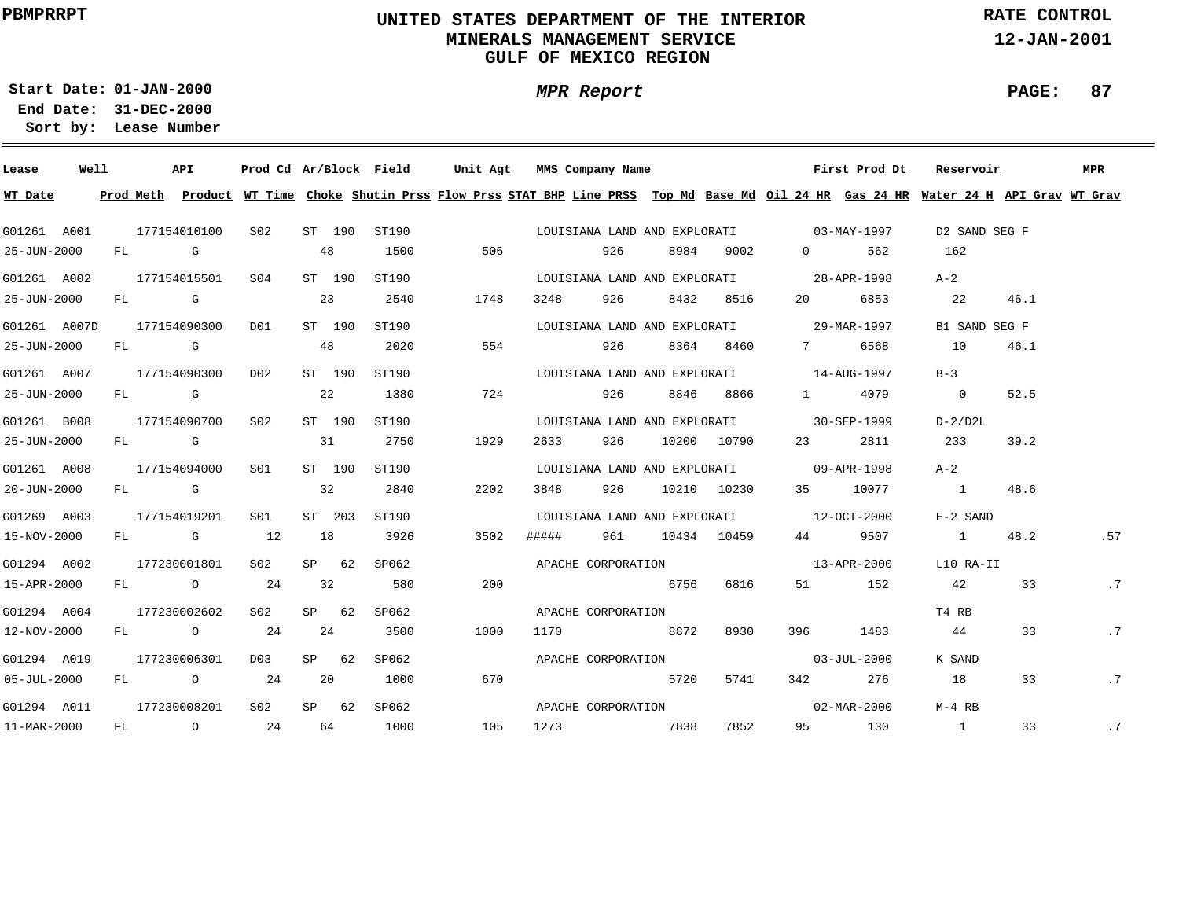### **UNITED STATES DEPARTMENT OF THE INTERIOR MINERALS MANAGEMENT SERVICEGULF OF MEXICO REGION**

**MPR Report**

**RATE CONTROL**

**12-JAN-2001**

**PAGE: 87**

**01-JAN-2000Start Date:31-DEC-2000 End Date:** 

| Lease             | Well |    |                                                                                                                                                                                                                                | API                                                                                                                                                                                                                            | Prod Cd Ar/Block Field |    |         |                                                                                                                                         | Unit Agt |      | MMS Company Name   |     |      |                                          |                  |          | First Prod Dt     | Reservoir                |               | MPR |
|-------------------|------|----|--------------------------------------------------------------------------------------------------------------------------------------------------------------------------------------------------------------------------------|--------------------------------------------------------------------------------------------------------------------------------------------------------------------------------------------------------------------------------|------------------------|----|---------|-----------------------------------------------------------------------------------------------------------------------------------------|----------|------|--------------------|-----|------|------------------------------------------|------------------|----------|-------------------|--------------------------|---------------|-----|
| WT Date           |      |    |                                                                                                                                                                                                                                |                                                                                                                                                                                                                                |                        |    |         | Prod Meth Product WT Time Choke Shutin Prss Flow Prss STAT BHP Line PRSS Top Md Base Md Oil 24 HR Gas 24 HR Water 24 H API Grav WT Grav |          |      |                    |     |      |                                          |                  |          |                   |                          |               |     |
| G01261 A001       |      |    |                                                                                                                                                                                                                                | 177154010100                                                                                                                                                                                                                   | S02                    |    | ST 190  | ST190                                                                                                                                   |          |      |                    |     |      | LOUISIANA LAND AND EXPLORATI 03-MAY-1997 |                  |          |                   | D2 SAND SEG F            |               |     |
| 25-JUN-2000       |      | FL | and the Group of Group of the Group of the State of the State of the State of the State of the State of the State of the State of the State of the State of the State of the State of the State of the State of the State of t |                                                                                                                                                                                                                                |                        |    | 48      | 1500                                                                                                                                    |          | 506  |                    | 926 | 8984 | 9002                                     |                  | $\Omega$ | 562               | 162                      |               |     |
| G01261 A002       |      |    |                                                                                                                                                                                                                                | 177154015501                                                                                                                                                                                                                   | SO4                    |    | ST 190  | ST190                                                                                                                                   |          |      |                    |     |      | LOUISIANA LAND AND EXPLORATI             |                  |          | 28-APR-1998       | $A-2$                    |               |     |
| 25-JUN-2000       |      | FL |                                                                                                                                                                                                                                | <b>G</b>                                                                                                                                                                                                                       |                        |    | 23      | 2540                                                                                                                                    |          | 1748 | 3248               | 926 | 8432 | 8516                                     | 20               |          | 6853              | 22                       | 46.1          |     |
| G01261 A007D      |      |    |                                                                                                                                                                                                                                | 177154090300                                                                                                                                                                                                                   | DO1                    |    | ST 190  | ST190                                                                                                                                   |          |      |                    |     |      | LOUISIANA LAND AND EXPLORATI             |                  |          | 29-MAR-1997       |                          | B1 SAND SEG F |     |
| 25-JUN-2000       |      | FL |                                                                                                                                                                                                                                | in Gregorian Gregorian Gregorian Schwarz and Son State and Schwarz and Schwarz and Schwarz and Schwarz and Schwarz and Schwarz and Schwarz and Schwarz and Schwarz and Schwarz and Schwarz and Schwarz and Schwarz and Schwarz |                        |    | 48      | 2020                                                                                                                                    |          | 554  |                    | 926 | 8364 | 8460                                     | 7                |          | 6568              | 10                       | 46.1          |     |
| G01261 A007       |      |    |                                                                                                                                                                                                                                | 177154090300                                                                                                                                                                                                                   | D02                    |    | ST 190  | ST190                                                                                                                                   |          |      |                    |     |      | LOUISIANA LAND AND EXPLORATI             |                  |          | 14-AUG-1997       | $B-3$                    |               |     |
| 25-JUN-2000       |      | FL | and the Control Control Control Control Control Control Control Control Control Control Control Control Control                                                                                                                |                                                                                                                                                                                                                                |                        |    | 22      | 1380                                                                                                                                    |          | 724  |                    | 926 | 8846 | 8866                                     | $1 \quad \cdots$ |          | 4079              | $\overline{\phantom{0}}$ | 52.5          |     |
| G01261 B008       |      |    |                                                                                                                                                                                                                                | 177154090700                                                                                                                                                                                                                   | S02                    |    | ST 190  | ST190                                                                                                                                   |          |      |                    |     |      | LOUISIANA LAND AND EXPLORATI             |                  |          | 30-SEP-1999       | $D-2/D2L$                |               |     |
| 25-JUN-2000       |      |    | FL G                                                                                                                                                                                                                           |                                                                                                                                                                                                                                |                        |    | 31      | 2750                                                                                                                                    |          | 1929 | 2633               | 926 |      | 10200 10790                              | 23               |          | 2811              | 233                      | 39.2          |     |
| G01261 A008       |      |    |                                                                                                                                                                                                                                | 177154094000                                                                                                                                                                                                                   | SO1                    |    | ST 190  | ST190                                                                                                                                   |          |      |                    |     |      | LOUISIANA LAND AND EXPLORATI 09-APR-1998 |                  |          |                   | $A-2$                    |               |     |
| 20-JUN-2000       |      |    | FL G                                                                                                                                                                                                                           |                                                                                                                                                                                                                                |                        |    | 32      | 2840                                                                                                                                    |          | 2202 | 3848               | 926 |      | 10210 10230                              | 35               |          | 10077             | $\sim$ 1                 | 48.6          |     |
| G01269 A003       |      |    |                                                                                                                                                                                                                                | 177154019201                                                                                                                                                                                                                   | SO1                    |    | ST 203  | ST190                                                                                                                                   |          |      |                    |     |      | LOUISIANA LAND AND EXPLORATI 12-OCT-2000 |                  |          |                   | $E-2$ SAND               |               |     |
| 15-NOV-2000       |      |    |                                                                                                                                                                                                                                | FL G                                                                                                                                                                                                                           | 12                     | 18 |         | 3926                                                                                                                                    |          | 3502 | #####              | 961 |      | 10434 10459                              | 44 \             |          | 9507              | $\sim$ 1                 | 48.2          | .57 |
| G01294 A002       |      |    |                                                                                                                                                                                                                                | 177230001801                                                                                                                                                                                                                   | S02                    |    | $SP$ 62 | SP062                                                                                                                                   |          |      | APACHE CORPORATION |     |      |                                          |                  |          | 13-APR-2000       | L10 RA-II                |               |     |
| 15-APR-2000       |      |    |                                                                                                                                                                                                                                | FL O                                                                                                                                                                                                                           | 24                     | 32 |         | 580                                                                                                                                     |          | 200  |                    |     | 6756 | 6816                                     | 51               |          | 152               | 42                       | 33            | .7  |
| G01294 A004       |      |    |                                                                                                                                                                                                                                | 177230002602                                                                                                                                                                                                                   | S02                    |    | SP 62   | SP062                                                                                                                                   |          |      | APACHE CORPORATION |     |      |                                          |                  |          |                   | T4 RB                    |               |     |
| 12-NOV-2000       |      |    |                                                                                                                                                                                                                                | FL O                                                                                                                                                                                                                           | 24                     |    | 24      | 3500                                                                                                                                    |          | 1000 | 1170               |     | 8872 | 8930                                     | 396 — 1          |          | 1483              | 44                       | 33            | .7  |
| G01294 A019       |      |    |                                                                                                                                                                                                                                | 177230006301                                                                                                                                                                                                                   | D03                    |    | SP 62   | SP062                                                                                                                                   |          |      | APACHE CORPORATION |     |      |                                          |                  |          | $03 - JUL - 2000$ | K SAND                   |               |     |
| $05 - JUL - 2000$ |      | FL |                                                                                                                                                                                                                                | $\overline{O}$                                                                                                                                                                                                                 | 24                     |    | 20      | 1000                                                                                                                                    |          | 670  |                    |     | 5720 | 5741                                     | 342              |          | 276               | 18                       | 33            | .7  |
| G01294 A011       |      |    |                                                                                                                                                                                                                                | 177230008201                                                                                                                                                                                                                   | S02                    |    | SP 62   | SP062                                                                                                                                   |          |      | APACHE CORPORATION |     |      |                                          |                  |          | 02-MAR-2000       | M-4 RB                   |               |     |
| 11-MAR-2000       |      | FL |                                                                                                                                                                                                                                | $\circ$                                                                                                                                                                                                                        | 24                     |    | 64      | 1000                                                                                                                                    |          | 105  | 1273               |     | 7838 | 7852                                     | 95               |          | 130               | $\overline{1}$           | 33            | .7  |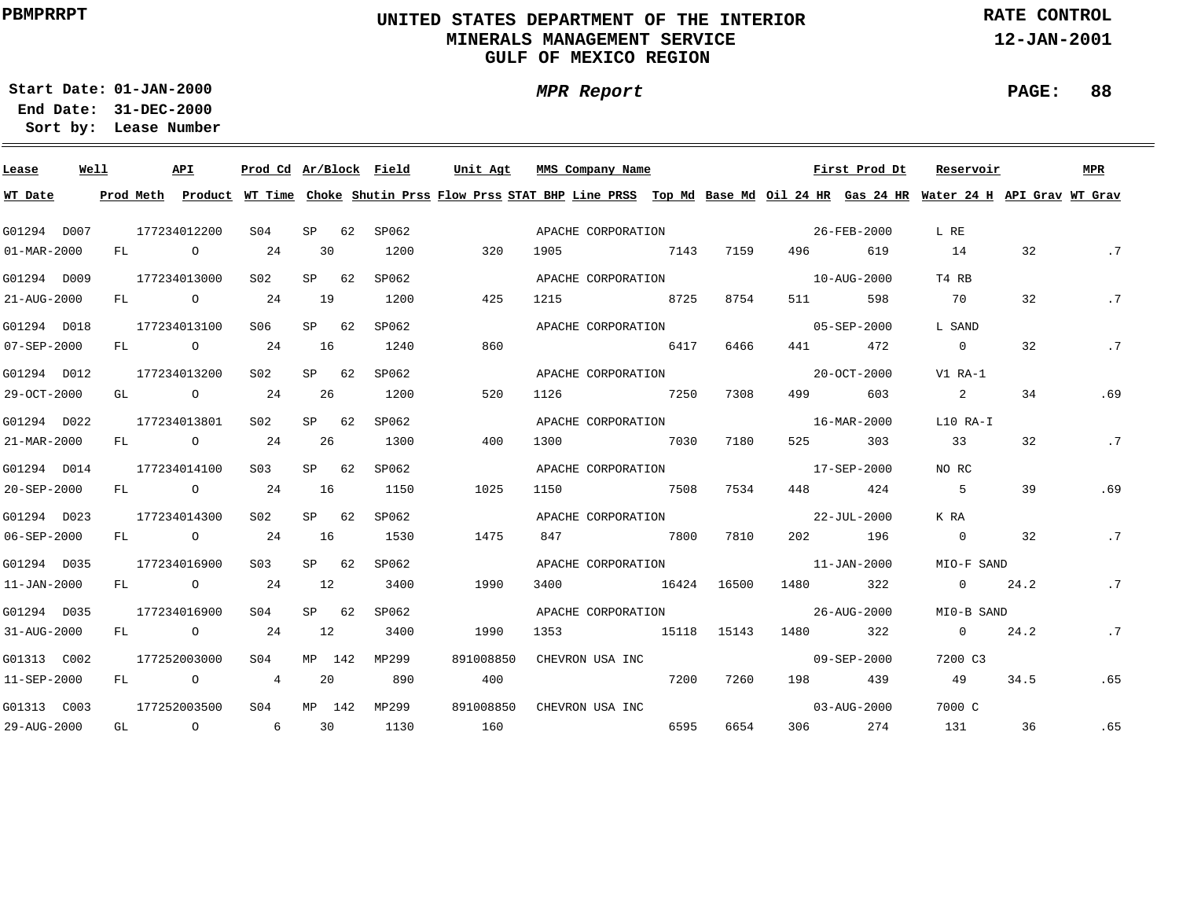### **UNITED STATES DEPARTMENT OF THE INTERIOR MINERALS MANAGEMENT SERVICEGULF OF MEXICO REGION**

**MPR Report**

**RATE CONTROL**

**12-JAN-2001**

**01-JAN-2000Start Date:**

**31-DEC-2000 End Date: Lease Number Sort by:**

| Lease             | Well |     | API                                                                     | Prod Cd Ar/Block Field |    |         |       | Unit Agt  | MMS Company Name                                                                                                                        |      |             |                   | First Prod Dt            | Reservoir      |      | <b>MPR</b> |
|-------------------|------|-----|-------------------------------------------------------------------------|------------------------|----|---------|-------|-----------|-----------------------------------------------------------------------------------------------------------------------------------------|------|-------------|-------------------|--------------------------|----------------|------|------------|
| WT Date           |      |     |                                                                         |                        |    |         |       |           | Prod Meth Product WT Time Choke Shutin Prss Flow Prss STAT BHP Line PRSS Top Md Base Md Oil 24 HR Gas 24 HR Water 24 H API Grav WT Grav |      |             |                   |                          |                |      |            |
| G01294 D007       |      |     | 177234012200                                                            | SO <sub>4</sub>        | SP | 62      | SP062 |           | APACHE CORPORATION                                                                                                                      |      |             |                   | 26-FEB-2000              | L RE           |      |            |
| 01-MAR-2000       |      | FL  | $\circ$                                                                 | 24                     | 30 |         | 1200  | 320       | 1905                                                                                                                                    | 7143 | 7159        | 496               | 619                      | 14             | 32   | .7         |
| G01294 D009       |      |     | 177234013000                                                            | SO2                    |    | SP 62   | SP062 |           | APACHE CORPORATION                                                                                                                      |      |             |                   | $10 - \text{AUG} - 2000$ | T4 RB          |      |            |
| 21-AUG-2000       |      | FL  | $\overline{O}$                                                          | 24                     | 19 |         | 1200  | 425       | 8725<br>1215                                                                                                                            |      | 8754        | 511               | 598                      | - 70           | 32   | .7         |
| G01294 D018       |      |     | 177234013100                                                            | S06                    |    | $SP$ 62 | SP062 |           | APACHE CORPORATION                                                                                                                      |      |             |                   | 05-SEP-2000              | L SAND         |      |            |
| 07-SEP-2000       |      | FL  | $\overline{O}$ and $\overline{O}$ and $\overline{O}$                    | 24                     | 16 |         | 1240  | 860       |                                                                                                                                         | 6417 | 6466        | 441               | 472                      | $\overline{0}$ | 32   | .7         |
| G01294 D012       |      |     | 177234013200                                                            | S <sub>02</sub>        |    | $SP$ 62 | SP062 |           | APACHE CORPORATION                                                                                                                      |      |             |                   | 20-OCT-2000              | V1 RA-1        |      |            |
| 29-OCT-2000       |      | GL  | $\overline{O}$                                                          | 24                     | 26 |         | 1200  | 520       | 7250<br>1126                                                                                                                            |      | 7308        | 499               | 603                      | 2              | 34   | .69        |
| G01294 D022       |      |     | 177234013801                                                            | SO2                    |    | $SP$ 62 | SP062 |           | APACHE CORPORATION                                                                                                                      |      |             |                   | 16-MAR-2000              | L10 RA-I       |      |            |
| 21-MAR-2000       |      | FL. | $\overline{O}$ and $\overline{O}$ and $\overline{O}$ and $\overline{O}$ | 24                     | 26 |         | 1300  | 400       | 1300                                                                                                                                    | 7030 | 7180        | 525               | 303                      | 33             | 32   | .7         |
| G01294 D014       |      |     | 177234014100                                                            | S <sub>03</sub>        |    | $SP$ 62 | SP062 |           | APACHE CORPORATION                                                                                                                      |      |             |                   | 17-SEP-2000              | NO RC          |      |            |
| 20-SEP-2000       |      | FL  | $\circ$ 24                                                              |                        | 16 |         | 1150  | 1025      | 7508<br>1150                                                                                                                            |      | 7534        |                   | 448 424                  | $5^{\circ}$    | 39   | .69        |
| G01294 D023       |      |     | 177234014300                                                            | S <sub>02</sub>        |    | $SP$ 62 | SP062 |           |                                                                                                                                         |      |             |                   |                          | K RA           |      |            |
| 06-SEP-2000       |      |     | FL O                                                                    | 24                     | 16 |         | 1530  | 1475      | 7800 7810<br>847                                                                                                                        |      |             |                   | 202 196                  | $\overline{0}$ | 32   | .7         |
| G01294 D035       |      |     | 177234016900                                                            | S03                    |    | $SP$ 62 | SP062 |           | APACHE CORPORATION                                                                                                                      |      |             | $11 - JAN - 2000$ |                          | MIO-F SAND     |      |            |
| $11 - JAN - 2000$ |      | FL  | $\overline{O}$                                                          | 24                     | 12 |         | 3400  | 1990      | 3400<br>16424 16500                                                                                                                     |      |             | 1480              | 322                      | $\overline{0}$ | 24.2 | .7         |
| G01294 D035       |      |     | 177234016900                                                            | SO4                    |    | SP 62   | SP062 |           | APACHE CORPORATION                                                                                                                      |      |             |                   | 26-AUG-2000              | MI0-B SAND     |      |            |
| 31-AUG-2000       |      | FL  | $\overline{O}$                                                          | 24                     | 12 |         | 3400  | 1990      | 1353                                                                                                                                    |      | 15118 15143 | 1480              | 322                      | $\overline{0}$ | 24.2 | $\cdot$ 7  |
| G01313 C002       |      |     | 177252003000                                                            | S <sub>04</sub>        |    | MP 142  | MP299 | 891008850 | CHEVRON USA INC                                                                                                                         |      |             |                   | $09 - SEP - 2000$        | 7200 C3        |      |            |
| 11-SEP-2000       |      | FL  | $\overline{O}$                                                          | $\overline{4}$         | 20 |         | 890   | 400       |                                                                                                                                         | 7200 | 7260        | 198               | 439                      | 49             | 34.5 | .65        |
| G01313 C003       |      |     | 177252003500                                                            | SO <sub>4</sub>        |    | MP 142  | MP299 | 891008850 | CHEVRON USA INC                                                                                                                         |      |             |                   | $03 - \text{AUG} - 2000$ | 7000 C         |      |            |
| 29-AUG-2000       |      |     | GL O                                                                    | $6\overline{6}$        | 30 |         | 1130  | 160       |                                                                                                                                         | 6595 | 6654        |                   | 306 274                  | 131            | 36   | .65        |

#### **PAGE: 88**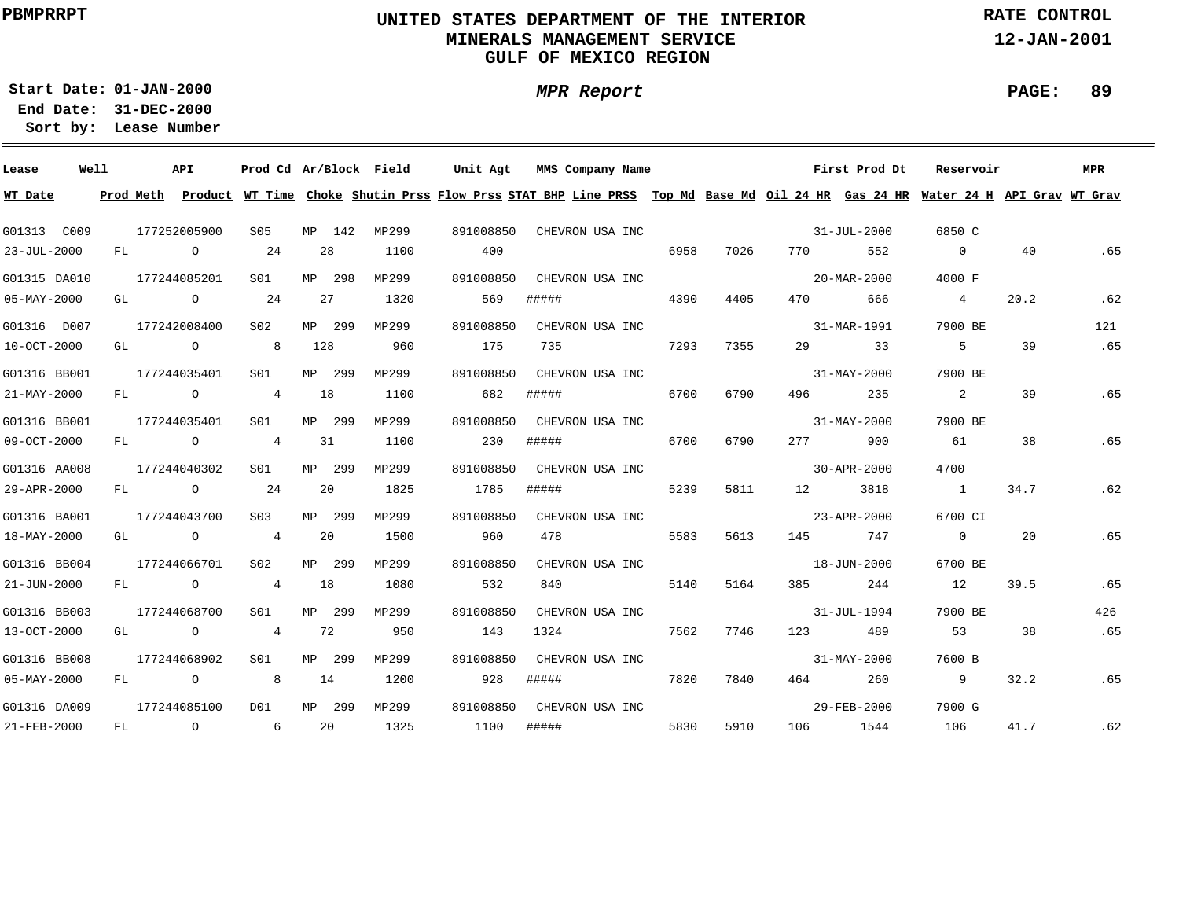### **UNITED STATES DEPARTMENT OF THE INTERIOR MINERALS MANAGEMENT SERVICEGULF OF MEXICO REGION**

**MPR Report**

**RATE CONTROL**

**12-JAN-2001**

**PAGE: 89**

**01-JAN-2000Start Date:31-DEC-2000 End Date:** 

| Lease        | Well |    |           | <b>API</b>     | Prod Cd Ar/Block Field |        |       | Unit Agt  | MMS Company Name                                                                                                              |      |      |                       | First Prod Dt     | Reservoir      |      | MPR |
|--------------|------|----|-----------|----------------|------------------------|--------|-------|-----------|-------------------------------------------------------------------------------------------------------------------------------|------|------|-----------------------|-------------------|----------------|------|-----|
| WT Date      |      |    | Prod Meth |                |                        |        |       |           | Product WT Time Choke Shutin Prss Flow Prss STAT BHP Line PRSS Top Md Base Md Oil 24 HR Gas 24 HR Water 24 H API Grav WT Grav |      |      |                       |                   |                |      |     |
| G01313 C009  |      |    |           | 177252005900   | S05                    | MP 142 | MP299 | 891008850 | CHEVRON USA INC                                                                                                               |      |      |                       | 31-JUL-2000       | 6850 C         |      |     |
| 23-JUL-2000  |      | FL |           | $\circ$        | 24                     | 28     | 1100  | 400       |                                                                                                                               | 6958 | 7026 | 770 — 170             | 552               | $\overline{0}$ | 40   | .65 |
| G01315 DA010 |      |    |           | 177244085201   | S01                    | MP 298 | MP299 | 891008850 | CHEVRON USA INC                                                                                                               |      |      |                       | 20-MAR-2000       | 4000 F         |      |     |
| 05-MAY-2000  |      |    |           | GL O           | 24                     | 27     | 1320  | 569       | #####                                                                                                                         | 4390 | 4405 | 470                   | 666               | $\overline{4}$ | 20.2 | .62 |
| G01316 D007  |      |    |           | 177242008400   | S <sub>02</sub>        | MP 299 | MP299 | 891008850 | CHEVRON USA INC                                                                                                               |      |      |                       | 31-MAR-1991       | 7900 BE        |      | 121 |
| 10-OCT-2000  |      | GL |           | $\overline{O}$ | 8                      | 128    | 960   | 175       | 735                                                                                                                           | 7293 | 7355 | 29                    | 33                | -5             | 39   | .65 |
| G01316 BB001 |      |    |           | 177244035401   | S01                    | MP 299 | MP299 | 891008850 | CHEVRON USA INC                                                                                                               |      |      |                       | 31-MAY-2000       | 7900 BE        |      |     |
| 21-MAY-2000  |      | FL |           | $\overline{O}$ | $\overline{4}$         | 18     | 1100  | 682       | #####                                                                                                                         | 6700 | 6790 | 496                   | 235               | 2              | 39   | .65 |
| G01316 BB001 |      |    |           | 177244035401   | SO1                    | MP 299 | MP299 | 891008850 | CHEVRON USA INC                                                                                                               |      |      |                       | 31-MAY-2000       | 7900 BE        |      |     |
| 09-OCT-2000  |      | FL |           | $\overline{O}$ | $\overline{4}$         | 31     | 1100  | 230       | #####                                                                                                                         | 6700 | 6790 | 277 — 277             | 900               | 61             | 38   | .65 |
| G01316 AA008 |      |    |           | 177244040302   | SO1                    | MP 299 | MP299 | 891008850 | CHEVRON USA INC                                                                                                               |      |      |                       | $30 - APR - 2000$ | 4700           |      |     |
| 29-APR-2000  |      |    |           | FL O           | 24                     | 20     | 1825  | 1785      | #####                                                                                                                         | 5239 | 5811 | 12 and $\overline{a}$ | 3818              | $\sim$ 1       | 34.7 | .62 |
| G01316 BA001 |      |    |           | 177244043700   | S03                    | MP 299 | MP299 | 891008850 | CHEVRON USA INC                                                                                                               |      |      |                       | 23-APR-2000       | 6700 CI        |      |     |
| 18-MAY-2000  |      | GL |           | $\overline{O}$ | $\overline{4}$         | 20     | 1500  | 960       | 478                                                                                                                           | 5583 | 5613 | 145                   | 747               | $\overline{0}$ | 20   | .65 |
| G01316 BB004 |      |    |           | 177244066701   | S <sub>02</sub>        | MP 299 | MP299 | 891008850 | CHEVRON USA INC                                                                                                               |      |      |                       | 18-JUN-2000       | 6700 BE        |      |     |
| 21-JUN-2000  |      | FL |           | $\overline{O}$ | $\overline{4}$         | 18     | 1080  | 532       | 840                                                                                                                           | 5140 | 5164 | 385 700               | 244               | 12             | 39.5 | .65 |
| G01316 BB003 |      |    |           | 177244068700   | S01                    | MP 299 | MP299 | 891008850 | CHEVRON USA INC                                                                                                               |      |      |                       | 31-JUL-1994       | 7900 BE        |      | 426 |
| 13-OCT-2000  |      | GL |           | $\overline{O}$ | $4\overline{ }$        | 72     | 950   | 143       | 1324                                                                                                                          | 7562 | 7746 | 123                   | 489               | 53             | 38   | .65 |
| G01316 BB008 |      |    |           | 177244068902   | SO1                    | MP 299 | MP299 | 891008850 | CHEVRON USA INC                                                                                                               |      |      |                       | 31-MAY-2000       | 7600 B         |      |     |
| 05-MAY-2000  |      | FL |           | $\overline{O}$ | 8                      | 14     | 1200  | 928       | #####                                                                                                                         | 7820 | 7840 | 464                   | 260               | 9              | 32.2 | .65 |
| G01316 DA009 |      |    |           | 177244085100   | DO1                    | MP 299 | MP299 | 891008850 | CHEVRON USA INC                                                                                                               |      |      |                       | 29-FEB-2000       | 7900 G         |      |     |
| 21-FEB-2000  |      | FL |           | 0 6 20         |                        |        | 1325  | 1100      | #####                                                                                                                         | 5830 | 5910 | 106                   | 1544              | 106            | 41.7 | .62 |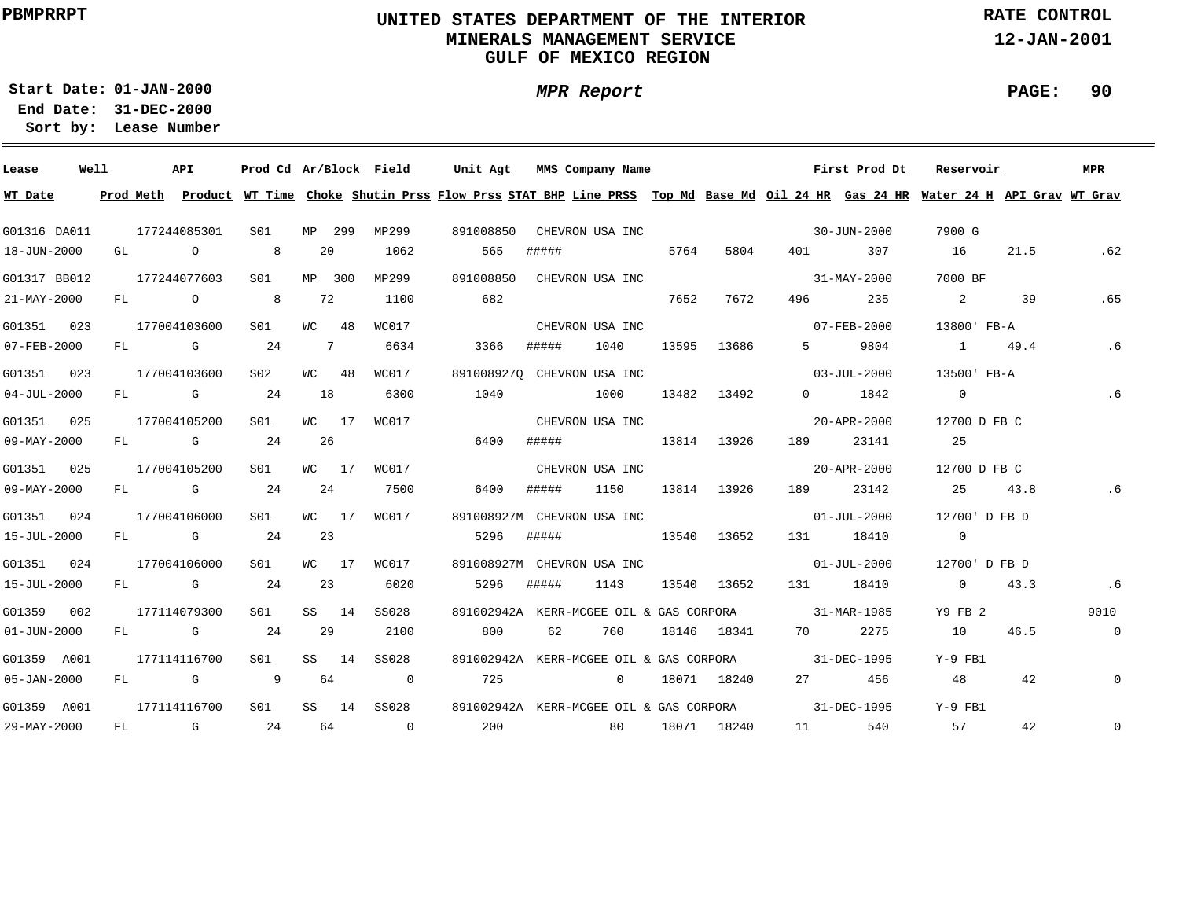### **UNITED STATES DEPARTMENT OF THE INTERIOR MINERALS MANAGEMENT SERVICEGULF OF MEXICO REGION**

**MPR Report**

**RATE CONTROL**

**12-JAN-2001**

**PAGE: 90**

**01-JAN-2000Start Date:**

| Lease             | Well |      | API          | Prod Cd Ar/Block Field |            |        |                | Unit Agt           |       | MMS Company Name           |       |             |                       | First Prod Dt                                                                                                                           | Reservoir      |         | MPR            |
|-------------------|------|------|--------------|------------------------|------------|--------|----------------|--------------------|-------|----------------------------|-------|-------------|-----------------------|-----------------------------------------------------------------------------------------------------------------------------------------|----------------|---------|----------------|
| WT Date           |      |      |              |                        |            |        |                |                    |       |                            |       |             |                       | Prod Meth Product WT Time Choke Shutin Prss Flow Prss STAT BHP Line PRSS Top Md Base Md Oil 24 HR Gas 24 HR Water 24 H API Grav WT Grav |                |         |                |
| G01316 DA011      |      |      | 177244085301 | S01                    |            | MP 299 | MP299          | 891008850          |       | CHEVRON USA INC            |       |             |                       | 30-JUN-2000                                                                                                                             | 7900 G         |         |                |
| 18-JUN-2000       |      | GL O |              | 8                      |            | 20     | 1062           | 565                | ##### |                            | 5764  | 5804        |                       | 401 307                                                                                                                                 | 16             | 21.5    | .62            |
| G01317 BB012      |      |      | 177244077603 | S01                    |            | MP 300 | MP299          | 891008850          |       | CHEVRON USA INC            |       |             |                       | 31-MAY-2000                                                                                                                             | 7000 BF        |         |                |
| 21-MAY-2000       |      |      | FL O         | 8 <sup>8</sup>         | 72         |        | 1100           | 682                |       |                            | 7652  | 7672        | 496 — 196             | 235                                                                                                                                     | $\overline{2}$ | 39      | .65            |
| G01351 023        |      |      | 177004103600 | S <sub>01</sub>        |            | WC 48  | WC017          |                    |       | CHEVRON USA INC            |       |             |                       | $07 - FEB - 2000$                                                                                                                       | 13800' FB-A    |         |                |
| 07-FEB-2000       |      |      | FL G         | 24                     | $7\degree$ |        | 6634           | 3366               | ##### | 1040                       |       | 13595 13686 |                       | 5 9804                                                                                                                                  |                | 1 49.4  | .6             |
| G01351 023        |      |      | 177004103600 | S <sub>02</sub>        |            | WC 48  | WC017          |                    |       | 8910089270 CHEVRON USA INC |       |             |                       | $03 - JUL - 2000$                                                                                                                       | 13500' FB-A    |         |                |
| $04 - JUL - 2000$ |      |      | FL G         | 24                     | 18         |        | 6300           | 1040               | 1000  |                            | 13482 | 13492       |                       | $0$ 1842                                                                                                                                | $\overline{0}$ |         | .6             |
| G01351 025        |      |      | 177004105200 | S01                    |            | WC 17  | WC017          |                    |       | CHEVRON USA INC            |       |             |                       | 20-APR-2000                                                                                                                             | 12700 D FB C   |         |                |
| $09 - MAY - 2000$ |      |      | FL G         | 24                     |            | 26     |                | 6400               |       | ##### 13814                |       | 13926       | 189                   | 23141                                                                                                                                   | 25             |         |                |
| G01351 025        |      |      | 177004105200 | SO1                    |            | WC 17  | WC017          |                    |       | CHEVRON USA INC            |       |             |                       | $20 - APR - 2000$                                                                                                                       | 12700 D FB C   |         |                |
| 09-MAY-2000       |      |      | FL G         | 24                     | 24         |        | 7500           | 6400               | ##### | 1150                       |       | 13814 13926 |                       | 189 23142                                                                                                                               |                | 25 43.8 | .6             |
| G01351 024        |      |      | 177004106000 | S01                    |            | WC 17  | WC017          |                    |       | 891008927M CHEVRON USA INC |       |             |                       | $01 - JUL - 2000$                                                                                                                       | 12700'D FB D   |         |                |
| 15-JUL-2000       |      |      | FL G         | 24                     | 23         |        |                | 5296               | ##### | 13540 13652                |       |             |                       | 131 18410                                                                                                                               | $\overline{0}$ |         |                |
| G01351 024        |      |      | 177004106000 | S01                    |            | WC 17  | WC017          |                    |       | 891008927M CHEVRON USA INC |       |             |                       | $01 - JUL - 2000$                                                                                                                       | 12700'D FB D   |         |                |
| 15-JUL-2000       |      |      | FL G 24      |                        | 23         |        | 6020           | 5296               | ##### | 1143                       |       |             | 13540 13652 131 18410 |                                                                                                                                         | $\overline{0}$ | 43.3    | .6             |
| G01359 002        |      |      | 177114079300 | SO1                    |            | SS 14  | SS028          |                    |       |                            |       |             |                       | 891002942A KERR-MCGEE OIL & GAS CORPORA 31-MAR-1985                                                                                     | Y9 FB 2        |         | 9010           |
| $01 - JUN - 2000$ |      |      | FL G         | 24                     | 29         |        | 2100           | 800                | 62    | 760                        |       |             | 18146 18341 70 2275   |                                                                                                                                         | 10             | 46.5    | $\overline{0}$ |
| G01359 A001       |      |      | 177114116700 | SO1                    |            | SS 14  | SS028          |                    |       |                            |       |             |                       | 891002942A KERR-MCGEE OIL & GAS CORPORA 31-DEC-1995                                                                                     | Y-9 FB1        |         |                |
| $05 - JAN - 2000$ |      |      | $FL$ G       | $\overline{9}$         | 64         |        | $\overline{0}$ | 725                |       | $\overline{0}$             |       | 18071 18240 |                       | 27 456                                                                                                                                  | 48             | 42      | $\mathbf{0}$   |
| G01359 A001       |      |      | 177114116700 | S <sub>01</sub>        |            |        | SS 14 SS028    |                    |       |                            |       |             |                       | 891002942A KERR-MCGEE OIL & GAS CORPORA 31-DEC-1995                                                                                     | Y-9 FB1        |         |                |
| 29-MAY-2000       |      |      | FL G         | 24                     |            |        | 64 0           | 200 80 18071 18240 |       |                            |       |             | 11 7                  | 540                                                                                                                                     | 57             | 42      | $\mathsf{O}$   |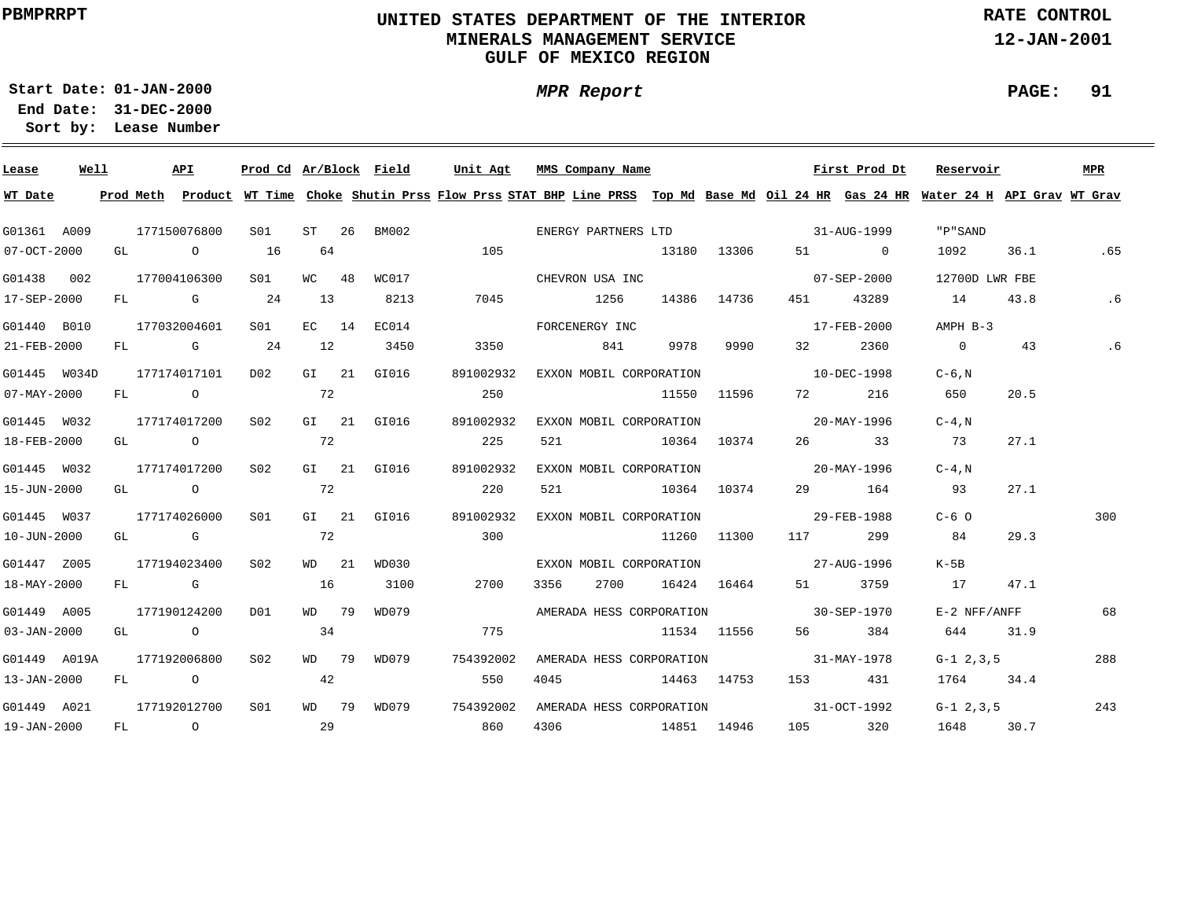### **UNITED STATES DEPARTMENT OF THE INTERIOR MINERALS MANAGEMENT SERVICEGULF OF MEXICO REGION**

**MPR Report**

**RATE CONTROL**

**12-JAN-2001**

**PAGE: 91**

**01-JAN-2000Start Date:31-DEC-2000 End Date:** 

| Lease             | Well |  | API          | Prod Cd Ar/Block Field |       |             | Unit Agt                                                                                                                                | MMS Company Name         |      |      |             |                                      | First Prod Dt     | Reservoir      |      | MPR |
|-------------------|------|--|--------------|------------------------|-------|-------------|-----------------------------------------------------------------------------------------------------------------------------------------|--------------------------|------|------|-------------|--------------------------------------|-------------------|----------------|------|-----|
| WT Date           |      |  |              |                        |       |             | Prod Meth Product WT Time Choke Shutin Prss Flow Prss STAT BHP Line PRSS Top Md Base Md Oil 24 HR Gas 24 HR Water 24 H API Grav WT Grav |                          |      |      |             |                                      |                   |                |      |     |
| G01361 A009       |      |  | 177150076800 | S01 <b>S</b>           | ST 26 | BM002       |                                                                                                                                         |                          |      |      |             |                                      |                   | " P " SAND     |      |     |
| $07 - OCT - 2000$ |      |  | GL O         | 16                     | 64    |             | 105                                                                                                                                     |                          |      |      | 13180 13306 |                                      | 51 0              | 1092           | 36.1 | .65 |
| G01438 002        |      |  | 177004106300 | S01                    | WC 48 | WC017       |                                                                                                                                         | CHEVRON USA INC          |      |      |             | $07 - SEP - 2000$                    |                   | 12700D LWR FBE |      |     |
| 17-SEP-2000       |      |  | FL G         | 24                     | 13    | 8213        | 7045                                                                                                                                    | 1256                     |      |      | 14386 14736 | 451 — 100                            | 43289             | 14             | 43.8 | .6  |
| G01440 B010       |      |  | 177032004601 | S <sub>01</sub>        | EC 14 | EC014       |                                                                                                                                         | FORCENERGY INC           |      |      |             |                                      | $17 - FEB - 2000$ | AMPH B-3       |      |     |
| 21-FEB-2000       |      |  | FL G 24      |                        | 12    | 3450        | 3350                                                                                                                                    |                          | 841  | 9978 | 9990        | 32 and $\sim$                        | 2360              | $\overline{0}$ | 43   | .6  |
| G01445 W034D      |      |  | 177174017101 | D02                    |       | GI 21 GI016 | 891002932                                                                                                                               | EXXON MOBIL CORPORATION  |      |      |             | 10-DEC-1998                          |                   | $C-6$ , $N$    |      |     |
| $07 - MAX - 2000$ |      |  | FL O         | 72                     |       |             | 250                                                                                                                                     |                          |      |      | 11550 11596 | 72 — 1                               | 216               | 650            | 20.5 |     |
| G01445 W032       |      |  | 177174017200 | S02                    |       | GI 21 GI016 | 891002932                                                                                                                               | EXXON MOBIL CORPORATION  |      |      |             |                                      | 20-MAY-1996       | $C-4$ , $N$    |      |     |
| 18-FEB-2000       |      |  | GL O         |                        | 72    |             | 225                                                                                                                                     | 521                      |      |      | 10364 10374 |                                      | 26 33             | 73             | 27.1 |     |
| G01445 W032       |      |  | 177174017200 | S02                    |       | GI 21 GI016 | 891002932                                                                                                                               | EXXON MOBIL CORPORATION  |      |      |             | $20 - \text{MAX} - 1996$             |                   | $C-4$ , $N$    |      |     |
| 15-JUN-2000       |      |  | GL O         |                        | 72    |             | 220                                                                                                                                     | 521 10364 10374          |      |      |             |                                      | 29 164            | 93             | 27.1 |     |
| G01445 W037       |      |  | 177174026000 | SO1                    |       | GI 21 GI016 | 891002932                                                                                                                               | EXXON MOBIL CORPORATION  |      |      |             | 29-FEB-1988                          |                   | $C-6$ $\Omega$ |      | 300 |
| 10-JUN-2000       |      |  | GL G         |                        | 72    |             | 300                                                                                                                                     |                          |      |      | 11260 11300 | 117                                  | 299               | 84             | 29.3 |     |
| G01447 Z005       |      |  | 177194023400 | S02                    | WD 21 | WD030       |                                                                                                                                         | EXXON MOBIL CORPORATION  |      |      |             | $27 - \text{AUG} - 1996$             |                   | K-5B           |      |     |
| 18-MAY-2000       |      |  | FL G         |                        | 16    | 3100        | 2700                                                                                                                                    | 3356                     | 2700 |      | 16424 16464 |                                      | 3759              | 17             | 47.1 |     |
| G01449 A005       |      |  | 177190124200 | DO1                    | WD 79 | WD079       |                                                                                                                                         |                          |      |      |             | AMERADA HESS CORPORATION 30-SEP-1970 |                   | E-2 NFF/ANFF   |      | 68  |
| $03 - JAN - 2000$ |      |  | GL O         |                        | 34    |             | 775                                                                                                                                     |                          |      |      | 11534 11556 |                                      | 384               | 644            | 31.9 |     |
| G01449 A019A      |      |  | 177192006800 | S02                    | WD 79 | WD079       | 754392002                                                                                                                               | AMERADA HESS CORPORATION |      |      |             | $31 - \text{MAX} - 1978$             |                   | $G-1$ 2, 3, 5  |      | 288 |
| 13-JAN-2000       |      |  | FL O         |                        | 42    |             | 550                                                                                                                                     | 4045                     |      |      | 14463 14753 |                                      | 153 431           | 1764 34.4      |      |     |
| G01449 A021       |      |  | 177192012700 | S <sub>01</sub>        |       | WD 79 WD079 | 754392002                                                                                                                               |                          |      |      |             | AMERADA HESS CORPORATION 31-OCT-1992 |                   | $G-1$ 2, 3, 5  |      | 243 |
| 19-JAN-2000       |      |  | FL O         | 29                     |       |             | 860                                                                                                                                     | 4306                     |      |      | 14851 14946 |                                      | 105 320           | 1648           | 30.7 |     |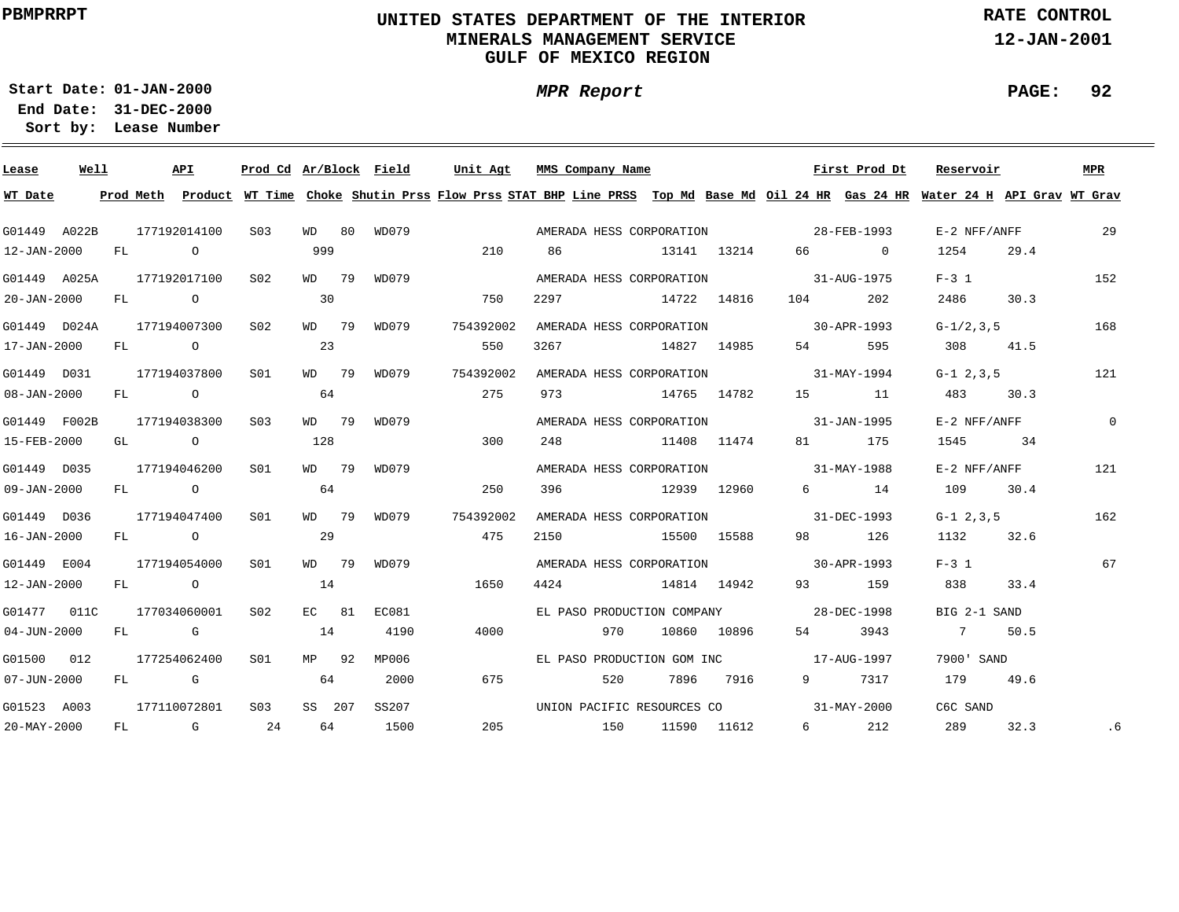### **UNITED STATES DEPARTMENT OF THE INTERIOR MINERALS MANAGEMENT SERVICEGULF OF MEXICO REGION**

**MPR Report**

**RATE CONTROL**

**12-JAN-2001**

**PAGE: 92**

**01-JAN-2000Start Date:31-DEC-2000 End Date:** 

| Lease             | Well |  | API                       | Prod Cd Ar/Block Field |        |             | Unit Agt                                                                                                                                | MMS Company Name                       |             |             |         | First Prod Dt | Reservoir     |      | MPR            |
|-------------------|------|--|---------------------------|------------------------|--------|-------------|-----------------------------------------------------------------------------------------------------------------------------------------|----------------------------------------|-------------|-------------|---------|---------------|---------------|------|----------------|
| WT Date           |      |  |                           |                        |        |             | Prod Meth Product WT Time Choke Shutin Prss Flow Prss STAT BHP Line PRSS Top Md Base Md Oil 24 HR Gas 24 HR Water 24 H API Grav WT Grav |                                        |             |             |         |               |               |      |                |
| G01449 A022B      |      |  | 177192014100              | S03                    |        |             | WD 80 WD079                                                                                                                             | AMERADA HESS CORPORATION 28-FEB-1993   |             |             |         |               | E-2 NFF/ANFF  |      | 29             |
| 12-JAN-2000       |      |  | FL O                      |                        | 999    |             | 210                                                                                                                                     | 86                                     | 13141 13214 |             |         | 66 0          | 1254          | 29.4 |                |
| G01449 A025A      |      |  | 177192017100 S02          |                        | WD 79  | WD079       |                                                                                                                                         | AMERADA HESS CORPORATION 31-AUG-1975   |             |             |         |               | $F-3$ 1       |      | 152            |
| $20 - JAN - 2000$ |      |  | FL O                      |                        | 30     |             | 750                                                                                                                                     | 2297 14722 14816                       |             |             | 104 202 |               | 2486          | 30.3 |                |
|                   |      |  | G01449 D024A 177194007300 | S <sub>02</sub>        |        | WD 79 WD079 | 754392002                                                                                                                               | AMERADA HESS CORPORATION 30-APR-1993   |             |             |         |               | $G-1/2, 3, 5$ |      | 168            |
| 17-JAN-2000       |      |  | FL O                      |                        | 23     |             | 550                                                                                                                                     | 3267 14827 14985                       |             |             |         | 595           | 308           | 41.5 |                |
| G01449 D031       |      |  | 177194037800              | S01                    |        | WD 79 WD079 | 754392002                                                                                                                               | AMERADA HESS CORPORATION 31-MAY-1994   |             |             |         |               | $G-1$ 2, 3, 5 |      | 121            |
| $08 - JAN - 2000$ |      |  | FL O                      |                        | 64     |             | 275                                                                                                                                     | 973 14765 14782                        |             |             |         | 15 11         | 483           | 30.3 |                |
| G01449 F002B      |      |  | 177194038300              | S03                    | WD 79  | WD079       |                                                                                                                                         | AMERADA HESS CORPORATION 31-JAN-1995   |             |             |         |               | E-2 NFF/ANFF  |      | $\overline{0}$ |
| 15-FEB-2000       |      |  | GL O                      |                        | 128    |             | 300                                                                                                                                     | 248 11408 11474                        |             |             |         | 81 175        | 1545          | 34   |                |
| G01449 D035       |      |  | 177194046200              | S01                    | WD 79  | WD079       |                                                                                                                                         | AMERADA HESS CORPORATION 31-MAY-1988   |             |             |         |               | E-2 NFF/ANFF  |      | 121            |
| 09-JAN-2000       |      |  | FL O                      |                        | 64     |             | 250                                                                                                                                     | 396 12939 12960                        |             |             |         | 6 14          | 109 30.4      |      |                |
| G01449 D036       |      |  | 177194047400              | S01                    | WD 79  | WD079       | 754392002                                                                                                                               | AMERADA HESS CORPORATION 31-DEC-1993   |             |             |         |               | $G-1$ 2, 3, 5 |      | 162            |
| $16 - JAN - 2000$ |      |  | FL O                      |                        | 29     |             | 475                                                                                                                                     | 2150 15500 15588                       |             |             |         | 98 126        | 1132 32.6     |      |                |
| G01449 E004       |      |  | 177194054000              | SO1                    | WD 79  | WD079       |                                                                                                                                         | AMERADA HESS CORPORATION 30-APR-1993   |             |             |         |               | $F-3$ 1       |      | 67             |
| 12-JAN-2000       |      |  | FL O                      |                        | 14     |             | 1650                                                                                                                                    | 4424 14814 14942                       |             |             |         | 93 159        | 838 8         | 33.4 |                |
| G01477 011C       |      |  | 177034060001              | S02                    | EC 81  | EC081       |                                                                                                                                         | EL PASO PRODUCTION COMPANY 28-DEC-1998 |             |             |         |               | BIG 2-1 SAND  |      |                |
| $04 - JUN - 2000$ |      |  | FL G                      |                        | 14     | 4190        | 4000                                                                                                                                    | 970                                    |             | 10860 10896 |         | 54 3943       | 7 50.5        |      |                |
| G01500 012        |      |  | 177254062400              | SO1                    | MP 92  | MP006       |                                                                                                                                         | EL PASO PRODUCTION GOM INC 17-AUG-1997 |             |             |         |               | 7900' SAND    |      |                |
| $07 - JUN - 2000$ |      |  | FL G                      |                        | 64     | 2000        | 675                                                                                                                                     | 520                                    |             | 7896 7916   |         | 9 7317        | 179 49.6      |      |                |
| G01523 A003       |      |  | 177110072801              | S <sub>03</sub>        | SS 207 | SS207       |                                                                                                                                         | UNION PACIFIC RESOURCES CO 31-MAY-2000 |             |             |         |               | C6C SAND      |      |                |
| 20-MAY-2000       |      |  | $FL$ G 24                 |                        | 64     | 1500        |                                                                                                                                         | 205 150                                |             | 11590 11612 |         | 6 212         | 289           | 32.3 | .6             |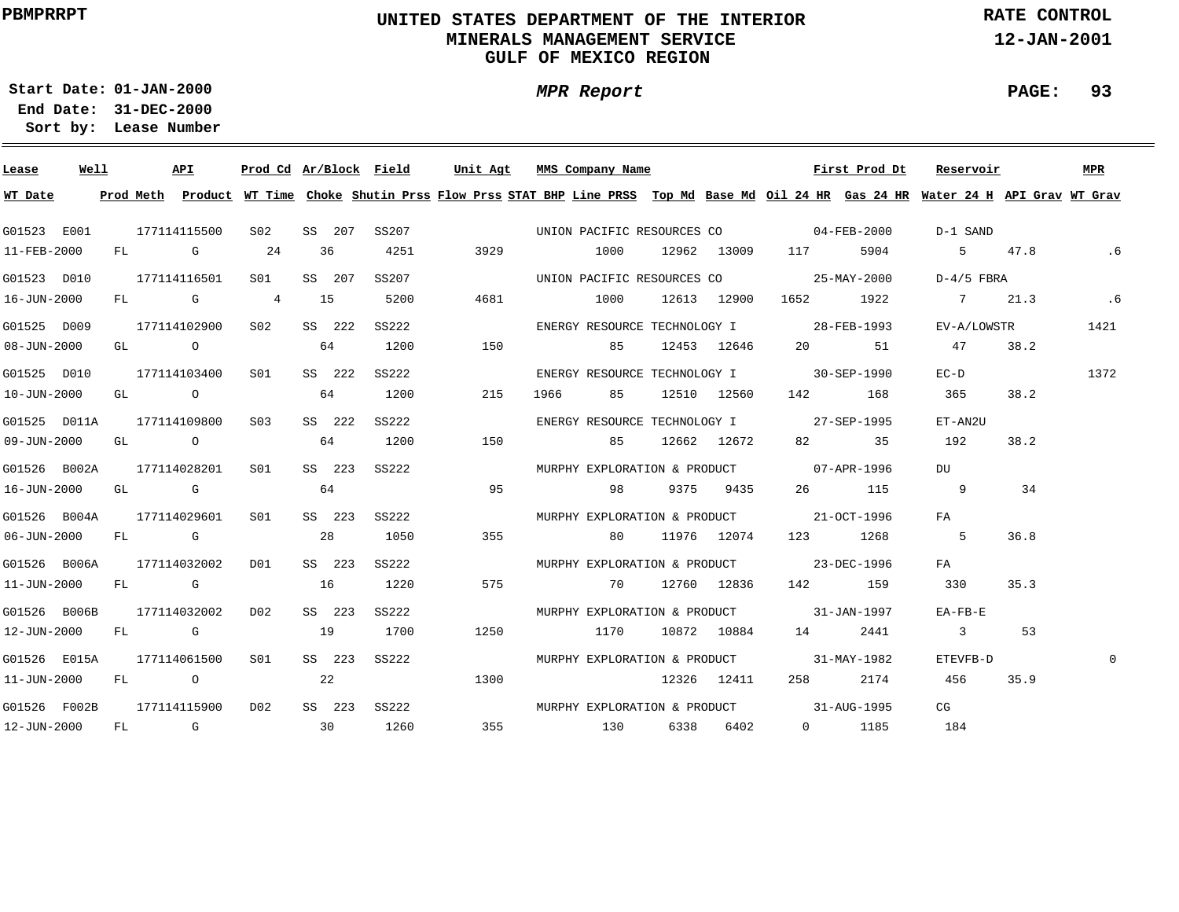### **UNITED STATES DEPARTMENT OF THE INTERIOR MINERALS MANAGEMENT SERVICEGULF OF MEXICO REGION**

**MPR Report**

**RATE CONTROL**

**12-JAN-2001**

**PAGE: 93**

**01-JAN-2000Start Date:**

| Lease                     | Well |  | API          |                 |                 |        | Prod Cd Ar/Block Field | Unit Agt | MMS Company Name    |           |     | First Prod Dt                                                                                                                           | Reservoir   |      | MPR      |
|---------------------------|------|--|--------------|-----------------|-----------------|--------|------------------------|----------|---------------------|-----------|-----|-----------------------------------------------------------------------------------------------------------------------------------------|-------------|------|----------|
| WT Date                   |      |  |              |                 |                 |        |                        |          |                     |           |     | Prod Meth Product WT Time Choke Shutin Prss Flow Prss STAT BHP Line PRSS Top Md Base Md Oil 24 HR Gas 24 HR Water 24 H API Grav WT Grav |             |      |          |
| G01523 E001               |      |  | 177114115500 | S02             |                 | SS 207 | SS207                  |          |                     |           |     | UNION PACIFIC RESOURCES CO $04$ -FEB-2000                                                                                               | D-1 SAND    |      |          |
| 11-FEB-2000               |      |  | $FL$ G 24    |                 |                 | 36     | 4251                   | 3929     | 1000 12962 13009    |           | 117 | 5904                                                                                                                                    | 5 47.8      |      | . 6      |
| G01523 D010               |      |  | 177114116501 | S <sub>01</sub> |                 | SS 207 | SS207                  |          |                     |           |     | UNION PACIFIC RESOURCES CO 25-MAY-2000                                                                                                  | D-4/5 FBRA  |      |          |
| 16-JUN-2000               |      |  | $FL$ G 4     |                 | 15              |        | 5200                   | 4681     |                     |           |     | 1000 12613 12900 1652 1922                                                                                                              | 7 21.3      |      | .6       |
| G01525 D009               |      |  | 177114102900 | S02             |                 | SS 222 | SS222                  |          |                     |           |     | ENERGY RESOURCE TECHNOLOGY I 28-FEB-1993                                                                                                | EV-A/LOWSTR |      | 1421     |
| 08-JUN-2000               |      |  | GL O         |                 | 64              |        | 1200                   | 150      |                     |           |     | 85 12453 12646 20 51                                                                                                                    | 47 38.2     |      |          |
| G01525 D010               |      |  | 177114103400 | SO1             |                 | SS 222 | SS222                  |          |                     |           |     | ENERGY RESOURCE TECHNOLOGY I 30-SEP-1990                                                                                                | $EC-D$      |      | 1372     |
| 10-JUN-2000               |      |  | GL O         |                 | 64              |        | 1200                   | 215      | 1966 85 12510 12560 |           |     | 142 168                                                                                                                                 | 365         | 38.2 |          |
| G01525 D011A              |      |  | 177114109800 | S03             |                 | SS 222 | SS222                  |          |                     |           |     | ENERGY RESOURCE TECHNOLOGY I 27-SEP-1995                                                                                                | ET-AN2U     |      |          |
| 09-JUN-2000               |      |  | GL O         |                 |                 | 64     | 1200                   | 150      | 85 12662 12672      |           |     | 82 35                                                                                                                                   | 192         | 38.2 |          |
| G01526 B002A 177114028201 |      |  |              | SO1             |                 | SS 223 | SS222                  |          |                     |           |     | MURPHY EXPLORATION & PRODUCT 07-APR-1996                                                                                                | DU          |      |          |
| 16-JUN-2000               |      |  | GL G         |                 |                 | 64     |                        | 95       | 98                  | 9375 9435 |     | 26 115                                                                                                                                  | - 9         | 34   |          |
| G01526 B004A              |      |  | 177114029601 | S01             |                 | SS 223 | SS222                  |          |                     |           |     | MURPHY EXPLORATION & PRODUCT 21-OCT-1996                                                                                                | FA          |      |          |
| 06-JUN-2000               |      |  | FL G         |                 |                 | 28     | 1050                   | 355      | 80                  |           |     | 11976 12074 123 1268                                                                                                                    | $5^{\circ}$ | 36.8 |          |
| G01526 B006A              |      |  | 177114032002 | DO 1            |                 | SS 223 | SS222                  |          |                     |           |     | MURPHY EXPLORATION & PRODUCT 23-DEC-1996                                                                                                | FA          |      |          |
| 11-JUN-2000               |      |  | FL G         |                 | 16              |        | 1220                   | 575      | 70 12760 12836      |           |     | 142 159                                                                                                                                 | 330         | 35.3 |          |
| G01526 B006B              |      |  | 177114032002 | D02             |                 | SS 223 | SS222                  |          |                     |           |     | MURPHY EXPLORATION & PRODUCT 31-JAN-1997                                                                                                | EA-FB-E     |      |          |
| 12-JUN-2000               |      |  | FL G         |                 | 19              |        | 1700                   | 1250     | 1170 10872 10884 14 |           |     | 2441                                                                                                                                    | $\sim$ 3    | 53   |          |
| G01526 E015A              |      |  | 177114061500 | S01             |                 | SS 223 | SS222                  |          |                     |           |     | MURPHY EXPLORATION & PRODUCT 31-MAY-1982                                                                                                | ETEVFB-D    |      | $\Omega$ |
| 11-JUN-2000               |      |  | FL O         |                 |                 | 22     |                        | 1300     | 12326 12411         |           |     | 258 2174                                                                                                                                | 456         | 35.9 |          |
| G01526 F002B 177114115900 |      |  |              | D02             |                 | SS 223 | SS222                  |          |                     |           |     | MURPHY EXPLORATION & PRODUCT 31-AUG-1995                                                                                                | CG          |      |          |
| 12-JUN-2000               |      |  | FL G         |                 | $\overline{30}$ |        | 1260                   | 355      | 130 6338 6402       |           |     | $0 \t1185$                                                                                                                              | 184         |      |          |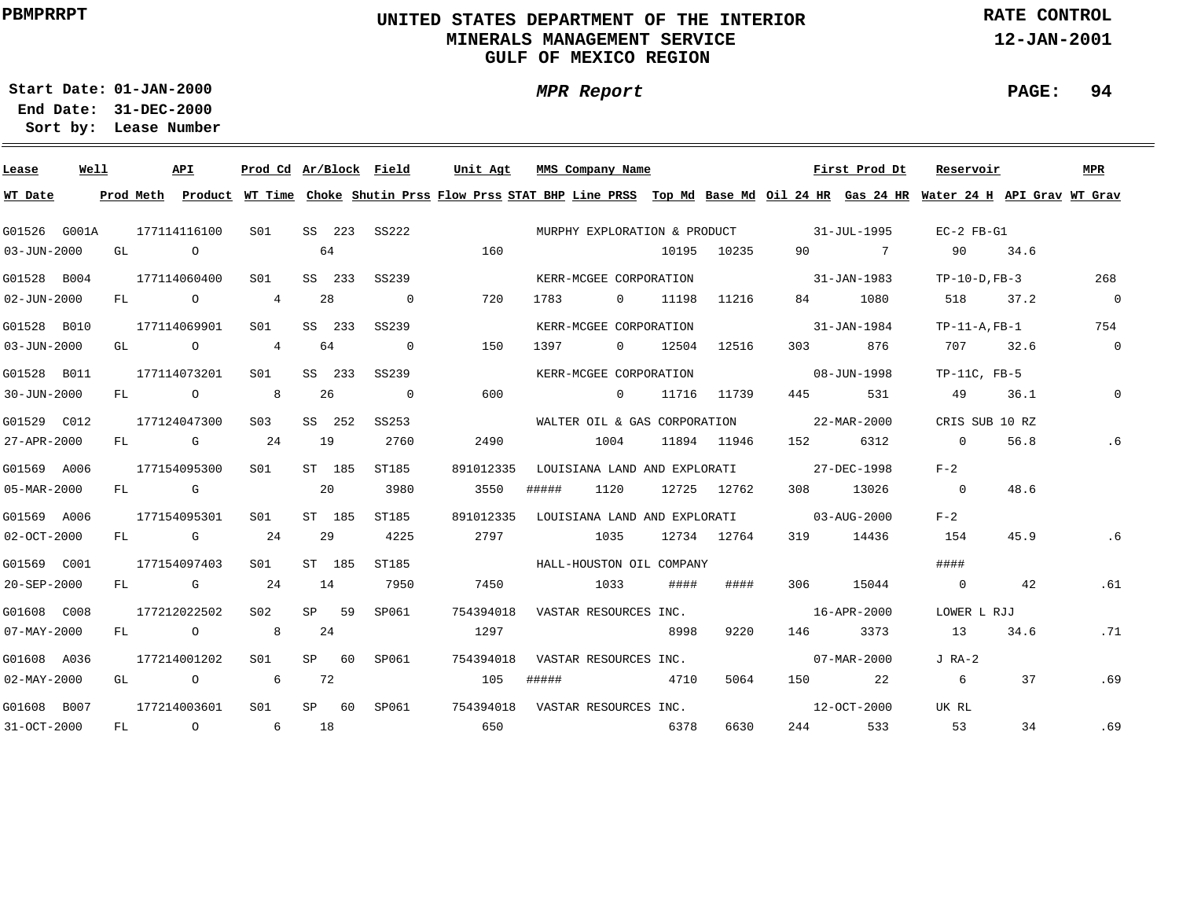### **UNITED STATES DEPARTMENT OF THE INTERIOR MINERALS MANAGEMENT SERVICEGULF OF MEXICO REGION**

**MPR Report**

**RATE CONTROL**

**12-JAN-2001**

**PAGE: 94**

**01-JAN-2000Start Date:31-DEC-2000 End Date:** 

| Lease             | Well |     |      | API                                                                                                                                                                                                                            | Prod Cd Ar/Block Field |    |         |                | Unit Agt                                                                                                                                |       | MMS Company Name             |       |             |                                          | First Prod Dt            | Reservoir          |      | <b>MPR</b>     |
|-------------------|------|-----|------|--------------------------------------------------------------------------------------------------------------------------------------------------------------------------------------------------------------------------------|------------------------|----|---------|----------------|-----------------------------------------------------------------------------------------------------------------------------------------|-------|------------------------------|-------|-------------|------------------------------------------|--------------------------|--------------------|------|----------------|
| WT Date           |      |     |      |                                                                                                                                                                                                                                |                        |    |         |                | Prod Meth Product WT Time Choke Shutin Prss Flow Prss STAT BHP Line PRSS Top Md Base Md Oil 24 HR Gas 24 HR Water 24 H API Grav WT Grav |       |                              |       |             |                                          |                          |                    |      |                |
| G01526 G001A      |      |     |      | 177114116100                                                                                                                                                                                                                   | S01                    |    |         | SS 223 SS222   |                                                                                                                                         |       |                              |       |             | MURPHY EXPLORATION & PRODUCT 31-JUL-1995 |                          | $EC-2$ $FB-G1$     |      |                |
| $03 - JUN - 2000$ |      | GL  |      | $\overline{a}$                                                                                                                                                                                                                 |                        |    | 64      |                | 160                                                                                                                                     |       |                              | 10195 | 10235       | 90                                       | $\overline{7}$           | 90                 | 34.6 |                |
| G01528 B004       |      |     |      | 177114060400                                                                                                                                                                                                                   | S01                    |    | SS 233  | SS239          |                                                                                                                                         |       | KERR-MCGEE CORPORATION       |       |             | $31 - JAN - 1983$                        |                          | $TP-10-D$ , $FB-3$ |      | 268            |
| $02 - JUN - 2000$ |      | FL  |      | $\overline{O}$                                                                                                                                                                                                                 | $\overline{4}$         |    | 28      | $\overline{0}$ | 720                                                                                                                                     | 1783  | $\Omega$                     | 11198 | 11216       | 84                                       | 1080                     | 518                | 37.2 | $\overline{0}$ |
| G01528 B010       |      |     |      | 177114069901                                                                                                                                                                                                                   | S01                    |    | SS 233  | SS239          |                                                                                                                                         |       | KERR-MCGEE CORPORATION       |       |             |                                          | 31-JAN-1984              | $TP-11-A$ , $FB-1$ |      | 754            |
| $03 - JUN - 2000$ |      | GL  |      | $\circ$                                                                                                                                                                                                                        | $\overline{4}$         |    | 64      | $\Omega$       | 150                                                                                                                                     | 1397  | $\Omega$                     | 12504 | 12516       | 303                                      | 876                      | 707                | 32.6 | $\overline{0}$ |
| G01528 B011       |      |     |      | 177114073201                                                                                                                                                                                                                   | S01                    |    | SS 233  | SS239          |                                                                                                                                         |       | KERR-MCGEE CORPORATION       |       |             |                                          | 08-JUN-1998              | $TP-11C$ , $FB-5$  |      |                |
| 30-JUN-2000       |      | FL  |      | $\overline{O}$                                                                                                                                                                                                                 |                        |    | 26      | $\overline{0}$ | 600                                                                                                                                     |       | $\Omega$                     |       | 11716 11739 | 445                                      | 531                      | 49                 | 36.1 | $\mathbf 0$    |
| G01529 C012       |      |     |      | 177124047300                                                                                                                                                                                                                   | S <sub>03</sub>        |    | SS 252  | SS253          |                                                                                                                                         |       | WALTER OIL & GAS CORPORATION |       |             | $22 - \text{MAR} - 2000$                 |                          | CRIS SUB 10 RZ     |      |                |
| 27-APR-2000       |      | FL  |      | and the control of the control of the control of the control of the control of the control of the control of the control of the control of the control of the control of the control of the control of the control of the cont | 24                     | 19 |         | 2760           | 2490                                                                                                                                    |       | 1004                         |       | 11894 11946 | 152                                      | 6312                     | $\overline{0}$     | 56.8 | . 6            |
| G01569 A006       |      |     |      | 177154095300                                                                                                                                                                                                                   | S01                    |    | ST 185  | ST185          | 891012335                                                                                                                               |       |                              |       |             | LOUISIANA LAND AND EXPLORATI 27-DEC-1998 |                          | $F - 2$            |      |                |
| 05-MAR-2000       |      |     | FL G |                                                                                                                                                                                                                                |                        |    | 20      | 3980           | 3550                                                                                                                                    | ##### | 1120                         |       | 12725 12762 | 308                                      | 13026                    | $\overline{0}$     | 48.6 |                |
| G01569 A006       |      |     |      | 177154095301                                                                                                                                                                                                                   | S01                    |    | ST 185  | ST185          | 891012335                                                                                                                               |       |                              |       |             | LOUISIANA LAND AND EXPLORATI 03-AUG-2000 |                          | $F - 2$            |      |                |
| $02 - OCT - 2000$ |      | FL. |      | $\mathbf G$                                                                                                                                                                                                                    | 24                     |    | 29      | 4225           | 2797                                                                                                                                    |       | 1035                         |       | 12734 12764 | 319                                      | 14436                    | 154                | 45.9 | . 6            |
| G01569 C001       |      |     |      | 177154097403                                                                                                                                                                                                                   | S <sub>01</sub>        |    | ST 185  | ST185          |                                                                                                                                         |       | HALL-HOUSTON OIL COMPANY     |       |             |                                          |                          | ####               |      |                |
| 20-SEP-2000       |      | FL. |      | and the Group of the State of the State of the State of the State of the State of the State of the State of the                                                                                                                | 24                     | 14 |         | 7950           | 7450                                                                                                                                    |       | 1033                         | ####  | ####        | 306                                      | 15044                    | $\overline{0}$     | 42   | .61            |
| G01608 C008       |      |     |      | 177212022502                                                                                                                                                                                                                   | S02                    |    | SP 59   | SP061          | 754394018                                                                                                                               |       | VASTAR RESOURCES INC.        |       |             |                                          | 16-APR-2000              | LOWER L RJJ        |      |                |
| $07 - MAX - 2000$ |      | FL  |      | $\overline{O}$                                                                                                                                                                                                                 | 8 <sup>1</sup>         |    | -24     |                | 1297                                                                                                                                    |       |                              | 8998  | 9220        | 146                                      | 3373                     | 13                 | 34.6 | .71            |
| G01608 A036       |      |     |      | 177214001202                                                                                                                                                                                                                   | S01                    |    | $SP$ 60 | SP061          | 754394018                                                                                                                               |       | VASTAR RESOURCES INC.        |       |             |                                          | $07 - \text{MAR} - 2000$ | $J$ RA-2           |      |                |
| $02 - MAX - 2000$ |      | GL  |      | $\begin{array}{ccc} & & \circ & & \circ & \circ \end{array}$                                                                                                                                                                   |                        |    | 72      |                | 105                                                                                                                                     | ##### | 4710                         |       | 5064        | 150                                      | 22                       | 6                  | 37   | .69            |
| G01608 B007       |      |     |      | 177214003601                                                                                                                                                                                                                   | S01                    |    | $SP$ 60 | SP061          | 754394018                                                                                                                               |       | VASTAR RESOURCES INC.        |       |             |                                          | 12-OCT-2000              | UK RL              |      |                |
| 31-OCT-2000       |      | FL  |      | $\overline{O}$                                                                                                                                                                                                                 | $6\overline{6}$        |    | 18      |                | 650                                                                                                                                     |       | 6378                         |       | 6630        | 244                                      | 533                      | 53                 | 34   | .69            |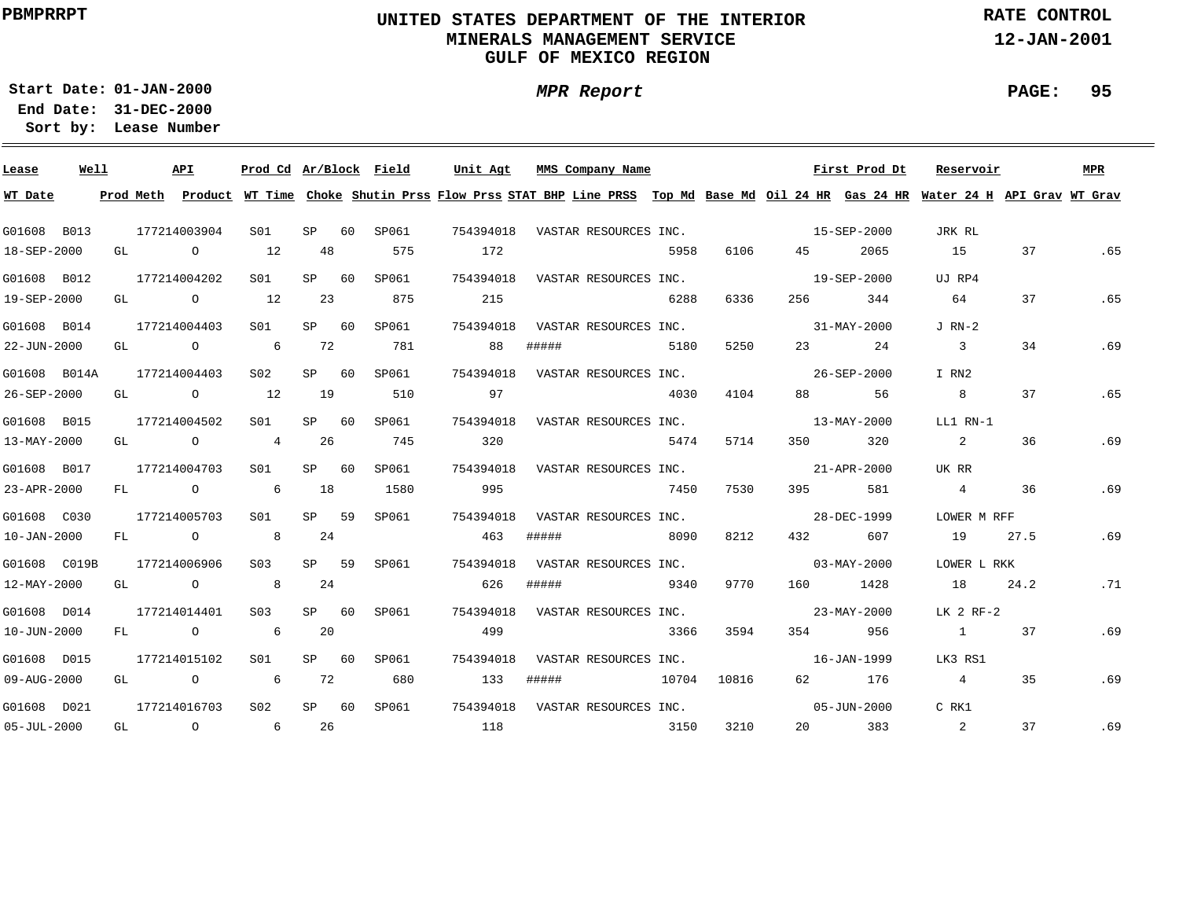### **UNITED STATES DEPARTMENT OF THE INTERIOR MINERALS MANAGEMENT SERVICEGULF OF MEXICO REGION**

**MPR Report**

**RATE CONTROL**

**12-JAN-2001**

**PAGE: 95**

**01-JAN-2000Start Date:31-DEC-2000 End Date:** 

| Lease             | Well |    | API                       | Prod Cd Ar/Block Field |             |             | Unit Agt MMS Company Name       |           |                       |      |           |                                             | First Prod Dt            | Reservoir                                                                                                                                                                                                                                                                                                                                                                           |      | MPR |
|-------------------|------|----|---------------------------|------------------------|-------------|-------------|---------------------------------|-----------|-----------------------|------|-----------|---------------------------------------------|--------------------------|-------------------------------------------------------------------------------------------------------------------------------------------------------------------------------------------------------------------------------------------------------------------------------------------------------------------------------------------------------------------------------------|------|-----|
| WT Date           |      |    |                           |                        |             |             |                                 |           |                       |      |           |                                             |                          | Prod Meth Product WT Time Choke Shutin Prss Flow Prss STAT BHP Line PRSS Top Md Base Md Oil 24 HR Gas 24 HR Water 24 H API Grav WT Grav                                                                                                                                                                                                                                             |      |     |
| G01608 B013       |      |    | 177214003904              | S01                    | SP 60       | SP061       |                                 |           |                       |      |           | 754394018 VASTAR RESOURCES INC. 15-SEP-2000 |                          | JRK RL                                                                                                                                                                                                                                                                                                                                                                              |      |     |
| $18 - SEP - 2000$ |      |    | GL 0 12                   |                        | 48          | 575         | 172                             |           |                       | 5958 | 6106      | 45 — 10                                     | 2065                     | 15                                                                                                                                                                                                                                                                                                                                                                                  | 37   | .65 |
| G01608 B012       |      |    | 177214004202              | S <sub>01</sub>        | $SP$ 60     | SP061       | 754394018 VASTAR RESOURCES INC. |           |                       |      |           |                                             | 19-SEP-2000              | UJ RP4                                                                                                                                                                                                                                                                                                                                                                              |      |     |
| 19-SEP-2000       |      |    | GL 0 12                   |                        | 23          | 875         | 215                             |           |                       | 6288 | 6336      |                                             | 344                      | 64                                                                                                                                                                                                                                                                                                                                                                                  | 37   | .65 |
| G01608 B014       |      |    | 177214004403              | S <sub>01</sub>        | $SP$ 60     | SP061       | 754394018 VASTAR RESOURCES INC. |           |                       |      |           | $31 - \text{MAX} - 2000$                    |                          | $J$ RN-2                                                                                                                                                                                                                                                                                                                                                                            |      |     |
| 22-JUN-2000       |      |    | GL O 6                    |                        | 72          | 781         | 88                              | #####     |                       | 5180 | 5250      |                                             | 23 24                    | $\overline{3}$                                                                                                                                                                                                                                                                                                                                                                      | 34   | .69 |
|                   |      |    | G01608 B014A 177214004403 | S02                    | SP 60 SP061 |             | 754394018 VASTAR RESOURCES INC. |           |                       |      |           | $26 - SEP - 2000$                           |                          | I RN2                                                                                                                                                                                                                                                                                                                                                                               |      |     |
| 26-SEP-2000       |      | GL | $\sim$ 0 $\sim$ 12        |                        | 19          | 510         | 97                              |           |                       | 4030 | 4104      | 88 — 100                                    | 56                       | 8                                                                                                                                                                                                                                                                                                                                                                                   | 37   | .65 |
| G01608 B015       |      |    | 177214004502              | S01 <b>S</b>           | SP 60       | SP061       | 754394018                       |           | VASTAR RESOURCES INC. |      |           |                                             | $13 - \text{MAX} - 2000$ | LL1 RN-1                                                                                                                                                                                                                                                                                                                                                                            |      |     |
| $13 - MAX - 2000$ |      | GL | $\circ$ 4 26              |                        |             | 745         | 320                             |           |                       | 5474 | 5714      | 350                                         | 320                      | 2                                                                                                                                                                                                                                                                                                                                                                                   | 36   | .69 |
| G01608 B017       |      |    | 177214004703              | S01                    | SP 60       | SP061       | 754394018                       |           |                       |      |           | VASTAR RESOURCES INC. 21-APR-2000           |                          | UK RR                                                                                                                                                                                                                                                                                                                                                                               |      |     |
| 23-APR-2000       |      |    | $FL$ 0 6                  |                        | 18          | 1580        | 995                             |           |                       | 7450 | 7530      |                                             | 395 581                  | $4\phantom{.0000}\phantom{.0000}\phantom{.0000}\phantom{.0000}\phantom{.0000}\phantom{.0000}\phantom{.0000}\phantom{.0000}\phantom{.0000}\phantom{.0000}\phantom{.0000}\phantom{.0000}\phantom{.0000}\phantom{.0000}\phantom{.0000}\phantom{.0000}\phantom{.0000}\phantom{.0000}\phantom{.0000}\phantom{.0000}\phantom{.0000}\phantom{.0000}\phantom{.0000}\phantom{.0000}\phantom$ | 36   | .69 |
| G01608 C030       |      |    | 177214005703              | S01 <b>S</b>           | SP 59       | SP061       | 754394018                       |           | VASTAR RESOURCES INC. |      |           | 28-DEC-1999                                 |                          | LOWER M RFF                                                                                                                                                                                                                                                                                                                                                                         |      |     |
| $10 - JAN - 2000$ |      |    | FL 0 8 24                 |                        |             |             | 463                             | #####     | 8090                  |      | 8212      | 432                                         | 607                      | 19                                                                                                                                                                                                                                                                                                                                                                                  | 27.5 | .69 |
| G01608 C019B      |      |    | 177214006906              | S03 SP 59              |             | SP061       | 754394018 VASTAR RESOURCES INC. |           |                       |      |           | $03 - MAX - 2000$                           |                          | LOWER L RKK                                                                                                                                                                                                                                                                                                                                                                         |      |     |
| 12-MAY-2000       |      |    | GL 0 8 24                 |                        |             |             | 626                             | #####     |                       |      | 9340 9770 |                                             | 160 1428                 | 18                                                                                                                                                                                                                                                                                                                                                                                  | 24.2 | .71 |
| G01608 D014       |      |    | 177214014401              | S03 SP 60              |             | SP061       | 754394018 VASTAR RESOURCES INC. |           |                       |      |           |                                             | 23-MAY-2000              | LK 2 RF-2                                                                                                                                                                                                                                                                                                                                                                           |      |     |
| $10 - JUN - 2000$ |      |    | $FL$ 0 6                  |                        | 20          |             | 499                             |           |                       | 3366 | 3594      |                                             | 354 956                  | $\sim$ 1                                                                                                                                                                                                                                                                                                                                                                            | 37   | .69 |
| G01608 D015       |      |    | 177214015102              | S01 <b>S</b>           | SP 60       | SP061       | 754394018                       |           | VASTAR RESOURCES INC. |      |           | $16 - JAN - 1999$                           |                          | LK3 RS1                                                                                                                                                                                                                                                                                                                                                                             |      |     |
| 09-AUG-2000       |      |    | $GL$ 0 6                  |                        | 72          | 680         |                                 | 133 ##### | 10704 10816           |      |           | 62 — 10                                     | 176                      | $4\overline{4}$                                                                                                                                                                                                                                                                                                                                                                     | 35   | .69 |
| G01608 D021       |      |    | 177214016703              | S <sub>02</sub>        |             | SP 60 SP061 |                                 |           |                       |      |           |                                             |                          | C RK1                                                                                                                                                                                                                                                                                                                                                                               |      |     |
| $05 - JUL - 2000$ |      |    |                           |                        |             |             | GL 0 6 26 118 26 3150           |           |                       |      | 3210      |                                             | 20 383                   | $\overline{\phantom{a}}$ 2                                                                                                                                                                                                                                                                                                                                                          | 37   | .69 |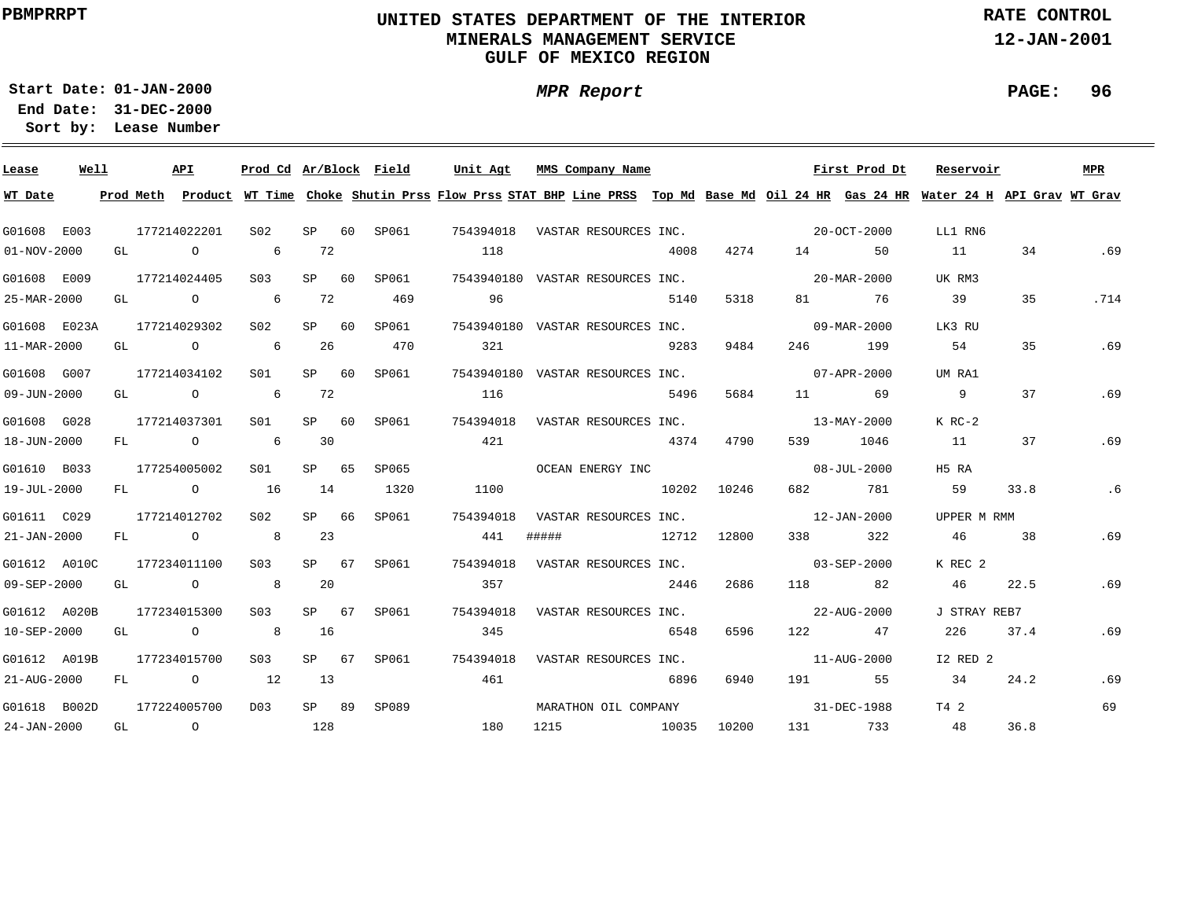### **UNITED STATES DEPARTMENT OF THE INTERIOR MINERALS MANAGEMENT SERVICEGULF OF MEXICO REGION**

**MPR Report**

**RATE CONTROL**

**12-JAN-2001**

**01-JAN-2000Start Date:31-DEC-2000 End Date:** 

**Lease Number Sort by:**

| Lease                     | Well |    | API                                                  | Prod Cd Ar/Block Field |         |             | Unit Agt        |       | MMS Company Name                 |      |       |          | First Prod Dt                               | Reservoir                                                                                                                               |      | MPR  |
|---------------------------|------|----|------------------------------------------------------|------------------------|---------|-------------|-----------------|-------|----------------------------------|------|-------|----------|---------------------------------------------|-----------------------------------------------------------------------------------------------------------------------------------------|------|------|
| WT Date                   |      |    |                                                      |                        |         |             |                 |       |                                  |      |       |          |                                             | Prod Meth Product WT Time Choke Shutin Prss Flow Prss STAT BHP Line PRSS Top Md Base Md Oil 24 HR Gas 24 HR Water 24 H API Grav WT Grav |      |      |
| G01608 E003               |      |    | 177214022201                                         | S02                    | SP 60   | SP061       |                 |       |                                  |      |       |          | 754394018 VASTAR RESOURCES INC. 20-OCT-2000 | LL1 RN6                                                                                                                                 |      |      |
| 01-NOV-2000               |      | GL | $\overline{O}$                                       | 6 72                   |         |             | 118             |       |                                  | 4008 | 4274  |          | 50                                          | 11                                                                                                                                      | 34   | .69  |
| G01608 E009               |      |    | 177214024405                                         | S <sub>03</sub>        |         | SP 60 SP061 |                 |       | 7543940180 VASTAR RESOURCES INC. |      |       |          | $20 - \text{MAR} - 2000$                    | UK RM3                                                                                                                                  |      |      |
| 25-MAR-2000               |      |    | GL $\qquad \qquad \begin{matrix} 0 & 6 \end{matrix}$ |                        | 72      | 469         | 96              |       |                                  | 5140 | 5318  |          | 81 76                                       | 39                                                                                                                                      | 35   | .714 |
| G01608 E023A              |      |    | 177214029302                                         | S02 <b>S</b>           |         | SP 60 SP061 |                 |       | 7543940180 VASTAR RESOURCES INC. |      |       |          | $09 - \text{MAR} - 2000$                    | LK3 RU                                                                                                                                  |      |      |
| 11-MAR-2000               |      |    | GL $\qquad \qquad 0 \qquad \qquad 6$                 |                        | 26      | 470         | 321             |       |                                  | 9283 | 9484  | 246 2012 | 199                                         | 54                                                                                                                                      | 35   | .69  |
| G01608 G007               |      |    | 177214034102                                         | S01                    |         | SP 60 SP061 |                 |       | 7543940180 VASTAR RESOURCES INC. |      |       |          | $07 - APR - 2000$                           | UM RA1                                                                                                                                  |      |      |
| 09-JUN-2000               |      |    |                                                      | GL 0 6 72              |         |             | 116             |       |                                  | 5496 | 5684  |          | 11 69                                       | 9                                                                                                                                       | 37   | .69  |
| G01608 G028               |      |    | 177214037301                                         | S01                    |         | SP 60 SP061 | 754394018       |       | VASTAR RESOURCES INC.            |      |       |          | 13-MAY-2000                                 | K RC-2                                                                                                                                  |      |      |
| 18-JUN-2000               |      |    | $FL$ 0 6                                             |                        | 30      |             | 421             |       | 4374                             |      | 4790  |          | 539 1046                                    | 11                                                                                                                                      | 37   | .69  |
| G01610 B033               |      |    | 177254005002                                         | S01                    | SP 65   | SP065       |                 |       |                                  |      |       |          | OCEAN ENERGY INC 08-JUL-2000                | H5 RA                                                                                                                                   |      |      |
| 19-JUL-2000               |      |    | FL 0 16                                              |                        | 14      | 1320        | 1100            |       | 10202 10246                      |      |       |          | 682 781                                     | 59                                                                                                                                      | 33.8 | .6   |
| G01611 C029               |      |    | 177214012702                                         | S02 <b>S</b>           | $SP$ 66 | SP061       | 754394018       |       |                                  |      |       |          | VASTAR RESOURCES INC. 12-JAN-2000           | UPPER M RMM                                                                                                                             |      |      |
| 21-JAN-2000               |      |    |                                                      | FL 0 8 23              |         |             | 441             | ##### | 12712 12800                      |      |       |          | 322<br>338 339                              | 46                                                                                                                                      | 38   | .69  |
| G01612 A010C              |      |    | 177234011100                                         | S <sub>03</sub>        | SP 67   | SP061       | 754394018       |       |                                  |      |       |          | VASTAR RESOURCES INC. 603-SEP-2000          | K REC 2                                                                                                                                 |      |      |
| 09-SEP-2000               |      |    |                                                      | GL 0 8 20              |         |             | 357             |       |                                  | 2446 | 2686  |          | 118 82                                      | 46                                                                                                                                      | 22.5 | .69  |
| G01612 A020B              |      |    | 177234015300                                         | S <sub>03</sub>        | SP 67   | SP061       |                 |       | 754394018 VASTAR RESOURCES INC.  |      |       |          | 22-AUG-2000                                 | J STRAY REB7                                                                                                                            |      |      |
| 10-SEP-2000               |      |    | GL O                                                 | 8 16                   |         |             | 345             |       |                                  | 6548 | 6596  |          | 122 47                                      | 226                                                                                                                                     | 37.4 | .69  |
| G01612 A019B              |      |    | 177234015700                                         | S <sub>03</sub>        | SP 67   |             | SP061 754394018 |       | VASTAR RESOURCES INC.            |      |       |          | 11-AUG-2000                                 | I2 RED 2                                                                                                                                |      |      |
| 21-AUG-2000               |      | FL | $\circ$ 12                                           |                        | 13      |             | 461             |       |                                  | 6896 | 6940  |          | 191 55                                      | 34                                                                                                                                      | 24.2 | .69  |
| G01618 B002D 177224005700 |      |    |                                                      | D03                    | SP 89   | SP089       |                 |       |                                  |      |       |          | MARATHON OIL COMPANY 676 11-DEC-1988        | T4 2                                                                                                                                    |      | 69   |
| 24-JAN-2000               |      |    | GL O                                                 |                        | 128     |             | 180             |       | 1215 10035                       |      | 10200 |          | 131 733                                     | 48                                                                                                                                      | 36.8 |      |

**PAGE: 96**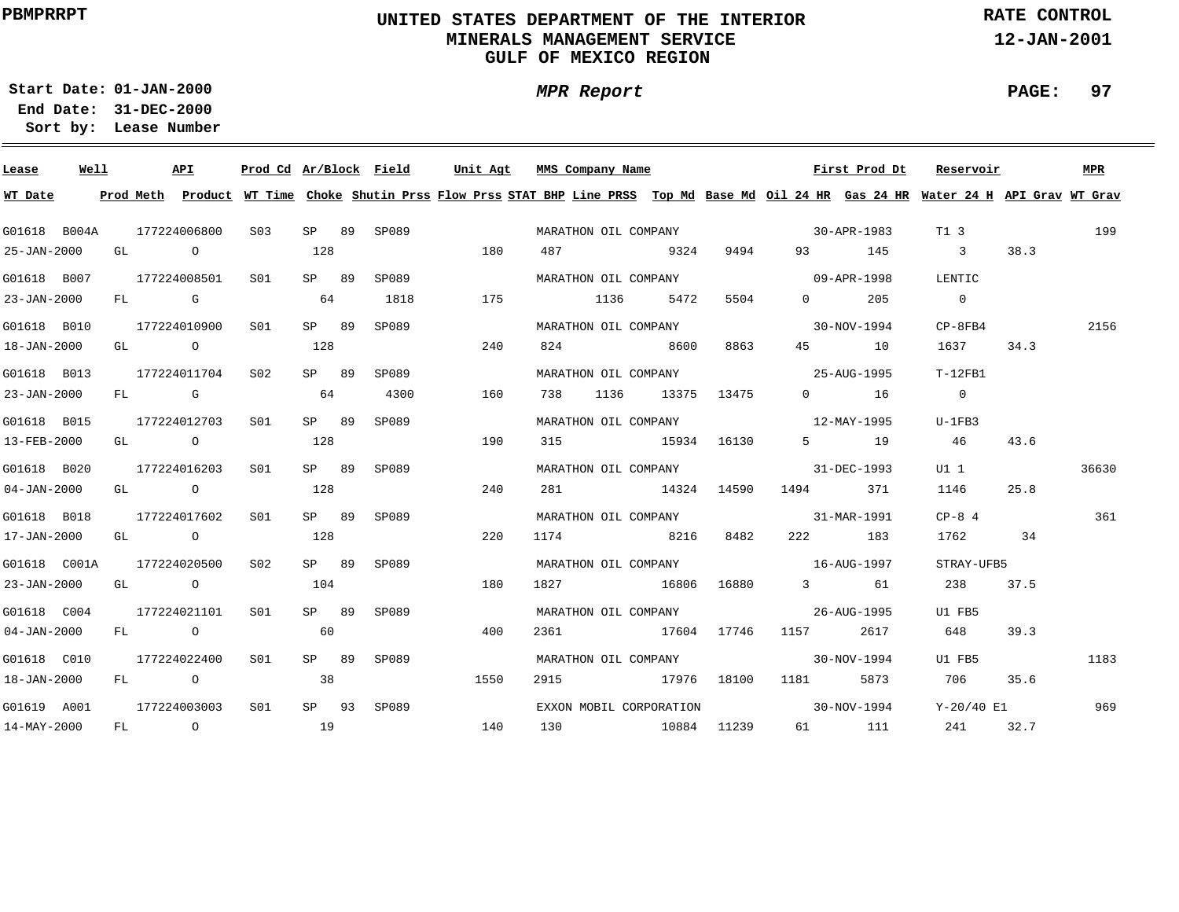### **UNITED STATES DEPARTMENT OF THE INTERIOR MINERALS MANAGEMENT SERVICEGULF OF MEXICO REGION**

**MPR Report**

**RATE CONTROL**

**12-JAN-2001**

**PAGE: 97**

**01-JAN-2000Start Date:31-DEC-2000 End Date:** 

| Lease             | Well | API          |                  |                 |       | Prod Cd Ar/Block Field | Unit Agt                                                                                                                                | MMS Company Name        |      |                                                                                                                                                                                                                                                                                                                                    | First Prod Dt | Reservoir               |      | <b>MPR</b> |
|-------------------|------|--------------|------------------|-----------------|-------|------------------------|-----------------------------------------------------------------------------------------------------------------------------------------|-------------------------|------|------------------------------------------------------------------------------------------------------------------------------------------------------------------------------------------------------------------------------------------------------------------------------------------------------------------------------------|---------------|-------------------------|------|------------|
| WT Date           |      |              |                  |                 |       |                        | Prod Meth Product WT Time Choke Shutin Prss Flow Prss STAT BHP Line PRSS Top Md Base Md Oil 24 HR Gas 24 HR Water 24 H API Grav WT Grav |                         |      |                                                                                                                                                                                                                                                                                                                                    |               |                         |      |            |
| G01618 B004A      |      | 177224006800 |                  | S03             | SP 89 | SP089                  |                                                                                                                                         |                         |      | MARATHON OIL COMPANY 30-APR-1983                                                                                                                                                                                                                                                                                                   |               | T1 3                    |      | 199        |
| 25-JAN-2000       |      | GL O         |                  |                 | 128   |                        | 180                                                                                                                                     | 487 9324                | 9494 |                                                                                                                                                                                                                                                                                                                                    | 93 145        | $\overline{\mathbf{3}}$ | 38.3 |            |
| G01618 B007       |      |              | 177224008501     | S01 <b>S</b>    | SP 89 | SP089                  |                                                                                                                                         |                         |      | MARATHON OIL COMPANY 09-APR-1998                                                                                                                                                                                                                                                                                                   |               | LENTIC                  |      |            |
| 23-JAN-2000       |      |              |                  | FL G 64         |       | 1818                   | 175                                                                                                                                     | 1136 5472               | 5504 | $\overline{0}$ and $\overline{0}$ and $\overline{0}$ and $\overline{0}$ and $\overline{0}$ and $\overline{0}$ and $\overline{0}$ and $\overline{0}$ and $\overline{0}$ and $\overline{0}$ and $\overline{0}$ and $\overline{0}$ and $\overline{0}$ and $\overline{0}$ and $\overline{0}$ and $\overline{0}$ and $\overline{0}$ and | 205           | $\overline{0}$          |      |            |
| G01618 B010       |      |              | 177224010900 S01 |                 | SP 89 | SP089                  |                                                                                                                                         | MARATHON OIL COMPANY    |      | $30 - NOV - 1994$                                                                                                                                                                                                                                                                                                                  |               | $CP-8FB4$               |      | 2156       |
| 18-JAN-2000       |      |              |                  | GL 0 128        |       |                        | 240                                                                                                                                     | 824 8600                | 8863 |                                                                                                                                                                                                                                                                                                                                    | 45 10         | 1637                    | 34.3 |            |
| G01618 B013       |      |              | 177224011704 S02 |                 | SP 89 | SP089                  |                                                                                                                                         |                         |      | MARATHON OIL COMPANY 25-AUG-1995                                                                                                                                                                                                                                                                                                   |               | $T-12FB1$               |      |            |
| 23-JAN-2000       |      |              |                  | FL G 64         |       | 4300                   | 160                                                                                                                                     | 738 1136 13375 13475    |      |                                                                                                                                                                                                                                                                                                                                    | $0 \t\t 16$   | $\overline{0}$          |      |            |
| G01618 B015       |      |              | 177224012703 S01 |                 | SP 89 | SP089                  |                                                                                                                                         |                         |      | MARATHON OIL COMPANY 12-MAY-1995                                                                                                                                                                                                                                                                                                   |               | $U-1FB3$                |      |            |
| 13-FEB-2000       |      | GL O         |                  |                 | 128   |                        | 190                                                                                                                                     | 315 15934 16130         |      |                                                                                                                                                                                                                                                                                                                                    | 5 19          | 46                      | 43.6 |            |
| G01618 B020       |      | 177224016203 |                  | S01             | SP 89 | SP089                  |                                                                                                                                         |                         |      | MARATHON OIL COMPANY 31-DEC-1993                                                                                                                                                                                                                                                                                                   |               | $U1$ 1                  |      | 36630      |
| $04 - JAN - 2000$ |      |              | GL O             |                 | 128   |                        | 240                                                                                                                                     |                         |      | 281 14324 14590 1494 371                                                                                                                                                                                                                                                                                                           |               | 1146                    | 25.8 |            |
| G01618 B018       |      | 177224017602 |                  | SO1             | SP 89 | SP089                  |                                                                                                                                         |                         |      | MARATHON OIL COMPANY 31-MAR-1991                                                                                                                                                                                                                                                                                                   |               | $CP-8$ 4                |      | 361        |
| 17-JAN-2000       |      | GL O         |                  |                 | 128   |                        | 220                                                                                                                                     | 1174 8216 8482          |      |                                                                                                                                                                                                                                                                                                                                    | 222 183       | 1762 34                 |      |            |
| G01618 C001A      |      | 177224020500 |                  | S02             | SP 89 | SP089                  |                                                                                                                                         |                         |      | MARATHON OIL COMPANY 16-AUG-1997                                                                                                                                                                                                                                                                                                   |               | STRAY-UFB5              |      |            |
| 23-JAN-2000       |      | GL O         |                  |                 | 104   |                        | 180                                                                                                                                     |                         |      | 1827 16806 16880 3 61                                                                                                                                                                                                                                                                                                              |               | 238                     | 37.5 |            |
| G01618 C004       |      | 177224021101 |                  | S01             | SP 89 | SP089                  |                                                                                                                                         |                         |      | MARATHON OIL COMPANY 26-AUG-1995                                                                                                                                                                                                                                                                                                   |               | U1 FB5                  |      |            |
| $04 - JAN - 2000$ |      | FL O         |                  | 60              |       |                        | 400                                                                                                                                     |                         |      | 2361 17604 17746 1157 2617                                                                                                                                                                                                                                                                                                         |               | 648                     | 39.3 |            |
| G01618 C010       |      | 177224022400 |                  | S01 <b>S</b>    | SP 89 | SP089                  |                                                                                                                                         |                         |      | MARATHON OIL COMPANY 30-NOV-1994                                                                                                                                                                                                                                                                                                   |               | U1 FB5                  |      | 1183       |
| 18-JAN-2000       |      | FL O         |                  | $\sim$ 38       |       |                        | 1550                                                                                                                                    |                         |      | 2915 17976 18100 1181 5873                                                                                                                                                                                                                                                                                                         |               | 706                     | 35.6 |            |
| G01619 A001       |      | 177224003003 |                  | S <sub>01</sub> |       | SP 93 SP089            |                                                                                                                                         | EXXON MOBIL CORPORATION |      | $30 - NOV - 1994$                                                                                                                                                                                                                                                                                                                  |               | $Y - 20/40$ E1          |      | 969        |
| 14-MAY-2000       |      |              |                  | FL 0 19         |       |                        | 140                                                                                                                                     | 130 10884 11239         |      |                                                                                                                                                                                                                                                                                                                                    | 61 111        | 241                     | 32.7 |            |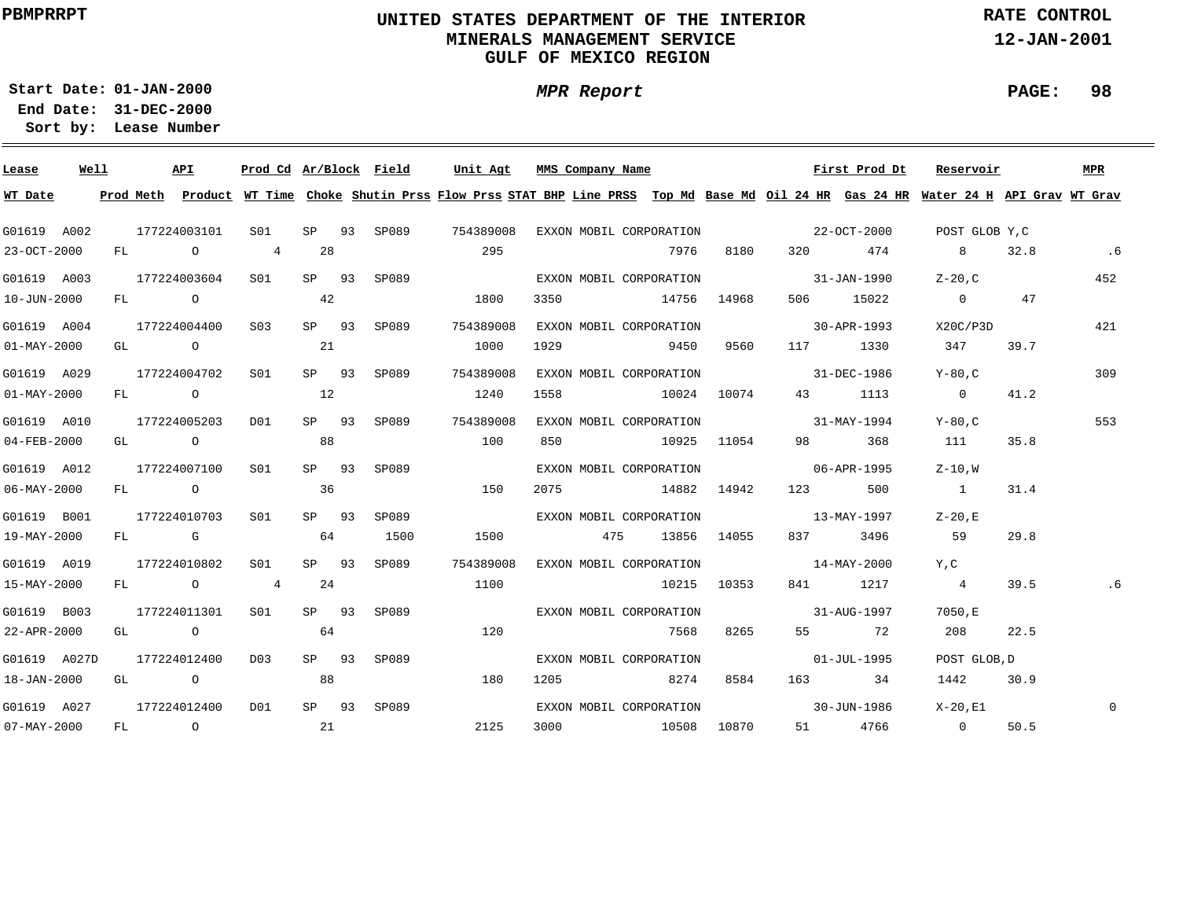### **UNITED STATES DEPARTMENT OF THE INTERIOR MINERALS MANAGEMENT SERVICEGULF OF MEXICO REGION**

**MPR Report**

**RATE CONTROL**

**12-JAN-2001**

**PAGE: 98**

**01-JAN-2000Start Date:31-DEC-2000 End Date:** 

| Lease                    | Well |  | API          | Prod Cd Ar/Block Field |         |             | Unit Agt                                                                                                                                | MMS Company Name                    |             |             |                          | First Prod Dt | Reservoir      |      | MPR      |
|--------------------------|------|--|--------------|------------------------|---------|-------------|-----------------------------------------------------------------------------------------------------------------------------------------|-------------------------------------|-------------|-------------|--------------------------|---------------|----------------|------|----------|
| WT Date                  |      |  |              |                        |         |             | Prod Meth Product WT Time Choke Shutin Prss Flow Prss STAT BHP Line PRSS Top Md Base Md Oil 24 HR Gas 24 HR Water 24 H API Grav WT Grav |                                     |             |             |                          |               |                |      |          |
| G01619 A002              |      |  | 177224003101 | S01 <b>S</b>           |         | SP 93 SP089 | 754389008                                                                                                                               | EXXON MOBIL CORPORATION             |             |             | $22 - OCT - 2000$        |               | POST GLOB Y,C  |      |          |
| 23-OCT-2000              |      |  | FL O 4       |                        | 28      |             | 295                                                                                                                                     |                                     | 7976        |             | 8180 320 474             |               | 8              | 32.8 | .6       |
| G01619 A003              |      |  | 177224003604 | S01                    | SP 93   | SP089       |                                                                                                                                         | EXXON MOBIL CORPORATION             |             |             | $31 - JAN - 1990$        |               | $Z - 20$ , C   |      | 452      |
| 10-JUN-2000              |      |  | FL O         |                        | 42      |             | 1800                                                                                                                                    | 3350                                | 14756 14968 |             | 506 700                  | 15022         | $\overline{0}$ | 47   |          |
| G01619 A004              |      |  | 177224004400 | S03                    | SP 93   | SP089       | 754389008                                                                                                                               | EXXON MOBIL CORPORATION             |             |             | $30 - APR - 1993$        |               | X20C/P3D       |      | 421      |
| $01 - MAX - 2000$        |      |  | GL O         |                        | 21      |             | 1000                                                                                                                                    | 1929                                | 9450        | 9560        |                          | 117 1330      | 347            | 39.7 |          |
| G01619 A029              |      |  | 177224004702 | S01                    |         | SP 93 SP089 | 754389008                                                                                                                               | EXXON MOBIL CORPORATION             |             |             | 31-DEC-1986              |               | Y-80.C         |      | 309      |
| $01 - MAX - 2000$        |      |  | FL O         |                        | 12      |             | 1240                                                                                                                                    | 1558                                |             | 10024 10074 | 43                       | 1113          | $\sim$ 0       | 41.2 |          |
| G01619 A010              |      |  | 177224005203 | D01                    | $SP$ 93 | SP089       | 754389008                                                                                                                               | EXXON MOBIL CORPORATION 31-MAY-1994 |             |             |                          |               | Y-80.C         |      | 553      |
| 04-FEB-2000              |      |  | GL O         |                        | 88      |             | 100                                                                                                                                     | 850 10925 11054                     |             |             |                          | 98 368        | 111            | 35.8 |          |
| G01619 A012              |      |  | 177224007100 | S01                    | $SP$ 93 | SP089       |                                                                                                                                         | EXXON MOBIL CORPORATION             |             |             | $06 - APR - 1995$        |               | Z-10.W         |      |          |
| 06-MAY-2000              |      |  | FL O         |                        | 36      |             | 150                                                                                                                                     | 2075 14882 14942 123                |             |             |                          | 500           | $\sim$ 1       | 31.4 |          |
| G01619 B001              |      |  | 177224010703 | S01                    | SP 93   | SP089       |                                                                                                                                         | EXXON MOBIL CORPORATION             |             |             | $13 - \text{MAX} - 1997$ |               | $Z-20$ .E      |      |          |
| 19-MAY-2000              |      |  | FL G         |                        | 64      | 1500        | 1500                                                                                                                                    | 475                                 |             | 13856 14055 | 837 — 100                | 3496          | 59             | 29.8 |          |
| G01619 A019              |      |  | 177224010802 | S01                    | SP 93   | SP089       | 754389008                                                                                                                               | EXXON MOBIL CORPORATION             |             |             | $14 - \text{MAX} - 2000$ |               | Y, C           |      |          |
| 15-MAY-2000              |      |  | FL O         | 4                      | 24      |             | 1100                                                                                                                                    |                                     |             | 10215 10353 |                          | 841 1217      | $\overline{4}$ | 39.5 |          |
| G01619 B003              |      |  | 177224011301 | S01                    | SP 93   | SP089 SP    |                                                                                                                                         | EXXON MOBIL CORPORATION             |             |             | $31 - \text{AUG} - 1997$ |               | 7050,E         |      |          |
| 22-APR-2000              |      |  | GL O         |                        | 64      |             | 120                                                                                                                                     |                                     | 7568        | 8265        |                          | 55 72         | 208            | 22.5 |          |
| G01619 A027D             |      |  | 177224012400 | D03                    | SP 93   | SP089       |                                                                                                                                         | EXXON MOBIL CORPORATION             |             |             | 01-JUL-1995              |               | POST GLOB, D   |      |          |
| 18-JAN-2000              |      |  | GL O         |                        | 88      |             | 180                                                                                                                                     | 1205 8274                           |             | 8584        |                          | 163 34        | 1442           | 30.9 |          |
| G01619 A027              |      |  | 177224012400 | D01                    | $SP$ 93 | SP089       |                                                                                                                                         | EXXON MOBIL CORPORATION             |             |             | $30 - JUN - 1986$        |               | X-20.E1        |      | $\Omega$ |
| $07 - \text{MAX} - 2000$ |      |  | FL O         |                        | 21      |             | 2125                                                                                                                                    | 3000 10508 10870                    |             |             |                          | 51 4766       | $\overline{0}$ | 50.5 |          |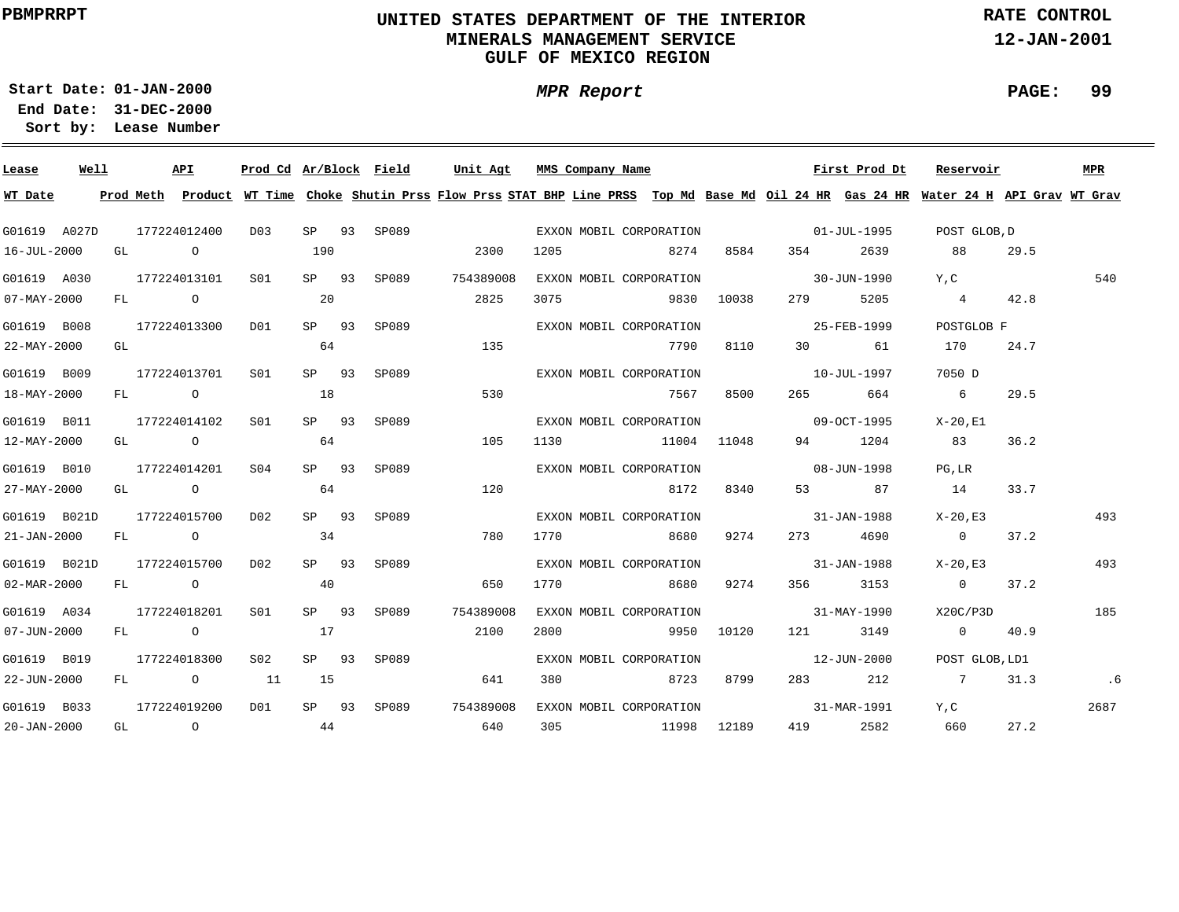### **UNITED STATES DEPARTMENT OF THE INTERIOR MINERALS MANAGEMENT SERVICEGULF OF MEXICO REGION**

**MPR Report**

**RATE CONTROL**

**12-JAN-2001**

**PAGE: 99**

**01-JAN-2000Start Date:31-DEC-2000 End Date:** 

| Lease             | Well |    |      | API              | Prod Cd Ar/Block Field |         |             | Unit Agt                                                                                                                                | MMS Company Name |                         |      |                                                                                                                | First Prod Dt | Reservoir              |      | MPR  |
|-------------------|------|----|------|------------------|------------------------|---------|-------------|-----------------------------------------------------------------------------------------------------------------------------------------|------------------|-------------------------|------|----------------------------------------------------------------------------------------------------------------|---------------|------------------------|------|------|
| WT Date           |      |    |      |                  |                        |         |             | Prod Meth Product WT Time Choke Shutin Prss Flow Prss STAT BHP Line PRSS Top Md Base Md Oil 24 HR Gas 24 HR Water 24 H API Grav WT Grav |                  |                         |      |                                                                                                                |               |                        |      |      |
| G01619 A027D      |      |    |      | 177224012400     | D03                    |         |             | SP 93 SP089                                                                                                                             |                  | EXXON MOBIL CORPORATION |      | $01 - JUL - 1995$                                                                                              |               | POST GLOB.D            |      |      |
| 16-JUL-2000       |      |    | GL O |                  |                        | 190     |             | 2300                                                                                                                                    | 1205             | 8274                    | 8584 | 354 35                                                                                                         | 2639          | 88                     | 29.5 |      |
| G01619 A030       |      |    |      | 177224013101     | SO1                    | SP 93   | SP089       | 754389008                                                                                                                               |                  | EXXON MOBIL CORPORATION |      | $30 - JUN - 1990$                                                                                              |               | Y.C                    |      | 540  |
| $07 - MAX - 2000$ |      |    |      | FL O             |                        | 20      |             | 2825                                                                                                                                    | 3075             | 9830 10038              |      | 279 — 279 — 279 — 279 — 279 — 279 — 279 — 279 — 279 — 279 — 279 — 279 — 279 — 279 — 279 — 279 — 279 — 279 — 27 | 5205          | 4 42.8                 |      |      |
| G01619 B008       |      |    |      | 177224013300 D01 |                        | SP 93   | SP089       |                                                                                                                                         |                  | EXXON MOBIL CORPORATION |      | 25-FEB-1999                                                                                                    |               | POSTGLOB F             |      |      |
| 22-MAY-2000       |      | GL |      |                  |                        | 64      |             | 135                                                                                                                                     |                  | 7790                    | 8110 |                                                                                                                | 30 61         | 170                    | 24.7 |      |
| G01619 B009       |      |    |      | 177224013701     | S01                    |         | SP 93 SP089 |                                                                                                                                         |                  | EXXON MOBIL CORPORATION |      | $10 - JUL - 1997$                                                                                              |               | 7050 D                 |      |      |
| 18-MAY-2000       |      |    |      | FL O             |                        | 18      |             | 530                                                                                                                                     |                  | 7567                    | 8500 | 265                                                                                                            | 664           | $6\overline{6}$        | 29.5 |      |
| G01619 B011       |      |    |      | 177224014102     | S01                    |         | SP 93 SP089 |                                                                                                                                         |                  | EXXON MOBIL CORPORATION |      | $09 - OCT - 1995$                                                                                              |               | X-20.E1                |      |      |
| 12-MAY-2000       |      |    |      | GL O             |                        | 64      |             | 105                                                                                                                                     |                  | 1130 11004 11048        |      |                                                                                                                | 94 1204       | 83                     | 36.2 |      |
| G01619 B010       |      |    |      | 177224014201     | SO(4)                  | SP 93   | SP089       |                                                                                                                                         |                  | EXXON MOBIL CORPORATION |      | $08 - JUN - 1998$                                                                                              |               | PG.LR                  |      |      |
| 27-MAY-2000       |      |    |      | GL O             |                        | 64      |             | 120                                                                                                                                     |                  | 8172                    | 8340 |                                                                                                                | 53 87         | 14                     | 33.7 |      |
| G01619 B021D      |      |    |      | 177224015700     | D02                    | $SP$ 93 | SP089       |                                                                                                                                         |                  | EXXON MOBIL CORPORATION |      | $31 - JAN - 1988$                                                                                              |               | X-20,E3                |      | 493  |
| $21 - JAN - 2000$ |      |    |      | FL O             |                        | 34      |             | 780                                                                                                                                     |                  | 1770 8680               | 9274 |                                                                                                                | 273 4690      | $\sim$ 0               | 37.2 |      |
| G01619 B021D      |      |    |      | 177224015700     | DO 2                   | SP 93   | SP089       |                                                                                                                                         |                  | EXXON MOBIL CORPORATION |      | 31-JAN-1988                                                                                                    |               | X-20,E3                |      | 493  |
| 02-MAR-2000       |      |    |      | FL O             |                        | 40      |             | 650                                                                                                                                     | 1770             | 8680                    | 9274 |                                                                                                                | 356 3153      | $0 \t 37.2$            |      |      |
| G01619 A034       |      |    |      | 177224018201     | S01                    | SP 93   | SP089       | 754389008                                                                                                                               |                  | EXXON MOBIL CORPORATION |      | $31 - MAX - 1990$                                                                                              |               | X20C/P3D               |      | 185  |
| $07 - JUN - 2000$ |      |    |      | $FL$ 0           |                        | 17      |             | 2100                                                                                                                                    | 2800             | 9950 10120              |      |                                                                                                                | 121 3149      | $0 \qquad \qquad 40.9$ |      |      |
| G01619 B019       |      |    |      | 177224018300     | S02                    |         | SP 93 SP089 |                                                                                                                                         |                  | EXXON MOBIL CORPORATION |      | $12 - JUN - 2000$                                                                                              |               | POST GLOB, LD1         |      |      |
| 22-JUN-2000       |      |    |      | FL 0 11          |                        | 15      |             | 641                                                                                                                                     | 380              | 8723                    | 8799 |                                                                                                                | 283 212       | 7 31.3                 |      | .6   |
| G01619 B033       |      |    |      | 177224019200     | 1 הח                   |         |             | SP 93 SP089 754389008                                                                                                                   |                  | EXXON MOBIL CORPORATION |      |                                                                                                                | 31-MAR-1991   | Y.C                    |      | 2687 |
| $20 - JAN - 2000$ |      |    |      | $GL$ 0 44        |                        |         |             | 640                                                                                                                                     |                  | 305 11998 12189         |      | 419                                                                                                            | 2582          | 660                    | 27.2 |      |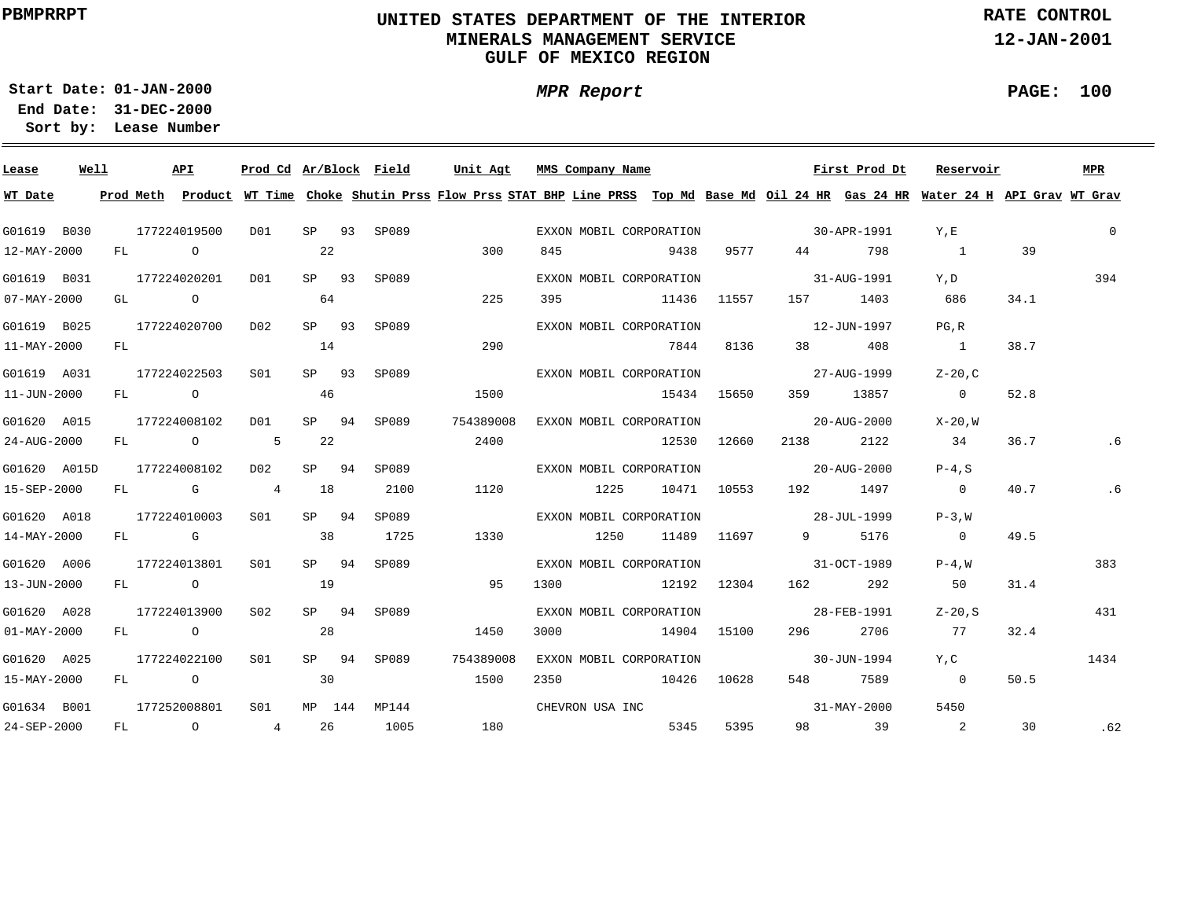### **UNITED STATES DEPARTMENT OF THE INTERIOR MINERALS MANAGEMENT SERVICEGULF OF MEXICO REGION**

**MPR Report**

**RATE CONTROL**

**12-JAN-2001**

**PAGE: 100**

÷

**01-JAN-2000Start Date:31-DEC-2000 End Date:** 

| Lease                    | Well |    |                | API            |                 |         |    | Prod Cd Ar/Block Field |           | Unit Agt MMS Company Name                                                                                                               |             |             |                          | First Prod Dt | Reservoir               |      | MPR      |
|--------------------------|------|----|----------------|----------------|-----------------|---------|----|------------------------|-----------|-----------------------------------------------------------------------------------------------------------------------------------------|-------------|-------------|--------------------------|---------------|-------------------------|------|----------|
| WT Date                  |      |    |                |                |                 |         |    |                        |           | Prod Meth Product WT Time Choke Shutin Prss Flow Prss STAT BHP Line PRSS Top Md Base Md Oil 24 HR Gas 24 HR Water 24 H API Grav WT Grav |             |             |                          |               |                         |      |          |
| G01619 B030              |      |    |                | 177224019500   | DO1             |         |    | SP 93 SP089            |           | EXXON MOBIL CORPORATION                                                                                                                 |             |             | $30 - APR - 1991$        |               | Y, E                    |      | $\Omega$ |
| 12-MAY-2000              |      | FL | $\overline{a}$ |                |                 | 22      |    |                        | 300       | 845                                                                                                                                     | 9438        | 9577        | 44                       | 798           | $\overline{1}$          | 39   |          |
| G01619 B031              |      |    |                | 177224020201   | D01             | SP 93   |    | SP089                  |           | EXXON MOBIL CORPORATION                                                                                                                 |             |             | 31-AUG-1991              |               | Y, D                    |      | 394      |
| $07 - MAX - 2000$        |      | GL |                | $\overline{O}$ |                 | 64      |    |                        | 225       | 395                                                                                                                                     | 11436 11557 |             |                          | 157 1403      | 686                     | 34.1 |          |
| G01619 B025              |      |    |                | 177224020700   | D02             | $SP$ 93 |    | SP089                  |           | EXXON MOBIL CORPORATION                                                                                                                 |             |             |                          | 12-JUN-1997   | PG, R                   |      |          |
| 11-MAY-2000              |      | FL |                |                |                 | 14      |    |                        | 290       |                                                                                                                                         | 7844        | 8136        | 38 — 1                   | 408           | $\overline{1}$          | 38.7 |          |
| G01619 A031              |      |    |                | 177224022503   | S01             | $SP$ 93 |    | SP089                  |           | EXXON MOBIL CORPORATION                                                                                                                 |             |             | $27 - \text{AUG} - 1999$ |               | $Z-20$ , C              |      |          |
| 11-JUN-2000              |      |    |                | FL O           |                 | 46      |    |                        | 1500      |                                                                                                                                         | 15434 15650 |             |                          | 359 13857     | $\overline{0}$          | 52.8 |          |
| G01620 A015              |      |    |                | 177224008102   | D01             | SP      | 94 | SP089                  | 754389008 | EXXON MOBIL CORPORATION                                                                                                                 |             |             | $20 - A$ UG $- 2000$     |               | X-20.W                  |      |          |
| $24 - \text{AUG} - 2000$ |      |    |                | FL 0 5         |                 | 22      |    |                        | 2400      |                                                                                                                                         |             | 12530 12660 | 2138                     | 2122          | 34                      | 36.7 | .6       |
| G01620 A015D             |      |    |                | 177224008102   | D02             | SP 94   |    | SP089                  |           | EXXON MOBIL CORPORATION                                                                                                                 |             |             | $20 - A$ UG $- 2000$     |               | $P-4.S$                 |      |          |
| 15-SEP-2000              |      |    |                | FL G 4         |                 | 18      |    | 2100                   | 1120      | 1225 10471 10553 192 1497                                                                                                               |             |             |                          |               | $\overline{0}$          | 40.7 | .6       |
| G01620 A018              |      |    |                | 177224010003   | S01 <b>S</b>    | $SP$ 94 |    | SP089                  |           | EXXON MOBIL CORPORATION                                                                                                                 |             |             | 28-JUL-1999              |               | $P-3. W$                |      |          |
| 14-MAY-2000              |      |    |                | FL G           |                 | 38      |    | 1725                   | 1330      | 1250                                                                                                                                    |             | 11489 11697 |                          | 9 5176        | $\overline{0}$          | 49.5 |          |
| G01620 A006              |      |    |                | 177224013801   | SO1             | SP 94   |    | SP089                  |           | EXXON MOBIL CORPORATION                                                                                                                 |             |             | $31-9CT-1989$            |               | $P-4. W$                |      | 383      |
| 13-JUN-2000              |      |    | FL O           |                |                 | 19      |    |                        | 95        | 1300                                                                                                                                    | 12192 12304 |             | 162 200                  | 292           | 50                      | 31.4 |          |
| G01620 A028              |      |    |                | 177224013900   | S <sub>02</sub> | $SP$ 94 |    | SP089                  |           | EXXON MOBIL CORPORATION                                                                                                                 |             |             |                          | 28-FEB-1991   | $Z-20.S$                |      | 431      |
| $01 - MAX - 2000$        |      |    |                | FL O           |                 | 28      |    |                        | 1450      | 3000                                                                                                                                    | 14904 15100 |             | 296 — 1                  | 2706          | 77                      | 32.4 |          |
|                          |      |    |                |                |                 |         |    |                        |           |                                                                                                                                         |             |             |                          |               |                         |      |          |
| G01620 A025              |      |    |                | 177224022100   | SO1             | SP 94   |    | SP089                  | 754389008 | EXXON MOBIL CORPORATION                                                                                                                 |             |             |                          | 30-JUN-1994   | Y, C                    |      | 1434     |
| $15 - MAX - 2000$        |      |    |                | FL O           |                 | 30      |    |                        | 1500      | 2350                                                                                                                                    | 10426 10628 |             |                          | 548 7589      | $\overline{0}$          | 50.5 |          |
| G01634 B001              |      |    |                | 177252008801   | S01             |         |    | MP 144 MP144           |           | CHEVRON USA INC                                                                                                                         |             |             |                          | 31-MAY-2000   | 5450                    |      |          |
| 24-SEP-2000              |      |    |                | $FL$ 0 4       |                 |         | 26 | 1005                   | 180       |                                                                                                                                         | 5345        | 5395        |                          | 98 39         | $\overline{\mathbf{c}}$ | 30   | .62      |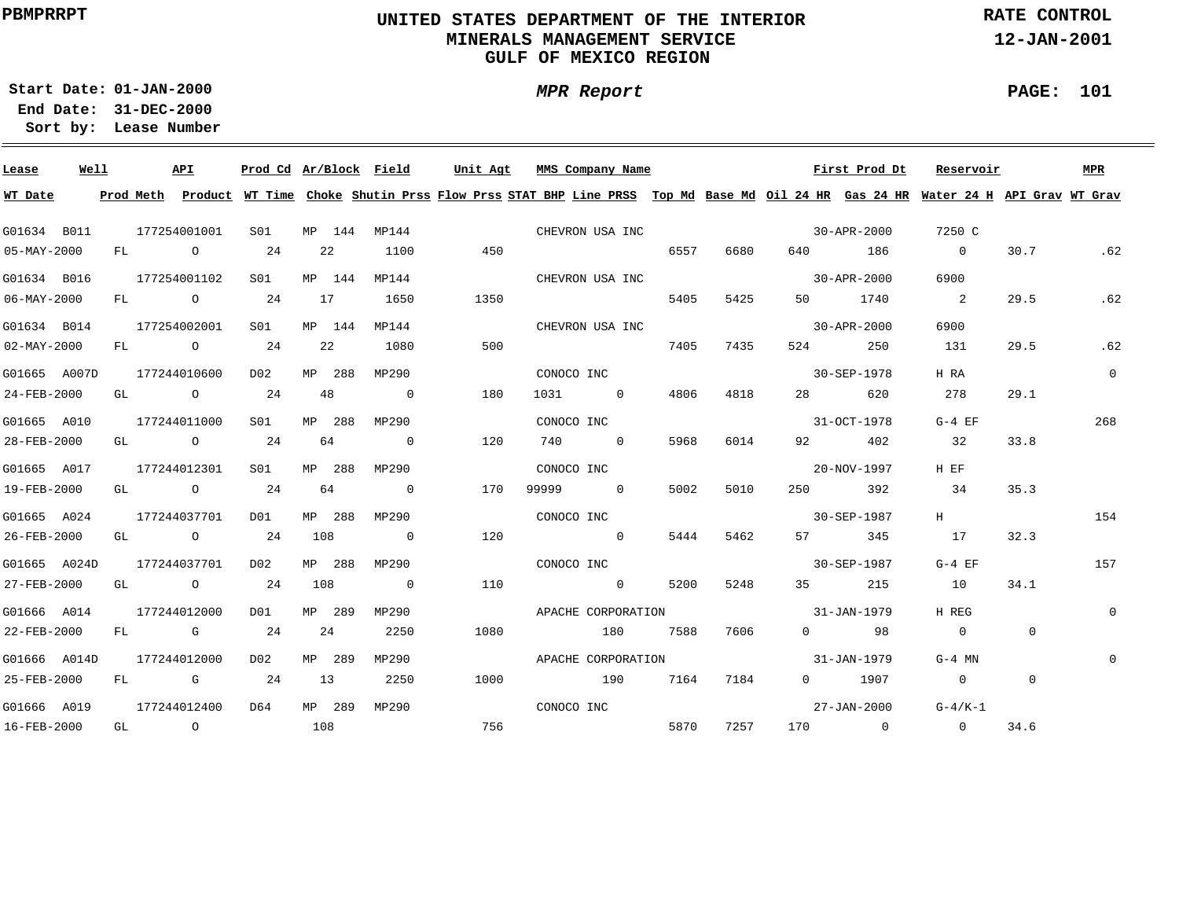### **UNITED STATES DEPARTMENT OF THE INTERIOR MINERALS MANAGEMENT SERVICEGULF OF MEXICO REGION**

**MPR Report**

**RATE CONTROL**

**12-JAN-2001**

**PAGE: 101**

**01-JAN-2000Start Date:**

| Lease             | Well |    |              | API                                                                                                                                                                                                                            | Prod Cd Ar/Block Field |     |        |                | Unit Agt |            | MMS Company Name   |      |      |                   | First Prod Dt     | Reservoir                                                                                                                               |                | MPR            |
|-------------------|------|----|--------------|--------------------------------------------------------------------------------------------------------------------------------------------------------------------------------------------------------------------------------|------------------------|-----|--------|----------------|----------|------------|--------------------|------|------|-------------------|-------------------|-----------------------------------------------------------------------------------------------------------------------------------------|----------------|----------------|
| WT Date           |      |    |              |                                                                                                                                                                                                                                |                        |     |        |                |          |            |                    |      |      |                   |                   | Prod Meth Product WT Time Choke Shutin Prss Flow Prss STAT BHP Line PRSS Top Md Base Md Oil 24 HR Gas 24 HR Water 24 H API Grav WT Grav |                |                |
| G01634 B011       |      |    | 177254001001 |                                                                                                                                                                                                                                | S01                    |     | MP 144 | MP144          |          |            | CHEVRON USA INC    |      |      |                   | 30-APR-2000       | 7250 C                                                                                                                                  |                |                |
| 05-MAY-2000       |      | FL |              | $\overline{O}$                                                                                                                                                                                                                 | 24                     |     | 22     | 1100           | 450      |            |                    | 6557 | 6680 | 640 — 10          | 186               | $\overline{0}$                                                                                                                          | 30.7           | .62            |
| G01634 B016       |      |    | 177254001102 |                                                                                                                                                                                                                                | S01                    |     | MP 144 | MP144          |          |            | CHEVRON USA INC    |      |      |                   | $30 - APR - 2000$ | 6900                                                                                                                                    |                |                |
| $06 - MAX - 2000$ |      | FL |              | $\overline{O}$                                                                                                                                                                                                                 | 24                     | 17  |        | 1650           | 1350     |            |                    | 5405 | 5425 | 50 60             | 1740              | $\overline{\phantom{a}}$ 2                                                                                                              | 29.5           | .62            |
| G01634 B014       |      |    | 177254002001 |                                                                                                                                                                                                                                | S01                    |     | MP 144 | MP144          |          |            | CHEVRON USA INC    |      |      |                   | 30-APR-2000       | 6900                                                                                                                                    |                |                |
| $02 - MAX - 2000$ |      | FL |              | $\overline{O}$                                                                                                                                                                                                                 | 24                     |     | 22     | 1080           | 500      |            |                    | 7405 | 7435 | 524               | 250               | 131                                                                                                                                     | 29.5           | .62            |
| G01665 A007D      |      |    | 177244010600 |                                                                                                                                                                                                                                | D02                    |     | MP 288 | MP290          |          | CONOCO INC |                    |      |      |                   | 30-SEP-1978       | H RA                                                                                                                                    |                | $\overline{0}$ |
| 24-FEB-2000       |      | GL |              | $\overline{O}$                                                                                                                                                                                                                 | 24                     |     | 48     | $\overline{0}$ | 180      |            | 1031 0             | 4806 | 4818 | 28 — 1            | 620               | 278                                                                                                                                     | 29.1           |                |
| G01665 A010       |      |    | 177244011000 |                                                                                                                                                                                                                                | S01                    |     | MP 288 | MP290          |          | CONOCO INC |                    |      |      |                   | 31-OCT-1978       | $G-4$ EF                                                                                                                                |                | 268            |
| 28-FEB-2000       |      |    |              | GL O                                                                                                                                                                                                                           | 24                     |     | 64     | $\overline{0}$ | 120      |            | 740 0              | 5968 | 6014 | 92 — 10           | 402               | 32                                                                                                                                      | 33.8           |                |
| G01665 A017       |      |    | 177244012301 |                                                                                                                                                                                                                                | S01                    |     | MP 288 | MP290          |          | CONOCO INC |                    |      |      |                   | 20-NOV-1997       | H EF                                                                                                                                    |                |                |
| 19-FEB-2000       |      |    |              | GL O                                                                                                                                                                                                                           | 24                     | 64  |        | $\overline{0}$ | 170      | 99999      | $\sim$ 0           | 5002 | 5010 | 250 and $\sim$    | 392               | 34                                                                                                                                      | 35.3           |                |
| G01665 A024       |      |    | 177244037701 |                                                                                                                                                                                                                                | DO1                    |     | MP 288 | MP290          |          | CONOCO INC |                    |      |      | 30-SEP-1987       |                   | H                                                                                                                                       |                | 154            |
| 26-FEB-2000       |      |    |              | GL O                                                                                                                                                                                                                           | 24                     | 108 |        | $\overline{0}$ | 120      |            | $\sim$ 0           | 5444 | 5462 | 57 — 1            | 345               | 17                                                                                                                                      | 32.3           |                |
| G01665 A024D      |      |    | 177244037701 |                                                                                                                                                                                                                                | D02                    |     | MP 288 | MP290          |          |            | CONOCO INC         |      |      |                   | 30-SEP-1987       | $G-4$ EF                                                                                                                                |                | 157            |
| 27-FEB-2000       |      | GL |              | $\overline{O}$                                                                                                                                                                                                                 | 24                     | 108 |        | $\overline{0}$ | 110      |            | $\sim$ 0           | 5200 | 5248 | 35                | 215               | 10                                                                                                                                      | 34.1           |                |
| G01666 A014       |      |    | 177244012000 |                                                                                                                                                                                                                                | DO1                    |     | MP 289 | MP290          |          |            | APACHE CORPORATION |      |      |                   | 31-JAN-1979       | H REG                                                                                                                                   |                | $\mathbf 0$    |
| 22-FEB-2000       |      | FL |              | and the control of the control of the control of the control of the control of the control of the control of the control of the control of the control of the control of the control of the control of the control of the cont | 24                     |     | 24     | 2250           | 1080     |            | 180                | 7588 | 7606 |                   | $0$ 98            | $\overline{0}$                                                                                                                          | $\overline{0}$ |                |
| G01666 A014D      |      |    | 177244012000 |                                                                                                                                                                                                                                | D02                    |     | MP 289 | MP290          |          |            | APACHE CORPORATION |      |      |                   | 31-JAN-1979       | $G-4$ MN                                                                                                                                |                | $\mathbf{0}$   |
| 25-FEB-2000       |      | FL |              | <b>G</b> G                                                                                                                                                                                                                     | 24                     | 13  |        | 2250           | 1000     |            | 190                | 7164 | 7184 | $0 \qquad \qquad$ | 1907              | $\overline{0}$                                                                                                                          | $\mathbf 0$    |                |
| G01666 A019       |      |    | 177244012400 |                                                                                                                                                                                                                                | D64                    |     | MP 289 | MP290          |          | CONOCO INC |                    |      |      |                   | 27-JAN-2000       | $G-4/K-1$                                                                                                                               |                |                |
| 16-FEB-2000       |      | GL |              | $\overline{O}$                                                                                                                                                                                                                 |                        | 108 |        |                | 756      |            |                    | 5870 | 7257 |                   | 170 0             | $\overline{0}$                                                                                                                          | 34.6           |                |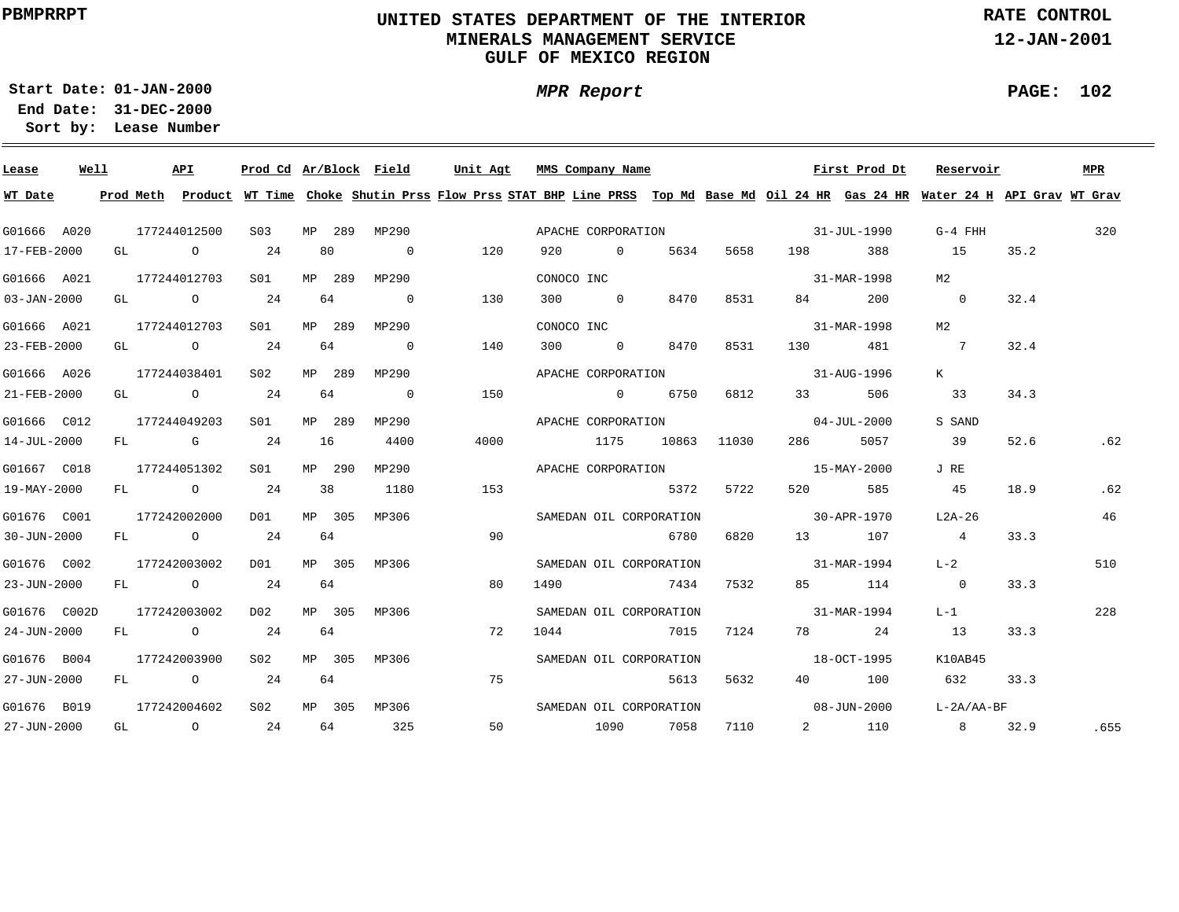### **UNITED STATES DEPARTMENT OF THE INTERIOR MINERALS MANAGEMENT SERVICEGULF OF MEXICO REGION**

**MPR Report**

**RATE CONTROL**

**12-JAN-2001**

**01-JAN-2000Start Date:31-DEC-2000 End Date:** 

**Lease Number Sort by:**

| Lease             | Well |  | API          | Prod Cd Ar/Block Field |    |        |                | Unit Agt |    | MMS Company Name                                                                                                                        |      |             |                          | First Prod Dt     | Reservoir       |      | <b>MPR</b> |
|-------------------|------|--|--------------|------------------------|----|--------|----------------|----------|----|-----------------------------------------------------------------------------------------------------------------------------------------|------|-------------|--------------------------|-------------------|-----------------|------|------------|
| WT Date           |      |  |              |                        |    |        |                |          |    | Prod Meth Product WT Time Choke Shutin Prss Flow Prss STAT BHP Line PRSS Top Md Base Md Oil 24 HR Gas 24 HR Water 24 H API Grav WT Grav |      |             |                          |                   |                 |      |            |
| G01666 A020       |      |  | 177244012500 | S03                    |    | MP 289 | MP290          |          |    | APACHE CORPORATION 31-JUL-1990                                                                                                          |      |             |                          |                   | G-4 FHH         |      | 320        |
| 17-FEB-2000       |      |  | GL O         | 24                     |    | 80     | $\overline{0}$ | 120      |    | 920 0                                                                                                                                   | 5634 | 5658        |                          | 198 388           | 15              | 35.2 |            |
| G01666 A021       |      |  | 177244012703 | SO1 SO                 |    | MP 289 | MP290          |          |    | CONOCO INC                                                                                                                              |      |             |                          | 31-MAR-1998       | M2              |      |            |
| $03 - JAN - 2000$ |      |  | GL O         | 24                     |    | 64     | $\overline{0}$ | 130      |    | 300 0                                                                                                                                   | 8470 | 8531        | 84 and $\overline{84}$   | 200               | $\overline{0}$  | 32.4 |            |
| G01666 A021       |      |  | 177244012703 | SO1                    |    | MP 289 | MP290          |          |    | CONOCO INC                                                                                                                              |      |             |                          | 31-MAR-1998       | м2              |      |            |
| 23-FEB-2000       |      |  | GL 0 24      |                        |    | 64     | $\overline{0}$ | 140      |    | 300 0                                                                                                                                   | 8470 | 8531        | 130 6                    | 481               | $\overline{7}$  | 32.4 |            |
| G01666 A026       |      |  | 177244038401 | S02                    |    | MP 289 | MP290          |          |    | APACHE CORPORATION                                                                                                                      |      |             |                          | 31-AUG-1996       | K               |      |            |
| 21-FEB-2000       |      |  | GL 0 24      |                        |    | 64     | $\overline{0}$ | 150      |    | $\sim$ 0                                                                                                                                | 6750 | 6812        | 33 and $\sim$            | 506               | 33              | 34.3 |            |
| G01666 C012       |      |  | 177244049203 | S01                    |    | MP 289 | MP290          |          |    | APACHE CORPORATION                                                                                                                      |      |             |                          | $04 - JUL - 2000$ | S SAND          |      |            |
| 14-JUL-2000       |      |  | FL G 24      |                        | 16 |        | 4400           | 4000     |    | 1175                                                                                                                                    |      | 10863 11030 | 286 — 1                  | 5057              | 39              | 52.6 | .62        |
| G01667 C018       |      |  | 177244051302 | SO1                    |    | MP 290 | MP290          |          |    | APACHE CORPORATION                                                                                                                      |      |             | 15-MAY-2000              |                   | J RE            |      |            |
| 19-MAY-2000       |      |  | FL 0 24      |                        | 38 |        | 1180           | 153      |    |                                                                                                                                         | 5372 | 5722        | 520 320                  | 585               | 45              | 18.9 | .62        |
| G01676 C001       |      |  | 177242002000 | DO1                    |    | MP 305 | MP306          |          |    | SAMEDAN OIL CORPORATION                                                                                                                 |      |             | $30 - APR - 1970$        |                   | L2A-26          |      | 46         |
| 30-JUN-2000       |      |  | FL 0 24      |                        |    | 64     |                | 90       |    |                                                                                                                                         | 6780 | 6820        | 13 107                   |                   | $\overline{4}$  | 33.3 |            |
| G01676 C002       |      |  | 177242003002 | D01                    |    | MP 305 | MP306          |          |    | SAMEDAN OIL CORPORATION                                                                                                                 |      |             | $31 - \text{MAR} - 1994$ |                   | $L-2$           |      | 510        |
| 23-JUN-2000       |      |  | FL 0 24      |                        | 64 |        |                | 80       |    | 1490                                                                                                                                    | 7434 | 7532        |                          | 85 114            | $\overline{0}$  | 33.3 |            |
| G01676 C002D      |      |  | 177242003002 | D02                    |    | MP 305 | MP306          |          |    | SAMEDAN OIL CORPORATION                                                                                                                 |      |             | $31 - \text{MAR} - 1994$ |                   | $L-1$           |      | 228        |
| 24-JUN-2000       |      |  | FL 0 24      |                        |    | 64     |                | 72       |    | 1044                                                                                                                                    | 7015 | 7124        |                          | 78 24             | 13              | 33.3 |            |
| G01676 B004       |      |  | 177242003900 | S02                    |    | MP 305 | MP306          |          |    | SAMEDAN OIL CORPORATION                                                                                                                 |      |             | $18 - OCT - 1995$        |                   | K10AB45         |      |            |
| 27-JUN-2000       |      |  | FL 0 24      |                        |    | 64     |                | 75       |    |                                                                                                                                         | 5613 | 5632        |                          | 40 100            | 632             | 33.3 |            |
| G01676 B019       |      |  | 177242004602 | S02                    |    |        | MP 305 MP306   |          |    | SAMEDAN OIL CORPORATION                                                                                                                 |      |             | $08 - JUN - 2000$        |                   | L-2A/AA-BF      |      |            |
| 27-JUN-2000       |      |  | GL O         | 24                     |    | 64     | 325            |          | 50 | 1090                                                                                                                                    | 7058 | 7110        |                          | 2 110             | $8\overline{)}$ | 32.9 | .655       |

**PAGE: 102**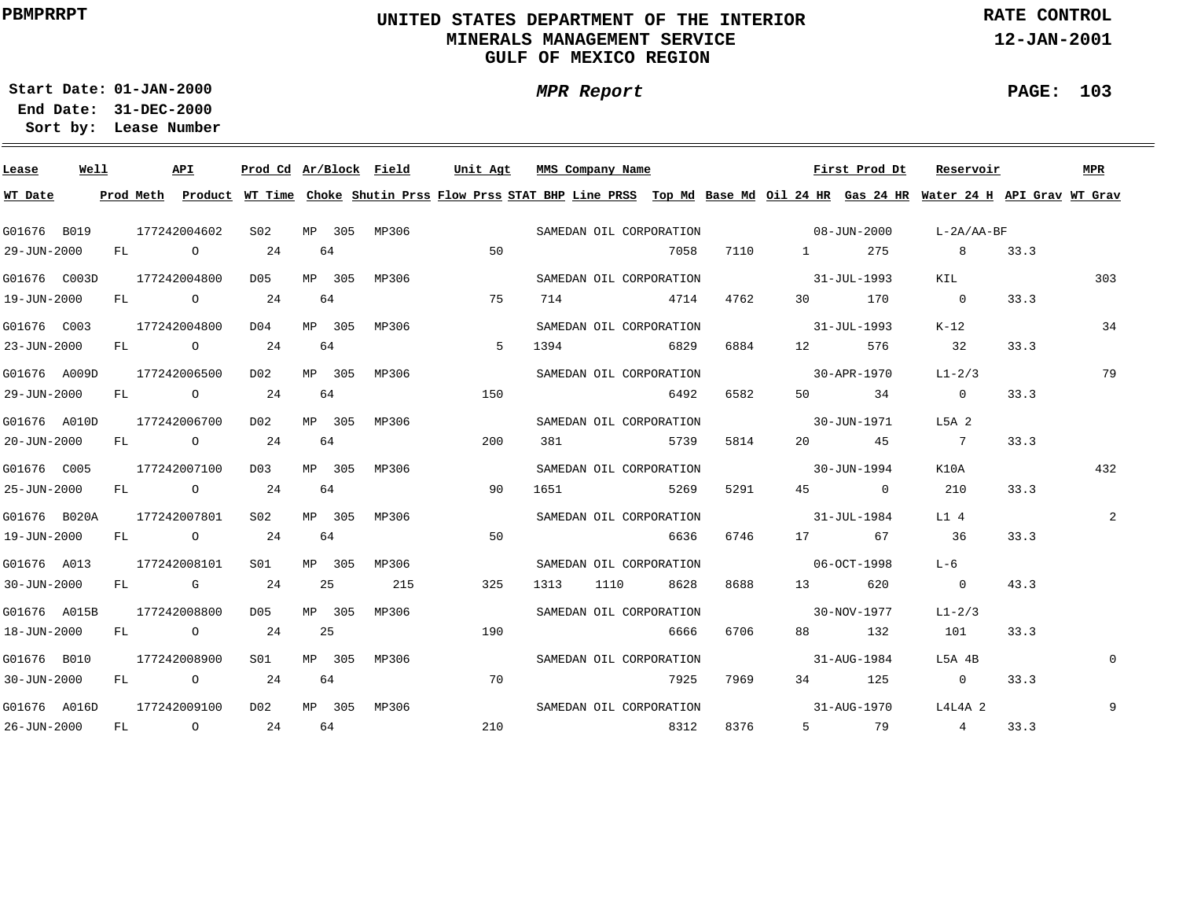## **UNITED STATES DEPARTMENT OF THE INTERIORMINERALS MANAGEMENT SERVICE**GULF OF MEXICO REGION

**MPR Report**

**RATE CONTROL**

**12-JAN-2001**

**PAGE: 103**

**01-JAN-2000Start Date:31-DEC-2000End Date: Lease NumberSort by:**

G01676 B019G01676 C003DG01676 C003 G01676 A009DG01676 A010DG01676 C005G01676 B020AG01676 A013G01676 A015B G01676 B010G01676 A016D**Lease Well** 177242004602177242004800177242004800177242006500177242006700177242007100177242007801177242008101177242008800177242008900177242009100**API** MP 305MP306MP 305MP306MP 305MP 305MP 305MP 305MP 305MP 305MP306MP 305MP306MP 305MP306MP 305MP306**Ar/Block FieldProd Cd**MP306MP306MP306MP306MP306 **Unit Agt MMS Company Name** 08-JUN-200031-JUL-199331-JUL-199330-APR-197030-JUN-197130-JUN-199431-JUL-198406-OCT-199830-NOV-197731-AUG-198431-AUG-1970**First Prod Dt** L-2A/AA-BF KIL $K-12$  $L1 - 2/3$ L5A 2K10A L1 4 $L-6$  $L1-2/3$ L5A 4BL4L4A 2**Reservoir**3033479432209**MPR**29-JUN-200019-JUN-200023-JUN-200029-JUN-200020-JUN-2000 25-JUN-200019-JUN-200030-JUN-200018-JUN-200030-JUN-200026-JUN-2000**WT Date** FLFLFLFLFLFLFLFLFLFLFL<u>Prod Meth Product WT Time Choke Shutin Prss Flow Prss STAT BHP Line PRSS Top Md Base Md Oil 24 HR (Gas 24 HR Water 24 H API Grav WT Grav</u> OOOOOOOGOOO242424242424242424242464646464646464252564642155075515020090503251907021071413943811651131311107058471468296492573952696636862866667925831271104762688465825814529167468688670679698376130125020451713883457927517057634450676201321258 $\bigcap$ 320721036 $\overline{0}$ 101 $\overline{0}$ 433.333.333.333.333.333.333.343.333.333.333.3SAMEDAN OIL CORPORATIONSAMEDAN OIL CORPORATIONSAMEDAN OIL CORPORATIONSAMEDAN OIL CORPORATIONSAMEDAN OIL CORPORATIONSAMEDAN OIL CORPORATIONSAMEDAN OIL CORPORATIONSAMEDAN OIL CORPORATIONSAMEDAN OIL CORPORATIONSAMEDAN OIL CORPORATIONSAMEDAN OIL CORPORATIONS02D05D04D02D<sub>02</sub> D03 $S<sub>02</sub>$ S01D05S01D02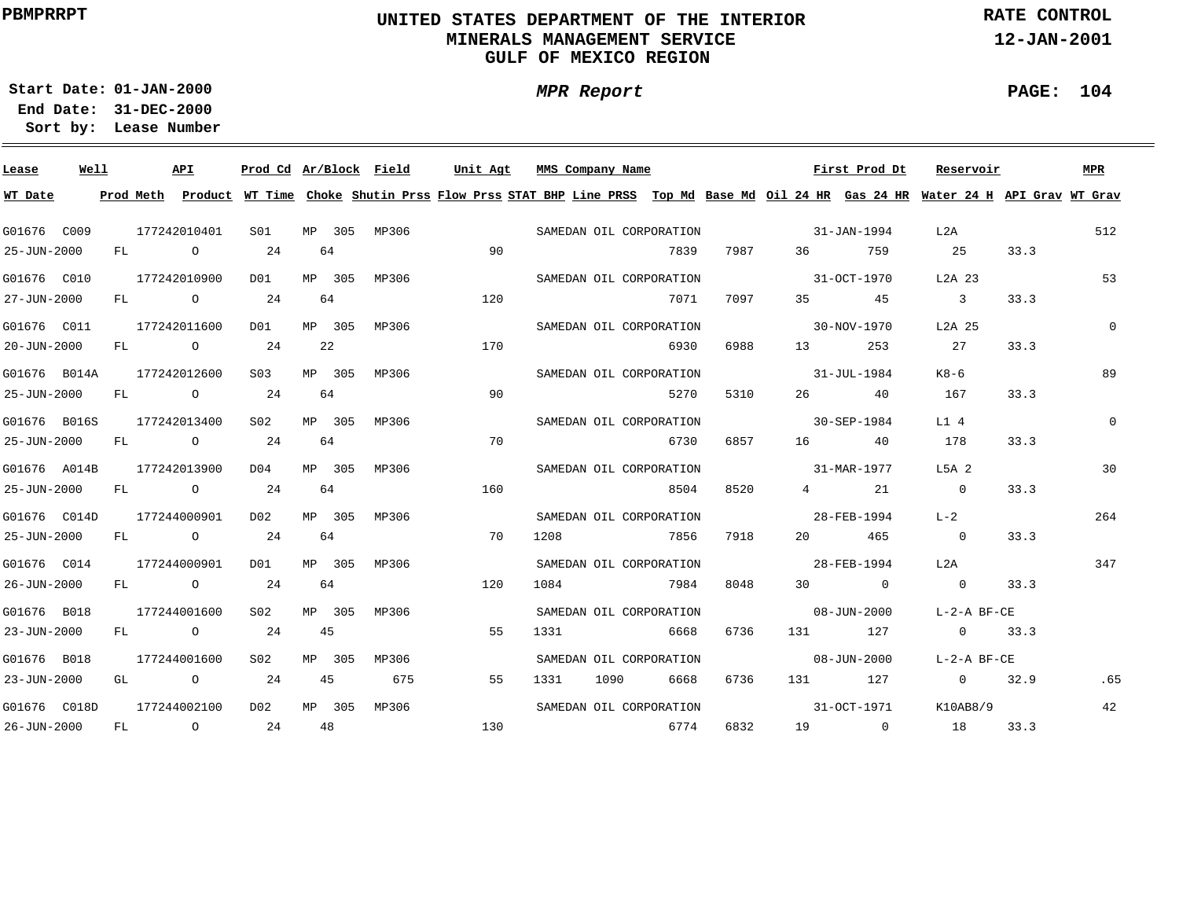### **UNITED STATES DEPARTMENT OF THE INTERIOR MINERALS MANAGEMENT SERVICEGULF OF MEXICO REGION**

**MPR Report**

**RATE CONTROL**

**12-JAN-2001**

**PAGE: 104**

**01-JAN-2000Start Date:31-DEC-2000 End Date:** 

| Lease        | Well |    | API            | Prod Cd Ar/Block Field |    |        |       | Unit Agt |     |      | MMS Company Name |                         |      |                   | First Prod Dt                                                                                                                           | Reservoir                  |      | MPR          |
|--------------|------|----|----------------|------------------------|----|--------|-------|----------|-----|------|------------------|-------------------------|------|-------------------|-----------------------------------------------------------------------------------------------------------------------------------------|----------------------------|------|--------------|
| WT Date      |      |    |                |                        |    |        |       |          |     |      |                  |                         |      |                   | Prod Meth Product WT Time Choke Shutin Prss Flow Prss STAT BHP Line PRSS Top Md Base Md Oil 24 HR Gas 24 HR Water 24 H API Grav WT Grav |                            |      |              |
| G01676 C009  |      |    | 177242010401   | SO1                    |    | MP 305 | MP306 |          |     |      |                  | SAMEDAN OIL CORPORATION |      | $31 - JAN - 1994$ |                                                                                                                                         | L2A                        |      | 512          |
| 25-JUN-2000  |      |    | FL O           | 24                     |    | 64     |       |          | 90  |      |                  | 7839                    | 7987 | 36 7              | 759                                                                                                                                     | 25                         | 33.3 |              |
| G01676 C010  |      |    | 177242010900   | DO1                    |    | MP 305 | MP306 |          |     |      |                  | SAMEDAN OIL CORPORATION |      | $31-0CT-1970$     |                                                                                                                                         | L2A 23                     |      | 53           |
| 27-JUN-2000  |      | FL | $\overline{O}$ | 24                     |    | 64     |       |          | 120 |      |                  | 7071                    | 7097 |                   | 35 45                                                                                                                                   | $\overline{\phantom{a}}$ 3 | 33.3 |              |
| G01676 C011  |      |    | 177242011600   | D01                    |    | MP 305 | MP306 |          |     |      |                  | SAMEDAN OIL CORPORATION |      |                   | 30-NOV-1970                                                                                                                             | L2A 25                     |      | $\mathbf{0}$ |
| 20-JUN-2000  |      | FL | $\overline{O}$ | 24                     |    | 22     |       |          | 170 |      |                  | 6930                    | 6988 | 13                | 253                                                                                                                                     | 27                         | 33.3 |              |
| G01676 B014A |      |    | 177242012600   | S03                    |    | MP 305 | MP306 |          |     |      |                  | SAMEDAN OIL CORPORATION |      |                   | $31 - JUL - 1984$                                                                                                                       | K8-6                       |      | 89           |
| 25-JUN-2000  |      | FL | $\overline{O}$ | 24                     |    | 64     |       |          | 90  |      |                  | 5270                    | 5310 |                   | 26 40                                                                                                                                   | 167                        | 33.3 |              |
| G01676 B016S |      |    | 177242013400   | S02                    |    | MP 305 | MP306 |          |     |      |                  | SAMEDAN OIL CORPORATION |      |                   | $30 - SEP - 1984$                                                                                                                       | L14                        |      | $\Omega$     |
| 25-JUN-2000  |      |    | FL 0 24        |                        | 64 |        |       |          | 70  |      |                  | 6730                    | 6857 |                   | 16 40                                                                                                                                   | 178                        | 33.3 |              |
| G01676 A014B |      |    | 177242013900   | D04                    |    | MP 305 | MP306 |          |     |      |                  | SAMEDAN OIL CORPORATION |      | 31-MAR-1977       |                                                                                                                                         | L5A 2                      |      | 30           |
| 25-JUN-2000  |      |    | FL O           | 24                     |    | 64     |       |          | 160 |      |                  | 8504                    | 8520 |                   | 4 21                                                                                                                                    | $\overline{0}$             | 33.3 |              |
| G01676 C014D |      |    | 177244000901   | D02                    |    | MP 305 | MP306 |          |     |      |                  | SAMEDAN OIL CORPORATION |      | $28 - FEB - 1994$ |                                                                                                                                         | $L-2$                      |      | 264          |
| 25-JUN-2000  |      |    | FL O           | 24                     | 64 |        |       |          | 70  | 1208 |                  | 7856                    | 7918 | 20                | 465                                                                                                                                     | $\overline{0}$             | 33.3 |              |
| G01676 C014  |      |    | 177244000901   | DO 1                   |    | MP 305 | MP306 |          |     |      |                  | SAMEDAN OIL CORPORATION |      | 28-FEB-1994       |                                                                                                                                         | L2A                        |      | 347          |
| 26-JUN-2000  |      | FL | $\overline{O}$ | 24                     |    | 64     |       |          | 120 | 1084 |                  | 7984                    | 8048 |                   | $30$ 0                                                                                                                                  | $\overline{0}$             | 33.3 |              |
| G01676 B018  |      |    | 177244001600   | S <sub>02</sub>        |    | MP 305 | MP306 |          |     |      |                  | SAMEDAN OIL CORPORATION |      |                   | 08-JUN-2000                                                                                                                             | $L-2-A$ BF-CE              |      |              |
| 23-JUN-2000  |      | FL | $\overline{O}$ | 24                     | 45 |        |       |          | 55  | 1331 |                  | 6668                    | 6736 |                   | 131 127                                                                                                                                 | $0 \t 33.3$                |      |              |
| G01676 B018  |      |    | 177244001600   | S <sub>02</sub>        |    | MP 305 | MP306 |          |     |      |                  | SAMEDAN OIL CORPORATION |      |                   | $08 - JUN - 2000$                                                                                                                       | $L-2-A$ BF-CE              |      |              |
| 23-JUN-2000  |      | GL | $\overline{O}$ | 24                     | 45 |        | 675   |          | 55  | 1331 | 1090             | 6668                    | 6736 |                   | 131 127                                                                                                                                 | $\overline{0}$             | 32.9 | .65          |
| G01676 C018D |      |    | 177244002100   | D02                    |    | MP 305 | MP306 |          |     |      |                  | SAMEDAN OIL CORPORATION |      |                   | 31-OCT-1971                                                                                                                             | K10AB8/9                   |      | 42           |
| 26-JUN-2000  |      | FL | $\circ$ 24     |                        |    | 48     |       |          | 130 |      |                  | 6774                    | 6832 |                   | 19 0                                                                                                                                    | 18                         | 33.3 |              |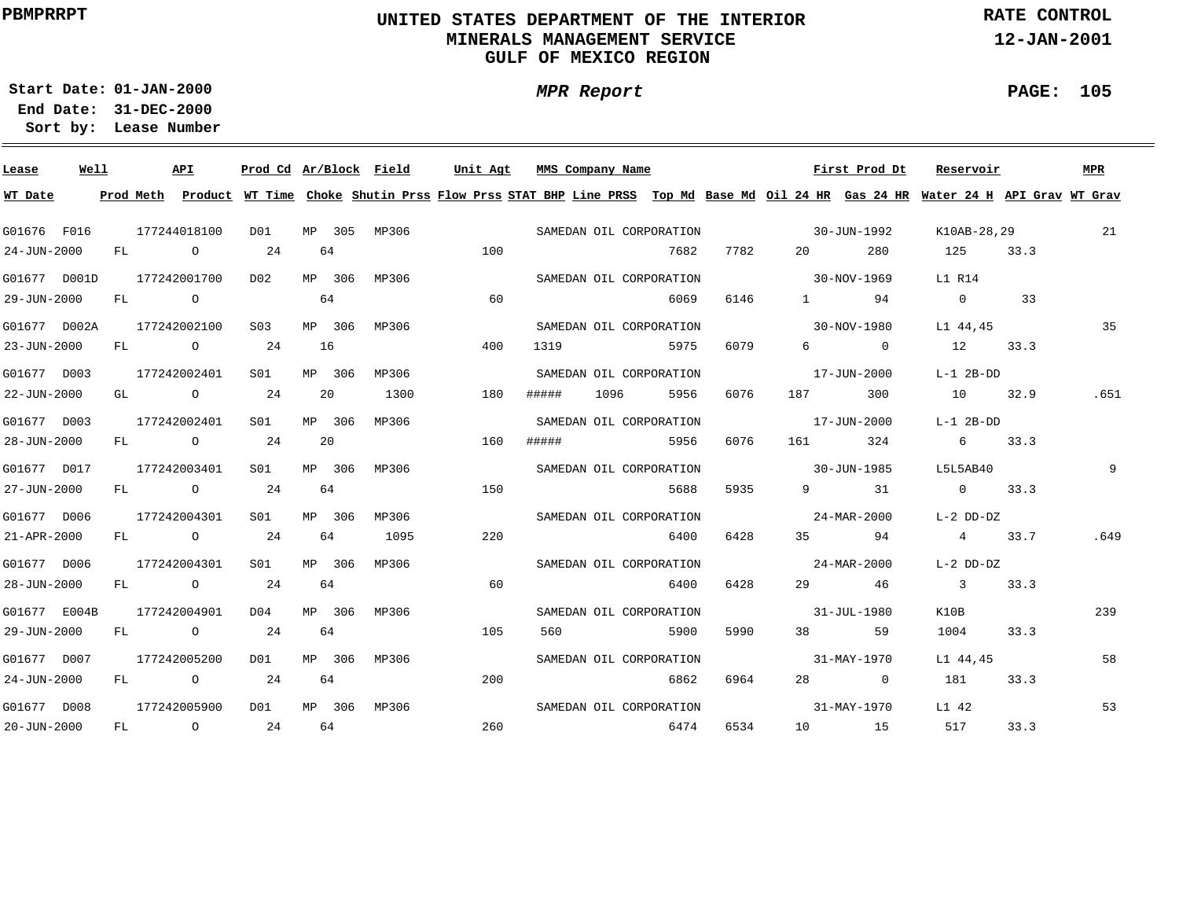### **UNITED STATES DEPARTMENT OF THE INTERIOR MINERALS MANAGEMENT SERVICEGULF OF MEXICO REGION**

**MPR Report**

**RATE CONTROL**

**12-JAN-2001**

**PAGE: 105**

÷

**01-JAN-2000Start Date:31-DEC-2000 End Date:** 

| Lease             | Well |    |      | API                         |              |    |        | Prod Cd Ar/Block Field | Unit Agt | MMS Company Name |      |                         |      |                                                                                                                                                                                                                                 | First Prod Dt       | Reservoir                                                                                                                               |      | <b>MPR</b> |
|-------------------|------|----|------|-----------------------------|--------------|----|--------|------------------------|----------|------------------|------|-------------------------|------|---------------------------------------------------------------------------------------------------------------------------------------------------------------------------------------------------------------------------------|---------------------|-----------------------------------------------------------------------------------------------------------------------------------------|------|------------|
| WT Date           |      |    |      |                             |              |    |        |                        |          |                  |      |                         |      |                                                                                                                                                                                                                                 |                     | Prod Meth Product WT Time Choke Shutin Prss Flow Prss STAT BHP Line PRSS Top Md Base Md Oil 24 HR Gas 24 HR Water 24 H API Grav WT Grav |      |            |
| G01676 F016       |      |    |      | 177244018100                | DO1          |    |        | MP 305 MP306           |          |                  |      | SAMEDAN OIL CORPORATION |      | $30 - JUN - 1992$                                                                                                                                                                                                               |                     | K10AB-28,29                                                                                                                             |      | 21         |
| $24 - JUN - 2000$ |      |    |      | FL 0 24                     |              |    | 64     |                        | 100      |                  |      | 7682                    | 7782 |                                                                                                                                                                                                                                 | 280                 | 125                                                                                                                                     | 33.3 |            |
| G01677 D001D      |      |    |      | 177242001700                | D02          |    | MP 306 | MP306                  |          |                  |      | SAMEDAN OIL CORPORATION |      | $30 - NOV - 1969$                                                                                                                                                                                                               |                     | L1 R14                                                                                                                                  |      |            |
| 29-JUN-2000       |      |    | FL O |                             |              | 64 |        |                        | 60       |                  |      | 6069                    | 6146 |                                                                                                                                                                                                                                 | 1 94                | $\Omega$                                                                                                                                | 33   |            |
| G01677 D002A      |      |    |      | 177242002100                | S03          |    | MP 306 | MP306                  |          |                  |      | SAMEDAN OIL CORPORATION |      | $30 - NOV - 1980$                                                                                                                                                                                                               |                     | L1 44,45                                                                                                                                |      | 35         |
| $23 - JUN - 2000$ |      | FL |      | $\circ$ 24                  |              | 16 |        |                        | 400      | 1319             |      | 5975                    | 6079 |                                                                                                                                                                                                                                 | $6 \qquad \qquad 0$ | 12                                                                                                                                      | 33.3 |            |
| G01677 D003       |      |    |      | 177242002401                | S01          |    | MP 306 | MP306                  |          |                  |      | SAMEDAN OIL CORPORATION |      |                                                                                                                                                                                                                                 | 17-JUN-2000         | $L-1$ 2B-DD                                                                                                                             |      |            |
| 22-JUN-2000       |      |    |      | GL $\qquad \qquad \circ$ 24 |              |    | 20     | 1300                   | 180      | #####            | 1096 | 5956                    | 6076 | 187 — 187                                                                                                                                                                                                                       | 300                 | 10                                                                                                                                      | 32.9 | .651       |
| G01677 D003       |      |    |      | 177242002401                | S01 <b>S</b> |    | MP 306 | MP306                  |          |                  |      | SAMEDAN OIL CORPORATION |      |                                                                                                                                                                                                                                 | 17-JUN-2000         | L-1 2B-DD                                                                                                                               |      |            |
| 28-JUN-2000       |      |    |      | FL O                        | 24           |    | 20     |                        | 160      | #####            |      | 5956                    | 6076 | 161 — 161 — 162 — 162 — 162 — 162 — 162 — 162 — 162 — 162 — 162 — 162 — 162 — 162 — 162 — 162 — 162 — 162 — 162 — 162 — 162 — 162 — 162 — 162 — 162 — 162 — 162 — 162 — 162 — 162 — 162 — 162 — 162 — 162 — 162 — 162 — 162 — 1 | 324                 | 6 33.3                                                                                                                                  |      |            |
| G01677 D017       |      |    |      | 177242003401                | S01          |    | MP 306 | MP306                  |          |                  |      | SAMEDAN OIL CORPORATION |      | $30 - JUN - 1985$                                                                                                                                                                                                               |                     | L5L5AB40                                                                                                                                |      | 9          |
| 27-JUN-2000       |      |    |      | FL 0 24                     |              |    | 64     |                        | 150      |                  |      | 5688                    | 5935 |                                                                                                                                                                                                                                 | 9 31                | 0 33.3                                                                                                                                  |      |            |
| G01677 D006       |      |    |      | 177242004301                | S01          |    | MP 306 | MP306                  |          |                  |      | SAMEDAN OIL CORPORATION |      | $24 - \text{MAR} - 2000$                                                                                                                                                                                                        |                     | L-2 DD-DZ                                                                                                                               |      |            |
| $21 - APR - 2000$ |      |    |      | $FL$ 0 24                   |              |    | 64     | 1095                   | 220      |                  |      | 6400                    | 6428 |                                                                                                                                                                                                                                 | 35 94               | 4 33.7                                                                                                                                  |      | .649       |
| G01677 D006       |      |    |      | 177242004301                | S01          |    | MP 306 | MP306                  |          |                  |      | SAMEDAN OIL CORPORATION |      | $24 - \text{MAR} - 2000$                                                                                                                                                                                                        |                     | L-2 DD-DZ                                                                                                                               |      |            |
| 28-JUN-2000       |      |    |      | FL O                        | 24           |    | 64     |                        | 60       |                  |      | 6400                    | 6428 |                                                                                                                                                                                                                                 | 29 46               | 3 33.3                                                                                                                                  |      |            |
| G01677 E004B      |      |    |      | 177242004901                | D04          |    | MP 306 | MP306                  |          |                  |      | SAMEDAN OIL CORPORATION |      | $31 - JUL - 1980$                                                                                                                                                                                                               |                     | K10B                                                                                                                                    |      | 239        |
| 29-JUN-2000       |      |    |      | $FL$ 0 24                   |              |    | 64     |                        | 105      | 560              |      | 5900                    | 5990 | 38 — 1                                                                                                                                                                                                                          | 59                  | 1004                                                                                                                                    | 33.3 |            |
| G01677 D007       |      |    |      | 177242005200                | D01          |    | MP 306 | MP306                  |          |                  |      | SAMEDAN OIL CORPORATION |      | $31 - MAX - 1970$                                                                                                                                                                                                               |                     | L1 44,45                                                                                                                                |      | 58         |
| 24-JUN-2000       |      |    |      | FL 0 24                     |              |    | 64     |                        | 200      |                  |      | 6862                    | 6964 |                                                                                                                                                                                                                                 | 28 0                | 181                                                                                                                                     | 33.3 |            |
| G01677 D008       |      |    |      | 177242005900                | D01          |    |        | MP 306 MP306           |          |                  |      | SAMEDAN OIL CORPORATION |      |                                                                                                                                                                                                                                 | 31-MAY-1970         | L1 42                                                                                                                                   |      | 53         |
| $20 - JUN - 2000$ |      |    |      | FL 0 24                     |              |    | 64     |                        | 260      |                  |      | 6474                    | 6534 |                                                                                                                                                                                                                                 | 10 15               | 517                                                                                                                                     | 33.3 |            |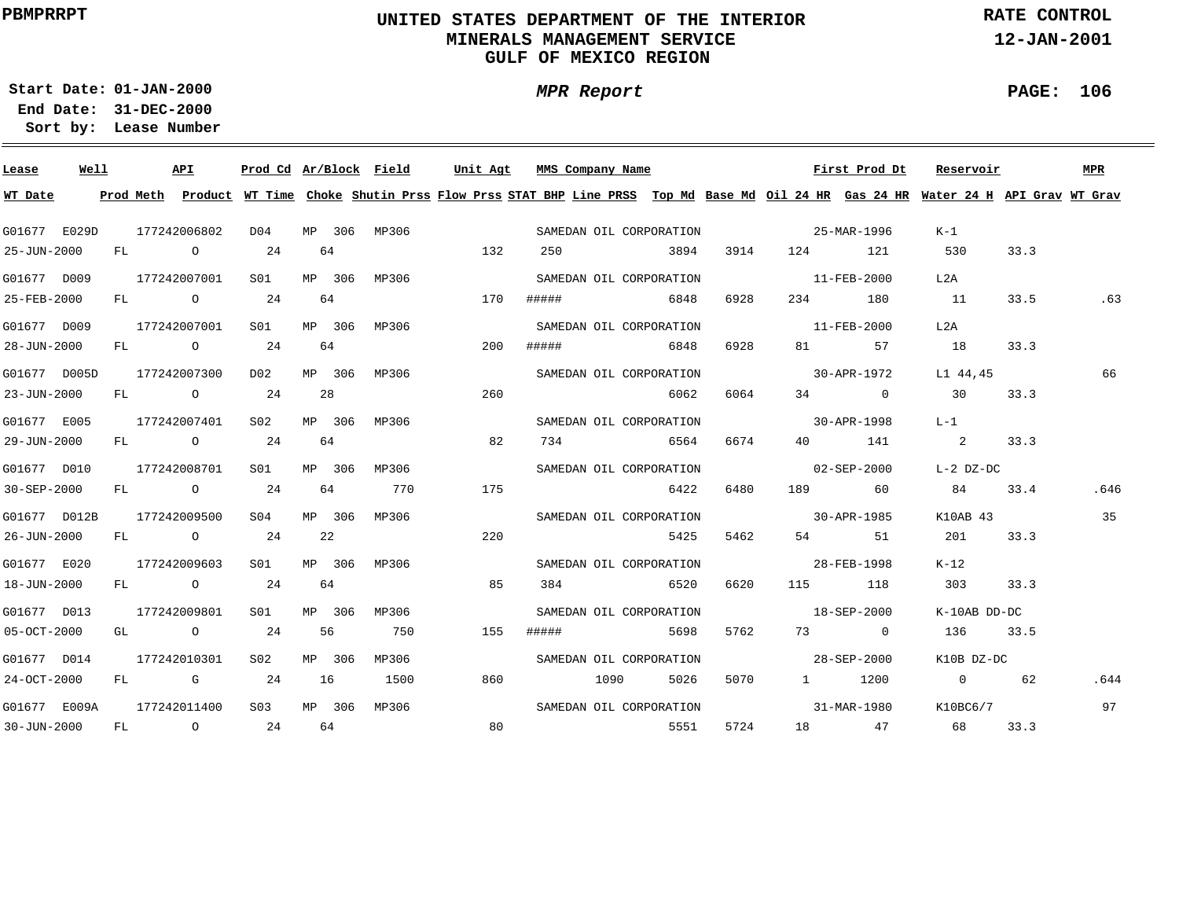### **UNITED STATES DEPARTMENT OF THE INTERIOR MINERALS MANAGEMENT SERVICEGULF OF MEXICO REGION**

**MPR Report**

**RATE CONTROL**

**12-JAN-2001**

**PAGE: 106**

÷

**01-JAN-2000Start Date:31-DEC-2000 End Date:** 

| Lease                     | Well |  | API          |                  |    |        | Prod Cd Ar/Block Field |     | Unit Agt MMS Company Name |                         |      |      |                   | First Prod Dt                                                                                                                           | Reservoir         |      | <b>MPR</b> |
|---------------------------|------|--|--------------|------------------|----|--------|------------------------|-----|---------------------------|-------------------------|------|------|-------------------|-----------------------------------------------------------------------------------------------------------------------------------------|-------------------|------|------------|
| WT Date                   |      |  |              |                  |    |        |                        |     |                           |                         |      |      |                   | Prod Meth Product WT Time Choke Shutin Prss Flow Prss STAT BHP Line PRSS Top Md Base Md Oil 24 HR Gas 24 HR Water 24 H API Grav WT Grav |                   |      |            |
| G01677 E029D              |      |  | 177242006802 | D04              |    |        | MP 306 MP306           |     |                           | SAMEDAN OIL CORPORATION |      |      |                   | $25 - \text{MAR} - 1996$                                                                                                                | K-1               |      |            |
| 25-JUN-2000               |      |  | FL O         | 24               |    | 64     |                        | 132 |                           | 250                     | 3894 |      |                   | 3914 124 121                                                                                                                            | 530               | 33.3 |            |
| G01677 D009               |      |  | 177242007001 | S01              |    |        | MP 306 MP306           |     |                           | SAMEDAN OIL CORPORATION |      |      | $11 - FEB - 2000$ |                                                                                                                                         | L2A               |      |            |
| $25 - FEB - 2000$         |      |  | $FL$ 0 24    |                  |    | 64     |                        | 170 | #####                     | 6848                    |      | 6928 | 234               | 180                                                                                                                                     | 11                | 33.5 | .63        |
| G01677 D009               |      |  | 177242007001 | S01              |    |        | MP 306 MP306           |     |                           | SAMEDAN OIL CORPORATION |      |      |                   | $11 - \text{FEB} - 2000$                                                                                                                | L2A               |      |            |
| 28-JUN-2000               |      |  | FL 0 24      |                  |    | 64     |                        | 200 |                           | ##### 6848              |      | 6928 |                   | 81 57                                                                                                                                   | 18                | 33.3 |            |
| G01677 D005D              |      |  | 177242007300 | D02              |    |        | MP 306 MP306           |     |                           | SAMEDAN OIL CORPORATION |      |      |                   | 30-APR-1972                                                                                                                             | L1 44,45          |      | 66         |
| $23 - JUN - 2000$         |      |  | $FL$ 0 24    |                  |    | 28     |                        | 260 |                           |                         | 6062 | 6064 |                   | $34$ 0                                                                                                                                  | $\overline{30}$   | 33.3 |            |
| G01677 E005               |      |  | 177242007401 | S02              |    | MP 306 | MP306                  |     |                           | SAMEDAN OIL CORPORATION |      |      |                   | 30-APR-1998                                                                                                                             | L-1               |      |            |
| 29-JUN-2000               |      |  | FL 0 24      |                  |    | 64     |                        | 82  |                           | 734 6564                |      | 6674 |                   | 40 141                                                                                                                                  | 2 33.3            |      |            |
| G01677 D010               |      |  | 177242008701 | S01 - 1          |    | MP 306 | MP306                  |     |                           | SAMEDAN OIL CORPORATION |      |      |                   | $02 - SEP - 2000$                                                                                                                       | L-2 DZ-DC         |      |            |
| $30 - SEP - 2000$         |      |  | FL 0 24      |                  | 64 |        | 770                    | 175 |                           |                         | 6422 | 6480 |                   | 189 60                                                                                                                                  | 84                | 33.4 | .646       |
| G01677 D012B              |      |  | 177242009500 | S04 - 50         |    | MP 306 | MP306                  |     |                           | SAMEDAN OIL CORPORATION |      |      |                   | $30 - APR - 1985$                                                                                                                       | K10AB 43          |      | 35         |
| 26-JUN-2000               |      |  | FL 0 24      |                  |    | 22     |                        | 220 |                           |                         | 5425 | 5462 |                   | 54 51                                                                                                                                   | 201               | 33.3 |            |
| G01677 E020               |      |  | 177242009603 | S01 <b>S</b>     |    | MP 306 | MP306                  |     |                           | SAMEDAN OIL CORPORATION |      |      | 28-FEB-1998       |                                                                                                                                         | K-12              |      |            |
| 18-JUN-2000               |      |  | FL 0 24      |                  |    | 64     |                        | 85  |                           | 384 6520                |      | 6620 |                   | 115 118                                                                                                                                 | 303               | 33.3 |            |
| G01677 D013               |      |  | 177242009801 | S01 <b>S</b>     |    | MP 306 | MP306                  |     |                           | SAMEDAN OIL CORPORATION |      |      |                   | $18 - SEP - 2000$                                                                                                                       | K-10AB DD-DC      |      |            |
| $05 - OCT - 2000$         |      |  | GL 0 24      |                  |    | 56     | 750                    | 155 | #####                     |                         | 5698 | 5762 |                   | 73 0                                                                                                                                    | 136 33.5          |      |            |
| G01677 D014               |      |  | 177242010301 | S02              |    | MP 306 | MP306                  |     |                           | SAMEDAN OIL CORPORATION |      |      |                   | $28 - SEP - 2000$                                                                                                                       | K10B DZ-DC        |      |            |
| 24-OCT-2000               |      |  | $FL$ G 24    |                  | 16 |        | 1500                   | 860 |                           | 1090                    | 5026 | 5070 |                   | 1 1200                                                                                                                                  | $0 \qquad \qquad$ | 62   | .644       |
| G01677 E009A 177242011400 |      |  |              | S <sub>0.3</sub> |    |        | MP 306 MP306           |     |                           | SAMEDAN OIL CORPORATION |      |      |                   | 31-MAR-1980 K10BC6/7                                                                                                                    |                   |      | 97         |
| $30 - JUN - 2000$         |      |  |              | $FL$ 0 24        |    | 64     |                        | 80  |                           |                         | 5551 | 5724 |                   | 18 47 68                                                                                                                                |                   | 33.3 |            |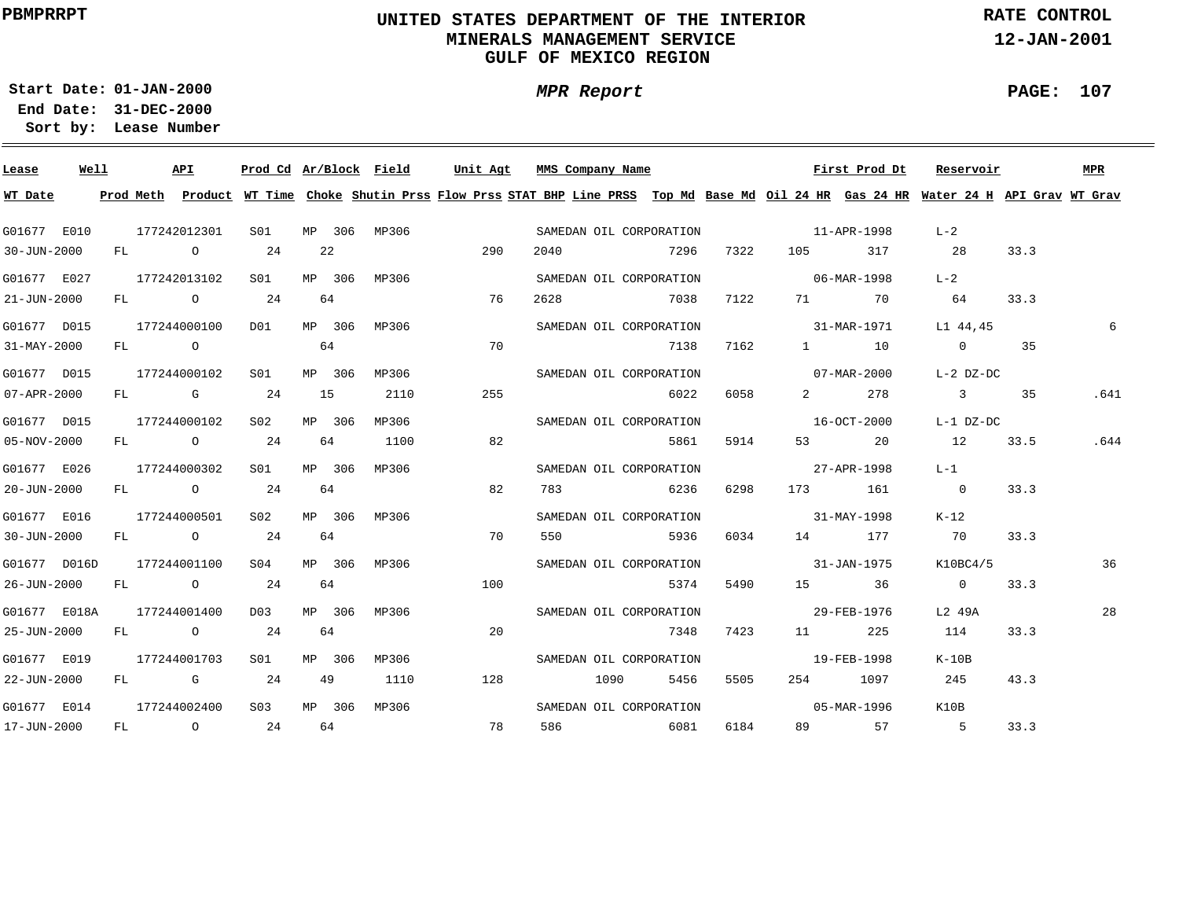### **UNITED STATES DEPARTMENT OF THE INTERIOR MINERALS MANAGEMENT SERVICEGULF OF MEXICO REGION**

**MPR Report**

**RATE CONTROL**

**12-JAN-2001**

**PAGE: 107**

÷

**01-JAN-2000Start Date:31-DEC-2000 End Date:** 

| Lease             | Well |              | API          |                 |    |        | Prod Cd Ar/Block Field Unit Agt MMS Company Name |     |    |      |      |                         |      |                                   | First Prod Dt        | Reservoir                                                                                                                               |      | MPR  |
|-------------------|------|--------------|--------------|-----------------|----|--------|--------------------------------------------------|-----|----|------|------|-------------------------|------|-----------------------------------|----------------------|-----------------------------------------------------------------------------------------------------------------------------------------|------|------|
| WT Date           |      |              |              |                 |    |        |                                                  |     |    |      |      |                         |      |                                   |                      | Prod Meth Product WT Time Choke Shutin Prss Flow Prss STAT BHP Line PRSS Top Md Base Md Oil 24 HR Gas 24 HR Water 24 H API Grav WT Grav |      |      |
| G01677 E010       |      | 177242012301 |              | S01             |    |        | MP 306 MP306                                     |     |    |      |      | SAMEDAN OIL CORPORATION |      | 11-APR-1998                       |                      | $L-2$                                                                                                                                   |      |      |
| $30 - JUN - 2000$ |      |              | FL O         | 24              | 22 |        |                                                  | 290 |    | 2040 |      | 2296 7296               | 7322 | 105                               | 317                  | 28                                                                                                                                      | 33.3 |      |
| G01677 E027       |      | 177242013102 |              | SO1             |    | MP 306 | MP306                                            |     |    |      |      | SAMEDAN OIL CORPORATION |      | $06 - \text{MAR} - 1998$          |                      | $L-2$                                                                                                                                   |      |      |
| 21-JUN-2000       |      |              | FL O         | 24              | 64 |        |                                                  | 76  |    | 2628 |      | 7038                    | 7122 |                                   | 71 70                | 64                                                                                                                                      | 33.3 |      |
| G01677 D015       |      |              | 177244000100 | DO1             |    | MP 306 | MP306                                            |     |    |      |      | SAMEDAN OIL CORPORATION |      | 31-MAR-1971                       |                      | L1 44,45                                                                                                                                |      | 6    |
| 31-MAY-2000       |      |              | FL O         |                 | 64 |        |                                                  | 70  |    |      |      | 7138                    | 7162 |                                   | $1 \qquad \qquad 10$ | $\overline{0}$                                                                                                                          | 35   |      |
| G01677 D015       |      | 177244000102 |              | S01             |    | MP 306 | MP306                                            |     |    |      |      | SAMEDAN OIL CORPORATION |      |                                   | 07-MAR-2000          | L-2 DZ-DC                                                                                                                               |      |      |
| 07-APR-2000       |      |              | FL G 24      |                 | 15 |        | 2110                                             | 255 |    |      |      | 6022                    | 6058 | $\overline{2}$ and $\overline{2}$ | 278                  | $\overline{\mathbf{3}}$                                                                                                                 | 35   | .641 |
| G01677 D015       |      |              | 177244000102 | S02             |    | MP 306 | MP306                                            |     |    |      |      | SAMEDAN OIL CORPORATION |      |                                   | 16-OCT-2000          | L-1 DZ-DC                                                                                                                               |      |      |
| 05-NOV-2000       |      |              | FL 0 24      |                 | 64 |        | 1100                                             | 82  |    |      |      | 5861                    | 5914 |                                   | 53 20                | 12                                                                                                                                      | 33.5 | .644 |
| G01677 E026       |      |              | 177244000302 | S01             |    | MP 306 | MP306                                            |     |    |      |      | SAMEDAN OIL CORPORATION |      | 27-APR-1998                       |                      | $L-1$                                                                                                                                   |      |      |
| 20-JUN-2000       |      |              | FL 0 24      |                 | 64 |        |                                                  | 82  |    |      |      | 783 6236                | 6298 |                                   | 173 161              | $\overline{0}$                                                                                                                          | 33.3 |      |
| G01677 E016       |      |              | 177244000501 | S02             |    | MP 306 | MP306                                            |     |    |      |      | SAMEDAN OIL CORPORATION |      | $31 - \text{MAX} - 1998$          |                      | K-12                                                                                                                                    |      |      |
| 30-JUN-2000       |      |              | FL 0 24      |                 | 64 |        |                                                  | 70  |    | 550  |      | 5936                    | 6034 | 14 177                            |                      | 70                                                                                                                                      | 33.3 |      |
| G01677 D016D      |      |              | 177244001100 | SO(4)           |    | MP 306 | MP306                                            |     |    |      |      | SAMEDAN OIL CORPORATION |      | $31 - JAN - 1975$                 |                      | K10BC4/5                                                                                                                                |      | 36   |
| 26-JUN-2000       |      |              | FL O         | 24              | 64 |        |                                                  | 100 |    |      |      | 5374                    | 5490 |                                   | 15 36                | $\sim$ 0                                                                                                                                | 33.3 |      |
| G01677 E018A      |      | 177244001400 |              | D0.3            |    | MP 306 | MP306                                            |     |    |      |      | SAMEDAN OIL CORPORATION |      | 29-FEB-1976                       |                      | L2 49A                                                                                                                                  |      | 28   |
| 25-JUN-2000       |      |              | FL O         | 24              | 64 |        |                                                  |     | 20 |      |      | 7348                    | 7423 |                                   | 11 225               | 114                                                                                                                                     | 33.3 |      |
| G01677 E019       |      | 177244001703 |              | S01             |    | MP 306 | MP306                                            |     |    |      |      | SAMEDAN OIL CORPORATION |      |                                   | 19-FEB-1998          | $K-10B$                                                                                                                                 |      |      |
| 22-JUN-2000       |      |              | FL G         | 24              | 49 |        | 1110                                             | 128 |    |      | 1090 | 5456                    | 5505 |                                   | 254 1097             | 245                                                                                                                                     | 43.3 |      |
| G01677 E014       |      | 177244002400 |              | S <sub>03</sub> |    | MP 306 | MP306                                            |     |    |      |      | SAMEDAN OIL CORPORATION |      |                                   | 05-MAR-1996          | K10B                                                                                                                                    |      |      |
| 17-JUN-2000       |      |              | FL O         | 24              | 64 |        |                                                  | 78  |    | 586  |      | 6081                    | 6184 |                                   | 89 57                | $5^{\circ}$                                                                                                                             | 33.3 |      |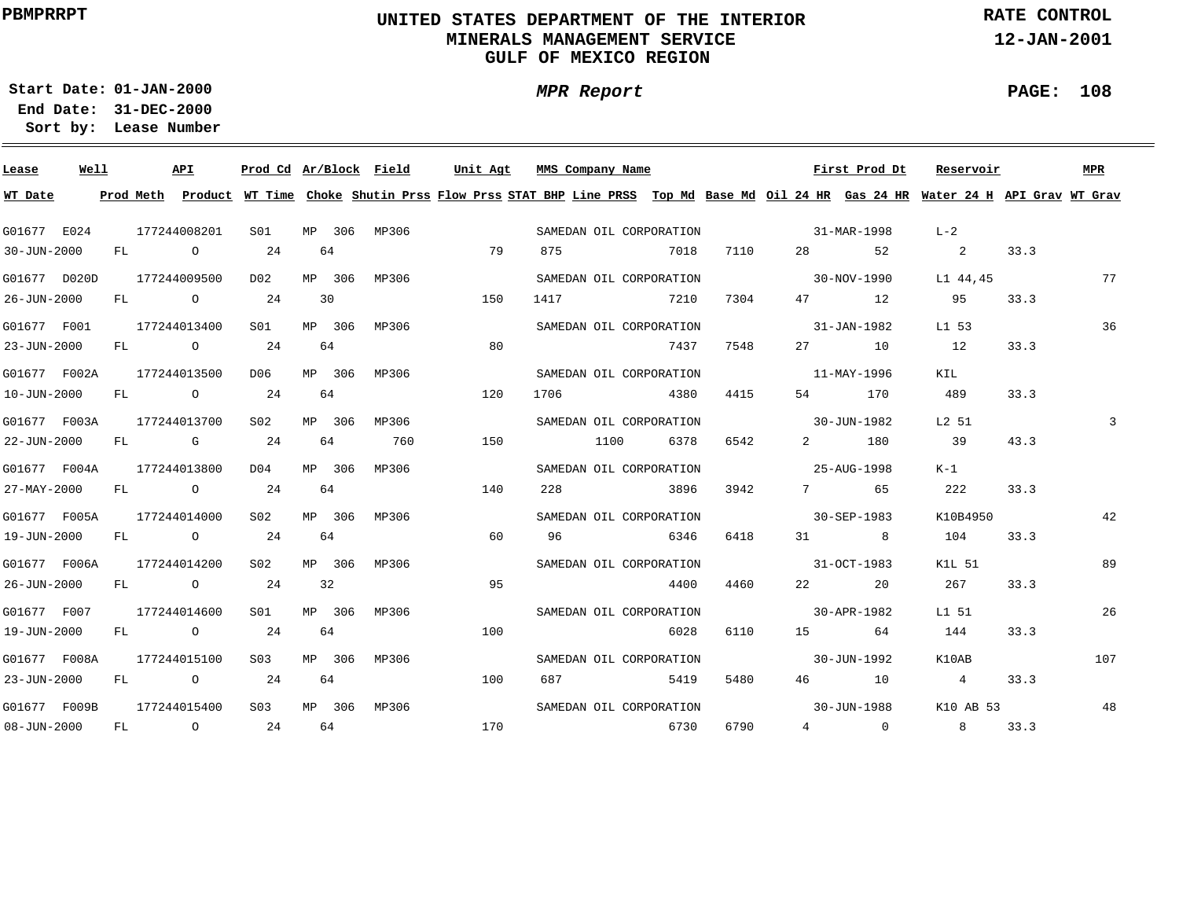### **UNITED STATES DEPARTMENT OF THE INTERIOR MINERALS MANAGEMENT SERVICEGULF OF MEXICO REGION**

**MPR Report**

**RATE CONTROL**

**12-JAN-2001**

**PAGE: 108**

**01-JAN-2000Start Date:31-DEC-2000 End Date:** 

| Lease        | Well |    | <b>API</b>     |                   | Prod Cd Ar/Block Field |        |              | Unit Agt |     |      | MMS Company Name |                         |      |                                   | First Prod Dt    | Reservoir                                                                                                                               |      | <b>MPR</b> |
|--------------|------|----|----------------|-------------------|------------------------|--------|--------------|----------|-----|------|------------------|-------------------------|------|-----------------------------------|------------------|-----------------------------------------------------------------------------------------------------------------------------------------|------|------------|
| WT Date      |      |    |                |                   |                        |        |              |          |     |      |                  |                         |      |                                   |                  | Prod Meth Product WT Time Choke Shutin Prss Flow Prss STAT BHP Line PRSS Top Md Base Md Oil 24 HR Gas 24 HR Water 24 H API Grav WT Grav |      |            |
| G01677 E024  |      |    | 177244008201   |                   | S01                    |        | MP 306 MP306 |          |     |      |                  | SAMEDAN OIL CORPORATION |      | 31-MAR-1998                       |                  | $L-2$                                                                                                                                   |      |            |
| 30-JUN-2000  |      |    | $FL$ 0         |                   | 24                     | 64     |              |          | 79  | 875  |                  | 7018                    | 7110 | 28 — 28                           | 52               | $\sim$ 2                                                                                                                                | 33.3 |            |
| G01677 D020D |      |    | 177244009500   |                   | D02                    | MP 306 | MP306        |          |     |      |                  | SAMEDAN OIL CORPORATION |      | $30-NOV-1990$                     |                  | L1 44,45                                                                                                                                |      | 77         |
| 26-JUN-2000  |      | FL | $\overline{O}$ |                   | 24                     | 30     |              | 150      |     | 1417 |                  | 7210                    | 7304 |                                   | 47 12            | 95                                                                                                                                      | 33.3 |            |
| G01677 F001  |      |    | 177244013400   |                   | SO1                    | MP 306 | MP306        |          |     |      |                  | SAMEDAN OIL CORPORATION |      |                                   | 31-JAN-1982      | L1 53                                                                                                                                   |      | 36         |
| 23-JUN-2000  |      | FL |                | $\overline{0}$ 24 |                        | 64     |              |          | 80  |      |                  | 7437                    | 7548 |                                   | 27 10            | 12                                                                                                                                      | 33.3 |            |
| G01677 F002A |      |    | 177244013500   |                   | D06                    | MP 306 | MP306        |          |     |      |                  | SAMEDAN OIL CORPORATION |      |                                   | 11-MAY-1996      | KIL                                                                                                                                     |      |            |
| 10-JUN-2000  |      | FL | $\overline{O}$ |                   | 24                     | 64     |              | 120      |     | 1706 |                  | 4380                    | 4415 | 54 6                              | 170              | 489                                                                                                                                     | 33.3 |            |
| G01677 F003A |      |    | 177244013700   |                   | S02                    | MP 306 | MP306        |          |     |      |                  | SAMEDAN OIL CORPORATION |      | $30 - JUN - 1982$                 |                  | $L2$ 51                                                                                                                                 |      | 3          |
| 22-JUN-2000  |      | FL |                | G 24              |                        | 64     | 760          | 150      |     |      | 1100             | 6378                    | 6542 | $\overline{2}$ and $\overline{2}$ | 180              | 39                                                                                                                                      | 43.3 |            |
| G01677 F004A |      |    | 177244013800   |                   | DO 4                   | MP 306 | MP306        |          |     |      |                  | SAMEDAN OIL CORPORATION |      | 25-AUG-1998                       |                  | $K-1$                                                                                                                                   |      |            |
| 27-MAY-2000  |      |    | FL 0 24        |                   |                        | 64     |              | 140      |     | 228  |                  | 3896                    | 3942 |                                   | 7 65             | 222                                                                                                                                     | 33.3 |            |
| G01677 F005A |      |    | 177244014000   |                   | S02                    | MP 306 | MP306        |          |     |      |                  | SAMEDAN OIL CORPORATION |      | $30 - SEP - 1983$                 |                  | K10B4950                                                                                                                                |      | 42         |
| 19-JUN-2000  |      |    | FL O           |                   | 24                     | 64     |              |          | 60  | 96   |                  | 6346                    | 6418 |                                   | 31 8             | 104                                                                                                                                     | 33.3 |            |
| G01677 F006A |      |    | 177244014200   |                   | S02                    | MP 306 | MP306        |          |     |      |                  | SAMEDAN OIL CORPORATION |      | 31-OCT-1983                       |                  | K1L 51                                                                                                                                  |      | 89         |
| 26-JUN-2000  |      |    | $FL$ 0         |                   | 24                     | 32     |              |          | 95  |      |                  | 4400                    | 4460 | 22                                | 20               | 267                                                                                                                                     | 33.3 |            |
| G01677 F007  |      |    | 177244014600   |                   | S01 <b>S</b>           | MP 306 | MP306        |          |     |      |                  | SAMEDAN OIL CORPORATION |      | $30 - APR - 1982$                 |                  | L1 51                                                                                                                                   |      | 26         |
| 19-JUN-2000  |      | FL | $\overline{O}$ |                   | 24                     | 64     |              | 100      |     |      |                  | 6028                    | 6110 | 15                                | 64               | 144                                                                                                                                     | 33.3 |            |
| G01677 F008A |      |    | 177244015100   |                   | S <sub>0.3</sub>       | MP 306 | MP306        |          |     |      |                  | SAMEDAN OIL CORPORATION |      |                                   | 30-JUN-1992      | K10AB                                                                                                                                   |      | 107        |
| 23-JUN-2000  |      | FL | $\overline{O}$ |                   | 24                     | 64     |              | 100      |     | 687  |                  | 5419                    | 5480 |                                   | 46 10            | 4                                                                                                                                       | 33.3 |            |
| G01677 F009B |      |    | 177244015400   |                   | S <sub>0.3</sub>       | MP 306 | MP306        |          |     |      |                  | SAMEDAN OIL CORPORATION |      |                                   | 30-JUN-1988      | K10 AB 53                                                                                                                               |      | 48         |
| 08-JUN-2000  |      | FL | $\overline{O}$ |                   | 24                     | 64     |              |          | 170 |      |                  | 6730                    | 6790 |                                   | $\frac{4}{10}$ 0 | 8 <sup>8</sup>                                                                                                                          | 33.3 |            |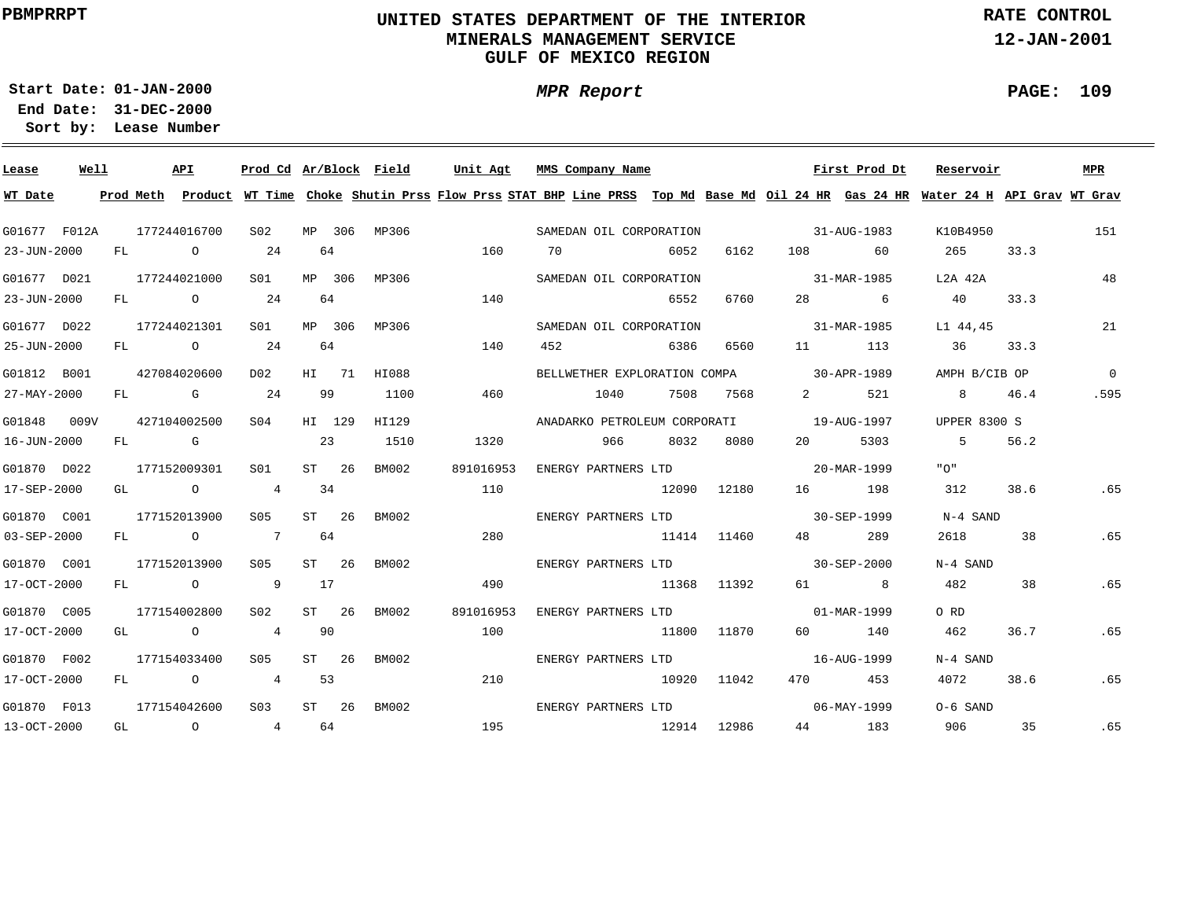### **UNITED STATES DEPARTMENT OF THE INTERIOR MINERALS MANAGEMENT SERVICEGULF OF MEXICO REGION**

**MPR Report**

**RATE CONTROL**

**12-JAN-2001**

**PAGE: 109**

÷

**01-JAN-2000Start Date:31-DEC-2000 End Date:** 

| Lease        | Well |    | API                        | Prod Cd Ar/Block Field |    |         |              | Unit Agt  | MMS Company Name                                                                                                                        |       |             |                                | First Prod Dt | Reservoir           |      | MPR      |
|--------------|------|----|----------------------------|------------------------|----|---------|--------------|-----------|-----------------------------------------------------------------------------------------------------------------------------------------|-------|-------------|--------------------------------|---------------|---------------------|------|----------|
| WT Date      |      |    |                            |                        |    |         |              |           | Prod Meth Product WT Time Choke Shutin Prss Flow Prss STAT BHP Line PRSS Top Md Base Md Oil 24 HR Gas 24 HR Water 24 H API Grav WT Grav |       |             |                                |               |                     |      |          |
| G01677 F012A |      |    | 177244016700               | S02                    |    |         | MP 306 MP306 |           | SAMEDAN OIL CORPORATION                                                                                                                 |       |             | $31 - \text{AUG} - 1983$       |               | K10B4950            |      | 151      |
| 23-JUN-2000  |      | FL | $\overline{O}$             | 24                     | 64 |         |              | 160       | 70                                                                                                                                      | 6052  | 6162        | 108 200                        | 60            | 265                 | 33.3 |          |
| G01677 D021  |      |    | 177244021000               | S <sub>01</sub>        |    | MP 306  | MP306        |           | SAMEDAN OIL CORPORATION                                                                                                                 |       |             | 31-MAR-1985                    |               | L2A 42A             |      | 48       |
| 23-JUN-2000  |      | FL | $\overline{O}$             | 24                     | 64 |         |              | 140       |                                                                                                                                         | 6552  | 6760        |                                | 28 6          | 40                  | 33.3 |          |
| G01677 D022  |      |    | 177244021301               | S01                    |    | MP 306  | MP306        |           | SAMEDAN OIL CORPORATION                                                                                                                 |       |             |                                | 31-MAR-1985   | L1 44,45            |      | 21       |
| 25-JUN-2000  |      |    | FL O                       | 24                     | 64 |         |              | 140       | 452                                                                                                                                     | 6386  | 6560        |                                | 113           | 36                  | 33.3 |          |
| G01812 B001  |      |    | 427084020600               | D02                    |    | HI 71   | HI088        |           | BELLWETHER EXPLORATION COMPA 30-APR-1989                                                                                                |       |             |                                |               | AMPH B/CIB OP       |      | $\Omega$ |
| 27-MAY-2000  |      | FL | G 24                       |                        | 99 |         | 1100         | 460       | 1040                                                                                                                                    | 7508  | 7568        | $2 \left( \frac{1}{2} \right)$ | 521           | 8 <sup>1</sup>      | 46.4 | .595     |
| G01848 009V  |      |    | 427104002500               | SO4                    |    | HI 129  | HI129        |           | ANADARKO PETROLEUM CORPORATI 19-AUG-1997                                                                                                |       |             |                                |               | <b>UPPER 8300 S</b> |      |          |
| 16-JUN-2000  |      | FL | <b>G</b> G                 |                        | 23 |         | 1510         | 1320      | 966                                                                                                                                     | 8032  | 8080        | 20                             | 5303          | $-5$                | 56.2 |          |
| G01870 D022  |      |    | 177152009301               | SO1                    |    | ST 26   | BM002        | 891016953 | ENERGY PARTNERS LTD 20-MAR-1999                                                                                                         |       |             |                                |               | "∩"                 |      |          |
| 17-SEP-2000  |      |    | GL O                       | $4\overline{4}$        | 34 |         |              | 110       |                                                                                                                                         |       | 12090 12180 |                                | 16 198        | 312                 | 38.6 | .65      |
| G01870 C001  |      |    | 177152013900               | S05                    |    | ST 26   | BM002        |           | ENERGY PARTNERS LTD                                                                                                                     |       |             | $30 - SEP - 1999$              |               | N-4 SAND            |      |          |
| 03-SEP-2000  |      |    | FL O                       | 7 64                   |    |         |              | 280       |                                                                                                                                         |       | 11414 11460 | 48 — 18                        | 289           | 2618                | 38   | .65      |
| G01870 C001  |      |    | 177152013900               | S05 5                  |    | $ST$ 26 | BM002        |           | ENERGY PARTNERS LTD 30-SEP-2000                                                                                                         |       |             |                                |               | N-4 SAND            |      |          |
| 17-OCT-2000  |      |    | $FL$ 0                     | 9 17                   |    |         |              | 490       |                                                                                                                                         |       | 11368 11392 |                                | 61 8          | 482                 | 38   | .65      |
| G01870 C005  |      |    | 177154002800               | S02                    |    | $ST$ 26 | BM002        | 891016953 | ENERGY PARTNERS LTD                                                                                                                     |       |             |                                | 01-MAR-1999   | O RD                |      |          |
| 17-OCT-2000  |      |    | GL O                       | 4 90                   |    |         |              | 100       |                                                                                                                                         |       | 11800 11870 | 60 — 10                        | 140           | 462                 | 36.7 | .65      |
| G01870 F002  |      |    | 177154033400               | S05 5                  |    | ST 26   | BM002        |           | ENERGY PARTNERS LTD                                                                                                                     |       |             |                                | 16-AUG-1999   | N-4 SAND            |      |          |
| 17-OCT-2000  |      | FL | $\overline{O}$             | $\overline{4}$         | 53 |         |              | 210       |                                                                                                                                         | 10920 | 11042       | 470 — 200                      | 453           | 4072                | 38.6 | .65      |
| G01870 F013  |      |    | 177154042600               | S <sub>03</sub>        |    | $ST$ 26 | BM002        |           | ENERGY PARTNERS LTD                                                                                                                     |       |             | $06 - \text{MAX} - 1999$       |               | O-6 SAND            |      |          |
| 13-OCT-2000  |      |    | GL $\qquad \qquad \circ$ 4 |                        | 64 |         |              | 195       |                                                                                                                                         |       | 12914 12986 |                                | 44 183        | 906                 | 35   | .65      |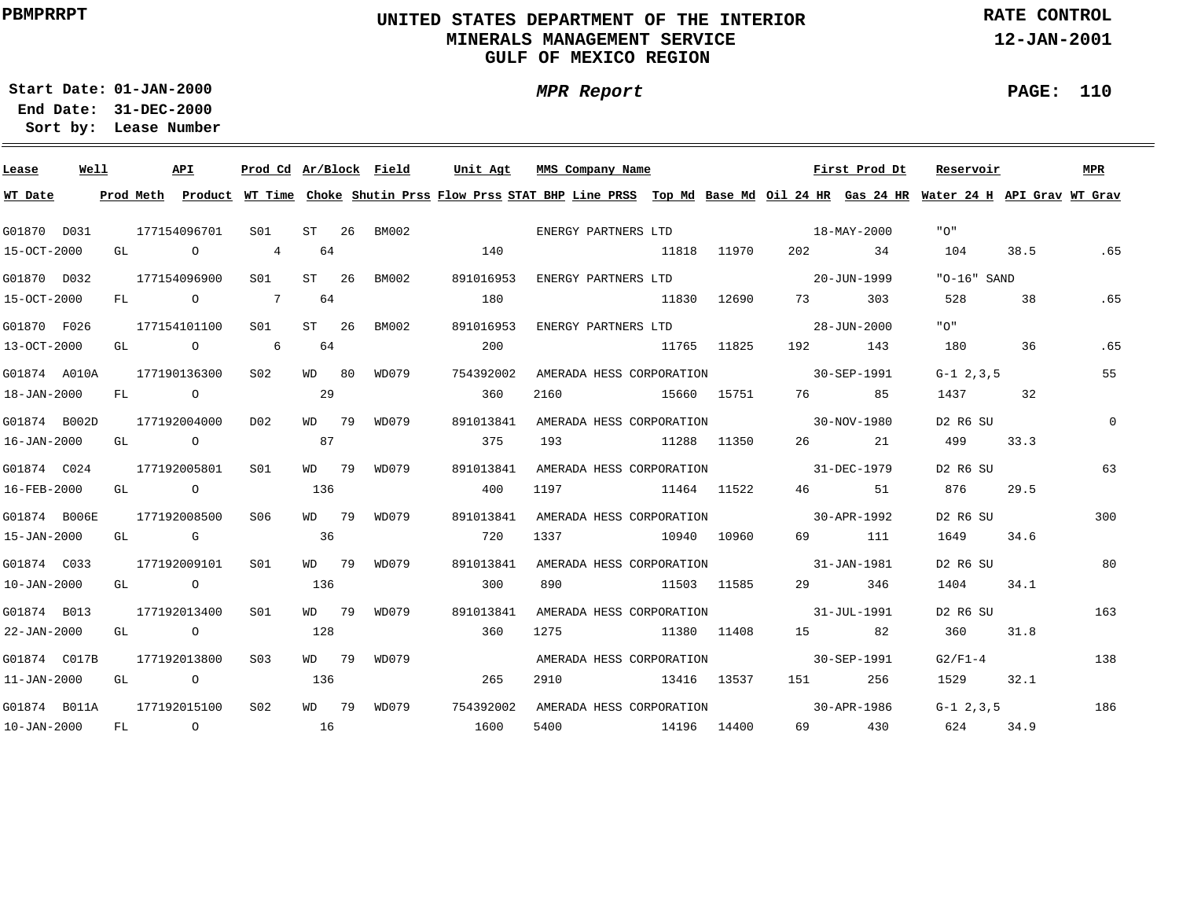### **UNITED STATES DEPARTMENT OF THE INTERIOR MINERALS MANAGEMENT SERVICEGULF OF MEXICO REGION**

**RATE CONTROL**

**12-JAN-2001**

**01-JAN-2000Start Date:**

**31-DEC-2000 End Date: Lease Number Sort by:**

| Lease             | Well |    |      | API                                                        | Prod Cd Ar/Block Field |           |             | Unit Agt  | MMS Company Name                                                                                                                        |             |             |                                                                                                                | First Prod Dt | Reservoir       |      | MPR      |
|-------------------|------|----|------|------------------------------------------------------------|------------------------|-----------|-------------|-----------|-----------------------------------------------------------------------------------------------------------------------------------------|-------------|-------------|----------------------------------------------------------------------------------------------------------------|---------------|-----------------|------|----------|
| WT Date           |      |    |      |                                                            |                        |           |             |           | Prod Meth Product WT Time Choke Shutin Prss Flow Prss STAT BHP Line PRSS Top Md Base Md Oil 24 HR Gas 24 HR Water 24 H API Grav WT Grav |             |             |                                                                                                                |               |                 |      |          |
| G01870 D031       |      |    |      | 177154096701                                               | S01 <b>S</b>           |           | ST 26 BM002 |           |                                                                                                                                         |             |             |                                                                                                                |               | "∩"             |      |          |
| 15-OCT-2000       |      | GL |      | $\overline{a}$                                             | $4\overline{ }$        | 64        |             | 140       |                                                                                                                                         |             | 11818 11970 | 202                                                                                                            | 34            | 104             | 38.5 | .65      |
| G01870 D032       |      |    |      | 177154096900                                               | S <sub>01</sub>        | ST 26     | BM002       | 891016953 | ENERGY PARTNERS LTD                                                                                                                     |             |             | $20 - JUN - 1999$                                                                                              |               | " $0-16$ " SAND |      |          |
| 15-OCT-2000       |      |    |      | FL O                                                       | $\overline{7}$         | 64        |             | 180       |                                                                                                                                         | 11830       | 12690       | 73 — 1                                                                                                         | 303           | 528             | 38   | .65      |
| G01870 F026       |      |    |      | 177154101100                                               | S <sub>01</sub>        | ST 26     | BM002       | 891016953 | ENERGY PARTNERS LTD                                                                                                                     |             |             | $28 - JIIN - 2000$                                                                                             |               | "∩"             |      |          |
| 13-OCT-2000       |      | GL |      | $\begin{array}{ccc} & & \circ & \circ & \circ \end{array}$ |                        | 64        |             | 200       |                                                                                                                                         |             | 11765 11825 | 192 — 192 — 193 — 193 — 193 — 194 — 194 — 194 — 195 — 196 — 197 — 198 — 198 — 198 — 198 — 198 — 198 — 198 — 19 | 143           | 180             | 36   | .65      |
| G01874 A010A      |      |    |      | 177190136300                                               | S02                    | WD 80     | WD079       | 754392002 | AMERADA HESS CORPORATION                                                                                                                |             |             | $30 - SEP - 1991$                                                                                              |               | $G-1$ 2.3.5     |      | 55       |
| 18-JAN-2000       |      | FL |      | $\overline{O}$                                             |                        | $\sim$ 29 |             | 360       | 2160<br>15660 15751                                                                                                                     |             |             | 76                                                                                                             | 85            | 1437            | 32   |          |
| G01874 B002D      |      |    |      | 177192004000                                               | D <sub>02</sub>        | WD 79     | WD079       | 891013841 | AMERADA HESS CORPORATION 30-NOV-1980                                                                                                    |             |             |                                                                                                                |               | D2 R6 SU        |      | $\Omega$ |
| $16 - JAN - 2000$ |      | GL |      | $\overline{O}$                                             |                        | 87        |             | 375       | 193                                                                                                                                     | 11288 11350 |             |                                                                                                                | 26 21         | 499             | 33.3 |          |
| G01874 C024       |      |    |      | 177192005801                                               | S01                    | WD 79     | WD079       | 891013841 | AMERADA HESS CORPORATION 31-DEC-1979                                                                                                    |             |             |                                                                                                                |               | D2 R6 SU        |      | 63       |
| 16-FEB-2000       |      |    |      | GL O                                                       |                        | 136       |             | 400       | 11464 11522<br>1197                                                                                                                     |             |             | 46 46                                                                                                          | 51            | 876             | 29.5 |          |
| G01874 B006E      |      |    |      | 177192008500                                               | S06                    | WD 79     | WD079       | 891013841 | AMERADA HESS CORPORATION 30-APR-1992                                                                                                    |             |             |                                                                                                                |               | D2 R6 SU        |      | 300      |
| 15-JAN-2000       |      |    |      | GL G                                                       |                        | 36        |             | 720       | 1337                                                                                                                                    |             | 10940 10960 |                                                                                                                | 69 111        | 1649            | 34.6 |          |
| G01874 C033       |      |    |      | 177192009101                                               | SO1                    |           | WD 79 WD079 | 891013841 | AMERADA HESS CORPORATION                                                                                                                |             |             | 31-JAN-1981                                                                                                    |               | D2 R6 SU        |      | 80       |
| $10 - JAN - 2000$ |      |    |      | GL O                                                       |                        | 136       |             | 300       | 890                                                                                                                                     | 11503 11585 |             | 29 — 20                                                                                                        | 346           | 1404            | 34.1 |          |
| G01874 B013       |      |    |      | 177192013400                                               | S <sub>01</sub>        |           | WD 79 WD079 | 891013841 | AMERADA HESS CORPORATION                                                                                                                |             |             | 31-JUL-1991                                                                                                    |               | D2 R6 SU        |      | 163      |
| 22-JAN-2000       |      |    | GL O |                                                            |                        | 128       |             | 360       | 1275                                                                                                                                    | 11380 11408 |             | 15 82                                                                                                          |               | 360             | 31.8 |          |
| G01874 C017B      |      |    |      | 177192013800                                               | S <sub>0</sub> 3       | MD 79     | WD079       |           | AMERADA HESS CORPORATION                                                                                                                |             |             |                                                                                                                | 30-SEP-1991   | $G2/F1-4$       |      | 138      |
| $11 - JAN - 2000$ |      | GL |      | $\overline{O}$                                             |                        | 136       |             | 265       | 13416 13537<br>2910                                                                                                                     |             |             | 151                                                                                                            | 256           | 1529            | 32.1 |          |
| G01874 B011A      |      |    |      | 177192015100                                               | S <sub>02</sub>        |           | WD 79 WD079 | 754392002 | AMERADA HESS CORPORATION 30-APR-1986                                                                                                    |             |             |                                                                                                                |               | $G-1$ 2.3.5     |      | 186      |
| 10-JAN-2000 FL    |      |    |      | $\overline{O}$                                             |                        | 16        |             | 1600      | 5400<br>14196 14400                                                                                                                     |             |             |                                                                                                                | 69 430        | 624             | 34.9 |          |

**PAGE: 110**

÷

**MPR Report**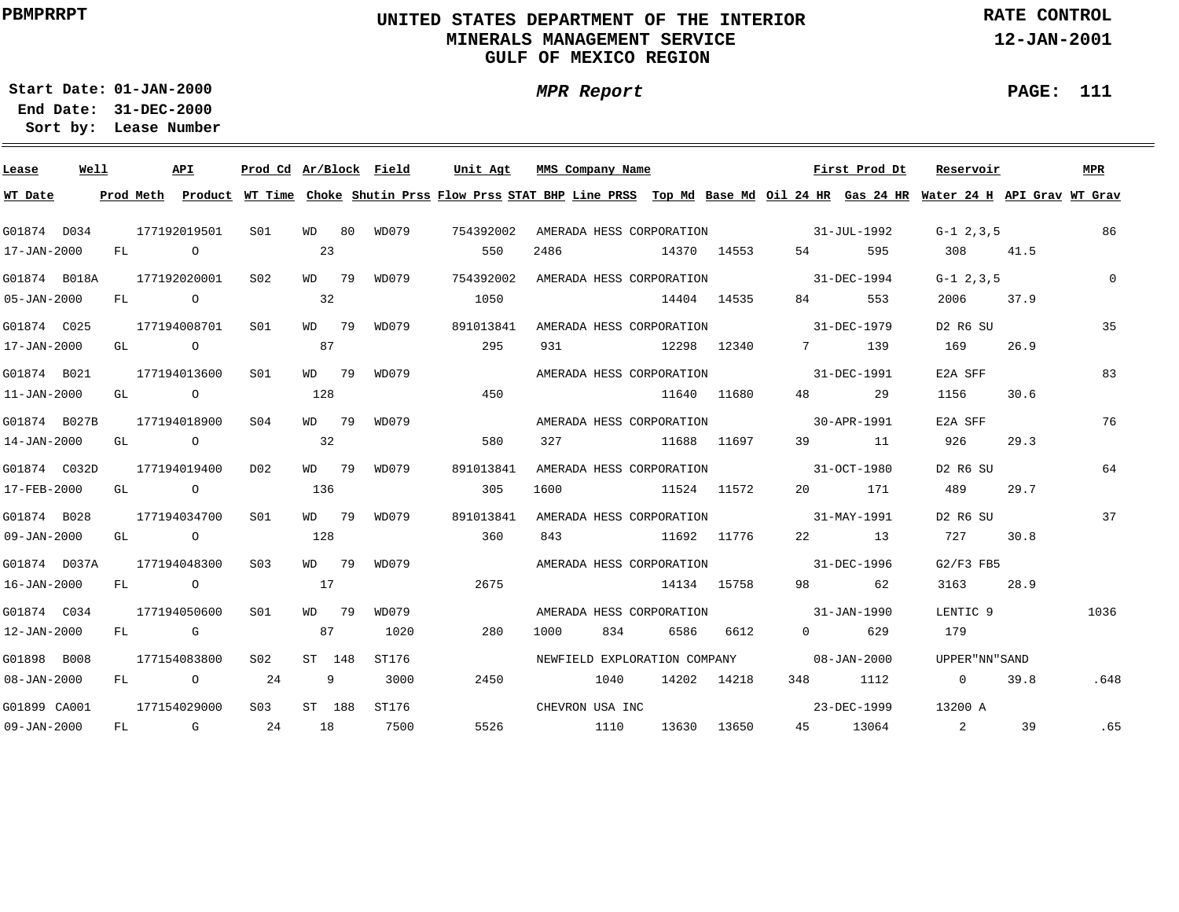### **UNITED STATES DEPARTMENT OF THE INTERIOR MINERALS MANAGEMENT SERVICEGULF OF MEXICO REGION**

**MPR Report**

**RATE CONTROL**

**12-JAN-2001**

**PAGE: 111**

÷

**01-JAN-2000Start Date:31-DEC-2000 End Date:** 

| Lease             | Well |    |                | <b>API</b>     | Prod Cd Ar/Block Field |        |    |       | Unit Agt                                                                                                                                | MMS Company Name |      |                              |             |                   | First Prod Dt     | Reservoir       |      | <b>MPR</b> |
|-------------------|------|----|----------------|----------------|------------------------|--------|----|-------|-----------------------------------------------------------------------------------------------------------------------------------------|------------------|------|------------------------------|-------------|-------------------|-------------------|-----------------|------|------------|
| WT Date           |      |    |                |                |                        |        |    |       | Prod Meth Product WT Time Choke Shutin Prss Flow Prss STAT BHP Line PRSS Top Md Base Md Oil 24 HR Gas 24 HR Water 24 H API Grav WT Grav |                  |      |                              |             |                   |                   |                 |      |            |
| G01874 D034       |      |    |                | 177192019501   | S <sub>01</sub>        | WD     | 80 | WD079 | 754392002                                                                                                                               |                  |      | AMERADA HESS CORPORATION     |             | $31 - JUL - 1992$ |                   | $G-1$ 2.3.5     |      | 86         |
| 17-JAN-2000       |      | FL |                | $\circ$        |                        | 23     |    |       | 550                                                                                                                                     | 2486             |      |                              | 14370 14553 | 54                | 595               | 308             | 41.5 |            |
| G01874 B018A      |      |    |                | 177192020001   | S <sub>02</sub>        | WD 79  |    | WD079 | 754392002                                                                                                                               |                  |      | AMERADA HESS CORPORATION     |             | 31-DEC-1994       |                   | $G-1$ 2, 3, 5   |      | $\Omega$   |
| 05-JAN-2000       |      | FL |                | $\circ$        |                        | 32     |    |       | 1050                                                                                                                                    |                  |      |                              | 14404 14535 | 84 — 10           | 553               | 2006            | 37.9 |            |
| G01874 C025       |      |    |                | 177194008701   | S <sub>01</sub>        | WD 79  |    | WD079 | 891013841                                                                                                                               |                  |      | AMERADA HESS CORPORATION     |             | $31 - DEC - 1979$ |                   | D2 R6 SU        |      | 35         |
| 17-JAN-2000       |      | GL | $\overline{a}$ |                |                        | 87     |    |       | 295                                                                                                                                     | 931              |      | 12298 12340                  |             | 7                 | 139               | 169             | 26.9 |            |
| G01874 B021       |      |    |                | 177194013600   | S <sub>01</sub>        | WD 79  |    | WD079 |                                                                                                                                         |                  |      | AMERADA HESS CORPORATION     |             |                   | $31 - DEC - 1991$ | E2A SFF         |      | 83         |
| $11 - JAN - 2000$ |      | GL |                | $\overline{a}$ |                        | 128    |    |       | 450                                                                                                                                     |                  |      |                              | 11640 11680 | 48 — 18           | 29                | 1156            | 30.6 |            |
| G01874 B027B      |      |    |                | 177194018900   | SO <sub>4</sub>        | WD 79  |    | WD079 |                                                                                                                                         |                  |      | AMERADA HESS CORPORATION     |             |                   | 30-APR-1991       | E2A SFF         |      | 76         |
| 14-JAN-2000       |      | GL |                | $\overline{O}$ |                        | 32     |    |       | 580                                                                                                                                     | 327              |      |                              | 11688 11697 | 39                | - 11              | 926             | 29.3 |            |
| G01874 C032D      |      |    |                | 177194019400   | D <sub>0</sub> 2       | WD 79  |    | WD079 | 891013841                                                                                                                               |                  |      | AMERADA HESS CORPORATION     |             |                   | 31-OCT-1980       | D2 R6 SU        |      | 64         |
| 17-FEB-2000       |      | GL |                | $\overline{O}$ |                        | 136    |    |       | 305                                                                                                                                     | 1600             |      |                              | 11524 11572 |                   | 171               | 489             | 29.7 |            |
| G01874 B028       |      |    |                | 177194034700   | S <sub>01</sub>        | WD 79  |    | WD079 | 891013841                                                                                                                               |                  |      | AMERADA HESS CORPORATION     |             |                   | 31-MAY-1991       | D2 R6 SU        |      | 37         |
| 09-JAN-2000       |      | GL |                | $\overline{a}$ |                        | 128    |    |       | 360                                                                                                                                     | 843              |      | 11692 11776                  |             |                   | 22 13             | 727             | 30.8 |            |
| G01874 D037A      |      |    |                | 177194048300   | S <sub>03</sub>        | WD 79  |    | WD079 |                                                                                                                                         |                  |      | AMERADA HESS CORPORATION     |             | 31-DEC-1996       |                   | $G2/F3$ FB5     |      |            |
| 16-JAN-2000       |      | FL |                | $\overline{O}$ |                        | 17     |    |       | 2675                                                                                                                                    |                  |      |                              | 14134 15758 | 98 — 100          | 62                | 3163            | 28.9 |            |
| G01874 C034       |      |    |                | 177194050600   | S01                    | WD 79  |    | WD079 |                                                                                                                                         |                  |      | AMERADA HESS CORPORATION     |             | $31 - JAN - 1990$ |                   | LENTIC 9        |      | 1036       |
| 12-JAN-2000       |      |    | FL G           |                |                        | 87     |    | 1020  | 280                                                                                                                                     | 1000             | 834  | 6586                         | 6612        | $\Omega$          | 629               | 179             |      |            |
| G01898 B008       |      |    |                | 177154083800   | SO2                    | ST 148 |    | ST176 |                                                                                                                                         |                  |      | NEWFIELD EXPLORATION COMPANY |             |                   | $08 - JAN - 2000$ | UPPER "NN" SAND |      |            |
| 08-JAN-2000       |      | FL |                | $\overline{O}$ | 24                     | 9      |    | 3000  | 2450                                                                                                                                    |                  | 1040 |                              | 14202 14218 |                   | 348 1112          | $\overline{0}$  | 39.8 | .648       |
| G01899 CA001      |      |    |                | 177154029000   | S <sub>03</sub>        | ST 188 |    | ST176 |                                                                                                                                         | CHEVRON USA INC  |      |                              |             |                   | 23-DEC-1999       | 13200 A         |      |            |
| 09-JAN-2000       |      | FL |                | G              | 24                     | 18     |    | 7500  | 5526                                                                                                                                    |                  | 1110 | 13630                        | 13650       | 45                | 13064             | 2               | 39   | .65        |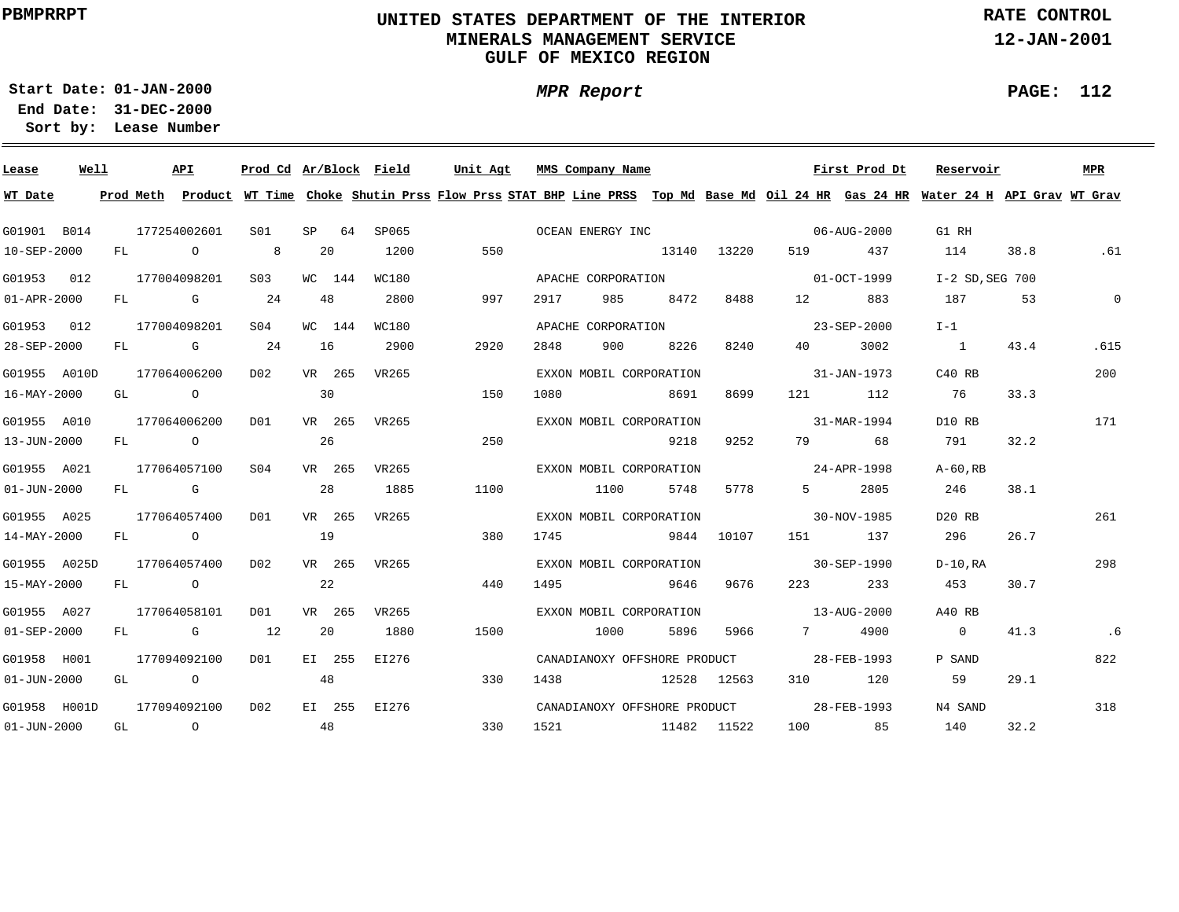### **UNITED STATES DEPARTMENT OF THE INTERIOR MINERALS MANAGEMENT SERVICEGULF OF MEXICO REGION**

**MPR Report**

**RATE CONTROL**

**12-JAN-2001**

**PAGE: 112**

÷

**01-JAN-2000Start Date:**

| Lease             | Well |    | API            |                  |    |        | Prod Cd Ar/Block Field | Unit Agt |      |      | MMS Company Name                         |      |          |                          | First Prod Dt | Reservoir                                                                                                                               |      | MPR      |
|-------------------|------|----|----------------|------------------|----|--------|------------------------|----------|------|------|------------------------------------------|------|----------|--------------------------|---------------|-----------------------------------------------------------------------------------------------------------------------------------------|------|----------|
| WT Date           |      |    |                |                  |    |        |                        |          |      |      |                                          |      |          |                          |               | Prod Meth Product WT Time Choke Shutin Prss Flow Prss STAT BHP Line PRSS Top Md Base Md Oil 24 HR Gas 24 HR Water 24 H API Grav WT Grav |      |          |
| G01901 B014       |      |    | 177254002601   | S01              |    | SP 64  | SP065                  |          |      |      | OCEAN ENERGY INC                         |      |          | $06 - \text{AUG} - 2000$ |               | G1 RH                                                                                                                                   |      |          |
| 10-SEP-2000       |      |    | FL O           | 8 <sup>8</sup>   |    | 20     | 1200                   |          | 550  |      | 13140 13220                              |      |          |                          | 519 437       | 114                                                                                                                                     | 38.8 | .61      |
| G01953 012        |      |    | 177004098201   | S <sub>03</sub>  |    | WC 144 | WC180                  |          |      |      | APACHE CORPORATION                       |      |          | $01 - OCT - 1999$        |               | $I-2$ SD.SEG 700                                                                                                                        |      |          |
| $01 - APR - 2000$ |      |    | FL G 24        |                  |    | 48     | 2800                   |          | 997  | 2917 | 985                                      | 8472 | 8488     | 12 and $\overline{a}$    | 883           | 187                                                                                                                                     | 53   | $\Omega$ |
| G01953 012        |      |    | 177004098201   | S04              |    | WC 144 | WC180                  |          |      |      | APACHE CORPORATION                       |      |          |                          | 23-SEP-2000   | $I-1$                                                                                                                                   |      |          |
| 28-SEP-2000       |      | FL | <b>G</b> 24    |                  | 16 |        | 2900                   |          | 2920 | 2848 | 900                                      | 8226 | 8240     | 40 — 10                  | 3002          | $\sim$ 1                                                                                                                                | 43.4 | .615     |
| G01955 A010D      |      |    | 177064006200   | D02              |    | VR 265 | VR265                  |          |      |      | EXXON MOBIL CORPORATION                  |      |          |                          | 31-JAN-1973   | C40 RB                                                                                                                                  |      | 200      |
| 16-MAY-2000       |      | GL | $\overline{O}$ |                  | 30 |        |                        |          | 150  | 1080 |                                          | 8691 | 8699     |                          | 121 112       | 76                                                                                                                                      | 33.3 |          |
| G01955 A010       |      |    | 177064006200   | DO1              |    |        | VR 265 VR265           |          |      |      | EXXON MOBIL CORPORATION                  |      |          | $31 - \text{MAR} - 1994$ |               | D10 RB                                                                                                                                  |      | 171      |
| 13-JUN-2000       |      |    | FL O           |                  | 26 |        |                        |          | 250  |      |                                          | 9218 | 9252     |                          | 79 68         | 791                                                                                                                                     | 32.2 |          |
| G01955 A021       |      |    | 177064057100   | S04              |    | VR 265 | VR265                  |          |      |      | EXXON MOBIL CORPORATION                  |      |          | $24 - APR - 1998$        |               | $A-60$ .RB                                                                                                                              |      |          |
| $01 - JUN - 2000$ |      |    | FL G           |                  | 28 |        | 1885                   |          | 1100 |      | 1100                                     | 5748 | 5778     | $5 - 1$                  | 2805          | 246                                                                                                                                     | 38.1 |          |
| G01955 A025       |      |    | 177064057400   | DO1              |    | VR 265 | VR265                  |          |      |      | EXXON MOBIL CORPORATION                  |      |          | $30-NOV-1985$            |               | D20 RB                                                                                                                                  |      | 261      |
| $14 - MAX - 2000$ |      |    | FL O           |                  | 19 |        |                        |          | 380  | 1745 | 9844 10107                               |      |          |                          | 151 137       | 296                                                                                                                                     | 26.7 |          |
| G01955 A025D      |      |    | 177064057400   | D02              |    | VR 265 | VR265                  |          |      |      | EXXON MOBIL CORPORATION                  |      |          | $30 - SEP - 1990$        |               | D-10,RA                                                                                                                                 |      | 298      |
| 15-MAY-2000       |      |    | FL O           |                  |    | 22     |                        |          | 440  | 1495 |                                          | 9646 | 9676     | 223                      | 233           | 453                                                                                                                                     | 30.7 |          |
| G01955 A027       |      |    | 177064058101   | D01              |    | VR 265 | VR265                  |          |      |      | EXXON MOBIL CORPORATION                  |      |          | $13 - \text{AUG} - 2000$ |               | A40 RB                                                                                                                                  |      |          |
| $01 - SEP - 2000$ |      |    | FL G           | 12               |    | 20     | 1880                   |          | 1500 |      | 1000                                     | 5896 | 5966 700 | 7                        | 4900          | $\Omega$                                                                                                                                | 41.3 | .6       |
| G01958 H001       |      |    | 177094092100   | D01              |    | EI 255 | EI276                  |          |      |      | CANADIANOXY OFFSHORE PRODUCT 28-FEB-1993 |      |          |                          |               | P SAND                                                                                                                                  |      | 822      |
| $01 - JUN - 2000$ |      |    | GL O           |                  | 48 |        |                        |          | 330  | 1438 | 12528 12563                              |      |          |                          | 310 120       | 59                                                                                                                                      | 29.1 |          |
| G01958 H001D      |      |    | 177094092100   | D <sub>0</sub> 2 |    |        | EI 255 EI276           |          |      |      | CANADIANOXY OFFSHORE PRODUCT 28-FEB-1993 |      |          |                          |               | N4 SAND                                                                                                                                 |      | 318      |
| $01 - JUN - 2000$ |      |    | GL O           | 48               |    |        |                        |          | 330  |      | 1521 11482 11522                         |      |          |                          | 100 85        | 140                                                                                                                                     | 32.2 |          |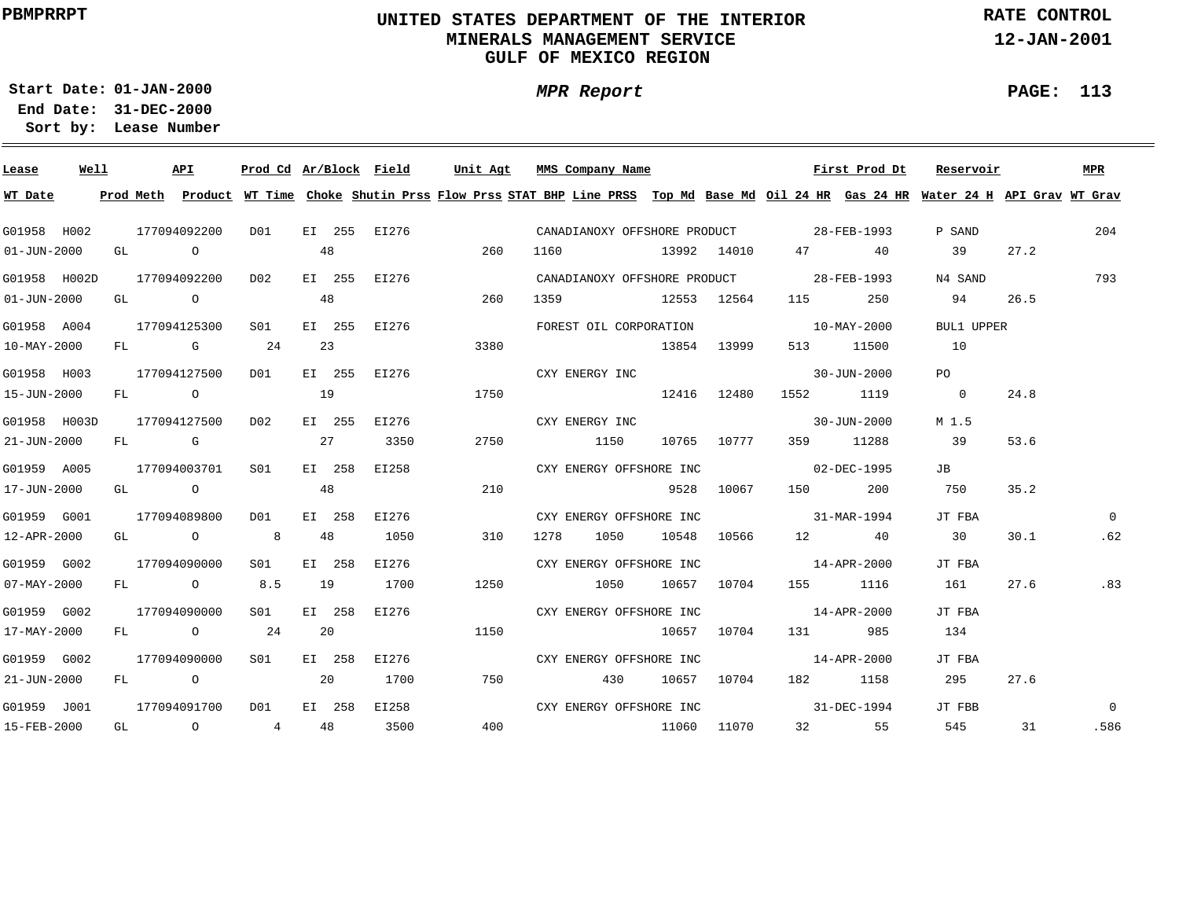### **UNITED STATES DEPARTMENT OF THE INTERIOR MINERALS MANAGEMENT SERVICEGULF OF MEXICO REGION**

**MPR Report**

**RATE CONTROL**

**12-JAN-2001**

**PAGE: 113**

**01-JAN-2000Start Date:31-DEC-2000 End Date:** 

| Lease             | Well |              | API                                  |                 |    |        | Prod Cd Ar/Block Field |      | Unit Agt | MMS Company Name        |     |             |                                    | First Prod Dt                            | Reservoir                                                                                                                               |      | <b>MPR</b> |
|-------------------|------|--------------|--------------------------------------|-----------------|----|--------|------------------------|------|----------|-------------------------|-----|-------------|------------------------------------|------------------------------------------|-----------------------------------------------------------------------------------------------------------------------------------------|------|------------|
| WT Date           |      |              |                                      |                 |    |        |                        |      |          |                         |     |             |                                    |                                          | Prod Meth Product WT Time Choke Shutin Prss Flow Prss STAT BHP Line PRSS Top Md Base Md Oil 24 HR Gas 24 HR Water 24 H API Grav WT Grav |      |            |
| G01958 H002       |      | 177094092200 |                                      | DO1             |    |        | EI 255 EI276           |      |          |                         |     |             |                                    | CANADIANOXY OFFSHORE PRODUCT 28-FEB-1993 | P SAND                                                                                                                                  |      | 204        |
| $01 - JUN - 2000$ |      | GL O         |                                      |                 | 48 |        |                        |      | 260      |                         |     |             |                                    |                                          | 39                                                                                                                                      | 27.2 |            |
| G01958 H002D      |      | 177094092200 |                                      | D02             |    |        | EI 255 EI276           |      |          |                         |     |             |                                    | CANADIANOXY OFFSHORE PRODUCT 28-FEB-1993 | N4 SAND                                                                                                                                 |      | 793        |
| $01 - JUN - 2000$ |      | GL O         |                                      |                 | 48 |        |                        |      | 260      | 1359 12553 12564        |     |             | 115                                | 250                                      | 94                                                                                                                                      | 26.5 |            |
| G01958 A004       |      | 177094125300 |                                      | S01             |    |        | EI 255 EI276           |      |          |                         |     |             | FOREST OIL CORPORATION 10-MAY-2000 |                                          | BUL1 UPPER                                                                                                                              |      |            |
| 10-MAY-2000       |      |              | $FL$ G 24                            |                 | 23 |        |                        |      | 3380     |                         |     | 13854 13999 |                                    | 513 11500                                | 10                                                                                                                                      |      |            |
| G01958 H003       |      | 177094127500 |                                      | D01             |    |        | EI 255 EI276           |      |          | CXY ENERGY INC          |     |             |                                    | 30-JUN-2000                              | PO                                                                                                                                      |      |            |
| 15-JUN-2000       |      |              | FL O                                 | 19              |    |        |                        |      | 1750     |                         |     | 12416 12480 |                                    | 1552 1119                                | $\overline{0}$                                                                                                                          | 24.8 |            |
| G01958 H003D      |      | 177094127500 |                                      | D02             |    | EI 255 | EI276                  |      |          | CXY ENERGY INC          |     |             |                                    | $30 - JUN - 2000$                        | M 1.5                                                                                                                                   |      |            |
| 21-JUN-2000       |      | FL G         |                                      |                 | 27 |        | 3350                   |      | 2750     | 1150                    |     |             | 10765 10777 359 11288              |                                          | 39                                                                                                                                      | 53.6 |            |
| G01959 A005       |      | 177094003701 |                                      | S01             |    | EI 258 | EI258                  |      |          | CXY ENERGY OFFSHORE INC |     |             | $02 - DEC - 1995$                  |                                          | JB                                                                                                                                      |      |            |
| 17-JUN-2000       |      | GL O         |                                      |                 | 48 |        |                        |      | 210      |                         |     | 9528 10067  |                                    | 150 200                                  | 750                                                                                                                                     | 35.2 |            |
| G01959 G001       |      | 177094089800 |                                      | DO1             |    | EI 258 | EI276                  |      |          | CXY ENERGY OFFSHORE INC |     |             | $31 - \text{MAR} - 1994$           |                                          | JT FBA                                                                                                                                  |      | $\Omega$   |
| 12-APR-2000       |      |              | GL $\qquad \qquad 0 \qquad \qquad 8$ |                 | 48 |        | 1050                   |      | 310      |                         |     |             | 1278 1050 10548 10566 12 40        |                                          | 30                                                                                                                                      | 30.1 | .62        |
| G01959 G002       |      | 177094090000 |                                      | S01             |    | EI 258 | EI276                  |      |          | CXY ENERGY OFFSHORE INC |     |             | $14 - APR - 2000$                  |                                          | JT FBA                                                                                                                                  |      |            |
| 07-MAY-2000       |      |              | FL 0 8.5                             |                 | 19 |        | 1700                   | 1250 |          | 1050                    |     | 10657 10704 |                                    | 155 1116                                 | 161                                                                                                                                     | 27.6 | .83        |
| G01959 G002       |      | 177094090000 |                                      | S01 - 1         |    | EI 258 | EI276                  |      |          | CXY ENERGY OFFSHORE INC |     |             | $14 - APR - 2000$                  |                                          | JT FBA                                                                                                                                  |      |            |
| 17-MAY-2000       |      |              | FL 0 24                              |                 | 20 |        |                        |      | 1150     |                         |     | 10657 10704 |                                    | 131 985                                  | 134                                                                                                                                     |      |            |
| G01959 G002       |      | 177094090000 |                                      | S <sub>01</sub> |    | EI 258 | EI276                  |      |          | CXY ENERGY OFFSHORE INC |     |             | $14 - APR - 2000$                  |                                          | JT FBA                                                                                                                                  |      |            |
| 21-JUN-2000       |      | FL O         |                                      | 20              |    |        | 1700                   |      | 750      |                         | 430 | 10657 10704 |                                    | 182 1158                                 | 295                                                                                                                                     | 27.6 |            |
| G01959 J001       |      | 177094091700 |                                      | DO1             |    | EI 258 | EI258                  |      |          | CXY ENERGY OFFSHORE INC |     |             | $31-DEC-1994$                      |                                          | JT FBB                                                                                                                                  |      | $\Omega$   |
| 15-FEB-2000       |      |              |                                      | GL 0 4 48       |    |        | 3500                   |      |          | 400 11060 11070         |     |             |                                    | 32 55                                    | 545                                                                                                                                     | 31   | .586       |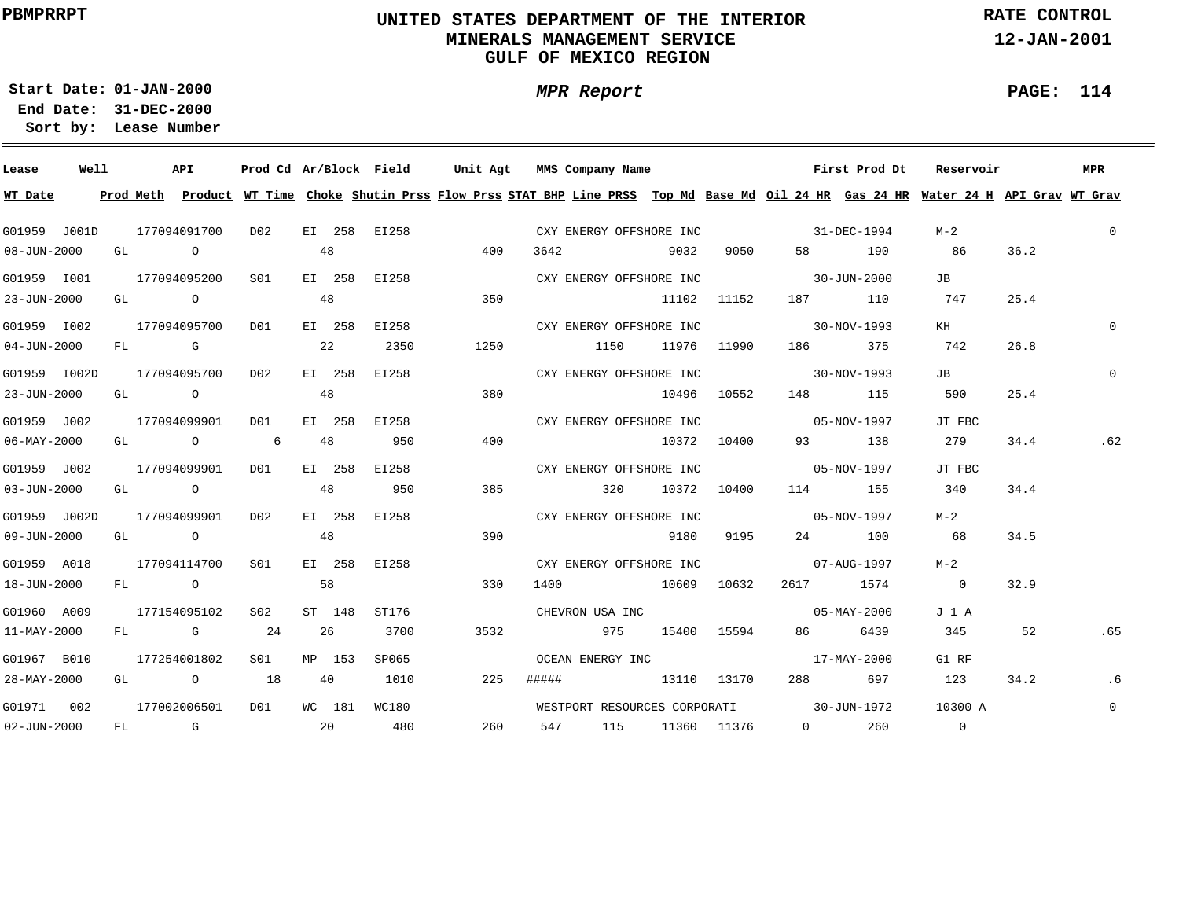### **UNITED STATES DEPARTMENT OF THE INTERIOR MINERALS MANAGEMENT SERVICEGULF OF MEXICO REGION**

**MPR Report**

**RATE CONTROL**

**12-JAN-2001**

**PAGE: 114**

٠

**01-JAN-2000Start Date:31-DEC-2000 End Date:** 

| Lease             | Well |  | API                                   | Prod Cd Ar/Block Field |    |        |              |      | Unit Agt MMS Company Name |             |             |                                     | First Prod Dt                                    | Reservoir                                                                                                                               |      | MPR            |
|-------------------|------|--|---------------------------------------|------------------------|----|--------|--------------|------|---------------------------|-------------|-------------|-------------------------------------|--------------------------------------------------|-----------------------------------------------------------------------------------------------------------------------------------------|------|----------------|
| WT Date           |      |  |                                       |                        |    |        |              |      |                           |             |             |                                     |                                                  | Prod Meth Product WT Time Choke Shutin Prss Flow Prss STAT BHP Line PRSS Top Md Base Md Oil 24 HR Gas 24 HR Water 24 H API Grav WT Grav |      |                |
| G01959 J001D      |      |  | 177094091700                          | D02                    |    |        | EI 258 EI258 |      | CXY ENERGY OFFSHORE INC   |             |             |                                     | $31 - DEC - 1994$                                | $M-2$                                                                                                                                   |      | $\Omega$       |
| $08 - JUN - 2000$ |      |  | GL O                                  |                        | 48 |        |              | 400  | 3642 and $\sim$           | 9032        | 9050 — 100  |                                     | 58 190                                           | 86                                                                                                                                      | 36.2 |                |
| G01959 I001       |      |  | 177094095200                          | S01                    |    |        | EI 258 EI258 |      | CXY ENERGY OFFSHORE INC   |             |             | $30 - JUN - 2000$                   |                                                  | JB                                                                                                                                      |      |                |
| $23 - JUN - 2000$ |      |  | GL O                                  |                        | 48 |        |              | 350  |                           |             | 11102 11152 |                                     | 187 110                                          | 747                                                                                                                                     | 25.4 |                |
| G01959 I002       |      |  | 177094095700                          | DO1                    |    |        | EI 258 EI258 |      | CXY ENERGY OFFSHORE INC   |             |             | $30-NOV-1993$                       |                                                  | KH                                                                                                                                      |      | $\Omega$       |
| $04 - JUN - 2000$ |      |  | FL G                                  |                        | 22 |        | 2350         | 1250 | 1150 11976 11990          |             |             |                                     | 186 375 742                                      |                                                                                                                                         | 26.8 |                |
| G01959 I002D      |      |  | 177094095700                          | D <sub>0.2</sub>       |    |        | EI 258 EI258 |      |                           |             |             | CXY ENERGY OFFSHORE INC 30-NOV-1993 |                                                  | JB                                                                                                                                      |      | $\Omega$       |
| $23 - JUN - 2000$ |      |  | GL O                                  |                        | 48 |        |              | 380  | 10496 10552               |             |             |                                     | 148 115                                          | 590                                                                                                                                     | 25.4 |                |
| G01959 J002       |      |  | 177094099901                          | DO1                    |    |        | EI 258 EI258 |      |                           |             |             |                                     | CXY ENERGY OFFSHORE INC 05-NOV-1997              | JT FBC                                                                                                                                  |      |                |
| $06 - MAX - 2000$ |      |  | GL O 6                                |                        | 48 |        | 950          | 400  |                           | 10372 10400 |             |                                     | 93 138                                           | 279                                                                                                                                     | 34.4 | .62            |
| G01959 J002       |      |  | 177094099901                          | D01                    |    |        | EI 258 EI258 |      |                           |             |             |                                     | CXY ENERGY OFFSHORE INC 05-NOV-1997              | JT FBC                                                                                                                                  |      |                |
| $03 - JUN - 2000$ |      |  | GL O                                  |                        | 48 |        | 950          | 385  | 320 10372 10400           |             |             |                                     | 114 155                                          | 340                                                                                                                                     | 34.4 |                |
| G01959 J002D      |      |  | 177094099901                          | DO 2                   |    | EI 258 | EI258        |      | CXY ENERGY OFFSHORE INC   |             |             |                                     | $05 - NOV - 1997$                                | $M-2$                                                                                                                                   |      |                |
| $09 - JUN - 2000$ |      |  | GL O                                  |                        | 48 |        |              | 390  |                           |             |             |                                     | 9180 9195 24 100                                 | 68                                                                                                                                      | 34.5 |                |
| G01959 A018       |      |  | 177094114700                          | S01 <b>S</b>           |    |        | EI 258 EI258 |      | CXY ENERGY OFFSHORE INC   |             |             |                                     | $07 - AUG - 1997$                                | M-2                                                                                                                                     |      |                |
| 18-JUN-2000       |      |  | FL O                                  |                        |    | 58     |              | 330  | 1400 10609 10632          |             |             |                                     | 2617 1574                                        | $\overline{0}$                                                                                                                          | 32.9 |                |
| G01960 A009       |      |  | 177154095102                          | S02                    |    | ST 148 | ST176        |      | CHEVRON USA INC           |             |             | $05 - \text{MAX} - 2000$            |                                                  | J 1 A                                                                                                                                   |      |                |
| 11-MAY-2000       |      |  | FL G 24 26                            |                        |    |        | 3700         | 3532 |                           |             |             | 975 15400 15594 86 6439             |                                                  | 345                                                                                                                                     | 52   | .65            |
| G01967 B010       |      |  | 177254001802                          | S01                    |    | MP 153 | SP065        |      |                           |             |             |                                     | OCEAN ENERGY INC 37-MAY-2000                     | G1 RF                                                                                                                                   |      |                |
| 28-MAY-2000       |      |  | GL $\qquad \qquad 0 \qquad \qquad 18$ |                        |    | 40     | 1010         | 225  | ##### 13110 13170         |             |             |                                     | 288 697                                          | 123                                                                                                                                     | 34.2 | . 6            |
| G01971 002        |      |  | 177002006501                          | D01                    |    |        | WC 181 WC180 |      |                           |             |             |                                     | WESTPORT RESOURCES CORPORATI 30-JUN-1972 10300 A |                                                                                                                                         |      | $\overline{0}$ |
| $02 - JUN - 2000$ |      |  | FL G 20 480                           |                        |    |        |              | 260  |                           |             |             |                                     | 547 115 11360 11376 0 260                        | $\sim$ 0                                                                                                                                |      |                |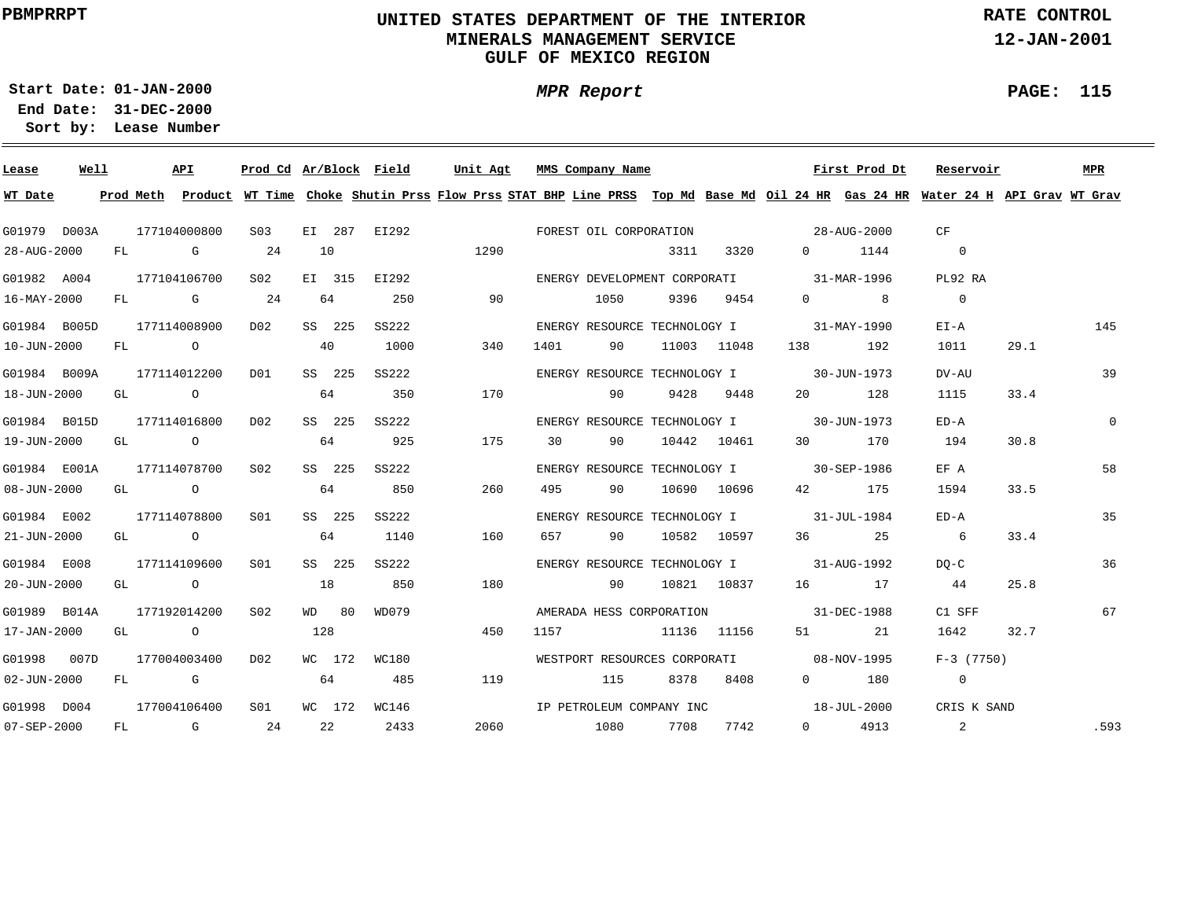### **UNITED STATES DEPARTMENT OF THE INTERIOR MINERALS MANAGEMENT SERVICEGULF OF MEXICO REGION**

**MPR Report**

**RATE CONTROL**

**12-JAN-2001**

**PAGE: 115**

**01-JAN-2000Start Date:31-DEC-2000 End Date:** 

| Lease             | Well |    | API          |                 |     |        | Prod Cd Ar/Block Field | Unit Agt                                                                                                                                | MMS Company Name |      |      |             |                                          | First Prod Dt | Reservoir                |      | MPR         |
|-------------------|------|----|--------------|-----------------|-----|--------|------------------------|-----------------------------------------------------------------------------------------------------------------------------------------|------------------|------|------|-------------|------------------------------------------|---------------|--------------------------|------|-------------|
| WT Date           |      |    |              |                 |     |        |                        | Prod Meth Product WT Time Choke Shutin Prss Flow Prss STAT BHP Line PRSS Top Md Base Md Oil 24 HR Gas 24 HR Water 24 H API Grav WT Grav |                  |      |      |             |                                          |               |                          |      |             |
| G01979 D003A      |      |    | 177104000800 | S03             |     |        | EI 287 EI292           | FOREST OIL CORPORATION                                                                                                                  |                  |      |      |             | $28 - \text{AUG} - 2000$                 |               | CF                       |      |             |
| 28-AUG-2000       |      |    | FL G         | 24              |     | 10     |                        | 1290                                                                                                                                    |                  |      | 3311 | 3320        |                                          | $0 \t1144$    | $\overline{0}$           |      |             |
| G01982 A004       |      |    | 177104106700 | S <sub>02</sub> |     | EI 315 | EI292                  |                                                                                                                                         |                  |      |      |             | ENERGY DEVELOPMENT CORPORATI 31-MAR-1996 |               | PL92 RA                  |      |             |
| 16-MAY-2000       |      |    | FL G         | 24              |     | 64     | 250                    | 90                                                                                                                                      |                  | 1050 |      | 9396 9454   |                                          | $0$ 8         | $\overline{0}$           |      |             |
| G01984 B005D      |      |    | 177114008900 | D02             |     | SS 225 | SS222                  |                                                                                                                                         |                  |      |      |             | ENERGY RESOURCE TECHNOLOGY I 31-MAY-1990 |               | $E I - A$                |      | 145         |
| 10-JUN-2000       |      |    | FL O         |                 |     | 40     | 1000                   | 340                                                                                                                                     | 1401             | 90   |      | 11003 11048 | 138 — 138                                | 192           | 1011                     | 29.1 |             |
| G01984 B009A      |      |    | 177114012200 | DO1             |     | SS 225 | SS222                  |                                                                                                                                         |                  |      |      |             | ENERGY RESOURCE TECHNOLOGY I 30-JUN-1973 |               | DV-AU                    |      | 39          |
| 18-JUN-2000       |      |    | GL O         |                 | 64  |        | 350                    | 170                                                                                                                                     | $\sim$ 90        |      |      | 9428 9448   | 20                                       | 128           | 1115                     | 33.4 |             |
| G01984 B015D      |      |    | 177114016800 | D02             |     | SS 225 | SS222                  |                                                                                                                                         |                  |      |      |             | ENERGY RESOURCE TECHNOLOGY I 30-JUN-1973 |               | $ED - A$                 |      | $\mathbf 0$ |
| 19-JUN-2000       |      |    | GL O         |                 | 64  |        | 925                    | 175                                                                                                                                     | 30               | 90   |      | 10442 10461 | 30                                       | 170           | 194                      | 30.8 |             |
| G01984 E001A      |      |    | 177114078700 | S02             |     | SS 225 | SS222                  |                                                                                                                                         |                  |      |      |             | ENERGY RESOURCE TECHNOLOGY I 30-SEP-1986 |               | EF A                     |      | 58          |
| 08-JUN-2000       |      |    | GL O         |                 | 64  |        | 850                    | 260                                                                                                                                     | 495              | 90   |      | 10690 10696 |                                          | 42 175        | 1594                     | 33.5 |             |
| G01984 E002       |      |    | 177114078800 | SO1             |     | SS 225 | SS222                  |                                                                                                                                         |                  |      |      |             | ENERGY RESOURCE TECHNOLOGY I 31-JUL-1984 |               | $ED - A$                 |      | 35          |
| 21-JUN-2000       |      |    | GL O         |                 |     | 64     | 1140                   | 160                                                                                                                                     | 657 90           |      |      |             | 10582 10597 36 25                        |               | $6\overline{6}$          | 33.4 |             |
| G01984 E008       |      |    | 177114109600 | SO1             |     | SS 225 | SS222                  |                                                                                                                                         |                  |      |      |             | ENERGY RESOURCE TECHNOLOGY I 31-AUG-1992 |               | $DO-C$                   |      | 36          |
| 20-JUN-2000       |      |    | GL O         |                 | 18  |        | 850                    | 180                                                                                                                                     | $\sim$ 90        |      |      |             | 10821 10837 16 17                        |               | 44                       | 25.8 |             |
| G01989 B014A      |      |    | 177192014200 | S02             |     | WD 80  | WD079                  |                                                                                                                                         |                  |      |      |             | AMERADA HESS CORPORATION 31-DEC-1988     |               | C1 SFF                   |      | 67          |
| 17-JAN-2000       |      |    | GL O         |                 | 128 |        |                        | 450                                                                                                                                     | 1157             |      |      | 11136 11156 |                                          | 21            | 1642                     | 32.7 |             |
| G01998 007D       |      |    | 177004003400 | D02             |     | WC 172 | WC180                  |                                                                                                                                         |                  |      |      |             | WESTPORT RESOURCES CORPORATI 08-NOV-1995 |               | $F-3$ (7750)             |      |             |
| $02 - JUN - 2000$ |      |    | FL G         |                 | 64  |        | 485                    | 119                                                                                                                                     |                  | 115  | 8378 | 8408        |                                          | $0$ 180       | $\overline{\phantom{0}}$ |      |             |
| G01998 D004       |      |    | 177004106400 | S01             |     |        | WC 172 WC146           |                                                                                                                                         |                  |      |      |             | IP PETROLEUM COMPANY INC 18-JUL-2000     |               | CRIS K SAND              |      |             |
| 07-SEP-2000       |      | FL | <b>G</b>     | 24              |     | 22     | 2433                   | 2060                                                                                                                                    | 1080             |      | 7708 | 7742        |                                          | $0$ 4913      | $\sim$ 2                 |      | .593        |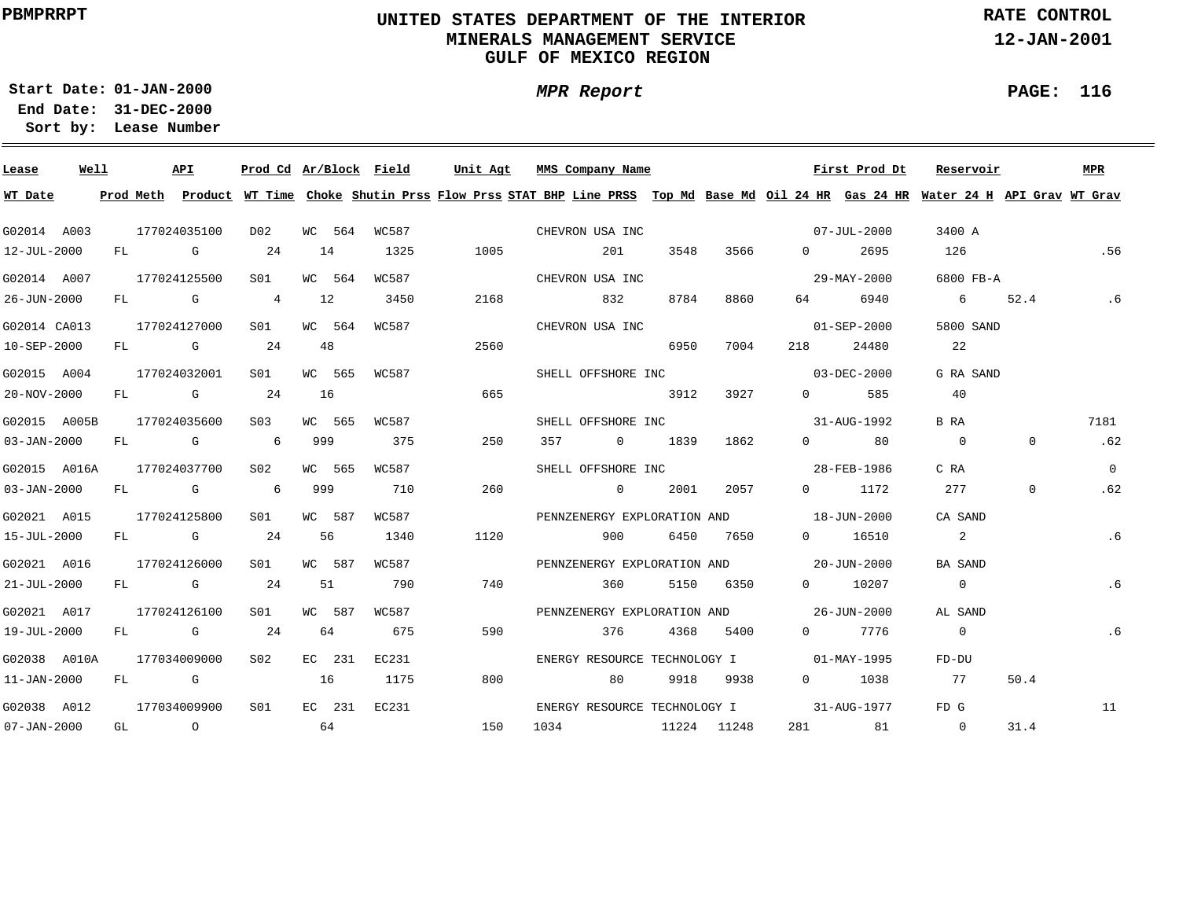### **UNITED STATES DEPARTMENT OF THE INTERIOR MINERALS MANAGEMENT SERVICEGULF OF MEXICO REGION**

**MPR Report**

**RATE CONTROL**

**12-JAN-2001**

**PAGE: 116**

**01-JAN-2000Start Date:31-DEC-2000 End Date:** 

| Lease             | Well |           |                | API                                                                                                                                                                                                                            | Prod Cd Ar/Block Field |     |        |       | Unit Agt | MMS Company Name                                                                                                              |      |             |                       | First Prod Dt     | Reservoir       |              | <b>MPR</b> |
|-------------------|------|-----------|----------------|--------------------------------------------------------------------------------------------------------------------------------------------------------------------------------------------------------------------------------|------------------------|-----|--------|-------|----------|-------------------------------------------------------------------------------------------------------------------------------|------|-------------|-----------------------|-------------------|-----------------|--------------|------------|
| WT Date           |      | Prod Meth |                |                                                                                                                                                                                                                                |                        |     |        |       |          | Product WT Time Choke Shutin Prss Flow Prss STAT BHP Line PRSS Top Md Base Md Oil 24 HR Gas 24 HR Water 24 H API Grav WT Grav |      |             |                       |                   |                 |              |            |
| G02014 A003       |      |           |                | 177024035100                                                                                                                                                                                                                   | D <sub>0</sub> 2       |     | WC 564 | WC587 |          | CHEVRON USA INC                                                                                                               |      |             |                       | $07 - JUL - 2000$ | 3400 A          |              |            |
| 12-JUL-2000       |      |           |                | FL G                                                                                                                                                                                                                           | 24                     | 14  |        | 1325  | 1005     | 201                                                                                                                           | 3548 | 3566        | $\Omega$ and $\Omega$ | 2695              | 126             |              | .56        |
| G02014 A007       |      |           |                | 177024125500                                                                                                                                                                                                                   | SO1                    |     | WC 564 | WC587 |          | CHEVRON USA INC                                                                                                               |      |             |                       | 29-MAY-2000       | 6800 FB-A       |              |            |
| 26-JUN-2000       |      |           |                | FL G                                                                                                                                                                                                                           | $\overline{4}$         | 12  |        | 3450  | 2168     | 832                                                                                                                           | 8784 | 8860        | 64 64                 | 6940              | $6\overline{6}$ | 52.4         | .6         |
| G02014 CA013      |      |           |                | 177024127000                                                                                                                                                                                                                   | S01                    |     | WC 564 | WC587 |          | CHEVRON USA INC                                                                                                               |      |             |                       | $01 - SEP - 2000$ | 5800 SAND       |              |            |
| 10-SEP-2000       |      | FL        |                | <b>G</b> G                                                                                                                                                                                                                     | 24                     | 48  |        |       | 2560     |                                                                                                                               | 6950 | 7004        | 218                   | 24480             | 22              |              |            |
| G02015 A004       |      |           |                | 177024032001                                                                                                                                                                                                                   | SO1                    |     | WC 565 | WC587 |          | SHELL OFFSHORE INC                                                                                                            |      |             |                       | 03-DEC-2000       | G RA SAND       |              |            |
| 20-NOV-2000       |      | FL        |                | <b>G</b>                                                                                                                                                                                                                       | 24                     | 16  |        |       | 665      |                                                                                                                               | 3912 | 3927        | $\Omega$              | 585               | 40              |              |            |
| G02015 A005B      |      |           |                | 177024035600                                                                                                                                                                                                                   | S03                    |     | WC 565 | WC587 |          | SHELL OFFSHORE INC                                                                                                            |      |             |                       | 31-AUG-1992       | B RA            |              | 7181       |
| $03 - JAN - 2000$ |      | FL        |                | and the control of the control of the control of the control of the control of the control of the control of the control of the control of the control of the control of the control of the control of the control of the cont | 6                      | 999 |        | 375   | 250      | 357<br>$\overline{0}$                                                                                                         | 1839 | 1862        | $0 \qquad \qquad$     | 80                | $\overline{0}$  | 0            | .62        |
| G02015 A016A      |      |           |                | 177024037700                                                                                                                                                                                                                   | S02                    |     | WC 565 | WC587 |          | SHELL OFFSHORE INC                                                                                                            |      |             |                       | 28-FEB-1986       | C RA            |              | $\Omega$   |
| 03-JAN-2000       |      | FL        |                | <b>G</b>                                                                                                                                                                                                                       | 6                      | 999 |        | 710   | 260      | $\sim$ 0 $\sim$ 0 $\sim$ 0 $\sim$                                                                                             | 2001 | 2057        |                       | $0 \t 1172$       | 277             | $\mathbf{0}$ | .62        |
| G02021 A015       |      |           |                | 177024125800                                                                                                                                                                                                                   | S01                    |     | WC 587 | WC587 |          | PENNZENERGY EXPLORATION AND 18-JUN-2000                                                                                       |      |             |                       |                   | CA SAND         |              |            |
| 15-JUL-2000       |      |           |                | FL G                                                                                                                                                                                                                           | 24                     | 56  |        | 1340  | 1120     | 900                                                                                                                           |      | 6450 7650   |                       | 0 16510           | $\overline{2}$  |              | .6         |
| G02021 A016       |      |           |                | 177024126000                                                                                                                                                                                                                   | S01                    |     | WC 587 | WC587 |          | PENNZENERGY EXPLORATION AND 20-JUN-2000                                                                                       |      |             |                       |                   | BA SAND         |              |            |
| $21 - JUL - 2000$ |      |           |                | FL G                                                                                                                                                                                                                           | 24                     | 51  |        | 790   | 740      | 360                                                                                                                           |      | 5150 6350   |                       | 0 10207           | $\overline{0}$  |              | .6         |
| G02021 A017       |      |           |                | 177024126100                                                                                                                                                                                                                   | S01                    |     | WC 587 | WC587 |          | PENNZENERGY EXPLORATION AND 26-JUN-2000                                                                                       |      |             |                       |                   | AL SAND         |              |            |
| 19-JUL-2000       |      |           |                | FL G                                                                                                                                                                                                                           | 24                     | 64  |        | 675   | 590      | 376                                                                                                                           | 4368 | 5400        |                       | 0 7776            | $\overline{0}$  |              | .6         |
| G02038 A010A      |      |           |                | 177034009000                                                                                                                                                                                                                   | S02                    |     | EC 231 | EC231 |          | ENERGY RESOURCE TECHNOLOGY I 01-MAY-1995                                                                                      |      |             |                       |                   | FD-DU           |              |            |
| $11 - JAN - 2000$ |      | FL        |                | G G                                                                                                                                                                                                                            |                        | 16  |        | 1175  | 800      | 80                                                                                                                            | 9918 | 9938        | $0 \qquad \qquad$     | 1038              | 77              | 50.4         |            |
| G02038 A012       |      |           |                | 177034009900                                                                                                                                                                                                                   | S <sub>01</sub>        |     | EC 231 | EC231 |          | ENERGY RESOURCE TECHNOLOGY I 31-AUG-1977                                                                                      |      |             |                       |                   | FD G            |              | 11         |
| $07 - JAN - 2000$ |      | GL        | $\overline{a}$ |                                                                                                                                                                                                                                | 64                     |     |        |       | 150      | 1034                                                                                                                          |      | 11224 11248 | 281 7                 | 81                | $\overline{0}$  | 31.4         |            |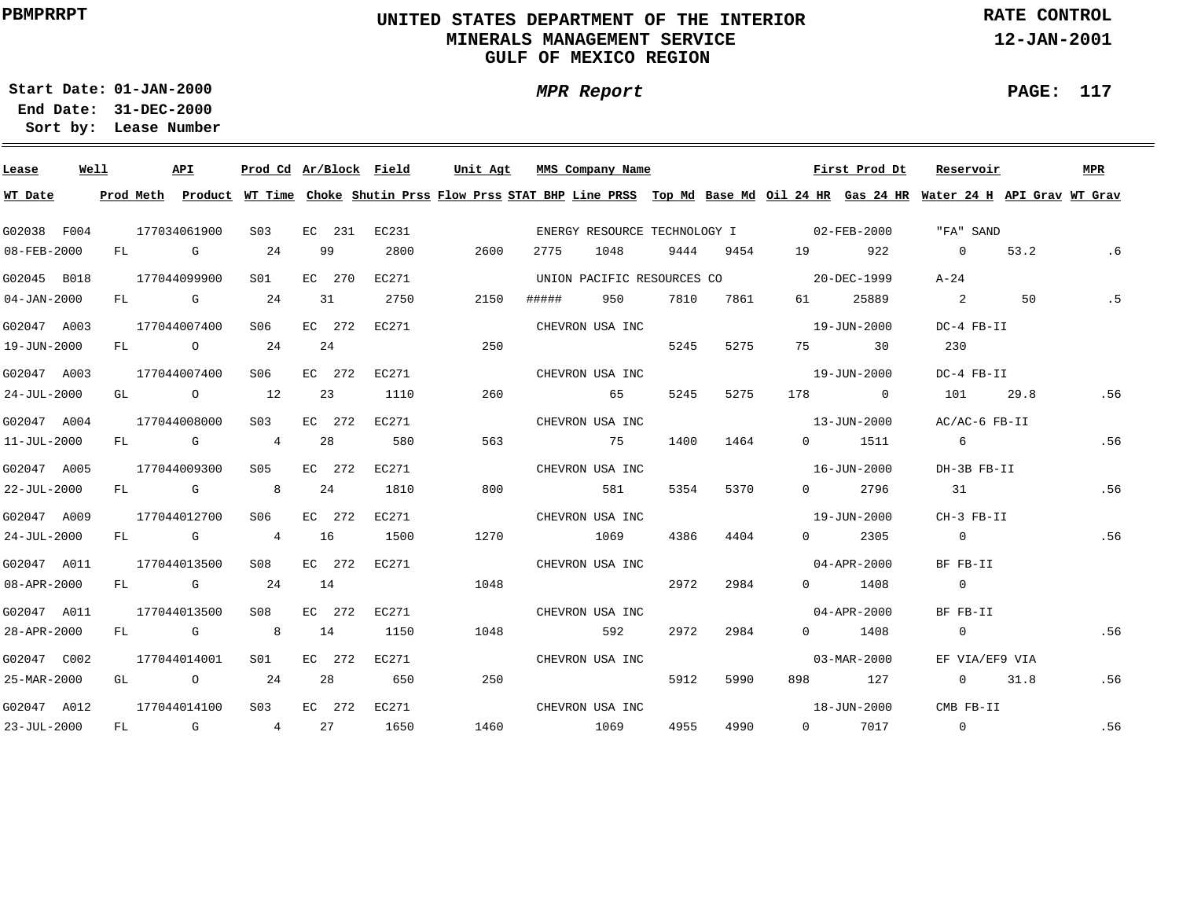### **UNITED STATES DEPARTMENT OF THE INTERIOR MINERALS MANAGEMENT SERVICEGULF OF MEXICO REGION**

**MPR Report**

**RATE CONTROL**

**12-JAN-2001**

÷

**01-JAN-2000Start Date:31-DEC-2000 End Date:** 

**Lease Number Sort by:**

| Lease             | Well |  | API                                   | Prod Cd Ar/Block Field |    |        |              | Unit Agt |      |       | MMS Company Name                         |      |           |  | First Prod Dt                                                                                                                           | Reservoir      |                | MPR |
|-------------------|------|--|---------------------------------------|------------------------|----|--------|--------------|----------|------|-------|------------------------------------------|------|-----------|--|-----------------------------------------------------------------------------------------------------------------------------------------|----------------|----------------|-----|
| WT Date           |      |  |                                       |                        |    |        |              |          |      |       |                                          |      |           |  | Prod Meth Product WT Time Choke Shutin Prss Flow Prss STAT BHP Line PRSS Top Md Base Md Oil 24 HR Gas 24 HR Water 24 H API Grav WT Grav |                |                |     |
| G02038 F004       |      |  | 177034061900                          | S <sub>03</sub>        |    |        | EC 231 EC231 |          |      |       | ENERGY RESOURCE TECHNOLOGY I 02-FEB-2000 |      |           |  |                                                                                                                                         | "FA" SAND      |                |     |
| 08-FEB-2000       |      |  | FL G                                  | 24                     |    | 99     | 2800         | 2600     |      | 2775  | 1048                                     |      |           |  | 9444 9454 19 922                                                                                                                        | $\overline{0}$ | 53.2           | .6  |
| G02045 B018       |      |  | 177044099900                          | S01 <b>S</b>           |    | EC 270 | EC271        |          |      |       | UNION PACIFIC RESOURCES CO 20-DEC-1999   |      |           |  |                                                                                                                                         | $A-24$         |                |     |
| $04 - JAN - 2000$ |      |  | $FL$ G 24                             |                        | 31 |        | 2750         | 2150     |      | ##### | 950                                      |      | 7810 7861 |  | 61 25889                                                                                                                                | 2              | 50             | .5  |
| G02047 A003       |      |  | 177044007400                          | S06                    |    | EC 272 | EC271        |          |      |       | CHEVRON USA INC                          |      |           |  | 19-JUN-2000                                                                                                                             | DC-4 FB-II     |                |     |
| 19-JUN-2000       |      |  | $FL$ 0 24                             |                        |    | 24     |              | 250      |      |       |                                          | 5245 | 5275      |  | 75 30                                                                                                                                   | 230            |                |     |
| G02047 A003       |      |  | 177044007400                          | S06                    |    | EC 272 | EC271        |          |      |       | CHEVRON USA INC                          |      |           |  | 19-JUN-2000                                                                                                                             | DC-4 FB-II     |                |     |
| $24 - JUL - 2000$ |      |  | GL $\qquad \qquad 0 \qquad \qquad 12$ |                        |    | 23     | 1110         | 260      |      |       | 65                                       | 5245 | 5275      |  | 178 0                                                                                                                                   | 101            | 29.8           | .56 |
| G02047 A004       |      |  | 177044008000                          | S03                    |    |        | EC 272 EC271 |          |      |       | CHEVRON USA INC                          |      |           |  | 13-JUN-2000                                                                                                                             | AC/AC-6 FB-II  |                |     |
| $11 - JUL - 2000$ |      |  | FL G 4                                |                        | 28 |        | 580          | 563      |      |       | 75                                       | 1400 | 1464      |  | 0 1511                                                                                                                                  | 6              |                | .56 |
| G02047 A005       |      |  | 177044009300                          | S05                    |    | EC 272 | EC271        |          |      |       | CHEVRON USA INC                          |      |           |  | $16 - JUN - 2000$                                                                                                                       | DH-3B FB-II    |                |     |
| $22 - JUL - 2000$ |      |  | FL G 8                                |                        | 24 |        | 1810         | 800      |      |       | 581                                      | 5354 | 5370      |  | 0 2796                                                                                                                                  | 31             |                | .56 |
| G02047 A009       |      |  | 177044012700                          | S06                    |    | EC 272 | EC271        |          |      |       | CHEVRON USA INC                          |      |           |  | $19 - JUN - 2000$                                                                                                                       | CH-3 FB-II     |                |     |
| $24 - JUL - 2000$ |      |  | FL G 4 16                             |                        |    |        | 1500         | 1270     |      |       | 1069                                     |      | 4386 4404 |  | $0 \t 2305$                                                                                                                             | $\overline{0}$ |                | .56 |
| G02047 A011       |      |  | 177044013500                          | S08                    |    | EC 272 | EC271        |          |      |       | CHEVRON USA INC                          |      |           |  | 04-APR-2000                                                                                                                             | BF FB-II       |                |     |
| 08-APR-2000       |      |  | $FL$ G 24                             |                        | 14 |        |              | 1048     |      |       |                                          | 2972 | 2984      |  | $0 \t 1408$                                                                                                                             | $\Omega$       |                |     |
| G02047 A011       |      |  | 177044013500                          | S08                    |    | EC 272 | EC271        |          |      |       | CHEVRON USA INC                          |      |           |  | $04 - APR - 2000$                                                                                                                       | BF FB-II       |                |     |
| 28-APR-2000       |      |  | FL G 8                                |                        | 14 |        | 1150         | 1048     |      |       | 592                                      | 2972 | 2984      |  | $0 \t1408$                                                                                                                              | $\circ$        |                | .56 |
| G02047 C002       |      |  | 177044014001                          | S01 <b>S</b>           |    | EC 272 | EC271        |          |      |       | CHEVRON USA INC                          |      |           |  | 03-MAR-2000                                                                                                                             |                | EF VIA/EF9 VIA |     |
| 25-MAR-2000       |      |  | GL $\qquad \qquad \circ$ 24           |                        | 28 |        | 650          | 250      |      |       |                                          | 5912 | 5990      |  | 898 127                                                                                                                                 |                | $0 \t 31.8$    | .56 |
| G02047 A012       |      |  | 177044014100                          | S <sub>03</sub>        |    |        | EC 272 EC271 |          |      |       | CHEVRON USA INC                          |      |           |  | $18 - JUN - 2000$                                                                                                                       | CMB FB-II      |                |     |
| $23 - JUL - 2000$ |      |  | FL G 4 27 1650                        |                        |    |        |              |          | 1460 |       | 1069 4955 4990                           |      |           |  | 0 7017                                                                                                                                  | $\overline{0}$ |                | .56 |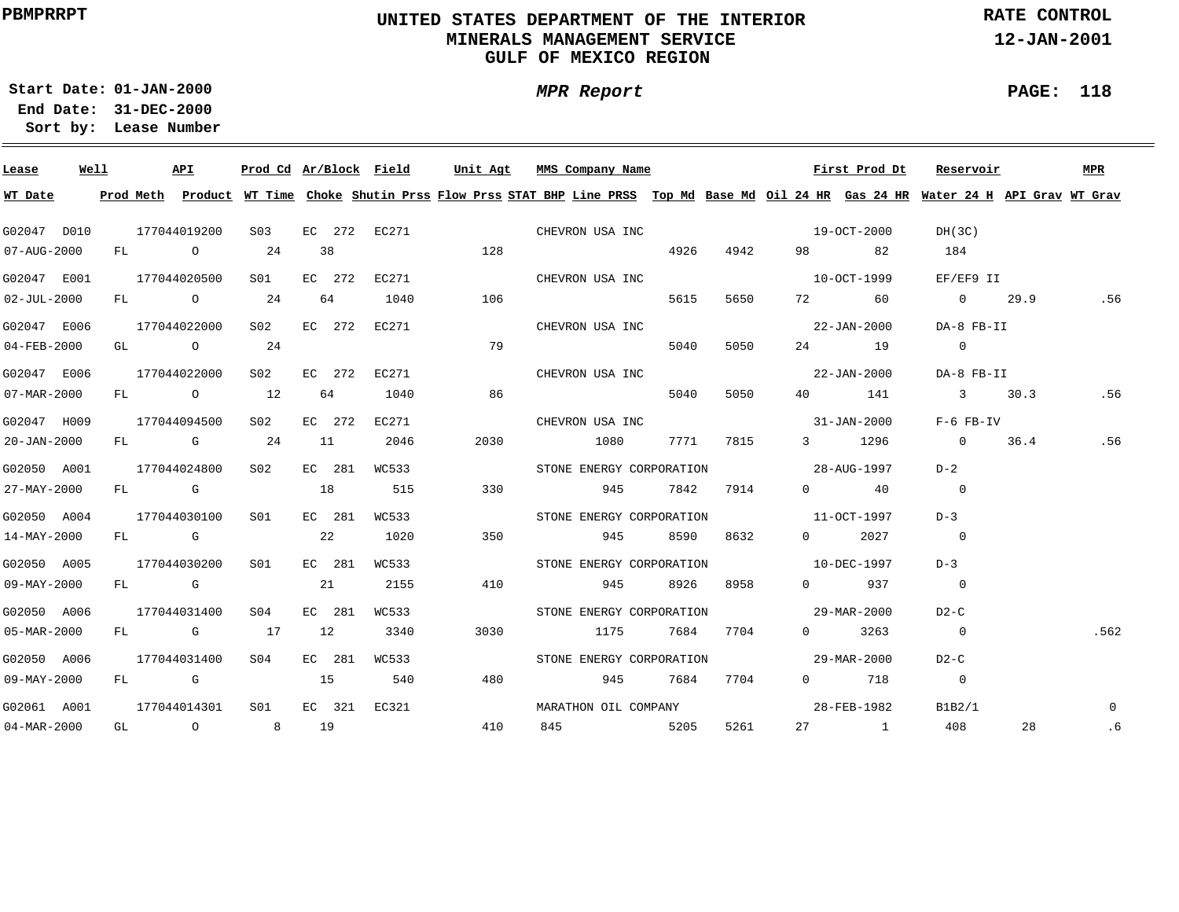### **UNITED STATES DEPARTMENT OF THE INTERIOR MINERALS MANAGEMENT SERVICEGULF OF MEXICO REGION**

**MPR Report**

**RATE CONTROL**

**12-JAN-2001**

**PAGE: 118**

**01-JAN-2000Start Date:31-DEC-2000 End Date:** 

| Lease                    | Well |  | <b>API</b>   |                 |        |      | Prod Cd Ar/Block Field | Unit Agt |                              | MMS Company Name |          |               |                                          | First Prod Dt                    | Reservoir                                                                                                                               |          | MPR            |
|--------------------------|------|--|--------------|-----------------|--------|------|------------------------|----------|------------------------------|------------------|----------|---------------|------------------------------------------|----------------------------------|-----------------------------------------------------------------------------------------------------------------------------------------|----------|----------------|
| WT Date                  |      |  |              |                 |        |      |                        |          |                              |                  |          |               |                                          |                                  | Prod Meth Product WT Time Choke Shutin Prss Flow Prss STAT BHP Line PRSS Top Md Base Md Oil 24 HR Gas 24 HR Water 24 H API Grav WT Grav |          |                |
| G02047 D010              |      |  | 177044019200 | S <sub>03</sub> |        |      |                        |          | EC 272 EC271 CHEVRON USA INC |                  |          |               |                                          | 19-OCT-2000                      | DH(3C)                                                                                                                                  |          |                |
| 07-AUG-2000              |      |  | FL O         | 24              | 38     |      |                        | 128      |                              |                  |          | 4926 4942     | 98 — 100                                 | 82                               | 184                                                                                                                                     |          |                |
| G02047 E001              |      |  | 177044020500 | S01             | EC 272 |      | EC271                  |          |                              | CHEVRON USA INC  |          |               |                                          | 10-OCT-1999                      | EF/EF9 II                                                                                                                               |          |                |
| $02 - JUL - 2000$        |      |  | FL 0 24      |                 | 64     |      | 1040                   | 106      |                              |                  | 5615     | 5650          |                                          | 72 60                            | 0 29.9                                                                                                                                  |          | .56            |
| G02047 E006              |      |  | 177044022000 | S <sub>02</sub> | EC 272 |      | EC271                  |          |                              | CHEVRON USA INC  |          |               |                                          | $22 - JAN - 2000$                | DA-8 FB-II                                                                                                                              |          |                |
| 04-FEB-2000              |      |  | GL 0 24      |                 |        |      |                        | 79       |                              |                  | 5040     | 5050          |                                          | 24 19                            | $\overline{0}$                                                                                                                          |          |                |
| G02047 E006              |      |  | 177044022000 | S02 <b>S</b>    | EC 272 |      | EC271                  |          |                              | CHEVRON USA INC  |          |               |                                          | 22-JAN-2000                      | DA-8 FB-II                                                                                                                              |          |                |
| 07-MAR-2000              |      |  | FL 0 12      |                 |        | 64 — | 1040                   | 86       |                              |                  | 5040     | 5050          |                                          | 40 141                           | 3 30.3                                                                                                                                  |          | .56            |
| G02047 H009              |      |  | 177044094500 | S02             | EC 272 |      | EC271                  |          |                              | CHEVRON USA INC  |          |               |                                          | $31 - JAN - 2000$                | F-6 FB-IV                                                                                                                               |          |                |
| 20-JAN-2000              |      |  | $FL$ G 24    |                 | 11     |      | 2046                   | 2030     |                              | 1080             |          | 7771 7815     |                                          | 3 1296                           | $\overline{0}$                                                                                                                          | 36.4 .56 |                |
| G02050 A001              |      |  | 177044024800 | S02 <b>S</b>    | EC 281 |      | WC533                  |          |                              |                  |          |               | STONE ENERGY CORPORATION 28-AUG-1997     |                                  | $D-2$                                                                                                                                   |          |                |
| 27-MAY-2000              |      |  | $FL$ G 18    |                 |        |      | 515                    | 330      |                              |                  | 945 7842 | 7914          |                                          | $0 \qquad \qquad 40$             | $\overline{0}$                                                                                                                          |          |                |
| G02050 A004              |      |  | 177044030100 | S01             | EC 281 |      | WC533                  |          |                              |                  |          |               | STONE ENERGY CORPORATION 11-OCT-1997     |                                  | $D-3$                                                                                                                                   |          |                |
| 14-MAY-2000              |      |  | FL G         |                 | 22     |      | 1020                   | 350      |                              |                  | 945 8590 | 8632          | $\Omega$ and $\Omega$                    | 2027                             | $\overline{0}$                                                                                                                          |          |                |
| G02050 A005              |      |  | 177044030200 | SO1             | EC 281 |      | WC533                  |          |                              |                  |          |               | STONE ENERGY CORPORATION 10-DEC-1997     |                                  | $D-3$                                                                                                                                   |          |                |
| 09-MAY-2000              |      |  | FL G         |                 | 21     |      | 2155                   | 410      |                              |                  |          | 945 8926 8958 |                                          | $0 \t 937$                       | $\overline{0}$                                                                                                                          |          |                |
| G02050 A006              |      |  | 177044031400 | S04             | EC 281 |      | WC533                  |          |                              |                  |          |               | STONE ENERGY CORPORATION 570 29-MAR-2000 |                                  | $D2-C$                                                                                                                                  |          |                |
| 05-MAR-2000              |      |  | FL G 17      |                 | 12     |      | 3340                   | 3030     |                              | 1175 7684 7704   |          |               |                                          | $0 \t3263$                       | $\overline{0}$                                                                                                                          |          | .562           |
| G02050 A006              |      |  | 177044031400 | S04             | EC 281 |      | WC533                  |          |                              |                  |          |               | STONE ENERGY CORPORATION 29-MAR-2000     |                                  | $D2-C$                                                                                                                                  |          |                |
| 09-MAY-2000              |      |  | FL G         | 15              |        |      | 540                    | 480      |                              |                  |          | 945 7684 7704 |                                          | 0 718                            | $\overline{0}$                                                                                                                          |          |                |
| G02061 A001              |      |  | 177044014301 | S01             |        |      | EC 321 EC321           |          |                              |                  |          |               |                                          | MARATHON OIL COMPANY 28-FEB-1982 | B1B2/1                                                                                                                                  |          | $\overline{0}$ |
| $04 - \text{MAR} - 2000$ |      |  | GL 0 8 19    |                 |        |      |                        | 410      |                              | 845 5205         |          | 5261          |                                          | $27$ 1                           | 408                                                                                                                                     | 28       | .6             |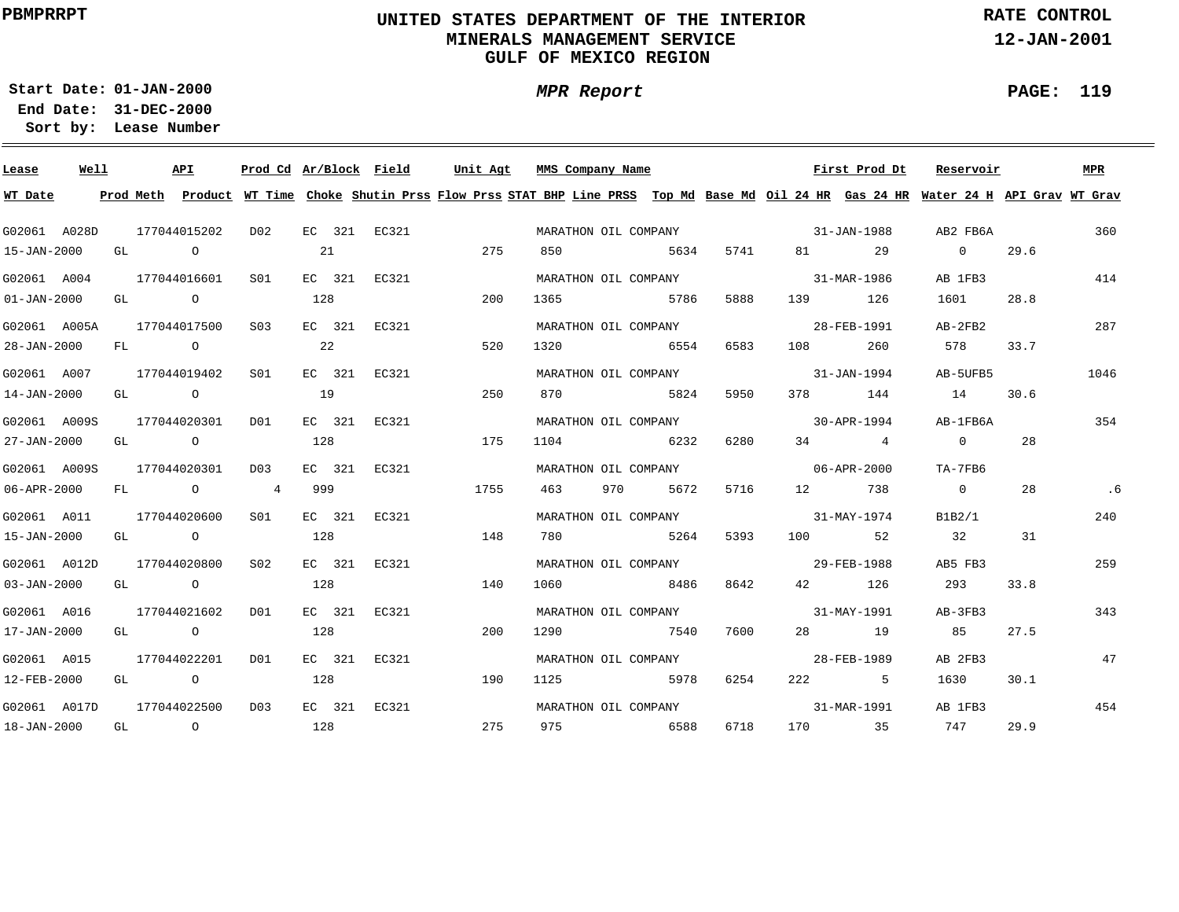### **UNITED STATES DEPARTMENT OF THE INTERIOR MINERALS MANAGEMENT SERVICEGULF OF MEXICO REGION**

**MPR Report**

**RATE CONTROL**

**12-JAN-2001**

**PAGE: 119**

**01-JAN-2000Start Date:31-DEC-2000 End Date:** 

| Lease             | Well |      | <b>API</b>   | Prod Cd Ar/Block Field |     |        |              | Unit Agt                                                                                                                                | MMS Company Name |                      |      |                                  | First Prod Dt | Reservoir      |      | MPR  |
|-------------------|------|------|--------------|------------------------|-----|--------|--------------|-----------------------------------------------------------------------------------------------------------------------------------------|------------------|----------------------|------|----------------------------------|---------------|----------------|------|------|
| WT Date           |      |      |              |                        |     |        |              | Prod Meth Product WT Time Choke Shutin Prss Flow Prss STAT BHP Line PRSS Top Md Base Md Oil 24 HR Gas 24 HR Water 24 H API Grav WT Grav |                  |                      |      |                                  |               |                |      |      |
| G02061 A028D      |      |      | 177044015202 | DO 2                   |     |        | EC 321 EC321 |                                                                                                                                         |                  |                      |      | MARATHON OIL COMPANY 31-JAN-1988 |               | AB2 FB6A       |      | 360  |
| 15-JAN-2000       |      | GL O |              |                        | 21  |        |              | 275                                                                                                                                     | 850              | 5634                 | 5741 |                                  | 81 29         | $\overline{0}$ | 29.6 |      |
| G02061 A004       |      |      | 177044016601 | S01                    |     |        | EC 321 EC321 |                                                                                                                                         |                  | MARATHON OIL COMPANY |      | 31-MAR-1986                      |               | AB 1FB3        |      | 414  |
| $01 - JAN - 2000$ |      |      | GL O         |                        | 128 |        |              | 200                                                                                                                                     | 1365             | 5786                 | 5888 | 139                              | 126           | 1601           | 28.8 |      |
| G02061 A005A      |      |      | 177044017500 | S03                    |     |        | EC 321 EC321 |                                                                                                                                         |                  | MARATHON OIL COMPANY |      | 28-FEB-1991                      |               | $AB-2FB2$      |      | 287  |
| 28-JAN-2000       |      |      | FL O         |                        | 22  |        |              | 520                                                                                                                                     |                  | 1320 6554            | 6583 | 108                              | 260           | 578            | 33.7 |      |
| G02061 A007       |      |      | 177044019402 | S01                    |     |        | EC 321 EC321 |                                                                                                                                         |                  | MARATHON OIL COMPANY |      | $31 - JAN - 1994$                |               | AB-5UFB5       |      | 1046 |
| 14-JAN-2000       |      |      | GL O         |                        | 19  |        |              | 250                                                                                                                                     | 870              | 5824                 | 5950 | 378 — 1                          | 144           | 14             | 30.6 |      |
| G02061 A009S      |      |      | 177044020301 | D01                    |     |        | EC 321 EC321 |                                                                                                                                         |                  | MARATHON OIL COMPANY |      | $30 - APR - 1994$                |               | AB-1FB6A       |      | 354  |
| 27-JAN-2000       |      |      | GL O         |                        | 128 |        |              | 175                                                                                                                                     | 1104 6232        |                      | 6280 |                                  | $34$ 4        | $\overline{0}$ | 28   |      |
| G02061 A009S      |      |      | 177044020301 | D03                    |     | EC 321 | EC321        |                                                                                                                                         |                  | MARATHON OIL COMPANY |      | $06 - APR - 2000$                |               | TA-7FB6        |      |      |
| 06-APR-2000       |      |      | FL O 4       |                        | 999 |        |              | 1755                                                                                                                                    | 463              | 970 5672             | 5716 |                                  | 12 738        | $\overline{0}$ | 28   | .6   |
| G02061 A011       |      |      | 177044020600 | S01                    |     | EC 321 | EC321        |                                                                                                                                         |                  |                      |      | MARATHON OIL COMPANY 31-MAY-1974 |               | B1B2/1         |      | 240  |
| 15-JAN-2000       |      |      | GL O         |                        | 128 |        |              | 148                                                                                                                                     | 780              | 5264                 | 5393 |                                  | 100 52        | 32             | 31   |      |
| G02061 A012D      |      |      | 177044020800 | S <sub>02</sub>        |     |        | EC 321 EC321 |                                                                                                                                         |                  | MARATHON OIL COMPANY |      | 29-FEB-1988                      |               | AB5 FB3        |      | 259  |
| $03 - JAN - 2000$ |      |      | GL O         |                        | 128 |        |              | 140                                                                                                                                     | 1060             | 8486                 | 8642 | 42 and $\overline{a}$            | 126           | 293            | 33.8 |      |
| G02061 A016       |      |      | 177044021602 | D01                    |     |        | EC 321 EC321 |                                                                                                                                         |                  | MARATHON OIL COMPANY |      | $31 - MAX - 1991$                |               | AB-3FB3        |      | 343  |
| 17-JAN-2000       |      |      | GL O         |                        | 128 |        |              | 200                                                                                                                                     | 1290             | 7540                 | 7600 |                                  | 28 19         | 85             | 27.5 |      |
| G02061 A015       |      |      | 177044022201 | DO1                    |     |        | EC 321 EC321 |                                                                                                                                         |                  | MARATHON OIL COMPANY |      |                                  | 28-FEB-1989   | AB 2FB3        |      | 47   |
| 12-FEB-2000       |      | GL O |              |                        | 128 |        |              | 190                                                                                                                                     | 1125             | 5978                 | 6254 |                                  | 222 5         | 1630           | 30.1 |      |
| G02061 A017D      |      |      | 177044022500 | D <sub>0</sub> 3       |     |        | EC 321 EC321 |                                                                                                                                         |                  | MARATHON OIL COMPANY |      |                                  | 31-MAR-1991   | AB 1FB3        |      | 454  |
| 18-JAN-2000       |      |      | GL O         |                        | 128 |        |              | 275                                                                                                                                     | 975              | 6588                 | 6718 |                                  | 170 35        | 747            | 29.9 |      |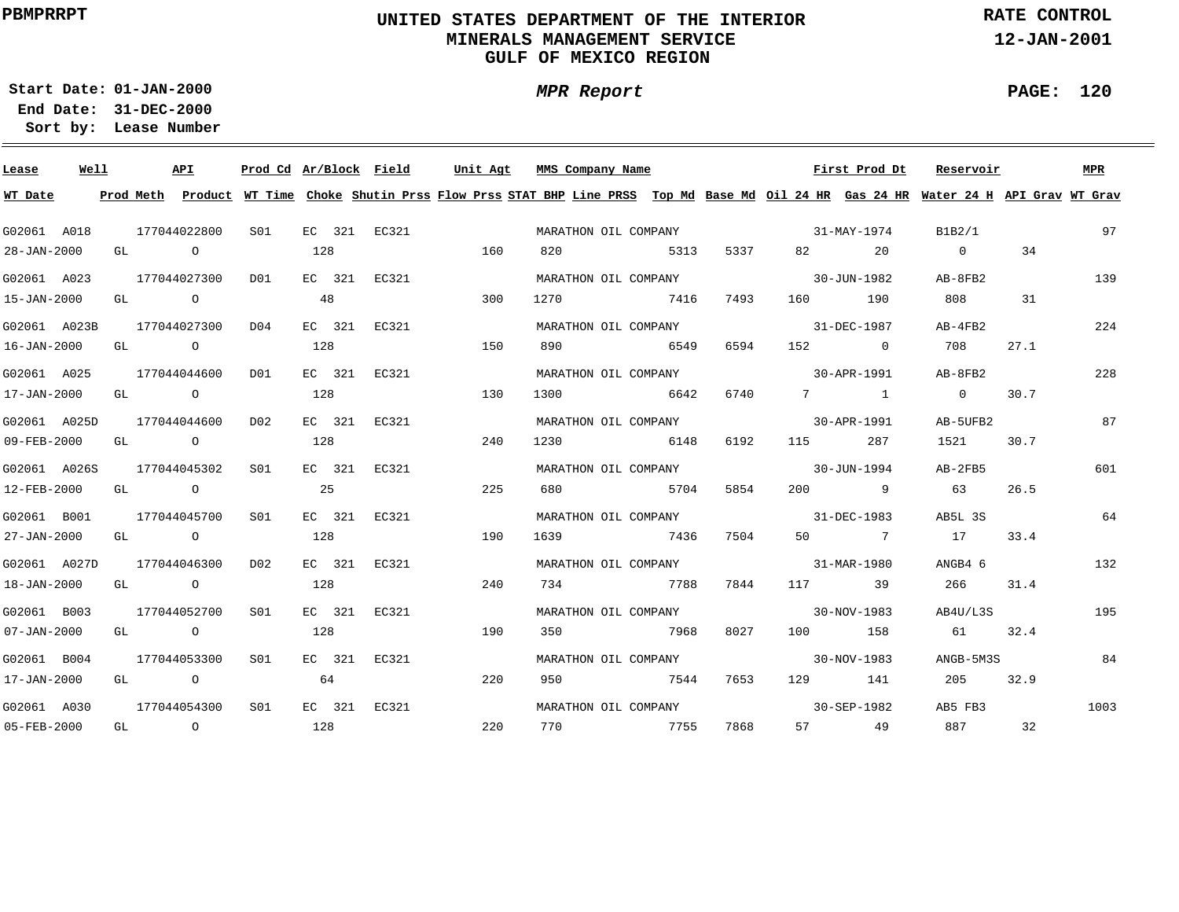### **UNITED STATES DEPARTMENT OF THE INTERIOR MINERALS MANAGEMENT SERVICEGULF OF MEXICO REGION**

**MPR Report**

**RATE CONTROL**

**12-JAN-2001**

**PAGE: 120**

**01-JAN-2000Start Date:31-DEC-2000 End Date:** 

| Lease             | Well |    |                | API            | Prod Cd Ar/Block Field |     |        |              | Unit Agt |      | MMS Company Name                 |      |      |                                                                                                                                                                                                                                 | First Prod Dt     | Reservoir                                                                                                                               |      | MPR  |
|-------------------|------|----|----------------|----------------|------------------------|-----|--------|--------------|----------|------|----------------------------------|------|------|---------------------------------------------------------------------------------------------------------------------------------------------------------------------------------------------------------------------------------|-------------------|-----------------------------------------------------------------------------------------------------------------------------------------|------|------|
| WT Date           |      |    |                |                |                        |     |        |              |          |      |                                  |      |      |                                                                                                                                                                                                                                 |                   | Prod Meth Product WT Time Choke Shutin Prss Flow Prss STAT BHP Line PRSS Top Md Base Md Oil 24 HR Gas 24 HR Water 24 H API Grav WT Grav |      |      |
| G02061 A018       |      |    | 177044022800   |                | SO1 SO                 |     |        | EC 321 EC321 |          |      | MARATHON OIL COMPANY             |      |      | $31 - MAX - 1974$                                                                                                                                                                                                               |                   | B1B2/1                                                                                                                                  |      | 97   |
| 28-JAN-2000       |      |    | GL O           |                |                        | 128 |        |              | 160      | 820  |                                  | 5313 | 5337 | 82 and $\overline{a}$                                                                                                                                                                                                           | 20                | $\overline{0}$                                                                                                                          | 34   |      |
| G02061 A023       |      |    | 177044027300   |                | D01                    |     |        | EC 321 EC321 |          |      | MARATHON OIL COMPANY             |      |      |                                                                                                                                                                                                                                 | 30-JUN-1982       | AB-8FB2                                                                                                                                 |      | 139  |
| 15-JAN-2000       |      |    | GL O           |                |                        | 48  |        |              | 300      | 1270 | 7416                             |      | 7493 | 160 — 160 — 160 — 160 — 160 — 160 — 160 — 160 — 160 — 160 — 160 — 160 — 160 — 160 — 161 — 162 — 162 — 162 — 162 — 162 — 162 — 162 — 162 — 162 — 162 — 162 — 162 — 162 — 162 — 162 — 162 — 162 — 162 — 162 — 162 — 162 — 162 — 1 | 190               | 808                                                                                                                                     | 31   |      |
| G02061 A023B      |      |    |                | 177044027300   | D04                    |     | EC 321 | EC321        |          |      | MARATHON OIL COMPANY             |      |      |                                                                                                                                                                                                                                 | 31-DEC-1987       | AB-4FB2                                                                                                                                 |      | 224  |
| 16-JAN-2000       |      |    |                | GL O           |                        | 128 |        |              | 150      |      | 890 6549                         |      | 6594 |                                                                                                                                                                                                                                 | 152 0             | 708                                                                                                                                     | 27.1 |      |
| G02061 A025       |      |    | 177044044600   |                | DO1                    |     | EC 321 | EC321        |          |      | MARATHON OIL COMPANY             |      |      | $30 - APR - 1991$                                                                                                                                                                                                               |                   | AB-8FB2                                                                                                                                 |      | 228  |
| 17-JAN-2000       |      |    |                | GL O           |                        | 128 |        |              | 130      |      | 1300 6642                        |      | 6740 |                                                                                                                                                                                                                                 | $7 \quad 1$       | $\overline{0}$                                                                                                                          | 30.7 |      |
| G02061 A025D      |      |    | 177044044600   |                | D02                    |     | EC 321 | EC321        |          |      | MARATHON OIL COMPANY             |      |      |                                                                                                                                                                                                                                 | 30-APR-1991       | AB-5UFB2                                                                                                                                |      | 87   |
| 09-FEB-2000       |      | GL |                | $\overline{O}$ |                        | 128 |        |              | 240      |      | 1230 6148                        |      | 6192 | 115                                                                                                                                                                                                                             | 287               | 1521                                                                                                                                    | 30.7 |      |
| G02061 A026S      |      |    |                | 177044045302   | S01                    |     | EC 321 | EC321        |          |      | MARATHON OIL COMPANY 30-JUN-1994 |      |      |                                                                                                                                                                                                                                 |                   | AB-2FB5                                                                                                                                 |      | 601  |
| 12-FEB-2000       |      |    | GL O           |                |                        | 25  |        |              | 225      |      | 680 5704                         |      | 5854 |                                                                                                                                                                                                                                 | 200 9             | 63                                                                                                                                      | 26.5 |      |
| G02061 B001       |      |    | 177044045700   |                | SO1                    |     | EC 321 | EC321        |          |      | MARATHON OIL COMPANY 31-DEC-1983 |      |      |                                                                                                                                                                                                                                 |                   | AB5L 3S                                                                                                                                 |      | 64   |
| 27-JAN-2000       |      |    |                | GL O           |                        | 128 |        |              | 190      |      | 1639 7436                        |      | 7504 |                                                                                                                                                                                                                                 | 50 7              | 17                                                                                                                                      | 33.4 |      |
| G02061 A027D      |      |    |                | 177044046300   | D02                    |     | EC 321 | EC321        |          |      | MARATHON OIL COMPANY             |      |      | $31 - \text{MAR} - 1980$                                                                                                                                                                                                        |                   | ANGB4 6                                                                                                                                 |      | 132  |
| 18-JAN-2000       |      |    | GL O           |                |                        | 128 |        |              | 240      |      | 734 7788                         |      | 7844 |                                                                                                                                                                                                                                 | 117 39            | 266                                                                                                                                     | 31.4 |      |
| G02061 B003       |      |    | 177044052700   |                | S <sub>01</sub>        |     | EC 321 | EC321        |          |      | MARATHON OIL COMPANY             |      |      | $30 - NOV - 1983$                                                                                                                                                                                                               |                   | AB4U/L3S                                                                                                                                |      | 195  |
| $07 - JAN - 2000$ |      |    | GL O           |                |                        | 128 |        |              | 190      | 350  | 7968                             |      | 8027 |                                                                                                                                                                                                                                 | 100 158           | 61 32.4                                                                                                                                 |      |      |
| G02061 B004       |      |    |                | 177044053300   | SO1                    |     | EC 321 | EC321        |          |      | MARATHON OIL COMPANY             |      |      |                                                                                                                                                                                                                                 | $30 - NOV - 1983$ | ANGB-5M3S                                                                                                                               |      | 84   |
| 17-JAN-2000       |      |    | GL O           |                |                        | 64  |        |              | 220      | 950  | 7544                             |      | 7653 |                                                                                                                                                                                                                                 | 129 141           | 205                                                                                                                                     | 32.9 |      |
| G02061 A030       |      |    | 177044054300   |                | S <sub>01</sub>        |     |        | EC 321 EC321 |          |      | MARATHON OIL COMPANY             |      |      |                                                                                                                                                                                                                                 | $30 - SEP - 1982$ | AB5 FB3                                                                                                                                 |      | 1003 |
| 05-FEB-2000       |      | GL | $\overline{O}$ |                |                        | 128 |        |              | 220      | 770  | 7755                             |      | 7868 |                                                                                                                                                                                                                                 | 57 49             | 887                                                                                                                                     | 32   |      |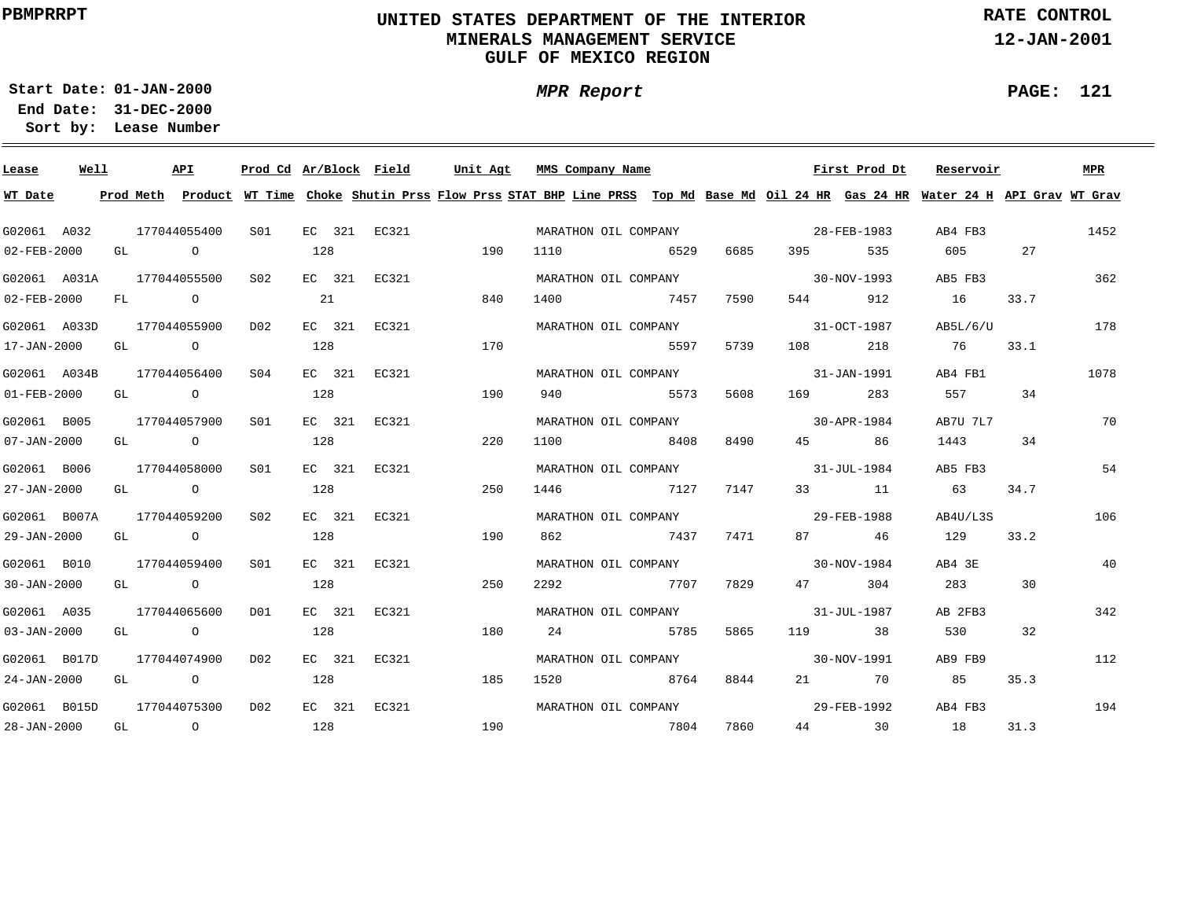### **UNITED STATES DEPARTMENT OF THE INTERIOR MINERALS MANAGEMENT SERVICEGULF OF MEXICO REGION**

**MPR Report**

**RATE CONTROL**

**12-JAN-2001**

**PAGE: 121**

٠

**01-JAN-2000Start Date:31-DEC-2000 End Date:** 

| Lease             | Well |    |                | API            | Prod Cd Ar/Block Field |     |        |              | Unit Agt | MMS Company Name                                                                                                                        |      |      |                   | First Prod Dt | Reservoir |      | MPR  |
|-------------------|------|----|----------------|----------------|------------------------|-----|--------|--------------|----------|-----------------------------------------------------------------------------------------------------------------------------------------|------|------|-------------------|---------------|-----------|------|------|
| WT Date           |      |    |                |                |                        |     |        |              |          | Prod Meth Product WT Time Choke Shutin Prss Flow Prss STAT BHP Line PRSS Top Md Base Md Oil 24 HR Gas 24 HR Water 24 H API Grav WT Grav |      |      |                   |               |           |      |      |
| G02061 A032       |      |    |                | 177044055400   | S01                    |     |        | EC 321 EC321 |          | MARATHON OIL COMPANY                                                                                                                    |      |      |                   | 28-FEB-1983   | AB4 FB3   |      | 1452 |
| 02-FEB-2000       |      |    | GL O           |                |                        | 128 |        |              | 190      | 1110                                                                                                                                    | 6529 | 6685 | 395 — 100         | 535           | 605       | 27   |      |
| G02061 A031A      |      |    |                | 177044055500   | S02                    |     | EC 321 | EC321        |          | MARATHON OIL COMPANY                                                                                                                    |      |      |                   | 30-NOV-1993   | AB5 FB3   |      | 362  |
| 02-FEB-2000       |      | FL | $\overline{a}$ |                |                        | 21  |        |              | 840      | 1400                                                                                                                                    | 7457 | 7590 | 544 6             | 912           | 16        | 33.7 |      |
| G02061 A033D      |      |    |                | 177044055900   | D02                    |     | EC 321 | EC321        |          | MARATHON OIL COMPANY                                                                                                                    |      |      |                   | 31-OCT-1987   | AB5L/6/U  |      | 178  |
| 17-JAN-2000       |      |    |                | GL O           |                        | 128 |        |              | 170      |                                                                                                                                         | 5597 | 5739 | 108               | 218           | 76        | 33.1 |      |
| G02061 A034B      |      |    |                | 177044056400   | S <sub>04</sub>        |     | EC 321 | EC321        |          | MARATHON OIL COMPANY                                                                                                                    |      |      |                   | 31-JAN-1991   | AB4 FB1   |      | 1078 |
| $01 - FEB - 2000$ |      | GL |                | $\overline{O}$ |                        | 128 |        |              | 190      | 940                                                                                                                                     | 5573 | 5608 | 169               | 283           | 557       | 34   |      |
| G02061 B005       |      |    |                | 177044057900   | S01                    |     | EC 321 | EC321        |          | MARATHON OIL COMPANY                                                                                                                    |      |      |                   | 30-APR-1984   | AB7U 7L7  |      | 70   |
| $07 - JAN - 2000$ |      |    |                | GL O           |                        | 128 |        |              | 220      | 1100                                                                                                                                    | 8408 | 8490 | 45 — 10           | 86            | 1443      | 34   |      |
| G02061 B006       |      |    |                | 177044058000   | S <sub>01</sub>        |     | EC 321 | EC321        |          | MARATHON OIL COMPANY                                                                                                                    |      |      |                   | 31-JUL-1984   | AB5 FB3   |      | 54   |
| 27-JAN-2000       |      |    |                | GL O           |                        | 128 |        |              | 250      | 1446                                                                                                                                    | 7127 | 7147 |                   | 33 11         | 63        | 34.7 |      |
| G02061 B007A      |      |    |                | 177044059200   | S <sub>02</sub>        |     | EC 321 | EC321        |          | MARATHON OIL COMPANY 29-FEB-1988                                                                                                        |      |      |                   |               | AB4U/L3S  |      | 106  |
| 29-JAN-2000       |      |    |                | GL O           |                        | 128 |        |              | 190      | 862 7437                                                                                                                                |      | 7471 |                   | 87 46         | 129       | 33.2 |      |
| G02061 B010       |      |    |                | 177044059400   | SO1                    |     | EC 321 | EC321        |          | MARATHON OIL COMPANY                                                                                                                    |      |      | $30 - NOV - 1984$ |               | AB4 3E    |      | 40   |
| 30-JAN-2000       |      |    |                | GL O           |                        | 128 |        |              | 250      | 2292                                                                                                                                    | 7707 | 7829 | 47 — 200          | 304           | 283       | 30   |      |
| G02061 A035       |      |    |                | 177044065600   | DO1                    |     | EC 321 | EC321        |          | MARATHON OIL COMPANY                                                                                                                    |      |      | 31-JUL-1987       |               | AB 2FB3   |      | 342  |
| $03 - JAN - 2000$ |      |    |                | GL O           |                        | 128 |        |              | 180      | 24                                                                                                                                      | 5785 | 5865 |                   | 119 38        | 530       | 32   |      |
| G02061 B017D      |      |    |                | 177044074900   | D02                    |     | EC 321 | EC321        |          | MARATHON OIL COMPANY                                                                                                                    |      |      |                   | 30-NOV-1991   | AB9 FB9   |      | 112  |
| $24 - JAN - 2000$ |      |    |                | GL O           |                        | 128 |        |              | 185      | 1520                                                                                                                                    | 8764 | 8844 |                   | 21 70         | 85        | 35.3 |      |
| G02061 B015D      |      |    |                | 177044075300   | D <sub>0</sub> 2       |     |        | EC 321 EC321 |          | MARATHON OIL COMPANY                                                                                                                    |      |      | 29-FEB-1992       |               | AB4 FB3   |      | 194  |
| 28-JAN-2000       |      | GL | $\overline{O}$ |                |                        | 128 |        |              | 190      |                                                                                                                                         | 7804 | 7860 |                   | 44 30 18      |           | 31.3 |      |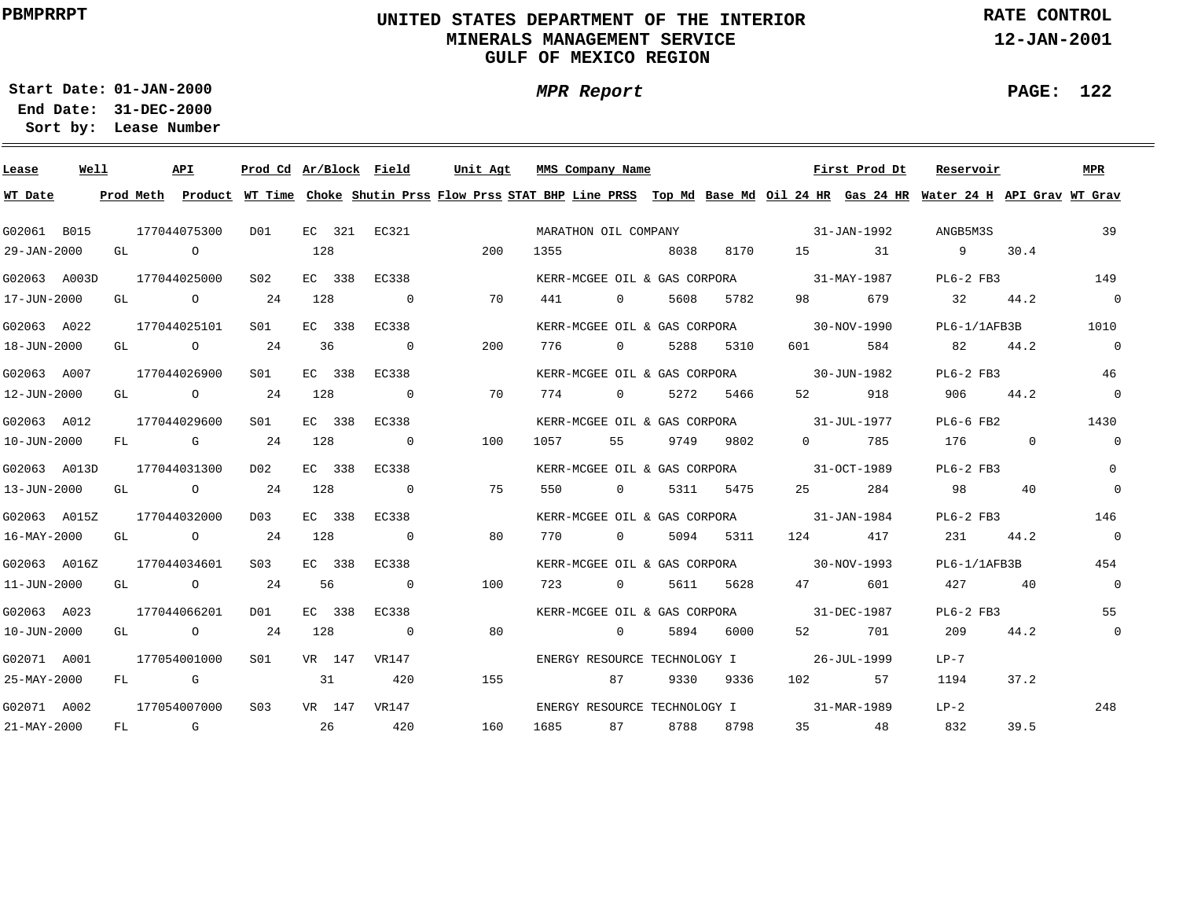### **UNITED STATES DEPARTMENT OF THE INTERIOR MINERALS MANAGEMENT SERVICEGULF OF MEXICO REGION**

**MPR Report**

**RATE CONTROL**

**12-JAN-2001**

**PAGE: 122**

÷

**01-JAN-2000Start Date:31-DEC-2000 End Date:** 

| Lease             | Well |    |                | <b>API</b>     | Prod Cd Ar/Block Field |     |        |                          | Unit Agt |      | MMS Company Name             |      |      |                   | First Prod Dt     | Reservoir                                                                                                                               |             | <b>MPR</b>     |
|-------------------|------|----|----------------|----------------|------------------------|-----|--------|--------------------------|----------|------|------------------------------|------|------|-------------------|-------------------|-----------------------------------------------------------------------------------------------------------------------------------------|-------------|----------------|
| WT Date           |      |    |                |                |                        |     |        |                          |          |      |                              |      |      |                   |                   | Prod Meth Product WT Time Choke Shutin Prss Flow Prss STAT BHP Line PRSS Top Md Base Md Oil 24 HR Gas 24 HR Water 24 H API Grav WT Grav |             |                |
| G02061 B015       |      |    |                | 177044075300   | DO1                    |     |        | EC 321 EC321             |          |      | MARATHON OIL COMPANY         |      |      |                   | 31-JAN-1992       | ANGB5M3S                                                                                                                                |             | 39             |
| 29-JAN-2000       |      | GL |                | $\circ$        |                        | 128 |        |                          | 200      | 1355 |                              | 8038 | 8170 | 15                | 31                | 9                                                                                                                                       | 30.4        |                |
| G02063 A003D      |      |    |                | 177044025000   | S <sub>02</sub>        |     | EC 338 | EC338                    |          |      | KERR-MCGEE OIL & GAS CORPORA |      |      |                   | 31-MAY-1987       | $PL6-2$ FB3                                                                                                                             |             | 149            |
| 17-JUN-2000       |      | GL |                | $\circ$        | 24                     | 128 |        | $\overline{\phantom{0}}$ | 70       | 441  | $\overline{0}$               | 5608 | 5782 | 98                | 679               | 32                                                                                                                                      | 44.2        | $\overline{0}$ |
| G02063 A022       |      |    |                | 177044025101   | S01                    |     | EC 338 | EC338                    |          |      | KERR-MCGEE OIL & GAS CORPORA |      |      |                   | 30-NOV-1990       | $PL6-1/1AFB3B$                                                                                                                          |             | 1010           |
| 18-JUN-2000       |      | GL |                | $\circ$        | 24                     | 36  |        | $\mathbf 0$              | 200      | 776  | $\overline{0}$               | 5288 | 5310 | 601               | 584               | 82                                                                                                                                      | 44.2        | $\overline{0}$ |
| G02063 A007       |      |    |                | 177044026900   | SO1                    |     | EC 338 | EC338                    |          |      | KERR-MCGEE OIL & GAS CORPORA |      |      |                   | 30-JUN-1982       | $PL6-2$ FB3                                                                                                                             |             | 46             |
| 12-JUN-2000       |      | GL |                | $\circ$        | 24                     | 128 |        | $\overline{0}$           | 70       | 774  | $\Omega$                     | 5272 | 5466 | 52                | 918               | 906                                                                                                                                     | 44.2        | $\mathbf 0$    |
| G02063 A012       |      |    |                | 177044029600   | SO1                    |     | EC 338 | EC338                    |          |      | KERR-MCGEE OIL & GAS CORPORA |      |      |                   | 31-JUL-1977       | $PL6-6$ FB2                                                                                                                             |             | 1430           |
| 10-JUN-2000       |      | FL |                | G              | 24                     | 128 |        | $\overline{0}$           | 100      | 1057 | 55                           | 9749 | 9802 | $\overline{0}$    | 785               | 176                                                                                                                                     | $\mathbf 0$ | $\overline{0}$ |
| G02063 A013D      |      |    |                | 177044031300   | D <sub>0</sub> 2       |     | EC 338 | EC338                    |          |      | KERR-MCGEE OIL & GAS CORPORA |      |      |                   | $31 - OCT - 1989$ | $PL6-2$ FB3                                                                                                                             |             | $\Omega$       |
| 13-JUN-2000       |      | GL |                | $\overline{O}$ | 24                     | 128 |        | $\overline{0}$           | 75       | 550  | $\Omega$                     | 5311 | 5475 | 25                | 284               | 98                                                                                                                                      | 40          | $\overline{0}$ |
| G02063 A015Z      |      |    |                | 177044032000   | D <sub>0</sub> 3       |     | EC 338 | EC338                    |          |      | KERR-MCGEE OIL & GAS CORPORA |      |      | 31-JAN-1984       |                   | $PL6-2$ FB3                                                                                                                             |             | 146            |
| 16-MAY-2000       |      | GL |                | $\circ$        | 24                     | 128 |        | $\overline{0}$           | 80       | 770  | $\Omega$                     | 5094 | 5311 | 124               | 417               | 231                                                                                                                                     | 44.2        | $\overline{0}$ |
| G02063 A016Z      |      |    |                | 177044034601   | S <sub>03</sub>        |     | EC 338 | EC338                    |          |      | KERR-MCGEE OIL & GAS CORPORA |      |      | $30 - NOV - 1993$ |                   | $PL6-1/1AFB3B$                                                                                                                          |             | 454            |
| 11-JUN-2000       |      | GL |                | $\circ$        | 24                     | 56  |        | $\overline{0}$           | 100      | 723  | $\Omega$                     | 5611 | 5628 | 47                | 601               | 427                                                                                                                                     | 40          | $\overline{0}$ |
| G02063 A023       |      |    |                | 177044066201   | DO1                    |     | EC 338 | EC338                    |          |      | KERR-MCGEE OIL & GAS CORPORA |      |      | 31-DEC-1987       |                   | $PL6-2$ FB3                                                                                                                             |             | 55             |
| 10-JUN-2000       |      | GL |                | $\circ$        | 2.4                    | 128 |        | $\overline{0}$           | 80       |      | $\Omega$                     | 5894 | 6000 | 52                | 701               | 209                                                                                                                                     | 44.2        | $\overline{0}$ |
| G02071 A001       |      |    |                | 177054001000   | S01                    |     | VR 147 | VR147                    |          |      | ENERGY RESOURCE TECHNOLOGY I |      |      |                   | 26-JUL-1999       | $LP-7$                                                                                                                                  |             |                |
| 25-MAY-2000       |      | FL |                | G              |                        | 31  |        | 420                      | 155      |      | 87                           | 9330 | 9336 | 102               | 57                | 1194                                                                                                                                    | 37.2        |                |
| G02071 A002       |      |    |                | 177054007000   | S <sub>0.3</sub>       |     | VR 147 | VR147                    |          |      | ENERGY RESOURCE TECHNOLOGY I |      |      |                   | 31-MAR-1989       | $LP-2$                                                                                                                                  |             | 248            |
| $21 - MAX - 2000$ |      | FL | $\overline{G}$ |                |                        | 26  |        | 420                      | 160      | 1685 | 87                           | 8788 | 8798 | 35                | 48                | 832                                                                                                                                     | 39.5        |                |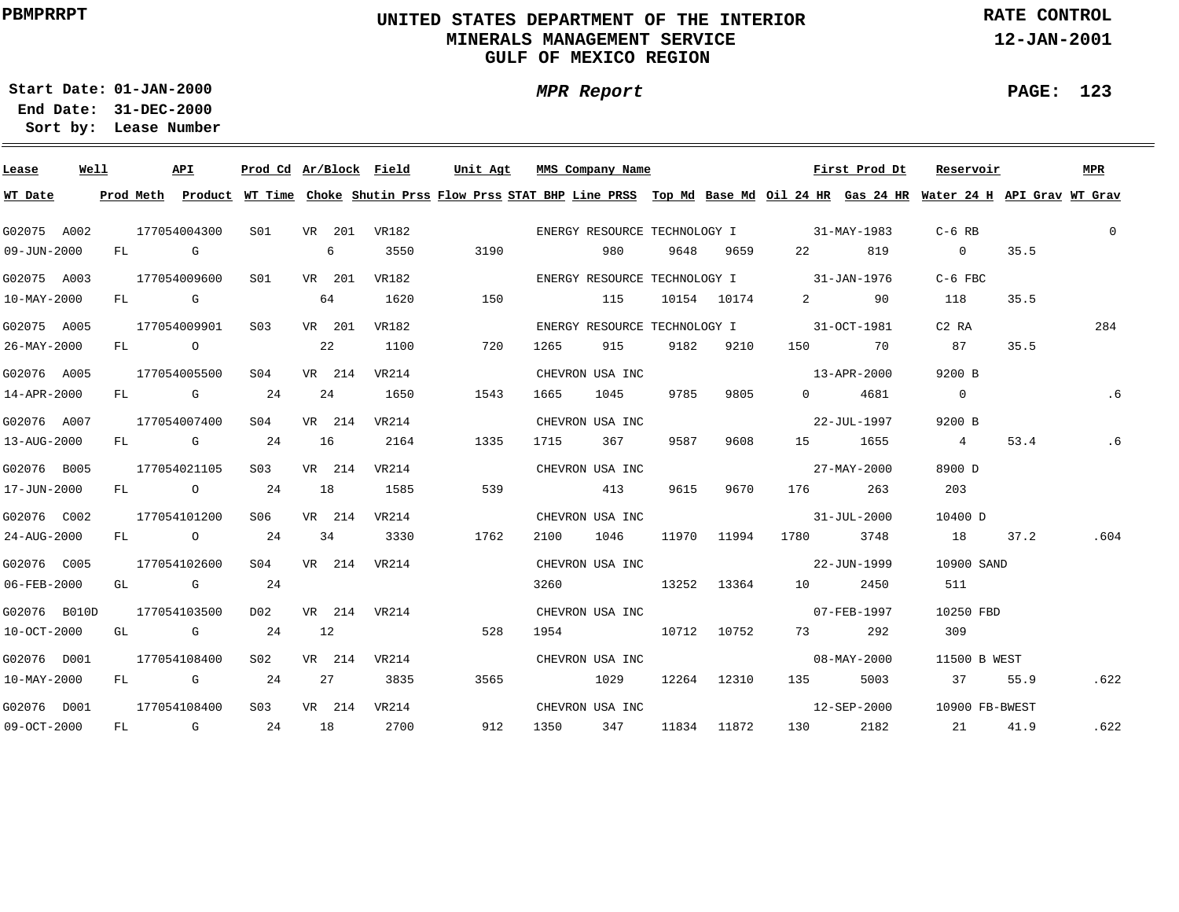### **UNITED STATES DEPARTMENT OF THE INTERIOR MINERALS MANAGEMENT SERVICEGULF OF MEXICO REGION**

**RATE CONTROL**

**12-JAN-2001**

**01-JAN-2000Start Date:**

**31-DEC-2000 End Date: Lease Number Sort by:**

| Lease        | Well |  | API          |                 |    |        | Prod Cd Ar/Block Field | Unit Agt |     |      | MMS Company Name     |      |           |                                          | First Prod Dt                            | Reservoir                                                                                                                               |      | <b>MPR</b>     |
|--------------|------|--|--------------|-----------------|----|--------|------------------------|----------|-----|------|----------------------|------|-----------|------------------------------------------|------------------------------------------|-----------------------------------------------------------------------------------------------------------------------------------------|------|----------------|
| WT Date      |      |  |              |                 |    |        |                        |          |     |      |                      |      |           |                                          |                                          | Prod Meth Product WT Time Choke Shutin Prss Flow Prss STAT BHP Line PRSS Top Md Base Md Oil 24 HR Gas 24 HR Water 24 H API Grav WT Grav |      |                |
| G02075 A002  |      |  | 177054004300 |                 |    |        | S01 VR 201 VR182       |          |     |      |                      |      |           |                                          | ENERGY RESOURCE TECHNOLOGY I 31-MAY-1983 | $C-6$ RB                                                                                                                                |      | $\overline{0}$ |
| 09-JUN-2000  |      |  | FL G         |                 |    | 6 - 10 | 3550                   | 3190     |     |      | 980                  |      | 9648 9659 |                                          | 22 819                                   | $\sim$ 0                                                                                                                                | 35.5 |                |
| G02075 A003  |      |  | 177054009600 | S01             |    | VR 201 | VR182                  |          |     |      |                      |      |           |                                          | ENERGY RESOURCE TECHNOLOGY I 31-JAN-1976 | $C-6$ FBC                                                                                                                               |      |                |
| 10-MAY-2000  |      |  | FL G         |                 |    | 64     | 1620                   | 150      |     |      | 115                  |      |           | 10154 10174 2                            | 90                                       | 118                                                                                                                                     | 35.5 |                |
| G02075 A005  |      |  | 177054009901 | S03             |    | VR 201 | VR182                  |          |     |      |                      |      |           | ENERGY RESOURCE TECHNOLOGY I 31-OCT-1981 |                                          | C2 RA                                                                                                                                   |      | 284            |
| 26-MAY-2000  |      |  | $FL$ 0 22    |                 |    |        | 1100                   | 720      |     | 1265 | 915                  |      | 9182 9210 |                                          | 150 70                                   | 87                                                                                                                                      | 35.5 |                |
| G02076 A005  |      |  | 177054005500 | SO4             |    | VR 214 | VR214                  |          |     |      | CHEVRON USA INC      |      |           |                                          | $13 - APR - 2000$                        | 9200 B                                                                                                                                  |      |                |
| 14-APR-2000  |      |  | FL G 24      |                 |    | 24     | 1650                   | 1543     |     | 1665 | 1045                 | 9785 | 9805      | $\Omega$                                 | 4681                                     | $\overline{0}$                                                                                                                          |      | .6             |
| G02076 A007  |      |  | 177054007400 | S <sub>04</sub> |    | VR 214 | VR214                  |          |     |      | CHEVRON USA INC      |      |           |                                          | 22-JUL-1997                              | 9200 B                                                                                                                                  |      |                |
| 13-AUG-2000  |      |  | FL G 24      |                 |    | 16     | 2164                   | 1335     |     | 1715 | 367                  | 9587 | 9608      |                                          | 15 1655                                  | $4\overline{4}$                                                                                                                         | 53.4 | .6             |
| G02076 B005  |      |  | 177054021105 | S <sub>03</sub> |    | VR 214 | VR214                  |          |     |      | CHEVRON USA INC      |      |           |                                          | 27-MAY-2000                              | 8900 D                                                                                                                                  |      |                |
| 17-JUN-2000  |      |  | FL 0 24 18   |                 |    |        | 1585                   |          | 539 |      | 413                  |      | 9615 9670 |                                          | 176 263                                  | 203                                                                                                                                     |      |                |
| G02076 C002  |      |  | 177054101200 | S06 VR 214      |    |        | VR214                  |          |     |      | CHEVRON USA INC      |      |           | $31 - JUL - 2000$                        |                                          | 10400 D                                                                                                                                 |      |                |
| 24-AUG-2000  |      |  | FL 0 24 34   |                 |    |        | 3330                   | 1762     |     | 2100 | 1046 11970 11994     |      |           | 1780                                     | 3748                                     | 18 37.2                                                                                                                                 |      | .604           |
| G02076 C005  |      |  | 177054102600 |                 |    |        | S04 VR 214 VR214       |          |     |      | CHEVRON USA INC      |      |           |                                          | 22-JUN-1999                              | 10900 SAND                                                                                                                              |      |                |
| 06-FEB-2000  |      |  | GL G         | 24              |    |        |                        |          |     |      |                      |      |           | 3260 13252 13364 10 2450                 |                                          | 511                                                                                                                                     |      |                |
| G02076 B010D |      |  | 177054103500 |                 |    |        | D02 VR 214 VR214       |          |     |      | CHEVRON USA INC      |      |           |                                          | $07 - FEB - 1997$                        | 10250 FBD                                                                                                                               |      |                |
| 10-OCT-2000  |      |  | $GL$ G 24    |                 | 12 |        |                        | 528      |     |      | 1954 10712 10752     |      |           |                                          | 73 292                                   | 309                                                                                                                                     |      |                |
| G02076 D001  |      |  | 177054108400 | S02             |    |        | VR 214 VR214           |          |     |      | CHEVRON USA INC      |      |           |                                          | $08 - \text{MAX} - 2000$                 | 11500 B WEST                                                                                                                            |      |                |
| 10-MAY-2000  |      |  | $FL$ G 24    |                 |    | 27     | 3835                   | 3565     |     |      | 1029 12264 12310     |      |           | 135                                      | 5003                                     | 37                                                                                                                                      | 55.9 | .622           |
| G02076 D001  |      |  | 177054108400 |                 |    |        | S03 VR 214 VR214       |          |     |      | CHEVRON USA INC      |      |           |                                          |                                          | 12-SEP-2000 10900 FB-BWEST                                                                                                              |      |                |
| 09-OCT-2000  |      |  | FL G 24 18   |                 |    |        | 2700                   |          | 912 |      | 1350 347 11834 11872 |      |           |                                          | 130 2182                                 | 21                                                                                                                                      | 41.9 | .622           |

## **MPR Report**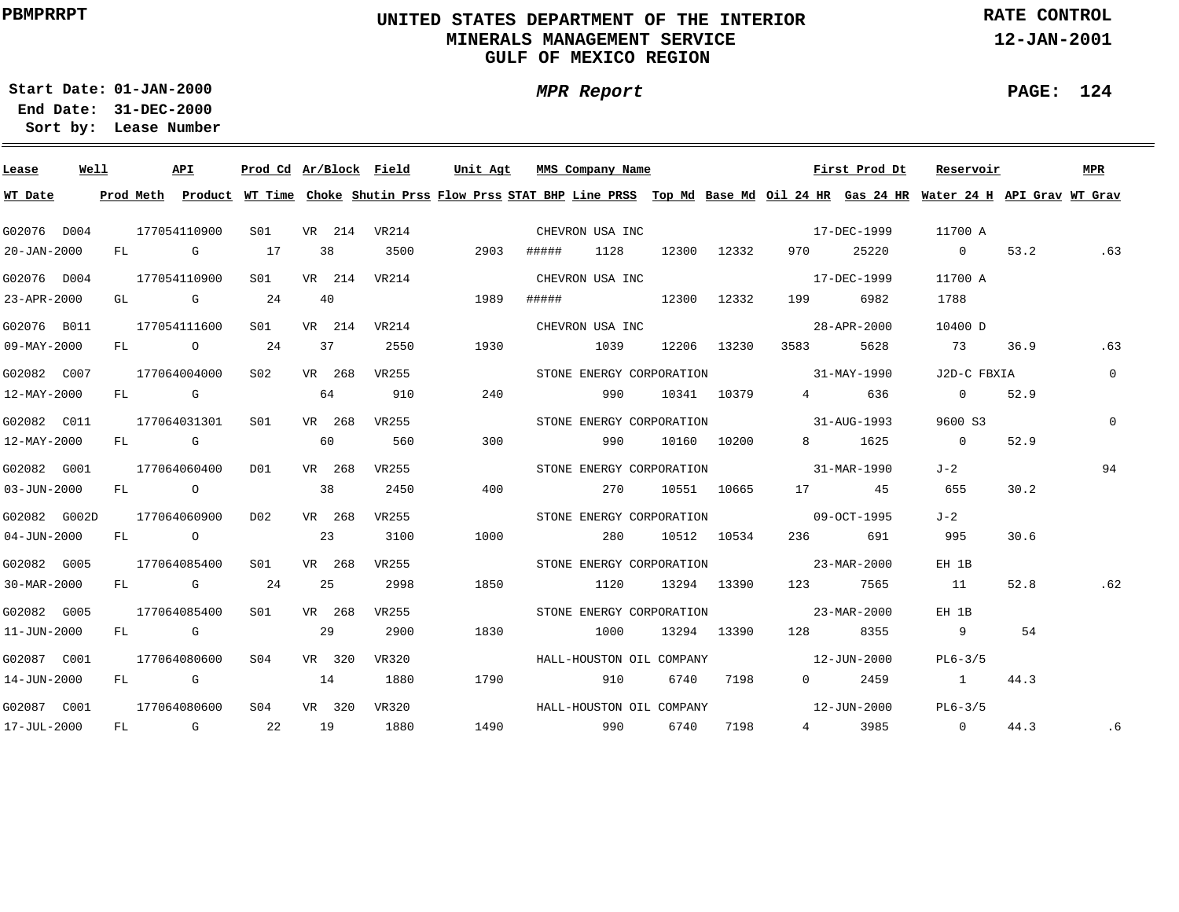### **UNITED STATES DEPARTMENT OF THE INTERIOR MINERALS MANAGEMENT SERVICEGULF OF MEXICO REGION**

**MPR Report**

**RATE CONTROL**

**12-JAN-2001**

**PAGE: 124**

٠

**01-JAN-2000Start Date:**

| Lease             | Well |  | API          |                 |    |        |              |      |       | Prod Cd Ar/Block Field Unit Agt MMS Company Name |      |             |                          | First Prod Dt | Reservoir                                                                                                                               |      | MPR         |
|-------------------|------|--|--------------|-----------------|----|--------|--------------|------|-------|--------------------------------------------------|------|-------------|--------------------------|---------------|-----------------------------------------------------------------------------------------------------------------------------------------|------|-------------|
| WT Date           |      |  |              |                 |    |        |              |      |       |                                                  |      |             |                          |               | Prod Meth Product WT Time Choke Shutin Prss Flow Prss STAT BHP Line PRSS Top Md Base Md Oil 24 HR Gas 24 HR Water 24 H API Grav WT Grav |      |             |
| G02076 D004       |      |  | 177054110900 | SO1             |    |        | VR 214 VR214 |      |       | CHEVRON USA INC                                  |      |             |                          | 17-DEC-1999   | 11700 A                                                                                                                                 |      |             |
|                   |      |  |              |                 |    |        |              |      |       |                                                  |      |             |                          |               |                                                                                                                                         |      |             |
| 20-JAN-2000       |      |  | FL G         | 17              |    | 38     | 3500         | 2903 | ##### | 1128                                             |      | 12300 12332 | 970 —                    | 25220         | $\sim$ 0                                                                                                                                | 53.2 | .63         |
| G02076 D004       |      |  | 177054110900 | S01 <b>S</b>    |    |        | VR 214 VR214 |      |       | CHEVRON USA INC                                  |      |             |                          | 17-DEC-1999   | 11700 A                                                                                                                                 |      |             |
| 23-APR-2000       |      |  | GL G         | 24              |    | 40     |              | 1989 |       |                                                  |      | 12300 12332 | 199                      | 6982          | 1788                                                                                                                                    |      |             |
| G02076 B011       |      |  | 177054111600 | S01             |    |        | VR 214 VR214 |      |       | CHEVRON USA INC                                  |      |             |                          | 28-APR-2000   | ם 10400                                                                                                                                 |      |             |
| 09-MAY-2000       |      |  | FL 0 24      |                 | 37 |        | 2550         | 1930 |       | 1039                                             |      | 12206 13230 | 3583 358                 | 5628          | 73                                                                                                                                      | 36.9 | .63         |
| G02082 C007       |      |  | 177064004000 | S02             |    | VR 268 | VR255        |      |       | STONE ENERGY CORPORATION                         |      |             | $31 - \text{MAX} - 1990$ |               | J2D-C FBXIA                                                                                                                             |      | $\mathbf 0$ |
| 12-MAY-2000       |      |  | FL G         |                 | 64 |        | 910          | 240  |       | 990                                              |      |             | 10341 10379 4 636        |               | $\overline{0}$                                                                                                                          | 52.9 |             |
| G02082 C011       |      |  | 177064031301 | S01             |    | VR 268 | VR255        |      |       | STONE ENERGY CORPORATION 31-AUG-1993             |      |             |                          |               | 9600 S3                                                                                                                                 |      | $\Omega$    |
| 12-MAY-2000       |      |  | FL G         |                 | 60 |        | 560          | 300  |       | 990                                              |      | 10160 10200 |                          | 8 1625        | $\overline{0}$                                                                                                                          | 52.9 |             |
| G02082 G001       |      |  | 177064060400 | D01             |    | VR 268 | VR255        |      |       | STONE ENERGY CORPORATION 31-MAR-1990             |      |             |                          |               | J-2                                                                                                                                     |      | 94          |
| 03-JUN-2000       |      |  | FL O         |                 |    | 38     | 2450         | 400  |       | 270                                              |      | 10551 10665 | 17 45                    |               | 655                                                                                                                                     | 30.2 |             |
| G02082 G002D      |      |  | 177064060900 | D02             |    | VR 268 | VR255        |      |       | STONE ENERGY CORPORATION 09-OCT-1995             |      |             |                          |               | $J - 2$                                                                                                                                 |      |             |
| $04 - JUN - 2000$ |      |  | $FL$ 0       |                 |    | 23     | 3100         | 1000 |       | 280                                              |      | 10512 10534 |                          | 691           | 995                                                                                                                                     | 30.6 |             |
| G02082 G005       |      |  | 177064085400 | S <sub>01</sub> |    | VR 268 | VR255        |      |       | STONE ENERGY CORPORATION 23-MAR-2000             |      |             |                          |               | EH 1B                                                                                                                                   |      |             |
| 30-MAR-2000       |      |  | FL G         | 24              |    | 25     | 2998         | 1850 |       | 1120                                             |      | 13294 13390 | 123 7565                 |               | 11                                                                                                                                      | 52.8 | .62         |
| G02082 G005       |      |  | 177064085400 | S01             |    | VR 268 | VR255        |      |       | STONE ENERGY CORPORATION                         |      |             | $23 - \text{MAR} - 2000$ |               | EH 1B                                                                                                                                   |      |             |
| 11-JUN-2000       |      |  | FL G         |                 | 29 |        | 2900         | 1830 |       | 1000                                             |      | 13294 13390 | 128                      | 8355          | 9                                                                                                                                       | 54   |             |
| G02087 C001       |      |  | 177064080600 | S <sub>04</sub> |    | VR 320 | VR320        |      |       | HALL-HOUSTON OIL COMPANY                         |      |             | 12-JUN-2000              |               | $PL6-3/5$                                                                                                                               |      |             |
| 14-JUN-2000       |      |  | FL G         |                 | 14 |        | 1880         | 1790 |       | 910                                              | 6740 | 7198        | $0 \qquad \qquad$        | 2459          | $\sim$ 1                                                                                                                                | 44.3 |             |
| G02087 C001       |      |  | 177064080600 | S <sub>04</sub> |    | VR 320 | VR320        |      |       | HALL-HOUSTON OIL COMPANY                         |      |             | $12 - JUN - 2000$        |               | $PL6-3/5$                                                                                                                               |      |             |
| 17-JUL-2000       |      |  | FL G 22      |                 | 19 |        | 1880         | 1490 |       | 990 6740                                         |      | 7198        |                          | 4 3985        | $\overline{0}$                                                                                                                          | 44.3 | .6          |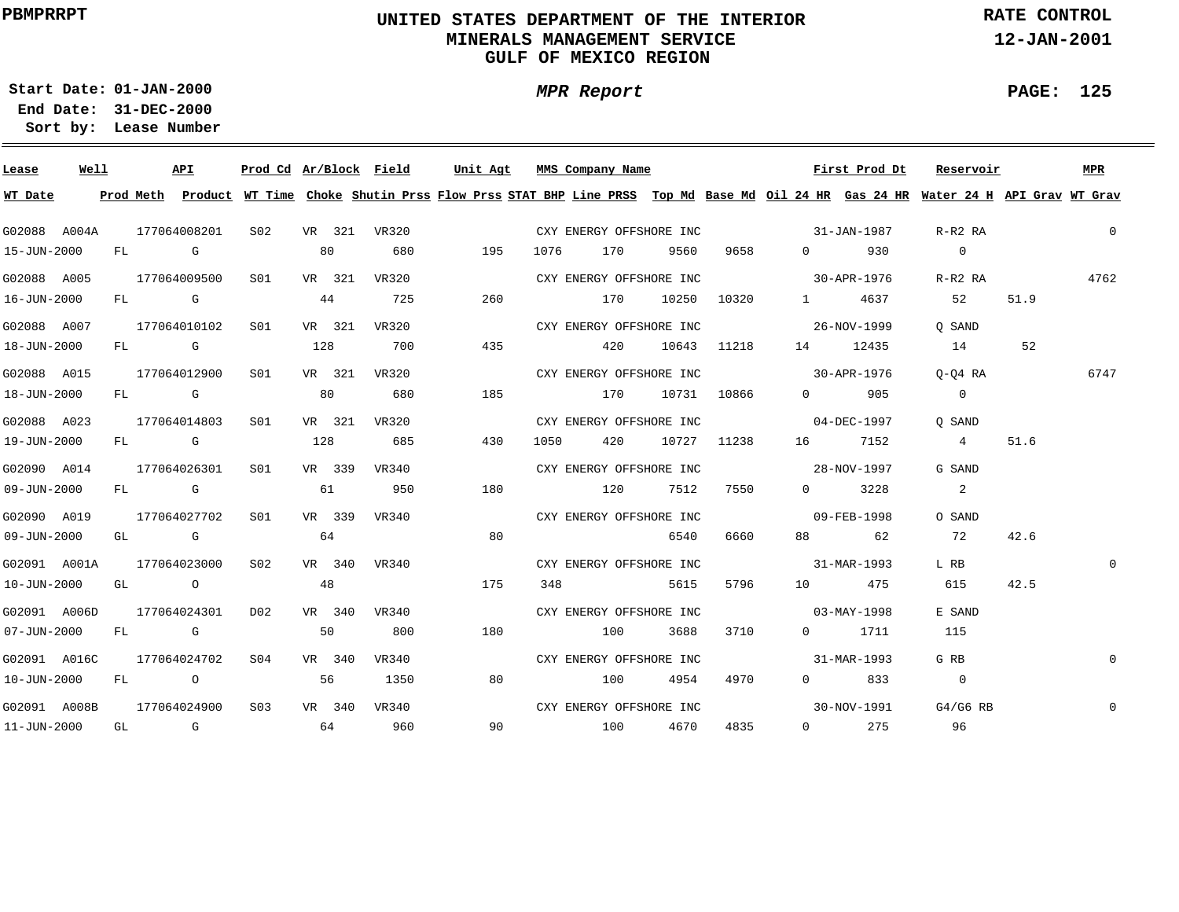### **UNITED STATES DEPARTMENT OF THE INTERIOR MINERALS MANAGEMENT SERVICEGULF OF MEXICO REGION**

**MPR Report**

**RATE CONTROL**

**12-JAN-2001**

**PAGE: 125**

**01-JAN-2000Start Date:**

| Lease             | Well | API          |                                                                                                                                                                                                                                |              |     |        | Prod Cd Ar/Block Field | Unit Agt |     |      | MMS Company Name                                                                                                                                                                                                                |      |             |                                     | First Prod Dt         | Reservoir                                                                                                                               |      | MPR            |
|-------------------|------|--------------|--------------------------------------------------------------------------------------------------------------------------------------------------------------------------------------------------------------------------------|--------------|-----|--------|------------------------|----------|-----|------|---------------------------------------------------------------------------------------------------------------------------------------------------------------------------------------------------------------------------------|------|-------------|-------------------------------------|-----------------------|-----------------------------------------------------------------------------------------------------------------------------------------|------|----------------|
| WT Date           |      |              |                                                                                                                                                                                                                                |              |     |        |                        |          |     |      |                                                                                                                                                                                                                                 |      |             |                                     |                       | Prod Meth Product WT Time Choke Shutin Prss Flow Prss STAT BHP Line PRSS Top Md Base Md Oil 24 HR Gas 24 HR Water 24 H API Grav WT Grav |      |                |
| G02088 A004A      |      | 177064008201 |                                                                                                                                                                                                                                | S02          |     |        | VR 321 VR320           |          |     |      | CXY ENERGY OFFSHORE INC                                                                                                                                                                                                         |      |             | $31 - JAN - 1987$                   |                       | R-R2 RA                                                                                                                                 |      | $\overline{0}$ |
| 15-JUN-2000       |      | FL G         |                                                                                                                                                                                                                                |              | 80  |        | 680                    |          | 195 | 1076 | 170 — 170 — 170 — 170 — 170 — 170 — 170 — 170 — 170 — 170 — 170 — 170 — 171 — 171 — 171 — 172 — 172 — 172 — 173 — 173 — 173 — 174 — 175 — 176 — 177 — 177 — 177 — 177 — 177 — 177 — 177 — 177 — 177 — 177 — 177 — 177 — 177 — 1 | 9560 | 9658 — 10   |                                     | 0 930                 | $\overline{0}$                                                                                                                          |      |                |
| G02088 A005       |      | 177064009500 |                                                                                                                                                                                                                                | S01          |     |        | VR 321 VR320           |          |     |      | CXY ENERGY OFFSHORE INC                                                                                                                                                                                                         |      |             | $30 - APR - 1976$                   |                       | R-R2 RA                                                                                                                                 |      | 4762           |
| 16-JUN-2000       |      | FL G         |                                                                                                                                                                                                                                |              | 44  |        | 725                    |          | 260 |      | 170                                                                                                                                                                                                                             |      |             | 10250 10320 1 4637                  |                       | 52                                                                                                                                      | 51.9 |                |
| G02088 A007       |      |              | 177064010102 S01                                                                                                                                                                                                               |              |     |        | VR 321 VR320           |          |     |      | CXY ENERGY OFFSHORE INC                                                                                                                                                                                                         |      |             | 26-NOV-1999                         |                       | O SAND                                                                                                                                  |      |                |
| 18-JUN-2000       |      |              |                                                                                                                                                                                                                                | $FL$ G 128   |     |        | 700                    |          | 435 |      | 420                                                                                                                                                                                                                             |      | 10643 11218 |                                     | 14 12435              | 14                                                                                                                                      | 52   |                |
| G02088 A015       |      | 177064012900 |                                                                                                                                                                                                                                | S01          |     |        | VR 321 VR320           |          |     |      |                                                                                                                                                                                                                                 |      |             | CXY ENERGY OFFSHORE INC 30-APR-1976 |                       | 0-04 RA                                                                                                                                 |      | 6747           |
| 18-JUN-2000       |      |              | $FL$ G and $G$ and $G$ and $G$ and $G$ and $G$ and $G$ and $G$ and $G$ and $G$ and $G$ and $G$ and $G$ and $G$ and $G$ and $G$ and $G$ and $G$ and $G$ and $G$ and $G$ and $G$ and $G$ and $G$ and $G$ and $G$ and $G$ and $G$ |              | 80  |        | 680                    | 185      |     |      | 170                                                                                                                                                                                                                             |      | 10731 10866 |                                     | 0 905                 | $\overline{0}$                                                                                                                          |      |                |
| G02088 A023       |      | 177064014803 |                                                                                                                                                                                                                                | S01 <b>S</b> |     |        | VR 321 VR320           |          |     |      |                                                                                                                                                                                                                                 |      |             | CXY ENERGY OFFSHORE INC 04-DEC-1997 |                       | O SAND                                                                                                                                  |      |                |
| 19-JUN-2000       |      | FL G         |                                                                                                                                                                                                                                |              | 128 |        | 685                    | 430      |     | 1050 | 420                                                                                                                                                                                                                             |      | 10727 11238 |                                     | 16 7152               | $4\overline{4}$                                                                                                                         | 51.6 |                |
| G02090 A014       |      | 177064026301 |                                                                                                                                                                                                                                | S01          |     | VR 339 | VR340                  |          |     |      | CXY ENERGY OFFSHORE INC                                                                                                                                                                                                         |      |             | $28 - NOV - 1997$                   |                       | G SAND                                                                                                                                  |      |                |
| 09-JUN-2000       |      |              | FL G                                                                                                                                                                                                                           |              |     |        | 61 950                 |          | 180 |      | 120 7512 7550                                                                                                                                                                                                                   |      |             |                                     | $0 \t 3228$           | 2                                                                                                                                       |      |                |
| G02090 A019       |      | 177064027702 |                                                                                                                                                                                                                                | S01          |     |        | VR 339 VR340           |          |     |      | CXY ENERGY OFFSHORE INC                                                                                                                                                                                                         |      |             | $09 - FEB - 1998$                   |                       | O SAND                                                                                                                                  |      |                |
| 09-JUN-2000       |      | GL G         |                                                                                                                                                                                                                                |              | 64  |        |                        |          | 80  |      |                                                                                                                                                                                                                                 | 6540 | 6660        |                                     | 88 62                 | 72                                                                                                                                      | 42.6 |                |
| G02091 A001A      |      | 177064023000 |                                                                                                                                                                                                                                | S02          |     |        | VR 340 VR340           |          |     |      | CXY ENERGY OFFSHORE INC                                                                                                                                                                                                         |      |             | $31 - \text{MAR} - 1993$            |                       | L RB                                                                                                                                    |      | $\Omega$       |
| 10-JUN-2000       |      | GL O         |                                                                                                                                                                                                                                |              | 48  |        |                        |          | 175 |      | 348 and $\sim$                                                                                                                                                                                                                  | 5615 | 5796        |                                     | 10 475                | 615                                                                                                                                     | 42.5 |                |
| G02091 A006D      |      | 177064024301 |                                                                                                                                                                                                                                | D02          |     | VR 340 | VR340                  |          |     |      | CXY ENERGY OFFSHORE INC                                                                                                                                                                                                         |      |             | $03 - \text{MAX} - 1998$            |                       | E SAND                                                                                                                                  |      |                |
| $07 - JUN - 2000$ |      | FL G         |                                                                                                                                                                                                                                |              |     | 50     | 800                    |          | 180 |      | 100                                                                                                                                                                                                                             | 3688 | 3710        |                                     | 0 1711                | 115                                                                                                                                     |      |                |
| G02091 A016C      |      |              | 177064024702 S04                                                                                                                                                                                                               |              |     | VR 340 | VR340                  |          |     |      | CXY ENERGY OFFSHORE INC                                                                                                                                                                                                         |      |             | $31 - \text{MAR} - 1993$            |                       | G RB                                                                                                                                    |      | $\mathbf{0}$   |
| 10-JUN-2000       |      |              |                                                                                                                                                                                                                                | FL O O       |     | 56     | 1350                   |          | 80  |      | 100                                                                                                                                                                                                                             | 4954 | 4970        |                                     | $0 \t 833$            | $\overline{0}$                                                                                                                          |      |                |
| G02091 A008B      |      | 177064024900 |                                                                                                                                                                                                                                | S03          |     |        | VR 340 VR340           |          |     |      | CXY ENERGY OFFSHORE INC                                                                                                                                                                                                         |      |             |                                     |                       | 30-NOV-1991 G4/G6 RB                                                                                                                    |      | $\mathbf 0$    |
| 11-JUN-2000       |      |              |                                                                                                                                                                                                                                | GL G 64 960  |     |        |                        |          |     |      | 90 100                                                                                                                                                                                                                          | 4670 | 4835        |                                     | $0 \qquad \qquad 275$ | 96                                                                                                                                      |      |                |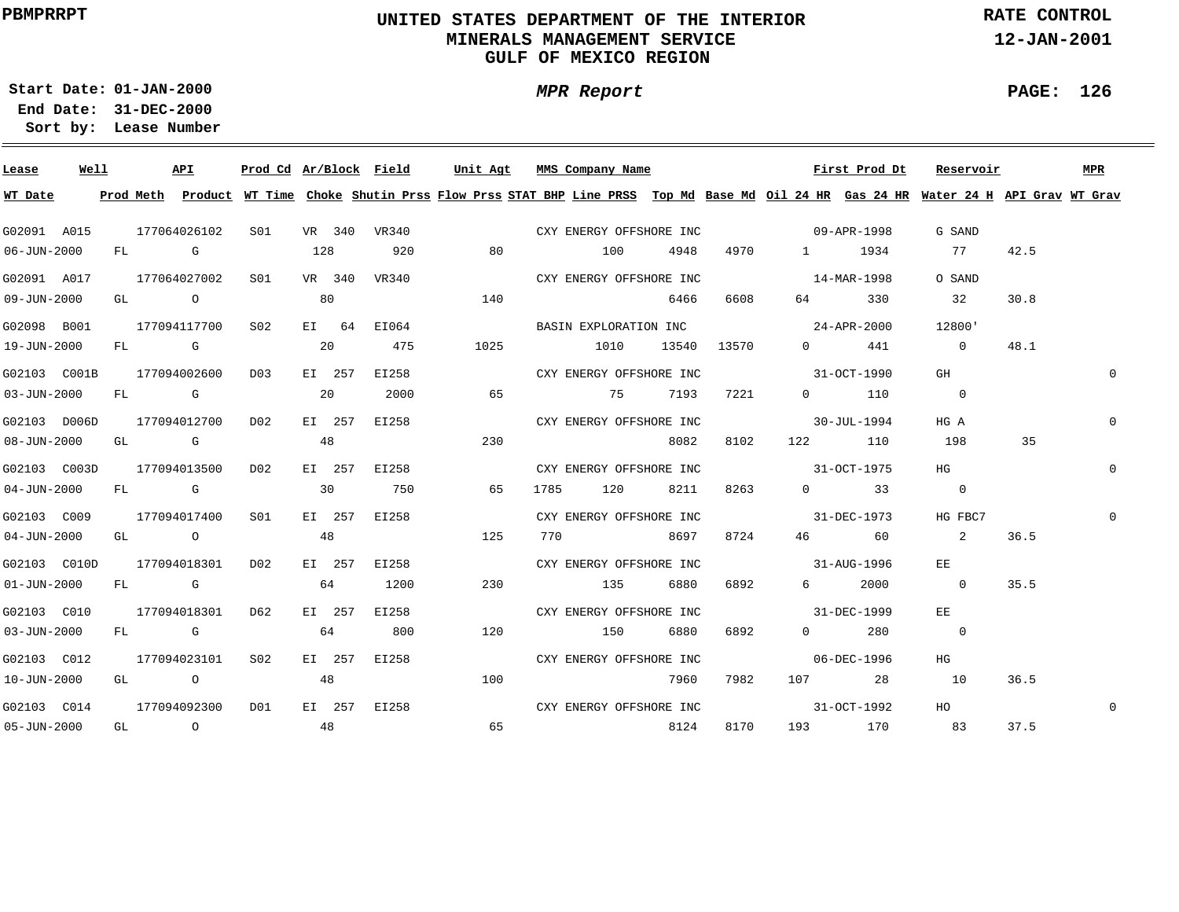### **UNITED STATES DEPARTMENT OF THE INTERIOR MINERALS MANAGEMENT SERVICEGULF OF MEXICO REGION**

**MPR Report**

**RATE CONTROL**

**12-JAN-2001**

**PAGE: 126**

÷

**01-JAN-2000Start Date:**

| Lease             | Well |  | <b>API</b>       |                  |    |        |              | Prod Cd Ar/Block Field Unit Agt MMS Company Name                                                               |                                   |       |       |                          |                      | First Prod Dt Reservoir                                                                                                                 |      | MPR         |
|-------------------|------|--|------------------|------------------|----|--------|--------------|----------------------------------------------------------------------------------------------------------------|-----------------------------------|-------|-------|--------------------------|----------------------|-----------------------------------------------------------------------------------------------------------------------------------------|------|-------------|
| WT Date           |      |  |                  |                  |    |        |              |                                                                                                                |                                   |       |       |                          |                      | Prod Meth Product WT Time Choke Shutin Prss Flow Prss STAT BHP Line PRSS Top Md Base Md Oil 24 HR Gas 24 HR Water 24 H API Grav WT Grav |      |             |
| G02091 A015       |      |  | 177064026102     |                  |    |        |              | S01 VR 340 VR340 CXY ENERGY OFFSHORE INC                                                                       |                                   |       |       | $09 - APR - 1998$        |                      | G SAND                                                                                                                                  |      |             |
| $06 - JUN - 2000$ |      |  | FL G             | 128 920          |    |        |              | 80                                                                                                             | 100                               | 4948  | 4970  |                          | 1 1934               | 77                                                                                                                                      | 42.5 |             |
| G02091 A017       |      |  |                  | 177064027002 S01 |    |        |              | VR 340 VR340                                                                                                   | CXY ENERGY OFFSHORE INC           |       |       | $14 - \text{MAR} - 1998$ |                      | O SAND                                                                                                                                  |      |             |
| 09-JUN-2000       |      |  | GL O O           |                  | 80 |        |              | 140                                                                                                            |                                   | 6466  | 6608  | 64 64                    | 330                  | 32                                                                                                                                      | 30.8 |             |
| G02098 B001       |      |  | 177094117700 SO2 |                  |    |        | EI 64 EI064  |                                                                                                                | BASIN EXPLORATION INC 24-APR-2000 |       |       |                          |                      | 12800'                                                                                                                                  |      |             |
| 19-JUN-2000       |      |  | FL G             |                  | 20 |        | 475          | 1025                                                                                                           | 1010                              | 13540 | 13570 |                          | $0$ 441              | $\overline{0}$                                                                                                                          | 48.1 |             |
| G02103 C001B      |      |  | 177094002600     | D03              |    | EI 257 | EI258        |                                                                                                                | CXY ENERGY OFFSHORE INC           |       |       | $31-9CT-1990$            |                      | GH                                                                                                                                      |      | $\Omega$    |
| 03-JUN-2000       |      |  | FL G             |                  | 20 |        | 2000         | 65                                                                                                             | 75 7193                           |       | 7221  |                          | $0$ 110              | $\overline{0}$                                                                                                                          |      |             |
| G02103 D006D      |      |  | 177094012700     | D02              |    | EI 257 |              | EI258 and the state of the state of the state of the state of the state of the state of the state of the state | CXY ENERGY OFFSHORE INC           |       |       | $30 - JUL - 1994$        |                      | HG A                                                                                                                                    |      | $\Omega$    |
| 08-JUN-2000       |      |  | GL G             |                  | 48 |        |              | 230                                                                                                            |                                   | 8082  | 8102  |                          | 122 110              | 198                                                                                                                                     | 35   |             |
| G02103 C003D      |      |  | 177094013500     | D02              |    | EI 257 | EI258        |                                                                                                                | CXY ENERGY OFFSHORE INC           |       |       | $31-9CT-1975$            |                      | HG                                                                                                                                      |      | $\Omega$    |
| 04-JUN-2000       |      |  | FL G             |                  | 30 |        | 750          | 65                                                                                                             | 1785 120                          | 8211  | 8263  |                          | $0 \qquad \qquad$ 33 | $\overline{0}$                                                                                                                          |      |             |
| G02103 C009       |      |  | 177094017400     | SO1              |    | EI 257 | EI258        |                                                                                                                | CXY ENERGY OFFSHORE INC           |       |       |                          | $31 - DEC - 1973$    | HG FBC7                                                                                                                                 |      |             |
| $04 - JUN - 2000$ |      |  | GL O             |                  | 48 |        |              | 125                                                                                                            | 770 8697                          |       | 8724  |                          | 46 60                | $\overline{\phantom{a}}^2$                                                                                                              | 36.5 |             |
| G02103 C010D      |      |  | 177094018301     | D02              |    |        | EI 257 EI258 |                                                                                                                | CXY ENERGY OFFSHORE INC           |       |       | $31 - \text{AUG} - 1996$ |                      | EE                                                                                                                                      |      |             |
| $01 - JUN - 2000$ |      |  | FL G             |                  | 64 |        | 1200         | 230                                                                                                            | 135                               | 6880  | 6892  |                          | 6 2000               | $\overline{0}$                                                                                                                          | 35.5 |             |
| G02103 C010       |      |  | 177094018301     | D62              |    | EI 257 | EI258        |                                                                                                                | CXY ENERGY OFFSHORE INC           |       |       | 31-DEC-1999              |                      | EE                                                                                                                                      |      |             |
| $03 - JUN - 2000$ |      |  | FL G             |                  | 64 |        | 800          | 120                                                                                                            | 150                               | 6880  | 6892  | $\overline{0}$           | 280                  | $\overline{0}$                                                                                                                          |      |             |
| G02103 C012       |      |  | 177094023101     | S02              |    |        | EI 257 EI258 |                                                                                                                | CXY ENERGY OFFSHORE INC           |       |       |                          | 06-DEC-1996          | HG                                                                                                                                      |      |             |
| 10-JUN-2000       |      |  | GL O             |                  | 48 |        |              | 100                                                                                                            |                                   | 7960  | 7982  |                          | 107 28 10            |                                                                                                                                         | 36.5 |             |
| G02103 C014       |      |  | 177094092300     | DO1              |    |        |              | EI 257 EI258 CXY ENERGY OFFSHORE INC                                                                           |                                   |       |       | 31-OCT-1992              |                      | HO                                                                                                                                      |      | $\mathbf 0$ |
| $05 - JUN - 2000$ |      |  |                  | $GL$ 0 48        |    |        |              |                                                                                                                | 65 8124                           |       | 8170  |                          | 193 170 83           |                                                                                                                                         | 37.5 |             |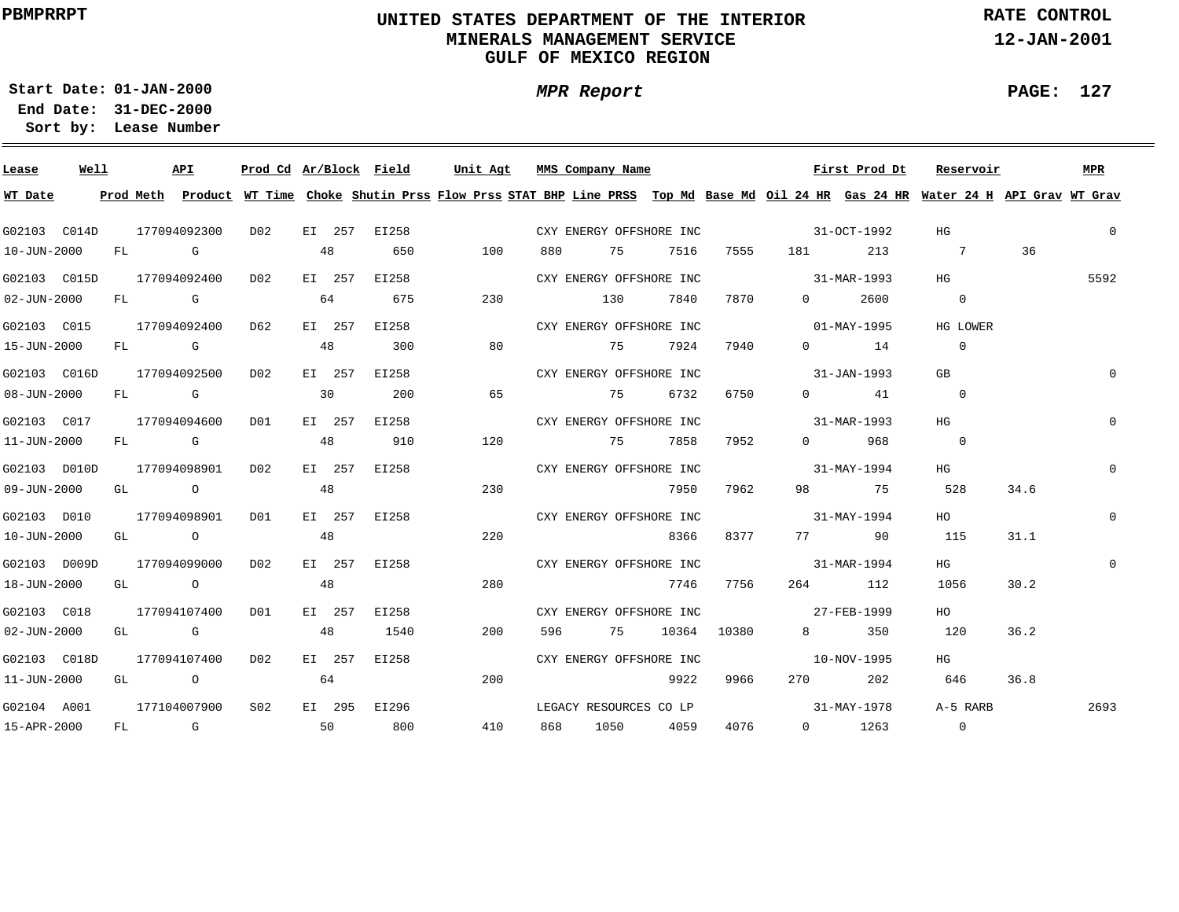### **UNITED STATES DEPARTMENT OF THE INTERIOR MINERALS MANAGEMENT SERVICEGULF OF MEXICO REGION**

**MPR Report**

**RATE CONTROL**

**12-JAN-2001**

**PAGE: 127**

**01-JAN-2000Start Date:31-DEC-2000 End Date:** 

| Lease             | Well |  | API                           |         |    |        | Prod Cd Ar/Block Field | Unit Agt                                                                                                                                |       | MMS Company Name        |           |             |                                     | First Prod Dt | Reservoir      |      | MPR         |
|-------------------|------|--|-------------------------------|---------|----|--------|------------------------|-----------------------------------------------------------------------------------------------------------------------------------------|-------|-------------------------|-----------|-------------|-------------------------------------|---------------|----------------|------|-------------|
| WT Date           |      |  |                               |         |    |        |                        | Prod Meth Product WT Time Choke Shutin Prss Flow Prss STAT BHP Line PRSS Top Md Base Md Oil 24 HR Gas 24 HR Water 24 H API Grav WT Grav |       |                         |           |             |                                     |               |                |      |             |
| G02103 C014D      |      |  | 177094092300                  | DO 2    |    |        | EI 257 EI258           |                                                                                                                                         |       |                         |           |             | CXY ENERGY OFFSHORE INC 31-OCT-1992 |               | HG             |      | $\mathbf 0$ |
| 10-JUN-2000       |      |  | FL G                          |         | 48 |        | 650                    | 100                                                                                                                                     | 880   | 75 7516                 |           |             |                                     |               | 7555 181 213 7 | 36   |             |
|                   |      |  | G02103 C015D 177094092400 D02 |         |    |        | EI 257 EI258           |                                                                                                                                         |       | CXY ENERGY OFFSHORE INC |           |             | 31-MAR-1993                         |               | HG             |      | 5592        |
| $02 - JUN - 2000$ |      |  | FL G                          |         | 64 |        | 675                    | 230                                                                                                                                     |       | 130                     | 7840      | 7870        | $\overline{0}$                      | 2600          | $\overline{0}$ |      |             |
| G02103 C015       |      |  | 177094092400 D62              |         |    |        | EI 257 EI258           |                                                                                                                                         |       | CXY ENERGY OFFSHORE INC |           |             | $01 - \text{MAX} - 1995$            |               | HG LOWER       |      |             |
| 15-JUN-2000       |      |  |                               | FL G 48 |    |        | 300                    | 80                                                                                                                                      |       | 75                      | 7924      | 7940        |                                     | $0$ 14        | $\overline{0}$ |      |             |
| G02103 C016D      |      |  | 177094092500                  | D02     |    |        | EI 257 EI258           |                                                                                                                                         |       | CXY ENERGY OFFSHORE INC |           |             |                                     | 31-JAN-1993   | GB             |      | $\Omega$    |
| 08-JUN-2000       |      |  | FL G                          |         | 30 |        | 200                    | 65                                                                                                                                      |       | 75 6732                 |           | 6750        |                                     | $0$ 41        | $\overline{0}$ |      |             |
| G02103 C017       |      |  | 177094094600                  | DO1     |    |        | EI 257 EI258           |                                                                                                                                         |       | CXY ENERGY OFFSHORE INC |           |             | 31-MAR-1993                         |               | HG             |      | $\mathbf 0$ |
| 11-JUN-2000       |      |  | FL G                          |         | 48 |        | 910                    | 120                                                                                                                                     |       | 75 7858                 |           | 7952        |                                     | $0$ 968       | $\overline{0}$ |      |             |
| G02103 D010D      |      |  | 177094098901                  | DO 2    |    | EI 257 | EI258                  |                                                                                                                                         |       | CXY ENERGY OFFSHORE INC |           |             | $31 - \text{MAX} - 1994$            |               | HG             |      | $\Omega$    |
| 09-JUN-2000       |      |  | GL O                          |         | 48 |        |                        | 230                                                                                                                                     |       |                         | 7950      | 7962        |                                     | 98 75         | 528            | 34.6 |             |
| G02103 D010       |      |  | 177094098901                  | DO1     |    |        | EI 257 EI258           |                                                                                                                                         |       | CXY ENERGY OFFSHORE INC |           |             | $31 - \text{MAX} - 1994$            |               | HO             |      | $\mathbf 0$ |
| 10-JUN-2000       |      |  | GL O                          |         | 48 |        |                        | 220                                                                                                                                     |       |                         | 8366      |             | 8377 77 90                          |               | 115            | 31.1 |             |
| G02103 D009D      |      |  | 177094099000                  | D02     |    |        | EI 257 EI258           |                                                                                                                                         |       | CXY ENERGY OFFSHORE INC |           |             | $31 - MAR - 1994$                   |               | HG             |      | $\mathbf 0$ |
| 18-JUN-2000       |      |  | GL O                          |         | 48 |        |                        | 280                                                                                                                                     |       |                         | 7746      | 7756        |                                     | 264 112       | 1056           | 30.2 |             |
| G02103 C018       |      |  | 177094107400                  | DO1     |    |        | EI 257 EI258           |                                                                                                                                         |       | CXY ENERGY OFFSHORE INC |           |             | 27-FEB-1999                         |               | HO             |      |             |
| $02 - JUN - 2000$ |      |  | GL G                          |         | 48 |        | 1540                   | 200                                                                                                                                     | 596   | 75                      |           | 10364 10380 |                                     | 8 350         | 120            | 36.2 |             |
| G02103 C018D      |      |  | 177094107400 D02              |         |    | EI 257 | EI258                  |                                                                                                                                         |       | CXY ENERGY OFFSHORE INC |           |             | 10-NOV-1995                         |               | HG             |      |             |
| 11-JUN-2000       |      |  | GL O O                        |         | 64 |        |                        | 200                                                                                                                                     |       |                         | 9922      | 9966        |                                     | 270 202       | 646            | 36.8 |             |
| G02104 A001       |      |  | 177104007900                  | S02     |    |        | EI 295 EI296           |                                                                                                                                         |       | LEGACY RESOURCES CO LP  |           |             | $31 - \text{MAX} - 1978$            |               | A-5 RARB       |      | 2693        |
| 15-APR-2000       |      |  | FL G                          |         |    |        | 50 800                 | 410                                                                                                                                     | 868 — |                         | 1050 4059 | 4076        |                                     | $0 \t 1263$   | $\overline{0}$ |      |             |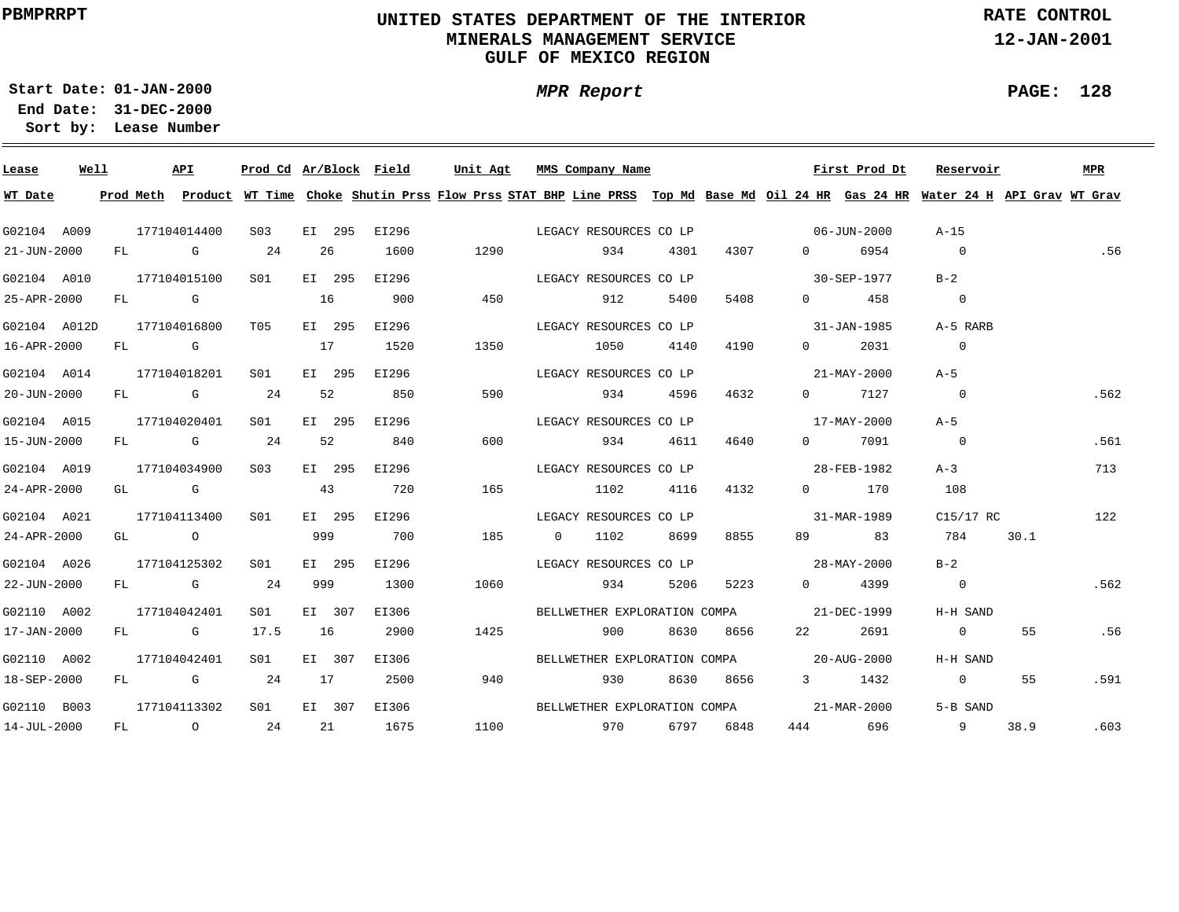### **UNITED STATES DEPARTMENT OF THE INTERIOR MINERALS MANAGEMENT SERVICEGULF OF MEXICO REGION**

**MPR Report**

**RATE CONTROL**

**12-JAN-2001**

**PAGE: 128**

÷

**01-JAN-2000Start Date:31-DEC-2000 End Date:** 

| Lease             | Well |  | API          |                 |     |        | Prod Cd Ar/Block Field |      | Unit Agt MMS Company Name                                                                                                               |           |           |                                                                                                                                                                                                                                                                                                                                    | First Prod Dt            | Reservoir                |      | MPR  |
|-------------------|------|--|--------------|-----------------|-----|--------|------------------------|------|-----------------------------------------------------------------------------------------------------------------------------------------|-----------|-----------|------------------------------------------------------------------------------------------------------------------------------------------------------------------------------------------------------------------------------------------------------------------------------------------------------------------------------------|--------------------------|--------------------------|------|------|
| WT Date           |      |  |              |                 |     |        |                        |      | Prod Meth Product WT Time Choke Shutin Prss Flow Prss STAT BHP Line PRSS Top Md Base Md Oil 24 HR Gas 24 HR Water 24 H API Grav WT Grav |           |           |                                                                                                                                                                                                                                                                                                                                    |                          |                          |      |      |
| G02104 A009       |      |  | 177104014400 | S <sub>03</sub> |     |        | EI 295 EI296           |      | LEGACY RESOURCES CO LP                                                                                                                  |           |           | $06 - JUN - 2000$                                                                                                                                                                                                                                                                                                                  |                          | A-15                     |      |      |
| $21 - JUN - 2000$ |      |  | FL G 24      |                 |     | 26     | 1600                   | 1290 | 934                                                                                                                                     | 4301      | 4307      | $\overline{0}$ and $\overline{0}$ and $\overline{0}$ and $\overline{0}$ and $\overline{0}$ and $\overline{0}$ and $\overline{0}$ and $\overline{0}$ and $\overline{0}$ and $\overline{0}$ and $\overline{0}$ and $\overline{0}$ and $\overline{0}$ and $\overline{0}$ and $\overline{0}$ and $\overline{0}$ and $\overline{0}$ and | 6954                     | $\overline{0}$           |      | .56  |
| G02104 A010       |      |  | 177104015100 | S01             |     |        | EI 295 EI296           |      | LEGACY RESOURCES CO LP                                                                                                                  |           |           |                                                                                                                                                                                                                                                                                                                                    | 30-SEP-1977              | $B-2$                    |      |      |
| 25-APR-2000       |      |  | $FL$ G $G$   |                 | 16  |        | 900                    | 450  | 912                                                                                                                                     | 5400      | 5408      | $\overline{0}$                                                                                                                                                                                                                                                                                                                     | 458                      | $\overline{\phantom{0}}$ |      |      |
| G02104 A012D      |      |  | 177104016800 | T05 70          |     | EI 295 | EI296                  |      | LEGACY RESOURCES CO LP                                                                                                                  |           |           |                                                                                                                                                                                                                                                                                                                                    | 31-JAN-1985              | A-5 RARB                 |      |      |
| 16-APR-2000       |      |  | FL G         | 17              |     |        | 1520                   | 1350 | 1050                                                                                                                                    | 4140      | 4190      | $\Omega$                                                                                                                                                                                                                                                                                                                           | 2031                     | $\overline{0}$           |      |      |
| G02104 A014       |      |  | 177104018201 | S01             |     |        | EI 295 EI296           |      | LEGACY RESOURCES CO LP                                                                                                                  |           |           |                                                                                                                                                                                                                                                                                                                                    | 21-MAY-2000              | $A-5$                    |      |      |
| 20-JUN-2000       |      |  | $FL$ G 24    |                 |     | 52     | 850                    | 590  |                                                                                                                                         | 934 4596  | 4632      |                                                                                                                                                                                                                                                                                                                                    | $0 \t 7127$              | $\overline{0}$           |      | .562 |
| G02104 A015       |      |  | 177104020401 | S01 <b>S</b>    |     |        | EI 295 EI296           |      | LEGACY RESOURCES CO LP                                                                                                                  |           |           |                                                                                                                                                                                                                                                                                                                                    | 17-MAY-2000              | $A-5$                    |      |      |
| 15-JUN-2000       |      |  | $FL$ G 24    |                 | 52  |        | 840                    | 600  |                                                                                                                                         | 934 4611  | 4640      |                                                                                                                                                                                                                                                                                                                                    | 0 7091                   | $\overline{0}$           |      | .561 |
| G02104 A019       |      |  | 177104034900 | S <sub>03</sub> |     | EI 295 | EI296                  |      | LEGACY RESOURCES CO LP                                                                                                                  |           |           | 28-FEB-1982                                                                                                                                                                                                                                                                                                                        |                          | $A-3$                    |      | 713  |
| $24 - APR - 2000$ |      |  | GL G         |                 | 43  |        | 720                    | 165  |                                                                                                                                         | 1102 4116 | 4132      |                                                                                                                                                                                                                                                                                                                                    | $0$ 170                  | 108                      |      |      |
| G02104 A021       |      |  | 177104113400 | SO1             |     | EI 295 | EI296                  |      | LEGACY RESOURCES CO LP                                                                                                                  |           |           | 31-MAR-1989                                                                                                                                                                                                                                                                                                                        |                          | C15/17 RC                |      | 122  |
| $24 - APR - 2000$ |      |  | GL O         |                 | 999 |        | 700                    | 185  | $0 \t 1102$                                                                                                                             | 8699      | 8855      |                                                                                                                                                                                                                                                                                                                                    | 89 83                    | 784                      | 30.1 |      |
| G02104 A026       |      |  | 177104125302 | SO1             |     | EI 295 | EI296                  |      | LEGACY RESOURCES CO LP                                                                                                                  |           |           | $28 - \text{MAX} - 2000$                                                                                                                                                                                                                                                                                                           |                          | $B-2$                    |      |      |
| 22-JUN-2000       |      |  | FL G 24      |                 | 999 |        | 1300                   | 1060 | 934                                                                                                                                     | 5206      | 5223      |                                                                                                                                                                                                                                                                                                                                    | 0 4399                   | $\overline{0}$           |      | .562 |
| G02110 A002       |      |  | 177104042401 | S01             |     | EI 307 | EI306                  |      | BELLWETHER EXPLORATION COMPA 21-DEC-1999                                                                                                |           |           |                                                                                                                                                                                                                                                                                                                                    |                          | H-H SAND                 |      |      |
| 17-JAN-2000       |      |  | FL G         | 17.5            | 16  |        | 2900                   | 1425 | 900                                                                                                                                     |           | 8630 8656 | 22 and $\sim$                                                                                                                                                                                                                                                                                                                      | 2691                     | $\overline{0}$           | 55   | .56  |
| G02110 A002       |      |  | 177104042401 | S01 <b>S</b>    |     | EI 307 | EI306                  |      | BELLWETHER EXPLORATION COMPA 20-AUG-2000                                                                                                |           |           |                                                                                                                                                                                                                                                                                                                                    |                          | H-H SAND                 |      |      |
| 18-SEP-2000       |      |  | FL G 24      |                 |     | 17     | 2500                   | 940  | 930                                                                                                                                     |           | 8630 8656 |                                                                                                                                                                                                                                                                                                                                    | 3 1432                   | $\overline{0}$           | 55   | .591 |
| G02110 B003       |      |  | 177104113302 | S01 <b>S</b>    |     |        | EI 307 EI306           |      | BELLWETHER EXPLORATION COMPA                                                                                                            |           |           |                                                                                                                                                                                                                                                                                                                                    | $21 - \text{MAR} - 2000$ | 5-B SAND                 |      |      |
| 14-JUL-2000       |      |  | $FL$ 0 24    |                 |     |        | 21 1675                |      | 1100 970                                                                                                                                |           | 6797 6848 |                                                                                                                                                                                                                                                                                                                                    |                          | 444 696 9                | 38.9 | .603 |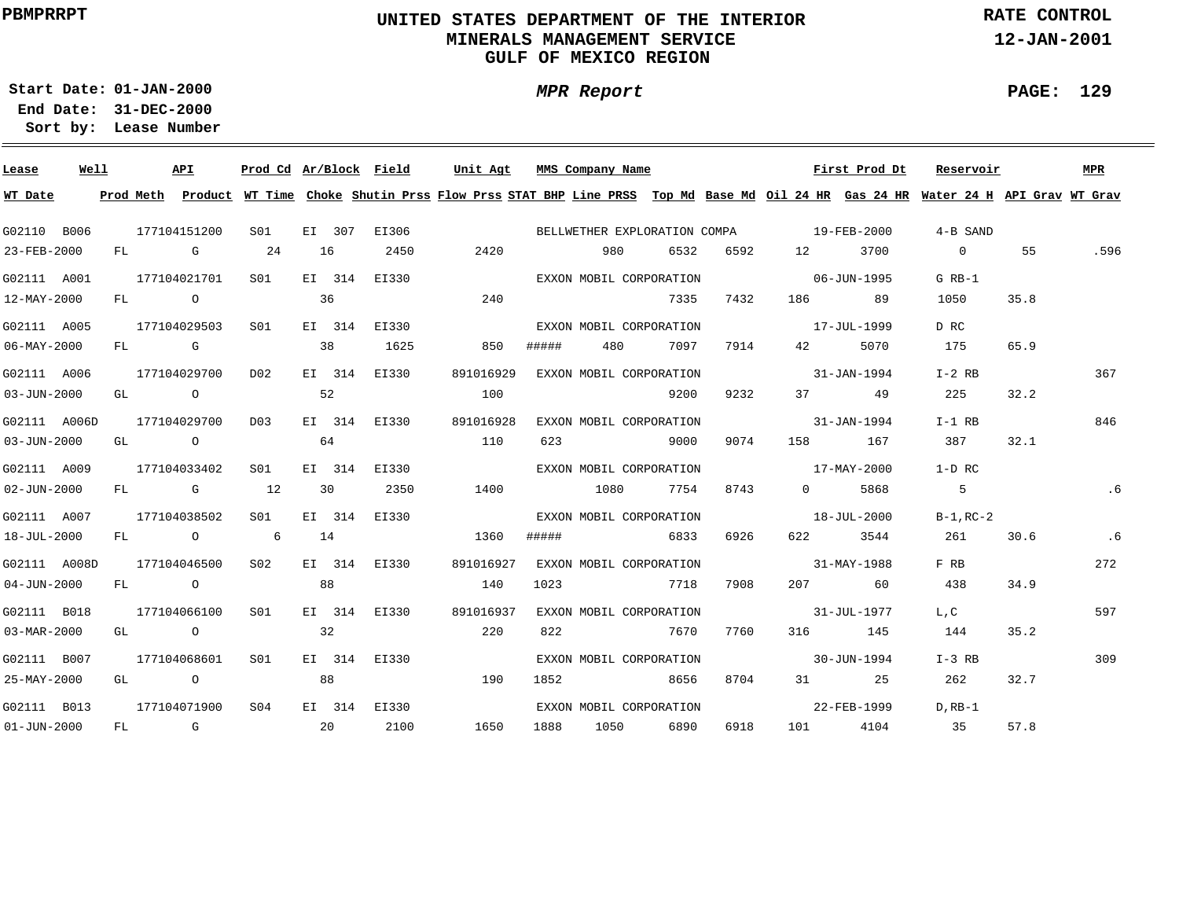### **UNITED STATES DEPARTMENT OF THE INTERIOR MINERALS MANAGEMENT SERVICEGULF OF MEXICO REGION**

**MPR Report**

**RATE CONTROL**

**12-JAN-2001**

**PAGE: 129**

÷

**01-JAN-2000Start Date:31-DEC-2000 End Date:** 

| Lease             | Well | API          | Prod Cd Ar/Block Field |    |    |              | Unit Agt                                                                                                                                |       | MMS Company Name        |      |      |                                          | First Prod Dt | Reservoir      |      | MPR  |
|-------------------|------|--------------|------------------------|----|----|--------------|-----------------------------------------------------------------------------------------------------------------------------------------|-------|-------------------------|------|------|------------------------------------------|---------------|----------------|------|------|
| WT Date           |      |              |                        |    |    |              | Prod Meth Product WT Time Choke Shutin Prss Flow Prss STAT BHP Line PRSS Top Md Base Md Oil 24 HR Gas 24 HR Water 24 H API Grav WT Grav |       |                         |      |      |                                          |               |                |      |      |
| G02110 B006       |      | 177104151200 | S01                    |    |    | EI 307 EI306 |                                                                                                                                         |       |                         |      |      | BELLWETHER EXPLORATION COMPA 19-FEB-2000 |               | 4-B SAND       |      |      |
| 23-FEB-2000       |      | FL G         | 24                     | 16 |    | 2450         | 2420                                                                                                                                    |       | 980                     | 6532 | 6592 | 12 and $\overline{a}$                    | 3700          | $\overline{0}$ | 55   | .596 |
| G02111 A001       |      | 177104021701 | S <sub>01</sub>        |    |    | EI 314 EI330 |                                                                                                                                         |       | EXXON MOBIL CORPORATION |      |      | $06 - JUN - 1995$                        |               | $G$ RB-1       |      |      |
| 12-MAY-2000       |      | FL O         |                        | 36 |    |              | 240                                                                                                                                     |       |                         | 7335 | 7432 |                                          | 186 89        | 1050           | 35.8 |      |
| G02111 A005       |      | 177104029503 | S01                    |    |    | EI 314 EI330 |                                                                                                                                         |       | EXXON MOBIL CORPORATION |      |      | 17-JUL-1999                              |               | D RC           |      |      |
| $06 - MAX - 2000$ |      | FL G         |                        | 38 |    | 1625         | 850                                                                                                                                     | ##### | 480                     | 7097 | 7914 | 42 and $\sim$                            | 5070          | 175            | 65.9 |      |
| G02111 A006       |      | 177104029700 | D02                    |    |    | EI 314 EI330 | 891016929                                                                                                                               |       | EXXON MOBIL CORPORATION |      |      | $31 - JAN - 1994$                        |               | I-2 RB         |      | 367  |
| 03-JUN-2000       |      | GL O         |                        | 52 |    |              | 100                                                                                                                                     |       |                         | 9200 | 9232 |                                          | 37 49         | 225            | 32.2 |      |
| G02111 A006D      |      | 177104029700 | D03                    |    |    | EI 314 EI330 | 891016928                                                                                                                               |       | EXXON MOBIL CORPORATION |      |      | $31 - JAN - 1994$                        |               | I-1 RB         |      | 846  |
| 03-JUN-2000       |      | GL O         |                        | 64 |    |              | 110                                                                                                                                     |       | 623 and $\sim$          | 9000 | 9074 |                                          | 158 167       | 387            | 32.1 |      |
| G02111 A009       |      | 177104033402 | S01                    |    |    | EI 314 EI330 |                                                                                                                                         |       | EXXON MOBIL CORPORATION |      |      | $17 - \text{MAX} - 2000$                 |               | 1-D RC         |      |      |
| $02 - JUN - 2000$ |      | FL G 12      |                        |    | 30 | 2350         | 1400                                                                                                                                    |       | 1080                    | 7754 | 8743 |                                          | 0 5868        | $5^{\circ}$    |      | .6   |
| G02111 A007       |      | 177104038502 | S01 - 1                |    |    | EI 314 EI330 | EXXON MOBIL CORPORATION                                                                                                                 |       |                         |      |      | $18 - JUL - 2000$                        |               | B-1,RC-2       |      |      |
| 18-JUL-2000       |      | FL 0 6 14    |                        |    |    |              | 1360                                                                                                                                    | ##### |                         | 6833 | 6926 |                                          | 622 3544      | 261            | 30.6 | .6   |
| G02111 A008D      |      | 177104046500 | S02                    |    |    | EI 314 EI330 | 891016927                                                                                                                               |       | EXXON MOBIL CORPORATION |      |      | $31 - MAY - 1988$                        |               | F RB           |      | 272  |
| $04 - JUN - 2000$ |      | FL O         |                        | 88 |    |              | 140                                                                                                                                     | 1023  |                         | 7718 | 7908 |                                          | 207 60        | 438            | 34.9 |      |
| G02111 B018       |      | 177104066100 | SO1                    |    |    | EI 314 EI330 | 891016937                                                                                                                               |       | EXXON MOBIL CORPORATION |      |      | 31-JUL-1977                              |               | L, C           |      | 597  |
| 03-MAR-2000       |      | GL O         |                        | 32 |    |              | 220                                                                                                                                     | 822   |                         | 7670 | 7760 |                                          | 316 145       | 144            | 35.2 |      |
| G02111 B007       |      | 177104068601 | S01                    |    |    | EI 314 EI330 |                                                                                                                                         |       | EXXON MOBIL CORPORATION |      |      |                                          | 30-JUN-1994   | $I-3$ RB       |      | 309  |
| 25-MAY-2000       |      | GL O         |                        | 88 |    |              | 190                                                                                                                                     | 1852  | 8656                    |      | 8704 |                                          | 31 25         | 262            | 32.7 |      |
| G02111 B013       |      | 177104071900 | S <sub>04</sub>        |    |    | EI 314 EI330 |                                                                                                                                         |       | EXXON MOBIL CORPORATION |      |      | 22-FEB-1999                              |               | $D$ , RB-1     |      |      |
| $01 - JUN - 2000$ |      | FL G         |                        |    | 20 | 2100         | 1650                                                                                                                                    |       | 1888 1050 6890          |      | 6918 |                                          | 101 4104      | 35             | 57.8 |      |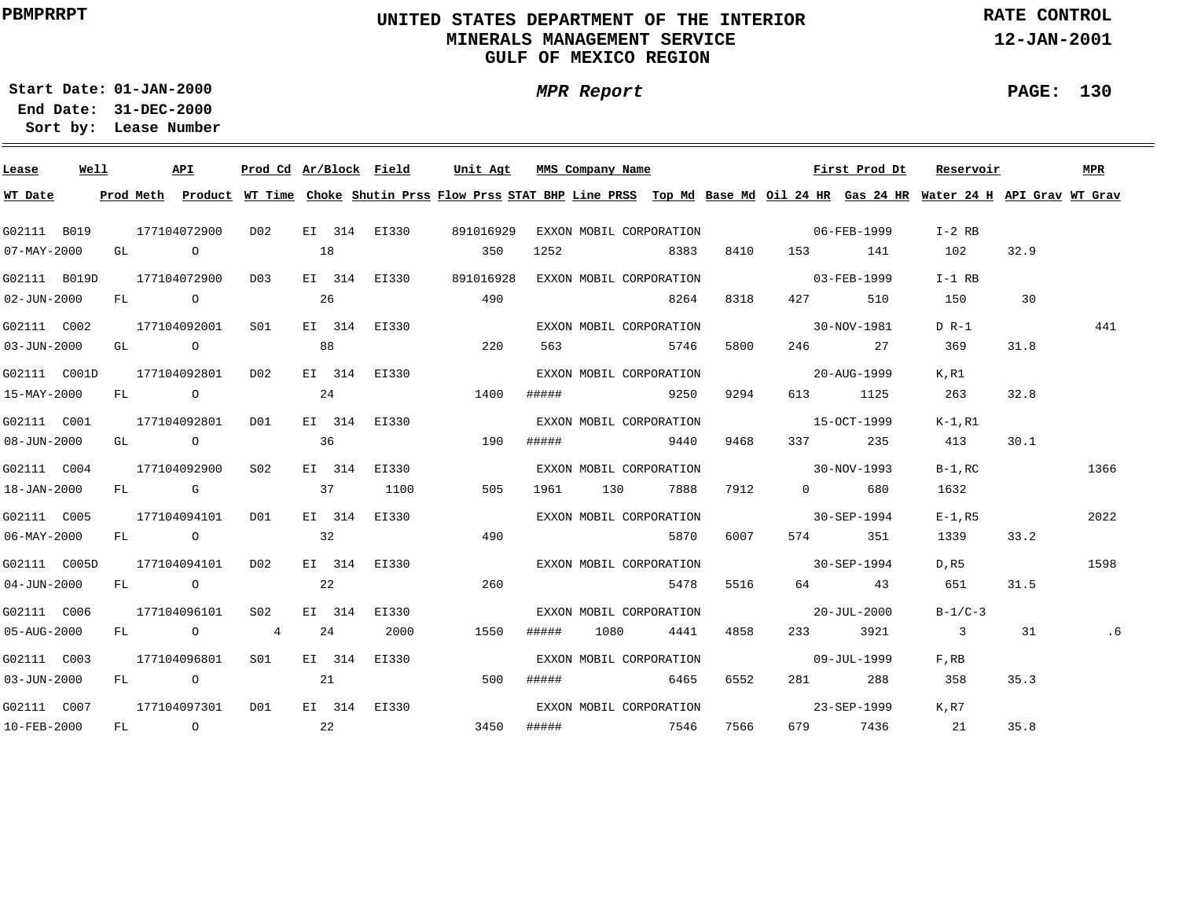### **UNITED STATES DEPARTMENT OF THE INTERIOR MINERALS MANAGEMENT SERVICEGULF OF MEXICO REGION**

**MPR Report**

**RATE CONTROL**

**12-JAN-2001**

**PAGE: 130**

**01-JAN-2000Start Date:**

| Lease                    | Well | API          |        |                 |    |        | Prod Cd Ar/Block Field | Unit Agt                             |       | MMS Company Name |                         |      |                          | First Prod Dt     | Reservoir                                                                                                                               |      | MPR  |
|--------------------------|------|--------------|--------|-----------------|----|--------|------------------------|--------------------------------------|-------|------------------|-------------------------|------|--------------------------|-------------------|-----------------------------------------------------------------------------------------------------------------------------------------|------|------|
| WT Date                  |      |              |        |                 |    |        |                        |                                      |       |                  |                         |      |                          |                   | Prod Meth Product WT Time Choke Shutin Prss Flow Prss STAT BHP Line PRSS Top Md Base Md Oil 24 HR Gas 24 HR Water 24 H API Grav WT Grav |      |      |
| G02111 B019              |      | 177104072900 |        | DO 2            |    |        | EI 314 EI330           | 891016929                            |       |                  | EXXON MOBIL CORPORATION |      |                          | $06 - FEB - 1999$ | I-2 RB                                                                                                                                  |      |      |
| $07 - MAX - 2000$        |      | GL O         |        |                 | 18 |        |                        | 350                                  | 1252  |                  | 8383                    |      |                          | 8410 153 141      | 102                                                                                                                                     | 32.9 |      |
| G02111 B019D             |      | 177104072900 |        | D03             |    |        | EI 314 EI330           | 891016928                            |       |                  | EXXON MOBIL CORPORATION |      |                          | $03 - FEB - 1999$ | $I-1$ RB                                                                                                                                |      |      |
| $02 - JUN - 2000$        |      |              |        | FL 0 26         |    |        |                        | 490                                  |       |                  | 8264                    | 8318 | 427 — 120                | 510               | 150                                                                                                                                     | 30   |      |
| G02111 C002              |      | 177104092001 |        | S <sub>01</sub> |    |        | EI 314 EI330           |                                      |       |                  | EXXON MOBIL CORPORATION |      |                          | $30 - NOV - 1981$ | $D R-1$                                                                                                                                 |      | 441  |
| $03 - JUN - 2000$        |      | GL O         |        |                 | 88 |        |                        | 220                                  |       |                  | 563 5746                | 5800 |                          | 246 27            | 369                                                                                                                                     | 31.8 |      |
| G02111 C001D             |      | 177104092801 |        | DO 2            |    |        | EI 314 EI330           |                                      |       |                  | EXXON MOBIL CORPORATION |      | $20 - \text{AUG} - 1999$ |                   | K.R1                                                                                                                                    |      |      |
| 15-MAY-2000              |      | FL O         |        |                 | 24 |        |                        | 1400                                 |       |                  | ##### 9250              | 9294 |                          | 613 1125          | 263                                                                                                                                     | 32.8 |      |
| G02111 C001              |      | 177104092801 |        | DO1             |    |        | EI 314 EI330           |                                      |       |                  | EXXON MOBIL CORPORATION |      |                          | $15-9CT-1999$     | K-1,R1                                                                                                                                  |      |      |
| 08-JUN-2000              |      | GL O         |        |                 | 36 |        |                        | 190                                  |       |                  | ##### 9440 9468         |      |                          | 337 235           | 413                                                                                                                                     | 30.1 |      |
| G02111 C004              |      | 177104092900 |        | S02             |    | EI 314 | EI330                  |                                      |       |                  | EXXON MOBIL CORPORATION |      | $30-NOV-1993$            |                   | $B-1$ , RC                                                                                                                              |      | 1366 |
| 18-JAN-2000              |      |              | FL G   |                 |    |        | 37 1100                | 505                                  |       |                  | 1961 130 7888           | 7912 |                          | $0$ 680           | 1632                                                                                                                                    |      |      |
| G02111 C005              |      | 177104094101 |        | DO1             |    | EI 314 | EI330                  |                                      |       |                  | EXXON MOBIL CORPORATION |      | $30 - SEP - 1994$        |                   | $E-1$ , R5                                                                                                                              |      | 2022 |
| $06 - \text{MAX} - 2000$ |      |              | FL O   |                 | 32 |        |                        | 490                                  |       |                  | 5870                    | 6007 |                          | 574 351           | 1339                                                                                                                                    | 33.2 |      |
| G02111 C005D             |      | 177104094101 |        | D02             |    |        | EI 314 EI330           |                                      |       |                  | EXXON MOBIL CORPORATION |      | $30 - SEP - 1994$        |                   | D, R5                                                                                                                                   |      | 1598 |
| $04 - JUN - 2000$        |      | FL O         |        |                 | 22 |        |                        | 260                                  |       |                  | 5478                    | 5516 |                          | 64 43             | 651                                                                                                                                     | 31.5 |      |
| G02111 C006              |      | 177104096101 |        | S02             |    |        | EI 314 EI330           |                                      |       |                  | EXXON MOBIL CORPORATION |      |                          | $20 - JUL - 2000$ | $B-1/C-3$                                                                                                                               |      |      |
| 05-AUG-2000              |      |              | FL 0 4 |                 | 24 |        | 2000                   | 1550                                 | ##### |                  | 1080 4441               | 4858 |                          | 233 3921          | $\overline{\mathbf{3}}$                                                                                                                 | 31   | .6   |
| G02111 C003              |      | 177104096801 |        | S01             |    |        | EI 314 EI330           |                                      |       |                  | EXXON MOBIL CORPORATION |      |                          | 09-JUL-1999       | $F$ , RB                                                                                                                                |      |      |
| 03-JUN-2000              |      |              |        | FL 0 21         |    |        |                        | 500                                  |       |                  | ##### 6465              | 6552 |                          | 281 288           | 358                                                                                                                                     | 35.3 |      |
| G02111 C007              |      | 177104097301 |        | D01             |    |        |                        | EI 314 EI330 EXXON MOBIL CORPORATION |       |                  |                         |      |                          | $23 - SEP - 1999$ | K.R7                                                                                                                                    |      |      |
| 10-FEB-2000              |      | FL O         |        | $\sim$ 22       |    |        |                        | 3450                                 |       |                  | ##### 7546 7566         |      |                          | 679 7436 21       |                                                                                                                                         | 35.8 |      |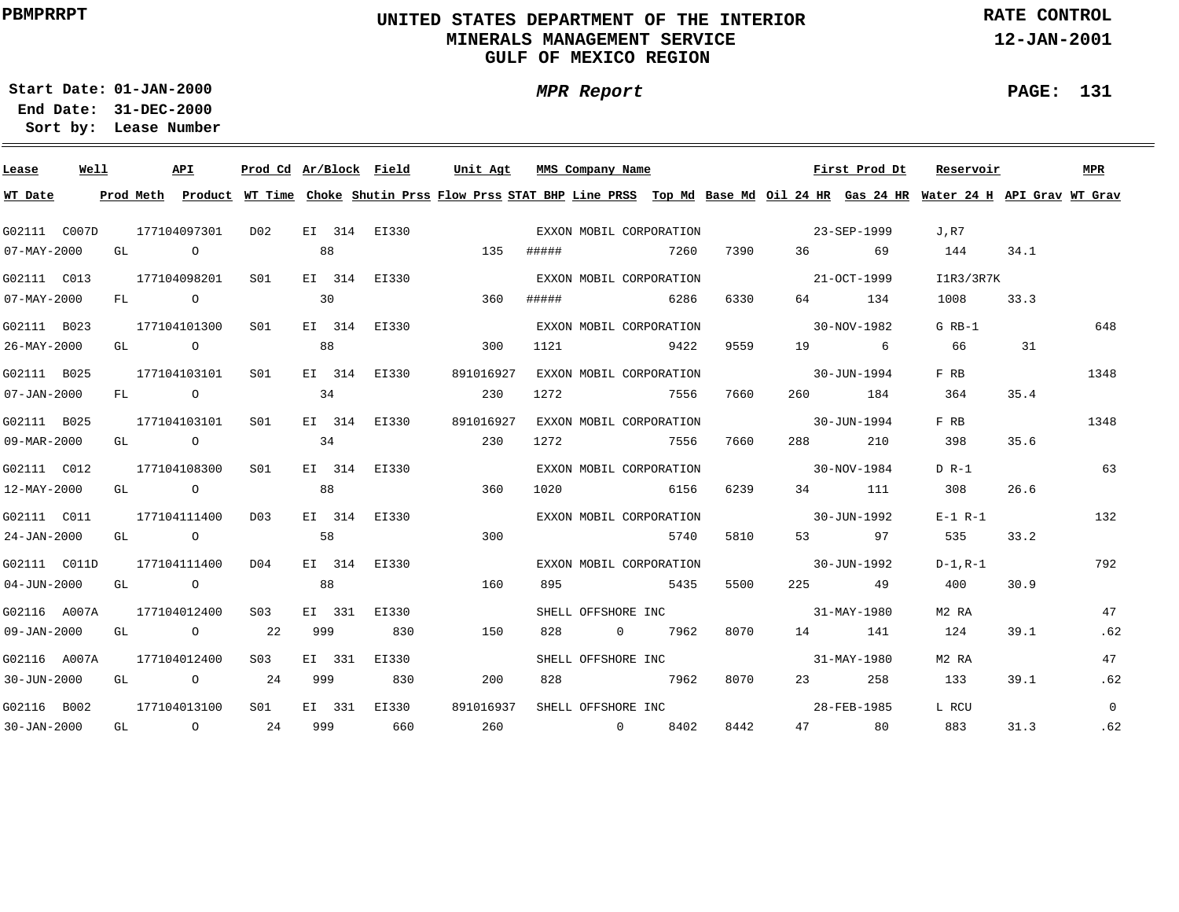### **UNITED STATES DEPARTMENT OF THE INTERIOR MINERALS MANAGEMENT SERVICEGULF OF MEXICO REGION**

**MPR Report**

**RATE CONTROL**

**12-JAN-2001**

÷

**PAGE: 131**

**01-JAN-2000Start Date:31-DEC-2000 End Date:** 

| Lease             | Well |      | API                         | Prod Cd Ar/Block Field |     |                                      | Unit Agt  |       | MMS Company Name |                         |      |                   | First Prod Dt | Reservoir                                                                                                                               |      | MPR            |
|-------------------|------|------|-----------------------------|------------------------|-----|--------------------------------------|-----------|-------|------------------|-------------------------|------|-------------------|---------------|-----------------------------------------------------------------------------------------------------------------------------------------|------|----------------|
| WT Date           |      |      |                             |                        |     |                                      |           |       |                  |                         |      |                   |               | Prod Meth Product WT Time Choke Shutin Prss Flow Prss STAT BHP Line PRSS Top Md Base Md Oil 24 HR Gas 24 HR Water 24 H API Grav WT Grav |      |                |
| G02111 C007D      |      |      | 177104097301                | DO 2                   |     | EI 314 EI330 CXXON MOBIL CORPORATION |           |       |                  |                         |      | 23-SEP-1999       |               | J.R7                                                                                                                                    |      |                |
| $07 - MAX - 2000$ |      | GL O |                             |                        | 88  |                                      | 135       | ##### |                  | 7260                    | 7390 |                   | 36 69         | 144                                                                                                                                     | 34.1 |                |
| G02111 C013       |      |      | 177104098201                | S01                    |     | EI 314 EI330                         |           |       |                  | EXXON MOBIL CORPORATION |      | 21-OCT-1999       |               | I1R3/3R7K                                                                                                                               |      |                |
| $07 - MAX - 2000$ |      |      | FL O                        |                        | 30  |                                      | 360       | ##### |                  | 6286                    | 6330 |                   | 64 134        | 1008                                                                                                                                    | 33.3 |                |
| G02111 B023       |      |      | 177104101300                | S01                    |     | EI 314 EI330                         |           |       |                  | EXXON MOBIL CORPORATION |      | $30-NOV-1982$     |               | G RB-1                                                                                                                                  |      | 648            |
| 26-MAY-2000       |      |      | GL O                        |                        | 88  |                                      | 300       | 1121  |                  | 9422                    | 9559 |                   | 19 6          | 66                                                                                                                                      | 31   |                |
| G02111 B025       |      |      | 177104103101                | SO1                    |     | EI 314 EI330                         | 891016927 |       |                  | EXXON MOBIL CORPORATION |      | $30 - JUN - 1994$ |               | F RB                                                                                                                                    |      | 1348           |
| $07 - JAN - 2000$ |      |      | FL O                        | 34                     |     |                                      | 230       | 1272  |                  | 7556                    | 7660 |                   | 260 184       | 364                                                                                                                                     | 35.4 |                |
| G02111 B025       |      |      | 177104103101                | SO1                    |     | EI 314 EI330                         | 891016927 |       |                  | EXXON MOBIL CORPORATION |      |                   | 30-JUN-1994   | F RB                                                                                                                                    |      | 1348           |
| 09-MAR-2000       |      |      | GL O                        |                        | 34  |                                      | 230       | 1272  |                  | 7556                    | 7660 |                   | 210           | 398                                                                                                                                     | 35.6 |                |
| G02111 C012       |      |      | 177104108300                | SO1                    |     | EI 314 EI330                         |           |       |                  | EXXON MOBIL CORPORATION |      | $30 - NOV - 1984$ |               | $D R-1$                                                                                                                                 |      | 63             |
| 12-MAY-2000       |      |      | GL O                        |                        | 88  |                                      | 360       | 1020  |                  | 6156                    | 6239 |                   | 34 111        | 308                                                                                                                                     | 26.6 |                |
| G02111 C011       |      |      | 177104111400                | D03                    |     | EI 314 EI330                         |           |       |                  | EXXON MOBIL CORPORATION |      | $30 - JUN - 1992$ |               | $E-1 R-1$                                                                                                                               |      | 132            |
| 24-JAN-2000       |      |      | GL O                        |                        | 58  |                                      | 300       |       |                  | 5740                    |      | 5810              | 53 97         | 535                                                                                                                                     | 33.2 |                |
| G02111 C011D      |      |      | 177104111400                | D04                    |     | EI 314 EI330                         |           |       |                  | EXXON MOBIL CORPORATION |      | $30 - JUN - 1992$ |               | D-1,R-1                                                                                                                                 |      | 792            |
| $04 - JUN - 2000$ |      |      | GL O                        |                        | 88  |                                      | 160       | 895   |                  | 5435                    | 5500 |                   | 225 49        | 400                                                                                                                                     | 30.9 |                |
| G02116 A007A      |      |      | 177104012400                | S03                    |     | EI 331 EI330                         |           |       |                  | SHELL OFFSHORE INC      |      | $31 - MAY - 1980$ |               | M2 RA                                                                                                                                   |      | 47             |
| 09-JAN-2000       |      |      | GL 0 22                     |                        | 999 | 830                                  | 150       | 828   |                  | 0 7962                  | 8070 |                   | 14 141        | 124                                                                                                                                     | 39.1 | .62            |
| G02116 A007A      |      |      | 177104012400                | S03                    |     | EI 331 EI330                         |           |       |                  | SHELL OFFSHORE INC      |      |                   | 31-MAY-1980   | M2 RA                                                                                                                                   |      | 47             |
| 30-JUN-2000       |      |      | GL $\qquad \qquad \circ$ 24 |                        | 999 | 830                                  | 200       | 828   |                  | 7962                    | 8070 |                   | 23 258        | 133                                                                                                                                     | 39.1 | .62            |
| G02116 B002       |      |      | 177104013100                | S <sub>01</sub>        |     | EI 331 EI330                         | 891016937 |       |                  | SHELL OFFSHORE INC      |      |                   | 28-FEB-1985   | L RCU                                                                                                                                   |      | $\overline{0}$ |
| 30-JAN-2000       |      |      | GL 0 24 999 660             |                        |     |                                      | 260       |       |                  | 0 8402                  |      | 8442              | 47 80         | 883                                                                                                                                     | 31.3 | .62            |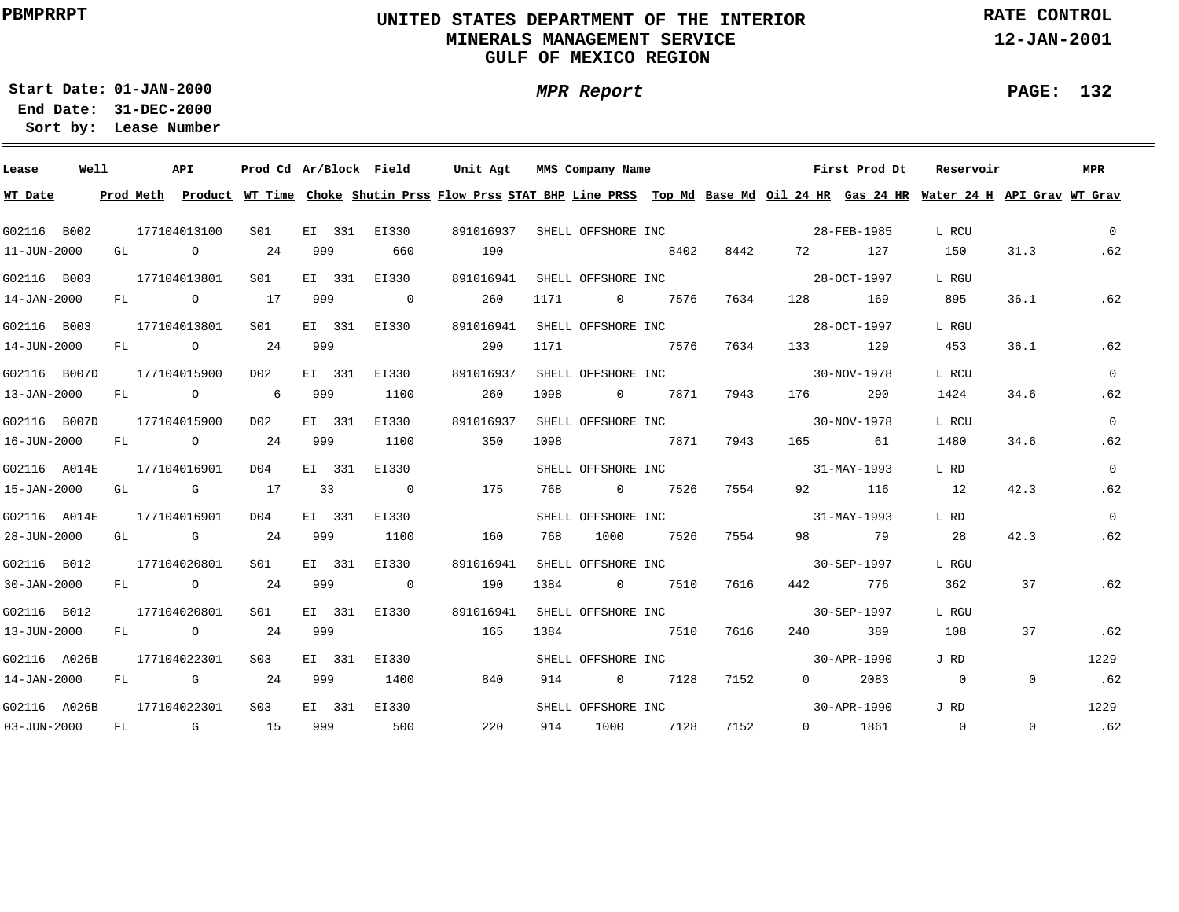### **UNITED STATES DEPARTMENT OF THE INTERIOR MINERALS MANAGEMENT SERVICEGULF OF MEXICO REGION**

**RATE CONTROL**

**12-JAN-2001**

**01-JAN-2000Start Date:31-DEC-2000 End Date:** 

**Lease Number Sort by:**

| Lease        | Well |    | API          | Prod Cd Ar/Block Field |     |        |                | Unit Agt |           |      | MMS Company Name   |           |      |           | First Prod Dt                     | Reservoir                                                                                                                               |                | MPR            |
|--------------|------|----|--------------|------------------------|-----|--------|----------------|----------|-----------|------|--------------------|-----------|------|-----------|-----------------------------------|-----------------------------------------------------------------------------------------------------------------------------------------|----------------|----------------|
| WT Date      |      |    |              |                        |     |        |                |          |           |      |                    |           |      |           |                                   | Prod Meth Product WT Time Choke Shutin Prss Flow Prss STAT BHP Line PRSS Top Md Base Md Oil 24 HR Gas 24 HR Water 24 H API Grav WT Grav |                |                |
| G02116 B002  |      |    | 177104013100 | S01                    |     |        | EI 331 EI330   |          | 891016937 |      |                    |           |      |           | SHELL OFFSHORE INC<br>28-FEB-1985 | L RCU                                                                                                                                   |                | $\Omega$       |
| 11-JUN-2000  |      |    | GL O         | 24                     | 999 |        | 660            | 190      |           |      | 8402               |           |      | 8442 72   | 127                               | 150                                                                                                                                     | 31.3           | .62            |
| G02116 B003  |      |    | 177104013801 | S01                    |     |        | EI 331 EI330   |          | 891016941 |      | SHELL OFFSHORE INC |           |      |           | $28 - OCT - 1997$                 | L RGU                                                                                                                                   |                |                |
| 14-JAN-2000  |      |    | FL O         | 17                     | 999 |        | $\overline{0}$ |          | 260       | 1171 | $\overline{0}$     | 7576      | 7634 | 128       | 169                               | 895                                                                                                                                     | 36.1           | .62            |
| G02116 B003  |      |    | 177104013801 | S01                    |     |        | EI 331 EI330   |          | 891016941 |      | SHELL OFFSHORE INC |           |      |           | $28 - OCT - 1997$                 | L RGU                                                                                                                                   |                |                |
| 14-JUN-2000  |      |    | FL 0 24      |                        | 999 |        |                |          | 290       | 1171 |                    | 7576      | 7634 | 133       | 129                               | 453                                                                                                                                     | 36.1           | .62            |
| G02116 B007D |      |    | 177104015900 | D02                    |     |        | EI 331 EI330   |          | 891016937 |      | SHELL OFFSHORE INC |           |      |           | $30 - NOV - 1978$                 | L RCU                                                                                                                                   |                | $\mathbf{0}$   |
| 13-JAN-2000  |      | FL | $\circ$ 6    |                        | 999 |        | 1100           |          | 260       | 1098 | $\overline{0}$     | 7871      | 7943 | 176 — 176 | 290                               | 1424                                                                                                                                    | 34.6           | .62            |
| G02116 B007D |      |    | 177104015900 | D02                    |     | EI 331 | EI330          |          | 891016937 |      |                    |           |      |           | SHELL OFFSHORE INC 30-NOV-1978    | L RCU                                                                                                                                   |                | $\overline{0}$ |
| 16-JUN-2000  |      | FL | $\circ$ 24   |                        | 999 |        | 1100           |          | 350       | 1098 | 7871               |           | 7943 |           | 165 61                            | 1480                                                                                                                                    | 34.6           | .62            |
| G02116 A014E |      |    | 177104016901 | D04                    |     | EI 331 | EI330          |          |           |      |                    |           |      |           | SHELL OFFSHORE INC 31-MAY-1993    | L RD                                                                                                                                    |                | $\overline{0}$ |
| 15-JAN-2000  |      |    | $GL$ G $17$  |                        |     |        | 33 0           |          | 175       |      | 768 0 7526         |           | 7554 |           | 92 116                            | 12                                                                                                                                      | 42.3           | .62            |
| G02116 A014E |      |    | 177104016901 | D04                    |     | EI 331 | EI330          |          |           |      |                    |           |      |           | SHELL OFFSHORE INC 31-MAY-1993    | L RD                                                                                                                                    |                | $\overline{0}$ |
| 28-JUN-2000  |      |    |              | GL G 24 999            |     |        | 1100           | 160      |           | 768  |                    | 1000 7526 | 7554 |           | 98 79                             | 28                                                                                                                                      | 42.3           | .62            |
| G02116 B012  |      |    | 177104020801 | S01                    |     | EI 331 | EI330          |          | 891016941 |      |                    |           |      |           | SHELL OFFSHORE INC 30-SEP-1997    | L RGU                                                                                                                                   |                |                |
| 30-JAN-2000  |      |    | FL 0 24      |                        | 999 |        | $\overline{0}$ |          | 190       | 1384 |                    | 0 7510    | 7616 |           | 442 776                           | 362                                                                                                                                     | 37             | .62            |
| G02116 B012  |      |    | 177104020801 | S01                    |     |        | EI 331 EI330   |          | 891016941 |      | SHELL OFFSHORE INC |           |      |           | 30-SEP-1997                       | L RGU                                                                                                                                   |                |                |
| 13-JUN-2000  |      |    | FL 0 24      |                        | 999 |        |                |          | 165       | 1384 |                    | 7510      | 7616 |           | 240<br>389                        | 108                                                                                                                                     | 37             | .62            |
| G02116 A026B |      |    | 177104022301 | S <sub>0.3</sub>       |     | EI 331 | EI330          |          |           |      | SHELL OFFSHORE INC |           |      |           | $30 - APR - 1990$                 | J RD                                                                                                                                    |                | 1229           |
| 14-JAN-2000  |      | FL | G $24$       |                        | 999 |        | 1400           |          | 840       | 914  | $\overline{0}$     | 7128      | 7152 |           | $0 \qquad \qquad$<br>2083         | $\overline{0}$                                                                                                                          | $\overline{0}$ | .62            |
| G02116 A026B |      |    | 177104022301 | S <sub>03</sub>        |     |        | EI 331 EI330   |          |           |      |                    |           |      |           | SHELL OFFSHORE INC 30-APR-1990    | J RD                                                                                                                                    |                | 1229           |
| 03-JUN-2000  |      |    | FL G 15      |                        |     |        | 999 500        |          | 220       |      | 914 1000 7128 7152 |           |      |           | $0$ 1861                          | $\overline{0}$                                                                                                                          | $\Omega$       | .62            |

# **MPR Report**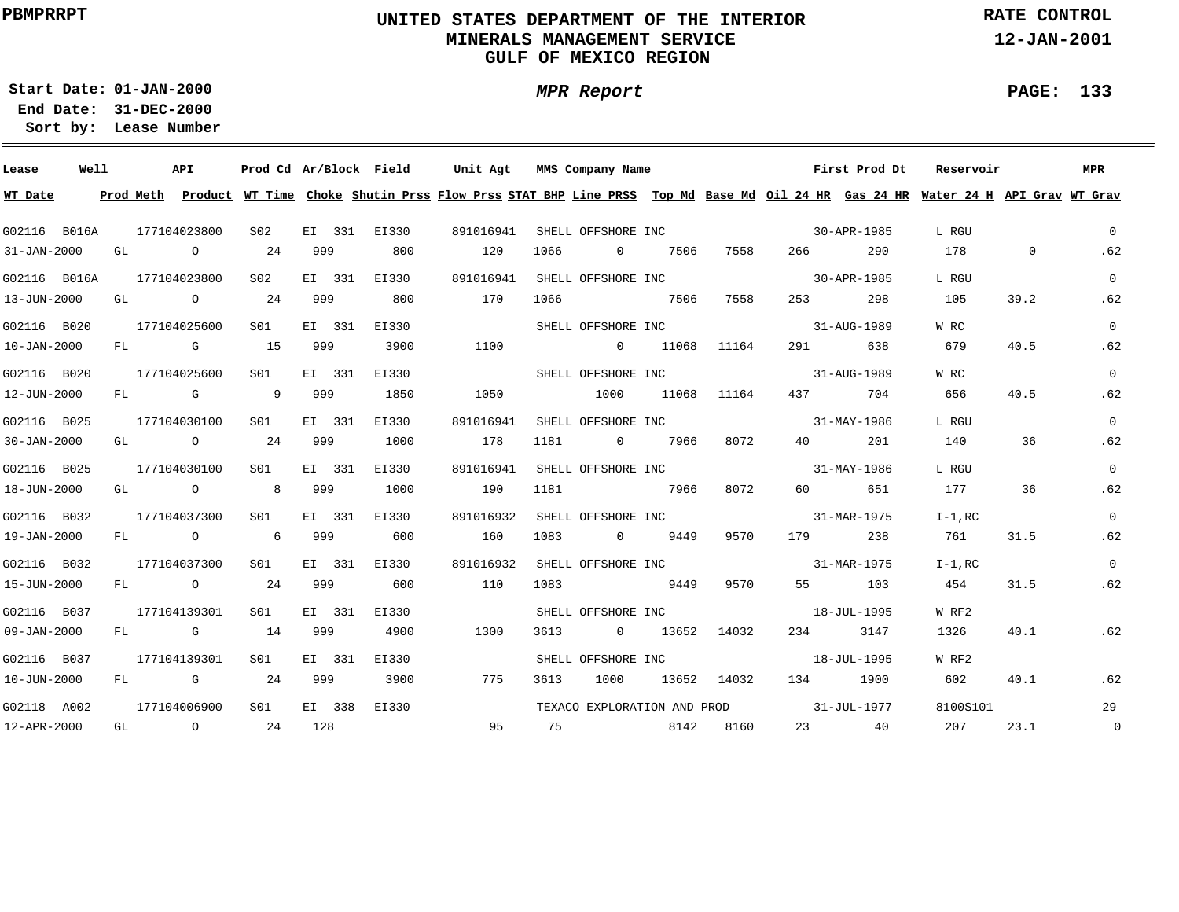### **UNITED STATES DEPARTMENT OF THE INTERIOR MINERALS MANAGEMENT SERVICEGULF OF MEXICO REGION**

**MPR Report**

**RATE CONTROL**

**12-JAN-2001**

**PAGE: 133**

**01-JAN-2000Start Date:31-DEC-2000 End Date:** 

| Lease        | Well |    | <b>API</b>                  |             | Prod Cd Ar/Block Field |        |              | Unit Agt  |      |      | MMS Company Name   |        |       |                                         | First Prod Dt     | Reservoir                                                                                                                               |         | MPR            |
|--------------|------|----|-----------------------------|-------------|------------------------|--------|--------------|-----------|------|------|--------------------|--------|-------|-----------------------------------------|-------------------|-----------------------------------------------------------------------------------------------------------------------------------------|---------|----------------|
| WT Date      |      |    |                             |             |                        |        |              |           |      |      |                    |        |       |                                         |                   | Prod Meth Product WT Time Choke Shutin Prss Flow Prss STAT BHP Line PRSS Top Md Base Md Oil 24 HR Gas 24 HR Water 24 H API Grav WT Grav |         |                |
| G02116 B016A |      |    | 177104023800                |             | S02                    |        | EI 331 EI330 | 891016941 |      |      |                    |        |       | SHELL OFFSHORE INC 30-APR-1985          |                   | L RGU                                                                                                                                   |         | $\Omega$       |
| 31-JAN-2000  |      | GL | $\overline{O}$              |             | 24                     | 999    | 800          |           | 120  | 1066 | $\overline{0}$     | 7506   | 7558  | 266 — 1                                 | 290               | 178                                                                                                                                     | $\circ$ | .62            |
| G02116 B016A |      |    | 177104023800                |             | S <sub>02</sub>        | EI 331 | EI330        | 891016941 |      |      | SHELL OFFSHORE INC |        |       |                                         | $30 - APR - 1985$ | L RGU                                                                                                                                   |         | $\Omega$       |
| 13-JUN-2000  |      |    | GL O                        |             | 24                     | 999    | 800          |           | 170  | 1066 |                    | 7506   | 7558  | 253                                     | 298               | 105                                                                                                                                     | 39.2    | .62            |
| G02116 B020  |      |    | 177104025600                |             | S <sub>01</sub>        | EI 331 | EI330        |           |      |      | SHELL OFFSHORE INC |        |       |                                         | 31-AUG-1989       | W RC                                                                                                                                    |         | $\Omega$       |
| 10-JAN-2000  |      | FL |                             | <b>G</b> 15 |                        | 999    | 3900         |           | 1100 |      | $\sim$ 0           | 11068  | 11164 |                                         | 291 638           | 679                                                                                                                                     | 40.5    | .62            |
| G02116 B020  |      |    | 177104025600                |             | S01                    | EI 331 | EI330        |           |      |      | SHELL OFFSHORE INC |        |       | $31 - \text{AUG} - 1989$                |                   | W RC                                                                                                                                    |         | $\Omega$       |
| 12-JUN-2000  |      | FL | $\mathbb G$                 |             | $\overline{9}$         | 999    | 1850         |           | 1050 |      | 1000               | 11068  | 11164 |                                         | 437 704           | 656                                                                                                                                     | 40.5    | .62            |
| G02116 B025  |      |    | 177104030100                |             | S01                    | EI 331 | EI330        | 891016941 |      |      |                    |        |       | SHELL OFFSHORE INC 31-MAY-1986          |                   | L RGU                                                                                                                                   |         | $\Omega$       |
| 30-JAN-2000  |      |    | GL $\qquad \qquad \circ$ 24 |             |                        | 999    | 1000         | 178       |      | 1181 | 0 7966             |        | 8072  |                                         | 40 201            | 140                                                                                                                                     | 36      | .62            |
| G02116 B025  |      |    | 177104030100                |             | S01                    | EI 331 | EI330        | 891016941 |      |      |                    |        |       | SHELL OFFSHORE INC 31-MAY-1986          |                   | L RGU                                                                                                                                   |         | $\Omega$       |
| 18-JUN-2000  |      |    |                             |             | GL 0 8 999             |        | 1000         | 190       |      | 1181 | 7966               |        | 8072  |                                         | 60 651            | 177                                                                                                                                     | 36      | .62            |
| G02116 B032  |      |    | 177104037300                |             | S01                    | EI 331 | EI330        | 891016932 |      |      |                    |        |       | SHELL OFFSHORE INC 31-MAR-1975          |                   | $I-1$ , RC                                                                                                                              |         | $\Omega$       |
| 19-JAN-2000  |      |    |                             |             | FL 0 6 999             |        | 600          |           | 160  | 1083 |                    | 0 9449 | 9570  |                                         | 179 238           | 761                                                                                                                                     | 31.5    | .62            |
| G02116 B032  |      |    | 177104037300                |             | S01                    |        | EI 331 EI330 | 891016932 |      |      | SHELL OFFSHORE INC |        |       |                                         | 31-MAR-1975       | 1-1,RC                                                                                                                                  |         | $\overline{0}$ |
| 15-JUN-2000  |      |    | FL O                        |             | 24                     | 999    | 600          |           | 110  | 1083 |                    | 9449   | 9570  |                                         | 55 103            | 454                                                                                                                                     | 31.5    | .62            |
| G02116 B037  |      |    | 177104139301                |             | S01                    | EI 331 | EI330        |           |      |      | SHELL OFFSHORE INC |        |       |                                         | 18-JUL-1995       | W RF2                                                                                                                                   |         |                |
| 09-JAN-2000  |      |    | FL G 14                     |             |                        | 999    | 4900         |           | 1300 | 3613 | $\overline{0}$     | 13652  | 14032 | 234                                     | 3147              | 1326                                                                                                                                    | 40.1    | .62            |
| G02116 B037  |      |    | 177104139301                |             | S01                    | EI 331 | EI330        |           |      |      | SHELL OFFSHORE INC |        |       | $18 - JUL - 1995$                       |                   | W RF2                                                                                                                                   |         |                |
| 10-JUN-2000  |      |    | $FL$ G 24                   |             |                        | 999    | 3900         |           | 775  | 3613 | 1000               | 13652  | 14032 | 134                                     | 1900              | 602                                                                                                                                     | 40.1    | .62            |
| G02118 A002  |      |    | 177104006900                |             | S <sub>01</sub>        |        | EI 338 EI330 |           |      |      |                    |        |       | TEXACO EXPLORATION AND PROD 31-JUL-1977 |                   | 8100S101                                                                                                                                |         | 29             |
| 12-APR-2000  |      |    | GL 0 24                     |             |                        |        | 128          |           | 95   |      | 75 8142 8160       |        |       |                                         | 23 40             | 207                                                                                                                                     | 23.1    | $\overline{0}$ |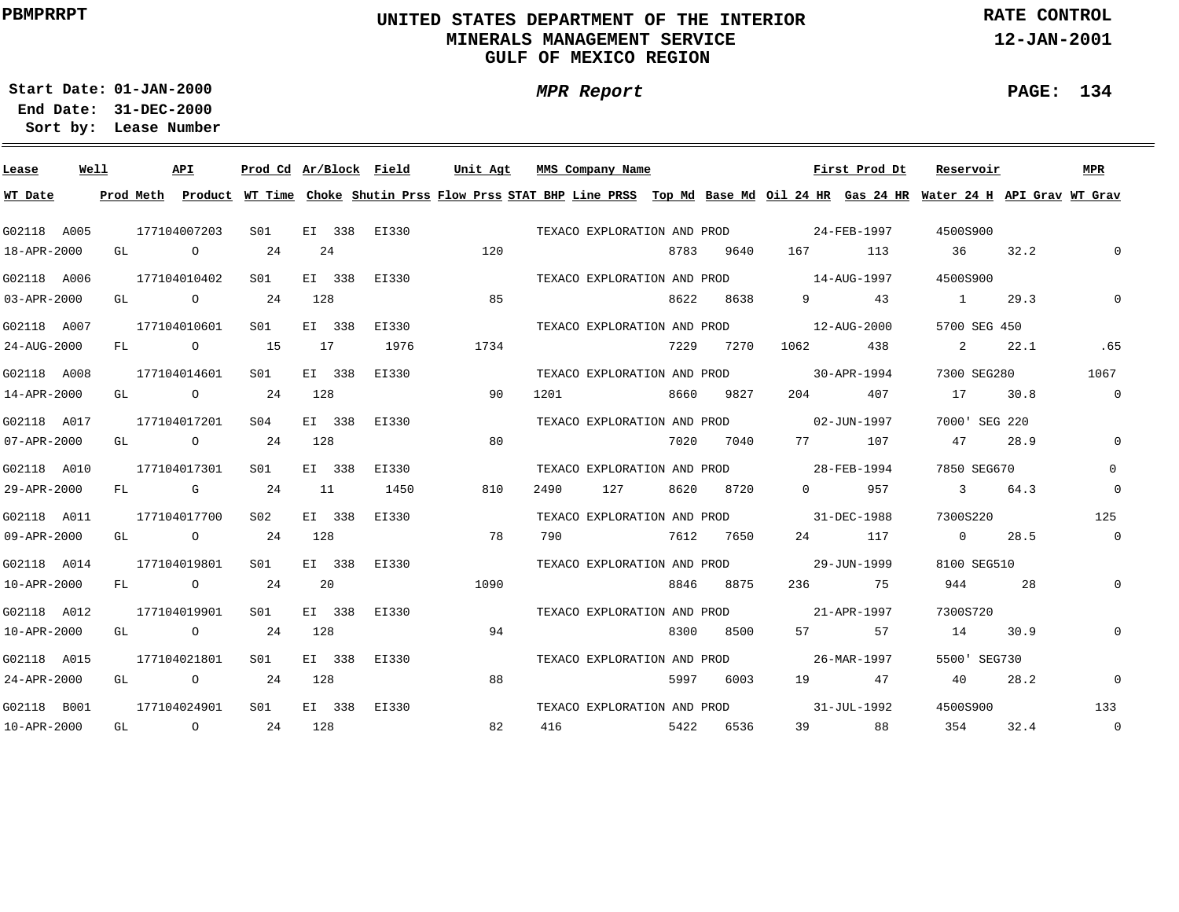### **UNITED STATES DEPARTMENT OF THE INTERIOR MINERALS MANAGEMENT SERVICEGULF OF MEXICO REGION**

**MPR Report**

**RATE CONTROL**

**12-JAN-2001**

**PAGE: 134**

÷

**01-JAN-2000Start Date:31-DEC-2000 End Date:** 

| Lease       | Well |    | API               |                 |        | Prod Cd Ar/Block Field | Unit Agt                                                                                                                                |      | MMS Company Name            |      |           |                                         | First Prod Dt | Reservoir      |      | <b>MPR</b>     |
|-------------|------|----|-------------------|-----------------|--------|------------------------|-----------------------------------------------------------------------------------------------------------------------------------------|------|-----------------------------|------|-----------|-----------------------------------------|---------------|----------------|------|----------------|
| WT Date     |      |    |                   |                 |        |                        | Prod Meth Product WT Time Choke Shutin Prss Flow Prss STAT BHP Line PRSS Top Md Base Md Oil 24 HR Gas 24 HR Water 24 H API Grav WT Grav |      |                             |      |           |                                         |               |                |      |                |
| G02118 A005 |      |    | 177104007203      | SO1             |        | EI 338 EI330           |                                                                                                                                         |      | TEXACO EXPLORATION AND PROD |      |           |                                         | 24-FEB-1997   | 4500S900       |      |                |
| 18-APR-2000 |      |    | GL O              | 24              | 24     |                        | 120                                                                                                                                     |      |                             | 8783 | 9640      | 167 1                                   | 113           | 36             | 32.2 | $\mathbf 0$    |
| G02118 A006 |      |    | 177104010402      | SO1             | EI 338 | EI330                  |                                                                                                                                         |      |                             |      |           | TEXACO EXPLORATION AND PROD 14-AUG-1997 |               | 4500S900       |      |                |
| 03-APR-2000 |      |    | GL O              | 24              | 128    |                        | 85                                                                                                                                      |      |                             | 8622 | 8638      |                                         | 9 43          | $\sim$ 1       | 29.3 | $\Omega$       |
| G02118 A007 |      |    | 177104010601      | S01             | EI 338 | EI330                  |                                                                                                                                         |      | TEXACO EXPLORATION AND PROD |      |           | $12 - AUG - 2000$                       |               | 5700 SEG 450   |      |                |
| 24-AUG-2000 |      |    | FL O              | 15              | 17     | 1976                   | 1734                                                                                                                                    |      |                             | 7229 | 7270      | 1062 438                                |               | $\sim$ 2       | 22.1 | .65            |
| G02118 A008 |      |    | 177104014601      | SO1             | EI 338 | EI330                  |                                                                                                                                         |      | TEXACO EXPLORATION AND PROD |      |           | 30-APR-1994                             |               | 7300 SEG280    |      | 1067           |
| 14-APR-2000 |      |    | GL O              | 24              | 128    |                        | 90                                                                                                                                      | 1201 |                             | 8660 | 9827      | 204                                     | 407           | 17             | 30.8 | $\overline{0}$ |
| G02118 A017 |      |    | 177104017201      | SO4             | EI 338 | EI330                  |                                                                                                                                         |      |                             |      |           | TEXACO EXPLORATION AND PROD 02-JUN-1997 |               | 7000' SEG 220  |      |                |
| 07-APR-2000 |      | GL | $\overline{O}$    | 24              | 128    |                        | 80                                                                                                                                      |      |                             | 7020 | 7040      | 77 — 20                                 | 107           | 47             | 28.9 | $\mathbf 0$    |
| G02118 A010 |      |    | 177104017301      | SO1             | EI 338 | EI330                  |                                                                                                                                         |      |                             |      |           | TEXACO EXPLORATION AND PROD 28-FEB-1994 |               | 7850 SEG670    |      | $\Omega$       |
| 29-APR-2000 |      |    | $FL$ G            | 24              | 11     | 1450                   | 810                                                                                                                                     | 2490 | 127                         | 8620 | 8720      |                                         | 0 957         | $\sim$ 3       | 64.3 | $\mathbf 0$    |
| G02118 A011 |      |    | 177104017700      | S02             | EI 338 | EI330                  |                                                                                                                                         |      | TEXACO EXPLORATION AND PROD |      |           | $31 - DEC - 1988$                       |               | 7300S220       |      | 125            |
| 09-APR-2000 |      |    | GL O              | 24              | 128    |                        | 78                                                                                                                                      | 790  |                             | 7612 | 7650      |                                         | 24 117        | $\overline{0}$ | 28.5 | $\overline{0}$ |
| G02118 A014 |      |    | 177104019801      | SO1             | EI 338 | EI330                  |                                                                                                                                         |      |                             |      |           | TEXACO EXPLORATION AND PROD 29-JUN-1999 |               | 8100 SEG510    |      |                |
| 10-APR-2000 |      |    | FL O              | 24              | 20     |                        | 1090                                                                                                                                    |      |                             |      | 8846 8875 |                                         | 236 75        | 944            | 28   | $\mathsf{O}$   |
| G02118 A012 |      |    | 177104019901      | SO1             | EI 338 | EI330                  |                                                                                                                                         |      |                             |      |           | TEXACO EXPLORATION AND PROD 21-APR-1997 |               | 7300S720       |      |                |
| 10-APR-2000 |      |    | GL O              | 24              | 128    |                        | 94                                                                                                                                      |      |                             | 8300 | 8500      | 57 — 1                                  | 57            | 14             | 30.9 | $\mathbf 0$    |
| G02118 A015 |      |    | 177104021801      | S <sub>01</sub> | EI 338 | EI330                  |                                                                                                                                         |      |                             |      |           | TEXACO EXPLORATION AND PROD 26-MAR-1997 |               | 5500' SEG730   |      |                |
| 24-APR-2000 |      |    | GL O              | 24              | 128    |                        | 88                                                                                                                                      |      |                             |      | 5997 6003 |                                         | 19 47         | 40             | 28.2 | $\mathbf 0$    |
| G02118 B001 |      |    | 177104024901      | SO1             | EI 338 | EI330                  |                                                                                                                                         |      |                             |      |           | TEXACO EXPLORATION AND PROD 31-JUL-1992 |               | 4500S900       |      | 133            |
| 10-APR-2000 |      | GL | $\overline{0}$ 24 |                 | 128    |                        | 82                                                                                                                                      | 416  |                             |      | 5422 6536 | 39                                      | 88            | 354            | 32.4 | $\overline{0}$ |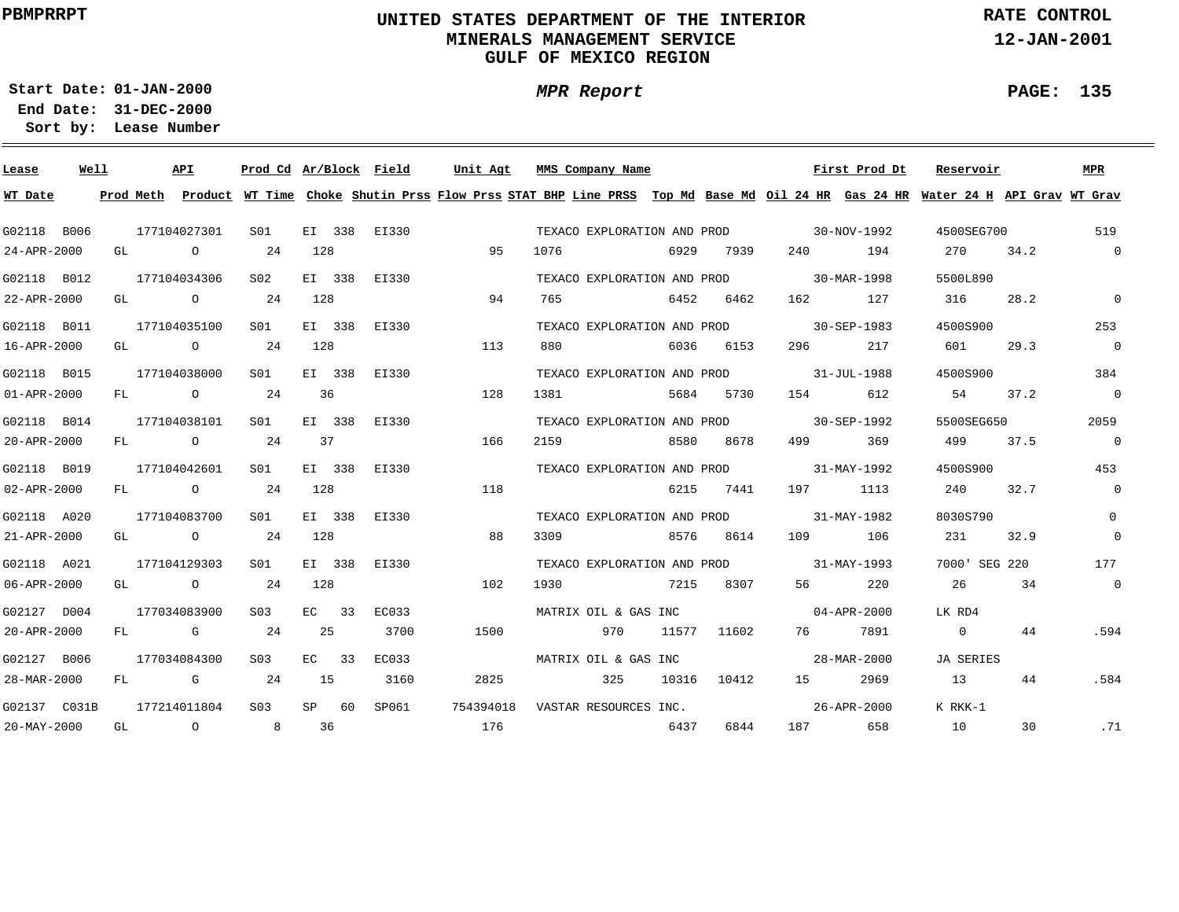### **UNITED STATES DEPARTMENT OF THE INTERIOR MINERALS MANAGEMENT SERVICEGULF OF MEXICO REGION**

**MPR Report**

**RATE CONTROL**

**12-JAN-2001**

**PAGE: 135**

÷

**01-JAN-2000Start Date:31-DEC-2000 End Date:** 

| Well<br>Lease     |    | API                                   |             | Prod Cd Ar/Block Field |           |              | Unit Agt                                                                                                                                |      | MMS Company Name            |       |             |                                                                                                                                                                                                                                 | First Prod Dt | Reservoir      |      | MPR                      |
|-------------------|----|---------------------------------------|-------------|------------------------|-----------|--------------|-----------------------------------------------------------------------------------------------------------------------------------------|------|-----------------------------|-------|-------------|---------------------------------------------------------------------------------------------------------------------------------------------------------------------------------------------------------------------------------|---------------|----------------|------|--------------------------|
| WT Date           |    |                                       |             |                        |           |              | Prod Meth Product WT Time Choke Shutin Prss Flow Prss STAT BHP Line PRSS Top Md Base Md Oil 24 HR Gas 24 HR Water 24 H API Grav WT Grav |      |                             |       |             |                                                                                                                                                                                                                                 |               |                |      |                          |
| G02118 B006       |    | 177104027301                          |             | SO1                    |           | EI 338 EI330 |                                                                                                                                         |      | TEXACO EXPLORATION AND PROD |       |             | $30 - NOV - 1992$                                                                                                                                                                                                               |               | 4500SEG700     |      | 519                      |
| 24-APR-2000       | GL |                                       | $\circ$     | 24                     | 128       |              | 95                                                                                                                                      | 1076 |                             | 6929  | 7939        | 240                                                                                                                                                                                                                             | 194           | 270            | 34.2 | $\overline{0}$           |
| G02118 B012       |    | 177104034306                          |             | S02                    | EI 338    | EI330        |                                                                                                                                         |      | TEXACO EXPLORATION AND PROD |       |             | 30-MAR-1998                                                                                                                                                                                                                     |               | 5500L890       |      |                          |
| 22-APR-2000       |    | GL O                                  |             | 24                     | 128       |              | 94                                                                                                                                      | 765  |                             | 6452  | 6462        | 162                                                                                                                                                                                                                             | 127           | 316            | 28.2 | $\mathbb O$              |
| G02118 B011       |    | 177104035100                          |             | S01                    | EI 338    | EI330        |                                                                                                                                         |      | TEXACO EXPLORATION AND PROD |       |             | $30 - SEP - 1983$                                                                                                                                                                                                               |               | 4500S900       |      | 253                      |
| 16-APR-2000       |    | GL O                                  |             | 24                     | 128       |              | 113                                                                                                                                     | 880  |                             | 6036  | 6153        | 296 — 10                                                                                                                                                                                                                        | 217           | 601            | 29.3 | $\overline{0}$           |
| G02118 B015       |    | 177104038000                          |             | S01                    | EI 338    | EI330        |                                                                                                                                         |      | TEXACO EXPLORATION AND PROD |       |             | $31 - JUL - 1988$                                                                                                                                                                                                               |               | 4500S900       |      | 384                      |
| $01 - APR - 2000$ | FL | $\overline{O}$                        |             | 24                     | 36        |              | 128                                                                                                                                     | 1381 |                             | 5684  | 5730        | 154                                                                                                                                                                                                                             | 612           | 54 —           | 37.2 | $\overline{\phantom{0}}$ |
| G02118 B014       |    | 177104038101                          |             | S01                    | EI 338    | EI330        |                                                                                                                                         |      |                             |       |             | TEXACO EXPLORATION AND PROD 30-SEP-1992                                                                                                                                                                                         |               | 5500SEG650     |      | 2059                     |
| 20-APR-2000       | FL | $\overline{O}$                        |             | 24                     | 37        |              | 166                                                                                                                                     | 2159 |                             | 8580  | 8678        | 499                                                                                                                                                                                                                             | 369           | 499            | 37.5 | $\overline{0}$           |
| G02118 B019       |    | 177104042601                          |             | S01                    | EI 338    | EI330        |                                                                                                                                         |      |                             |       |             | TEXACO EXPLORATION AND PROD 31-MAY-1992                                                                                                                                                                                         |               | 4500S900       |      | 453                      |
| $02 - APR - 2000$ |    | FL O                                  |             | 24                     | 128       |              | 118                                                                                                                                     |      |                             | 6215  | 7441        | 197 —                                                                                                                                                                                                                           | 1113          | 240            | 32.7 | $\overline{0}$           |
| G02118 A020       |    | 177104083700                          |             | SO1                    | EI 338    | EI330        |                                                                                                                                         |      |                             |       |             | TEXACO EXPLORATION AND PROD 31-MAY-1982                                                                                                                                                                                         |               | 8030S790       |      | $\Omega$                 |
| 21-APR-2000       |    | GL $\qquad \qquad 0 \qquad \qquad 24$ |             |                        | 128       |              | 88                                                                                                                                      | 3309 |                             | 8576  | 8614        | 109 — 109 — 109 — 109 — 109 — 109 — 109 — 109 — 109 — 109 — 109 — 109 — 109 — 109 — 109 — 109 — 109 — 109 — 109 — 109 — 109 — 109 — 109 — 109 — 109 — 109 — 109 — 109 — 109 — 100 — 100 — 100 — 100 — 100 — 100 — 100 — 100 — 1 | 106           | 231            | 32.9 | $\mathbf 0$              |
| G02118 A021       |    | 177104129303                          |             | S01                    | EI 338    | EI330        |                                                                                                                                         |      |                             |       |             | TEXACO EXPLORATION AND PROD 31-MAY-1993                                                                                                                                                                                         |               | 7000' SEG 220  |      | 177                      |
| 06-APR-2000       |    | GL O                                  |             | 24                     | 128       |              | 102                                                                                                                                     | 1930 | 7215                        |       | 8307        | 56 — 1                                                                                                                                                                                                                          | 220           | 26             | 34   | $\overline{\phantom{0}}$ |
| G02127 D004       |    | 177034083900                          |             | S03                    | $EC = 33$ | EC033        |                                                                                                                                         |      | MATRIX OIL & GAS INC        |       |             | $04 - APR - 2000$                                                                                                                                                                                                               |               | LK RD4         |      |                          |
| 20-APR-2000       |    | FL G                                  |             | 24                     | 25        | 3700         | 1500                                                                                                                                    |      | 970                         |       | 11577 11602 | 76 — 76                                                                                                                                                                                                                         | 7891          | $\overline{0}$ | 44   | .594                     |
| G02127 B006       |    | 177034084300                          |             | S03                    | $EC = 33$ | EC033        |                                                                                                                                         |      | MATRIX OIL & GAS INC        |       |             |                                                                                                                                                                                                                                 | 28-MAR-2000   | JA SERIES      |      |                          |
| 28-MAR-2000       | FL |                                       | $\mathbb G$ | 24                     | 15        | 3160         | 2825                                                                                                                                    |      | 325                         | 10316 | 10412       |                                                                                                                                                                                                                                 | 2969          | 13             | 44   | .584                     |
| G02137 C031B      |    | 177214011804                          |             | S <sub>0</sub> 3       | $SP$ 60   | SP061        | 754394018                                                                                                                               |      | VASTAR RESOURCES INC.       |       |             |                                                                                                                                                                                                                                 | 26-APR-2000   | K RKK-1        |      |                          |
| 20-MAY-2000       | GL | $\overline{a}$                        |             | 8                      | 36        |              | 176                                                                                                                                     |      |                             | 6437  | 6844        | 187 — 187                                                                                                                                                                                                                       | 658           | 10             | 30   | .71                      |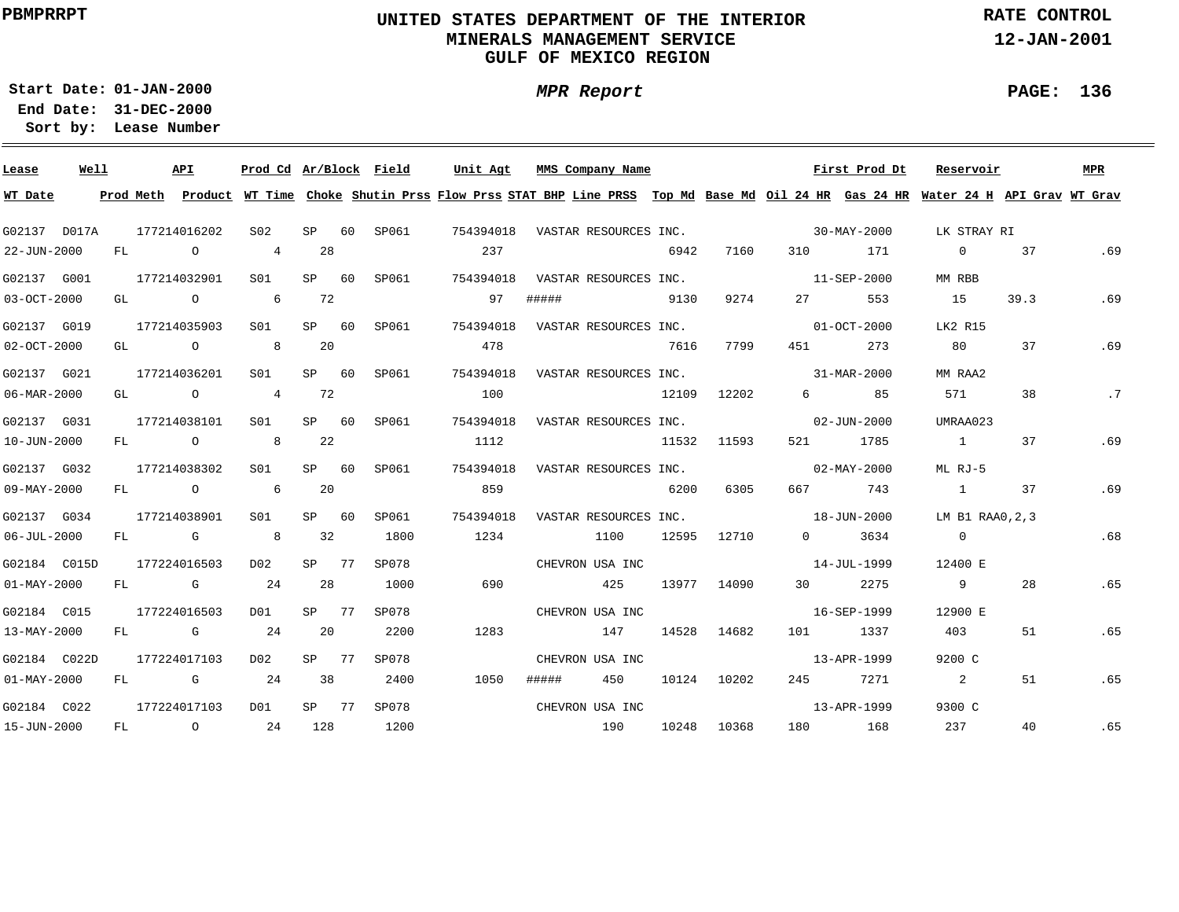### **UNITED STATES DEPARTMENT OF THE INTERIOR MINERALS MANAGEMENT SERVICEGULF OF MEXICO REGION**

**MPR Report**

**RATE CONTROL**

**12-JAN-2001**

**PAGE: 136**

**01-JAN-2000Start Date:31-DEC-2000 End Date:** 

| Lease             | Well |     |                | <b>API</b>                                           | Prod Cd Ar/Block Field     |           |    |       | Unit Agt                                                                                                                      |       | MMS Company Name      |       |       |                   | First Prod Dt            | Reservoir        |      | MPR |
|-------------------|------|-----|----------------|------------------------------------------------------|----------------------------|-----------|----|-------|-------------------------------------------------------------------------------------------------------------------------------|-------|-----------------------|-------|-------|-------------------|--------------------------|------------------|------|-----|
| WT Date           |      |     | Prod Meth      |                                                      |                            |           |    |       | Product WT Time Choke Shutin Prss Flow Prss STAT BHP Line PRSS Top Md Base Md Oil 24 HR Gas 24 HR Water 24 H API Grav WT Grav |       |                       |       |       |                   |                          |                  |      |     |
| G02137 D017A      |      |     | 177214016202   |                                                      | S <sub>02</sub>            | SP        | 60 | SP061 | 754394018                                                                                                                     |       | VASTAR RESOURCES INC. |       |       |                   | 30-MAY-2000              | LK STRAY RI      |      |     |
| 22-JUN-2000       |      | FL  |                | $\circ$                                              | $\overline{4}$             | 28        |    |       | 237                                                                                                                           |       |                       | 6942  | 7160  | 310               | 171                      | $\overline{0}$   | 37   | .69 |
| G02137 G001       |      |     | 177214032901   |                                                      | SO1                        | SP 60     |    | SP061 | 754394018                                                                                                                     |       | VASTAR RESOURCES INC. |       |       | 11-SEP-2000       |                          | MM RBB           |      |     |
| 03-OCT-2000       |      | GL  |                | $\circ$                                              | 6                          | 72        |    |       | 97                                                                                                                            | ##### |                       | 9130  | 9274  | 27                | 553                      | 15               | 39.3 | .69 |
| G02137 G019       |      |     | 177214035903   |                                                      | S01                        | SP        | 60 | SP061 | 754394018                                                                                                                     |       | VASTAR RESOURCES INC. |       |       |                   | $01 - OCT - 2000$        | LK2 R15          |      |     |
| 02-OCT-2000       |      | GL  |                | $\circ$                                              | 8                          | 20        |    |       | 478                                                                                                                           |       |                       | 7616  | 7799  | 451               | 273                      | 80               | 37   | .69 |
| G02137 G021       |      |     | 177214036201   |                                                      | SO1                        | <b>SP</b> | 60 | SP061 | 754394018                                                                                                                     |       | VASTAR RESOURCES INC. |       |       |                   | 31-MAR-2000              | MM RAA2          |      |     |
| 06-MAR-2000       |      | GL  |                | $\circ$                                              | $\overline{4}$             | 72        |    |       | 100                                                                                                                           |       |                       | 12109 | 12202 | $6 \quad \Box$    | 85                       | 571              | 38   | .7  |
| G02137 G031       |      |     | 177214038101   |                                                      | SO1                        | SP        | 60 | SP061 | 754394018                                                                                                                     |       | VASTAR RESOURCES INC. |       |       |                   | $02 - JUN - 2000$        | UMRAA023         |      |     |
| 10-JUN-2000       |      | FL  |                | $\circ$                                              | $\overline{\phantom{0}}$ 8 | 22        |    |       | 1112                                                                                                                          |       |                       | 11532 | 11593 | 521               | 1785                     | $\sim$ 1         | 37   | .69 |
| G02137 G032       |      |     | 177214038302   |                                                      | SO1                        | <b>SP</b> | 60 | SP061 | 754394018                                                                                                                     |       | VASTAR RESOURCES INC. |       |       |                   | $02 - \text{MAX} - 2000$ | ML RJ-5          |      |     |
| 09-MAY-2000       |      | FL  |                | $\overline{O}$ and $\overline{O}$ and $\overline{O}$ | 6                          | 20        |    |       | 859                                                                                                                           |       |                       | 6200  | 6305  | 667               | 743                      | $\sim$ 1         | 37   | .69 |
| G02137 G034       |      |     | 177214038901   |                                                      | SO1                        | SP        | 60 | SP061 | 754394018                                                                                                                     |       | VASTAR RESOURCES INC. |       |       | $18 - JUN - 2000$ |                          | LM B1 RAA0, 2, 3 |      |     |
| 06-JUL-2000       |      | FL  | $\overline{G}$ |                                                      | 8                          | 32        |    | 1800  | 1234                                                                                                                          |       | 1100                  | 12595 | 12710 | $\overline{0}$    | 3634                     | $\overline{0}$   |      | .68 |
| G02184 C015D      |      |     | 177224016503   |                                                      | D02                        | SP 77     |    | SP078 |                                                                                                                               |       | CHEVRON USA INC       |       |       |                   | 14-JUL-1999              | 12400 E          |      |     |
| $01 - MAX - 2000$ |      | FL. |                | G                                                    | 24                         | 28        |    | 1000  | 690                                                                                                                           |       | 425                   | 13977 | 14090 | 30 <sup>7</sup>   | 2275                     | 9                | 28   | .65 |
| G02184 C015       |      |     | 177224016503   |                                                      | DO1                        | SP 77     |    | SP078 |                                                                                                                               |       | CHEVRON USA INC       |       |       |                   | 16-SEP-1999              | 12900 E          |      |     |
| 13-MAY-2000       |      | FL  |                | G                                                    | 24                         | 20        |    | 2200  | 1283                                                                                                                          |       | 147                   | 14528 | 14682 | 101               | 1337                     | 403              | 51   | .65 |
| G02184 C022D      |      |     | 177224017103   |                                                      | D02                        | SP 77     |    | SP078 |                                                                                                                               |       | CHEVRON USA INC       |       |       |                   | 13-APR-1999              | 9200 C           |      |     |
| $01 - MAX - 2000$ |      | FL  |                | $G$ and $G$                                          | 24                         | 38        |    | 2400  | 1050                                                                                                                          | ##### | 450                   | 10124 | 10202 | 245               | 7271                     | 2                | 51   | .65 |
| G02184 C022       |      |     | 177224017103   |                                                      | D01                        | $SP$ 77   |    | SP078 |                                                                                                                               |       | CHEVRON USA INC       |       |       |                   | 13-APR-1999              | 9300 C           |      |     |
| 15-JUN-2000       |      | FL  |                | $\overline{O}$                                       | 24                         | 128       |    | 1200  |                                                                                                                               |       | 190                   | 10248 | 10368 |                   | 180 168                  | 237              | 40   | .65 |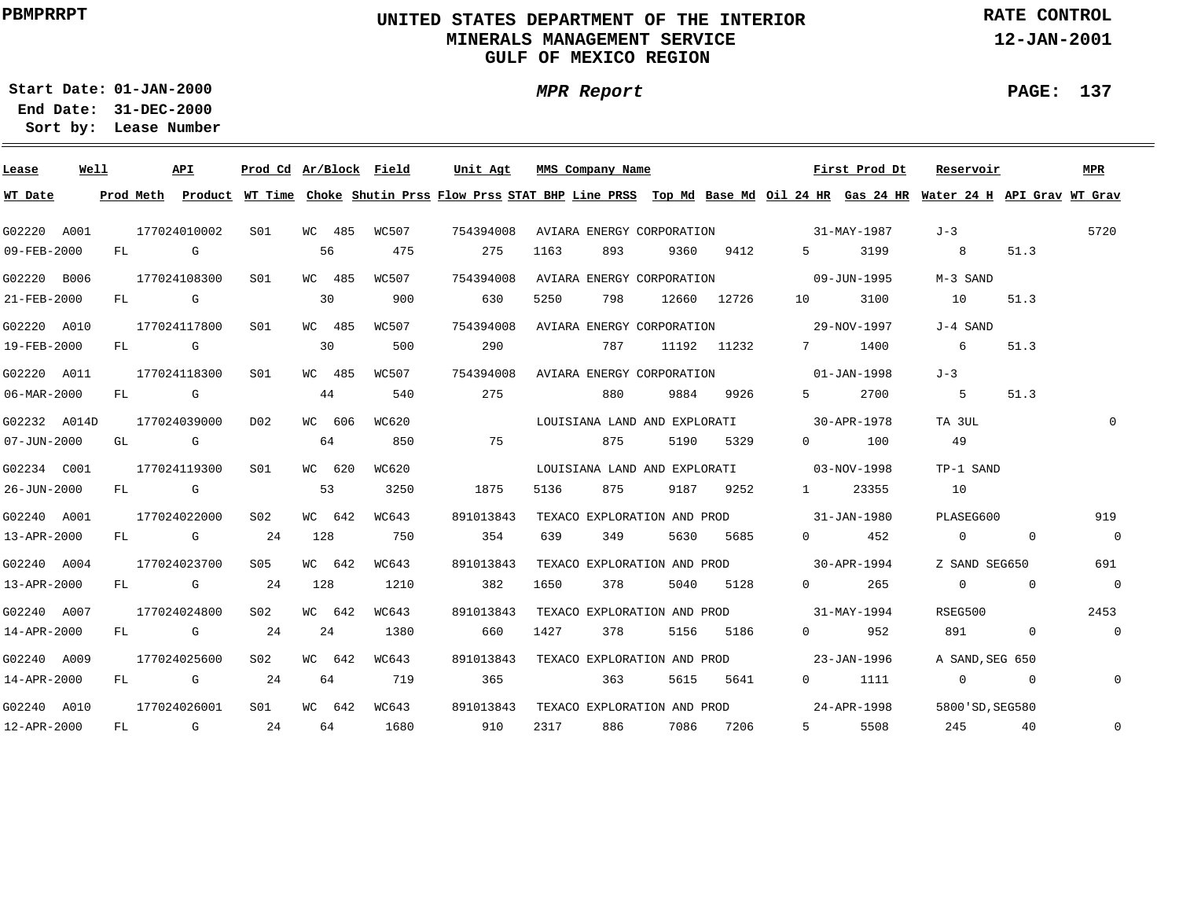### **UNITED STATES DEPARTMENT OF THE INTERIOR MINERALS MANAGEMENT SERVICEGULF OF MEXICO REGION**

**MPR Report**

**RATE CONTROL**

**12-JAN-2001**

**PAGE: 137**

÷

**01-JAN-2000Start Date:31-DEC-2000 End Date:** 

| Lease             | Well |        | API          | Prod Cd Ar/Block Field |        |       | Unit Agt  |      |      | MMS Company Name |                                          |             |                       | First Prod Dt         | Reservoir                                                                                                                                                                                                                                                                                     |                | <b>MPR</b>     |
|-------------------|------|--------|--------------|------------------------|--------|-------|-----------|------|------|------------------|------------------------------------------|-------------|-----------------------|-----------------------|-----------------------------------------------------------------------------------------------------------------------------------------------------------------------------------------------------------------------------------------------------------------------------------------------|----------------|----------------|
| WT Date           |      |        |              |                        |        |       |           |      |      |                  |                                          |             |                       |                       | Prod Meth Product WT Time Choke Shutin Prss Flow Prss STAT BHP Line PRSS Top Md Base Md Oil 24 HR Gas 24 HR Water 24 H API Grav WT Grav                                                                                                                                                       |                |                |
| G02220 A001       |      |        | 177024010002 | S01                    | WC 485 | WC507 | 754394008 |      |      |                  | AVIARA ENERGY CORPORATION 31-MAY-1987    |             |                       |                       | J-3                                                                                                                                                                                                                                                                                           |                | 5720           |
| 09-FEB-2000       |      | FL G   |              |                        | 56     | 475   | 275       | 1163 |      | 893              | 9360                                     | 9412        | $5^{\circ}$           | 3199                  | $\overline{8}$                                                                                                                                                                                                                                                                                | 51.3           |                |
| G02220 B006       |      |        | 177024108300 | S01                    | WC 485 | WC507 | 754394008 |      |      |                  | AVIARA ENERGY CORPORATION 09-JUN-1995    |             |                       |                       | M-3 SAND                                                                                                                                                                                                                                                                                      |                |                |
| 21-FEB-2000       |      | FL G   |              |                        | 30     | 900   | 630       | 5250 |      | 798              |                                          | 12660 12726 | 10                    | 3100                  | 10                                                                                                                                                                                                                                                                                            | 51.3           |                |
| G02220 A010       |      |        | 177024117800 | S01                    | WC 485 | WC507 | 754394008 |      |      |                  |                                          |             |                       |                       | J-4 SAND                                                                                                                                                                                                                                                                                      |                |                |
| 19-FEB-2000       |      | $FL$ G |              |                        | 30     | 500   | 290       |      |      | 787              |                                          | 11192 11232 |                       | 7 1400                | 6 <sup>6</sup>                                                                                                                                                                                                                                                                                | 51.3           |                |
| G02220 A011       |      |        | 177024118300 | S <sub>01</sub>        | WC 485 | WC507 | 754394008 |      |      |                  | AVIARA ENERGY CORPORATION 01-JAN-1998    |             |                       |                       | $J-3$                                                                                                                                                                                                                                                                                         |                |                |
| 06-MAR-2000       |      |        | FL G         |                        | 44     | 540   | 275       |      |      | 880              |                                          | 9884 9926   | $5^{\circ}$           | 2700                  | 5 <sub>5</sub>                                                                                                                                                                                                                                                                                | 51.3           |                |
| G02232 A014D      |      |        | 177024039000 | D02                    | WC 606 | WC620 |           |      |      |                  | LOUISIANA LAND AND EXPLORATI             |             |                       | $30 - APR - 1978$     | TA 3UL                                                                                                                                                                                                                                                                                        |                | $\Omega$       |
| $07 - JUN - 2000$ |      |        | GL G         |                        | 64     | 850   | 75        |      |      | 875              | 5190                                     | 5329        | $\Omega$ and $\Omega$ | 100                   | 49                                                                                                                                                                                                                                                                                            |                |                |
| G02234 C001       |      |        | 177024119300 | S <sub>01</sub>        | WC 620 | WC620 |           |      |      |                  | LOUISIANA LAND AND EXPLORATI 03-NOV-1998 |             |                       |                       | TP-1 SAND                                                                                                                                                                                                                                                                                     |                |                |
| 26-JUN-2000       |      |        | $FL$ G $G$   |                        | 53     | 3250  | 1875      | 5136 |      | 875              |                                          | 9187 9252   |                       | 1 23355               | 10                                                                                                                                                                                                                                                                                            |                |                |
| G02240 A001       |      |        | 177024022000 | S02                    | WC 642 | WC643 | 891013843 |      |      |                  | TEXACO EXPLORATION AND PROD 31-JAN-1980  |             |                       |                       | PLASEG600                                                                                                                                                                                                                                                                                     |                | 919            |
| 13-APR-2000       |      |        | FL G         | 24                     | 128    | 750   | 354       |      | 639  | 349              |                                          | 5630 5685   |                       | $0$ 452               | $\sim$ 0 $\sim$ 0 $\sim$ 0 $\sim$ 0 $\sim$ 0 $\sim$ 0 $\sim$ 0 $\sim$ 0 $\sim$ 0 $\sim$ 0 $\sim$ 0 $\sim$ 0 $\sim$ 0 $\sim$ 0 $\sim$ 0 $\sim$ 0 $\sim$ 0 $\sim$ 0 $\sim$ 0 $\sim$ 0 $\sim$ 0 $\sim$ 0 $\sim$ 0 $\sim$ 0 $\sim$ 0 $\sim$ 0 $\sim$ 0 $\sim$ 0 $\sim$ 0 $\sim$ 0 $\sim$ 0 $\sim$ | $\mathbf{0}$   | $\overline{0}$ |
| G02240 A004       |      |        | 177024023700 | S05                    | WC 642 | WC643 | 891013843 |      |      |                  | TEXACO EXPLORATION AND PROD 30-APR-1994  |             |                       |                       | Z SAND SEG650                                                                                                                                                                                                                                                                                 |                | 691            |
| 13-APR-2000       |      |        | FL G         | 24                     | 128    | 1210  | 382       | 1650 |      | 378              |                                          | 5040 5128   |                       | $0 \qquad \qquad 265$ | $\overline{0}$                                                                                                                                                                                                                                                                                | $\overline{0}$ | $\overline{0}$ |
| G02240 A007       |      |        | 177024024800 | S02                    | WC 642 | WC643 | 891013843 |      |      |                  | TEXACO EXPLORATION AND PROD 31-MAY-1994  |             |                       |                       | RSEG500                                                                                                                                                                                                                                                                                       |                | 2453           |
| 14-APR-2000       |      |        | FL G         | 24                     | 24     | 1380  | 660       | 1427 |      | 378              |                                          | 5156 5186   | $\Omega$ and $\Omega$ | 952                   | 891 — 100                                                                                                                                                                                                                                                                                     | $\Omega$       | $\overline{0}$ |
| G02240 A009       |      |        | 177024025600 | S02                    | WC 642 | WC643 | 891013843 |      |      |                  | TEXACO EXPLORATION AND PROD 23-JAN-1996  |             |                       |                       | A SAND, SEG 650                                                                                                                                                                                                                                                                               |                |                |
| 14-APR-2000       |      |        | FL G         | 24                     | 64     | 719   | 365       |      |      | 363              | 5615                                     | 5641        |                       | $0$ 1111              | $\overline{0}$                                                                                                                                                                                                                                                                                | $\overline{0}$ | $\overline{0}$ |
| G02240 A010       |      |        | 177024026001 | S01                    | WC 642 | WC643 | 891013843 |      |      |                  | TEXACO EXPLORATION AND PROD 24-APR-1998  |             |                       |                       | 5800 'SD, SEG580                                                                                                                                                                                                                                                                              |                |                |
| 12-APR-2000       |      |        | $FL$ G 24    |                        | 64     | 1680  | 910       |      | 2317 | 886 18           |                                          | 7086 7206   |                       | 5 5508                | 245 40                                                                                                                                                                                                                                                                                        |                | $\mathbf 0$    |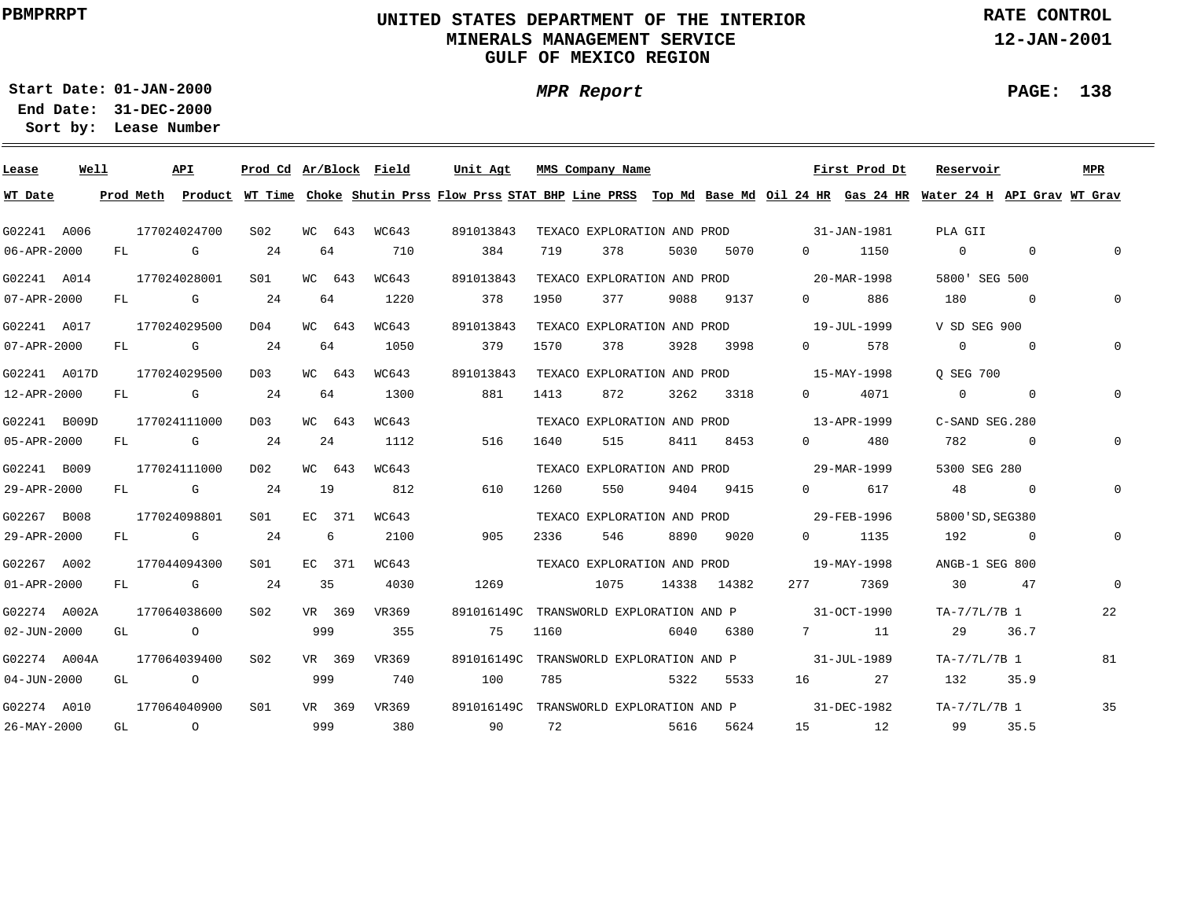### **UNITED STATES DEPARTMENT OF THE INTERIOR MINERALS MANAGEMENT SERVICEGULF OF MEXICO REGION**

**MPR Report**

**RATE CONTROL**

**12-JAN-2001**

**PAGE: 138**

÷

**01-JAN-2000Start Date:31-DEC-2000 End Date:** 

| Lease             | Well |    | API                                                                                                                                                                                                                            | Prod Cd Ar/Block Field |                |        |       | Unit Agt                                                                                                                                |      | MMS Company Name                        |      |             |                                                     | First Prod Dt | Reservoir         |                | MPR         |
|-------------------|------|----|--------------------------------------------------------------------------------------------------------------------------------------------------------------------------------------------------------------------------------|------------------------|----------------|--------|-------|-----------------------------------------------------------------------------------------------------------------------------------------|------|-----------------------------------------|------|-------------|-----------------------------------------------------|---------------|-------------------|----------------|-------------|
| WT Date           |      |    |                                                                                                                                                                                                                                |                        |                |        |       | Prod Meth Product WT Time Choke Shutin Prss Flow Prss STAT BHP Line PRSS Top Md Base Md Oil 24 HR Gas 24 HR Water 24 H API Grav WT Grav |      |                                         |      |             |                                                     |               |                   |                |             |
| G02241 A006       |      |    | 177024024700                                                                                                                                                                                                                   | S <sub>02</sub>        |                | WC 643 | WC643 | 891013843                                                                                                                               |      |                                         |      |             | TEXACO EXPLORATION AND PROD 31-JAN-1981             |               | PLA GII           |                |             |
| 06-APR-2000       |      | FL | and the control of the control of the control of the control of the control of the control of the control of the control of the control of the control of the control of the control of the control of the control of the cont | 24                     |                | 64     | 710   | 384                                                                                                                                     | 719  | 378                                     | 5030 | 5070        | $\Omega$                                            | 1150          | $\overline{0}$    | $\Omega$       | $\mathbf 0$ |
| G02241 A014       |      |    | 177024028001                                                                                                                                                                                                                   | S <sub>01</sub>        |                | WC 643 | WC643 | 891013843                                                                                                                               |      | TEXACO EXPLORATION AND PROD             |      |             | 20-MAR-1998                                         |               | 5800' SEG 500     |                |             |
| 07-APR-2000       |      |    | FL G                                                                                                                                                                                                                           | 24                     |                | 64     | 1220  | 378                                                                                                                                     | 1950 | 377                                     | 9088 | 9137        | $\Omega$ and $\Omega$                               | 886           | 180               | $\overline{0}$ | $\Omega$    |
| G02241 A017       |      |    | 177024029500                                                                                                                                                                                                                   | D04                    |                | WC 643 | WC643 | 891013843                                                                                                                               |      | TEXACO EXPLORATION AND PROD             |      |             | $19 - JUL - 1999$                                   |               | V SD SEG 900      |                |             |
| 07-APR-2000       |      |    | $FL$ G                                                                                                                                                                                                                         | 24                     |                | 64     | 1050  | 379                                                                                                                                     | 1570 | 378                                     | 3928 | 3998        | $0 \qquad \qquad$                                   | 578           | $\overline{0}$    | $\sim$ 0       | $\Omega$    |
| G02241 A017D      |      |    | 177024029500                                                                                                                                                                                                                   | D <sub>0</sub> 3       |                | WC 643 | WC643 | 891013843                                                                                                                               |      |                                         |      |             | TEXACO EXPLORATION AND PROD 15-MAY-1998             |               | O SEG 700         |                |             |
| 12-APR-2000       |      | FL | <b>G</b> G                                                                                                                                                                                                                     | 24                     |                | 64     | 1300  | 881                                                                                                                                     | 1413 | 872                                     | 3262 | 3318        | $0 \qquad \qquad$                                   | 4071          | $\overline{0}$    | $\overline{0}$ |             |
| G02241 B009D      |      |    | 177024111000                                                                                                                                                                                                                   | D03                    |                | WC 643 | WC643 |                                                                                                                                         |      |                                         |      |             | TEXACO EXPLORATION AND PROD 13-APR-1999             |               | $C-SAND$ SEG. 280 |                |             |
| 05-APR-2000       |      | FL | and the control of the control of the control of the control of the control of the control of the control of the control of the control of the control of the control of the control of the control of the control of the cont | 24                     |                | 24     | 1112  | 516                                                                                                                                     | 1640 | 515                                     | 8411 | 8453        | $\Omega$                                            | 480           | 782               | $\Omega$       |             |
| G02241 B009       |      |    | 177024111000                                                                                                                                                                                                                   | D02                    |                | WC 643 | WC643 |                                                                                                                                         |      | TEXACO EXPLORATION AND PROD             |      |             |                                                     | 29-MAR-1999   | 5300 SEG 280      |                |             |
| 29-APR-2000       |      |    | FL G                                                                                                                                                                                                                           | 24                     | 19             |        | 812   | 610                                                                                                                                     | 1260 | 550                                     | 9404 | 9415        | $\Omega$                                            | 617           | 48                | $\sim$ 0       | 0           |
| G02267 B008       |      |    | 177024098801                                                                                                                                                                                                                   | SO1                    |                | EC 371 | WC643 |                                                                                                                                         |      |                                         |      |             | TEXACO EXPLORATION AND PROD 29-FEB-1996             |               | 5800 'SD, SEG380  |                |             |
| 29-APR-2000       |      |    | FL G                                                                                                                                                                                                                           | 24                     | 6 <sup>6</sup> |        | 2100  | 905                                                                                                                                     | 2336 | 546                                     | 8890 | 9020        | $0 \qquad \qquad$                                   | 1135          | 192               | $\sim$ 0       | $\mathbf 0$ |
| G02267 A002       |      |    | 177044094300                                                                                                                                                                                                                   | S01                    |                | EC 371 | WC643 |                                                                                                                                         |      |                                         |      |             | TEXACO EXPLORATION AND PROD 19-MAY-1998             |               | ANGB-1 SEG 800    |                |             |
| 01-APR-2000       |      |    | FL G                                                                                                                                                                                                                           | 24                     | 35             |        | 4030  | 1269                                                                                                                                    |      | 1075                                    |      | 14338 14382 | 277 — 277                                           | 7369          | 30                | 47             | $\Omega$    |
| G02274 A002A      |      |    | 177064038600                                                                                                                                                                                                                   | SO2                    |                | VR 369 | VR369 |                                                                                                                                         |      |                                         |      |             | 891016149C TRANSWORLD EXPLORATION AND P 31-OCT-1990 |               | TA-7/7L/7B 1      |                | 22          |
| $02 - JUN - 2000$ |      | GL | $\overline{a}$                                                                                                                                                                                                                 |                        | 999            |        | 355   | 75                                                                                                                                      | 1160 |                                         | 6040 | 6380        | 7                                                   | 11            | 29                | 36.7           |             |
| G02274 A004A      |      |    | 177064039400                                                                                                                                                                                                                   | S <sub>02</sub>        |                | VR 369 | VR369 |                                                                                                                                         |      | 891016149C TRANSWORLD EXPLORATION AND P |      |             |                                                     | 31-JUL-1989   | TA-7/7L/7B 1      |                | 81          |
| $04 - JUN - 2000$ |      | GL | $\overline{a}$                                                                                                                                                                                                                 |                        | 999            |        | 740   | 100                                                                                                                                     | 785  |                                         | 5322 | 5533        | 16                                                  | 27            | 132               | 35.9           |             |
| G02274 A010       |      |    | 177064040900                                                                                                                                                                                                                   | S <sub>01</sub>        |                | VR 369 | VR369 |                                                                                                                                         |      | 891016149C TRANSWORLD EXPLORATION AND P |      |             | 31-DEC-1982                                         |               | TA-7/7L/7B 1      |                | 35          |
| 26-MAY-2000       |      | GL | $\overline{O}$                                                                                                                                                                                                                 |                        | 999            |        | 380   | 90                                                                                                                                      | 72   |                                         | 5616 | 5624        |                                                     | 15 12         | 99                | 35.5           |             |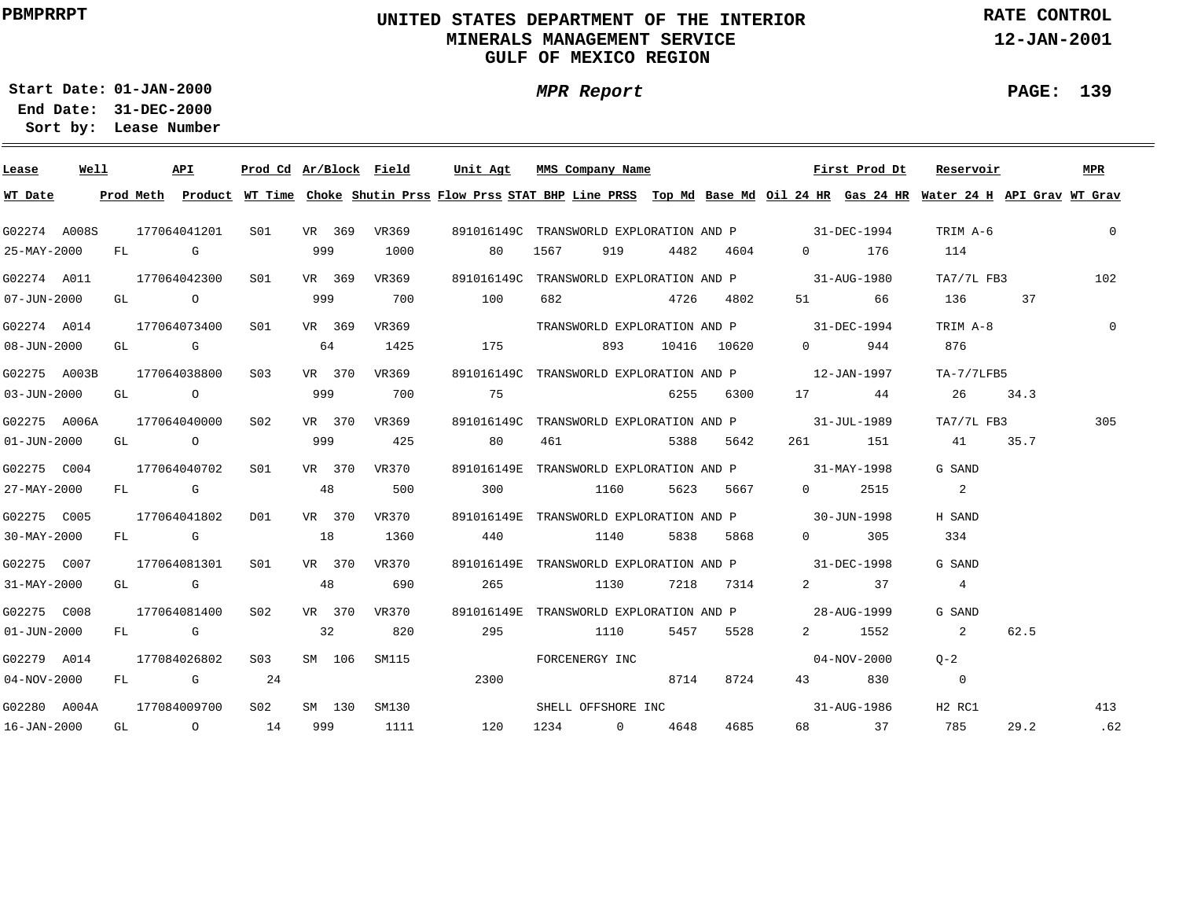### **UNITED STATES DEPARTMENT OF THE INTERIOR MINERALS MANAGEMENT SERVICEGULF OF MEXICO REGION**

**MPR Report**

**RATE CONTROL**

**12-JAN-2001**

**PAGE: 139**

÷

**01-JAN-2000Start Date:**

| Lease             | Well |  | API                                                                                                                                                                                                                            |            |     |        | Prod Cd Ar/Block Field | Unit Agt | MMS Company Name                                                                                                                        |                 |           |                                                                                                                                                                                                                                                                                                                                    | First Prod Dt | Reservoir      |      | MPR            |
|-------------------|------|--|--------------------------------------------------------------------------------------------------------------------------------------------------------------------------------------------------------------------------------|------------|-----|--------|------------------------|----------|-----------------------------------------------------------------------------------------------------------------------------------------|-----------------|-----------|------------------------------------------------------------------------------------------------------------------------------------------------------------------------------------------------------------------------------------------------------------------------------------------------------------------------------------|---------------|----------------|------|----------------|
| WT Date           |      |  |                                                                                                                                                                                                                                |            |     |        |                        |          | Prod Meth Product WT Time Choke Shutin Prss Flow Prss STAT BHP Line PRSS Top Md Base Md Oil 24 HR Gas 24 HR Water 24 H API Grav WT Grav |                 |           |                                                                                                                                                                                                                                                                                                                                    |               |                |      |                |
| G02274 A008S      |      |  | 177064041201                                                                                                                                                                                                                   | S01 VR 369 |     |        | VR369                  |          | 891016149C TRANSWORLD EXPLORATION AND P 31-DEC-1994                                                                                     |                 |           |                                                                                                                                                                                                                                                                                                                                    |               | TRIM A-6       |      | $\mathbf{0}$   |
| 25-MAY-2000       |      |  | FL G                                                                                                                                                                                                                           |            | 999 |        | 1000                   | 80       | 1567                                                                                                                                    | 919 4482 4604   |           |                                                                                                                                                                                                                                                                                                                                    | 0 176         | 114            |      |                |
| G02274 A011       |      |  | 177064042300                                                                                                                                                                                                                   | SO1        |     | VR 369 | VR369                  |          | 891016149C TRANSWORLD EXPLORATION AND P 31-AUG-1980                                                                                     |                 |           |                                                                                                                                                                                                                                                                                                                                    |               | TA7/7L FB3     |      | 102            |
| $07 - JUN - 2000$ |      |  | GL O                                                                                                                                                                                                                           |            | 999 |        | 700                    | 100      | 682 4726 4802                                                                                                                           |                 |           | 51 7                                                                                                                                                                                                                                                                                                                               | 66            | 136 37         |      |                |
| G02274 A014       |      |  | 177064073400                                                                                                                                                                                                                   | S01        |     | VR 369 | VR369                  |          | TRANSWORLD EXPLORATION AND P 31-DEC-1994                                                                                                |                 |           |                                                                                                                                                                                                                                                                                                                                    |               | TRIM A-8       |      | $\overline{0}$ |
| $08 - JUN - 2000$ |      |  | GL G G COMPUTER COMPUTER COMPUTER COMPUTER COMPUTER COMPUTER COMPUTER COMPUTER COMPUTER COMPUTER COMPUTER COMPUTER COMPUTER COMPUTER COMPUTER COMPUTER COMPUTER COMPUTER COMPUTER COMPUTER COMPUTER COMPUTER COMPUTER COMPUTER |            | 64  |        | 1425                   |          | 175                                                                                                                                     | 893 10416 10620 |           | $\overline{0}$ and $\overline{0}$ and $\overline{0}$ and $\overline{0}$ and $\overline{0}$ and $\overline{0}$ and $\overline{0}$ and $\overline{0}$ and $\overline{0}$ and $\overline{0}$ and $\overline{0}$ and $\overline{0}$ and $\overline{0}$ and $\overline{0}$ and $\overline{0}$ and $\overline{0}$ and $\overline{0}$ and | 944           | 876            |      |                |
| G02275 A003B      |      |  | 177064038800                                                                                                                                                                                                                   | S03        |     |        | VR 370 VR369           |          | 891016149C TRANSWORLD EXPLORATION AND P 12-JAN-1997                                                                                     |                 |           |                                                                                                                                                                                                                                                                                                                                    |               | TA-7/7LFB5     |      |                |
| $03 - JUN - 2000$ |      |  | GL O O                                                                                                                                                                                                                         |            | 999 |        | 700                    | 75       |                                                                                                                                         |                 | 6255 6300 |                                                                                                                                                                                                                                                                                                                                    | 17 44         | 26 34.3        |      |                |
| G02275 A006A      |      |  | 177064040000                                                                                                                                                                                                                   | S02        |     |        | VR 370 VR369           |          | 891016149C TRANSWORLD EXPLORATION AND P 31-JUL-1989                                                                                     |                 |           |                                                                                                                                                                                                                                                                                                                                    |               | TA7/7L FB3     |      | 305            |
| $01 - JUN - 2000$ |      |  | GL O                                                                                                                                                                                                                           |            | 999 |        | 425                    | 80       | 461 5388 5642                                                                                                                           |                 |           |                                                                                                                                                                                                                                                                                                                                    | 261 151       | 41 35.7        |      |                |
| G02275 C004       |      |  | 177064040702                                                                                                                                                                                                                   | SO1        |     |        | VR 370 VR370           |          | 891016149E TRANSWORLD EXPLORATION AND P 31-MAY-1998                                                                                     |                 |           |                                                                                                                                                                                                                                                                                                                                    |               | G SAND         |      |                |
| 27-MAY-2000       |      |  | FL G                                                                                                                                                                                                                           |            | 48  |        | 500                    |          | 300 1160                                                                                                                                |                 |           | 5623 5667 0 2515                                                                                                                                                                                                                                                                                                                   |               | 2              |      |                |
| G02275 C005       |      |  | 177064041802                                                                                                                                                                                                                   | D01        |     |        | VR 370 VR370           |          | 891016149E TRANSWORLD EXPLORATION AND P 30-JUN-1998                                                                                     |                 |           |                                                                                                                                                                                                                                                                                                                                    |               | H SAND         |      |                |
| 30-MAY-2000       |      |  | FL G                                                                                                                                                                                                                           |            | 18  |        | 1360                   | 440      | 1140                                                                                                                                    |                 | 5838 5868 |                                                                                                                                                                                                                                                                                                                                    | $0 \t 305$    | 334            |      |                |
| G02275 C007       |      |  | 177064081301                                                                                                                                                                                                                   | S01        |     |        | VR 370 VR370           |          | 891016149E TRANSWORLD EXPLORATION AND P 31-DEC-1998                                                                                     |                 |           |                                                                                                                                                                                                                                                                                                                                    |               | G SAND         |      |                |
| 31-MAY-2000       |      |  | GL G                                                                                                                                                                                                                           |            | 48  |        | 690                    | 265      | 1130                                                                                                                                    |                 | 7218 7314 |                                                                                                                                                                                                                                                                                                                                    | 2 37          | 4              |      |                |
| G02275 C008       |      |  | 177064081400                                                                                                                                                                                                                   | S02        |     |        | VR 370 VR370           |          | 891016149E TRANSWORLD EXPLORATION AND P 28-AUG-1999                                                                                     |                 |           |                                                                                                                                                                                                                                                                                                                                    |               | G SAND         |      |                |
| $01 - JUN - 2000$ |      |  | FL G                                                                                                                                                                                                                           |            | 32  |        | 820                    | 295      | 1110                                                                                                                                    | 5457            | 5528      |                                                                                                                                                                                                                                                                                                                                    | 2 1552        | $\sim$ 2       | 62.5 |                |
| G02279 A014       |      |  | 177084026802                                                                                                                                                                                                                   | S03        |     | SM 106 |                        | SM115    | FORCENERGY INC                                                                                                                          |                 |           |                                                                                                                                                                                                                                                                                                                                    | 04-NOV-2000   | $O - 2$        |      |                |
| $04 - NOV - 2000$ |      |  | $FL$ G 24                                                                                                                                                                                                                      |            |     |        |                        | 2300     |                                                                                                                                         | 8714            | 8724      |                                                                                                                                                                                                                                                                                                                                    | 43 830        | $\overline{0}$ |      |                |
| G02280 A004A      |      |  | 177084009700                                                                                                                                                                                                                   | S02        |     |        | SM 130 SM130           |          |                                                                                                                                         |                 |           |                                                                                                                                                                                                                                                                                                                                    |               | H2 RC1         |      | 413            |
| 16-JAN-2000       |      |  | GL $\qquad \qquad 0 \qquad \qquad 14$                                                                                                                                                                                          |            |     |        | 999 1111               | 120      | 1234 0 4648                                                                                                                             |                 | 4685      |                                                                                                                                                                                                                                                                                                                                    | 68 37         | 785            | 29.2 | .62            |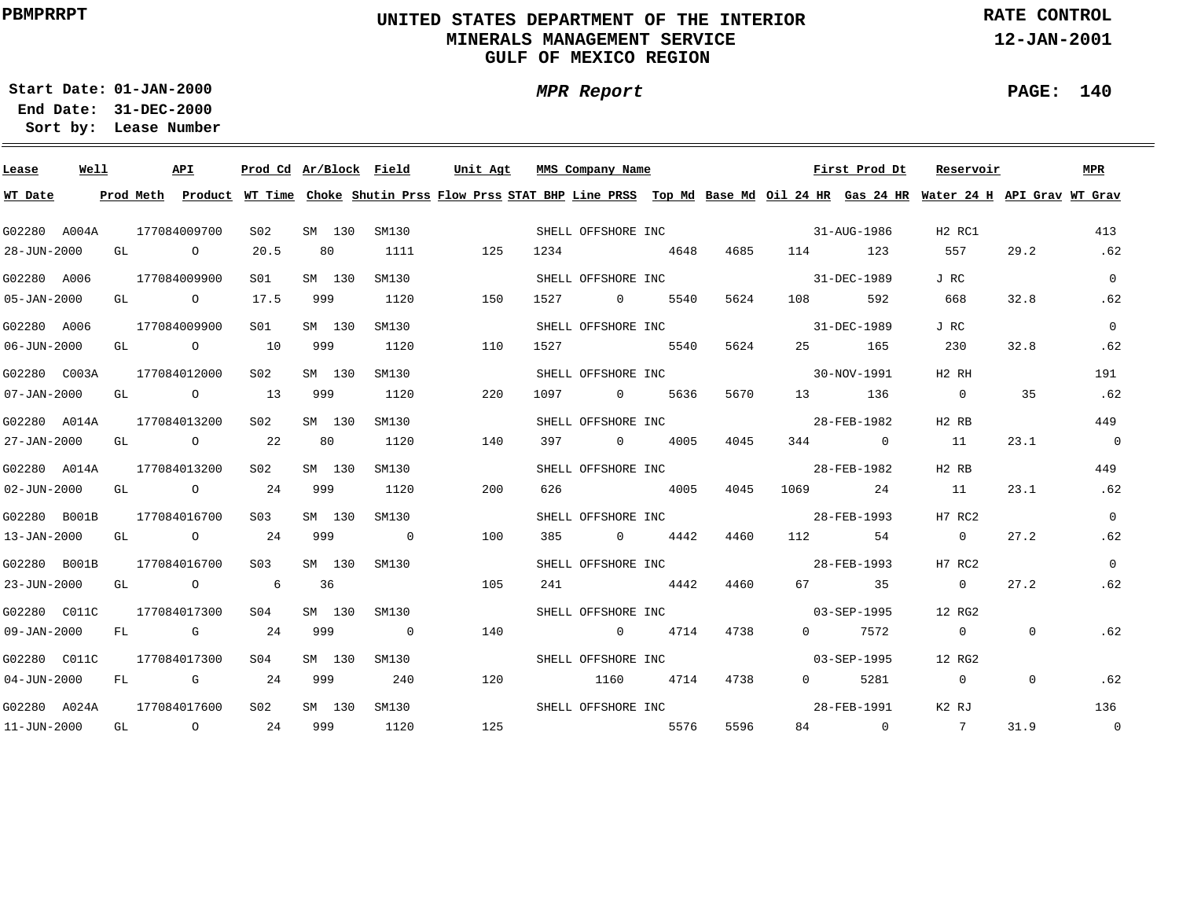### **UNITED STATES DEPARTMENT OF THE INTERIOR MINERALS MANAGEMENT SERVICEGULF OF MEXICO REGION**

**RATE CONTROL**

**12-JAN-2001**

**01-JAN-2000Start Date:**

**31-DEC-2000 End Date: Lease Number Sort by:**

| Lease                     | Well |    | API                                   |                 |        | Prod Cd Ar/Block Field | Unit Agt                                                                                                                                |      | MMS Company Name   |      |      |                                | First Prod Dt     | Reservoir      |              | MPR            |
|---------------------------|------|----|---------------------------------------|-----------------|--------|------------------------|-----------------------------------------------------------------------------------------------------------------------------------------|------|--------------------|------|------|--------------------------------|-------------------|----------------|--------------|----------------|
| WT Date                   |      |    |                                       |                 |        |                        | Prod Meth Product WT Time Choke Shutin Prss Flow Prss STAT BHP Line PRSS Top Md Base Md Oil 24 HR Gas 24 HR Water 24 H API Grav WT Grav |      |                    |      |      |                                |                   |                |              |                |
| G02280 A004A              |      |    | 177084009700                          | S02             | SM 130 | SM130                  | SHELL OFFSHORE INC 31-AUG-1986                                                                                                          |      |                    |      |      |                                |                   | H2 RC1         |              | 413            |
| 28-JUN-2000               |      |    | GL O                                  | 20.5            | 80     | 1111                   | 125                                                                                                                                     | 1234 | 4648               |      | 4685 |                                | 114 123           | 557            | 29.2         | .62            |
| G02280 A006               |      |    | 177084009900                          | S <sub>01</sub> | SM 130 | SM130                  |                                                                                                                                         |      |                    |      |      | SHELL OFFSHORE INC 31-DEC-1989 |                   | J RC           |              | $\overline{0}$ |
| 05-JAN-2000               |      |    | GL O                                  | 17.5            | 999    | 1120                   | 150                                                                                                                                     | 1527 | $\overline{0}$     | 5540 | 5624 | 108 — 108                      | 592               | 668            | 32.8         | .62            |
| G02280 A006               |      |    | 177084009900                          | S <sub>01</sub> | SM 130 | SM130                  |                                                                                                                                         |      | SHELL OFFSHORE INC |      |      | $31 - DEC - 1989$              |                   | J RC           |              | $\overline{0}$ |
| $06 - JUN - 2000$         |      |    | GL $\qquad \qquad 0 \qquad \qquad 10$ |                 | 999    | 1120                   | 110                                                                                                                                     | 1527 | 5540               |      | 5624 |                                | 25 165            | 230            | 32.8         | .62            |
| G02280 C003A              |      |    | 177084012000                          | S02             | SM 130 | SM130                  |                                                                                                                                         |      | SHELL OFFSHORE INC |      |      |                                | 30-NOV-1991       | H2 RH          |              | 191            |
| $07 - JAN - 2000$         |      | GL | $\sim$ 0 13                           |                 | 999    | 1120                   | 220                                                                                                                                     | 1097 | 0 5636             |      | 5670 | 13                             | 136               | $\overline{0}$ | 35           | .62            |
| G02280 A014A              |      |    | 177084013200                          | S02             | SM 130 | SM130                  |                                                                                                                                         |      | SHELL OFFSHORE INC |      |      |                                | 28-FEB-1982       | H2 RB          |              | 449            |
| 27-JAN-2000               |      | GL | $\overline{O}$ 22                     |                 | 80     | 1120                   | 140                                                                                                                                     |      | 397 0 4005         |      | 4045 |                                | 344 0             | 11             | 23.1         | $\overline{0}$ |
| G02280 A014A              |      |    | 177084013200                          | S02             | SM 130 | SM130                  |                                                                                                                                         |      |                    |      |      | SHELL OFFSHORE INC 28-FEB-1982 |                   | H2 RB          |              | 449            |
| $02 - JUN - 2000$         |      |    | GL 0 24                               |                 | 999    | 1120                   | 200                                                                                                                                     | 626  | 4005               |      | 4045 |                                | 1069 24           | 11             | 23.1         | .62            |
| G02280 B001B              |      |    | 177084016700                          | S <sub>03</sub> | SM 130 | SM130                  |                                                                                                                                         |      |                    |      |      | SHELL OFFSHORE INC 38-FEB-1993 |                   | H7 RC2         |              | $\overline{0}$ |
| 13-JAN-2000               |      |    | GL 0 24                               |                 | 999    | $\overline{0}$         | 100                                                                                                                                     |      | 385 0 4442 4460    |      |      | 112                            | 54                | $\overline{0}$ | 27.2         | .62            |
| G02280 B001B              |      |    | 177084016700                          | S <sub>03</sub> | SM 130 | SM130                  |                                                                                                                                         |      |                    |      |      | SHELL OFFSHORE INC 28-FEB-1993 |                   | H7 RC2         |              | $\overline{0}$ |
| 23-JUN-2000               |      |    | GL O                                  | $6\overline{6}$ | 36     |                        | 105                                                                                                                                     | 241  | 4442               |      | 4460 |                                | 67 35             | $\overline{0}$ | 27.2         | .62            |
| G02280 C011C              |      |    | 177084017300                          | SO4             | SM 130 | SM130                  |                                                                                                                                         |      | SHELL OFFSHORE INC |      |      |                                | $03 - SEP - 1995$ | 12 RG2         |              |                |
| $09 - JAN - 2000$         |      |    | $FL$ G 24                             |                 | 999    | $\overline{0}$         | 140                                                                                                                                     |      | $0 \t 4714$        |      | 4738 |                                | $0$ 7572          | $\overline{0}$ | $\Omega$     | .62            |
| G02280 C011C              |      |    | 177084017300                          | SO4             | SM 130 | SM130                  |                                                                                                                                         |      | SHELL OFFSHORE INC |      |      |                                | 03-SEP-1995       | 12 RG2         |              |                |
| $04 - JUN - 2000$         |      |    | FL G 24                               |                 | 999    | 240                    | 120                                                                                                                                     |      | 1160               | 4714 | 4738 | $\Omega$                       | 5281              | $\overline{0}$ | $\mathbf{0}$ | .62            |
| G02280 A024A 177084017600 |      |    |                                       | S <sub>02</sub> |        | SM 130 SM130           |                                                                                                                                         |      | SHELL OFFSHORE INC |      |      |                                | 28-FEB-1991       | K2 RJ          |              | 136            |
|                           |      |    | 11-JUN-2000 GL 0 24                   |                 |        | 999 1120               | 125                                                                                                                                     |      | 5576               |      | 5596 |                                | 84 0              | $\overline{7}$ | 31.9         | $\overline{0}$ |

**PAGE: 140**

÷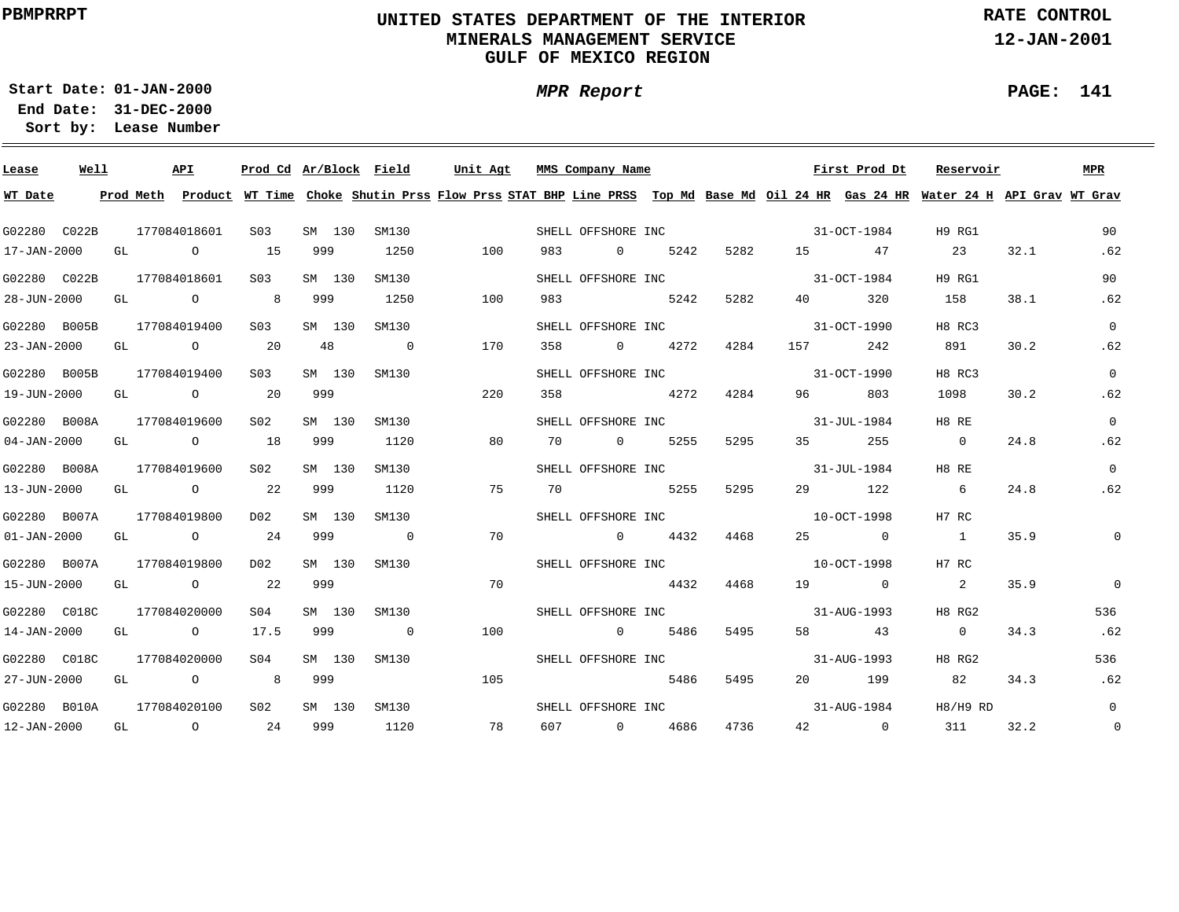### **UNITED STATES DEPARTMENT OF THE INTERIOR MINERALS MANAGEMENT SERVICEGULF OF MEXICO REGION**

**RATE CONTROL**

**12-JAN-2001**

**01-JAN-2000Start Date:**

**31-DEC-2000 End Date: Lease Number Sort by:**

| Lease             | Well |    |                | API            | Prod Cd Ar/Block Field |        |        |                          | Unit Agt |     | MMS Company Name                  |                    |      |                                   | First Prod Dt | Reservoir                                                                                                                               |      | MPR            |
|-------------------|------|----|----------------|----------------|------------------------|--------|--------|--------------------------|----------|-----|-----------------------------------|--------------------|------|-----------------------------------|---------------|-----------------------------------------------------------------------------------------------------------------------------------------|------|----------------|
| WT Date           |      |    |                |                |                        |        |        |                          |          |     |                                   |                    |      |                                   |               | Prod Meth Product WT Time Choke Shutin Prss Flow Prss STAT BHP Line PRSS Top Md Base Md Oil 24 HR Gas 24 HR Water 24 H API Grav WT Grav |      |                |
| G02280 C022B      |      |    | 177084018601   |                | S <sub>03</sub>        | SM 130 |        | SM130                    |          |     |                                   |                    |      | SHELL OFFSHORE INC 31-OCT-1984    |               | H9 RG1                                                                                                                                  |      | 90             |
| 17-JAN-2000       |      | GL |                | $\overline{O}$ | 15                     | 999    |        | 1250                     | 100      | 983 | $\overline{0}$                    | 5242               | 5282 | 15                                | 47            | 23                                                                                                                                      | 32.1 | .62            |
| G02280 C022B      |      |    | 177084018601   |                | S <sub>03</sub>        | SM 130 |        | SM130                    |          |     | SHELL OFFSHORE INC                |                    |      |                                   | 31-OCT-1984   | H9 RG1                                                                                                                                  |      | 90             |
| 28-JUN-2000       |      |    | GL O           |                | 8                      | 999    |        | 1250                     | 100      | 983 |                                   | 5242               | 5282 | 40 — 10                           | 320           | 158                                                                                                                                     | 38.1 | .62            |
| G02280 B005B      |      |    | 177084019400   |                | S03                    |        | SM 130 | SM130                    |          |     | SHELL OFFSHORE INC                |                    |      | 31-OCT-1990                       |               | H8 RC3                                                                                                                                  |      | $\overline{0}$ |
| 23-JAN-2000       |      | GL |                | $\overline{O}$ | 20                     | 48     |        | $\overline{\phantom{0}}$ | 170      | 358 | $\overline{0}$                    | 4272               | 4284 | 157 — 157                         | 242           | 891                                                                                                                                     | 30.2 | .62            |
| G02280 B005B      |      |    | 177084019400   |                | S <sub>03</sub>        | SM 130 |        | SM130                    |          |     |                                   | SHELL OFFSHORE INC |      |                                   | 31-OCT-1990   | H8 RC3                                                                                                                                  |      | $\overline{0}$ |
| 19-JUN-2000       |      | GL |                | $\overline{O}$ | 20                     | 999    |        |                          | 220      | 358 |                                   | 4272               | 4284 | 96                                | 803           | 1098                                                                                                                                    | 30.2 | .62            |
| G02280 B008A      |      |    | 177084019600   |                | S02                    | SM 130 |        | SM130                    |          |     | SHELL OFFSHORE INC                |                    |      |                                   | 31-JUL-1984   | H8 RE                                                                                                                                   |      | $\Omega$       |
| 04-JAN-2000       |      | GL |                | $\overline{O}$ | 18                     | 999    |        | 1120                     | 80       | 70  | $\overline{0}$ and $\overline{0}$ | 5255               | 5295 | 35                                | 255           | $\overline{0}$                                                                                                                          | 24.8 | .62            |
| G02280 B008A      |      |    | 177084019600   |                | S02                    | SM 130 |        | SM130                    |          |     |                                   | SHELL OFFSHORE INC |      | $31 - JUL - 1984$                 |               | H8 RE                                                                                                                                   |      | $\Omega$       |
| 13-JUN-2000       |      |    |                | GL O           | 22                     | 999    |        | 1120                     | 75       | 70  |                                   | 5255               | 5295 |                                   | 29 122        | $6\overline{6}$                                                                                                                         | 24.8 | .62            |
| G02280 B007A      |      |    | 177084019800   |                | DO <sub>2</sub>        | SM 130 |        | SM130                    |          |     |                                   |                    |      | SHELL OFFSHORE INC<br>10-OCT-1998 |               | H7 RC                                                                                                                                   |      |                |
| $01 - JAN - 2000$ |      |    |                | GL 0 24        |                        | 999    |        | $\overline{0}$           | 70       |     |                                   | $0 \t 4432$        | 4468 |                                   | $25$ 0        | $\sim$ 1                                                                                                                                | 35.9 | $\mathsf{O}$   |
| G02280 B007A      |      |    | 177084019800   |                | D02                    | SM 130 |        | SM130                    |          |     |                                   |                    |      | SHELL OFFSHORE INC 10-OCT-1998    |               | H7 RC                                                                                                                                   |      |                |
| 15-JUN-2000       |      |    | GL O           |                | 22                     | 999    |        |                          | 70       |     |                                   | 4432               | 4468 |                                   | 19 0          | $\overline{\phantom{a}}$ 2                                                                                                              | 35.9 | $\mathbf 0$    |
| G02280 C018C      |      |    | 177084020000   |                | S04                    | SM 130 |        | SM130                    |          |     |                                   | SHELL OFFSHORE INC |      |                                   | 31-AUG-1993   | H8 RG2                                                                                                                                  |      | 536            |
| 14-JAN-2000       |      | GL | $\overline{O}$ |                | 17.5                   | 999    |        | $\sim$ 0                 | 100      |     | $\overline{0}$                    | 5486               | 5495 |                                   | 43            | $\overline{0}$                                                                                                                          | 34.3 | .62            |
| G02280 C018C      |      |    | 177084020000   |                | S04                    |        | SM 130 | SM130                    |          |     | SHELL OFFSHORE INC                |                    |      |                                   | 31-AUG-1993   | H8 RG2                                                                                                                                  |      | 536            |
| 27-JUN-2000       |      | GL |                | $\overline{O}$ | 8 999                  |        |        |                          | 105      |     |                                   | 5486               | 5495 |                                   | 20 199        | 82                                                                                                                                      | 34.3 | .62            |
| G02280 B010A      |      |    | 177084020100   |                | S02                    |        | SM 130 | SM130                    |          |     | SHELL OFFSHORE INC                |                    |      |                                   | 31-AUG-1984   | H8/H9 RD                                                                                                                                |      | $\overline{0}$ |
| 12-JAN-2000       |      | GL | $\overline{O}$ |                | 24                     | 999    |        | 1120                     | 78       | 607 | $\overline{0}$                    | 4686               | 4736 |                                   | 42 0          | 311                                                                                                                                     | 32.2 | $\mathbf 0$    |

**PAGE: 141**

**MPR Report**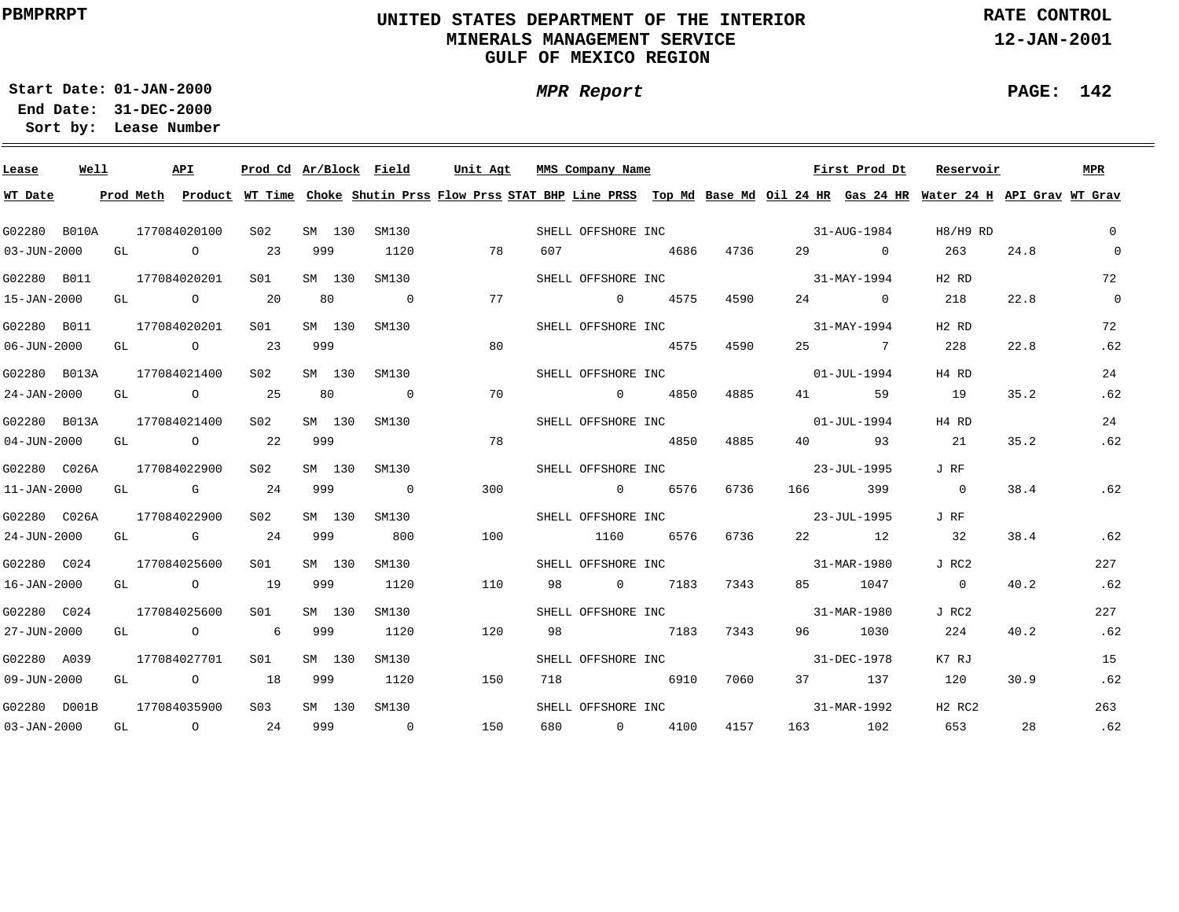### **UNITED STATES DEPARTMENT OF THE INTERIOR MINERALS MANAGEMENT SERVICEGULF OF MEXICO REGION**

**RATE CONTROL**

**12-JAN-2001**

÷

**01-JAN-2000Start Date:31-DEC-2000 End Date:** 

**Lease Number Sort by:**

| Lease             | Well |  | API                       | Prod Cd Ar/Block Field |        |              | Unit Agt |     |     | MMS Company Name   |      |      | First Prod Dt                  | Reservoir                                                                                                                               |      | MPR            |
|-------------------|------|--|---------------------------|------------------------|--------|--------------|----------|-----|-----|--------------------|------|------|--------------------------------|-----------------------------------------------------------------------------------------------------------------------------------------|------|----------------|
| WT Date           |      |  |                           |                        |        |              |          |     |     |                    |      |      |                                | Prod Meth Product WT Time Choke Shutin Prss Flow Prss STAT BHP Line PRSS Top Md Base Md Oil 24 HR Gas 24 HR Water 24 H API Grav WT Grav |      |                |
| G02280 B010A      |      |  | 177084020100              | S02                    | SM 130 | SM130        |          |     |     |                    |      |      | SHELL OFFSHORE INC 31-AUG-1984 | H8/H9 RD                                                                                                                                |      | $\Omega$       |
| $03 - JUN - 2000$ |      |  | GL O                      | 23                     | 999    | 1120         |          | 78  | 607 |                    | 4686 | 4736 | 29 0                           | 263                                                                                                                                     | 24.8 | $\overline{0}$ |
| G02280 B011       |      |  | 177084020201              | S01                    | SM 130 | SM130        |          |     |     | SHELL OFFSHORE INC |      |      | $31 - MAX - 1994$              | H <sub>2</sub> R <sub>D</sub>                                                                                                           |      | 72             |
| 15-JAN-2000       |      |  | GL O                      | 20                     | 80     | $\sim$ 0     |          | 77  |     | 0 4575             |      | 4590 | $24$ 0                         | 218                                                                                                                                     | 22.8 | $\overline{0}$ |
| G02280 B011       |      |  | 177084020201              | S01                    |        | SM 130 SM130 |          |     |     |                    |      |      | SHELL OFFSHORE INC 31-MAY-1994 | H <sub>2</sub> R <sub>D</sub>                                                                                                           |      | 72             |
| $06 - JUN - 2000$ |      |  | GL 0 23                   |                        | 999    |              |          | 80  |     |                    | 4575 | 4590 | 25 7                           | 228                                                                                                                                     | 22.8 | .62            |
|                   |      |  | G02280 B013A 177084021400 | S02                    |        | SM 130 SM130 |          |     |     |                    |      |      | SHELL OFFSHORE INC 01-JUL-1994 | H4 RD                                                                                                                                   |      | 24             |
| 24-JAN-2000       |      |  | GL 0 25                   |                        |        | 80 0         |          | 70  |     | $0$ 4850           |      | 4885 | 41<br>59                       | 19                                                                                                                                      | 35.2 | .62            |
|                   |      |  | G02280 B013A 177084021400 | S <sub>02</sub>        |        | SM 130 SM130 |          |     |     | SHELL OFFSHORE INC |      |      | 01-JUL-1994                    | H4 RD                                                                                                                                   |      | 24             |
| $04 - JUN - 2000$ |      |  | GL 0 22                   |                        | 999    |              |          | 78  |     |                    | 4850 | 4885 | 40 93                          | 21                                                                                                                                      | 35.2 | .62            |
|                   |      |  | G02280 C026A 177084022900 | S02                    |        | SM 130 SM130 |          |     |     | SHELL OFFSHORE INC |      |      | 23-JUL-1995                    | J RF                                                                                                                                    |      |                |
| $11 - JAN - 2000$ |      |  | $GL$ G 24                 |                        | 999    | $\sim$ 0     |          | 300 |     | 0 6576             |      | 6736 | 166 399                        | $\overline{0}$                                                                                                                          | 38.4 | .62            |
| G02280 C026A      |      |  | 177084022900              | S02                    | SM 130 | SM130        |          |     |     |                    |      |      | SHELL OFFSHORE INC 33-JUL-1995 | J RF                                                                                                                                    |      |                |
| 24-JUN-2000       |      |  | $GL$ G 24                 |                        | 999    | 800          |          | 100 |     | 1160 6576          |      | 6736 | 22 12                          | 32                                                                                                                                      | 38.4 | .62            |
| G02280 C024       |      |  | 177084025600              | S01                    | SM 130 | SM130        |          |     |     |                    |      |      | SHELL OFFSHORE INC 31-MAR-1980 | J RC2                                                                                                                                   |      | 227            |
| 16-JAN-2000       |      |  | GL 0 19                   |                        | 999    | 1120         |          | 110 |     | 98 0 7183 7343     |      |      | 85 1047                        | $\overline{0}$                                                                                                                          | 40.2 | .62            |
| G02280 C024       |      |  | 177084025600              | SO1                    | SM 130 | SM130        |          |     |     |                    |      |      | SHELL OFFSHORE INC 31-MAR-1980 | J RC2                                                                                                                                   |      | 227            |
| 27-JUN-2000       |      |  | GL 0 6 999                |                        |        | 1120         |          | 120 |     | 98 7183 7343       |      |      | 96 1030                        | 224                                                                                                                                     | 40.2 | .62            |
| G02280 A039       |      |  | 177084027701              | S01                    | SM 130 | SM130        |          |     |     | SHELL OFFSHORE INC |      |      | 31-DEC-1978                    | K7 RJ                                                                                                                                   |      | 15             |
| 09-JUN-2000       |      |  | GL 0 18 999 1120          |                        |        |              | 150      |     | 718 | 6910               |      | 7060 | 37 137                         | 120                                                                                                                                     | 30.9 | .62            |
| G02280 D001B      |      |  | 177084035900              | S03 - 1                |        | SM 130 SM130 |          |     |     | SHELL OFFSHORE INC |      |      | 31-MAR-1992                    | H2 RC2                                                                                                                                  |      | 263            |
|                   |      |  | 03-JAN-2000 GL 0 24       |                        |        | 999 0        |          | 150 |     | 680 0 4100         |      | 4157 | 163 102                        | 653                                                                                                                                     | 28   | .62            |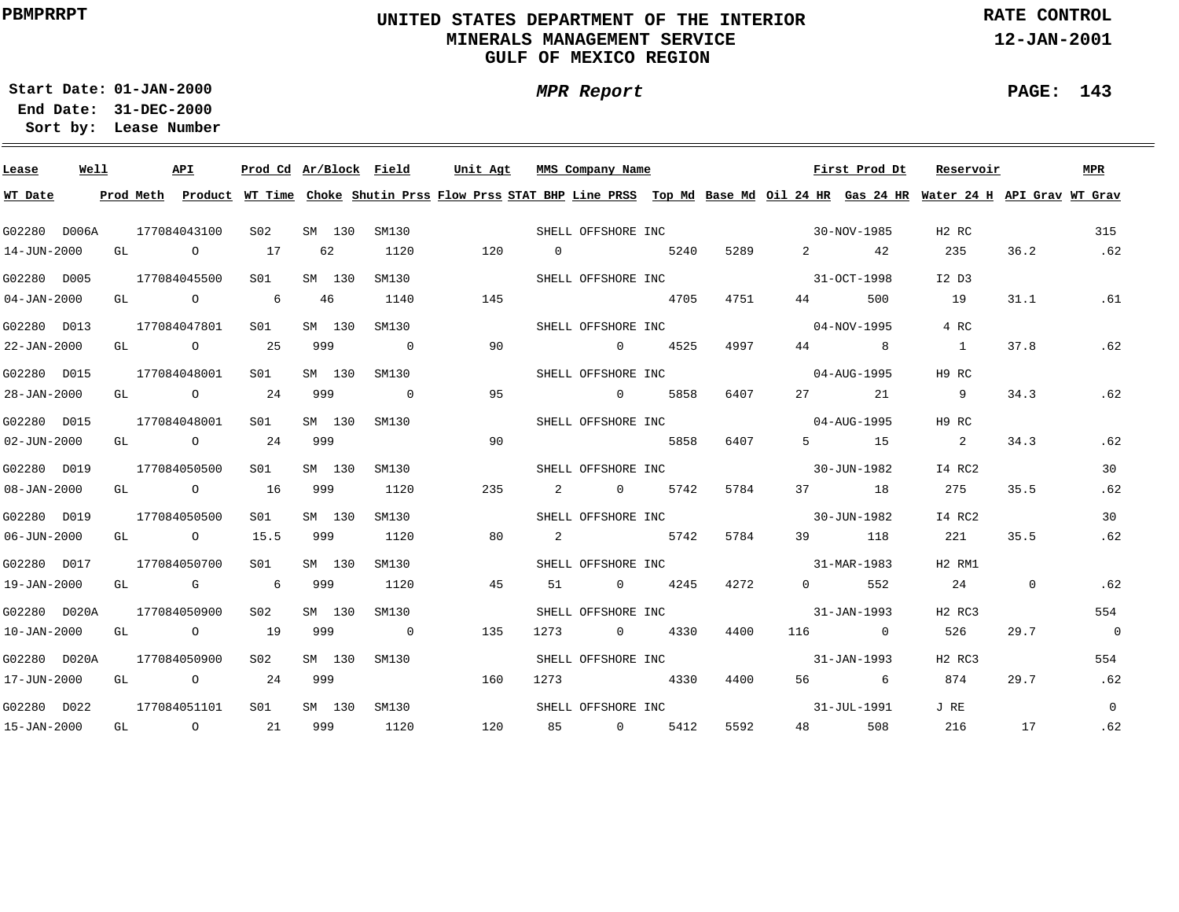### **UNITED STATES DEPARTMENT OF THE INTERIOR MINERALS MANAGEMENT SERVICEGULF OF MEXICO REGION**

**MPR Report**

**RATE CONTROL**

**12-JAN-2001**

**01-JAN-2000Start Date:**

**31-DEC-2000 End Date: Lease Number Sort by:**

| Lease             | Well |  | API                                   | Prod Cd Ar/Block Field |        |         |                | Unit Agt | MMS Company Name                  |             |      |                       | First Prod Dt                                                                                                                                                                                                                                                                                                                            | Reservoir                                                                                                                               |      | MPR            |
|-------------------|------|--|---------------------------------------|------------------------|--------|---------|----------------|----------|-----------------------------------|-------------|------|-----------------------|------------------------------------------------------------------------------------------------------------------------------------------------------------------------------------------------------------------------------------------------------------------------------------------------------------------------------------------|-----------------------------------------------------------------------------------------------------------------------------------------|------|----------------|
| WT Date           |      |  |                                       |                        |        |         |                |          |                                   |             |      |                       |                                                                                                                                                                                                                                                                                                                                          | Prod Meth Product WT Time Choke Shutin Prss Flow Prss STAT BHP Line PRSS Top Md Base Md Oil 24 HR Gas 24 HR Water 24 H API Grav WT Grav |      |                |
| G02280 D006A      |      |  | 177084043100                          | S02                    | SM 130 |         | SM130          |          | SHELL OFFSHORE INC<br>30-NOV-1985 |             |      |                       |                                                                                                                                                                                                                                                                                                                                          | H2 RC                                                                                                                                   |      | 315            |
| 14-JUN-2000       |      |  | GL O                                  | 17                     | 62     |         | 1120           | 120      | $\overline{0}$                    | 5240        | 5289 |                       | $\overline{2}$ and $\overline{2}$ and $\overline{2}$ and $\overline{2}$ and $\overline{2}$ and $\overline{2}$ and $\overline{2}$ and $\overline{2}$ and $\overline{2}$ and $\overline{2}$ and $\overline{2}$ and $\overline{2}$ and $\overline{2}$ and $\overline{2}$ and $\overline{2}$ and $\overline{2}$ and $\overline{2}$ and<br>42 | 235                                                                                                                                     | 36.2 | .62            |
| G02280 D005       |      |  | 177084045500                          | S <sub>01</sub>        | SM 130 |         | SM130          |          | SHELL OFFSHORE INC 31-OCT-1998    |             |      |                       |                                                                                                                                                                                                                                                                                                                                          | I2 D3                                                                                                                                   |      |                |
| $04 - JAN - 2000$ |      |  | GL O                                  | 6                      | 46     |         | 1140           | 145      | 4705                              |             | 4751 | 44 \                  | 500                                                                                                                                                                                                                                                                                                                                      | 19                                                                                                                                      | 31.1 | .61            |
| G02280 D013       |      |  | 177084047801                          | SO1 SO                 |        | SM 130  | SM130          |          | SHELL OFFSHORE INC                |             |      |                       | $04 - NOV - 1995$                                                                                                                                                                                                                                                                                                                        | 4 RC                                                                                                                                    |      |                |
| 22-JAN-2000       |      |  | GL 0 25                               |                        | 999    |         | $\overline{0}$ | 90       | $0 \t 4525$                       |             | 4997 |                       | 44 8                                                                                                                                                                                                                                                                                                                                     | $\sim$ 1                                                                                                                                | 37.8 | .62            |
| G02280 D015       |      |  | 177084048001                          | S01                    | SM 130 |         | SM130          |          | SHELL OFFSHORE INC                |             |      |                       | 04-AUG-1995                                                                                                                                                                                                                                                                                                                              | H9 RC                                                                                                                                   |      |                |
| 28-JAN-2000       |      |  | GL 0 24                               |                        |        |         | 999 0          | 95       |                                   | 0 5858      | 6407 | 27                    | 21                                                                                                                                                                                                                                                                                                                                       | 9                                                                                                                                       | 34.3 | .62            |
| G02280 D015       |      |  | 177084048001                          | S01                    | SM 130 |         | SM130          |          | SHELL OFFSHORE INC                |             |      |                       | 04-AUG-1995                                                                                                                                                                                                                                                                                                                              | H9 RC                                                                                                                                   |      |                |
| 02-JUN-2000       |      |  | GL $\qquad \qquad 0 \qquad \qquad 24$ |                        | 999    |         |                | 90       |                                   | 5858        | 6407 |                       | 5 15                                                                                                                                                                                                                                                                                                                                     | $\overline{\mathbf{2}}$                                                                                                                 | 34.3 | .62            |
| G02280 D019       |      |  | 177084050500                          | S01                    | SM 130 |         | SM130          |          | SHELL OFFSHORE INC 30-JUN-1982    |             |      |                       |                                                                                                                                                                                                                                                                                                                                          | I4 RC2                                                                                                                                  |      | 30             |
| 08-JAN-2000       |      |  | GL $\qquad \qquad 0 \qquad \qquad 16$ |                        | 999    |         | 1120           | 235      | 2 0 5742                          |             | 5784 |                       | 37 18                                                                                                                                                                                                                                                                                                                                    | 275                                                                                                                                     | 35.5 | .62            |
| G02280 D019       |      |  | 177084050500                          | S01                    | SM 130 |         | SM130          |          | SHELL OFFSHORE INC 30-JUN-1982    |             |      |                       |                                                                                                                                                                                                                                                                                                                                          | I4 RC2                                                                                                                                  |      | 30             |
| 06-JUN-2000       |      |  | GL 0 15.5                             |                        | 999    |         | 1120           | 80       | 2 5742                            |             | 5784 |                       | 39 118                                                                                                                                                                                                                                                                                                                                   | 221                                                                                                                                     | 35.5 | .62            |
| G02280 D017       |      |  | 177084050700                          | S01                    | SM 130 |         | SM130          |          | SHELL OFFSHORE INC 31-MAR-1983    |             |      |                       |                                                                                                                                                                                                                                                                                                                                          | H2 RM1                                                                                                                                  |      |                |
| 19-JAN-2000       |      |  | GL G 6 999                            |                        |        |         | 1120           | 45       | 51                                | $0 \t 4245$ | 4272 | $\overline{0}$        | 552                                                                                                                                                                                                                                                                                                                                      | 24 0                                                                                                                                    |      | .62            |
| G02280 D020A      |      |  | 177084050900                          | S02                    | SM 130 |         | SM130          |          | SHELL OFFSHORE INC                |             |      |                       | 31-JAN-1993                                                                                                                                                                                                                                                                                                                              | H <sub>2</sub> RC <sub>3</sub>                                                                                                          |      | 554            |
| 10-JAN-2000       |      |  | GL O                                  | 19                     | 999    |         | $\overline{0}$ | 135      | $\overline{0}$<br>1273            | 4330        | 4400 |                       | 116 0                                                                                                                                                                                                                                                                                                                                    | 526                                                                                                                                     | 29.7 | $\overline{0}$ |
| G02280 D020A      |      |  | 177084050900                          | S <sub>02</sub>        | SM 130 |         | SM130          |          | SHELL OFFSHORE INC                |             |      |                       | 31-JAN-1993                                                                                                                                                                                                                                                                                                                              | H <sub>2</sub> RC <sub>3</sub>                                                                                                          |      | 554            |
| 17-JUN-2000       |      |  | GL $\qquad \qquad$ 0 24               |                        | 999    |         |                | 160      | 1273                              | 4330        | 4400 |                       | 56 6                                                                                                                                                                                                                                                                                                                                     | 874                                                                                                                                     | 29.7 | .62            |
| G02280 D022       |      |  | 177084051101                          | S01                    |        | SM 130  | SM130          |          | SHELL OFFSHORE INC                |             |      |                       | 31-JUL-1991                                                                                                                                                                                                                                                                                                                              | J RE                                                                                                                                    |      | $\overline{0}$ |
| 15-JAN-2000       |      |  | GL $\qquad \qquad 0 \qquad \qquad 21$ |                        |        | 999 — 1 | 1120           | 120      | 85 0 5412                         |             | 5592 | 48 and $\overline{a}$ | 508                                                                                                                                                                                                                                                                                                                                      | 216                                                                                                                                     | 17   | .62            |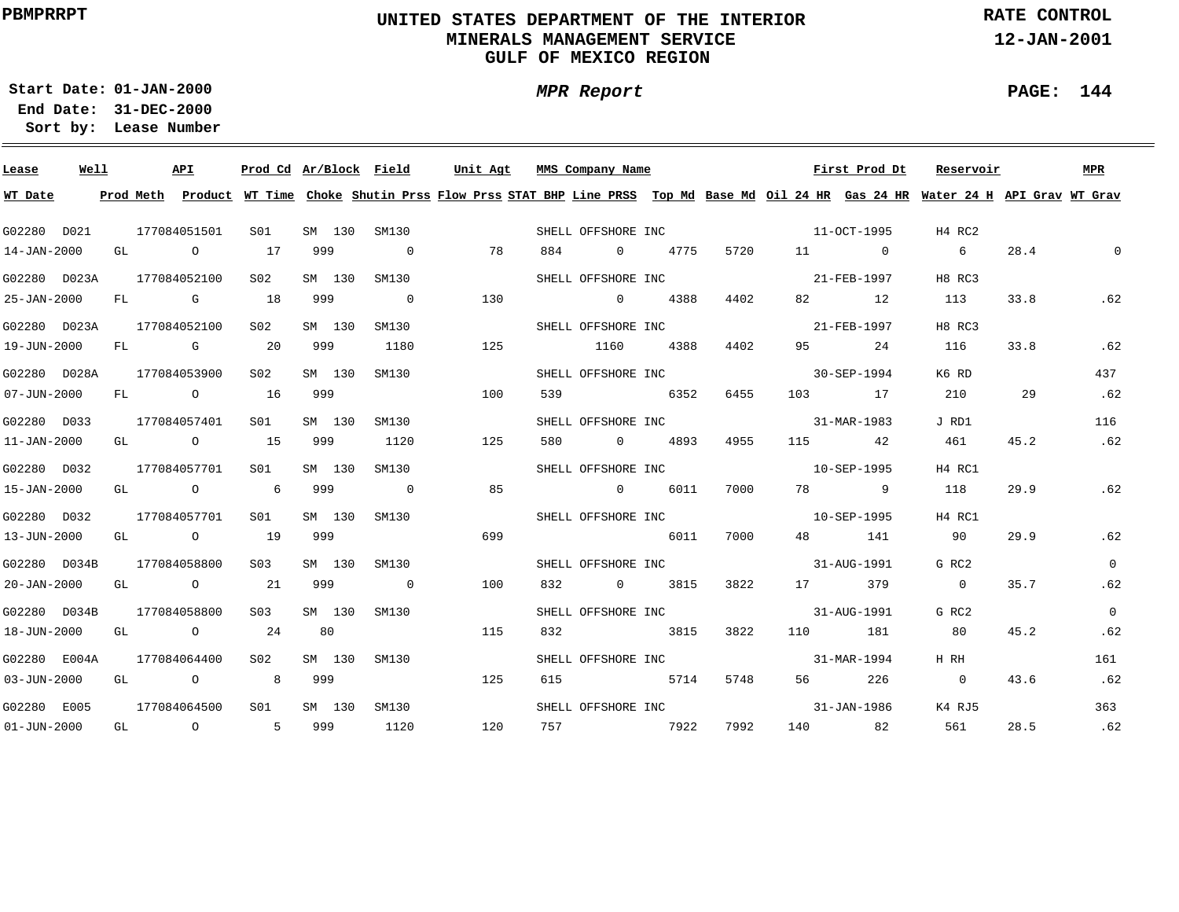### **UNITED STATES DEPARTMENT OF THE INTERIOR MINERALS MANAGEMENT SERVICEGULF OF MEXICO REGION**

**MPR Report**

**RATE CONTROL**

**12-JAN-2001**

÷

**01-JAN-2000Start Date:31-DEC-2000 End Date:** 

**Lease Number Sort by:**

| Lease             | Well |  | API                                   | Prod Cd Ar/Block Field |        |                |     | Unit Agt |     | MMS Company Name   |                                |                   | First Prod Dt | Reservoir                                                                                                                               |          | MPR          |
|-------------------|------|--|---------------------------------------|------------------------|--------|----------------|-----|----------|-----|--------------------|--------------------------------|-------------------|---------------|-----------------------------------------------------------------------------------------------------------------------------------------|----------|--------------|
| WT Date           |      |  |                                       |                        |        |                |     |          |     |                    |                                |                   |               | Prod Meth Product WT Time Choke Shutin Prss Flow Prss STAT BHP Line PRSS Top Md Base Md Oil 24 HR Gas 24 HR Water 24 H API Grav WT Grav |          |              |
| G02280 D021       |      |  | 177084051501                          | S01 <b>S</b>           |        | SM 130 SM130   |     |          |     |                    |                                |                   |               | H4 RC2                                                                                                                                  |          |              |
| 14-JAN-2000       |      |  | GL O                                  | 17                     | 999    | $\overline{0}$ |     | 78       | 884 | 0 4775             | 5720                           | 11 0              |               | $6\overline{6}$                                                                                                                         | 28.4     | $\mathbf{0}$ |
|                   |      |  | G02280 D023A 177084052100             | S02                    |        | SM 130 SM130   |     |          |     |                    | SHELL OFFSHORE INC 21-FEB-1997 |                   |               | H8 RC3                                                                                                                                  |          |              |
| 25-JAN-2000       |      |  | FL G 18                               |                        | 999    | $\overline{0}$ |     | 130      |     | $0 \t 4388$        | 4402                           |                   | 82 12         | 113                                                                                                                                     | 33.8     | .62          |
|                   |      |  | G02280 D023A 177084052100             | S <sub>02</sub>        | SM 130 | SM130          |     |          |     | SHELL OFFSHORE INC |                                | 21-FEB-1997       |               | H8 RC3                                                                                                                                  |          |              |
| 19-JUN-2000       |      |  | FL G 20                               |                        | 999    | 1180           |     | 125      |     | 1160 4388          | 4402                           |                   | 95 24         | 116                                                                                                                                     | 33.8     | .62          |
|                   |      |  | G02280 D028A 177084053900             | S <sub>02</sub>        | SM 130 | SM130          |     |          |     |                    | SHELL OFFSHORE INC             | $30 - SEP - 1994$ |               | K6 RD                                                                                                                                   |          | 437          |
| $07 - JUN - 2000$ |      |  | FL 0 16                               |                        | 999    |                |     | 100      |     | 539 6352           | 6455                           | 103 17            |               | 210                                                                                                                                     | 29       | .62          |
| G02280 D033       |      |  | 177084057401                          | S01 <b>S</b>           |        | SM 130 SM130   |     |          |     | SHELL OFFSHORE INC |                                |                   | 31-MAR-1983   | J RD1                                                                                                                                   |          | 116          |
| $11 - JAN - 2000$ |      |  | GL $\qquad \qquad 0 \qquad \qquad 15$ |                        |        | 999 1120       |     | 125      |     | 580 0 4893         | 4955                           | 115 42            |               | 461                                                                                                                                     | 45.2     | .62          |
| G02280 D032       |      |  | 177084057701 S01                      |                        | SM 130 | SM130          |     |          |     |                    | SHELL OFFSHORE INC             | 10-SEP-1995       |               | H4 RC1                                                                                                                                  |          |              |
| 15-JAN-2000       |      |  | $GL$ 0 6                              |                        | 999    | $\overline{0}$ | 85  |          |     | 0 6011             | 7000                           | 78 9              |               | 118                                                                                                                                     | 29.9     | .62          |
| G02280 D032       |      |  | 177084057701                          | S01                    |        | SM 130 SM130   |     |          |     |                    | SHELL OFFSHORE INC 10-SEP-1995 |                   |               | H4 RC1                                                                                                                                  |          |              |
| 13-JUN-2000       |      |  | GL 0 19                               |                        | 999    |                |     | 699      |     | 6011               | 7000                           |                   | 48 141        | 90                                                                                                                                      | 29.9     | .62          |
| G02280 D034B      |      |  | 177084058800                          | S <sub>03</sub>        |        | SM 130 SM130   |     |          |     |                    | SHELL OFFSHORE INC 31-AUG-1991 |                   |               | G RC2                                                                                                                                   |          | $\Omega$     |
|                   |      |  | 20-JAN-2000 GL 0 21 999 0             |                        |        |                |     | 100      |     |                    | 832 0 3815 3822                | 17 379            |               | $\overline{0}$                                                                                                                          | 35.7     | .62          |
| G02280 D034B      |      |  | 177084058800                          | S <sub>03</sub>        |        | SM 130 SM130   |     |          |     |                    | SHELL OFFSHORE INC 31-AUG-1991 |                   |               | G RC2                                                                                                                                   |          | $\Omega$     |
| 18-JUN-2000       |      |  | GL 0 24 80                            |                        |        |                |     | 115      |     | 832 3815           | 3822                           | 110 181           |               | 80                                                                                                                                      | 45.2     | .62          |
| G02280 E004A      |      |  | 177084064400                          | S <sub>02</sub>        |        | SM 130 SM130   |     |          |     | SHELL OFFSHORE INC |                                | 31-MAR-1994       |               | H RH                                                                                                                                    |          | 161          |
| $03 - JUN - 2000$ |      |  | GL 0 8 999                            |                        |        |                |     | 125      | 615 | 5714               | 5748                           |                   | 56 226        | $\sim$ 0                                                                                                                                | 43.6     | .62          |
| G02280 E005       |      |  | 177084064500                          | S01 <b>S</b>           |        | SM 130 SM130   |     |          |     | SHELL OFFSHORE INC |                                |                   | 31-JAN-1986   | K4 RJ5                                                                                                                                  |          | 363          |
| 01-JUN-2000       |      |  | GL 0 5 999 1120                       |                        |        |                | 120 |          |     | 757 7922           | 7992                           |                   | 140 82        | 561                                                                                                                                     | 28.5 .62 |              |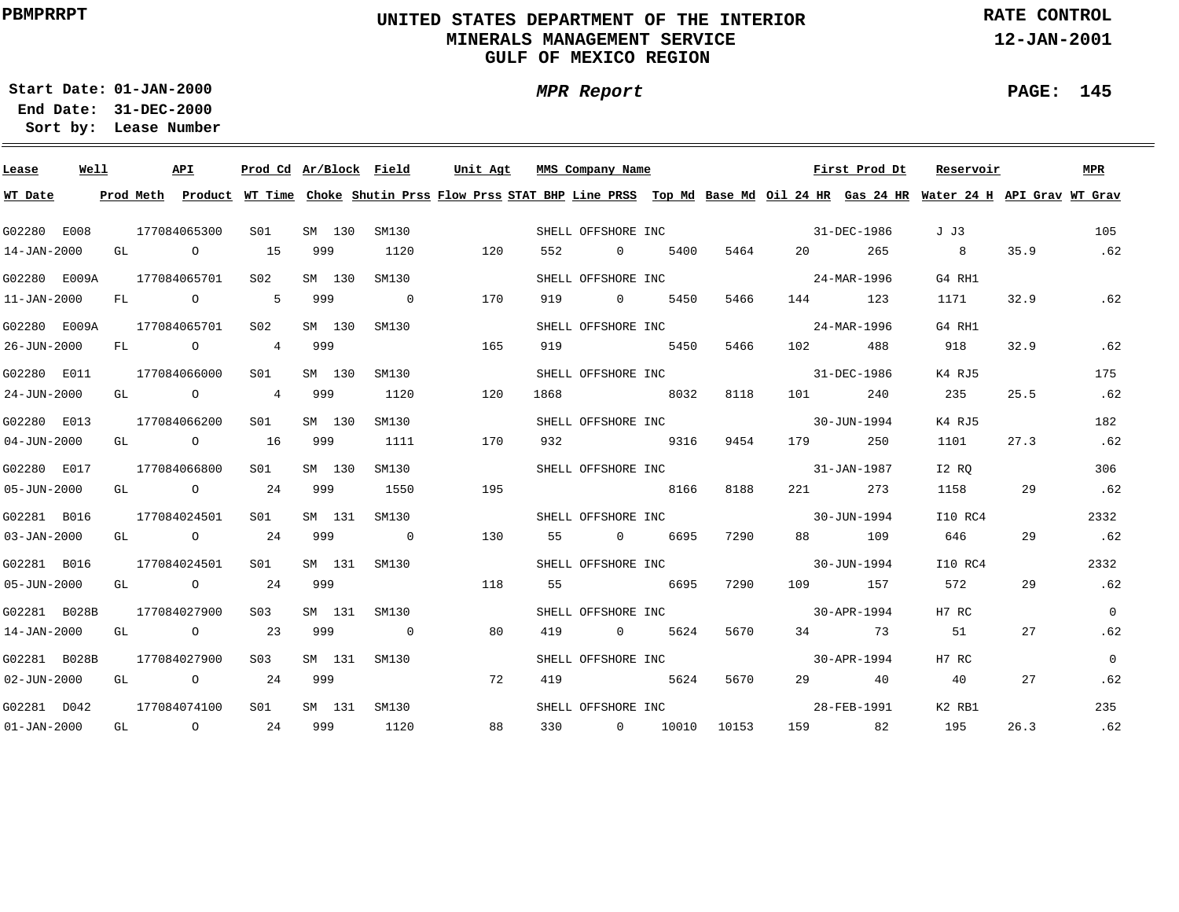## **UNITED STATES DEPARTMENT OF THE INTERIOR MINERALS MANAGEMENT SERVICEGULF OF MEXICO REGION**

**MPR Report**

**RATE CONTROL**

**12-JAN-2001**

**01-JAN-2000Start Date:**

**31-DEC-2000 End Date: Lease Number Sort by:**

| Lease             | Well |  | API                                   | Prod Cd Ar/Block Field |        |        |                | Unit Agt |      |     | MMS Company Name   |                    |                   |                                | First Prod Dt | Reservoir                                                                                                                               |      | MPR            |
|-------------------|------|--|---------------------------------------|------------------------|--------|--------|----------------|----------|------|-----|--------------------|--------------------|-------------------|--------------------------------|---------------|-----------------------------------------------------------------------------------------------------------------------------------------|------|----------------|
| WT Date           |      |  |                                       |                        |        |        |                |          |      |     |                    |                    |                   |                                |               | Prod Meth Product WT Time Choke Shutin Prss Flow Prss STAT BHP Line PRSS Top Md Base Md Oil 24 HR Gas 24 HR Water 24 H API Grav WT Grav |      |                |
| G02280 E008       |      |  | 177084065300                          | SO1                    |        | SM 130 | SM130          |          |      |     |                    |                    |                   | SHELL OFFSHORE INC 31-DEC-1986 |               | J J3                                                                                                                                    |      | 105            |
| 14-JAN-2000       |      |  | GL O                                  | 15                     | 999    |        | 1120           | 120      |      | 552 | $\overline{0}$     | 5400               | 5464              | 20                             | 265           | 8 <sup>1</sup>                                                                                                                          | 35.9 | .62            |
| G02280 E009A      |      |  | 177084065701                          | S <sub>02</sub>        |        | SM 130 | SM130          |          |      |     |                    |                    |                   | SHELL OFFSHORE INC 24-MAR-1996 |               | G4 RH1                                                                                                                                  |      |                |
| $11 - JAN - 2000$ |      |  | FL 0 5                                |                        | 999    |        | $\overline{0}$ | 170      |      | 919 |                    | 0 5450             | 5466              |                                | 144 123       | 1171                                                                                                                                    | 32.9 | .62            |
| G02280 E009A      |      |  | 177084065701                          | S02                    |        | SM 130 | SM130          |          |      |     |                    | SHELL OFFSHORE INC |                   | $24 - \text{MAR} - 1996$       |               | G4 RH1                                                                                                                                  |      |                |
| 26-JUN-2000       |      |  |                                       | FL 0 4 999             |        |        |                | 165      |      | 919 |                    | 5450               | 5466              | 102 200                        | 488           | 918                                                                                                                                     | 32.9 | .62            |
| G02280 E011       |      |  | 177084066000                          | S01 <b>S</b>           |        | SM 130 | SM130          |          |      |     |                    | SHELL OFFSHORE INC |                   | 31-DEC-1986                    |               | K4 RJ5                                                                                                                                  |      | 175            |
| 24-JUN-2000       |      |  |                                       | GL 0 4 999             |        |        | 1120           | 120      | 1868 |     |                    | 8032               | 8118              |                                | 101 240       | 235                                                                                                                                     | 25.5 | .62            |
| G02280 E013       |      |  | 177084066200                          | S01                    |        | SM 130 | SM130          |          |      |     |                    |                    |                   | SHELL OFFSHORE INC 30-JUN-1994 |               | K4 RJ5                                                                                                                                  |      | 182            |
| 04-JUN-2000       |      |  | GL 0 16                               |                        | 999    |        | 1111           | 170      |      | 932 |                    | 9316               | 9454              |                                | 179 250       | 1101                                                                                                                                    | 27.3 | .62            |
| G02280 E017       |      |  | 177084066800                          | S01                    |        | SM 130 | SM130          |          |      |     |                    |                    |                   | SHELL OFFSHORE INC 31-JAN-1987 |               | I2 RO                                                                                                                                   |      | 306            |
| 05-JUN-2000       |      |  | GL $\qquad \qquad \circ$ 24           |                        | 999    |        | 1550           | 195      |      |     |                    | 8166               | 8188              |                                | 221 273       | 1158                                                                                                                                    | 29   | .62            |
| G02281 B016       |      |  | 177084024501                          | S01                    | SM 131 |        | SM130          |          |      |     |                    |                    |                   | SHELL OFFSHORE INC 30-JUN-1994 |               | I10 RC4                                                                                                                                 |      | 2332           |
| $03 - JAN - 2000$ |      |  | GL $\qquad \qquad \circ$ 24           |                        |        |        | 999 0          | 130      |      |     |                    | 55 0 6695          | 7290              |                                | 88 109        | 646                                                                                                                                     | 29   | .62            |
| G02281 B016       |      |  | 177084024501                          | S01                    |        | SM 131 | SM130          |          |      |     |                    |                    |                   | SHELL OFFSHORE INC 30-JUN-1994 |               | I10 RC4                                                                                                                                 |      | 2332           |
| 05-JUN-2000       |      |  | GL $\qquad \qquad \circ$ 24           |                        | 999    |        |                | 118      |      | 55  |                    | 6695               | 7290              |                                | 109 157       | 572                                                                                                                                     | 29   | .62            |
| G02281 B028B      |      |  | 177084027900                          | S <sub>03</sub>        |        | SM 131 | SM130          |          |      |     |                    | SHELL OFFSHORE INC |                   | $30 - APR - 1994$              |               | H7 RC                                                                                                                                   |      | $\overline{0}$ |
| $14 - JAN - 2000$ |      |  | GL $\qquad \qquad 0 \qquad \qquad 23$ |                        | 999    |        | $\sim$ 0       | 80       |      | 419 |                    | 0 5624             | 5670              |                                | 34 73         | 51                                                                                                                                      | 27   | .62            |
| G02281 B028B      |      |  | 177084027900                          | S03                    |        | SM 131 | SM130          |          |      |     | SHELL OFFSHORE INC |                    |                   |                                | 30-APR-1994   | H7 RC                                                                                                                                   |      | $\overline{0}$ |
| $02 - JUN - 2000$ |      |  | GL $\qquad \qquad$ 0 24               |                        | 999    |        |                | 72       |      | 419 |                    | 5624               | 5670              |                                | 29 40         | 40                                                                                                                                      | 27   | .62            |
| G02281 D042       |      |  | 177084074100                          | S <sub>01</sub>        |        |        | SM 131 SM130   |          |      |     | SHELL OFFSHORE INC |                    |                   | 28-FEB-1991                    |               | K2 RB1                                                                                                                                  |      | 235            |
| $01 - JAN - 2000$ |      |  | $GL$ 0 24                             |                        |        |        | 999 1120       | 88       |      |     |                    |                    | 330 0 10010 10153 |                                | 159 82        | 195                                                                                                                                     | 26.3 | .62            |

**PAGE: 145**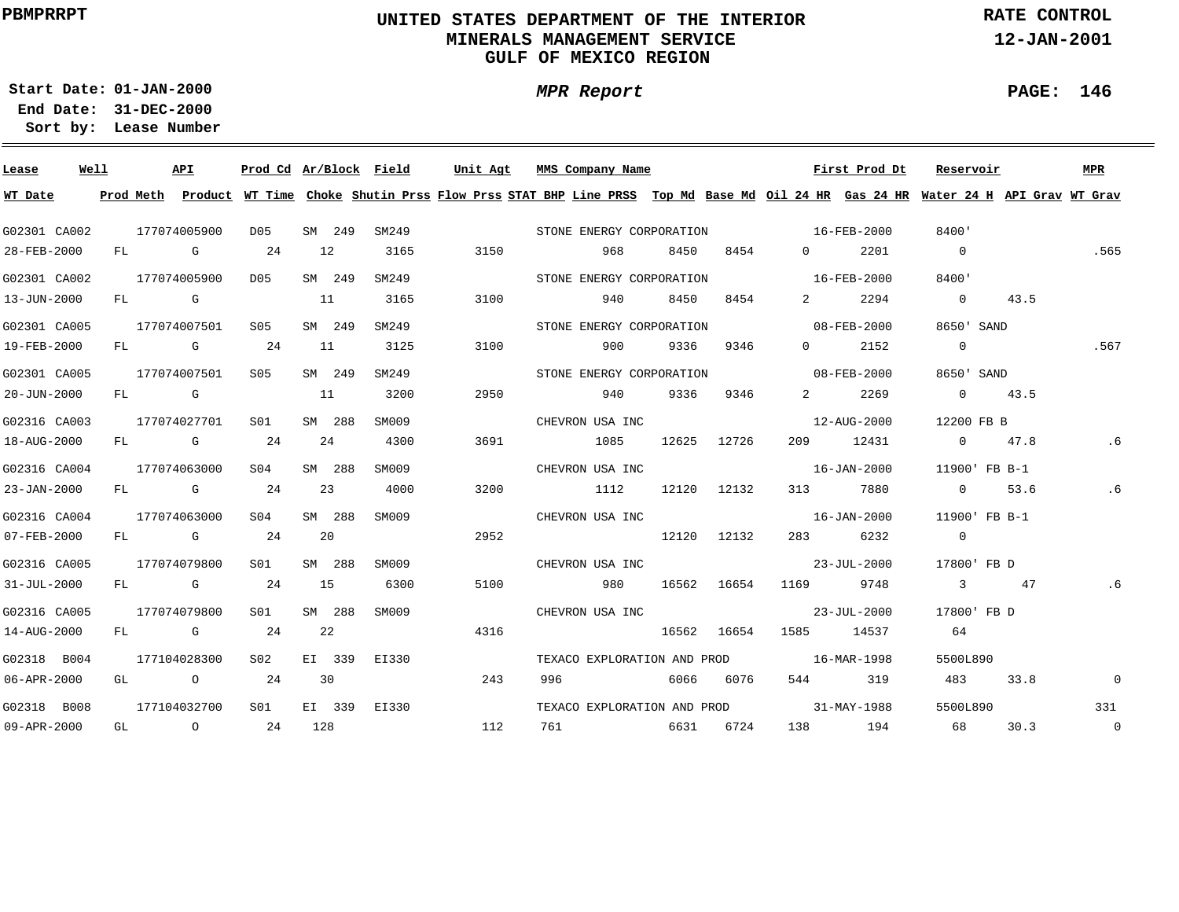### **UNITED STATES DEPARTMENT OF THE INTERIOR MINERALS MANAGEMENT SERVICEGULF OF MEXICO REGION**

**RATE CONTROL**

**12-JAN-2001**

**01-JAN-2000Start Date:31-DEC-2000 End Date:** 

**Lease Number Sort by:**

| Lease        | Well |    | API          | Prod Cd Ar/Block Field |     |        |       | Unit Agt |      | MMS Company Name                                                                                                                        |       |       |             |                                   | First Prod Dt     | Reservoir                |               | <b>MPR</b>     |
|--------------|------|----|--------------|------------------------|-----|--------|-------|----------|------|-----------------------------------------------------------------------------------------------------------------------------------------|-------|-------|-------------|-----------------------------------|-------------------|--------------------------|---------------|----------------|
| WT Date      |      |    |              |                        |     |        |       |          |      | Prod Meth Product WT Time Choke Shutin Prss Flow Prss STAT BHP Line PRSS Top Md Base Md Oil 24 HR Gas 24 HR Water 24 H API Grav WT Grav |       |       |             |                                   |                   |                          |               |                |
| G02301 CA002 |      |    | 177074005900 | D05                    |     | SM 249 | SM249 |          |      | STONE ENERGY CORPORATION                                                                                                                |       |       |             | $16 - FEB - 2000$                 |                   | 8400'                    |               |                |
| 28-FEB-2000  |      |    | FL G         | 24                     | 12  |        | 3165  |          | 3150 | 968                                                                                                                                     |       | 8450  | 8454        | $0 \qquad \qquad$                 | 2201              | $\overline{0}$           |               | .565           |
| G02301 CA002 |      |    | 177074005900 | D05                    |     | SM 249 | SM249 |          |      | STONE ENERGY CORPORATION                                                                                                                |       |       |             | $16 - FEB - 2000$                 |                   | 8400'                    |               |                |
| 13-JUN-2000  |      |    | FL G         |                        | 11  |        | 3165  |          | 3100 | 940                                                                                                                                     |       | 8450  | 8454        | $\mathbf{2}$                      | 2294              | $\overline{\phantom{0}}$ | 43.5          |                |
| G02301 CA005 |      |    | 177074007501 | S05                    |     | SM 249 | SM249 |          |      | STONE ENERGY CORPORATION                                                                                                                |       |       |             | $08 - FEB - 2000$                 |                   | 8650' SAND               |               |                |
| 19-FEB-2000  |      |    | FL G         | 24                     | 11  |        | 3125  |          | 3100 | 900                                                                                                                                     |       | 9336  | 9346        | $\Omega$                          | 2152              | $\overline{0}$           |               | .567           |
| G02301 CA005 |      |    | 177074007501 | S05                    |     | SM 249 | SM249 |          |      | STONE ENERGY CORPORATION                                                                                                                |       |       |             |                                   | 08-FEB-2000       | 8650' SAND               |               |                |
| 20-JUN-2000  |      |    | FL G         |                        | 11  |        | 3200  |          | 2950 | 940                                                                                                                                     |       | 9336  | 9346        | $\overline{2}$ and $\overline{2}$ | 2269              |                          | $0 \t 43.5$   |                |
| G02316 CA003 |      |    | 177074027701 | S01                    |     | SM 288 | SM009 |          |      | CHEVRON USA INC                                                                                                                         |       |       |             |                                   | 12-AUG-2000       | 12200 FB B               |               |                |
| 18-AUG-2000  |      |    | FL G         | 24                     | 24  |        | 4300  |          | 3691 | 1085                                                                                                                                    |       | 12625 | 12726       |                                   | 209 12431         |                          | 0 $47.8$      | . 6            |
| G02316 CA004 |      |    | 177074063000 | SO4                    |     | SM 288 | SM009 |          |      | CHEVRON USA INC                                                                                                                         |       |       |             |                                   | 16-JAN-2000       |                          | 11900' FB B-1 |                |
| 23-JAN-2000  |      |    | FL G         | 24                     |     | 23     | 4000  |          | 3200 | 1112                                                                                                                                    |       |       | 12120 12132 |                                   | 313 7880          | $\overline{0}$           | 53.6          | .6             |
| G02316 CA004 |      |    | 177074063000 | S04                    |     | SM 288 | SM009 |          |      | CHEVRON USA INC                                                                                                                         |       |       |             |                                   | $16 - JAN - 2000$ |                          | 11900' FB B-1 |                |
| 07-FEB-2000  |      |    | FL G         | 24                     |     | 20     |       |          | 2952 |                                                                                                                                         |       |       | 12120 12132 | 283 — 1                           | 6232              | $\overline{0}$           |               |                |
| G02316 CA005 |      |    | 177074079800 | S01                    |     | SM 288 | SM009 |          |      | CHEVRON USA INC                                                                                                                         |       |       |             |                                   | 23-JUL-2000       | 17800' FB D              |               |                |
| 31-JUL-2000  |      |    | FL G         | 24                     | 15  |        | 6300  |          | 5100 |                                                                                                                                         | 980 — |       | 16562 16654 | 1169 11                           | 9748              |                          | 3 47          | .6             |
| G02316 CA005 |      |    | 177074079800 | SO1                    |     | SM 288 | SM009 |          |      | CHEVRON USA INC                                                                                                                         |       |       |             |                                   | 23-JUL-2000       | 17800' FB D              |               |                |
| 14-AUG-2000  |      |    | FL G         | 24                     | 22  |        |       |          | 4316 |                                                                                                                                         |       |       | 16562 16654 |                                   | 1585 14537        | 64                       |               |                |
| G02318 B004  |      |    | 177104028300 | S02                    |     | EI 339 | EI330 |          |      | TEXACO EXPLORATION AND PROD                                                                                                             |       |       |             |                                   | 16-MAR-1998       | 5500L890                 |               |                |
| 06-APR-2000  |      |    | GL O         | 24                     |     | 30     |       |          | 243  | 996                                                                                                                                     |       | 6066  | 6076        | 544 \                             | 319               | 483                      | 33.8          | $\mathbf 0$    |
| G02318 B008  |      |    | 177104032700 | S01                    |     | EI 339 | EI330 |          |      | TEXACO EXPLORATION AND PROD                                                                                                             |       |       |             |                                   | 31-MAY-1988       | 5500L890                 |               | 331            |
| 09-APR-2000  |      | GL | $\circ$ 24   |                        | 128 |        |       |          | 112  |                                                                                                                                         |       | 6631  | 6724        |                                   | 138 194           | 68                       | 30.3          | $\overline{0}$ |

**MPR Report**

#### **PAGE: 146**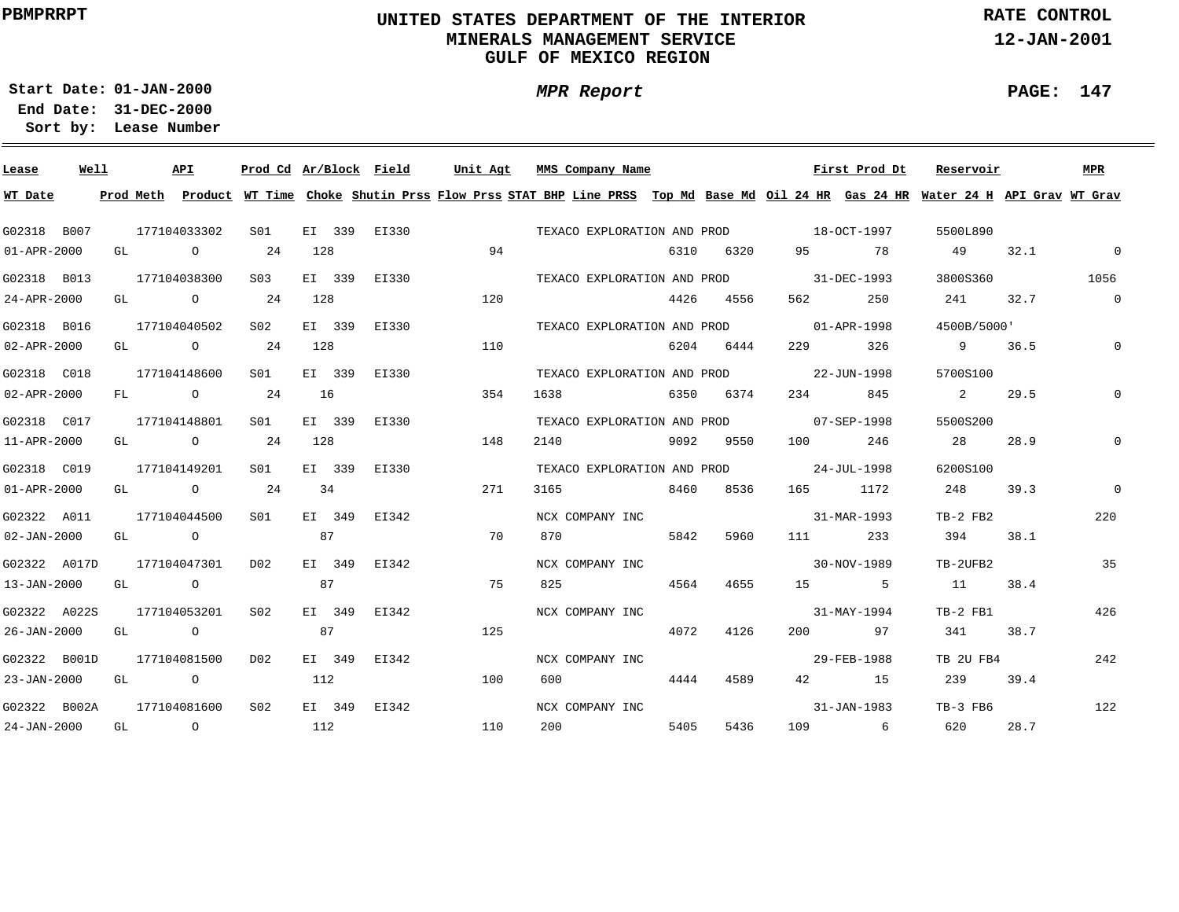## **UNITED STATES DEPARTMENT OF THE INTERIOR MINERALS MANAGEMENT SERVICEGULF OF MEXICO REGION**

**MPR Report**

**RATE CONTROL**

**12-JAN-2001**

**PAGE: 147**

÷

**01-JAN-2000Start Date:31-DEC-2000 End Date:** 

| Lease             | Well |  | API                                   |                 |        |        | Prod Cd Ar/Block Field |     |      | Unit Agt MMS Company Name |      |      |                                         | First Prod Dt     | Reservoir                                                                                                                               |      | MPR            |
|-------------------|------|--|---------------------------------------|-----------------|--------|--------|------------------------|-----|------|---------------------------|------|------|-----------------------------------------|-------------------|-----------------------------------------------------------------------------------------------------------------------------------------|------|----------------|
| WT Date           |      |  |                                       |                 |        |        |                        |     |      |                           |      |      |                                         |                   | Prod Meth Product WT Time Choke Shutin Prss Flow Prss STAT BHP Line PRSS Top Md Base Md Oil 24 HR Gas 24 HR Water 24 H API Grav WT Grav |      |                |
| G02318 B007       |      |  | 177104033302                          | S01             |        |        | EI 339 EI330           |     |      |                           |      |      | TEXACO EXPLORATION AND PROD 18-OCT-1997 |                   | 5500L890                                                                                                                                |      |                |
| $01 - APR - 2000$ |      |  | GL O                                  | 24              | 128    |        |                        | 94  |      |                           | 6310 | 6320 |                                         | 95 78             | 49                                                                                                                                      | 32.1 | $\overline{0}$ |
| G02318 B013       |      |  | 177104038300                          | S <sub>03</sub> | EI 339 |        | EI330                  |     |      |                           |      |      | TEXACO EXPLORATION AND PROD 31-DEC-1993 |                   | 3800S360                                                                                                                                |      | 1056           |
| 24-APR-2000       |      |  | GL $\qquad \qquad 0 \qquad \qquad 24$ |                 | 128    |        |                        | 120 |      |                           | 4426 | 4556 | 562 7                                   | 250               | 241 — 241 — 241 — 241 — 241 — 241 — 242 — 252 — 252 — 252 — 252 — 252 — 252 — 252 — 252 — 252 — 252 — 252 — 25                          | 32.7 | $\overline{0}$ |
| G02318 B016       |      |  | 177104040502                          | S02             | EI 339 |        | EI330                  |     |      |                           |      |      | TEXACO EXPLORATION AND PROD 01-APR-1998 |                   | 4500B/5000'                                                                                                                             |      |                |
| 02-APR-2000       |      |  | GL 0 24                               |                 | 128    |        |                        | 110 |      |                           | 6204 | 6444 | 229                                     | 326               | 9 36.5                                                                                                                                  |      | $\mathbb O$    |
| G02318 C018       |      |  | 177104148600                          | S01             | EI 339 |        | EI330                  |     |      |                           |      |      | TEXACO EXPLORATION AND PROD 22-JUN-1998 |                   | 5700S100                                                                                                                                |      |                |
| 02-APR-2000       |      |  | FL 0 24                               |                 | 16     |        |                        | 354 | 1638 | 6350 6374                 |      |      | 234                                     | 845               | $\mathbf{2}$                                                                                                                            | 29.5 |                |
| G02318 C017       |      |  | 177104148801                          | SO1 SO          | EI 339 |        | EI330                  |     |      |                           |      |      | TEXACO EXPLORATION AND PROD 07-SEP-1998 |                   | 5500S200                                                                                                                                |      |                |
| 11-APR-2000       |      |  | GL $\qquad \qquad 0 \qquad \qquad 24$ |                 | 128    |        |                        | 148 | 2140 | 9092 9550                 |      |      | 100 100                                 | 246               | 28                                                                                                                                      | 28.9 |                |
| G02318 C019       |      |  | 177104149201                          | S <sub>01</sub> | EI 339 |        | EI330                  |     |      |                           |      |      | TEXACO EXPLORATION AND PROD 24-JUL-1998 |                   | 6200S100                                                                                                                                |      |                |
| $01 - APR - 2000$ |      |  | GL $\qquad \qquad$ 0 24               |                 | 34     |        |                        | 271 | 3165 | 8460 8536                 |      |      | 165 1172                                |                   | 248                                                                                                                                     | 39.3 | $\Omega$       |
| G02322 A011       |      |  | 177104044500                          | S <sub>01</sub> | EI 349 |        | EI342                  |     |      | NCX COMPANY INC           |      |      |                                         | 31-MAR-1993       | TB-2 FB2                                                                                                                                |      | 220            |
| $02 - JAN - 2000$ |      |  | GL O                                  |                 | 87     |        |                        | 70  | 870  |                           | 5842 | 5960 | 111 7                                   | 233               | 394                                                                                                                                     | 38.1 |                |
| G02322 A017D      |      |  | 177104047301                          | D02             |        | EI 349 | EI342                  |     |      | NCX COMPANY INC           |      |      |                                         | $30 - NOV - 1989$ | TB-2UFB2                                                                                                                                |      | 35             |
| 13-JAN-2000       |      |  | GL O                                  |                 | 87     |        |                        | 75  | 825  |                           | 4564 | 4655 |                                         | 15 5              | 11                                                                                                                                      | 38.4 |                |
| G02322 A022S      |      |  | 177104053201                          | S02             |        |        | EI 349 EI342           |     |      | NCX COMPANY INC           |      |      |                                         | $31 - MAX - 1994$ | TB-2 FB1                                                                                                                                |      | 426            |
| 26-JAN-2000       |      |  | GL O                                  |                 | 87     |        |                        | 125 |      |                           | 4072 | 4126 |                                         | 200 97            | 341                                                                                                                                     | 38.7 |                |
| G02322 B001D      |      |  | 177104081500                          | D02             | EI 349 |        | EI342                  |     |      | NCX COMPANY INC           |      |      |                                         | 29-FEB-1988       | TB 2U FB4                                                                                                                               |      | 242            |
| 23-JAN-2000       |      |  | GL O                                  |                 | 112    |        |                        | 100 | 600  |                           | 4444 | 4589 |                                         | 42 15             | 239                                                                                                                                     | 39.4 |                |
| G02322 B002A      |      |  | 177104081600                          | S <sub>02</sub> |        |        | EI 349 EI342           |     |      | NCX COMPANY INC           |      |      |                                         | 31-JAN-1983       | TB-3 FB6                                                                                                                                |      | 122            |
| $24 - JAN - 2000$ |      |  | GL O                                  | 112             |        |        |                        | 110 | 200  |                           | 5405 | 5436 |                                         | 109 6             | 620                                                                                                                                     | 28.7 |                |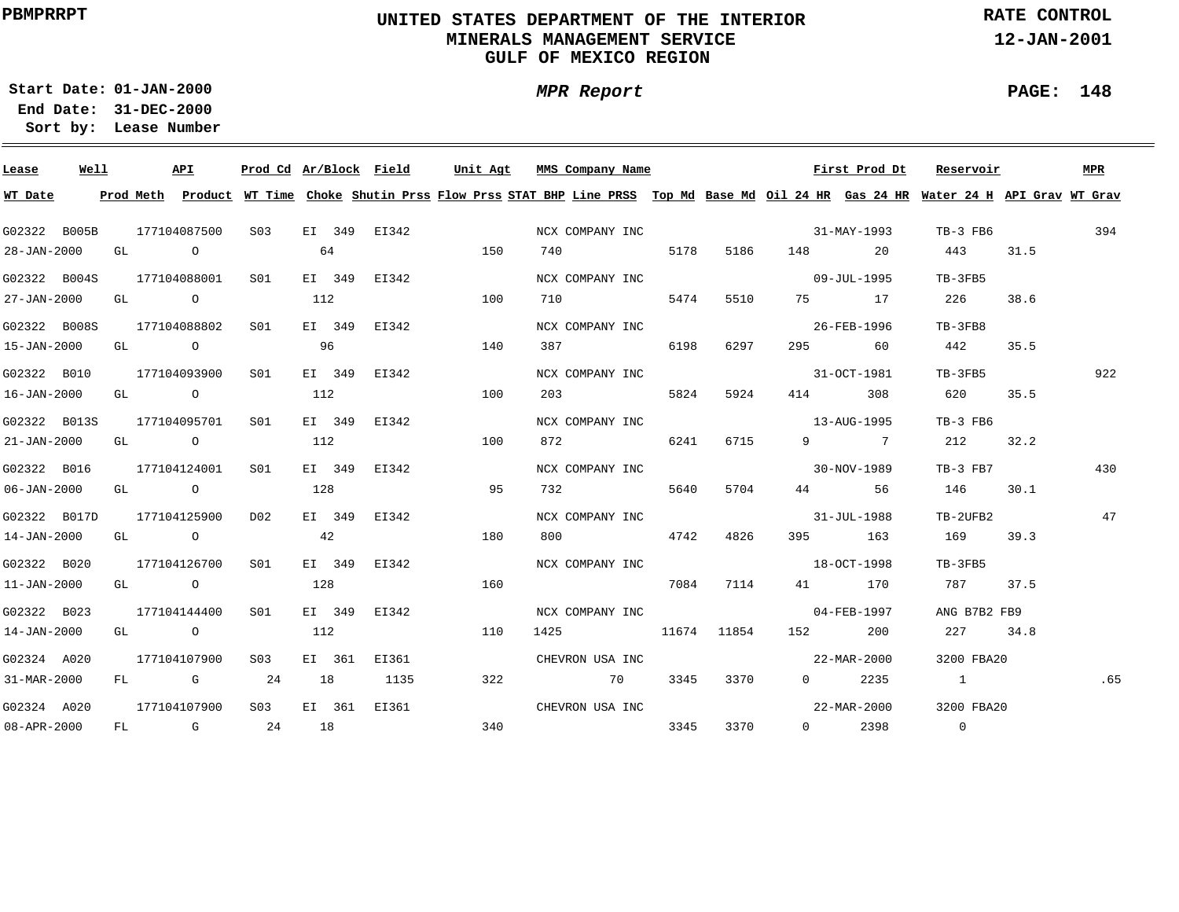### **UNITED STATES DEPARTMENT OF THE INTERIOR MINERALS MANAGEMENT SERVICEGULF OF MEXICO REGION**

**MPR Report**

**RATE CONTROL**

**12-JAN-2001**

**PAGE: 148**

÷

**01-JAN-2000Start Date:31-DEC-2000 End Date:** 

| Lease             | Well |  | API                           |                                            |     | Prod Cd Ar/Block Field | Unit Agt                                   | MMS Company Name                                                                                                                        |      |      |                          | First Prod Dt                       | Reservoir              |      | MPR |
|-------------------|------|--|-------------------------------|--------------------------------------------|-----|------------------------|--------------------------------------------|-----------------------------------------------------------------------------------------------------------------------------------------|------|------|--------------------------|-------------------------------------|------------------------|------|-----|
| WT Date           |      |  |                               |                                            |     |                        |                                            | Prod Meth Product WT Time Choke Shutin Prss Flow Prss STAT BHP Line PRSS Top Md Base Md Oil 24 HR Gas 24 HR Water 24 H API Grav WT Grav |      |      |                          |                                     |                        |      |     |
|                   |      |  |                               |                                            |     |                        | G02322 B005B 177104087500 S03 EI 349 EI342 |                                                                                                                                         |      |      |                          | NCX COMPANY INC 31-MAY-1993         | TB-3 FB6 394           |      |     |
| 28-JAN-2000       |      |  | GL O                          |                                            | 64  |                        | 150                                        |                                                                                                                                         |      |      | 740 5178 5186 148 20     |                                     | 443                    | 31.5 |     |
|                   |      |  | G02322 B004S 177104088001 S01 |                                            |     |                        | EI 349 EI342                               | NCX COMPANY INC                                                                                                                         |      |      |                          | $09 - JUL - 1995$                   | TB-3FB5                |      |     |
|                   |      |  | 27-JAN-2000 GL O              |                                            | 112 |                        | 100                                        | 710 5474                                                                                                                                |      |      | 5510 75 17               |                                     | 226                    | 38.6 |     |
|                   |      |  |                               | G02322 B008S 177104088802 S01 EI 349 EI342 |     |                        |                                            | NCX COMPANY INC                                                                                                                         |      |      |                          | 26-FEB-1996                         | TB-3FB8                |      |     |
| 15-JAN-2000       |      |  | GL O O                        |                                            | 96  |                        | 140                                        | 387 6198                                                                                                                                |      | 6297 |                          | 295 60                              | 442                    | 35.5 |     |
| G02322 B010       |      |  | 177104093900 S01              |                                            |     | EI 349 EI342           |                                            | NCX COMPANY INC                                                                                                                         |      |      |                          | 31-OCT-1981                         | TB-3FB5                |      | 922 |
| 16-JAN-2000       |      |  | GL O O                        |                                            | 112 |                        | 100                                        | 203                                                                                                                                     | 5824 | 5924 |                          | 414 308                             | 620                    | 35.5 |     |
| G02322 B013S      |      |  | 177104095701 S01              |                                            |     | EI 349 EI342           |                                            | NCX COMPANY INC                                                                                                                         |      |      |                          | $13 - \text{AUG} - 1995$            | TB-3 FB6               |      |     |
| $21 - JAN - 2000$ |      |  | GL O                          |                                            | 112 |                        | 100                                        | 872 6241                                                                                                                                |      | 6715 |                          | 9 7                                 | 212                    | 32.2 |     |
| G02322 B016       |      |  | 177104124001                  | S01                                        |     | EI 349 EI342           |                                            | NCX COMPANY INC                                                                                                                         |      |      |                          | $30-NOV-1989$                       | $TB-3$ $FB7$           |      | 430 |
| $06 - JAN - 2000$ |      |  | GL O                          |                                            | 128 |                        | 95                                         |                                                                                                                                         |      |      | 732 5640 5704 44 56      |                                     | 146                    | 30.1 |     |
|                   |      |  | G02322 B017D 177104125900     | D02                                        |     | EI 349 EI342           |                                            | NCX COMPANY INC                                                                                                                         |      |      |                          | $31 - JUL - 1988$                   | TB-2UFB2               |      | 47  |
| 14-JAN-2000       |      |  | GL O                          |                                            | 42  |                        | 180                                        |                                                                                                                                         |      |      | 800 4742 4826 395 163    |                                     | 169                    | 39.3 |     |
| G02322 B020       |      |  | 177104126700                  | S01                                        |     | EI 349 EI342           |                                            |                                                                                                                                         |      |      |                          | NCX COMPANY INC 30 2007 18-OCT-1998 | TB-3FB5                |      |     |
| 11-JAN-2000       |      |  | GL O                          |                                            | 128 |                        | 160                                        |                                                                                                                                         |      |      | 7084 7114 41 170         |                                     | 787 37.5               |      |     |
| G02322 B023       |      |  | 177104144400 SO1              |                                            |     | EI 349 EI342           |                                            | NCX COMPANY INC                                                                                                                         |      |      | $04 - FEB - 1997$        |                                     | ANG B7B2 FB9           |      |     |
| 14-JAN-2000       |      |  | GL O                          |                                            | 112 |                        | 110                                        |                                                                                                                                         |      |      | 1425 11674 11854 152 200 |                                     | 227 34.8               |      |     |
| G02324 A020       |      |  | 177104107900 S03              |                                            |     | EI 361 EI361           |                                            | CHEVRON USA INC                                                                                                                         |      |      |                          | 22-MAR-2000                         | 3200 FBA20             |      |     |
| 31-MAR-2000       |      |  | $FL$ G 24                     |                                            |     | 18 1135                | 322                                        | 70 3345 3370                                                                                                                            |      |      |                          | $0 \t 2235$                         | $\mathbf{1}$           |      | .65 |
| G02324 A020       |      |  |                               |                                            |     |                        | 177104107900 S03 EI 361 EI361              | CHEVRON USA INC                                                                                                                         |      |      |                          |                                     | 22-MAR-2000 3200 FBA20 |      |     |
| 08-APR-2000       |      |  |                               | FL G 24 18                                 |     |                        | 340                                        |                                                                                                                                         |      |      | 3345 3370 0 2398         |                                     | $\overline{0}$         |      |     |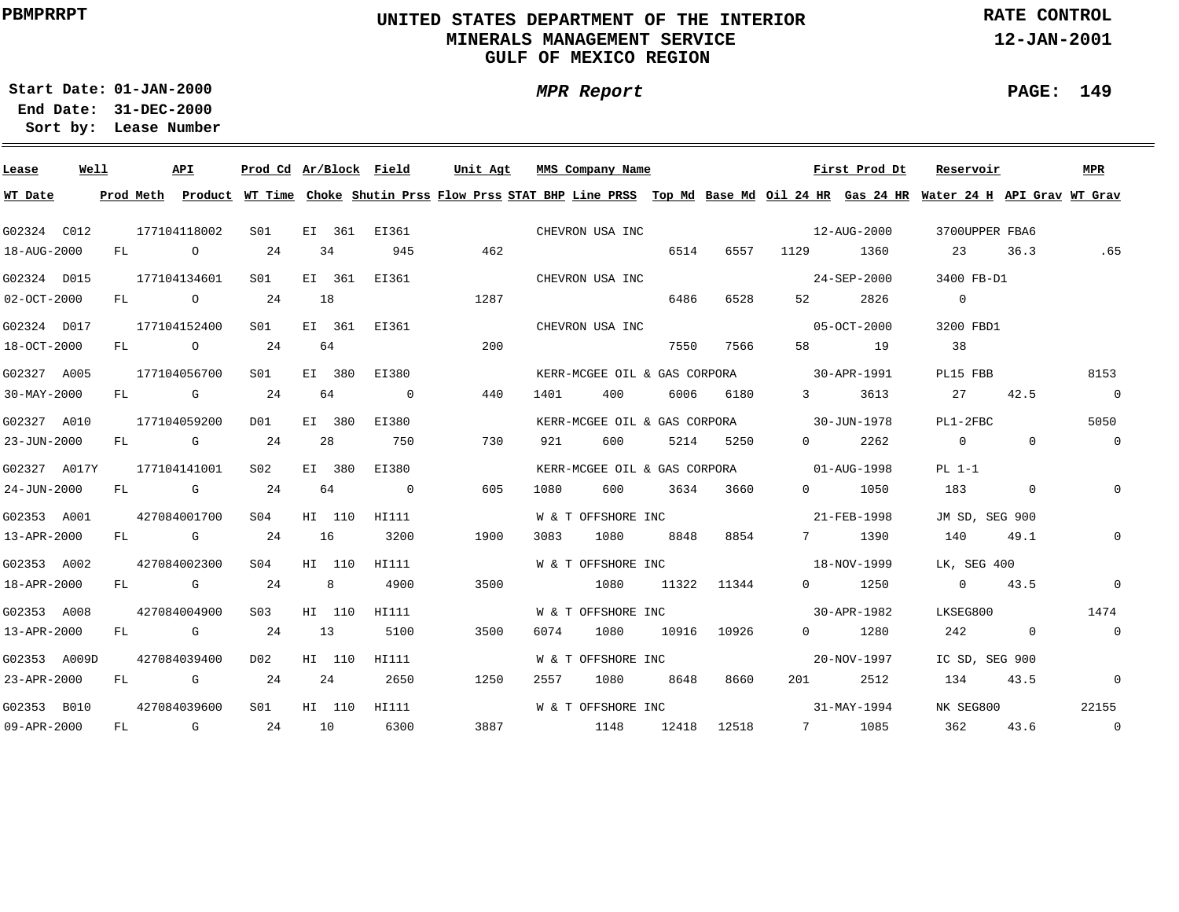### **UNITED STATES DEPARTMENT OF THE INTERIOR MINERALS MANAGEMENT SERVICEGULF OF MEXICO REGION**

**MPR Report**

**RATE CONTROL**

**12-JAN-2001**

**PAGE: 149**

÷

**01-JAN-2000Start Date:31-DEC-2000 End Date:** 

| Lease        | Well |    |           | <b>APT</b>                                                                                                                                                                                                                     | Prod Cd Ar/Block Field |        |                | Unit Agt |      | MMS Company Name             |       |             |                   | First Prod Dt | Reservoir                                                                                                                     |             | MPR            |
|--------------|------|----|-----------|--------------------------------------------------------------------------------------------------------------------------------------------------------------------------------------------------------------------------------|------------------------|--------|----------------|----------|------|------------------------------|-------|-------------|-------------------|---------------|-------------------------------------------------------------------------------------------------------------------------------|-------------|----------------|
| WT Date      |      |    | Prod Meth |                                                                                                                                                                                                                                |                        |        |                |          |      |                              |       |             |                   |               | Product WT Time Choke Shutin Prss Flow Prss STAT BHP Line PRSS Top Md Base Md Oil 24 HR Gas 24 HR Water 24 H API Grav WT Grav |             |                |
| G02324 C012  |      |    |           | 177104118002                                                                                                                                                                                                                   | SO1                    |        | EI 361 EI361   |          |      | CHEVRON USA INC              |       |             |                   | 12-AUG-2000   | 3700UPPER FBA6                                                                                                                |             |                |
| 18-AUG-2000  |      |    | FL O      |                                                                                                                                                                                                                                | 24                     | 34     | 945            | 462      |      |                              | 6514  | 6557        | 1129 11           | 1360          | 23                                                                                                                            | 36.3        | .65            |
| G02324 D015  |      |    |           | 177104134601                                                                                                                                                                                                                   | SO1                    | EI 361 | EI361          |          |      | CHEVRON USA INC              |       |             |                   | 24-SEP-2000   | 3400 FB-D1                                                                                                                    |             |                |
| 02-OCT-2000  |      |    |           | FL O                                                                                                                                                                                                                           | 24                     | 18     |                | 1287     |      |                              | 6486  | 6528        |                   | 2826          | $\overline{0}$                                                                                                                |             |                |
| G02324 D017  |      |    |           | 177104152400                                                                                                                                                                                                                   | S01                    |        | EI 361 EI361   |          |      | CHEVRON USA INC              |       |             |                   | 05-OCT-2000   | 3200 FBD1                                                                                                                     |             |                |
| 18-OCT-2000  |      |    |           | FL O                                                                                                                                                                                                                           | 24                     | 64     |                | 200      |      |                              | 7550  | 7566        |                   | 58 19         | 38                                                                                                                            |             |                |
| G02327 A005  |      |    |           | 177104056700                                                                                                                                                                                                                   | SO1                    | EI 380 | EI380          |          |      | KERR-MCGEE OIL & GAS CORPORA |       |             | $30 - APR - 1991$ |               | PL15 FBB                                                                                                                      |             | 8153           |
| 30-MAY-2000  |      |    |           | FL G                                                                                                                                                                                                                           | 24                     | 64     | $\overline{0}$ | 440      | 1401 | 400                          |       | 6006 6180   | $3 \sim$          | 3613          | 27                                                                                                                            | 42.5        | $\overline{0}$ |
| G02327 A010  |      |    |           | 177104059200                                                                                                                                                                                                                   | DO1                    | EI 380 | EI380          |          |      | KERR-MCGEE OIL & GAS CORPORA |       |             | 30-JUN-1978       |               | PL1-2FBC                                                                                                                      |             | 5050           |
| 23-JUN-2000  |      | FL |           | and the control of the control of the control of the control of the control of the control of the control of the control of the control of the control of the control of the control of the control of the control of the cont | 24                     | 28     | 750            | 730      | 921  | 600                          |       | 5214 5250   | $\overline{0}$    | 2262          | $\overline{0}$                                                                                                                | $\mathbf 0$ | $\overline{0}$ |
| G02327 A017Y |      |    |           | 177104141001                                                                                                                                                                                                                   | S02                    | EI 380 | EI380          |          |      | KERR-MCGEE OIL & GAS CORPORA |       |             |                   | 01-AUG-1998   | $PL 1-1$                                                                                                                      |             |                |
| 24-JUN-2000  |      | FL |           | and the control of the control of the control of the control of the control of the control of the control of the control of the control of the control of the control of the control of the control of the control of the cont | 24                     | 64     | $\overline{0}$ | 605      | 1080 | 600                          | 3634  | 3660        | $0 \qquad \qquad$ | 1050          | 183                                                                                                                           | $\mathbf 0$ | $\mathbf{0}$   |
| G02353 A001  |      |    |           | 427084001700                                                                                                                                                                                                                   | S04                    | HI 110 | HI111          |          |      | W & T OFFSHORE INC           |       |             |                   | 21-FEB-1998   | JM SD, SEG 900                                                                                                                |             |                |
| 13-APR-2000  |      |    |           | FL G                                                                                                                                                                                                                           | 24                     | 16     | 3200           | 1900     | 3083 | 1080                         | 8848  | 8854        | 7                 | 1390          | 140                                                                                                                           | 49.1        | $\overline{0}$ |
| G02353 A002  |      |    |           | 427084002300                                                                                                                                                                                                                   | S04                    | HI 110 | HI111          |          |      | W & T OFFSHORE INC           |       |             |                   | 18-NOV-1999   | LK, SEG 400                                                                                                                   |             |                |
| 18-APR-2000  |      |    |           | FL G                                                                                                                                                                                                                           | 24                     | 8      | 4900           | 3500     |      | 1080                         |       | 11322 11344 |                   | $0 \t 1250$   | $0 \t 43.5$                                                                                                                   |             | $\overline{0}$ |
| G02353 A008  |      |    |           | 427084004900                                                                                                                                                                                                                   | S <sub>03</sub>        | HI 110 | HI111          |          |      | W & T OFFSHORE INC           |       |             | $30 - APR - 1982$ |               | LKSEG800                                                                                                                      |             | 1474           |
| 13-APR-2000  |      |    |           | FL G                                                                                                                                                                                                                           | 24                     | 13     | 5100           | 3500     | 6074 | 1080                         |       | 10916 10926 | $\Omega$          | 1280          | 242                                                                                                                           | $\sim$ 0    | $\overline{0}$ |
| G02353 A009D |      |    |           | 427084039400                                                                                                                                                                                                                   | D02                    | HI 110 | HI111          |          |      | W & T OFFSHORE INC           |       |             |                   | 20-NOV-1997   | IC SD, SEG 900                                                                                                                |             |                |
| 23-APR-2000  |      |    |           | FL G                                                                                                                                                                                                                           | 24                     | 24     | 2650           | 1250     | 2557 | 1080                         | 8648  | 8660        | 201               | 2512          | 134                                                                                                                           | 43.5        | $\overline{0}$ |
| G02353 B010  |      |    |           | 427084039600                                                                                                                                                                                                                   | S01                    | HI 110 | HI111          |          |      | W & T OFFSHORE INC           |       |             |                   | 31-MAY-1994   | NK SEG800                                                                                                                     |             | 22155          |
| 09-APR-2000  |      | FL |           | $\mathbb G$                                                                                                                                                                                                                    | 24                     | 10     | 6300           | 3887     |      | 1148                         | 12418 | 12518       |                   | 7 1085        | 362                                                                                                                           | 43.6        | $\overline{0}$ |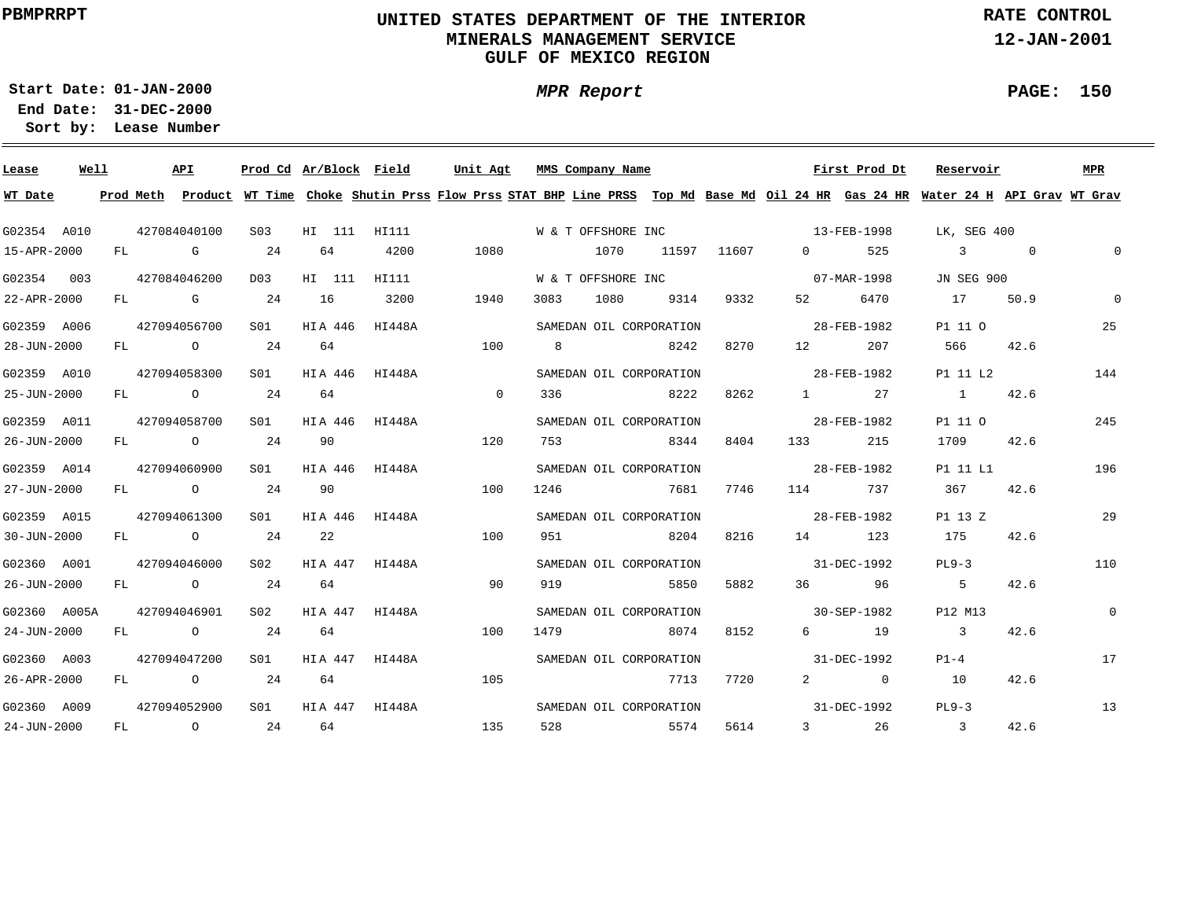### **UNITED STATES DEPARTMENT OF THE INTERIOR MINERALS MANAGEMENT SERVICEGULF OF MEXICO REGION**

**RATE CONTROL**

**12-JAN-2001**

**01-JAN-2000Start Date:31-DEC-2000 End Date:** 

**Lease Number Sort by:**

| Lease        | Well |    |          | <b>API</b>     |                 | Prod Cd Ar/Block Field |        | Unit Agt                                                                                                                                |                    | MMS Company Name   |                         |       |                          | First Prod Dt | Reservoir      |                | MPR          |
|--------------|------|----|----------|----------------|-----------------|------------------------|--------|-----------------------------------------------------------------------------------------------------------------------------------------|--------------------|--------------------|-------------------------|-------|--------------------------|---------------|----------------|----------------|--------------|
| WT Date      |      |    |          |                |                 |                        |        | Prod Meth Product WT Time Choke Shutin Prss Flow Prss STAT BHP Line PRSS Top Md Base Md Oil 24 HR Gas 24 HR Water 24 H API Grav WT Grav |                    |                    |                         |       |                          |               |                |                |              |
| G02354 A010  |      |    |          | 427084040100   | S <sub>03</sub> | HI 111                 | HI111  |                                                                                                                                         | W & T OFFSHORE INC |                    |                         |       | $13 - FEB - 1998$        |               | LK, SEG 400    |                |              |
| 15-APR-2000  |      | FL | <b>G</b> |                | 24              | 64                     | 4200   | 1080                                                                                                                                    |                    | 1070               | 11597                   | 11607 | $0 \qquad \qquad$        | 525           | $\mathcal{E}$  | $\overline{0}$ | $\mathsf{O}$ |
| G02354 003   |      |    |          | 427084046200   | D03             | HI 111                 | HI111  |                                                                                                                                         |                    | W & T OFFSHORE INC |                         |       | $07 - \text{MAR} - 1998$ |               | JN SEG 900     |                |              |
| 22-APR-2000  |      | FL |          | $\mathbb G$    | 24              | 16                     | 3200   | 1940                                                                                                                                    | 3083               | 1080               | 9314                    | 9332  | 52 and $\overline{52}$   | 6470          | 17             | 50.9           | $\mathbf{0}$ |
| G02359 A006  |      |    |          | 427094056700   | S01             | HIA 446                | HI448A |                                                                                                                                         |                    |                    | SAMEDAN OIL CORPORATION |       | 28-FEB-1982              |               | P1 11 0        |                | 25           |
| 28-JUN-2000  |      | FL |          | $\overline{O}$ | 24              | 64                     |        | 100                                                                                                                                     | 8                  |                    | 8242                    | 8270  | 12 and $\overline{a}$    | 207           | 566            | 42.6           |              |
| G02359 A010  |      |    |          | 427094058300   | SO1             | HIA 446                | HI448A |                                                                                                                                         |                    |                    | SAMEDAN OIL CORPORATION |       |                          | 28-FEB-1982   | P1 11 L2       |                | 144          |
| 25-JUN-2000  |      | FL |          | $\overline{O}$ | 24              | 64                     |        | $\overline{0}$                                                                                                                          | 336                |                    | 8222                    | 8262  | $1 \qquad \qquad$        | 27            | $\sim$ 1       | 42.6           |              |
| G02359 A011  |      |    |          | 427094058700   | S01             | HIA 446                | HI448A |                                                                                                                                         |                    |                    | SAMEDAN OIL CORPORATION |       |                          | 28-FEB-1982   | P1 11 0        |                | 245          |
| 26-JUN-2000  |      | FL |          | $\overline{O}$ | 24              | 90                     |        | 120                                                                                                                                     | 753                |                    | 8344                    | 8404  | 133                      | 215           | 1709           | 42.6           |              |
| G02359 A014  |      |    |          | 427094060900   | S01             | HIA 446                | HI448A |                                                                                                                                         |                    |                    | SAMEDAN OIL CORPORATION |       | 28-FEB-1982              |               | P1 11 L1       |                | 196          |
| 27-JUN-2000  |      |    |          | FL O           | 24              | 90                     |        | 100                                                                                                                                     | 1246               |                    | 7681                    | 7746  | 114                      | 737           | 367            | 42.6           |              |
| G02359 A015  |      |    |          | 427094061300   | S01             | HIA 446                | HI448A |                                                                                                                                         |                    |                    | SAMEDAN OIL CORPORATION |       | $28 - \text{FEB} - 1982$ |               | P1 13 Z        |                | 29           |
| 30-JUN-2000  |      |    |          | FL O           | 24              | 22                     |        | 100                                                                                                                                     | 951                |                    | 8204                    | 8216  | 14 14 15                 | 123           | 175            | 42.6           |              |
| G02360 A001  |      |    |          | 427094046000   | S02             | HIA 447                | HI448A |                                                                                                                                         |                    |                    | SAMEDAN OIL CORPORATION |       | $31 - DEC - 1992$        |               | $PL9-3$        |                | 110          |
| 26-JUN-2000  |      |    |          | $FL$ 0         | 24              | 64                     |        | 90                                                                                                                                      | 919                |                    | 5850                    | 5882  | 36                       | 96            | 5              | 42.6           |              |
| G02360 A005A |      |    |          | 427094046901   | S02             | HIA 447                | HI448A |                                                                                                                                         |                    |                    | SAMEDAN OIL CORPORATION |       | 30-SEP-1982              |               | P12 M13        |                | $\mathbf 0$  |
| 24-JUN-2000  |      | FL |          | $\overline{O}$ | 24              | 64                     |        | 100                                                                                                                                     | 1479               |                    | 8074                    | 8152  | $6 \qquad \qquad$        | 19            | $\overline{3}$ | 42.6           |              |
| G02360 A003  |      |    |          | 427094047200   | S01             | HIA 447                | HI448A |                                                                                                                                         |                    |                    | SAMEDAN OIL CORPORATION |       |                          | 31-DEC-1992   | $P1-4$         |                | 17           |
| 26-APR-2000  |      | FL |          | $\circ$        | 24              | 64                     |        | 105                                                                                                                                     |                    |                    | 7713                    | 7720  |                          | $2 \t 0$      | 10             | 42.6           |              |
| G02360 A009  |      |    |          | 427094052900   | S <sub>01</sub> | HIA 447 HI448A         |        |                                                                                                                                         |                    |                    | SAMEDAN OIL CORPORATION |       |                          | 31-DEC-1992   | $PL9-3$        |                | 13           |
| 24-JUN-2000  |      | FL |          | $\overline{O}$ | 24              | 64                     |        | 135                                                                                                                                     | 528                | 5574               |                         | 5614  |                          | 3 26          | $\sim$ 3       | 42.6           |              |

**PAGE: 150**

 $\overline{\phantom{0}}$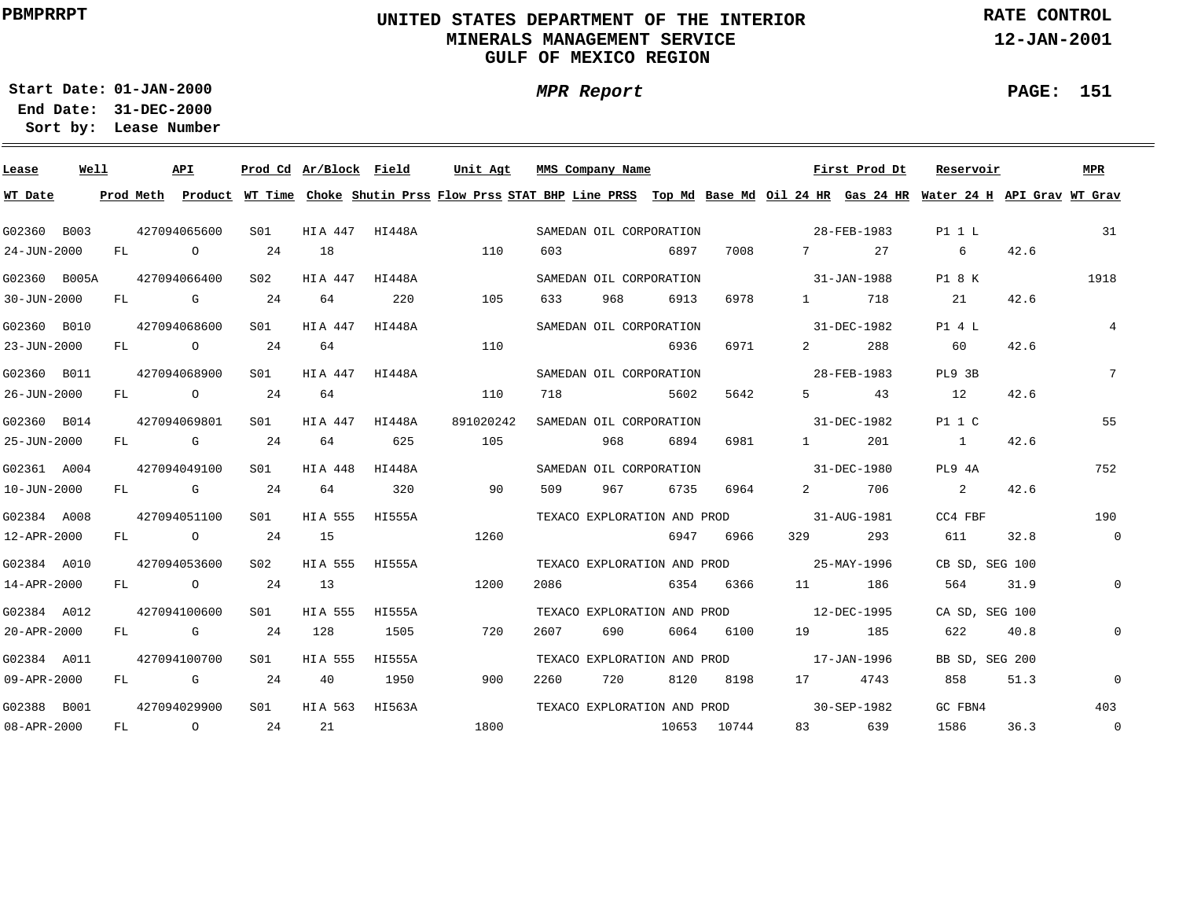### **UNITED STATES DEPARTMENT OF THE INTERIOR MINERALS MANAGEMENT SERVICEGULF OF MEXICO REGION**

**MPR Report**

**RATE CONTROL**

**12-JAN-2001**

**PAGE: 151**

÷

**01-JAN-2000Start Date:31-DEC-2000 End Date:** 

| Lease             | Well |    |      | API            |                 | Prod Cd Ar/Block Field |        | Unit Agt                                                                                                                                |      | MMS Company Name            |      |             |                                   | First Prod Dt | Reservoir      |      | MPR            |
|-------------------|------|----|------|----------------|-----------------|------------------------|--------|-----------------------------------------------------------------------------------------------------------------------------------------|------|-----------------------------|------|-------------|-----------------------------------|---------------|----------------|------|----------------|
| WT Date           |      |    |      |                |                 |                        |        | Prod Meth Product WT Time Choke Shutin Prss Flow Prss STAT BHP Line PRSS Top Md Base Md Oil 24 HR Gas 24 HR Water 24 H API Grav WT Grav |      |                             |      |             |                                   |               |                |      |                |
| G02360 B003       |      |    |      | 427094065600   | S01             | HIA 447 HI448A         |        |                                                                                                                                         |      | SAMEDAN OIL CORPORATION     |      |             | 28-FEB-1983                       |               | P1 1 L         |      | 31             |
| 24-JUN-2000       |      | FL |      | $\circ$        | 24              | 18                     |        | 110                                                                                                                                     | 603  |                             | 6897 | 7008        | 7                                 | 27            | 6              | 42.6 |                |
| G02360 B005A      |      |    |      | 427094066400   | S <sub>02</sub> | HIA 447                | HI448A |                                                                                                                                         |      | SAMEDAN OIL CORPORATION     |      |             | $31 - JAN - 1988$                 |               | P1 8 K         |      | 1918           |
| $30 - JUN - 2000$ |      |    | FL G |                | 24              | 64                     | 220    | 105                                                                                                                                     | 633  | 968                         | 6913 | 6978        | $1 \qquad \qquad$                 | 718           | 21             | 42.6 |                |
| G02360 B010       |      |    |      | 427094068600   | SO1             | HIA 447 HI448A         |        |                                                                                                                                         |      | SAMEDAN OIL CORPORATION     |      |             | 31-DEC-1982                       |               | P1 4 L         |      | $\overline{4}$ |
| 23-JUN-2000       |      | FL |      | $\overline{O}$ | 24              | 64                     |        | 110                                                                                                                                     |      |                             | 6936 | 6971        | $2 \left( \frac{1}{2} \right)$    | 288           | 60             | 42.6 |                |
| G02360 B011       |      |    |      | 427094068900   | SO1             | HIA 447 HI448A         |        |                                                                                                                                         |      | SAMEDAN OIL CORPORATION     |      |             |                                   | 28-FEB-1983   | PL9 3B         |      | $7^{\circ}$    |
| 26-JUN-2000       |      | FL |      | $\overline{O}$ | 24              | 64                     |        | 110                                                                                                                                     | 718  |                             | 5602 | 5642        | $5 \sim$                          | 43            | 12             | 42.6 |                |
| G02360 B014       |      |    |      | 427094069801   | S01             | HIA 447                | HI448A | 891020242                                                                                                                               |      | SAMEDAN OIL CORPORATION     |      |             |                                   | 31-DEC-1982   | P1 1 C         |      | 55             |
| 25-JUN-2000       |      | FL |      | $\mathbf G$    | 24              | 64                     | 625    | 105                                                                                                                                     |      | 968                         | 6894 | 6981        | $1 \qquad \qquad$                 | 201           | $\sim$ 1       | 42.6 |                |
| G02361 A004       |      |    |      | 427094049100   | S01             | HIA 448                | HI448A |                                                                                                                                         |      | SAMEDAN OIL CORPORATION     |      |             | 31-DEC-1980                       |               | PL9 4A         |      | 752            |
| $10 - JUN - 2000$ |      |    |      | FL G           | 24              | 64                     | 320    | 90                                                                                                                                      | 509  | 967                         | 6735 | 6964        | $\overline{2}$ and $\overline{2}$ | 706           | 2              | 42.6 |                |
| G02384 A008       |      |    |      | 427094051100   | S01             | HIA 555                | HI555A |                                                                                                                                         |      | TEXACO EXPLORATION AND PROD |      |             | 31-AUG-1981                       |               | CC4 FBF        |      | 190            |
| 12-APR-2000       |      |    |      | FL O           | 24              | 15                     |        | 1260                                                                                                                                    |      |                             |      | 6947 6966   | 329                               | 293           | 611            | 32.8 | $\overline{0}$ |
| G02384 A010       |      |    |      | 427094053600   | S02             | HIA 555 HI555A         |        |                                                                                                                                         |      | TEXACO EXPLORATION AND PROD |      |             | $25 - MAX - 1996$                 |               | CB SD, SEG 100 |      |                |
| 14-APR-2000       |      |    |      | FL O           | 24              | 13                     |        | 1200                                                                                                                                    | 2086 |                             | 6354 | 6366        |                                   | 186           | 564            | 31.9 | $\mathbf 0$    |
| G02384 A012       |      |    |      | 427094100600   | SO1             | HIA 555                | HI555A |                                                                                                                                         |      | TEXACO EXPLORATION AND PROD |      |             | $12 - DEC - 1995$                 |               | CA SD, SEG 100 |      |                |
| 20-APR-2000       |      |    |      | FL G           | 24              | 128                    | 1505   | 720                                                                                                                                     | 2607 | 690                         | 6064 | 6100        | 19                                | 185           | 622            | 40.8 | $\mathbf 0$    |
| G02384 A011       |      |    |      | 427094100700   | SO1             | HIA 555                | HI555A |                                                                                                                                         |      | TEXACO EXPLORATION AND PROD |      |             | 17-JAN-1996                       |               | BB SD, SEG 200 |      |                |
| 09-APR-2000       |      | FL |      | $\mathbb G$    | 24              | 40                     | 1950   | 900                                                                                                                                     | 2260 | 720                         | 8120 | 8198        |                                   | 4743          | 858            | 51.3 | $\mathbf 0$    |
| G02388 B001       |      |    |      | 427094029900   | S <sub>01</sub> | HIA 563                | HI563A |                                                                                                                                         |      | TEXACO EXPLORATION AND PROD |      |             | $30 - SEP - 1982$                 |               | GC FBN4        |      | 403            |
| 08-APR-2000       |      |    |      | FL O           | 24              | 21                     |        | 1800                                                                                                                                    |      |                             |      | 10653 10744 |                                   | 83 639        | 1586           | 36.3 | $\overline{0}$ |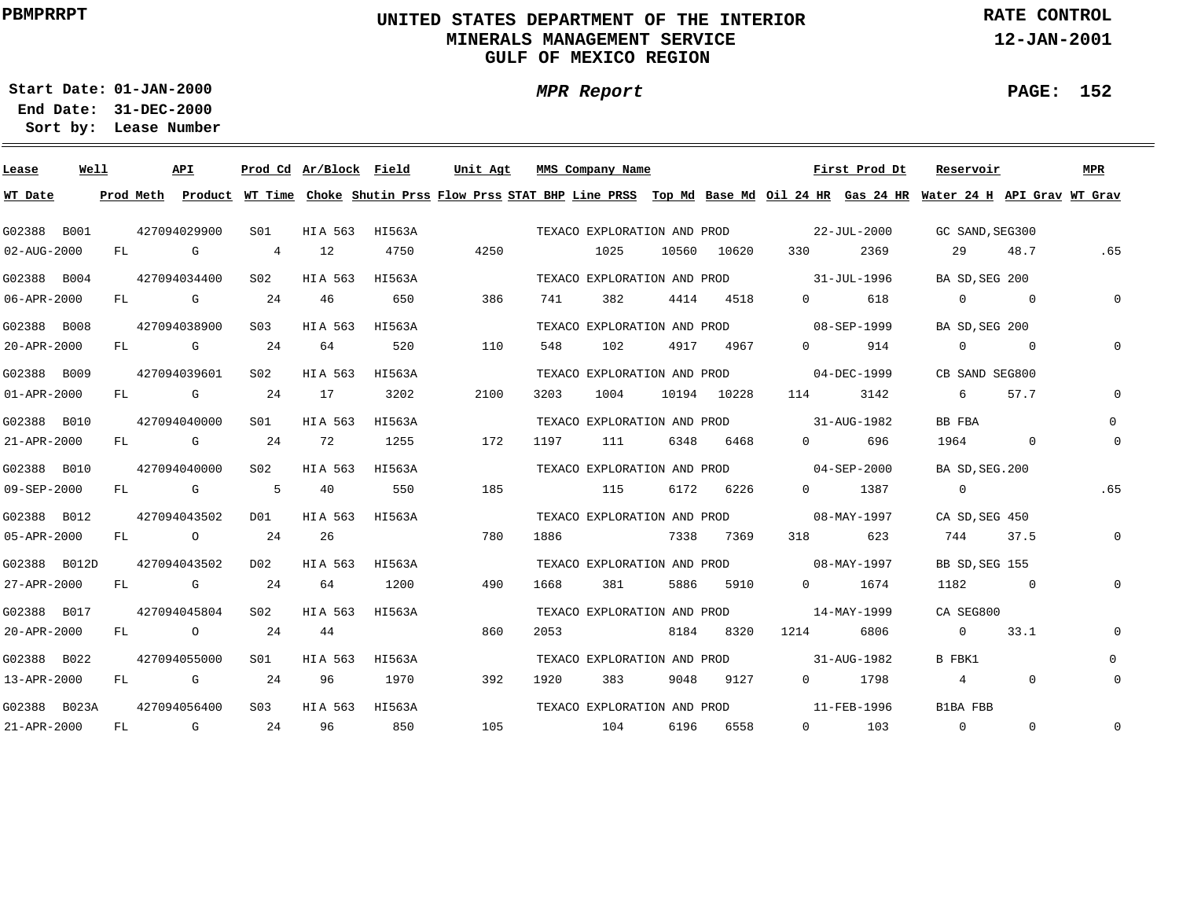### **UNITED STATES DEPARTMENT OF THE INTERIOR MINERALS MANAGEMENT SERVICEGULF OF MEXICO REGION**

**MPR Report**

**RATE CONTROL**

**12-JAN-2001**

**PAGE: 152**

÷

**01-JAN-2000Start Date:**

| Lease             | Well |    |            | API          |                  | Prod Cd Ar/Block Field |        | Unit Agt                                                                                                                                |      | MMS Company Name            |       |             |                          | First Prod Dt     | Reservoir       |                | MPR         |
|-------------------|------|----|------------|--------------|------------------|------------------------|--------|-----------------------------------------------------------------------------------------------------------------------------------------|------|-----------------------------|-------|-------------|--------------------------|-------------------|-----------------|----------------|-------------|
| WT Date           |      |    |            |              |                  |                        |        | Prod Meth Product WT Time Choke Shutin Prss Flow Prss STAT BHP Line PRSS Top Md Base Md Oil 24 HR Gas 24 HR Water 24 H API Grav WT Grav |      |                             |       |             |                          |                   |                 |                |             |
| G02388 B001       |      |    |            | 427094029900 | S01              | HIA 563                | HI563A |                                                                                                                                         |      | TEXACO EXPLORATION AND PROD |       |             |                          | $22 - JUL - 2000$ | GC SAND, SEG300 |                |             |
| $02 - AUG - 2000$ |      | FL |            | G            | 4                | 12                     | 4750   | 4250                                                                                                                                    |      | 1025                        |       | 10560 10620 | 330                      | 2369              | 29              | 48.7           | .65         |
| G02388 B004       |      |    |            | 427094034400 | S <sub>02</sub>  | HIA 563                | HI563A |                                                                                                                                         |      | TEXACO EXPLORATION AND PROD |       |             | 31-JUL-1996              |                   | BA SD, SEG 200  |                |             |
| 06-APR-2000       |      | FL |            | G            | 24               | 46                     | 650    | 386                                                                                                                                     | 741  | 382                         | 4414  | 4518        | $\Omega$                 | 618               | $\Omega$        | $\overline{0}$ | $\Omega$    |
| G02388 B008       |      |    |            | 427094038900 | S <sub>03</sub>  | HIA 563                | HI563A |                                                                                                                                         |      | TEXACO EXPLORATION AND PROD |       |             |                          | 08-SEP-1999       | BA SD, SEG 200  |                |             |
| 20-APR-2000       |      | FL |            | G            | 24               | 64                     | 520    | 110                                                                                                                                     | 548  | 102                         | 4917  | 4967        | $\Omega$                 | 914               | $\Omega$        | $\Omega$       |             |
| G02388 B009       |      |    |            | 427094039601 | S <sub>02</sub>  | HIA 563                | HI563A |                                                                                                                                         |      | TEXACO EXPLORATION AND PROD |       |             |                          | 04-DEC-1999       | CB SAND SEG800  |                |             |
| $01 - APR - 2000$ |      | FL |            | G            | -24              | 17                     | 3202   | 2100                                                                                                                                    | 3203 | 1004                        | 10194 | 10228       | 114                      | 3142              | 6               | 57.7           | $\Omega$    |
| G02388 B010       |      |    |            | 427094040000 | S01              | HIA 563                | HI563A |                                                                                                                                         |      | TEXACO EXPLORATION AND PROD |       |             | $31 - \text{AUG} - 1982$ |                   | BB FBA          |                | $\Omega$    |
| 21-APR-2000       |      | FL |            | $G$ and $G$  | 24               | 72                     | 1255   | 172                                                                                                                                     | 1197 | 111                         | 6348  | 6468        | $\Omega$                 | 696               | 1964            | $\overline{0}$ | 0           |
| G02388 B010       |      |    |            | 427094040000 | S02              | HIA 563                | HI563A |                                                                                                                                         |      | TEXACO EXPLORATION AND PROD |       |             |                          | $04 - SEP - 2000$ | BA SD, SEG. 200 |                |             |
| 09-SEP-2000       |      | FL | <b>G</b> G |              | 5                | 40                     | 550    | 185                                                                                                                                     |      | 115                         | 6172  | 6226        | $\Omega$                 | 1387              | $\overline{0}$  |                | .65         |
| G02388 B012       |      |    |            | 427094043502 | DO1              | HIA 563                | HI563A |                                                                                                                                         |      | TEXACO EXPLORATION AND PROD |       |             | $08 - MAX - 1997$        |                   | CA SD, SEG 450  |                |             |
| 05-APR-2000       |      | FL |            | $\circ$      | 24               | 26                     |        | 780                                                                                                                                     | 1886 |                             | 7338  | 7369        | 318                      | 623               | 744             | 37.5           | 0           |
| G02388 B012D      |      |    |            | 427094043502 | D02              | HIA 563                | HI563A |                                                                                                                                         |      | TEXACO EXPLORATION AND PROD |       |             | $08 - MAX - 1997$        |                   | BB SD, SEG 155  |                |             |
| 27-APR-2000       |      | FL |            | G            | 24               | 64                     | 1200   | 490                                                                                                                                     | 1668 | 381                         | 5886  | 5910        | $0 \qquad \qquad$        | 1674              | 1182            | $\sim$ 0       | 0           |
| G02388 B017       |      |    |            | 427094045804 | S02              | HIA 563                | HI563A |                                                                                                                                         |      | TEXACO EXPLORATION AND PROD |       |             |                          | 14-MAY-1999       | CA SEG800       |                |             |
| 20-APR-2000       |      | FL |            | $\circ$      | 24               | 44                     |        | 860                                                                                                                                     | 2053 |                             | 8184  | 8320        | 1214                     | 6806              | $\overline{0}$  | 33.1           | 0           |
| G02388 B022       |      |    |            | 427094055000 | S01              | HIA 563                | HI563A |                                                                                                                                         |      | TEXACO EXPLORATION AND PROD |       |             |                          | 31-AUG-1982       | B FBK1          |                | $\Omega$    |
| 13-APR-2000       |      | FL |            | G            | -24              | 96                     | 1970   | 392                                                                                                                                     | 1920 | 383                         | 9048  | 9127        | $0 \qquad \qquad$        | 1798              | $4^{\circ}$     | $\mathbf{0}$   | $\mathbf 0$ |
| G02388 B023A      |      |    |            | 427094056400 | S <sub>0.3</sub> | HIA 563                | HI563A |                                                                                                                                         |      | TEXACO EXPLORATION AND PROD |       |             |                          | 11-FEB-1996       | B1BA FBB        |                |             |
| 21-APR-2000       |      | FL |            | G            | 24               | 96                     | 850    | 105                                                                                                                                     |      | 104                         | 6196  | 6558        | $\overline{0}$           | 103               | $\overline{0}$  | $\Omega$       | $\mathbf 0$ |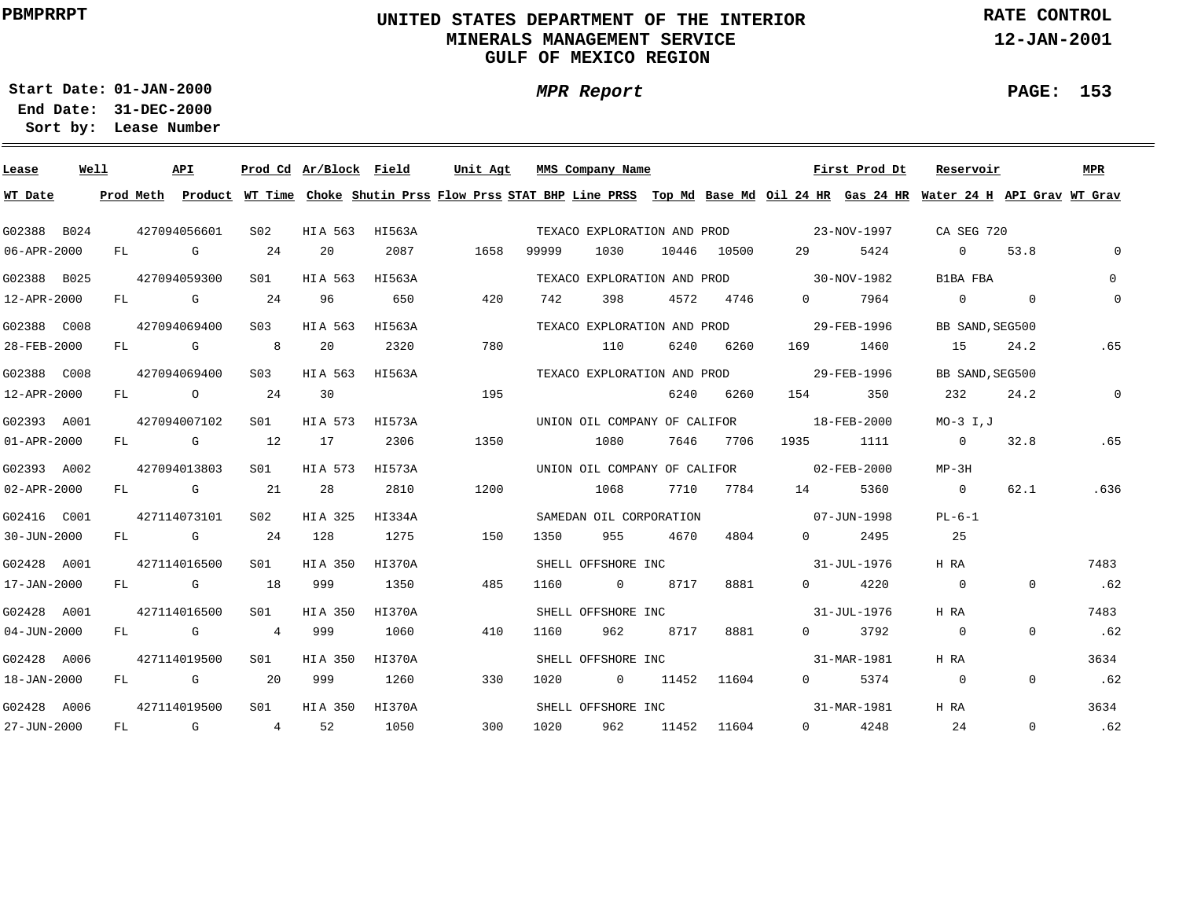### **UNITED STATES DEPARTMENT OF THE INTERIOR MINERALS MANAGEMENT SERVICEGULF OF MEXICO REGION**

**MPR Report**

**RATE CONTROL**

**12-JAN-2001**

**PAGE: 153**

÷

**01-JAN-2000Start Date:**

| Lease             | Well |    |          | API            |                 | Prod Cd Ar/Block Field |        | Unit Agt |       | MMS Company Name             |       |             |                                          | First Prod Dt | Reservoir                                                                                                                               |             | MPR          |
|-------------------|------|----|----------|----------------|-----------------|------------------------|--------|----------|-------|------------------------------|-------|-------------|------------------------------------------|---------------|-----------------------------------------------------------------------------------------------------------------------------------------|-------------|--------------|
| WT Date           |      |    |          |                |                 |                        |        |          |       |                              |       |             |                                          |               | Prod Meth Product WT Time Choke Shutin Prss Flow Prss STAT BHP Line PRSS Top Md Base Md Oil 24 HR Gas 24 HR Water 24 H API Grav WT Grav |             |              |
| G02388 B024       |      |    |          | 427094056601   | S <sub>02</sub> | HIA 563                | HI563A |          |       | TEXACO EXPLORATION AND PROD  |       |             | $23 - NOV - 1997$                        |               | CA SEG 720                                                                                                                              |             |              |
| 06-APR-2000       |      | FL |          | G              | 24              | 20                     | 2087   | 1658     | 99999 | 1030                         |       | 10446 10500 | 29                                       | 5424          | $\overline{0}$                                                                                                                          | 53.8        | $\Omega$     |
| G02388 B025       |      |    |          | 427094059300   | SO1             | HIA 563                | HI563A |          |       | TEXACO EXPLORATION AND PROD  |       |             | $30 - NOV - 1982$                        |               | B1BA FBA                                                                                                                                |             | $\Omega$     |
| 12-APR-2000       |      | FL |          | G              | -24             | 96                     | 650    | 420      | 742   | 398                          | 4572  | 4746        | $\Omega$                                 | 7964          | $\Omega$                                                                                                                                | $\mathbf 0$ | $\mathbf 0$  |
| G02388 C008       |      |    |          | 427094069400   | S <sub>03</sub> | HIA 563                | HI563A |          |       | TEXACO EXPLORATION AND PROD  |       |             |                                          | 29-FEB-1996   | BB SAND, SEG500                                                                                                                         |             |              |
| 28-FEB-2000       |      | FL | <b>G</b> |                | 8               | 20                     | 2320   | 780      |       | 110                          | 6240  | 6260        | 169 —                                    | 1460          | 15                                                                                                                                      | 24.2        | .65          |
| G02388 C008       |      |    |          | 427094069400   | S03             | HIA 563                | HI563A |          |       | TEXACO EXPLORATION AND PROD  |       |             |                                          | 29-FEB-1996   | BB SAND, SEG500                                                                                                                         |             |              |
| 12-APR-2000       |      | FL |          | $\overline{O}$ | 24              | 30                     |        | 195      |       |                              | 6240  | 6260        | 154                                      | 350           | 232                                                                                                                                     | 24.2        | $\mathbf{0}$ |
| G02393 A001       |      |    |          | 427094007102   | SO1             | HIA 573                | HI573A |          |       |                              |       |             | UNION OIL COMPANY OF CALIFOR 18-FEB-2000 |               | $MO-3$ I, $J$                                                                                                                           |             |              |
| $01 - APR - 2000$ |      |    |          | FL G           | 12              | 17                     | 2306   | 1350     |       | 1080                         | 7646  | 7706        | 1935                                     | 1111          | $\sim$ 0                                                                                                                                | 32.8        | .65          |
| G02393 A002       |      |    |          | 427094013803   | SO1             | HIA 573                | HI573A |          |       | UNION OIL COMPANY OF CALIFOR |       |             | $02 - FEB - 2000$                        |               | $MP-3H$                                                                                                                                 |             |              |
| $02 - APR - 2000$ |      |    |          | FL G           | 21              | 28                     | 2810   | 1200     |       | 1068                         | 7710  | 7784        | 14                                       | 5360          | $\overline{0}$                                                                                                                          | 62.1        | .636         |
| G02416 C001       |      |    |          | 427114073101   | S02             | HIA 325                | HI334A |          |       | SAMEDAN OIL CORPORATION      |       |             | $07 - JUN - 1998$                        |               | $PL-6-1$                                                                                                                                |             |              |
| 30-JUN-2000       |      |    |          | FL G           | 24              | 128                    | 1275   | 150      | 1350  | 955                          | 4670  | 4804        | $\Omega$                                 | 2495          | 25                                                                                                                                      |             |              |
| G02428 A001       |      |    |          | 427114016500   | S01             | HIA 350                | HI370A |          |       | SHELL OFFSHORE INC           |       |             |                                          | 31-JUL-1976   | H RA                                                                                                                                    |             | 7483         |
| 17-JAN-2000       |      | FL |          | $G$ and $G$    | 18              | 999                    | 1350   | 485      | 1160  | $\overline{0}$               | 8717  | 8881        | $\Omega$                                 | 4220          | $\mathbf{0}$                                                                                                                            | $\Omega$    | .62          |
| G02428 A001       |      |    |          | 427114016500   | S01             | HIA 350                | HI370A |          |       | SHELL OFFSHORE INC           |       |             |                                          | 31-JUL-1976   | H RA                                                                                                                                    |             | 7483         |
| $04 - JUN - 2000$ |      | FL |          | G              | $4\overline{ }$ | 999                    | 1060   | 410      | 1160  | 962                          | 8717  | 8881        |                                          | $0 \t 3792$   | $\Omega$                                                                                                                                | $\Omega$    | .62          |
| G02428 A006       |      |    |          | 427114019500   | S01             | HIA 350                | HI370A |          |       | SHELL OFFSHORE INC           |       |             |                                          | 31-MAR-1981   | H RA                                                                                                                                    |             | 3634         |
| 18-JAN-2000       |      | FL |          | G              | 20              | 999                    | 1260   | 330      | 1020  | $\overline{0}$               | 11452 | 11604       | $\Omega$                                 | 5374          | $\Omega$                                                                                                                                | $\Omega$    | .62          |
| G02428 A006       |      |    |          | 427114019500   | SO1             | HIA 350                | HI370A |          |       | SHELL OFFSHORE INC           |       |             |                                          | 31-MAR-1981   | H RA                                                                                                                                    |             | 3634         |
| 27-JUN-2000       |      | FL |          | G              | $\overline{4}$  | 52                     | 1050   | 300      | 1020  | 962                          | 11452 | 11604       |                                          | $0 \t 4248$   | 24                                                                                                                                      | $\Omega$    | .62          |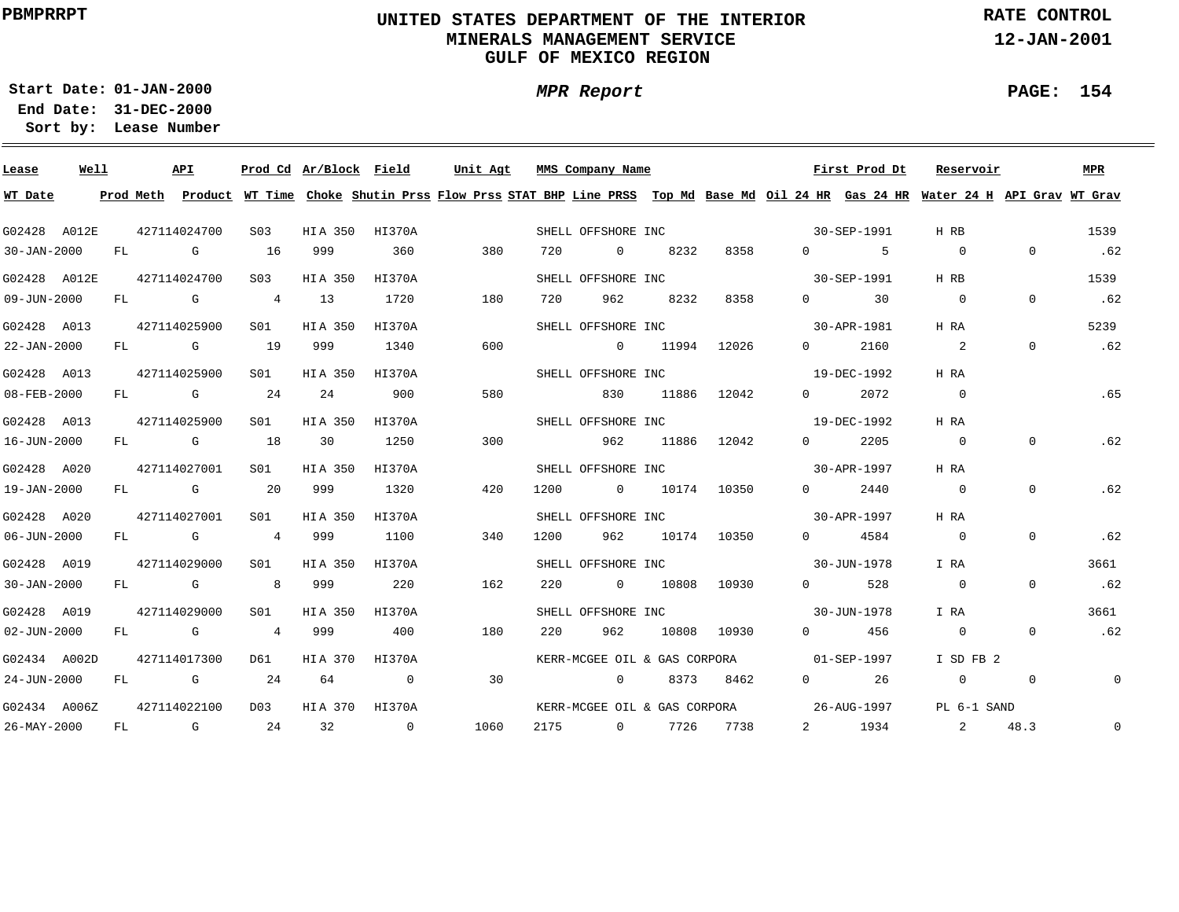### **UNITED STATES DEPARTMENT OF THE INTERIOR MINERALS MANAGEMENT SERVICEGULF OF MEXICO REGION**

**MPR Report**

**RATE CONTROL**

**12-JAN-2001**

**PAGE: 154**

**01-JAN-2000Start Date:31-DEC-2000 End Date:** 

| Lease             | Well |  | API          |                 | Prod Cd Ar/Block Field |        |    | Unit Agt |     | MMS Company Name                         |                 |             |             |                      | First Prod Dt | Reservoir                                                                                                                               |                | MPR            |
|-------------------|------|--|--------------|-----------------|------------------------|--------|----|----------|-----|------------------------------------------|-----------------|-------------|-------------|----------------------|---------------|-----------------------------------------------------------------------------------------------------------------------------------------|----------------|----------------|
| WT Date           |      |  |              |                 |                        |        |    |          |     |                                          |                 |             |             |                      |               | Prod Meth Product WT Time Choke Shutin Prss Flow Prss STAT BHP Line PRSS Top Md Base Md Oil 24 HR Gas 24 HR Water 24 H API Grav WT Grav |                |                |
| G02428 A012E      |      |  | 427114024700 | S <sub>03</sub> | HIA 350 HI370A         |        |    |          |     | SHELL OFFSHORE INC                       |                 |             |             | 30-SEP-1991          |               | H RB                                                                                                                                    |                | 1539           |
| $30 - JAN - 2000$ |      |  | FL G 16 999  |                 |                        | 360    |    | 380      | 720 | 0 8232                                   |                 |             | 8358        | $0 \qquad \qquad 5$  |               | $\overline{0}$                                                                                                                          | $\Omega$       | .62            |
| G02428 A012E      |      |  | 427114024700 | S <sub>03</sub> | HIA 350                | HI370A |    |          |     | SHELL OFFSHORE INC                       |                 |             | 30-SEP-1991 |                      |               | H RB                                                                                                                                    |                | 1539           |
| 09-JUN-2000       |      |  |              |                 | FL G 4 13              | 1720   |    | 180      | 720 |                                          | 962 8232        | 8358        |             | $0 \qquad \qquad$ 30 |               | $\overline{0}$                                                                                                                          | $\overline{0}$ | .62            |
| G02428 A013       |      |  | 427114025900 | S01             | HIA 350                | HI370A |    |          |     | SHELL OFFSHORE INC                       |                 |             | 30-APR-1981 |                      |               | H RA                                                                                                                                    |                | 5239           |
| 22-JAN-2000       |      |  | FL G 19      |                 | 999                    | 1340   |    | 600      |     | $0$ 11994 12026                          |                 |             |             | $0 \qquad \qquad$    | 2160          | $\sim$ 2                                                                                                                                | $\overline{0}$ | .62            |
| G02428 A013       |      |  | 427114025900 | S01             | HIA 350                | HI370A |    |          |     | SHELL OFFSHORE INC 19-DEC-1992           |                 |             |             |                      |               | H RA                                                                                                                                    |                |                |
| 08-FEB-2000       |      |  |              |                 | FL G 24 24             | 900    |    | 580      |     |                                          | 830 11886 12042 |             |             | $0 \t 2072$          |               | $\overline{0}$                                                                                                                          |                | .65            |
| G02428 A013       |      |  | 427114025900 | S01             | HIA 350                | HI370A |    |          |     | SHELL OFFSHORE INC                       |                 |             |             | 19-DEC-1992          |               | H RA                                                                                                                                    |                |                |
| 16-JUN-2000       |      |  | FL G 18      |                 | 30                     | 1250   |    | 300      |     | 962 —                                    | 11886           | 12042       |             | $0 \qquad \qquad$    | 2205          | $\overline{0}$                                                                                                                          | $\overline{0}$ | .62            |
| G02428 A020       |      |  | 427114027001 | S01             | HIA 350                | HI370A |    |          |     | SHELL OFFSHORE INC 30-APR-1997           |                 |             |             |                      |               | H RA                                                                                                                                    |                |                |
| 19-JAN-2000       |      |  | FL G 20      |                 | 999                    | 1320   |    | 420      |     | 1200 0 10174 10350                       |                 |             |             | $0 \t 2440$          |               | $\overline{0}$                                                                                                                          | $\mathbf{0}$   | .62            |
| G02428 A020       |      |  | 427114027001 | S01 <b>S</b>    | HIA 350                | HI370A |    |          |     | SHELL OFFSHORE INC 30-APR-1997           |                 |             |             |                      |               | H RA                                                                                                                                    |                |                |
| 06-JUN-2000       |      |  |              |                 | FL G 4 999             | 1100   |    | 340      |     | 1200 962 10174 10350                     |                 |             |             | 0 4584               |               | $\overline{0}$                                                                                                                          | $\mathbf 0$    | .62            |
| G02428 A019       |      |  | 427114029000 | S01             | HIA 350                | HI370A |    |          |     | SHELL OFFSHORE INC 30-JUN-1978           |                 |             |             |                      |               | I RA                                                                                                                                    |                | 3661           |
| 30-JAN-2000       |      |  |              |                 | FL G 8 999 220         |        |    | 162      | 220 | $0$ 10808 10930                          |                 |             |             | $0$ 528              |               | $\overline{0}$                                                                                                                          | $\overline{0}$ | .62            |
| G02428 A019       |      |  | 427114029000 | S01             | HIA 350 HI370A         |        |    |          |     | SHELL OFFSHORE INC                       |                 |             |             | 30-JUN-1978          |               | I RA                                                                                                                                    |                | 3661           |
| $02 - JUN - 2000$ |      |  |              |                 | FL G 4 999             | 400    |    | 180      | 220 | 962                                      |                 | 10808 10930 |             | $0$ 456              |               | $\overline{0}$                                                                                                                          | $\overline{0}$ | .62            |
| G02434 A002D      |      |  | 427114017300 |                 | D61 HIA 370 HI370A     |        |    |          |     | KERR-MCGEE OIL & GAS CORPORA 01-SEP-1997 |                 |             |             |                      |               | I SD FB 2                                                                                                                               |                |                |
| 24-JUN-2000       |      |  | FL G 24      |                 | 64 0                   |        | 30 |          |     | 0 8373 8462                              |                 |             |             | $0 \qquad \qquad 26$ |               | $\begin{array}{ccc} & & 0 & \quad & 0 \end{array}$                                                                                      |                | $\mathbb O$    |
| G02434 A006Z      |      |  | 427114022100 |                 | D03 HIA 370 HI370A     |        |    |          |     |                                          |                 |             |             |                      |               | KERR-MCGEE OIL & GAS CORPORA 26-AUG-1997 PL 6-1 SAND                                                                                    |                |                |
| 26-MAY-2000       |      |  |              |                 | FL G 24 32 0           |        |    | 1060     |     | 2175 0 7726 7738                         |                 |             |             | 2 1934               |               | 2 48.3                                                                                                                                  |                | $\overline{0}$ |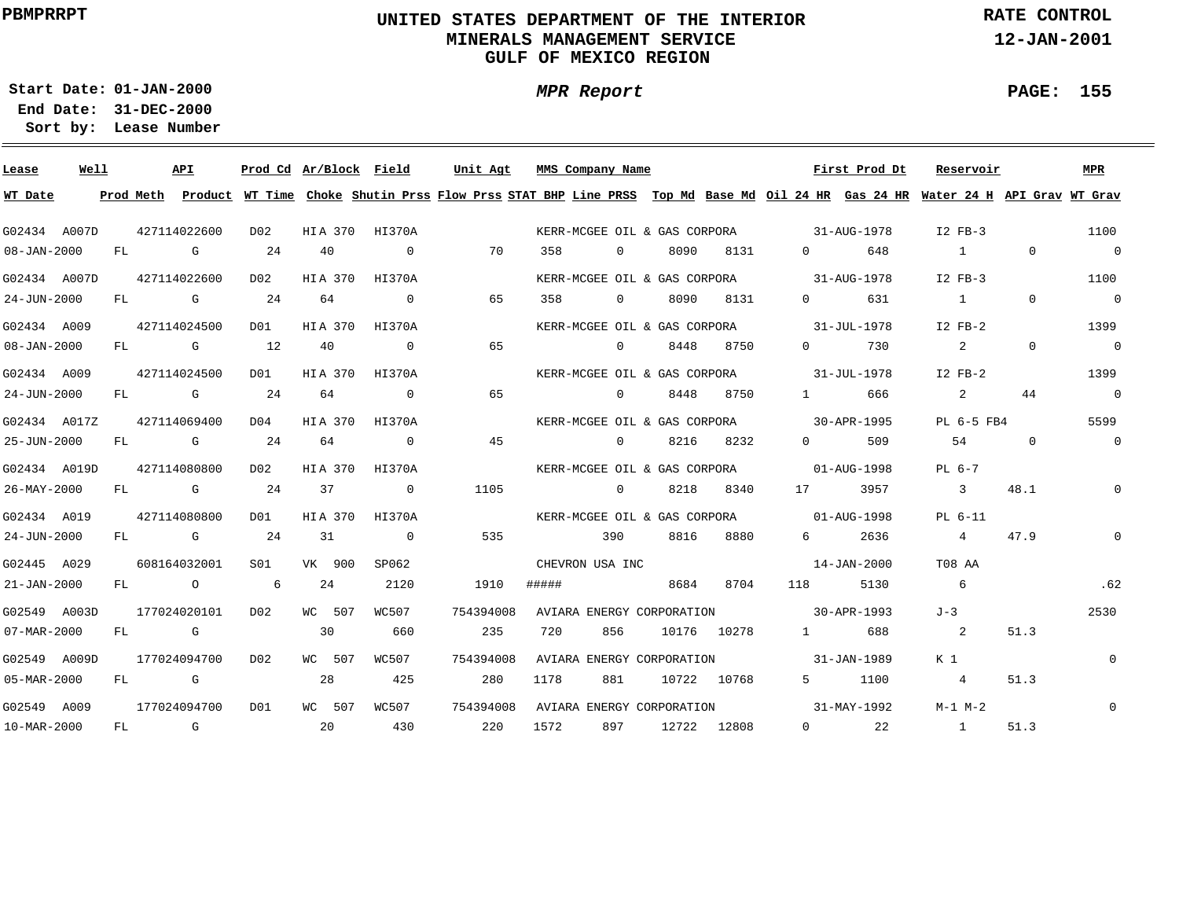### **UNITED STATES DEPARTMENT OF THE INTERIOR MINERALS MANAGEMENT SERVICEGULF OF MEXICO REGION**

**MPR Report**

**RATE CONTROL**

**12-JAN-2001**

**PAGE: 155**

÷

**01-JAN-2000Start Date:**

| Lease        | Well |    | API                                                                                                                                                                                                                            |                                                                                                                      |                  |         | Prod Cd Ar/Block Field | Unit Agt                                                                                                                                |       | MMS Company Name             |       |                              |                                          | First Prod Dt | Reservoir      |              | MPR            |
|--------------|------|----|--------------------------------------------------------------------------------------------------------------------------------------------------------------------------------------------------------------------------------|----------------------------------------------------------------------------------------------------------------------|------------------|---------|------------------------|-----------------------------------------------------------------------------------------------------------------------------------------|-------|------------------------------|-------|------------------------------|------------------------------------------|---------------|----------------|--------------|----------------|
| WT Date      |      |    |                                                                                                                                                                                                                                |                                                                                                                      |                  |         |                        | Prod Meth Product WT Time Choke Shutin Prss Flow Prss STAT BHP Line PRSS Top Md Base Md Oil 24 HR Gas 24 HR Water 24 H API Grav WT Grav |       |                              |       |                              |                                          |               |                |              |                |
| G02434 A007D |      |    | 427114022600                                                                                                                                                                                                                   |                                                                                                                      | D02              |         | HIA 370 HI370A         |                                                                                                                                         |       | KERR-MCGEE OIL & GAS CORPORA |       |                              | $31 - \text{AUG} - 1978$                 |               | $I2$ $FB-3$    |              | 1100           |
| 08-JAN-2000  |      | FL |                                                                                                                                                                                                                                | G                                                                                                                    | 24               | 40      | $\circ$                | 70                                                                                                                                      | 358   | $\overline{0}$               | 8090  | 8131                         | $0 \qquad \qquad$                        | 648           | $\sim$ 1       | $\mathbf{0}$ | $\overline{0}$ |
| G02434 A007D |      |    | 427114022600                                                                                                                                                                                                                   |                                                                                                                      | D02              | HIA 370 | HI370A                 |                                                                                                                                         |       | KERR-MCGEE OIL & GAS CORPORA |       |                              | 31-AUG-1978                              |               | $I2$ FB-3      |              | 1100           |
| 24-JUN-2000  |      | FL |                                                                                                                                                                                                                                | G                                                                                                                    | 24               | 64      | $\overline{0}$         | 65                                                                                                                                      | 358   | $\Omega$                     | 8090  | 8131                         | $\Omega$                                 | 631           | $\sim$ 1       | $\Omega$     | $\overline{0}$ |
| G02434 A009  |      |    | 427114024500                                                                                                                                                                                                                   |                                                                                                                      | DO1              | HIA 370 | HI370A                 |                                                                                                                                         |       | KERR-MCGEE OIL & GAS CORPORA |       |                              |                                          | 31-JUL-1978   | $I2$ FB-2      |              | 1399           |
| 08-JAN-2000  |      | FL |                                                                                                                                                                                                                                | G                                                                                                                    | 12               | 40      | $\circ$                | 65                                                                                                                                      |       | $\overline{0}$               | 8448  | 8750                         | $\Omega$                                 | 730           | $\overline{a}$ | $\mathbf 0$  | $\overline{0}$ |
| G02434 A009  |      |    | 427114024500                                                                                                                                                                                                                   |                                                                                                                      | DO1              | HIA 370 | HI370A                 |                                                                                                                                         |       | KERR-MCGEE OIL & GAS CORPORA |       |                              |                                          | 31-JUL-1978   | $I2$ FB-2      |              | 1399           |
| 24-JUN-2000  |      | FL |                                                                                                                                                                                                                                | <b>G</b> and the state of the state of the state of the state of the state of the state of the state of the state of | 24               | 64      | $\circ$                | 65                                                                                                                                      |       | $\overline{0}$               | 8448  | 8750                         | $1$ and $\sim$                           | 666           | 2              | 44           | $\overline{0}$ |
| G02434 A017Z |      |    | 427114069400                                                                                                                                                                                                                   |                                                                                                                      | D04              | HIA 370 | HI370A                 |                                                                                                                                         |       |                              |       |                              | KERR-MCGEE OIL & GAS CORPORA 30-APR-1995 |               | PL 6-5 FB4     |              | 5599           |
| 25-JUN-2000  |      | FL | $\mathbb G$                                                                                                                                                                                                                    |                                                                                                                      | 24               | 64      | $\overline{0}$         | 45                                                                                                                                      |       | $\Omega$                     | 8216  | 8232                         | $\Omega$ and $\Omega$                    | 509           | 54             | $\Omega$     | $\overline{0}$ |
| G02434 A019D |      |    | 427114080800                                                                                                                                                                                                                   |                                                                                                                      | D02              | HIA 370 | HI370A                 |                                                                                                                                         |       |                              |       | KERR-MCGEE OIL & GAS CORPORA |                                          | 01-AUG-1998   | $PL6-7$        |              |                |
| 26-MAY-2000  |      | FL | and the control of the control of the control of the control of the control of the control of the control of the control of the control of the control of the control of the control of the control of the control of the cont |                                                                                                                      | 24               | 37      | $\Omega$               | 1105                                                                                                                                    |       | $\Omega$                     | 8218  | 8340                         | 17                                       | 3957          | $\overline{3}$ | 48.1         | $\mathbf{0}$   |
| G02434 A019  |      |    | 427114080800                                                                                                                                                                                                                   |                                                                                                                      | DO1              | HIA 370 | HI370A                 |                                                                                                                                         |       | KERR-MCGEE OIL & GAS CORPORA |       |                              | $01 - \text{AUG} - 1998$                 |               | PL 6-11        |              |                |
| 24-JUN-2000  |      | FL |                                                                                                                                                                                                                                | G                                                                                                                    | 24               | 31      | $\overline{0}$         | 535                                                                                                                                     |       | 390                          | 8816  | 8880                         | 6 —                                      | 2636          | 4              | 47.9         | $\overline{0}$ |
| G02445 A029  |      |    | 608164032001                                                                                                                                                                                                                   |                                                                                                                      | S01              | VK 900  | SP062                  |                                                                                                                                         |       | CHEVRON USA INC              |       |                              |                                          | 14-JAN-2000   | T08 AA         |              |                |
| 21-JAN-2000  |      | FL |                                                                                                                                                                                                                                | $\circ$                                                                                                              | 6                | 24      | 2120                   | 1910                                                                                                                                    | ##### |                              | 8684  | 8704                         | 118                                      | 5130          | 6              |              | .62            |
| G02549 A003D |      |    | 177024020101                                                                                                                                                                                                                   |                                                                                                                      | DO <sub>2</sub>  | WC 507  | WC507                  | 754394008                                                                                                                               |       | AVIARA ENERGY CORPORATION    |       |                              |                                          | 30-APR-1993   | $J-3$          |              | 2530           |
| 07-MAR-2000  |      | FL |                                                                                                                                                                                                                                | G                                                                                                                    |                  | 30      | 660                    | 235                                                                                                                                     | 720   | 856                          |       | 10176 10278                  | $1 \quad \cdots$                         | 688           | 2              | 51.3         |                |
| G02549 A009D |      |    | 177024094700                                                                                                                                                                                                                   |                                                                                                                      | D <sub>0</sub> 2 | WC 507  | WC507                  | 754394008                                                                                                                               |       | AVIARA ENERGY CORPORATION    |       |                              |                                          | 31-JAN-1989   | K 1            |              | $\Omega$       |
| 05-MAR-2000  |      | FL |                                                                                                                                                                                                                                | $\mathbf{G}$                                                                                                         |                  | 28      | 425                    | 280                                                                                                                                     | 1178  | 881                          | 10722 | 10768                        | 5                                        | 1100          | $\overline{4}$ | 51.3         |                |
| G02549 A009  |      |    | 177024094700                                                                                                                                                                                                                   |                                                                                                                      | D01              | WC 507  | WC507                  | 754394008                                                                                                                               |       | AVIARA ENERGY CORPORATION    |       |                              |                                          | 31-MAY-1992   | $M-1$ $M-2$    |              | $\Omega$       |
| 10-MAR-2000  |      | FL | $\mathbb G$                                                                                                                                                                                                                    |                                                                                                                      |                  | 20      | 430                    | 220                                                                                                                                     | 1572  | 897                          |       | 12722 12808                  | $\overline{0}$                           | 22            | $\sim$ 1       | 51.3         |                |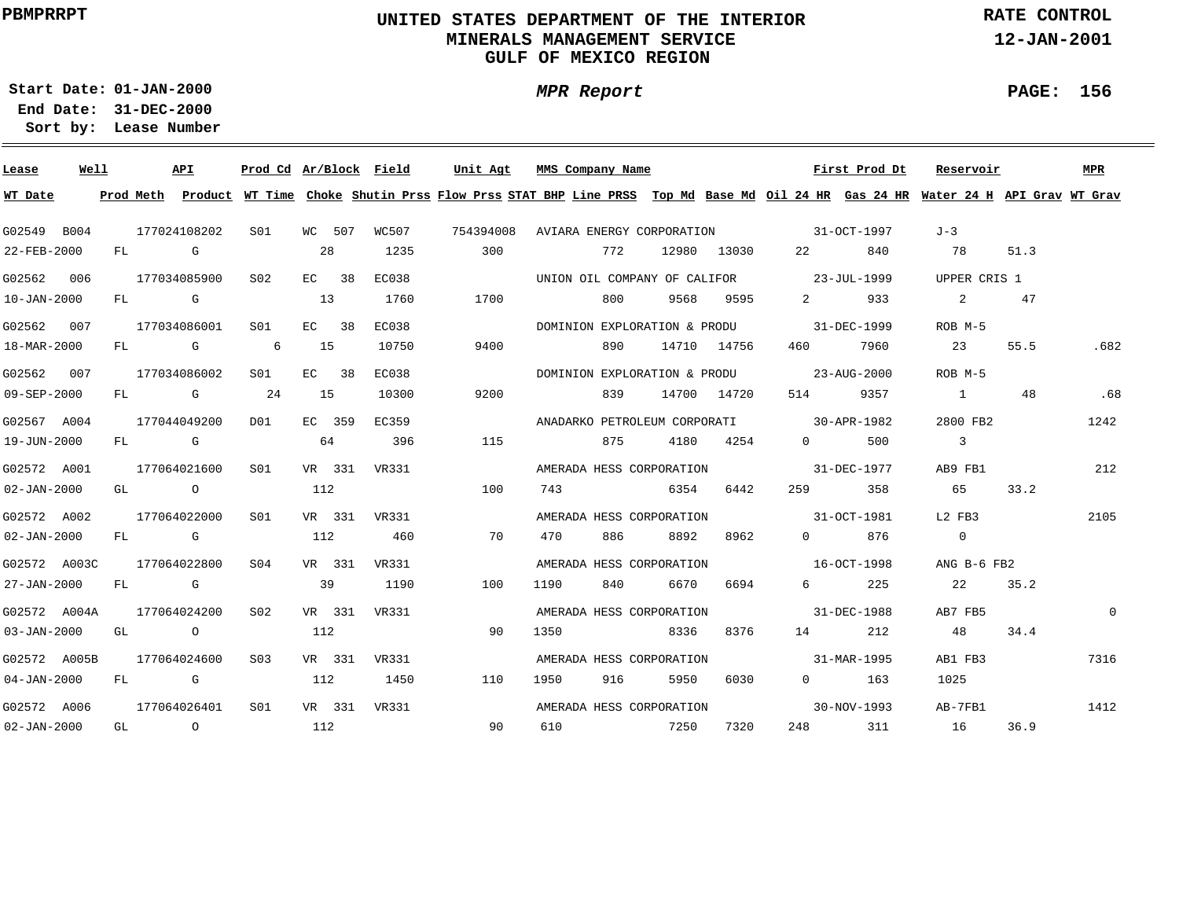### **UNITED STATES DEPARTMENT OF THE INTERIOR MINERALS MANAGEMENT SERVICEGULF OF MEXICO REGION**

**MPR Report**

**RATE CONTROL**

**12-JAN-2001**

**PAGE: 156**

÷

**01-JAN-2000Start Date:**

| Lease             | Well |    |                                                                                                                                                                                                                                | API          | Prod Cd Ar/Block Field |         |        |              | Unit Agt                                                                                                                                | MMS Company Name          |     |                              |             |                                                                                                                | First Prod Dt | Reservoir                  |      | MPR      |
|-------------------|------|----|--------------------------------------------------------------------------------------------------------------------------------------------------------------------------------------------------------------------------------|--------------|------------------------|---------|--------|--------------|-----------------------------------------------------------------------------------------------------------------------------------------|---------------------------|-----|------------------------------|-------------|----------------------------------------------------------------------------------------------------------------|---------------|----------------------------|------|----------|
| WT Date           |      |    |                                                                                                                                                                                                                                |              |                        |         |        |              | Prod Meth Product WT Time Choke Shutin Prss Flow Prss STAT BHP Line PRSS Top Md Base Md Oil 24 HR Gas 24 HR Water 24 H API Grav WT Grav |                           |     |                              |             |                                                                                                                |               |                            |      |          |
| G02549 B004       |      |    |                                                                                                                                                                                                                                | 177024108202 | S01                    |         | WC 507 | WC507        | 754394008                                                                                                                               | AVIARA ENERGY CORPORATION |     |                              |             | $31-0CT-1997$                                                                                                  |               | $J-3$                      |      |          |
| 22-FEB-2000       |      | FL |                                                                                                                                                                                                                                | G            |                        | 28      |        | 1235         | 300                                                                                                                                     |                           | 772 |                              | 12980 13030 | 22 and $\sim$                                                                                                  | 840           | 78                         | 51.3 |          |
| G02562 006        |      |    |                                                                                                                                                                                                                                | 177034085900 | S02                    | EC 38   |        | EC038        |                                                                                                                                         |                           |     | UNION OIL COMPANY OF CALIFOR |             | 23-JUL-1999                                                                                                    |               | UPPER CRIS 1               |      |          |
| $10 - JAN - 2000$ |      | FL |                                                                                                                                                                                                                                | G G          |                        | 13      |        | 1760         | 1700                                                                                                                                    |                           | 800 | 9568                         | 9595        | $2 \left( \frac{1}{2} \right)$                                                                                 | 933           | 2                          | 47   |          |
| G02562 007        |      |    |                                                                                                                                                                                                                                | 177034086001 | S01                    | EC 38   |        | <b>EC038</b> |                                                                                                                                         |                           |     | DOMINION EXPLORATION & PRODU |             | 31-DEC-1999                                                                                                    |               | ROB M-5                    |      |          |
| 18-MAR-2000       |      | FL |                                                                                                                                                                                                                                | G            | 6                      | 15      |        | 10750        | 9400                                                                                                                                    |                           | 890 |                              | 14710 14756 | 460 —                                                                                                          | 7960          | 23                         | 55.5 | .682     |
| G02562 007        |      |    |                                                                                                                                                                                                                                | 177034086002 | S01                    | $EC$ 38 |        | EC038        |                                                                                                                                         |                           |     | DOMINION EXPLORATION & PRODU |             |                                                                                                                | 23-AUG-2000   | ROB M-5                    |      |          |
| $09 - SEP - 2000$ |      | FL |                                                                                                                                                                                                                                | <b>G</b> G   | 24                     | 15      |        | 10300        | 9200                                                                                                                                    |                           | 839 |                              | 14700 14720 | 514                                                                                                            | 9357          | $\sim$ 1                   | 48   | .68      |
| G02567 A004       |      |    |                                                                                                                                                                                                                                | 177044049200 | DO1                    | EC 359  |        | EC359        |                                                                                                                                         |                           |     |                              |             | ANADARKO PETROLEUM CORPORATI 30-APR-1982                                                                       |               | 2800 FB2                   |      | 1242     |
| 19-JUN-2000       |      |    | FL G                                                                                                                                                                                                                           |              |                        | 64      |        | 396          | 115                                                                                                                                     |                           | 875 | 4180                         | 4254        | $\Omega$                                                                                                       | 500           | $\overline{\phantom{a}}$ 3 |      |          |
| G02572 A001       |      |    |                                                                                                                                                                                                                                | 177064021600 | SO1                    | VR 331  |        | VR331        |                                                                                                                                         |                           |     | AMERADA HESS CORPORATION     |             | 31-DEC-1977                                                                                                    |               | AB9 FB1                    |      | 212      |
| $02 - JAN - 2000$ |      |    | GL O                                                                                                                                                                                                                           |              |                        | 112     |        |              | 100                                                                                                                                     | 743                       |     | 6354                         | 6442        | 259 — 259 — 259 — 259 — 259 — 259 — 259 — 259 — 259 — 259 — 259 — 259 — 259 — 259 — 259 — 259 — 259 — 259 — 25 | 358           | 65                         | 33.2 |          |
| G02572 A002       |      |    |                                                                                                                                                                                                                                | 177064022000 | SO1                    |         |        | VR 331 VR331 |                                                                                                                                         |                           |     | AMERADA HESS CORPORATION     |             | 31-OCT-1981                                                                                                    |               | L2 FB3                     |      | 2105     |
| $02 - JAN - 2000$ |      |    | FL G                                                                                                                                                                                                                           |              |                        | 112     |        | 460          | 70                                                                                                                                      | 470                       | 886 | 8892                         | 8962        | $\Omega$ and $\Omega$                                                                                          | 876           | $\overline{0}$             |      |          |
| G02572 A003C      |      |    |                                                                                                                                                                                                                                | 177064022800 | S04                    |         | VR 331 | VR331        |                                                                                                                                         |                           |     | AMERADA HESS CORPORATION     |             | $16-9C$ T $-1998$                                                                                              |               | ANG B-6 FB2                |      |          |
| 27-JAN-2000       |      |    | FL G                                                                                                                                                                                                                           |              |                        | 39      |        | 1190         | 100                                                                                                                                     | 1190                      | 840 | 6670                         | 6694        | $6 \qquad \qquad$                                                                                              | 225           | 22                         | 35.2 |          |
| G02572 A004A      |      |    |                                                                                                                                                                                                                                | 177064024200 | S <sub>02</sub>        |         | VR 331 | VR331        |                                                                                                                                         |                           |     | AMERADA HESS CORPORATION     |             |                                                                                                                | 31-DEC-1988   | AB7 FB5                    |      | $\Omega$ |
| $03 - JAN - 2000$ |      | GL | $\overline{O}$                                                                                                                                                                                                                 |              |                        | 112     |        |              | 90                                                                                                                                      | 1350                      |     | 8336                         | 8376        |                                                                                                                | 212           | 48                         | 34.4 |          |
| G02572 A005B      |      |    |                                                                                                                                                                                                                                | 177064024600 | S <sub>03</sub>        |         |        | VR 331 VR331 |                                                                                                                                         |                           |     | AMERADA HESS CORPORATION     |             |                                                                                                                | 31-MAR-1995   | AB1 FB3                    |      | 7316     |
| 04-JAN-2000       |      | FL | in the Group of Group of the Group of the State of the State of the State of the State of the State of the State of the State of the State of the State of the State of the State of the State of the State of the State of th |              |                        | 112     |        | 1450         | 110                                                                                                                                     | 1950                      | 916 | 5950                         | 6030        | $\Omega$                                                                                                       | 163           | 1025                       |      |          |
| G02572 A006       |      |    |                                                                                                                                                                                                                                | 177064026401 | S <sub>01</sub>        |         |        | VR 331 VR331 |                                                                                                                                         |                           |     | AMERADA HESS CORPORATION     |             |                                                                                                                | 30-NOV-1993   | AB-7FB1                    |      | 1412     |
| $02 - JAN - 2000$ |      |    | GL O                                                                                                                                                                                                                           |              |                        | 112     |        |              | 90                                                                                                                                      | 610                       |     | 7250                         | 7320        |                                                                                                                | 248 311       | 16                         | 36.9 |          |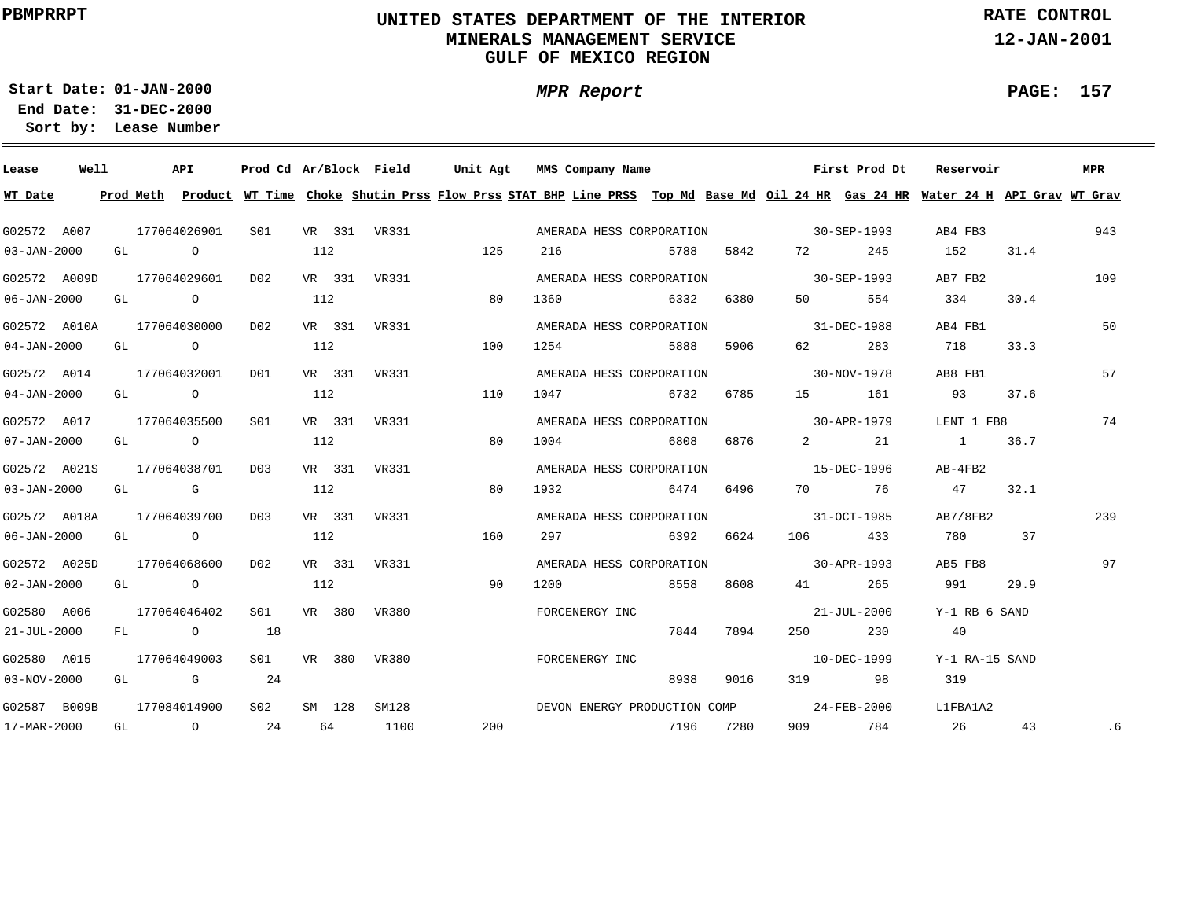### **UNITED STATES DEPARTMENT OF THE INTERIOR MINERALS MANAGEMENT SERVICEGULF OF MEXICO REGION**

**MPR Report**

**RATE CONTROL**

**12-JAN-2001**

**PAGE: 157**

÷

**01-JAN-2000Start Date:31-DEC-2000 End Date:** 

| Lease             | Well |  | API                         |                  |     |        | Prod Cd Ar/Block Field | Unit Agt | MMS Company Name                                                                                                                                                                                                                |      |           |                   | First Prod Dt                                                                                                                           | Reservoir      |      | <b>MPR</b> |
|-------------------|------|--|-----------------------------|------------------|-----|--------|------------------------|----------|---------------------------------------------------------------------------------------------------------------------------------------------------------------------------------------------------------------------------------|------|-----------|-------------------|-----------------------------------------------------------------------------------------------------------------------------------------|----------------|------|------------|
| WT Date           |      |  |                             |                  |     |        |                        |          |                                                                                                                                                                                                                                 |      |           |                   | Prod Meth Product WT Time Choke Shutin Prss Flow Prss STAT BHP Line PRSS Top Md Base Md Oil 24 HR Gas 24 HR Water 24 H API Grav WT Grav |                |      |            |
| G02572 A007       |      |  | 177064026901                | S01 <b>S</b>     |     |        | VR 331 VR331           |          | AMERADA HESS CORPORATION 30-SEP-1993                                                                                                                                                                                            |      |           |                   |                                                                                                                                         | AB4 FB3        |      | 943        |
| $03 - JAN - 2000$ |      |  | GL O                        |                  | 112 |        |                        | 125      | 216                                                                                                                                                                                                                             | 5788 | 5842      | 72 — 1            | 245                                                                                                                                     | 152            | 31.4 |            |
| G02572 A009D      |      |  | 177064029601                | D02              |     |        | VR 331 VR331           |          | AMERADA HESS CORPORATION                                                                                                                                                                                                        |      |           | $30 - SEP - 1993$ |                                                                                                                                         | AB7 FB2        |      | 109        |
| $06 - JAN - 2000$ |      |  | GL O                        |                  | 112 |        |                        | 80       | 1360 and 1360 and 1360 and 1360 and 1360 and 1360 and 1360 and 1360 and 1360 and 1360 and 1360 and 1360 and 1360 and 1360 and 1360 and 1360 and 1360 and 1360 and 1360 and 1360 and 1360 and 1360 and 1370 and 1370 and 1370 an | 6332 | 6380      |                   | 554                                                                                                                                     | 334            | 30.4 |            |
|                   |      |  | G02572 A010A 177064030000   | DO <sub>2</sub>  |     |        | VR 331 VR331           |          | AMERADA HESS CORPORATION                                                                                                                                                                                                        |      |           |                   | 31-DEC-1988                                                                                                                             | AB4 FB1        |      | 50         |
| $04 - JAN - 2000$ |      |  | GL O                        |                  | 112 |        |                        | 100      | 1254 and $\overline{a}$                                                                                                                                                                                                         | 5888 | 5906      | 62 — 10           | 283                                                                                                                                     | 718            | 33.3 |            |
| G02572 A014       |      |  | 177064032001                | D01              |     |        | VR 331 VR331           |          | AMERADA HESS CORPORATION                                                                                                                                                                                                        |      |           |                   | 30-NOV-1978                                                                                                                             | AB8 FB1        |      | 57         |
| $04 - JAN - 2000$ |      |  | GL O                        |                  | 112 |        |                        | 110      | 1047 6732                                                                                                                                                                                                                       |      | 6785      |                   | 15 161                                                                                                                                  | 93             | 37.6 |            |
| G02572 A017       |      |  | 177064035500                | S01              |     |        | VR 331 VR331           |          | AMERADA HESS CORPORATION 30-APR-1979                                                                                                                                                                                            |      |           |                   |                                                                                                                                         | LENT 1 FB8     |      | 74         |
| $07 - JAN - 2000$ |      |  | GL O                        |                  | 112 |        |                        | 80       | 1004 \,                                                                                                                                                                                                                         | 6808 | 6876      |                   | 2 21                                                                                                                                    | 1              | 36.7 |            |
| G02572 A021S      |      |  | 177064038701                | DO3              |     |        | VR 331 VR331           |          | AMERADA HESS CORPORATION                                                                                                                                                                                                        |      |           | $15 - DEC - 1996$ |                                                                                                                                         | AB-4FB2        |      |            |
| $03 - JAN - 2000$ |      |  | GL G                        |                  | 112 |        |                        | 80       | 1932 6474                                                                                                                                                                                                                       |      | 6496      |                   | 70 76                                                                                                                                   | 47             | 32.1 |            |
| G02572 A018A      |      |  | 177064039700                | D03              |     |        | VR 331 VR331           |          | AMERADA HESS CORPORATION 31-OCT-1985                                                                                                                                                                                            |      |           |                   |                                                                                                                                         | AB7/8FB2       |      | 239        |
| $06 - JAN - 2000$ |      |  | GL O                        |                  | 112 |        |                        | 160      | 297 6392 6624                                                                                                                                                                                                                   |      |           |                   | 106 433                                                                                                                                 | 780 780        | 37   |            |
| G02572 A025D      |      |  | 177064068600                | D02              |     |        | VR 331 VR331           |          | AMERADA HESS CORPORATION                                                                                                                                                                                                        |      |           | $30 - APR - 1993$ |                                                                                                                                         | AB5 FB8        |      | 97         |
| $02 - JAN - 2000$ |      |  | GL O                        |                  | 112 |        |                        | 90       | 1200                                                                                                                                                                                                                            | 8558 | 8608      | 41 — 200          | 265                                                                                                                                     | 991            | 29.9 |            |
| G02580 A006       |      |  | 177064046402                | SO1              |     | VR 380 | VR380                  |          | FORCENERGY INC                                                                                                                                                                                                                  |      |           |                   | $21 - JUL - 2000$                                                                                                                       | Y-1 RB 6 SAND  |      |            |
| $21 - JUL - 2000$ |      |  | FL 0 18                     |                  |     |        |                        |          |                                                                                                                                                                                                                                 |      | 7844 7894 | 250 and $\sim$    | 230                                                                                                                                     | 40             |      |            |
| G02580 A015       |      |  | 177064049003                | S01 VR 380 VR380 |     |        |                        |          | FORCENERGY INC                                                                                                                                                                                                                  |      |           |                   | 10-DEC-1999                                                                                                                             | Y-1 RA-15 SAND |      |            |
| $03 - NOV - 2000$ |      |  | $GL$ G 24                   |                  |     |        |                        |          |                                                                                                                                                                                                                                 | 8938 | 9016      |                   | 319 98                                                                                                                                  | 319            |      |            |
| G02587 B009B      |      |  | 177084014900                | S <sub>02</sub>  |     | SM 128 | SM128                  |          | DEVON ENERGY PRODUCTION COMP 24-FEB-2000                                                                                                                                                                                        |      |           |                   |                                                                                                                                         | L1FBA1A2       |      |            |
| 17-MAR-2000       |      |  | GL $\qquad \qquad \circ$ 24 |                  |     | 64 —   | 1100                   | 200      |                                                                                                                                                                                                                                 |      | 7196 7280 |                   | 909 784                                                                                                                                 | 26 — 26        | 43   | . 6        |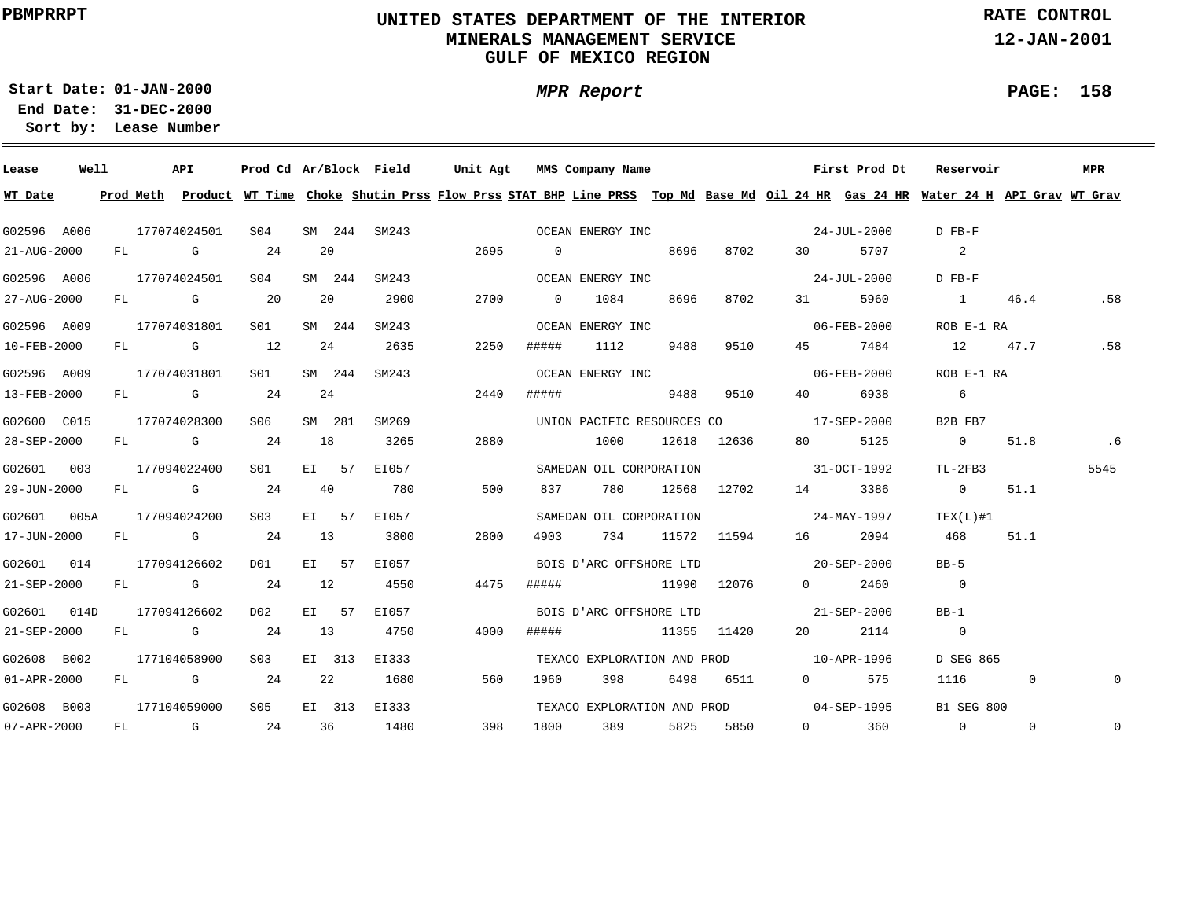### **UNITED STATES DEPARTMENT OF THE INTERIOR MINERALS MANAGEMENT SERVICEGULF OF MEXICO REGION**

**MPR Report**

**RATE CONTROL**

**12-JAN-2001**

**01-JAN-2000Start Date:31-DEC-2000 End Date:** 

**Lease Number Sort by:**

| Lease       | Well | API          |           | Prod Cd Ar/Block Field |    |        |              | Unit Agt |                | MMS Company Name        |      |                 |                                                                                                                                                                                                                                                                                                                                    | First Prod Dt                           | Reservoir                                                                                                                               |              | <b>MPR</b>   |
|-------------|------|--------------|-----------|------------------------|----|--------|--------------|----------|----------------|-------------------------|------|-----------------|------------------------------------------------------------------------------------------------------------------------------------------------------------------------------------------------------------------------------------------------------------------------------------------------------------------------------------|-----------------------------------------|-----------------------------------------------------------------------------------------------------------------------------------------|--------------|--------------|
| WT Date     |      |              |           |                        |    |        |              |          |                |                         |      |                 |                                                                                                                                                                                                                                                                                                                                    |                                         | Prod Meth Product WT Time Choke Shutin Prss Flow Prss STAT BHP Line PRSS Top Md Base Md Oil 24 HR Gas 24 HR Water 24 H API Grav WT Grav |              |              |
| G02596 A006 |      | 177074024501 |           | SO4                    |    |        | SM 244 SM243 |          |                | OCEAN ENERGY INC        |      |                 |                                                                                                                                                                                                                                                                                                                                    | 24-JUL-2000                             | D FB-F                                                                                                                                  |              |              |
| 21-AUG-2000 |      | FL G         |           | 24                     | 20 |        |              | 2695     | $\overline{0}$ |                         | 8696 | 8702            | 30                                                                                                                                                                                                                                                                                                                                 | 5707                                    | $\sim$ 2                                                                                                                                |              |              |
| G02596 A006 |      | 177074024501 |           | S04                    |    | SM 244 | SM243        |          |                | OCEAN ENERGY INC        |      |                 |                                                                                                                                                                                                                                                                                                                                    | 24-JUL-2000                             | D FB-F                                                                                                                                  |              |              |
| 27-AUG-2000 |      |              | FL G 20   |                        |    | 20     | 2900         | 2700     | $\overline{0}$ | 1084                    | 8696 | 8702            |                                                                                                                                                                                                                                                                                                                                    | 31 5960                                 | $\sim$ 1                                                                                                                                | 46.4         | .58          |
| G02596 A009 |      | 177074031801 |           | S01                    |    | SM 244 | SM243        |          |                | OCEAN ENERGY INC        |      |                 |                                                                                                                                                                                                                                                                                                                                    | 06-FEB-2000                             | ROB E-1 RA                                                                                                                              |              |              |
| 10-FEB-2000 |      |              | FL G 12   |                        |    | 24     | 2635         | 2250     | #####          | 1112                    | 9488 | 9510            | 45 — 1                                                                                                                                                                                                                                                                                                                             | 7484                                    | 12 47.7                                                                                                                                 |              | .58          |
| G02596 A009 |      | 177074031801 |           | S <sub>01</sub>        |    | SM 244 | SM243        |          |                | OCEAN ENERGY INC        |      |                 |                                                                                                                                                                                                                                                                                                                                    | 06-FEB-2000                             | ROB E-1 RA                                                                                                                              |              |              |
| 13-FEB-2000 |      |              | FL G 24   |                        |    | 24     |              | 2440     | #####          |                         | 9488 | 9510            | 40 — 10                                                                                                                                                                                                                                                                                                                            | 6938                                    | $6\overline{6}$                                                                                                                         |              |              |
| G02600 C015 |      | 177074028300 |           | S06                    |    | SM 281 | SM269        |          |                |                         |      |                 | UNION PACIFIC RESOURCES CO 17-SEP-2000                                                                                                                                                                                                                                                                                             |                                         | B2B FB7                                                                                                                                 |              |              |
| 28-SEP-2000 |      |              | $FL$ G 24 |                        | 18 |        | 3265         | 2880     |                | 1000 12618 12636        |      |                 | 80 — 10                                                                                                                                                                                                                                                                                                                            | 5125                                    | $\overline{0}$                                                                                                                          | 51.8         | .6           |
| G02601 003  |      | 177094022400 |           | S01 <b>S</b>           |    | EI 57  | EI057        |          |                | SAMEDAN OIL CORPORATION |      |                 | $31 - OCT - 1992$                                                                                                                                                                                                                                                                                                                  |                                         | TL-2FB3                                                                                                                                 |              | 5545         |
| 29-JUN-2000 |      | FL G         |           | 24                     | 40 |        | 780          | 500      | 837            | 780                     |      | 12568 12702     |                                                                                                                                                                                                                                                                                                                                    | 14 3386                                 | $\overline{0}$                                                                                                                          | 51.1         |              |
| G02601 005A |      | 177094024200 |           | S <sub>03</sub>        |    | EI 57  | EI057        |          |                | SAMEDAN OIL CORPORATION |      |                 | $24 - \text{MAX} - 1997$                                                                                                                                                                                                                                                                                                           |                                         | TEX(L)#1                                                                                                                                |              |              |
| 17-JUN-2000 |      |              | $FL$ G 24 |                        | 13 |        | 3800         | 2800     | 4903           |                         |      | 734 11572 11594 | 16                                                                                                                                                                                                                                                                                                                                 | 2094                                    | 468                                                                                                                                     | 51.1         |              |
| G02601 014  |      | 177094126602 |           | DO 1                   |    | EI 57  | EI057        |          |                | BOIS D'ARC OFFSHORE LTD |      |                 | $20 - SEP - 2000$                                                                                                                                                                                                                                                                                                                  |                                         | $BB-5$                                                                                                                                  |              |              |
| 21-SEP-2000 |      |              | FL G 24   |                        | 12 |        | 4550         | 4475     | #####          | 11990 12076             |      |                 |                                                                                                                                                                                                                                                                                                                                    | $0 \t 2460$                             | $\overline{0}$                                                                                                                          |              |              |
| G02601 014D |      | 177094126602 |           | D02                    |    | EI 57  | EI057        |          |                | BOIS D'ARC OFFSHORE LTD |      |                 | 21-SEP-2000                                                                                                                                                                                                                                                                                                                        |                                         | $BB-1$                                                                                                                                  |              |              |
| 21-SEP-2000 |      |              | $FL$ G 24 |                        | 13 |        | 4750         | 4000     | #####          | 11355 11420             |      |                 | 20                                                                                                                                                                                                                                                                                                                                 | 2114                                    | $\overline{0}$                                                                                                                          |              |              |
| G02608 B002 |      | 177104058900 |           | S <sub>0.3</sub>       |    | EI 313 | EI333        |          |                |                         |      |                 | TEXACO EXPLORATION AND PROD 10-APR-1996                                                                                                                                                                                                                                                                                            |                                         | D SEG 865                                                                                                                               |              |              |
| 01-APR-2000 |      |              | $FL$ G 24 |                        | 22 |        | 1680         | 560      | 1960           | 398                     |      | 6498 6511       | $\overline{0}$ and $\overline{0}$ and $\overline{0}$ and $\overline{0}$ and $\overline{0}$ and $\overline{0}$ and $\overline{0}$ and $\overline{0}$ and $\overline{0}$ and $\overline{0}$ and $\overline{0}$ and $\overline{0}$ and $\overline{0}$ and $\overline{0}$ and $\overline{0}$ and $\overline{0}$ and $\overline{0}$ and | 575                                     | 1116                                                                                                                                    | $\Omega$     | $\Omega$     |
| G02608 B003 |      | 177104059000 |           | S05                    |    | EI 313 | EI333        |          |                |                         |      |                 |                                                                                                                                                                                                                                                                                                                                    | TEXACO EXPLORATION AND PROD 04-SEP-1995 | <b>B1 SEG 800</b>                                                                                                                       |              |              |
| 07-APR-2000 |      |              |           | FL G 24 36             |    |        | 1480         | 398      | 1800           | 389                     |      | 5825 5850       |                                                                                                                                                                                                                                                                                                                                    | $0 \t 360$                              | $\overline{0}$                                                                                                                          | $\mathbf{0}$ | $\mathbf{0}$ |

**PAGE: 158**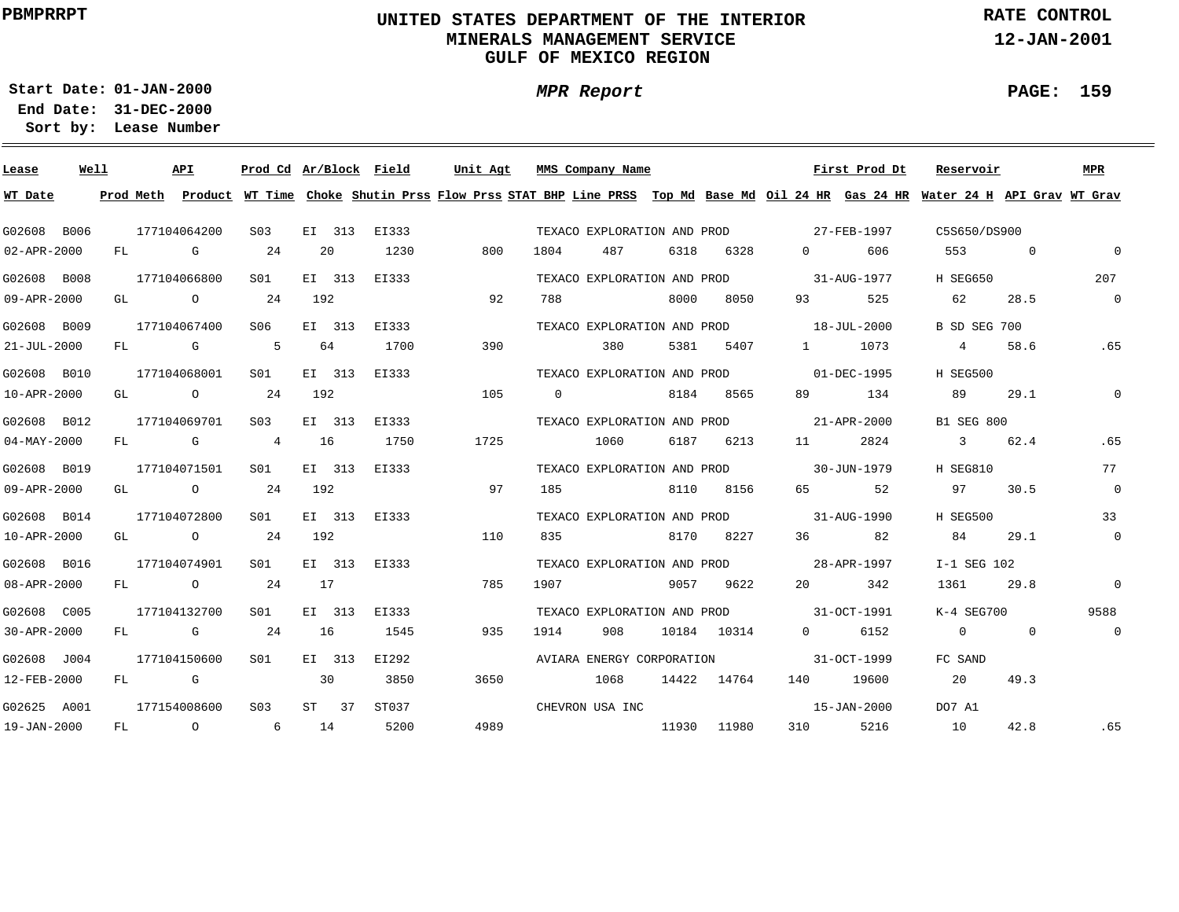## **UNITED STATES DEPARTMENT OF THE INTERIOR MINERALS MANAGEMENT SERVICEGULF OF MEXICO REGION**

**MPR Report**

**RATE CONTROL**

**12-JAN-2001**

**PAGE: 159**

÷

**01-JAN-2000Start Date:31-DEC-2000 End Date:** 

| Lease             | Well |    |                                                                                                                                                                                                                                | API                                                                                                                                                                                                                            | Prod Cd Ar/Block Field |     |                |       | Unit Aqt |          | MMS Company Name            |      |             |                                                                                                                                                                                                                                                                                                                                    | First Prod Dt     | Reservoir                                                                                                                               |                | MPR            |
|-------------------|------|----|--------------------------------------------------------------------------------------------------------------------------------------------------------------------------------------------------------------------------------|--------------------------------------------------------------------------------------------------------------------------------------------------------------------------------------------------------------------------------|------------------------|-----|----------------|-------|----------|----------|-----------------------------|------|-------------|------------------------------------------------------------------------------------------------------------------------------------------------------------------------------------------------------------------------------------------------------------------------------------------------------------------------------------|-------------------|-----------------------------------------------------------------------------------------------------------------------------------------|----------------|----------------|
| WT Date           |      |    |                                                                                                                                                                                                                                |                                                                                                                                                                                                                                |                        |     |                |       |          |          |                             |      |             |                                                                                                                                                                                                                                                                                                                                    |                   | Prod Meth Product WT Time Choke Shutin Prss Flow Prss STAT BHP Line PRSS Top Md Base Md Oil 24 HR Gas 24 HR Water 24 H API Grav WT Grav |                |                |
| G02608 B006       |      |    |                                                                                                                                                                                                                                | 177104064200                                                                                                                                                                                                                   | S <sub>03</sub>        |     | EI 313         | EI333 |          |          | TEXACO EXPLORATION AND PROD |      |             | 27-FEB-1997                                                                                                                                                                                                                                                                                                                        |                   | C5S650/DS900                                                                                                                            |                |                |
| 02-APR-2000       |      | FL | and the control of the control of the control of the control of the control of the control of the control of the control of the control of the control of the control of the control of the control of the control of the cont |                                                                                                                                                                                                                                | 24                     | 20  |                | 1230  | 800      | 1804     | 487                         | 6318 | 6328        | $\overline{0}$ and $\overline{0}$ and $\overline{0}$ and $\overline{0}$ and $\overline{0}$ and $\overline{0}$ and $\overline{0}$ and $\overline{0}$ and $\overline{0}$ and $\overline{0}$ and $\overline{0}$ and $\overline{0}$ and $\overline{0}$ and $\overline{0}$ and $\overline{0}$ and $\overline{0}$ and $\overline{0}$ and | 606               | 553                                                                                                                                     | $\overline{0}$ | $\overline{0}$ |
| G02608 B008       |      |    |                                                                                                                                                                                                                                | 177104066800                                                                                                                                                                                                                   | S <sub>01</sub>        |     | EI 313         | EI333 |          |          | TEXACO EXPLORATION AND PROD |      |             |                                                                                                                                                                                                                                                                                                                                    | 31-AUG-1977       | <b>H SEG650</b>                                                                                                                         |                | 207            |
| 09-APR-2000       |      | GL | $\overline{O}$                                                                                                                                                                                                                 |                                                                                                                                                                                                                                | 24                     | 192 |                |       | 92       | 788      |                             | 8000 | 8050        | 93 — 10                                                                                                                                                                                                                                                                                                                            | 525               | 62                                                                                                                                      | 28.5           | $\overline{0}$ |
| G02608 B009       |      |    |                                                                                                                                                                                                                                | 177104067400                                                                                                                                                                                                                   | S06                    |     | EI 313         | EI333 |          |          | TEXACO EXPLORATION AND PROD |      |             |                                                                                                                                                                                                                                                                                                                                    | $18 - JUL - 2000$ | B SD SEG 700                                                                                                                            |                |                |
| $21 - JUL - 2000$ |      | FL |                                                                                                                                                                                                                                | and the control of the control of the control of the control of the control of the control of the control of the control of the control of the control of the control of the control of the control of the control of the cont | - 5                    | 64  |                | 1700  | 390      |          | 380                         | 5381 | 5407        | $1 \quad \cdots$                                                                                                                                                                                                                                                                                                                   | 1073              | $\overline{4}$                                                                                                                          | 58.6           | .65            |
| G02608 B010       |      |    |                                                                                                                                                                                                                                | 177104068001                                                                                                                                                                                                                   | S01                    |     | EI 313         | EI333 |          |          | TEXACO EXPLORATION AND PROD |      |             |                                                                                                                                                                                                                                                                                                                                    | 01-DEC-1995       | H SEG500                                                                                                                                |                |                |
| 10-APR-2000       |      | GL |                                                                                                                                                                                                                                | $\overline{O}$                                                                                                                                                                                                                 | 24                     | 192 |                |       | 105      | $\Omega$ |                             | 8184 | 8565        | 89 — 1                                                                                                                                                                                                                                                                                                                             | 134               | 89                                                                                                                                      | 29.1           | $\mathbf{0}$   |
| G02608 B012       |      |    |                                                                                                                                                                                                                                | 177104069701                                                                                                                                                                                                                   | S <sub>03</sub>        |     | EI 313         | EI333 |          |          | TEXACO EXPLORATION AND PROD |      |             |                                                                                                                                                                                                                                                                                                                                    | 21-APR-2000       | <b>B1 SEG 800</b>                                                                                                                       |                |                |
| $04 - MAX - 2000$ |      | FL |                                                                                                                                                                                                                                | $\mathbf G$                                                                                                                                                                                                                    | $\overline{4}$         | 16  |                | 1750  | 1725     |          | 1060                        |      | 6187 6213   |                                                                                                                                                                                                                                                                                                                                    | 2824              | 3                                                                                                                                       | 62.4           | .65            |
| G02608 B019       |      |    |                                                                                                                                                                                                                                | 177104071501                                                                                                                                                                                                                   | S01                    |     | EI 313         | EI333 |          |          | TEXACO EXPLORATION AND PROD |      |             |                                                                                                                                                                                                                                                                                                                                    | 30-JUN-1979       | H SEG810                                                                                                                                |                | 77             |
| 09-APR-2000       |      | GL |                                                                                                                                                                                                                                | $\overline{O}$                                                                                                                                                                                                                 | 24                     | 192 |                |       | 97       | 185      |                             | 8110 | 8156        | 65                                                                                                                                                                                                                                                                                                                                 | 52                | 97                                                                                                                                      | 30.5           | $\overline{0}$ |
| G02608 B014       |      |    |                                                                                                                                                                                                                                | 177104072800                                                                                                                                                                                                                   | SO1                    |     | EI 313         | EI333 |          |          | TEXACO EXPLORATION AND PROD |      |             | $31 - \text{AUG} - 1990$                                                                                                                                                                                                                                                                                                           |                   | H SEG500                                                                                                                                |                | 33             |
| 10-APR-2000       |      | GL |                                                                                                                                                                                                                                | $\overline{O}$                                                                                                                                                                                                                 | 24                     | 192 |                |       | 110      | 835      |                             |      | 8170 8227   | 36                                                                                                                                                                                                                                                                                                                                 | 82                | 84                                                                                                                                      | 29.1           | $\overline{0}$ |
| G02608 B016       |      |    |                                                                                                                                                                                                                                | 177104074901                                                                                                                                                                                                                   | S01                    |     | EI 313         | EI333 |          |          |                             |      |             | TEXACO EXPLORATION AND PROD 28-APR-1997                                                                                                                                                                                                                                                                                            |                   | I-1 SEG 102                                                                                                                             |                |                |
| 08-APR-2000       |      |    |                                                                                                                                                                                                                                | FL O                                                                                                                                                                                                                           | 24                     | 17  |                |       | 785      | 1907     |                             |      | 9057 9622   | 20                                                                                                                                                                                                                                                                                                                                 | 342               | 1361                                                                                                                                    | 29.8           | $\overline{0}$ |
| G02608 C005       |      |    |                                                                                                                                                                                                                                | 177104132700                                                                                                                                                                                                                   | SO1                    |     | EI 313         | EI333 |          |          |                             |      |             | TEXACO EXPLORATION AND PROD 31-OCT-1991                                                                                                                                                                                                                                                                                            |                   | $K-4$ SEG700                                                                                                                            |                | 9588           |
| 30-APR-2000       |      |    |                                                                                                                                                                                                                                | FL G                                                                                                                                                                                                                           | 24                     | 16  |                | 1545  | 935      | 1914     | 908                         |      | 10184 10314 | $\Omega$                                                                                                                                                                                                                                                                                                                           | 6152              | $\Omega$                                                                                                                                | $\overline{0}$ | $\overline{0}$ |
| G02608 J004       |      |    |                                                                                                                                                                                                                                | 177104150600                                                                                                                                                                                                                   | SO1                    |     | EI 313         | EI292 |          |          | AVIARA ENERGY CORPORATION   |      |             |                                                                                                                                                                                                                                                                                                                                    | 31-OCT-1999       | FC SAND                                                                                                                                 |                |                |
| 12-FEB-2000       |      |    | FL G                                                                                                                                                                                                                           |                                                                                                                                                                                                                                |                        | 30  |                | 3850  | 3650     |          | 1068                        |      | 14422 14764 | 140                                                                                                                                                                                                                                                                                                                                | 19600             | 20                                                                                                                                      | 49.3           |                |
| G02625 A001       |      |    |                                                                                                                                                                                                                                | 177154008600                                                                                                                                                                                                                   | S03                    |     | $ST \qquad 37$ | ST037 |          |          | CHEVRON USA INC             |      |             |                                                                                                                                                                                                                                                                                                                                    | 15-JAN-2000       | DO7 A1                                                                                                                                  |                |                |
| 19-JAN-2000       |      | FL |                                                                                                                                                                                                                                | $\overline{O}$                                                                                                                                                                                                                 | 6                      | 14  |                | 5200  | 4989     |          |                             |      | 11930 11980 | 310                                                                                                                                                                                                                                                                                                                                | 5216              | 10                                                                                                                                      | 42.8           | .65            |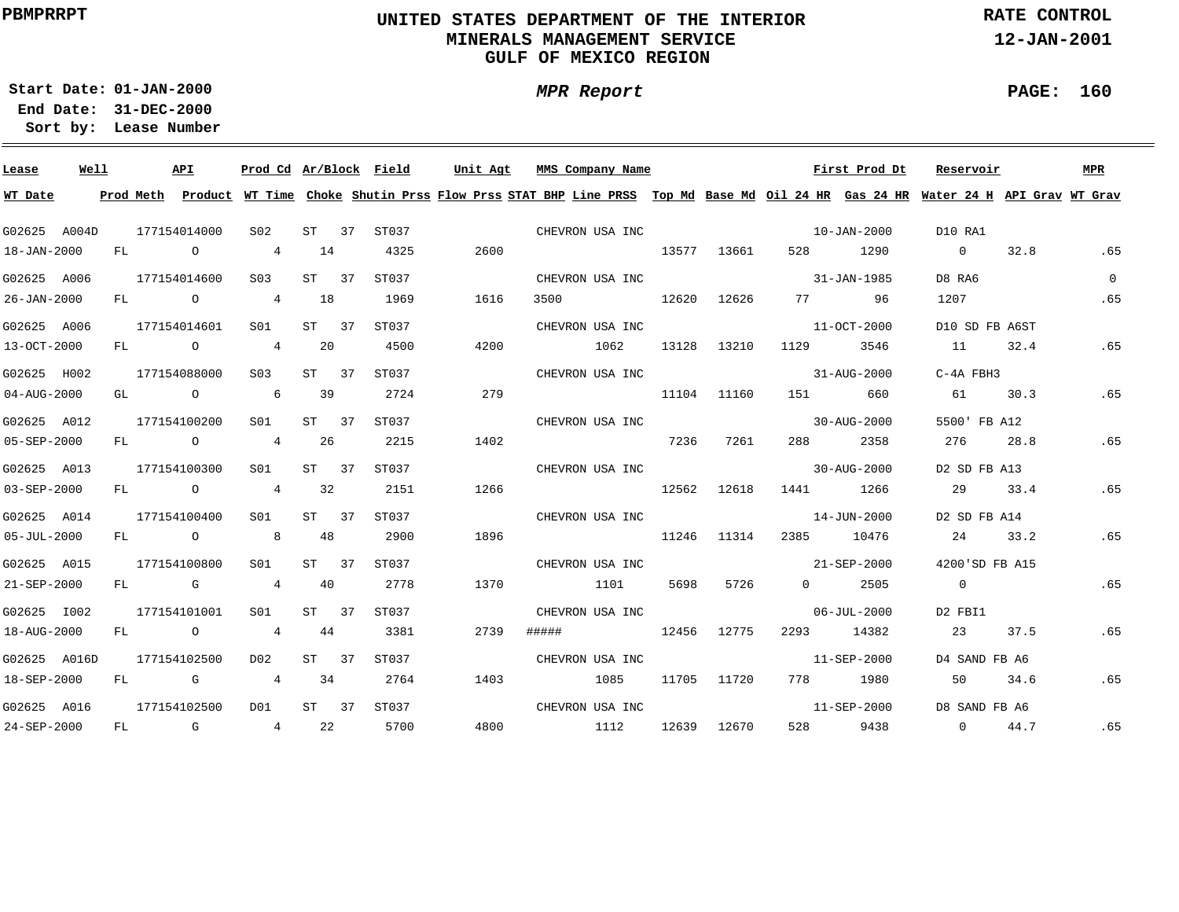## **UNITED STATES DEPARTMENT OF THE INTERIOR MINERALS MANAGEMENT SERVICEGULF OF MEXICO REGION**

**RATE CONTROL**

**12-JAN-2001**

**01-JAN-2000Start Date:31-DEC-2000 End Date:** 

**Lease Number Sort by:**

| Lease             | Well |    | API            | Prod Cd Ar/Block Field                                                                                                                                                                                                                                                                                                                                                              |         |             | Unit Agt | MMS Company Name                                                                                                                        |       |             |                   | First Prod Dt            | Reservoir      |      | MPR      |
|-------------------|------|----|----------------|-------------------------------------------------------------------------------------------------------------------------------------------------------------------------------------------------------------------------------------------------------------------------------------------------------------------------------------------------------------------------------------|---------|-------------|----------|-----------------------------------------------------------------------------------------------------------------------------------------|-------|-------------|-------------------|--------------------------|----------------|------|----------|
| WT Date           |      |    |                |                                                                                                                                                                                                                                                                                                                                                                                     |         |             |          | Prod Meth Product WT Time Choke Shutin Prss Flow Prss STAT BHP Line PRSS Top Md Base Md Oil 24 HR Gas 24 HR Water 24 H API Grav WT Grav |       |             |                   |                          |                |      |          |
| G02625 A004D      |      |    | 177154014000   | S02 <b>S</b>                                                                                                                                                                                                                                                                                                                                                                        |         | ST 37 ST037 |          | CHEVRON USA INC                                                                                                                         |       |             |                   | $10 - JAN - 2000$        | D10 RA1        |      |          |
| 18-JAN-2000       |      |    | FL O           | $4\phantom{.0000}\phantom{.0000}\phantom{.0000}\phantom{.0000}\phantom{.0000}\phantom{.0000}\phantom{.0000}\phantom{.0000}\phantom{.0000}\phantom{.0000}\phantom{.0000}\phantom{.0000}\phantom{.0000}\phantom{.0000}\phantom{.0000}\phantom{.0000}\phantom{.0000}\phantom{.0000}\phantom{.0000}\phantom{.0000}\phantom{.0000}\phantom{.0000}\phantom{.0000}\phantom{.0000}\phantom$ | 14      | 4325        | 2600     |                                                                                                                                         |       | 13577 13661 |                   | 528 1290                 | $\overline{0}$ | 32.8 | .65      |
| G02625 A006       |      |    | 177154014600   | S <sub>03</sub>                                                                                                                                                                                                                                                                                                                                                                     | ST 37   | ST037       |          | CHEVRON USA INC                                                                                                                         |       |             | 31-JAN-1985       |                          | D8 RA6         |      | $\Omega$ |
| $26 - JAN - 2000$ |      |    | FL O           | 4                                                                                                                                                                                                                                                                                                                                                                                   | 18      | 1969        | 1616     | 3500<br>12620                                                                                                                           |       | 12626       | 77 — 20           | 96                       | 1207           |      | .65      |
| G02625 A006       |      |    | 177154014601   | S01                                                                                                                                                                                                                                                                                                                                                                                 | ST 37   | ST037       |          | CHEVRON USA INC                                                                                                                         |       |             |                   | 11-OCT-2000              | D10 SD FB A6ST |      |          |
| 13-OCT-2000       |      | FL | $\overline{O}$ | 4                                                                                                                                                                                                                                                                                                                                                                                   | 20      | 4500        | 4200     | 1062                                                                                                                                    | 13128 | 13210       | 1129              | 3546                     | 11             | 32.4 | .65      |
| G02625 H002       |      |    | 177154088000   | S <sub>03</sub>                                                                                                                                                                                                                                                                                                                                                                     | ST 37   | ST037       |          | CHEVRON USA INC                                                                                                                         |       |             |                   | 31-AUG-2000              | $C-4A$ FBH3    |      |          |
| $04 - AUG - 2000$ |      | GL | $\overline{O}$ | $6\overline{6}$                                                                                                                                                                                                                                                                                                                                                                     | 39      | 2724        | 279      |                                                                                                                                         |       | 11104 11160 | 151               | 660                      | 61             | 30.3 | .65      |
| G02625 A012       |      |    | 177154100200   | S01 <b>S</b>                                                                                                                                                                                                                                                                                                                                                                        | $ST$ 37 | ST037       |          | CHEVRON USA INC                                                                                                                         |       |             |                   | $30 - \text{AUG} - 2000$ | 5500' FB A12   |      |          |
| 05-SEP-2000       |      | FL | $\overline{O}$ | $\overline{4}$                                                                                                                                                                                                                                                                                                                                                                      | 26      | 2215        | 1402     |                                                                                                                                         | 7236  | 7261        | 288 — 1           | 2358                     | 276            | 28.8 | .65      |
| G02625 A013       |      |    | 177154100300   | SO1                                                                                                                                                                                                                                                                                                                                                                                 | ST 37   | ST037       |          | CHEVRON USA INC                                                                                                                         |       |             |                   | $30 - AUG - 2000$        | D2 SD FB A13   |      |          |
| $03 - SEP - 2000$ |      |    | $FL$ 0 4       |                                                                                                                                                                                                                                                                                                                                                                                     | 32      | 2151        | 1266     | 12562 12618                                                                                                                             |       |             | 1441 1266         |                          | 29 33.4        |      | .65      |
| G02625 A014       |      |    | 177154100400   | SO1 SO                                                                                                                                                                                                                                                                                                                                                                              | ST 37   | ST037       |          | CHEVRON USA INC                                                                                                                         |       |             | $14 - JUN - 2000$ |                          | D2 SD FB A14   |      |          |
| $05 - JUL - 2000$ |      |    | FL O 8         |                                                                                                                                                                                                                                                                                                                                                                                     | 48      | 2900        | 1896     | 11246 11314                                                                                                                             |       |             | 2385 10476        |                          | 24 33.2        |      | .65      |
| G02625 A015       |      |    | 177154100800   | SO1 SO                                                                                                                                                                                                                                                                                                                                                                              | ST 37   | ST037       |          | CHEVRON USA INC                                                                                                                         |       |             | $21 - SEP - 2000$ |                          | 4200'SD FB A15 |      |          |
| 21-SEP-2000       |      |    | FL G           | 4 4 4 0                                                                                                                                                                                                                                                                                                                                                                             |         | 2778        | 1370     | 1101                                                                                                                                    | 5698  | 5726        | $0 \t 2505$       |                          | $\overline{0}$ |      | .65      |
| G02625 I002       |      |    | 177154101001   | S01                                                                                                                                                                                                                                                                                                                                                                                 | ST 37   | ST037       |          | CHEVRON USA INC                                                                                                                         |       |             |                   | $06 - JUL - 2000$        | D2 FBI1        |      |          |
| 18-AUG-2000       |      |    | $FL$ 0         | 4 44                                                                                                                                                                                                                                                                                                                                                                                |         | 3381        | 2739     | 12456 12775<br>#####                                                                                                                    |       |             | 2293 14382        |                          | 23             | 37.5 | .65      |
| G02625 A016D      |      |    | 177154102500   | D02                                                                                                                                                                                                                                                                                                                                                                                 | ST 37   | ST037       |          | CHEVRON USA INC                                                                                                                         |       |             |                   | 11-SEP-2000              | D4 SAND FB A6  |      |          |
| 18-SEP-2000       |      | FL | $\mathbf G$    | 4 34                                                                                                                                                                                                                                                                                                                                                                                |         | 2764        | 1403     | 1085                                                                                                                                    |       | 11705 11720 |                   | 778 1980                 | 50             | 34.6 | .65      |
| G02625 A016       |      |    | 177154102500   | DO1                                                                                                                                                                                                                                                                                                                                                                                 |         | ST 37 ST037 |          | CHEVRON USA INC                                                                                                                         |       |             |                   | 11-SEP-2000              | D8 SAND FB A6  |      |          |
| 24-SEP-2000       |      |    | $FL$ G         | 4 22                                                                                                                                                                                                                                                                                                                                                                                |         | 5700        | 4800     | 1112                                                                                                                                    |       | 12639 12670 |                   | 528 9438                 | $\overline{0}$ | 44.7 | .65      |

**PAGE: 160**

÷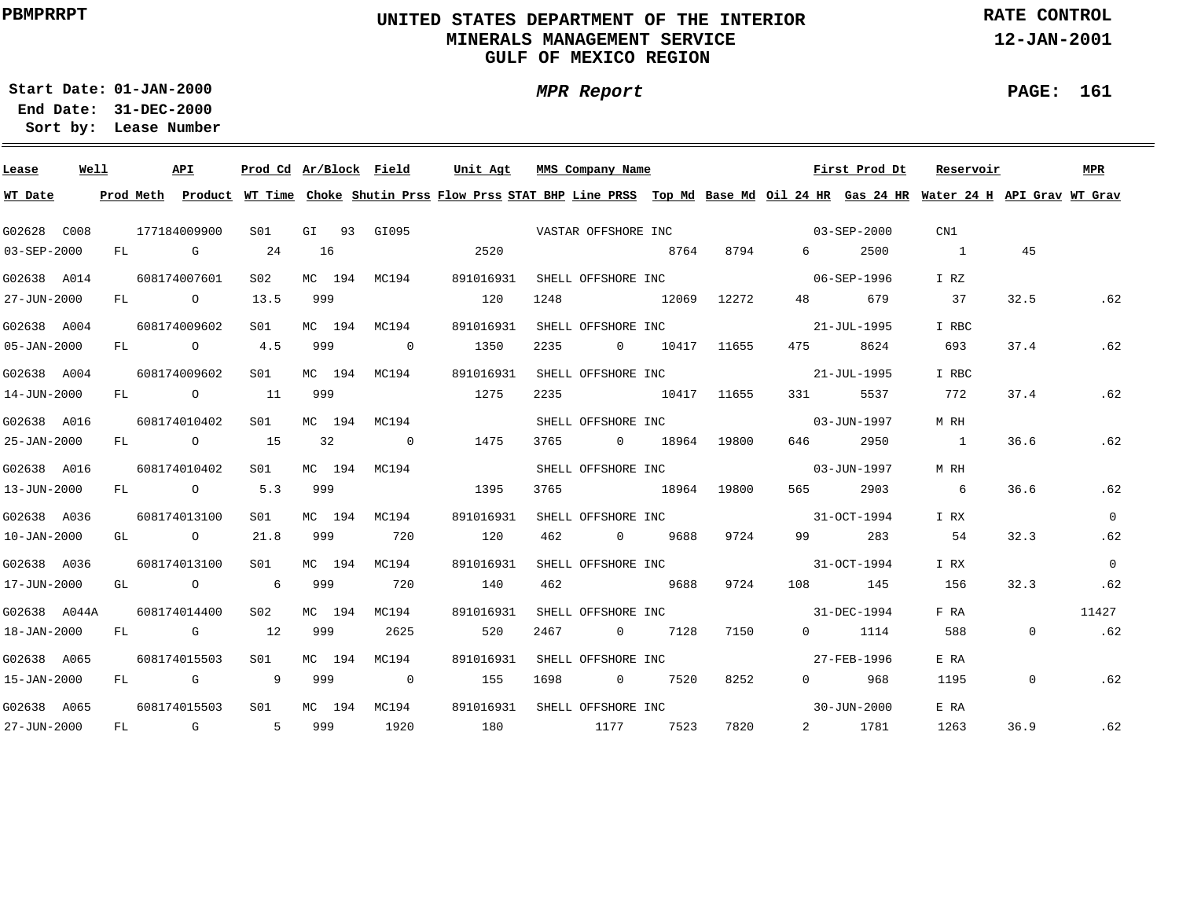### **UNITED STATES DEPARTMENT OF THE INTERIOR MINERALS MANAGEMENT SERVICEGULF OF MEXICO REGION**

**MPR Report**

**RATE CONTROL**

**12-JAN-2001**

**01-JAN-2000Start Date:31-DEC-2000 End Date:** 

**Lease Number Sort by:**

| Lease             | Well |  | API          | Prod Cd Ar/Block Field |     |        |                          | Unit Agt  |      |      | MMS Company Name                  |               |      |                  | First Prod Dt     | Reservoir                                                                                                                               |                | MPR      |
|-------------------|------|--|--------------|------------------------|-----|--------|--------------------------|-----------|------|------|-----------------------------------|---------------|------|------------------|-------------------|-----------------------------------------------------------------------------------------------------------------------------------------|----------------|----------|
| WT Date           |      |  |              |                        |     |        |                          |           |      |      |                                   |               |      |                  |                   | Prod Meth Product WT Time Choke Shutin Prss Flow Prss STAT BHP Line PRSS Top Md Base Md Oil 24 HR Gas 24 HR Water 24 H API Grav WT Grav |                |          |
| G02628 C008       |      |  | 177184009900 | SO1                    |     |        | GI 93 GI095              |           |      |      |                                   |               |      |                  |                   | CN1                                                                                                                                     |                |          |
| $03 - SEP - 2000$ |      |  | FL G         | 24                     | 16  |        |                          |           | 2520 |      |                                   | 8764          | 8794 | $6 \quad \sigma$ | 2500              | $\sim$ 1                                                                                                                                | 45             |          |
| G02638 A014       |      |  | 608174007601 | S02                    |     |        | MC 194 MC194             | 891016931 |      |      | SHELL OFFSHORE INC<br>06-SEP-1996 |               |      |                  |                   | I RZ                                                                                                                                    |                |          |
| 27-JUN-2000       |      |  | FL O         | 13.5                   | 999 |        |                          | 120       |      | 1248 |                                   | 12069 12272   |      |                  | 48 679            | 37                                                                                                                                      | 32.5           | .62      |
| G02638 A004       |      |  | 608174009602 | S01                    |     |        | MC 194 MC194             | 891016931 |      |      | SHELL OFFSHORE INC 31-JUL-1995    |               |      |                  |                   | I RBC                                                                                                                                   |                |          |
| $05 - JAN - 2000$ |      |  | FL 0 4.5     |                        | 999 |        | $\overline{\phantom{0}}$ |           | 1350 | 2235 |                                   | 0 10417 11655 |      | 475 — 17         | 8624              | 693                                                                                                                                     | 37.4           | .62      |
| G02638 A004       |      |  | 608174009602 | SO1                    |     |        | MC 194 MC194             | 891016931 |      |      | SHELL OFFSHORE INC                |               |      |                  | 21-JUL-1995       | I RBC                                                                                                                                   |                |          |
| 14-JUN-2000       |      |  | FL 0 11      |                        | 999 |        |                          | 1275      |      | 2235 |                                   | 10417 11655   |      | 331              | 5537              | 772                                                                                                                                     | 37.4           | .62      |
| G02638 A016       |      |  | 608174010402 | SO1                    |     |        | MC 194 MC194             |           |      |      | SHELL OFFSHORE INC                |               |      |                  | $03 - JUN - 1997$ | M RH                                                                                                                                    |                |          |
| 25-JAN-2000       |      |  | FL 0 15      |                        | 32  |        | $\sim$ 0                 |           | 1475 | 3765 |                                   | 0 18964 19800 |      | 646 —            | 2950              | $\sim$ 1                                                                                                                                | 36.6           | .62      |
| G02638 A016       |      |  | 608174010402 | SO1                    |     |        | MC 194 MC194             |           |      |      | SHELL OFFSHORE INC                |               |      |                  | 03-JUN-1997       | M RH                                                                                                                                    |                |          |
| 13-JUN-2000       |      |  | FL 0 5.3     |                        | 999 |        |                          | 1395      |      | 3765 | 18964 19800                       |               |      | 565 — 1          | 2903              | $6\overline{6}$                                                                                                                         | 36.6           | .62      |
| G02638 A036       |      |  | 608174013100 | SO1 SO                 |     | MC 194 | MC194                    | 891016931 |      |      | SHELL OFFSHORE INC 31-OCT-1994    |               |      |                  |                   | I RX                                                                                                                                    |                | $\Omega$ |
| $10 - JAN - 2000$ |      |  | GL 0 21.8    |                        | 999 |        | 720                      | 120       |      | 462  | 0 9688 9724                       |               |      |                  | 99 283            | 54                                                                                                                                      | 32.3           | .62      |
| G02638 A036       |      |  | 608174013100 | S01 <b>S</b>           |     | MC 194 | MC194                    | 891016931 |      |      | SHELL OFFSHORE INC 31-OCT-1994    |               |      |                  |                   | I RX                                                                                                                                    |                | $\Omega$ |
| 17-JUN-2000       |      |  | GL O         | 6 999                  |     |        | 720                      | 140       |      | 462  |                                   | 5688 9688     | 9724 |                  | 108 145           | 156                                                                                                                                     | 32.3           | .62      |
| G02638 A044A      |      |  | 608174014400 | S02                    |     |        | MC 194 MC194             | 891016931 |      |      | SHELL OFFSHORE INC 31-DEC-1994    |               |      |                  |                   | F RA                                                                                                                                    |                | 11427    |
| 18-JAN-2000       |      |  | FL G 12      |                        | 999 |        | 2625                     |           | 520  | 2467 |                                   | 0 7128        | 7150 |                  | $0 \t1114$        | 588                                                                                                                                     | $\Omega$       | .62      |
| G02638 A065       |      |  | 608174015503 | S01                    |     | MC 194 | MC194                    | 891016931 |      |      | SHELL OFFSHORE INC                |               |      |                  | 27-FEB-1996       | E RA                                                                                                                                    |                |          |
| 15-JAN-2000       |      |  | FL G         | $\overline{9}$         | 999 |        | $\overline{\phantom{0}}$ | 155       |      | 1698 |                                   | 0 7520        | 8252 |                  | 0 968             | 1195                                                                                                                                    | $\overline{0}$ | .62      |
| G02638 A065       |      |  | 608174015503 | SO1                    |     |        | MC 194 MC194             | 891016931 |      |      | SHELL OFFSHORE INC                |               |      |                  | $30 - JUN - 2000$ | E RA                                                                                                                                    |                |          |
| 27-JUN-2000       |      |  | FL G 5 999   |                        |     |        | 1920                     | 180       |      |      | 1177 7523                         |               | 7820 |                  | 2 1781            | 1263                                                                                                                                    | 36.9           | .62      |

**PAGE: 161**

÷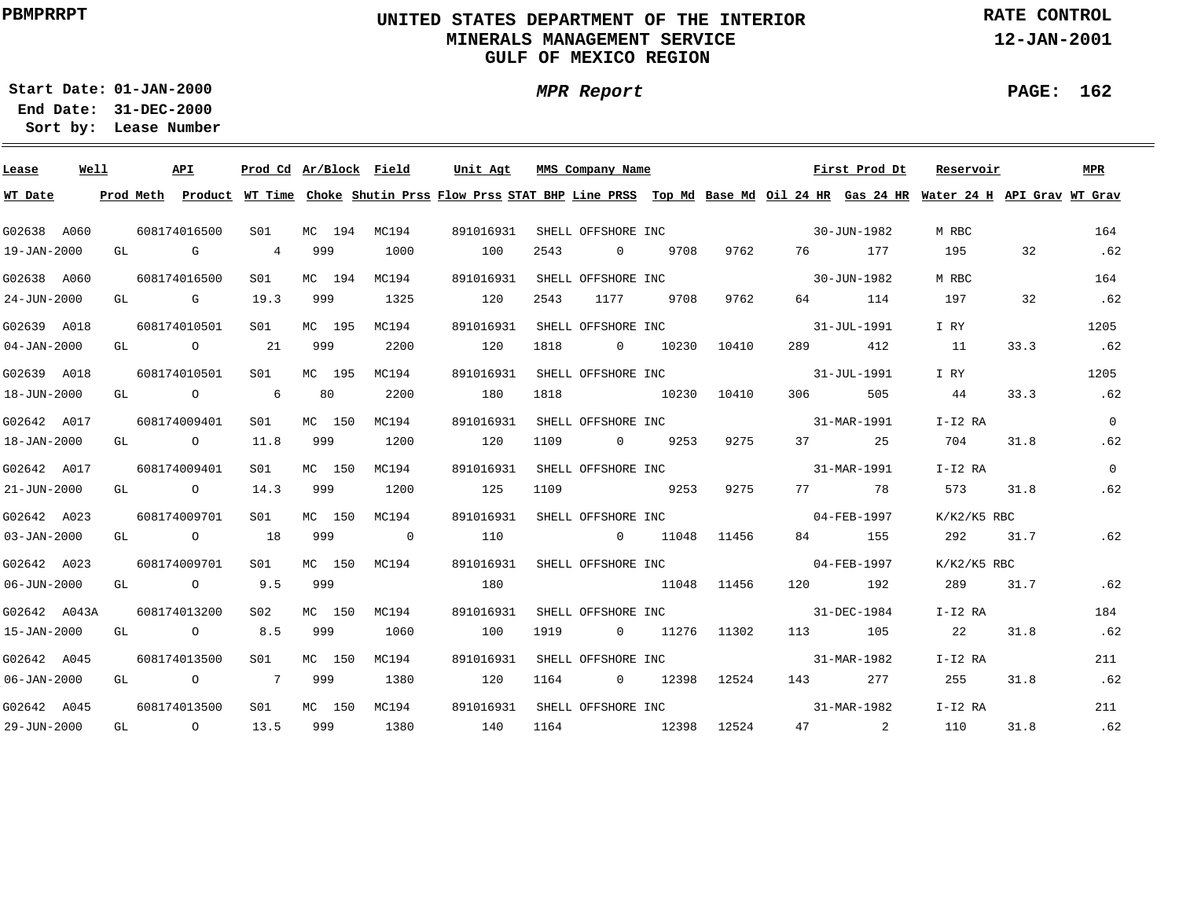### **UNITED STATES DEPARTMENT OF THE INTERIOR MINERALS MANAGEMENT SERVICEGULF OF MEXICO REGION**

**MPR Report**

**RATE CONTROL**

**12-JAN-2001**

**01-JAN-2000Start Date:**

**31-DEC-2000 End Date: Lease Number Sort by:**

| Lease             | Well | API                                   |                 |        | Prod Cd Ar/Block Field | Unit Agt                                                                                                                                |      | MMS Company Name   |               |       |                                                                                                                                                                                                                                 | First Prod Dt | Reservoir     |      | <b>MPR</b>     |
|-------------------|------|---------------------------------------|-----------------|--------|------------------------|-----------------------------------------------------------------------------------------------------------------------------------------|------|--------------------|---------------|-------|---------------------------------------------------------------------------------------------------------------------------------------------------------------------------------------------------------------------------------|---------------|---------------|------|----------------|
| WT Date           |      |                                       |                 |        |                        | Prod Meth Product WT Time Choke Shutin Prss Flow Prss STAT BHP Line PRSS Top Md Base Md Oil 24 HR Gas 24 HR Water 24 H API Grav WT Grav |      |                    |               |       |                                                                                                                                                                                                                                 |               |               |      |                |
| G02638 A060       |      | 608174016500                          | SO1             | MC 194 | MC194                  | 891016931                                                                                                                               |      |                    |               |       | SHELL OFFSHORE INC 30-JUN-1982                                                                                                                                                                                                  |               | M RBC         |      | 164            |
| 19-JAN-2000       |      | GL G                                  | 4 999           |        | 1000                   | 100                                                                                                                                     | 2543 | $\Omega$           | 9708          | 9762  |                                                                                                                                                                                                                                 | 76 177        | 195           | 32   | .62            |
| G02638 A060       |      | 608174016500                          | S01             | MC 194 | MC194                  | 891016931                                                                                                                               |      | SHELL OFFSHORE INC |               |       | $30 - JUN - 1982$                                                                                                                                                                                                               |               | M RBC         |      | 164            |
| 24-JUN-2000       |      | GL G                                  | 19.3            | 999    | 1325                   | 120                                                                                                                                     | 2543 | 1177               | 9708          | 9762  |                                                                                                                                                                                                                                 | 64 114        | 197           | 32   | .62            |
| G02639 A018       |      | 608174010501                          | S01             | MC 195 | MC194                  | 891016931                                                                                                                               |      | SHELL OFFSHORE INC |               |       | $31 - JUL - 1991$                                                                                                                                                                                                               |               | I RY          |      | 1205           |
| $04 - JAN - 2000$ |      | GL $\qquad \qquad 0 \qquad \qquad 21$ |                 | 999    | 2200                   | 120                                                                                                                                     | 1818 | $\overline{0}$     | 10230         | 10410 | 289 — 289 — 289 — 289 — 289 — 289 — 289 — 289 — 289 — 289 — 289 — 289 — 289 — 289 — 289 — 289 — 289 — 289 — 289 — 289 — 289 — 289 — 289 — 289 — 289 — 289 — 289 — 289 — 289 — 289 — 289 — 289 — 289 — 289 — 289 — 289 — 289 — 2 | 412           | 11            | 33.3 | .62            |
| G02639 A018       |      | 608174010501                          | S01 <b>S</b>    | MC 195 | MC194                  | 891016931                                                                                                                               |      |                    |               |       | SHELL OFFSHORE INC 31-JUL-1991                                                                                                                                                                                                  |               | I RY          |      | 1205           |
| 18-JUN-2000       |      | GL O                                  | $6\overline{6}$ | 80     | 2200                   | 180                                                                                                                                     | 1818 | 10230              |               | 10410 | 306 700                                                                                                                                                                                                                         | 505           | 44            | 33.3 | .62            |
| G02642 A017       |      | 608174009401                          | SO1 SO          | MC 150 | MC194                  | 891016931                                                                                                                               |      |                    |               |       | SHELL OFFSHORE INC 31-MAR-1991                                                                                                                                                                                                  |               | I-I2 RA       |      | $\overline{0}$ |
| 18-JAN-2000       |      | GL O                                  | 11.8            | 999    | 1200                   | 120                                                                                                                                     | 1109 | $0$ 9253           |               | 9275  |                                                                                                                                                                                                                                 | 37 25         | 704           | 31.8 | .62            |
| G02642 A017       |      | 608174009401                          | SO1 SO          | MC 150 | MC194                  | 891016931                                                                                                                               |      |                    |               |       | SHELL OFFSHORE INC 31-MAR-1991                                                                                                                                                                                                  |               | $I-I2 RA$     |      | $\overline{0}$ |
| 21-JUN-2000       |      | GL O                                  | 14.3            | 999    | 1200                   | 125                                                                                                                                     | 1109 | 9253               |               | 9275  |                                                                                                                                                                                                                                 | 77 78         | 573           | 31.8 | .62            |
| G02642 A023       |      | 608174009701                          | S01 -           | MC 150 | MC194                  | 891016931                                                                                                                               |      |                    |               |       | SHELL OFFSHORE INC 04-FEB-1997                                                                                                                                                                                                  |               | $K/K2/K5$ RBC |      |                |
| $03 - JAN - 2000$ |      | GL $\qquad \qquad 0 \qquad \qquad 18$ |                 | 999    | $\sim$ 0               | 110                                                                                                                                     |      | 0 11048 11456      |               |       |                                                                                                                                                                                                                                 | 84 155        | 292           | 31.7 | .62            |
| G02642 A023       |      | 608174009701                          | S01 <b>S</b>    | MC 150 | MC194                  | 891016931 SHELL OFFSHORE INC 64-FEB-1997                                                                                                |      |                    |               |       |                                                                                                                                                                                                                                 |               | K/K2/K5 RBC   |      |                |
| $06 - JUN - 2000$ |      | GL 0 9.5                              |                 | 999    |                        | 180                                                                                                                                     |      | 11048 11456        |               |       |                                                                                                                                                                                                                                 | 120 192       | 289           | 31.7 | .62            |
| G02642 A043A      |      | 608174013200                          | S02             | MC 150 | MC194                  | 891016931                                                                                                                               |      | SHELL OFFSHORE INC |               |       | $31 - DEC - 1984$                                                                                                                                                                                                               |               | I-I2 RA       |      | 184            |
| 15-JAN-2000       |      | GL 0 8.5                              |                 | 999    | 1060                   | 100                                                                                                                                     | 1919 |                    | 0 11276 11302 |       |                                                                                                                                                                                                                                 | 113 105       | 22            | 31.8 | .62            |
| G02642 A045       |      | 608174013500                          | S01             | MC 150 | MC194                  | 891016931                                                                                                                               |      | SHELL OFFSHORE INC |               |       | $31 - \text{MAR} - 1982$                                                                                                                                                                                                        |               | I-I2 RA       |      | 211            |
| 06-JAN-2000       |      | GL 0 7 999                            |                 |        | 1380                   | 120                                                                                                                                     |      | 1164 0 12398       |               | 12524 |                                                                                                                                                                                                                                 | 143 277       | 255           | 31.8 | .62            |
| G02642 A045       |      | 608174013500                          | S <sub>01</sub> | MC 150 | MC194                  | 891016931                                                                                                                               |      | SHELL OFFSHORE INC |               |       |                                                                                                                                                                                                                                 | 31-MAR-1982   | $I-I2$ RA     |      | 211            |
| 29-JUN-2000       |      | GL O                                  | 13.5 999        |        | 1380                   | 140                                                                                                                                     |      | 1164 12398         |               | 12524 |                                                                                                                                                                                                                                 | 47 2          | 110           | 31.8 | .62            |

**PAGE: 162**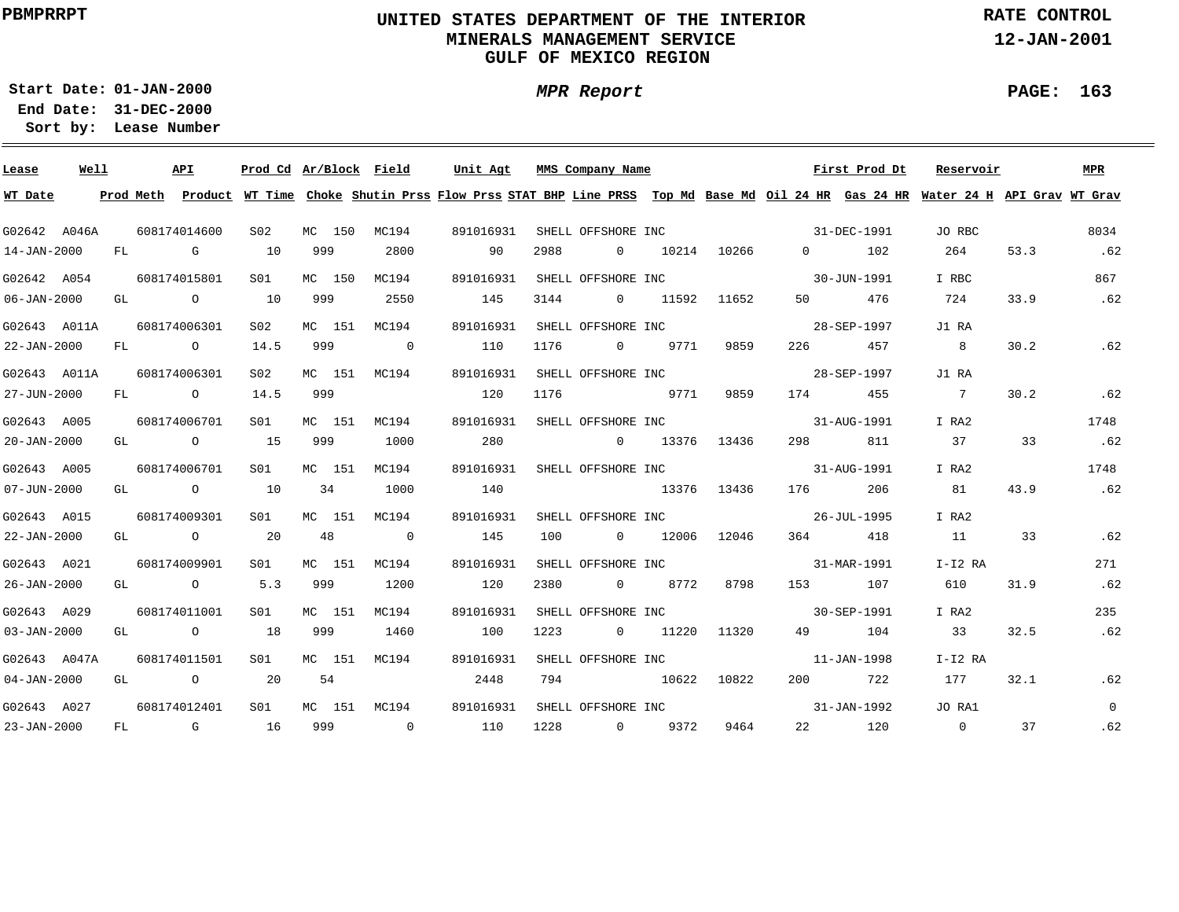### **UNITED STATES DEPARTMENT OF THE INTERIOR MINERALS MANAGEMENT SERVICEGULF OF MEXICO REGION**

**MPR Report**

**RATE CONTROL**

**12-JAN-2001**

÷

**01-JAN-2000Start Date:31-DEC-2000 End Date:** 

**Lease Number Sort by:**

| Lease                     | Well |  | API                                   |                 |     | Prod Cd Ar/Block Field Unit Agt MMS Company Name |     |           |      |                              |               |      | First Prod Dt                     | Reservoir                                                                                                                               |      | MPR            |
|---------------------------|------|--|---------------------------------------|-----------------|-----|--------------------------------------------------|-----|-----------|------|------------------------------|---------------|------|-----------------------------------|-----------------------------------------------------------------------------------------------------------------------------------------|------|----------------|
| WT Date                   |      |  |                                       |                 |     |                                                  |     |           |      |                              |               |      |                                   | Prod Meth Product WT Time Choke Shutin Prss Flow Prss STAT BHP Line PRSS Top Md Base Md Oil 24 HR Gas 24 HR Water 24 H API Grav WT Grav |      |                |
| G02642 A046A              |      |  | 608174014600                          | S02             |     | MC 150 MC194                                     |     | 891016931 |      |                              |               |      | SHELL OFFSHORE INC<br>31-DEC-1991 | JO RBC                                                                                                                                  |      | 8034           |
| 14-JAN-2000               |      |  | FL G 10 999                           |                 |     | 2800                                             | 90  |           | 2988 | $0$ 10214 10266              |               |      | $0$ 102                           | 264                                                                                                                                     | 53.3 | .62            |
| G02642 A054               |      |  | 608174015801                          | S01 MC 150      |     | MC194                                            |     | 891016931 |      | SHELL OFFSHORE INC           |               |      | 30-JUN-1991                       | I RBC                                                                                                                                   |      | 867            |
| $06 - JAN - 2000$         |      |  | GL O                                  | 10              | 999 | 2550                                             | 145 |           | 3144 |                              | 0 11592 11652 |      | 50 476                            | 724                                                                                                                                     | 33.9 | .62            |
| G02643 A011A 608174006301 |      |  |                                       | S02             |     | MC 151 MC194                                     |     | 891016931 |      |                              |               |      | SHELL OFFSHORE INC 38-SEP-1997    | J1 RA                                                                                                                                   |      |                |
|                           |      |  | 22-JAN-2000 FL 0                      | 14.5            | 999 | $\sim$ 0                                         |     | 110       | 1176 |                              | 0 9771 9859   |      | 226 457                           | 8 <sup>8</sup>                                                                                                                          | 30.2 | .62            |
|                           |      |  | G02643 A011A 608174006301             | S02             |     | MC 151 MC194                                     |     |           |      | 891016931 SHELL OFFSHORE INC |               |      | 28-SEP-1997                       | J1 RA                                                                                                                                   |      |                |
| 27-JUN-2000               |      |  | FL O                                  | 14.5            | 999 |                                                  |     | 120       | 1176 |                              | 9771          | 9859 | 174 455                           | $\overline{7}$                                                                                                                          | 30.2 | .62            |
| G02643 A005               |      |  | 608174006701                          | S01             |     | MC 151 MC194                                     |     |           |      | 891016931 SHELL OFFSHORE INC |               |      | 31-AUG-1991                       | I RA2                                                                                                                                   |      | 1748           |
| $20 - JAN - 2000$         |      |  | GL $\qquad \qquad 0 \qquad \qquad 15$ |                 | 999 | 1000                                             |     | 280       |      | 0 13376 13436                |               |      | 298 811                           | 37                                                                                                                                      | 33   | .62            |
| G02643 A005               |      |  | 608174006701                          | S01             |     | MC 151 MC194                                     |     | 891016931 |      |                              |               |      | SHELL OFFSHORE INC 31-AUG-1991    | I RA2                                                                                                                                   |      | 1748           |
| $07 - JUN - 2000$         |      |  | GL 0 10                               |                 |     | 34 1000                                          | 140 |           |      |                              |               |      | 13376 13436 176 206               | 81                                                                                                                                      | 43.9 | .62            |
| G02643 A015               |      |  | 608174009301                          | S01 <b>S</b>    |     | MC 151 MC194                                     |     | 891016931 |      |                              |               |      | SHELL OFFSHORE INC 36-JUL-1995    | I RA2                                                                                                                                   |      |                |
| 22-JAN-2000               |      |  | GL 0 20 48 0                          |                 |     |                                                  | 145 |           |      | 100 0 12006 12046            |               |      | 364 418                           | 11                                                                                                                                      | 33   | .62            |
| G02643 A021               |      |  | 608174009901                          | S01             |     | MC 151 MC194                                     |     | 891016931 |      |                              |               |      | SHELL OFFSHORE INC 31-MAR-1991    | I-I2 RA                                                                                                                                 |      | 271            |
| 26-JAN-2000               |      |  | GL 0 5.3 999                          |                 |     | 1200                                             | 120 |           | 2380 | 0 8772 8798                  |               |      | 153 107                           | 610                                                                                                                                     | 31.9 | .62            |
| G02643 A029               |      |  | 608174011001                          | S01             |     | MC 151 MC194                                     |     | 891016931 |      | SHELL OFFSHORE INC           |               |      | $30 - SEP - 1991$                 | I RA2                                                                                                                                   |      | 235            |
| $03 - JAN - 2000$         |      |  | GL 0 18                               |                 | 999 | 1460                                             | 100 |           |      | 1223 0 11220 11320           |               |      | 49 104                            | 33                                                                                                                                      | 32.5 | .62            |
| G02643 A047A              |      |  | 608174011501                          | S01             |     | MC 151 MC194                                     |     | 891016931 |      |                              |               |      | SHELL OFFSHORE INC 11-JAN-1998    | I-I2 RA                                                                                                                                 |      |                |
|                           |      |  | 04-JAN-2000 GL 0 20                   |                 | 54  |                                                  |     | 2448      |      | 794 10622 10822              |               |      | 200 722                           | 177                                                                                                                                     | 32.1 | .62            |
|                           |      |  | G02643 A027 608174012401              | S <sub>01</sub> |     | MC 151 MC194                                     |     | 891016931 |      |                              |               |      | SHELL OFFSHORE INC<br>31-JAN-1992 | JO RA1                                                                                                                                  |      | $\overline{0}$ |
| 23-JAN-2000               |      |  |                                       |                 |     |                                                  |     |           |      |                              |               | 9464 |                                   | 22 120 0                                                                                                                                | 37   | .62            |

#### **PAGE: 163**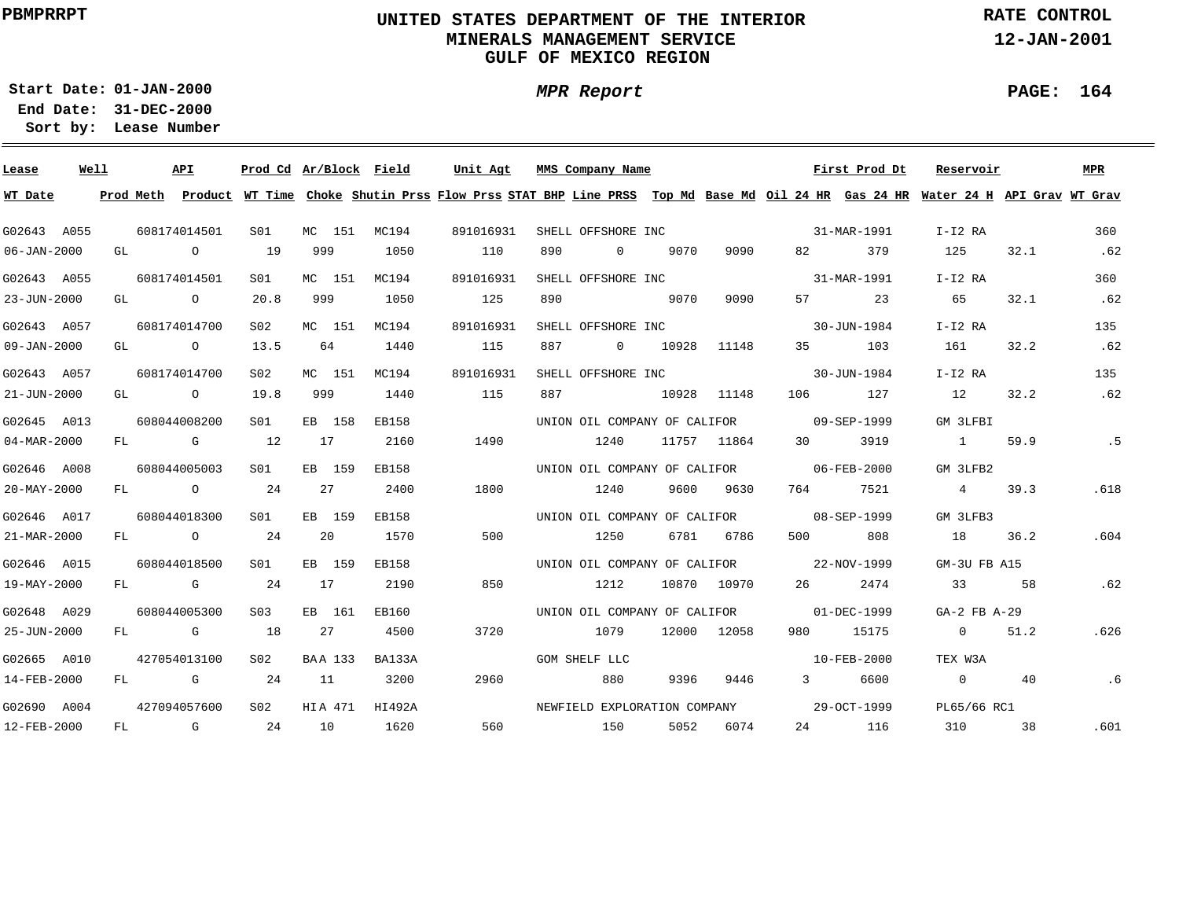### **UNITED STATES DEPARTMENT OF THE INTERIOR MINERALS MANAGEMENT SERVICEGULF OF MEXICO REGION**

**MPR Report**

**RATE CONTROL**

**12-JAN-2001**

**PAGE: 164**

÷

**01-JAN-2000Start Date:**

| Lease       | Well |    | API          |                 | Prod Cd Ar/Block Field |              | Unit Agt                                                                                                                                | MMS Company Name             |                |       |             |                                          | First Prod Dt | Reservoir        |      | MPR  |
|-------------|------|----|--------------|-----------------|------------------------|--------------|-----------------------------------------------------------------------------------------------------------------------------------------|------------------------------|----------------|-------|-------------|------------------------------------------|---------------|------------------|------|------|
| WT Date     |      |    |              |                 |                        |              | Prod Meth Product WT Time Choke Shutin Prss Flow Prss STAT BHP Line PRSS Top Md Base Md Oil 24 HR Gas 24 HR Water 24 H API Grav WT Grav |                              |                |       |             |                                          |               |                  |      |      |
| G02643 A055 |      |    | 608174014501 | S01             | MC 151 MC194           |              | 891016931                                                                                                                               | SHELL OFFSHORE INC           |                |       |             | 31-MAR-1991                              |               | I-I2 RA          |      | 360  |
| 06-JAN-2000 |      |    | GL O         | 19              | 999                    | 1050         | 110                                                                                                                                     | 890                          | $\Omega$       | 9070  | 9090        | 82                                       | 379           | 125              | 32.1 | .62  |
| G02643 A055 |      |    | 608174014501 | S <sub>01</sub> | MC 151                 | MC194        | 891016931                                                                                                                               | SHELL OFFSHORE INC           |                |       |             |                                          | 31-MAR-1991   | I-I2 RA          |      | 360  |
| 23-JUN-2000 |      |    | GL O         | 20.8            | 999                    | 1050         | 125                                                                                                                                     | 890                          |                | 9070  | 9090        | 57 — 1                                   | 23            | 65               | 32.1 | .62  |
| G02643 A057 |      |    | 608174014700 | S <sub>02</sub> | MC 151                 | MC194        | 891016931                                                                                                                               | SHELL OFFSHORE INC           |                |       |             |                                          | 30-JUN-1984   | $I-I2 RA$        |      | 135  |
| 09-JAN-2000 |      |    | GL O         | 13.5            | 64                     | 1440         | 115                                                                                                                                     | 887                          | $\overline{0}$ | 10928 | 11148       | 35                                       | 103           | 161              | 32.2 | .62  |
| G02643 A057 |      |    | 608174014700 | S02             | MC 151                 | MC194        | 891016931                                                                                                                               | SHELL OFFSHORE INC           |                |       |             |                                          | 30-JUN-1984   | $I-I2 RA$        |      | 135  |
| 21-JUN-2000 |      |    | GL O         | 19.8            | 999                    | 1440         | 115                                                                                                                                     | 887                          |                | 10928 | 11148       | 106                                      | 127           | 12               | 32.2 | .62  |
| G02645 A013 |      |    | 608044008200 | S <sub>01</sub> | EB 158                 | <b>EB158</b> |                                                                                                                                         |                              |                |       |             | UNION OIL COMPANY OF CALIFOR 09-SEP-1999 |               | GM 3LFBI         |      |      |
| 04-MAR-2000 |      |    | FL G         | 12              | 17                     | 2160         | 1490                                                                                                                                    |                              | 1240           |       | 11757 11864 | 30                                       | 3919          | 1                | 59.9 | .5   |
| G02646 A008 |      |    | 608044005003 | S01             | EB 159                 | EB158        |                                                                                                                                         |                              |                |       |             | UNION OIL COMPANY OF CALIFOR 06-FEB-2000 |               | GM 3LFB2         |      |      |
| 20-MAY-2000 |      |    | FL O         | 24              | 27                     | 2400         | 1800                                                                                                                                    |                              | 1240           |       | 9600 9630   | 764 — 10                                 | 7521          | $4\overline{4}$  | 39.3 | .618 |
| G02646 A017 |      |    | 608044018300 | SO1             | EB 159                 | EB158        |                                                                                                                                         |                              |                |       |             | UNION OIL COMPANY OF CALIFOR 08-SEP-1999 |               | GM 3LFB3         |      |      |
| 21-MAR-2000 |      |    | FL O         | 24              | 20                     | 1570         | 500                                                                                                                                     |                              | 1250           | 6781  | 6786        |                                          | 808           | 18               | 36.2 | .604 |
| G02646 A015 |      |    | 608044018500 | SO1             | EB 159                 | EB158        |                                                                                                                                         |                              |                |       |             | UNION OIL COMPANY OF CALIFOR 22-NOV-1999 |               | GM-3U FB A15     |      |      |
| 19-MAY-2000 |      |    | FL G         | 24              | 17                     | 2190         | 850                                                                                                                                     |                              | 1212           |       | 10870 10970 | 26                                       | 2474          | 33               | 58   | .62  |
| G02648 A029 |      |    | 608044005300 | S03             | EB 161                 | EB160        |                                                                                                                                         | UNION OIL COMPANY OF CALIFOR |                |       |             | 01-DEC-1999                              |               | $GA-2$ FB $A-29$ |      |      |
| 25-JUN-2000 |      |    | FL G         | 18              | 27                     | 4500         | 3720                                                                                                                                    |                              | 1079           |       | 12000 12058 | 980                                      | 15175         | $\overline{0}$   | 51.2 | .626 |
| G02665 A010 |      |    | 427054013100 | S02             | BAA 133                | BA133A       |                                                                                                                                         | GOM SHELF LLC                |                |       |             |                                          | 10-FEB-2000   | TEX W3A          |      |      |
| 14-FEB-2000 |      |    | FL G         | 24              | 11                     | 3200         | 2960                                                                                                                                    |                              | 880            | 9396  | 9446        | $3 \left( \frac{1}{2} \right)$           | 6600          | $\overline{0}$   | 40   | .6   |
| G02690 A004 |      |    | 427094057600 | S <sub>02</sub> | HIA 471                | HI492A       |                                                                                                                                         | NEWFIELD EXPLORATION COMPANY |                |       |             | 29-OCT-1999                              |               | PL65/66 RC1      |      |      |
| 12-FEB-2000 |      | FL | $\mathbf G$  | 24              | 10                     | 1620         | 560                                                                                                                                     | 150                          |                | 5052  | 6074        |                                          | 24 116        | 310              | 38   | .601 |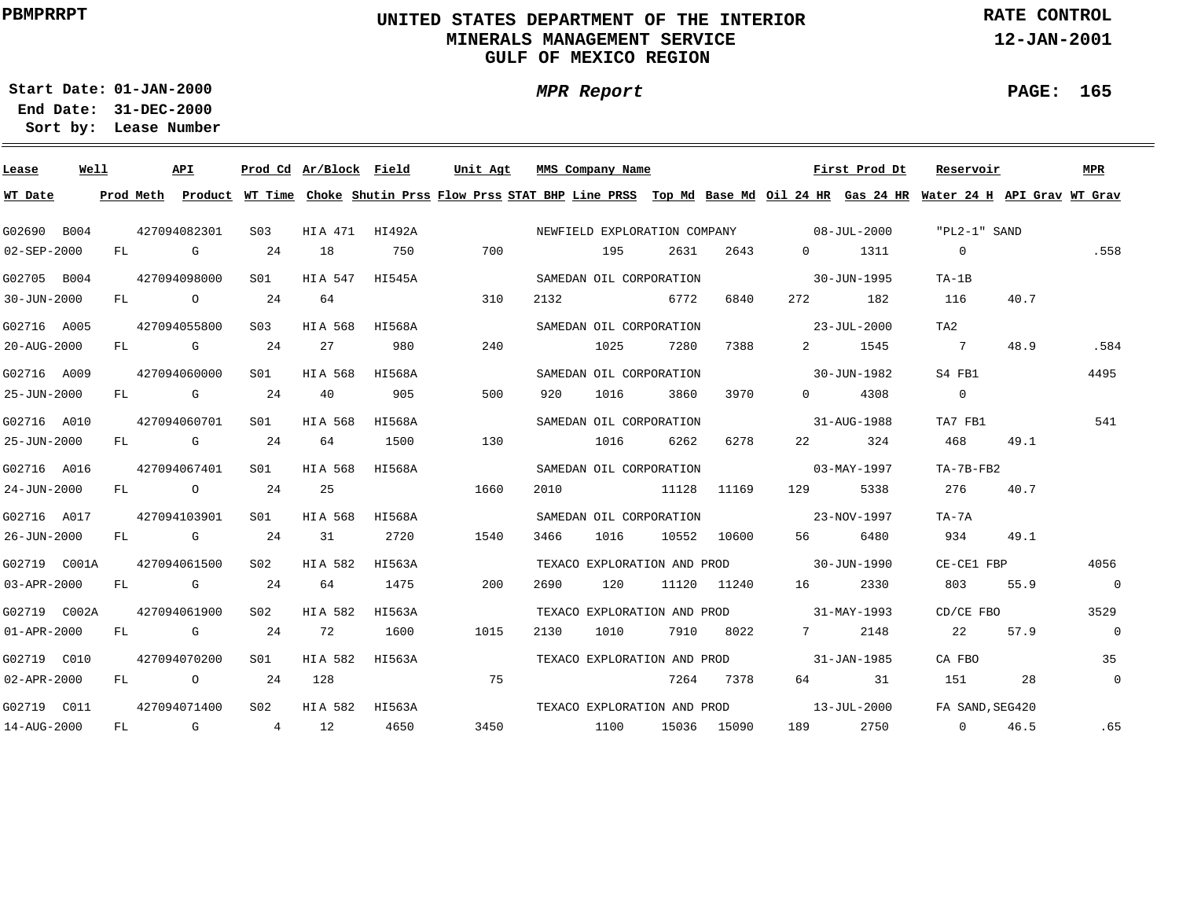### **UNITED STATES DEPARTMENT OF THE INTERIOR MINERALS MANAGEMENT SERVICEGULF OF MEXICO REGION**

**MPR Report**

**RATE CONTROL**

**12-JAN-2001**

**PAGE: 165**

÷

**01-JAN-2000Start Date:31-DEC-2000 End Date:** 

| Lease             | Well |    | API          |                 | Prod Cd Ar/Block Field |        | Unit Agt                                                                                                                                |      | MMS Company Name            |       |             |                                                                                                                                                                                                                                 | First Prod Dt | Reservoir         |      | <b>MPR</b>     |
|-------------------|------|----|--------------|-----------------|------------------------|--------|-----------------------------------------------------------------------------------------------------------------------------------------|------|-----------------------------|-------|-------------|---------------------------------------------------------------------------------------------------------------------------------------------------------------------------------------------------------------------------------|---------------|-------------------|------|----------------|
| WT Date           |      |    |              |                 |                        |        | Prod Meth Product WT Time Choke Shutin Prss Flow Prss STAT BHP Line PRSS Top Md Base Md Oil 24 HR Gas 24 HR Water 24 H API Grav WT Grav |      |                             |       |             |                                                                                                                                                                                                                                 |               |                   |      |                |
| G02690 B004       |      |    | 427094082301 | S03             | HIA 471 HI492A         |        |                                                                                                                                         |      |                             |       |             | NEWFIELD EXPLORATION COMPANY 08-JUL-2000                                                                                                                                                                                        |               | "PL2-1" SAND      |      |                |
| 02-SEP-2000       |      |    | FL G         | 24              | 18                     | 750    | 700                                                                                                                                     |      | 195                         | 2631  | 2643        | $\Omega$                                                                                                                                                                                                                        | 1311          | $\sim$ 0          |      | .558           |
| G02705 B004       |      |    | 427094098000 | S01             | HIA 547                | HI545A |                                                                                                                                         |      | SAMEDAN OIL CORPORATION     |       |             | $30 - JUN - 1995$                                                                                                                                                                                                               |               | $TA-1B$           |      |                |
| 30-JUN-2000       |      |    | FL O         | 24              | 64                     |        | 310                                                                                                                                     | 2132 |                             | 6772  | 6840        | 272                                                                                                                                                                                                                             | 182           | 116               | 40.7 |                |
| G02716 A005       |      |    | 427094055800 | S <sub>03</sub> | HIA 568                | HI568A |                                                                                                                                         |      | SAMEDAN OIL CORPORATION     |       |             | $23 - JUL - 2000$                                                                                                                                                                                                               |               | TA <sub>2</sub>   |      |                |
| 20-AUG-2000       |      |    | FL G         | 24              | 27                     | 980    | 240                                                                                                                                     |      | 1025                        | 7280  | 7388        |                                                                                                                                                                                                                                 | 2 1545        | $\overline{7}$    | 48.9 | .584           |
| G02716 A009       |      |    | 427094060000 | S01             | HIA 568 HI568A         |        |                                                                                                                                         |      | SAMEDAN OIL CORPORATION     |       |             | 30-JUN-1982                                                                                                                                                                                                                     |               | S4 FB1            |      | 4495           |
| 25-JUN-2000       |      |    | FL G         | 24              | 40                     | 905    | 500                                                                                                                                     | 920  | 1016                        | 3860  | 3970        | $\Omega$                                                                                                                                                                                                                        | 4308          | $\Omega$          |      |                |
| G02716 A010       |      |    | 427094060701 | S <sub>01</sub> | HIA 568 HI568A         |        |                                                                                                                                         |      | SAMEDAN OIL CORPORATION     |       |             |                                                                                                                                                                                                                                 | 31-AUG-1988   | TA7 FB1           |      | 541            |
| 25-JUN-2000       |      |    | FL G         | 24              | 64                     | 1500   | 130                                                                                                                                     |      | 1016                        | 6262  | 6278        | 22 and $\sim$                                                                                                                                                                                                                   | 324           | 468               | 49.1 |                |
| G02716 A016       |      |    | 427094067401 | SO1 SO          | HIA 568                | HI568A |                                                                                                                                         |      | SAMEDAN OIL CORPORATION     |       |             | $03 - \text{MAX} - 1997$                                                                                                                                                                                                        |               | TA-7B-FB2         |      |                |
| 24-JUN-2000       |      |    | FL O         | 24              | 25                     |        | 1660                                                                                                                                    | 2010 |                             | 11128 | 11169       | 129 — 129 — 129 — 129 — 129 — 129 — 129 — 129 — 129 — 129 — 129 — 129 — 129 — 129 — 129 — 129 — 129 — 129 — 129 — 129 — 129 — 129 — 129 — 129 — 129 — 129 — 129 — 129 — 129 — 129 — 129 — 129 — 129 — 129 — 129 — 129 — 129 — 1 | 5338          | 2.76              | 40.7 |                |
| G02716 A017       |      |    | 427094103901 | SO1 SO          | HIA 568                | HI568A |                                                                                                                                         |      | SAMEDAN OIL CORPORATION     |       |             | $23 - NOV - 1997$                                                                                                                                                                                                               |               | TA-7A             |      |                |
| 26-JUN-2000       |      |    | $FL$ G 24    |                 | 31                     | 2720   | 1540                                                                                                                                    | 3466 | 1016                        |       | 10552 10600 | 56 — 1                                                                                                                                                                                                                          | 6480          | 934               | 49.1 |                |
| G02719 C001A      |      |    | 427094061500 | S02             | HIA 582                | HI563A |                                                                                                                                         |      |                             |       |             | TEXACO EXPLORATION AND PROD 30-JUN-1990                                                                                                                                                                                         |               | CE-CE1 FBP        |      | 4056           |
| 03-APR-2000       |      |    | FL G         | 24              | 64                     | 1475   | 200                                                                                                                                     | 2690 | 120                         |       | 11120 11240 | 16                                                                                                                                                                                                                              | 2330          | 803               | 55.9 | $\overline{0}$ |
| G02719 C002A      |      |    | 427094061900 | S <sub>02</sub> | HIA 582                | HI563A |                                                                                                                                         |      |                             |       |             | TEXACO EXPLORATION AND PROD 31-MAY-1993                                                                                                                                                                                         |               | CD/CE FBO         |      | 3529           |
| $01 - APR - 2000$ |      |    | FL G         | 24              | 72                     | 1600   | 1015                                                                                                                                    | 2130 | 1010                        | 7910  | 8022        | $7$ and $7$                                                                                                                                                                                                                     | 2148          | 2.2               | 57.9 | $\overline{0}$ |
| G02719 C010       |      |    | 427094070200 | S <sub>01</sub> | HIA 582                | HI563A |                                                                                                                                         |      |                             |       |             | TEXACO EXPLORATION AND PROD 31-JAN-1985                                                                                                                                                                                         |               | CA FBO            |      | 35             |
| $02 - APR - 2000$ |      |    | FL O         | 24              | 128                    |        | 75                                                                                                                                      |      |                             | 7264  | 7378        |                                                                                                                                                                                                                                 | 64 31         | 151               | 28   | $\mathbf 0$    |
| G02719 C011       |      |    | 427094071400 | S02             | HIA 582 HI563A         |        |                                                                                                                                         |      | TEXACO EXPLORATION AND PROD |       |             | $13 - JUL - 2000$                                                                                                                                                                                                               |               | FA SAND, SEG420   |      |                |
| 14-AUG-2000       |      | FL | $\mathbf G$  | 4 12            |                        | 4650   | 3450                                                                                                                                    | 1100 |                             |       | 15036 15090 | 189                                                                                                                                                                                                                             | 2750          | $0 \qquad \qquad$ | 46.5 | .65            |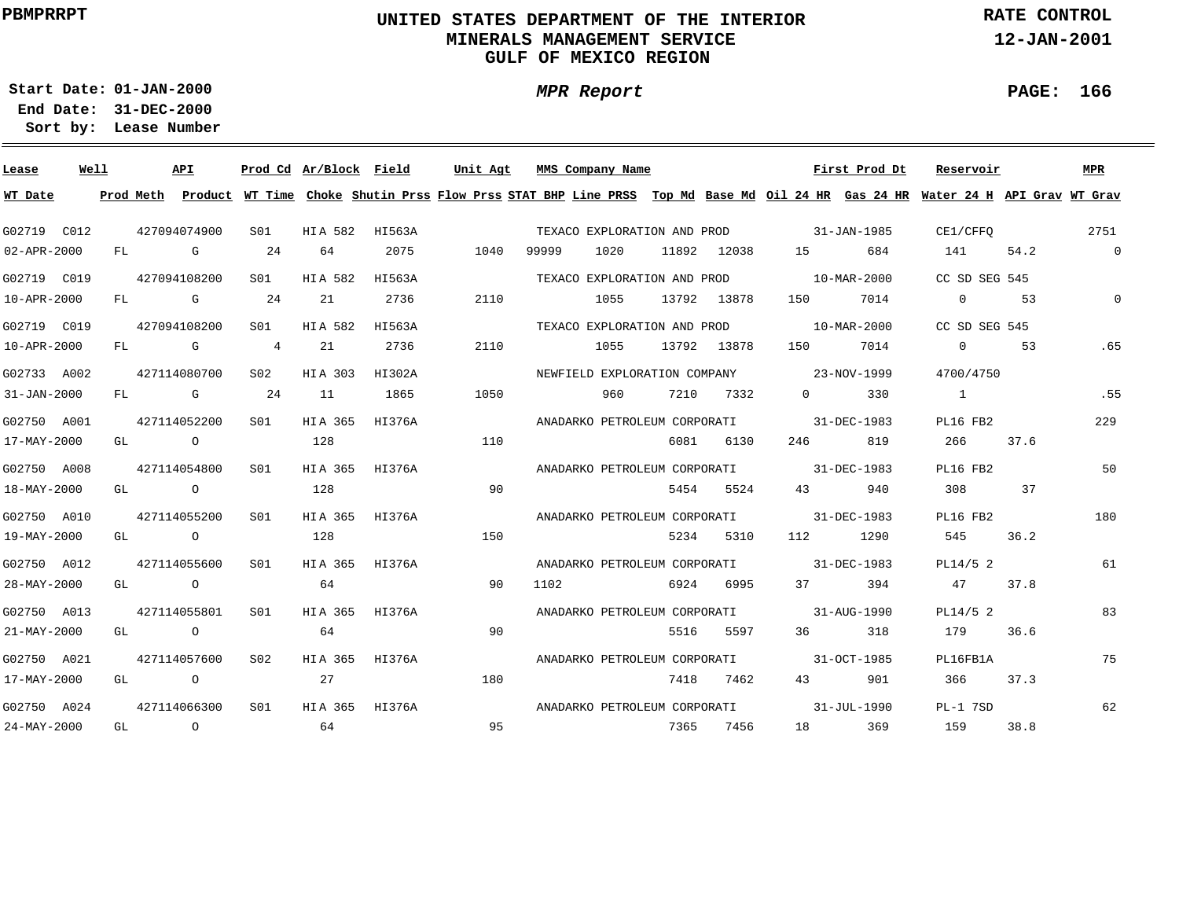### **UNITED STATES DEPARTMENT OF THE INTERIOR MINERALS MANAGEMENT SERVICEGULF OF MEXICO REGION**

**MPR Report**

**RATE CONTROL**

**12-JAN-2001**

**PAGE: 166**

**01-JAN-2000Start Date:**

| Lease                      | Well |    | API                  |                 |               | Prod Cd Ar/Block Field | Unit Agt |       | MMS Company Name             |      |             |                          | First Prod Dt | Reservoir                                                                                                                               |      | <b>MPR</b>   |
|----------------------------|------|----|----------------------|-----------------|---------------|------------------------|----------|-------|------------------------------|------|-------------|--------------------------|---------------|-----------------------------------------------------------------------------------------------------------------------------------------|------|--------------|
| WT Date                    |      |    |                      |                 |               |                        |          |       |                              |      |             |                          |               | Prod Meth Product WT Time Choke Shutin Prss Flow Prss STAT BHP Line PRSS Top Md Base Md Oil 24 HR Gas 24 HR Water 24 H API Grav WT Grav |      |              |
| G02719 C012                |      |    | 427094074900         | S01             | HIA 582       | HI563A                 |          |       | TEXACO EXPLORATION AND PROD  |      |             | $31 - JAN - 1985$        |               | CE1/CFFO                                                                                                                                |      | 2751         |
| 02-APR-2000                |      | FL | G                    | 24              | 64            | 2075                   | 1040     | 99999 | 1020                         |      | 11892 12038 | 15                       | 684           | 141                                                                                                                                     | 54.2 | $\mathsf{O}$ |
| G02719 C019                |      |    | 427094108200         | S01             | HIA 582       | HI563A                 |          |       | TEXACO EXPLORATION AND PROD  |      |             | $10 - \text{MAR} - 2000$ |               | CC SD SEG 545                                                                                                                           |      |              |
| 10-APR-2000                |      | FL | $\mathbf{G}$         | 24              | 21            | 2736                   | 2110     |       | 1055                         |      | 13792 13878 | 150                      | 7014          | $\Omega$                                                                                                                                | 53   | $\Omega$     |
| G02719 C019                |      |    | 427094108200         | SO1             | HIA 582       | HI563A                 |          |       | TEXACO EXPLORATION AND PROD  |      |             | 10-MAR-2000              |               | CC SD SEG 545                                                                                                                           |      |              |
| 10-APR-2000                |      | FL | <b>G</b> G           | $\overline{4}$  | 21            | 2736                   | 2110     |       | 1055                         |      | 13792 13878 | 150                      | 7014          | $\Omega$                                                                                                                                | 53   | .65          |
| G02733 A002                |      |    | 427114080700         | S <sub>02</sub> | HIA 303       | HI302A                 |          |       | NEWFIELD EXPLORATION COMPANY |      |             | 23-NOV-1999              |               | 4700/4750                                                                                                                               |      |              |
| 31-JAN-2000                |      | FL | <b>G</b>             | 24              | 11            | 1865                   | 1050     |       | 960                          | 7210 | 7332        | $\Omega$                 | 330           | $\overline{1}$                                                                                                                          |      | .55          |
| G02750 A001                |      |    | 427114052200         | S01             | HIA 365       | HI376A                 |          |       | ANADARKO PETROLEUM CORPORATI |      |             | 31-DEC-1983              |               | PL16 FB2                                                                                                                                |      | 229          |
| 17-MAY-2000                |      |    | GL O                 |                 | 128           |                        | 110      |       |                              | 6081 | 6130        | 246                      | 819           | 266                                                                                                                                     | 37.6 |              |
| G02750 A008                |      |    | 427114054800         | SO1             | HIA 365       | HI376A                 |          |       | ANADARKO PETROLEUM CORPORATI |      |             | 31-DEC-1983              |               | PL16 FB2                                                                                                                                |      | 50           |
| 18-MAY-2000                |      |    | GL O                 |                 | 128           |                        | 90       |       |                              | 5454 | 5524        | 43                       | 940           | 308                                                                                                                                     | 37   |              |
| G02750 A010                |      |    | 427114055200         | SO1             | HIA 365       | HI376A                 |          |       |                              |      |             | 31-DEC-1983              |               | PL16 FB2                                                                                                                                |      | 180          |
| 19-MAY-2000                |      |    | GL O                 |                 | 128           |                        | 150      |       | ANADARKO PETROLEUM CORPORATI | 5234 | 5310        | 112                      | 1290          | 545                                                                                                                                     | 36.2 |              |
|                            |      |    |                      |                 |               |                        |          |       |                              |      |             |                          |               |                                                                                                                                         |      |              |
| G02750 A012<br>28-MAY-2000 |      |    | 427114055600<br>GL O | SO1             | HIA 365<br>64 | HI376A                 | 90       | 1102  | ANADARKO PETROLEUM CORPORATI | 6924 | 6995        | 31-DEC-1983<br>37        | 394           | PL14/5 2<br>47                                                                                                                          | 37.8 | 61           |
|                            |      |    |                      |                 |               |                        |          |       |                              |      |             |                          |               |                                                                                                                                         |      |              |
| G02750 A013                |      |    | 427114055801         | SO1             | HIA 365       | HI376A                 |          |       | ANADARKO PETROLEUM CORPORATI |      |             | $31 - \text{AUG} - 1990$ |               | PL14/5 2                                                                                                                                |      | 83           |
| 21-MAY-2000                |      | GL | $\overline{a}$       |                 | 64            |                        | 90       |       |                              | 5516 | 5597        | 36                       | 318           | 179                                                                                                                                     | 36.6 |              |
| G02750 A021                |      |    | 427114057600         | S02             | HIA 365       | HI376A                 |          |       | ANADARKO PETROLEUM CORPORATI |      |             | 31-OCT-1985              |               | PL16FB1A                                                                                                                                |      | 75           |
| 17-MAY-2000                |      | GL | $\overline{a}$       |                 | 27            |                        | 180      |       |                              | 7418 | 7462        | 43 and $\sim$            | 901           | 366                                                                                                                                     | 37.3 |              |
| G02750 A024                |      |    | 427114066300         | S <sub>01</sub> | HIA 365       | HI376A                 |          |       | ANADARKO PETROLEUM CORPORATI |      |             |                          | 31-JUL-1990   | PL-1 7SD                                                                                                                                |      | 62           |
| 24-MAY-2000                |      | GL | $\circ$              |                 | 64            |                        | 95       |       |                              | 7365 | 7456        | 18                       | 369           | 159                                                                                                                                     | 38.8 |              |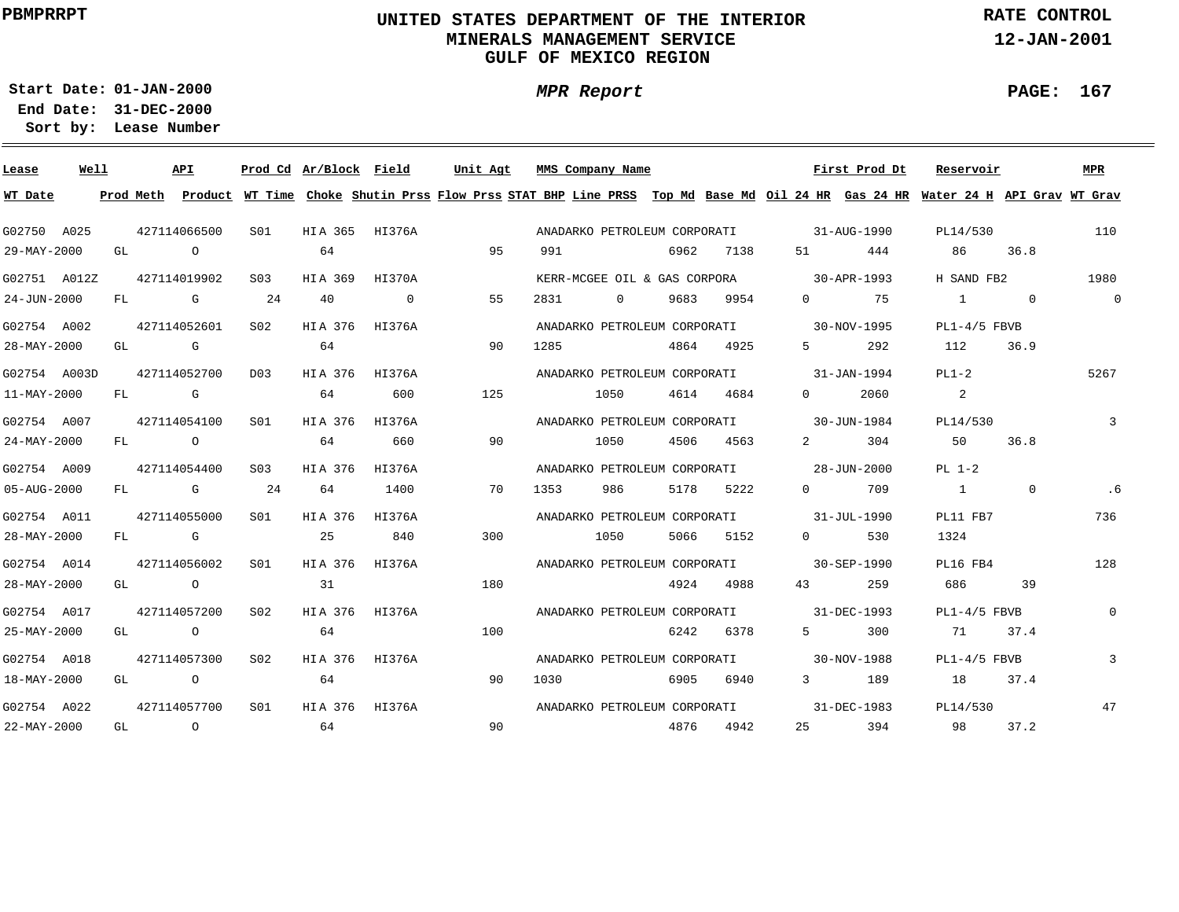### **UNITED STATES DEPARTMENT OF THE INTERIOR MINERALS MANAGEMENT SERVICEGULF OF MEXICO REGION**

**MPR Report**

**RATE CONTROL**

**12-JAN-2001**

**PAGE: 167**

 $\overline{\phantom{0}}$ 

**01-JAN-2000Start Date:31-DEC-2000 End Date:** 

| Lease        | Well |    |                                                                                                                | API            |                  |         | Prod Cd Ar/Block Field | Unit Agt                                                                                                                                |      | MMS Company Name             |      |      |                                          | First Prod Dt | Reservoir      |                | MPR            |
|--------------|------|----|----------------------------------------------------------------------------------------------------------------|----------------|------------------|---------|------------------------|-----------------------------------------------------------------------------------------------------------------------------------------|------|------------------------------|------|------|------------------------------------------|---------------|----------------|----------------|----------------|
| WT Date      |      |    |                                                                                                                |                |                  |         |                        | Prod Meth Product WT Time Choke Shutin Prss Flow Prss STAT BHP Line PRSS Top Md Base Md Oil 24 HR Gas 24 HR Water 24 H API Grav WT Grav |      |                              |      |      |                                          |               |                |                |                |
| G02750 A025  |      |    |                                                                                                                | 427114066500   | S01              |         | HIA 365 HI376A         |                                                                                                                                         |      | ANADARKO PETROLEUM CORPORATI |      |      | $31 - \text{AUG} - 1990$                 |               | PL14/530       |                | 110            |
| 29-MAY-2000  |      | GL | $\overline{a}$                                                                                                 |                |                  | 64      |                        | 95                                                                                                                                      | 991  |                              | 6962 | 7138 | 51 — 1                                   | 444           | 86             | 36.8           |                |
| G02751 A012Z |      |    |                                                                                                                | 427114019902   | S <sub>0.3</sub> | HIA 369 | HI370A                 |                                                                                                                                         |      | KERR-MCGEE OIL & GAS CORPORA |      |      |                                          | 30-APR-1993   | H SAND FB2     |                | 1980           |
| 24-JUN-2000  |      | FL |                                                                                                                | G              | 24               | 40      | $\overline{0}$         | 55                                                                                                                                      | 2831 | $\circ$                      | 9683 | 9954 | $\overline{0}$                           | 75            | $\sim$ 1       | $\overline{0}$ | 0              |
| G02754 A002  |      |    |                                                                                                                | 427114052601   | S02              | HIA 376 | HI376A                 |                                                                                                                                         |      | ANADARKO PETROLEUM CORPORATI |      |      |                                          | 30-NOV-1995   | $PL1-4/5$ FBVB |                |                |
| 28-MAY-2000  |      | GL | in the control of the control of the control of the control of the control of the control of the control of th |                |                  | 64      |                        | 90                                                                                                                                      | 1285 |                              | 4864 | 4925 | $5 - 7$                                  | 292           | 112            | 36.9           |                |
| G02754 A003D |      |    |                                                                                                                | 427114052700   | D03              |         | HIA 376 HI376A         |                                                                                                                                         |      | ANADARKO PETROLEUM CORPORATI |      |      |                                          | 31-JAN-1994   | $PL1-2$        |                | 5267           |
| 11-MAY-2000  |      | FL |                                                                                                                | <b>G</b>       |                  | 64      | 600                    | 125                                                                                                                                     |      | 1050                         | 4614 | 4684 | $\Omega$                                 | 2060          | 2              |                |                |
| G02754 A007  |      |    |                                                                                                                | 427114054100   | SO1              | HIA 376 | HI376A                 |                                                                                                                                         |      | ANADARKO PETROLEUM CORPORATI |      |      |                                          | 30-JUN-1984   | PL14/530       |                | 3              |
| 24-MAY-2000  |      | FL | $\overline{a}$                                                                                                 |                |                  | 64      | 660                    | 90                                                                                                                                      |      | 1050                         | 4506 | 4563 | $2^{\circ}$                              | 304           | 50             | 36.8           |                |
| G02754 A009  |      |    |                                                                                                                | 427114054400   | S03              | HIA 376 | HI376A                 |                                                                                                                                         |      | ANADARKO PETROLEUM CORPORATI |      |      |                                          | 28-JUN-2000   | $PL 1-2$       |                |                |
| 05-AUG-2000  |      | FL |                                                                                                                | <b>G</b>       | 24               | 64      | 1400                   | 70                                                                                                                                      | 1353 | 986                          | 5178 | 5222 | $\Omega$                                 | 709           | $\frac{1}{1}$  | $\Omega$       | . 6            |
| G02754 A011  |      |    |                                                                                                                | 427114055000   | S01              | HIA 376 | HI376A                 |                                                                                                                                         |      |                              |      |      | ANADARKO PETROLEUM CORPORATI 31-JUL-1990 |               | PL11 FB7       |                | 736            |
| 28-MAY-2000  |      |    | FL G                                                                                                           |                |                  | 25      | 840                    | 300                                                                                                                                     |      | 1050                         | 5066 | 5152 | $\Omega$                                 | 530           | 1324           |                |                |
| G02754 A014  |      |    |                                                                                                                | 427114056002   | SO1              | HIA 376 | HI376A                 |                                                                                                                                         |      |                              |      |      | ANADARKO PETROLEUM CORPORATI 30-SEP-1990 |               | PL16 FB4       |                | 128            |
| 28-MAY-2000  |      |    | GL O                                                                                                           |                |                  | 31      |                        | 180                                                                                                                                     |      |                              | 4924 | 4988 | 43                                       | 259           | 686            | 39             |                |
| G02754 A017  |      |    |                                                                                                                | 427114057200   | S <sub>02</sub>  | HIA 376 | HI376A                 |                                                                                                                                         |      |                              |      |      | ANADARKO PETROLEUM CORPORATI 31-DEC-1993 |               | $PL1-4/5$ FBVB |                | $\overline{0}$ |
| 25-MAY-2000  |      |    | GL O                                                                                                           |                |                  | 64      |                        | 100                                                                                                                                     |      |                              | 6242 | 6378 | $5^{\circ}$                              | 300           | 71             | 37.4           |                |
| G02754 A018  |      |    |                                                                                                                | 427114057300   | S02              |         | HIA 376 HI376A         |                                                                                                                                         |      | ANADARKO PETROLEUM CORPORATI |      |      | $30 - NOV - 1988$                        |               | $PL1-4/5$ FBVB |                | $\overline{3}$ |
| 18-MAY-2000  |      | GL | $\overline{a}$                                                                                                 |                |                  | 64      |                        | 90                                                                                                                                      | 1030 |                              | 6905 | 6940 | $3 \sim$                                 | 189           | 18             | 37.4           |                |
| G02754 A022  |      |    |                                                                                                                | 427114057700   | S01              |         | HIA 376 HI376A         |                                                                                                                                         |      | ANADARKO PETROLEUM CORPORATI |      |      |                                          | 31-DEC-1983   | PL14/530       |                | 47             |
| 22-MAY-2000  |      | GL |                                                                                                                | $\overline{O}$ |                  | 64      |                        | 90                                                                                                                                      |      |                              | 4876 | 4942 | 25                                       | 394           | 98             | 37.2           |                |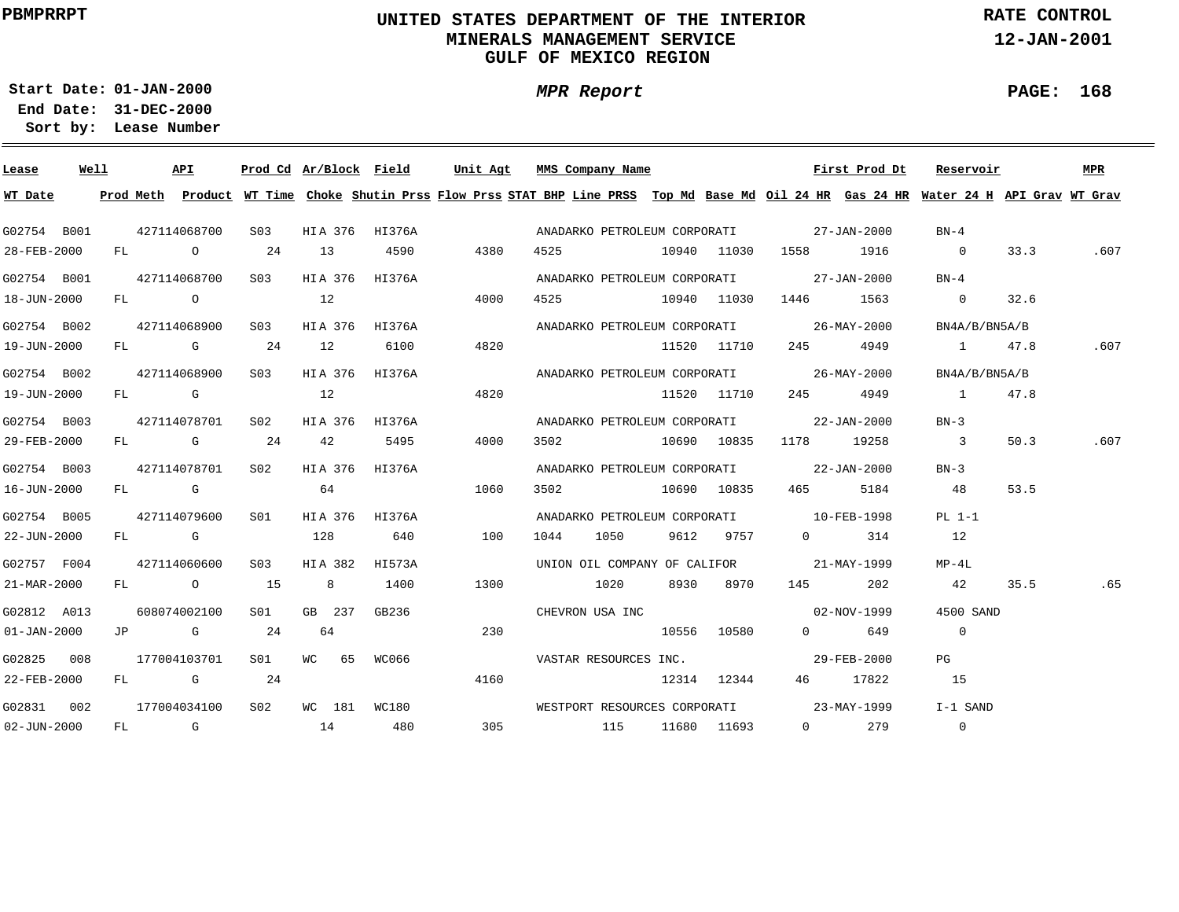### **UNITED STATES DEPARTMENT OF THE INTERIOR MINERALS MANAGEMENT SERVICEGULF OF MEXICO REGION**

**MPR Report**

**RATE CONTROL**

**12-JAN-2001**

**PAGE: 168**

**01-JAN-2000Start Date:**

| Lease             | Well | API          |           |                  |                |                | Prod Cd Ar/Block Field Unit Agt MMS Company Name                                                                                        |                  |        |             |                                          | First Prod Dt | Reservoir                  |      | <b>MPR</b> |
|-------------------|------|--------------|-----------|------------------|----------------|----------------|-----------------------------------------------------------------------------------------------------------------------------------------|------------------|--------|-------------|------------------------------------------|---------------|----------------------------|------|------------|
| WT Date           |      |              |           |                  |                |                | Prod Meth Product WT Time Choke Shutin Prss Flow Prss STAT BHP Line PRSS Top Md Base Md Oil 24 HR Gas 24 HR Water 24 H API Grav WT Grav |                  |        |             |                                          |               |                            |      |            |
| G02754 B001       |      | 427114068700 |           | S <sub>03</sub>  |                |                | HIA 376 HI376A                                                                                                                          |                  |        |             | ANADARKO PETROLEUM CORPORATI 27-JAN-2000 |               | BN-4                       |      |            |
| 28-FEB-2000       |      |              |           | FL 0 24 13       |                | 4590           | 4380                                                                                                                                    | 4525 10940 11030 |        |             |                                          | 1916          | $\sim$ 0                   | 33.3 | .607       |
|                   |      |              |           |                  |                |                |                                                                                                                                         |                  |        |             |                                          |               |                            |      |            |
| G02754 B001       |      | 427114068700 |           | S <sub>03</sub>  |                | HIA 376 HI376A |                                                                                                                                         |                  |        |             | ANADARKO PETROLEUM CORPORATI 27-JAN-2000 |               | $BN-4$                     |      |            |
| 18-JUN-2000       |      | FL O         |           | $\sim$ 12        |                |                | 4000                                                                                                                                    | 4525 10940 11030 |        |             |                                          | 1563          | $\overline{0}$             | 32.6 |            |
| G02754 B002       |      | 427114068900 |           | S03 -            |                | HIA 376 HI376A |                                                                                                                                         |                  |        |             | ANADARKO PETROLEUM CORPORATI 26-MAY-2000 |               | BN4A/B/BN5A/B              |      |            |
| 19-JUN-2000       |      |              | FL G 24   |                  | 12             | 6100           | 4820                                                                                                                                    |                  |        | 11520 11710 | 245                                      | 4949          | 1                          | 47.8 | .607       |
| G02754 B002       |      | 427114068900 |           | S <sub>0.3</sub> |                | HIA 376 HI376A |                                                                                                                                         |                  |        |             | ANADARKO PETROLEUM CORPORATI 26-MAY-2000 |               | BN4A/B/BNSA/B              |      |            |
| 19-JUN-2000       |      | FL G         |           |                  | 12             |                | 4820                                                                                                                                    |                  |        | 11520 11710 |                                          | 245 4949      | 1 47.8                     |      |            |
| G02754 B003       |      | 427114078701 |           | S02              |                | HIA 376 HI376A |                                                                                                                                         |                  |        |             |                                          |               | $BN-3$                     |      |            |
| 29-FEB-2000       |      |              | $FL$ G 24 |                  | 42             | 5495           | 4000                                                                                                                                    | 3502 10690 10835 |        |             |                                          | 1178 19258    | $\overline{\phantom{a}}$ 3 | 50.3 | .607       |
| G02754 B003       |      | 427114078701 |           | S02              | HIA 376        | HI376A         |                                                                                                                                         |                  |        |             | ANADARKO PETROLEUM CORPORATI 22-JAN-2000 |               | $BN-3$                     |      |            |
| 16-JUN-2000       |      |              | FL G      |                  | 64             |                | 1060                                                                                                                                    |                  |        |             | 3502 10690 10835 465 5184                |               | 48                         | 53.5 |            |
|                   |      |              |           |                  |                |                |                                                                                                                                         |                  |        |             |                                          |               |                            |      |            |
| G02754 B005       |      | 427114079600 |           | S01              |                | HIA 376 HI376A |                                                                                                                                         |                  |        |             | ANADARKO PETROLEUM CORPORATI 10-FEB-1998 |               | $PL 1-1$                   |      |            |
| 22-JUN-2000       |      |              | FL G      |                  | 128            | 640            | 100                                                                                                                                     | 1044             | 1050 \ | 9612 9757   |                                          | $0 \t 314$    | 12                         |      |            |
| G02757 F004       |      | 427114060600 |           | S <sub>0.3</sub> |                | HIA 382 HI573A |                                                                                                                                         |                  |        |             | UNION OIL COMPANY OF CALIFOR 21-MAY-1999 |               | MP-4L                      |      |            |
| 21-MAR-2000       |      |              | FL 0 15   |                  | 8 <sup>1</sup> | 1400           | 1300                                                                                                                                    |                  | 1020   | 8930 8970   |                                          | 145 202       | 42                         | 35.5 | .65        |
| G02812 A013       |      | 608074002100 |           | S01 <b>S</b>     | GB 237         | GB236          |                                                                                                                                         | CHEVRON USA INC  |        |             | $02 - NOV - 1999$                        |               | 4500 SAND                  |      |            |
| $01 - JAN - 2000$ |      |              | $JP$ G 24 |                  | 64             |                | 230                                                                                                                                     |                  |        | 10556 10580 |                                          | 0 649         | $\overline{0}$             |      |            |
| G02825 008        |      | 177004103701 |           | SO1 SO           | WC 65          | WC066          |                                                                                                                                         |                  |        |             | VASTAR RESOURCES INC. 29-FEB-2000        |               | PG                         |      |            |
| 22-FEB-2000       |      |              | FL G 24   |                  |                |                | 4160                                                                                                                                    |                  |        | 12314 12344 |                                          | 46 17822      | 15                         |      |            |
|                   |      |              |           |                  |                |                |                                                                                                                                         |                  |        |             |                                          |               |                            |      |            |
| G02831 002        |      | 177004034100 |           | S02              | WC 181 WC180   |                |                                                                                                                                         |                  |        |             | WESTPORT RESOURCES CORPORATI 23-MAY-1999 |               | I-1 SAND                   |      |            |
| $02 - JUN - 2000$ |      |              |           | $FL$ G and $14$  |                | 480            |                                                                                                                                         | 305 115          |        | 11680 11693 |                                          | $0$ 279       | $\overline{0}$             |      |            |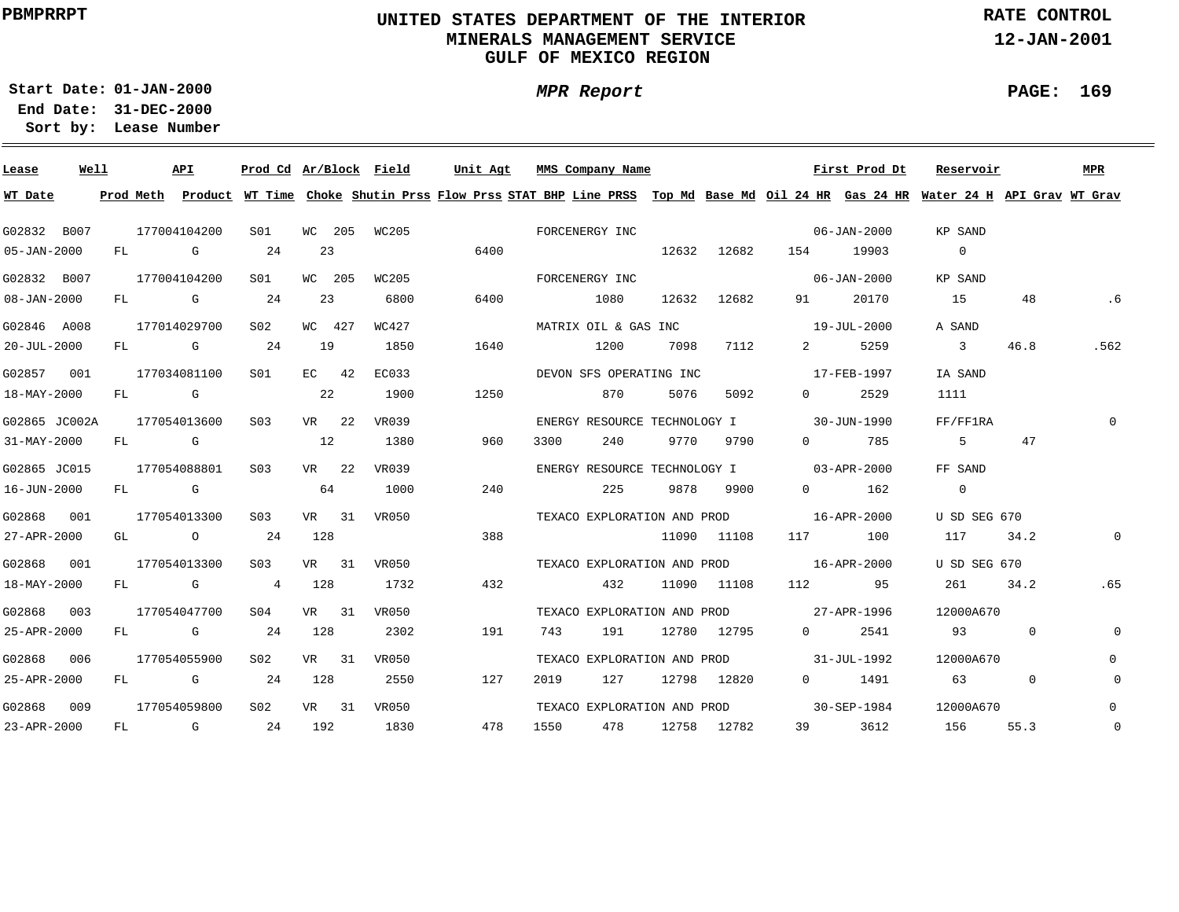### **UNITED STATES DEPARTMENT OF THE INTERIOR MINERALS MANAGEMENT SERVICEGULF OF MEXICO REGION**

**MPR Report**

**RATE CONTROL**

**12-JAN-2001**

**PAGE: 169**

÷

**01-JAN-2000Start Date:**

| Lease             | Well |           |            | API            | Prod Cd Ar/Block Field |     |         |       | Unit Agt |                | MMS Company Name             |       |             |                                | First Prod Dt     | Reservoir                                                                                                                     |             | <b>MPR</b>   |
|-------------------|------|-----------|------------|----------------|------------------------|-----|---------|-------|----------|----------------|------------------------------|-------|-------------|--------------------------------|-------------------|-------------------------------------------------------------------------------------------------------------------------------|-------------|--------------|
| WT Date           |      | Prod Meth |            |                |                        |     |         |       |          |                |                              |       |             |                                |                   | Product WT Time Choke Shutin Prss Flow Prss STAT BHP Line PRSS Top Md Base Md Oil 24 HR Gas 24 HR Water 24 H API Grav WT Grav |             |              |
| G02832 B007       |      |           |            | 177004104200   | SO1                    |     | WC 205  | WC205 |          | FORCENERGY INC |                              |       |             |                                | 06-JAN-2000       | KP SAND                                                                                                                       |             |              |
| 05-JAN-2000       |      | FL        |            | G              | 24                     | 23  |         |       | 6400     |                |                              |       | 12632 12682 | 154                            | 19903             | $\overline{0}$                                                                                                                |             |              |
| G02832 B007       |      |           |            | 177004104200   | S01                    |     | WC 205  | WC205 |          | FORCENERGY INC |                              |       |             |                                | $06 - JAN - 2000$ | KP SAND                                                                                                                       |             |              |
| $08 - JAN - 2000$ |      | FL        |            | G              | 24                     | 23  |         | 6800  | 6400     |                | 1080                         | 12632 | 12682       | 91                             | 20170             | 15                                                                                                                            | 48          | .6           |
| G02846 A008       |      |           |            | 177014029700   | S02                    |     | WC 427  | WC427 |          |                | MATRIX OIL & GAS INC         |       |             |                                | 19-JUL-2000       | A SAND                                                                                                                        |             |              |
| $20 - JUL - 2000$ |      | FL        |            | G              | 24                     | 19  |         | 1850  | 1640     |                | 1200                         | 7098  | 7112        | $2 \left( \frac{1}{2} \right)$ | 5259              | $\overline{3}$                                                                                                                | 46.8        | .562         |
| G02857 001        |      |           |            | 177034081100   | S01                    |     | $EC$ 42 | EC033 |          |                | DEVON SFS OPERATING INC      |       |             |                                | 17-FEB-1997       | IA SAND                                                                                                                       |             |              |
| 18-MAY-2000       |      | FL        |            | G              |                        | 22  |         | 1900  | 1250     |                | 870                          | 5076  | 5092        | $\Omega$                       | 2529              | 1111                                                                                                                          |             |              |
| G02865 JC002A     |      |           |            | 177054013600   | S <sub>03</sub>        |     | VR 22   | VR039 |          |                | ENERGY RESOURCE TECHNOLOGY I |       |             |                                | 30-JUN-1990       | FF/FF1RA                                                                                                                      |             | $\Omega$     |
| 31-MAY-2000       |      | FL        |            | G              |                        | 12  |         | 1380  | 960      | 3300           | 240                          | 9770  | 9790        | $\Omega$                       | 785               | .5                                                                                                                            | 47          |              |
| G02865 JC015      |      |           |            | 177054088801   | S03                    |     | VR 22   | VR039 |          |                | ENERGY RESOURCE TECHNOLOGY I |       |             |                                | 03-APR-2000       | FF SAND                                                                                                                       |             |              |
| 16-JUN-2000       |      | FL        | <b>G</b> G |                |                        | 64  |         | 1000  | 240      |                | 225                          | 9878  | 9900        | $0 \qquad \qquad$              | 162               | $\overline{0}$                                                                                                                |             |              |
| G02868 001        |      |           |            | 177054013300   | S <sub>03</sub>        |     | VR 31   | VR050 |          |                | TEXACO EXPLORATION AND PROD  |       |             |                                | 16-APR-2000       | U SD SEG 670                                                                                                                  |             |              |
| 27-APR-2000       |      | GL        |            | $\overline{O}$ | 24                     | 128 |         |       | 388      |                |                              |       | 11090 11108 | 117                            | 100               | 117                                                                                                                           | 34.2        | 0            |
| G02868 001        |      |           |            | 177054013300   | S <sub>03</sub>        |     | VR 31   | VR050 |          |                | TEXACO EXPLORATION AND PROD  |       |             |                                | 16-APR-2000       | U SD SEG 670                                                                                                                  |             |              |
| 18-MAY-2000       |      | FL        |            | G              | 4                      | 128 |         | 1732  | 432      |                | 432                          |       | 11090 11108 | 112 \,                         | 95                | 261                                                                                                                           | 34.2        | .65          |
| G02868            | 003  |           |            | 177054047700   | S04                    |     | VR 31   | VR050 |          |                | TEXACO EXPLORATION AND PROD  |       |             | 27-APR-1996                    |                   | 12000A670                                                                                                                     |             |              |
| 25-APR-2000       |      |           |            | FL G           | 24                     | 128 |         | 2302  | 191      | 743            | 191                          |       | 12780 12795 | $\Omega$ and $\Omega$          | 2541              | 93                                                                                                                            | $\mathbf 0$ | $\Omega$     |
| G02868 006        |      |           |            | 177054055900   | S02                    |     | VR 31   | VR050 |          |                | TEXACO EXPLORATION AND PROD  |       |             |                                | 31-JUL-1992       | 12000A670                                                                                                                     |             | 0            |
| 25-APR-2000       |      | FL        |            | G              | 24                     | 128 |         | 2550  | 127      | 2019           | 127                          |       | 12798 12820 | $0 \qquad \qquad$              | 1491              | 63                                                                                                                            | $\mathbf 0$ | $\mathbf{0}$ |
| G02868 009        |      |           |            | 177054059800   | S02                    |     | VR 31   | VR050 |          |                | TEXACO EXPLORATION AND PROD  |       |             |                                | 30-SEP-1984       | 12000A670                                                                                                                     |             | $\mathbf{0}$ |
| 23-APR-2000       |      | FL.       |            | G              | 24                     | 192 |         | 1830  | 478      | 1550           | 478                          |       | 12758 12782 | 39                             | 3612              | 156                                                                                                                           | 55.3        | $\mathbb O$  |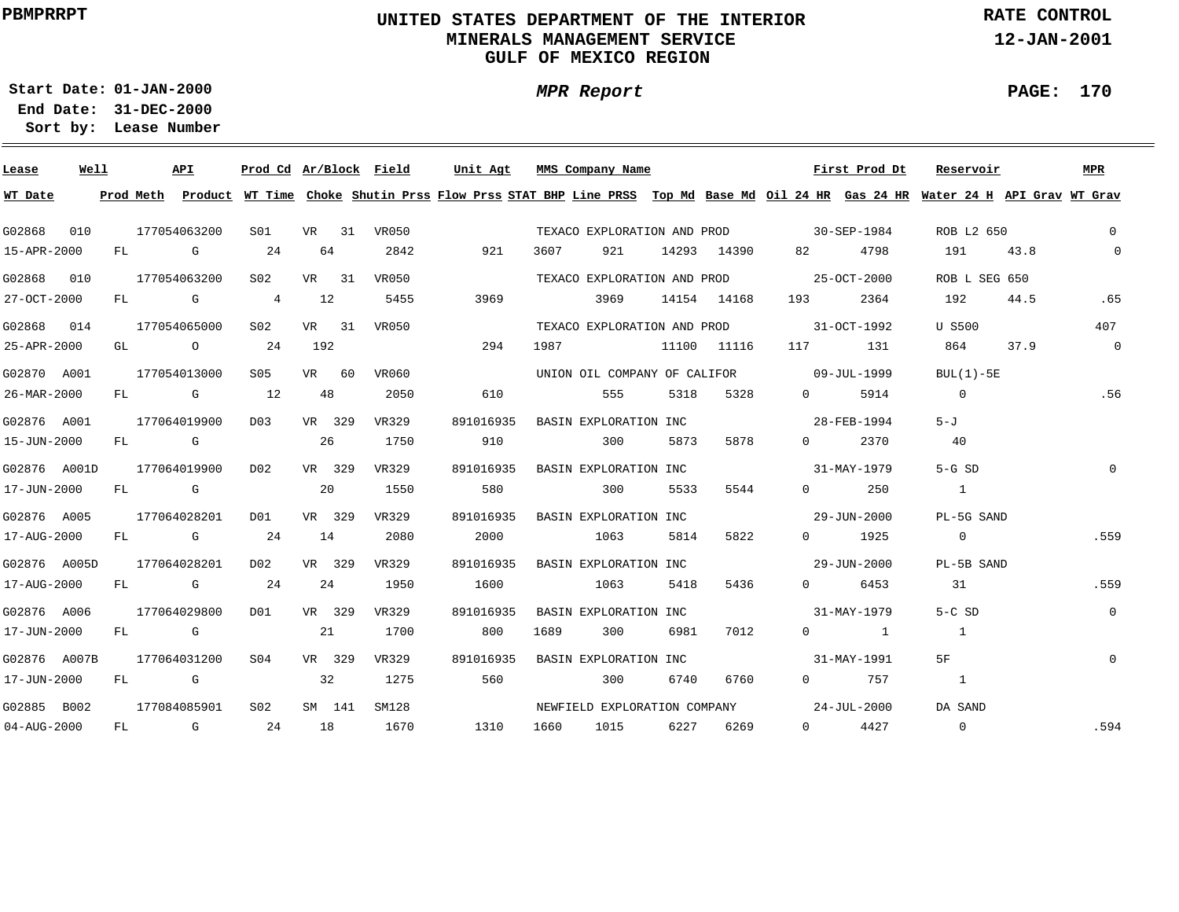### **UNITED STATES DEPARTMENT OF THE INTERIOR MINERALS MANAGEMENT SERVICEGULF OF MEXICO REGION**

**MPR Report**

**RATE CONTROL**

**12-JAN-2001**

**PAGE: 170**

÷

**01-JAN-2000Start Date:**

| Lease        | Well |    |      | API            | Prod Cd Ar/Block Field |        |       | Unit Agt                                                                                                                                |      | MMS Company Name             |      |             |                                          | First Prod Dt       | Reservoir      |      | MPR            |
|--------------|------|----|------|----------------|------------------------|--------|-------|-----------------------------------------------------------------------------------------------------------------------------------------|------|------------------------------|------|-------------|------------------------------------------|---------------------|----------------|------|----------------|
| WT Date      |      |    |      |                |                        |        |       | Prod Meth Product WT Time Choke Shutin Prss Flow Prss STAT BHP Line PRSS Top Md Base Md Oil 24 HR Gas 24 HR Water 24 H API Grav WT Grav |      |                              |      |             |                                          |                     |                |      |                |
| G02868       | 010  |    |      | 177054063200   | SO1                    | VR 31  | VR050 |                                                                                                                                         |      | TEXACO EXPLORATION AND PROD  |      |             | $30 - SEP - 1984$                        |                     | ROB L2 650     |      | $\overline{0}$ |
| 15-APR-2000  |      |    |      | FL G           | 24                     | 64     | 2842  | 921                                                                                                                                     | 3607 | 921                          |      | 14293 14390 | 82 — 10                                  | 4798                | 191            | 43.8 | $\overline{0}$ |
| G02868       | 010  |    |      | 177054063200   | S02                    | VR 31  | VR050 |                                                                                                                                         |      |                              |      |             | TEXACO EXPLORATION AND PROD 25-OCT-2000  |                     | ROB L SEG 650  |      |                |
| 27-OCT-2000  |      | FL |      | <b>G</b> G     | $4\overline{ }$        | 12     | 5455  | 3969                                                                                                                                    |      | 3969                         |      | 14154 14168 | 193                                      | 2364                | 192            | 44.5 | .65            |
| G02868 014   |      |    |      | 177054065000   | S02                    | VR 31  | VR050 |                                                                                                                                         |      |                              |      |             | TEXACO EXPLORATION AND PROD 31-OCT-1992  |                     | U S500         |      | 407            |
| 25-APR-2000  |      | GL |      | $\overline{O}$ | 24                     | 192    |       | 294                                                                                                                                     | 1987 |                              |      | 11100 11116 | 117                                      | 131                 | 864            | 37.9 | $\overline{0}$ |
| G02870 A001  |      |    |      | 177054013000   | S05                    | VR 60  | VR060 |                                                                                                                                         |      |                              |      |             | UNION OIL COMPANY OF CALIFOR 09-JUL-1999 |                     | $BUL(1)-5E$    |      |                |
| 26-MAR-2000  |      |    |      | FL G           | 12                     | 48     | 2050  | 610                                                                                                                                     |      | 555                          | 5318 | 5328        | $0 \qquad \qquad$                        | 5914                | $\overline{0}$ |      | .56            |
| G02876 A001  |      |    |      | 177064019900   | D03                    | VR 329 | VR329 | 891016935                                                                                                                               |      | BASIN EXPLORATION INC        |      |             |                                          | 28-FEB-1994         | $5 - J$        |      |                |
| 15-JUN-2000  |      |    |      | FL G           |                        | 26     | 1750  | 910                                                                                                                                     |      | 300                          | 5873 | 5878        | $\Omega$                                 | 2370                | 40             |      |                |
| G02876 A001D |      |    |      | 177064019900   | DO <sub>2</sub>        | VR 329 | VR329 | 891016935                                                                                                                               |      | BASIN EXPLORATION INC        |      |             | 31-MAY-1979                              |                     | $5-GSD$        |      | $\Omega$       |
| 17-JUN-2000  |      |    |      | FL G           |                        | 20     | 1550  | 580                                                                                                                                     |      | 300                          | 5533 | 5544        | $\Omega$                                 | 250                 | $\overline{1}$ |      |                |
| G02876 A005  |      |    |      | 177064028201   | DO1                    | VR 329 | VR329 | 891016935                                                                                                                               |      | BASIN EXPLORATION INC        |      |             | $29 - JUN - 2000$                        |                     | PL-5G SAND     |      |                |
| 17-AUG-2000  |      |    |      | FL G           | 24                     | 14     | 2080  | 2000                                                                                                                                    |      | 1063                         | 5814 | 5822        |                                          | $0 \t 1925$         | $\overline{0}$ |      | .559           |
| G02876 A005D |      |    |      | 177064028201   | DO 2                   | VR 329 | VR329 | 891016935                                                                                                                               |      | BASIN EXPLORATION INC        |      |             | $29 - JUN - 2000$                        |                     | PL-5B SAND     |      |                |
| 17-AUG-2000  |      |    |      | FL G           | 24                     | 24     | 1950  | 1600                                                                                                                                    |      | 1063                         | 5418 | 5436        |                                          | $0 \t\t 6453$       | 31             |      | .559           |
| G02876 A006  |      |    |      | 177064029800   | DO1                    | VR 329 | VR329 | 891016935                                                                                                                               |      | BASIN EXPLORATION INC        |      |             |                                          | 31-MAY-1979         | $5-C$ SD       |      | $\overline{0}$ |
| 17-JUN-2000  |      |    | FL G |                |                        | 21     | 1700  | 800                                                                                                                                     | 1689 | 300                          | 6981 | 7012        |                                          | $0 \qquad \qquad 1$ | $\overline{1}$ |      |                |
| G02876 A007B |      |    |      | 177064031200   | S <sub>04</sub>        | VR 329 | VR329 | 891016935                                                                                                                               |      | BASIN EXPLORATION INC        |      |             |                                          | 31-MAY-1991         | 5F             |      | $\mathbf{0}$   |
| 17-JUN-2000  |      | FL |      | <b>G</b>       |                        | 32     | 1275  | 560                                                                                                                                     |      | 300                          | 6740 | 6760        |                                          | $0$ 757             | $\overline{1}$ |      |                |
| G02885 B002  |      |    |      | 177084085901   | S <sub>02</sub>        | SM 141 | SM128 |                                                                                                                                         |      | NEWFIELD EXPLORATION COMPANY |      |             |                                          | 24-JUL-2000         | DA SAND        |      |                |
| 04-AUG-2000  |      | FL |      | $\mathbf G$    | 24                     | 18     | 1670  | 1310                                                                                                                                    | 1660 | 1015                         |      | 6227 6269   |                                          | $0 \t 4427$         | $\overline{0}$ |      | .594           |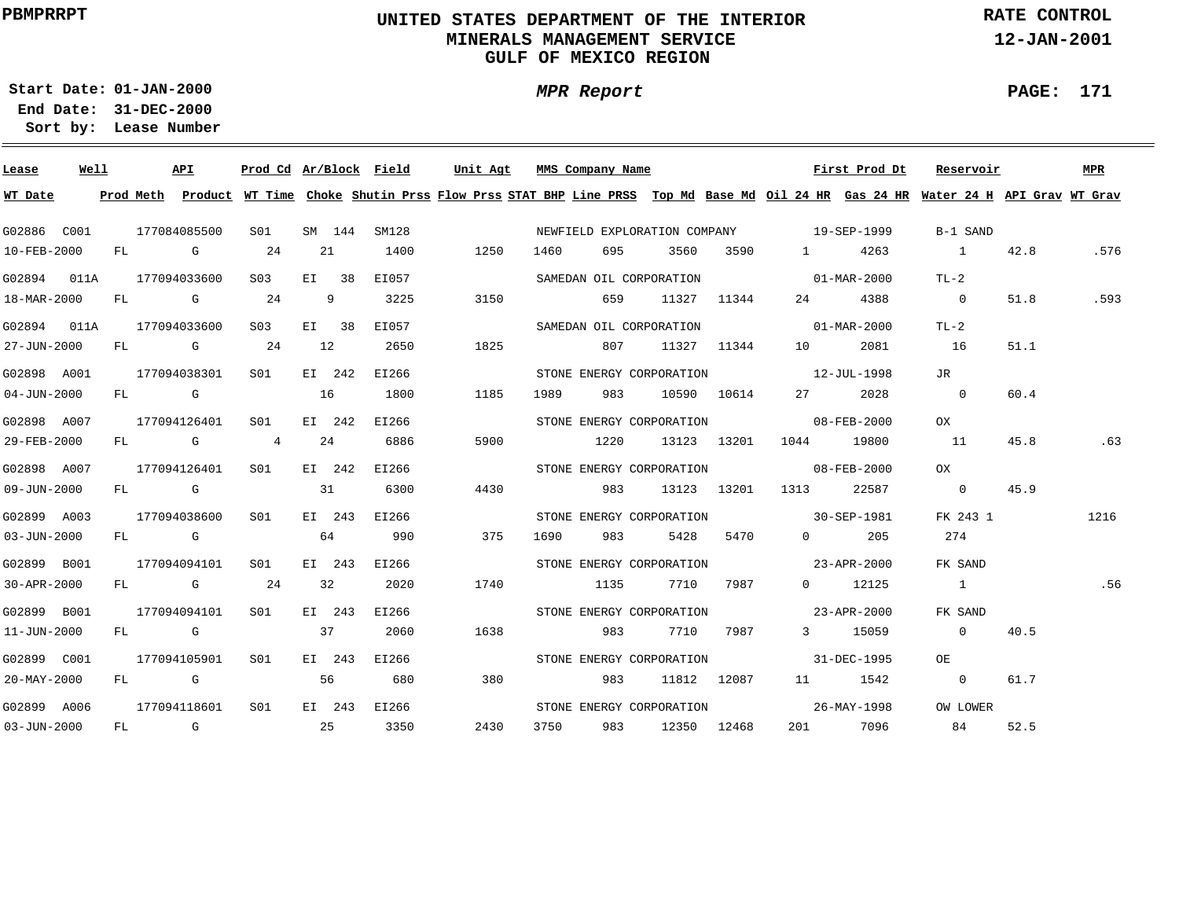### **UNITED STATES DEPARTMENT OF THE INTERIOR MINERALS MANAGEMENT SERVICEGULF OF MEXICO REGION**

**MPR Report**

**RATE CONTROL**

**12-JAN-2001**

**01-JAN-2000Start Date:**

**31-DEC-2000 End Date: Lease Number Sort by:**

| Lease             | Well | API          |                  |    |        | Prod Cd Ar/Block Field | Unit Agt | MMS Company Name |           |                          |             |                                          | First Prod Dt         | Reservoir                                                                                                                               |      | MPR  |
|-------------------|------|--------------|------------------|----|--------|------------------------|----------|------------------|-----------|--------------------------|-------------|------------------------------------------|-----------------------|-----------------------------------------------------------------------------------------------------------------------------------------|------|------|
| WT Date           |      |              |                  |    |        |                        |          |                  |           |                          |             |                                          |                       | Prod Meth Product WT Time Choke Shutin Prss Flow Prss STAT BHP Line PRSS Top Md Base Md Oil 24 HR Gas 24 HR Water 24 H API Grav WT Grav |      |      |
| G02886 C001       |      | 177084085500 | S01              |    | SM 144 | SM128                  |          |                  |           |                          |             | NEWFIELD EXPLORATION COMPANY 19-SEP-1999 |                       | B-1 SAND                                                                                                                                |      |      |
| 10-FEB-2000       |      | FL G 24      |                  | 21 |        | 1400                   | 1250     | 1460             | 695       | 3560                     | 3590        | 1 4263                                   |                       | $\overline{1}$                                                                                                                          | 42.8 | .576 |
| G02894 011A       |      | 177094033600 | S <sub>03</sub>  |    | EI 38  | EI057                  |          |                  |           | SAMEDAN OIL CORPORATION  |             | $01 - \text{MAR} - 2000$                 |                       | $TL-2$                                                                                                                                  |      |      |
| 18-MAR-2000       |      | FL G         | 24               |    | 9      | 3225                   | 3150     |                  | 659       |                          | 11327 11344 |                                          | 4388                  | $\overline{0}$                                                                                                                          | 51.8 | .593 |
| G02894 011A       |      | 177094033600 | S <sub>0.3</sub> |    | EI 38  | EI057                  |          |                  |           | SAMEDAN OIL CORPORATION  |             | $01 - \text{MAR} - 2000$                 |                       | $TL-2$                                                                                                                                  |      |      |
| 27-JUN-2000       |      | FL G 24      |                  | 12 |        | 2650                   | 1825     |                  | 807       |                          | 11327 11344 | 10 0                                     | 2081                  | 16                                                                                                                                      | 51.1 |      |
| G02898 A001       |      | 177094038301 | S01 <b>S</b>     |    | EI 242 | EI266                  |          |                  |           |                          |             | STONE ENERGY CORPORATION 12-JUL-1998     |                       | JR                                                                                                                                      |      |      |
| $04 - JUN - 2000$ |      | $FL$ G       | 16               |    |        | 1800                   | 1185     | 1989             | 983       |                          | 10590 10614 | 27 — 27                                  | 2028                  | $\overline{0}$                                                                                                                          | 60.4 |      |
| G02898 A007       |      | 177094126401 | S <sub>01</sub>  |    | EI 242 | EI266                  |          |                  |           |                          |             | STONE ENERGY CORPORATION 08-FEB-2000     |                       | OX                                                                                                                                      |      |      |
| 29-FEB-2000       |      | FL G 4       |                  | 24 |        | 6886                   | 5900     |                  | 1220      |                          | 13123 13201 | 1044 19800                               |                       | 11                                                                                                                                      | 45.8 | .63  |
| G02898 A007       |      | 177094126401 | SO1              |    | EI 242 | EI266                  |          |                  |           |                          |             | STONE ENERGY CORPORATION 08-FEB-2000     |                       | OX                                                                                                                                      |      |      |
| 09-JUN-2000       |      | FL G         |                  | 31 |        | 6300                   | 4430     |                  | 983 — 198 |                          |             | 13123 13201 1313 22587                   |                       | $\overline{0}$                                                                                                                          | 45.9 |      |
| G02899 A003       |      | 177094038600 | SO1              |    | EI 243 | EI266                  |          |                  |           |                          |             | STONE ENERGY CORPORATION 30-SEP-1981     |                       | FK 243 1                                                                                                                                |      | 1216 |
| 03-JUN-2000       |      | $FL$ G       |                  | 64 |        | 990                    | 375      | 1690             | 983 — 10  |                          | 5428 5470   |                                          | $0 \qquad \qquad 205$ | 274                                                                                                                                     |      |      |
| G02899 B001       |      | 177094094101 | S01              |    | EI 243 | EI266                  |          |                  |           |                          |             | STONE ENERGY CORPORATION 23-APR-2000     |                       | FK SAND                                                                                                                                 |      |      |
| 30-APR-2000       |      | $FL$ G 24    |                  | 32 |        | 2020                   | 1740     |                  | 1135      |                          | 7710 7987   |                                          | $0$ 12125             | $1 \quad 1$                                                                                                                             |      | .56  |
| G02899 B001       |      | 177094094101 | S01              |    | EI 243 | EI266                  |          |                  |           | STONE ENERGY CORPORATION |             | $23 - APR - 2000$                        |                       | FK SAND                                                                                                                                 |      |      |
| 11-JUN-2000       |      | FL G         | 37               |    |        | 2060                   | 1638     |                  | 983       |                          | 7710 7987   |                                          | 3 15059               | $\sim$ 0                                                                                                                                | 40.5 |      |
| G02899 C001       |      | 177094105901 | S01              |    | EI 243 | EI266                  |          |                  |           | STONE ENERGY CORPORATION |             | $31 - DEC - 1995$                        |                       | OE                                                                                                                                      |      |      |
| 20-MAY-2000       |      | FL G         |                  | 56 |        | 680                    | 380      |                  | 983       |                          | 11812 12087 |                                          | 11 1542               | $\overline{0}$                                                                                                                          | 61.7 |      |
| G02899 A006       |      | 177094118601 | S <sub>01</sub>  |    |        | EI 243 EI266           |          |                  |           | STONE ENERGY CORPORATION |             | $26 - \text{MAX} - 1998$                 |                       | OW LOWER                                                                                                                                |      |      |
| $03 - JUN - 2000$ |      | FL G         | $\sim$ 25        |    |        | 3350                   | 2430     | 3750             | 983       |                          | 12350 12468 |                                          | 201 7096              | 84                                                                                                                                      | 52.5 |      |

**PAGE: 171**

÷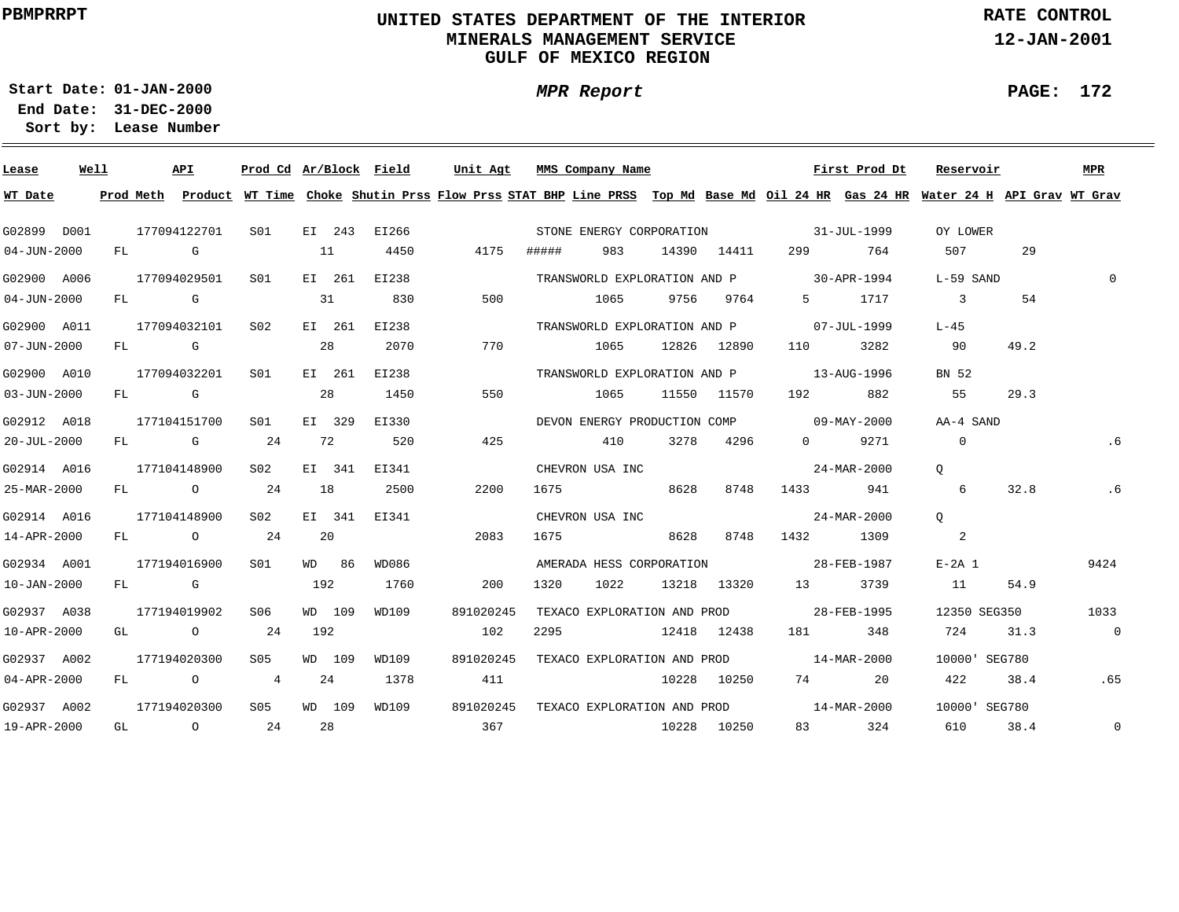### **UNITED STATES DEPARTMENT OF THE INTERIOR MINERALS MANAGEMENT SERVICEGULF OF MEXICO REGION**

**MPR Report**

**RATE CONTROL**

**12-JAN-2001**

**PAGE: 172**

÷

**01-JAN-2000Start Date:31-DEC-2000 End Date:** 

| Lease             | Well | API          |        |              |     |        | Prod Cd Ar/Block Field | Unit Agt                                                                                                                                |       | MMS Company Name                                                                                                                                                                                                                |             |             |                                                                                                                | First Prod Dt | Reservoir                |      | MPR            |
|-------------------|------|--------------|--------|--------------|-----|--------|------------------------|-----------------------------------------------------------------------------------------------------------------------------------------|-------|---------------------------------------------------------------------------------------------------------------------------------------------------------------------------------------------------------------------------------|-------------|-------------|----------------------------------------------------------------------------------------------------------------|---------------|--------------------------|------|----------------|
| WT Date           |      |              |        |              |     |        |                        | Prod Meth Product WT Time Choke Shutin Prss Flow Prss STAT BHP Line PRSS Top Md Base Md Oil 24 HR Gas 24 HR Water 24 H API Grav WT Grav |       |                                                                                                                                                                                                                                 |             |             |                                                                                                                |               |                          |      |                |
| G02899 D001       |      | 177094122701 |        | S01 <b>S</b> |     |        | EI 243 EI266           |                                                                                                                                         |       |                                                                                                                                                                                                                                 |             |             | STONE ENERGY CORPORATION 31-JUL-1999                                                                           |               | OY LOWER                 |      |                |
| $04 - JUN - 2000$ |      | FL G         |        |              | 11  |        | 4450                   | 4175                                                                                                                                    | ##### | 983                                                                                                                                                                                                                             |             | 14390 14411 | 299 — 201                                                                                                      | 764           | 507                      | 29   |                |
| G02900 A006       |      | 177094029501 |        | SO1          |     | EI 261 | EI238                  |                                                                                                                                         |       |                                                                                                                                                                                                                                 |             |             | TRANSWORLD EXPLORATION AND P 30-APR-1994                                                                       |               | L-59 SAND                |      | $\Omega$       |
| $04 - JUN - 2000$ |      | FL G         |        |              | 31  |        | 830                    | 500                                                                                                                                     |       | 1065                                                                                                                                                                                                                            |             | 9756 9764   | $5^{\circ}$                                                                                                    | 1717          | $\overline{\phantom{a}}$ | 54   |                |
| G02900 A011       |      | 177094032101 |        | S02          |     | EI 261 | EI238                  |                                                                                                                                         |       |                                                                                                                                                                                                                                 |             |             | TRANSWORLD EXPLORATION AND P 07-JUL-1999                                                                       |               | L-45                     |      |                |
| 07-JUN-2000       |      | FL G         |        |              | 28  |        | 2070                   | 770                                                                                                                                     |       | 1065                                                                                                                                                                                                                            |             | 12826 12890 | 110                                                                                                            | 3282          | 90                       | 49.2 |                |
| G02900 A010       |      | 177094032201 |        | SO1          |     | EI 261 | EI238                  |                                                                                                                                         |       |                                                                                                                                                                                                                                 |             |             | TRANSWORLD EXPLORATION AND P 13-AUG-1996                                                                       |               | BN 52                    |      |                |
| 03-JUN-2000       |      | FL G         |        |              | 28  |        | 1450                   | 550                                                                                                                                     |       | 1065                                                                                                                                                                                                                            |             | 11550 11570 | 192 — 192 — 193 — 193 — 193 — 194 — 194 — 194 — 195 — 196 — 197 — 198 — 198 — 198 — 198 — 198 — 198 — 198 — 19 | 882           | 55                       | 29.3 |                |
| G02912 A018       |      | 177104151700 |        | SO1          |     | EI 329 | EI330                  |                                                                                                                                         |       |                                                                                                                                                                                                                                 |             |             | DEVON ENERGY PRODUCTION COMP 09-MAY-2000                                                                       |               | AA-4 SAND                |      |                |
| 20-JUL-2000       |      | FL G         |        | 24           | 72  |        | 520                    | 425                                                                                                                                     |       | 410                                                                                                                                                                                                                             |             | 3278 4296   | $\Omega$                                                                                                       | 9271          | $\overline{0}$           |      | .6             |
| G02914 A016       |      | 177104148900 |        | S02          |     | EI 341 | EI341                  |                                                                                                                                         |       | CHEVRON USA INC                                                                                                                                                                                                                 |             |             |                                                                                                                | 24-MAR-2000   | $\circ$                  |      |                |
| 25-MAR-2000       |      | FL O         |        | 24           | 18  |        | 2500                   | 2200                                                                                                                                    |       | 1675 — 1675 — 1680 — 1690 — 1690 — 1690 — 1690 — 1690 — 1690 — 1690 — 1690 — 1690 — 1690 — 1690 — 1690 — 1690 — 1690 — 1690 — 1690 — 1690 — 1690 — 1690 — 1690 — 1690 — 1690 — 1690 — 1690 — 1690 — 1690 — 1690 — 1690 — 1690 — |             | 8628 8748   | 1433 941                                                                                                       |               | 6                        | 32.8 | .6             |
| G02914 A016       |      | 177104148900 |        | S02          |     | EI 341 | EI341                  |                                                                                                                                         |       | CHEVRON USA INC                                                                                                                                                                                                                 |             |             |                                                                                                                | 24-MAR-2000   | $\circ$                  |      |                |
| 14-APR-2000       |      | FL O         |        | 24           | 20  |        |                        | 2083                                                                                                                                    | 1675  |                                                                                                                                                                                                                                 |             | 8628 8748   | 1432 1309                                                                                                      |               | 2                        |      |                |
| G02934 A001       |      | 177194016900 |        | SO1          |     | WD 86  | WD086                  |                                                                                                                                         |       | AMERADA HESS CORPORATION                                                                                                                                                                                                        |             |             | 28-FEB-1987                                                                                                    |               | $E-2A$ 1                 |      | 9424           |
| $10 - JAN - 2000$ |      | FL G         |        |              | 192 |        | 1760                   | 200                                                                                                                                     | 1320  | 1022                                                                                                                                                                                                                            |             | 13218 13320 | 13                                                                                                             | 3739          | 11                       | 54.9 |                |
| G02937 A038       |      | 177194019902 |        | S06          |     | WD 109 | WD109                  | 891020245                                                                                                                               |       |                                                                                                                                                                                                                                 |             |             | TEXACO EXPLORATION AND PROD 28-FEB-1995                                                                        |               | 12350 SEG350             |      | 1033           |
| 10-APR-2000       |      | GL O         |        | 24           | 192 |        |                        | 102                                                                                                                                     | 2295  |                                                                                                                                                                                                                                 | 12418 12438 |             |                                                                                                                | 181 348       | 724                      | 31.3 | $\overline{0}$ |
| G02937 A002       |      | 177194020300 |        | S05          |     | WD 109 | WD109                  | 891020245                                                                                                                               |       | TEXACO EXPLORATION AND PROD                                                                                                                                                                                                     |             |             | $14 - \text{MAR} - 2000$                                                                                       |               | 10000' SEG780            |      |                |
| $04 - APR - 2000$ |      |              | FL 0 4 |              |     | 24     | 1378                   | 411                                                                                                                                     |       |                                                                                                                                                                                                                                 |             | 10228 10250 |                                                                                                                | 74 20         | 422                      | 38.4 | .65            |
| G02937 A002       |      | 177194020300 |        | S05          |     | WD 109 | WD109                  | 891020245                                                                                                                               |       | TEXACO EXPLORATION AND PROD                                                                                                                                                                                                     |             |             | $14 - \text{MAR} - 2000$                                                                                       |               | 10000 SEG780             |      |                |
| 19-APR-2000       |      | GL O         |        | 24           | 28  |        |                        | 367                                                                                                                                     |       | 10228 10250                                                                                                                                                                                                                     |             |             |                                                                                                                | 83 324        | 610                      | 38.4 | $\overline{0}$ |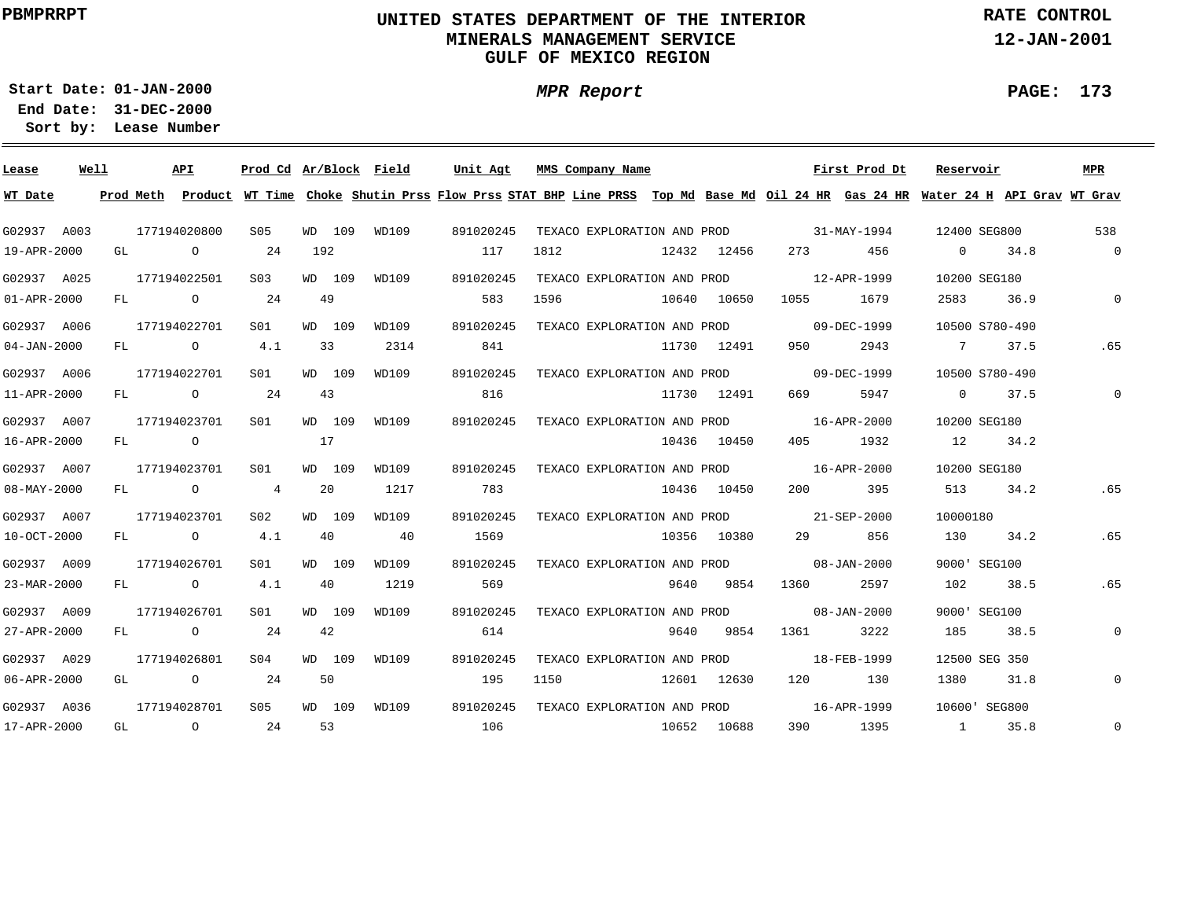### **UNITED STATES DEPARTMENT OF THE INTERIOR MINERALS MANAGEMENT SERVICEGULF OF MEXICO REGION**

**MPR Report**

**RATE CONTROL**

**12-JAN-2001**

**PAGE: 173**

÷

**01-JAN-2000Start Date:**

| Lease             | Well |           | API            | Prod Cd Ar/Block Field |     |        |       | Unit Agt |           | MMS Company Name            |      |                             |         | First Prod Dt                                                                                                                 | Reservoir      |                | MPR                 |
|-------------------|------|-----------|----------------|------------------------|-----|--------|-------|----------|-----------|-----------------------------|------|-----------------------------|---------|-------------------------------------------------------------------------------------------------------------------------------|----------------|----------------|---------------------|
| WT Date           |      | Prod Meth |                |                        |     |        |       |          |           |                             |      |                             |         | Product WT Time Choke Shutin Prss Flow Prss STAT BHP Line PRSS Top Md Base Md Oil 24 HR Gas 24 HR Water 24 H API Grav WT Grav |                |                |                     |
| G02937 A003       |      |           | 177194020800   | S05                    |     | WD 109 | WD109 |          | 891020245 | TEXACO EXPLORATION AND PROD |      |                             |         | $31 - MAX - 1994$                                                                                                             | 12400 SEG800   |                | 538                 |
| 19-APR-2000       |      | GL        | $\overline{O}$ | 24                     | 192 |        |       |          | 117       | 1812                        |      | 12432 12456                 | 273     | 456                                                                                                                           | $\overline{0}$ | 34.8           | $\overline{0}$      |
| G02937 A025       |      |           | 177194022501   | S <sub>03</sub>        |     | WD 109 | WD109 |          | 891020245 | TEXACO EXPLORATION AND PROD |      |                             |         | 12-APR-1999                                                                                                                   | 10200 SEG180   |                |                     |
| $01 - APR - 2000$ |      | FL        | $\overline{O}$ | 24                     | 49  |        |       |          | 583       | 1596                        |      | 10640 10650                 | 1055    | 1679                                                                                                                          | 2583           | 36.9           | $\mathbf{0}$        |
| G02937 A006       |      |           | 177194022701   | S <sub>01</sub>        |     | WD 109 | WD109 |          | 891020245 | TEXACO EXPLORATION AND PROD |      |                             |         | 09-DEC-1999                                                                                                                   |                | 10500 S780-490 |                     |
| $04 - JAN - 2000$ |      | FL        | $\overline{O}$ | 4.1                    |     | 33     | 2314  |          | 841       |                             |      | 11730 12491                 | 950     | 2943                                                                                                                          | 7              | 37.5           | .65                 |
| G02937 A006       |      |           | 177194022701   | SO1                    |     | WD 109 | WD109 |          | 891020245 | TEXACO EXPLORATION AND PROD |      |                             |         | 09-DEC-1999                                                                                                                   |                | 10500 S780-490 |                     |
| 11-APR-2000       |      | FL        | $\circ$        | 24                     | 43  |        |       |          | 816       |                             |      | 11730 12491                 | 669     | 5947                                                                                                                          |                | $0 \t 37.5$    | $\mathbf 0$         |
| G02937 A007       |      |           | 177194023701   | SO1                    |     | WD 109 | WD109 |          | 891020245 | TEXACO EXPLORATION AND PROD |      |                             |         | 16-APR-2000                                                                                                                   | 10200 SEG180   |                |                     |
| 16-APR-2000       |      | FL.       | $\overline{O}$ |                        | 17  |        |       |          |           |                             |      | 10436 10450                 | 405     | 1932                                                                                                                          | 12             | 34.2           |                     |
| G02937 A007       |      |           | 177194023701   | S01                    |     | WD 109 | WD109 |          | 891020245 |                             |      | TEXACO EXPLORATION AND PROD |         | 16-APR-2000                                                                                                                   | 10200 SEG180   |                |                     |
| 08-MAY-2000       |      |           | FL O           | 4                      | 20  |        | 1217  |          | 783       |                             |      | 10436 10450                 | 200     | 395                                                                                                                           | 513            | 34.2           | .65                 |
| G02937 A007       |      |           | 177194023701   | S <sub>02</sub>        |     | WD 109 | WD109 |          | 891020245 |                             |      |                             |         | TEXACO EXPLORATION AND PROD 21-SEP-2000                                                                                       | 10000180       |                |                     |
| 10-OCT-2000       |      |           | FL O           | 4.1                    | 40  |        | 40    |          | 1569      |                             |      | 10356 10380                 | 29 — 20 | 856                                                                                                                           | 130            | 34.2           | .65                 |
| G02937 A009       |      |           | 177194026701   | S01                    |     | WD 109 | WD109 |          | 891020245 | TEXACO EXPLORATION AND PROD |      |                             |         | $08 - JAN - 2000$                                                                                                             |                | 9000' SEG100   |                     |
| 23-MAR-2000       |      |           | FL O           | 4.1                    | 40  |        | 1219  |          | 569       |                             | 9640 | 9854                        | 1360    | 2597                                                                                                                          | 102            | 38.5           | .65                 |
| G02937 A009       |      |           | 177194026701   | S <sub>01</sub>        |     | WD 109 | WD109 |          | 891020245 | TEXACO EXPLORATION AND PROD |      |                             |         | $08 - JAN - 2000$                                                                                                             |                | 9000' SEG100   |                     |
| 27-APR-2000       |      | FL        | $\overline{O}$ | 24                     | 42  |        |       |          | 614       |                             | 9640 | 9854                        | 1361    | 3222                                                                                                                          | 185            | 38.5           | $\mathsf{O}\xspace$ |
| G02937 A029       |      |           | 177194026801   | SO <sub>4</sub>        |     | WD 109 | WD109 |          | 891020245 | TEXACO EXPLORATION AND PROD |      |                             |         | 18-FEB-1999                                                                                                                   |                | 12500 SEG 350  |                     |
| 06-APR-2000       |      | GL        | $\circ$        | 24                     | 50  |        |       |          | 195       | 1150                        |      | 12601 12630                 | 120     | 130                                                                                                                           | 1380           | 31.8           | $\mathsf{O}$        |
| G02937 A036       |      |           | 177194028701   | S05                    |     | WD 109 | WD109 |          | 891020245 | TEXACO EXPLORATION AND PROD |      |                             |         | 16-APR-1999                                                                                                                   |                | 10600' SEG800  |                     |
| 17-APR-2000       |      | GL        | $\overline{O}$ | 24                     | 53  |        |       |          | 106       |                             |      | 10652 10688                 | 390 — 1 | 1395                                                                                                                          | $\sim$ 1       | 35.8           | $\mathbf 0$         |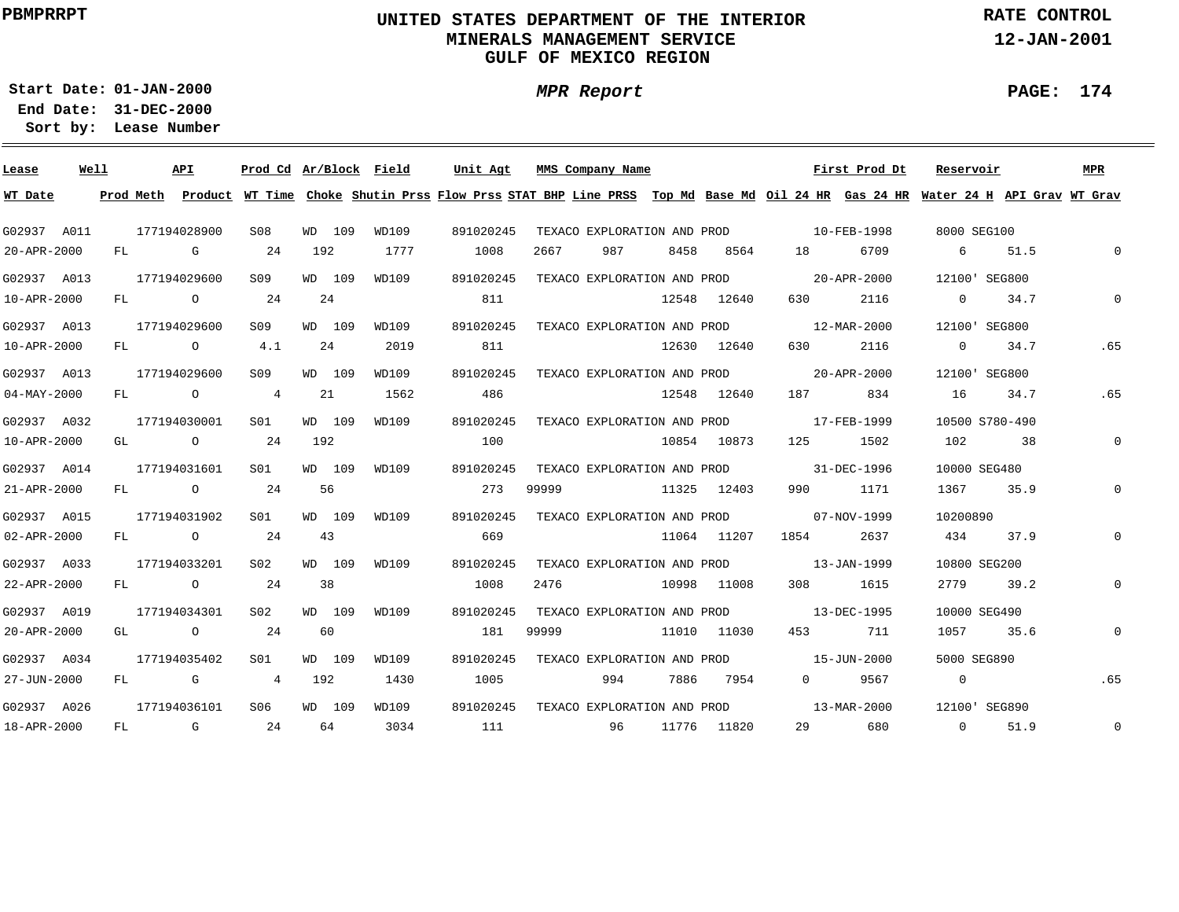### **UNITED STATES DEPARTMENT OF THE INTERIOR MINERALS MANAGEMENT SERVICEGULF OF MEXICO REGION**

**MPR Report**

**RATE CONTROL**

**12-JAN-2001**

**PAGE: 174**

÷

**01-JAN-2000Start Date:**

| Lease             | Well |           | API            |                 |                |        | Prod Cd Ar/Block Field | Unit Agt                                                                                                                      |       | MMS Company Name            |      |             |                   | First Prod Dt | Reservoir      |      | MPR          |
|-------------------|------|-----------|----------------|-----------------|----------------|--------|------------------------|-------------------------------------------------------------------------------------------------------------------------------|-------|-----------------------------|------|-------------|-------------------|---------------|----------------|------|--------------|
| WT Date           |      | Prod Meth |                |                 |                |        |                        | Product WT Time Choke Shutin Prss Flow Prss STAT BHP Line PRSS Top Md Base Md Oil 24 HR Gas 24 HR Water 24 H API Grav WT Grav |       |                             |      |             |                   |               |                |      |              |
| G02937 A011       |      |           | 177194028900   | S08             |                | WD 109 | WD109                  | 891020245                                                                                                                     |       | TEXACO EXPLORATION AND PROD |      |             |                   | 10-FEB-1998   | 8000 SEG100    |      |              |
| 20-APR-2000       |      | FL        | G              |                 | 24             | 192    | 1777                   | 1008                                                                                                                          | 2667  | 987                         | 8458 | 8564        | 18                | 6709          | 6              | 51.5 | $\Omega$     |
| G02937 A013       |      |           | 177194029600   | S <sub>09</sub> |                | WD 109 | WD109                  | 891020245                                                                                                                     |       | TEXACO EXPLORATION AND PROD |      |             |                   | 20-APR-2000   | 12100' SEG800  |      |              |
| 10-APR-2000       |      | FL        | $\circ$        |                 | 24             | 24     |                        | 811                                                                                                                           |       |                             |      | 12548 12640 | 630               | 2116          | $\overline{0}$ | 34.7 | $\Omega$     |
| G02937 A013       |      |           | 177194029600   | S09             |                | WD 109 | WD109                  | 891020245                                                                                                                     |       | TEXACO EXPLORATION AND PROD |      |             |                   | 12-MAR-2000   | 12100' SEG800  |      |              |
| 10-APR-2000       |      | FL        | $\circ$        |                 | 4.1            | 24     | 2019                   | 811                                                                                                                           |       |                             |      | 12630 12640 | 630               | 2116          | $\overline{0}$ | 34.7 | .65          |
| G02937 A013       |      |           | 177194029600   | S09             |                | WD 109 | WD109                  | 891020245                                                                                                                     |       | TEXACO EXPLORATION AND PROD |      |             |                   | 20-APR-2000   | 12100 SEG800   |      |              |
| $04 - MAX - 2000$ |      | FL        | $\circ$        |                 | $\overline{4}$ | 21     | 1562                   | 486                                                                                                                           |       |                             |      | 12548 12640 | 187               | 834           | 16             | 34.7 | .65          |
| G02937 A032       |      |           | 177194030001   | S01             |                | WD 109 | WD109                  | 891020245                                                                                                                     |       | TEXACO EXPLORATION AND PROD |      |             |                   | 17-FEB-1999   | 10500 S780-490 |      |              |
| 10-APR-2000       |      | GL        | $\overline{O}$ |                 | - 24           | 192    |                        | 100                                                                                                                           |       |                             |      | 10854 10873 | 125               | 1502          | 102            | 38   | $\mathbf{0}$ |
| G02937 A014       |      |           | 177194031601   | SO1             |                | WD 109 | WD109                  | 891020245                                                                                                                     |       | TEXACO EXPLORATION AND PROD |      |             | 31-DEC-1996       |               | 10000 SEG480   |      |              |
| 21-APR-2000       |      | FL        | $\overline{O}$ |                 | 24             | 56     |                        | 273                                                                                                                           | 99999 |                             |      | 11325 12403 | 990               | 1171          | 1367           | 35.9 | $\mathbf 0$  |
| G02937 A015       |      |           | 177194031902   | S01             |                | WD 109 | WD109                  | 891020245                                                                                                                     |       | TEXACO EXPLORATION AND PROD |      |             |                   | 07-NOV-1999   | 10200890       |      |              |
| 02-APR-2000       |      | FL.       | $\overline{O}$ |                 | -24            | 43     |                        | 669                                                                                                                           |       |                             |      | 11064 11207 | 1854              | 2637          | 434            | 37.9 | $\mathbf{0}$ |
| G02937 A033       |      |           | 177194033201   | SO2             |                | WD 109 | WD109                  | 891020245                                                                                                                     |       | TEXACO EXPLORATION AND PROD |      |             | $13 - JAN - 1999$ |               | 10800 SEG200   |      |              |
| 22-APR-2000       |      | FL        | $\overline{a}$ |                 | 24             | 38     |                        | 1008                                                                                                                          | 2476  |                             |      | 10998 11008 | 308               | 1615          | 2779           | 39.2 | $\mathbf 0$  |
| G02937 A019       |      |           | 177194034301   | S02             |                | WD 109 | WD109                  | 891020245                                                                                                                     |       | TEXACO EXPLORATION AND PROD |      |             |                   | 13-DEC-1995   | 10000 SEG490   |      |              |
| 20-APR-2000       |      | GL        | $\circ$        | 24              |                | 60     |                        | 181                                                                                                                           | 99999 |                             |      | 11010 11030 | 453               | 711           | 1057           | 35.6 | $\mathbf 0$  |
| G02937 A034       |      |           | 177194035402   | SO1             |                | WD 109 | WD109                  | 891020245                                                                                                                     |       | TEXACO EXPLORATION AND PROD |      |             |                   | 15-JUN-2000   | 5000 SEG890    |      |              |
| 27-JUN-2000       |      | FL        | G              |                 | $\overline{4}$ | 192    | 1430                   | 1005                                                                                                                          |       | 994                         | 7886 | 7954        | $\overline{0}$    | 9567          | $\overline{0}$ |      | .65          |
| G02937 A026       |      |           | 177194036101   | S06             |                | WD 109 | WD109                  | 891020245                                                                                                                     |       | TEXACO EXPLORATION AND PROD |      |             |                   | 13-MAR-2000   | 12100' SEG890  |      |              |
| 18-APR-2000       |      | FL        | $\mathbf G$    |                 | 24             | 64     | 3034                   | 111                                                                                                                           |       | 96                          |      | 11776 11820 | 29                | 680           | $\Omega$       | 51.9 | $\mathbf 0$  |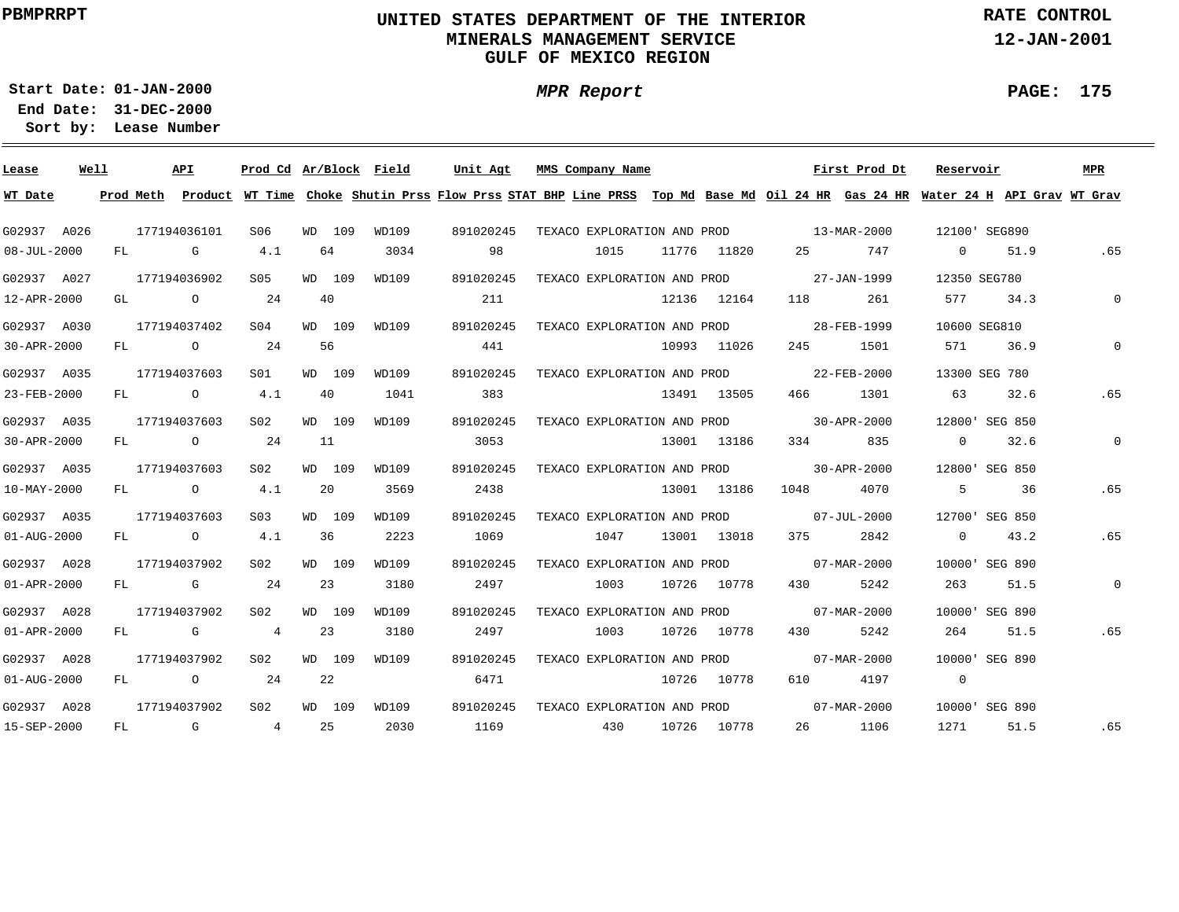### **UNITED STATES DEPARTMENT OF THE INTERIOR MINERALS MANAGEMENT SERVICEGULF OF MEXICO REGION**

**MPR Report**

**RATE CONTROL**

**12-JAN-2001**

**PAGE: 175**

÷

**01-JAN-2000Start Date:**

| Lease                    | Well |           | API            | Prod Cd Ar/Block Field |    |        |       | Unit Agt  |      | MMS Company Name            |             |         | First Prod Dt                                                                                                                 | Reservoir      |                | <b>MPR</b>   |
|--------------------------|------|-----------|----------------|------------------------|----|--------|-------|-----------|------|-----------------------------|-------------|---------|-------------------------------------------------------------------------------------------------------------------------------|----------------|----------------|--------------|
| WT Date                  |      | Prod Meth |                |                        |    |        |       |           |      |                             |             |         | Product WT Time Choke Shutin Prss Flow Prss STAT BHP Line PRSS Top Md Base Md Oil 24 HR Gas 24 HR Water 24 H API Grav WT Grav |                |                |              |
| G02937 A026              |      |           | 177194036101   | S06                    |    | WD 109 | WD109 | 891020245 |      | TEXACO EXPLORATION AND PROD |             |         | $13 - \text{MAR} - 2000$                                                                                                      |                | 12100' SEG890  |              |
| $08 - JUL - 2000$        |      | FL        | G              | 4.1                    |    | 64     | 3034  |           | 98   | 1015                        | 11776 11820 | 25      | 747                                                                                                                           | $\overline{0}$ | 51.9           | .65          |
| G02937 A027              |      |           | 177194036902   | S05                    |    | WD 109 | WD109 | 891020245 |      | TEXACO EXPLORATION AND PROD |             |         | 27-JAN-1999                                                                                                                   | 12350 SEG780   |                |              |
| 12-APR-2000              |      | GL        | $\circ$        | 24                     | 40 |        |       |           | 211  |                             | 12136 12164 | 118     | 261                                                                                                                           | 577            | 34.3           | $\Omega$     |
| G02937 A030              |      |           | 177194037402   | SO <sub>4</sub>        |    | WD 109 | WD109 | 891020245 |      | TEXACO EXPLORATION AND PROD |             |         | 28-FEB-1999                                                                                                                   | 10600 SEG810   |                |              |
| 30-APR-2000              |      | FL        | $\circ$        | 24                     |    | 56     |       |           | 441  |                             | 10993 11026 | 245     | 1501                                                                                                                          | 571            | 36.9           | $\Omega$     |
| G02937 A035              |      |           | 177194037603   | S01                    |    | WD 109 | WD109 | 891020245 |      | TEXACO EXPLORATION AND PROD |             |         | 22-FEB-2000                                                                                                                   |                | 13300 SEG 780  |              |
| 23-FEB-2000              |      | FL        | $\circ$        | 4.1                    |    | 40     | 1041  |           | 383  |                             | 13491 13505 | 466     | 1301                                                                                                                          | 63             | 32.6           | .65          |
| G02937 A035              |      |           | 177194037603   | S02                    |    | WD 109 | WD109 | 891020245 |      | TEXACO EXPLORATION AND PROD |             |         | $30 - APR - 2000$                                                                                                             |                | 12800' SEG 850 |              |
| 30-APR-2000              |      | FL        | $\overline{O}$ | 24                     | 11 |        |       |           | 3053 |                             | 13001 13186 |         | 334<br>835                                                                                                                    | $\overline{0}$ | 32.6           | $\mathbf 0$  |
| G02937 A035              |      |           | 177194037603   | S02                    |    | WD 109 | WD109 | 891020245 |      | TEXACO EXPLORATION AND PROD |             |         | 30-APR-2000                                                                                                                   |                | 12800' SEG 850 |              |
| 10-MAY-2000              |      |           | FL O           | 4.1                    |    | 20     | 3569  |           | 2438 |                             | 13001 13186 | 1048    | 4070                                                                                                                          | - 5            | 36             | .65          |
| G02937 A035              |      |           | 177194037603   | S <sub>0</sub> 3       |    | WD 109 | WD109 | 891020245 |      |                             |             |         | TEXACO EXPLORATION AND PROD 07-JUL-2000                                                                                       |                | 12700' SEG 850 |              |
| $01 - \text{AUG} - 2000$ |      | FL        | $\overline{O}$ | 4.1                    |    | 36     | 2223  |           | 1069 | 1047                        | 13001 13018 | 375 — 1 | 2842                                                                                                                          | $\overline{0}$ | 43.2           | .65          |
| G02937 A028              |      |           | 177194037902   | S02                    |    | WD 109 | WD109 | 891020245 |      | TEXACO EXPLORATION AND PROD |             |         | 07-MAR-2000                                                                                                                   |                | 10000 SEG 890  |              |
| 01-APR-2000              |      | FL        | G              | 24                     |    | 23     | 3180  |           | 2497 | 1003                        | 10726 10778 | 430     | 5242                                                                                                                          | 263            | 51.5           | $\mathsf{O}$ |
| G02937 A028              |      |           | 177194037902   | S <sub>02</sub>        |    | WD 109 | WD109 | 891020245 |      | TEXACO EXPLORATION AND PROD |             |         | 07-MAR-2000                                                                                                                   |                | 10000' SEG 890 |              |
| 01-APR-2000              |      | FL        | G              | $\overline{4}$         |    | 23     | 3180  |           | 2497 | 1003                        | 10726 10778 | 430     | 5242                                                                                                                          | 264            | 51.5           | .65          |
| G02937 A028              |      |           | 177194037902   | SO <sub>2</sub>        |    | WD 109 | WD109 | 891020245 |      | TEXACO EXPLORATION AND PROD |             |         | $07 - \text{MAR} - 2000$                                                                                                      |                | 10000' SEG 890 |              |
| $01 - \text{AUG} - 2000$ |      | FL        | $\overline{O}$ | 24                     |    | 22     |       |           | 6471 |                             | 10726 10778 | 610     | 4197                                                                                                                          | $\overline{0}$ |                |              |
| G02937 A028              |      |           | 177194037902   | S <sub>02</sub>        |    | WD 109 | WD109 | 891020245 |      | TEXACO EXPLORATION AND PROD |             |         | 07-MAR-2000                                                                                                                   |                | 10000' SEG 890 |              |
| 15-SEP-2000              |      | FL        | $\mathbb G$    | 4                      | 25 |        | 2030  |           | 1169 | 430                         | 10726 10778 |         | 1106<br>26                                                                                                                    | 1271           | 51.5           | .65          |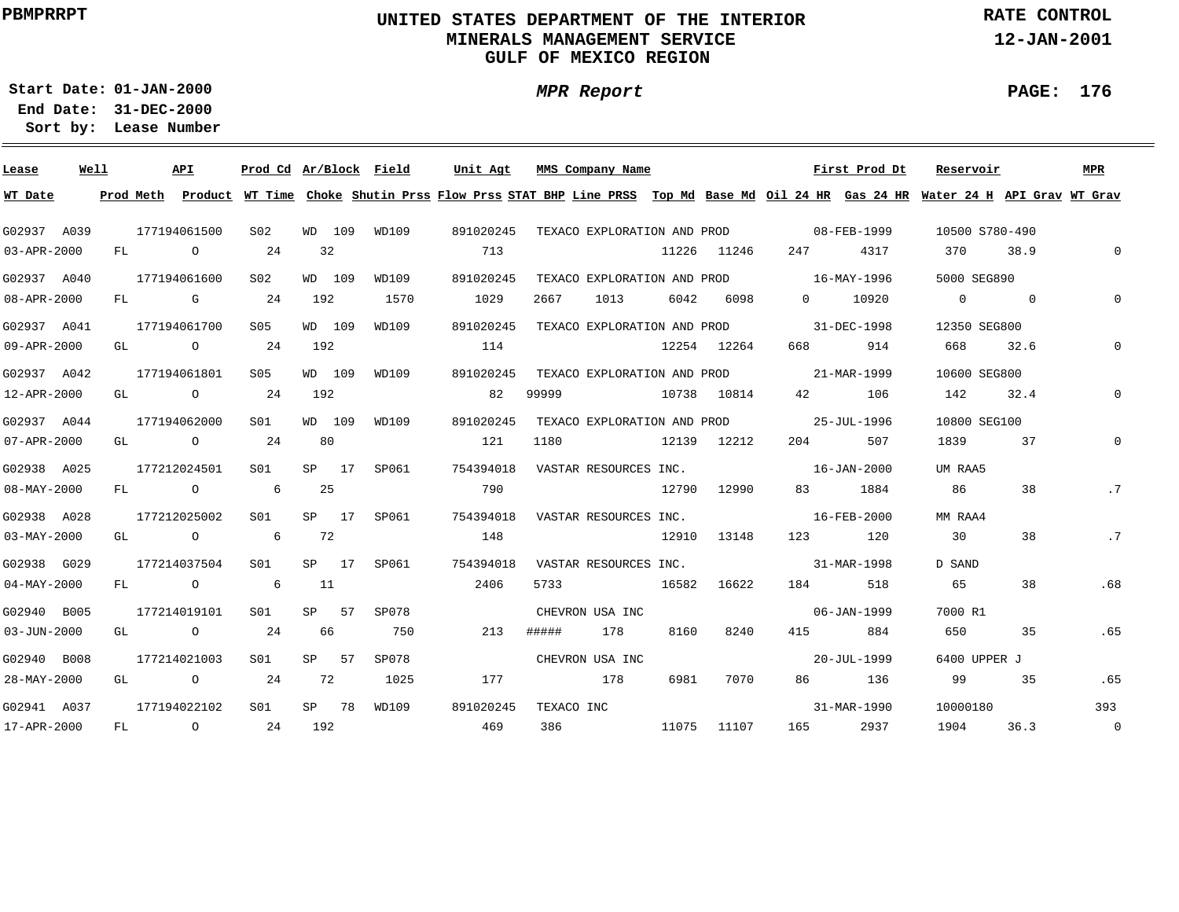### **UNITED STATES DEPARTMENT OF THE INTERIOR MINERALS MANAGEMENT SERVICEGULF OF MEXICO REGION**

**MPR Report**

**RATE CONTROL**

**12-JAN-2001**

**PAGE: 176**

÷

**01-JAN-2000Start Date:31-DEC-2000 End Date:** 

| Lease             | Well |    |           | <b>API</b>     | Prod Cd Ar/Block Field |     |         |       | Unit Agt  |            | MMS Company Name            |             |             |                                         | First Prod Dt | Reservoir                                                                                                                     |      | <b>MPR</b>     |
|-------------------|------|----|-----------|----------------|------------------------|-----|---------|-------|-----------|------------|-----------------------------|-------------|-------------|-----------------------------------------|---------------|-------------------------------------------------------------------------------------------------------------------------------|------|----------------|
| WT Date           |      |    | Prod Meth |                |                        |     |         |       |           |            |                             |             |             |                                         |               | Product WT Time Choke Shutin Prss Flow Prss STAT BHP Line PRSS Top Md Base Md Oil 24 HR Gas 24 HR Water 24 H API Grav WT Grav |      |                |
| G02937 A039       |      |    |           | 177194061500   | S02                    |     | WD 109  | WD109 | 891020245 |            |                             |             |             | TEXACO EXPLORATION AND PROD 08-FEB-1999 |               | 10500 S780-490                                                                                                                |      |                |
| 03-APR-2000       |      | FL |           | $\overline{O}$ | 24                     | 32  |         |       | 713       |            |                             |             | 11226 11246 | 247                                     | 4317          | 370                                                                                                                           | 38.9 | $\mathbf{0}$   |
| G02937 A040       |      |    |           | 177194061600   | S <sub>02</sub>        |     | WD 109  | WD109 | 891020245 |            | TEXACO EXPLORATION AND PROD |             |             | $16 - \text{MAX} - 1996$                |               | 5000 SEG890                                                                                                                   |      |                |
| 08-APR-2000       |      |    |           | FL G           | 24                     | 192 |         | 1570  | 1029      | 2667       | 1013                        | 6042        | 6098        | $\overline{0}$                          | 10920         | $\begin{array}{ccc} & & 0 & \quad & 0 \end{array}$                                                                            |      |                |
| G02937 A041       |      |    |           | 177194061700   | S05                    |     | WD 109  | WD109 | 891020245 |            |                             |             |             | TEXACO EXPLORATION AND PROD 31-DEC-1998 |               | 12350 SEG800                                                                                                                  |      |                |
| 09-APR-2000       |      |    |           | GL O           | 24                     | 192 |         |       | 114       |            |                             |             | 12254 12264 | 668 — 100                               | 914           | 668                                                                                                                           | 32.6 |                |
| G02937 A042       |      |    |           | 177194061801   | S05                    |     | WD 109  | WD109 | 891020245 |            | TEXACO EXPLORATION AND PROD |             |             | 21-MAR-1999                             |               | 10600 SEG800                                                                                                                  |      |                |
| 12-APR-2000       |      | GL |           | $\overline{O}$ | 24                     | 192 |         |       | 82        | 99999      |                             | 10738 10814 |             | 42 and $\overline{a}$                   | 106           | 142                                                                                                                           | 32.4 |                |
| G02937 A044       |      |    |           | 177194062000   | S <sub>01</sub>        |     | WD 109  | WD109 | 891020245 |            |                             |             |             | TEXACO EXPLORATION AND PROD 25-JUL-1996 |               | 10800 SEG100                                                                                                                  |      |                |
| 07-APR-2000       |      |    |           | GL O           | 24                     | 80  |         |       | 121       | 1180       | 12139 12212                 |             |             | 204                                     | 507           | 1839                                                                                                                          | 37   | $\Omega$       |
| G02938 A025       |      |    |           | 177212024501   | S01                    |     | $SP$ 17 | SP061 | 754394018 |            | VASTAR RESOURCES INC.       |             |             |                                         | 16-JAN-2000   | UM RAA5                                                                                                                       |      |                |
| 08-MAY-2000       |      |    |           | FL O           | $6\overline{6}$        | 25  |         |       | 790       |            |                             |             | 12790 12990 | 83 — 10                                 | 1884          | 86                                                                                                                            | 38   | .7             |
| G02938 A028       |      |    |           | 177212025002   | S01                    |     | $SP$ 17 | SP061 | 754394018 |            | VASTAR RESOURCES INC.       |             |             | $16 - \text{FEB} - 2000$                |               | MM RAA4                                                                                                                       |      |                |
| $03 - MAX - 2000$ |      |    |           | GL O           | 6                      | 72  |         |       | 148       |            |                             |             | 12910 13148 |                                         | 123 120       | 30                                                                                                                            | 38   | .7             |
| G02938 G029       |      |    |           | 177214037504   | SO1                    |     | $SP$ 17 | SP061 | 754394018 |            | VASTAR RESOURCES INC.       |             |             | 31-MAR-1998                             |               | D SAND                                                                                                                        |      |                |
| $04 - MAX - 2000$ |      |    |           | FL O           | 6 <sup>6</sup>         | 11  |         |       | 2406      | 5733       |                             |             | 16582 16622 | 184                                     | 518           | 65                                                                                                                            | 38   | .68            |
| G02940 B005       |      |    |           | 177214019101   | SO1                    |     | SP 57   | SP078 |           |            | CHEVRON USA INC             |             |             |                                         | 06-JAN-1999   | 7000 R1                                                                                                                       |      |                |
| 03-JUN-2000       |      |    |           | GL O           | 24                     | 66  |         | 750   | 213       | #####      | 178                         | 8160        | 8240        | 415                                     | 884           | 650                                                                                                                           | 35   | .65            |
| G02940 B008       |      |    |           | 177214021003   | S01                    |     | SP 57   | SP078 |           |            | CHEVRON USA INC             |             |             |                                         | 20-JUL-1999   | 6400 UPPER J                                                                                                                  |      |                |
| 28-MAY-2000       |      | GL |           | $\overline{O}$ | 24                     | 72  |         | 1025  | 177       |            | 178                         | 6981        | 7070        |                                         | 86 136        | 99                                                                                                                            | 35   | .65            |
| G02941 A037       |      |    |           | 177194022102   | S01                    |     | SP 78   | WD109 | 891020245 | TEXACO INC |                             |             |             |                                         | 31-MAR-1990   | 10000180                                                                                                                      |      | 393            |
| 17-APR-2000       |      | FL |           | $\overline{O}$ | 24                     | 192 |         |       | 469       | 386        |                             |             | 11075 11107 | 165 — 165                               | 2937          | 1904                                                                                                                          | 36.3 | $\overline{0}$ |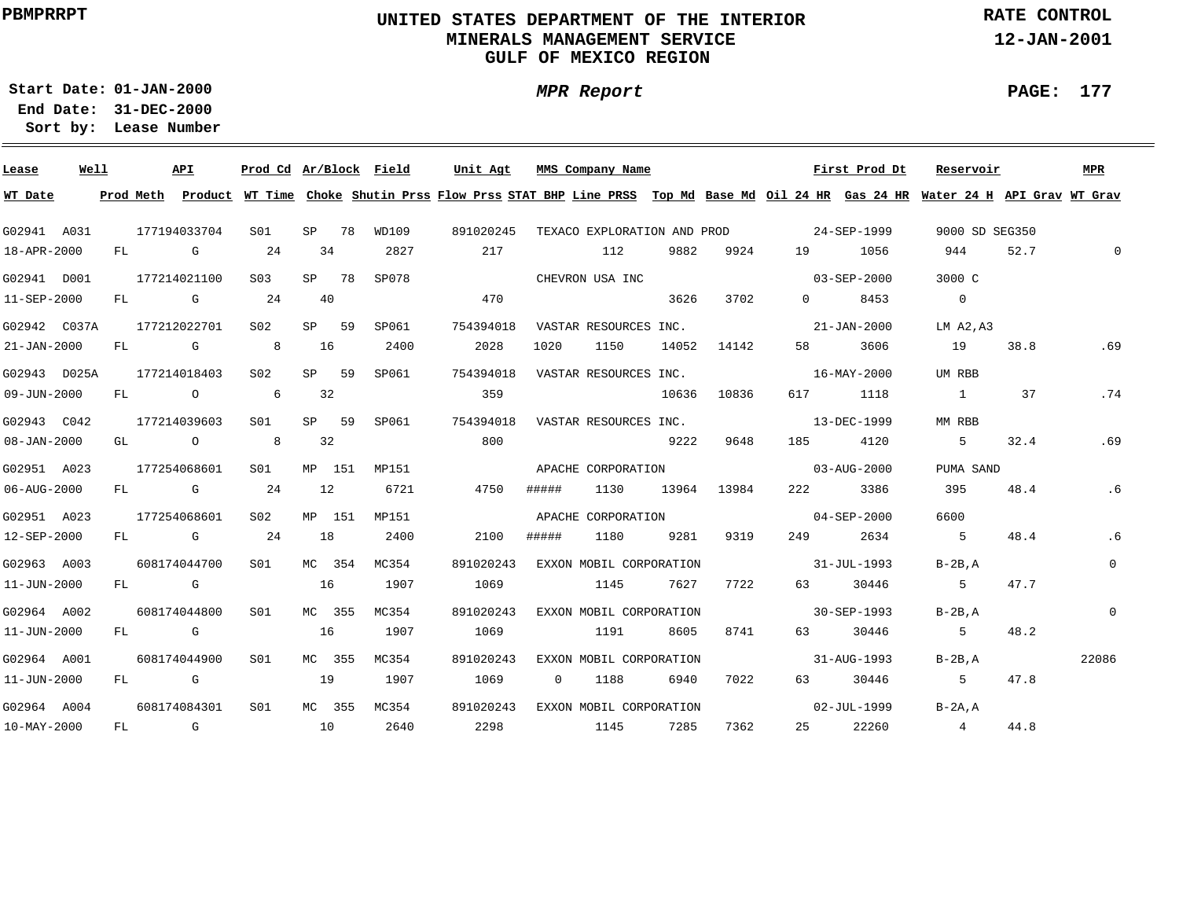### **UNITED STATES DEPARTMENT OF THE INTERIOR MINERALS MANAGEMENT SERVICEGULF OF MEXICO REGION**

**MPR Report**

**RATE CONTROL**

**12-JAN-2001**

**PAGE: 177**

**01-JAN-2000Start Date:31-DEC-2000 End Date:** 

| Lease             | Well |    | API                                                                      | Prod Cd Ar/Block Field |    |        |              | Unit Agt                                                                                                                                |                | MMS Company Name        |       |             |                                         | First Prod Dt     | Reservoir      |      | MPR            |
|-------------------|------|----|--------------------------------------------------------------------------|------------------------|----|--------|--------------|-----------------------------------------------------------------------------------------------------------------------------------------|----------------|-------------------------|-------|-------------|-----------------------------------------|-------------------|----------------|------|----------------|
| WT Date           |      |    |                                                                          |                        |    |        |              | Prod Meth Product WT Time Choke Shutin Prss Flow Prss STAT BHP Line PRSS Top Md Base Md Oil 24 HR Gas 24 HR Water 24 H API Grav WT Grav |                |                         |       |             |                                         |                   |                |      |                |
| G02941 A031       |      |    | 177194033704                                                             | S01                    |    | SP 78  | WD109        | 891020245                                                                                                                               |                |                         |       |             | TEXACO EXPLORATION AND PROD 24-SEP-1999 |                   | 9000 SD SEG350 |      |                |
| 18-APR-2000       |      |    | FL G                                                                     | 24                     |    | 34     | 2827         | 217                                                                                                                                     |                | 112                     | 9882  | 9924        | 19                                      | 1056              | 944            | 52.7 | $\mathbf 0$    |
| G02941 D001       |      |    | 177214021100                                                             | S <sub>03</sub>        |    | SP 78  | SP078        |                                                                                                                                         |                | CHEVRON USA INC         |       |             |                                         | $03 - SEP - 2000$ | 3000 C         |      |                |
| 11-SEP-2000       |      |    | FL G                                                                     | 24                     | 40 |        |              | 470                                                                                                                                     |                |                         | 3626  | 3702        | $0 \qquad \qquad$                       | 8453              | $\overline{0}$ |      |                |
| G02942 C037A      |      |    | 177212022701                                                             | S <sub>02</sub>        |    | SP 59  | SP061        | 754394018                                                                                                                               |                | VASTAR RESOURCES INC.   |       |             | $21 - JAN - 2000$                       |                   | LM A2, A3      |      |                |
| $21 - JAN - 2000$ |      |    | FL G 8                                                                   |                        | 16 |        | 2400         | 2028                                                                                                                                    | 1020           | 1150                    |       | 14052 14142 | 58 — 1                                  | 3606              | 19             | 38.8 | .69            |
| G02943 D025A      |      |    | 177214018403                                                             | S02                    |    | SP 59  | SP061        | 754394018                                                                                                                               |                | VASTAR RESOURCES INC.   |       |             |                                         | 16-MAY-2000       | UM RBB         |      |                |
| 09-JUN-2000       |      | FL | $\begin{array}{ccc} & & & \circ & \\ \circ & & & \circ & \\ \end{array}$ |                        |    | 32     |              | 359                                                                                                                                     |                |                         | 10636 | 10836       | 617 —                                   | 1118              | $\sim$ 1       | 37   | .74            |
| G02943 C042       |      |    | 177214039603                                                             | S01                    |    | SP 59  | SP061        | 754394018                                                                                                                               |                | VASTAR RESOURCES INC.   |       |             |                                         | 13-DEC-1999       | MM RBB         |      |                |
| $08 - JAN - 2000$ |      |    | GL O                                                                     | 8 <sup>1</sup>         | 32 |        |              | 800                                                                                                                                     |                |                         | 9222  | 9648        | 185 — 186                               | 4120              | 5              | 32.4 | .69            |
| G02951 A023       |      |    | 177254068601                                                             | S01                    |    | MP 151 | MP151        | APACHE CORPORATION  and 03-AUG-2000                                                                                                     |                |                         |       |             |                                         |                   | PUMA SAND      |      |                |
| 06-AUG-2000       |      |    | FL G 24                                                                  |                        | 12 |        | 6721         | 4750                                                                                                                                    | #####          | 1130                    |       | 13964 13984 | 222 and $\sim$                          | 3386              | 395            | 48.4 | .6             |
| G02951 A023       |      |    | 177254068601                                                             | S02                    |    | MP 151 | MP151        |                                                                                                                                         |                |                         |       |             | APACHE CORPORATION 69-SEP-2000          |                   | 6600           |      |                |
| 12-SEP-2000       |      |    | FL G                                                                     | 24                     | 18 |        | 2400         | 2100                                                                                                                                    | #####          | 1180                    |       | 9281 9319   | 249                                     | 2634              | $5^{\circ}$    | 48.4 | .6             |
| G02963 A003       |      |    | 608174044700                                                             | S01                    |    | MC 354 | MC354        | 891020243                                                                                                                               |                | EXXON MOBIL CORPORATION |       |             | $31 - JUL - 1993$                       |                   | $B-2B.A$       |      | $\overline{0}$ |
| 11-JUN-2000       |      |    | FL G                                                                     |                        | 16 |        | 1907         | 1069                                                                                                                                    |                | 1145                    | 7627  | 7722        | 63 — 1                                  | 30446             | 5              | 47.7 |                |
| G02964 A002       |      |    | 608174044800                                                             | SO1                    |    | MC 355 | MC354        | 891020243                                                                                                                               |                | EXXON MOBIL CORPORATION |       |             |                                         | 30-SEP-1993       | $B-2B$ , $A$   |      | $\mathbf 0$    |
| 11-JUN-2000       |      |    | FL G                                                                     |                        | 16 |        | 1907         | 1069                                                                                                                                    |                | 1191                    | 8605  | 8741        | 63 — 1                                  | 30446             | $5 -$          | 48.2 |                |
| G02964 A001       |      |    | 608174044900                                                             | S01                    |    | MC 355 | MC354        | 891020243                                                                                                                               |                | EXXON MOBIL CORPORATION |       |             | $31 - \text{AUG} - 1993$                |                   | $B-2B.A$       |      | 22086          |
| 11-JUN-2000       |      |    | FL G                                                                     |                        |    | 19     | 1907         | 1069                                                                                                                                    | $\overline{0}$ | 1188                    | 6940  | 7022        | 63 — 1                                  | 30446             | $5^{\circ}$    | 47.8 |                |
| G02964 A004       |      |    | 608174084301                                                             | SO1                    |    |        | MC 355 MC354 | 891020243 EXXON MOBIL CORPORATION                                                                                                       |                |                         |       |             | $02 - JUL - 1999$                       |                   | $B-2A.A$       |      |                |
| 10-MAY-2000       |      |    |                                                                          |                        |    |        |              | FL G 10 2640 2298 1145 7285                                                                                                             |                |                         |       | 7362        |                                         | 25 22260          | 4 44.8         |      |                |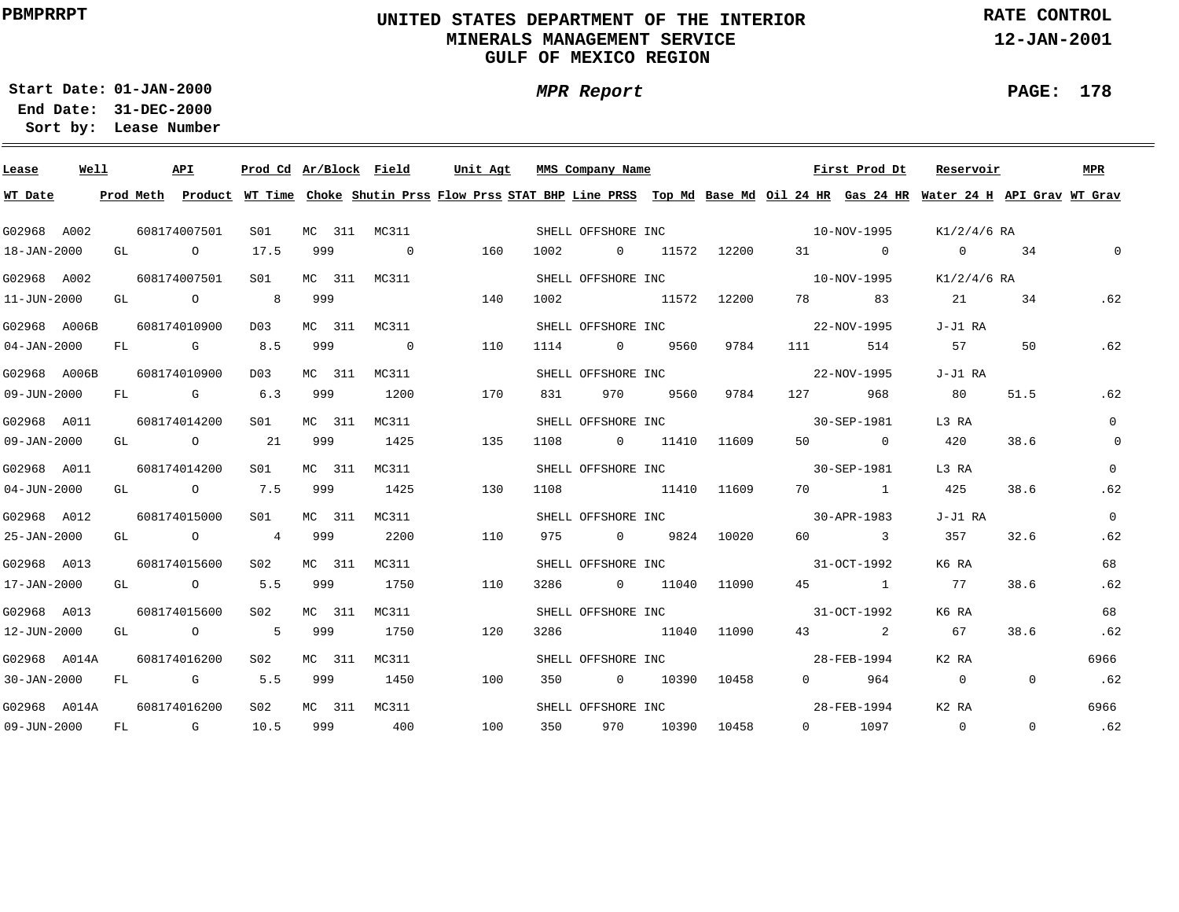### **UNITED STATES DEPARTMENT OF THE INTERIOR MINERALS MANAGEMENT SERVICEGULF OF MEXICO REGION**

**RATE CONTROL**

**12-JAN-2001**

**01-JAN-2000Start Date:31-DEC-2000 End Date:** 

**Lease Number Sort by:**

| Lease             | Well |    |                                  | API                                   | Prod Cd Ar/Block Field |     |        |                | Unit Agt |     |         | MMS Company Name               |                 |             |                   |          | First Prod Dt | Reservoir                                                                                                                               |                | <b>MPR</b>     |
|-------------------|------|----|----------------------------------|---------------------------------------|------------------------|-----|--------|----------------|----------|-----|---------|--------------------------------|-----------------|-------------|-------------------|----------|---------------|-----------------------------------------------------------------------------------------------------------------------------------------|----------------|----------------|
| WT Date           |      |    |                                  |                                       |                        |     |        |                |          |     |         |                                |                 |             |                   |          |               | Prod Meth Product WT Time Choke Shutin Prss Flow Prss STAT BHP Line PRSS Top Md Base Md Oil 24 HR Gas 24 HR Water 24 H API Grav WT Grav |                |                |
| G02968 A002       |      |    |                                  | 608174007501                          | S01                    |     |        | MC 311 MC311   |          |     |         | SHELL OFFSHORE INC             |                 |             |                   |          | 10-NOV-1995   | K1/2/4/6 RA                                                                                                                             |                |                |
| 18-JAN-2000       |      |    | GL DESCRIPTION OF REAL PROPERTY. | $\circ$                               | 17.5                   | 999 |        | $\overline{0}$ |          | 160 | 1002    |                                | 0 11572 12200   |             |                   |          | 31 0          | $\overline{0}$                                                                                                                          | 34             | $\mathsf{O}$   |
| G02968 A002       |      |    |                                  | 608174007501                          | S01                    |     |        | MC 311 MC311   |          |     |         | SHELL OFFSHORE INC 10-NOV-1995 |                 |             |                   |          |               | K1/2/4/6 RA                                                                                                                             |                |                |
| 11-JUN-2000       |      |    |                                  | GL O                                  | 8 <sup>1</sup>         | 999 |        |                |          | 140 | 1002    | 11572 12200                    |                 |             |                   | 78 — 178 | 83            | 21                                                                                                                                      | 34             | .62            |
| G02968 A006B      |      |    |                                  | 608174010900                          | D03                    |     |        | MC 311 MC311   |          |     |         | SHELL OFFSHORE INC             |                 |             |                   |          | 22-NOV-1995   | J-J1 RA                                                                                                                                 |                |                |
| $04 - JAN - 2000$ |      |    |                                  | FL G                                  | 8.5                    | 999 |        | $\overline{0}$ |          | 110 | 1114    |                                | 0 9560          | 9784        | 111 7             |          | 514           | 57                                                                                                                                      | 50             | .62            |
| G02968 A006B      |      |    |                                  | 608174010900                          | D03                    |     | MC 311 | MC311          |          |     |         | SHELL OFFSHORE INC             |                 |             |                   |          | 22-NOV-1995   | J-J1 RA                                                                                                                                 |                |                |
| 09-JUN-2000       |      | FL |                                  | G 6.3                                 |                        | 999 |        | 1200           |          | 170 | 831     | 970                            | 9560            | 9784        | 127 — 127         |          | 968           | 80                                                                                                                                      | 51.5           | .62            |
| G02968 A011       |      |    |                                  | 608174014200                          | SO1                    |     | MC 311 | MC311          |          |     |         | SHELL OFFSHORE INC             |                 |             |                   |          | 30-SEP-1981   | L3 RA                                                                                                                                   |                | $\Omega$       |
| $09 - JAN - 2000$ |      |    |                                  | GL $\qquad \qquad 0 \qquad \qquad 21$ |                        | 999 |        | 1425           |          | 135 | 1108    | 0 11410                        |                 | 11609       | 50                |          | $\sim$ 0      | 420                                                                                                                                     | 38.6           | $\mathsf{O}$   |
| G02968 A011       |      |    |                                  | 608174014200                          | S01                    |     | MC 311 | MC311          |          |     |         | SHELL OFFSHORE INC             |                 |             |                   |          | 30-SEP-1981   | L3 RA                                                                                                                                   |                | $\Omega$       |
| $04 - JUN - 2000$ |      |    |                                  | GL 0 7.5                              |                        | 999 |        | 1425           |          | 130 | 1108    | 11410 11609                    |                 |             |                   |          | 70 1          | 425                                                                                                                                     | 38.6           | .62            |
| G02968 A012       |      |    |                                  | 608174015000                          | S01                    |     | MC 311 | MC311          |          |     |         | SHELL OFFSHORE INC             |                 |             | $30 - APR - 1983$ |          |               | J-J1 RA                                                                                                                                 |                | $\overline{0}$ |
| 25-JAN-2000       |      |    |                                  | GL 0 4 999                            |                        |     |        | 2200           |          | 110 |         | 975 0 9824 10020               |                 |             |                   |          | 60 3          | 357                                                                                                                                     | 32.6           | .62            |
| G02968 A013       |      |    |                                  | 608174015600                          | S02                    |     | MC 311 | MC311          |          |     |         | SHELL OFFSHORE INC             |                 |             | $31-9CT-1992$     |          |               | K6 RA                                                                                                                                   |                | 68             |
| 17-JAN-2000       |      |    |                                  | GL 0 5.5                              |                        | 999 |        | 1750           |          | 110 | 3286    | 0 11040 11090                  |                 |             |                   |          | 45 1          | 77                                                                                                                                      | 38.6           | .62            |
| G02968 A013       |      |    |                                  | 608174015600                          | S02                    |     | MC 311 | MC311          |          |     |         | SHELL OFFSHORE INC             |                 |             |                   |          | 31-OCT-1992   | K6 RA                                                                                                                                   |                | 68             |
| 12-JUN-2000       |      |    |                                  | GL O                                  | 5 999                  |     |        | 1750           |          | 120 | 3286    | 11040 11090                    |                 |             |                   |          | 43 2          | 67                                                                                                                                      | 38.6           | .62            |
| G02968 A014A      |      |    |                                  | 608174016200                          | S02                    |     |        | MC 311 MC311   |          |     |         | SHELL OFFSHORE INC             |                 |             |                   |          | 28-FEB-1994   | K2 RA                                                                                                                                   |                | 6966           |
| $30 - JAN - 2000$ |      |    |                                  | FL G 5.5                              |                        | 999 |        | 1450           |          | 100 | 350     | $\overline{0}$                 |                 | 10390 10458 |                   |          | 0 964         | $\sim$ 0                                                                                                                                | $\overline{0}$ | .62            |
| G02968 A014A      |      |    |                                  | 608174016200                          | S <sub>02</sub>        |     |        | MC 311 MC311   |          |     |         | SHELL OFFSHORE INC             |                 |             |                   |          | 28-FEB-1994   | K2 RA                                                                                                                                   |                | 6966           |
| 09-JUN-2000       |      |    |                                  | FL G 10.5                             |                        |     |        | 999 400        |          | 100 | 350 350 |                                | 970 10390 10458 |             |                   |          | 0 1097        | $\overline{0}$                                                                                                                          | $\Omega$       | .62            |

**MPR Report**

## **PAGE: 178**

÷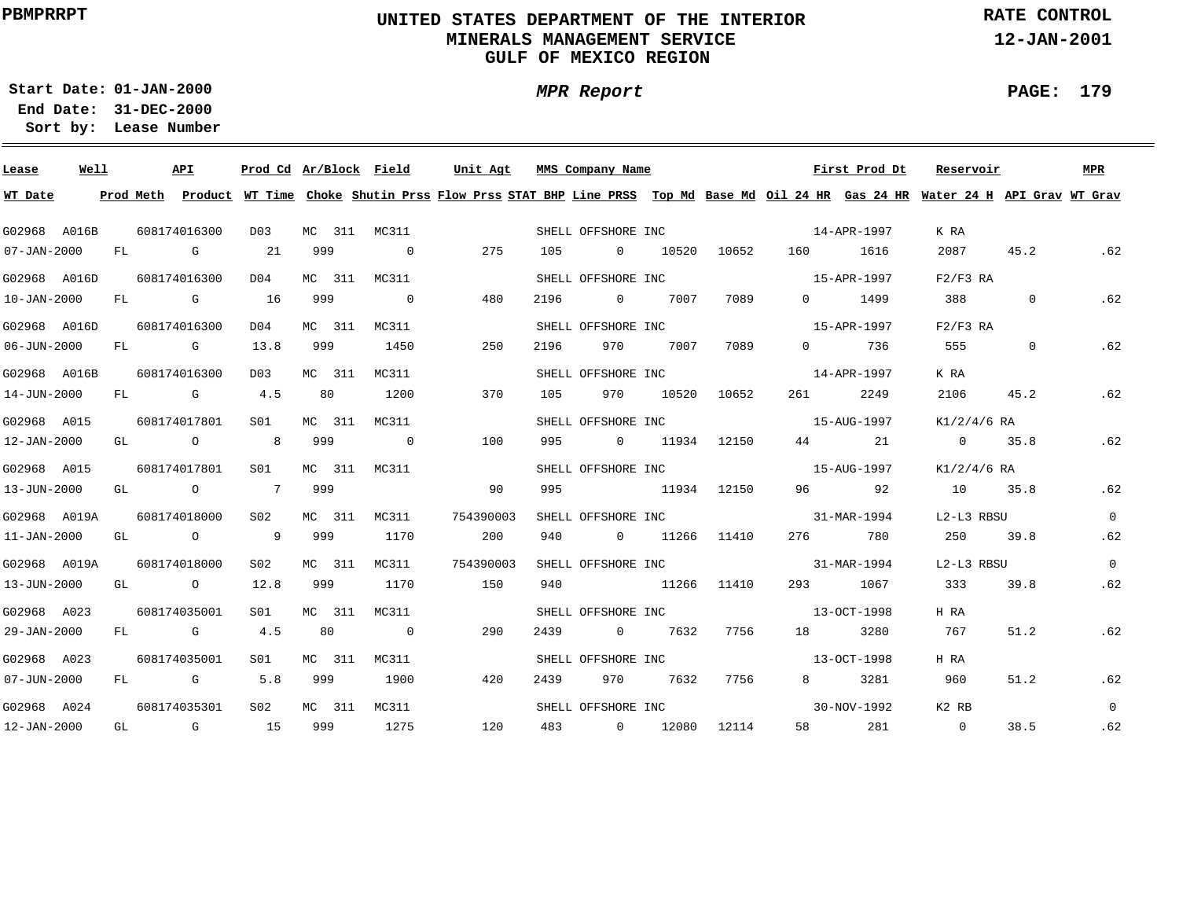### **UNITED STATES DEPARTMENT OF THE INTERIOR MINERALS MANAGEMENT SERVICEGULF OF MEXICO REGION**

**RATE CONTROL**

**12-JAN-2001**

**01-JAN-2000Start Date:31-DEC-2000 End Date:** 

**Lease Number Sort by:**

| Lease             | Well |     |                                                                                                                    | API                                                                                                             | Prod Cd Ar/Block Field |        |              |                | Unit Agt  |     |      | MMS Company Name   |               |             |                                                                                                                                                                                                                                 | First Prod Dt     | Reservoir                                                                                                                               |                | MPR            |
|-------------------|------|-----|--------------------------------------------------------------------------------------------------------------------|-----------------------------------------------------------------------------------------------------------------|------------------------|--------|--------------|----------------|-----------|-----|------|--------------------|---------------|-------------|---------------------------------------------------------------------------------------------------------------------------------------------------------------------------------------------------------------------------------|-------------------|-----------------------------------------------------------------------------------------------------------------------------------------|----------------|----------------|
| WT Date           |      |     |                                                                                                                    |                                                                                                                 |                        |        |              |                |           |     |      |                    |               |             |                                                                                                                                                                                                                                 |                   | Prod Meth Product WT Time Choke Shutin Prss Flow Prss STAT BHP Line PRSS Top Md Base Md Oil 24 HR Gas 24 HR Water 24 H API Grav WT Grav |                |                |
| G02968 A016B      |      |     |                                                                                                                    | 608174016300                                                                                                    | D03                    |        | MC 311 MC311 |                |           |     |      | SHELL OFFSHORE INC |               |             | $14 - APR - 1997$                                                                                                                                                                                                               |                   | K RA                                                                                                                                    |                |                |
| $07 - JAN - 2000$ |      | FL  | and the Control Control Control Control Control Control Control Control Control Control Control Control Control Co |                                                                                                                 | 21                     | 999    |              | $\overline{0}$ |           | 275 | 105  | $\overline{0}$     |               | 10520 10652 | 160                                                                                                                                                                                                                             | 1616              | 2087                                                                                                                                    | 45.2           | .62            |
| G02968 A016D      |      |     |                                                                                                                    | 608174016300                                                                                                    | DO 4                   |        | MC 311 MC311 |                |           |     |      | SHELL OFFSHORE INC |               |             | $15 - APR - 1997$                                                                                                                                                                                                               |                   | $F2/F3$ RA                                                                                                                              |                |                |
| $10 - JAN - 2000$ |      |     |                                                                                                                    | FL G                                                                                                            | 16                     | 999    |              | $\overline{0}$ |           | 480 | 2196 | $\overline{0}$     | 7007          | 7089        | $\Omega$                                                                                                                                                                                                                        | 1499              | 388                                                                                                                                     | $\overline{0}$ | .62            |
| G02968 A016D      |      |     |                                                                                                                    | 608174016300                                                                                                    | D04                    |        | MC 311 MC311 |                |           |     |      | SHELL OFFSHORE INC |               |             |                                                                                                                                                                                                                                 | 15-APR-1997       | $F2/F3$ RA                                                                                                                              |                |                |
| $06 - JUN - 2000$ |      | FL  |                                                                                                                    | and the Group of the State of the State of the State of the State of the State of the State of the State of the | 13.8                   | 999    |              | 1450           |           | 250 | 2196 | 970                | 7007          | 7089        | $\Omega$                                                                                                                                                                                                                        | 736               | 555                                                                                                                                     | $\overline{0}$ | .62            |
| G02968 A016B      |      |     |                                                                                                                    | 608174016300                                                                                                    | D03                    |        | MC 311 MC311 |                |           |     |      | SHELL OFFSHORE INC |               |             |                                                                                                                                                                                                                                 | 14-APR-1997       | K RA                                                                                                                                    |                |                |
| 14-JUN-2000       |      | FL. |                                                                                                                    | G 4.5                                                                                                           |                        | 80     |              | 1200           |           | 370 | 105  | 970                | 10520         | 10652       | 261 — 261 — 261 — 262 — 262 — 262 — 262 — 262 — 262 — 262 — 262 — 262 — 262 — 262 — 262 — 262 — 262 — 262 — 262 — 262 — 262 — 262 — 262 — 262 — 262 — 262 — 262 — 262 — 262 — 262 — 262 — 262 — 262 — 262 — 262 — 262 — 262 — 2 | 2249              | 2106                                                                                                                                    | 45.2           | .62            |
| G02968 A015       |      |     |                                                                                                                    | 608174017801                                                                                                    | S01                    | MC 311 | MC311        |                |           |     |      | SHELL OFFSHORE INC |               |             |                                                                                                                                                                                                                                 | 15-AUG-1997       | K1/2/4/6 RA                                                                                                                             |                |                |
| 12-JAN-2000       |      | GL  |                                                                                                                    | $\overline{O}$                                                                                                  | 8 <sup>8</sup>         | 999    |              | $\overline{0}$ |           | 100 | 995  |                    | 0 11934 12150 |             |                                                                                                                                                                                                                                 | 44 21             | $\overline{0}$                                                                                                                          | 35.8           | .62            |
| G02968 A015       |      |     |                                                                                                                    | 608174017801                                                                                                    | S01                    |        | MC 311 MC311 |                |           |     |      |                    |               |             | SHELL OFFSHORE INC 15-AUG-1997                                                                                                                                                                                                  |                   | K1/2/4/6 RA                                                                                                                             |                |                |
| 13-JUN-2000       |      |     |                                                                                                                    | GL O                                                                                                            | $\overline{7}$         | 999    |              |                |           | 90  | 995  |                    | 11934 12150   |             |                                                                                                                                                                                                                                 | 96 92             | 10 35.8                                                                                                                                 |                | .62            |
| G02968 A019A      |      |     |                                                                                                                    | 608174018000                                                                                                    | S02                    |        | MC 311 MC311 |                | 754390003 |     |      |                    |               |             | SHELL OFFSHORE INC 31-MAR-1994                                                                                                                                                                                                  |                   | L2-L3 RBSU                                                                                                                              |                | $\Omega$       |
| $11 - JAN - 2000$ |      |     |                                                                                                                    | GL O                                                                                                            | 9                      | 999    |              | 1170           |           | 200 | 940  |                    | 0 11266 11410 |             |                                                                                                                                                                                                                                 | 276 780           | 250                                                                                                                                     | 39.8           | .62            |
| G02968 A019A      |      |     |                                                                                                                    | 608174018000                                                                                                    | S02                    | MC 311 | MC311        |                | 754390003 |     |      | SHELL OFFSHORE INC |               |             |                                                                                                                                                                                                                                 | 31-MAR-1994       | L2-L3 RBSU                                                                                                                              |                | $\overline{0}$ |
| 13-JUN-2000       |      |     |                                                                                                                    | GL O                                                                                                            | 12.8                   | 999    |              | 1170           |           | 150 | 940  |                    | 11266 11410   |             | 293 — 2014                                                                                                                                                                                                                      | 1067              | 333                                                                                                                                     | 39.8           | .62            |
| G02968 A023       |      |     |                                                                                                                    | 608174035001                                                                                                    | SO1                    | MC 311 | MC311        |                |           |     |      | SHELL OFFSHORE INC |               |             |                                                                                                                                                                                                                                 | $13 - OCT - 1998$ | H RA                                                                                                                                    |                |                |
| 29-JAN-2000       |      | FL  |                                                                                                                    | <b>G</b> G                                                                                                      | 4.5                    | 80     |              | $\overline{0}$ |           | 290 | 2439 | $\overline{0}$     | 7632          | 7756        | 18                                                                                                                                                                                                                              | 3280              | 767                                                                                                                                     | 51.2           | .62            |
| G02968 A023       |      |     |                                                                                                                    | 608174035001                                                                                                    | S01                    |        | MC 311 MC311 |                |           |     |      | SHELL OFFSHORE INC |               |             |                                                                                                                                                                                                                                 | 13-OCT-1998       | H RA                                                                                                                                    |                |                |
| $07 - JUN - 2000$ |      | FL  |                                                                                                                    | G 5.8                                                                                                           |                        | 999    |              | 1900           |           | 420 | 2439 | 970                | 7632          | 7756        | 8 - 10                                                                                                                                                                                                                          | 3281              | 960                                                                                                                                     | 51.2           | .62            |
| G02968 A024       |      |     |                                                                                                                    | 608174035301                                                                                                    | S <sub>02</sub>        |        | MC 311 MC311 |                |           |     |      | SHELL OFFSHORE INC |               |             | $30 - NOV - 1992$                                                                                                                                                                                                               |                   | K2 RB                                                                                                                                   |                | $\Omega$       |
| 12-JAN-2000       |      |     |                                                                                                                    | $GL$ G $15$                                                                                                     |                        | 999    |              | 1275           |           | 120 |      | 483 0 12080 12114  |               |             |                                                                                                                                                                                                                                 | 58 281            | $\overline{0}$                                                                                                                          | 38.5           | .62            |

# **MPR Report**

#### **PAGE: 179**

÷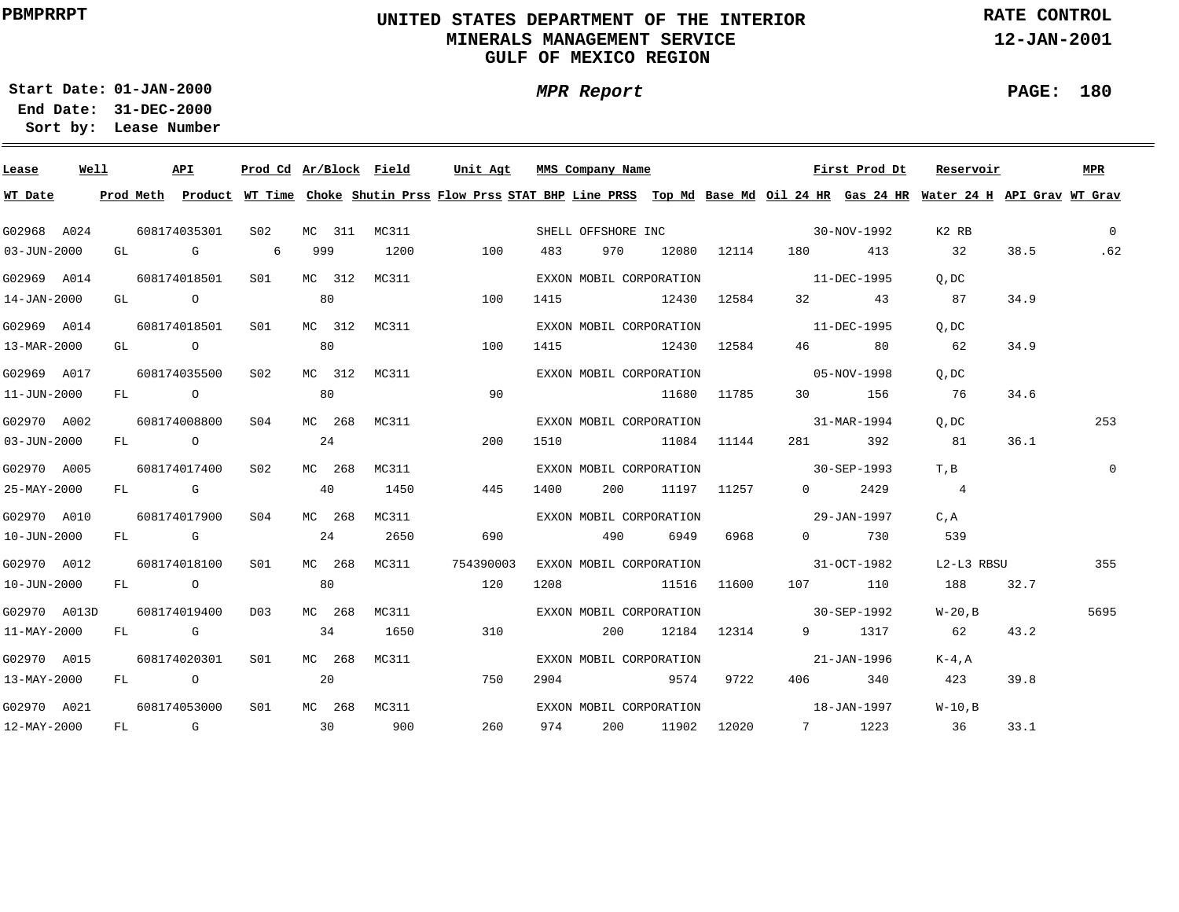### **UNITED STATES DEPARTMENT OF THE INTERIOR MINERALS MANAGEMENT SERVICEGULF OF MEXICO REGION**

**MPR Report**

**RATE CONTROL**

**12-JAN-2001**

**PAGE: 180**

÷

**01-JAN-2000Start Date:31-DEC-2000 End Date:** 

| Lease        | Well |  | API          | Prod Cd Ar/Block Field |     |        |              | Unit Agt  |      | MMS Company Name |                         |                     |                                     | First Prod Dt                | Reservoir                                                                                                                               |      | MPR            |
|--------------|------|--|--------------|------------------------|-----|--------|--------------|-----------|------|------------------|-------------------------|---------------------|-------------------------------------|------------------------------|-----------------------------------------------------------------------------------------------------------------------------------------|------|----------------|
| WT Date      |      |  |              |                        |     |        |              |           |      |                  |                         |                     |                                     |                              | Prod Meth Product WT Time Choke Shutin Prss Flow Prss STAT BHP Line PRSS Top Md Base Md Oil 24 HR Gas 24 HR Water 24 H API Grav WT Grav |      |                |
| G02968 A024  |      |  | 608174035301 | S02                    |     |        | MC 311 MC311 |           |      |                  |                         |                     | SHELL OFFSHORE INC 30-NOV-1992      |                              | K2 RB                                                                                                                                   |      | $\overline{0}$ |
| 03-JUN-2000  |      |  | GL G G       | 6                      | 999 |        | 1200         | 100       | 483  |                  |                         |                     | 970 12080 12114 180 413             |                              | 32                                                                                                                                      | 38.5 | .62            |
| G02969 A014  |      |  | 608174018501 | S01                    |     | MC 312 | MC311        |           |      |                  | EXXON MOBIL CORPORATION |                     | $11 - DEC - 1995$                   |                              | $O$ , DC                                                                                                                                |      |                |
| 14-JAN-2000  |      |  | GL O         |                        | 80  |        |              | 100       |      |                  |                         | 1415 12430 12584    |                                     | 32 43                        | 87                                                                                                                                      | 34.9 |                |
| G02969 A014  |      |  | 608174018501 | S01                    |     |        | MC 312 MC311 |           |      |                  | EXXON MOBIL CORPORATION |                     | $11 - DEC - 1995$                   |                              | $O$ , DC                                                                                                                                |      |                |
| 13-MAR-2000  |      |  | GL O         |                        | 80  |        |              | 100       |      |                  | 1415 12430 12584        |                     |                                     | 80                           | 62                                                                                                                                      | 34.9 |                |
| G02969 A017  |      |  | 608174035500 | S02                    |     |        | MC 312 MC311 |           |      |                  | EXXON MOBIL CORPORATION |                     |                                     | 05-NOV-1998                  | $O$ , DC                                                                                                                                |      |                |
| 11-JUN-2000  |      |  | FL O         |                        | 80  |        |              | 90        |      |                  |                         | 11680 11785         |                                     | 30 156                       | 76                                                                                                                                      | 34.6 |                |
| G02970 A002  |      |  | 608174008800 | S04                    |     | MC 268 | MC311        |           |      |                  |                         |                     | EXXON MOBIL CORPORATION 31-MAR-1994 |                              | $O$ , DC                                                                                                                                |      | 253            |
| 03-JUN-2000  |      |  | FL O         |                        | 24  |        |              | 200       |      |                  |                         | 1510 11084 11144    |                                     | 281 392                      | 81                                                                                                                                      | 36.1 |                |
| G02970 A005  |      |  | 608174017400 | S02                    |     | MC 268 | MC311        |           |      |                  | EXXON MOBIL CORPORATION |                     | $30 - SEP - 1993$                   |                              | T, B                                                                                                                                    |      | $\Omega$       |
| 25-MAY-2000  |      |  | FL G         |                        | 40  |        | 1450         | 445       | 1400 |                  |                         | 200 11197 11257     |                                     | $0 \t 2429$                  | $\overline{4}$                                                                                                                          |      |                |
| G02970 A010  |      |  | 608174017900 | S04                    |     | MC 268 | MC311        |           |      |                  | EXXON MOBIL CORPORATION |                     | 29-JAN-1997                         |                              | $C$ , $A$                                                                                                                               |      |                |
| 10-JUN-2000  |      |  | FL G         |                        | 24  |        | 2650         | 690       |      | 490              | 6949                    | 6968                |                                     | 0 730                        | 539                                                                                                                                     |      |                |
| G02970 A012  |      |  | 608174018100 | SO1                    |     | MC 268 | MC311        | 754390003 |      |                  | EXXON MOBIL CORPORATION |                     | 31-OCT-1982                         |                              | L2-L3 RBSU                                                                                                                              |      | 355            |
| 10-JUN-2000  |      |  | FL O         |                        | 80  |        |              | 120       | 1208 |                  |                         | 11516 11600         |                                     | 107 110                      | 188                                                                                                                                     | 32.7 |                |
| G02970 A013D |      |  | 608174019400 | D03                    |     | MC 268 | MC311        |           |      |                  | EXXON MOBIL CORPORATION |                     | $30 - SEP - 1992$                   |                              | $W-20$ . B                                                                                                                              |      | 5695           |
| 11-MAY-2000  |      |  | FL G         |                        | 34  |        | 1650         | 310       |      | 200              |                         | 12184 12314         |                                     | 9 1317                       | 62                                                                                                                                      | 43.2 |                |
| G02970 A015  |      |  | 608174020301 | S01                    |     | MC 268 | MC311        |           |      |                  | EXXON MOBIL CORPORATION |                     |                                     | 21-JAN-1996                  | K-4.A                                                                                                                                   |      |                |
| 13-MAY-2000  |      |  | FL O         |                        | 20  |        |              | 750       |      |                  | 2904 9574               | 9722                |                                     | 406 340                      | 423                                                                                                                                     | 39.8 |                |
| G02970 A021  |      |  | 608174053000 | SO1                    |     |        | MC 268 MC311 |           |      |                  | EXXON MOBIL CORPORATION |                     |                                     | $18 - JAN - 1997$ $W - 10.B$ |                                                                                                                                         |      |                |
| 12-MAY-2000  |      |  | FL G         |                        | 30  |        | 900          | 260       |      |                  |                         | 974 200 11902 12020 |                                     | 7 1223                       | 36                                                                                                                                      | 33.1 |                |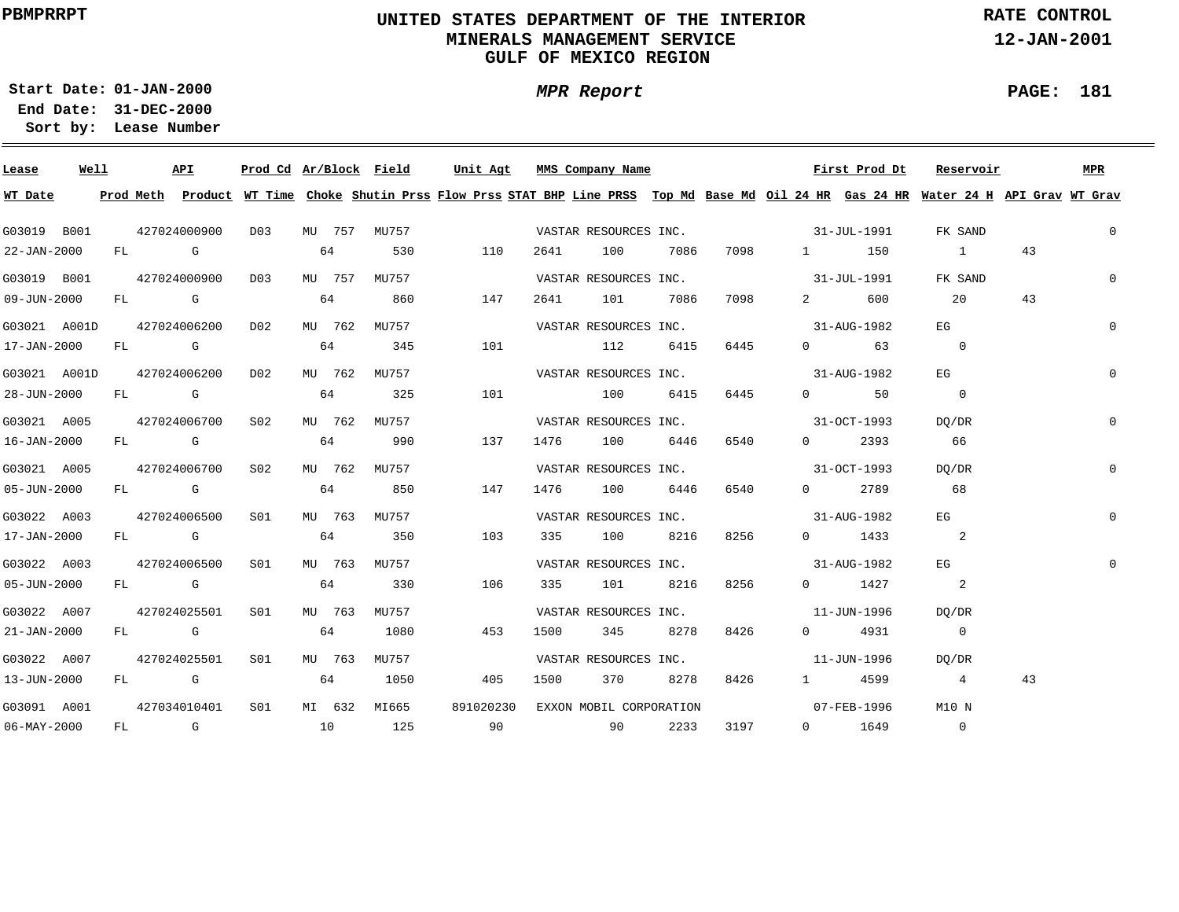## **UNITED STATES DEPARTMENT OF THE INTERIOR MINERALS MANAGEMENT SERVICEGULF OF MEXICO REGION**

**MPR Report**

**RATE CONTROL**

**12-JAN-2001**

**PAGE: 181**

÷

**01-JAN-2000Start Date:31-DEC-2000 End Date:** 

| Lease             | Well |  | API                           | Prod Cd Ar/Block Field |    |        |              | Unit Agt         |      | MMS Company Name        |          |      |                          | First Prod Dt | Reservoir                                                                                                                               |    | MPR            |
|-------------------|------|--|-------------------------------|------------------------|----|--------|--------------|------------------|------|-------------------------|----------|------|--------------------------|---------------|-----------------------------------------------------------------------------------------------------------------------------------------|----|----------------|
| WT Date           |      |  |                               |                        |    |        |              |                  |      |                         |          |      |                          |               | Prod Meth Product WT Time Choke Shutin Prss Flow Prss STAT BHP Line PRSS Top Md Base Md Oil 24 HR Gas 24 HR Water 24 H API Grav WT Grav |    |                |
| G03019 B001       |      |  | 427024000900                  |                        |    |        |              | D03 MU 757 MU757 |      | VASTAR RESOURCES INC.   |          |      | $31 - JUL - 1991$        |               | FK SAND                                                                                                                                 |    | $\overline{0}$ |
| 22-JAN-2000       |      |  | FL G                          |                        | 64 |        | 530          | 110              | 2641 | 100                     | 7086     | 7098 |                          | 1 150         | 1                                                                                                                                       | 43 |                |
| G03019 B001       |      |  | 427024000900 D03              |                        |    |        | MU 757 MU757 |                  |      | VASTAR RESOURCES INC.   |          |      | $31 - JUL - 1991$        |               | FK SAND                                                                                                                                 |    | $\overline{0}$ |
| 09-JUN-2000       |      |  | FL G                          |                        | 64 |        | 860          | 147              | 2641 | 101 7086                |          | 7098 |                          | 2 600         | 20                                                                                                                                      | 43 |                |
|                   |      |  | G03021 A001D 427024006200 D02 |                        |    |        | MU 762 MU757 |                  |      | VASTAR RESOURCES INC.   |          |      |                          | 31-AUG-1982   | EG                                                                                                                                      |    | $\overline{0}$ |
| 17-JAN-2000       |      |  | FL G                          |                        | 64 |        | 345          | 101              |      | 112                     | 6415     | 6445 |                          | $0 \t\t 63$   | $\sim$ 0                                                                                                                                |    |                |
| G03021 A001D      |      |  | 427024006200 D02              |                        |    |        | MU 762 MU757 |                  |      | VASTAR RESOURCES INC.   |          |      |                          | 31-AUG-1982   | EG                                                                                                                                      |    | $\overline{0}$ |
| 28-JUN-2000       |      |  | FL G                          |                        | 64 |        | 325          | 101              |      | 100 6415                |          | 6445 |                          | $0 \qquad 50$ | $\overline{\phantom{0}}$                                                                                                                |    |                |
| G03021 A005       |      |  | 427024006700 S02              |                        |    |        | MU 762 MU757 |                  |      | VASTAR RESOURCES INC.   |          |      |                          | 31-OCT-1993   | DO/DR                                                                                                                                   |    | $\mathbf{0}$   |
| 16-JAN-2000       |      |  | FL G                          |                        | 64 |        | 990          | 137              | 1476 | 100 6446                |          | 6540 | $\Omega$                 | 2393          | 66                                                                                                                                      |    |                |
| G03021 A005       |      |  | 427024006700                  | S02                    |    |        | MU 762 MU757 |                  |      | VASTAR RESOURCES INC.   |          |      | $31-9CT-1993$            |               | DO/DR                                                                                                                                   |    | $\mathbf{0}$   |
| $05 - JUN - 2000$ |      |  | FL G                          |                        | 64 |        | 850          | 147              | 1476 | 100 6446                |          | 6540 |                          | 0 2789        | 68                                                                                                                                      |    |                |
| G03022 A003       |      |  | 427024006500                  | SO1                    |    |        | MU 763 MU757 |                  |      | VASTAR RESOURCES INC.   |          |      | $31 - \text{AUG} - 1982$ |               | EG                                                                                                                                      |    |                |
| 17-JAN-2000       |      |  | FL G                          |                        | 64 |        | 350          | 103              |      | 335 100 8216            |          | 8256 |                          | $0$ 1433      | $\overline{\phantom{a}}$ 2                                                                                                              |    |                |
| G03022 A003       |      |  | 427024006500                  | SO1                    |    |        | MU 763 MU757 |                  |      | VASTAR RESOURCES INC.   |          |      |                          | 31-AUG-1982   | EG                                                                                                                                      |    | $\mathbf 0$    |
| $05 - JUN - 2000$ |      |  | FL G                          |                        | 64 |        | 330          | 106              | 335  | 101                     | 8216     | 8256 |                          | $0 \t 1427$   | $\overline{\phantom{a}}^2$                                                                                                              |    |                |
| G03022 A007       |      |  | 427024025501                  | S <sub>01</sub>        |    | MU 763 | MTJ757       |                  |      | VASTAR RESOURCES INC.   |          |      |                          | 11-JUN-1996   | DO/DR                                                                                                                                   |    |                |
| $21 - JAN - 2000$ |      |  | FL G                          |                        | 64 |        | 1080         | 453              | 1500 | 345                     | 8278     | 8426 |                          | 0 4931        | $\sim$ 0                                                                                                                                |    |                |
| G03022 A007       |      |  | 427024025501                  | S <sub>01</sub>        |    | MU 763 | MU757        |                  |      | VASTAR RESOURCES INC.   |          |      |                          | 11-JUN-1996   | DO/DR                                                                                                                                   |    |                |
| 13-JUN-2000       |      |  | FL G                          |                        | 64 |        | 1050         | 405              | 1500 |                         | 370 8278 | 8426 |                          | 1 4599        | $\overline{4}$                                                                                                                          | 43 |                |
| G03091 A001       |      |  | 427034010401                  | S01                    |    |        | MI 632 MI665 | 891020230        |      | EXXON MOBIL CORPORATION |          |      | $07 - FEB - 1996$        |               | M10 N                                                                                                                                   |    |                |
| $06 - MAX - 2000$ |      |  | $FL$ G and $10$               |                        |    |        | 125          | 90               |      | 90 2233                 |          | 3197 |                          | $0 \t1649$    | $\overline{0}$                                                                                                                          |    |                |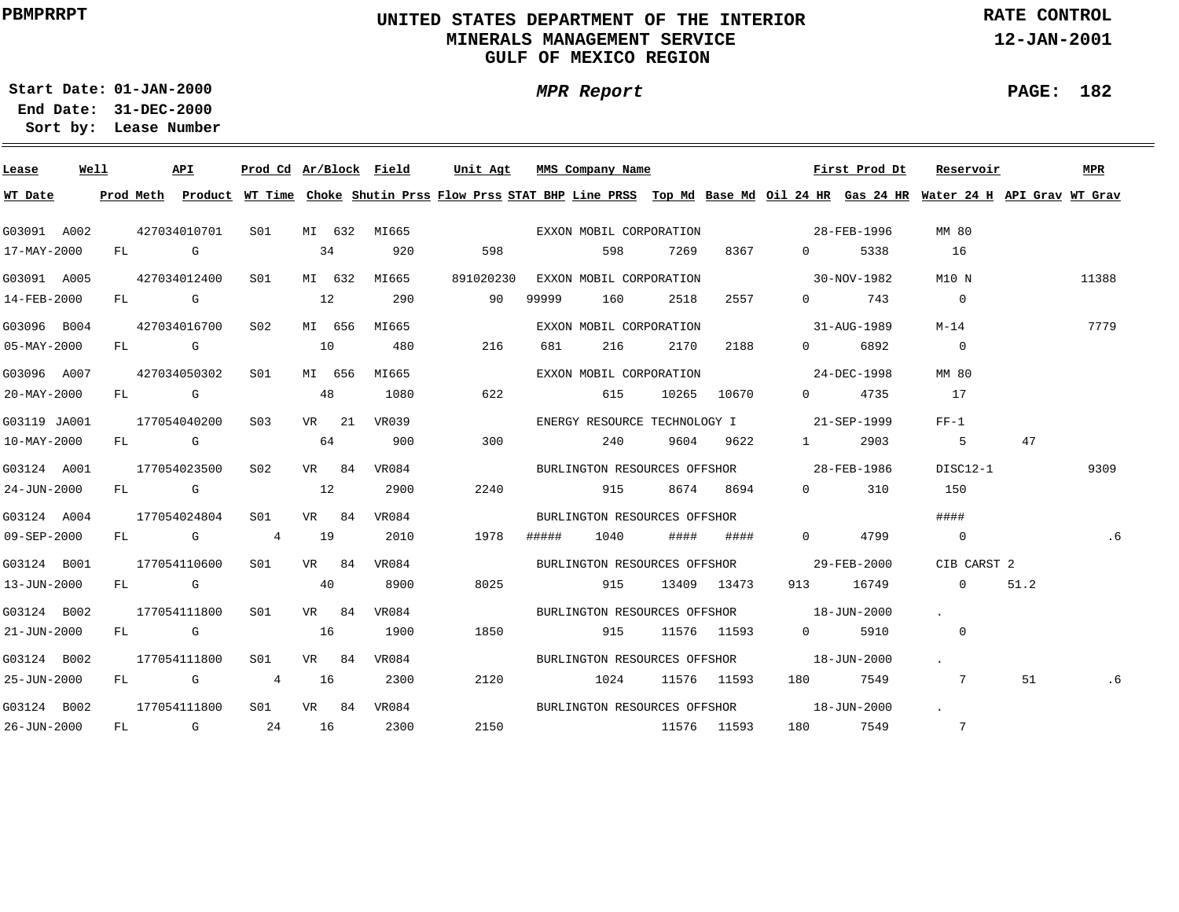## **UNITED STATES DEPARTMENT OF THE INTERIOR MINERALS MANAGEMENT SERVICEGULF OF MEXICO REGION**

**MPR Report**

**RATE CONTROL**

**12-JAN-2001**

**PAGE: 182**

÷

**01-JAN-2000Start Date:**

| Lease             | Well |    |                                                                                                                                                                                                                                | API          |                 |    |        | Prod Cd Ar/Block Field | Unit Agt MMS Company Name                                                                                                               |       |                              |      |             |                                          | First Prod Dt | Reservoir                |      | MPR   |
|-------------------|------|----|--------------------------------------------------------------------------------------------------------------------------------------------------------------------------------------------------------------------------------|--------------|-----------------|----|--------|------------------------|-----------------------------------------------------------------------------------------------------------------------------------------|-------|------------------------------|------|-------------|------------------------------------------|---------------|--------------------------|------|-------|
| WT Date           |      |    |                                                                                                                                                                                                                                |              |                 |    |        |                        | Prod Meth Product WT Time Choke Shutin Prss Flow Prss STAT BHP Line PRSS Top Md Base Md Oil 24 HR Gas 24 HR Water 24 H API Grav WT Grav |       |                              |      |             |                                          |               |                          |      |       |
| G03091 A002       |      |    |                                                                                                                                                                                                                                | 427034010701 | S01             |    |        | MI 632 MI665           |                                                                                                                                         |       | EXXON MOBIL CORPORATION      |      |             |                                          | 28-FEB-1996   | MM 80                    |      |       |
| 17-MAY-2000       |      | FL | in the Group of Group of the Group of the State of the State of the State of the State of the State of the State of the State of the State of the State of the State of the State of the State of the State of the State of th |              |                 |    | 34     | 920                    | 598                                                                                                                                     |       | 598                          | 7269 | 8367        | $\overline{0}$                           | 5338          | 16                       |      |       |
| G03091 A005       |      |    |                                                                                                                                                                                                                                | 427034012400 | S01             |    | MI 632 | MI665                  | 891020230                                                                                                                               |       | EXXON MOBIL CORPORATION      |      |             |                                          | 30-NOV-1982   | M10 N                    |      | 11388 |
| 14-FEB-2000       |      | FL |                                                                                                                                                                                                                                | <b>G</b>     |                 | 12 |        | 290                    | 90                                                                                                                                      | 99999 | 160                          | 2518 | 2557        | $\Omega$                                 | 743           | $\overline{0}$           |      |       |
| G03096 B004       |      |    |                                                                                                                                                                                                                                | 427034016700 | S02             |    | MI 656 | MI665                  |                                                                                                                                         |       | EXXON MOBIL CORPORATION      |      |             |                                          | 31-AUG-1989   | $M-14$                   |      | 7779  |
| 05-MAY-2000       |      | FL |                                                                                                                                                                                                                                | <b>G</b>     |                 | 10 |        | 480                    | 216                                                                                                                                     | 681   | 216                          | 2170 | 2188        | $\Omega$                                 | 6892          | $\overline{0}$           |      |       |
| G03096 A007       |      |    |                                                                                                                                                                                                                                | 427034050302 | SO1             |    | MI 656 | MI665                  |                                                                                                                                         |       | EXXON MOBIL CORPORATION      |      |             |                                          | 24-DEC-1998   | MM 80                    |      |       |
| 20-MAY-2000       |      |    | FL G                                                                                                                                                                                                                           |              |                 |    | 48     | 1080                   | 622                                                                                                                                     |       | 615                          |      | 10265 10670 | $\Omega$                                 | 4735          | 17                       |      |       |
| G03119 JA001      |      |    |                                                                                                                                                                                                                                | 177054040200 | S <sub>03</sub> |    | VR 21  | VR039                  |                                                                                                                                         |       | ENERGY RESOURCE TECHNOLOGY I |      |             |                                          | 21-SEP-1999   | $FF-1$                   |      |       |
| $10 - MAX - 2000$ |      |    | FL G                                                                                                                                                                                                                           |              |                 |    | 64     | 900                    | 300                                                                                                                                     |       | 240                          |      | 9604 9622   | $1 \qquad \qquad$                        | 2903          | $-5$                     | 47   |       |
| G03124 A001       |      |    |                                                                                                                                                                                                                                | 177054023500 | S02             |    | VR 84  | VR084                  |                                                                                                                                         |       |                              |      |             | BURLINGTON RESOURCES OFFSHOR 28-FEB-1986 |               | DISC12-1                 |      | 9309  |
| 24-JUN-2000       |      |    | FL G                                                                                                                                                                                                                           |              |                 | 12 |        | 2900                   | 2240                                                                                                                                    |       | 915                          |      | 8674 8694   | $\overline{0}$                           | 310           | 150                      |      |       |
| G03124 A004       |      |    |                                                                                                                                                                                                                                | 177054024804 | SO1             |    | VR 84  | VR084                  |                                                                                                                                         |       | BURLINGTON RESOURCES OFFSHOR |      |             |                                          |               | ####                     |      |       |
| $09 - SEP - 2000$ |      |    | FL G                                                                                                                                                                                                                           |              | $\overline{4}$  | 19 |        | 2010                   | 1978                                                                                                                                    | ##### | 1040                         | #### | ####        | $\Omega$                                 | 4799          | $\overline{0}$           |      | .6    |
| G03124 B001       |      |    |                                                                                                                                                                                                                                | 177054110600 | S01             |    | VR 84  | VR084                  |                                                                                                                                         |       |                              |      |             | BURLINGTON RESOURCES OFFSHOR 29-FEB-2000 |               | CIB CARST 2              |      |       |
| 13-JUN-2000       |      |    | FL G                                                                                                                                                                                                                           |              |                 | 40 |        | 8900                   | 8025                                                                                                                                    |       | 915                          |      | 13409 13473 | 913                                      | 16749         | $\overline{0}$           | 51.2 |       |
| G03124 B002       |      |    |                                                                                                                                                                                                                                | 177054111800 | S <sub>01</sub> |    | VR 84  | VR084                  |                                                                                                                                         |       |                              |      |             | BURLINGTON RESOURCES OFFSHOR 18-JUN-2000 |               | $\sim$ $\sim$            |      |       |
| 21-JUN-2000       |      |    | FL G                                                                                                                                                                                                                           |              |                 | 16 |        | 1900                   | 1850                                                                                                                                    |       | 915                          |      | 11576 11593 | $0 \qquad \qquad$                        | 5910          | $\overline{\phantom{0}}$ |      |       |
| G03124 B002       |      |    |                                                                                                                                                                                                                                | 177054111800 | SO1             |    | VR 84  | VR084                  |                                                                                                                                         |       | BURLINGTON RESOURCES OFFSHOR |      |             |                                          | 18-JUN-2000   | $\sim 100$ km s $^{-1}$  |      |       |
| 25-JUN-2000       |      | FL |                                                                                                                                                                                                                                | <b>G</b> G   | 4               | 16 |        | 2300                   | 2120                                                                                                                                    |       | 1024                         |      | 11576 11593 |                                          | 7549          | 7                        | 51   | .6    |
| G03124 B002       |      |    |                                                                                                                                                                                                                                | 177054111800 | S01             |    | VR 84  | VR084                  |                                                                                                                                         |       | BURLINGTON RESOURCES OFFSHOR |      |             | 18-JUN-2000                              |               | $\sim$                   |      |       |
| 26-JUN-2000       |      | FL |                                                                                                                                                                                                                                | $\mathbb G$  | 24              | 16 |        | 2300                   | 2150                                                                                                                                    |       | 11576 11593                  |      |             |                                          | 7549          | 7                        |      |       |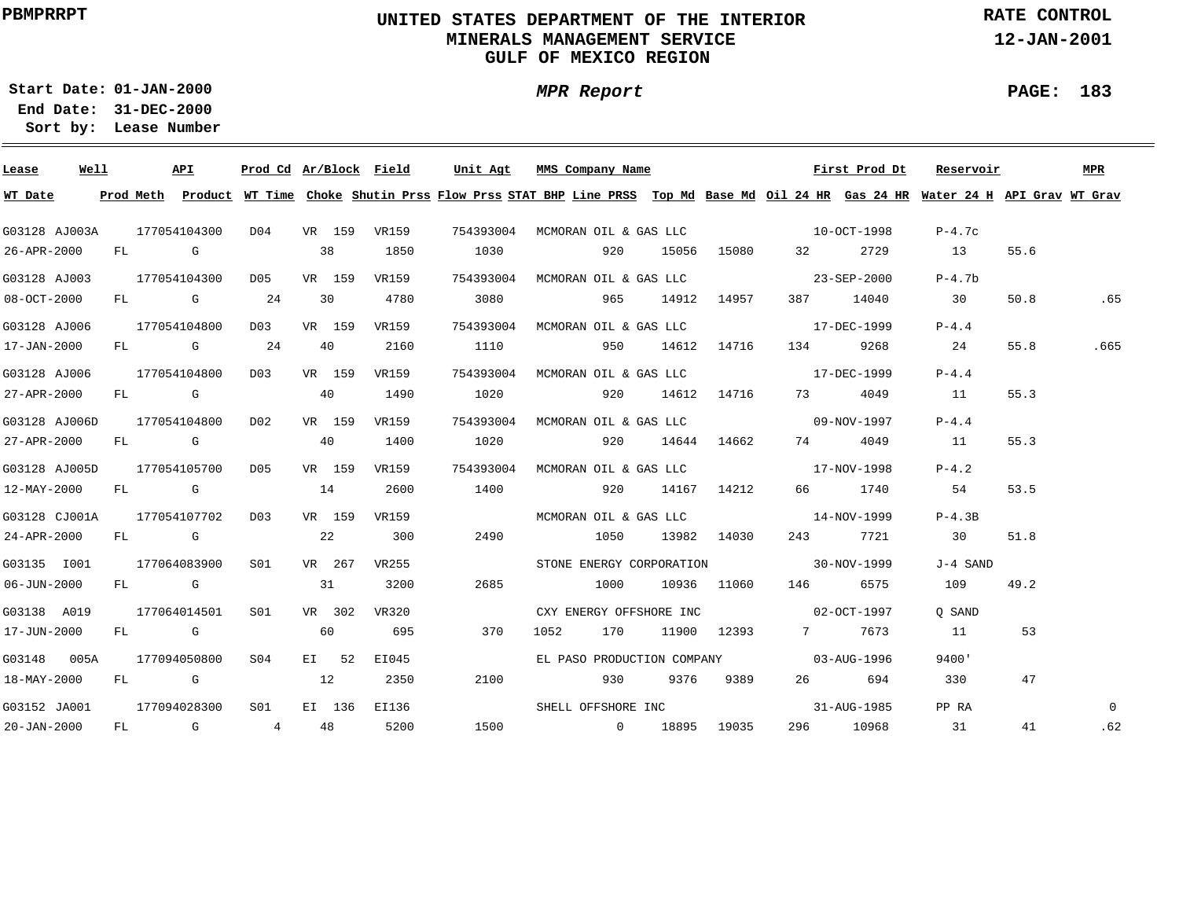## **UNITED STATES DEPARTMENT OF THE INTERIOR MINERALS MANAGEMENT SERVICEGULF OF MEXICO REGION**

**MPR Report**

**RATE CONTROL**

**12-JAN-2001**

**01-JAN-2000Start Date:**

**31-DEC-2000 End Date: Lease Number Sort by:**

| Lease                      | Well |      | API          | Prod Cd Ar/Block Field |    |        |              | Unit Agt  |      | MMS Company Name                |                            |                                      |                   | First Prod Dt                     | Reservoir                                                                                                                               |      | MPR      |
|----------------------------|------|------|--------------|------------------------|----|--------|--------------|-----------|------|---------------------------------|----------------------------|--------------------------------------|-------------------|-----------------------------------|-----------------------------------------------------------------------------------------------------------------------------------------|------|----------|
| WT Date                    |      |      |              |                        |    |        |              |           |      |                                 |                            |                                      |                   |                                   | Prod Meth Product WT Time Choke Shutin Prss Flow Prss STAT BHP Line PRSS Top Md Base Md Oil 24 HR Gas 24 HR Water 24 H API Grav WT Grav |      |          |
| G03128 AJ003A 177054104300 |      |      |              | D04 VR 159 VR159       |    |        |              |           |      | 754393004 MCMORAN OIL & GAS LLC |                            | $10 - OCT - 1998$                    |                   |                                   | $P-4.7c$                                                                                                                                |      |          |
| 26-APR-2000                |      | FL G |              |                        |    | 38     | 1850         | 1030      |      | 920                             |                            | 15056 15080                          | 32 and $\sim$     | 2729                              | 13                                                                                                                                      | 55.6 |          |
| G03128 AJ003               |      |      | 177054104300 | D05                    |    | VR 159 | VR159        |           |      | 754393004 MCMORAN OIL & GAS LLC |                            | $23 - SEP - 2000$                    |                   |                                   | $P-4.7b$                                                                                                                                |      |          |
| $08 - OCT - 2000$          |      |      | FL G         | 24                     |    | 30     | 4780         | 3080      |      | 965                             |                            | 14912 14957                          |                   | 387 14040                         | 30                                                                                                                                      | 50.8 | .65      |
| G03128 AJ006               |      |      | 177054104800 | D03                    |    | VR 159 | VR159        | 754393004 |      | MCMORAN OIL & GAS LLC           |                            |                                      | $17 - DEC - 1999$ |                                   | $P-4.4$                                                                                                                                 |      |          |
| 17-JAN-2000                |      |      | FL G 24      |                        |    | 40     | 2160         | 1110      |      | 950                             |                            | 14612 14716                          | 134               | 9268                              | 24                                                                                                                                      | 55.8 | .665     |
| G03128 AJ006               |      |      | 177054104800 | D0.3                   |    | VR 159 | VR159        | 754393004 |      | MCMORAN OIL & GAS LLC           |                            |                                      | $17 - DEC - 1999$ |                                   | $P-4.4$                                                                                                                                 |      |          |
| 27-APR-2000                |      |      | $FL$ G       |                        | 40 |        | 1490         | 1020      |      | 920                             |                            | 14612 14716                          | 73 — 1            | 4049                              | 11                                                                                                                                      | 55.3 |          |
| G03128 AJ006D              |      |      | 177054104800 | D02                    |    | VR 159 | VR159        | 754393004 |      | MCMORAN OIL & GAS LLC           |                            |                                      |                   | 09-NOV-1997                       | $P-4.4$                                                                                                                                 |      |          |
| $27 - APR - 2000$          |      |      | FL G         |                        | 40 |        | 1400         | 1020      |      | 920 — 10                        |                            | 14644 14662                          | 74 — 200          | 4049                              | 11                                                                                                                                      | 55.3 |          |
| G03128 AJ005D 177054105700 |      |      |              | D05                    |    | VR 159 | VR159        | 754393004 |      |                                 |                            | MCMORAN OIL & GAS LLC 17-NOV-1998    |                   |                                   | $P-4.2$                                                                                                                                 |      |          |
| $12 - MAX - 2000$          |      |      | $FL$ G $G$   |                        | 14 |        | 2600         | 1400      |      |                                 | 920 14167 14212            |                                      |                   | 66 1740                           | 54                                                                                                                                      | 53.5 |          |
| G03128 CJ001A 177054107702 |      |      |              | DO3                    |    | VR 159 | VR159        |           |      |                                 |                            |                                      |                   | MCMORAN OIL & GAS LLC 14-NOV-1999 | $P-4.3B$                                                                                                                                |      |          |
| $24 - APR - 2000$          |      |      | $FL$ G       |                        |    | 22     | 300          | 2490      |      | 1050                            |                            | 13982 14030                          |                   | 243 7721                          | 30                                                                                                                                      | 51.8 |          |
| G03135 I001                |      |      | 177064083900 | S01                    |    | VR 267 | VR255        |           |      |                                 |                            | STONE ENERGY CORPORATION 30-NOV-1999 |                   |                                   | J-4 SAND                                                                                                                                |      |          |
| $06 - JUN - 2000$          |      |      | FL G         |                        |    | 31     | 3200         | 2685      |      | 1000                            |                            | 10936 11060                          | 146               | 6575                              | 109                                                                                                                                     | 49.2 |          |
| G03138 A019                |      |      | 177064014501 | SO1                    |    | VR 302 | VR320        |           |      |                                 | CXY ENERGY OFFSHORE INC    |                                      | $02 - OCT - 1997$ |                                   | O SAND                                                                                                                                  |      |          |
| 17-JUN-2000                |      |      | $FL$ G $G$   |                        |    | 60     | 695          | 370       | 1052 | 170                             |                            | 11900 12393                          |                   | 7 7673                            | 11                                                                                                                                      | 53   |          |
| G03148 005A                |      |      | 177094050800 | S04                    |    | EI 52  | EI045        |           |      |                                 | EL PASO PRODUCTION COMPANY |                                      |                   | $0.3 - A$ UG-1996                 | 9400'                                                                                                                                   |      |          |
| 18-MAY-2000                |      |      | FL G         |                        | 12 |        | 2350         | 2100      |      | 930                             | 9376                       | 9389                                 |                   | 694                               | 330                                                                                                                                     | 47   |          |
| G03152 JA001               |      |      | 177094028300 | SO1                    |    |        | EI 136 EI136 |           |      | SHELL OFFSHORE INC              |                            |                                      |                   | 31-AUG-1985                       | PP RA                                                                                                                                   |      | $\Omega$ |
| 20-JAN-2000                |      |      | FL G 4 48    |                        |    |        | 5200         |           |      |                                 |                            | 1500 0 18895 19035                   |                   | 296 10968                         | 31                                                                                                                                      | 41   | .62      |

**PAGE: 183**

÷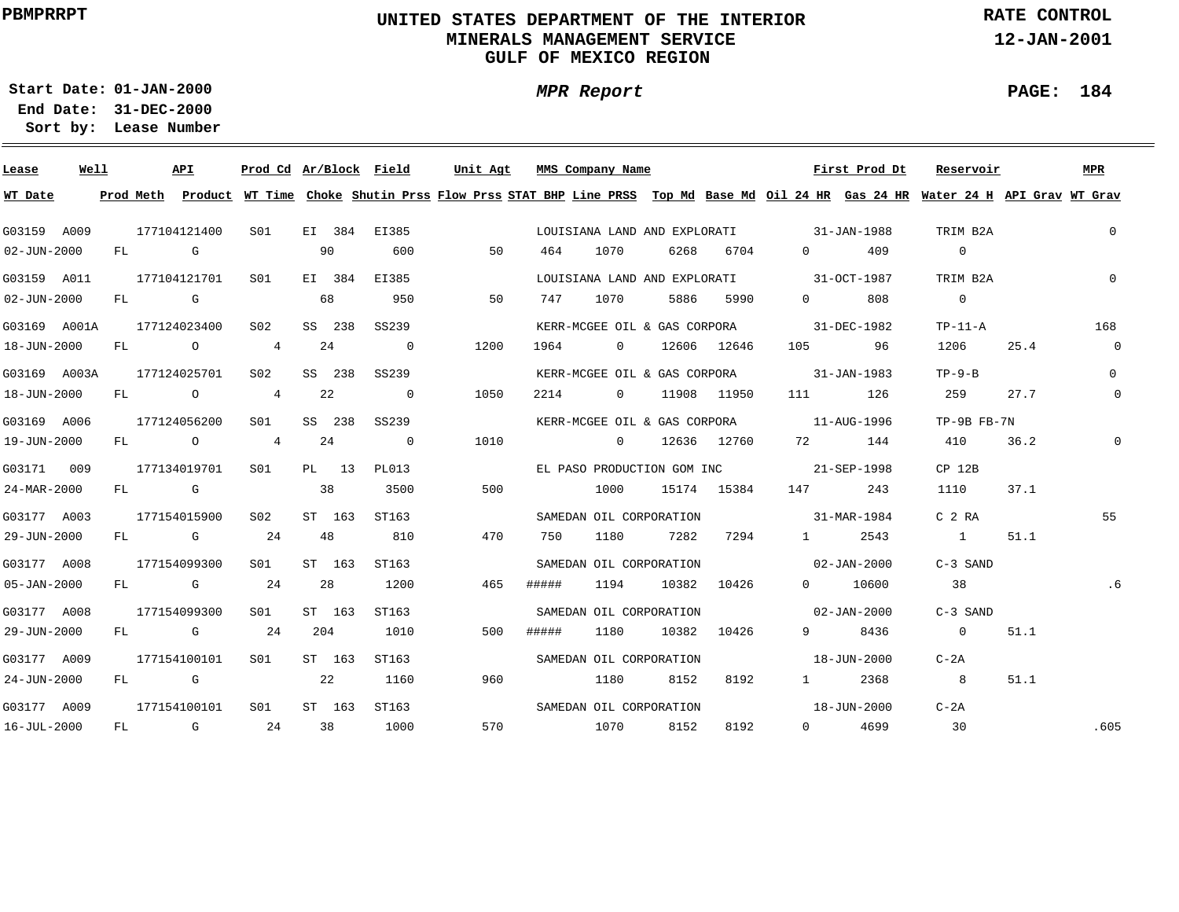## **UNITED STATES DEPARTMENT OF THE INTERIOR MINERALS MANAGEMENT SERVICEGULF OF MEXICO REGION**

**MPR Report**

**RATE CONTROL**

**12-JAN-2001**

**PAGE: 184**

**01-JAN-2000Start Date:31-DEC-2000 End Date:** 

| Lease             | Well |    | <b>API</b>                                                                                                                                                                                                                     |                | Prod Cd Ar/Block Field |     |        |                | Unit Agt |       | MMS Company Name                  |       |             |                                        | First Prod Dt | Reservoir                                                                                                                               |      | <b>MPR</b>     |
|-------------------|------|----|--------------------------------------------------------------------------------------------------------------------------------------------------------------------------------------------------------------------------------|----------------|------------------------|-----|--------|----------------|----------|-------|-----------------------------------|-------|-------------|----------------------------------------|---------------|-----------------------------------------------------------------------------------------------------------------------------------------|------|----------------|
| WT Date           |      |    |                                                                                                                                                                                                                                |                |                        |     |        |                |          |       |                                   |       |             |                                        |               | Prod Meth Product WT Time Choke Shutin Prss Flow Prss STAT BHP Line PRSS Top Md Base Md Oil 24 HR Gas 24 HR Water 24 H API Grav WT Grav |      |                |
| G03159 A009       |      |    | 177104121400                                                                                                                                                                                                                   |                | S01                    |     | EI 384 | EI385          |          |       | LOUISIANA LAND AND EXPLORATI      |       |             | $31 - JAN - 1988$                      |               | TRIM B2A                                                                                                                                |      | $\overline{0}$ |
| 02-JUN-2000       |      |    | FL G                                                                                                                                                                                                                           |                |                        | 90  |        | 600            | 50       | 464   | 1070                              | 6268  | 6704        | $\Omega$ and $\Omega$                  | 409           | $\overline{0}$                                                                                                                          |      |                |
| G03159 A011       |      |    | 177104121701                                                                                                                                                                                                                   |                | SO1                    |     | EI 384 | EI385          |          |       | LOUISIANA LAND AND EXPLORATI      |       |             | 31-OCT-1987                            |               | TRIM B2A                                                                                                                                |      | $\overline{0}$ |
| $02 - JUN - 2000$ |      | FL | <b>G</b> G                                                                                                                                                                                                                     |                |                        | 68  |        | 950            | 50       | 747   | 1070                              | 5886  | 5990        | $0 \qquad \qquad$                      | 808           | $\overline{0}$                                                                                                                          |      |                |
| G03169 A001A      |      |    | 177124023400                                                                                                                                                                                                                   |                | S <sub>02</sub>        |     | SS 238 | SS239          |          |       | KERR-MCGEE OIL & GAS CORPORA      |       |             | 31-DEC-1982                            |               | $TP-11-A$                                                                                                                               |      | 168            |
| 18-JUN-2000       |      | FL |                                                                                                                                                                                                                                | $\overline{O}$ | 4                      | 24  |        | $\overline{0}$ | 1200     | 1964  | $\overline{0}$ and $\overline{0}$ |       | 12606 12646 | 105 — 105                              | 96            | 1206                                                                                                                                    | 25.4 | $\mathbf 0$    |
| G03169 A003A      |      |    | 177124025701                                                                                                                                                                                                                   |                | S <sub>02</sub>        |     | SS 238 | SS239          |          |       | KERR-MCGEE OIL & GAS CORPORA      |       |             | $31 - JAN - 1983$                      |               | $TP-9-B$                                                                                                                                |      | $\Omega$       |
| 18-JUN-2000       |      | FL | $\overline{O}$                                                                                                                                                                                                                 |                | $\overline{4}$         |     | 22     | $\overline{0}$ | 1050     | 2214  | $\overline{0}$                    |       | 11908 11950 | 111 7                                  | 126           | 259                                                                                                                                     | 27.7 | $\mathbf 0$    |
| G03169 A006       |      |    | 177124056200                                                                                                                                                                                                                   |                | SO1                    |     | SS 238 | SS239          |          |       | KERR-MCGEE OIL & GAS CORPORA      |       |             | 11-AUG-1996                            |               | TP-9B FB-7N                                                                                                                             |      |                |
| 19-JUN-2000       |      | FL | $\overline{O}$                                                                                                                                                                                                                 |                | $\overline{4}$         | 24  |        | $\overline{0}$ | 1010     |       | $\sim$ 0                          |       | 12636 12760 | 72 — 20                                | 144           | 410                                                                                                                                     | 36.2 | 0              |
| G03171 009        |      |    | 177134019701                                                                                                                                                                                                                   |                | S01                    |     | PL 13  | <b>PL013</b>   |          |       |                                   |       |             | EL PASO PRODUCTION GOM INC 21-SEP-1998 |               | $CP$ 12B                                                                                                                                |      |                |
| 24-MAR-2000       |      |    | FL G                                                                                                                                                                                                                           |                |                        | 38  |        | 3500           | 500      |       | 1000                              |       | 15174 15384 | 147                                    | 243           | 1110                                                                                                                                    | 37.1 |                |
| G03177 A003       |      |    | 177154015900                                                                                                                                                                                                                   |                | S02                    |     | ST 163 | ST163          |          |       | SAMEDAN OIL CORPORATION           |       |             | $31 - \text{MAR} - 1984$               |               | C <sub>2</sub> RA                                                                                                                       |      | 55             |
| 29-JUN-2000       |      |    | $FL$ G                                                                                                                                                                                                                         |                | 24                     | 48  |        | 810            | 470      | 750   | 1180                              | 7282  | 7294        | $1 - 1$                                | 2543          | $\sim$ 1 $\sim$                                                                                                                         | 51.1 |                |
| G03177 A008       |      |    | 177154099300                                                                                                                                                                                                                   |                | S01                    |     | ST 163 | ST163          |          |       | SAMEDAN OIL CORPORATION           |       |             | $02 - JAN - 2000$                      |               | $C-3$ SAND                                                                                                                              |      |                |
| 05-JAN-2000       |      |    | FL G                                                                                                                                                                                                                           |                | 24                     | 28  |        | 1200           | 465      | ##### | 1194                              |       | 10382 10426 |                                        | 0 10600       | 38                                                                                                                                      |      | .6             |
| G03177 A008       |      |    | 177154099300                                                                                                                                                                                                                   |                | S01                    |     | ST 163 | ST163          |          |       | SAMEDAN OIL CORPORATION           |       |             | $02 - JAN - 2000$                      |               | $C-3$ SAND                                                                                                                              |      |                |
| 29-JUN-2000       |      | FL | <b>G</b> G                                                                                                                                                                                                                     |                | 24                     | 204 |        | 1010           | 500      | ##### | 1180                              | 10382 | 10426       | 9 - 10                                 | 8436          | $\overline{0}$                                                                                                                          | 51.1 |                |
| G03177 A009       |      |    | 177154100101                                                                                                                                                                                                                   |                | S <sub>01</sub>        |     | ST 163 | ST163          |          |       | SAMEDAN OIL CORPORATION           |       |             |                                        | 18-JUN-2000   | $C-2A$                                                                                                                                  |      |                |
| 24-JUN-2000       |      | FL | and the control of the control of the control of the control of the control of the control of the control of the control of the control of the control of the control of the control of the control of the control of the cont |                |                        | 22  |        | 1160           | 960      |       | 1180                              | 8152  | 8192        | $1 \qquad \qquad$                      | 2368          |                                                                                                                                         | 51.1 |                |
| G03177 A009       |      |    | 177154100101                                                                                                                                                                                                                   |                | SO1                    |     | ST 163 | ST163          |          |       | SAMEDAN OIL CORPORATION           |       |             |                                        | 18-JUN-2000   | $C-2A$                                                                                                                                  |      |                |
| 16-JUL-2000       |      | FL |                                                                                                                                                                                                                                | G              | -24                    | 38  |        | 1000           | 570      |       | 1070                              | 8152  | 8192        | $0 \qquad \qquad$                      | 4699          | 30                                                                                                                                      |      | .605           |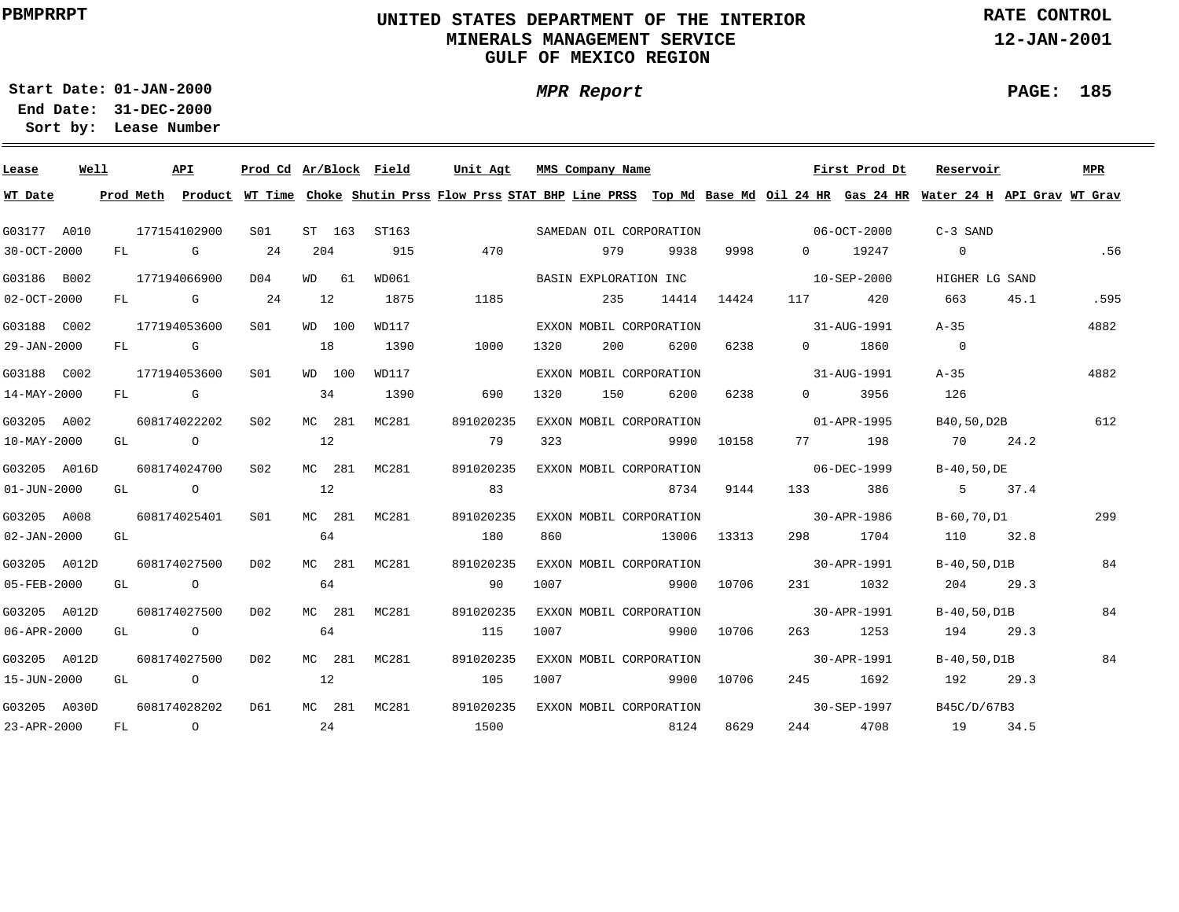## **UNITED STATES DEPARTMENT OF THE INTERIOR MINERALS MANAGEMENT SERVICEGULF OF MEXICO REGION**

**MPR Report**

**RATE CONTROL**

**12-JAN-2001**

**PAGE: 185**

÷

**01-JAN-2000Start Date:**

| Lease             | Well |      | API            | Prod Cd Ar/Block Field |        |       | Unit Agt  |      | MMS Company Name |                         |             |                                                                                                                                                                                                                                 | First Prod Dt | Reservoir                                                                                                                               |      | MPR  |
|-------------------|------|------|----------------|------------------------|--------|-------|-----------|------|------------------|-------------------------|-------------|---------------------------------------------------------------------------------------------------------------------------------------------------------------------------------------------------------------------------------|---------------|-----------------------------------------------------------------------------------------------------------------------------------------|------|------|
| WT Date           |      |      |                |                        |        |       |           |      |                  |                         |             |                                                                                                                                                                                                                                 |               | Prod Meth Product WT Time Choke Shutin Prss Flow Prss STAT BHP Line PRSS Top Md Base Md Oil 24 HR Gas 24 HR Water 24 H API Grav WT Grav |      |      |
| G03177 A010       |      |      | 177154102900   | S01                    | ST 163 | ST163 |           |      |                  | SAMEDAN OIL CORPORATION |             |                                                                                                                                                                                                                                 | 06-OCT-2000   | $C-3$ SAND                                                                                                                              |      |      |
| 30-OCT-2000       |      | FL   | <b>G</b>       | 24                     | 204    | 915   | 470       |      | 979              | 9938                    | 9998        | $\Omega$                                                                                                                                                                                                                        | 19247         | $\overline{0}$                                                                                                                          |      | .56  |
| G03186 B002       |      |      | 177194066900   | D04                    | WD 61  | WD061 |           |      |                  | BASIN EXPLORATION INC   |             | $10 - SEP - 2000$                                                                                                                                                                                                               |               | HIGHER LG SAND                                                                                                                          |      |      |
| $02 - OCT - 2000$ |      |      | FL G           | 24                     | 12     | 1875  | 1185      |      | 235              | 14414                   | 14424       | 117                                                                                                                                                                                                                             | 420           | 663                                                                                                                                     | 45.1 | .595 |
| G03188 C002       |      |      | 177194053600   | S <sub>01</sub>        | WD 100 | WD117 |           |      |                  | EXXON MOBIL CORPORATION |             |                                                                                                                                                                                                                                 | 31-AUG-1991   | $A - 35$                                                                                                                                |      | 4882 |
| 29-JAN-2000       |      |      | FL G           |                        | 18     | 1390  | 1000      | 1320 | 200              | 6200                    | 6238        | $\Omega$                                                                                                                                                                                                                        | 1860          | $\overline{0}$                                                                                                                          |      |      |
| G03188 C002       |      |      | 177194053600   | S <sub>01</sub>        | WD 100 | WD117 |           |      |                  | EXXON MOBIL CORPORATION |             |                                                                                                                                                                                                                                 | 31-AUG-1991   | $A - 35$                                                                                                                                |      | 4882 |
| 14-MAY-2000       |      | FL   | <b>G</b>       |                        | 34     | 1390  | 690       | 1320 | 150              | 6200                    | 6238        | $\Omega$ and $\Omega$                                                                                                                                                                                                           | 3956          | 126                                                                                                                                     |      |      |
| G03205 A002       |      |      | 608174022202   | S <sub>02</sub>        | MC 281 | MC281 | 891020235 |      |                  | EXXON MOBIL CORPORATION |             |                                                                                                                                                                                                                                 | 01-APR-1995   | B40,50,D2B                                                                                                                              |      | 612  |
| 10-MAY-2000       |      | GL   | $\overline{O}$ |                        | 12     |       | 79        | 323  |                  | 9990                    | 10158       | 77 — 20                                                                                                                                                                                                                         | 198           | <b>70</b>                                                                                                                               | 24.2 |      |
| G03205 A016D      |      |      | 608174024700   | S02                    | MC 281 | MC281 | 891020235 |      |                  | EXXON MOBIL CORPORATION |             |                                                                                                                                                                                                                                 | 06-DEC-1999   | B-40,50,DE                                                                                                                              |      |      |
| 01-JUN-2000       |      | GL   | $\overline{O}$ |                        | 12     |       | 83        |      |                  | 8734                    | 9144        | 133                                                                                                                                                                                                                             | 386           | $5 - 5$                                                                                                                                 | 37.4 |      |
| G03205 A008       |      |      | 608174025401   | S <sub>01</sub>        | MC 281 | MC281 | 891020235 |      |                  | EXXON MOBIL CORPORATION |             | $30 - APR - 1986$                                                                                                                                                                                                               |               | B-60,70,D1                                                                                                                              |      | 299  |
| $02 - JAN - 2000$ |      | GL   |                |                        | 64     |       | 180       | 860  |                  |                         | 13006 13313 |                                                                                                                                                                                                                                 | 1704          | 110                                                                                                                                     | 32.8 |      |
| G03205 A012D      |      |      | 608174027500   | D02                    | MC 281 | MC281 | 891020235 |      |                  | EXXON MOBIL CORPORATION |             | $30 - APR - 1991$                                                                                                                                                                                                               |               | B-40,50,D1B                                                                                                                             |      | 84   |
| 05-FEB-2000       |      | GL O |                |                        | 64     |       | 90        | 1007 |                  |                         | 9900 10706  |                                                                                                                                                                                                                                 | 231 1032      | 204                                                                                                                                     | 29.3 |      |
| G03205 A012D      |      |      | 608174027500   | D02                    | MC 281 | MC281 | 891020235 |      |                  | EXXON MOBIL CORPORATION |             |                                                                                                                                                                                                                                 | 30-APR-1991   | B-40,50,D1B                                                                                                                             |      | 84   |
| 06-APR-2000       |      | GL   | $\overline{O}$ |                        | 64     |       | 115       | 1007 |                  |                         | 9900 10706  | 263 — 263 — 263 — 263 — 263 — 263 — 263 — 263 — 263 — 263 — 263 — 264 — 265 — 265 — 265 — 265 — 265 — 265 — 265 — 265 — 265 — 265 — 265 — 265 — 265 — 265 — 265 — 265 — 265 — 265 — 265 — 265 — 265 — 265 — 265 — 265 — 265 — 2 | 1253          | 194                                                                                                                                     | 29.3 |      |
| G03205 A012D      |      |      | 608174027500   | D02                    | MC 281 | MC281 | 891020235 |      |                  | EXXON MOBIL CORPORATION |             |                                                                                                                                                                                                                                 | 30-APR-1991   | B-40,50,D1B                                                                                                                             |      | 84   |
| 15-JUN-2000       |      | GL   | $\overline{O}$ |                        | 12     |       | 105       | 1007 |                  |                         | 9900 10706  | 245                                                                                                                                                                                                                             | 1692          | 192                                                                                                                                     | 29.3 |      |
| G03205 A030D      |      |      | 608174028202   | D61                    | MC 281 | MC281 | 891020235 |      |                  | EXXON MOBIL CORPORATION |             |                                                                                                                                                                                                                                 | 30-SEP-1997   | B45C/D/67B3                                                                                                                             |      |      |
| 23-APR-2000       |      | FL   | $\overline{O}$ |                        | 24     |       | 1500      |      |                  | 8124                    | 8629        | 244                                                                                                                                                                                                                             | 4708          | 19                                                                                                                                      | 34.5 |      |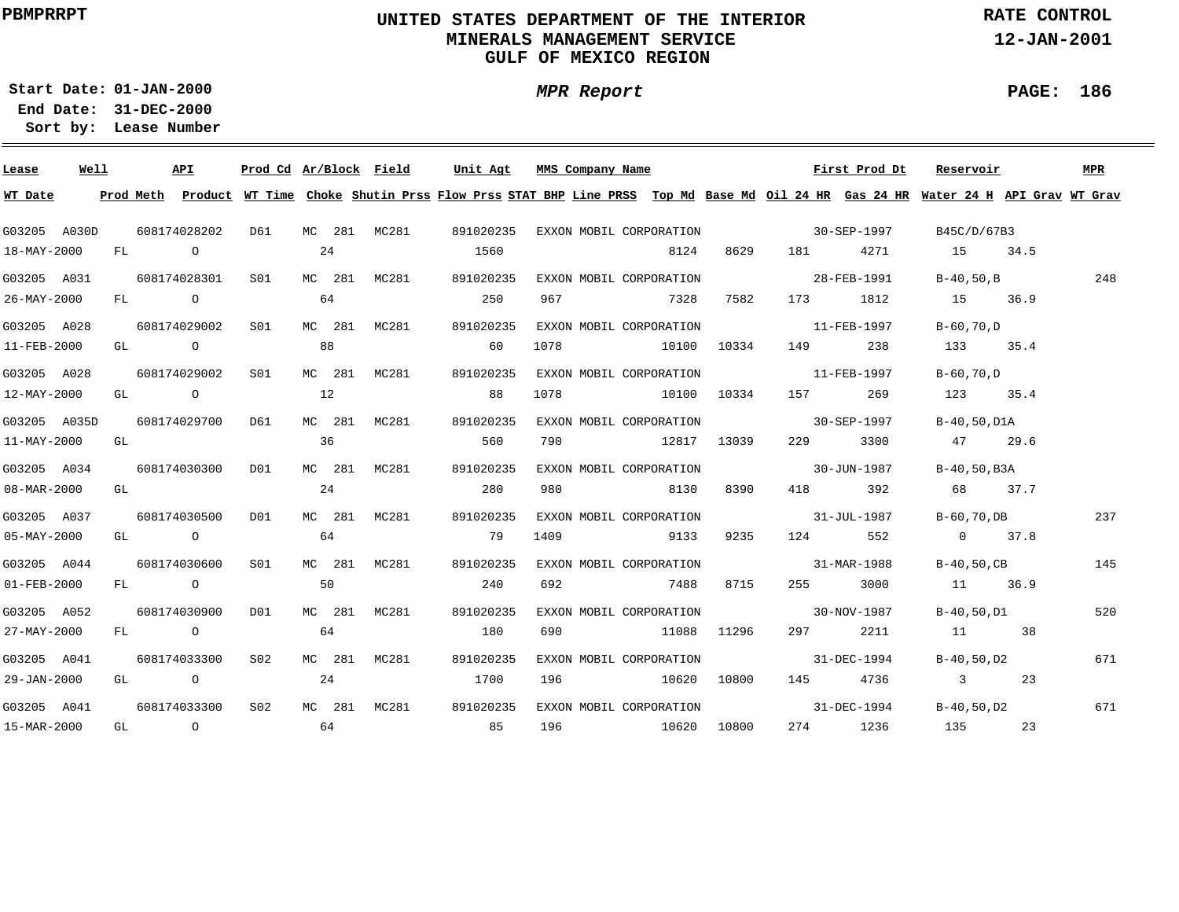## **UNITED STATES DEPARTMENT OF THE INTERIOR MINERALS MANAGEMENT SERVICEGULF OF MEXICO REGION**

**MPR Report**

**RATE CONTROL**

**12-JAN-2001**

#### **PAGE: 186**

÷

**01-JAN-2000Start Date:31-DEC-2000 End Date:** 

| Lease             | Well |                                                                                                                                                                                                                                | API                                                                                                                                                                                                                            |                  | Prod Cd Ar/Block Field      |    |        |              | Unit Agt  |     |     | MMS Company Name |                                     |       |                                                                                                                                                                                                                                 | First Prod Dt                                 | Reservoir                                                                                                                     | MPR |
|-------------------|------|--------------------------------------------------------------------------------------------------------------------------------------------------------------------------------------------------------------------------------|--------------------------------------------------------------------------------------------------------------------------------------------------------------------------------------------------------------------------------|------------------|-----------------------------|----|--------|--------------|-----------|-----|-----|------------------|-------------------------------------|-------|---------------------------------------------------------------------------------------------------------------------------------------------------------------------------------------------------------------------------------|-----------------------------------------------|-------------------------------------------------------------------------------------------------------------------------------|-----|
| WT Date           |      |                                                                                                                                                                                                                                | Prod Meth                                                                                                                                                                                                                      |                  |                             |    |        |              |           |     |     |                  |                                     |       |                                                                                                                                                                                                                                 |                                               | Product WT Time Choke Shutin Prss Flow Prss STAT BHP Line PRSS Top Md Base Md Oil 24 HR Gas 24 HR Water 24 H API Grav WT Grav |     |
| G03205 A030D      |      |                                                                                                                                                                                                                                | 608174028202                                                                                                                                                                                                                   |                  | D61                         |    |        | MC 281 MC281 |           |     |     |                  |                                     |       |                                                                                                                                                                                                                                 | 891020235 EXXON MOBIL CORPORATION 30-SEP-1997 | B45C/D/67B3                                                                                                                   |     |
| 18-MAY-2000       |      |                                                                                                                                                                                                                                | FL O                                                                                                                                                                                                                           |                  |                             | 24 |        |              | 1560      |     |     |                  | 8124                                |       | 8629 181                                                                                                                                                                                                                        | 4271                                          | 15 34.5                                                                                                                       |     |
| G03205 A031       |      |                                                                                                                                                                                                                                | 608174028301                                                                                                                                                                                                                   |                  | S01                         |    |        | MC 281 MC281 | 891020235 |     |     |                  | EXXON MOBIL CORPORATION             |       | 28-FEB-1991                                                                                                                                                                                                                     |                                               | B-40,50,B                                                                                                                     | 248 |
| 26-MAY-2000       |      |                                                                                                                                                                                                                                | FL O                                                                                                                                                                                                                           |                  |                             | 64 |        |              | 250       |     | 967 |                  | 7328                                | 7582  |                                                                                                                                                                                                                                 | 173 1812                                      | 15 36.9                                                                                                                       |     |
| G03205 A028       |      |                                                                                                                                                                                                                                |                                                                                                                                                                                                                                | 608174029002     | S01                         |    |        | MC 281 MC281 | 891020235 |     |     |                  | EXXON MOBIL CORPORATION             |       | $11 - FEB - 1997$                                                                                                                                                                                                               |                                               | B-60,70,D                                                                                                                     |     |
| 11-FEB-2000       |      |                                                                                                                                                                                                                                | GL O                                                                                                                                                                                                                           |                  |                             | 88 |        |              | 60        |     |     |                  | 1078    10100    10334              |       | 149 — 149 — 149 — 149 — 149 — 149 — 149 — 149 — 149 — 149 — 149 — 149 — 149 — 140 — 140 — 140 — 140 — 140 — 140 — 140 — 140 — 140 — 140 — 140 — 140 — 140 — 140 — 140 — 140 — 140 — 140 — 140 — 140 — 140 — 140 — 140 — 140 — 1 | 238                                           | 133 35.4                                                                                                                      |     |
| G03205 A028       |      |                                                                                                                                                                                                                                | 608174029002                                                                                                                                                                                                                   |                  | SO1 SO                      |    |        | MC 281 MC281 | 891020235 |     |     |                  | EXXON MOBIL CORPORATION 11-FEB-1997 |       |                                                                                                                                                                                                                                 |                                               | B-60,70,D                                                                                                                     |     |
| 12-MAY-2000       |      |                                                                                                                                                                                                                                | GL O                                                                                                                                                                                                                           |                  |                             | 12 |        |              | 88        |     |     |                  | 1078 10100 10334                    |       | 157 — 157                                                                                                                                                                                                                       | 269                                           | 123 35.4                                                                                                                      |     |
| G03205 A035D      |      |                                                                                                                                                                                                                                | 608174029700                                                                                                                                                                                                                   |                  | D61                         |    | MC 281 | MC281        | 891020235 |     |     |                  | EXXON MOBIL CORPORATION 30-SEP-1997 |       |                                                                                                                                                                                                                                 |                                               | B-40,50,D1A                                                                                                                   |     |
| 11-MAY-2000       |      | GL and the set of the set of the set of the set of the set of the set of the set of the set of the set of the set of the set of the set of the set of the set of the set of the set of the set of the set of the set of the se |                                                                                                                                                                                                                                |                  |                             | 36 |        |              |           | 560 |     |                  | 790 12817 13039                     |       | 229                                                                                                                                                                                                                             | 3300                                          | 47 29.6                                                                                                                       |     |
| G03205 A034       |      |                                                                                                                                                                                                                                | 608174030300                                                                                                                                                                                                                   |                  | DO1                         |    | MC 281 | MC281        | 891020235 |     |     |                  | EXXON MOBIL CORPORATION             |       | $30 - JUN - 1987$                                                                                                                                                                                                               |                                               | B-40,50,B3A                                                                                                                   |     |
| 08-MAR-2000       |      |                                                                                                                                                                                                                                | GL and the set of the set of the set of the set of the set of the set of the set of the set of the set of the set of the set of the set of the set of the set of the set of the set of the set of the set of the set of the se |                  |                             | 24 |        |              |           | 280 |     |                  | 980 8130                            | 8390  |                                                                                                                                                                                                                                 | 418 392                                       | 68 37.7                                                                                                                       |     |
| G03205 A037       |      |                                                                                                                                                                                                                                | 608174030500                                                                                                                                                                                                                   |                  | DO1                         |    | MC 281 | MC281        | 891020235 |     |     |                  | EXXON MOBIL CORPORATION             |       |                                                                                                                                                                                                                                 | $31 - JUL - 1987$                             | B-60,70,DB                                                                                                                    | 237 |
| $05 - MAX - 2000$ |      |                                                                                                                                                                                                                                | GL O                                                                                                                                                                                                                           |                  |                             | 64 |        |              | 79        |     |     |                  | 1409 9133                           | 9235  | 124                                                                                                                                                                                                                             | 552                                           | $0 \t 37.8$                                                                                                                   |     |
| G03205 A044       |      |                                                                                                                                                                                                                                | 608174030600                                                                                                                                                                                                                   |                  | S01                         |    | MC 281 | MC281        | 891020235 |     |     |                  | EXXON MOBIL CORPORATION             |       | 31-MAR-1988                                                                                                                                                                                                                     |                                               | $B-40, 50, CB$                                                                                                                | 145 |
| 01-FEB-2000       |      |                                                                                                                                                                                                                                | FL O                                                                                                                                                                                                                           |                  |                             | 50 |        |              |           | 240 | 692 |                  | 7488                                | 8715  |                                                                                                                                                                                                                                 | 255 3000                                      | 11 36.9                                                                                                                       |     |
| G03205 A052       |      |                                                                                                                                                                                                                                | 608174030900                                                                                                                                                                                                                   |                  | DO1                         |    |        | MC 281 MC281 | 891020235 |     |     |                  | EXXON MOBIL CORPORATION             |       | $30 - NOV - 1987$                                                                                                                                                                                                               |                                               | B-40,50,D1                                                                                                                    | 520 |
| 27-MAY-2000       |      |                                                                                                                                                                                                                                | FL O                                                                                                                                                                                                                           |                  |                             | 64 |        |              | 180       |     | 690 |                  | 11088 11296                         |       |                                                                                                                                                                                                                                 | 297 2211                                      | 11 38                                                                                                                         |     |
| G03205 A041       |      |                                                                                                                                                                                                                                | 608174033300                                                                                                                                                                                                                   |                  | S02                         |    | MC 281 | MC281        | 891020235 |     |     |                  | EXXON MOBIL CORPORATION             |       | $31-DEC-1994$                                                                                                                                                                                                                   |                                               | B-40,50,D2                                                                                                                    | 671 |
| 29-JAN-2000       |      |                                                                                                                                                                                                                                | GL O                                                                                                                                                                                                                           |                  |                             | 24 |        |              | 1700      |     | 196 |                  | 10620                               | 10800 |                                                                                                                                                                                                                                 | 145 4736                                      | 3 23                                                                                                                          |     |
| G03205 A041       |      |                                                                                                                                                                                                                                |                                                                                                                                                                                                                                | 608174033300 S02 |                             |    |        | MC 281 MC281 | 891020235 |     |     |                  | EXXON MOBIL CORPORATION             |       | $31 - DEC - 1994$                                                                                                                                                                                                               |                                               | B-40,50,D2                                                                                                                    | 671 |
| 15-MAR-2000       |      |                                                                                                                                                                                                                                |                                                                                                                                                                                                                                |                  | GL $\qquad \qquad \circ$ 64 |    |        | 85           |           |     |     |                  | 196 10620                           | 10800 |                                                                                                                                                                                                                                 | 274 1236                                      | 135 23                                                                                                                        |     |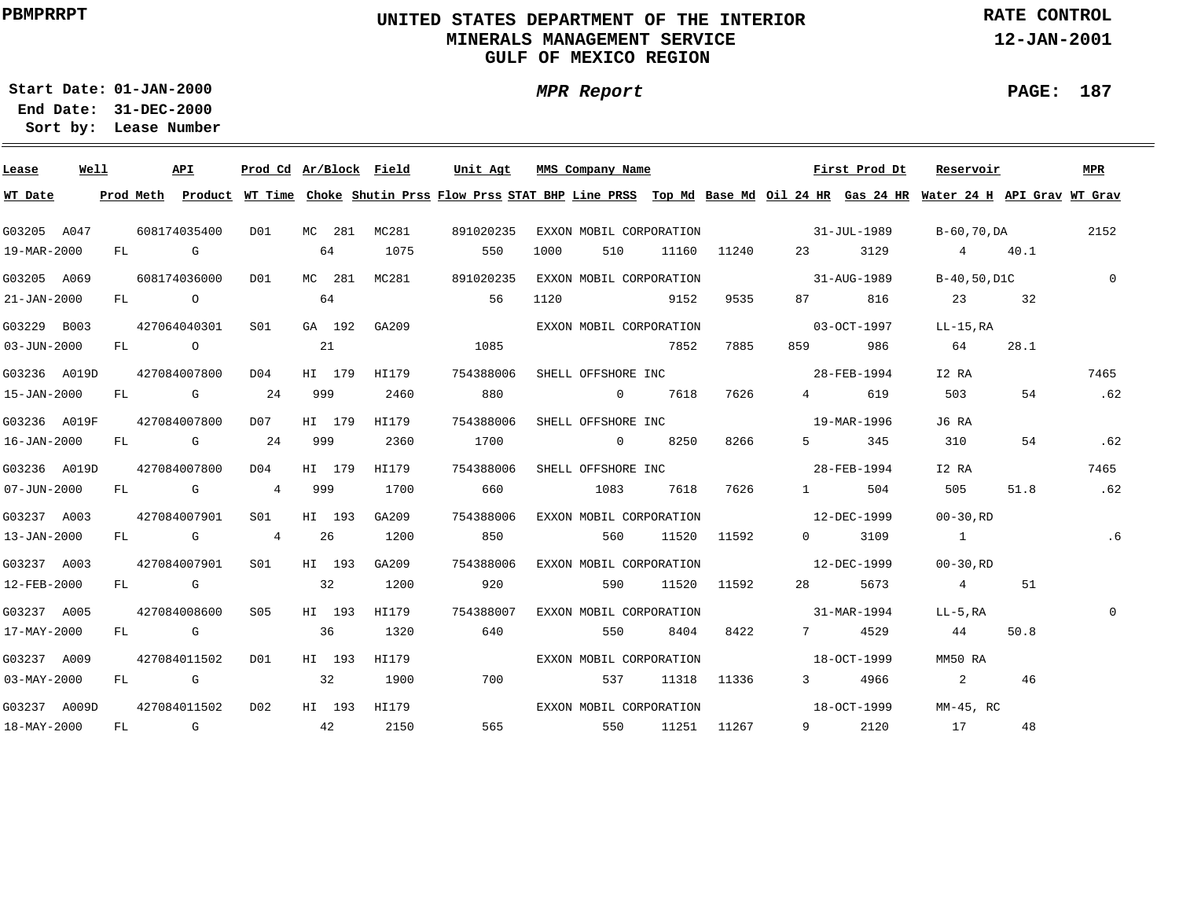## **UNITED STATES DEPARTMENT OF THE INTERIOR MINERALS MANAGEMENT SERVICEGULF OF MEXICO REGION**

**MPR Report**

**RATE CONTROL**

**12-JAN-2001**

**01-JAN-2000Start Date:31-DEC-2000 End Date:** 

**Lease Number Sort by:**

| Well<br>Lease            |              | API       | Prod Cd Ar/Block Field  |     |        |                  | Unit Agt  |     |      | MMS Company Name |                         |             |                                | First Prod Dt                                                                                                                                                                                                                                                                                                                             | Reservoir                                                                                                                               |      | MPR            |
|--------------------------|--------------|-----------|-------------------------|-----|--------|------------------|-----------|-----|------|------------------|-------------------------|-------------|--------------------------------|-------------------------------------------------------------------------------------------------------------------------------------------------------------------------------------------------------------------------------------------------------------------------------------------------------------------------------------------|-----------------------------------------------------------------------------------------------------------------------------------------|------|----------------|
| WT Date                  |              |           |                         |     |        |                  |           |     |      |                  |                         |             |                                |                                                                                                                                                                                                                                                                                                                                           | Prod Meth Product WT Time Choke Shutin Prss Flow Prss STAT BHP Line PRSS Top Md Base Md Oil 24 HR Gas 24 HR Water 24 H API Grav WT Grav |      |                |
| G03205 A047              | 608174035400 |           |                         |     |        | D01 MC 281 MC281 | 891020235 |     |      |                  |                         |             |                                | EXXON MOBIL CORPORATION 31-JUL-1989                                                                                                                                                                                                                                                                                                       | B-60,70,DA                                                                                                                              |      | 2152           |
| 19-MAR-2000              | FL G         |           |                         | 64  |        | 1075             |           | 550 | 1000 | 510              |                         | 11160 11240 |                                |                                                                                                                                                                                                                                                                                                                                           | 23 3129 4 40.1                                                                                                                          |      |                |
| G03205 A069              | 608174036000 |           | D01                     |     |        | MC 281 MC281     | 891020235 |     |      |                  | EXXON MOBIL CORPORATION |             | $31 - \text{AUG} - 1989$       |                                                                                                                                                                                                                                                                                                                                           | B-40,50,D1C                                                                                                                             |      | $\overline{0}$ |
| $21 - JAN - 2000$        | FL O         |           |                         | 64  |        |                  | 56        |     | 1120 |                  | 9152                    | 9535        |                                | 87 816                                                                                                                                                                                                                                                                                                                                    | 23 32                                                                                                                                   |      |                |
| G03229 B003              |              |           | 427064040301 S01        |     |        | GA 192 GA209     |           |     |      |                  | EXXON MOBIL CORPORATION |             | $03 - OCT - 1997$              |                                                                                                                                                                                                                                                                                                                                           | LL-15,RA                                                                                                                                |      |                |
| $03 - JUN - 2000$        |              | FL O      |                         | 21  |        |                  | 1085      |     |      |                  | 7852                    | 7885        |                                | 986                                                                                                                                                                                                                                                                                                                                       | 64                                                                                                                                      | 28.1 |                |
| G03236 A019D             | 427084007800 |           | D04                     |     |        | HI 179 HI179     | 754388006 |     |      |                  |                         |             | SHELL OFFSHORE INC 28-FEB-1994 |                                                                                                                                                                                                                                                                                                                                           | I2 RA                                                                                                                                   |      | 7465           |
| 15-JAN-2000              |              | $FL$ G 24 |                         | 999 |        | 2460             | 880       |     |      |                  | 0 7618                  | 7626        |                                | 619<br>$\overline{4}$ and $\overline{4}$ and $\overline{4}$ and $\overline{4}$ and $\overline{4}$ and $\overline{4}$ and $\overline{4}$ and $\overline{4}$ and $\overline{4}$ and $\overline{4}$ and $\overline{4}$ and $\overline{4}$ and $\overline{4}$ and $\overline{4}$ and $\overline{4}$ and $\overline{4}$ and $\overline{4}$ and | 503                                                                                                                                     | 54   | .62            |
| G03236 A019F             | 427084007800 |           | D07 HI 179              |     |        | HI179            | 754388006 |     |      |                  | SHELL OFFSHORE INC      |             |                                | 19-MAR-1996                                                                                                                                                                                                                                                                                                                               | J6 RA                                                                                                                                   |      |                |
| 16-JAN-2000              |              | $FL$ G 24 |                         |     | 999    | 2360             | 1700      |     |      |                  | 0 8250                  | 8266        |                                | 5 345                                                                                                                                                                                                                                                                                                                                     | 310                                                                                                                                     | 54   | .62            |
| G03236 A019D             | 427084007800 |           | D04                     |     | HI 179 | HI179            | 754388006 |     |      |                  |                         |             | SHELL OFFSHORE INC 38-FEB-1994 |                                                                                                                                                                                                                                                                                                                                           | I2 RA                                                                                                                                   |      | 7465           |
| $07 - JUN - 2000$        |              |           | FL G 4 999              |     |        | 1700             | 660       |     |      |                  | 1083 7618               |             | 7626 1 504                     |                                                                                                                                                                                                                                                                                                                                           | 505                                                                                                                                     | 51.8 | .62            |
| G03237 A003              | 427084007901 |           | S01 <b>S</b>            |     | HI 193 | GA209            | 754388006 |     |      |                  | EXXON MOBIL CORPORATION |             | $12 - DEC - 1999$              |                                                                                                                                                                                                                                                                                                                                           | 00-30.RD                                                                                                                                |      |                |
| 13-JAN-2000              |              |           | FL G 4 26               |     |        | 1200             | 850       |     |      |                  | 560 11520 11592         |             |                                | $0$ 3109                                                                                                                                                                                                                                                                                                                                  | $\sim$ 1                                                                                                                                |      | .6             |
| G03237 A003              |              |           | 427084007901 S01 HI 193 |     |        | GA209            | 754388006 |     |      |                  | EXXON MOBIL CORPORATION |             |                                | $12 - DEC - 1999$                                                                                                                                                                                                                                                                                                                         | $00 - 30$ .RD                                                                                                                           |      |                |
| 12-FEB-2000              | FL G         |           | $\sim$ 32               |     |        | 1200             | 920       |     |      | 590              |                         | 11520 11592 |                                | 28 5673                                                                                                                                                                                                                                                                                                                                   | $4\overline{ }$                                                                                                                         | 51   |                |
| G03237 A005              |              |           | 427084008600 S05        |     |        | HI 193 HI179     | 754388007 |     |      |                  | EXXON MOBIL CORPORATION |             |                                | $31 - \text{MAR} - 1994$                                                                                                                                                                                                                                                                                                                  | LL-5.RA                                                                                                                                 |      | $\mathbf{0}$   |
| 17-MAY-2000              | FL G         |           |                         | 36  |        | 1320             | 640       |     |      | 550              | 8404                    | 8422        |                                | 7 4529                                                                                                                                                                                                                                                                                                                                    | 44                                                                                                                                      | 50.8 |                |
| G03237 A009              |              |           | 427084011502 D01        |     | HI 193 | HI179            |           |     |      |                  | EXXON MOBIL CORPORATION |             |                                | $18 - 0CT - 1999$                                                                                                                                                                                                                                                                                                                         | MM50 RA                                                                                                                                 |      |                |
| $03 - \text{MAX} - 2000$ |              | FL G C    |                         |     |        | 32 1900          |           | 700 |      |                  | 537 11318 11336         |             |                                | 3 4966                                                                                                                                                                                                                                                                                                                                    | $\overline{\mathbf{a}}$                                                                                                                 | 46   |                |
| G03237 A009D             | 427084011502 |           | D02                     |     |        |                  |           |     |      |                  |                         |             |                                |                                                                                                                                                                                                                                                                                                                                           | MM-45, RC                                                                                                                               |      |                |
| 18-MAY-2000              |              |           | $FL$ G 42               |     |        | 2150             |           |     |      |                  | 565 550 11251 11267     |             |                                | 9 2120                                                                                                                                                                                                                                                                                                                                    | 17                                                                                                                                      | 48   |                |

**PAGE: 187**

÷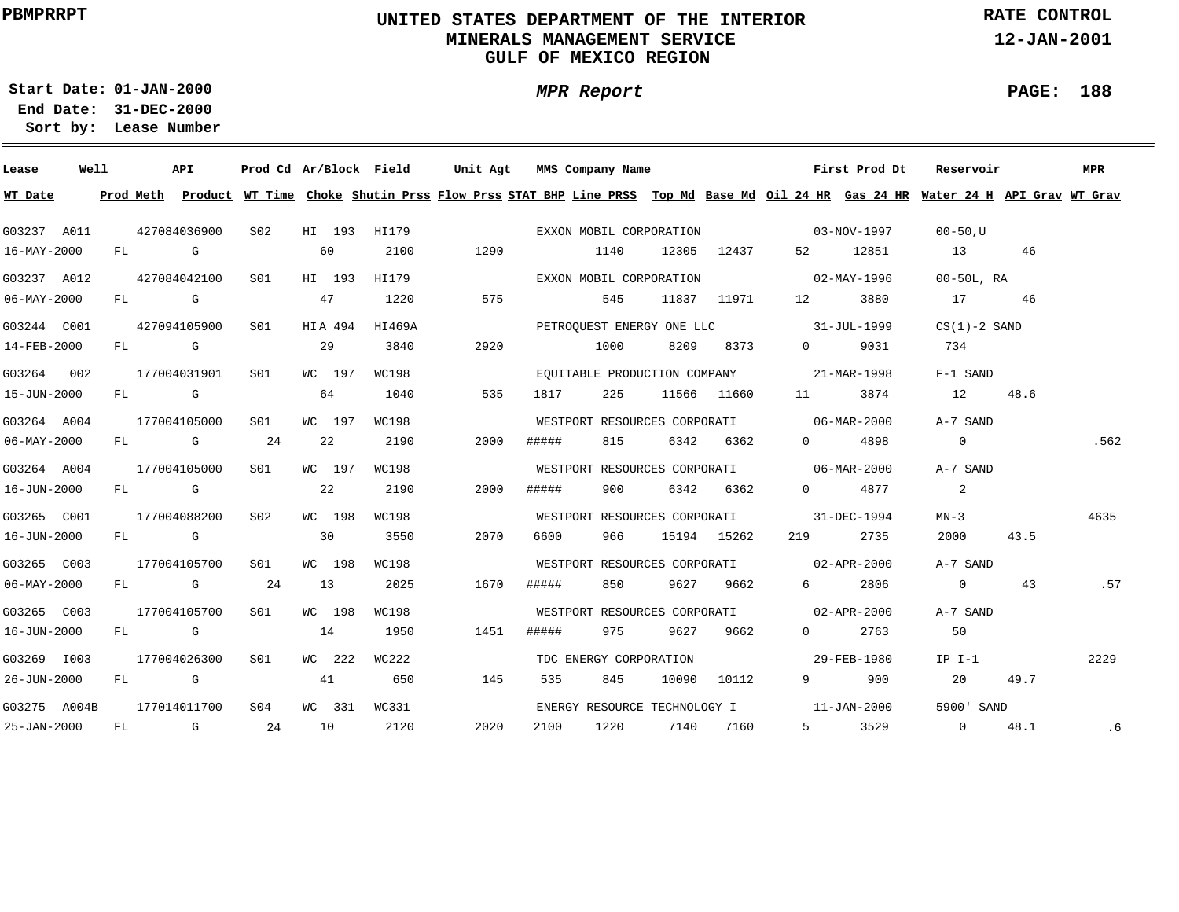## **UNITED STATES DEPARTMENT OF THE INTERIOR MINERALS MANAGEMENT SERVICEGULF OF MEXICO REGION**

**MPR Report**

**RATE CONTROL**

**12-JAN-2001**

**PAGE: 188**

÷

**01-JAN-2000Start Date:**

| Lease                    | Well |    |                                                                                                                                                                                                                                | API          | Prod Cd Ar/Block Field |    |         |        | Unit Agt |       | MMS Company Name |                              |             |                                                         | First Prod Dt | Reservoir                                                                                                                               |      | MPR  |
|--------------------------|------|----|--------------------------------------------------------------------------------------------------------------------------------------------------------------------------------------------------------------------------------|--------------|------------------------|----|---------|--------|----------|-------|------------------|------------------------------|-------------|---------------------------------------------------------|---------------|-----------------------------------------------------------------------------------------------------------------------------------------|------|------|
| WT Date                  |      |    |                                                                                                                                                                                                                                |              |                        |    |         |        |          |       |                  |                              |             |                                                         |               | Prod Meth Product WT Time Choke Shutin Prss Flow Prss STAT BHP Line PRSS Top Md Base Md Oil 24 HR Gas 24 HR Water 24 H API Grav WT Grav |      |      |
| G03237 A011              |      |    |                                                                                                                                                                                                                                | 427084036900 | S <sub>02</sub>        |    | HI 193  | HI179  |          |       |                  | EXXON MOBIL CORPORATION      |             | $03 - NOV - 1997$                                       |               | $00 - 50$ , U                                                                                                                           |      |      |
| $16 - \text{MAX} - 2000$ |      | FL |                                                                                                                                                                                                                                | G            |                        |    | 60      | 2100   | 1290     |       | 1140             | 12305                        | 12437       | 52                                                      | 12851         | 13                                                                                                                                      | 46   |      |
| G03237 A012              |      |    |                                                                                                                                                                                                                                | 427084042100 | SO1                    |    | HI 193  | HI179  |          |       |                  | EXXON MOBIL CORPORATION      |             |                                                         | 02-MAY-1996   | $00-50L$ , RA                                                                                                                           |      |      |
| $06 - \text{MAX} - 2000$ |      | FL |                                                                                                                                                                                                                                | G            |                        |    | 47      | 1220   | 575      |       | 545              |                              | 11837 11971 | 12                                                      | 3880          | 17                                                                                                                                      | 46   |      |
| G03244 C001              |      |    |                                                                                                                                                                                                                                | 427094105900 | S01                    |    | HIA 494 | HI469A |          |       |                  | PETROOUEST ENERGY ONE LLC    |             |                                                         | 31-JUL-1999   | $CS(1)-2$ SAND                                                                                                                          |      |      |
| 14-FEB-2000              |      | FL |                                                                                                                                                                                                                                | G            |                        |    | 29      | 3840   | 2920     |       | 1000             | 8209                         | 8373        | $\Omega$                                                | 9031          | 734                                                                                                                                     |      |      |
| G03264 002               |      |    |                                                                                                                                                                                                                                | 177004031901 | SO1                    |    | WC 197  | WC198  |          |       |                  |                              |             | EQUITABLE PRODUCTION COMPANY 21-MAR-1998                |               | $F-1$ SAND                                                                                                                              |      |      |
| 15-JUN-2000              |      | FL | and the Group of Group of the Group of the State of the State of the State of the State of the State of the State of the State of the State of the State of the State of the State of the State of the State of the State of t |              |                        |    | 64      | 1040   | 535      | 1817  | 225              |                              | 11566 11660 | 11                                                      | 3874          | 12                                                                                                                                      | 48.6 |      |
| G03264 A004              |      |    |                                                                                                                                                                                                                                | 177004105000 | SO1                    |    | WC 197  | WC198  |          |       |                  |                              |             | WESTPORT RESOURCES CORPORATI 06-MAR-2000                |               | A-7 SAND                                                                                                                                |      |      |
| 06-MAY-2000              |      |    |                                                                                                                                                                                                                                | FL G         | 24                     | 22 |         | 2190   | 2000     | ##### | 815              | 6342                         | 6362        | $\Omega$ and $\Omega$                                   | 4898          | $\overline{0}$                                                                                                                          |      | .562 |
| G03264 A004              |      |    |                                                                                                                                                                                                                                | 177004105000 | S01                    |    | WC 197  | WC198  |          |       |                  |                              |             | WESTPORT RESOURCES CORPORATI 06-MAR-2000                |               | A-7 SAND                                                                                                                                |      |      |
| 16-JUN-2000              |      |    | FL G                                                                                                                                                                                                                           |              |                        |    | 22      | 2190   | 2000     | ##### | 900              |                              | 6342 6362   | $\Omega$ and $\Omega$                                   | 4877          | 2                                                                                                                                       |      |      |
| G03265 C001              |      |    |                                                                                                                                                                                                                                | 177004088200 | S02                    |    | WC 198  | WC198  |          |       |                  |                              |             | WESTPORT RESOURCES CORPORATI 31-DEC-1994                |               | $MN-3$                                                                                                                                  |      | 4635 |
| 16-JUN-2000              |      |    | FL G                                                                                                                                                                                                                           |              |                        |    | 30      | 3550   | 2070     | 6600  | 966              |                              | 15194 15262 | 219                                                     | 2735          | 2000                                                                                                                                    | 43.5 |      |
| G03265 C003              |      |    |                                                                                                                                                                                                                                | 177004105700 | SO1                    |    | WC 198  | WC198  |          |       |                  |                              |             | WESTPORT RESOURCES CORPORATI 02-APR-2000                |               | A-7 SAND                                                                                                                                |      |      |
| $06 - \text{MAX} - 2000$ |      |    | FL G                                                                                                                                                                                                                           |              | 24                     | 13 |         | 2025   | 1670     | ##### | 850              |                              | 9627 9662   | 6 —                                                     | 2806          | $\overline{0}$                                                                                                                          | 43   | .57  |
| G03265 C003              |      |    |                                                                                                                                                                                                                                | 177004105700 | S01                    |    | WC 198  | WC198  |          |       |                  | WESTPORT RESOURCES CORPORATI |             | $02 - APR - 2000$                                       |               | A-7 SAND                                                                                                                                |      |      |
| 16-JUN-2000              |      | FL | in the Group of Group of the Group of the State of the State of the State of the State of the State of the State of the State of the State of the State of the State of the State of the State of the State of the State of th |              |                        | 14 |         | 1950   | 1451     | ##### | 975              | 9627                         | 9662        | $0 \qquad \qquad$                                       | 2763          | 50                                                                                                                                      |      |      |
| G03269 I003              |      |    |                                                                                                                                                                                                                                | 177004026300 | S <sub>01</sub>        |    | WC 222  | WC222  |          |       |                  | TDC ENERGY CORPORATION       |             |                                                         | 29-FEB-1980   | $IP I-1$                                                                                                                                |      | 2229 |
| 26-JUN-2000              |      | FL |                                                                                                                                                                                                                                | G            |                        | 41 |         | 650    | 145      | 535   | 845              | 10090                        | 10112       | $9 \left( \begin{array}{ccc} 9 & 1 \end{array} \right)$ | 900           | 20                                                                                                                                      | 49.7 |      |
| G03275 A004B             |      |    |                                                                                                                                                                                                                                | 177014011700 | S <sub>04</sub>        |    | WC 331  | WC331  |          |       |                  | ENERGY RESOURCE TECHNOLOGY I |             |                                                         | 11-JAN-2000   | 5900' SAND                                                                                                                              |      |      |
| 25-JAN-2000              |      | FL |                                                                                                                                                                                                                                | G            | -24                    | 10 |         | 2120   | 2020     | 2100  | 1220             | 7140                         | 7160        | $5^{\circ}$                                             | 3529          | $\overline{0}$                                                                                                                          | 48.1 | .6   |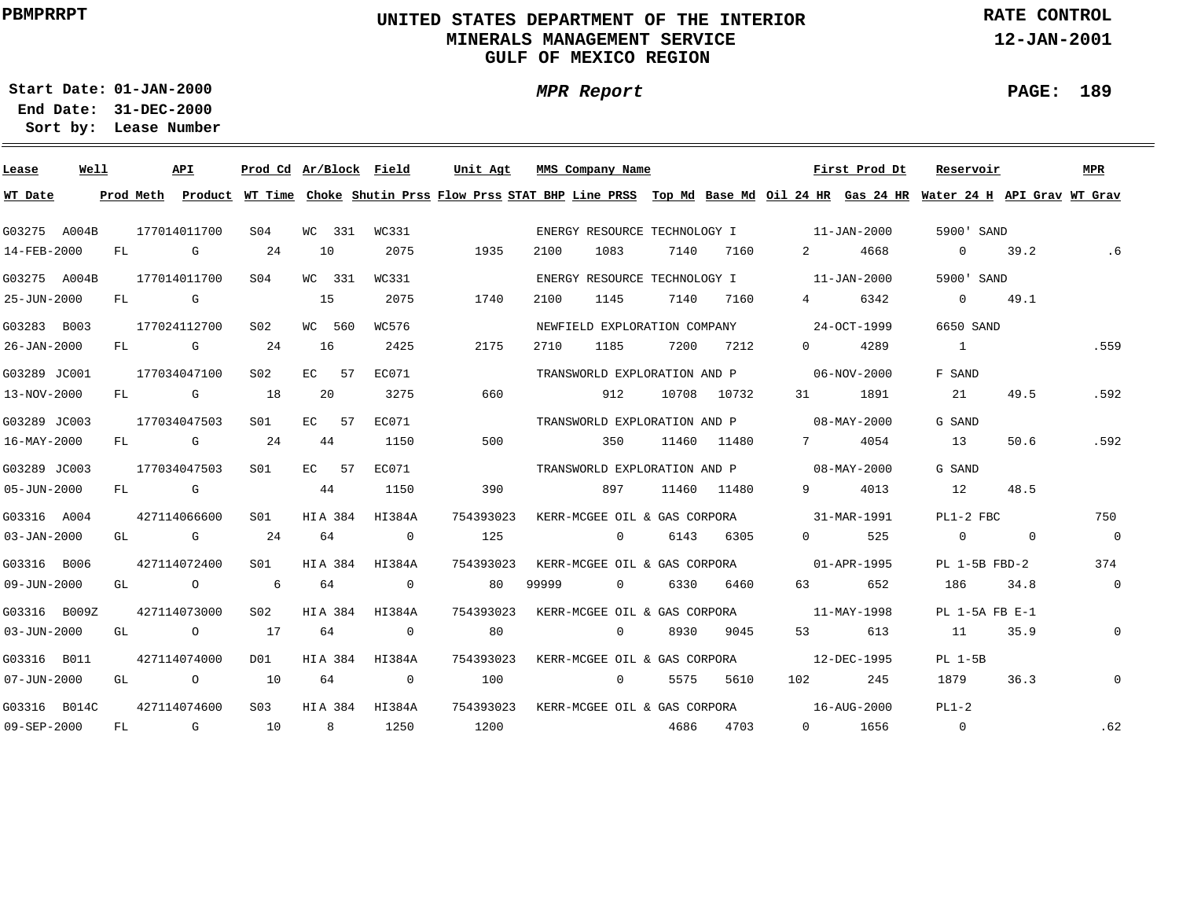## **UNITED STATES DEPARTMENT OF THE INTERIOR MINERALS MANAGEMENT SERVICEGULF OF MEXICO REGION**

**MPR Report**

**RATE CONTROL**

**12-JAN-2001**

**PAGE: 189**

÷

**01-JAN-2000Start Date:**

| Lease             | Well |    |              | <b>API</b> | Prod Cd Ar/Block Field |         |     |                | Unit Agt                                                                                                                      |       | MMS Company Name             |       |             |             | First Prod Dt     | Reservoir          |             | <b>MPR</b>     |
|-------------------|------|----|--------------|------------|------------------------|---------|-----|----------------|-------------------------------------------------------------------------------------------------------------------------------|-------|------------------------------|-------|-------------|-------------|-------------------|--------------------|-------------|----------------|
| WT Date           |      |    | Prod Meth    |            |                        |         |     |                | Product WT Time Choke Shutin Prss Flow Prss STAT BHP Line PRSS Top Md Base Md Oil 24 HR Gas 24 HR Water 24 H API Grav WT Grav |       |                              |       |             |             |                   |                    |             |                |
| G03275 A004B      |      |    | 177014011700 |            | S04                    | WC 331  |     | WC331          |                                                                                                                               |       | ENERGY RESOURCE TECHNOLOGY I |       |             |             | 11-JAN-2000       | 5900' SAND         |             |                |
| 14-FEB-2000       |      | FL |              | G          | 24                     | 10      |     | 2075           | 1935                                                                                                                          | 2100  | 1083                         | 7140  | 7160        | 2           | 4668              | $\overline{0}$     | 39.2        | .6             |
| G03275 A004B      |      |    | 177014011700 |            | SO4                    | WC 331  |     | WC331          |                                                                                                                               |       | ENERGY RESOURCE TECHNOLOGY I |       |             |             | 11-JAN-2000       | 5900' SAND         |             |                |
| 25-JUN-2000       |      | FL |              | G          |                        | 15      |     | 2075           | 1740                                                                                                                          | 2100  | 1145                         | 7140  | 7160        | 4           | 6342              | $\overline{0}$     | 49.1        |                |
| G03283 B003       |      |    | 177024112700 |            | S <sub>02</sub>        | WC 560  |     | WC576          |                                                                                                                               |       | NEWFIELD EXPLORATION COMPANY |       |             |             | 24-OCT-1999       | 6650 SAND          |             |                |
| 26-JAN-2000       |      | FL |              | G          | 24                     | 16      |     | 2425           | 2175                                                                                                                          | 2710  | 1185                         | 7200  | 7212        | $\Omega$    | 4289              | $\overline{1}$     |             | .559           |
| G03289 JC001      |      |    | 177034047100 |            | S <sub>02</sub>        | EC      | -57 | EC071          |                                                                                                                               |       | TRANSWORLD EXPLORATION AND P |       |             |             | 06-NOV-2000       | F SAND             |             |                |
| 13-NOV-2000       |      | FL |              | G          | 18                     | 20      |     | 3275           | 660                                                                                                                           |       | 912                          | 10708 | 10732       | 31          | 1891              | 21                 | 49.5        | .592           |
| G03289 JC003      |      |    | 177034047503 |            | S01                    | EC.     | 57  | EC071          |                                                                                                                               |       | TRANSWORLD EXPLORATION AND P |       |             |             | 08-MAY-2000       | G SAND             |             |                |
| 16-MAY-2000       |      | FL |              | G          | 24                     | 44      |     | 1150           | 500                                                                                                                           |       | 350                          |       | 11460 11480 | $7$ and $7$ | 4054              | 13                 | 50.6        | .592           |
| G03289 JC003      |      |    | 177034047503 |            | S01                    | EC 57   |     | EC071          |                                                                                                                               |       | TRANSWORLD EXPLORATION AND P |       |             |             | 08-MAY-2000       | G SAND             |             |                |
| 05-JUN-2000       |      | FL |              | G          |                        | 44      |     | 1150           | 390                                                                                                                           |       | 897                          |       | 11460 11480 | 9           | 4013              | 12                 | 48.5        |                |
| G03316 A004       |      |    | 427114066600 |            | S01                    | HIA 384 |     | HI384A         | 754393023                                                                                                                     |       | KERR-MCGEE OIL & GAS CORPORA |       |             |             | 31-MAR-1991       | PL1-2 FBC          |             | 750            |
| $03 - JAN - 2000$ |      | GL |              | G          | 24                     | 64      |     | $\overline{0}$ | 125                                                                                                                           |       | $\overline{0}$               | 6143  | 6305        | $\Omega$    | 525               | $\overline{0}$     | $\mathbf 0$ | $\overline{0}$ |
| G03316 B006       |      |    | 427114072400 |            | S01                    | HIA 384 |     | HI384A         | 754393023                                                                                                                     |       | KERR-MCGEE OIL & GAS CORPORA |       |             |             | $01 - APR - 1995$ | $PL$ 1-5B $FBD-2$  |             | 374            |
| 09-JUN-2000       |      | GL |              | $\circ$    | 6                      | 64      |     | $\mathbf{0}$   | 80                                                                                                                            | 99999 | $\mathbf{0}$                 | 6330  | 6460        | 63          | 652               | 186                | 34.8        | $\mathbf 0$    |
| G03316 B009Z      |      |    | 427114073000 |            | S <sub>02</sub>        | HIA 384 |     | HI384A         | 754393023                                                                                                                     |       | KERR-MCGEE OIL & GAS CORPORA |       |             |             | 11-MAY-1998       | $PL$ 1-5A FB $E-1$ |             |                |
| 03-JUN-2000       |      | GL |              | $\circ$    | 17                     | 64      |     | $\mathbf 0$    | 80                                                                                                                            |       | $\mathbf{0}$                 | 8930  | 9045        | 53          | 613               | 11                 | 35.9        | $\mathsf{O}$   |
| G03316 B011       |      |    | 427114074000 |            | D01                    | HIA 384 |     | HI384A         | 754393023                                                                                                                     |       | KERR-MCGEE OIL & GAS CORPORA |       |             |             | 12-DEC-1995       | $PL 1-5B$          |             |                |
| 07-JUN-2000       |      | GL |              | $\circ$    | <b>10</b>              | 64      |     | $\mathbf{0}$   | 100                                                                                                                           |       | $\mathbf{0}$                 | 5575  | 5610        | 102         | 245               | 1879               | 36.3        | $\mathbf{0}$   |
| G03316 B014C      |      |    | 427114074600 |            | S <sub>03</sub>        | HIA 384 |     | HI384A         | 754393023                                                                                                                     |       | KERR-MCGEE OIL & GAS CORPORA |       |             |             | 16-AUG-2000       | $PL1-2$            |             |                |
| 09-SEP-2000       |      | FL |              | G          | 10                     |         | 8   | 1250           | 1200                                                                                                                          |       |                              | 4686  | 4703        | $\Omega$    | 1656              | $\overline{0}$     |             | .62            |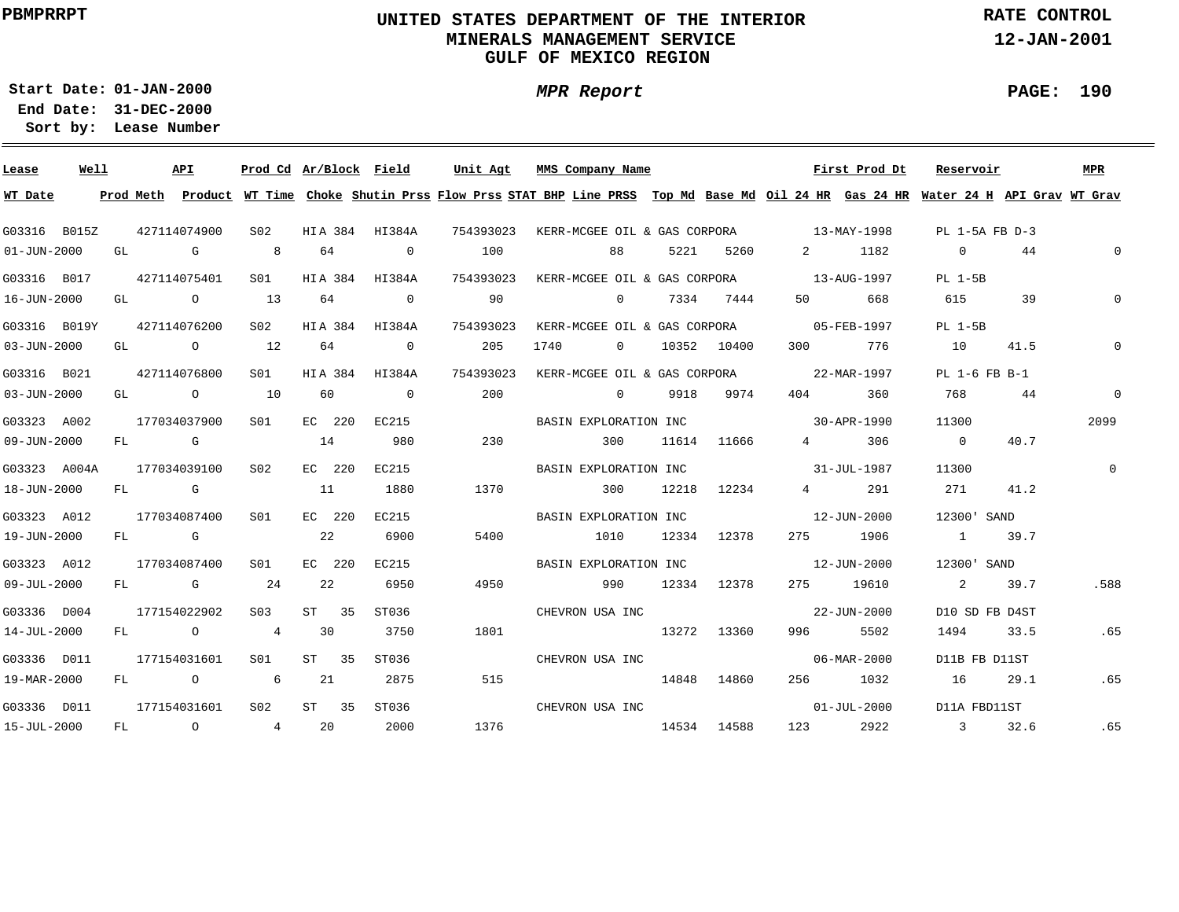## **UNITED STATES DEPARTMENT OF THE INTERIOR MINERALS MANAGEMENT SERVICEGULF OF MEXICO REGION**

**MPR Report**

**RATE CONTROL**

**12-JAN-2001**

**PAGE: 190**

÷

**01-JAN-2000Start Date:31-DEC-2000 End Date:** 

| Lease             | Well |    | API                                   | Prod Cd Ar/Block Field |        |                | Unit Agt  |      | MMS Company Name      |                |       |             |                                          | First Prod Dt                                                                                                                           | Reservoir      |      | <b>MPR</b>   |
|-------------------|------|----|---------------------------------------|------------------------|--------|----------------|-----------|------|-----------------------|----------------|-------|-------------|------------------------------------------|-----------------------------------------------------------------------------------------------------------------------------------------|----------------|------|--------------|
| WT Date           |      |    |                                       |                        |        |                |           |      |                       |                |       |             |                                          | Prod Meth Product WT Time Choke Shutin Prss Flow Prss STAT BHP Line PRSS Top Md Base Md Oil 24 HR Gas 24 HR Water 24 H API Grav WT Grav |                |      |              |
| G03316 B015Z      |      |    | 427114074900                          | S02                    |        | HIA 384 HI384A | 754393023 |      |                       |                |       |             |                                          | KERR-MCGEE OIL & GAS CORPORA 13-MAY-1998                                                                                                | PL 1-5A FB D-3 |      |              |
| $01 - JUN - 2000$ |      | GL | G                                     | 8 <sup>1</sup>         | 64     | $\overline{0}$ | 100       |      | 88                    |                | 5221  | 5260 720    |                                          | 1182                                                                                                                                    | $\overline{0}$ | 44   | $\mathsf{O}$ |
| G03316 B017       |      |    | 427114075401                          | S01                    |        | HIA 384 HI384A | 754393023 |      |                       |                |       |             |                                          | KERR-MCGEE OIL & GAS CORPORA 13-AUG-1997                                                                                                | PL 1-5B        |      |              |
| 16-JUN-2000       |      |    | GL O                                  | 13                     | 64     | $\sim$ 0       | 90        |      |                       | $\Omega$       | 7334  | 7444        | 50 — 10                                  | 668                                                                                                                                     | 615            | 39   | $\mathbf 0$  |
| G03316 B019Y      |      |    | 427114076200                          | S02                    |        | HIA 384 HI384A | 754393023 |      |                       |                |       |             | KERR-MCGEE OIL & GAS CORPORA 05-FEB-1997 |                                                                                                                                         | PL 1-5B        |      |              |
| $03 - JUN - 2000$ |      |    | GL O                                  | 12                     | 64     | $\overline{0}$ | 205       | 1740 |                       | $\overline{0}$ |       | 10352 10400 |                                          | 776                                                                                                                                     | 10             | 41.5 | $\Omega$     |
| G03316 B021       |      |    | 427114076800                          | SO1                    |        | HIA 384 HI384A | 754393023 |      |                       |                |       |             | KERR-MCGEE OIL & GAS CORPORA 22-MAR-1997 |                                                                                                                                         | PL 1-6 FB B-1  |      |              |
| 03-JUN-2000       |      |    | GL $\qquad \qquad 0 \qquad \qquad 10$ |                        | 60     | $\overline{0}$ | 200       |      | $\sim$ 0              |                | 9918  | 9974        | 404                                      | 360                                                                                                                                     | 768            | 44   | $\mathbf{0}$ |
| G03323 A002       |      |    | 177034037900                          | SO1                    | EC 220 | EC215          |           |      | BASIN EXPLORATION INC |                |       |             |                                          | 30-APR-1990                                                                                                                             | 11300          |      | 2099         |
| 09-JUN-2000       |      | FL | <b>G</b> G                            |                        | 14     | 980            | 230       |      | 300                   |                | 11614 | 11666       |                                          | 306<br>$\frac{4}{1}$                                                                                                                    | $\overline{0}$ | 40.7 |              |
| G03323 A004A      |      |    | 177034039100                          | S02                    | EC 220 | EC215          |           |      | BASIN EXPLORATION INC |                |       |             | $31 - JUL - 1987$                        |                                                                                                                                         | 11300          |      | $\Omega$     |
| 18-JUN-2000       |      |    | FL G                                  |                        | 11     | 1880           | 1370      |      | 300                   |                | 12218 | 12234       |                                          | 4 291                                                                                                                                   | 271            | 41.2 |              |
| G03323 A012       |      |    | 177034087400                          | S01                    | EC 220 | EC215          |           |      | BASIN EXPLORATION INC |                |       |             | $12 - JUN - 2000$                        |                                                                                                                                         | 12300' SAND    |      |              |
| 19-JUN-2000       |      |    | FL G                                  |                        | 22     | 6900           | 5400      |      | 1010                  |                |       | 12334 12378 |                                          | 275 1906                                                                                                                                | $\sim$ 1       | 39.7 |              |
| G03323 A012       |      |    | 177034087400                          | SO1                    | EC 220 | EC215          |           |      | BASIN EXPLORATION INC |                |       |             |                                          | 12-JUN-2000                                                                                                                             | 12300' SAND    |      |              |
| $09 - JUL - 2000$ |      |    | FL G                                  | 24                     | 22     | 6950           | 4950      |      | 990                   |                |       | 12334 12378 |                                          | 275 19610                                                                                                                               | 2              | 39.7 | .588         |
| G03336 D004       |      |    | 177154022902                          | S03                    | ST 35  | ST036          |           |      | CHEVRON USA INC       |                |       |             |                                          | 22-JUN-2000                                                                                                                             | D10 SD FB D4ST |      |              |
| 14-JUL-2000       |      |    | FL O                                  | 4                      | 30     | 3750           | 1801      |      | 13272 13360           |                |       |             | 996 — 10                                 | 5502                                                                                                                                    | 1494           | 33.5 | .65          |
| G03336 D011       |      |    | 177154031601                          | S01 <b>S</b>           | ST 35  | ST036          |           |      | CHEVRON USA INC       |                |       |             |                                          | 06-MAR-2000                                                                                                                             | D11B FB D11ST  |      |              |
| 19-MAR-2000       |      | FL | $\overline{O}$                        | $6\overline{6}$        | 21     | 2875           | 515       |      | 14848 14860           |                |       |             |                                          | 256 1032                                                                                                                                | 16             | 29.1 | .65          |
| G03336 D011       |      |    | 177154031601                          | S <sub>02</sub>        | ST 35  | ST036          |           |      | CHEVRON USA INC       |                |       |             |                                          | $01 - JUL - 2000$                                                                                                                       | D11A FBD11ST   |      |              |
| 15-JUL-2000       |      |    | FL 0 4 20                             |                        |        | 2000           | 1376      |      | 14534                 |                |       | 14588       |                                          | 123 2922                                                                                                                                | 3 32.6         |      | .65          |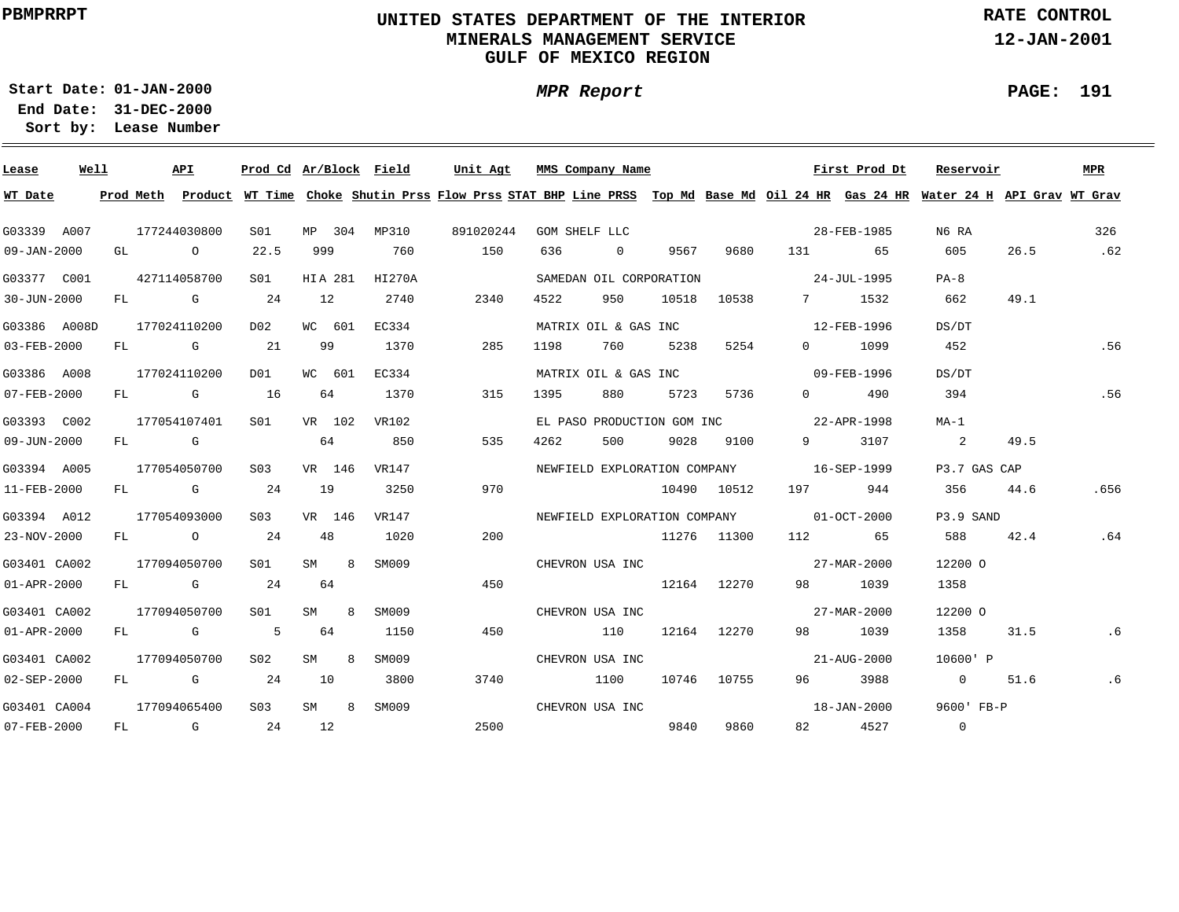## **UNITED STATES DEPARTMENT OF THE INTERIOR MINERALS MANAGEMENT SERVICEGULF OF MEXICO REGION**

**MPR Report**

**RATE CONTROL**

**12-JAN-2001**

**01-JAN-2000Start Date:31-DEC-2000 End Date:** 

**Lease Number Sort by:**

| Lease             | Well |  | API          |                 |        |         | Prod Cd Ar/Block Field | Unit Agt  | MMS Company Name                                                                                                                        |                |       |             |                          | First Prod Dt | Reservoir               |      | MPR  |
|-------------------|------|--|--------------|-----------------|--------|---------|------------------------|-----------|-----------------------------------------------------------------------------------------------------------------------------------------|----------------|-------|-------------|--------------------------|---------------|-------------------------|------|------|
| WT Date           |      |  |              |                 |        |         |                        |           | Prod Meth Product WT Time Choke Shutin Prss Flow Prss STAT BHP Line PRSS Top Md Base Md Oil 24 HR Gas 24 HR Water 24 H API Grav WT Grav |                |       |             |                          |               |                         |      |      |
| G03339 A007       |      |  | 177244030800 | S01             |        |         | MP 304 MP310           | 891020244 | GOM SHELF LLC                                                                                                                           |                |       |             |                          | 28-FEB-1985   | N6 RA                   |      | 326  |
| 09-JAN-2000       |      |  | GL O         | 22.5            | 999    |         | 760                    | 150       | 636                                                                                                                                     | $\overline{0}$ | 9567  | 9680        |                          | 131 65        | 605                     | 26.5 | .62  |
| G03377 C001       |      |  | 427114058700 | SO1             |        | HIA 281 | HI270A                 |           | SAMEDAN OIL CORPORATION                                                                                                                 |                |       |             | $24 - JUL - 1995$        |               | $PA-8$                  |      |      |
| 30-JUN-2000       |      |  | $FL$ G 24    |                 | 12     |         | 2740                   | 2340      | 4522<br>950                                                                                                                             |                | 10518 | 10538       |                          | 7 1532        | 662                     | 49.1 |      |
| G03386 A008D      |      |  | 177024110200 | D02             |        | WC 601  | EC334                  |           | MATRIX OIL & GAS INC                                                                                                                    |                |       |             |                          | 12-FEB-1996   | DS/DT                   |      |      |
| 03-FEB-2000       |      |  | FL G 21      |                 | 99     |         | 1370                   | 285       | 1198                                                                                                                                    | 760 —          | 5238  | 5254        |                          | 0 1099        | 452                     |      | .56  |
| G03386 A008       |      |  | 177024110200 | DO1             | WC 601 |         | EC334                  |           | MATRIX OIL & GAS INC                                                                                                                    |                |       |             |                          | 09-FEB-1996   | DS/DT                   |      |      |
| 07-FEB-2000       |      |  | FL G 16      |                 | 64     |         | 1370                   | 315       | 1395<br>880                                                                                                                             |                |       | 5723 5736   | $\Omega$ and $\Omega$    | 490           | 394                     |      | .56  |
| G03393 C002       |      |  | 177054107401 | S01 <b>S</b>    | VR 102 |         | <b>VR102</b>           |           | EL PASO PRODUCTION GOM INC 22-APR-1998                                                                                                  |                |       |             |                          |               | MA-1                    |      |      |
| 09-JUN-2000       |      |  | FL G         |                 | 64     |         | 850                    | 535       | 4262                                                                                                                                    | 500            |       | 9028 9100   | $9 \qquad \qquad$        | 3107          | $\overline{\mathbf{c}}$ | 49.5 |      |
| G03394 A005       |      |  | 177054050700 | S <sub>03</sub> | VR 146 |         | VR147                  |           | NEWFIELD EXPLORATION COMPANY 16-SEP-1999                                                                                                |                |       |             |                          |               | P3.7 GAS CAP            |      |      |
| 11-FEB-2000       |      |  | $FL$ G 24    |                 | 19     |         | 3250                   | 970       |                                                                                                                                         |                |       | 10490 10512 | 197 944                  |               | 356                     | 44.6 | .656 |
| G03394 A012       |      |  | 177054093000 | S03 - 1         | VR 146 |         | VR147                  |           | NEWFIELD EXPLORATION COMPANY 01-OCT-2000                                                                                                |                |       |             |                          |               | P3.9 SAND               |      |      |
| 23-NOV-2000       |      |  | FL 0 24      |                 | 48     |         | 1020                   | 200       | 11276 11300                                                                                                                             |                |       |             |                          | 112 65        | 588 3                   | 42.4 | .64  |
| G03401 CA002      |      |  | 177094050700 | S01 <b>S</b>    | SM     | 8       | SM009                  |           | CHEVRON USA INC                                                                                                                         |                |       |             | $27 - \text{MAR} - 2000$ |               | 12200 0                 |      |      |
| 01-APR-2000       |      |  | FL G 24      |                 | 64     |         |                        | 450       | 12164 12270                                                                                                                             |                |       |             |                          | 98 1039       | 1358                    |      |      |
| G03401 CA002      |      |  | 177094050700 | SO1             | SM     | 8       | SM009                  |           | CHEVRON USA INC                                                                                                                         |                |       |             |                          | 27-MAR-2000   | 12200 O                 |      |      |
| $01 - APR - 2000$ |      |  | FL G         | $5^{\circ}$     | 64     |         | 1150                   | 450       | 110                                                                                                                                     |                |       | 12164 12270 |                          | 98 1039       | 1358                    | 31.5 | .6   |
| G03401 CA002      |      |  | 177094050700 | S02             | SM     | 8       | SM009                  |           | CHEVRON USA INC                                                                                                                         |                |       |             |                          | 21-AUG-2000   | 10600' P                |      |      |
| $02 - SEP - 2000$ |      |  | FL G 24      |                 | 10     |         | 3800                   | 3740      | 1100                                                                                                                                    |                |       | 10746 10755 |                          | 96 3988       | $\overline{0}$          | 51.6 | .6   |
| G03401 CA004      |      |  | 177094065400 | S <sub>03</sub> | SM     | 8       | SM009                  |           | CHEVRON USA INC                                                                                                                         |                |       |             |                          | 18-JAN-2000   | 9600' FB-P              |      |      |
| 07-FEB-2000       |      |  | $FL$ G 24    |                 | 12     |         |                        | 2500      |                                                                                                                                         |                | 9840  | 9860        |                          | 82 4527       | $\overline{0}$          |      |      |

**PAGE: 191**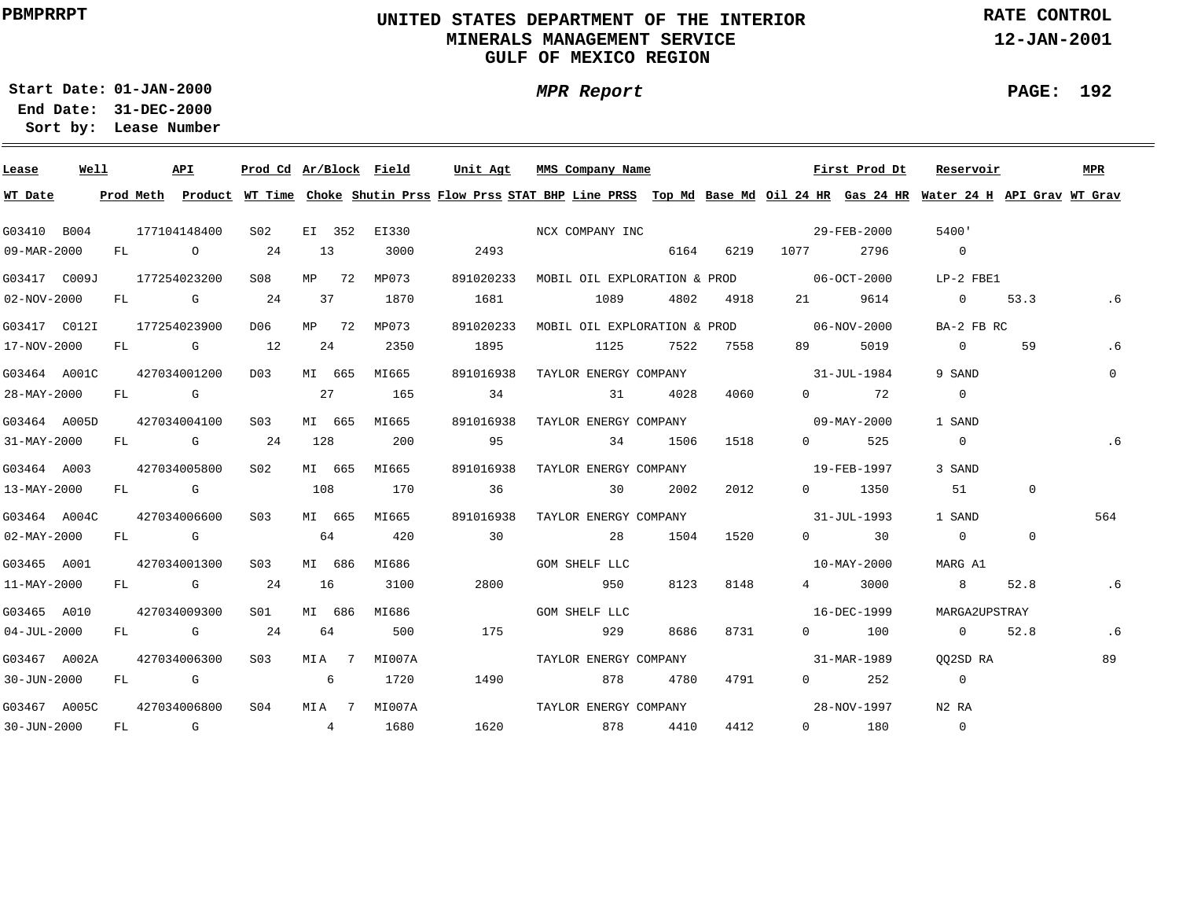## **UNITED STATES DEPARTMENT OF THE INTERIOR MINERALS MANAGEMENT SERVICEGULF OF MEXICO REGION**

**RATE CONTROL**

**12-JAN-2001**

**PAGE: 192**

÷

**01-JAN-2000Start Date:31-DEC-2000 End Date:** 

**Lease Number Sort by:**

| Lease                     | Well |  | API          | Prod Cd Ar/Block Field |     |        |              | Unit Agt                     | MMS Company Name |                       |           |                                                    | First Prod Dt         | Reservoir                                                                                                                               |              | MPR      |
|---------------------------|------|--|--------------|------------------------|-----|--------|--------------|------------------------------|------------------|-----------------------|-----------|----------------------------------------------------|-----------------------|-----------------------------------------------------------------------------------------------------------------------------------------|--------------|----------|
| WT Date                   |      |  |              |                        |     |        |              |                              |                  |                       |           |                                                    |                       | Prod Meth Product WT Time Choke Shutin Prss Flow Prss STAT BHP Line PRSS Top Md Base Md Oil 24 HR Gas 24 HR Water 24 H API Grav WT Grav |              |          |
| G03410 B004               |      |  | 177104148400 | S02                    |     |        |              | EI 352 EI330 NCX COMPANY INC |                  |                       |           | $29 - \text{FEB} - 2000$                           |                       | 5400'                                                                                                                                   |              |          |
| 09-MAR-2000               |      |  | FL 0 24      |                        | 13  |        | 3000         | 2493                         |                  |                       |           | 6164 6219 1077                                     | 2796                  | $\overline{0}$                                                                                                                          |              |          |
| G03417 C009J 177254023200 |      |  |              | S08                    |     | MP 72  | MP073        |                              |                  |                       |           | 891020233 MOBIL OIL EXPLORATION & PROD 06-OCT-2000 |                       | LP-2 FBE1                                                                                                                               |              |          |
| $02 - NOV - 2000$         |      |  | $FL$ G 24    |                        | 37  |        | 1870         | 1681                         | 1089             |                       | 4802 4918 |                                                    | 9614                  | 0 $53.3$                                                                                                                                |              |          |
|                           |      |  |              | D06                    |     | MP 72  | MP073        |                              |                  |                       |           | 891020233 MOBIL OIL EXPLORATION & PROD 06-NOV-2000 |                       | BA-2 FB RC                                                                                                                              |              |          |
| 17-NOV-2000               |      |  | FL G 12      |                        |     | 24     | 2350         | 1895                         |                  | 1125 7522 7558        |           | 89 — 1                                             | 5019                  | $\Omega$                                                                                                                                | 59           | . 6      |
| G03464 A001C              |      |  | 427034001200 | D03 MI 665             |     |        | MI665        | 891016938                    |                  | TAYLOR ENERGY COMPANY |           |                                                    | 31-JUL-1984           | 9 SAND                                                                                                                                  |              | $\Omega$ |
| 28-MAY-2000               |      |  | FL G         |                        | 27  |        | 165          | 34                           |                  | 31 4028               | 4060      |                                                    | $0 \qquad \qquad 72$  | $\mathbf{0}$                                                                                                                            |              |          |
| G03464 A005D              |      |  | 427034004100 | S03                    |     | MI 665 | MI665        | 891016938                    |                  | TAYLOR ENERGY COMPANY |           | $09 - \text{MAX} - 2000$                           |                       | 1 SAND                                                                                                                                  |              |          |
| $31 - MAX - 2000$         |      |  | $FL$ G 24    |                        | 128 |        | 200          | 95                           |                  | 34 1506               | 1518      | $\Omega$                                           | 525                   | $\overline{0}$                                                                                                                          |              | . 6      |
| G03464 A003               |      |  | 427034005800 | S02                    |     | MI 665 | MI665        | 891016938                    |                  | TAYLOR ENERGY COMPANY |           | $19 - \text{FEB} - 1997$                           |                       | 3 SAND                                                                                                                                  |              |          |
| 13-MAY-2000               |      |  | FL G         |                        | 108 |        | 170          | 36                           | 30               | 2002                  | 2012      |                                                    | $0 \t 1350$           | 51                                                                                                                                      | $\mathbf{0}$ |          |
| G03464 A004C              |      |  | 427034006600 | SO3                    |     | MI 665 | MI665        | 891016938                    |                  | TAYLOR ENERGY COMPANY |           | $31 - JUL - 1993$                                  |                       | 1 SAND                                                                                                                                  |              | 564      |
| $02 - \text{MAX} - 2000$  |      |  | FL G         |                        | 64  |        | 420          | 30                           | 28               | 1504                  | 1520      |                                                    | $0 \qquad \qquad$ 30  | $\Omega$                                                                                                                                | $\Omega$     |          |
| G03465 A001               |      |  | 427034001300 | S <sub>03</sub>        |     | MI 686 | MI686        |                              | GOM SHELF LLC    |                       |           |                                                    | 10-MAY-2000           | MARG A1                                                                                                                                 |              |          |
| 11-MAY-2000               |      |  | $FL$ G 24    |                        | 16  |        | 3100         | 2800                         | 950              | 8123                  | 8148      | $\frac{4}{1}$                                      | 3000                  | 8                                                                                                                                       | 52.8         | . 6      |
| G03465 A010               |      |  | 427034009300 | S01 <b>S</b>           |     | MI 686 | MI686        |                              | GOM SHELF LLC    |                       |           |                                                    | 16-DEC-1999           | MARGA2UPSTRAY                                                                                                                           |              |          |
| $04 - JUL - 2000$         |      |  | FL G 24      |                        | 64  |        | 500          | 175                          | 929              | 8686                  | 8731      |                                                    | $0$ 100               | $\overline{0}$                                                                                                                          | 52.8         | .6       |
| G03467 A002A              |      |  | 427034006300 | S <sub>03</sub>        |     |        | MIA 7 MI007A |                              |                  | TAYLOR ENERGY COMPANY |           | 31-MAR-1989                                        |                       | 002SD RA                                                                                                                                |              | 89       |
| 30-JUN-2000 FL G 6        |      |  |              |                        |     |        | 1720         | 1490                         | 878              | 4780                  | 4791      |                                                    | $0 \qquad \qquad 252$ | $\overline{0}$                                                                                                                          |              |          |
| G03467 A005C 427034006800 |      |  |              | SO4                    |     |        | MIA 7 MI007A |                              |                  |                       |           |                                                    |                       | N2 RA                                                                                                                                   |              |          |
| 30-JUN-2000               |      |  |              | $FL$ G 4               |     |        | 1680         |                              |                  | 1620 878 4410         | 4412      | $\overline{0}$                                     | 180                   | $\Omega$                                                                                                                                |              |          |

# **MPR Report**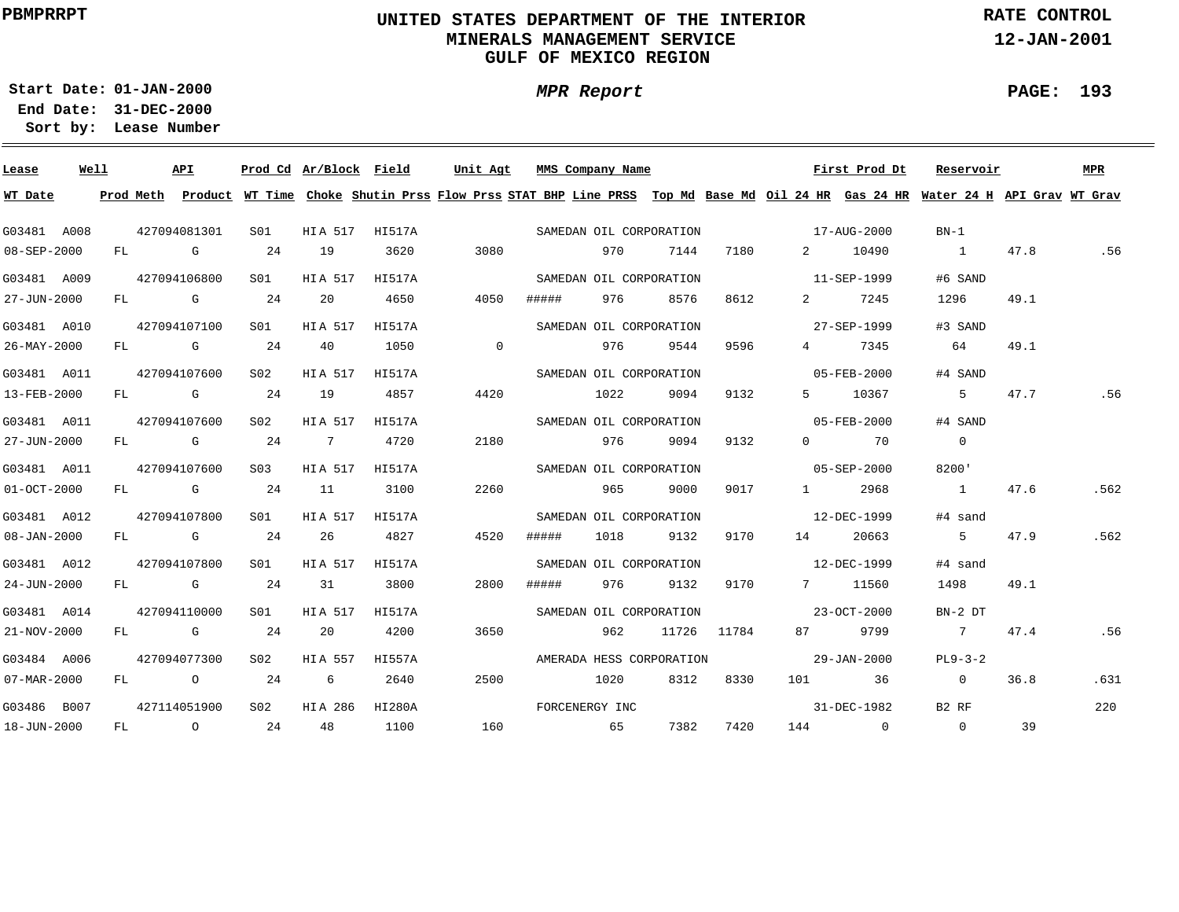## **UNITED STATES DEPARTMENT OF THE INTERIOR MINERALS MANAGEMENT SERVICEGULF OF MEXICO REGION**

**RATE CONTROL**

**12-JAN-2001**

**01-JAN-2000Start Date:**

**MPR Report**

#### **PAGE: 193**

÷

| Lease             | Well |  | API          |                 | Prod Cd Ar/Block Field |                | Unit Agt                                                                                                                                | MMS Company Name         |      |      |             |                          | First Prod Dt        | Reservoir         |      | <b>MPR</b> |
|-------------------|------|--|--------------|-----------------|------------------------|----------------|-----------------------------------------------------------------------------------------------------------------------------------------|--------------------------|------|------|-------------|--------------------------|----------------------|-------------------|------|------------|
| WT Date           |      |  |              |                 |                        |                | Prod Meth Product WT Time Choke Shutin Prss Flow Prss STAT BHP Line PRSS Top Md Base Md Oil 24 HR Gas 24 HR Water 24 H API Grav WT Grav |                          |      |      |             |                          |                      |                   |      |            |
| G03481 A008       |      |  | 427094081301 | S01 -           |                        | HIA 517 HI517A |                                                                                                                                         | SAMEDAN OIL CORPORATION  |      |      |             | $17 - \text{AUG} - 2000$ |                      | $BN-1$            |      |            |
| 08-SEP-2000       |      |  | FL G         | 24              | 19                     | 3620           | 3080                                                                                                                                    |                          | 970  | 7144 | 7180        | $2^{\circ}$              | 10490                | $\sim$ 1          | 47.8 | .56        |
| G03481 A009       |      |  | 427094106800 | SO1 SO          | HIA 517                | HI517A         |                                                                                                                                         | SAMEDAN OIL CORPORATION  |      |      |             | 11-SEP-1999              |                      | #6 SAND           |      |            |
| 27-JUN-2000       |      |  | $FL$ G       | 24              | 20                     | 4650           | 4050                                                                                                                                    | #####                    | 976  | 8576 | 8612        | $\mathbf{2}$             | 7245                 | 1296              | 49.1 |            |
| G03481 A010       |      |  | 427094107100 | S <sub>01</sub> | HIA 517                | HI517A         |                                                                                                                                         | SAMEDAN OIL CORPORATION  |      |      |             |                          | 27-SEP-1999          | #3 SAND           |      |            |
| 26-MAY-2000       |      |  | FL G         | 24              | 40                     | 1050           | $\overline{0}$                                                                                                                          |                          | 976  | 9544 | 9596        |                          | 4 7345               | 64                | 49.1 |            |
| G03481 A011       |      |  | 427094107600 | S <sub>02</sub> | HIA 517                | HI517A         |                                                                                                                                         | SAMEDAN OIL CORPORATION  |      |      |             |                          | 05-FEB-2000          | #4 SAND           |      |            |
| 13-FEB-2000       |      |  | FL G         | 24              | 19                     | 4857           | 4420                                                                                                                                    |                          | 1022 | 9094 | 9132        |                          | 5 10367              | 5                 | 47.7 | .56        |
| G03481 A011       |      |  | 427094107600 | S02             | HIA 517                | HI517A         |                                                                                                                                         | SAMEDAN OIL CORPORATION  |      |      |             |                          | 05-FEB-2000          | #4 SAND           |      |            |
| 27-JUN-2000       |      |  | FL G         | 24              | $7\degree$             | 4720           | 2180                                                                                                                                    |                          | 976  | 9094 | 9132        |                          | $0 \qquad \qquad 70$ | $\overline{0}$    |      |            |
| G03481 A011       |      |  | 427094107600 | S03 -           | HIA 517                | HI517A         |                                                                                                                                         | SAMEDAN OIL CORPORATION  |      |      |             | $05 - SEP - 2000$        |                      | 8200'             |      |            |
| $01-0CT-2000$     |      |  | FL G         | 24              | 11                     | 3100           | 2260                                                                                                                                    |                          | 965  | 9000 | 9017        |                          | 1 2968               | $\sim$ 1          | 47.6 | .562       |
| G03481 A012       |      |  | 427094107800 | SO1             | HIA 517                | HI517A         |                                                                                                                                         | SAMEDAN OIL CORPORATION  |      |      |             | $12 - DEC - 1999$        |                      | #4 sand           |      |            |
| $08 - JAN - 2000$ |      |  | FL G         | 24              | 26                     | 4827           | 4520                                                                                                                                    | #####                    | 1018 | 9132 | 9170        | 14                       | 20663                | $5 - 5$           | 47.9 | .562       |
| G03481 A012       |      |  | 427094107800 | S01             | HIA 517                | HI517A         |                                                                                                                                         | SAMEDAN OIL CORPORATION  |      |      |             | $12 - DEC - 1999$        |                      | #4 sand           |      |            |
| 24-JUN-2000       |      |  | FL G         | 24              | 31                     | 3800           | 2800                                                                                                                                    | #####                    | 976  | 9132 | 9170        |                          | 7 11560              | 1498              | 49.1 |            |
| G03481 A014       |      |  | 427094110000 | S01 <b>S</b>    | HIA 517                | HI517A         |                                                                                                                                         | SAMEDAN OIL CORPORATION  |      |      |             |                          | 23-OCT-2000          | $BN-2DT$          |      |            |
| 21-NOV-2000       |      |  | FL G         | 24              | 20                     | 4200           | 3650                                                                                                                                    |                          | 962  |      | 11726 11784 |                          | 87 9799              | $7\overline{ }$   | 47.4 | .56        |
| G03484 A006       |      |  | 427094077300 | S02             | HIA 557                | HI557A         |                                                                                                                                         | AMERADA HESS CORPORATION |      |      |             |                          | 29-JAN-2000          | $PL9-3-2$         |      |            |
| 07-MAR-2000       |      |  | FL 0 24      |                 | $6\overline{6}$        | 2640           | 2500                                                                                                                                    | 1020                     |      | 8312 | 8330        |                          | 101 36               | $\overline{0}$    | 36.8 | .631       |
| G03486 B007       |      |  | 427114051900 | S <sub>02</sub> | HIA 286                | HI280A         |                                                                                                                                         | FORCENERGY INC           |      |      |             |                          | 31-DEC-1982          | B <sub>2</sub> RF |      | 220        |
| 18-JUN-2000       |      |  | $FL$ 0 24    |                 | 48 1100                |                | 160                                                                                                                                     | 65                       |      | 7382 | 7420        |                          | 144 0                | $\overline{0}$    | 39   |            |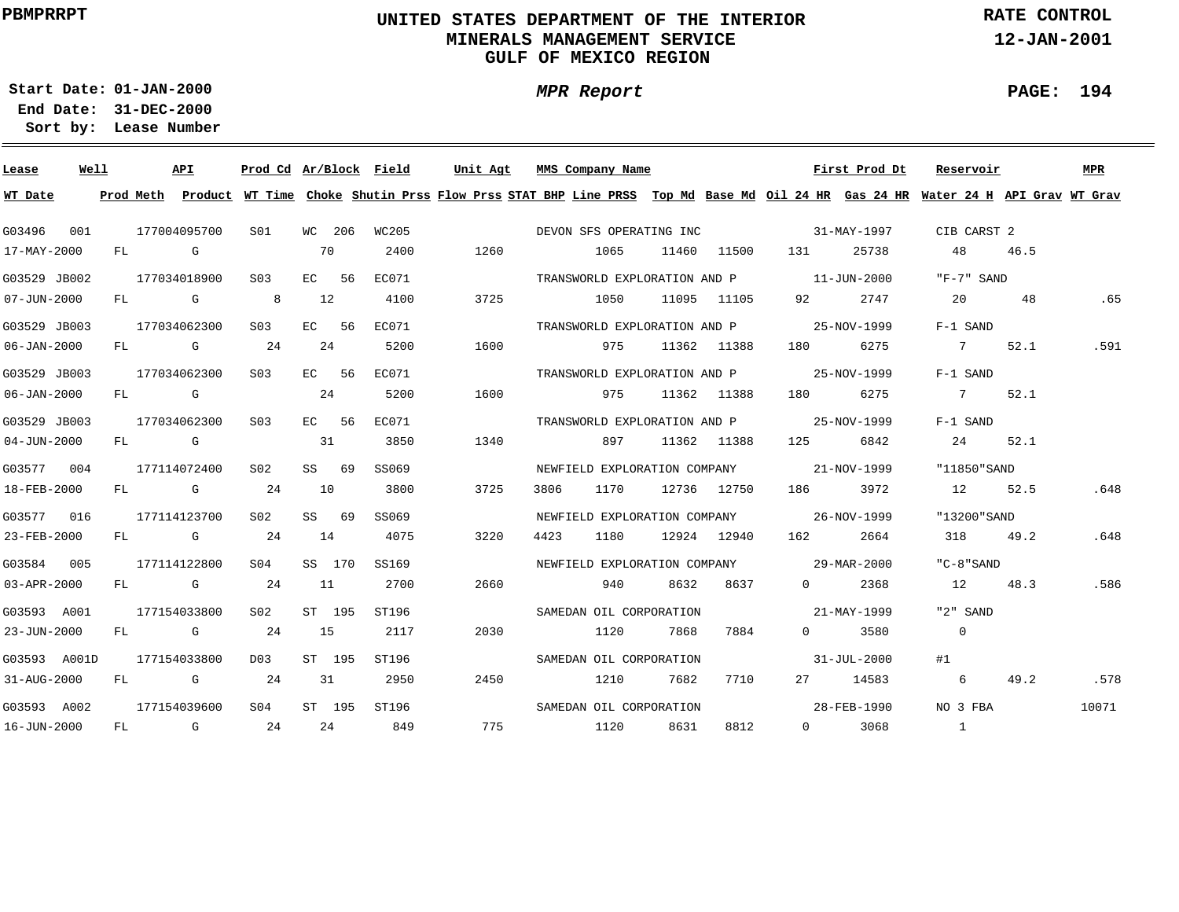## **UNITED STATES DEPARTMENT OF THE INTERIOR MINERALS MANAGEMENT SERVICEGULF OF MEXICO REGION**

**MPR Report**

**RATE CONTROL**

**12-JAN-2001**

**PAGE: 194**

**01-JAN-2000Start Date:**

| Lease             | Well |    | API                                                                                                                                                                                                                            | Prod Cd Ar/Block Field |    |         |       | Unit Agt | MMS Company Name                                                                                                              |      |             |                                                                                                                                                                                                                                 | First Prod Dt | Reservoir                |      | MPR   |
|-------------------|------|----|--------------------------------------------------------------------------------------------------------------------------------------------------------------------------------------------------------------------------------|------------------------|----|---------|-------|----------|-------------------------------------------------------------------------------------------------------------------------------|------|-------------|---------------------------------------------------------------------------------------------------------------------------------------------------------------------------------------------------------------------------------|---------------|--------------------------|------|-------|
| WT Date           |      |    | Prod Meth                                                                                                                                                                                                                      |                        |    |         |       |          | Product WT Time Choke Shutin Prss Flow Prss STAT BHP Line PRSS Top Md Base Md Oil 24 HR Gas 24 HR Water 24 H API Grav WT Grav |      |             |                                                                                                                                                                                                                                 |               |                          |      |       |
| G03496            | 001  |    | 177004095700                                                                                                                                                                                                                   | SO1                    |    | WC 206  | WC205 |          | DEVON SFS OPERATING INC                                                                                                       |      |             |                                                                                                                                                                                                                                 | 31-MAY-1997   | CIB CARST 2              |      |       |
| 17-MAY-2000       |      | FL | in the control of the control of the control of the control of the control of the control of the control of th                                                                                                                 |                        | 70 |         | 2400  | 1260     | 1065                                                                                                                          |      | 11460 11500 | 131 —                                                                                                                                                                                                                           | 25738         | 48                       | 46.5 |       |
| G03529 JB002      |      |    | 177034018900                                                                                                                                                                                                                   | S03                    |    | EC 56   | EC071 |          | TRANSWORLD EXPLORATION AND P 11-JUN-2000                                                                                      |      |             |                                                                                                                                                                                                                                 |               | "F-7" SAND               |      |       |
| $07 - JUN - 2000$ |      |    | $FL$ G                                                                                                                                                                                                                         | - 8                    | 12 |         | 4100  | 3725     | 1050                                                                                                                          |      | 11095 11105 | 92 —                                                                                                                                                                                                                            | 2747          | 20                       | 48   | .65   |
| G03529 JB003      |      |    | 177034062300                                                                                                                                                                                                                   | S03                    |    | EC 56   | EC071 |          | TRANSWORLD EXPLORATION AND P                                                                                                  |      |             | 25-NOV-1999                                                                                                                                                                                                                     |               | F-1 SAND                 |      |       |
| 06-JAN-2000       |      | FL | <b>G</b>                                                                                                                                                                                                                       | 24                     |    | 24      | 5200  | 1600     | 975                                                                                                                           |      | 11362 11388 | 180 — 180 — 180 — 180 — 180 — 180 — 180 — 181 — 181 — 182 — 182 — 182 — 182 — 182 — 182 — 182 — 182 — 182 — 182 — 182 — 182 — 182 — 182 — 182 — 182 — 182 — 182 — 182 — 182 — 182 — 182 — 182 — 182 — 182 — 182 — 182 — 182 — 1 | 6275          | 7                        | 52.1 | .591  |
| G03529 JB003      |      |    | 177034062300                                                                                                                                                                                                                   | S <sub>0.3</sub>       |    | EC 56   | EC071 |          | TRANSWORLD EXPLORATION AND P                                                                                                  |      |             | 25-NOV-1999                                                                                                                                                                                                                     |               | F-1 SAND                 |      |       |
| 06-JAN-2000       |      |    | FL G                                                                                                                                                                                                                           |                        |    | 24      | 5200  | 1600     | 975                                                                                                                           |      | 11362 11388 | 180 — 180 — 180 — 180 — 180 — 180 — 180 — 180 — 181 — 181 — 182 — 182 — 182 — 182 — 182 — 182 — 182 — 182 — 182 — 182 — 182 — 182 — 182 — 182 — 182 — 182 — 182 — 182 — 182 — 182 — 182 — 182 — 182 — 182 — 182 — 182 — 182 — 1 | 6275          | $7\overline{ }$          | 52.1 |       |
| G03529 JB003      |      |    | 177034062300                                                                                                                                                                                                                   | S03                    |    | EC 56   | EC071 |          | TRANSWORLD EXPLORATION AND P 25-NOV-1999                                                                                      |      |             |                                                                                                                                                                                                                                 |               | F-1 SAND                 |      |       |
| 04-JUN-2000       |      |    | FL G                                                                                                                                                                                                                           |                        | 31 |         | 3850  | 1340     | 897 —                                                                                                                         |      | 11362 11388 | 125                                                                                                                                                                                                                             | 6842          | 24                       | 52.1 |       |
| G03577 004        |      |    | 177114072400                                                                                                                                                                                                                   | S02                    |    | SS 69   | SS069 |          | NEWFIELD EXPLORATION COMPANY 21-NOV-1999                                                                                      |      |             |                                                                                                                                                                                                                                 |               | "11850"SAND              |      |       |
| 18-FEB-2000       |      |    | FL G                                                                                                                                                                                                                           | 24                     | 10 |         | 3800  | 3725     | 3806<br>1170                                                                                                                  |      | 12736 12750 | 186 3972                                                                                                                                                                                                                        |               | 12 52.5                  |      | .648  |
| G03577 016        |      |    | 177114123700                                                                                                                                                                                                                   | S02                    |    | $SS$ 69 | SS069 |          | NEWFIELD EXPLORATION COMPANY 46-NOV-1999                                                                                      |      |             |                                                                                                                                                                                                                                 |               | "13200"SAND              |      |       |
| 23-FEB-2000       |      |    | FL G                                                                                                                                                                                                                           | 24                     | 14 |         | 4075  | 3220     | 1180<br>4423                                                                                                                  |      | 12924 12940 | 162 16                                                                                                                                                                                                                          | 2664          | 318                      | 49.2 | .648  |
| G03584 005        |      |    | 177114122800                                                                                                                                                                                                                   | S04                    |    | SS 170  | SS169 |          | NEWFIELD EXPLORATION COMPANY 29-MAR-2000                                                                                      |      |             |                                                                                                                                                                                                                                 |               | "C-8"SAND                |      |       |
| 03-APR-2000       |      |    | FL G                                                                                                                                                                                                                           | 24                     | 11 |         | 2700  | 2660     | 940                                                                                                                           | 8632 | 8637        | $\Omega$                                                                                                                                                                                                                        | 2368          | 12                       | 48.3 | .586  |
| G03593 A001       |      |    | 177154033800                                                                                                                                                                                                                   | S02                    |    | ST 195  | ST196 |          | SAMEDAN OIL CORPORATION                                                                                                       |      |             |                                                                                                                                                                                                                                 | 21-MAY-1999   | "2" SAND                 |      |       |
| 23-JUN-2000       |      | FL | <b>G</b>                                                                                                                                                                                                                       | 24                     | 15 |         | 2117  | 2030     | 1120                                                                                                                          | 7868 | 7884        | $\Omega$                                                                                                                                                                                                                        | 3580          | $\overline{0}$           |      |       |
| G03593 A001D      |      |    | 177154033800                                                                                                                                                                                                                   | D03                    |    | ST 195  | ST196 |          | SAMEDAN OIL CORPORATION                                                                                                       |      |             |                                                                                                                                                                                                                                 | 31-JUL-2000   | #1                       |      |       |
| 31-AUG-2000       |      | FL | and the control of the control of the control of the control of the control of the control of the control of the control of the control of the control of the control of the control of the control of the control of the cont | 24                     |    | 31      | 2950  | 2450     | 1210                                                                                                                          | 7682 | 7710        |                                                                                                                                                                                                                                 | 27 14583      | 6                        | 49.2 | .578  |
| G03593 A002       |      |    | 177154039600                                                                                                                                                                                                                   | S <sub>04</sub>        |    | ST 195  | ST196 |          | SAMEDAN OIL CORPORATION                                                                                                       |      |             |                                                                                                                                                                                                                                 | 28-FEB-1990   | NO 3 FBA                 |      | 10071 |
| 16-JUN-2000       |      | FL | $\mathbb G$                                                                                                                                                                                                                    | 24                     |    | 24      | 849   | 775      | 1120                                                                                                                          | 8631 | 8812        | $\Omega$                                                                                                                                                                                                                        | 3068          | $\overline{\phantom{a}}$ |      |       |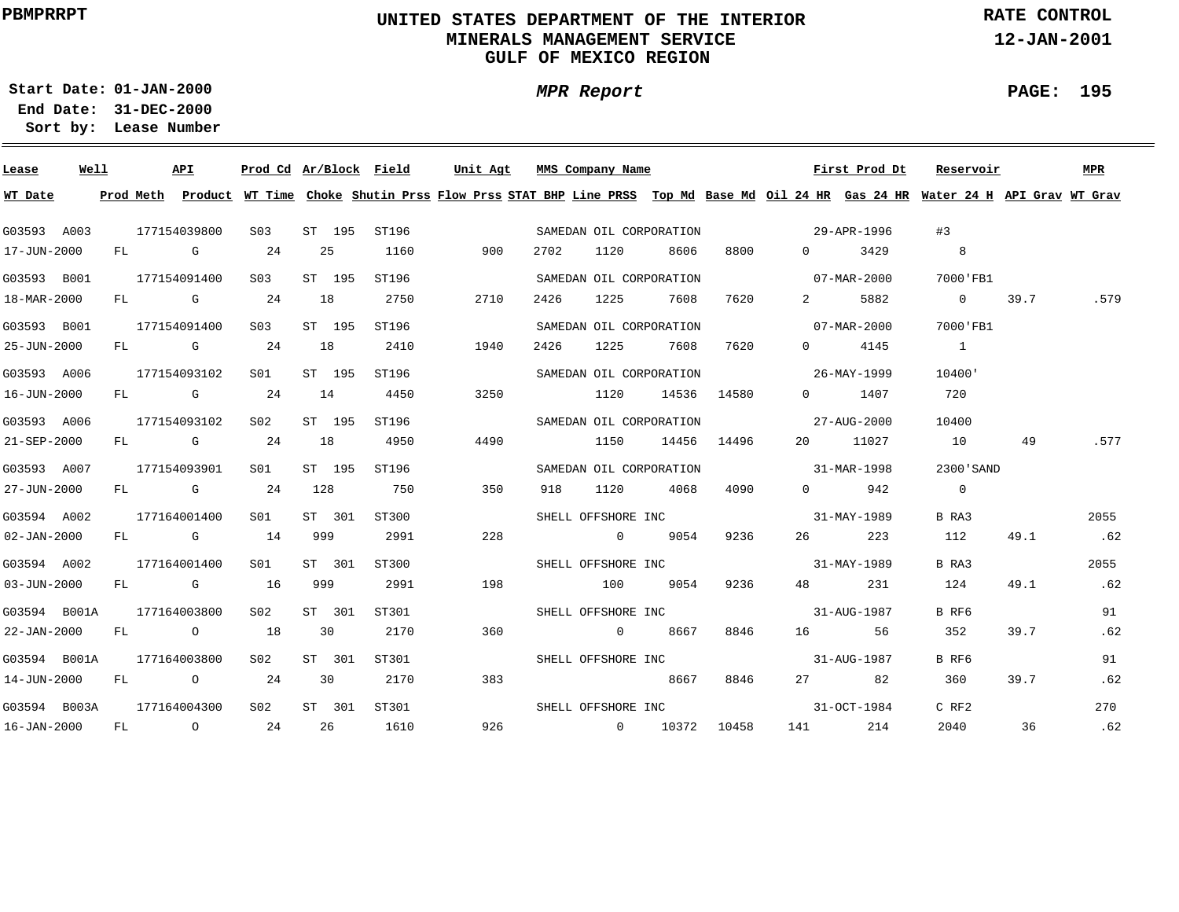## **UNITED STATES DEPARTMENT OF THE INTERIOR MINERALS MANAGEMENT SERVICEGULF OF MEXICO REGION**

**MPR Report**

**RATE CONTROL**

**12-JAN-2001**

 $\overline{\phantom{0}}$ 

**01-JAN-2000Start Date:31-DEC-2000 End Date:** 

**Lease Number Sort by:**

| Lease             | Well |    | API          |                  |     |        | Prod Cd Ar/Block Field | Unit Agt                                                                                                                                | MMS Company Name   |      |                         |       |                                | First Prod Dt | Reservoir      |      | <b>MPR</b> |
|-------------------|------|----|--------------|------------------|-----|--------|------------------------|-----------------------------------------------------------------------------------------------------------------------------------------|--------------------|------|-------------------------|-------|--------------------------------|---------------|----------------|------|------------|
| WT Date           |      |    |              |                  |     |        |                        | Prod Meth Product WT Time Choke Shutin Prss Flow Prss STAT BHP Line PRSS Top Md Base Md Oil 24 HR Gas 24 HR Water 24 H API Grav WT Grav |                    |      |                         |       |                                |               |                |      |            |
| G03593 A003       |      |    | 177154039800 | S <sub>03</sub>  |     | ST 195 | ST196                  |                                                                                                                                         |                    |      | SAMEDAN OIL CORPORATION |       | 29-APR-1996                    |               | #3             |      |            |
| 17-JUN-2000       |      |    | FL G         | 24               | 25  |        | 1160                   | 900                                                                                                                                     | 2702               | 1120 | 8606                    | 8800  | $\Omega$                       | 3429          |                |      |            |
| G03593 B001       |      |    | 177154091400 | S <sub>03</sub>  |     | ST 195 | ST196                  |                                                                                                                                         |                    |      | SAMEDAN OIL CORPORATION |       | $07 - \text{MAR} - 2000$       |               | 7000 FB1       |      |            |
| 18-MAR-2000       |      |    | FL G         | 24               | 18  |        | 2750                   | 2710                                                                                                                                    | 2426               | 1225 | 7608                    | 7620  | $2 \left( \frac{1}{2} \right)$ | 5882          | $\overline{0}$ | 39.7 | .579       |
| G03593 B001       |      |    | 177154091400 | S <sub>0.3</sub> |     | ST 195 | ST196                  |                                                                                                                                         |                    |      | SAMEDAN OIL CORPORATION |       | $07 - \text{MAR} - 2000$       |               | 7000 FB1       |      |            |
| 25-JUN-2000       |      |    |              | FL G 24          | 18  |        | 2410                   | 1940                                                                                                                                    | 2426               | 1225 | 7608                    | 7620  |                                | $0 \t 4145$   | $\sim$ 1       |      |            |
| G03593 A006       |      |    | 177154093102 | S01              |     | ST 195 | ST196                  |                                                                                                                                         |                    |      | SAMEDAN OIL CORPORATION |       |                                | 26-MAY-1999   | 10400'         |      |            |
| 16-JUN-2000       |      |    |              | FL G 24          | 14  |        | 4450                   | 3250                                                                                                                                    |                    | 1120 | 14536                   | 14580 | $\Omega$                       | 1407          | 720            |      |            |
| G03593 A006       |      |    | 177154093102 | S02              |     | ST 195 | ST196                  |                                                                                                                                         |                    |      | SAMEDAN OIL CORPORATION |       |                                | 27-AUG-2000   | 10400          |      |            |
| 21-SEP-2000       |      |    | FL G         | 24               | 18  |        | 4950                   | 4490                                                                                                                                    |                    | 1150 | 14456                   | 14496 |                                | 20 11027      | 10             | 49   | .577       |
| G03593 A007       |      |    | 177154093901 | S <sub>01</sub>  |     | ST 195 | ST196                  |                                                                                                                                         |                    |      | SAMEDAN OIL CORPORATION |       | 31-MAR-1998                    |               | 2300 SAND      |      |            |
| 27-JUN-2000       |      |    |              | FL G 24          | 128 |        | 750                    | 350                                                                                                                                     | 918                |      | 1120 4068               | 4090  |                                | $0$ 942       | $\overline{0}$ |      |            |
| G03594 A002       |      |    | 177164001400 | SO1              |     | ST 301 | ST300                  |                                                                                                                                         |                    |      |                         |       | SHELL OFFSHORE INC 31-MAY-1989 |               | B RA3          |      | 2055       |
| $02 - JAN - 2000$ |      |    |              | FL G 14          | 999 |        | 2991                   | 228                                                                                                                                     |                    |      | $0$ 9054                | 9236  | 26                             | 223           | 112            | 49.1 | .62        |
| G03594 A002       |      |    | 177164001400 | SO1              |     | ST 301 | ST300                  |                                                                                                                                         |                    |      |                         |       | SHELL OFFSHORE INC 31-MAY-1989 |               | B RA3          |      | 2055       |
| 03-JUN-2000       |      |    | FL G         | 16               | 999 |        | 2991                   | 198                                                                                                                                     |                    | 100  | 9054                    | 9236  | 48 — 18                        | 231           | 124            | 49.1 | .62        |
| G03594 B001A      |      |    | 177164003800 | S02              |     | ST 301 | ST301                  |                                                                                                                                         |                    |      | SHELL OFFSHORE INC      |       | 31-AUG-1987                    |               | B RF6          |      | 91         |
| 22-JAN-2000       |      |    |              | FL 0 18          |     | 30     | 2170                   | 360                                                                                                                                     | $\sim$ 0           |      | 8667                    | 8846  |                                | 16 56         | 352            | 39.7 | .62        |
| G03594 B001A      |      |    | 177164003800 | S02              |     | ST 301 | ST301                  |                                                                                                                                         |                    |      | SHELL OFFSHORE INC      |       |                                | 31-AUG-1987   | B RF6          |      | 91         |
| 14-JUN-2000       |      |    | FL O         | 24               |     | 30     | 2170                   | 383                                                                                                                                     |                    |      | 8667                    | 8846  |                                | 27 82         | 360            | 39.7 | .62        |
| G03594 B003A      |      |    | 177164004300 | S02              |     | ST 301 | ST301                  |                                                                                                                                         | SHELL OFFSHORE INC |      |                         |       | $31-9CT-1984$                  |               | $C$ RF $2$     |      | 270        |
| 16-JAN-2000       |      | FL |              | $\circ$ 24       | 26  |        | 1610                   |                                                                                                                                         | 926 0 10372        |      |                         | 10458 |                                | 141 214       | 2040           | 36   | .62        |

**PAGE: 195**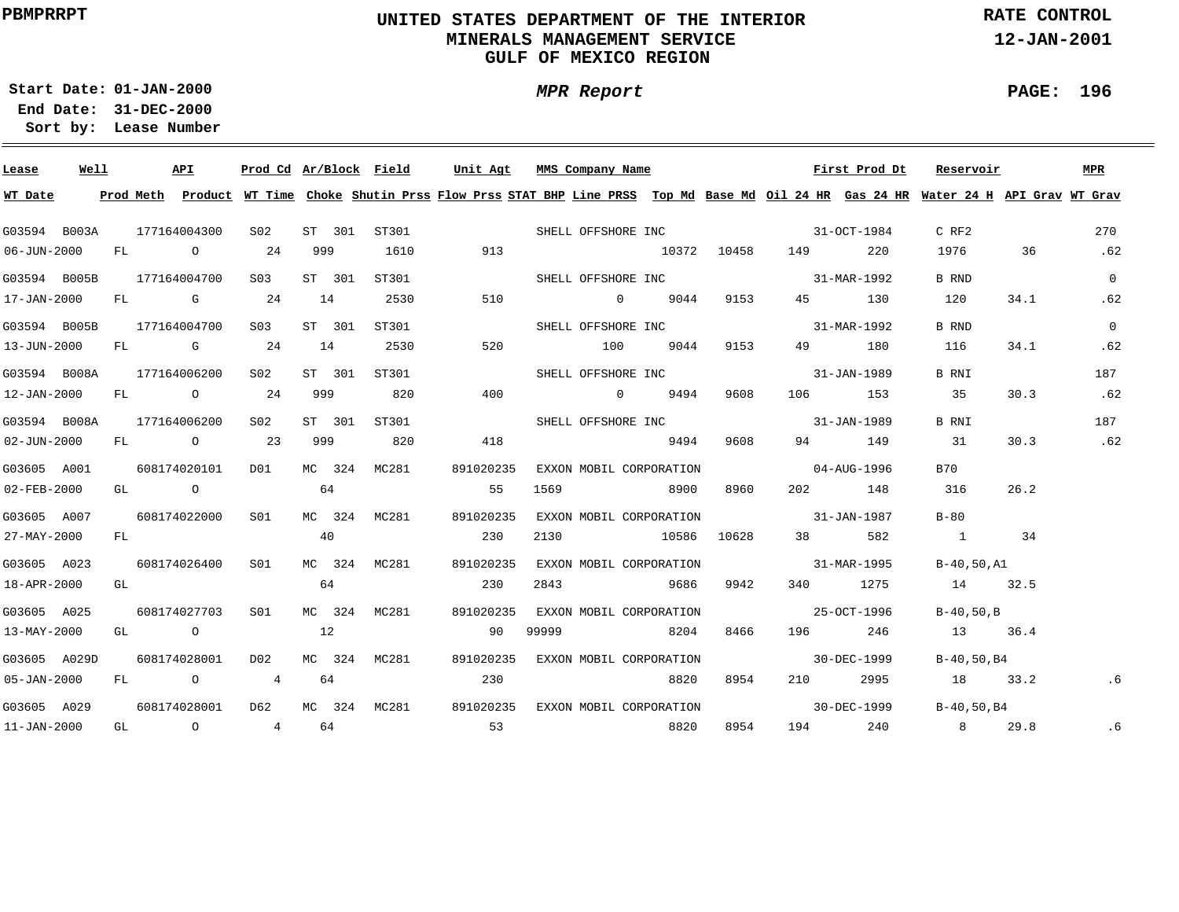## **UNITED STATES DEPARTMENT OF THE INTERIOR MINERALS MANAGEMENT SERVICEGULF OF MEXICO REGION**

**RATE CONTROL**

**12-JAN-2001**

**01-JAN-2000Start Date:31-DEC-2000 End Date:** 

**Lease Number Sort by:**

| Lease             | Well |  | API                              |                               |          |    | Prod Cd Ar/Block Field | Unit Agt                                    |       | MMS Company Name                  |      |      |                                     | First Prod Dt     | Reservoir                                                                                                                               |      | MPR            |
|-------------------|------|--|----------------------------------|-------------------------------|----------|----|------------------------|---------------------------------------------|-------|-----------------------------------|------|------|-------------------------------------|-------------------|-----------------------------------------------------------------------------------------------------------------------------------------|------|----------------|
| WT Date           |      |  |                                  |                               |          |    |                        |                                             |       |                                   |      |      |                                     |                   | Prod Meth Product WT Time Choke Shutin Prss Flow Prss STAT BHP Line PRSS Top Md Base Md Oil 24 HR Gas 24 HR Water 24 H API Grav WT Grav |      |                |
|                   |      |  | G03594 B003A 177164004300        | S02                           |          |    |                        | ST 301 ST301 SHELL OFFSHORE INC 31-OCT-1984 |       |                                   |      |      |                                     |                   | $C$ RF2                                                                                                                                 |      | 270            |
| 06-JUN-2000       |      |  |                                  | FL 0 24 999                   |          |    | 1610                   | 913                                         |       |                                   |      |      | $10372$ $10458$ $149$ 220           |                   | 1976 36                                                                                                                                 |      | .62            |
|                   |      |  |                                  | G03594 B005B 177164004700 S03 | ST 301   |    | ST301                  |                                             |       |                                   |      |      | SHELL OFFSHORE INC 31-MAR-1992      |                   | <b>B</b> RND                                                                                                                            |      | $\overline{0}$ |
|                   |      |  |                                  | $17 - JAN - 2000$ FL G 24 14  |          |    | 2530                   | 510                                         |       |                                   |      |      | 0 9044 9153 45 130                  |                   | 120                                                                                                                                     | 34.1 | .62            |
|                   |      |  | G03594 B005B 177164004700        | S03                           | ST 301   |    | ST301                  |                                             |       |                                   |      |      | SHELL OFFSHORE INC 31-MAR-1992      |                   | B RND                                                                                                                                   |      | $\overline{0}$ |
| 13-JUN-2000       |      |  |                                  | FL G 24 14                    |          |    | 2530                   | 520                                         |       | 100 9044 9153                     |      |      |                                     | 49 180            | 116                                                                                                                                     | 34.1 | .62            |
|                   |      |  |                                  | G03594 B008A 177164006200 S02 |          |    | ST 301 ST301           |                                             |       |                                   |      |      | SHELL OFFSHORE INC 31-JAN-1989      |                   | B RNI                                                                                                                                   |      | 187            |
| 12-JAN-2000       |      |  |                                  |                               |          |    | FL 0 24 999 820        | 400                                         |       | $0$ 9494                          |      | 9608 |                                     | 106 153           | 35                                                                                                                                      | 30.3 | .62            |
| G03594 B008A      |      |  | 177164006200                     | S02                           |          |    | ST 301 ST301           |                                             |       |                                   |      |      | SHELL OFFSHORE INC 31-JAN-1989      |                   | B RNI                                                                                                                                   |      | 187            |
| 02-JUN-2000       |      |  | FL 0 23                          |                               | 999 1999 |    | 820                    | 418                                         |       | 9494 9608                         |      |      |                                     | 94 149            | 31                                                                                                                                      | 30.3 | .62            |
| G03605 A001       |      |  | 608174020101                     | DO1                           |          |    | MC 324 MC281           | 891020235                                   |       | EXXON MOBIL CORPORATION           |      |      | $04 - \text{AUG} - 1996$            |                   | B70                                                                                                                                     |      |                |
| $02 - FEB - 2000$ |      |  |                                  | $GL$ 0 64                     |          |    |                        | 55                                          |       | 1569 8900 8960                    |      |      |                                     | 202 148 316       |                                                                                                                                         | 26.2 |                |
| G03605 A007       |      |  | 608174022000                     | S01                           |          |    | MC 324 MC281           | 891020235                                   |       |                                   |      |      | EXXON MOBIL CORPORATION 31-JAN-1987 |                   | $B-80$                                                                                                                                  |      |                |
| 27-MAY-2000       |      |  | FL STERN STREET                  |                               | 40       |    |                        | 230                                         |       |                                   |      |      | 2130 10586 10628 38 582             |                   | 1 34                                                                                                                                    |      |                |
| G03605 A023       |      |  | 608174026400 S01                 |                               |          |    | MC 324 MC281           | 891020235                                   |       | EXXON MOBIL CORPORATION           |      |      |                                     |                   | $31-MAR-1995$ B-40,50,A1                                                                                                                |      |                |
| 18-APR-2000       |      |  | GL DESCRIPTION OF REAL PROPERTY. |                               | 64       |    |                        | 230                                         | 2843  |                                   |      |      |                                     |                   | 9686 9942 340 1275 14 32.5                                                                                                              |      |                |
| G03605 A025       |      |  |                                  | 608174027703 S01              |          |    | MC 324 MC281           | 891020235                                   |       | EXXON MOBIL CORPORATION           |      |      | 25-OCT-1996                         |                   | $B-40.50.B$                                                                                                                             |      |                |
| 13-MAY-2000       |      |  |                                  | GL $\qquad \qquad 0$ 12       |          |    |                        | 90                                          | 99999 |                                   |      |      |                                     |                   | 8204 8466 196 246 13 36.4                                                                                                               |      |                |
| G03605 A029D      |      |  | 608174028001 D02                 |                               |          |    | MC 324 MC281           |                                             |       | 891020235 EXXON MOBIL CORPORATION |      |      |                                     | $30 - DEC - 1999$ | B-40,50,B4                                                                                                                              |      |                |
| 05-JAN-2000       |      |  | $FL$ 0 4                         |                               |          | 64 |                        | 230                                         |       |                                   | 8820 | 8954 |                                     |                   | 210 2995 18 33.2                                                                                                                        |      | .6             |
| G03605 A029       |      |  |                                  |                               |          |    |                        |                                             |       | 891020235 EXXON MOBIL CORPORATION |      |      |                                     | $30 - DEC - 1999$ | B-40,50,B4                                                                                                                              |      |                |
| 11-JAN-2000       |      |  |                                  |                               |          |    | GL 0 4 64              | 53                                          |       | 8820                              |      | 8954 |                                     |                   | 194 240 8 29.8                                                                                                                          |      | .6             |

**PAGE: 196**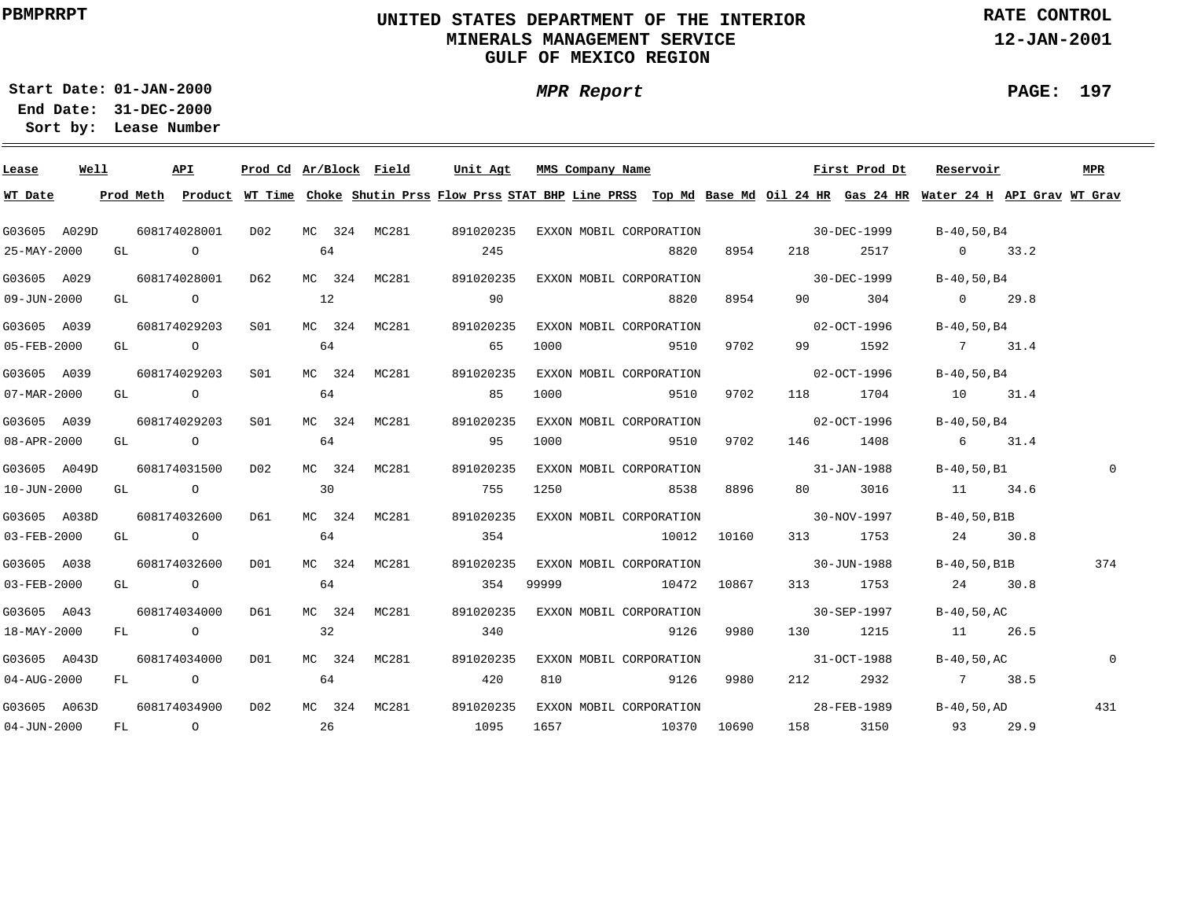## **UNITED STATES DEPARTMENT OF THE INTERIOR MINERALS MANAGEMENT SERVICEGULF OF MEXICO REGION**

**MPR Report**

**RATE CONTROL**

**12-JAN-2001**

**PAGE: 197**

**01-JAN-2000Start Date:31-DEC-2000 End Date:** 

| Lease             | Well | API              | Prod Cd Ar/Block Field |    |        |              | Unit Agt                                                                                                                                | MMS Company Name                              |                                     |      |                   | First Prod Dt | Reservoir        |             | MPR          |
|-------------------|------|------------------|------------------------|----|--------|--------------|-----------------------------------------------------------------------------------------------------------------------------------------|-----------------------------------------------|-------------------------------------|------|-------------------|---------------|------------------|-------------|--------------|
| WT Date           |      |                  |                        |    |        |              | Prod Meth Product WT Time Choke Shutin Prss Flow Prss STAT BHP Line PRSS Top Md Base Md Oil 24 HR Gas 24 HR Water 24 H API Grav WT Grav |                                               |                                     |      |                   |               |                  |             |              |
| G03605 A029D      |      |                  |                        |    |        |              |                                                                                                                                         | 891020235 EXXON MOBIL CORPORATION 30-DEC-1999 |                                     |      |                   |               | B-40,50,B4       |             |              |
| 25-MAY-2000       |      | GL O             | 64                     |    |        |              | 245                                                                                                                                     |                                               | 8820                                | 8954 |                   |               | 218 2517 0 33.2  |             |              |
| G03605 A029       |      | 608174028001 D62 |                        |    |        |              | MC 324 MC281 891020235 EXXON MOBIL CORPORATION 30-DEC-1999                                                                              |                                               |                                     |      |                   |               | B-40,50,B4       |             |              |
| $09 - JUN - 2000$ |      | GL O             |                        | 12 |        |              | 90                                                                                                                                      |                                               | 8820                                | 8954 |                   | 90 304        | $0 \t 29.8$      |             |              |
| G03605 A039       |      | 608174029203 S01 |                        |    |        | MC 324 MC281 | 891020235                                                                                                                               |                                               | EXXON MOBIL CORPORATION             |      | $02 - OCT - 1996$ |               | B-40,50,B4       |             |              |
| 05-FEB-2000       |      | GL O             |                        | 64 |        |              | 65                                                                                                                                      |                                               | 1000 9510                           | 9702 |                   | 99 1592       | 7 31.4           |             |              |
| G03605 A039       |      | 608174029203 S01 |                        |    |        | MC 324 MC281 | 891020235                                                                                                                               |                                               | EXXON MOBIL CORPORATION             |      | $02 - OCT - 1996$ |               | B-40,50,B4       |             |              |
| 07-MAR-2000       |      | $GL \t\t 0\t 64$ |                        |    |        |              | 85                                                                                                                                      |                                               | 1000 9510                           | 9702 |                   | 118 1704      | 10 31.4          |             |              |
| G03605 A039       |      | 608174029203 S01 |                        |    |        | MC 324 MC281 | 891020235                                                                                                                               |                                               | EXXON MOBIL CORPORATION 02-OCT-1996 |      |                   |               | B-40,50,B4       |             |              |
| 08-APR-2000       |      | $GL$ 0 64        |                        |    |        |              | 95                                                                                                                                      |                                               | 1000 9510                           | 9702 |                   | 146 1408      | 6 31.4           |             |              |
| G03605 A049D      |      | 608174031500     | DO 2                   |    |        | MC 324 MC281 | 891020235                                                                                                                               |                                               | EXXON MOBIL CORPORATION 31-JAN-1988 |      |                   |               | B-40,50,B1       |             | $\mathbf 0$  |
| 10-JUN-2000       |      | GL O             |                        | 30 |        |              | 755                                                                                                                                     |                                               | 1250 8538                           | 8896 |                   | 80 3016       | 11 34.6          |             |              |
| G03605 A038D      |      | 608174032600     | D61                    |    | MC 324 | MC281        | 891020235                                                                                                                               |                                               | EXXON MOBIL CORPORATION 30-NOV-1997 |      |                   |               | B-40,50,B1B      |             |              |
| 03-FEB-2000       |      | GL O             |                        | 64 |        |              | 354                                                                                                                                     |                                               | 10012 10160                         |      |                   | 313 1753      | 24 30.8          |             |              |
| G03605 A038       |      | 608174032600     | DO1                    |    |        | MC 324 MC281 | 891020235                                                                                                                               |                                               | EXXON MOBIL CORPORATION 30-JUN-1988 |      |                   |               |                  | B-40,50,B1B | 374          |
| 03-FEB-2000       |      | GL O             |                        | 64 |        |              | 354                                                                                                                                     | 99999                                         | 10472 10867                         |      |                   | 313 1753      | 24 30.8          |             |              |
| G03605 A043       |      | 608174034000 D61 |                        |    |        | MC 324 MC281 |                                                                                                                                         | 891020235 EXXON MOBIL CORPORATION 30-SEP-1997 |                                     |      |                   |               | B-40,50,AC       |             |              |
| 18-MAY-2000       |      | FL O             | $\sim$ 32              |    |        |              | 340                                                                                                                                     |                                               | 9126                                | 9980 |                   | 130 1215      | 11 26.5          |             |              |
| G03605 A043D      |      | 608174034000 D01 |                        |    |        | MC 324 MC281 | 891020235                                                                                                                               |                                               | EXXON MOBIL CORPORATION             |      | 31-OCT-1988       |               | B-40,50,AC       |             | $\mathsf{O}$ |
| 04-AUG-2000       |      | FL O             |                        | 64 |        |              | 420                                                                                                                                     | 810                                           | 9126                                | 9980 |                   | 212 2932      | 7 38.5           |             |              |
| G03605 A063D      |      | 608174034900     | D02                    |    |        |              | MC 324 MC281 891020235                                                                                                                  |                                               | EXXON MOBIL CORPORATION             |      | 28-FEB-1989       |               | $B-40$ , 50 , AD |             | 431          |
| $04 - JUN - 2000$ |      | FL 0 26          |                        |    |        |              | 1095                                                                                                                                    |                                               | 1657 10370 10690                    |      |                   | 158 3150      | 93 29.9          |             |              |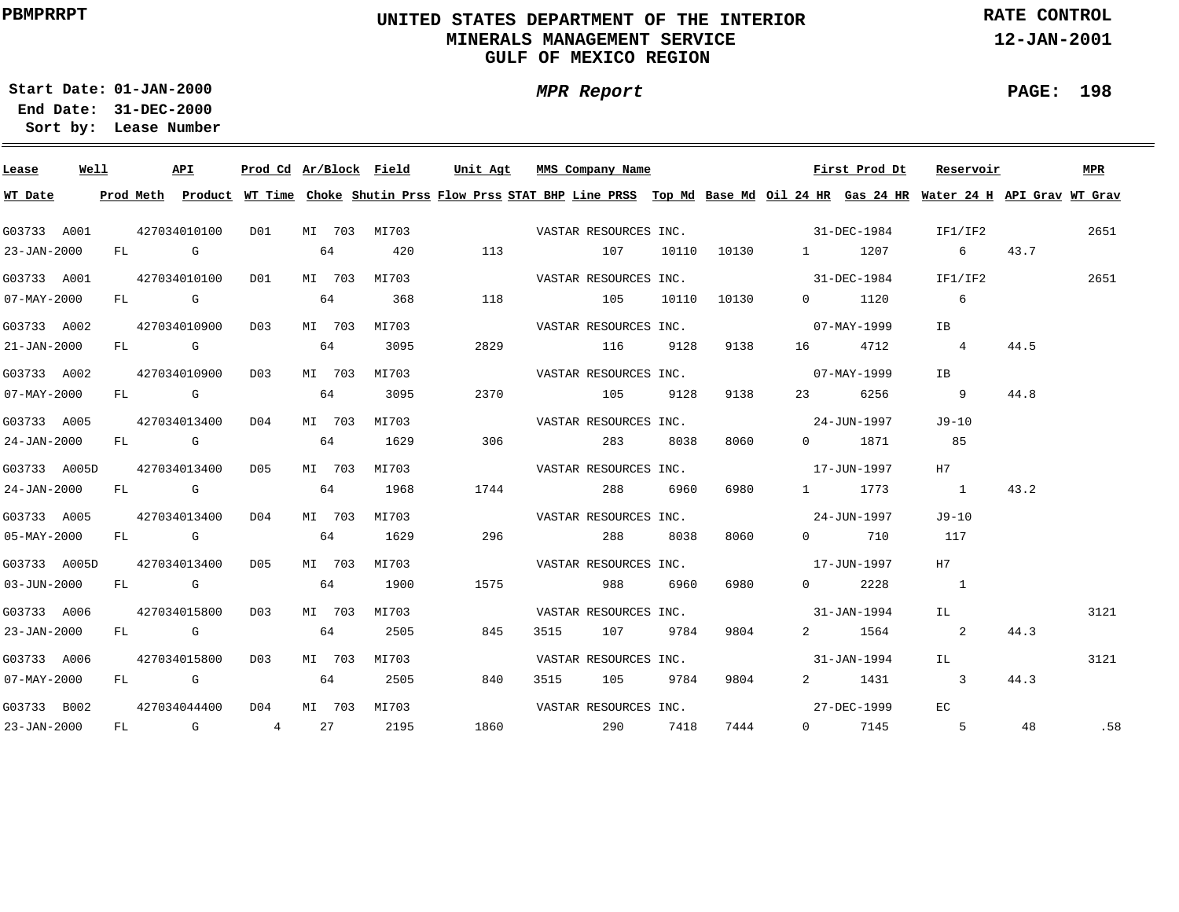## **UNITED STATES DEPARTMENT OF THE INTERIOR MINERALS MANAGEMENT SERVICEGULF OF MEXICO REGION**

**MPR Report**

**RATE CONTROL**

**12-JAN-2001**

**01-JAN-2000Start Date:31-DEC-2000 End Date:** 

**Lease Number Sort by:**

| Lease             | Well |  | API              |      |    |        | Prod Cd Ar/Block Field | Unit Agt              | MMS Company Name      |          |      |                                   | First Prod Dt      | Reservoir                                                                                                                                                                                                                                                                                                                                                                           |      | MPR  |
|-------------------|------|--|------------------|------|----|--------|------------------------|-----------------------|-----------------------|----------|------|-----------------------------------|--------------------|-------------------------------------------------------------------------------------------------------------------------------------------------------------------------------------------------------------------------------------------------------------------------------------------------------------------------------------------------------------------------------------|------|------|
| WT Date           |      |  |                  |      |    |        |                        |                       |                       |          |      |                                   |                    | Prod Meth Product WT Time Choke Shutin Prss Flow Prss STAT BHP Line PRSS Top Md Base Md Oil 24 HR Gas 24 HR Water 24 H API Grav WT Grav                                                                                                                                                                                                                                             |      |      |
| G03733 A001       |      |  |                  |      |    |        |                        |                       |                       |          |      |                                   |                    | IF1/IF2                                                                                                                                                                                                                                                                                                                                                                             |      | 2651 |
| 23-JAN-2000       |      |  | FL G             |      |    |        | 64 420                 |                       | 113 107               |          |      |                                   | 10110 10130 1 1207 | $6\degree$                                                                                                                                                                                                                                                                                                                                                                          | 43.7 |      |
| G03733 A001       |      |  | 427034010100 D01 |      |    |        | MI 703 MI703           | VASTAR RESOURCES INC. |                       |          |      | $31 - DEC - 1984$                 |                    | IF1/IF2                                                                                                                                                                                                                                                                                                                                                                             |      | 2651 |
| 07-MAY-2000       |      |  | FL G             |      |    |        | 64 368                 | 118                   | 105 10110 10130       |          |      |                                   | $0 \t 1120$        | $6\overline{6}$                                                                                                                                                                                                                                                                                                                                                                     |      |      |
| G03733 A002       |      |  | 427034010900     | D03  |    |        | MI 703 MI703           |                       | VASTAR RESOURCES INC. |          |      | $07 - MAX - 1999$                 |                    | IB                                                                                                                                                                                                                                                                                                                                                                                  |      |      |
| 21-JAN-2000       |      |  | FL G             |      | 64 |        | 3095                   | 2829                  | 116 9128 9138         |          |      |                                   | 16 4712            | $4\phantom{.0000}\phantom{.0000}\phantom{.0000}\phantom{.0000}\phantom{.0000}\phantom{.0000}\phantom{.0000}\phantom{.0000}\phantom{.0000}\phantom{.0000}\phantom{.0000}\phantom{.0000}\phantom{.0000}\phantom{.0000}\phantom{.0000}\phantom{.0000}\phantom{.0000}\phantom{.0000}\phantom{.0000}\phantom{.0000}\phantom{.0000}\phantom{.0000}\phantom{.0000}\phantom{.0000}\phantom$ | 44.5 |      |
| G03733 A002       |      |  | 427034010900 D03 |      |    |        | MI 703 MI703           |                       |                       |          |      | VASTAR RESOURCES INC. 07-MAY-1999 |                    | <b>IB</b>                                                                                                                                                                                                                                                                                                                                                                           |      |      |
| $07 - MAX - 2000$ |      |  | FL G 64          |      |    |        | 3095                   | 2370                  | 105 9128              |          | 9138 |                                   | 23 6256            | 9                                                                                                                                                                                                                                                                                                                                                                                   | 44.8 |      |
| G03733 A005       |      |  | 427034013400 D04 |      |    |        | MI 703 MI703           |                       | VASTAR RESOURCES INC. |          |      |                                   | 24-JUN-1997        | J9-10                                                                                                                                                                                                                                                                                                                                                                               |      |      |
| 24-JAN-2000       |      |  | FL G             |      |    | 64     | 1629                   | 306                   |                       | 283 8038 | 8060 |                                   | 0 1871             | 85                                                                                                                                                                                                                                                                                                                                                                                  |      |      |
| G03733 A005D      |      |  | 427034013400 D05 |      |    |        | MI 703 MI703           |                       | VASTAR RESOURCES INC. |          |      | 17-JUN-1997                       |                    | H7                                                                                                                                                                                                                                                                                                                                                                                  |      |      |
| 24-JAN-2000       |      |  | FL G             |      |    | 64     | 1968                   | 1744                  |                       | 288 6960 | 6980 |                                   | 1 1773             | $\sim$ 1                                                                                                                                                                                                                                                                                                                                                                            | 43.2 |      |
| G03733 A005       |      |  | 427034013400     | D04  |    | MI 703 | MI703                  |                       | VASTAR RESOURCES INC. |          |      | 24-JUN-1997                       |                    | J9-10                                                                                                                                                                                                                                                                                                                                                                               |      |      |
| $05 - MAX - 2000$ |      |  | FL G             |      |    | 64     | 1629                   | 296                   | 288 8038              |          | 8060 |                                   | 0 710              | 117                                                                                                                                                                                                                                                                                                                                                                                 |      |      |
| G03733 A005D      |      |  | 427034013400     | D05  |    | MI 703 | MI703                  |                       |                       |          |      | VASTAR RESOURCES INC. 17-JUN-1997 |                    | H7                                                                                                                                                                                                                                                                                                                                                                                  |      |      |
| 03-JUN-2000       |      |  | FL G             |      | 64 |        | 1900                   | 1575                  | 988 6960 6980         |          |      |                                   | $0 \t 2228$        | $\sim$ 1                                                                                                                                                                                                                                                                                                                                                                            |      |      |
| G03733 A006       |      |  | 427034015800     | D0.3 |    |        | MI 703 MI703           |                       | VASTAR RESOURCES INC. |          |      | $31 - JAN - 1994$                 |                    | IL                                                                                                                                                                                                                                                                                                                                                                                  |      | 3121 |
| $23 - JAN - 2000$ |      |  | FL G             |      | 64 |        | 2505                   | 845                   | 3515 107 9784         |          | 9804 |                                   | 2 1564             | $\overline{\phantom{a}}$ 2                                                                                                                                                                                                                                                                                                                                                          | 44.3 |      |
| G03733 A006       |      |  | 427034015800 D03 |      |    |        | MI 703 MI703           |                       | VASTAR RESOURCES INC. |          |      |                                   | 31-JAN-1994        | TL 1                                                                                                                                                                                                                                                                                                                                                                                |      | 3121 |
| 07-MAY-2000       |      |  |                  |      |    |        | FL G 64 2505           | 840                   | 3515 105 9784         |          | 9804 |                                   | 2 1431             | $\overline{\mathbf{3}}$                                                                                                                                                                                                                                                                                                                                                             | 44.3 |      |
| G03733 B002       |      |  | 427034044400 D04 |      |    |        | MI 703 MI703           |                       | VASTAR RESOURCES INC. |          |      | 27-DEC-1999                       |                    | EC.                                                                                                                                                                                                                                                                                                                                                                                 |      |      |
| 23-JAN-2000       |      |  |                  |      |    |        | FL G 4 27 2195         | 1860 290 7418         |                       |          | 7444 |                                   | $0 \t 7145 \t 5$   |                                                                                                                                                                                                                                                                                                                                                                                     | 48   | .58  |

**PAGE: 198**

÷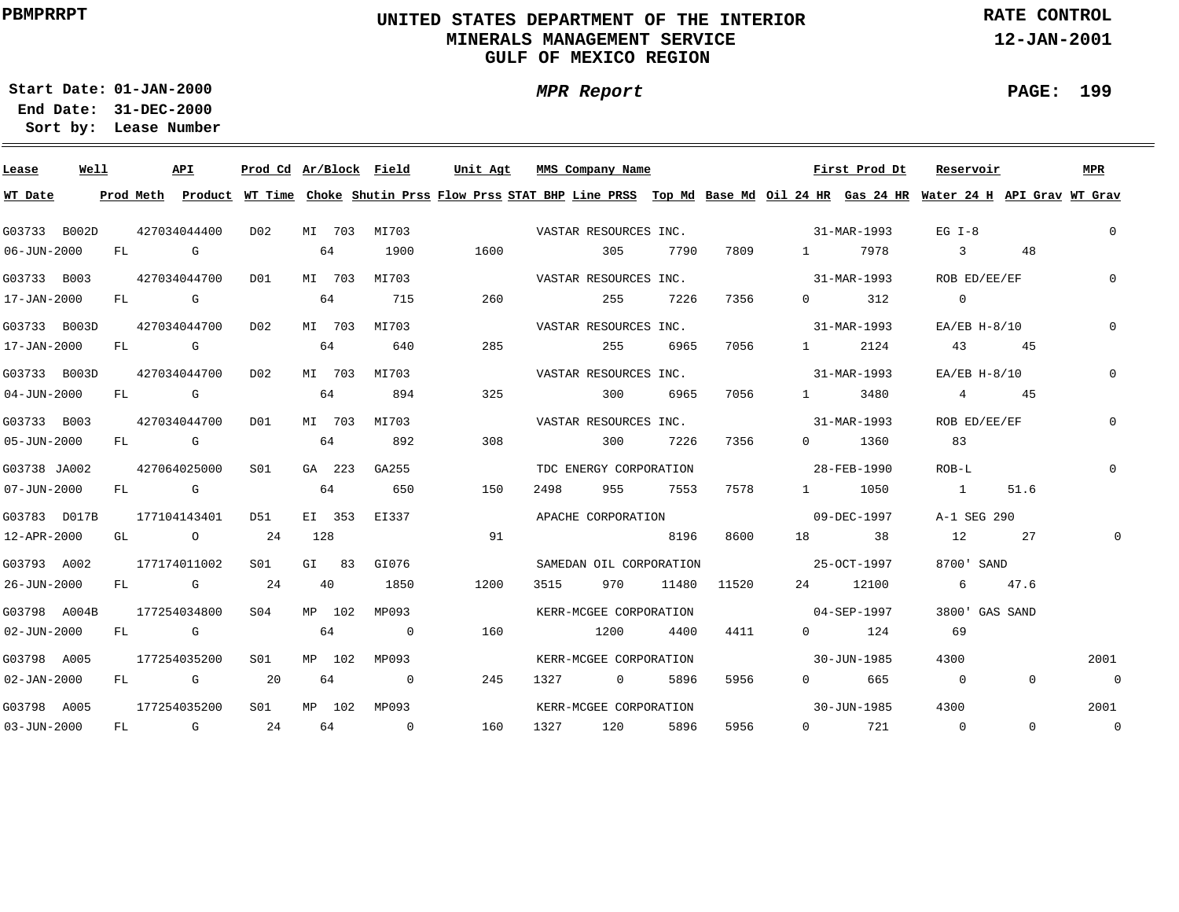## **UNITED STATES DEPARTMENT OF THE INTERIOR MINERALS MANAGEMENT SERVICEGULF OF MEXICO REGION**

**RATE CONTROL**

**12-JAN-2001**

**01-JAN-2000Start Date:**

**31-DEC-2000 End Date: Lease Number Sort by:**

| Lease             | Well |    |      | API                                                                                                                                                                                                                            | Prod Cd Ar/Block Field |     |        |                | Unit Agt | MMS Company Name        |                   |      |             |                                                                                                                                                                                                                                                                                                                                    | First Prod Dt                                                                                                                           | Reservoir      |       |                | MPR            |
|-------------------|------|----|------|--------------------------------------------------------------------------------------------------------------------------------------------------------------------------------------------------------------------------------|------------------------|-----|--------|----------------|----------|-------------------------|-------------------|------|-------------|------------------------------------------------------------------------------------------------------------------------------------------------------------------------------------------------------------------------------------------------------------------------------------------------------------------------------------|-----------------------------------------------------------------------------------------------------------------------------------------|----------------|-------|----------------|----------------|
| WT Date           |      |    |      |                                                                                                                                                                                                                                |                        |     |        |                |          |                         |                   |      |             |                                                                                                                                                                                                                                                                                                                                    | Prod Meth Product WT Time Choke Shutin Prss Flow Prss STAT BHP Line PRSS Top Md Base Md Oil 24 HR Gas 24 HR Water 24 H API Grav WT Grav |                |       |                |                |
| G03733 B002D      |      |    |      | 427034044400                                                                                                                                                                                                                   | D02                    |     |        | MI 703 MI703   |          | VASTAR RESOURCES INC.   |                   |      |             | $31 - \text{MAR} - 1993$                                                                                                                                                                                                                                                                                                           |                                                                                                                                         | $EG I-8$       |       |                | $\circ$        |
| $06 - JUN - 2000$ |      |    | FL G |                                                                                                                                                                                                                                |                        |     | 64     | 1900           | 1600     | 305                     |                   | 7790 | 7809        | $1 \quad \cdots$                                                                                                                                                                                                                                                                                                                   | 7978                                                                                                                                    | $\overline{3}$ |       | 48             |                |
| G03733 B003       |      |    |      | 427034044700                                                                                                                                                                                                                   | D01                    |     | MI 703 | MI703          |          | VASTAR RESOURCES INC.   |                   |      |             |                                                                                                                                                                                                                                                                                                                                    | 31-MAR-1993                                                                                                                             | ROB ED/EE/EF   |       |                | $\Omega$       |
| 17-JAN-2000       |      |    |      | FL G                                                                                                                                                                                                                           |                        |     | 64     | 715            | 260      | 255                     |                   | 7226 | 7356        | $\overline{0}$ and $\overline{0}$ and $\overline{0}$ and $\overline{0}$ and $\overline{0}$ and $\overline{0}$ and $\overline{0}$ and $\overline{0}$ and $\overline{0}$ and $\overline{0}$ and $\overline{0}$ and $\overline{0}$ and $\overline{0}$ and $\overline{0}$ and $\overline{0}$ and $\overline{0}$ and $\overline{0}$ and | 312                                                                                                                                     | $\Omega$       |       |                |                |
| G03733 B003D      |      |    |      | 427034044700                                                                                                                                                                                                                   | D02                    |     |        | MI 703 MI703   |          | VASTAR RESOURCES INC.   |                   |      |             | 31-MAR-1993                                                                                                                                                                                                                                                                                                                        |                                                                                                                                         | EA/EB H-8/10   |       |                | $\mathbf{0}$   |
| 17-JAN-2000       |      |    |      | FL G                                                                                                                                                                                                                           |                        | 64  |        | 640            | 285      | 255                     |                   | 6965 | 7056        | $1 \qquad \qquad$                                                                                                                                                                                                                                                                                                                  | 2124                                                                                                                                    |                | 43 45 |                |                |
| G03733 B003D      |      |    |      | 427034044700                                                                                                                                                                                                                   | DO 2                   |     |        | MI 703 MI703   |          | VASTAR RESOURCES INC.   |                   |      |             |                                                                                                                                                                                                                                                                                                                                    | 31-MAR-1993                                                                                                                             | EA/EB H-8/10   |       |                | $\mathbf{0}$   |
| $04 - JUN - 2000$ |      | FL |      | and the Company of the Company of the Company of the Company of the Company of the Company of the Company of the Company of the Company of the Company of the Company of the Company of the Company of the Company of the Comp |                        |     | 64     | 894            | 325      |                         | 300               | 6965 | 7056        | $1 \qquad \qquad$                                                                                                                                                                                                                                                                                                                  | 3480                                                                                                                                    | 4 45           |       |                |                |
| G03733 B003       |      |    |      | 427034044700                                                                                                                                                                                                                   | D01                    |     |        | MI 703 MI703   |          | VASTAR RESOURCES INC.   |                   |      |             |                                                                                                                                                                                                                                                                                                                                    | 31-MAR-1993                                                                                                                             | ROB ED/EE/EF   |       |                | $\overline{0}$ |
| $05 - JUN - 2000$ |      | FL |      | <b>G</b> G                                                                                                                                                                                                                     |                        |     | 64     | 892            | 308      | 300                     |                   | 7226 | 7356        |                                                                                                                                                                                                                                                                                                                                    | 0 1360                                                                                                                                  | 83             |       |                |                |
| G03738 JA002      |      |    |      | 427064025000                                                                                                                                                                                                                   | S01                    |     | GA 223 | GA255          |          | TDC ENERGY CORPORATION  |                   |      |             | 28-FEB-1990                                                                                                                                                                                                                                                                                                                        |                                                                                                                                         | $ROB-L$        |       |                | $\Omega$       |
| $07 - JUN - 2000$ |      |    |      | FL G                                                                                                                                                                                                                           |                        | 64  |        | 650            | 150      | 2498                    | 955               | 7553 | 7578        |                                                                                                                                                                                                                                                                                                                                    | 1 1050                                                                                                                                  | 1 51.6         |       |                |                |
| G03783 D017B      |      |    |      | 177104143401                                                                                                                                                                                                                   | D51                    |     | EI 353 | EI337          |          |                         |                   |      |             |                                                                                                                                                                                                                                                                                                                                    |                                                                                                                                         | A-1 SEG 290    |       |                |                |
| 12-APR-2000       |      |    |      | GL $\qquad \qquad 0 \qquad \qquad 24$                                                                                                                                                                                          |                        | 128 |        |                | 91       |                         |                   | 8196 | 8600        |                                                                                                                                                                                                                                                                                                                                    | 18 38                                                                                                                                   | 12             |       | 27             |                |
| G03793 A002       |      |    |      | 177174011002                                                                                                                                                                                                                   | SO1                    |     | GI 83  | GI076          |          | SAMEDAN OIL CORPORATION |                   |      |             | 25-OCT-1997                                                                                                                                                                                                                                                                                                                        |                                                                                                                                         | 8700' SAND     |       |                |                |
| 26-JUN-2000       |      |    |      | FL G 24                                                                                                                                                                                                                        |                        |     | 40     | 1850           | 1200     | 3515                    | 970 — 10          |      | 11480 11520 |                                                                                                                                                                                                                                                                                                                                    | 24 12100                                                                                                                                | 6 47.6         |       |                |                |
| G03798 A004B      |      |    |      | 177254034800                                                                                                                                                                                                                   | S04                    |     | MP 102 | MP093          |          | KERR-MCGEE CORPORATION  |                   |      |             |                                                                                                                                                                                                                                                                                                                                    | $04 - SEP - 1997$                                                                                                                       | 3800' GAS SAND |       |                |                |
| $02 - JUN - 2000$ |      |    |      | FL G                                                                                                                                                                                                                           |                        | 64  |        | $\overline{0}$ | 160      | 1200                    |                   | 4400 | 4411        |                                                                                                                                                                                                                                                                                                                                    | $0 \qquad \qquad 124$                                                                                                                   | 69             |       |                |                |
| G03798 A005       |      |    |      | 177254035200                                                                                                                                                                                                                   | S <sub>01</sub>        |     | MP 102 | MP093          |          | KERR-MCGEE CORPORATION  |                   |      |             |                                                                                                                                                                                                                                                                                                                                    | 30-JUN-1985                                                                                                                             | 4300           |       |                | 2001           |
| $02 - JAN - 2000$ |      |    |      | FL G                                                                                                                                                                                                                           | 20                     |     | 64     | $\overline{0}$ | 245      | 1327                    | $0 \qquad \qquad$ | 5896 | 5956        | $\Omega$                                                                                                                                                                                                                                                                                                                           | 665                                                                                                                                     | $\overline{0}$ |       | $\overline{0}$ | $\overline{0}$ |
| G03798 A005       |      |    |      | 177254035200                                                                                                                                                                                                                   | SO1                    |     |        | MP 102 MP093   |          | KERR-MCGEE CORPORATION  |                   |      |             |                                                                                                                                                                                                                                                                                                                                    | 30-JUN-1985                                                                                                                             | 4300           |       |                | 2001           |
| $03 - JUN - 2000$ |      |    |      | $FL$ G 24                                                                                                                                                                                                                      |                        |     |        | 64 0           | 160      | 1327 120                |                   | 5896 | 5956        |                                                                                                                                                                                                                                                                                                                                    | $0 \t 721$                                                                                                                              | $\overline{0}$ |       | $\Omega$       | $\overline{0}$ |

**PAGE: 199**

÷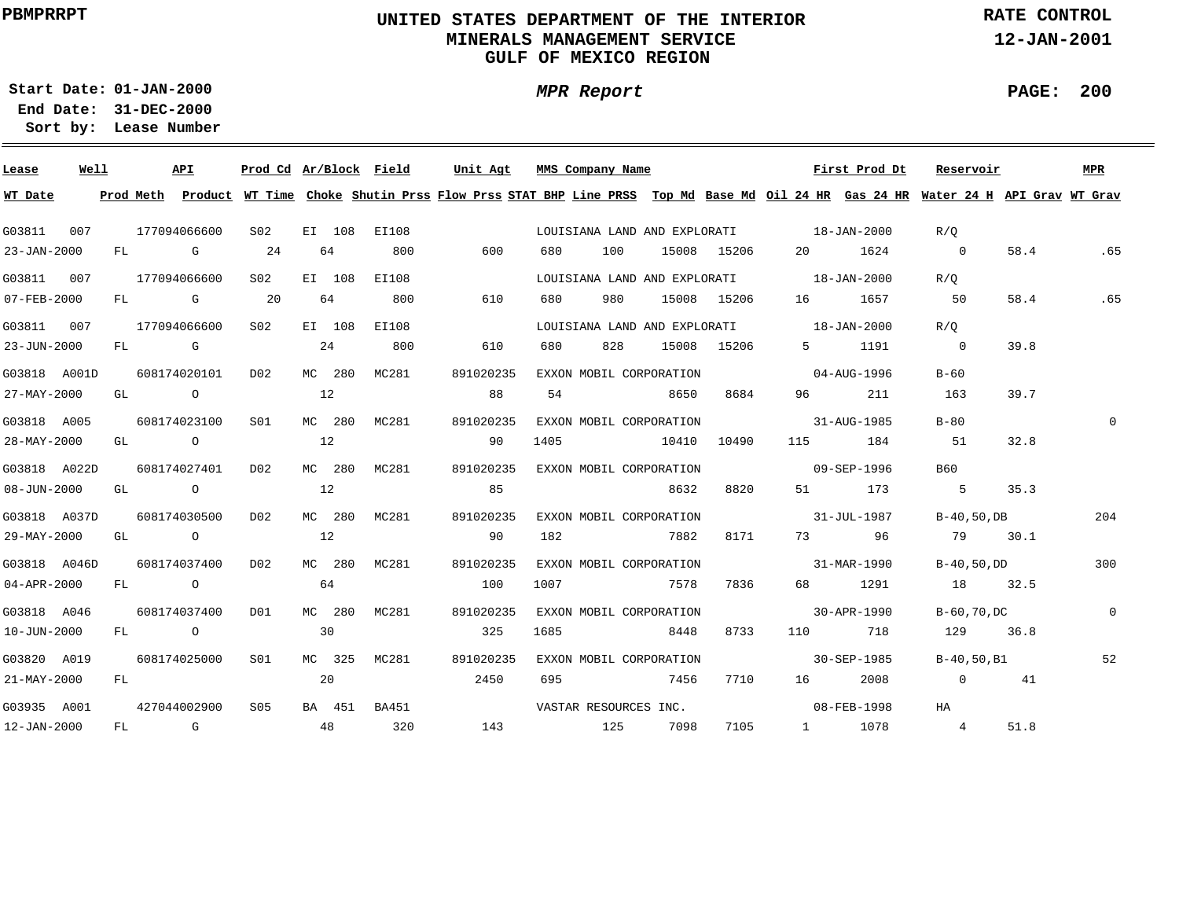## **UNITED STATES DEPARTMENT OF THE INTERIOR MINERALS MANAGEMENT SERVICEGULF OF MEXICO REGION**

**MPR Report**

**RATE CONTROL**

**12-JAN-2001**

**PAGE: 200**

÷

**01-JAN-2000Start Date:31-DEC-2000 End Date:** 

| Lease        | Well |    | API                                                                                                                                                                                                                            | Prod Cd Ar/Block Field |    |        |              | Unit Agt                                                                                                                                |      | MMS Company Name        |       |             |                                          | First Prod Dt | Reservoir      |      | MPR          |
|--------------|------|----|--------------------------------------------------------------------------------------------------------------------------------------------------------------------------------------------------------------------------------|------------------------|----|--------|--------------|-----------------------------------------------------------------------------------------------------------------------------------------|------|-------------------------|-------|-------------|------------------------------------------|---------------|----------------|------|--------------|
| WT Date      |      |    |                                                                                                                                                                                                                                |                        |    |        |              | Prod Meth Product WT Time Choke Shutin Prss Flow Prss STAT BHP Line PRSS Top Md Base Md Oil 24 HR Gas 24 HR Water 24 H API Grav WT Grav |      |                         |       |             |                                          |               |                |      |              |
| G03811       | 007  |    | 177094066600                                                                                                                                                                                                                   | S02                    |    |        | EI 108 EI108 |                                                                                                                                         |      |                         |       |             | LOUISIANA LAND AND EXPLORATI 18-JAN-2000 |               | R/O            |      |              |
| 23-JAN-2000  |      | FL | <b>G</b>                                                                                                                                                                                                                       | 24                     |    | 64     | 800          | 600                                                                                                                                     | 680  | 100                     |       | 15008 15206 |                                          | 1624          | $\overline{0}$ | 58.4 | .65          |
| G03811 007   |      |    | 177094066600                                                                                                                                                                                                                   | S <sub>02</sub>        |    | EI 108 | EI108        |                                                                                                                                         |      |                         |       |             | LOUISIANA LAND AND EXPLORATI 18-JAN-2000 |               | R/O            |      |              |
| 07-FEB-2000  |      | FL | <b>G</b> G                                                                                                                                                                                                                     | $\overline{20}$        | 64 |        | 800          | 610                                                                                                                                     | 680  | 980                     |       | 15008 15206 |                                          | 1657          | 50             | 58.4 | .65          |
| G03811 007   |      |    | 177094066600                                                                                                                                                                                                                   | S02                    |    | EI 108 | EI108        |                                                                                                                                         |      |                         |       |             | LOUISIANA LAND AND EXPLORATI 18-JAN-2000 |               | R/O            |      |              |
| 23-JUN-2000  |      | FL | $\mathbf G$                                                                                                                                                                                                                    |                        |    | 24     | 800          | 610                                                                                                                                     | 680  | 828                     |       | 15008 15206 | 5 - 1                                    | 1191          | $\overline{0}$ | 39.8 |              |
| G03818 A001D |      |    | 608174020101                                                                                                                                                                                                                   | D02                    |    | MC 280 | MC281        | 891020235                                                                                                                               |      | EXXON MOBIL CORPORATION |       |             |                                          | 04-AUG-1996   | $B-60$         |      |              |
| 27-MAY-2000  |      | GL | $\overline{a}$                                                                                                                                                                                                                 |                        | 12 |        |              | 88                                                                                                                                      | 54   |                         | 8650  | 8684        | 96                                       | 211           | 163            | 39.7 |              |
| G03818 A005  |      |    | 608174023100                                                                                                                                                                                                                   | SO1                    |    | MC 280 | MC281        | 891020235                                                                                                                               |      | EXXON MOBIL CORPORATION |       |             |                                          | 31-AUG-1985   | $B-80$         |      | $\Omega$     |
| 28-MAY-2000  |      | GL | $\overline{a}$                                                                                                                                                                                                                 |                        | 12 |        |              | 90                                                                                                                                      | 1405 |                         | 10410 | 10490       | 115                                      | 184           | 51             | 32.8 |              |
| G03818 A022D |      |    | 608174027401                                                                                                                                                                                                                   | DO <sub>2</sub>        |    | MC 280 | MC281        | 891020235                                                                                                                               |      | EXXON MOBIL CORPORATION |       |             | $09 - SEP - 1996$                        |               | B60            |      |              |
| 08-JUN-2000  |      | GL | $\overline{O}$                                                                                                                                                                                                                 |                        | 12 |        |              | 85                                                                                                                                      |      |                         | 8632  | 8820        | 51 7                                     | 173           | $5^{\circ}$    | 35.3 |              |
| G03818 A037D |      |    | 608174030500                                                                                                                                                                                                                   | DO <sub>2</sub>        |    | MC 280 | MC281        | 891020235                                                                                                                               |      | EXXON MOBIL CORPORATION |       |             | $31 - JUL - 1987$                        |               | $B-40, 50, DB$ |      | 204          |
| 29-MAY-2000  |      |    | GL O                                                                                                                                                                                                                           |                        | 12 |        |              | 90                                                                                                                                      | 182  |                         | 7882  | 8171        |                                          | 73 96         | 79             | 30.1 |              |
| G03818 A046D |      |    | 608174037400                                                                                                                                                                                                                   | D02                    |    | MC 280 | MC281        | 891020235                                                                                                                               |      | EXXON MOBIL CORPORATION |       |             | $31 - MAR - 1990$                        |               | B-40,50,DD     |      | 300          |
| 04-APR-2000  |      | FL | $\overline{O}$                                                                                                                                                                                                                 |                        | 64 |        |              | 100                                                                                                                                     | 1007 |                         | 7578  | 7836        | 68 — 1                                   | 1291          | 18             | 32.5 |              |
| G03818 A046  |      |    | 608174037400                                                                                                                                                                                                                   | DO1                    |    | MC 280 | MC281        | 891020235                                                                                                                               |      | EXXON MOBIL CORPORATION |       |             |                                          | 30-APR-1990   | B-60,70,DC     |      | $\mathbf{0}$ |
| 10-JUN-2000  |      | FL | $\overline{a}$                                                                                                                                                                                                                 |                        | 30 |        |              | 325                                                                                                                                     | 1685 |                         | 8448  | 8733        | 110 — 110                                | 718           | 129            | 36.8 |              |
| G03820 A019  |      |    | 608174025000                                                                                                                                                                                                                   | S01                    |    | MC 325 | MC281        | 891020235                                                                                                                               |      | EXXON MOBIL CORPORATION |       |             |                                          | 30-SEP-1985   | B-40,50,B1     |      | 52           |
| 21-MAY-2000  |      | FL |                                                                                                                                                                                                                                |                        | 20 |        |              | 2450                                                                                                                                    | 695  |                         | 7456  | 7710        | 16                                       | 2008          | $\overline{0}$ | 41   |              |
| G03935 A001  |      |    | 427044002900                                                                                                                                                                                                                   | S05                    |    | BA 451 | BA451        |                                                                                                                                         |      | VASTAR RESOURCES INC.   |       |             |                                          | 08-FEB-1998   | HA             |      |              |
| 12-JAN-2000  |      | FL | and the Company of the Company of the Company of the Company of the Company of the Company of the Company of the Company of the Company of the Company of the Company of the Company of the Company of the Company of the Comp |                        | 48 |        | 320          | 143                                                                                                                                     |      | 125                     | 7098  | 7105        |                                          | 1 1078        | $\overline{4}$ | 51.8 |              |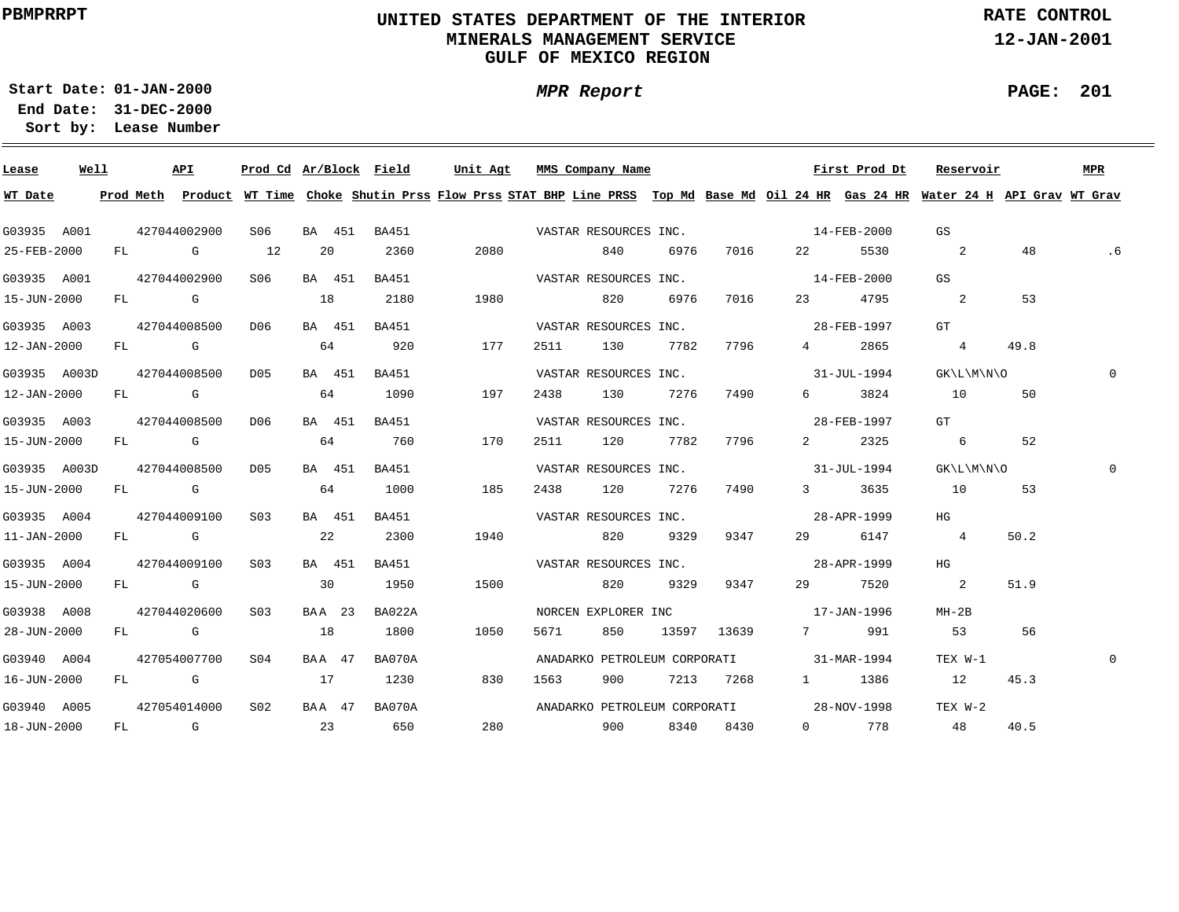## **UNITED STATES DEPARTMENT OF THE INTERIOR MINERALS MANAGEMENT SERVICEGULF OF MEXICO REGION**

**MPR Report**

**RATE CONTROL**

**12-JAN-2001**

**01-JAN-2000Start Date:31-DEC-2000 End Date:** 

**Lease Number Sort by:**

| Lease             | Well |  | API          | Prod Cd Ar/Block Field |        |        |              | Unit Agt |     |      | MMS Company Name      |      |             |                                          | First Prod Dt | Reservoir                                                                                                                               |      | MPR          |
|-------------------|------|--|--------------|------------------------|--------|--------|--------------|----------|-----|------|-----------------------|------|-------------|------------------------------------------|---------------|-----------------------------------------------------------------------------------------------------------------------------------------|------|--------------|
| WT Date           |      |  |              |                        |        |        |              |          |     |      |                       |      |             |                                          |               | Prod Meth Product WT Time Choke Shutin Prss Flow Prss STAT BHP Line PRSS Top Md Base Md Oil 24 HR Gas 24 HR Water 24 H API Grav WT Grav |      |              |
| G03935 A001       |      |  | 427044002900 | S06                    |        |        | BA 451 BA451 |          |     |      | VASTAR RESOURCES INC. |      |             | $14 - FEB - 2000$                        |               | GS                                                                                                                                      |      |              |
| 25-FEB-2000       |      |  | FL G         | 12                     | 20     |        | 2360         | 2080     |     |      | 840                   | 6976 | 7016        | 22 and $\sim$                            | 5530          | $\sim$ 2                                                                                                                                | 48   | . 6          |
| G03935 A001       |      |  | 427044002900 | S06                    |        | BA 451 | <b>BA451</b> |          |     |      | VASTAR RESOURCES INC. |      |             | $14 - FEB - 2000$                        |               | GS                                                                                                                                      |      |              |
| 15-JUN-2000       |      |  | FL G         |                        | 18     |        | 2180         | 1980     |     |      | 820                   | 6976 | 7016        | 23                                       | 4795          | $\overline{\mathbf{c}}$                                                                                                                 | 53   |              |
| G03935 A003       |      |  | 427044008500 | D06                    | BA 451 |        | BA451        |          |     |      | VASTAR RESOURCES INC. |      |             |                                          | 28-FEB-1997   | GT                                                                                                                                      |      |              |
| 12-JAN-2000       |      |  | $FL$ G $G$   |                        | 64     |        | 920          | 177      |     | 2511 | 130                   | 7782 | 7796        | $\frac{4}{1}$                            | 2865          | 4                                                                                                                                       | 49.8 |              |
| G03935 A003D      |      |  | 427044008500 | D05                    | BA 451 |        | BA451        |          |     |      | VASTAR RESOURCES INC. |      |             |                                          | 31-JUL-1994   | GK\L\M\N\O                                                                                                                              |      | $\Omega$     |
| 12-JAN-2000       |      |  | $FL$ G $G$   |                        | 64     |        | 1090         | 197      |     | 2438 | 130                   | 7276 | 7490        | $6 \quad \sigma$                         | 3824          | 10                                                                                                                                      | 50   |              |
| G03935 A003       |      |  | 427044008500 | D06                    | BA 451 |        | BA451        |          |     |      | VASTAR RESOURCES INC. |      |             |                                          | 28-FEB-1997   | GT                                                                                                                                      |      |              |
| 15-JUN-2000       |      |  | FL G         |                        | 64     |        | 760          | 170      |     | 2511 | 120                   | 7782 | 7796        | $2 \left( \frac{1}{2} \right)$           | 2325          | 6                                                                                                                                       | 52   |              |
| G03935 A003D      |      |  | 427044008500 | D05                    | BA 451 |        | <b>BA451</b> |          |     |      | VASTAR RESOURCES INC. |      |             | $31 - JUL - 1994$                        |               | GK\L\M\N\O                                                                                                                              |      |              |
| 15-JUN-2000       |      |  | FL G         |                        | 64     |        | 1000         | 185      |     | 2438 | 120 7276              |      | 7490        |                                          | 3 3635        | 10                                                                                                                                      | 53   |              |
| G03935 A004       |      |  | 427044009100 | S <sub>03</sub>        | BA 451 |        | BA451        |          |     |      | VASTAR RESOURCES INC. |      |             | 28-APR-1999                              |               | HG                                                                                                                                      |      |              |
| $11 - JAN - 2000$ |      |  | $FL$ G       |                        | 22     |        | 2300         | 1940     |     |      | 820                   | 9329 | 9347        | 29                                       | 6147          | $\overline{4}$                                                                                                                          | 50.2 |              |
| G03935 A004       |      |  | 427044009100 | S03                    | BA 451 |        | BA451        |          |     |      | VASTAR RESOURCES INC. |      |             | 28-APR-1999                              |               | HG                                                                                                                                      |      |              |
| 15-JUN-2000       |      |  | $FL$ G $G$   |                        | 30     |        | 1950         | 1500     |     |      | 820                   | 9329 | 9347        | 29                                       | 7520          | $\overline{2}$                                                                                                                          | 51.9 |              |
| G03938 A008       |      |  | 427044020600 | S03                    | BAA 23 |        | BA022A       |          |     |      | NORCEN EXPLORER INC   |      |             | $17 - JAN - 1996$                        |               | $MH-2B$                                                                                                                                 |      |              |
| 28-JUN-2000       |      |  | FL G         |                        | 18     |        | 1800         | 1050     |     | 5671 | 850                   |      | 13597 13639 |                                          | 7 991         | 53                                                                                                                                      | 56   |              |
| G03940 A004       |      |  | 427054007700 | S04                    | BAA 47 |        | BA070A       |          |     |      |                       |      |             | ANADARKO PETROLEUM CORPORATI 31-MAR-1994 |               | TEX W-1                                                                                                                                 |      | $\mathbf{0}$ |
| 16-JUN-2000       |      |  | FL G         |                        | 17     |        | 1230         | 830      |     | 1563 | 900                   |      | 7213 7268   |                                          | 1 1386        | 12                                                                                                                                      | 45.3 |              |
| G03940 A005       |      |  | 427054014000 | S02                    | BAA 47 |        | BA070A       |          |     |      |                       |      |             | ANADARKO PETROLEUM CORPORATI 28-NOV-1998 |               | TEX W-2                                                                                                                                 |      |              |
| 18-JUN-2000       |      |  | FL G         |                        | 23     |        | 650          |          | 280 |      | 900 8340 8430         |      |             |                                          | 0 778         | 48                                                                                                                                      | 40.5 |              |

**PAGE: 201**

÷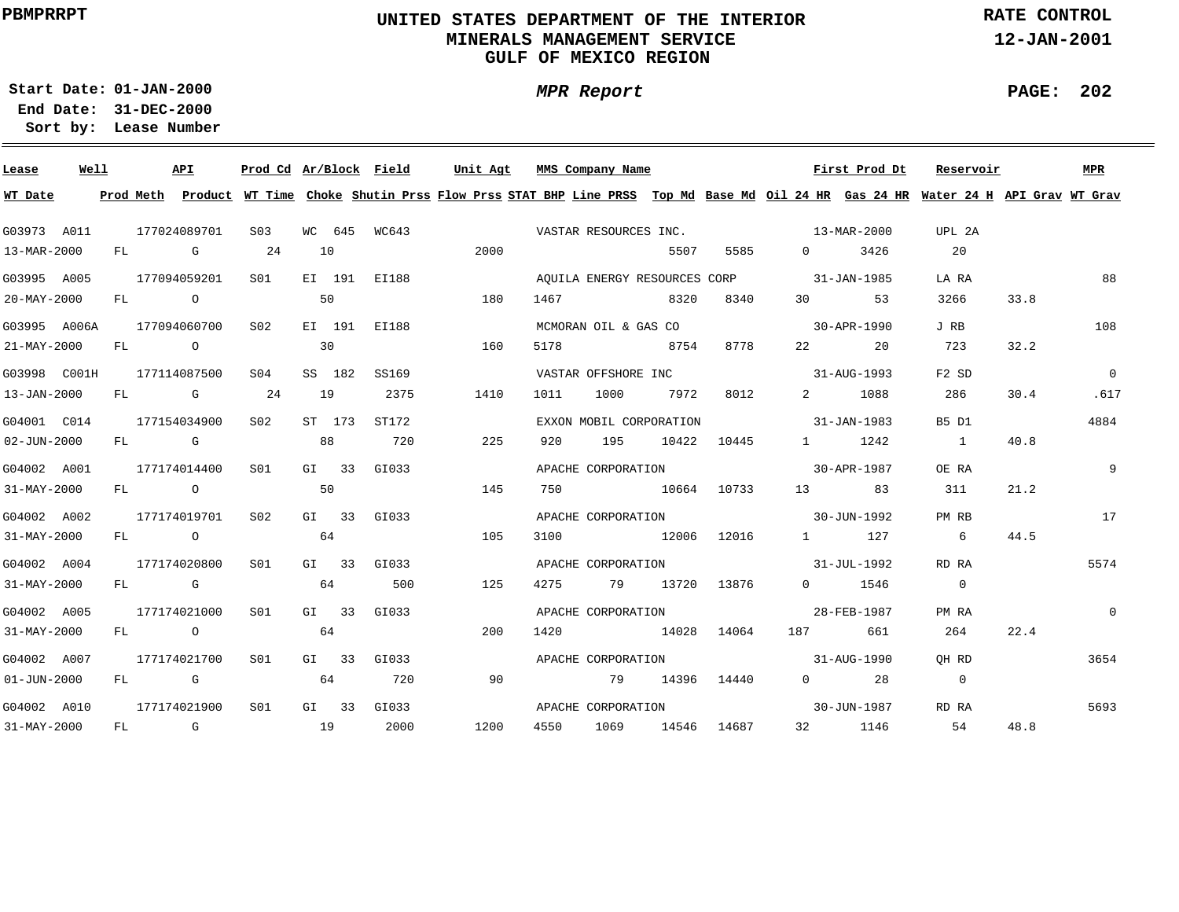## **UNITED STATES DEPARTMENT OF THE INTERIOR MINERALS MANAGEMENT SERVICEGULF OF MEXICO REGION**

**MPR Report**

**RATE CONTROL**

**12-JAN-2001**

**PAGE: 202**

÷

**01-JAN-2000Start Date:31-DEC-2000 End Date:** 

| Lease             | Well |    |      | API                                                                                                                                                                                                                            | Prod Cd Ar/Block Field |    |         |              | Unit Agt                                                                                                                                |      | MMS Company Name        |             |             |                                          | First Prod Dt        | Reservoir      |      | <b>MPR</b>     |
|-------------------|------|----|------|--------------------------------------------------------------------------------------------------------------------------------------------------------------------------------------------------------------------------------|------------------------|----|---------|--------------|-----------------------------------------------------------------------------------------------------------------------------------------|------|-------------------------|-------------|-------------|------------------------------------------|----------------------|----------------|------|----------------|
| WT Date           |      |    |      |                                                                                                                                                                                                                                |                        |    |         |              | Prod Meth Product WT Time Choke Shutin Prss Flow Prss STAT BHP Line PRSS Top Md Base Md Oil 24 HR Gas 24 HR Water 24 H API Grav WT Grav |      |                         |             |             |                                          |                      |                |      |                |
| G03973 A011       |      |    |      | 177024089701                                                                                                                                                                                                                   | S03                    |    |         | WC 645 WC643 |                                                                                                                                         |      |                         |             |             | VASTAR RESOURCES INC. 13-MAR-2000        |                      | UPL 2A         |      |                |
| 13-MAR-2000       |      | FL |      | and the control of the control of the control of the control of the control of the control of the control of the control of the control of the control of the control of the control of the control of the control of the cont | 24                     | 10 |         |              | 2000                                                                                                                                    |      |                         | 5507        | 5585        | $\Omega$                                 | 3426                 | 20             |      |                |
| G03995 A005       |      |    |      | 177094059201                                                                                                                                                                                                                   | S <sub>01</sub>        |    |         | EI 191 EI188 |                                                                                                                                         |      |                         |             |             | AOUILA ENERGY RESOURCES CORP 31-JAN-1985 |                      | LA RA          |      | 88             |
| 20-MAY-2000       |      |    | FL O |                                                                                                                                                                                                                                |                        | 50 |         |              | 180                                                                                                                                     | 1467 |                         | 8320        | 8340        | $30^{\circ}$                             | 53                   | 3266           | 33.8 |                |
| G03995 A006A      |      |    |      | 177094060700                                                                                                                                                                                                                   | S <sub>02</sub>        |    |         | EI 191 EI188 |                                                                                                                                         |      | MCMORAN OIL & GAS CO    |             |             | $30 - APR - 1990$                        |                      | J RB           |      | 108            |
| 21-MAY-2000       |      |    | FL O |                                                                                                                                                                                                                                |                        | 30 |         |              | 160                                                                                                                                     | 5178 |                         | 8754        | 8778        | 22 and $\sim$                            | 20                   | 723            | 32.2 |                |
| G03998 C001H      |      |    |      | 177114087500                                                                                                                                                                                                                   | S <sub>04</sub>        |    | SS 182  | SS169        |                                                                                                                                         |      | VASTAR OFFSHORE INC     |             |             |                                          | 31-AUG-1993          | $F2$ SD        |      | $\Omega$       |
| 13-JAN-2000       |      | FL |      | $\mathbb G$                                                                                                                                                                                                                    | 24                     | 19 |         | 2375         | 1410                                                                                                                                    | 1011 | 1000                    | 7972        | 8012        | $\overline{2}$ and $\overline{2}$        | 1088                 | 286            | 30.4 | .617           |
| G04001 C014       |      |    |      | 177154034900                                                                                                                                                                                                                   | S <sub>02</sub>        |    | ST 173  | ST172        |                                                                                                                                         |      | EXXON MOBIL CORPORATION |             |             |                                          | 31-JAN-1983          | B5 D1          |      | 4884           |
| 02-JUN-2000       |      | FL |      | <b>G</b> G                                                                                                                                                                                                                     |                        | 88 |         | 720          | 225                                                                                                                                     | 920  | 195                     | 10422       | 10445       |                                          | 1 1242               | $\sim$ 1       | 40.8 |                |
| G04002 A001       |      |    |      | 177174014400                                                                                                                                                                                                                   | SO1                    |    | $GI$ 33 | GI033        |                                                                                                                                         |      | APACHE CORPORATION      |             |             |                                          | 30-APR-1987          | OE RA          |      | 9              |
| 31-MAY-2000       |      |    |      | FL O                                                                                                                                                                                                                           |                        | 50 |         |              | 145                                                                                                                                     | 750  | 10664 10733             |             |             |                                          | 13 83                | 311            | 21.2 |                |
| G04002 A002       |      |    |      | 177174019701                                                                                                                                                                                                                   | S02                    |    |         | GI 33 GI033  |                                                                                                                                         |      |                         |             |             | APACHE CORPORATION 30-JUN-1992           |                      | PM RB          |      | 17             |
| 31-MAY-2000       |      |    |      | FL O                                                                                                                                                                                                                           |                        | 64 |         |              | 105                                                                                                                                     | 3100 |                         | 12006 12016 |             |                                          | 1 127                | 6              | 44.5 |                |
| G04002 A004       |      |    |      | 177174020800                                                                                                                                                                                                                   | SO1                    |    | $GI$ 33 | GI033        |                                                                                                                                         |      | APACHE CORPORATION      |             |             | $31 - JUL - 1992$                        |                      | RD RA          |      | 5574           |
| 31-MAY-2000       |      |    |      | $FL$ G                                                                                                                                                                                                                         |                        | 64 |         | 500          | 125                                                                                                                                     | 4275 | 79                      |             | 13720 13876 |                                          | 0 1546               | $\sim$ 0       |      |                |
| G04002 A005       |      |    |      | 177174021000                                                                                                                                                                                                                   | SO1                    |    |         | GI 33 GI033  |                                                                                                                                         |      | APACHE CORPORATION      |             |             |                                          | 28-FEB-1987          | PM RA          |      | $\overline{0}$ |
| 31-MAY-2000       |      |    |      | FL O                                                                                                                                                                                                                           |                        | 64 |         |              | 200                                                                                                                                     | 1420 |                         | 14028       | 14064       | 187 — 187                                | 661                  | 264            | 22.4 |                |
| G04002 A007       |      |    |      | 177174021700                                                                                                                                                                                                                   | S <sub>01</sub>        |    |         | GI 33 GI033  |                                                                                                                                         |      | APACHE CORPORATION      |             |             |                                          | 31-AUG-1990          | OH RD          |      | 3654           |
| $01 - JUN - 2000$ |      | FL |      | $\mathbb G$                                                                                                                                                                                                                    |                        | 64 |         | 720          | 90                                                                                                                                      |      | 79                      |             | 14396 14440 |                                          | $0 \qquad \qquad 28$ | $\overline{0}$ |      |                |
| G04002 A010       |      |    |      | 177174021900                                                                                                                                                                                                                   | S <sub>01</sub>        |    |         | GI 33 GI033  |                                                                                                                                         |      | APACHE CORPORATION      |             |             |                                          | 30-JUN-1987          | RD RA          |      | 5693           |
| 31-MAY-2000       |      |    |      | FL G                                                                                                                                                                                                                           | $\sim$ 19              |    |         | 2000         | 1200                                                                                                                                    | 4550 | 1069                    | 14546       | 14687       |                                          | 32 1146              | 54             | 48.8 |                |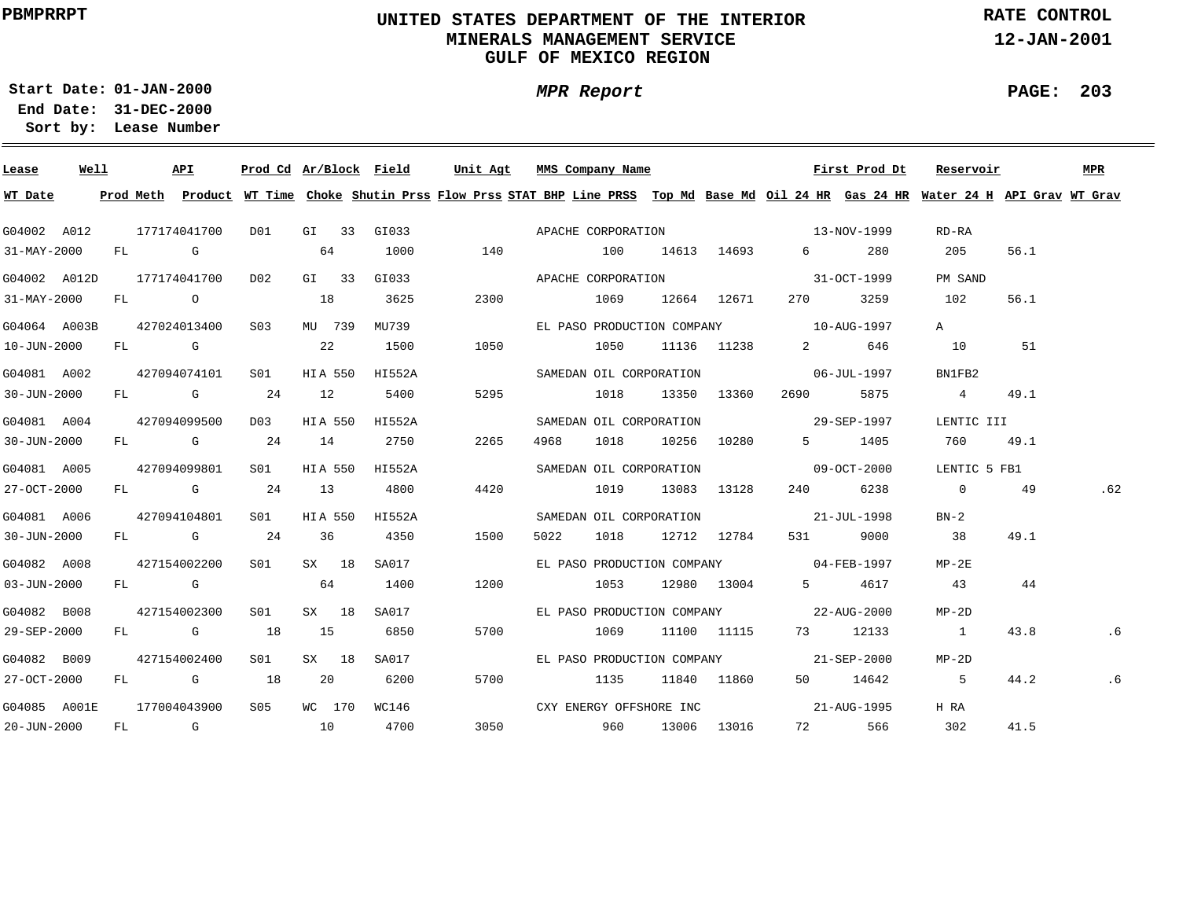## **UNITED STATES DEPARTMENT OF THE INTERIOR MINERALS MANAGEMENT SERVICEGULF OF MEXICO REGION**

**MPR Report**

**RATE CONTROL**

**12-JAN-2001**

**PAGE: 203**

÷

**01-JAN-2000Start Date:31-DEC-2000 End Date:** 

| Lease             | Well | API          |                 |                | Prod Cd Ar/Block Field | Unit Agt           |      | MMS Company Name   |                         |             |                                                                                                                                                                                                                                 | First Prod Dt                                                                                                                           | Reservoir      |      | MPR |
|-------------------|------|--------------|-----------------|----------------|------------------------|--------------------|------|--------------------|-------------------------|-------------|---------------------------------------------------------------------------------------------------------------------------------------------------------------------------------------------------------------------------------|-----------------------------------------------------------------------------------------------------------------------------------------|----------------|------|-----|
| WT Date           |      |              |                 |                |                        |                    |      |                    |                         |             |                                                                                                                                                                                                                                 | Prod Meth Product WT Time Choke Shutin Prss Flow Prss STAT BHP Line PRSS Top Md Base Md Oil 24 HR Gas 24 HR Water 24 H API Grav WT Grav |                |      |     |
| G04002 A012       |      | 177174041700 | D01             |                | GI 33 GI033            | APACHE CORPORATION |      |                    |                         |             |                                                                                                                                                                                                                                 | $13 - NOV - 1999$                                                                                                                       | RD-RA          |      |     |
| $31 - MAX - 2000$ |      | FL G         |                 | 64             | 1000                   | 140                |      | 100                | 14613 14693             |             |                                                                                                                                                                                                                                 | $6 \qquad \qquad$<br>280                                                                                                                | 205            | 56.1 |     |
| G04002 A012D      |      | 177174041700 | DO2             | $GI$ 33        | GI033                  |                    |      | APACHE CORPORATION |                         |             |                                                                                                                                                                                                                                 | $31-0CT-1999$                                                                                                                           | PM SAND        |      |     |
| 31-MAY-2000       |      | FL O         |                 | 18             | 3625                   | 2300               |      | 1069               |                         | 12664 12671 | 270 — 270 — 270 — 270 — 270 — 270 — 270 — 270 — 270 — 270 — 270 — 270 — 270 — 270 — 270 — 270 — 270 — 270 — 270 — 270 — 270 — 270 — 270 — 270 — 270 — 270 — 270 — 270 — 270 — 270 — 270 — 270 — 270 — 270 — 270 — 270 — 270 — 2 | 3259                                                                                                                                    | 102            | 56.1 |     |
| G04064 A003B      |      | 427024013400 | S <sub>03</sub> | MU 739         | MU739                  |                    |      |                    |                         |             |                                                                                                                                                                                                                                 | EL PASO PRODUCTION COMPANY 10-AUG-1997                                                                                                  | A              |      |     |
| 10-JUN-2000       |      | FL G         |                 | 22             | 1500                   | 1050               |      | 1050               |                         | 11136 11238 |                                                                                                                                                                                                                                 | $\overline{2}$ and $\overline{2}$<br>646                                                                                                | 10             | 51   |     |
| G04081 A002       |      | 427094074101 | SO1 SO          | HIA 550        | HI552A                 |                    |      |                    | SAMEDAN OIL CORPORATION |             |                                                                                                                                                                                                                                 | 06-JUL-1997                                                                                                                             | BN1FB2         |      |     |
| 30-JUN-2000       |      | FL G         | 24              | 12             | 5400                   | 5295               |      | 1018               |                         | 13350 13360 | 2690 — 10                                                                                                                                                                                                                       | 5875                                                                                                                                    | 4              | 49.1 |     |
| G04081 A004       |      | 427094099500 | D0.3            | <b>HIA 550</b> | HI552A                 |                    |      |                    | SAMEDAN OIL CORPORATION |             |                                                                                                                                                                                                                                 | 29-SEP-1997                                                                                                                             | LENTIC III     |      |     |
| 30-JUN-2000       |      | FL G 24      |                 | 14             | 2750                   | 2265               | 4968 | 1018               |                         | 10256 10280 |                                                                                                                                                                                                                                 | 5 1405                                                                                                                                  | 760            | 49.1 |     |
| G04081 A005       |      | 427094099801 | SO1 SO          | HIA 550        | HI552A                 |                    |      |                    | SAMEDAN OIL CORPORATION |             |                                                                                                                                                                                                                                 | $09-9C$ T $-2000$                                                                                                                       | LENTIC 5 FB1   |      |     |
| 27-OCT-2000       |      | FL G 24      |                 | 13             | 4800                   | 4420               |      | 1019               |                         | 13083 13128 |                                                                                                                                                                                                                                 | 240 6238                                                                                                                                | $\sim$ 0       | 49   | .62 |
| G04081 A006       |      | 427094104801 | S01 -           | HIA 550        | HI552A                 |                    |      |                    | SAMEDAN OIL CORPORATION |             |                                                                                                                                                                                                                                 | 21-JUL-1998                                                                                                                             | $BN-2$         |      |     |
| 30-JUN-2000       |      | FL G         | 24              | 36             | 4350                   | 1500               | 5022 |                    | 1018 12712 12784        |             |                                                                                                                                                                                                                                 | 531 9000                                                                                                                                | 38             | 49.1 |     |
| G04082 A008       |      | 427154002200 | SO1 SO          | SX 18          | SA017                  |                    |      |                    |                         |             |                                                                                                                                                                                                                                 | EL PASO PRODUCTION COMPANY 04-FEB-1997                                                                                                  | MP-2E          |      |     |
| $03 - JUN - 2000$ |      | FL G         |                 | 64             | 1400                   | 1200               |      | 1053               |                         | 12980 13004 |                                                                                                                                                                                                                                 | 4617<br>$5^{\circ}$                                                                                                                     | 43             | 44   |     |
| G04082 B008       |      | 427154002300 | SO1             | SX 18          | SA017                  |                    |      |                    |                         |             |                                                                                                                                                                                                                                 | EL PASO PRODUCTION COMPANY 22-AUG-2000                                                                                                  | $MP-2D$        |      |     |
| 29-SEP-2000       |      | FL G         | 18              | 15             | 6850                   | 5700               |      | 1069               |                         | 11100 11115 |                                                                                                                                                                                                                                 | 73 12133                                                                                                                                | $\sim$ 1       | 43.8 | . 6 |
| G04082 B009       |      | 427154002400 | SO1 SO          | SX 18          | SA017                  |                    |      |                    |                         |             |                                                                                                                                                                                                                                 | EL PASO PRODUCTION COMPANY 21-SEP-2000                                                                                                  | $MP-2D$        |      |     |
| 27-OCT-2000       |      | FL G 18      |                 | 20             | 6200                   | 5700               |      | 1135               |                         | 11840 11860 |                                                                                                                                                                                                                                 | 50 14642                                                                                                                                | 5 <sub>5</sub> | 44.2 | . 6 |
| G04085 A001E      |      | 177004043900 | S05             | WC 170         | WC146                  |                    |      |                    | CXY ENERGY OFFSHORE INC |             |                                                                                                                                                                                                                                 | 21-AUG-1995                                                                                                                             | H RA           |      |     |
| 20-JUN-2000       |      | FL G         | 10              |                | 4700                   |                    |      | 3050 960           |                         | 13006 13016 |                                                                                                                                                                                                                                 | 72 and $\overline{a}$<br>566                                                                                                            | 302            | 41.5 |     |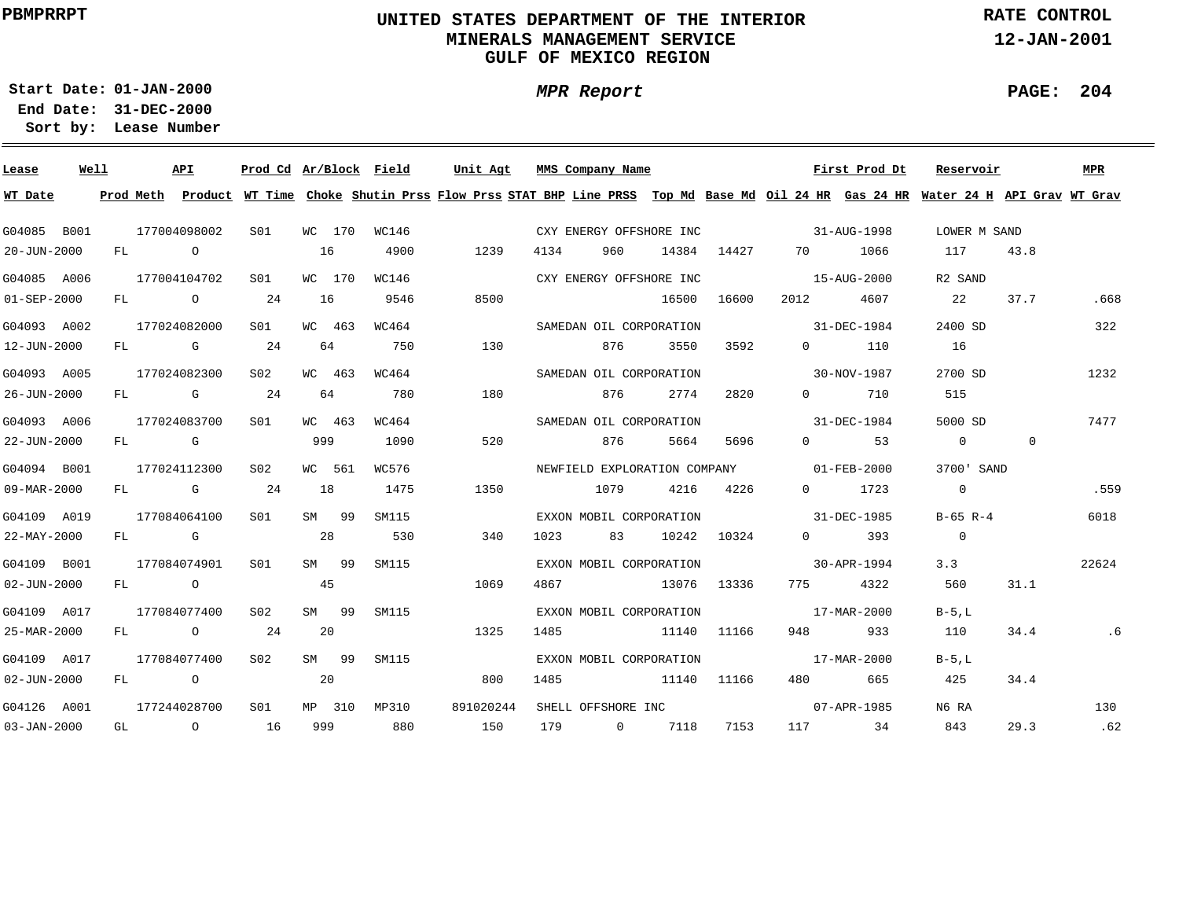## **UNITED STATES DEPARTMENT OF THE INTERIOR MINERALS MANAGEMENT SERVICEGULF OF MEXICO REGION**

**MPR Report**

**RATE CONTROL**

**12-JAN-2001**

**PAGE: 204**

÷

**01-JAN-2000Start Date:**

| Lease             | Well |    |                | <b>API</b>                                                                                                                                                                                                                     | Prod Cd Ar/Block Field |     |        |       | Unit Agt  | MMS Company Name        |      |           |             |                                          | First Prod Dt                                                                                                                 | Reservoir      |              | MPR   |
|-------------------|------|----|----------------|--------------------------------------------------------------------------------------------------------------------------------------------------------------------------------------------------------------------------------|------------------------|-----|--------|-------|-----------|-------------------------|------|-----------|-------------|------------------------------------------|-------------------------------------------------------------------------------------------------------------------------------|----------------|--------------|-------|
| WT Date           |      |    | Prod Meth      |                                                                                                                                                                                                                                |                        |     |        |       |           |                         |      |           |             |                                          | Product WT Time Choke Shutin Prss Flow Prss STAT BHP Line PRSS Top Md Base Md Oil 24 HR Gas 24 HR Water 24 H API Grav WT Grav |                |              |       |
| G04085 B001       |      |    |                | 177004098002                                                                                                                                                                                                                   | SO1                    |     | WC 170 | WC146 |           | CXY ENERGY OFFSHORE INC |      |           |             | $31 - \text{AUG} - 1998$                 |                                                                                                                               | LOWER M SAND   |              |       |
| 20-JUN-2000       |      | FL | $\overline{a}$ |                                                                                                                                                                                                                                |                        | 16  |        | 4900  | 1239      | 4134                    | 960  |           | 14384 14427 | 70 — 20                                  | 1066                                                                                                                          | 117            | 43.8         |       |
| G04085 A006       |      |    |                | 177004104702                                                                                                                                                                                                                   | S01                    |     | WC 170 | WC146 |           | CXY ENERGY OFFSHORE INC |      |           |             | $15 - \text{AUG} - 2000$                 |                                                                                                                               | R2 SAND        |              |       |
| $01 - SEP - 2000$ |      |    |                | FL O                                                                                                                                                                                                                           | 24                     | 16  |        | 9546  | 8500      |                         |      | 16500     | 16600       | 2012                                     | 4607                                                                                                                          | 22             | 37.7         | .668  |
| G04093 A002       |      |    |                | 177024082000                                                                                                                                                                                                                   | S01                    |     | WC 463 | WC464 |           | SAMEDAN OIL CORPORATION |      |           |             | $31 - DEC - 1984$                        |                                                                                                                               | 2400 SD        |              | 322   |
| 12-JUN-2000       |      |    |                | FL G                                                                                                                                                                                                                           | 24                     | 64  |        | 750   | 130       |                         | 876  | 3550      | 3592        | $\Omega$ and $\Omega$                    | 110                                                                                                                           | 16             |              |       |
| G04093 A005       |      |    |                | 177024082300                                                                                                                                                                                                                   | S02                    |     | WC 463 | WC464 |           | SAMEDAN OIL CORPORATION |      |           |             |                                          | 30-NOV-1987                                                                                                                   | 2700 SD        |              | 1232  |
| 26-JUN-2000       |      | FL |                | and the Company of the Company of the Company of the Company of the Company of the Company of the Company of the Company of the Company of the Company of the Company of the Company of the Company of the Company of the Comp | 24                     | 64  |        | 780   | 180       |                         | 876  | 2774      | 2820        | $0 \qquad \qquad$                        | 710                                                                                                                           | 515            |              |       |
| G04093 A006       |      |    |                | 177024083700                                                                                                                                                                                                                   | S01                    |     | WC 463 | WC464 |           | SAMEDAN OIL CORPORATION |      |           |             |                                          | 31-DEC-1984                                                                                                                   | 5000 SD        |              | 7477  |
| 22-JUN-2000       |      |    |                | FL G                                                                                                                                                                                                                           |                        | 999 |        | 1090  | 520       |                         | 876  | 5664      | 5696        | $\Omega$ and $\Omega$                    | 53                                                                                                                            | $\overline{0}$ | $\mathbf{0}$ |       |
| G04094 B001       |      |    |                | 177024112300                                                                                                                                                                                                                   | S02                    |     | WC 561 | WC576 |           |                         |      |           |             | NEWFIELD EXPLORATION COMPANY 01-FEB-2000 |                                                                                                                               | 3700' SAND     |              |       |
| 09-MAR-2000       |      |    |                | FL G                                                                                                                                                                                                                           | 24                     | 18  |        | 1475  | 1350      |                         | 1079 | 4216 4226 |             | $\Omega$                                 | 1723                                                                                                                          | $\overline{0}$ |              | .559  |
| G04109 A019       |      |    |                | 177084064100                                                                                                                                                                                                                   | S01                    |     | SM 99  | SM115 |           | EXXON MOBIL CORPORATION |      |           |             | $31 - DEC - 1985$                        |                                                                                                                               | $B-65$ $R-4$   |              | 6018  |
| 22-MAY-2000       |      |    |                | FL G                                                                                                                                                                                                                           |                        | 28  |        | 530   | 340       | 1023                    | 83   |           | 10242 10324 | $\Omega$ and $\Omega$                    | 393                                                                                                                           | $\overline{0}$ |              |       |
| G04109 B001       |      |    |                | 177084074901                                                                                                                                                                                                                   | S01                    |     | SM 99  | SM115 |           | EXXON MOBIL CORPORATION |      |           |             | $30 - APR - 1994$                        |                                                                                                                               |                | 3.3          | 22624 |
| 02-JUN-2000       |      |    |                | FL O                                                                                                                                                                                                                           |                        | 45  |        |       | 1069      | 4867                    |      |           | 13076 13336 |                                          | 775 4322                                                                                                                      | 560            | 31.1         |       |
| G04109 A017       |      |    |                | 177084077400                                                                                                                                                                                                                   | S02                    |     | SM 99  | SM115 |           | EXXON MOBIL CORPORATION |      |           |             | 17-MAR-2000                              |                                                                                                                               | $B-5$ , L      |              |       |
| 25-MAR-2000       |      |    |                | FL O                                                                                                                                                                                                                           | 24                     | 20  |        |       | 1325      | 1485                    |      | 11140     | 11166       | 948 — 100                                | 933                                                                                                                           | 110            | 34.4         | .6    |
| G04109 A017       |      |    |                | 177084077400                                                                                                                                                                                                                   | S02                    |     | SM 99  | SM115 |           | EXXON MOBIL CORPORATION |      |           |             | 17-MAR-2000                              |                                                                                                                               | $B-5.L$        |              |       |
| $02 - JUN - 2000$ |      | FL |                | $\overline{O}$                                                                                                                                                                                                                 |                        | 20  |        |       | 800       | 1485                    |      |           | 11140 11166 | 480 and $\sim$                           | 665                                                                                                                           | 425            | 34.4         |       |
| G04126 A001       |      |    |                | 177244028700                                                                                                                                                                                                                   | S01                    |     | MP 310 | MP310 | 891020244 | SHELL OFFSHORE INC      |      |           |             |                                          | 07-APR-1985                                                                                                                   | N6 RA          |              | 130   |
| $03 - JAN - 2000$ |      | GL |                | $\overline{a}$                                                                                                                                                                                                                 | 16                     | 999 |        | 880   | 150       | 179                     |      | 0 7118    | 7153        |                                          | 117 34                                                                                                                        | 843            | 29.3         | .62   |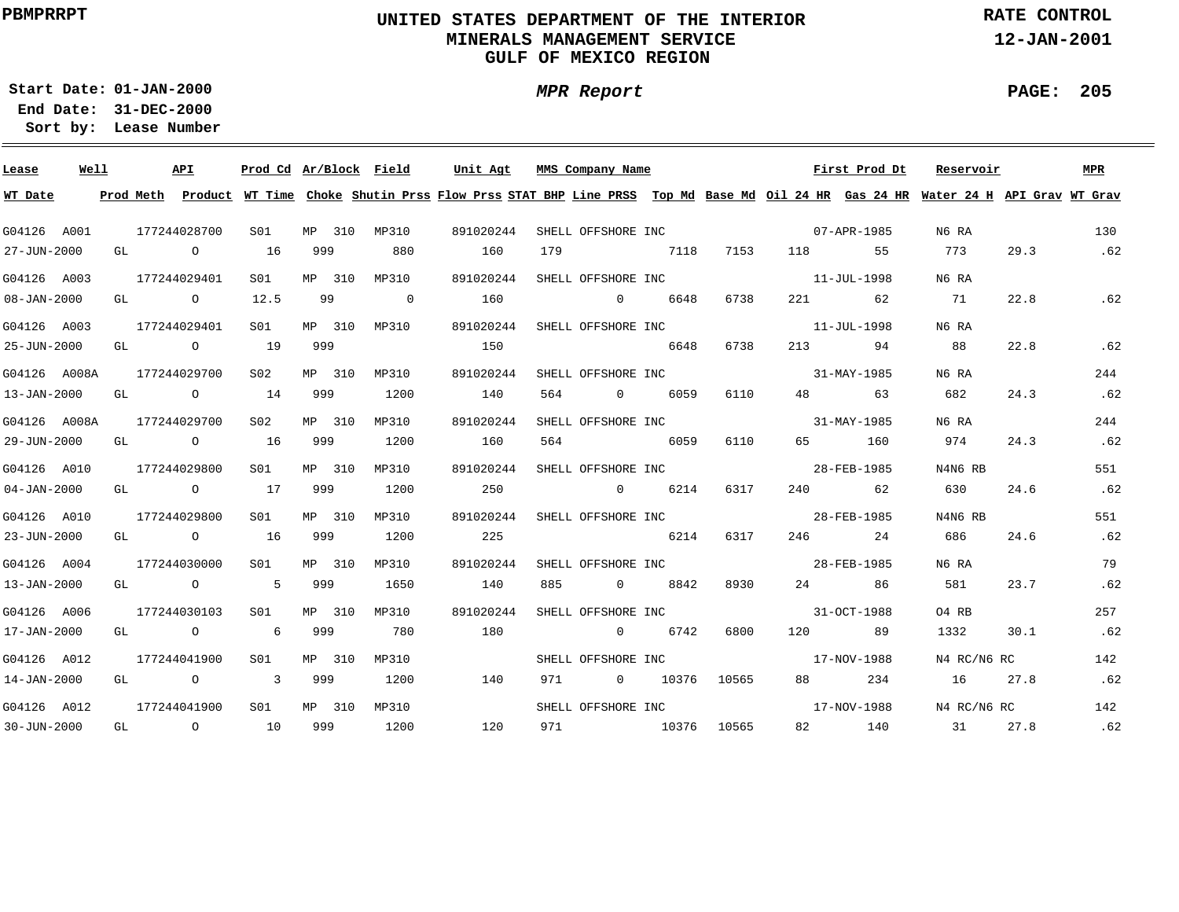## **UNITED STATES DEPARTMENT OF THE INTERIOR MINERALS MANAGEMENT SERVICEGULF OF MEXICO REGION**

**MPR Report**

**RATE CONTROL**

**12-JAN-2001**

÷

**01-JAN-2000Start Date:31-DEC-2000 End Date:** 

**Lease Number Sort by:**

| Lease             | Well |    | API                                   | Prod Cd Ar/Block Field |        |                | Unit Agt |           |     | MMS Company Name               |           |       |                                                                                                                |         | First Prod Dt       | Reservoir                                                                                                                               |      | MPR |
|-------------------|------|----|---------------------------------------|------------------------|--------|----------------|----------|-----------|-----|--------------------------------|-----------|-------|----------------------------------------------------------------------------------------------------------------|---------|---------------------|-----------------------------------------------------------------------------------------------------------------------------------------|------|-----|
| WT Date           |      |    |                                       |                        |        |                |          |           |     |                                |           |       |                                                                                                                |         |                     | Prod Meth Product WT Time Choke Shutin Prss Flow Prss STAT BHP Line PRSS Top Md Base Md Oil 24 HR Gas 24 HR Water 24 H API Grav WT Grav |      |     |
| G04126 A001       |      |    | 177244028700                          | S01                    | MP 310 | MP310          |          | 891020244 |     | SHELL OFFSHORE INC             |           |       |                                                                                                                |         | 07-APR-1985         | N6 RA                                                                                                                                   |      | 130 |
| 27-JUN-2000       |      |    | GL O                                  | 16                     | 999    | 880            |          | 160       | 179 |                                | 7118 7153 |       | 118 — 118 — 118 — 118 — 118 — 118 — 118 — 118 — 118 — 118 — 118 — 118 — 118 — 118 — 118 — 118 — 118 — 118 — 11 |         | 55                  | 773                                                                                                                                     | 29.3 | .62 |
| G04126 A003       |      |    | 177244029401                          | S01                    | MP 310 | MP310          |          | 891020244 |     | SHELL OFFSHORE INC             |           |       |                                                                                                                |         | 11-JUL-1998         | N6 RA                                                                                                                                   |      |     |
| $08 - JAN - 2000$ |      |    | GL O                                  | 12.5                   | 99     | $\overline{0}$ | 160      |           |     | $\sim$ 0                       | 6648      | 6738  |                                                                                                                | 221 22  | 62                  | 71                                                                                                                                      | 22.8 | .62 |
| G04126 A003       |      |    | 177244029401                          | S01                    |        | MP 310 MP310   |          | 891020244 |     | SHELL OFFSHORE INC             |           |       |                                                                                                                |         | $11 - JUL - 1998$   | N6 RA                                                                                                                                   |      |     |
| 25-JUN-2000       |      |    | GL O                                  | 19                     | 999    |                | 150      |           |     | 6648                           |           | 6738  |                                                                                                                |         | 213<br>94           | 88                                                                                                                                      | 22.8 | .62 |
| G04126 A008A      |      |    | 177244029700                          | S <sub>02</sub>        | MP 310 | MP310          |          | 891020244 |     | SHELL OFFSHORE INC             |           |       |                                                                                                                |         | 31-MAY-1985         | N6 RA                                                                                                                                   |      | 244 |
| 13-JAN-2000       |      | GL | $\circ$ 14                            |                        | 999    | 1200           |          | 140       |     | 564 — 100                      | 0 6059    | 6110  |                                                                                                                | 48 — 18 | 63                  | 682                                                                                                                                     | 24.3 | .62 |
| G04126 A008A      |      |    | 177244029700                          | S02                    | MP 310 | MP310          |          | 891020244 |     | SHELL OFFSHORE INC             |           |       |                                                                                                                |         | 31-MAY-1985         | N6 RA                                                                                                                                   |      | 244 |
| 29-JUN-2000       |      | GL | $\sim$ 0 $\sim$ 16                    |                        | 999    | 1200           |          | 160       | 564 |                                | 6059      | 6110  | 65                                                                                                             |         | 160                 | 974                                                                                                                                     | 24.3 | .62 |
| G04126 A010       |      |    | 177244029800                          | SO1                    | MP 310 | MP310          |          | 891020244 |     | SHELL OFFSHORE INC 28-FEB-1985 |           |       |                                                                                                                |         |                     | N4N6 RB                                                                                                                                 |      | 551 |
| $04 - JAN - 2000$ |      |    | GL 0 17                               |                        | 999    | 1200           |          | 250       |     | $0 \t\t 6214$                  |           | 6317  |                                                                                                                |         | 240 62              | 630                                                                                                                                     | 24.6 | .62 |
| G04126 A010       |      |    | 177244029800                          | S01                    | MP 310 | MP310          |          | 891020244 |     | SHELL OFFSHORE INC 28-FEB-1985 |           |       |                                                                                                                |         |                     | N4N6 RB                                                                                                                                 |      | 551 |
| 23-JUN-2000       |      |    | GL $\qquad \qquad 0 \qquad \qquad 16$ |                        | 999    | 1200           | 225      |           |     | 6214 6317                      |           |       |                                                                                                                |         | 246 24              | 686                                                                                                                                     | 24.6 | .62 |
| G04126 A004       |      |    | 177244030000                          | SO1 SO                 | MP 310 | MP310          |          | 891020244 |     | SHELL OFFSHORE INC 28-FEB-1985 |           |       |                                                                                                                |         |                     | N6 RA                                                                                                                                   |      | 79  |
| 13-JAN-2000       |      |    | GL 0 5 999                            |                        |        | 1650           | 140      |           | 885 |                                | 0 8842    | 8930  |                                                                                                                |         | 24 and $\sim$<br>86 | 581                                                                                                                                     | 23.7 | .62 |
| G04126 A006       |      |    | 177244030103                          | S01                    | MP 310 | MP310          |          | 891020244 |     | SHELL OFFSHORE INC             |           |       |                                                                                                                |         | 31-OCT-1988         | 04 RB                                                                                                                                   |      | 257 |
| 17-JAN-2000       |      |    | GL O                                  | $6\overline{6}$        | 999    | 780            |          | 180       |     | $\sim$ 0                       | 6742      | 6800  |                                                                                                                |         | 120 89              | 1332                                                                                                                                    | 30.1 | .62 |
| G04126 A012       |      |    | 177244041900                          | S01                    | MP 310 | MP310          |          |           |     | SHELL OFFSHORE INC             |           |       |                                                                                                                |         | 17-NOV-1988         | N4 RC/N6 RC                                                                                                                             |      | 142 |
| $14 - JAN - 2000$ |      |    | GL O 3                                |                        | 999    | 1200           |          | 140       | 971 | $0$ 10376                      |           | 10565 | 88                                                                                                             |         | 234                 | 16                                                                                                                                      | 27.8 | .62 |
| G04126 A012       |      |    | 177244041900                          | S01                    | MP 310 | MP310          |          |           |     | SHELL OFFSHORE INC 17-NOV-1988 |           |       |                                                                                                                |         |                     | N4 RC/N6 RC                                                                                                                             |      | 142 |
| 30-JUN-2000       |      |    | GL 0 10                               |                        | 999    | 1200           |          | 120       |     | 971 10376                      |           | 10565 |                                                                                                                |         | 82 140              | 31                                                                                                                                      | 27.8 | .62 |

**PAGE: 205**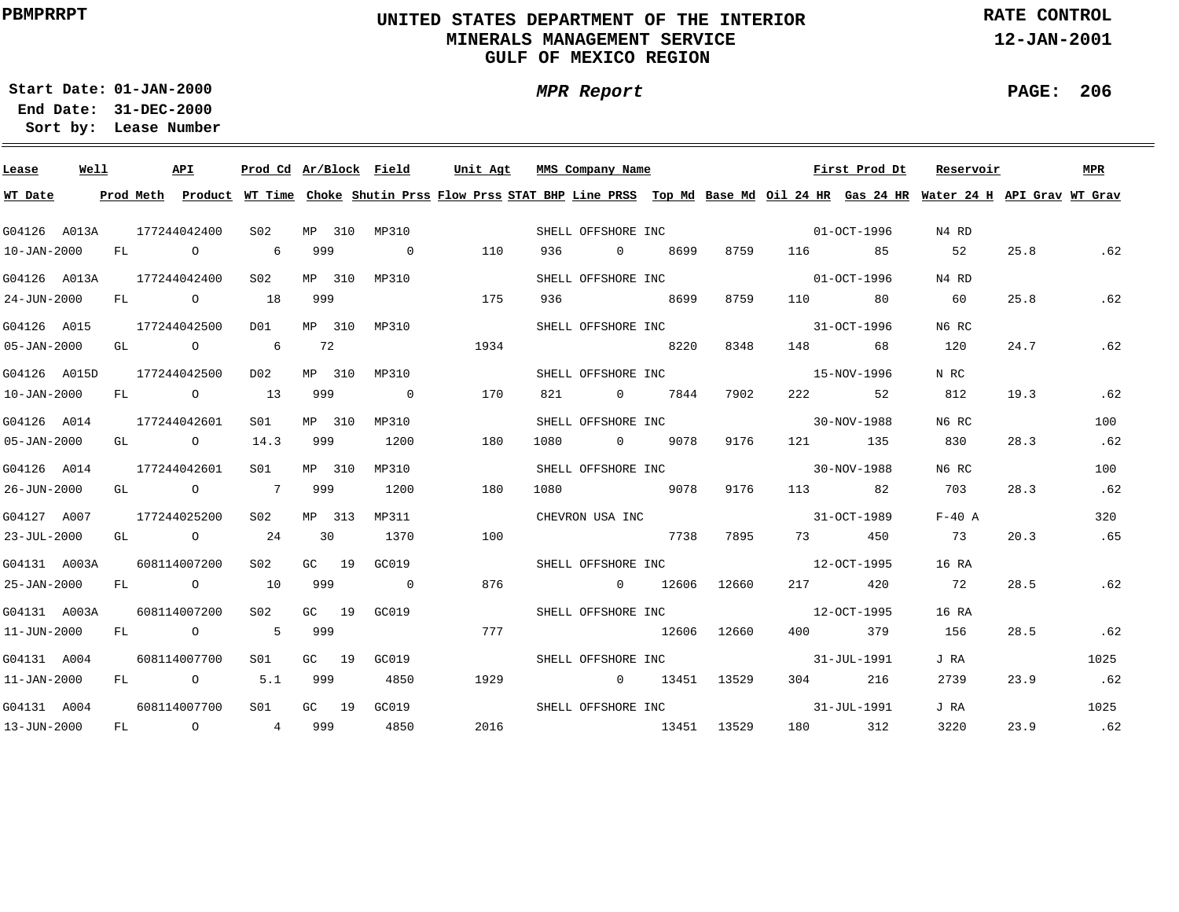## **UNITED STATES DEPARTMENT OF THE INTERIOR MINERALS MANAGEMENT SERVICEGULF OF MEXICO REGION**

**RATE CONTROL**

**12-JAN-2001**

**01-JAN-2000Start Date:31-DEC-2000 End Date:** 

**Lease Number Sort by:**

| Lease             | Well |    |      | API                         | Prod Cd Ar/Block Field |        |         |                | Unit Agt |      | MMS Company Name                                                                                                                                                                                                                                                                              |             |      |                                                                                                                                                                                                                                 | First Prod Dt | Reservoir                                                                                                                               |      | MPR  |
|-------------------|------|----|------|-----------------------------|------------------------|--------|---------|----------------|----------|------|-----------------------------------------------------------------------------------------------------------------------------------------------------------------------------------------------------------------------------------------------------------------------------------------------|-------------|------|---------------------------------------------------------------------------------------------------------------------------------------------------------------------------------------------------------------------------------|---------------|-----------------------------------------------------------------------------------------------------------------------------------------|------|------|
| WT Date           |      |    |      |                             |                        |        |         |                |          |      |                                                                                                                                                                                                                                                                                               |             |      |                                                                                                                                                                                                                                 |               | Prod Meth Product WT Time Choke Shutin Prss Flow Prss STAT BHP Line PRSS Top Md Base Md Oil 24 HR Gas 24 HR Water 24 H API Grav WT Grav |      |      |
| G04126 A013A      |      |    |      | 177244042400                | S02                    |        |         | MP 310 MP310   |          |      |                                                                                                                                                                                                                                                                                               |             |      | SHELL OFFSHORE INC 01-OCT-1996                                                                                                                                                                                                  |               | N4 RD                                                                                                                                   |      |      |
| $10 - JAN - 2000$ |      |    | FL O |                             | 6                      | 999    |         | $\overline{0}$ | 110      | 936  | $\sim$ 0 $\sim$ 0 $\sim$ 0 $\sim$ 0 $\sim$ 0 $\sim$ 0 $\sim$ 0 $\sim$ 0 $\sim$ 0 $\sim$ 0 $\sim$ 0 $\sim$ 0 $\sim$ 0 $\sim$ 0 $\sim$ 0 $\sim$ 0 $\sim$ 0 $\sim$ 0 $\sim$ 0 $\sim$ 0 $\sim$ 0 $\sim$ 0 $\sim$ 0 $\sim$ 0 $\sim$ 0 $\sim$ 0 $\sim$ 0 $\sim$ 0 $\sim$ 0 $\sim$ 0 $\sim$ 0 $\sim$ | 8699        | 8759 | 116 — 116                                                                                                                                                                                                                       | 85            | 52                                                                                                                                      | 25.8 | .62  |
|                   |      |    |      | G04126 A013A 177244042400   | S02                    |        |         | MP 310 MP310   |          |      | SHELL OFFSHORE INC                                                                                                                                                                                                                                                                            |             |      |                                                                                                                                                                                                                                 | 01-OCT-1996   | N4 RD                                                                                                                                   |      |      |
| 24-JUN-2000       |      |    |      | FL O                        | 18                     | 999    |         |                | 175      | 936  |                                                                                                                                                                                                                                                                                               | 8699        | 8759 | 110 22                                                                                                                                                                                                                          | 80            | 60                                                                                                                                      | 25.8 | .62  |
| G04126 A015       |      |    |      | 177244042500                | D01                    |        |         | MP 310 MP310   |          |      | SHELL OFFSHORE INC                                                                                                                                                                                                                                                                            |             |      | 31-OCT-1996                                                                                                                                                                                                                     |               | N6 RC                                                                                                                                   |      |      |
| $05 - JAN - 2000$ |      |    |      | GL O                        | $6\overline{6}$        | 72     |         |                | 1934     |      |                                                                                                                                                                                                                                                                                               | 8220        | 8348 | 148 \                                                                                                                                                                                                                           | 68            | 120                                                                                                                                     | 24.7 | .62  |
| G04126 A015D      |      |    |      | 177244042500                | D02                    |        | MP 310  | MP310          |          |      | SHELL OFFSHORE INC                                                                                                                                                                                                                                                                            |             |      |                                                                                                                                                                                                                                 | 15-NOV-1996   | N RC                                                                                                                                    |      |      |
| $10 - JAN - 2000$ |      | FL |      | $\overline{O}$              | 13                     | 999    |         | $\overline{0}$ | 170      | 821  | 0 7844                                                                                                                                                                                                                                                                                        |             | 7902 | 222 and $\sim$                                                                                                                                                                                                                  | 52            | 812                                                                                                                                     | 19.3 | .62  |
| G04126 A014       |      |    |      | 177244042601                | SO1                    |        | MP 310  | MP310          |          |      | SHELL OFFSHORE INC                                                                                                                                                                                                                                                                            |             |      |                                                                                                                                                                                                                                 | 30-NOV-1988   | N6 RC                                                                                                                                   |      | 100  |
| $05 - JAN - 2000$ |      | GL |      | $\overline{O}$              | 14.3                   | 999    |         | 1200           | 180      | 1080 |                                                                                                                                                                                                                                                                                               | 0 9078      | 9176 | 121 — 121 — 121 — 121 — 121 — 121 — 121 — 121 — 121 — 121 — 121 — 121 — 121 — 121 — 121 — 121 — 121 — 121 — 121 — 121 — 121 — 121 — 121 — 121 — 121 — 121 — 121 — 121 — 121 — 121 — 121 — 121 — 121 — 121 — 121 — 121 — 121 — 1 | 135           | 830                                                                                                                                     | 28.3 | .62  |
| G04126 A014       |      |    |      | 177244042601                | S01 <b>S</b>           |        | MP 310  | MP310          |          |      | SHELL OFFSHORE INC                                                                                                                                                                                                                                                                            |             |      |                                                                                                                                                                                                                                 | 30-NOV-1988   | N6 RC                                                                                                                                   |      | 100  |
| 26-JUN-2000       |      |    |      | GL O                        | 7 999                  |        |         | 1200           | 180      | 1080 | 20078 9078                                                                                                                                                                                                                                                                                    |             | 9176 |                                                                                                                                                                                                                                 | 113 82        | 703                                                                                                                                     | 28.3 | .62  |
| G04127 A007       |      |    |      | 177244025200                | S02                    | MP 313 |         | MP311          |          |      | CHEVRON USA INC                                                                                                                                                                                                                                                                               |             |      | 31-OCT-1989                                                                                                                                                                                                                     |               | $F-40$ A                                                                                                                                |      | 320  |
| $23 - JUL - 2000$ |      |    |      | GL $\qquad \qquad \circ$ 24 |                        | 30     |         | 1370           | 100      |      |                                                                                                                                                                                                                                                                                               | 7738        | 7895 | 73 — 1                                                                                                                                                                                                                          | 450           | 73                                                                                                                                      | 20.3 | .65  |
| G04131 A003A      |      |    |      | 608114007200                | S02                    | GC 19  |         | GC019          |          |      |                                                                                                                                                                                                                                                                                               |             |      | SHELL OFFSHORE INC 12-OCT-1995                                                                                                                                                                                                  |               | 16 RA                                                                                                                                   |      |      |
| 25-JAN-2000       |      |    |      | FL 0 10                     |                        | 999    |         | $\overline{0}$ | 876      |      | $0$ 12606 12660                                                                                                                                                                                                                                                                               |             |      |                                                                                                                                                                                                                                 | 217 420       | 72                                                                                                                                      | 28.5 | .62  |
| G04131 A003A      |      |    |      | 608114007200                | S02                    |        | $GC$ 19 | GC019          |          |      | SHELL OFFSHORE INC                                                                                                                                                                                                                                                                            |             |      |                                                                                                                                                                                                                                 | 12-OCT-1995   | 16 RA                                                                                                                                   |      |      |
| 11-JUN-2000       |      |    |      | FL O                        | 5 999                  |        |         |                | 777      |      |                                                                                                                                                                                                                                                                                               | 12606 12660 |      | 400 000                                                                                                                                                                                                                         | 379           | 156                                                                                                                                     | 28.5 | .62  |
| G04131 A004       |      |    |      | 608114007700                | S01 <b>S</b>           |        |         | GC 19 GC019    |          |      | SHELL OFFSHORE INC                                                                                                                                                                                                                                                                            |             |      |                                                                                                                                                                                                                                 | 31-JUL-1991   | J RA                                                                                                                                    |      | 1025 |
| $11 - JAN - 2000$ |      |    |      | FL 0 5.1                    |                        | 999    |         | 4850           | 1929     |      | 0 13451 13529                                                                                                                                                                                                                                                                                 |             |      | 304 30                                                                                                                                                                                                                          | 216           | 2739                                                                                                                                    | 23.9 | .62  |
| G04131 A004       |      |    |      | 608114007700                | S01                    |        |         | GC 19 GC019    |          |      | SHELL OFFSHORE INC                                                                                                                                                                                                                                                                            |             |      |                                                                                                                                                                                                                                 | 31-JUL-1991   | J RA                                                                                                                                    |      | 1025 |
| 13-JUN-2000       |      |    |      | FL 0 4 999                  |                        |        |         | 4850           | 2016     |      | 13451 13529                                                                                                                                                                                                                                                                                   |             |      |                                                                                                                                                                                                                                 | 180 312       | 3220                                                                                                                                    | 23.9 | .62  |

**PAGE: 206**

÷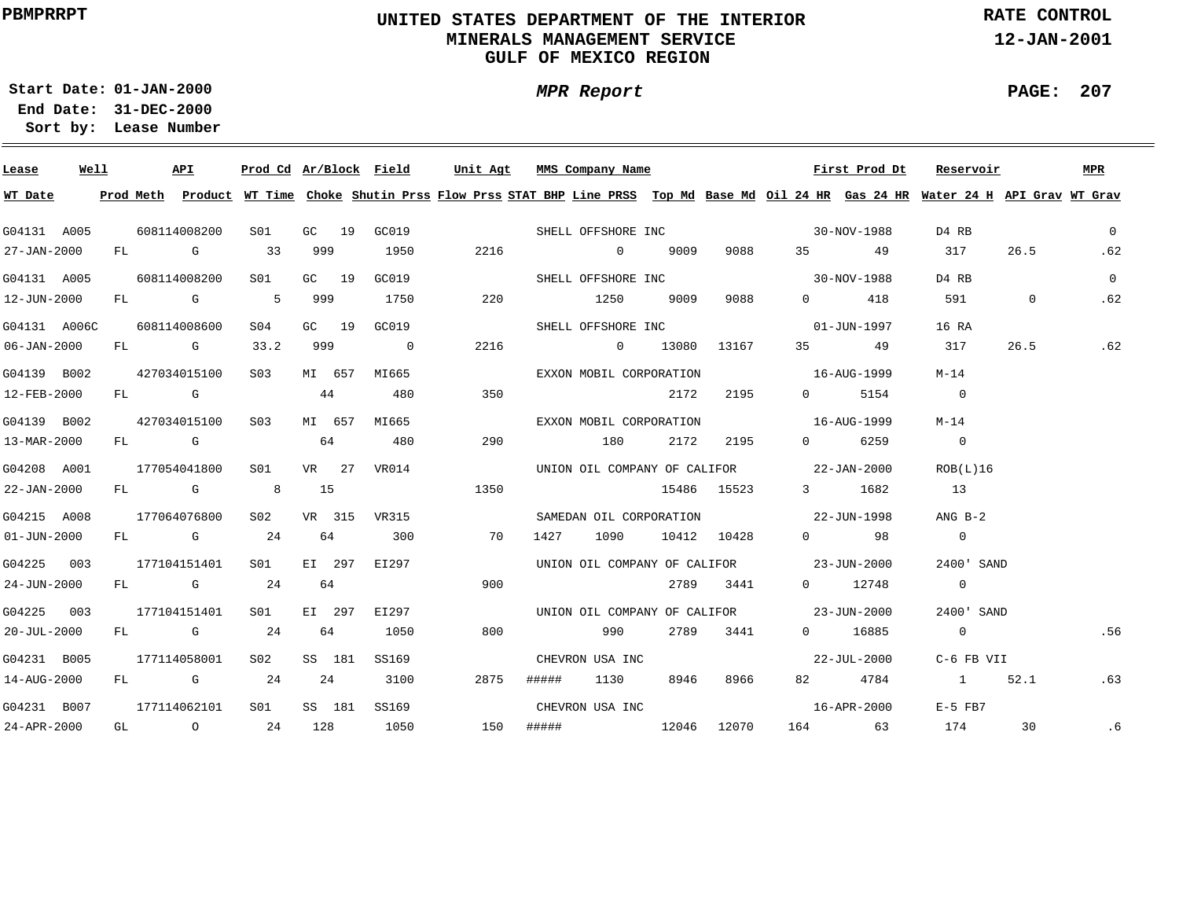## **UNITED STATES DEPARTMENT OF THE INTERIOR MINERALS MANAGEMENT SERVICEGULF OF MEXICO REGION**

**MPR Report**

**RATE CONTROL**

**12-JAN-2001**

÷

**01-JAN-2000Start Date:**

**31-DEC-2000 End Date: Lease Number Sort by:**

| Lease             | Well |  | API          |                  |       |    | <u>Prod Cd Ar/Block Field Unit Agt MMS Company Name</u> |    |      |                                                                                                                                                                                                                                |      |           |                                     | First Prod Dt                                                         | Reservoir                                                                                                                               |                | MPR            |
|-------------------|------|--|--------------|------------------|-------|----|---------------------------------------------------------|----|------|--------------------------------------------------------------------------------------------------------------------------------------------------------------------------------------------------------------------------------|------|-----------|-------------------------------------|-----------------------------------------------------------------------|-----------------------------------------------------------------------------------------------------------------------------------------|----------------|----------------|
| WT Date           |      |  |              |                  |       |    |                                                         |    |      |                                                                                                                                                                                                                                |      |           |                                     |                                                                       | Prod Meth Product WT Time Choke Shutin Prss Flow Prss STAT BHP Line PRSS Top Md Base Md Oil 24 HR Gas 24 HR Water 24 H API Grav WT Grav |                |                |
| G04131 A005       |      |  | 608114008200 |                  |       |    |                                                         |    |      |                                                                                                                                                                                                                                |      |           |                                     | S01 GC 19 GC019 SHELL OFFSHORE INC 30-NOV-1988                        | D4 RB                                                                                                                                   |                | $\Omega$       |
| 27-JAN-2000       |      |  |              | FL G 33 999      |       |    | 1950                                                    |    | 2216 | $\sim$ 0 9009                                                                                                                                                                                                                  |      |           | 9088 35 49                          |                                                                       | 317                                                                                                                                     | 26.5           | .62            |
| G04131 A005       |      |  | 608114008200 | S01              | GC 19 |    | GC019                                                   |    |      |                                                                                                                                                                                                                                |      |           |                                     | SHELL OFFSHORE INC 30-NOV-1988                                        | D4 RB                                                                                                                                   |                | $\overline{0}$ |
| 12-JUN-2000       |      |  |              | FL G 5 999       |       |    | 1750                                                    |    | 220  | 1250 9009                                                                                                                                                                                                                      |      | 9088      |                                     | $0 \qquad \qquad 418$                                                 | 591 591                                                                                                                                 | $\overline{0}$ | .62            |
| G04131 A006C      |      |  | 608114008600 | SO4              |       |    | GC 19 GC019                                             |    |      | SHELL OFFSHORE INC                                                                                                                                                                                                             |      |           |                                     | 01-JUN-1997                                                           | 16 RA                                                                                                                                   |                |                |
| 06-JAN-2000       |      |  | FL G 33.2    |                  |       |    | 999 0                                                   |    | 2216 |                                                                                                                                                                                                                                |      |           | $0$ 13080 13167 35 49               |                                                                       | 317                                                                                                                                     | 26.5           | .62            |
| G04139 B002       |      |  | 427034015100 |                  |       |    | S03 MI 657 MI665                                        |    |      |                                                                                                                                                                                                                                |      |           | EXXON MOBIL CORPORATION 16-AUG-1999 |                                                                       | M-14                                                                                                                                    |                |                |
| 12-FEB-2000       |      |  | FL G         |                  |       |    | 44 480                                                  |    | 350  |                                                                                                                                                                                                                                | 2172 | 2195      |                                     | 0 5154                                                                | $\overline{0}$                                                                                                                          |                |                |
| G04139 B002       |      |  | 427034015100 | S <sub>03</sub>  |       |    | MI 657 MI665                                            |    |      |                                                                                                                                                                                                                                |      |           |                                     | EXXON MOBIL CORPORATION 16-AUG-1999                                   | M-14                                                                                                                                    |                |                |
| 13-MAR-2000       |      |  | FL G         |                  |       |    | 64 480                                                  |    | 290  | 180 2172 2195                                                                                                                                                                                                                  |      |           |                                     | 0 6259                                                                | $\overline{0}$                                                                                                                          |                |                |
| G04208 A001       |      |  |              |                  |       |    |                                                         |    |      |                                                                                                                                                                                                                                |      |           |                                     | 177054041800 S01 VR 27 VR014 UNION OIL COMPANY OF CALIFOR 22-JAN-2000 | ROB(L)16                                                                                                                                |                |                |
| 22-JAN-2000       |      |  | FL G 8       |                  | 15    |    | 1350                                                    |    |      |                                                                                                                                                                                                                                |      |           | 15486 15523 3 1682                  |                                                                       | 13                                                                                                                                      |                |                |
| G04215 A008       |      |  | 177064076800 |                  |       |    |                                                         |    |      |                                                                                                                                                                                                                                |      |           |                                     | S02 VR 315 VR315 SAMEDAN OIL CORPORATION 22-JUN-1998                  | $ANG B-2$                                                                                                                               |                |                |
| $01 - JUN - 2000$ |      |  |              |                  |       |    | FL G 24 64 300                                          | 70 |      |                                                                                                                                                                                                                                |      |           | 1427 1090 10412 10428 0 98          |                                                                       | $\overline{0}$                                                                                                                          |                |                |
| G04225 003        |      |  |              |                  |       |    | 177104151401  S01  EI  297  EI  297                     |    |      |                                                                                                                                                                                                                                |      |           |                                     | UNION OIL COMPANY OF CALIFOR 23-JUN-2000                              | 2400' SAND                                                                                                                              |                |                |
| 24-JUN-2000       |      |  |              | FL G 24          | 64    |    |                                                         |    | 900  |                                                                                                                                                                                                                                |      |           | 2789 3441 0 12748                   |                                                                       | $\overline{0}$                                                                                                                          |                |                |
| G04225 003        |      |  | 177104151401 | S01              |       |    | EI 297 EI297                                            |    |      |                                                                                                                                                                                                                                |      |           |                                     | UNION OIL COMPANY OF CALIFOR 23-JUN-2000                              | 2400' SAND                                                                                                                              |                |                |
| $20 - JUL - 2000$ |      |  | FL G 24      |                  |       | 64 | 1050                                                    |    | 800  | 990 — 1990 — 1990 — 1990 — 1990 — 1990 — 1990 — 1990 — 1990 — 1990 — 1990 — 1990 — 1990 — 1990 — 1990 — 1990 — 1990 — 1990 — 1990 — 1990 — 1990 — 1990 — 1990 — 1990 — 1990 — 1990 — 1990 — 1990 — 1990 — 1990 — 1990 — 1990 — |      | 2789 3441 |                                     | 0 16885                                                               | $\overline{0}$                                                                                                                          |                | .56            |
| G04231 B005       |      |  |              | 177114058001 S02 |       |    | SS 181 SS169                                            |    |      | CHEVRON USA INC                                                                                                                                                                                                                |      |           |                                     | $22 - JUL - 2000$                                                     | C-6 FB VII                                                                                                                              |                |                |
| 14-AUG-2000       |      |  | $FL$ G 24    |                  | 24    |    | 3100                                                    |    | 2875 | ##### 1130 8946 8966                                                                                                                                                                                                           |      |           |                                     | 82 4784                                                               | 1 52.1                                                                                                                                  |                | .63            |
| G04231 B007       |      |  |              | 177114062101 S01 |       |    |                                                         |    |      |                                                                                                                                                                                                                                |      |           |                                     | SS 181 SS169 CHEVRON USA INC 16-APR-2000                              | E-5 FB7                                                                                                                                 |                |                |
| $24 - APR - 2000$ |      |  |              |                  |       |    | GL 0 24 128 1050                                        |    |      |                                                                                                                                                                                                                                |      |           |                                     | 150 ##### 12046 12070 164 63                                          | 174                                                                                                                                     | 30             | . 6            |

**PAGE: 207**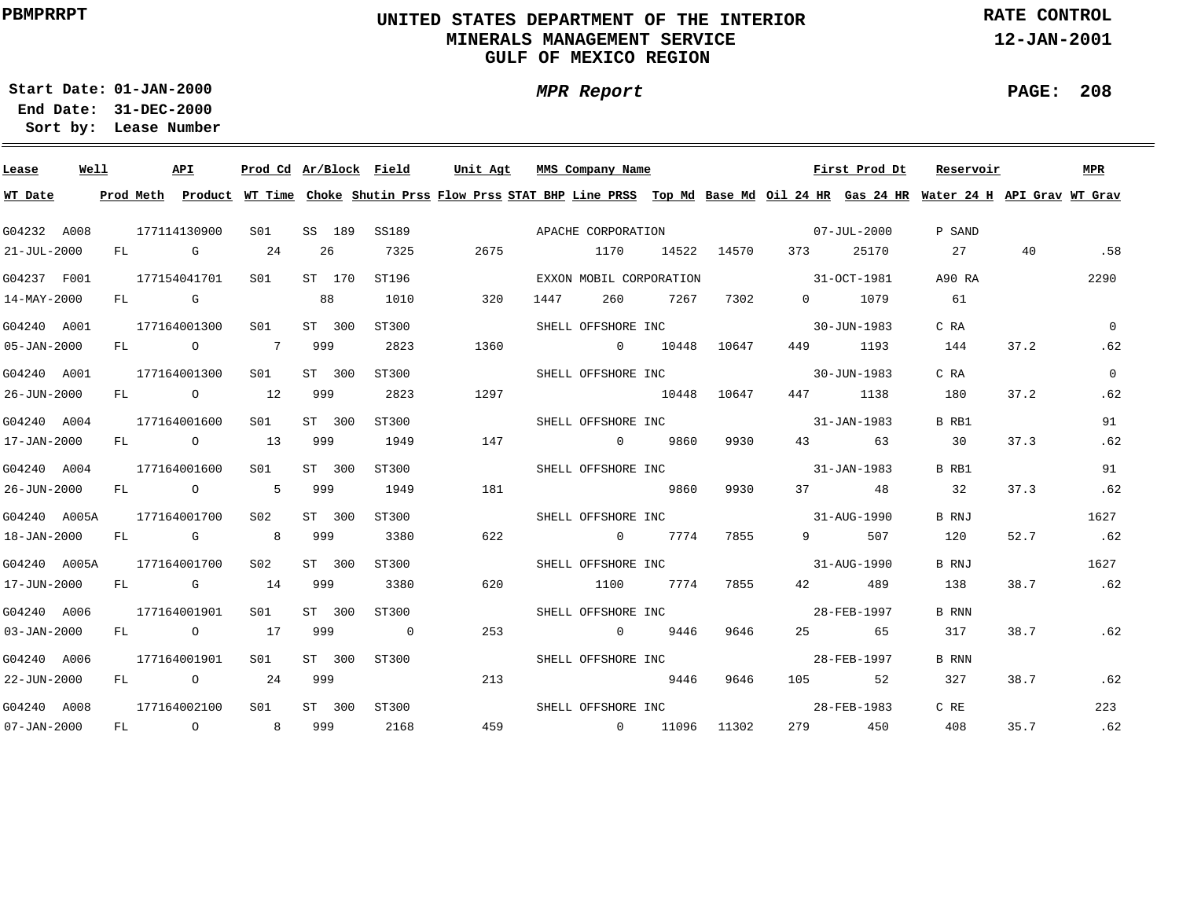## **UNITED STATES DEPARTMENT OF THE INTERIOR MINERALS MANAGEMENT SERVICEGULF OF MEXICO REGION**

**MPR Report**

**RATE CONTROL**

**12-JAN-2001**

**PAGE: 208**

÷

**01-JAN-2000Start Date:**

| Lease                    | Well |    |            | API            | Prod Cd Ar/Block Field |     |        |                | Unit Agt |      | MMS Company Name        |       |             |                                                         | First Prod Dt | Reservoir                                                                                                                               |      | <b>MPR</b>   |
|--------------------------|------|----|------------|----------------|------------------------|-----|--------|----------------|----------|------|-------------------------|-------|-------------|---------------------------------------------------------|---------------|-----------------------------------------------------------------------------------------------------------------------------------------|------|--------------|
| WT Date                  |      |    |            |                |                        |     |        |                |          |      |                         |       |             |                                                         |               | Prod Meth Product WT Time Choke Shutin Prss Flow Prss STAT BHP Line PRSS Top Md Base Md Oil 24 HR Gas 24 HR Water 24 H API Grav WT Grav |      |              |
| G04232 A008              |      |    |            | 177114130900   | SO1                    |     | SS 189 | SS189          |          |      | APACHE CORPORATION      |       |             | $07 - JUL - 2000$                                       |               | P SAND                                                                                                                                  |      |              |
| 21-JUL-2000              |      | FL | <b>G</b> G |                | 24                     | 26  |        | 7325           | 2675     |      | 1170                    |       | 14522 14570 | 373                                                     | 25170         | 27                                                                                                                                      | 40   | .58          |
| G04237 F001              |      |    |            | 177154041701   | S01                    |     | ST 170 | ST196          |          |      | EXXON MOBIL CORPORATION |       |             | 31-0CT-1981                                             |               | A90 RA                                                                                                                                  |      | 2290         |
| $14 - \text{MAX} - 2000$ |      | FL | <b>G</b>   |                |                        | 88  |        | 1010           | 320      | 1447 | 260                     | 7267  | 7302        | $\Omega$                                                | 1079          | 61                                                                                                                                      |      |              |
| G04240 A001              |      |    |            | 177164001300   | SO1                    |     | ST 300 | ST300          |          |      | SHELL OFFSHORE INC      |       |             |                                                         | 30-JUN-1983   | C RA                                                                                                                                    |      | $\mathbf{0}$ |
| 05-JAN-2000              |      | FL |            | $\overline{O}$ | $\overline{7}$         | 999 |        | 2823           | 1360     |      | $\sim$ 0                | 10448 | 10647       | 449                                                     | 1193          | 144                                                                                                                                     | 37.2 | .62          |
| G04240 A001              |      |    |            | 177164001300   | S01                    |     | ST 300 | ST300          |          |      | SHELL OFFSHORE INC      |       |             |                                                         | 30-JUN-1983   | C RA                                                                                                                                    |      | $\Omega$     |
| 26-JUN-2000              |      | FL |            | $\overline{O}$ | 12                     | 999 |        | 2823           | 1297     |      |                         | 10448 | 10647       | 447                                                     | 1138          | 180                                                                                                                                     | 37.2 | .62          |
| G04240 A004              |      |    |            | 177164001600   | S01                    |     | ST 300 | ST300          |          |      | SHELL OFFSHORE INC      |       |             |                                                         | 31-JAN-1983   | B RB1                                                                                                                                   |      | 91           |
| 17-JAN-2000              |      | FL |            | $\overline{O}$ | 13                     | 999 |        | 1949           | 147      |      | $\sim$ 0                | 9860  | 9930        | 43                                                      | 63            | 30                                                                                                                                      | 37.3 | .62          |
| G04240 A004              |      |    |            | 177164001600   | S01                    |     | ST 300 | ST300          |          |      | SHELL OFFSHORE INC      |       |             |                                                         | 31-JAN-1983   | B RB1                                                                                                                                   |      | 91           |
| 26-JUN-2000              |      | FL |            | $\overline{O}$ | 5                      | 999 |        | 1949           | 181      |      |                         | 9860  | 9930        | 37 — 1                                                  | 48            | 32                                                                                                                                      | 37.3 | .62          |
| G04240 A005A             |      |    |            | 177164001700   | S02                    |     | ST 300 | ST300          |          |      | SHELL OFFSHORE INC      |       |             | $31 - \text{AUG} - 1990$                                |               | B RNJ                                                                                                                                   |      | 1627         |
| 18-JAN-2000              |      | FL |            | <b>G</b> G     | $\sim$ 8               | 999 |        | 3380           | 622      |      | $\overline{0}$          | 7774  | 7855        | $9 \left( \begin{array}{ccc} 9 & 1 \end{array} \right)$ | 507           | 120                                                                                                                                     | 52.7 | .62          |
| G04240 A005A             |      |    |            | 177164001700   | S02                    |     | ST 300 | ST300          |          |      | SHELL OFFSHORE INC      |       |             | $31 - \text{AUG} - 1990$                                |               | B RNJ                                                                                                                                   |      | 1627         |
| 17-JUN-2000              |      |    |            | FL G           | 14                     | 999 |        | 3380           | 620      |      | 1100                    | 7774  | 7855        | 42 and $\sim$                                           | 489           | 138                                                                                                                                     | 38.7 | .62          |
| G04240 A006              |      |    |            | 177164001901   | S01                    |     | ST 300 | ST300          |          |      | SHELL OFFSHORE INC      |       |             |                                                         | 28-FEB-1997   | B RNN                                                                                                                                   |      |              |
| $03 - JAN - 2000$        |      |    |            | FL O           | 17                     | 999 |        | $\overline{0}$ | 253      |      | $\overline{0}$          | 9446  | 9646        | 25                                                      | 65            | 317                                                                                                                                     | 38.7 | .62          |
| G04240 A006              |      |    |            | 177164001901   | SO1                    |     | ST 300 | ST300          |          |      | SHELL OFFSHORE INC      |       |             |                                                         | 28-FEB-1997   | <b>B</b> RNN                                                                                                                            |      |              |
| 22-JUN-2000              |      | FL |            | $\overline{O}$ | 24                     | 999 |        |                | 213      |      |                         | 9446  | 9646        | 105                                                     | 52            | 327                                                                                                                                     | 38.7 | .62          |
| G04240 A008              |      |    |            | 177164002100   | SO1                    |     | ST 300 | ST300          |          |      | SHELL OFFSHORE INC      |       |             |                                                         | 28-FEB-1983   | C RE                                                                                                                                    |      | 223          |
| $07 - JAN - 2000$        |      | FL |            | $\overline{O}$ | 8                      | 999 |        | 2168           | 459      |      | $\sim$ 0                | 11096 | 11302       | 279                                                     | 450           | 408                                                                                                                                     | 35.7 | .62          |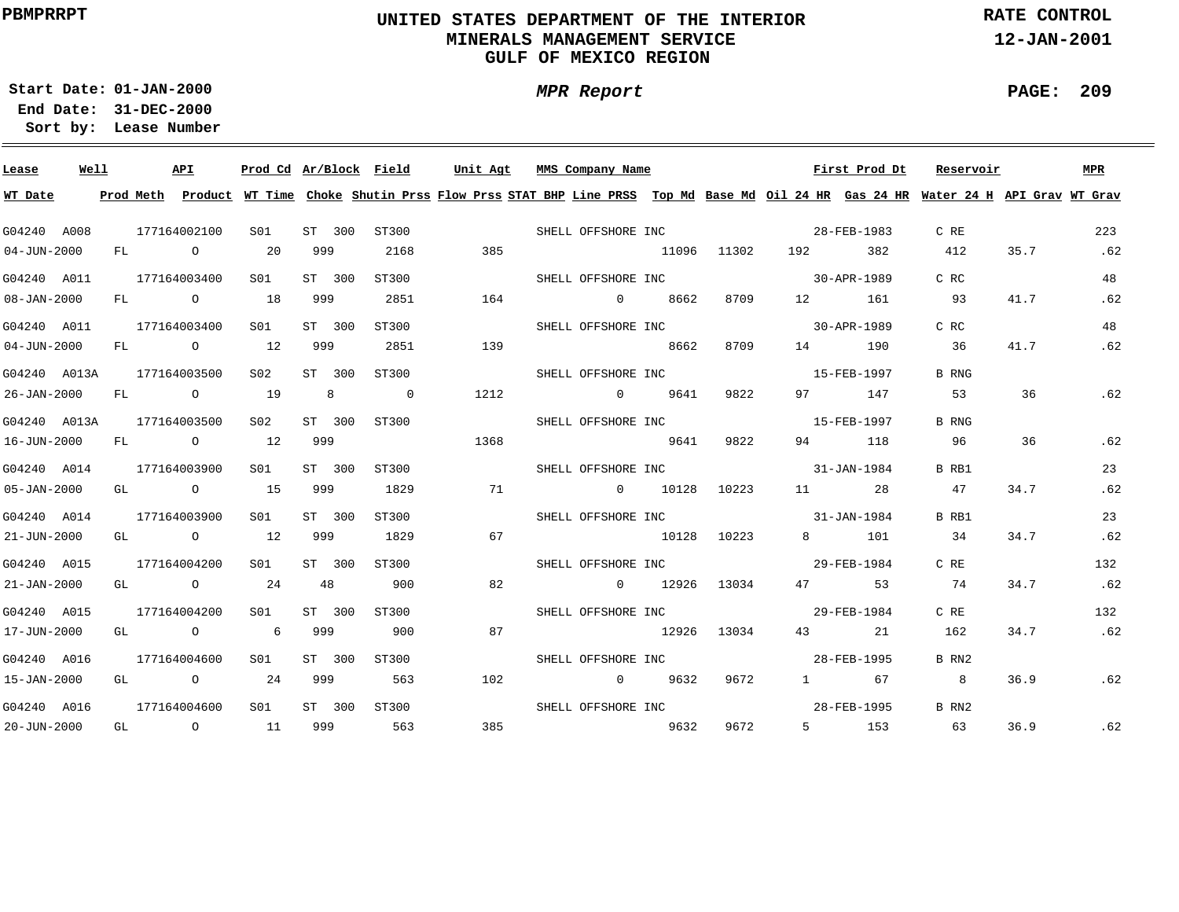## **UNITED STATES DEPARTMENT OF THE INTERIOR MINERALS MANAGEMENT SERVICEGULF OF MEXICO REGION**

**RATE CONTROL**

**12-JAN-2001**

÷

**PAGE: 209**

**01-JAN-2000Start Date:**

**31-DEC-2000 End Date: Lease Number Sort by:**

| Lease             | Well |  | API                       |                 |                    | Prod Cd Ar/Block Field |       | Unit Agt MMS Company Name                                                                                                               |      |      |      | First Prod Dt | Reservoir      |      | MPR |
|-------------------|------|--|---------------------------|-----------------|--------------------|------------------------|-------|-----------------------------------------------------------------------------------------------------------------------------------------|------|------|------|---------------|----------------|------|-----|
| WT Date           |      |  |                           |                 |                    |                        |       | Prod Meth Product WT Time Choke Shutin Prss Flow Prss STAT BHP Line PRSS Top Md Base Md Oil 24 HR Gas 24 HR Water 24 H API Grav WT Grav |      |      |      |               |                |      |     |
| G04240 A008       |      |  | 177164002100              | S01             | ST 300             | ST300                  |       | SHELL OFFSHORE INC 38-FEB-1983                                                                                                          |      |      |      |               | C RE           |      | 223 |
| $04 - JUN - 2000$ |      |  | FL 0 20                   |                 | 999                | 2168                   | 385   | 11096 11302 192 382                                                                                                                     |      |      |      |               | 412            | 35.7 | .62 |
| G04240 A011       |      |  | 177164003400              | S01             | ST 300             | ST300                  |       | SHELL OFFSHORE INC 30-APR-1989                                                                                                          |      |      |      |               | C RC           |      | 48  |
| $08 - JAN - 2000$ |      |  | FL 0 18                   |                 | 999                | 2851                   | 164   | $\sim$ 0 8662                                                                                                                           |      | 8709 |      | 12 161        | 93             | 41.7 | .62 |
| G04240 A011       |      |  | 177164003400              | S <sub>01</sub> | ST 300             | ST300                  |       | SHELL OFFSHORE INC                                                                                                                      |      |      |      | 30-APR-1989   | C RC           |      | 48  |
| $04 - JUN - 2000$ |      |  | FL 0 12                   |                 | 999                | 2851                   | 139   | 8662                                                                                                                                    |      | 8709 |      | 14 190        | 36             | 41.7 | .62 |
| G04240 A013A      |      |  | 177164003500              | S <sub>02</sub> | ST 300             | ST300                  |       | SHELL OFFSHORE INC                                                                                                                      |      |      |      | 15-FEB-1997   | <b>B</b> RNG   |      |     |
| 26-JAN-2000       |      |  | FL 0 19                   |                 | $8\qquad \qquad 0$ |                        | 1212  | $0$ 9641                                                                                                                                |      | 9822 |      | 97 147        | 53             | 36   | .62 |
|                   |      |  | G04240 A013A 177164003500 | S <sub>02</sub> | ST 300             | ST300                  |       | SHELL OFFSHORE INC                                                                                                                      |      |      |      | 15-FEB-1997   | B RNG          |      |     |
| 16-JUN-2000       |      |  | FL 0 12                   |                 | 999                |                        | 1368  |                                                                                                                                         | 9641 | 9822 |      | 94 118        | 96             | 36   | .62 |
| G04240 A014       |      |  | 177164003900              | S01 <b>S</b>    | ST 300             | ST300                  |       | SHELL OFFSHORE INC 31-JAN-1984                                                                                                          |      |      |      |               | B RB1          |      | 23  |
| $05 - JAN - 2000$ |      |  | GL 0 15                   |                 | 999                | 1829                   | 71    | $0$ 10128 10223 11 28                                                                                                                   |      |      |      |               | 47             | 34.7 | .62 |
| G04240 A014       |      |  | 177164003900              | S01             | ST 300             | ST300                  |       | SHELL OFFSHORE INC 31-JAN-1984                                                                                                          |      |      |      |               | B RB1          |      | 23  |
| 21-JUN-2000       |      |  | GL 0 12                   |                 | 999                | 1829                   | 67    | 10128 10223                                                                                                                             |      |      |      | 8 101         | 34             | 34.7 | .62 |
| G04240 A015       |      |  | 177164004200              | S <sub>01</sub> | ST 300             | ST300                  |       | SHELL OFFSHORE INC 29-FEB-1984                                                                                                          |      |      |      |               | C RE           |      | 132 |
| $21 - JAN - 2000$ |      |  | GL 0 24 48                |                 |                    | 900                    | 82    | $0$ 12926 13034                                                                                                                         |      |      |      | 47 53         | 74             | 34.7 | .62 |
| G04240 A015       |      |  | 177164004200              | S01 <b>S</b>    | ST 300             | ST300                  |       | SHELL OFFSHORE INC 29-FEB-1984                                                                                                          |      |      |      |               | C RE           |      | 132 |
| 17-JUN-2000       |      |  | GL 0 6 999                |                 |                    | 900                    | 87    | 12926 13034                                                                                                                             |      |      |      | 43 21         | 162            | 34.7 | .62 |
| G04240 A016       |      |  | 177164004600              | S01             | ST 300 ST300       |                        |       | SHELL OFFSHORE INC                                                                                                                      |      |      |      | 28-FEB-1995   | B RN2          |      |     |
| 15-JAN-2000       |      |  | GL 0 24 999               |                 |                    | 563                    | 102   | $0$ 9632                                                                                                                                |      | 9672 | 1 67 |               | 8 <sup>8</sup> | 36.9 | .62 |
| G04240 A016       |      |  | 177164004600              | S01             | ST 300 ST300       |                        |       | SHELL OFFSHORE INC                                                                                                                      |      |      |      | 28-FEB-1995   | B RN2          |      |     |
| 20-JUN-2000       |      |  | GL 0 11                   |                 |                    | 999 563                | 385 — | 9632                                                                                                                                    |      | 9672 |      | 5 153         | 63             | 36.9 | .62 |

**MPR Report**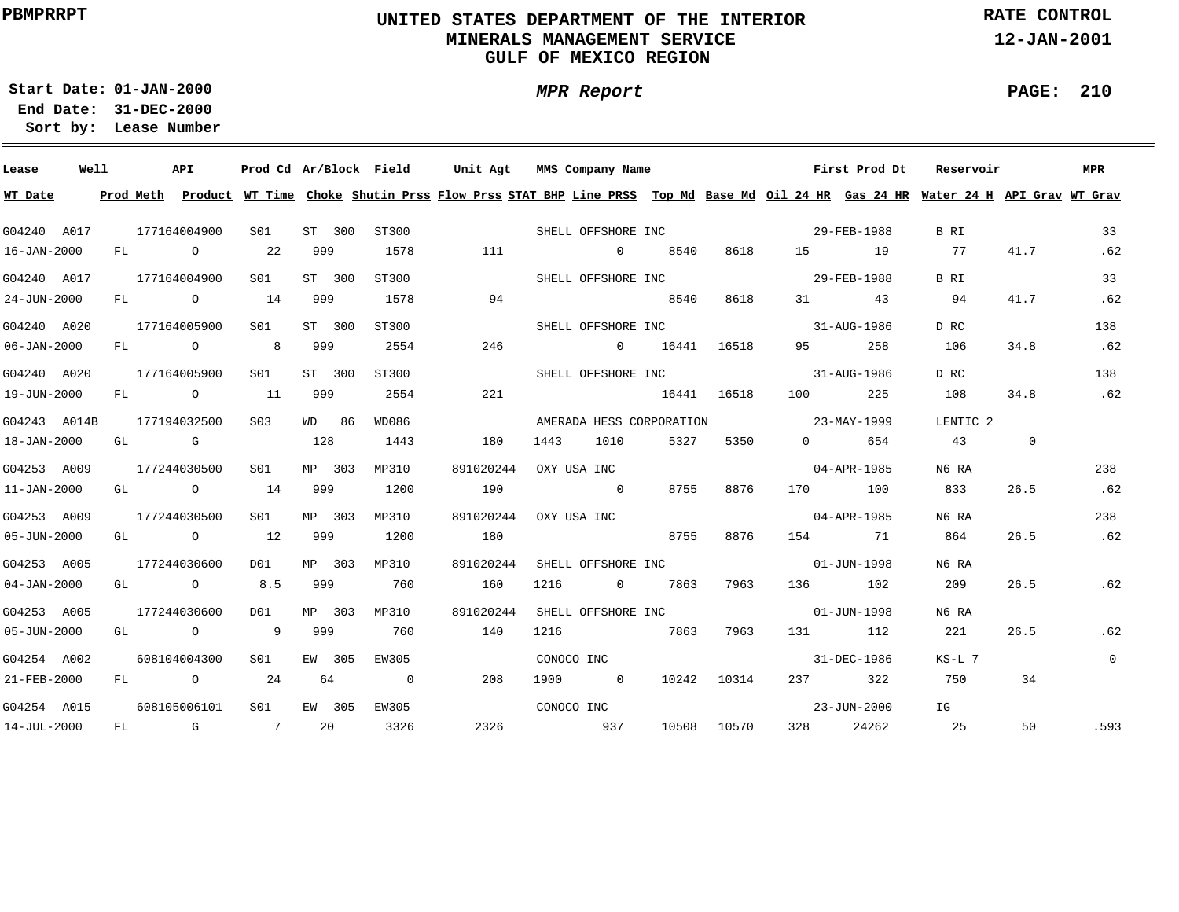## **UNITED STATES DEPARTMENT OF THE INTERIOR MINERALS MANAGEMENT SERVICEGULF OF MEXICO REGION**

**MPR Report**

**RATE CONTROL**

**12-JAN-2001**

÷

**01-JAN-2000Start Date:31-DEC-2000 End Date:** 

**Lease Number Sort by:**

| Lease             | Well |    | API                                   | Prod Cd Ar/Block Field |        |                | Unit Agt  | MMS Company Name         |                |       |             |                          | First Prod Dt | Reservoir                                                                                                                               |             | MPR            |
|-------------------|------|----|---------------------------------------|------------------------|--------|----------------|-----------|--------------------------|----------------|-------|-------------|--------------------------|---------------|-----------------------------------------------------------------------------------------------------------------------------------------|-------------|----------------|
| WT Date           |      |    |                                       |                        |        |                |           |                          |                |       |             |                          |               | Prod Meth Product WT Time Choke Shutin Prss Flow Prss STAT BHP Line PRSS Top Md Base Md Oil 24 HR Gas 24 HR Water 24 H API Grav WT Grav |             |                |
| G04240 A017       |      |    | 177164004900                          | S01                    | ST 300 | ST300          |           | SHELL OFFSHORE INC       |                |       |             |                          | 29-FEB-1988   | B RI                                                                                                                                    |             | 33             |
| 16-JAN-2000       |      | FL | $\overline{O}$                        | 22                     | 999    | 1578           | 111       |                          | $\overline{0}$ | 8540  | 8618        | 15 (19)                  | 19            | 77                                                                                                                                      | 41.7        | .62            |
| G04240 A017       |      |    | 177164004900                          | S01                    | ST 300 | ST300          |           | SHELL OFFSHORE INC       |                |       |             |                          | 29-FEB-1988   | B RI                                                                                                                                    |             | 33             |
| 24-JUN-2000       |      |    | FL O                                  | 14                     | 999    | 1578           | 94        |                          |                | 8540  | 8618        | 31                       | 43            | 94                                                                                                                                      | 41.7        | .62            |
| G04240 A020       |      |    | 177164005900                          | S01                    | ST 300 | ST300          |           | SHELL OFFSHORE INC       |                |       |             | $31 - \text{AUG} - 1986$ |               | D RC                                                                                                                                    |             | 138            |
| $06 - JAN - 2000$ |      | FL | $\overline{O}$                        | 8                      | 999    | 2554           | 246       | $\sim$ 0                 |                | 16441 | 16518       | 95 — 1                   | 258           | 106                                                                                                                                     | 34.8        | .62            |
| G04240 A020       |      |    | 177164005900                          | SO1                    | ST 300 | ST300          |           | SHELL OFFSHORE INC       |                |       |             | $31 - \text{AUG} - 1986$ |               | D RC                                                                                                                                    |             | 138            |
| 19-JUN-2000       |      | FL | $\overline{O}$                        | 11                     | 999    | 2554           | 221       |                          |                | 16441 | 16518       | 100                      | 225           | 108                                                                                                                                     | 34.8        | .62            |
| G04243 A014B      |      |    | 177194032500                          | S <sub>03</sub>        | WD 86  | WD086          |           | AMERADA HESS CORPORATION |                |       |             |                          | 23-MAY-1999   | LENTIC <sub>2</sub>                                                                                                                     |             |                |
| 18-JAN-2000       |      | GL | <b>G</b>                              |                        | 128    | 1443           | 180       | 1443                     | 1010           | 5327  | 5350        | $0 \qquad \qquad$        | 654           | 43                                                                                                                                      | $\mathbf 0$ |                |
| G04253 A009       |      |    | 177244030500                          | S01                    | MP 303 | MP310          | 891020244 | OXY USA INC              |                |       |             |                          | 04-APR-1985   | N6 RA                                                                                                                                   |             | 238            |
| $11 - JAN - 2000$ |      |    | GL $\qquad \qquad 0 \qquad \qquad 14$ |                        | 999    | 1200           | 190       | $\overline{0}$           |                | 8755  | 8876        |                          | 170 100       | 833                                                                                                                                     | 26.5        | .62            |
| G04253 A009       |      |    | 177244030500                          | SO1                    | MP 303 | MP310          | 891020244 | OXY USA INC              |                |       |             |                          | 04-APR-1985   | N6 RA                                                                                                                                   |             | 238            |
| $05 - JUN - 2000$ |      |    | GL $\qquad \qquad 0 \qquad \qquad 12$ |                        | 999    | 1200           | 180       |                          |                | 8755  | 8876        |                          | 154 71        | 864                                                                                                                                     | 26.5        | .62            |
| G04253 A005       |      |    | 177244030600                          | DO 1                   | MP 303 | MP310          | 891020244 | SHELL OFFSHORE INC       |                |       |             | 01-JUN-1998              |               | N6 RA                                                                                                                                   |             |                |
| $04 - JAN - 2000$ |      |    | GL O                                  | 8.5                    | 999    | 760            | 160       | 1216                     | $\overline{0}$ | 7863  | 7963        |                          | 136 102       | 209                                                                                                                                     | 26.5        | .62            |
| G04253 A005       |      |    | 177244030600                          | D01                    | MP 303 | MP310          | 891020244 | SHELL OFFSHORE INC       |                |       |             |                          | 01-JUN-1998   | N6 RA                                                                                                                                   |             |                |
| 05-JUN-2000       |      |    | GL O                                  | 9                      | 999    | 760            | 140       | 1216                     |                | 7863  | 7963        |                          | 131 112       | 221                                                                                                                                     | 26.5        | .62            |
| G04254 A002       |      |    | 608104004300                          | S01                    | EW 305 | EW305          |           | CONOCO INC               |                |       |             |                          | 31-DEC-1986   | KS-L 7                                                                                                                                  |             | $\overline{0}$ |
| 21-FEB-2000       |      | FL | $\overline{O}$                        | 24                     | 64     | $\overline{0}$ | 208       | 1900                     | $\overline{0}$ |       | 10242 10314 |                          | 237 322       | 750                                                                                                                                     | 34          |                |
| G04254 A015       |      |    | 608105006101                          | S <sub>01</sub>        | EW 305 | EW305          |           | CONOCO INC               |                |       |             |                          | 23-JUN-2000   | IG                                                                                                                                      |             |                |
| 14-JUL-2000       |      |    | FL G                                  | $\overline{7}$         | 20     | 3326           | 2326      | 937                      |                | 10508 | 10570       |                          | 328 24262     | 25                                                                                                                                      | 50          | .593           |

**PAGE: 210**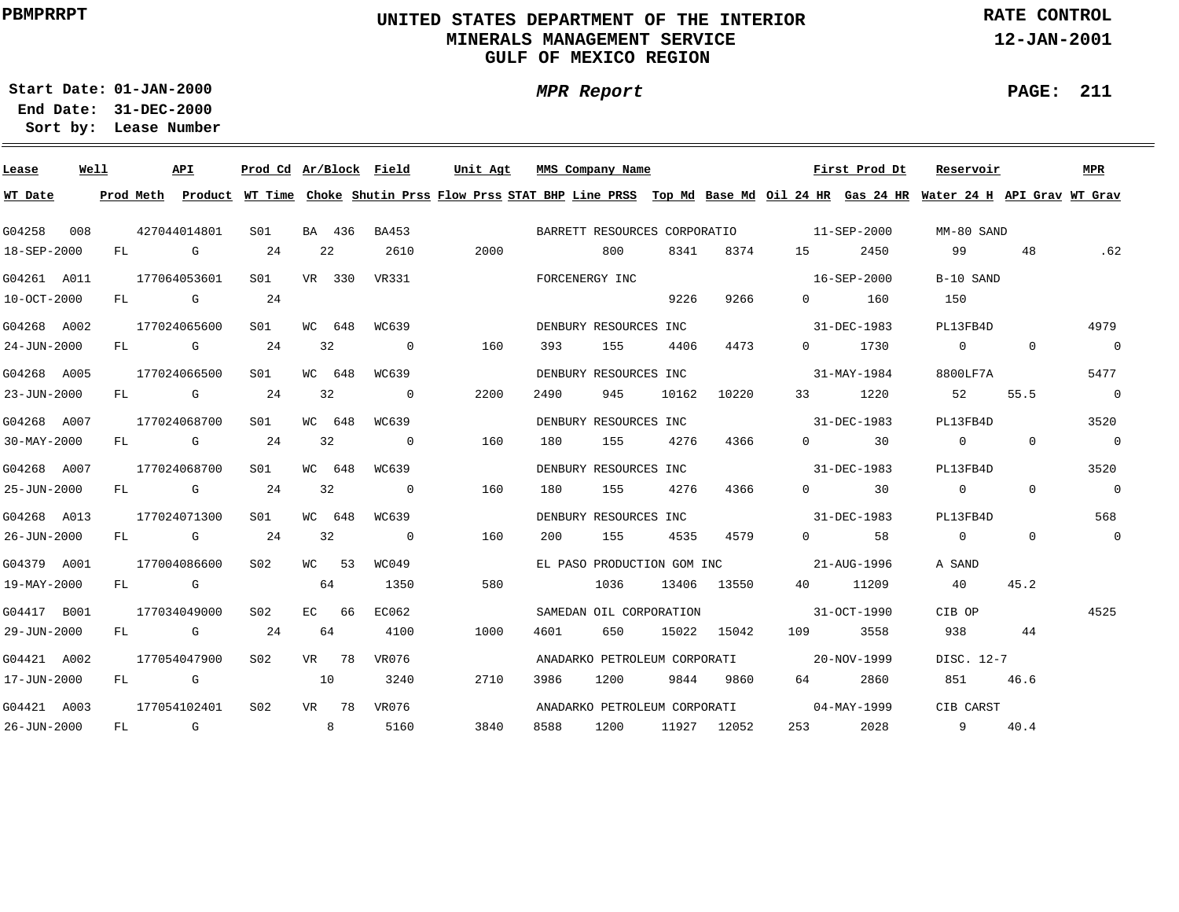## **UNITED STATES DEPARTMENT OF THE INTERIOR MINERALS MANAGEMENT SERVICEGULF OF MEXICO REGION**

**MPR Report**

**RATE CONTROL**

**12-JAN-2001**

**PAGE: 211**

÷

**01-JAN-2000Start Date:31-DEC-2000 End Date:** 

| Lease       | Well |    |             | API                                                                                                                                                                                                                            | Prod Cd Ar/Block |    |        | Field                    | Unit Agt |      | MMS Company Name             |       |             |                   | First Prod Dt               | Reservoir                                                                                                                     |                | MPR            |
|-------------|------|----|-------------|--------------------------------------------------------------------------------------------------------------------------------------------------------------------------------------------------------------------------------|------------------|----|--------|--------------------------|----------|------|------------------------------|-------|-------------|-------------------|-----------------------------|-------------------------------------------------------------------------------------------------------------------------------|----------------|----------------|
| WT Date     |      |    | Prod Meth   |                                                                                                                                                                                                                                |                  |    |        |                          |          |      |                              |       |             |                   |                             | Product WT Time Choke Shutin Prss Flow Prss STAT BHP Line PRSS Top Md Base Md Oil 24 HR Gas 24 HR Water 24 H API Grav WT Grav |                |                |
| G04258      | 008  |    |             | 427044014801                                                                                                                                                                                                                   | SO1              |    | BA 436 | BA453                    |          |      | BARRETT RESOURCES CORPORATIO |       |             | $11 - SEP - 2000$ |                             | MM-80 SAND                                                                                                                    |                |                |
| 18-SEP-2000 |      | FL |             | G                                                                                                                                                                                                                              | 24               |    | 22     | 2610                     | 2000     |      | 800                          | 8341  | 8374        | 15                | 2450                        | 99                                                                                                                            | 48             | .62            |
| G04261 A011 |      |    |             | 177064053601                                                                                                                                                                                                                   | SO1 SO           |    | VR 330 | VR331                    |          |      | FORCENERGY INC               |       |             |                   | 16-SEP-2000                 | B-10 SAND                                                                                                                     |                |                |
| 10-OCT-2000 |      | FL | $\mathbb G$ |                                                                                                                                                                                                                                | 24               |    |        |                          |          |      |                              | 9226  | 9266        | $0 \qquad \qquad$ | 160                         | 150                                                                                                                           |                |                |
| G04268 A002 |      |    |             | 177024065600                                                                                                                                                                                                                   | SO1              |    | WC 648 | WC639                    |          |      | DENBURY RESOURCES INC        |       |             |                   | 31-DEC-1983                 | PL13FB4D                                                                                                                      |                | 4979           |
| 24-JUN-2000 |      |    |             | FL G                                                                                                                                                                                                                           | 24               |    | 32     | $\overline{0}$           | 160      | 393  | 155                          | 4406  | 4473        | $\overline{0}$    | 1730                        | $\sim$ 0 $\sim$ 0                                                                                                             | $\overline{0}$ | $\overline{0}$ |
| G04268 A005 |      |    |             | 177024066500                                                                                                                                                                                                                   | S01              |    | WC 648 | WC639                    |          |      | DENBURY RESOURCES INC        |       |             |                   | 31-MAY-1984                 | 8800LF7A                                                                                                                      |                | 5477           |
| 23-JUN-2000 |      | FL |             | G G                                                                                                                                                                                                                            | 24               | 32 |        | $\overline{\mathbf{0}}$  | 2200     | 2490 | 945                          | 10162 | 10220       | 33                | 1220                        | 52                                                                                                                            | 55.5           | $\overline{0}$ |
| G04268 A007 |      |    |             | 177024068700                                                                                                                                                                                                                   | S01              |    | WC 648 | WC639                    |          |      | DENBURY RESOURCES INC        |       |             |                   | 31-DEC-1983                 | PL13FB4D                                                                                                                      |                | 3520           |
| 30-MAY-2000 |      | FL |             | <b>G</b>                                                                                                                                                                                                                       | 24               |    | 32     | $\overline{0}$           | 160      | 180  | 155                          | 4276  | 4366        |                   | 30<br>$\Omega$ and $\Omega$ | $\circ$                                                                                                                       | $\Omega$       | $\overline{0}$ |
| G04268 A007 |      |    |             | 177024068700                                                                                                                                                                                                                   | S01              |    | WC 648 | WC639                    |          |      | DENBURY RESOURCES INC        |       |             |                   | 31-DEC-1983                 | PL13FB4D                                                                                                                      |                | 3520           |
| 25-JUN-2000 |      | FL |             | <b>G</b> G                                                                                                                                                                                                                     | 24               | 32 |        | $\overline{\phantom{0}}$ | 160      | 180  | 155                          | 4276  | 4366        |                   | $0 \qquad \qquad$ 30        | $\overline{0}$                                                                                                                | $\Omega$       | $\overline{0}$ |
| G04268 A013 |      |    |             | 177024071300                                                                                                                                                                                                                   | S01              |    | WC 648 | WC639                    |          |      | DENBURY RESOURCES INC        |       |             |                   | 31-DEC-1983                 | PL13FB4D                                                                                                                      |                | 568            |
| 26-JUN-2000 |      |    |             | FL G                                                                                                                                                                                                                           | 24               | 32 |        | $\overline{0}$           | 160      | 200  | 155                          | 4535  | 4579        |                   | 58<br>$\Omega$              | $\overline{0}$                                                                                                                | $\Omega$       | $\mathbf 0$    |
| G04379 A001 |      |    |             | 177004086600                                                                                                                                                                                                                   | S02              |    | WC 53  | WC049                    |          |      | EL PASO PRODUCTION GOM INC   |       |             | 21-AUG-1996       |                             | A SAND                                                                                                                        |                |                |
| 19-MAY-2000 |      |    |             | FL G                                                                                                                                                                                                                           |                  | 64 |        | 1350                     | 580      |      | 1036                         |       | 13406 13550 | 40 — 10           | 11209                       | 40                                                                                                                            | 45.2           |                |
| G04417 B001 |      |    |             | 177034049000                                                                                                                                                                                                                   | S02              |    | EC 66  | EC062                    |          |      | SAMEDAN OIL CORPORATION      |       |             |                   | 31-OCT-1990                 | CIB OP                                                                                                                        |                | 4525           |
| 29-JUN-2000 |      | FL |             | and the Company of the Company of the Company of the Company of the Company of the Company of the Company of the Company of the Company of the Company of the Company of the Company of the Company of the Company of the Comp | 24               | 64 |        | 4100                     | 1000     | 4601 | 650                          |       | 15022 15042 | 109               | 3558                        | 938                                                                                                                           | 44             |                |
| G04421 A002 |      |    |             | 177054047900                                                                                                                                                                                                                   | S02              |    | VR 78  | VR076                    |          |      | ANADARKO PETROLEUM CORPORATI |       |             |                   | 20-NOV-1999                 | DISC. 12-7                                                                                                                    |                |                |
| 17-JUN-2000 |      | FL |             | $\mathbb G$                                                                                                                                                                                                                    |                  | 10 |        | 3240                     | 2710     | 3986 | 1200                         | 9844  | 9860        | 64 — 10           | 2860                        | 851                                                                                                                           | 46.6           |                |
| G04421 A003 |      |    |             | 177054102401                                                                                                                                                                                                                   | S02              |    | VR 78  | VR076                    |          |      | ANADARKO PETROLEUM CORPORATI |       |             |                   | 04-MAY-1999                 | CIB CARST                                                                                                                     |                |                |
| 26-JUN-2000 |      | FL |             | <b>G</b>                                                                                                                                                                                                                       |                  |    | 8      | 5160                     | 3840     | 8588 | 1200                         |       | 11927 12052 | 253               | 2028                        | $9^{\circ}$                                                                                                                   | 40.4           |                |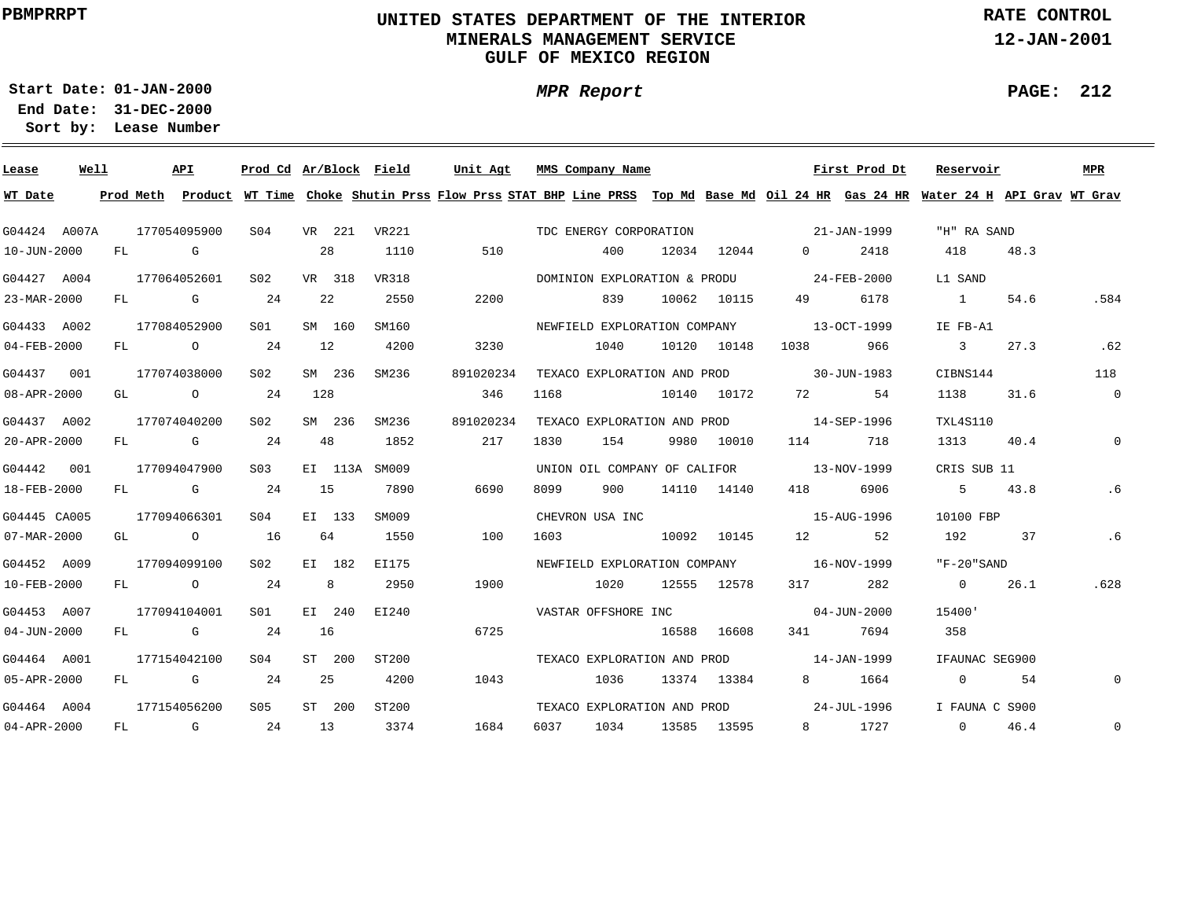## **UNITED STATES DEPARTMENT OF THE INTERIOR MINERALS MANAGEMENT SERVICEGULF OF MEXICO REGION**

**MPR Report**

**RATE CONTROL**

**12-JAN-2001**

**PAGE: 212**

÷

**01-JAN-2000Start Date:31-DEC-2000 End Date:** 

| Lease             | Well |    |      | API                                                                                                                                                                                                                            | Prod Cd Ar/Block Field |                |        |               | Unit Agt  |      | MMS Company Name             |             |                                          | First Prod Dt     | Reservoir                                                                                                                               |      | <b>MPR</b>     |
|-------------------|------|----|------|--------------------------------------------------------------------------------------------------------------------------------------------------------------------------------------------------------------------------------|------------------------|----------------|--------|---------------|-----------|------|------------------------------|-------------|------------------------------------------|-------------------|-----------------------------------------------------------------------------------------------------------------------------------------|------|----------------|
| WT Date           |      |    |      |                                                                                                                                                                                                                                |                        |                |        |               |           |      |                              |             |                                          |                   | Prod Meth Product WT Time Choke Shutin Prss Flow Prss STAT BHP Line PRSS Top Md Base Md Oil 24 HR Gas 24 HR Water 24 H API Grav WT Grav |      |                |
| G04424 A007A      |      |    |      | 177054095900                                                                                                                                                                                                                   | S <sub>04</sub>        |                |        | VR 221 VR221  |           |      | TDC ENERGY CORPORATION       |             | $21 - JAN - 1999$                        |                   | "H" RA SAND                                                                                                                             |      |                |
| 10-JUN-2000       |      |    | FL G |                                                                                                                                                                                                                                |                        |                | 28     | 1110          | 510       |      | 400                          | 12034 12044 | $\Omega$                                 | 2418              | 418                                                                                                                                     | 48.3 |                |
| G04427 A004       |      |    |      | 177064052601                                                                                                                                                                                                                   | S <sub>02</sub>        |                | VR 318 | VR318         |           |      |                              |             | DOMINION EXPLORATION & PRODU 24-FEB-2000 |                   | L1 SAND                                                                                                                                 |      |                |
| 23-MAR-2000       |      |    |      | FL G                                                                                                                                                                                                                           | 24                     |                | 22     | 2550          | 2200      |      | 839                          | 10062 10115 | 49 — 10                                  | 6178              | $\sim$ 1                                                                                                                                | 54.6 | .584           |
| G04433 A002       |      |    |      | 177084052900                                                                                                                                                                                                                   | SO1                    |                | SM 160 | SM160         |           |      |                              |             | NEWFIELD EXPLORATION COMPANY 13-OCT-1999 |                   | IE FB-A1                                                                                                                                |      |                |
| $04 - FEB - 2000$ |      | FL |      | $\overline{O}$                                                                                                                                                                                                                 | 24                     | 12             |        | 4200          | 3230      |      | 1040                         | 10120 10148 |                                          | 966               | $\overline{\mathbf{3}}$                                                                                                                 | 27.3 | .62            |
| G04437 001        |      |    |      | 177074038000                                                                                                                                                                                                                   | S02                    |                | SM 236 | SM236         | 891020234 |      | TEXACO EXPLORATION AND PROD  |             | $30 - JUN - 1983$                        |                   | CIBNS144                                                                                                                                |      | 118            |
| $08 - APR - 2000$ |      | GL |      | $\overline{O}$                                                                                                                                                                                                                 | 24                     | 128            |        |               | 346       | 1168 | 10140 10172                  |             | 72 — 1                                   | -54               | 1138                                                                                                                                    | 31.6 | $\overline{0}$ |
| G04437 A002       |      |    |      | 177074040200                                                                                                                                                                                                                   | S02                    |                | SM 236 | SM236         | 891020234 |      |                              |             | TEXACO EXPLORATION AND PROD 14-SEP-1996  |                   | TXL4S110                                                                                                                                |      |                |
| 20-APR-2000       |      | FL |      | and the control of the control of the control of the control of the control of the control of the control of the control of the control of the control of the control of the control of the control of the control of the cont | 24                     |                | 48     | 1852          | 217       | 1830 | 154                          | 9980 10010  | 114                                      | 718               | 1313 40.4                                                                                                                               |      | $\mathbf 0$    |
| G04442 001        |      |    |      | 177094047900                                                                                                                                                                                                                   | S03                    |                |        | EI 113A SM009 |           |      | UNION OIL COMPANY OF CALIFOR |             |                                          | 13-NOV-1999       | CRIS SUB 11                                                                                                                             |      |                |
| 18-FEB-2000       |      |    |      | FL G                                                                                                                                                                                                                           | 24                     | 15             |        | 7890          | 6690      | 8099 | 900                          | 14110 14140 |                                          | 418 6906          | 5                                                                                                                                       | 43.8 | .6             |
| G04445 CA005      |      |    |      | 177094066301                                                                                                                                                                                                                   | S04                    |                | EI 133 | SM009         |           |      | CHEVRON USA INC              |             |                                          | 15-AUG-1996       | 10100 FBP                                                                                                                               |      |                |
| 07-MAR-2000       |      |    |      | GL O                                                                                                                                                                                                                           | 16                     |                | 64     | 1550          | 100       | 1603 | 10092 10145                  |             | 12                                       | 52                | 192                                                                                                                                     | 37   | .6             |
| G04452 A009       |      |    |      | 177094099100                                                                                                                                                                                                                   | S02                    |                | EI 182 | EI175         |           |      |                              |             | NEWFIELD EXPLORATION COMPANY 16-NOV-1999 |                   | "F-20"SAND                                                                                                                              |      |                |
| $10 - FEB - 2000$ |      |    |      | FL 0 24                                                                                                                                                                                                                        |                        | 8 <sup>8</sup> |        | 2950          | 1900      |      | 1020                         | 12555 12578 |                                          | 317 282           | $\overline{0}$                                                                                                                          | 26.1 | .628           |
| G04453 A007       |      |    |      | 177094104001                                                                                                                                                                                                                   | SO1 SO                 |                | EI 240 | EI240         |           |      | VASTAR OFFSHORE INC          |             |                                          | $04 - JUN - 2000$ | 15400'                                                                                                                                  |      |                |
| $04 - JUN - 2000$ |      |    |      | FL G                                                                                                                                                                                                                           | 24                     | 16             |        |               | 6725      |      |                              | 16588 16608 |                                          | 341 7694          | 358                                                                                                                                     |      |                |
| G04464 A001       |      |    |      | 177154042100                                                                                                                                                                                                                   | SO4                    |                | ST 200 | ST200         |           |      |                              |             | TEXACO EXPLORATION AND PROD 14-JAN-1999  |                   | IFAUNAC SEG900                                                                                                                          |      |                |
| 05-APR-2000       |      |    |      | FL G                                                                                                                                                                                                                           | 24                     | 25             |        | 4200          | 1043      |      | 1036                         | 13374 13384 |                                          | 8 1664            | $0 \qquad \qquad$                                                                                                                       | 54   | 0              |
| G04464 A004       |      |    |      | 177154056200                                                                                                                                                                                                                   | S05                    |                | ST 200 | ST200         |           |      |                              |             | TEXACO EXPLORATION AND PROD 24-JUL-1996  |                   | I FAUNA C S900                                                                                                                          |      |                |
| $04 - APR - 2000$ |      |    |      | FL G 24                                                                                                                                                                                                                        |                        |                | 13     | 3374          | 1684      | 6037 | 1034                         | 13585 13595 |                                          | 8 1727            | $\Omega$                                                                                                                                | 46.4 | $\mathbf 0$    |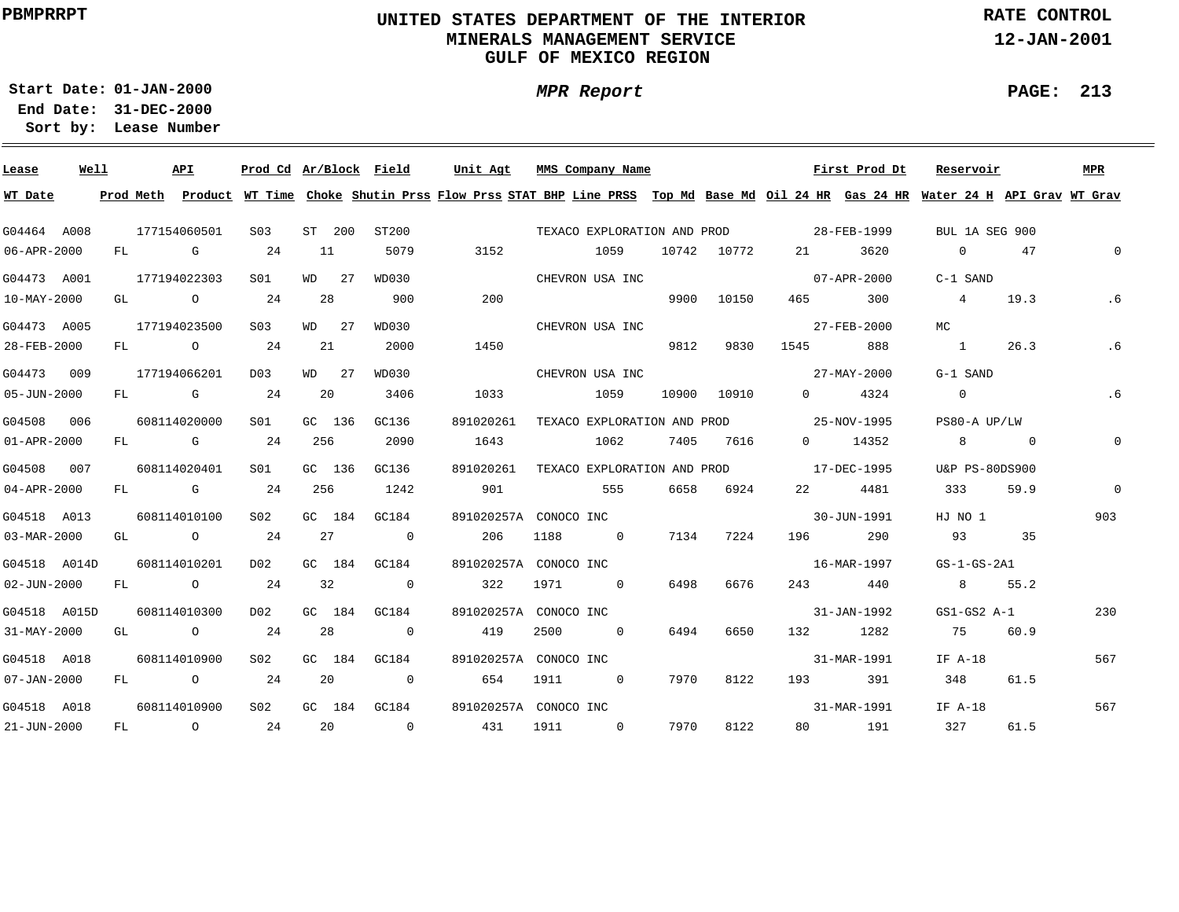## **UNITED STATES DEPARTMENT OF THE INTERIOR MINERALS MANAGEMENT SERVICEGULF OF MEXICO REGION**

**MPR Report**

**RATE CONTROL**

**12-JAN-2001**

**PAGE: 213**

÷

**01-JAN-2000Start Date:**

| Lease             | Well |           | API                                                                                                                                                                                                                            |         | Prod Cd Ar/Block Field |          |    |                | Unit Agt                                                                                                              |      | MMS Company Name            |       |       |                       | First Prod Dt | Reservoir      |                | MPR         |
|-------------------|------|-----------|--------------------------------------------------------------------------------------------------------------------------------------------------------------------------------------------------------------------------------|---------|------------------------|----------|----|----------------|-----------------------------------------------------------------------------------------------------------------------|------|-----------------------------|-------|-------|-----------------------|---------------|----------------|----------------|-------------|
| WT Date           |      | Prod Meth |                                                                                                                                                                                                                                | Product |                        |          |    |                | WT Time Choke Shutin Prss Flow Prss STAT BHP Line PRSS Top Md Base Md Oil 24 HR Gas 24 HR Water 24 H API Grav WT Grav |      |                             |       |       |                       |               |                |                |             |
| G04464 A008       |      |           | 177154060501                                                                                                                                                                                                                   |         | S <sub>03</sub>        | ST 200   |    | ST200          |                                                                                                                       |      | TEXACO EXPLORATION AND PROD |       |       |                       | 28-FEB-1999   | BUL 1A SEG 900 |                |             |
| 06-APR-2000       |      | FL        |                                                                                                                                                                                                                                | G       | 24                     | 11       |    | 5079           | 3152                                                                                                                  |      | 1059                        | 10742 | 10772 | 21                    | 3620          | $\circ$        | 47             | $\Omega$    |
| G04473 A001       |      |           | 177194022303                                                                                                                                                                                                                   |         | S01                    | WD       | 27 | WD030          |                                                                                                                       |      | CHEVRON USA INC             |       |       |                       | 07-APR-2000   | C-1 SAND       |                |             |
| 10-MAY-2000       |      | GL        | $\overline{O}$                                                                                                                                                                                                                 |         | 24                     | 28       |    | 900            | 200                                                                                                                   |      |                             | 9900  | 10150 | 465                   | 300           | $\overline{4}$ | 19.3           | .6          |
| G04473 A005       |      |           | 177194023500                                                                                                                                                                                                                   |         | S <sub>03</sub>        | WD 27    |    | WD030          |                                                                                                                       |      | CHEVRON USA INC             |       |       |                       | 27-FEB-2000   | МC             |                |             |
| 28-FEB-2000       |      | FL        | $\overline{O}$                                                                                                                                                                                                                 |         | 24                     | 21       |    | 2000           | 1450                                                                                                                  |      |                             | 9812  | 9830  | 1545                  | 888           | $\sim$ 1       | 26.3           | . 6         |
| G04473            | 009  |           | 177194066201                                                                                                                                                                                                                   |         | D03                    | $WD$ 2.7 |    | WD030          |                                                                                                                       |      | CHEVRON USA INC             |       |       |                       | 27-MAY-2000   | G-1 SAND       |                |             |
| 05-JUN-2000       |      | FL        | and the control of the control of the control of the control of the control of the control of the control of the control of the control of the control of the control of the control of the control of the control of the cont |         | 24                     | 20       |    | 3406           | 1033                                                                                                                  |      | 1059                        | 10900 | 10910 | $\Omega$ and $\Omega$ | 4324          | $\overline{0}$ |                | .6          |
| G04508            | 006  |           | 608114020000                                                                                                                                                                                                                   |         | S01                    | GC 136   |    | GC136          | 891020261                                                                                                             |      | TEXACO EXPLORATION AND PROD |       |       | 25-NOV-1995           |               | PS80-A UP/LW   |                |             |
| $01 - APR - 2000$ |      | FL        | <b>G</b> G                                                                                                                                                                                                                     |         | 24                     | 256      |    | 2090           | 1643                                                                                                                  |      | 1062                        | 7405  | 7616  | $\Omega$              | 14352         | 8 <sup>8</sup> | $\overline{0}$ | $\mathbf 0$ |
| G04508            | 007  |           | 608114020401                                                                                                                                                                                                                   |         | S01                    | GC 136   |    | GC136          | 891020261                                                                                                             |      | TEXACO EXPLORATION AND PROD |       |       | 17-DEC-1995           |               | U&P PS-80DS900 |                |             |
| $04 - APR - 2000$ |      | FL        | in the control of the control of the control of the control of the control of the control of the control of th                                                                                                                 |         | 24                     | 256      |    | 1242           | 901                                                                                                                   |      | 555                         | 6658  | 6924  | 22                    | 4481          | 333            | 59.9           | $\Omega$    |
| G04518 A013       |      |           | 608114010100                                                                                                                                                                                                                   |         | S02                    | GC 184   |    | GC184          | 891020257A CONOCO INC                                                                                                 |      |                             |       |       |                       | 30-JUN-1991   | HJ NO 1        |                | 903         |
| 03-MAR-2000       |      | GL        | $\overline{a}$                                                                                                                                                                                                                 |         | 24                     | 27       |    | $\overline{0}$ | 206                                                                                                                   | 1188 | $\overline{0}$              | 7134  | 7224  | 196                   | 290           | 93             | 35             |             |
| G04518 A014D      |      |           | 608114010201                                                                                                                                                                                                                   |         | D02                    | GC 184   |    | GC184          | 891020257A CONOCO INC                                                                                                 |      |                             |       |       |                       | 16-MAR-1997   | $GS-1-GS-2A1$  |                |             |
| $02 - JUN - 2000$ |      | FL        |                                                                                                                                                                                                                                | $\circ$ | 24                     | 32       |    | $\overline{0}$ | 322                                                                                                                   | 1971 | $\overline{0}$              | 6498  | 6676  | 243                   | 440           | 8              | 55.2           |             |
| G04518 A015D      |      |           | 608114010300                                                                                                                                                                                                                   |         | D02                    | GC 184   |    | GC184          | 891020257A CONOCO INC                                                                                                 |      |                             |       |       |                       | 31-JAN-1992   | $GS1-GS2 A-1$  |                | 230         |
| 31-MAY-2000       |      | GL        | $\overline{a}$                                                                                                                                                                                                                 |         | 24                     | 28       |    | $\circ$        | 419                                                                                                                   | 2500 | $\Omega$                    | 6494  | 6650  | 132                   | 1282          | 75             | 60.9           |             |
| G04518 A018       |      |           | 608114010900                                                                                                                                                                                                                   |         | S02                    | GC 184   |    | GC184          | 891020257A CONOCO INC                                                                                                 |      |                             |       |       |                       | 31-MAR-1991   | IF A-18        |                | 567         |
| $07 - JAN - 2000$ |      | FL        | $\overline{O}$                                                                                                                                                                                                                 |         | 24                     | 20       |    | $\overline{0}$ | 654                                                                                                                   | 1911 | $\overline{0}$              | 7970  | 8122  | 193                   | 391           | 348            | 61.5           |             |
| G04518 A018       |      |           | 608114010900                                                                                                                                                                                                                   |         | SO <sub>2</sub>        | $GC$ 184 |    | GC184          | 891020257A CONOCO INC                                                                                                 |      |                             |       |       |                       | 31-MAR-1991   | IF A-18        |                | 567         |
| 21-JUN-2000       |      | FL        | $\overline{O}$                                                                                                                                                                                                                 |         | 24                     | 20       |    | $\sim$ 0       | 431                                                                                                                   | 1911 | $\overline{0}$              | 7970  | 8122  | 80                    | 191           | 327            | 61.5           |             |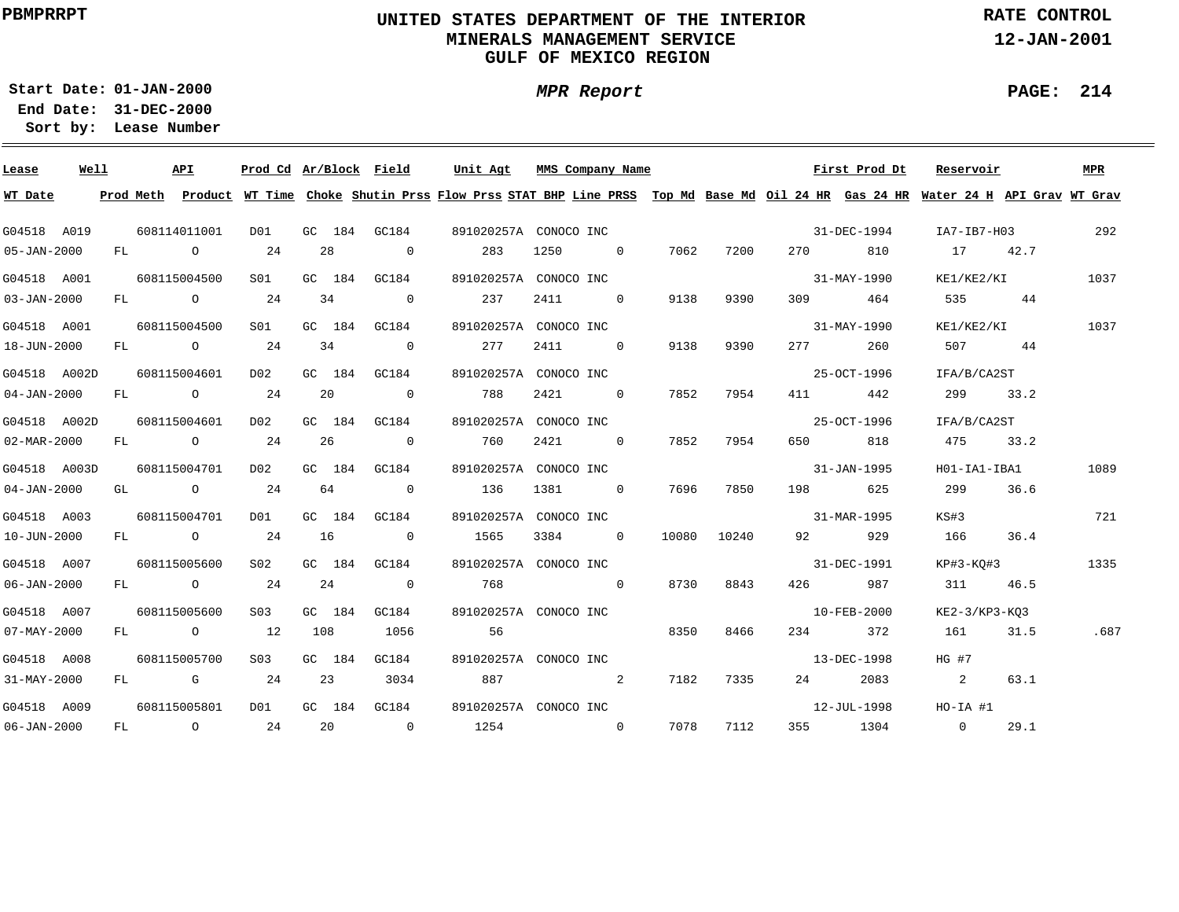## **UNITED STATES DEPARTMENT OF THE INTERIOR MINERALS MANAGEMENT SERVICEGULF OF MEXICO REGION**

**MPR Report**

**RATE CONTROL**

**12-JAN-2001**

**PAGE: 214**

÷

**01-JAN-2000Start Date:31-DEC-2000 End Date:** 

| Lease             | Well |    | API            | Prod Cd Ar/Block Field |        |                          | Unit Agt | MMS Company Name      |                |      |             |                                                                                                                                                                                                                                 | First Prod Dt | Reservoir                                                                                                                               |      | MPR  |
|-------------------|------|----|----------------|------------------------|--------|--------------------------|----------|-----------------------|----------------|------|-------------|---------------------------------------------------------------------------------------------------------------------------------------------------------------------------------------------------------------------------------|---------------|-----------------------------------------------------------------------------------------------------------------------------------------|------|------|
| WT Date           |      |    |                |                        |        |                          |          |                       |                |      |             |                                                                                                                                                                                                                                 |               | Prod Meth Product WT Time Choke Shutin Prss Flow Prss STAT BHP Line PRSS Top Md Base Md Oil 24 HR Gas 24 HR Water 24 H API Grav WT Grav |      |      |
| G04518 A019       |      |    | 608114011001   | DO1                    |        | GC 184 GC184             |          | 891020257A CONOCO INC |                |      |             |                                                                                                                                                                                                                                 | 31-DEC-1994   | IA7-IB7-H03                                                                                                                             |      | 292  |
| 05-JAN-2000       |      |    | FL O           | 24                     | 28     | $\overline{0}$           | 283      | 1250                  | $\overline{0}$ | 7062 | 7200        | 270 — 270 — 270 — 270 — 270 — 270 — 270 — 270 — 270 — 270 — 270 — 270 — 270 — 270 — 270 — 270 — 270 — 270 — 270 — 270 — 270 — 270 — 270 — 270 — 270 — 270 — 270 — 270 — 270 — 270 — 270 — 270 — 270 — 270 — 270 — 270 — 270 — 2 | 810           | 17 42.7                                                                                                                                 |      |      |
| G04518 A001       |      |    | 608115004500   | S01                    |        | GC 184 GC184             |          | 891020257A CONOCO INC |                |      |             |                                                                                                                                                                                                                                 | 31-MAY-1990   | KE1/KE2/KI                                                                                                                              |      | 1037 |
| 03-JAN-2000       |      |    | FL O           | 24                     | 34     | $\overline{0}$           | 237      | 2411                  | $\sim$ 0       | 9138 | 9390        |                                                                                                                                                                                                                                 | 309 464       | 535 44                                                                                                                                  |      |      |
| G04518 A001       |      |    | 608115004500   | S01                    |        | GC 184 GC184             |          | 891020257A CONOCO INC |                |      |             |                                                                                                                                                                                                                                 | 31-MAY-1990   | KE1/KE2/KI                                                                                                                              |      | 1037 |
| 18-JUN-2000       |      |    | FL O           | 24                     | 34     | $\overline{\mathbf{0}}$  | 277      | 2411                  | $\overline{0}$ | 9138 | 9390        | 277                                                                                                                                                                                                                             | 260           | 507 — 100                                                                                                                               | 44   |      |
| G04518 A002D      |      |    | 608115004601   | D02                    |        | GC 184 GC184             |          | 891020257A CONOCO INC |                |      |             |                                                                                                                                                                                                                                 | 25-OCT-1996   | IFA/B/CA2ST                                                                                                                             |      |      |
| $04 - JAN - 2000$ |      |    | FL 0 24        |                        | 20     | $\overline{\phantom{0}}$ | 788      | 2421                  | $\overline{0}$ | 7852 | 7954        | 411 \                                                                                                                                                                                                                           | 442           | 299 — 201                                                                                                                               | 33.2 |      |
| G04518 A002D      |      |    | 608115004601   | D02                    |        | GC 184 GC184             |          | 891020257A CONOCO INC |                |      |             |                                                                                                                                                                                                                                 | 25-OCT-1996   | IFA/B/CA2ST                                                                                                                             |      |      |
| 02-MAR-2000       |      | FL | $\overline{O}$ | 24                     | 26     | $\overline{\phantom{0}}$ | 760      | 2421                  | $\overline{0}$ | 7852 | 7954        | 650 — 100                                                                                                                                                                                                                       | 818           | 475                                                                                                                                     | 33.2 |      |
| G04518 A003D      |      |    | 608115004701   | D02                    |        | GC 184 GC184             |          | 891020257A CONOCO INC |                |      |             |                                                                                                                                                                                                                                 | 31-JAN-1995   | H01-IA1-IBA1                                                                                                                            |      | 1089 |
| $04 - JAN - 2000$ |      |    | GL O           | 24                     | 64     | $\overline{0}$           | 136      | 1381                  | $\overline{0}$ | 7696 | 7850        |                                                                                                                                                                                                                                 | 198 625       | 299 36.6                                                                                                                                |      |      |
| G04518 A003       |      |    | 608115004701   | DO1                    | GC 184 | GC184                    |          | 891020257A CONOCO INC |                |      |             | 31-MAR-1995                                                                                                                                                                                                                     |               | KS#3                                                                                                                                    |      | 721  |
| 10-JUN-2000       |      |    | FL 0 24        |                        | 16     | $\overline{0}$           | 1565     | 3384 0                |                |      | 10080 10240 | 92 — 10                                                                                                                                                                                                                         | 929           | 166 36.4                                                                                                                                |      |      |
| G04518 A007       |      |    | 608115005600   | S02                    |        | GC 184 GC184             |          | 891020257A CONOCO INC |                |      |             |                                                                                                                                                                                                                                 | 31-DEC-1991   | KP#3-KO#3                                                                                                                               |      | 1335 |
| 06-JAN-2000       |      |    | FL O           | 24                     | 24     | $\overline{0}$           | 768      | $\sim$ 0              |                | 8730 | 8843        | 426                                                                                                                                                                                                                             | 987           | 311                                                                                                                                     | 46.5 |      |
| G04518 A007       |      |    | 608115005600   | S03                    | GC 184 | GC184                    |          | 891020257A CONOCO INC |                |      |             |                                                                                                                                                                                                                                 | 10-FEB-2000   | KE2-3/KP3-KO3                                                                                                                           |      |      |
| $07 - MAX - 2000$ |      |    | FL O           | 12                     | 108    | 1056                     | 56       |                       |                | 8350 | 8466        | 234                                                                                                                                                                                                                             | 372           | 161                                                                                                                                     | 31.5 | .687 |
| G04518 A008       |      |    | 608115005700   | S03                    | GC 184 | GC184                    |          | 891020257A CONOCO INC |                |      |             |                                                                                                                                                                                                                                 | 13-DEC-1998   | HG #7                                                                                                                                   |      |      |
| 31-MAY-2000       |      |    | FL G           | 24                     | 23     | 3034                     | 887      | $\sim$ 2              |                | 7182 | 7335        | 24 \                                                                                                                                                                                                                            | 2083          | 2                                                                                                                                       | 63.1 |      |
| G04518 A009       |      |    | 608115005801   | D01                    |        | GC 184 GC184             |          | 891020257A CONOCO INC |                |      |             |                                                                                                                                                                                                                                 | 12-JUL-1998   | HO-IA #1                                                                                                                                |      |      |
| 06-JAN-2000       |      |    | FL 0 24        |                        | 20     | $\overline{0}$           |          | $1254$ 0              |                | 7078 | 7112        |                                                                                                                                                                                                                                 | 355 1304      | $\overline{0}$                                                                                                                          | 29.1 |      |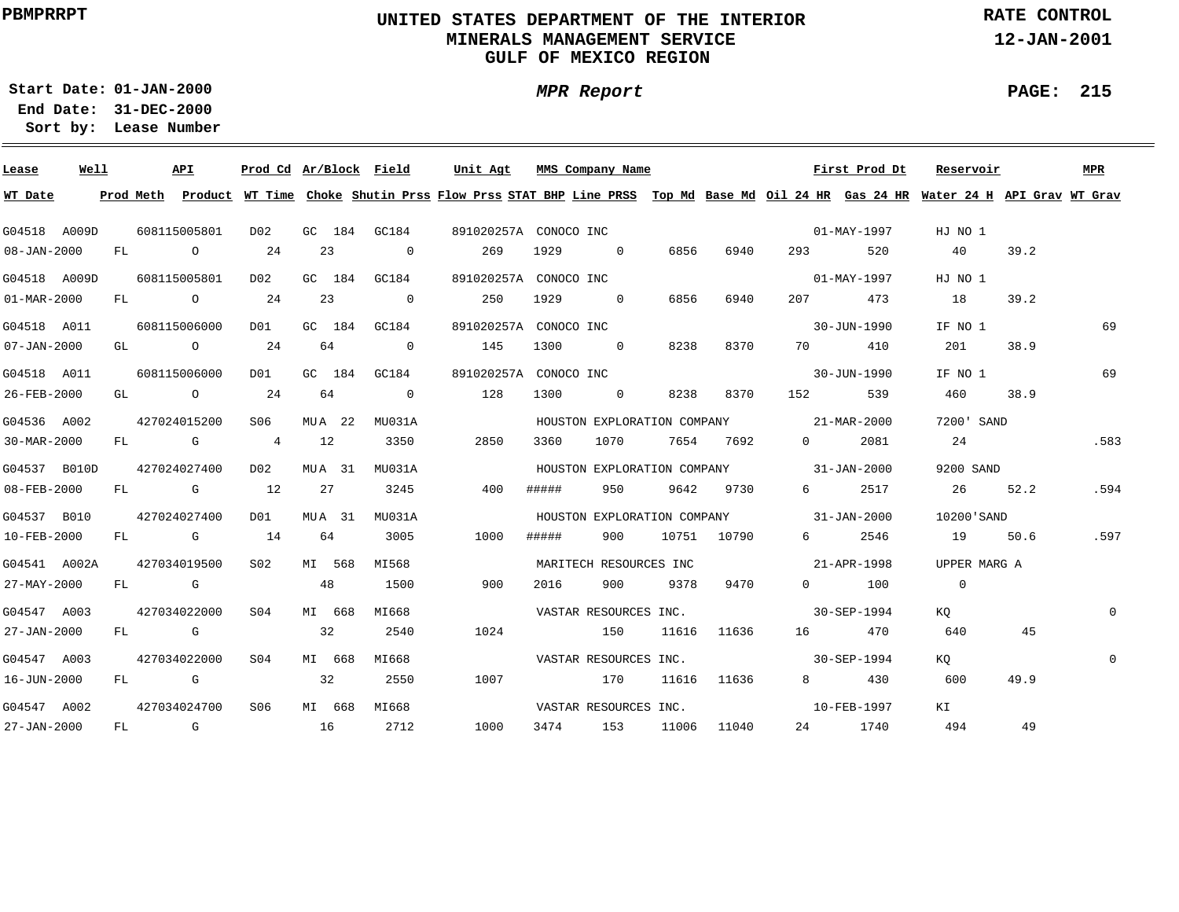## **UNITED STATES DEPARTMENT OF THE INTERIOR MINERALS MANAGEMENT SERVICEGULF OF MEXICO REGION**

**MPR Report**

**RATE CONTROL**

**12-JAN-2001**

**01-JAN-2000Start Date:31-DEC-2000 End Date:** 

**Lease Number Sort by:**

| Lease                    | Well |    |            | API            | Prod Cd Ar/Block Field |          |        |                | Unit Agt              |       | MMS Company Name          |       |             |                                         | First Prod Dt | Reservoir                                                                                                                               |      | MPR         |
|--------------------------|------|----|------------|----------------|------------------------|----------|--------|----------------|-----------------------|-------|---------------------------|-------|-------------|-----------------------------------------|---------------|-----------------------------------------------------------------------------------------------------------------------------------------|------|-------------|
| WT Date                  |      |    |            |                |                        |          |        |                |                       |       |                           |       |             |                                         |               | Prod Meth Product WT Time Choke Shutin Prss Flow Prss STAT BHP Line PRSS Top Md Base Md Oil 24 HR Gas 24 HR Water 24 H API Grav WT Grav |      |             |
| G04518 A009D             |      |    |            | 608115005801   | D02                    |          |        | GC 184 GC184   | 891020257A CONOCO INC |       |                           |       |             |                                         | 01-MAY-1997   | HJ NO 1                                                                                                                                 |      |             |
| 08-JAN-2000              |      | FL |            | $\overline{O}$ | 24                     | 23       |        | $\overline{0}$ | 269                   | 1929  | $\sim$ 0                  | 6856  | 6940        | 293 — 2014                              | 520           | 40                                                                                                                                      | 39.2 |             |
| G04518 A009D             |      |    |            | 608115005801   | D02                    |          |        | GC 184 GC184   | 891020257A CONOCO INC |       |                           |       |             |                                         | 01-MAY-1997   | HJ NO 1                                                                                                                                 |      |             |
| $01 - \text{MAR} - 2000$ |      | FL |            | $\overline{O}$ | 24                     | 23       |        | $\overline{0}$ | 250                   | 1929  | $\overline{0}$            | 6856  | 6940        | 207                                     | 473           | 18                                                                                                                                      | 39.2 |             |
| G04518 A011              |      |    |            | 608115006000   | D01                    |          | GC 184 | GC184          | 891020257A CONOCO INC |       |                           |       |             |                                         | 30-JUN-1990   | IF NO 1                                                                                                                                 |      | 69          |
| $07 - JAN - 2000$        |      |    |            | GL O           | 24                     | 64       |        | $\overline{0}$ | 145                   | 1300  | $\overline{0}$            | 8238  | 8370        | 70 — 20                                 | 410           | 201                                                                                                                                     | 38.9 |             |
| G04518 A011              |      |    |            | 608115006000   | DO1                    | GC 184   |        | GC184          | 891020257A CONOCO INC |       |                           |       |             |                                         | 30-JUN-1990   | IF NO 1                                                                                                                                 |      | 69          |
| 26-FEB-2000              |      |    |            | GL O           | 24                     | 64       |        | $\overline{0}$ | 128                   | 1300  | $\sim$ 0                  | 8238  | 8370        | 152 and 152                             | 539           | 460                                                                                                                                     | 38.9 |             |
| G04536 A002              |      |    |            | 427024015200   | S06                    | $MUA$ 22 |        | MU031A         |                       |       |                           |       |             | HOUSTON EXPLORATION COMPANY 21-MAR-2000 |               | 7200' SAND                                                                                                                              |      |             |
| 30-MAR-2000              |      |    |            | FL G           | $\overline{4}$         | 12       |        | 3350           | 2850                  | 3360  | 1070                      |       | 7654 7692   | $0 \qquad \qquad$                       | 2081          | 24                                                                                                                                      |      | .583        |
| G04537 B010D             |      |    |            | 427024027400   | DO 2                   | MUA 31   |        | MU031A         |                       |       |                           |       |             | HOUSTON EXPLORATION COMPANY 31-JAN-2000 |               | 9200 SAND                                                                                                                               |      |             |
| 08-FEB-2000              |      |    |            | FL G           | 12                     | 27       |        | 3245           | 400                   | ##### | 950                       | 9642  | 9730        | $6 \quad \sigma$                        | 2517          | 26                                                                                                                                      | 52.2 | .594        |
| G04537 B010              |      |    |            | 427024027400   | DO1                    | MUA 31   |        | MU031A         |                       |       |                           |       |             | HOUSTON EXPLORATION COMPANY 31-JAN-2000 |               | 10200'SAND                                                                                                                              |      |             |
| 10-FEB-2000              |      | FL |            | $\mathbb G$    | 14                     | 64       |        | 3005           | 1000                  | ##### | 900                       |       | 10751 10790 | $6 \qquad \qquad$                       | 2546          | 19                                                                                                                                      | 50.6 | .597        |
| G04541 A002A             |      |    |            | 427034019500   | S02                    | MI 568   |        | MI568          |                       |       | MARITECH RESOURCES INC    |       |             |                                         | 21-APR-1998   | UPPER MARG A                                                                                                                            |      |             |
| 27-MAY-2000              |      | FL | <b>G</b> G |                |                        | 48       |        | 1500           | 900                   | 2016  | 900                       | 9378  | 9470        |                                         | $0$ 100       | $\overline{0}$                                                                                                                          |      |             |
| G04547 A003              |      |    |            | 427034022000   | S04                    | MI 668   |        | MI668          |                       |       | VASTAR RESOURCES INC.     |       |             |                                         | 30-SEP-1994   | KO                                                                                                                                      |      | $\mathbf 0$ |
| 27-JAN-2000              |      |    | FL G       |                |                        | 32       |        | 2540           | 1024                  |       | 150                       | 11616 | 11636       |                                         | 16 470        | 640                                                                                                                                     | 45   |             |
| G04547 A003              |      |    |            | 427034022000   | S04                    | MI 668   |        | MI668          |                       |       | VASTAR RESOURCES INC.     |       |             |                                         | 30-SEP-1994   | KO .                                                                                                                                    |      | $\Omega$    |
| 16-JUN-2000              |      | FL |            | <b>G</b>       |                        | 32       |        | 2550           | 1007                  |       | 170                       |       | 11616 11636 | 8 - 10                                  | 430           | 600                                                                                                                                     | 49.9 |             |
| G04547 A002              |      |    |            | 427034024700   | S06                    |          | MI 668 | MI668          |                       |       | VASTAR RESOURCES INC.     |       |             |                                         | 10-FEB-1997   | KI                                                                                                                                      |      |             |
| 27-JAN-2000              |      |    |            |                | FL G 16 2712           |          |        |                |                       |       | 1000 3474 153 11006 11040 |       |             |                                         | 24 1740       | 494                                                                                                                                     | 49   |             |

#### **PAGE: 215**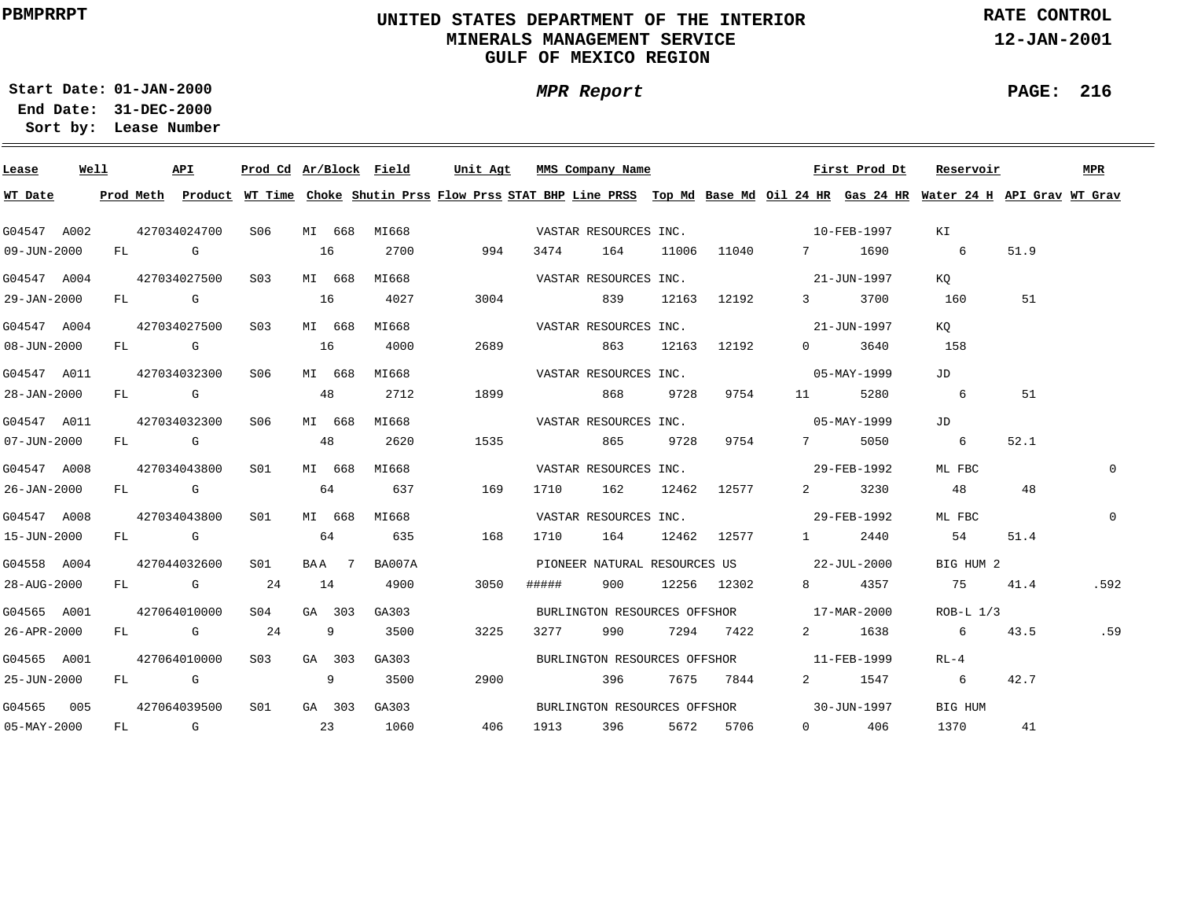## **UNITED STATES DEPARTMENT OF THE INTERIOR MINERALS MANAGEMENT SERVICEGULF OF MEXICO REGION**

**MPR Report**

**RATE CONTROL**

**12-JAN-2001**

**PAGE: 216**

÷

**01-JAN-2000Start Date:31-DEC-2000 End Date:** 

| Lease             | Well |      | API          | Prod Cd Ar/Block Field |    |        |              | Unit Agt |      |       | MMS Company Name             |       |             |                                          | First Prod Dt | Reservoir                                                                                                                               |      | MPR         |
|-------------------|------|------|--------------|------------------------|----|--------|--------------|----------|------|-------|------------------------------|-------|-------------|------------------------------------------|---------------|-----------------------------------------------------------------------------------------------------------------------------------------|------|-------------|
| WT Date           |      |      |              |                        |    |        |              |          |      |       |                              |       |             |                                          |               | Prod Meth Product WT Time Choke Shutin Prss Flow Prss STAT BHP Line PRSS Top Md Base Md Oil 24 HR Gas 24 HR Water 24 H API Grav WT Grav |      |             |
| G04547 A002       |      |      | 427034024700 | SO 6                   |    | MI 668 | MI668        |          |      |       | VASTAR RESOURCES INC.        |       |             | $10 - \text{FERB} - 1997$                |               | KI                                                                                                                                      |      |             |
| 09-JUN-2000       |      | FL G |              |                        | 16 |        | 2700         |          | 994  | 3474  | 164                          | 11006 | 11040       |                                          | 7 1690        | 6                                                                                                                                       | 51.9 |             |
| G04547 A004       |      |      | 427034027500 | S03                    |    | MI 668 | MI668        |          |      |       | VASTAR RESOURCES INC.        |       |             | 21-JUN-1997                              |               | KO                                                                                                                                      |      |             |
| 29-JAN-2000       |      |      | $FL$ G $G$   |                        | 16 |        | 4027         |          | 3004 |       | 839                          |       | 12163 12192 | $3 \sim$                                 | 3700          | 160                                                                                                                                     | 51   |             |
| G04547 A004       |      |      | 427034027500 | S03                    |    | MI 668 | MI668        |          |      |       | VASTAR RESOURCES INC.        |       |             |                                          | 21-JUN-1997   | KO                                                                                                                                      |      |             |
| $08 - JUN - 2000$ |      |      | FL G         |                        | 16 |        | 4000         |          | 2689 |       | 863                          |       | 12163 12192 | $\Omega$                                 | 3640          | 158                                                                                                                                     |      |             |
| G04547 A011       |      |      | 427034032300 | S06                    |    | MI 668 | MI668        |          |      |       | VASTAR RESOURCES INC.        |       |             |                                          | 05-MAY-1999   | JD                                                                                                                                      |      |             |
| 28-JAN-2000       |      |      | FL G         |                        | 48 |        | 2712         |          | 1899 |       | 868                          | 9728  | 9754        |                                          | 5280          | 6                                                                                                                                       | 51   |             |
| G04547 A011       |      |      | 427034032300 | S06                    |    | MI 668 | MI668        |          |      |       | VASTAR RESOURCES INC.        |       |             | $05 - \text{MAX} - 1999$                 |               | JD                                                                                                                                      |      |             |
| $07 - JUN - 2000$ |      |      | FL G         |                        |    | 48     | 2620         |          | 1535 |       | 865                          | 9728  | 9754        | 7                                        | 5050          | 6                                                                                                                                       | 52.1 |             |
| G04547 A008       |      |      | 427034043800 | SO1                    |    | MI 668 | MI668        |          |      |       |                              |       |             | VASTAR RESOURCES INC. 29-FEB-1992        |               | ML FBC                                                                                                                                  |      | 0           |
| 26-JAN-2000       |      |      | FL G         |                        |    | 64     | 637          |          | 169  | 1710  | 162                          |       | 12462 12577 | $2 \left( \frac{1}{2} \right)$           | 3230          | 48                                                                                                                                      | 48   |             |
| G04547 A008       |      |      | 427034043800 | S01                    |    | MI 668 | MI668        |          |      |       | VASTAR RESOURCES INC.        |       |             | 29-FEB-1992                              |               | ML FBC                                                                                                                                  |      | $\mathbf 0$ |
| 15-JUN-2000       |      |      | $FL$ G       |                        |    | 64     | 635          |          | 168  | 1710  | 164                          |       | 12462 12577 | $1 -$                                    | 2440          | 54                                                                                                                                      | 51.4 |             |
| G04558 A004       |      |      | 427044032600 | S01                    |    | BAA 7  | BA007A       |          |      |       |                              |       |             | PIONEER NATURAL RESOURCES US 22-JUL-2000 |               | BIG HUM 2                                                                                                                               |      |             |
| 28-AUG-2000       |      |      | FL G         | 24                     | 14 |        | 4900         |          | 3050 | ##### | 900                          |       | 12256 12302 | 8 — 1                                    | 4357          | 75                                                                                                                                      | 41.4 | .592        |
| G04565 A001       |      |      | 427064010000 | S04                    |    | GA 303 | GA303        |          |      |       | BURLINGTON RESOURCES OFFSHOR |       |             |                                          | 17-MAR-2000   | $ROB-L 1/3$                                                                                                                             |      |             |
| 26-APR-2000       |      |      | FL G 24      |                        |    | 9      | 3500         |          | 3225 | 3277  | 990                          |       | 7294 7422   | $2 \left( \frac{1}{2} \right)$           | 1638          | 6 <sup>6</sup>                                                                                                                          | 43.5 | .59         |
| G04565 A001       |      |      | 427064010000 | S03                    |    | GA 303 | GA303        |          |      |       |                              |       |             | BURLINGTON RESOURCES OFFSHOR 11-FEB-1999 |               | RL-4                                                                                                                                    |      |             |
| 25-JUN-2000       |      |      | $FL$ G $G$   |                        |    | 9      | 3500         |          | 2900 |       | 396                          |       | 7675 7844   |                                          | 2 1547        | 6                                                                                                                                       | 42.7 |             |
| G04565 005        |      |      | 427064039500 | S01                    |    |        | GA 303 GA303 |          |      |       |                              |       |             | BURLINGTON RESOURCES OFFSHOR 30-JUN-1997 |               | BIG HUM                                                                                                                                 |      |             |
| $05 - MAX - 2000$ |      |      |              |                        |    |        | FL G 23 1060 | 406      |      |       | 1913 396 5672 5706           |       |             |                                          | $0 \t 406$    | 1370                                                                                                                                    | 41   |             |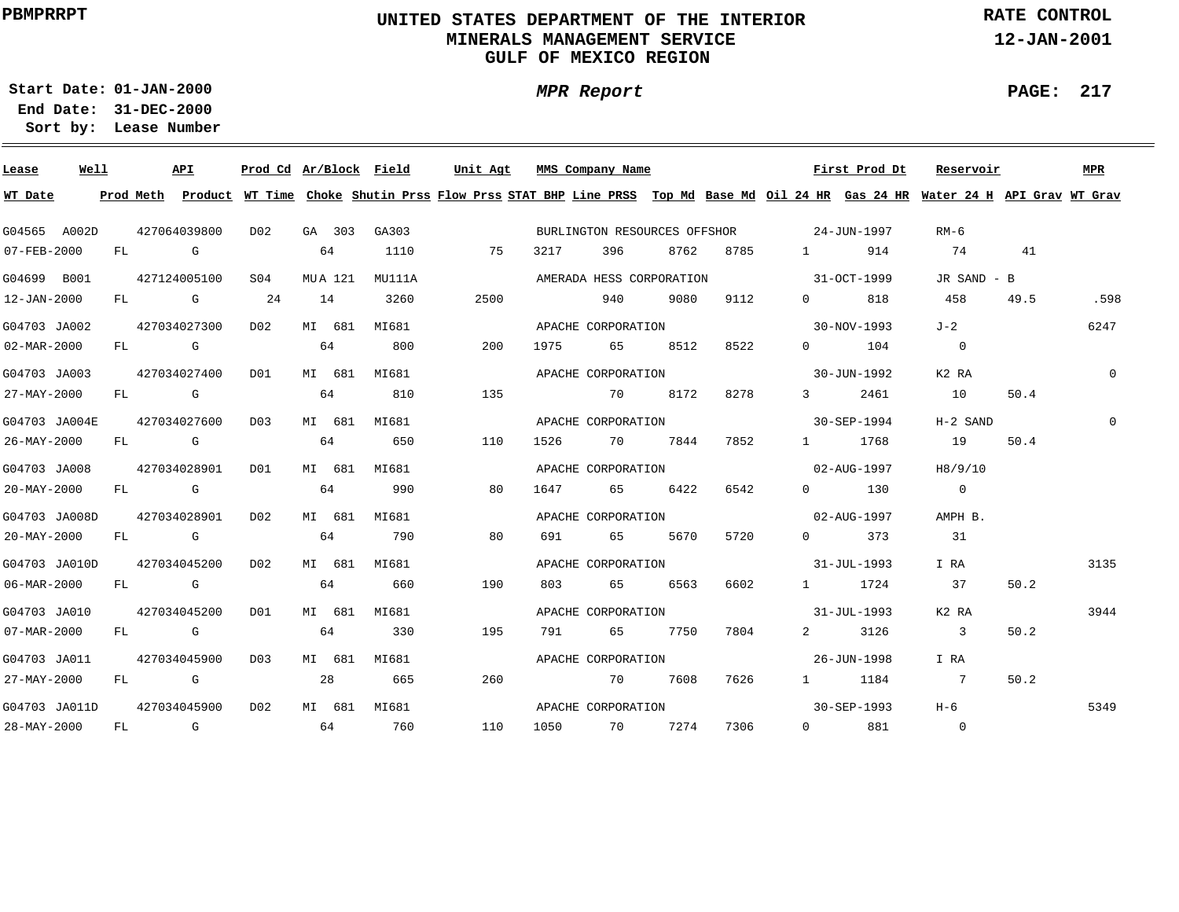# **UNITED STATES DEPARTMENT OF THE INTERIOR MINERALS MANAGEMENT SERVICEGULF OF MEXICO REGION**

**MPR Report**

**RATE CONTROL**

**12-JAN-2001**

**PAGE: 217**

٠

**01-JAN-2000Start Date:31-DEC-2000 End Date:** 

| Lease         | Well |                                                                                                                                                                                                                                | API                                                                                                                                                                                                                            | Prod Cd Ar/Block Field |    |         |        | Unit Agt |      | MMS Company Name             |      |      |                                                                                                                                                                                                                                                                                                                                    | First Prod Dt     | Reservoir                                                                                                                     |      | MPR          |
|---------------|------|--------------------------------------------------------------------------------------------------------------------------------------------------------------------------------------------------------------------------------|--------------------------------------------------------------------------------------------------------------------------------------------------------------------------------------------------------------------------------|------------------------|----|---------|--------|----------|------|------------------------------|------|------|------------------------------------------------------------------------------------------------------------------------------------------------------------------------------------------------------------------------------------------------------------------------------------------------------------------------------------|-------------------|-------------------------------------------------------------------------------------------------------------------------------|------|--------------|
| WT Date       |      | Prod Meth                                                                                                                                                                                                                      |                                                                                                                                                                                                                                |                        |    |         |        |          |      |                              |      |      |                                                                                                                                                                                                                                                                                                                                    |                   | Product WT Time Choke Shutin Prss Flow Prss STAT BHP Line PRSS Top Md Base Md Oil 24 HR Gas 24 HR Water 24 H API Grav WT Grav |      |              |
| G04565 A002D  |      |                                                                                                                                                                                                                                | 427064039800                                                                                                                                                                                                                   | DO <sub>2</sub>        |    | GA 303  | GA303  |          |      | BURLINGTON RESOURCES OFFSHOR |      |      | 24-JUN-1997                                                                                                                                                                                                                                                                                                                        |                   | RM-6                                                                                                                          |      |              |
| 07-FEB-2000   | FL   |                                                                                                                                                                                                                                | <b>G</b> G                                                                                                                                                                                                                     |                        |    | 64      | 1110   | 75       | 3217 | 396                          | 8762 | 8785 | $1 \qquad \qquad$                                                                                                                                                                                                                                                                                                                  | 914               | 74                                                                                                                            | 41   |              |
| G04699 B001   |      |                                                                                                                                                                                                                                | 427124005100                                                                                                                                                                                                                   | S <sub>04</sub>        |    | MUA 121 | MU111A |          |      | AMERADA HESS CORPORATION     |      |      |                                                                                                                                                                                                                                                                                                                                    | 31-OCT-1999       | JR SAND - B                                                                                                                   |      |              |
| 12-JAN-2000   |      |                                                                                                                                                                                                                                | FL G                                                                                                                                                                                                                           | 24                     | 14 |         | 3260   | 2500     |      | 940                          | 9080 | 9112 | $\overline{0}$ and $\overline{0}$ and $\overline{0}$ and $\overline{0}$ and $\overline{0}$ and $\overline{0}$ and $\overline{0}$ and $\overline{0}$ and $\overline{0}$ and $\overline{0}$ and $\overline{0}$ and $\overline{0}$ and $\overline{0}$ and $\overline{0}$ and $\overline{0}$ and $\overline{0}$ and $\overline{0}$ and | 818               | 458                                                                                                                           | 49.5 | .598         |
| G04703 JA002  |      |                                                                                                                                                                                                                                | 427034027300                                                                                                                                                                                                                   | D02                    |    | MI 681  | MI681  |          |      | APACHE CORPORATION           |      |      |                                                                                                                                                                                                                                                                                                                                    | 30-NOV-1993       | J-2                                                                                                                           |      | 6247         |
| 02-MAR-2000   | FL   | and the control of the control of the control of the control of the control of the control of the control of the control of the control of the control of the control of the control of the control of the control of the cont |                                                                                                                                                                                                                                |                        |    | 64      | 800    | 200      | 1975 | 65                           | 8512 | 8522 | $\Omega$                                                                                                                                                                                                                                                                                                                           | 104               | $\overline{0}$                                                                                                                |      |              |
| G04703 JA003  |      |                                                                                                                                                                                                                                | 427034027400                                                                                                                                                                                                                   | DO1                    |    | MI 681  | MI681  |          |      | APACHE CORPORATION           |      |      |                                                                                                                                                                                                                                                                                                                                    | 30-JUN-1992       | K2 RA                                                                                                                         |      | $\mathbf{0}$ |
| 27-MAY-2000   | FL   |                                                                                                                                                                                                                                | $\overline{G}$                                                                                                                                                                                                                 |                        |    | 64      | 810    | 135      |      | 70                           | 8172 | 8278 | $3 \sim$                                                                                                                                                                                                                                                                                                                           | 2461              | 10                                                                                                                            | 50.4 |              |
| G04703 JA004E |      |                                                                                                                                                                                                                                | 427034027600                                                                                                                                                                                                                   | D03                    |    | MI 681  | MI681  |          |      | APACHE CORPORATION           |      |      |                                                                                                                                                                                                                                                                                                                                    | 30-SEP-1994       | $H-2$ SAND                                                                                                                    |      | $\mathbf 0$  |
| 26-MAY-2000   | FL   |                                                                                                                                                                                                                                | and the control of the control of the control of the control of the control of the control of the control of the control of the control of the control of the control of the control of the control of the control of the cont |                        | 64 |         | 650    | 110      | 1526 | 70                           | 7844 | 7852 | $1 \quad \cdots$                                                                                                                                                                                                                                                                                                                   | 1768              | 19                                                                                                                            | 50.4 |              |
| G04703 JA008  |      |                                                                                                                                                                                                                                | 427034028901                                                                                                                                                                                                                   | DO1                    |    | MI 681  | MI681  |          |      | APACHE CORPORATION           |      |      |                                                                                                                                                                                                                                                                                                                                    | 02-AUG-1997       | H8/9/10                                                                                                                       |      |              |
| 20-MAY-2000   |      |                                                                                                                                                                                                                                | FL G                                                                                                                                                                                                                           |                        |    | 64      | 990    | 80       | 1647 | 65 — 1                       | 6422 | 6542 | $\Omega$ and $\Omega$                                                                                                                                                                                                                                                                                                              | 130               | $\overline{0}$                                                                                                                |      |              |
| G04703 JA008D |      |                                                                                                                                                                                                                                | 427034028901                                                                                                                                                                                                                   | D02                    |    | MI 681  | MI681  |          |      | APACHE CORPORATION           |      |      |                                                                                                                                                                                                                                                                                                                                    | 02-AUG-1997       | AMPH B.                                                                                                                       |      |              |
| 20-MAY-2000   |      |                                                                                                                                                                                                                                | FL G                                                                                                                                                                                                                           |                        |    | 64      | 790    | 80       | 691  | 65 — 1                       | 5670 | 5720 | $0 \qquad \qquad$                                                                                                                                                                                                                                                                                                                  | 373               | 31                                                                                                                            |      |              |
| G04703 JA010D |      |                                                                                                                                                                                                                                | 427034045200                                                                                                                                                                                                                   | DO 2                   |    | MI 681  | MI681  |          |      | APACHE CORPORATION           |      |      |                                                                                                                                                                                                                                                                                                                                    | 31-JUL-1993       | I RA                                                                                                                          |      | 3135         |
| 06-MAR-2000   |      | FL G                                                                                                                                                                                                                           |                                                                                                                                                                                                                                |                        |    | 64      | 660    | 190      | 803  | 65                           | 6563 | 6602 | $1 \quad \cdots$                                                                                                                                                                                                                                                                                                                   | 1724              | 37                                                                                                                            | 50.2 |              |
| G04703 JA010  |      |                                                                                                                                                                                                                                | 427034045200                                                                                                                                                                                                                   | DO1                    |    | MI 681  | MI681  |          |      | APACHE CORPORATION           |      |      |                                                                                                                                                                                                                                                                                                                                    | 31-JUL-1993       | K2 RA                                                                                                                         |      | 3944         |
| 07-MAR-2000   |      | FL G                                                                                                                                                                                                                           |                                                                                                                                                                                                                                |                        |    | 64      | 330    | 195      | 791  | 65                           | 7750 | 7804 | $\mathbf{2}$                                                                                                                                                                                                                                                                                                                       | 3126              | 3                                                                                                                             | 50.2 |              |
| G04703 JA011  |      |                                                                                                                                                                                                                                | 427034045900                                                                                                                                                                                                                   | D03                    |    | MI 681  | MI681  |          |      | APACHE CORPORATION           |      |      |                                                                                                                                                                                                                                                                                                                                    | 26-JUN-1998       | I RA                                                                                                                          |      |              |
| 27-MAY-2000   | FL   |                                                                                                                                                                                                                                | <b>G</b>                                                                                                                                                                                                                       |                        |    | 28      | 665    | 260      |      | 70                           | 7608 | 7626 | $1 \qquad \qquad$                                                                                                                                                                                                                                                                                                                  | 1184              | $\overline{7}$                                                                                                                | 50.2 |              |
| G04703 JA011D |      |                                                                                                                                                                                                                                | 427034045900                                                                                                                                                                                                                   | D02                    |    | MI 681  | MI681  |          |      | APACHE CORPORATION           |      |      |                                                                                                                                                                                                                                                                                                                                    | $30 - SEP - 1993$ | $H-6$                                                                                                                         |      | 5349         |
| 28-MAY-2000   | FL   |                                                                                                                                                                                                                                | $\mathbb G$                                                                                                                                                                                                                    |                        |    | 64      | 760    | 110      | 1050 | 70                           | 7274 | 7306 | $0 \qquad \qquad$                                                                                                                                                                                                                                                                                                                  | 881               | $\overline{0}$                                                                                                                |      |              |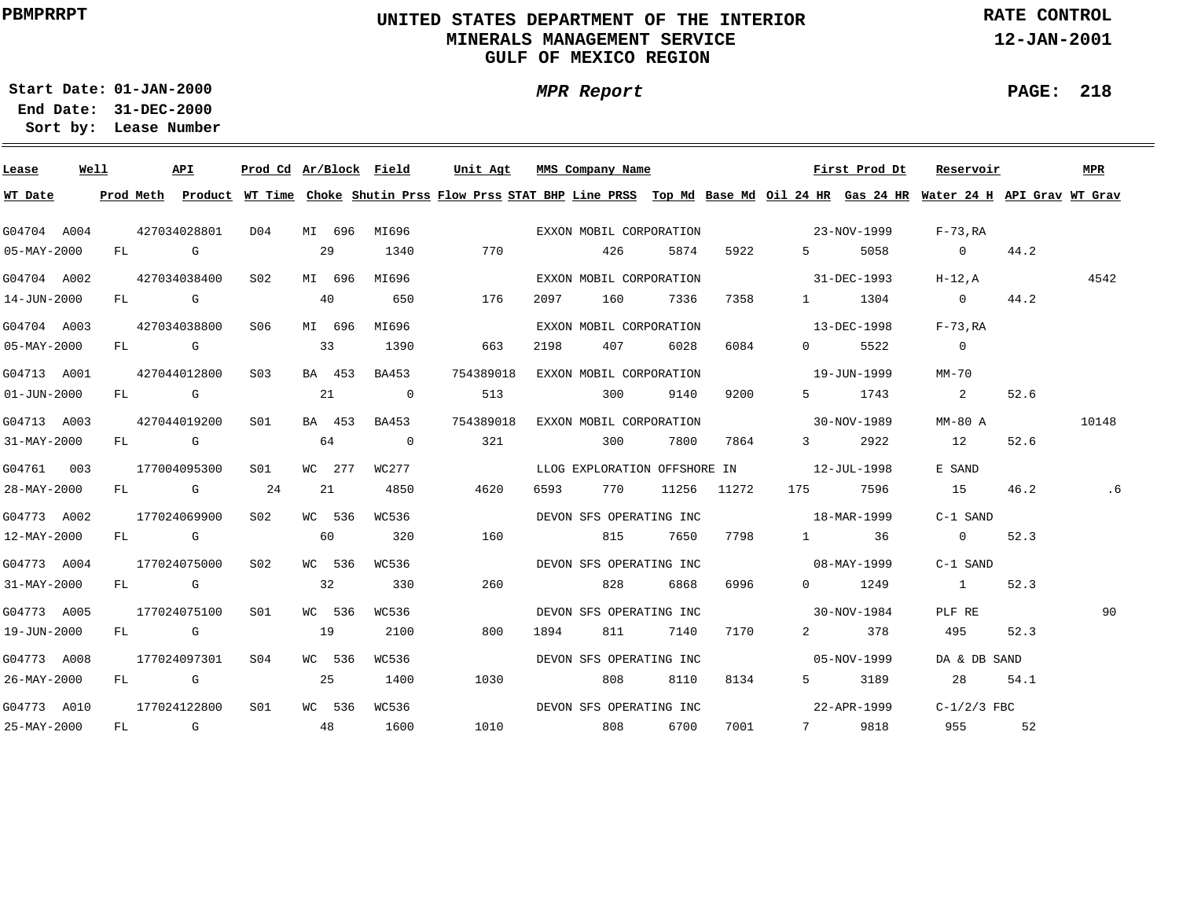# **UNITED STATES DEPARTMENT OF THE INTERIOR MINERALS MANAGEMENT SERVICEGULF OF MEXICO REGION**

**MPR Report**

**RATE CONTROL**

**12-JAN-2001**

**PAGE: 218**

÷

**01-JAN-2000Start Date:31-DEC-2000 End Date:** 

| Lease             | Well |    | API          |                  |        |        | Prod Cd Ar/Block Field | Unit Agt                                                                                                                                |      | MMS Company Name        |      |             |                                          | First Prod Dt | Reservoir      |      | MPR   |
|-------------------|------|----|--------------|------------------|--------|--------|------------------------|-----------------------------------------------------------------------------------------------------------------------------------------|------|-------------------------|------|-------------|------------------------------------------|---------------|----------------|------|-------|
| WT Date           |      |    |              |                  |        |        |                        | Prod Meth Product WT Time Choke Shutin Prss Flow Prss STAT BHP Line PRSS Top Md Base Md Oil 24 HR Gas 24 HR Water 24 H API Grav WT Grav |      |                         |      |             |                                          |               |                |      |       |
| G04704 A004       |      |    | 427034028801 | D04              |        | MI 696 | MI696                  |                                                                                                                                         |      | EXXON MOBIL CORPORATION |      |             | $23 - NOV - 1999$                        |               | F-73,RA        |      |       |
| 05-MAY-2000       |      |    | FL G         |                  | 29     |        | 1340                   | 770                                                                                                                                     |      | 426                     | 5874 | 5922        | $5^{\circ}$                              | 5058          | $\overline{0}$ | 44.2 |       |
| G04704 A002       |      |    | 427034038400 | S <sub>02</sub>  | MI 696 |        | MI696                  |                                                                                                                                         |      | EXXON MOBIL CORPORATION |      |             |                                          | 31-DEC-1993   | $H-12.A$       |      | 4542  |
| 14-JUN-2000       |      |    | FL G         |                  | 40     |        | 650                    | 176                                                                                                                                     | 2097 | 160                     | 7336 | 7358        |                                          | 1 1304        | $\overline{0}$ | 44.2 |       |
| G04704 A003       |      |    | 427034038800 | S06              |        | MI 696 | MI696                  |                                                                                                                                         |      | EXXON MOBIL CORPORATION |      |             |                                          | 13-DEC-1998   | F-73, RA       |      |       |
| $05 - MAX - 2000$ |      |    | FL G         |                  | 33     |        | 1390                   | 663                                                                                                                                     | 2198 | 407                     | 6028 | 6084        | $0 \qquad \qquad$                        | 5522          | $\overline{0}$ |      |       |
| G04713 A001       |      |    | 427044012800 | S <sub>0</sub> 3 |        | BA 453 | BA453                  | 754389018                                                                                                                               |      | EXXON MOBIL CORPORATION |      |             |                                          | 19-JUN-1999   | MM-70          |      |       |
| $01 - JUN - 2000$ |      |    | $FL$ G       |                  | 21     |        | $\overline{0}$         | 513                                                                                                                                     |      | 300                     | 9140 | 9200        |                                          | 5 1743        | $\overline{a}$ | 52.6 |       |
| G04713 A003       |      |    | 427044019200 | S01              | BA 453 |        | <b>BA453</b>           | 754389018                                                                                                                               |      | EXXON MOBIL CORPORATION |      |             | $30-NOV-1989$                            |               | MM-80 A        |      | 10148 |
| 31-MAY-2000       |      |    | FL G         |                  | 64     |        | $\overline{0}$         | 321                                                                                                                                     |      | 300                     | 7800 | 7864        | $3 \sim$                                 | 2922          | 12             | 52.6 |       |
| G04761 003        |      |    | 177004095300 | S01              | WC 277 |        | WC277                  |                                                                                                                                         |      |                         |      |             | LLOG EXPLORATION OFFSHORE IN 12-JUL-1998 |               | E SAND         |      |       |
| 28-MAY-2000       |      |    | FL G         | 24               | 21     |        | 4850                   | 4620                                                                                                                                    | 6593 | 770                     |      | 11256 11272 |                                          | 175 7596      | 15             | 46.2 |       |
| G04773 A002       |      |    | 177024069900 | S02              | WC 536 |        | WC536                  |                                                                                                                                         |      | DEVON SFS OPERATING INC |      |             | $18 - \text{MAR} - 1999$                 |               | C-1 SAND       |      |       |
| 12-MAY-2000       |      |    | FL G         |                  | 60     |        | 320                    | 160                                                                                                                                     |      | 815 — 10                | 7650 | 7798        |                                          | 1 36          | $\overline{0}$ | 52.3 |       |
| G04773 A004       |      |    | 177024075000 | S02              | WC 536 |        | WC536                  |                                                                                                                                         |      | DEVON SFS OPERATING INC |      |             | $08 - \text{MAX} - 1999$                 |               | C-1 SAND       |      |       |
| 31-MAY-2000       |      |    | FL G         |                  | 32     |        | 330                    | 260                                                                                                                                     |      | 828                     | 6868 | 6996        |                                          | $0 \t 1249$   | $\sim$ 1       | 52.3 |       |
| G04773 A005       |      |    | 177024075100 | SO1              | WC 536 |        | WC536                  |                                                                                                                                         |      | DEVON SFS OPERATING INC |      |             |                                          | 30-NOV-1984   | PLF RE         |      | 90    |
| 19-JUN-2000       |      |    | FL G         |                  | 19     |        | 2100                   | 800                                                                                                                                     | 1894 | 811                     | 7140 | 7170        | $2 \left( \frac{1}{2} \right)$           | 378           | 495            | 52.3 |       |
| G04773 A008       |      |    | 177024097301 | S <sub>04</sub>  |        | WC 536 | WC536                  |                                                                                                                                         |      | DEVON SFS OPERATING INC |      |             |                                          | 05-NOV-1999   | DA & DB SAND   |      |       |
| 26-MAY-2000       |      |    | FL G         |                  | 25     |        | 1400                   | 1030                                                                                                                                    |      | 808                     | 8110 | 8134        |                                          | 5 3189        | 28             | 54.1 |       |
| G04773 A010       |      |    | 177024122800 | SO1              | WC 536 |        | WC536                  |                                                                                                                                         |      | DEVON SFS OPERATING INC |      |             |                                          | 22-APR-1999   | $C-1/2/3$ FBC  |      |       |
| 25-MAY-2000       |      | FL | $\mathbf G$  | 48               |        |        | 1600                   | 1010                                                                                                                                    |      | 808                     | 6700 | 7001        |                                          | 7 9818        | 955 52         |      |       |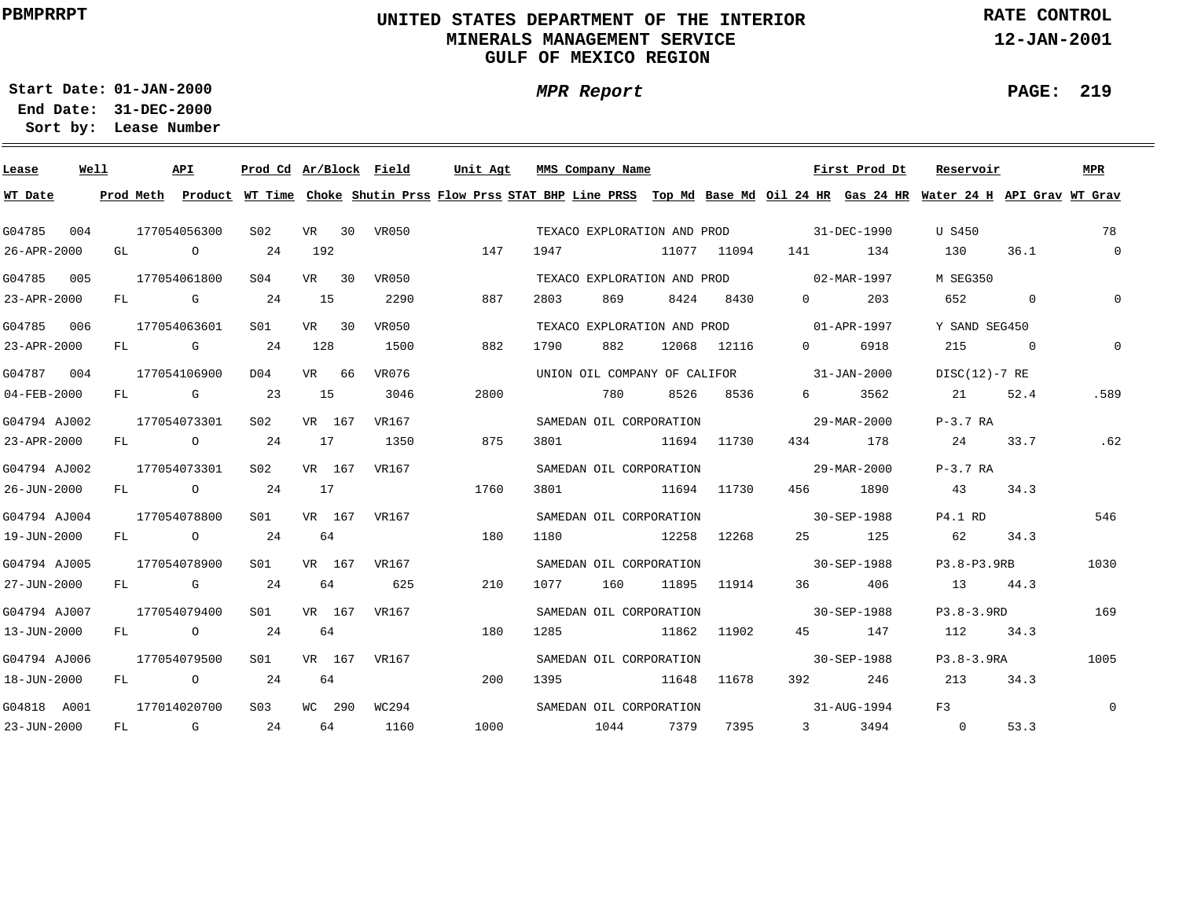# **UNITED STATES DEPARTMENT OF THE INTERIOR MINERALS MANAGEMENT SERVICEGULF OF MEXICO REGION**

**MPR Report**

**RATE CONTROL**

**12-JAN-2001**

**PAGE: 219**

**01-JAN-2000Start Date:31-DEC-2000 End Date:** 

| Lease        | Well |           | <b>API</b>                                                                                                                                                                                                                     | Prod Cd Ar/Block Field |        |         |       | Unit Agt |      | MMS Company Name            |       |             |                                                                                                                                                                                                                                 | First Prod Dt | Reservoir                                                                                                                     |              | <b>MPR</b>     |
|--------------|------|-----------|--------------------------------------------------------------------------------------------------------------------------------------------------------------------------------------------------------------------------------|------------------------|--------|---------|-------|----------|------|-----------------------------|-------|-------------|---------------------------------------------------------------------------------------------------------------------------------------------------------------------------------------------------------------------------------|---------------|-------------------------------------------------------------------------------------------------------------------------------|--------------|----------------|
| WT Date      |      | Prod Meth |                                                                                                                                                                                                                                |                        |        |         |       |          |      |                             |       |             |                                                                                                                                                                                                                                 |               | Product WT Time Choke Shutin Prss Flow Prss STAT BHP Line PRSS Top Md Base Md Oil 24 HR Gas 24 HR Water 24 H API Grav WT Grav |              |                |
| G04785       | 004  |           | 177054056300                                                                                                                                                                                                                   | S <sub>02</sub>        |        | $VR$ 30 | VR050 |          |      | TEXACO EXPLORATION AND PROD |       |             |                                                                                                                                                                                                                                 | 31-DEC-1990   | U S450                                                                                                                        |              | 78             |
| 26-APR-2000  |      | GL        | $\circ$                                                                                                                                                                                                                        | 24                     | 192    |         |       | 147      | 1947 |                             |       | 11077 11094 | 141 — 141 — 141 — 141 — 141 — 142 — 142 — 142 — 142 — 142 — 142 — 142 — 142 — 142 — 142 — 142 — 142 — 142 — 142 — 142 — 142 — 142 — 142 — 142 — 142 — 142 — 142 — 142 — 142 — 142 — 142 — 142 — 142 — 142 — 142 — 142 — 142 — 1 | 134           | 130                                                                                                                           | 36.1         | $\overline{0}$ |
| G04785       | 005  |           | 177054061800                                                                                                                                                                                                                   | S <sub>04</sub>        | VR 30  |         | VR050 |          |      | TEXACO EXPLORATION AND PROD |       |             | $02 - \text{MAR} - 1997$                                                                                                                                                                                                        |               | M SEG350                                                                                                                      |              |                |
| 23-APR-2000  |      | FL        | <b>G</b> G                                                                                                                                                                                                                     | 24                     | 15     |         | 2290  | 887      | 2803 | 869                         | 8424  | 8430        | $\Omega$                                                                                                                                                                                                                        | 203           | 652                                                                                                                           | $\mathbf{0}$ | $\Omega$       |
| G04785       | 006  |           | 177054063601                                                                                                                                                                                                                   | S01                    | VR 30  |         | VR050 |          |      | TEXACO EXPLORATION AND PROD |       |             | $01 - APR - 1997$                                                                                                                                                                                                               |               | Y SAND SEG450                                                                                                                 |              |                |
| 23-APR-2000  |      | FL        | and the control of the control of the control of the control of the control of the control of the control of the control of the control of the control of the control of the control of the control of the control of the cont | 24                     | 128    |         | 1500  | 882      | 1790 | 882                         | 12068 | 12116       | $\Omega$                                                                                                                                                                                                                        | 6918          | 215                                                                                                                           | $\Omega$     | $\Omega$       |
| G04787       | 004  |           | 177054106900                                                                                                                                                                                                                   | D <sub>04</sub>        | VR 66  |         | VR076 |          |      |                             |       |             | UNION OIL COMPANY OF CALIFOR 31-JAN-2000                                                                                                                                                                                        |               | DISC(12)-7 RE                                                                                                                 |              |                |
| 04-FEB-2000  |      |           | FL G                                                                                                                                                                                                                           | 23                     | 15     |         | 3046  | 2800     |      | 780                         | 8526  | 8536        | $6 \qquad \qquad$                                                                                                                                                                                                               | 3562          | 21                                                                                                                            | 52.4         | .589           |
| G04794 AJ002 |      |           | 177054073301                                                                                                                                                                                                                   | S <sub>02</sub>        | VR 167 |         | VR167 |          |      | SAMEDAN OIL CORPORATION     |       |             |                                                                                                                                                                                                                                 | 29-MAR-2000   | $P-3.7RA$                                                                                                                     |              |                |
| 23-APR-2000  |      |           | FL O                                                                                                                                                                                                                           | 24                     | 17     |         | 1350  | 875      | 3801 |                             |       | 11694 11730 | 434                                                                                                                                                                                                                             | 178           | 24                                                                                                                            | 33.7         | .62            |
| G04794 AJ002 |      |           | 177054073301                                                                                                                                                                                                                   | S02                    | VR 167 |         | VR167 |          |      | SAMEDAN OIL CORPORATION     |       |             | $29 - \text{MAR} - 2000$                                                                                                                                                                                                        |               | $P-3.7RA$                                                                                                                     |              |                |
| 26-JUN-2000  |      |           | FL O                                                                                                                                                                                                                           | 24                     | 17     |         |       | 1760     | 3801 |                             |       | 11694 11730 |                                                                                                                                                                                                                                 | 456 1890      | 43                                                                                                                            | 34.3         |                |
| G04794 AJ004 |      |           | 177054078800                                                                                                                                                                                                                   | S <sub>01</sub>        | VR 167 |         | VR167 |          |      | SAMEDAN OIL CORPORATION     |       |             | $30 - SEP - 1988$                                                                                                                                                                                                               |               | P4.1 RD                                                                                                                       |              | 546            |
| 19-JUN-2000  |      | FL        | $\overline{O}$                                                                                                                                                                                                                 | 2.4                    | 64     |         |       | 180      | 1180 |                             | 12258 | 12268       | 25                                                                                                                                                                                                                              | 125           | 62                                                                                                                            | 34.3         |                |
| G04794 AJ005 |      |           | 177054078900                                                                                                                                                                                                                   | SO1                    | VR 167 |         | VR167 |          |      | SAMEDAN OIL CORPORATION     |       |             | $30 - SEP - 1988$                                                                                                                                                                                                               |               | P3.8-P3.9RB                                                                                                                   |              | 1030           |
| 27-JUN-2000  |      | FL        | <b>G</b> G                                                                                                                                                                                                                     | 24                     | 64     |         | 625   | 210      | 1077 | 160                         | 11895 | 11914       | 36                                                                                                                                                                                                                              | 406           | 13                                                                                                                            | 44.3         |                |
| G04794 AJ007 |      |           | 177054079400                                                                                                                                                                                                                   | S01                    |        | VR 167  | VR167 |          |      | SAMEDAN OIL CORPORATION     |       |             |                                                                                                                                                                                                                                 | 30-SEP-1988   | $P3.8 - 3.9RD$                                                                                                                |              | 169            |
| 13-JUN-2000  |      | FL        | $\overline{O}$                                                                                                                                                                                                                 | 24                     | 64     |         |       | 180      | 1285 |                             | 11862 | 11902       | 45                                                                                                                                                                                                                              | 147           | 112                                                                                                                           | 34.3         |                |
| G04794 AJ006 |      |           | 177054079500                                                                                                                                                                                                                   | S01                    | VR 167 |         | VR167 |          |      | SAMEDAN OIL CORPORATION     |       |             |                                                                                                                                                                                                                                 | 30-SEP-1988   | $P3.8 - 3.9RA$                                                                                                                |              | 1005           |
| 18-JUN-2000  |      | FL        | $\overline{O}$                                                                                                                                                                                                                 | 24                     | 64     |         |       | 200      | 1395 | 11648                       |       | 11678       | 392                                                                                                                                                                                                                             | 246           | 213                                                                                                                           | 34.3         |                |
| G04818 A001  |      |           | 177014020700                                                                                                                                                                                                                   | S03                    |        | WC 290  | WC294 |          |      | SAMEDAN OIL CORPORATION     |       |             |                                                                                                                                                                                                                                 | 31-AUG-1994   | F <sub>3</sub>                                                                                                                |              | $\Omega$       |
| 23-JUN-2000  |      | FL        | $\mathbb G$                                                                                                                                                                                                                    | 24                     | 64     |         | 1160  | 1000     |      | 1044 7379                   |       | 7395        | $3 \sim$                                                                                                                                                                                                                        | 3494          | $\overline{0}$                                                                                                                | 53.3         |                |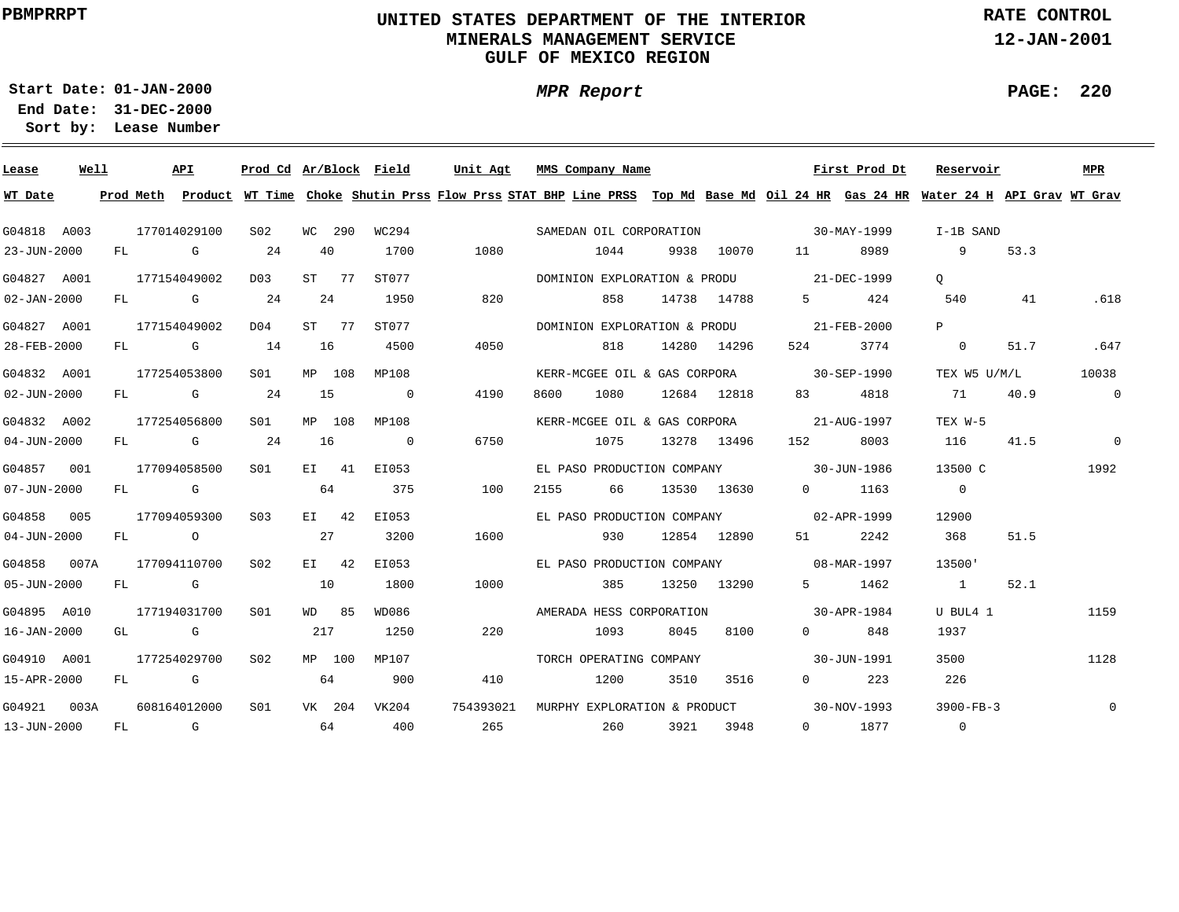# **UNITED STATES DEPARTMENT OF THE INTERIOR MINERALS MANAGEMENT SERVICEGULF OF MEXICO REGION**

**MPR Report**

**RATE CONTROL**

**12-JAN-2001**

**PAGE: 220**

÷

**01-JAN-2000Start Date:**

| Lease             | Well |    |              | API                                                                                                                                                                                                                            | Prod Cd Ar/Block Field |     |         |                | Unit Agt  |      | MMS Company Name             |      |             |                                          | First Prod Dt | Reservoir                                                                                                                               |      | MPR            |
|-------------------|------|----|--------------|--------------------------------------------------------------------------------------------------------------------------------------------------------------------------------------------------------------------------------|------------------------|-----|---------|----------------|-----------|------|------------------------------|------|-------------|------------------------------------------|---------------|-----------------------------------------------------------------------------------------------------------------------------------------|------|----------------|
| WT Date           |      |    |              |                                                                                                                                                                                                                                |                        |     |         |                |           |      |                              |      |             |                                          |               | Prod Meth Product WT Time Choke Shutin Prss Flow Prss STAT BHP Line PRSS Top Md Base Md Oil 24 HR Gas 24 HR Water 24 H API Grav WT Grav |      |                |
| G04818 A003       |      |    | 177014029100 |                                                                                                                                                                                                                                | S02                    |     | WC 290  | WC294          |           |      | SAMEDAN OIL CORPORATION      |      |             | $30 - \text{MAX} - 1999$                 |               | I-1B SAND                                                                                                                               |      |                |
| 23-JUN-2000       |      | FL |              | G                                                                                                                                                                                                                              | 24                     |     | 40      | 1700           | 1080      |      | 1044                         | 9938 | 10070       | 11 \                                     | 8989          | 9                                                                                                                                       | 53.3 |                |
| G04827 A001       |      |    | 177154049002 |                                                                                                                                                                                                                                | D03                    |     | ST 77   | ST077          |           |      |                              |      |             | DOMINION EXPLORATION & PRODU 21-DEC-1999 |               | $\circ$                                                                                                                                 |      |                |
| $02 - JAN - 2000$ |      |    |              | FL G                                                                                                                                                                                                                           | 24                     |     | 24      | 1950           | 820       |      | 858                          |      | 14738 14788 | $5^{\circ}$                              | 424           | 540                                                                                                                                     | 41   | .618           |
| G04827 A001       |      |    | 177154049002 |                                                                                                                                                                                                                                | D04                    |     | ST 77   | ST077          |           |      | DOMINION EXPLORATION & PRODU |      |             | $21 - FEB - 2000$                        |               | P                                                                                                                                       |      |                |
| 28-FEB-2000       |      |    |              | FL G                                                                                                                                                                                                                           | 14                     | 16  |         | 4500           | 4050      |      | 818                          |      | 14280 14296 | 524 7                                    | 3774          | $\overline{0}$                                                                                                                          | 51.7 | .647           |
| G04832 A001       |      |    | 177254053800 |                                                                                                                                                                                                                                | SO1                    |     | MP 108  | MP108          |           |      |                              |      |             | KERR-MCGEE OIL & GAS CORPORA 30-SEP-1990 |               | TEX W5 U/M/L                                                                                                                            |      | 10038          |
| $02 - JUN - 2000$ |      |    |              | FL G                                                                                                                                                                                                                           | 24                     | 15  |         | $\overline{0}$ | 4190      | 8600 | 1080                         |      | 12684 12818 | 83 — 1                                   | 4818          | 71                                                                                                                                      | 40.9 | $\overline{0}$ |
| G04832 A002       |      |    | 177254056800 |                                                                                                                                                                                                                                | S01                    |     | MP 108  | MP108          |           |      |                              |      |             | KERR-MCGEE OIL & GAS CORPORA 21-AUG-1997 |               | TEX W-5                                                                                                                                 |      |                |
| $04 - JUN - 2000$ |      |    |              | FL G                                                                                                                                                                                                                           | 24                     | 16  |         | $\overline{0}$ | 6750      |      | 1075                         |      | 13278 13496 | 152                                      | 8003          | 116                                                                                                                                     | 41.5 | $\overline{0}$ |
| G04857 001        |      |    | 177094058500 |                                                                                                                                                                                                                                | SO1                    |     | EI 41   | EI053          |           |      |                              |      |             | EL PASO PRODUCTION COMPANY 30-JUN-1986   |               | 13500 C                                                                                                                                 |      | 1992           |
| 07-JUN-2000       |      |    | FL G         |                                                                                                                                                                                                                                |                        |     | 64      | 375            | 100       | 2155 | 66                           |      | 13530 13630 |                                          | $0 \t1163$    | $\overline{0}$                                                                                                                          |      |                |
| G04858 005        |      |    | 177094059300 |                                                                                                                                                                                                                                | S <sub>03</sub>        |     | $E1$ 42 | EI053          |           |      |                              |      |             | EL PASO PRODUCTION COMPANY 02-APR-1999   |               | 12900                                                                                                                                   |      |                |
| $04 - JUN - 2000$ |      |    | FL O         |                                                                                                                                                                                                                                |                        | 27  |         | 3200           | 1600      |      | 930                          |      | 12854 12890 |                                          | 2242          | 368                                                                                                                                     | 51.5 |                |
| G04858 007A       |      |    | 177094110700 |                                                                                                                                                                                                                                | S02                    |     | EI 42   | EI053          |           |      | EL PASO PRODUCTION COMPANY   |      |             |                                          | 08-MAR-1997   | 13500'                                                                                                                                  |      |                |
| $05 - JUN - 2000$ |      | FL | <b>G</b>     |                                                                                                                                                                                                                                |                        | 10  |         | 1800           | 1000      |      | 385                          |      | 13250 13290 |                                          | 5 1462        | $\sim$ 1                                                                                                                                | 52.1 |                |
| G04895 A010       |      |    | 177194031700 |                                                                                                                                                                                                                                | S <sub>01</sub>        |     | WD 85   | WD086          |           |      | AMERADA HESS CORPORATION     |      |             |                                          | 30-APR-1984   | U BUL4 1                                                                                                                                |      | 1159           |
| 16-JAN-2000       |      |    | GL G         |                                                                                                                                                                                                                                |                        | 217 |         | 1250           | 220       |      | 1093                         | 8045 | 8100        | $\Omega$ and $\Omega$                    | 848           | 1937                                                                                                                                    |      |                |
| G04910 A001       |      |    | 177254029700 |                                                                                                                                                                                                                                | S02                    |     | MP 100  | MP107          |           |      | TORCH OPERATING COMPANY      |      |             |                                          | 30-JUN-1991   | 3500                                                                                                                                    |      | 1128           |
| 15-APR-2000       |      | FL |              | <b>G</b>                                                                                                                                                                                                                       |                        |     | 64      | 900            | 410       |      | 1200                         | 3510 | 3516        | $0 \qquad \qquad$                        | 223           | 226                                                                                                                                     |      |                |
| G04921 003A       |      |    | 608164012000 |                                                                                                                                                                                                                                | S <sub>01</sub>        |     | VK 204  | VK204          | 754393021 |      |                              |      |             | MURPHY EXPLORATION & PRODUCT 30-NOV-1993 |               | $3900-FB-3$                                                                                                                             |      | $\mathbf 0$    |
| 13-JUN-2000       |      | FL |              | and the Company of the Company of the Company of the Company of the Company of the Company of the Company of the Company of the Company of the Company of the Company of the Company of the Company of the Company of the Comp |                        | 64  |         | 400            | 265       |      | 260                          |      | 3921 3948   |                                          | $0$ 1877      | $\overline{0}$                                                                                                                          |      |                |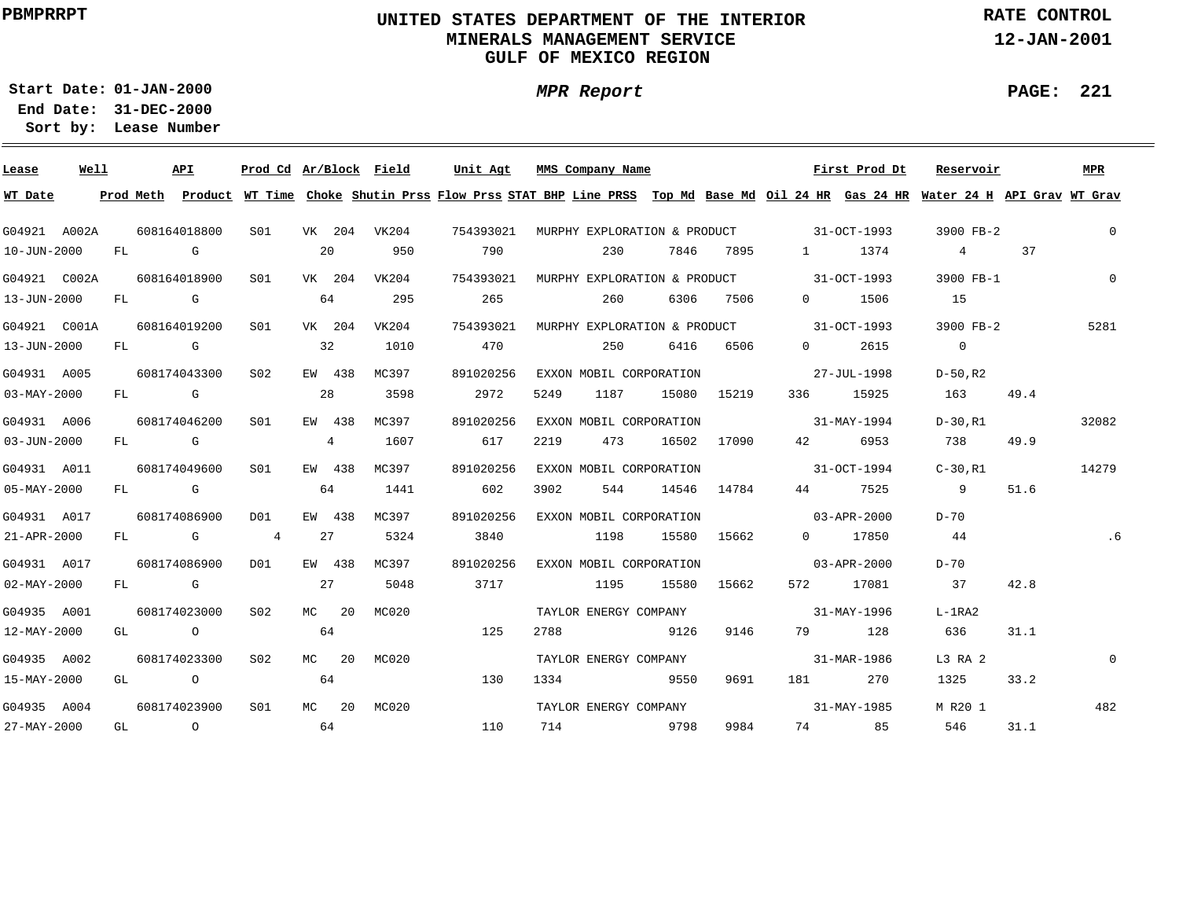# **UNITED STATES DEPARTMENT OF THE INTERIOR MINERALS MANAGEMENT SERVICEGULF OF MEXICO REGION**

**MPR Report**

**RATE CONTROL**

**12-JAN-2001**

**PAGE: 221**

÷

**01-JAN-2000Start Date:31-DEC-2000 End Date:** 

| Lease             | Well |    |      | <b>APT</b>   | Prod Cd Ar/Block Field |    |          |                  | Unit Agt  |      | MMS Company Name        |       |             |                                                                                                                                                                                                                                 | First Prod Dt                                      | Reservoir                                                                                                                               |            |      | MPR      |
|-------------------|------|----|------|--------------|------------------------|----|----------|------------------|-----------|------|-------------------------|-------|-------------|---------------------------------------------------------------------------------------------------------------------------------------------------------------------------------------------------------------------------------|----------------------------------------------------|-----------------------------------------------------------------------------------------------------------------------------------------|------------|------|----------|
| WT Date           |      |    |      |              |                        |    |          |                  |           |      |                         |       |             |                                                                                                                                                                                                                                 |                                                    | Prod Meth Product WT Time Choke Shutin Prss Flow Prss STAT BHP Line PRSS Top Md Base Md Oil 24 HR Gas 24 HR Water 24 H API Grav WT Grav |            |      |          |
| G04921 A002A      |      |    |      | 608164018800 |                        |    |          | S01 VK 204 VK204 | 754393021 |      |                         |       |             |                                                                                                                                                                                                                                 | MURPHY EXPLORATION & PRODUCT 31-OCT-1993           | 3900 FB-2                                                                                                                               |            |      | 0        |
| 10-JUN-2000       |      |    | FL G |              |                        | 20 |          | 950              | 790       |      | 230                     | 7846  | 7895        | $1 \quad \cdots$                                                                                                                                                                                                                | 1374                                               |                                                                                                                                         | $4\degree$ | 37   |          |
| G04921 C002A      |      |    |      | 608164018900 | S01                    |    | VK 204   | VK204            |           |      |                         |       |             |                                                                                                                                                                                                                                 | 754393021 MURPHY EXPLORATION & PRODUCT 31-OCT-1993 | 3900 FB-1                                                                                                                               |            |      | $\Omega$ |
| 13-JUN-2000       |      |    | FL G |              |                        | 64 |          | 295              | 265       |      | 260                     | 6306  | 7506        | $\Omega$                                                                                                                                                                                                                        | 1506                                               | 15                                                                                                                                      |            |      |          |
| G04921 C001A      |      |    |      | 608164019200 | S01                    |    | VK 204   | VK204            | 754393021 |      |                         |       |             |                                                                                                                                                                                                                                 | MURPHY EXPLORATION & PRODUCT 31-OCT-1993           | 3900 FB-2                                                                                                                               |            |      | 5281     |
| 13-JUN-2000       |      |    |      | FL G         |                        | 32 |          | 1010             | 470       |      | 250                     | 6416  | 6506        | $\overline{0}$                                                                                                                                                                                                                  | 2615                                               | $\overline{0}$                                                                                                                          |            |      |          |
| G04931 A005       |      |    |      | 608174043300 | S02                    |    | EW 438   | MC397            | 891020256 |      | EXXON MOBIL CORPORATION |       |             |                                                                                                                                                                                                                                 | 27-JUL-1998                                        | $D-50$ .R2                                                                                                                              |            |      |          |
| $03 - MAX - 2000$ |      | FL |      | $\mathbf G$  |                        | 28 |          | 3598             | 2972      | 5249 | 1187                    |       | 15080 15219 | 336                                                                                                                                                                                                                             | 15925                                              | 163                                                                                                                                     |            | 49.4 |          |
| G04931 A006       |      |    |      | 608174046200 | SO1                    |    | EW 438   | MC397            | 891020256 |      | EXXON MOBIL CORPORATION |       |             |                                                                                                                                                                                                                                 | 31-MAY-1994                                        | D-30.R1                                                                                                                                 |            |      | 32082    |
| $03 - JUN - 2000$ |      |    |      | FL G         |                        |    | 4        | 1607             | 617       | 2219 | 473                     | 16502 | 17090       | 42 — 12                                                                                                                                                                                                                         | 6953                                               | 738                                                                                                                                     |            | 49.9 |          |
| G04931 A011       |      |    |      | 608174049600 | SO1                    |    | EW 438   | MC397            | 891020256 |      | EXXON MOBIL CORPORATION |       |             |                                                                                                                                                                                                                                 | $31-0CT-1994$                                      | $C-30$ , R $1$                                                                                                                          |            |      | 14279    |
| 05-MAY-2000       |      |    |      | FL G         |                        | 64 |          | 1441             | 602       | 3902 | 544                     |       | 14546 14784 | 44 \                                                                                                                                                                                                                            | 7525                                               | - 9                                                                                                                                     |            | 51.6 |          |
| G04931 A017       |      |    |      | 608174086900 | DO1                    |    | EW 438   | MC397            | 891020256 |      | EXXON MOBIL CORPORATION |       |             |                                                                                                                                                                                                                                 | $03 - APR - 2000$                                  | D-70                                                                                                                                    |            |      |          |
| 21-APR-2000       |      |    |      | FL G         | $\overline{4}$         | 27 |          | 5324             | 3840      |      | 1198                    |       | 15580 15662 |                                                                                                                                                                                                                                 | 0 17850                                            | 44                                                                                                                                      |            |      | . 6      |
| G04931 A017       |      |    |      | 608174086900 | DO1                    |    | EW 438   | MC397            | 891020256 |      | EXXON MOBIL CORPORATION |       |             |                                                                                                                                                                                                                                 | $03 - APR - 2000$                                  | D-70                                                                                                                                    |            |      |          |
| 02-MAY-2000       |      |    | FL G |              |                        | 27 |          | 5048             | 3717      |      | 1195                    | 15580 | 15662       |                                                                                                                                                                                                                                 | 572 17081                                          | 37                                                                                                                                      |            | 42.8 |          |
| G04935 A001       |      |    |      | 608174023000 | S02                    |    | $MC$ 20  | MC020            |           |      | TAYLOR ENERGY COMPANY   |       |             |                                                                                                                                                                                                                                 | 31-MAY-1996                                        | $L-1RA2$                                                                                                                                |            |      |          |
| 12-MAY-2000       |      |    | GL O |              |                        | 64 |          |                  | 125       | 2788 |                         | 9126  | 9146        |                                                                                                                                                                                                                                 | 128<br>79 — 1                                      | 636                                                                                                                                     |            | 31.1 |          |
| G04935 A002       |      |    |      | 608174023300 | S02                    |    |          | MC 20 MC020      |           |      | TAYLOR ENERGY COMPANY   |       |             |                                                                                                                                                                                                                                 | 31-MAR-1986                                        | L3 RA 2                                                                                                                                 |            |      | $\Omega$ |
| 15-MAY-2000       |      |    |      | GL O         |                        | 64 |          |                  | 130       | 1334 | 5550                    |       | 9691        | 181 — 181 — 181 — 182 — 182 — 182 — 182 — 182 — 182 — 182 — 182 — 182 — 182 — 182 — 182 — 182 — 182 — 182 — 182 — 182 — 182 — 182 — 182 — 182 — 182 — 182 — 182 — 182 — 182 — 182 — 182 — 182 — 182 — 182 — 182 — 182 — 182 — 1 | 270                                                | 1325                                                                                                                                    |            | 33.2 |          |
| G04935 A004       |      |    |      | 608174023900 | S01                    |    | $MC$ 2.0 | MC020            |           |      | TAYLOR ENERGY COMPANY   |       |             |                                                                                                                                                                                                                                 | $31 - \text{MAX} - 1985$                           | M R20 1                                                                                                                                 |            |      | 482      |
| 27-MAY-2000       |      |    |      | GL O         |                        | 64 |          |                  | 110       |      | 714 9798                |       | 9984        |                                                                                                                                                                                                                                 | 74 85                                              | 546 —                                                                                                                                   |            | 31.1 |          |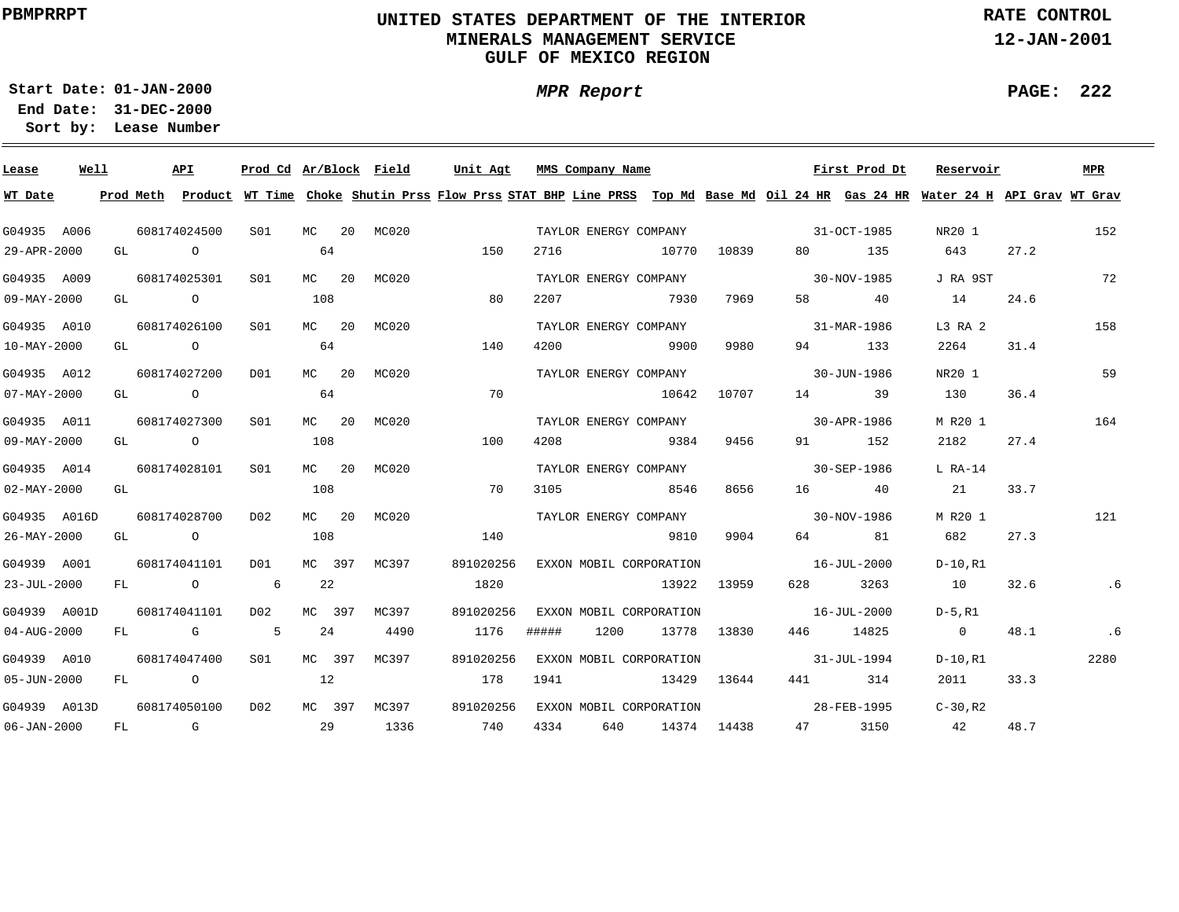# **UNITED STATES DEPARTMENT OF THE INTERIOR MINERALS MANAGEMENT SERVICEGULF OF MEXICO REGION**

**MPR Report**

**RATE CONTROL**

**12-JAN-2001**

**PAGE: 222**

÷

**01-JAN-2000Start Date:31-DEC-2000 End Date:** 

| Lease                    | Well |    |       | API            | Prod Cd Ar/Block Field |         |              | Unit Agt                                                                                                                                |       | MMS Company Name |                                   |             |                   | First Prod Dt | Reservoir      |      | MPR  |
|--------------------------|------|----|-------|----------------|------------------------|---------|--------------|-----------------------------------------------------------------------------------------------------------------------------------------|-------|------------------|-----------------------------------|-------------|-------------------|---------------|----------------|------|------|
| WT Date                  |      |    |       |                |                        |         |              | Prod Meth Product WT Time Choke Shutin Prss Flow Prss STAT BHP Line PRSS Top Md Base Md Oil 24 HR Gas 24 HR Water 24 H API Grav WT Grav |       |                  |                                   |             |                   |               |                |      |      |
| G04935 A006              |      |    |       | 608174024500   | SO1 SO                 |         | MC 20 MC020  |                                                                                                                                         |       |                  | TAYLOR ENERGY COMPANY             |             | $31-9CT-1985$     |               | NR20 1         |      | 152  |
| 29-APR-2000              |      |    | GL O  |                |                        | 64      |              | 150                                                                                                                                     | 2716  |                  | 10770                             | 10839       | 80 - 10           | 135           | 643            | 27.2 |      |
| G04935 A009              |      |    |       | 608174025301   | S01                    | MC $20$ | MC020        |                                                                                                                                         |       |                  | TAYLOR ENERGY COMPANY             |             | $30-NOV-1985$     |               | J RA 9ST       |      | 72   |
| 09-MAY-2000              |      |    | GL O  |                |                        | 108     |              | 80                                                                                                                                      | 2207  |                  | 7930                              | 7969        |                   | 58 40         | 14             | 24.6 |      |
| G04935 A010              |      |    |       | 608174026100   | S <sub>01</sub>        | $MC$ 20 | MC020        |                                                                                                                                         |       |                  | TAYLOR ENERGY COMPANY             |             |                   | 31-MAR-1986   | L3 RA 2        |      | 158  |
| $10 - MAX - 2000$        |      |    |       | GL O           |                        | 64      |              | 140                                                                                                                                     | 4200  |                  | 9900                              | 9980        | 94 — 10           | 133           | 2264           | 31.4 |      |
| G04935 A012              |      |    |       | 608174027200   | D01                    | $MC$ 20 | MC020        |                                                                                                                                         |       |                  | TAYLOR ENERGY COMPANY             |             |                   | 30-JUN-1986   | NR20 1         |      | 59   |
| $07 - MAX - 2000$        |      |    |       | GL O           |                        | 64      |              | 70                                                                                                                                      |       |                  | 10642                             | 10707       |                   | 14 39         | 130            | 36.4 |      |
| G04935 A011              |      |    |       | 608174027300   | SO1                    | $MC$ 20 | MC020        |                                                                                                                                         |       |                  | TAYLOR ENERGY COMPANY             |             | $30 - APR - 1986$ |               | M R20 1        |      | 164  |
| 09-MAY-2000              |      |    |       | GL O           |                        | 108     |              | 100                                                                                                                                     | 4208  |                  | 9384                              | 9456        | 91 — 200          | 152           | 2182           | 27.4 |      |
| G04935 A014              |      |    |       | 608174028101   | S01                    | $MC$ 20 | MC020        |                                                                                                                                         |       |                  |                                   |             |                   |               | $L$ RA-14      |      |      |
| $02 - \text{MAX} - 2000$ |      |    | GL DO |                |                        | 108     |              | 70                                                                                                                                      | 3105  |                  | 8546                              | 8656        |                   | 16 40         | 21             | 33.7 |      |
| G04935 A016D             |      |    |       | 608174028700   | D02                    | MC 20   | MC020        |                                                                                                                                         |       |                  | TAYLOR ENERGY COMPANY 30-NOV-1986 |             |                   |               | M R20 1        |      | 121  |
| 26-MAY-2000              |      |    |       | GL O           |                        | 108     |              | 140                                                                                                                                     |       |                  | 9810                              | 9904        |                   | 64 81         | 682            | 27.3 |      |
| G04939 A001              |      |    |       | 608174041101   | DO1                    | MC 397  | MC397        | 891020256                                                                                                                               |       |                  | EXXON MOBIL CORPORATION           |             | $16 - JUL - 2000$ |               | D-10,R1        |      |      |
| 23-JUL-2000              |      |    |       | FL O           | $6\overline{6}$        | 22      |              | 1820                                                                                                                                    |       |                  |                                   | 13922 13959 | 628 — 10          | 3263          | 10             | 32.6 | .6   |
| G04939 A001D             |      |    |       | 608174041101   | D02                    | MC 397  | MC397        | 891020256                                                                                                                               |       |                  | EXXON MOBIL CORPORATION           |             | $16 - JUL - 2000$ |               | D-5,R1         |      |      |
| 04-AUG-2000              |      |    |       | FL G           | $5^{\circ}$            | 24      | 4490         | 1176                                                                                                                                    | ##### | 1200             |                                   | 13778 13830 |                   | 446 14825     | $\overline{0}$ | 48.1 | .6   |
| G04939 A010              |      |    |       | 608174047400   | S01                    | MC 397  | MC397        | 891020256                                                                                                                               |       |                  | EXXON MOBIL CORPORATION           |             |                   | 31-JUL-1994   | D-10,R1        |      | 2280 |
| $05 - JUN - 2000$        |      | FL |       | $\overline{O}$ |                        | 12      |              | 178                                                                                                                                     | 1941  |                  |                                   | 13429 13644 |                   | 441 314       | 2011           | 33.3 |      |
| G04939 A013D             |      |    |       | 608174050100   | D02                    |         | MC 397 MC397 | 891020256                                                                                                                               |       |                  | EXXON MOBIL CORPORATION           |             | 28-FEB-1995       |               | $C-30$ , R2    |      |      |
| $06 - JAN - 2000$        |      |    |       | $FL$ G         | $\sim$ 29              |         | 1336         | 740                                                                                                                                     | 4334  |                  | 640 14374 14438                   |             |                   | 47 3150       | 42             | 48.7 |      |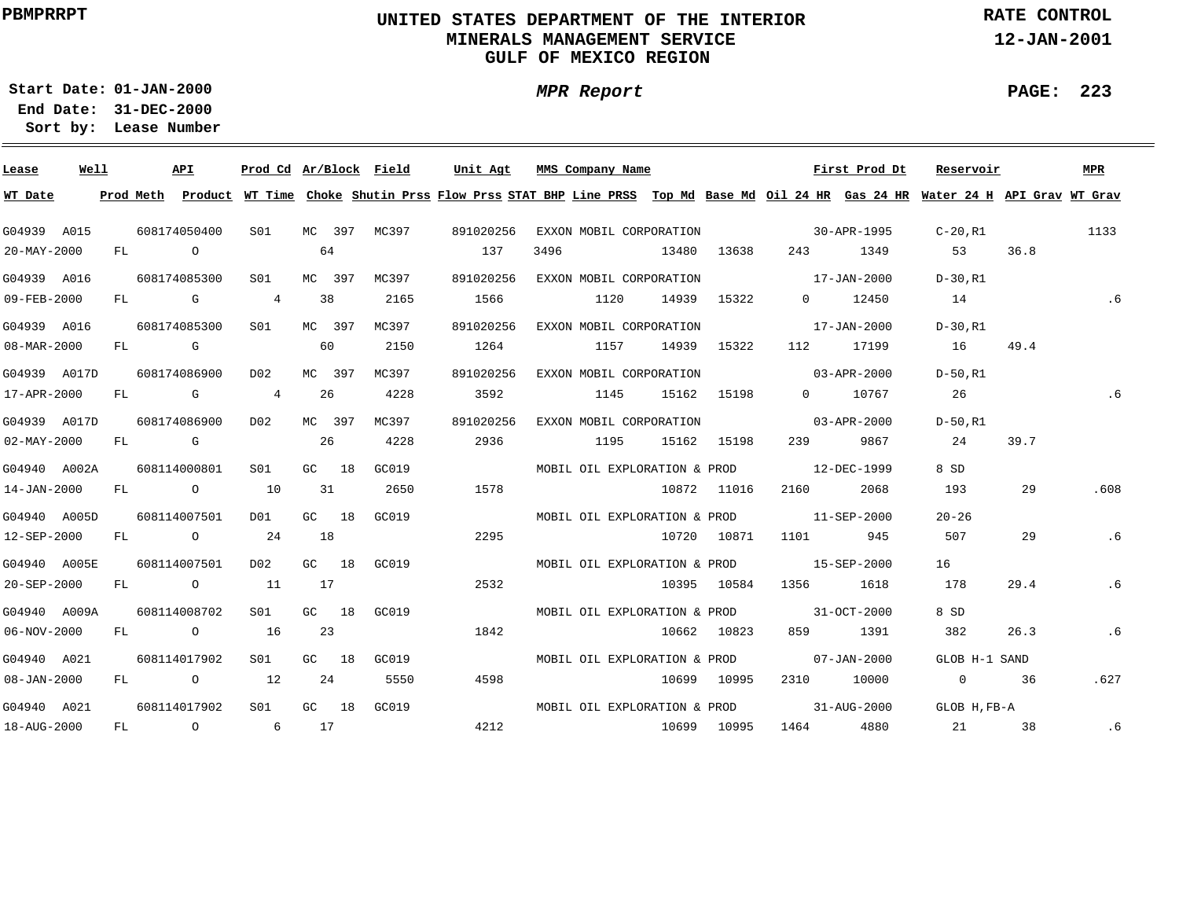# **UNITED STATES DEPARTMENT OF THE INTERIOR MINERALS MANAGEMENT SERVICEGULF OF MEXICO REGION**

**MPR Report**

**RATE CONTROL**

**12-JAN-2001**

**PAGE: 223**

**01-JAN-2000Start Date:31-DEC-2000 End Date:** 

| Lease             | Well |    |                | API                                                                                                                                                                                                                            | Prod Cd Ar/Block |           |       | Field | Unit Agt                                                                                                                                |      | MMS Company Name             |             |             |                                                                                                                                                                                                                                 | First Prod Dt | Reservoir      |      | <b>MPR</b> |
|-------------------|------|----|----------------|--------------------------------------------------------------------------------------------------------------------------------------------------------------------------------------------------------------------------------|------------------|-----------|-------|-------|-----------------------------------------------------------------------------------------------------------------------------------------|------|------------------------------|-------------|-------------|---------------------------------------------------------------------------------------------------------------------------------------------------------------------------------------------------------------------------------|---------------|----------------|------|------------|
| WT Date           |      |    |                |                                                                                                                                                                                                                                |                  |           |       |       | Prod Meth Product WT Time Choke Shutin Prss Flow Prss STAT BHP Line PRSS Top Md Base Md Oil 24 HR Gas 24 HR Water 24 H API Grav WT Grav |      |                              |             |             |                                                                                                                                                                                                                                 |               |                |      |            |
| G04939 A015       |      |    |                | 608174050400                                                                                                                                                                                                                   | SO1              | MC 397    |       | MC397 | 891020256                                                                                                                               |      | EXXON MOBIL CORPORATION      |             |             | $30 - APR - 1995$                                                                                                                                                                                                               |               | C-20,R1        |      | 1133       |
| 20-MAY-2000       |      | FL | $\overline{a}$ |                                                                                                                                                                                                                                |                  | 64        |       |       | 137                                                                                                                                     | 3496 |                              | 13480       | 13638       | 243 — 243 — 243 — 243 — 243 — 254 — 255 — 255 — 255 — 255 — 255 — 255 — 255 — 255 — 255 — 255 — 255 — 255 — 255 — 255 — 255 — 255 — 255 — 255 — 255 — 255 — 255 — 255 — 255 — 255 — 255 — 255 — 255 — 255 — 255 — 255 — 255 — 2 | 1349          | 53             | 36.8 |            |
| G04939 A016       |      |    |                | 608174085300                                                                                                                                                                                                                   | SO1              | MC 397    |       | MC397 | 891020256                                                                                                                               |      | EXXON MOBIL CORPORATION      |             |             | $17 - JAN - 2000$                                                                                                                                                                                                               |               | D-30,R1        |      |            |
| 09-FEB-2000       |      |    |                | FL G                                                                                                                                                                                                                           | $\overline{4}$   | 38        |       | 2165  | 1566                                                                                                                                    |      | 1120                         |             | 14939 15322 |                                                                                                                                                                                                                                 | 0 12450       | 14             |      | .6         |
| G04939 A016       |      |    |                | 608174085300                                                                                                                                                                                                                   | S01              | MC 397    |       | MC397 | 891020256                                                                                                                               |      | EXXON MOBIL CORPORATION      |             |             | $17 - JAN - 2000$                                                                                                                                                                                                               |               | $D-30. R1$     |      |            |
| 08-MAR-2000       |      |    | FL G           |                                                                                                                                                                                                                                |                  | 60        |       | 2150  | 1264                                                                                                                                    |      | 1157                         | 14939       | 15322       | 112                                                                                                                                                                                                                             | 17199         | 16             | 49.4 |            |
| G04939 A017D      |      |    |                | 608174086900                                                                                                                                                                                                                   | D02              | MC 397    |       | MC397 | 891020256                                                                                                                               |      | EXXON MOBIL CORPORATION      |             |             | $03 - APR - 2000$                                                                                                                                                                                                               |               | D-50.R1        |      |            |
| 17-APR-2000       |      | FL |                | <b>G</b>                                                                                                                                                                                                                       | 4                | 26        |       | 4228  | 3592                                                                                                                                    |      | 1145                         |             | 15162 15198 |                                                                                                                                                                                                                                 | 0 10767       | 26             |      | .6         |
| G04939 A017D      |      |    |                | 608174086900                                                                                                                                                                                                                   | D02              | MC 397    |       | MC397 | 891020256                                                                                                                               |      | EXXON MOBIL CORPORATION      |             |             |                                                                                                                                                                                                                                 | 03-APR-2000   | D-50.R1        |      |            |
| $02 - MAX - 2000$ |      | FL |                | and the control of the control of the control of the control of the control of the control of the control of the control of the control of the control of the control of the control of the control of the control of the cont |                  | 26        |       | 4228  | 2936                                                                                                                                    |      | 1195                         |             | 15162 15198 | 239                                                                                                                                                                                                                             | 9867          | 24             | 39.7 |            |
| G04940 A002A      |      |    |                | 608114000801                                                                                                                                                                                                                   | SO1              | GC 18     |       | GC019 |                                                                                                                                         |      | MOBIL OIL EXPLORATION & PROD |             |             | 12-DEC-1999                                                                                                                                                                                                                     |               | 8 SD           |      |            |
| 14-JAN-2000       |      | FL |                | $\overline{O}$                                                                                                                                                                                                                 | 10               | 31        |       | 2650  | 1578                                                                                                                                    |      |                              |             | 10872 11016 | 2160                                                                                                                                                                                                                            | 2068          | 193            | 29   | .608       |
| G04940 A005D      |      |    |                | 608114007501                                                                                                                                                                                                                   | DO1              | GC 18     |       | GC019 |                                                                                                                                         |      |                              |             |             | MOBIL OIL EXPLORATION & PROD 11-SEP-2000                                                                                                                                                                                        |               | $20 - 26$      |      |            |
| 12-SEP-2000       |      |    |                | FL O                                                                                                                                                                                                                           | 24               | 18        |       |       | 2295                                                                                                                                    |      |                              | 10720 10871 |             | 1101 \                                                                                                                                                                                                                          | 945           | 507            | 29   | .6         |
| G04940 A005E      |      |    |                | 608114007501                                                                                                                                                                                                                   | D02              | $GC = 18$ |       | GC019 |                                                                                                                                         |      | MOBIL OIL EXPLORATION & PROD |             |             | 15-SEP-2000                                                                                                                                                                                                                     |               | 16             |      |            |
| 20-SEP-2000       |      |    |                | FL O                                                                                                                                                                                                                           | 11               | 17        |       |       | 2532                                                                                                                                    |      |                              |             | 10395 10584 | 1356 - 135                                                                                                                                                                                                                      | 1618          | 178            | 29.4 | .6         |
| G04940 A009A      |      |    |                | 608114008702                                                                                                                                                                                                                   | S <sub>01</sub>  |           | GC 18 | GC019 |                                                                                                                                         |      |                              |             |             | MOBIL OIL EXPLORATION & PROD 31-OCT-2000                                                                                                                                                                                        |               | 8 SD           |      |            |
| 06-NOV-2000       |      |    |                | FL O                                                                                                                                                                                                                           | 16               | 23        |       |       | 1842                                                                                                                                    |      |                              |             | 10662 10823 | 859 — 1                                                                                                                                                                                                                         | 1391          | 382            | 26.3 | .6         |
| G04940 A021       |      |    |                | 608114017902                                                                                                                                                                                                                   | SO1              | GC $18$   |       | GC019 |                                                                                                                                         |      | MOBIL OIL EXPLORATION & PROD |             |             |                                                                                                                                                                                                                                 | 07-JAN-2000   | GLOB H-1 SAND  |      |            |
| $08 - JAN - 2000$ |      | FL |                | $\overline{O}$                                                                                                                                                                                                                 | 12               | 24        |       | 5550  | 4598                                                                                                                                    |      |                              | 10699       | 10995       | 2310                                                                                                                                                                                                                            | 10000         | $\overline{0}$ | 36   | .627       |
| G04940 A021       |      |    |                | 608114017902                                                                                                                                                                                                                   | S <sub>01</sub>  |           | GC 18 | GC019 |                                                                                                                                         |      | MOBIL OIL EXPLORATION & PROD |             |             | $31 - \text{AUG} - 2000$                                                                                                                                                                                                        |               | GLOB H.FB-A    |      |            |
| 18-AUG-2000       |      | FL |                | $\overline{O}$                                                                                                                                                                                                                 | 6 17             |           |       |       | 4212                                                                                                                                    |      |                              |             | 10699 10995 | 1464                                                                                                                                                                                                                            | 4880          | 21 / 21        | 38   | .6         |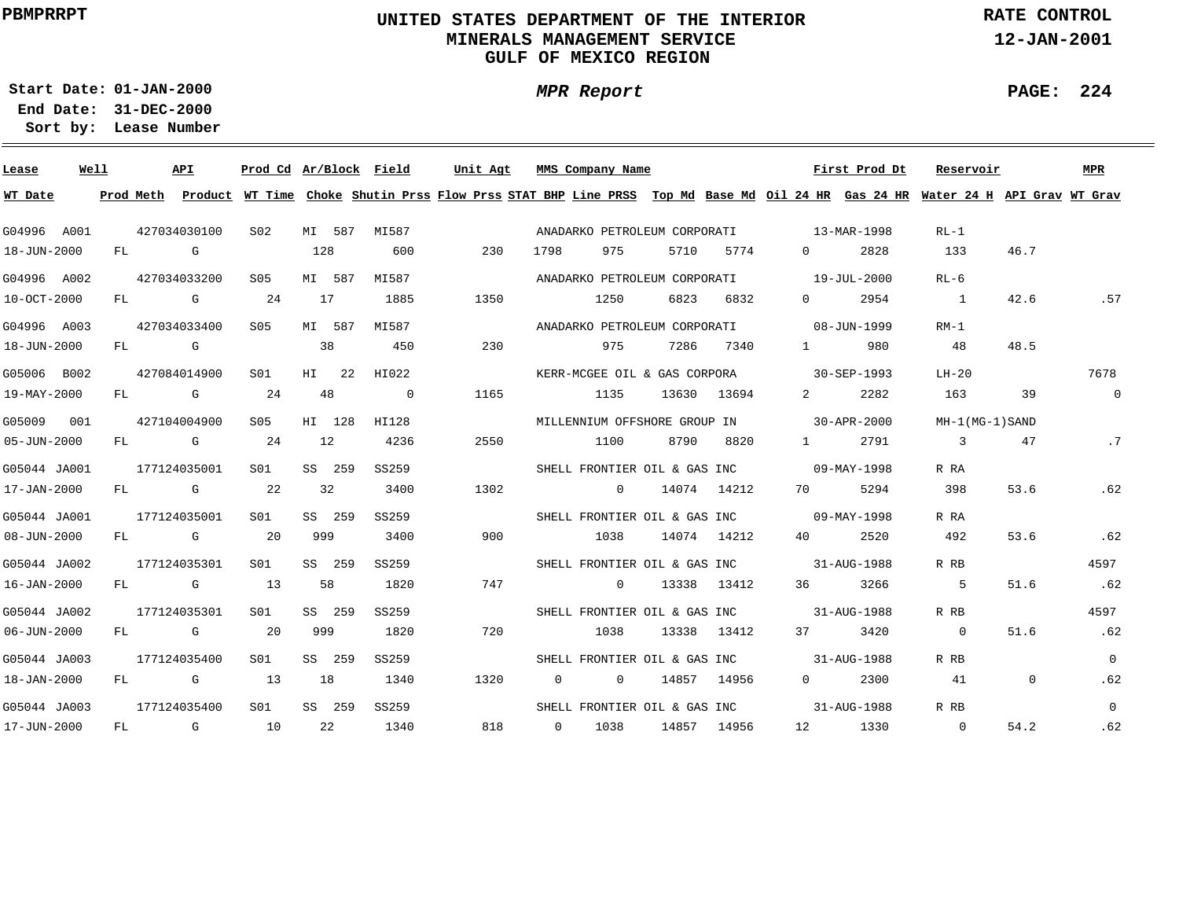# **UNITED STATES DEPARTMENT OF THE INTERIOR MINERALS MANAGEMENT SERVICEGULF OF MEXICO REGION**

**MPR Report**

**RATE CONTROL**

**12-JAN-2001**

**PAGE: 224**

÷

**01-JAN-2000Start Date:31-DEC-2000 End Date:** 

| Lease             | Well |              | API                                                                                                                                                                                                                            | Prod Cd Ar/Block Field |        |         |                | Unit Agt |     |                | MMS Company Name             |      |             |                                          | First Prod Dt | Reservoir                                                                                                                               |                | <b>MPR</b>     |
|-------------------|------|--------------|--------------------------------------------------------------------------------------------------------------------------------------------------------------------------------------------------------------------------------|------------------------|--------|---------|----------------|----------|-----|----------------|------------------------------|------|-------------|------------------------------------------|---------------|-----------------------------------------------------------------------------------------------------------------------------------------|----------------|----------------|
| WT Date           |      |              |                                                                                                                                                                                                                                |                        |        |         |                |          |     |                |                              |      |             |                                          |               | Prod Meth Product WT Time Choke Shutin Prss Flow Prss STAT BHP Line PRSS Top Md Base Md Oil 24 HR Gas 24 HR Water 24 H API Grav WT Grav |                |                |
| G04996 A001       |      |              | 427034030100                                                                                                                                                                                                                   | S02                    |        | MI 587  | MI587          |          |     |                | ANADARKO PETROLEUM CORPORATI |      |             | 13-MAR-1998                              |               | $RL-1$                                                                                                                                  |                |                |
| 18-JUN-2000       |      | FL           | G                                                                                                                                                                                                                              |                        | 128    |         | 600            |          | 230 | 1798           | 975                          | 5710 | 5774        | $\Omega$                                 | 2828          | 133                                                                                                                                     | 46.7           |                |
| G04996 A002       |      |              | 427034033200                                                                                                                                                                                                                   | S05                    |        | MI 587  | MI587          |          |     |                | ANADARKO PETROLEUM CORPORATI |      |             |                                          | 19-JUL-2000   | $RL-6$                                                                                                                                  |                |                |
| 10-OCT-2000       |      | FL           | G                                                                                                                                                                                                                              | 24                     | 17     |         | 1885           | 1350     |     |                | 1250                         | 6823 | 6832        | $\overline{0}$                           | 2954          | $\frac{1}{2}$                                                                                                                           | 42.6           | .57            |
| G04996 A003       |      |              | 427034033400                                                                                                                                                                                                                   | S05                    |        | MI 587  | MI587          |          |     |                | ANADARKO PETROLEUM CORPORATI |      |             |                                          | 08-JUN-1999   | $RM-1$                                                                                                                                  |                |                |
| 18-JUN-2000       |      | FL           | in the Group of Group of the Group of the State of the State of the State of the State of the State of the State of the State of the State of the State of the State of the State of the State of the State of the State of th |                        | 38     |         | 450            |          | 230 |                | 975                          | 7286 | 7340        | $1 \quad \cdots$                         | 980           | 48                                                                                                                                      | 48.5           |                |
| G05006 B002       |      |              | 427084014900                                                                                                                                                                                                                   | SO1                    |        | $HI$ 22 | HI022          |          |     |                | KERR-MCGEE OIL & GAS CORPORA |      |             |                                          | 30-SEP-1993   | LH-20                                                                                                                                   |                | 7678           |
| 19-MAY-2000       |      | FL           | $\mathbb G$                                                                                                                                                                                                                    | 24                     | 48     |         | $\overline{0}$ | 1165     |     |                | 1135                         |      | 13630 13694 | $2^{\circ}$                              | 2282          | 163                                                                                                                                     | 39             | $\overline{0}$ |
| G05009 001        |      |              | 427104004900                                                                                                                                                                                                                   | S05                    | HI 128 |         | HI128          |          |     |                | MILLENNIUM OFFSHORE GROUP IN |      |             | $30 - APR - 2000$                        |               | MH-1(MG-1)SAND                                                                                                                          |                |                |
| $05 - JUN - 2000$ |      |              | FL G                                                                                                                                                                                                                           | 24                     | 12     |         | 4236           | 2550     |     |                | 1100                         | 8790 | 8820        | $1 \qquad \qquad$                        | 2791          | $\overline{3}$                                                                                                                          | 47             | .7             |
| G05044 JA001      |      | 177124035001 |                                                                                                                                                                                                                                | S01                    | SS 259 |         | SS259          |          |     |                |                              |      |             | SHELL FRONTIER OIL & GAS INC 09-MAY-1998 |               | R RA                                                                                                                                    |                |                |
| 17-JAN-2000       |      | FL G         |                                                                                                                                                                                                                                | 22                     | 32     |         | 3400           | 1302     |     |                | $\overline{0}$               |      | 14074 14212 | 70 — 20                                  | 5294          | 398                                                                                                                                     | 53.6           | .62            |
| G05044 JA001      |      |              | 177124035001                                                                                                                                                                                                                   | SO1                    | SS 259 |         | SS259          |          |     |                |                              |      |             | SHELL FRONTIER OIL & GAS INC 09-MAY-1998 |               | R RA                                                                                                                                    |                |                |
| $08 - JUN - 2000$ |      | FL           | in the control of the control of the control of the control of the control of the control of the control of th                                                                                                                 | 20                     | 999    |         | 3400           |          | 900 |                | 1038                         |      | 14074 14212 | 40 — 10                                  | 2520          | 492                                                                                                                                     | 53.6           | .62            |
| G05044 JA002      |      |              | 177124035301                                                                                                                                                                                                                   | S01                    | SS 259 |         | SS259          |          |     |                | SHELL FRONTIER OIL & GAS INC |      |             |                                          | 31-AUG-1988   | R RB                                                                                                                                    |                | 4597           |
| 16-JAN-2000       |      | FL           | G                                                                                                                                                                                                                              | 13                     | 58     |         | 1820           |          | 747 |                | $\overline{0}$               |      | 13338 13412 | 36                                       | 3266          | -5                                                                                                                                      | 51.6           | .62            |
| G05044 JA002      |      |              | 177124035301                                                                                                                                                                                                                   | S01                    | SS 259 |         | SS259          |          |     |                | SHELL FRONTIER OIL & GAS INC |      |             |                                          | 31-AUG-1988   | R RB                                                                                                                                    |                | 4597           |
| $06 - JUN - 2000$ |      | FL           | <b>G</b> G                                                                                                                                                                                                                     | 20                     | 999    |         | 1820           |          | 720 |                | 1038                         |      | 13338 13412 | 37                                       | 3420          | $\overline{0}$                                                                                                                          | 51.6           | .62            |
| G05044 JA003      |      |              | 177124035400                                                                                                                                                                                                                   | S01                    | SS 259 |         | SS259          |          |     |                | SHELL FRONTIER OIL & GAS INC |      |             |                                          | 31-AUG-1988   | R RB                                                                                                                                    |                | $\overline{0}$ |
| 18-JAN-2000       |      | FL           | $\mathbf G$                                                                                                                                                                                                                    | 13                     | 18     |         | 1340           | 1320     |     | $\overline{0}$ | $\overline{0}$               |      | 14857 14956 | $\mathbf{0}$                             | 2300          | 41                                                                                                                                      | $\overline{0}$ | .62            |
| G05044 JA003      |      |              | 177124035400                                                                                                                                                                                                                   | S <sub>01</sub>        |        | SS 259  | SS259          |          |     |                | SHELL FRONTIER OIL & GAS INC |      |             |                                          | 31-AUG-1988   | R RB                                                                                                                                    |                | $\Omega$       |
| 17-JUN-2000       |      | FL           | $\mathbb G$                                                                                                                                                                                                                    | <b>10</b>              | 22     |         | 1340           |          | 818 | $\overline{0}$ | 1038                         |      | 14857 14956 |                                          | 12 1330       | $\overline{0}$                                                                                                                          | 54.2           | .62            |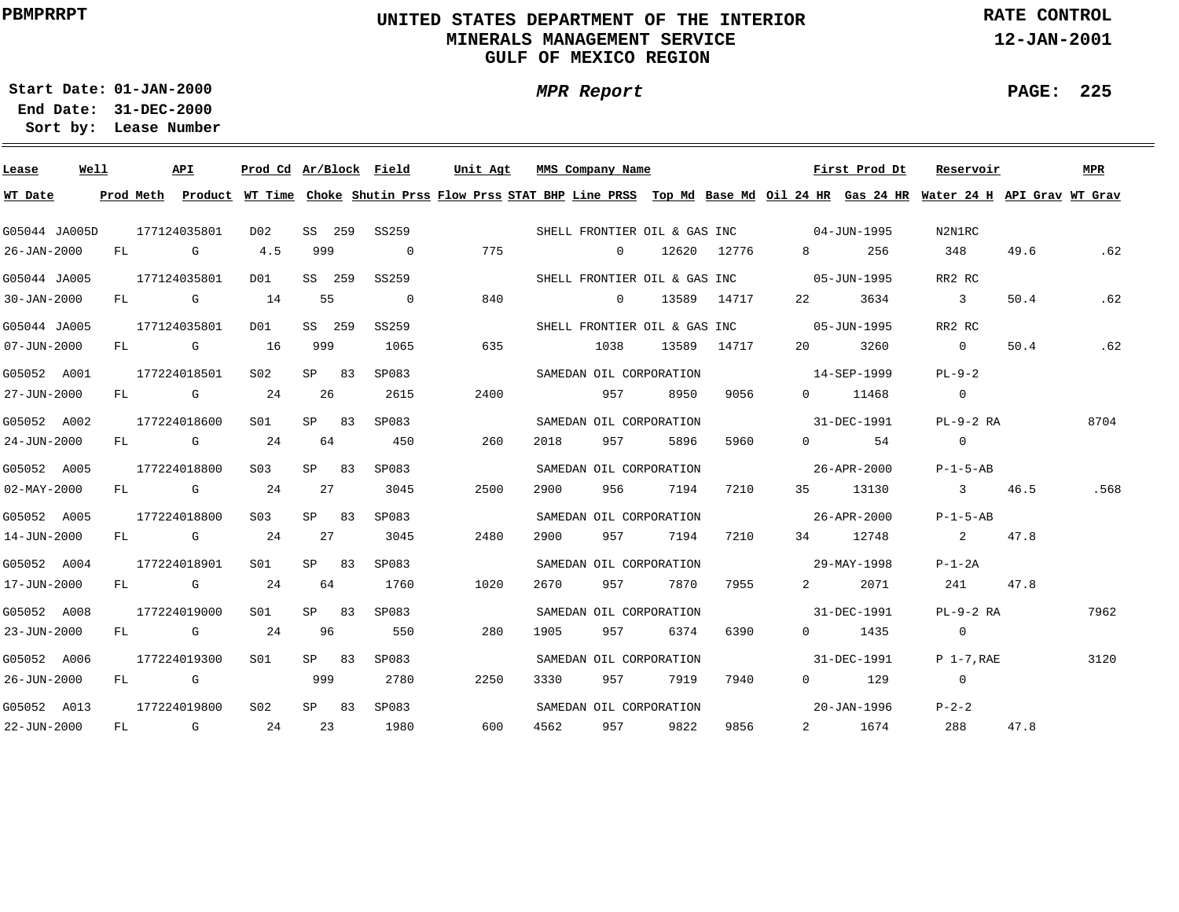# **UNITED STATES DEPARTMENT OF THE INTERIOR MINERALS MANAGEMENT SERVICEGULF OF MEXICO REGION**

**MPR Report**

**RATE CONTROL**

**12-JAN-2001**

**PAGE: 225**

÷

**01-JAN-2000Start Date:31-DEC-2000 End Date:** 

| Lease             | Well |    | API                                                                                                                                                                                                                            |                                                                                                                                                                                                                                | Prod Cd Ar/Block Field |       |        |                | Unit Agt                                                                                                                      |      | MMS Company Name |                         |             |                                          | First Prod Dt         | Reservoir                  |      | MPR  |
|-------------------|------|----|--------------------------------------------------------------------------------------------------------------------------------------------------------------------------------------------------------------------------------|--------------------------------------------------------------------------------------------------------------------------------------------------------------------------------------------------------------------------------|------------------------|-------|--------|----------------|-------------------------------------------------------------------------------------------------------------------------------|------|------------------|-------------------------|-------------|------------------------------------------|-----------------------|----------------------------|------|------|
| WT Date           |      |    | Prod Meth                                                                                                                                                                                                                      |                                                                                                                                                                                                                                |                        |       |        |                | Product WT Time Choke Shutin Prss Flow Prss STAT BHP Line PRSS Top Md Base Md Oil 24 HR Gas 24 HR Water 24 H API Grav WT Grav |      |                  |                         |             |                                          |                       |                            |      |      |
| G05044 JA005D     |      |    | 177124035801                                                                                                                                                                                                                   |                                                                                                                                                                                                                                | D02                    |       | SS 259 | SS259          |                                                                                                                               |      |                  |                         |             | SHELL FRONTIER OIL & GAS INC 04-JUN-1995 |                       | N2N1RC                     |      |      |
| 26-JAN-2000       |      | FL |                                                                                                                                                                                                                                | G                                                                                                                                                                                                                              | 4.5                    | 999   |        | $\overline{0}$ | 775                                                                                                                           |      | $\overline{0}$   | 12620                   | 12776       | 8 - 1                                    | 256                   | 348                        | 49.6 | .62  |
| G05044 JA005      |      |    | 177124035801                                                                                                                                                                                                                   |                                                                                                                                                                                                                                | DO1                    |       | SS 259 | SS259          |                                                                                                                               |      |                  |                         |             | SHELL FRONTIER OIL & GAS INC 05-JUN-1995 |                       | RR2 RC                     |      |      |
| 30-JAN-2000       |      | FL |                                                                                                                                                                                                                                | G                                                                                                                                                                                                                              | 14                     | 55    |        | $\overline{0}$ | 840                                                                                                                           |      | $\overline{0}$   |                         | 13589 14717 | 22                                       | 3634                  | $\overline{\mathbf{3}}$    | 50.4 | .62  |
| G05044 JA005      |      |    | 177124035801                                                                                                                                                                                                                   |                                                                                                                                                                                                                                | D01                    |       | SS 259 | SS259          |                                                                                                                               |      |                  |                         |             | SHELL FRONTIER OIL & GAS INC 05-JUN-1995 |                       | RR2 RC                     |      |      |
| $07 - JUN - 2000$ |      | FL | and the control of the control of the control of the control of the control of the control of the control of the control of the control of the control of the control of the control of the control of the control of the cont |                                                                                                                                                                                                                                | 16                     | 999   |        | 1065           | 635                                                                                                                           |      | 1038             |                         | 13589 14717 | 20 —                                     | 3260                  | $\overline{0}$             | 50.4 | .62  |
| G05052 A001       |      |    | 177224018501                                                                                                                                                                                                                   |                                                                                                                                                                                                                                | S02                    |       | SP 83  | SP083          |                                                                                                                               |      |                  | SAMEDAN OIL CORPORATION |             |                                          | 14-SEP-1999           | $PL-9-2$                   |      |      |
| 27-JUN-2000       |      | FL |                                                                                                                                                                                                                                | and the Contract of the Contract of the Contract of the Contract of the Contract of the Contract of the Contract of the Contract of the Contract of the Contract of the Contract of the Contract of the Contract of the Contra | 24                     | 26    |        | 2615           | 2400                                                                                                                          |      | 957              | 8950                    | 9056        | $\Omega$                                 | 11468                 | $\overline{0}$             |      |      |
| G05052 A002       |      |    | 177224018600                                                                                                                                                                                                                   |                                                                                                                                                                                                                                | S01                    |       | SP 83  | SP083          |                                                                                                                               |      |                  | SAMEDAN OIL CORPORATION |             |                                          | 31-DEC-1991           | $PL-9-2 RA$                |      | 8704 |
| 24-JUN-2000       |      | FL | <b>G</b>                                                                                                                                                                                                                       |                                                                                                                                                                                                                                | 24                     | 64    |        | 450            | 260                                                                                                                           | 2018 | 957              | 5896                    | 5960        | $\Omega$                                 | 54                    | $\overline{0}$             |      |      |
| G05052 A005       |      |    | 177224018800                                                                                                                                                                                                                   |                                                                                                                                                                                                                                | S03                    |       | SP 83  | SP083          |                                                                                                                               |      |                  | SAMEDAN OIL CORPORATION |             |                                          | 26-APR-2000           | $P-1-5-AB$                 |      |      |
| $02 - MAX - 2000$ |      |    | $FL$ G                                                                                                                                                                                                                         |                                                                                                                                                                                                                                | 24                     | 27    |        | 3045           | 2500                                                                                                                          | 2900 | 956              | 7194                    | 7210        | $35 -$                                   | 13130                 | $\overline{\mathbf{3}}$    | 46.5 | .568 |
| G05052 A005       |      |    | 177224018800                                                                                                                                                                                                                   |                                                                                                                                                                                                                                | S <sub>03</sub>        |       | SP 83  | SP083          |                                                                                                                               |      |                  | SAMEDAN OIL CORPORATION |             |                                          | 26-APR-2000           | $P-1-5-AB$                 |      |      |
| 14-JUN-2000       |      |    | FL G                                                                                                                                                                                                                           |                                                                                                                                                                                                                                | 24                     | 27    |        | 3045           | 2480                                                                                                                          | 2900 | 957              | 7194                    | 7210        | 34                                       | 12748                 | $\overline{\phantom{a}}$ 2 | 47.8 |      |
| G05052 A004       |      |    | 177224018901                                                                                                                                                                                                                   |                                                                                                                                                                                                                                | S01                    | SP 83 |        | SP083          |                                                                                                                               |      |                  | SAMEDAN OIL CORPORATION |             |                                          | 29-MAY-1998           | $P-1-2A$                   |      |      |
| 17-JUN-2000       |      |    | FL G                                                                                                                                                                                                                           |                                                                                                                                                                                                                                | 24                     | 64    |        | 1760           | 1020                                                                                                                          | 2670 | 957              | 7870                    | 7955        | $2 \left( \frac{1}{2} \right)$           | 2071                  | 241                        | 47.8 |      |
| G05052 A008       |      |    | 177224019000                                                                                                                                                                                                                   |                                                                                                                                                                                                                                | S01                    | SP 83 |        | SP083          |                                                                                                                               |      |                  | SAMEDAN OIL CORPORATION |             |                                          | 31-DEC-1991           | $PL-9-2 RA$                |      | 7962 |
| 23-JUN-2000       |      | FL | $\mathbb G$                                                                                                                                                                                                                    |                                                                                                                                                                                                                                | 24                     | 96    |        | 550            | 280                                                                                                                           | 1905 | 957              | 6374                    | 6390        | $\overline{0}$                           | 1435                  | $\overline{0}$             |      |      |
| G05052 A006       |      |    | 177224019300                                                                                                                                                                                                                   |                                                                                                                                                                                                                                | S01                    |       | SP 83  | SP083          |                                                                                                                               |      |                  | SAMEDAN OIL CORPORATION |             |                                          | 31-DEC-1991           | P 1-7, RAE                 |      | 3120 |
| 26-JUN-2000       |      | FL | <b>G</b> G                                                                                                                                                                                                                     |                                                                                                                                                                                                                                |                        | 999   |        | 2780           | 2250                                                                                                                          | 3330 | 957              | 7919                    | 7940        |                                          | $0 \qquad \qquad 129$ | $\overline{0}$             |      |      |
| G05052 A013       |      |    | 177224019800                                                                                                                                                                                                                   |                                                                                                                                                                                                                                | S <sub>02</sub>        |       | SP 83  | SP083          |                                                                                                                               |      |                  | SAMEDAN OIL CORPORATION |             |                                          | 20-JAN-1996           | $P - 2 - 2$                |      |      |
| 22-JUN-2000       |      | FL | $\mathbb G$                                                                                                                                                                                                                    |                                                                                                                                                                                                                                | 24                     | 23    |        | 1980           | 600                                                                                                                           | 4562 | 957              | 9822                    | 9856        | $2 \left( \frac{1}{2} \right)$           | 1674                  | 288                        | 47.8 |      |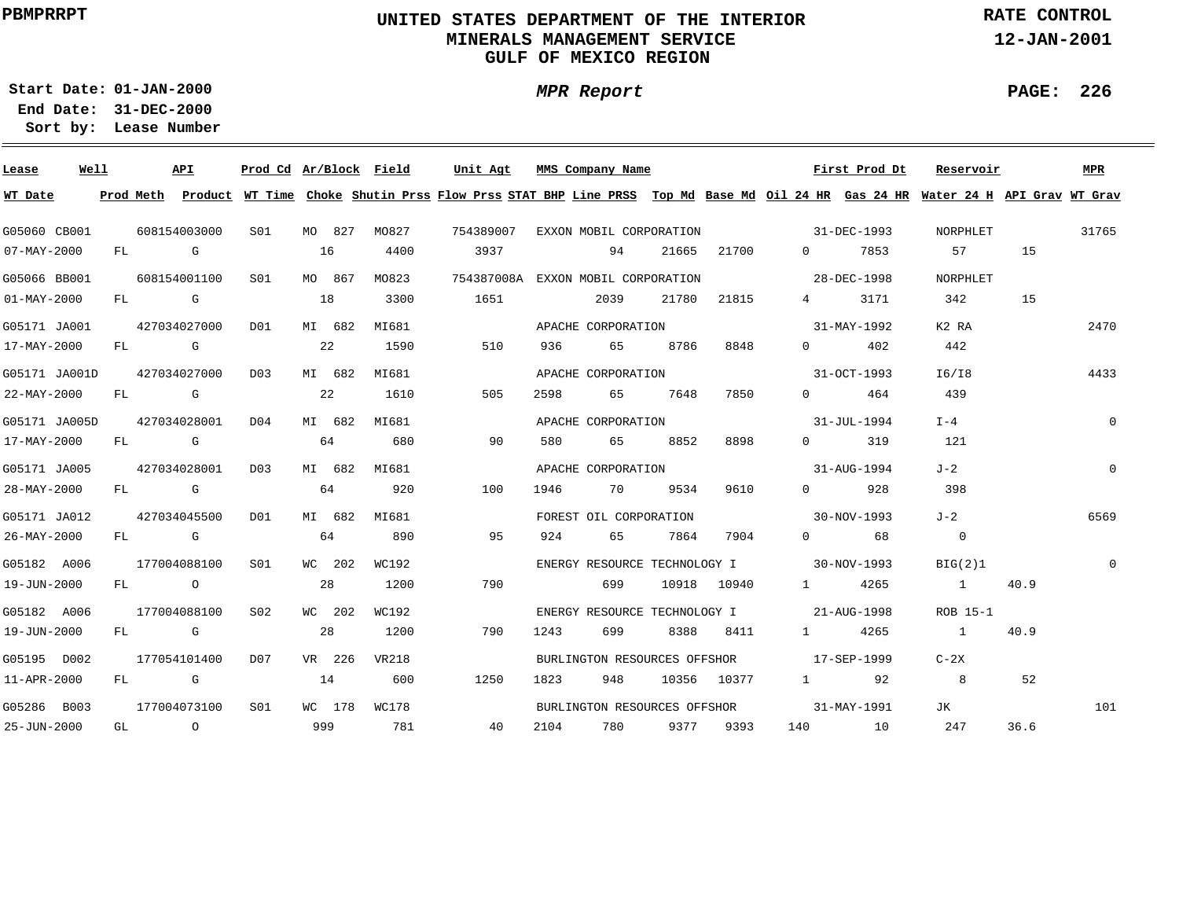# **UNITED STATES DEPARTMENT OF THE INTERIOR MINERALS MANAGEMENT SERVICEGULF OF MEXICO REGION**

**MPR Report**

**RATE CONTROL**

**12-JAN-2001**

**PAGE: 226**

÷

**01-JAN-2000Start Date:31-DEC-2000 End Date:** 

| Lease             | Well |     |                                                                                                                                                                                                                                | API          | Prod Cd Ar/Block Field |     |        |       | Unit Agt  |      | MMS Company Name                   |       |             |                   | First Prod Dt                            | Reservoir                                                                                                                               |      | <b>MPR</b>  |
|-------------------|------|-----|--------------------------------------------------------------------------------------------------------------------------------------------------------------------------------------------------------------------------------|--------------|------------------------|-----|--------|-------|-----------|------|------------------------------------|-------|-------------|-------------------|------------------------------------------|-----------------------------------------------------------------------------------------------------------------------------------------|------|-------------|
| WT Date           |      |     |                                                                                                                                                                                                                                |              |                        |     |        |       |           |      |                                    |       |             |                   |                                          | Prod Meth Product WT Time Choke Shutin Prss Flow Prss STAT BHP Line PRSS Top Md Base Md Oil 24 HR Gas 24 HR Water 24 H API Grav WT Grav |      |             |
| G05060 CB001      |      |     |                                                                                                                                                                                                                                | 608154003000 | S01                    |     | MO 827 | MO827 | 754389007 |      | EXXON MOBIL CORPORATION            |       |             |                   | 31-DEC-1993                              | NORPHLET                                                                                                                                |      | 31765       |
| 07-MAY-2000       |      | FL  |                                                                                                                                                                                                                                | G            |                        | 16  |        | 4400  | 3937      |      | 94                                 | 21665 | 21700       | $0 \qquad \qquad$ | 7853                                     | 57                                                                                                                                      | 15   |             |
| G05066 BB001      |      |     |                                                                                                                                                                                                                                | 608154001100 | S01                    |     | MO 867 | MO823 |           |      | 754387008A EXXON MOBIL CORPORATION |       |             |                   | 28-DEC-1998                              | NORPHLET                                                                                                                                |      |             |
| $01 - MAX - 2000$ |      | FL  | in the control of the control of the control of the control of the control of the control of the control of th                                                                                                                 |              |                        | 18  |        | 3300  | 1651      |      | 2039                               | 21780 | 21815       | $4\degree$        | 3171                                     | 342                                                                                                                                     | 15   |             |
| G05171 JA001      |      |     |                                                                                                                                                                                                                                | 427034027000 | D <sub>0</sub> 1       |     | MI 682 | MI681 |           |      | APACHE CORPORATION                 |       |             |                   | 31-MAY-1992                              | K2 RA                                                                                                                                   |      | 2470        |
| 17-MAY-2000       |      | FL  | <b>G</b> G                                                                                                                                                                                                                     |              |                        | 22  |        | 1590  | 510       | 936  | 65                                 | 8786  | 8848        | $0 \qquad \qquad$ | 402                                      | 442                                                                                                                                     |      |             |
| G05171 JA001D     |      |     |                                                                                                                                                                                                                                | 427034027000 | D <sub>0</sub> 3       |     | MI 682 | MI681 |           |      | APACHE CORPORATION                 |       |             |                   | 31-OCT-1993                              | I6/I8                                                                                                                                   |      | 4433        |
| 22-MAY-2000       |      | FL  | <b>G</b> G                                                                                                                                                                                                                     |              |                        | 22  |        | 1610  | 505       | 2598 | 65                                 | 7648  | 7850        | $\Omega$          | 464                                      | 439                                                                                                                                     |      |             |
| G05171 JA005D     |      |     |                                                                                                                                                                                                                                | 427034028001 | D04                    |     | MI 682 | MI681 |           |      | APACHE CORPORATION                 |       |             |                   | 31-JUL-1994                              | $I - 4$                                                                                                                                 |      | $\mathbf 0$ |
| 17-MAY-2000       |      | FL  |                                                                                                                                                                                                                                | G            |                        | 64  |        | 680   | 90        | 580  | 65                                 | 8852  | 8898        | $\Omega$          | 319                                      | 121                                                                                                                                     |      |             |
| G05171 JA005      |      |     |                                                                                                                                                                                                                                | 427034028001 | D <sub>0</sub> 3       |     | MI 682 | MI681 |           |      | APACHE CORPORATION                 |       |             |                   | $31 - \text{A} \text{U} \text{G} - 1994$ | $J - 2$                                                                                                                                 |      | $\Omega$    |
| 28-MAY-2000       |      | FL. |                                                                                                                                                                                                                                | <b>G</b>     |                        | 64  |        | 920   | 100       | 1946 | 70                                 | 9534  | 9610        | $\Omega$          | 928                                      | 398                                                                                                                                     |      |             |
| G05171 JA012      |      |     |                                                                                                                                                                                                                                | 427034045500 | DO1                    |     | MI 682 | MI681 |           |      | FOREST OIL CORPORATION             |       |             |                   | 30-NOV-1993                              | $J-2$                                                                                                                                   |      | 6569        |
| 26-MAY-2000       |      | FL  | in the Group of Group of the Group of the State of the State of the State of the State of the State of the State of the State of the State of the State of the State of the State of the State of the State of the State of th |              |                        | 64  |        | 890   | 95        | 924  | 65                                 | 7864  | 7904        | $\Omega$          | 68                                       | $\overline{0}$                                                                                                                          |      |             |
| G05182 A006       |      |     |                                                                                                                                                                                                                                | 177004088100 | S01                    |     | WC 202 | WC192 |           |      | ENERGY RESOURCE TECHNOLOGY I       |       |             | $30-NOV-1993$     |                                          | BIG(2)1                                                                                                                                 |      |             |
| 19-JUN-2000       |      |     | FL O                                                                                                                                                                                                                           |              |                        | 28  |        | 1200  | 790       |      | 699                                |       | 10918 10940 | $1 \qquad \qquad$ | 4265                                     | $\sim$ 1                                                                                                                                | 40.9 |             |
| G05182 A006       |      |     |                                                                                                                                                                                                                                | 177004088100 | S <sub>02</sub>        |     | WC 202 | WC192 |           |      | ENERGY RESOURCE TECHNOLOGY I       |       |             |                   | 21-AUG-1998                              | ROB 15-1                                                                                                                                |      |             |
| 19-JUN-2000       |      |     | FL G                                                                                                                                                                                                                           |              |                        | 28  |        | 1200  | 790       | 1243 | 699                                | 8388  | 8411        | $1 \qquad \qquad$ | 4265                                     | $\sim$ 1                                                                                                                                | 40.9 |             |
| G05195 D002       |      |     |                                                                                                                                                                                                                                | 177054101400 | D <sub>07</sub>        |     | VR 226 | VR218 |           |      | BURLINGTON RESOURCES OFFSHOR       |       |             | $17 - SEP - 1999$ |                                          | $C-2X$                                                                                                                                  |      |             |
| 11-APR-2000       |      | FL  |                                                                                                                                                                                                                                | die G        |                        | 14  |        | 600   | 1250      | 1823 | 948                                |       | 10356 10377 | $1 \qquad \qquad$ | 92                                       | 8                                                                                                                                       | 52   |             |
| G05286 B003       |      |     |                                                                                                                                                                                                                                | 177004073100 | S01                    |     | WC 178 | WC178 |           |      | BURLINGTON RESOURCES OFFSHOR       |       |             |                   | 31-MAY-1991                              | JК                                                                                                                                      |      | 101         |
| 25-JUN-2000       |      | GL  |                                                                                                                                                                                                                                | $\circ$      |                        | 999 |        | 781   | 40        | 2104 | 780                                | 9377  | 9393        | 140               | 10                                       | 247                                                                                                                                     | 36.6 |             |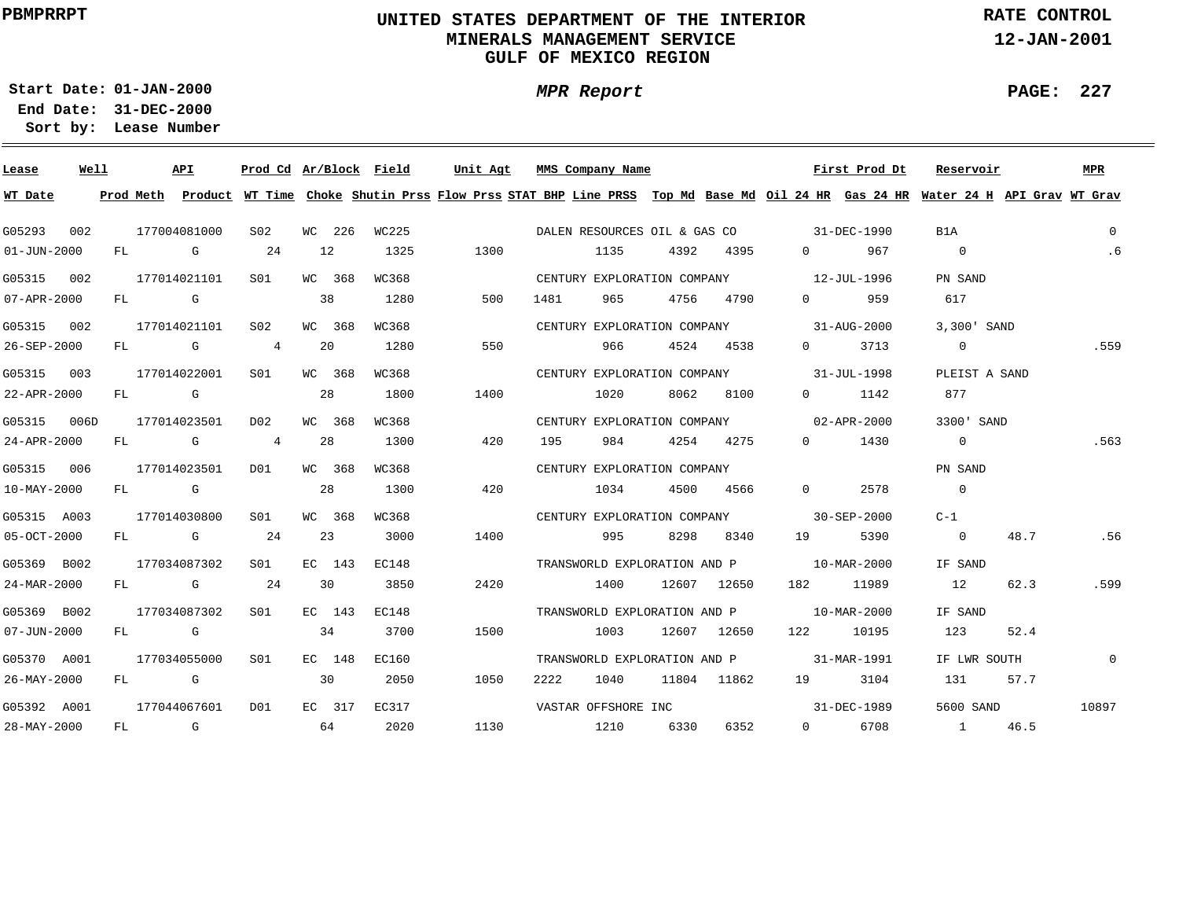# **UNITED STATES DEPARTMENT OF THE INTERIOR MINERALS MANAGEMENT SERVICEGULF OF MEXICO REGION**

**MPR Report**

**RATE CONTROL**

**12-JAN-2001**

**PAGE: 227**

**01-JAN-2000Start Date:31-DEC-2000 End Date:** 

| Lease             | Well |    |           | API                                                                                                                                                                                                                            | Prod Cd Ar/Block Field |    |        |       | Unit Agt | MMS Company Name            |      |      |                              |                                          | First Prod Dt | Reservoir                                                                                                                     |      | MPR            |
|-------------------|------|----|-----------|--------------------------------------------------------------------------------------------------------------------------------------------------------------------------------------------------------------------------------|------------------------|----|--------|-------|----------|-----------------------------|------|------|------------------------------|------------------------------------------|---------------|-------------------------------------------------------------------------------------------------------------------------------|------|----------------|
| WT Date           |      |    | Prod Meth |                                                                                                                                                                                                                                |                        |    |        |       |          |                             |      |      |                              |                                          |               | Product WT Time Choke Shutin Prss Flow Prss STAT BHP Line PRSS Top Md Base Md Oil 24 HR Gas 24 HR Water 24 H API Grav WT Grav |      |                |
| G05293            | 002  |    |           | 177004081000                                                                                                                                                                                                                   | S02                    |    | WC 226 | WC225 |          |                             |      |      |                              | DALEN RESOURCES OIL & GAS CO 31-DEC-1990 |               | B1A                                                                                                                           |      | $\overline{0}$ |
| $01 - JUN - 2000$ |      |    |           | FL G                                                                                                                                                                                                                           | 24                     |    | 12     | 1325  | 1300     |                             | 1135 |      | 4392 4395                    | $0 \qquad \qquad$                        | 967           | $\overline{0}$                                                                                                                |      | .6             |
| G05315            | 002  |    |           | 177014021101                                                                                                                                                                                                                   | SO1                    |    | WC 368 | WC368 |          | CENTURY EXPLORATION COMPANY |      |      |                              | $12 - JUL - 1996$                        |               | PN SAND                                                                                                                       |      |                |
| 07-APR-2000       |      |    | FL G      |                                                                                                                                                                                                                                |                        | 38 |        | 1280  | 500      | 1481                        | 965  |      | 4756 4790                    | $\Omega$ and $\Omega$                    | 959           | 617                                                                                                                           |      |                |
| G05315 002        |      |    |           | 177014021101                                                                                                                                                                                                                   | S02                    |    | WC 368 | WC368 |          | CENTURY EXPLORATION COMPANY |      |      |                              |                                          | 31-AUG-2000   | 3,300 SAND                                                                                                                    |      |                |
| 26-SEP-2000       |      | FL |           | $\mathbb G$                                                                                                                                                                                                                    | 4                      |    | 20     | 1280  | 550      |                             | 966  |      | 4524 4538                    | $\Omega$                                 | 3713          | $\overline{0}$                                                                                                                |      | .559           |
| G05315            | 003  |    |           | 177014022001                                                                                                                                                                                                                   | S01                    |    | WC 368 | WC368 |          |                             |      |      |                              | CENTURY EXPLORATION COMPANY 31-JUL-1998  |               | PLEIST A SAND                                                                                                                 |      |                |
| 22-APR-2000       |      | FL |           | and the Company of the Company of the Company of the Company of the Company of the Company of the Company of the Company of the Company of the Company of the Company of the Company of the Company of the Company of the Comp |                        |    | 28     | 1800  | 1400     |                             | 1020 | 8062 | 8100                         | $\Omega$ and $\Omega$                    | 1142          | 877                                                                                                                           |      |                |
| G05315 006D       |      |    |           | 177014023501                                                                                                                                                                                                                   | D02                    |    | WC 368 | WC368 |          |                             |      |      |                              | CENTURY EXPLORATION COMPANY 02-APR-2000  |               | 3300' SAND                                                                                                                    |      |                |
| 24-APR-2000       |      | FL |           | and the control of the control of the control of the control of the control of the control of the control of the control of the control of the control of the control of the control of the control of the control of the cont | 4                      |    | 28     | 1300  | 420      | 195                         | 984  |      | 4254 4275                    | $\Omega$                                 | 1430          | $\overline{0}$                                                                                                                |      | .563           |
| G05315 006        |      |    |           | 177014023501                                                                                                                                                                                                                   | DO1                    |    | WC 368 | WC368 |          | CENTURY EXPLORATION COMPANY |      |      |                              |                                          |               | PN SAND                                                                                                                       |      |                |
| $10 - MAX - 2000$ |      |    |           | FL G                                                                                                                                                                                                                           |                        |    | 28     | 1300  | 420      |                             | 1034 |      | 4500 4566                    | $\Omega$                                 | 2578          | $\overline{0}$                                                                                                                |      |                |
| G05315 A003       |      |    |           | 177014030800                                                                                                                                                                                                                   | SO1                    |    | WC 368 | WC368 |          |                             |      |      |                              | CENTURY EXPLORATION COMPANY 30-SEP-2000  |               | C-1                                                                                                                           |      |                |
| 05-OCT-2000       |      |    |           | FL G                                                                                                                                                                                                                           | 24                     |    | 23     | 3000  | 1400     |                             | 995  |      | 8298 8340                    | 19                                       | 5390          | $\overline{0}$                                                                                                                | 48.7 | .56            |
| G05369 B002       |      |    |           | 177034087302                                                                                                                                                                                                                   | SO1                    |    | EC 143 | EC148 |          |                             |      |      |                              | TRANSWORLD EXPLORATION AND P 10-MAR-2000 |               | IF SAND                                                                                                                       |      |                |
| 24-MAR-2000       |      |    |           | FL G                                                                                                                                                                                                                           | 24                     |    | 30     | 3850  | 2420     |                             | 1400 |      | 12607 12650                  |                                          | 182 11989     | 12                                                                                                                            | 62.3 | .599           |
| G05369 B002       |      |    |           | 177034087302                                                                                                                                                                                                                   | S01                    |    | EC 143 | EC148 |          |                             |      |      |                              | TRANSWORLD EXPLORATION AND P 10-MAR-2000 |               | IF SAND                                                                                                                       |      |                |
| $07 - JUN - 2000$ |      |    |           | FL G                                                                                                                                                                                                                           |                        |    | 34     | 3700  | 1500     |                             | 1003 |      | 12607 12650                  |                                          | 122 10195     | 123                                                                                                                           | 52.4 |                |
| G05370 A001       |      |    |           | 177034055000                                                                                                                                                                                                                   | S01                    |    | EC 148 | EC160 |          |                             |      |      | TRANSWORLD EXPLORATION AND P |                                          | 31-MAR-1991   | IF LWR SOUTH                                                                                                                  |      | $\overline{0}$ |
| 26-MAY-2000       |      | FL |           | <b>G</b>                                                                                                                                                                                                                       |                        | 30 |        | 2050  | 1050     | 2222                        | 1040 |      | 11804 11862                  | 19                                       | 3104          | 131                                                                                                                           | 57.7 |                |
| G05392 A001       |      |    |           | 177044067601                                                                                                                                                                                                                   | D01                    |    | EC 317 | EC317 |          | VASTAR OFFSHORE INC         |      |      |                              |                                          | 31-DEC-1989   | 5600 SAND                                                                                                                     |      | 10897          |
| 28-MAY-2000       |      |    |           | FL G                                                                                                                                                                                                                           |                        | 64 |        | 2020  | 1130     | 1210 6330                   |      |      | 6352                         |                                          | 0 6708        | 1 46.5                                                                                                                        |      |                |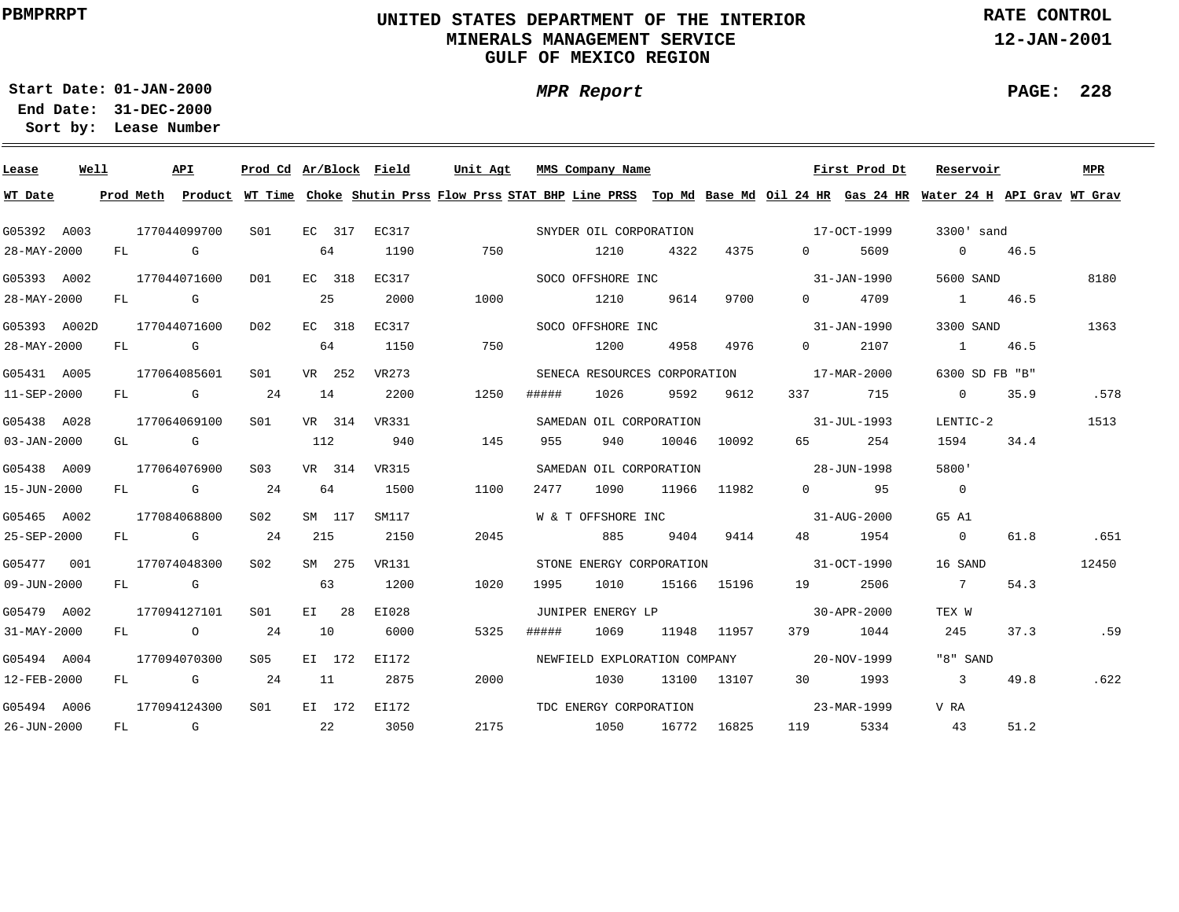# **UNITED STATES DEPARTMENT OF THE INTERIOR MINERALS MANAGEMENT SERVICEGULF OF MEXICO REGION**

**MPR Report**

**RATE CONTROL**

**12-JAN-2001**

**PAGE: 228**

÷

**01-JAN-2000Start Date:31-DEC-2000 End Date:** 

| Lease             | Well |    |      | API                                                                                                                                                                                                                            | Prod Cd Ar/Block Field |     |         |              | Unit Agt |       | MMS Company Name                         |      |             |                   | First Prod Dt            | Reservoir                                                                                                                               |             | <b>MPR</b> |
|-------------------|------|----|------|--------------------------------------------------------------------------------------------------------------------------------------------------------------------------------------------------------------------------------|------------------------|-----|---------|--------------|----------|-------|------------------------------------------|------|-------------|-------------------|--------------------------|-----------------------------------------------------------------------------------------------------------------------------------------|-------------|------------|
| WT Date           |      |    |      |                                                                                                                                                                                                                                |                        |     |         |              |          |       |                                          |      |             |                   |                          | Prod Meth Product WT Time Choke Shutin Prss Flow Prss STAT BHP Line PRSS Top Md Base Md Oil 24 HR Gas 24 HR Water 24 H API Grav WT Grav |             |            |
| G05392 A003       |      |    |      | 177044099700                                                                                                                                                                                                                   | SO1                    |     | EC 317  | EC317        |          |       | SNYDER OIL CORPORATION                   |      |             | $17 - OCT - 1999$ |                          | 3300' sand                                                                                                                              |             |            |
| 28-MAY-2000       |      |    | FL G |                                                                                                                                                                                                                                |                        |     | 64      | 1190         | 750      |       | 1210                                     | 4322 | 4375        | $\Omega$          | 5609                     |                                                                                                                                         | $0 \t 46.5$ |            |
| G05393 A002       |      |    |      | 177044071600                                                                                                                                                                                                                   | D01                    |     | EC 318  | EC317        |          |       | SOCO OFFSHORE INC                        |      |             |                   | 31-JAN-1990              | 5600 SAND                                                                                                                               |             | 8180       |
| 28-MAY-2000       |      |    | FL G |                                                                                                                                                                                                                                |                        | 25  |         | 2000         | 1000     |       | 1210                                     | 9614 | 9700        |                   | 0 4709                   | 1 46.5                                                                                                                                  |             |            |
| G05393 A002D      |      |    |      | 177044071600                                                                                                                                                                                                                   | D02                    |     | EC 318  | EC317        |          |       | SOCO OFFSHORE INC                        |      |             |                   | 31-JAN-1990              | 3300 SAND                                                                                                                               |             | 1363       |
| 28-MAY-2000       |      |    |      | $FL$ G                                                                                                                                                                                                                         |                        | 64  |         | 1150         | 750      |       | 1200                                     | 4958 | 4976        | $\Omega$          | 2107                     | 1 46.5                                                                                                                                  |             |            |
| G05431 A005       |      |    |      | 177064085601                                                                                                                                                                                                                   | S01                    |     | VR 252  | VR273        |          |       | SENECA RESOURCES CORPORATION             |      |             | 17-MAR-2000       |                          | 6300 SD FB "B"                                                                                                                          |             |            |
| 11-SEP-2000       |      | FL |      | and the Company of the Company of the Company of the Company of the Company of the Company of the Company of the Company of the Company of the Company of the Company of the Company of the Company of the Company of the Comp | 24                     | 14  |         | 2200         | 1250     | ##### | 1026                                     | 9592 | 9612        | 337 \             | 715                      | $\Omega$                                                                                                                                | 35.9        | .578       |
| G05438 A028       |      |    |      | 177064069100                                                                                                                                                                                                                   | S01                    |     |         | VR 314 VR331 |          |       | SAMEDAN OIL CORPORATION                  |      |             |                   | $31 - JUII - 1993$       | LENTIC-2                                                                                                                                |             | 1513       |
| $03 - JAN - 2000$ |      |    |      | GL G                                                                                                                                                                                                                           |                        | 112 |         | 940          | 145      | 955   | 940                                      |      | 10046 10092 | 65 — 1            | 254                      | 1594                                                                                                                                    | 34.4        |            |
| G05438 A009       |      |    |      | 177064076900                                                                                                                                                                                                                   | S03                    |     | VR 314  | VR315        |          |       | SAMEDAN OIL CORPORATION                  |      |             | $28 - JUN - 1998$ |                          | 5800'                                                                                                                                   |             |            |
| 15-JUN-2000       |      |    |      | $FL$ G 24                                                                                                                                                                                                                      |                        | 64  |         | 1500         | 1100     | 2477  | 1090                                     |      | 11966 11982 |                   | $0 \qquad \qquad 95$     | $\overline{0}$                                                                                                                          |             |            |
| G05465 A002       |      |    |      | 177084068800                                                                                                                                                                                                                   | S02                    |     | SM 117  | SM117        |          |       | W & T OFFSHORE INC 31-AUG-2000           |      |             |                   |                          | G5 A1                                                                                                                                   |             |            |
| 25-SEP-2000       |      |    |      | FL G                                                                                                                                                                                                                           | 24                     | 215 |         | 2150         | 2045     |       | 885                                      |      | 9404 9414   |                   | 48 1954                  | $\overline{0}$                                                                                                                          | 61.8        | .651       |
| G05477 001        |      |    |      | 177074048300                                                                                                                                                                                                                   | S02                    |     | SM 275  | VR131        |          |       | STONE ENERGY CORPORATION                 |      |             | $31-9CT-1990$     |                          | 16 SAND                                                                                                                                 |             | 12450      |
| $09 - JUN - 2000$ |      |    | FL G |                                                                                                                                                                                                                                |                        | 63  |         | 1200         | 1020     | 1995  | 1010                                     |      | 15166 15196 |                   | 19 2506                  | 7                                                                                                                                       | 54.3        |            |
| G05479 A002       |      |    |      | 177094127101                                                                                                                                                                                                                   | S01                    |     | $E1$ 28 | EI028        |          |       | JUNIPER ENERGY LP                        |      |             | $30 - APR - 2000$ |                          | TEX W                                                                                                                                   |             |            |
| $31 - MAX - 2000$ |      |    |      | $FL$ 0 24                                                                                                                                                                                                                      |                        | 10  |         | 6000         | 5325     | ##### | 1069                                     |      | 11948 11957 |                   | 379 1044                 | 245                                                                                                                                     | 37.3        | .59        |
| G05494 A004       |      |    |      | 177094070300                                                                                                                                                                                                                   | S05 - 1                |     | EI 172  | EI172        |          |       | NEWFIELD EXPLORATION COMPANY 20-NOV-1999 |      |             |                   |                          | "8" SAND                                                                                                                                |             |            |
| 12-FEB-2000       |      |    |      | $FL$ G 24                                                                                                                                                                                                                      |                        | 11  |         | 2875         | 2000     |       | 1030                                     |      | 13100 13107 |                   | 30 1993                  | $\overline{3}$                                                                                                                          | 49.8        | .622       |
| G05494 A006       |      |    |      | 177094124300                                                                                                                                                                                                                   | S <sub>01</sub>        |     |         | EI 172 EI172 |          |       | TDC ENERGY CORPORATION                   |      |             |                   | $23 - \text{MAR} - 1999$ | V RA                                                                                                                                    |             |            |
| 26-JUN-2000       |      |    |      | FL G                                                                                                                                                                                                                           | $\sim$ 22              |     |         | 3050         | 2175     |       | 1050 16772 16825                         |      |             |                   | 119 5334                 | 43                                                                                                                                      | 51.2        |            |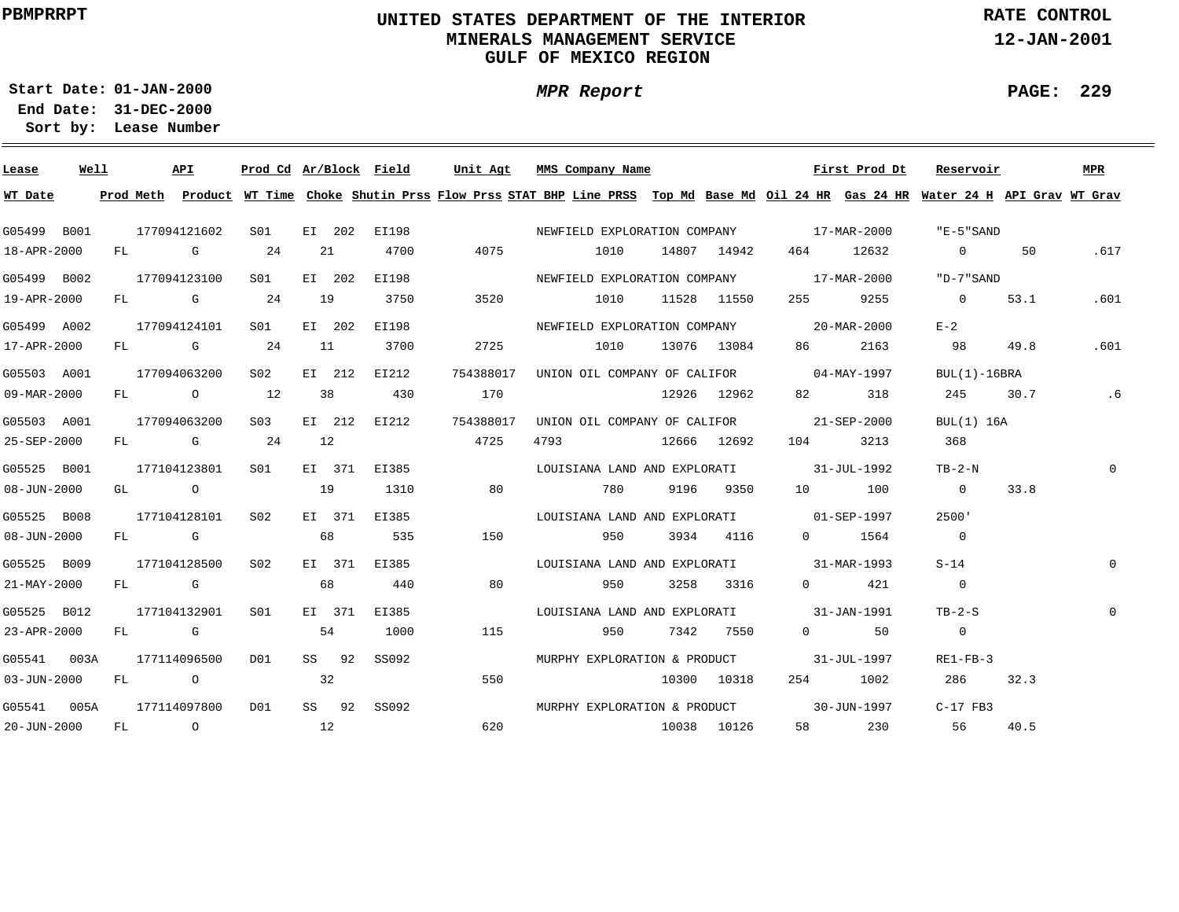# **UNITED STATES DEPARTMENT OF THE INTERIOR MINERALS MANAGEMENT SERVICEGULF OF MEXICO REGION**

**MPR Report**

**RATE CONTROL**

**12-JAN-2001**

**PAGE: 229**

**01-JAN-2000Start Date:**

| Lease       | Well |  | API              |                 |    |        | Prod Cd Ar/Block Field |           | Unit Agt MMS Company Name                                                                                                               |             |         | First Prod Dt         | Reservoir      |      | MPR          |
|-------------|------|--|------------------|-----------------|----|--------|------------------------|-----------|-----------------------------------------------------------------------------------------------------------------------------------------|-------------|---------|-----------------------|----------------|------|--------------|
| WT Date     |      |  |                  |                 |    |        |                        |           | Prod Meth Product WT Time Choke Shutin Prss Flow Prss STAT BHP Line PRSS Top Md Base Md Oil 24 HR Gas 24 HR Water 24 H API Grav WT Grav |             |         |                       |                |      |              |
| G05499 B001 |      |  | 177094121602     | S01 <b>S</b>    |    |        | EI 202 EI198           |           | NEWFIELD EXPLORATION COMPANY 17-MAR-2000                                                                                                |             |         |                       | "E-5"SAND      |      |              |
| 18-APR-2000 |      |  | $FL$ G 24        |                 | 21 |        | 4700                   | 4075      | 1010 14807 14942                                                                                                                        |             |         | 464 12632             | $\overline{0}$ | 50   | .617         |
| G05499 B002 |      |  | 177094123100     | S01 <b>S</b>    |    | EI 202 | EI198                  |           | NEWFIELD EXPLORATION COMPANY 17-MAR-2000                                                                                                |             |         |                       | " D-7 " SAND   |      |              |
| 19-APR-2000 |      |  |                  | FL G 24 19      |    |        | 3750                   | 3520      | 1010 11528 11550                                                                                                                        |             | 255 200 | 9255                  | $\sim$ 0       | 53.1 | .601         |
| G05499 A002 |      |  | 177094124101     | S01             |    |        | EI 202 EI198           |           | NEWFIELD EXPLORATION COMPANY 20-MAR-2000                                                                                                |             |         |                       | $E-2$          |      |              |
| 17-APR-2000 |      |  |                  | FL G 24 11      |    |        | 3700                   |           | 2725 1010 13076 13084                                                                                                                   |             | 86 — 1  | 2163                  | 98 49.8        |      | .601         |
| G05503 A001 |      |  | 177094063200     | S02             |    |        | EI 212 EI212           | 754388017 | UNION OIL COMPANY OF CALIFOR 04-MAY-1997                                                                                                |             |         |                       | BUL(1)-16BRA   |      |              |
| 09-MAR-2000 |      |  | $FL$ 0 12        |                 |    | 38     | 430                    | 170       |                                                                                                                                         | 12926 12962 |         | 82 318                | 245 30.7       |      | .6           |
| G05503 A001 |      |  | 177094063200     | S <sub>03</sub> |    |        | EI 212 EI212           | 754388017 | UNION OIL COMPANY OF CALIFOR 21-SEP-2000                                                                                                |             |         |                       | BUL(1) 16A     |      |              |
| 25-SEP-2000 |      |  | FL G 24          |                 | 12 |        |                        | 4725      | 4793 12666 12692                                                                                                                        |             |         | 104 3213              | 368            |      |              |
| G05525 B001 |      |  | 177104123801     | S01             |    |        | EI 371 EI385           |           | LOUISIANA LAND AND EXPLORATI 31-JUL-1992                                                                                                |             |         |                       | $TB-2-N$       |      |              |
| 08-JUN-2000 |      |  |                  | GL 0 19 1310    |    |        |                        | 80        | 780 9196 9350                                                                                                                           |             | 10 100  |                       | $\overline{0}$ | 33.8 |              |
| G05525 B008 |      |  | 177104128101     | S02             |    |        | EI 371 EI385           |           | LOUISIANA LAND AND EXPLORATI 01-SEP-1997                                                                                                |             |         |                       | 2500'          |      |              |
| 08-JUN-2000 |      |  |                  | FL G 68         |    |        | 535                    | 150       | 950                                                                                                                                     | 3934 4116   |         | 0 1564                | $\overline{0}$ |      |              |
| G05525 B009 |      |  | 177104128500     | S02             |    |        | EI 371 EI385           |           | LOUISIANA LAND AND EXPLORATI 31-MAR-1993                                                                                                |             |         |                       | $S-14$         |      | 0            |
| 21-MAY-2000 |      |  | FL G             |                 |    | 68     | 440                    | 80        | 950                                                                                                                                     | 3258 3316   |         | $0 \qquad \qquad 421$ | $\overline{0}$ |      |              |
| G05525 B012 |      |  | 177104132901 S01 |                 |    |        | EI 371 EI385           |           | LOUISIANA LAND AND EXPLORATI 31-JAN-1991                                                                                                |             |         |                       | $TB-2-S$       |      | $\mathsf{O}$ |
| 23-APR-2000 |      |  | FL G             |                 |    | 54     | 1000                   | 115       | 950                                                                                                                                     | 7342 7550   |         | $0 \qquad \qquad 50$  | $\overline{0}$ |      |              |
| G05541 003A |      |  | 177114096500     | D01             |    | SS 92  | SS092                  |           | MURPHY EXPLORATION & PRODUCT 31-JUL-1997                                                                                                |             |         |                       | RE1-FB-3       |      |              |
| 03-JUN-2000 |      |  | FL O             |                 | 32 |        |                        | 550       |                                                                                                                                         | 10300 10318 |         | 254 1002              | 286            | 32.3 |              |
| G05541 005A |      |  | 177114097800     | D01             |    |        | SS 92 SS092            |           | MURPHY EXPLORATION & PRODUCT 30-JUN-1997 C-17 FB3                                                                                       |             |         |                       |                |      |              |
| 20-JUN-2000 |      |  |                  | $FL$ 0 12       |    |        |                        |           | 620 10038 10126                                                                                                                         |             |         | 58 230                | 56 40.5        |      |              |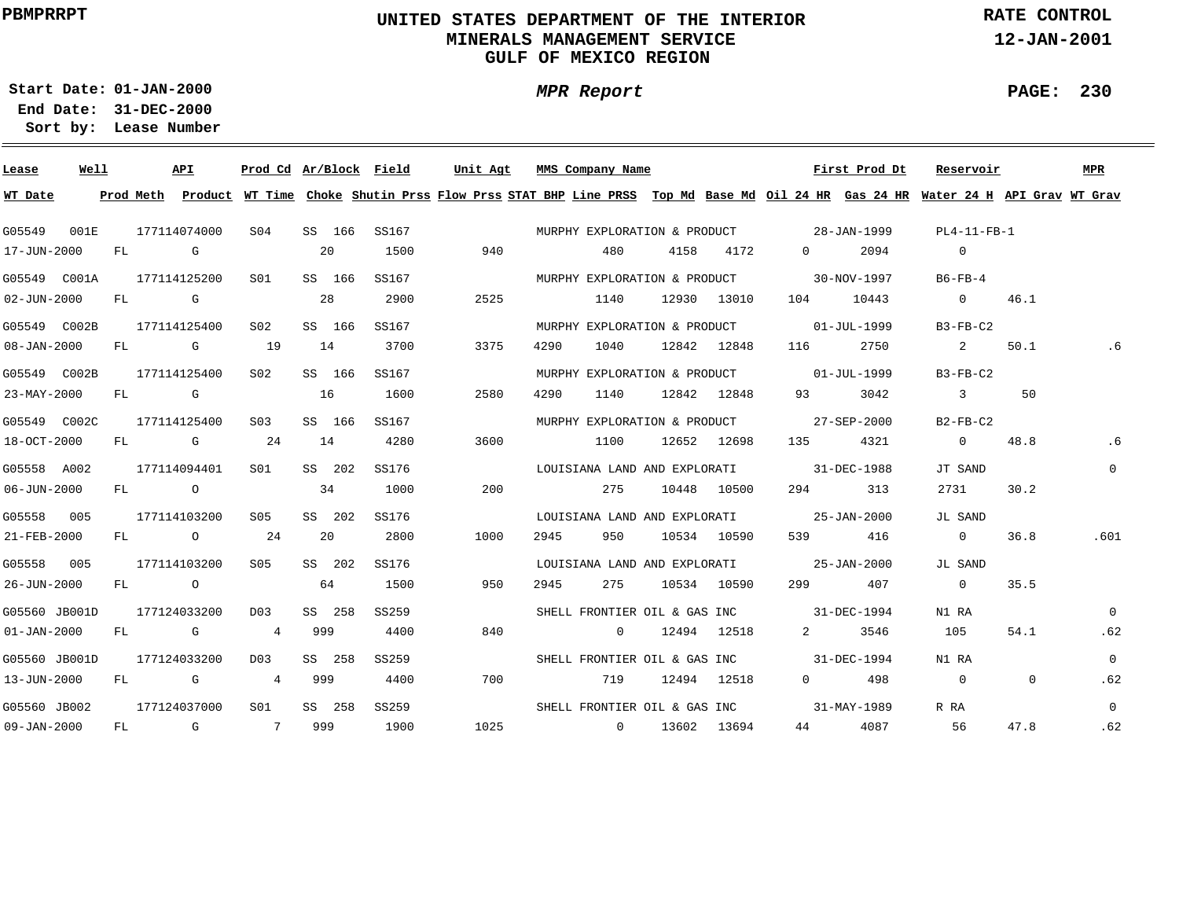# **UNITED STATES DEPARTMENT OF THE INTERIOR MINERALS MANAGEMENT SERVICEGULF OF MEXICO REGION**

**MPR Report**

**RATE CONTROL**

**12-JAN-2001**

**PAGE: 230**

÷

**01-JAN-2000Start Date:**

| Lease             | Well |    |               | API          | Prod Cd Ar/Block Field |     |        |       | Unit Agt |      |      | MMS Company Name             |      |             |                                          | First Prod Dt | Reservoir                                                                                                                     |                | <b>MPR</b>     |
|-------------------|------|----|---------------|--------------|------------------------|-----|--------|-------|----------|------|------|------------------------------|------|-------------|------------------------------------------|---------------|-------------------------------------------------------------------------------------------------------------------------------|----------------|----------------|
| WT Date           |      |    | Prod Meth     |              |                        |     |        |       |          |      |      |                              |      |             |                                          |               | Product WT Time Choke Shutin Prss Flow Prss STAT BHP Line PRSS Top Md Base Md Oil 24 HR Gas 24 HR Water 24 H API Grav WT Grav |                |                |
| G05549            | 001E |    |               | 177114074000 | S <sub>04</sub>        |     | SS 166 | SS167 |          |      |      |                              |      |             | MURPHY EXPLORATION & PRODUCT 28-JAN-1999 |               | $PL4-11-FB-1$                                                                                                                 |                |                |
| 17-JUN-2000       |      | FL |               | G            |                        | 20  |        | 1500  |          | 940  |      | 480                          | 4158 | 4172        | $0 \qquad \qquad$                        | 2094          | $\overline{0}$                                                                                                                |                |                |
| G05549 C001A      |      |    |               | 177114125200 | S01                    |     | SS 166 | SS167 |          |      |      | MURPHY EXPLORATION & PRODUCT |      |             |                                          | 30-NOV-1997   | $B6-FB-4$                                                                                                                     |                |                |
| 02-JUN-2000       |      | FL |               | G            |                        | 28  |        | 2900  |          | 2525 |      | 1140                         |      | 12930 13010 | 104                                      | 10443         | $\overline{\phantom{0}}$                                                                                                      | 46.1           |                |
| G05549 C002B      |      |    |               | 177114125400 | S <sub>02</sub>        |     | SS 166 | SS167 |          |      |      | MURPHY EXPLORATION & PRODUCT |      |             |                                          | 01-JUL-1999   | $B3-FB-C2$                                                                                                                    |                |                |
| 08-JAN-2000       |      | FL |               | G            | 19                     | 14  |        | 3700  |          | 3375 | 4290 | 1040                         |      | 12842 12848 | 116                                      | 2750          | 2                                                                                                                             | 50.1           | .6             |
| G05549 C002B      |      |    |               | 177114125400 | S02                    |     | SS 166 | SS167 |          |      |      | MURPHY EXPLORATION & PRODUCT |      |             |                                          | 01-JUL-1999   | $B3-FB-C2$                                                                                                                    |                |                |
| 23-MAY-2000       |      | FL |               | G            |                        | 16  |        | 1600  |          | 2580 | 4290 | 1140                         |      | 12842 12848 | 93                                       | 3042          | $\mathbf{3}$                                                                                                                  | 50             |                |
| G05549 C002C      |      |    |               | 177114125400 | S <sub>03</sub>        |     | SS 166 | SS167 |          |      |      | MURPHY EXPLORATION & PRODUCT |      |             |                                          | 27-SEP-2000   | $B2-FB-C2$                                                                                                                    |                |                |
| 18-OCT-2000       |      | FL |               | G            | 24                     | 14  |        | 4280  |          | 3600 |      | 1100                         |      | 12652 12698 | 135                                      | 4321          | $\overline{0}$                                                                                                                | 48.8           | .6             |
| G05558 A002       |      |    |               | 177114094401 | S01                    |     | SS 202 | SS176 |          |      |      | LOUISIANA LAND AND EXPLORATI |      |             |                                          | 31-DEC-1988   | JT SAND                                                                                                                       |                | $\mathbf{0}$   |
| 06-JUN-2000       |      |    | FL O          |              |                        |     | 34     | 1000  |          | 200  |      | 275                          |      | 10448 10500 | 294 — 2014                               | 313           | 2731                                                                                                                          | 30.2           |                |
| G05558 005        |      |    |               | 177114103200 | S05                    |     | SS 202 | SS176 |          |      |      | LOUISIANA LAND AND EXPLORATI |      |             |                                          | 25-JAN-2000   | JL SAND                                                                                                                       |                |                |
| 21-FEB-2000       |      |    |               | FL O         | 24                     | 20  |        | 2800  |          | 1000 | 2945 | 950                          |      | 10534 10590 | 539 — 10                                 | 416           | $\overline{0}$                                                                                                                | 36.8           | .601           |
| G05558 005        |      |    |               | 177114103200 | S05                    |     | SS 202 | SS176 |          |      |      | LOUISIANA LAND AND EXPLORATI |      |             |                                          | 25-JAN-2000   | JL SAND                                                                                                                       |                |                |
| 26-JUN-2000       |      |    | $FL$ and $FL$ | $\circ$      |                        |     | 64     | 1500  |          | 950  | 2945 | 275                          |      | 10534 10590 | 299 — 201                                | 407           | $\overline{0}$                                                                                                                | 35.5           |                |
| G05560 JB001D     |      |    |               | 177124033200 | D <sub>0</sub> 3       |     | SS 258 | SS259 |          |      |      |                              |      |             | SHELL FRONTIER OIL & GAS INC 31-DEC-1994 |               | N1 RA                                                                                                                         |                | $\Omega$       |
| $01 - JAN - 2000$ |      | FL |               | G            | 4                      | 999 |        | 4400  |          | 840  |      | $\circ$                      |      | 12494 12518 | $\mathbf{2}$                             | 3546          | 105                                                                                                                           | 54.1           | .62            |
| G05560 JB001D     |      |    |               | 177124033200 | D03                    |     | SS 258 | SS259 |          |      |      |                              |      |             | SHELL FRONTIER OIL & GAS INC 31-DEC-1994 |               | N1 RA                                                                                                                         |                | $\overline{0}$ |
| 13-JUN-2000       |      | FL |               | G            | 4                      | 999 |        | 4400  |          | 700  |      | 719                          |      | 12494 12518 | $\Omega$ and $\Omega$                    | 498           | $\overline{0}$                                                                                                                | $\overline{0}$ | .62            |
| G05560 JB002      |      |    |               | 177124037000 | S <sub>01</sub>        |     | SS 258 | SS259 |          |      |      |                              |      |             | SHELL FRONTIER OIL & GAS INC 31-MAY-1989 |               | R RA                                                                                                                          |                | $\Omega$       |
| 09-JAN-2000       |      | FL |               | G            | $7\overline{ }$        | 999 |        | 1900  |          | 1025 |      | $\overline{0}$               |      | 13602 13694 | 44                                       | 4087          | 56                                                                                                                            | 47.8           | .62            |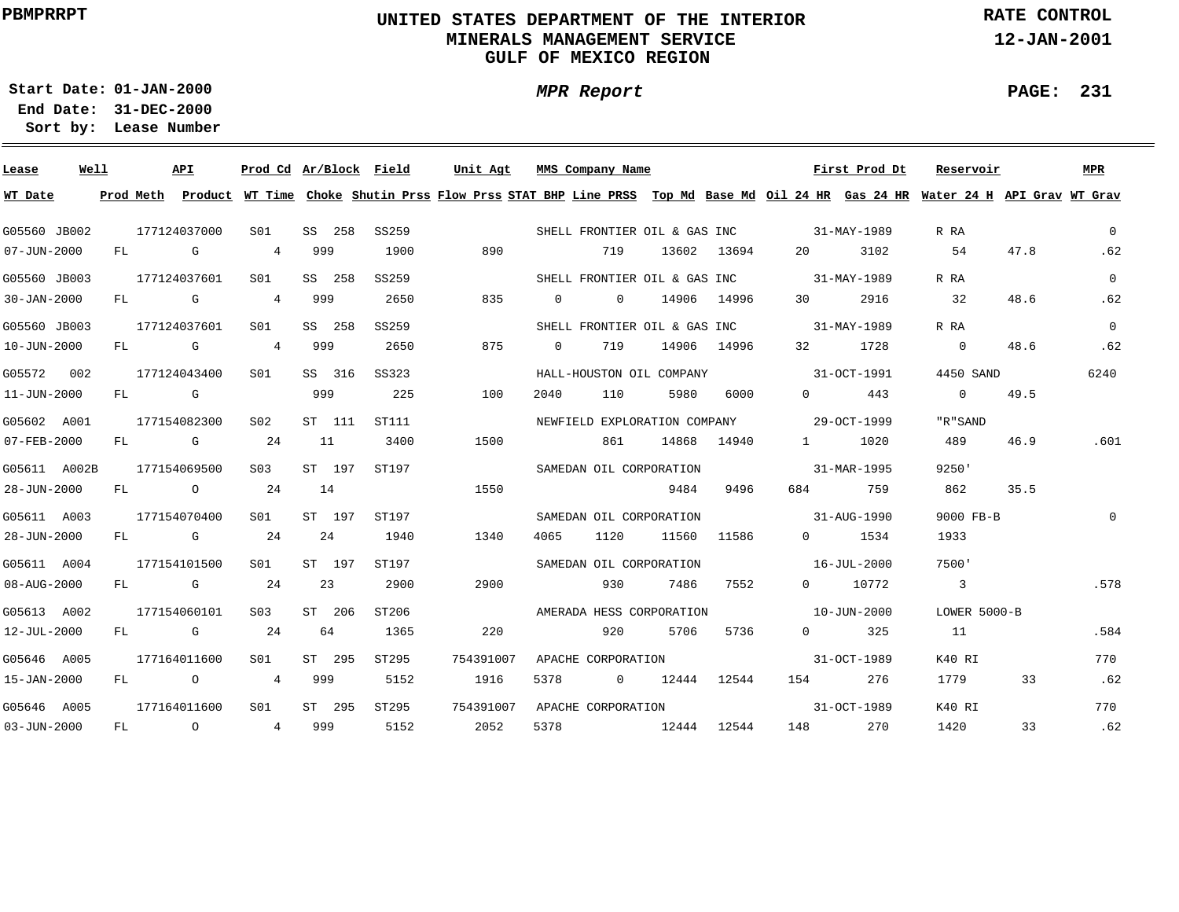# **UNITED STATES DEPARTMENT OF THE INTERIOR MINERALS MANAGEMENT SERVICEGULF OF MEXICO REGION**

**MPR Report**

**RATE CONTROL**

**12-JAN-2001**

**PAGE: 231**

÷

**01-JAN-2000Start Date:**

| Lease             | Well |    |               | API            | Prod Cd Ar/Block Field |        |                                                                                                                                         | Unit Agt  |          | MMS Company Name   |                              |             |                          | First Prod Dt  |      | Reservoir                  |      | <b>MPR</b>   |
|-------------------|------|----|---------------|----------------|------------------------|--------|-----------------------------------------------------------------------------------------------------------------------------------------|-----------|----------|--------------------|------------------------------|-------------|--------------------------|----------------|------|----------------------------|------|--------------|
| WT Date           |      |    |               |                |                        |        | Prod Meth Product WT Time Choke Shutin Prss Flow Prss STAT BHP Line PRSS Top Md Base Md Oil 24 HR Gas 24 HR Water 24 H API Grav WT Grav |           |          |                    |                              |             |                          |                |      |                            |      |              |
| G05560 JB002      |      |    |               | 177124037000   | SO1                    | SS 258 | SS259                                                                                                                                   |           |          |                    | SHELL FRONTIER OIL & GAS INC |             |                          | 31-MAY-1989    |      | R RA                       |      | $\mathbf{0}$ |
| 07-JUN-2000       |      | FL |               | G              | 4                      | 999    | 1900                                                                                                                                    | 890       |          | 719                |                              | 13602 13694 |                          |                | 3102 | 54                         | 47.8 | .62          |
| G05560 JB003      |      |    |               | 177124037601   | S01                    | SS 258 | SS259                                                                                                                                   |           |          |                    | SHELL FRONTIER OIL & GAS INC |             | 31-MAY-1989              |                |      | R RA                       |      | $\mathbf{0}$ |
| $30 - JAN - 2000$ |      | FL |               | G              | 4                      | 999    | 2650                                                                                                                                    | 835       | $\Omega$ | $\overline{0}$     |                              | 14906 14996 | 30                       |                | 2916 | 32                         | 48.6 | .62          |
| G05560 JB003      |      |    |               | 177124037601   | S01                    | SS 258 | SS259                                                                                                                                   |           |          |                    | SHELL FRONTIER OIL & GAS INC |             |                          | 31-MAY-1989    |      | R RA                       |      | $\Omega$     |
| 10-JUN-2000       |      | FL |               | G              | 4                      | 999    | 2650                                                                                                                                    | 875       | $\Omega$ | 719                |                              | 14906 14996 | 32                       |                | 1728 | $\overline{0}$             | 48.6 | .62          |
| G05572 002        |      |    |               | 177124043400   | S01                    | SS 316 | SS323                                                                                                                                   |           |          |                    | HALL-HOUSTON OIL COMPANY     |             |                          | 31-OCT-1991    |      | 4450 SAND                  |      | 6240         |
| 11-JUN-2000       |      | FL | <b>G</b> G    |                |                        | 999    | 225                                                                                                                                     | 100       | 2040     | 110                | 5980                         | 6000        |                          | $\Omega$       | 443  | $\sim$ 0                   | 49.5 |              |
| G05602 A001       |      |    |               | 177154082300   | S02                    | ST 111 | ST111                                                                                                                                   |           |          |                    | NEWFIELD EXPLORATION COMPANY |             | 29-OCT-1999              |                |      | "R"SAND                    |      |              |
| 07-FEB-2000       |      | FL |               | $\mathbf G$    | 24                     | 11     | 3400                                                                                                                                    | 1500      |          | 861                | 14868                        | 14940       | $1 \qquad \qquad$        |                | 1020 | 489                        | 46.9 | .601         |
| G05611 A002B      |      |    |               | 177154069500   | S <sub>03</sub>        | ST 197 | ST197                                                                                                                                   |           |          |                    | SAMEDAN OIL CORPORATION      |             |                          | 31-MAR-1995    |      | 9250'                      |      |              |
| 28-JUN-2000       |      |    |               | FL O           | 24                     | 14     |                                                                                                                                         | 1550      |          |                    | 9484                         | 9496        | 684 — 100                |                | 759  | 862                        | 35.5 |              |
| G05611 A003       |      |    |               | 177154070400   | S01                    | ST 197 | ST197                                                                                                                                   |           |          |                    | SAMEDAN OIL CORPORATION      |             | $31 - \text{AUG} - 1990$ |                |      | 9000 FB-B                  |      | $\Omega$     |
| 28-JUN-2000       |      |    | $FL$ and $FL$ | $G$ and $G$    | 24                     | 24     | 1940                                                                                                                                    | 1340      | 4065     | 1120               | 11560                        | 11586       |                          | $\Omega$       | 1534 | 1933                       |      |              |
| G05611 A004       |      |    |               | 177154101500   | S01                    | ST 197 | ST197                                                                                                                                   |           |          |                    | SAMEDAN OIL CORPORATION      |             | $16 - JUL - 2000$        |                |      | 7500'                      |      |              |
| 08-AUG-2000       |      | FL |               | $G$ and $G$    | 24                     | 23     | 2900                                                                                                                                    | 2900      |          | 930                | 7486                         | 7552        |                          | 0 10772        |      | $\overline{\phantom{a}}$ 3 |      | .578         |
| G05613 A002       |      |    |               | 177154060101   | S03                    | ST 206 | ST206                                                                                                                                   |           |          |                    | AMERADA HESS CORPORATION     |             |                          | 10-JUN-2000    |      | LOWER 5000-B               |      |              |
| 12-JUL-2000       |      | FL |               | G              | 24                     | 64     | 1365                                                                                                                                    | 220       |          | 920                | 5706                         | 5736        |                          | $\overline{0}$ | 325  | 11                         |      | .584         |
| G05646 A005       |      |    |               | 177164011600   | S01                    | ST 295 | ST295                                                                                                                                   | 754391007 |          | APACHE CORPORATION |                              |             |                          | 31-OCT-1989    |      | K40 RI                     |      | 770          |
| 15-JAN-2000       |      | FL |               | $\circ$        | 4                      | 999    | 5152                                                                                                                                    | 1916      | 5378     | $\overline{0}$     |                              | 12444 12544 | 154 200                  |                | 276  | 1779                       | 33   | .62          |
| G05646 A005       |      |    |               | 177164011600   | S01                    | ST 295 | ST295                                                                                                                                   | 754391007 |          | APACHE CORPORATION |                              |             |                          | 31-OCT-1989    |      | K40 RI                     |      | 770          |
| 03-JUN-2000       |      | FL |               | $\overline{O}$ | $\overline{4}$         | 999    | 5152                                                                                                                                    | 2052      | 5378     |                    | 12444 12544                  |             | 148                      |                | 270  | 1420                       | 33   | .62          |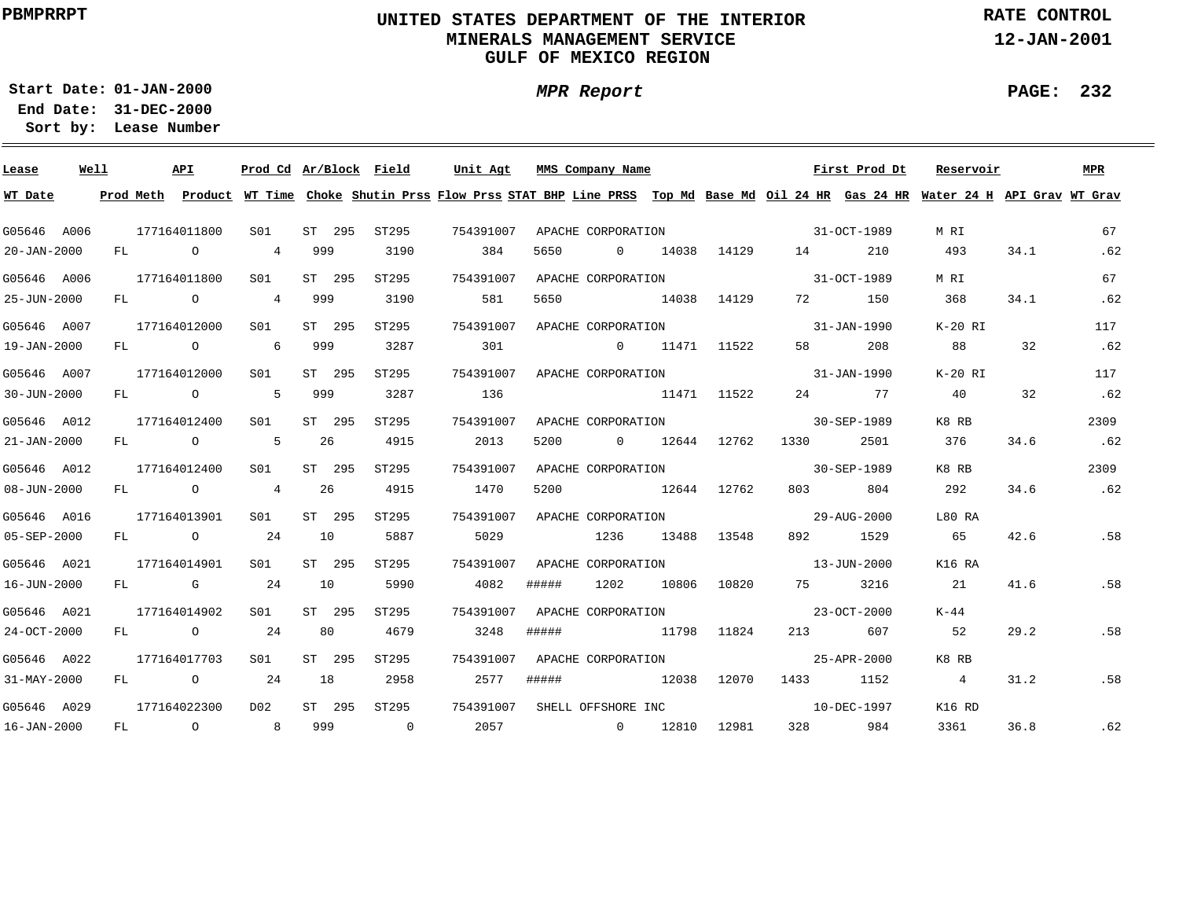# **UNITED STATES DEPARTMENT OF THE INTERIOR MINERALS MANAGEMENT SERVICEGULF OF MEXICO REGION**

**MPR Report**

**RATE CONTROL**

**12-JAN-2001**

**PAGE: 232**

÷

**01-JAN-2000Start Date:31-DEC-2000 End Date:** 

| Lease       | Well |     | <b>API</b>     | Prod Cd Ar/Block Field |        |                | Unit Agt  |       | MMS Company Name   |             |             |          | First Prod Dt                                                                                                                           | Reservoir      |      | MPR  |
|-------------|------|-----|----------------|------------------------|--------|----------------|-----------|-------|--------------------|-------------|-------------|----------|-----------------------------------------------------------------------------------------------------------------------------------------|----------------|------|------|
| WT Date     |      |     |                |                        |        |                |           |       |                    |             |             |          | Prod Meth Product WT Time Choke Shutin Prss Flow Prss STAT BHP Line PRSS Top Md Base Md Oil 24 HR Gas 24 HR Water 24 H API Grav WT Grav |                |      |      |
| G05646 A006 |      |     | 177164011800   | SO1                    | ST 295 | ST295          | 754391007 |       | APACHE CORPORATION |             |             |          | 31-OCT-1989                                                                                                                             | M RI           |      | 67   |
| 20-JAN-2000 |      | FL. | $\overline{O}$ | $4\overline{ }$        | 999    | 3190           | 384       | 5650  | $\Omega$           |             | 14038 14129 | 14       | 210                                                                                                                                     | 493            | 34.1 | .62  |
| G05646 A006 |      |     | 177164011800   | SO1                    | ST 295 | ST295          | 754391007 |       | APACHE CORPORATION |             |             |          | $31-9CT-1989$                                                                                                                           | M RI           |      | 67   |
| 25-JUN-2000 |      | FL  | $\overline{O}$ | $\overline{4}$         | 999    | 3190           | 581       | 5650  |                    | 14038 14129 |             | 72       | 150                                                                                                                                     | 368            | 34.1 | .62  |
| G05646 A007 |      |     | 177164012000   | S01                    | ST 295 | ST295          | 754391007 |       | APACHE CORPORATION |             |             |          | $31 - JAN - 1990$                                                                                                                       | K-20 RI        |      | 117  |
| 19-JAN-2000 |      |     | FL O           | 6                      | 999    | 3287           | 301       |       | $\overline{0}$     |             | 11471 11522 | 58       | 208                                                                                                                                     | 88             | 32   | .62  |
| G05646 A007 |      |     | 177164012000   | SO1                    | ST 295 | ST295          | 754391007 |       | APACHE CORPORATION |             |             |          | $31 - JAN - 1990$                                                                                                                       | K-20 RI        |      | 117  |
| 30-JUN-2000 |      | FL  | $\overline{O}$ | 5                      | 999    | 3287           | 136       |       | 11471 11522        |             |             |          | 24 77                                                                                                                                   | 40             | 32   | .62  |
| G05646 A012 |      |     | 177164012400   | S01                    | ST 295 | ST295          | 754391007 |       | APACHE CORPORATION |             |             |          | $30 - SEP - 1989$                                                                                                                       | K8 RB          |      | 2309 |
| 21-JAN-2000 |      |     | $FL$ 0         | 5                      | 26     | 4915           | 2013      | 5200  | $\overline{0}$     | 12644       | 12762       | 1330     | 2501                                                                                                                                    | 376            | 34.6 | .62  |
| G05646 A012 |      |     | 177164012400   | S01                    | ST 295 | ST295          | 754391007 |       | APACHE CORPORATION |             |             |          | 30-SEP-1989                                                                                                                             | K8 RB          |      | 2309 |
| 08-JUN-2000 |      | FL  | $\overline{O}$ | $\overline{4}$         | 26     | 4915           | 1470      | 5200  |                    | 12644 12762 |             | 803      | 804                                                                                                                                     | 292            | 34.6 | .62  |
| G05646 A016 |      |     | 177164013901   | S01                    | ST 295 | ST295          | 754391007 |       | APACHE CORPORATION |             |             |          | 29-AUG-2000                                                                                                                             | L80 RA         |      |      |
| 05-SEP-2000 |      |     | FL 0 24        |                        | 10     | 5887           | 5029      |       | 1236               |             | 13488 13548 | 892      | 1529                                                                                                                                    | 65             | 42.6 | .58  |
| G05646 A021 |      |     | 177164014901   | S01                    | ST 295 | ST295          | 754391007 |       | APACHE CORPORATION |             |             |          | $13 - JUN - 2000$                                                                                                                       | K16 RA         |      |      |
| 16-JUN-2000 |      |     | $FL$ G 24      |                        | 10     | 5990           | 4082      | ##### | 1202               | 10806       | 10820       | 75 — 17  | 3216                                                                                                                                    | 21             | 41.6 | .58  |
| G05646 A021 |      |     | 177164014902   | S01                    | ST 295 | ST295          | 754391007 |       | APACHE CORPORATION |             |             |          | $23 - OCT - 2000$                                                                                                                       | K-44           |      |      |
| 24-OCT-2000 |      |     | FL O           | 24                     | 80     | 4679           | 3248      | ##### |                    |             | 11798 11824 | 213      | 607                                                                                                                                     | 52             | 29.2 | .58  |
| G05646 A022 |      |     | 177164017703   | SO1                    | ST 295 | ST295          | 754391007 |       | APACHE CORPORATION |             |             |          | 25-APR-2000                                                                                                                             | K8 RB          |      |      |
| 31-MAY-2000 |      | FL  | $\overline{O}$ | 24                     | 18     | 2958           | 2577      | ##### |                    | 12038 12070 |             |          | 1433 1152                                                                                                                               | $\overline{4}$ | 31.2 | .58  |
| G05646 A029 |      |     | 177164022300   | D02                    | ST 295 | ST295          | 754391007 |       | SHELL OFFSHORE INC |             |             |          | 10-DEC-1997                                                                                                                             | K16 RD         |      |      |
| 16-JAN-2000 |      | FL  | $\overline{O}$ | 8 <sup>1</sup>         | 999    | $\overline{0}$ | 2057      |       | $\sim$ 0           |             | 12810 12981 | 328 — 10 | 984                                                                                                                                     | 3361           | 36.8 | .62  |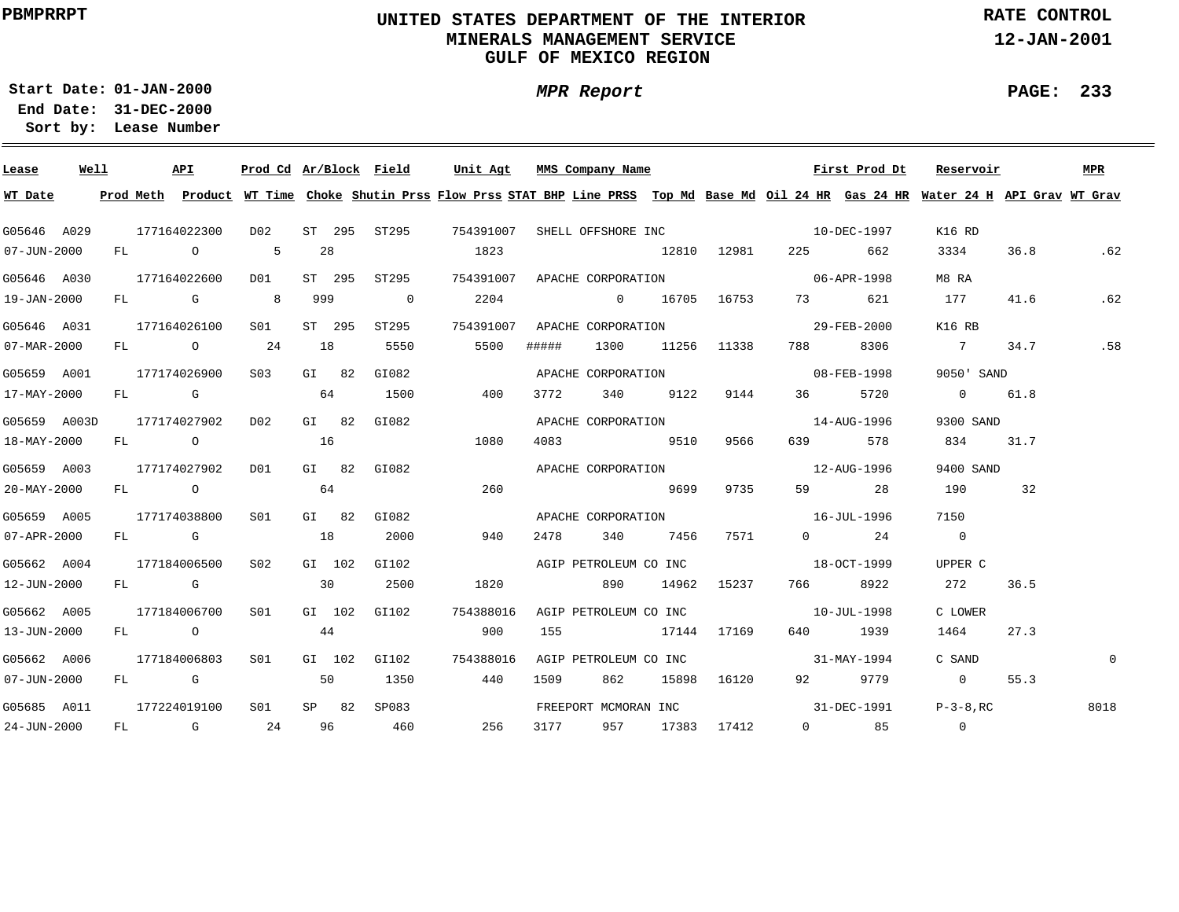# **UNITED STATES DEPARTMENT OF THE INTERIOR MINERALS MANAGEMENT SERVICEGULF OF MEXICO REGION**

**MPR Report**

**RATE CONTROL**

**12-JAN-2001**

**PAGE: 233**

-

**01-JAN-2000Start Date:31-DEC-2000 End Date:** 

| Lease             | Well |  | API              |                 |     |         | Prod Cd Ar/Block Field | Unit Agt                                                                                                                                |       | MMS Company Name      |          |                  |                                                  | First Prod Dt        | Reservoir       |      | MPR            |
|-------------------|------|--|------------------|-----------------|-----|---------|------------------------|-----------------------------------------------------------------------------------------------------------------------------------------|-------|-----------------------|----------|------------------|--------------------------------------------------|----------------------|-----------------|------|----------------|
| WT Date           |      |  |                  |                 |     |         |                        | Prod Meth Product WT Time Choke Shutin Prss Flow Prss STAT BHP Line PRSS Top Md Base Md Oil 24 HR Gas 24 HR Water 24 H API Grav WT Grav |       |                       |          |                  |                                                  |                      |                 |      |                |
| G05646 A029       |      |  | 177164022300     |                 |     |         |                        | D02 ST 295 ST295 754391007 SHELL OFFSHORE INC 10-DEC-1997                                                                               |       |                       |          |                  |                                                  |                      | K16 RD          |      |                |
| $07 - JUN - 2000$ |      |  | FL O 5           |                 | 28  |         |                        | 1823                                                                                                                                    |       |                       |          |                  | 12810 12981 225 662                              |                      | 3334            | 36.8 | .62            |
| G05646 A030       |      |  | 177164022600     | D01             |     |         | ST 295 ST295           |                                                                                                                                         |       |                       |          |                  | 754391007 APACHE CORPORATION 06-APR-1998         |                      | M8 RA           |      |                |
| 19-JAN-2000       |      |  | FL G 8           |                 | 999 |         | $\overline{0}$         | 2204                                                                                                                                    |       |                       |          |                  | 0 16705 16753 73 621                             |                      | 177             | 41.6 | .62            |
| G05646 A031       |      |  | 177164026100     | S01             |     |         | ST 295 ST295           |                                                                                                                                         |       |                       |          |                  | 754391007 APACHE CORPORATION CONTROL 29-FEB-2000 |                      | K16 RB          |      |                |
| 07-MAR-2000       |      |  | FL 0 24 18       |                 |     |         | 5550                   | 5500                                                                                                                                    | ##### |                       |          | 1300 11256 11338 | 788                                              | 8306                 | $7\overline{ }$ | 34.7 | .58            |
| G05659 A001       |      |  | 177174026900     | S <sub>03</sub> |     | GI 82   | GI082                  |                                                                                                                                         |       |                       |          |                  | APACHE CORPORATION 08-FEB-1998                   |                      | 9050' SAND      |      |                |
| 17-MAY-2000       |      |  | $FL$ G 64        |                 |     |         | 1500                   | 400                                                                                                                                     | 3772  |                       | 340 9122 | 9144             | 36 30                                            | 5720                 | $0 \t 61.8$     |      |                |
| G05659 A003D      |      |  | 177174027902 D02 |                 |     | $GL$ 82 | GI082                  |                                                                                                                                         |       |                       |          |                  | APACHE CORPORATION 14-AUG-1996                   |                      | 9300 SAND       |      |                |
| 18-MAY-2000       |      |  | FL O             |                 | 16  |         |                        | 1080                                                                                                                                    |       | 4083 9510 9566        |          |                  |                                                  | 639 578              | 834 31.7        |      |                |
| G05659 A003       |      |  | 177174027902     | D01             |     |         | GI 82 GI082            |                                                                                                                                         |       |                       |          |                  | APACHE CORPORATION 5 12-AUG-1996                 |                      | 9400 SAND       |      |                |
| 20-MAY-2000       |      |  | $FL$ 0 64        |                 |     |         |                        | 260                                                                                                                                     |       | 9699                  |          | 9735             |                                                  | 59 28                | 190             | 32   |                |
| G05659 A005       |      |  | 177174038800     | SO1 SO          |     |         | GI 82 GI082            |                                                                                                                                         |       |                       |          |                  | APACHE CORPORATION 16-JUL-1996                   |                      | 7150            |      |                |
| 07-APR-2000       |      |  | $FL$ G and $18$  |                 |     |         | 2000                   | 940                                                                                                                                     | 2478  |                       |          | 340 7456 7571    |                                                  | $0 \qquad \qquad 24$ | $\overline{0}$  |      |                |
| G05662 A004       |      |  | 177184006500 S02 |                 |     |         | GI 102 GI102           |                                                                                                                                         |       |                       |          |                  | AGIP PETROLEUM CO INC 18-OCT-1999                |                      | UPPER C         |      |                |
| 12-JUN-2000       |      |  | FL G             | 30              |     |         | 2500                   | 1820                                                                                                                                    |       | 890                   |          | 14962 15237      | 766 761 10                                       | 8922                 | 272             | 36.5 |                |
| G05662 A005       |      |  | 177184006700 S01 |                 |     |         | GI 102 GI102           | 754388016                                                                                                                               |       |                       |          |                  | AGIP PETROLEUM CO INC 10-JUL-1998                |                      | C LOWER         |      |                |
| 13-JUN-2000       |      |  | FL O             |                 | 44  |         |                        | 900                                                                                                                                     |       | 155 17144 17169       |          |                  |                                                  | 640 1939             | 1464            | 27.3 |                |
| G05662 A006       |      |  | 177184006803 S01 |                 |     |         | GI 102 GI102           | 754388016                                                                                                                               |       | AGIP PETROLEUM CO INC |          |                  | $31 - \text{MAX} - 1994$                         |                      | C SAND          |      | $\overline{0}$ |
| 07-JUN-2000       |      |  | FL G 50          |                 |     |         | 1350                   | 440                                                                                                                                     | 1509  |                       |          | 862 15898 16120  |                                                  | 92 9779              | $\overline{0}$  | 55.3 |                |
| G05685 A011       |      |  | 177224019100 S01 |                 |     |         | SP 82 SP083            |                                                                                                                                         |       |                       |          |                  |                                                  |                      | $P-3-8$ , RC    |      | 8018           |
| 24-JUN-2000       |      |  | FL G 24 96       |                 |     |         |                        | 460 256                                                                                                                                 |       | 3177 957 17383 17412  |          |                  |                                                  | $0$ 85               | $\overline{0}$  |      |                |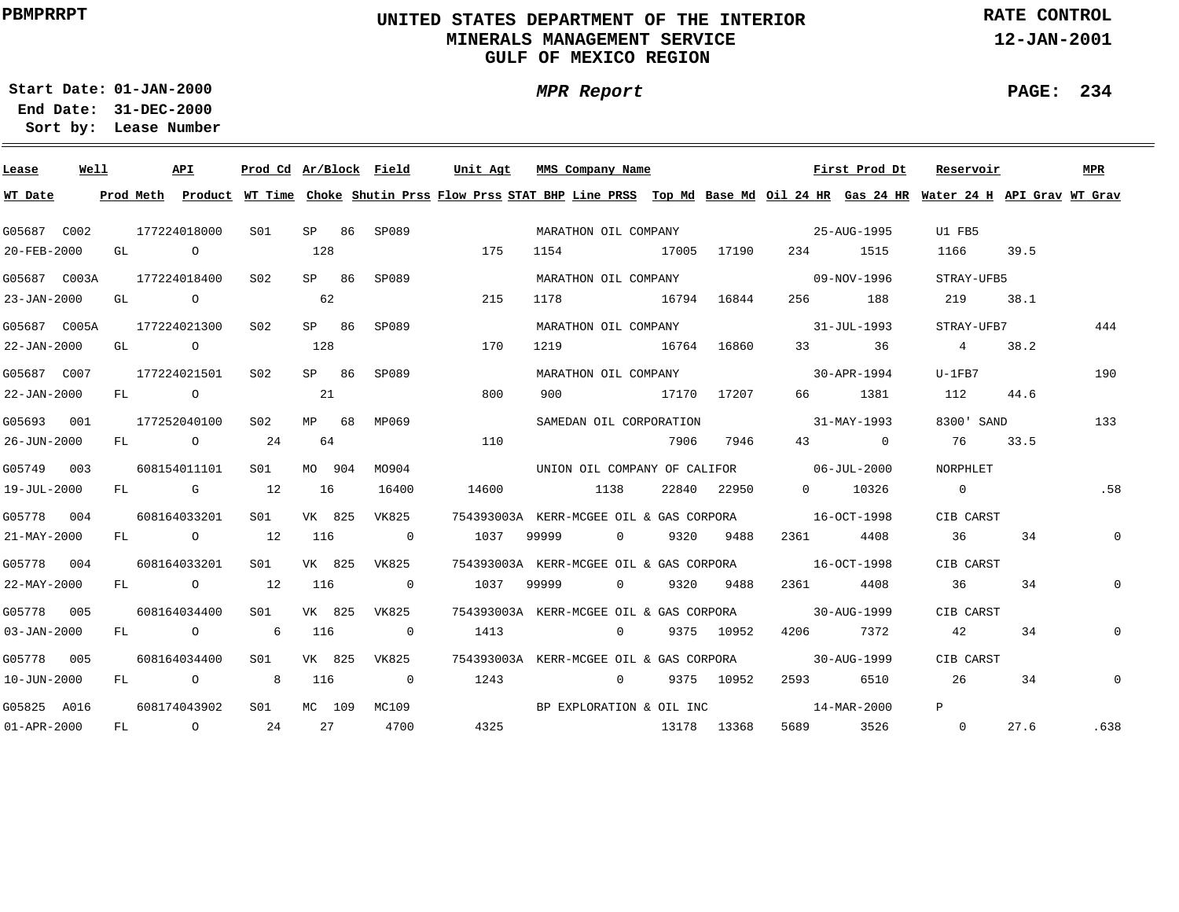# **UNITED STATES DEPARTMENT OF THE INTERIOR MINERALS MANAGEMENT SERVICEGULF OF MEXICO REGION**

**MPR Report**

**RATE CONTROL**

**12-JAN-2001**

**PAGE: 234**

÷

**01-JAN-2000Start Date:31-DEC-2000 End Date:** 

| Lease                    | Well |  | <b>API</b>   | Prod Cd Ar/Block Field |        |        |                            | Unit Agt                                                                                                                                | MMS Company Name                                    |                |      |             |                                          | First Prod Dt | Reservoir      |            | <b>MPR</b>     |
|--------------------------|------|--|--------------|------------------------|--------|--------|----------------------------|-----------------------------------------------------------------------------------------------------------------------------------------|-----------------------------------------------------|----------------|------|-------------|------------------------------------------|---------------|----------------|------------|----------------|
| WT Date                  |      |  |              |                        |        |        |                            | Prod Meth Product WT Time Choke Shutin Prss Flow Prss STAT BHP Line PRSS Top Md Base Md Oil 24 HR Gas 24 HR Water 24 H API Grav WT Grav |                                                     |                |      |             |                                          |               |                |            |                |
| G05687 C002              |      |  | 177224018000 | S01                    |        | SP 86  | SP089                      |                                                                                                                                         | MARATHON OIL COMPANY                                |                |      |             | $25 - \text{AUG} - 1995$                 |               | U1 FB5         |            |                |
| 20-FEB-2000              |      |  | GL O         |                        | 128    |        |                            | 175                                                                                                                                     | 1154 17005 17190                                    |                |      |             |                                          | 234 1515      | 1166           | 39.5       |                |
| G05687 C003A             |      |  | 177224018400 | S02                    |        | SP 86  | SP089                      |                                                                                                                                         |                                                     |                |      |             | MARATHON OIL COMPANY 69-NOV-1996         |               | STRAY-UFB5     |            |                |
| 23-JAN-2000              |      |  | GL O         |                        | 62     |        |                            | 215                                                                                                                                     | 1178 16794 16844                                    |                |      |             |                                          | 256 188       | 219            | 38.1       |                |
| G05687 C005A             |      |  | 177224021300 | S02                    | SP 86  |        | SP089                      |                                                                                                                                         |                                                     |                |      |             | MARATHON OIL COMPANY 31-JUL-1993         |               |                | STRAY-UFB7 | 444            |
| 22-JAN-2000              |      |  | GL O         |                        | 128    |        |                            | 170                                                                                                                                     | 1219 16764 16860                                    |                |      |             |                                          | 33 36         | 4              | 38.2       |                |
| G05687 C007              |      |  | 177224021501 | S <sub>02</sub>        | SP 86  |        | SP089                      |                                                                                                                                         | MARATHON OIL COMPANY                                |                |      |             |                                          | 30-APR-1994   | $U-1FB7$       |            | 190            |
| 22-JAN-2000              |      |  | FL O         |                        | 21     |        |                            | 800                                                                                                                                     | 900 17170 17207                                     |                |      |             |                                          | 66 1381       | 112 44.6       |            |                |
| G05693 001               |      |  | 177252040100 | S02                    | MP 68  |        | MP069                      |                                                                                                                                         | SAMEDAN OIL CORPORATION                             |                |      |             | $31 - \text{MAX} - 1993$                 |               | 8300' SAND     |            | 133            |
| 26-JUN-2000              |      |  | FL 0 24      |                        | 64     |        |                            | 110                                                                                                                                     |                                                     |                | 7906 | 7946        |                                          | 43 0          | 76             | 33.5       |                |
| G05749 003               |      |  | 608154011101 | S01                    | MO 904 |        | MO904                      |                                                                                                                                         |                                                     |                |      |             | UNION OIL COMPANY OF CALIFOR 66-JUL-2000 |               | NORPHLET       |            |                |
| 19-JUL-2000              |      |  | FL G 12      |                        | 16     |        | 16400                      | 14600                                                                                                                                   | 1138                                                |                |      | 22840 22950 |                                          | 0 10326       | $\overline{0}$ |            | .58            |
| G05778 004               |      |  | 608164033201 | SO1 SO                 | VK 825 |        | VK825                      |                                                                                                                                         | 754393003A KERR-MCGEE OIL & GAS CORPORA 16-OCT-1998 |                |      |             |                                          |               | CIB CARST      |            |                |
| $21 - \text{MAX} - 2000$ |      |  | FL 0 12      |                        | 116    |        | $\sim$ 0                   | 1037                                                                                                                                    | 99999                                               |                |      | 0 9320 9488 | 2361 4408                                |               | 36             | 34         | $\overline{0}$ |
| G05778 004               |      |  | 608164033201 | S01 <b>S</b>           |        |        | VK 825 VK825               |                                                                                                                                         | 754393003A KERR-MCGEE OIL & GAS CORPORA 16-OCT-1998 |                |      |             |                                          |               | CIB CARST      |            |                |
| 22-MAY-2000              |      |  | FL 0 12      |                        | 116    |        | $\overline{0}$             | 1037                                                                                                                                    | 99999                                               | $\overline{0}$ |      | 9320 9488   | 2361 23                                  | 4408          | 36             | 34         | $\mathbf 0$    |
| G05778 005               |      |  | 608164034400 | S01 <b>S</b>           |        |        | VK 825 VK825               |                                                                                                                                         | 754393003A KERR-MCGEE OIL & GAS CORPORA             |                |      |             | 30-AUG-1999                              |               | CIB CARST      |            |                |
| $03 - JAN - 2000$        |      |  | FL O         | 6 116                  |        |        | $\overline{\phantom{a}}$ 0 | 1413                                                                                                                                    |                                                     | $\overline{0}$ |      | 9375 10952  | 4206 7372                                |               | 42             | 34         | $\mathbf{0}$   |
| G05778 005               |      |  | 608164034400 | S01 - 1                |        |        | VK 825 VK825               |                                                                                                                                         | 754393003A KERR-MCGEE OIL & GAS CORPORA             |                |      |             |                                          | 30-AUG-1999   | CIB CARST      |            |                |
| $10 - JUN - 2000$        |      |  | FL O         | 8                      | 116    |        | $\overline{\phantom{0}}$   | 1243                                                                                                                                    | $0$ 9375 10952                                      |                |      |             | 2593                                     | 6510          | 26 20          | 34         | $\mathsf{O}$   |
| G05825 A016              |      |  | 608174043902 | S01                    |        | MC 109 | MC109                      |                                                                                                                                         | BP EXPLORATION & OIL INC                            |                |      |             | $14 - \text{MAR} - 2000$                 |               | P              |            |                |
| $01 - APR - 2000$        |      |  | FL 0 24      |                        |        |        | 27 4700                    |                                                                                                                                         | 4325 13178 13368                                    |                |      |             | 5689 3526                                |               | $\overline{0}$ | 27.6       | .638           |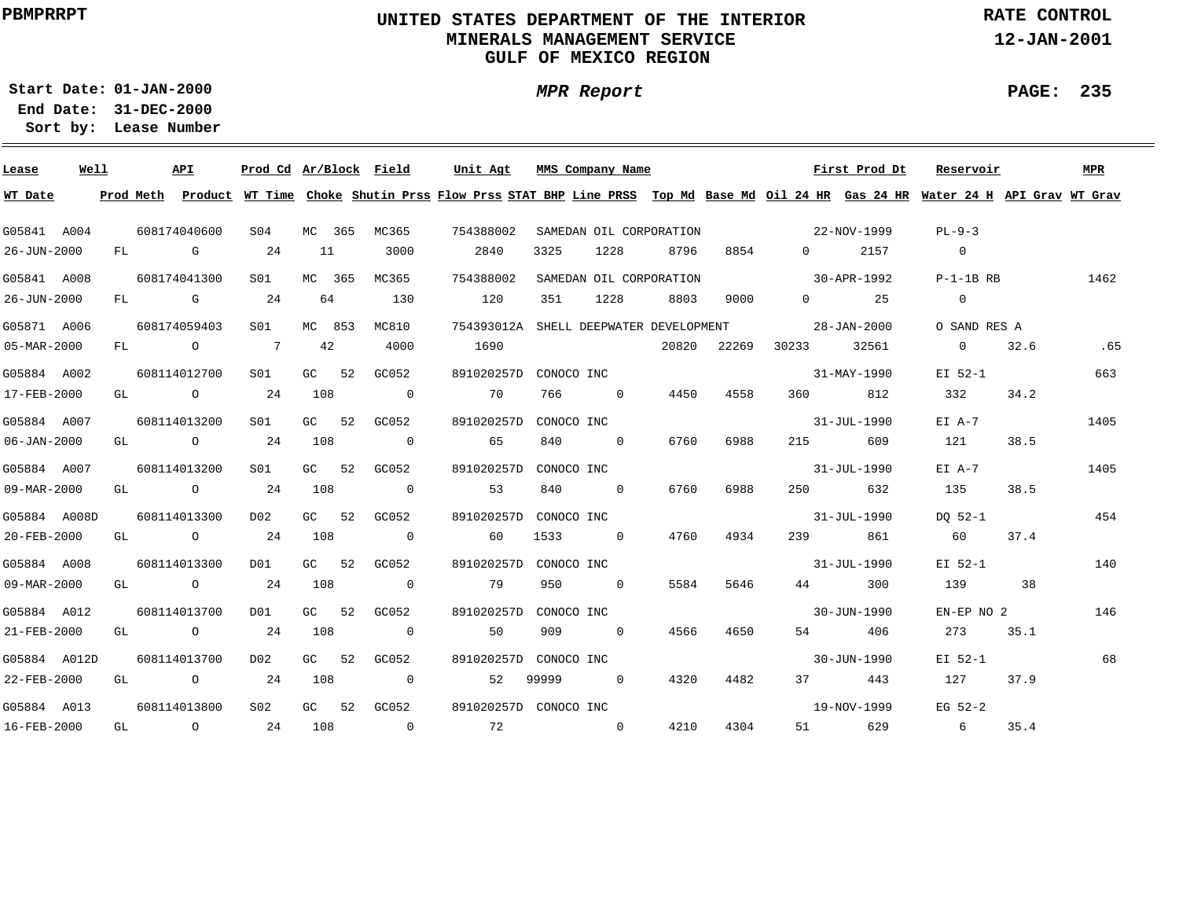# **UNITED STATES DEPARTMENT OF THE INTERIOR MINERALS MANAGEMENT SERVICEGULF OF MEXICO REGION**

**MPR Report**

**RATE CONTROL**

**12-JAN-2001**

**PAGE: 235**

÷

**01-JAN-2000Start Date:31-DEC-2000 End Date:** 

| Lease             | Well |  | API                         | Prod Cd Ar/Block Field |        |        |                          | Unit Agt                                                                                                                                |            | MMS Company Name |                         |      |                   | First Prod Dt        | Reservoir       |      | MPR  |
|-------------------|------|--|-----------------------------|------------------------|--------|--------|--------------------------|-----------------------------------------------------------------------------------------------------------------------------------------|------------|------------------|-------------------------|------|-------------------|----------------------|-----------------|------|------|
| WT Date           |      |  |                             |                        |        |        |                          | Prod Meth Product WT Time Choke Shutin Prss Flow Prss STAT BHP Line PRSS Top Md Base Md Oil 24 HR Gas 24 HR Water 24 H API Grav WT Grav |            |                  |                         |      |                   |                      |                 |      |      |
| G05841 A004       |      |  | 608174040600                | S04                    |        | MC 365 | MC365                    | 754388002                                                                                                                               |            |                  | SAMEDAN OIL CORPORATION |      | $22-NOV-1999$     |                      | $PL-9-3$        |      |      |
| 26-JUN-2000       |      |  | $FL$ G $G$                  | 24                     | 11     |        | 3000                     | 2840                                                                                                                                    | 3325       | 1228             | 8796                    | 8854 | $\Omega$          | 2157                 | $\overline{0}$  |      |      |
| G05841 A008       |      |  | 608174041300                | S01                    | MC 365 |        | MC365                    | 754388002                                                                                                                               |            |                  | SAMEDAN OIL CORPORATION |      |                   | 30-APR-1992          | P-1-1B RB       |      | 1462 |
| 26-JUN-2000       |      |  | FL G                        | 24                     | 64     |        | 130                      | 120                                                                                                                                     | 351        | 1228             | 8803                    | 9000 |                   | $0 \qquad \qquad 25$ | $\Omega$        |      |      |
| G05871 A006       |      |  | 608174059403                | S01 <b>S</b>           |        | MC 853 | MC810                    | 754393012A SHELL DEEPWATER DEVELOPMENT                                                                                                  |            |                  |                         |      | $28 - JAN - 2000$ |                      | O SAND RES A    |      |      |
| 05-MAR-2000       |      |  | FL 0 7                      |                        | 42     |        | 4000                     | 1690                                                                                                                                    |            |                  |                         |      | 20820 22269 30233 | 32561                | $\Omega$        | 32.6 | .65  |
| G05884 A002       |      |  | 608114012700                | S01 <b>S</b>           |        |        | GC 52 GC052              | 891020257D CONOCO INC                                                                                                                   |            |                  |                         |      |                   | 31-MAY-1990          | EI 52-1         |      | 663  |
| 17-FEB-2000       |      |  | GL $\qquad \qquad \circ$ 24 |                        | 108    |        | $\overline{\phantom{0}}$ | 70                                                                                                                                      |            | 766 0            | 4450                    | 4558 |                   | 812                  | 332             | 34.2 |      |
| G05884 A007       |      |  | 608114013200                | S01 <b>S</b>           |        | GC 52  | GC052                    | 891020257D CONOCO INC                                                                                                                   |            |                  |                         |      |                   | 31-JUL-1990          | $E I A-7$       |      | 1405 |
| $06 - JAN - 2000$ |      |  | GL $\qquad \qquad \circ$ 24 |                        | 108    |        | $\overline{\phantom{0}}$ | 65                                                                                                                                      |            | 840 0            | 6760                    | 6988 | 215               | 609                  | 121             | 38.5 |      |
| G05884 A007       |      |  | 608114013200                | SO1 SO                 |        |        | GC 52 GC052              | 891020257D CONOCO INC                                                                                                                   |            |                  |                         |      |                   | 31-JUL-1990          | $E I A-7$       |      | 1405 |
| 09-MAR-2000       |      |  | GL 0 24                     |                        | 108    |        | $\overline{0}$           | 53                                                                                                                                      | 840        | $\sim$ 0         | 6760                    | 6988 |                   | 250 632              | 135             | 38.5 |      |
| G05884 A008D      |      |  | 608114013300                | DO 2                   |        | GC 52  | GC052                    | 891020257D                                                                                                                              | CONOCO INC |                  |                         |      |                   | 31-JUL-1990          | DO 52-1         |      | 454  |
| 20-FEB-2000       |      |  | GL $\qquad \qquad \circ$ 24 |                        | 108    |        | $\overline{0}$           | 60                                                                                                                                      |            | 1533 0           | 4760                    | 4934 | 239               | 861                  | 60              | 37.4 |      |
| G05884 A008       |      |  | 608114013300                | D01                    |        | GC 52  | GC052                    | 891020257D CONOCO INC                                                                                                                   |            |                  |                         |      |                   | 31-JUL-1990          | EI 52-1         |      | 140  |
| 09-MAR-2000       |      |  | GL $\qquad \qquad \circ$ 24 |                        | 108    |        | $\overline{\phantom{0}}$ | 79                                                                                                                                      | 950        | $\overline{0}$   | 5584                    | 5646 |                   | 300                  | 139             | 38   |      |
| G05884 A012       |      |  | 608114013700                | D01                    |        | GC 52  | GC052                    | 891020257D CONOCO INC                                                                                                                   |            |                  |                         |      |                   | 30-JUN-1990          | EN-EP NO 2      |      | 146  |
| 21-FEB-2000       |      |  | $GL$ 0 24                   |                        | 108    |        | $\overline{\mathbf{0}}$  | 50                                                                                                                                      | 909        | $\overline{0}$   | 4566                    | 4650 |                   | 54 406               | 273             | 35.1 |      |
| G05884 A012D      |      |  | 608114013700                | D02                    |        | GC 52  | GC052                    | 891020257D CONOCO INC                                                                                                                   |            |                  |                         |      |                   | 30-JUN-1990          | EI 52-1         |      | 68   |
| 22-FEB-2000       |      |  | GL $\qquad \qquad \circ$ 24 |                        | 108    |        | $\sim$ 0                 | 52                                                                                                                                      | 99999      | $\overline{0}$   | 4320                    | 4482 |                   | 37 443               | 127             | 37.9 |      |
| G05884 A013       |      |  | 608114013800                | S02                    |        |        | GC 52 GC052              | 891020257D CONOCO INC                                                                                                                   |            |                  |                         |      |                   | 19-NOV-1999          | $EG$ 52-2       |      |      |
| 16-FEB-2000       |      |  | GL 0 24 108 0               |                        |        |        |                          | 72 0                                                                                                                                    |            |                  | 4210                    | 4304 |                   | 51 629               | $6\overline{6}$ | 35.4 |      |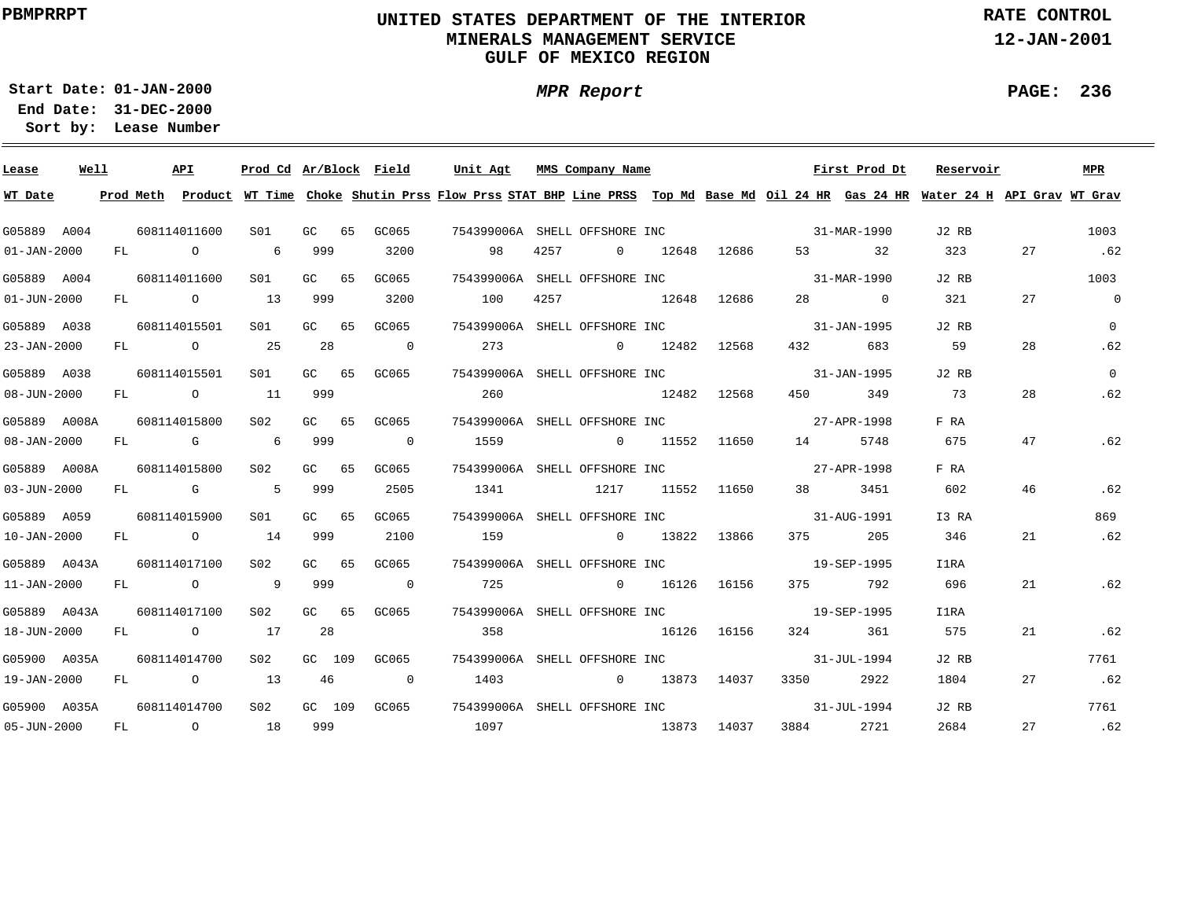# **UNITED STATES DEPARTMENT OF THE INTERIOR MINERALS MANAGEMENT SERVICEGULF OF MEXICO REGION**

**MPR Report**

**RATE CONTROL**

**12-JAN-2001**

**01-JAN-2000Start Date:**

**31-DEC-2000 End Date: Lease Number Sort by:**

| Lease             | Well |  | API                             | Prod Cd Ar/Block Field |       |                                               |      |      | Unit Agt MMS Company Name |             |                                                        | First Prod Dt | Reservoir                                                                                                                               |    | MPR            |
|-------------------|------|--|---------------------------------|------------------------|-------|-----------------------------------------------|------|------|---------------------------|-------------|--------------------------------------------------------|---------------|-----------------------------------------------------------------------------------------------------------------------------------------|----|----------------|
| WT Date           |      |  |                                 |                        |       |                                               |      |      |                           |             |                                                        |               | Prod Meth Product WT Time Choke Shutin Prss Flow Prss STAT BHP Line PRSS Top Md Base Md Oil 24 HR Gas 24 HR Water 24 H API Grav WT Grav |    |                |
| G05889 A004       |      |  | 608114011600                    | S01                    | GC 65 | GC065                                         |      |      |                           |             | 754399006A SHELL OFFSHORE INC 81-MAR-1990              |               | J2 RB                                                                                                                                   |    | 1003           |
| $01 - JAN - 2000$ |      |  | FL 0 6 999                      |                        |       | 3200                                          | 98   |      | 4257 0 12648 12686        |             |                                                        | 53 32         | 323                                                                                                                                     | 27 | .62            |
| G05889 A004       |      |  | 608114011600                    | S01 GC 65              |       | GC065                                         |      |      |                           |             | 754399006A SHELL OFFSHORE INC 31-MAR-1990              |               | J2 RB                                                                                                                                   |    | 1003           |
| $01 - JUN - 2000$ |      |  | FL 0 13                         |                        | 999   | 3200                                          | 100  | 4257 |                           | 12648 12686 |                                                        | 28 0          | 321                                                                                                                                     | 27 | $\overline{0}$ |
| G05889 A038       |      |  | 608114015501                    |                        |       | S01 GC 65 GC065                               |      |      |                           |             | 754399006A SHELL OFFSHORE INC 25 21-JAN-1995           |               | J2 RB                                                                                                                                   |    | $\overline{0}$ |
| 23-JAN-2000       |      |  | FL 0 25                         |                        | 28    | $\overline{\phantom{0}}$                      | 273  |      | $0$ 12482 12568           |             | 432                                                    | 683           | 59                                                                                                                                      | 28 | .62            |
| G05889 A038       |      |  | 608114015501                    | S01                    |       | GC 65 GC065                                   |      |      |                           |             | 754399006A SHELL OFFSHORE INC 25 21-JAN-1995           |               | J2 RB                                                                                                                                   |    | $\overline{0}$ |
| $08 - JUN - 2000$ |      |  | FL 0 11 999                     |                        |       |                                               | 260  |      | 12482 12568               |             |                                                        | 450 349       | 73                                                                                                                                      | 28 | .62            |
| G05889 A008A      |      |  | 608114015800                    |                        |       | S02 GC 65 GC065                               |      |      |                           |             | 754399006A SHELL OFFSHORE INC 27-APR-1998              |               | F RA                                                                                                                                    |    |                |
| $08 - JAN - 2000$ |      |  | FL G 6 999                      |                        |       | $\sim$ 0                                      |      |      |                           |             |                                                        | 5748          | 675                                                                                                                                     | 47 | .62            |
| G05889 A008A      |      |  | 608114015800                    | S02                    |       | GC 65 GC065                                   |      |      |                           |             | 754399006A SHELL OFFSHORE INC 27-APR-1998              |               | F RA                                                                                                                                    |    |                |
| $03 - JUN - 2000$ |      |  | FL G 5 999                      |                        |       | 2505                                          |      |      | 1341 1217 11552 11650     |             |                                                        | 38 3451       | 602                                                                                                                                     | 46 | .62            |
| G05889 A059       |      |  | 608114015900                    | S01                    | GC 65 | GC065                                         |      |      |                           |             | 754399006A SHELL OFFSHORE INC 31-AUG-1991              |               | I3 RA                                                                                                                                   |    | 869            |
|                   |      |  | 10-JAN-2000 FL 0 14 999         |                        |       | 2100                                          |      |      |                           |             |                                                        |               | 346                                                                                                                                     | 21 | .62            |
| G05889 A043A      |      |  | 608114017100                    | S02 GC 65              |       | GC065                                         |      |      |                           |             | 754399006A SHELL OFFSHORE INC<br>19-SEP-1995           |               | I1RA                                                                                                                                    |    |                |
| 11-JAN-2000       |      |  | FL 0 9 999                      |                        |       | $\overline{0}$                                | 725  |      |                           |             | 0 16126 16156 375 792                                  |               | 696                                                                                                                                     | 21 | .62            |
|                   |      |  | G05889 A043A 608114017100       |                        |       | S02 GC 65 GC065 754399006A SHELL-OFFSHORE INC |      |      |                           |             |                                                        | 19-SEP-1995   | I1RA                                                                                                                                    |    |                |
|                   |      |  | 18-JUN-2000 FL 0 17             |                        | 28    |                                               | 358  |      | 16126 16156               |             |                                                        | 324 361       | 575                                                                                                                                     | 21 | .62            |
|                   |      |  | G05900 A035A 608114014700       | S <sub>02</sub>        |       |                                               |      |      |                           |             | GC 109 GC065 754399006A SHELL OFFSHORE INC 31-JUL-1994 |               | J2 RB                                                                                                                                   |    | 7761           |
| 19-JAN-2000       |      |  | FL 0 13                         |                        |       | 46 0                                          | 1403 |      | $0$ 13873 14037           |             |                                                        | 3350 2922     | 1804                                                                                                                                    | 27 | .62            |
|                   |      |  | G05900 A035A  608114014700  S02 |                        |       |                                               |      |      |                           |             | GC 109 GC065 754399006A SHELL OFFSHORE INC 31-JUL-1994 |               | J2 RB                                                                                                                                   |    | 7761           |
|                   |      |  | 05-JUN-2000 FL 0 18             |                        | 999   |                                               |      |      | 1097 13873 14037          |             |                                                        | 3884 2721     | 2684                                                                                                                                    | 27 | .62            |

**PAGE: 236**

÷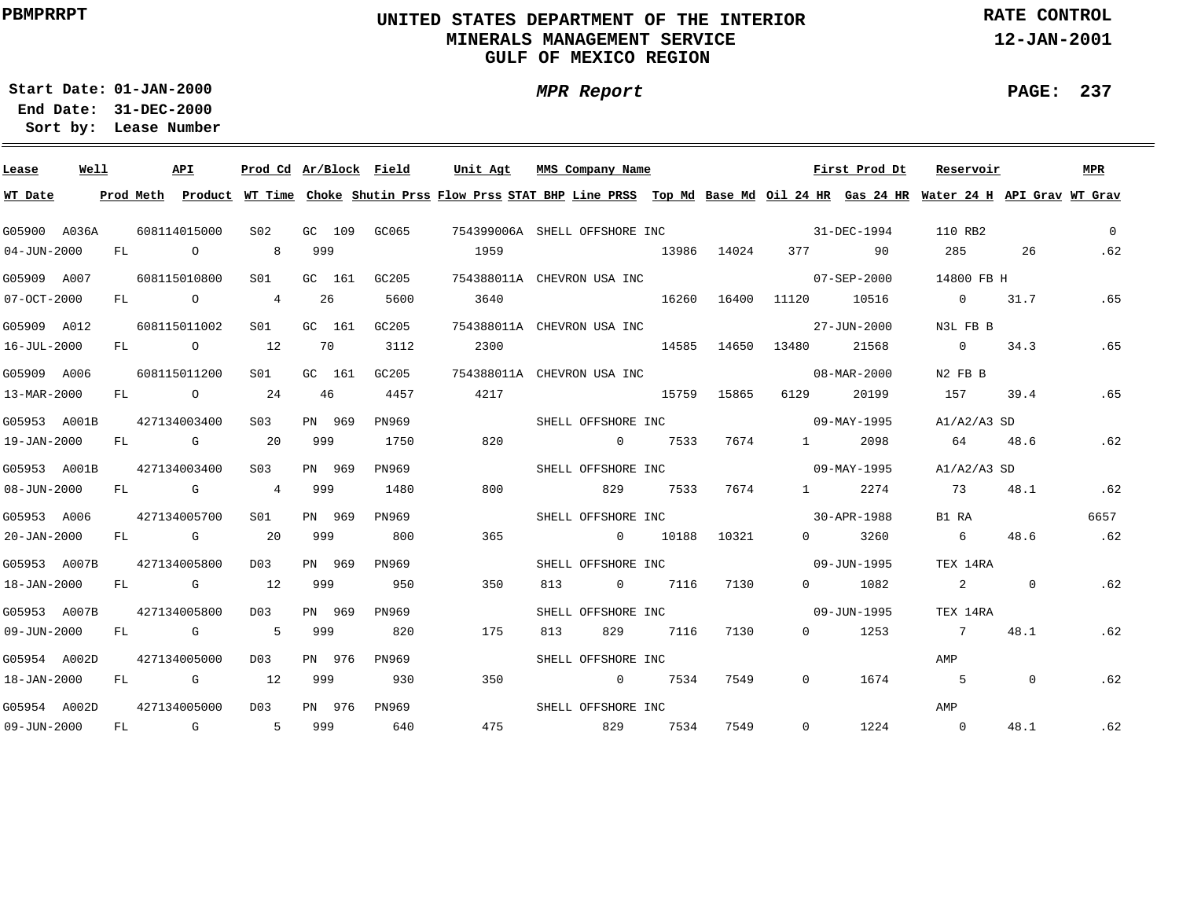# **UNITED STATES DEPARTMENT OF THE INTERIOR MINERALS MANAGEMENT SERVICEGULF OF MEXICO REGION**

**MPR Report**

**RATE CONTROL**

**12-JAN-2001**

**PAGE: 237**

÷

**01-JAN-2000Start Date:**

| Lease             | Well |     | API                                                                                                                                                                                                                            | Prod Cd Ar/Block Field |        |        |                                                                                                                                         | Unit Agt | MMS Company Name              |                    |       |             |          |                   | First Prod Dt     | Reservoir      |                | MPR      |
|-------------------|------|-----|--------------------------------------------------------------------------------------------------------------------------------------------------------------------------------------------------------------------------------|------------------------|--------|--------|-----------------------------------------------------------------------------------------------------------------------------------------|----------|-------------------------------|--------------------|-------|-------------|----------|-------------------|-------------------|----------------|----------------|----------|
| WT Date           |      |     |                                                                                                                                                                                                                                |                        |        |        | Prod Meth Product WT Time Choke Shutin Prss Flow Prss STAT BHP Line PRSS Top Md Base Md Oil 24 HR Gas 24 HR Water 24 H API Grav WT Grav |          |                               |                    |       |             |          |                   |                   |                |                |          |
| G05900 A036A      |      |     | 608114015000                                                                                                                                                                                                                   | S <sub>02</sub>        |        | GC 109 | GC065                                                                                                                                   |          | 754399006A SHELL OFFSHORE INC |                    |       |             |          |                   | 31-DEC-1994       | 110 RB2        |                | $\Omega$ |
| $04 - JUN - 2000$ |      | FL. | $\Omega$                                                                                                                                                                                                                       | 8                      | 999    |        |                                                                                                                                         | 1959     |                               |                    |       | 13986 14024 |          | 377 — 100         | 90                | 285            | 26             | .62      |
| G05909 A007       |      |     | 608115010800                                                                                                                                                                                                                   | S01                    | GC 161 |        | GC205                                                                                                                                   |          | 754388011A CHEVRON USA INC    |                    |       |             |          |                   | $07 - SEP - 2000$ | 14800 FB H     |                |          |
| 07-OCT-2000       |      | FL  | $\overline{O}$                                                                                                                                                                                                                 | $\overline{4}$         | 26     |        | 5600                                                                                                                                    | 3640     |                               |                    | 16260 | 16400       | 11120    | 10516             |                   | $\overline{0}$ | 31.7           | .65      |
| G05909 A012       |      |     | 608115011002                                                                                                                                                                                                                   | S <sub>01</sub>        |        | GC 161 | GC205                                                                                                                                   |          | 754388011A CHEVRON USA INC    |                    |       |             |          |                   | 27-JUN-2000       | N3L FB B       |                |          |
| 16-JUL-2000       |      |     | FL O                                                                                                                                                                                                                           | 12                     | 70     |        | 3112                                                                                                                                    | 2300     |                               | 14585              |       | 14650       | 13480    |                   | 21568             | $\overline{0}$ | 34.3           | .65      |
| G05909 A006       |      |     | 608115011200                                                                                                                                                                                                                   | S01                    | GC 161 |        | GC205                                                                                                                                   |          | 754388011A CHEVRON USA INC    |                    |       |             |          |                   | 08-MAR-2000       | N2 FB B        |                |          |
| 13-MAR-2000       |      | FL  | $\overline{O}$                                                                                                                                                                                                                 | 24                     | 46     |        | 4457                                                                                                                                    | 4217     |                               | 15759              |       | 15865       | 6129     |                   | 20199             | 157            | 39.4           | .65      |
| G05953 A001B      |      |     | 427134003400                                                                                                                                                                                                                   | S <sub>0.3</sub>       | PN 969 |        | PN969                                                                                                                                   |          | SHELL OFFSHORE INC            |                    |       |             |          |                   | 09-MAY-1995       | A1/A2/A3 SD    |                |          |
| 19-JAN-2000       |      | FL  | and the control of the control of the control of the control of the control of the control of the control of the control of the control of the control of the control of the control of the control of the control of the cont | 20                     | 999    |        | 1750                                                                                                                                    | 820      |                               | $\overline{0}$     | 7533  | 7674        |          | $1 \quad \cdots$  | 2098              | 64             | 48.6           | .62      |
| G05953 A001B      |      |     | 427134003400                                                                                                                                                                                                                   | S <sub>03</sub>        | PN 969 |        | PN969                                                                                                                                   |          | SHELL OFFSHORE INC            |                    |       |             |          |                   | 09-MAY-1995       | $A1/A2/A3$ SD  |                |          |
| 08-JUN-2000       |      | FL  | $\mathbb G$                                                                                                                                                                                                                    | $\overline{4}$         | 999    |        | 1480                                                                                                                                    | 800      |                               | 829                | 7533  | 7674        |          | $1 \qquad \qquad$ | 2274              | 73             | 48.1           | .62      |
| G05953 A006       |      |     | 427134005700                                                                                                                                                                                                                   | S01                    | PN 969 |        | PN969                                                                                                                                   |          | SHELL OFFSHORE INC            |                    |       |             |          |                   | 30-APR-1988       | B1 RA          |                | 6657     |
| $20 - JAN - 2000$ |      |     | $FL$ G $G$                                                                                                                                                                                                                     | 20                     | 999    |        | 800                                                                                                                                     | 365      |                               | $\overline{0}$     | 10188 | 10321       |          | $\Omega$          | 3260              | 6 <sup>6</sup> | 48.6           | .62      |
| G05953 A007B      |      |     | 427134005800                                                                                                                                                                                                                   | D <sub>0</sub> 3       | PN 969 |        | PN969                                                                                                                                   |          |                               | SHELL OFFSHORE INC |       |             |          |                   | 09-JUN-1995       | TEX 14RA       |                |          |
| 18-JAN-2000       |      |     | FL G                                                                                                                                                                                                                           | 12                     | 999    |        | 950                                                                                                                                     | 350      | 813                           | 0 7116             |       | 7130        |          | $\Omega$          | 1082              | $\overline{2}$ | $\Omega$       | .62      |
| G05953 A007B      |      |     | 427134005800                                                                                                                                                                                                                   | D03                    | PN 969 |        | PN969                                                                                                                                   |          |                               | SHELL OFFSHORE INC |       |             |          |                   | 09-JUN-1995       | TEX 14RA       |                |          |
| 09-JUN-2000       |      |     | FL G                                                                                                                                                                                                                           | $5^{\circ}$            | 999    |        | 820                                                                                                                                     | 175      | 813                           | 829                | 7116  | 7130        | $\Omega$ |                   | 1253              | $\overline{7}$ | 48.1           | .62      |
| G05954 A002D      |      |     | 427134005000                                                                                                                                                                                                                   | D03                    | PN 976 |        | PN969                                                                                                                                   |          |                               | SHELL OFFSHORE INC |       |             |          |                   |                   | AMP            |                |          |
| 18-JAN-2000       |      | FL  | $\mathbf G$                                                                                                                                                                                                                    | 12                     | 999    |        | 930                                                                                                                                     | 350      | $\sim$ 0                      |                    | 7534  | 7549        | $\Omega$ |                   | 1674              | $5^{\circ}$    | $\overline{0}$ | .62      |
| G05954 A002D      |      |     | 427134005000                                                                                                                                                                                                                   | D03                    | PN 976 |        | PN969                                                                                                                                   |          | SHELL OFFSHORE INC            |                    |       |             |          |                   |                   | AMP            |                |          |
| 09-JUN-2000       |      | FL  | $\mathbb G$                                                                                                                                                                                                                    | $5 -$                  | 999    |        | 640                                                                                                                                     | 475      |                               | 829                | 7534  | 7549        | $\Omega$ |                   | 1224              | $\sim$ 0       | 48.1           | .62      |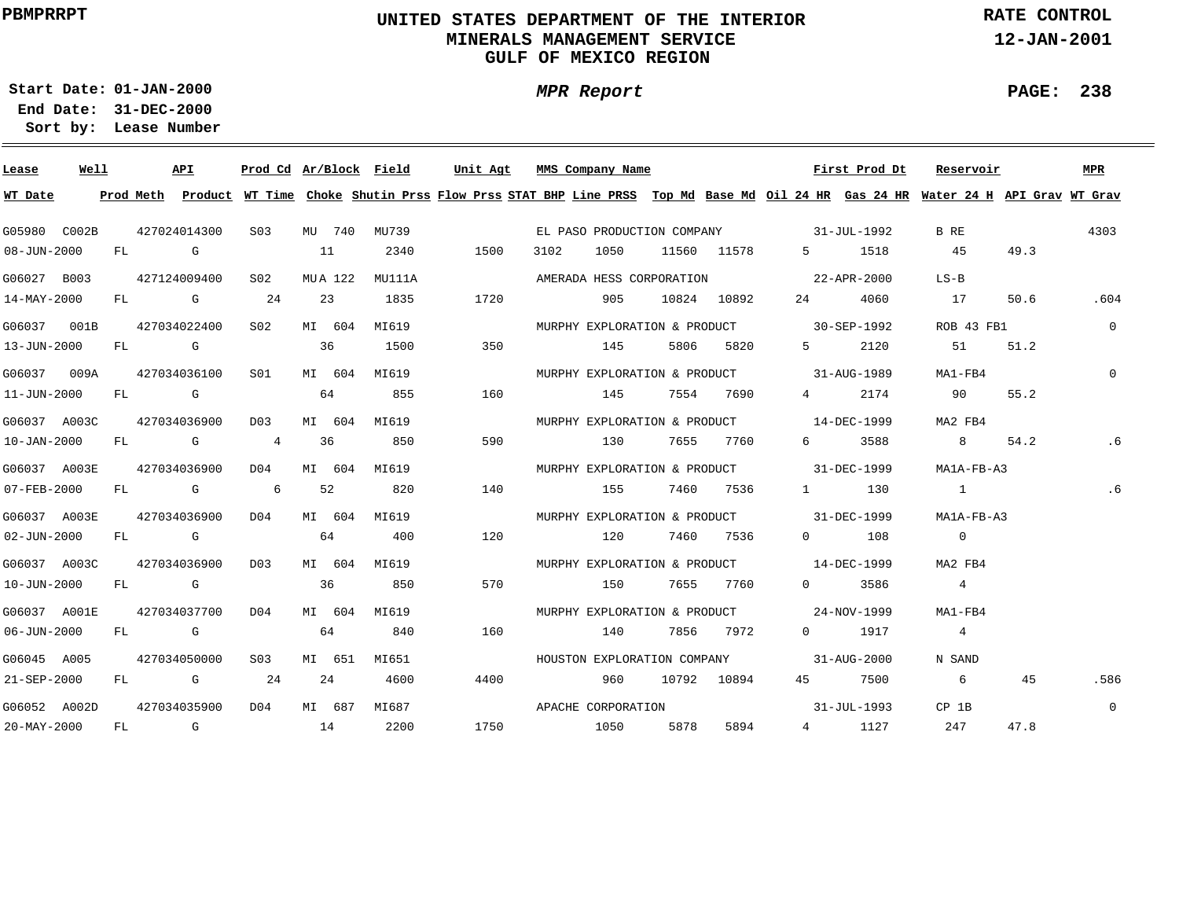# **UNITED STATES DEPARTMENT OF THE INTERIOR MINERALS MANAGEMENT SERVICEGULF OF MEXICO REGION**

**MPR Report**

**RATE CONTROL**

**12-JAN-2001**

**PAGE: 238**

**01-JAN-2000Start Date:31-DEC-2000 End Date:** 

| Lease             | Well |    | API                                                                                                                                                                                                                            |                  |         | Prod Cd Ar/Block Field | Unit Agt | MMS Company Name         |        |      |             |                                          | First Prod Dt | Reservoir                                                                                                                               |      | MPR            |
|-------------------|------|----|--------------------------------------------------------------------------------------------------------------------------------------------------------------------------------------------------------------------------------|------------------|---------|------------------------|----------|--------------------------|--------|------|-------------|------------------------------------------|---------------|-----------------------------------------------------------------------------------------------------------------------------------------|------|----------------|
| WT Date           |      |    |                                                                                                                                                                                                                                |                  |         |                        |          |                          |        |      |             |                                          |               | Prod Meth Product WT Time Choke Shutin Prss Flow Prss STAT BHP Line PRSS Top Md Base Md Oil 24 HR Gas 24 HR Water 24 H API Grav WT Grav |      |                |
| G05980 C002B      |      |    | 427024014300                                                                                                                                                                                                                   | S <sub>0</sub> 3 | MU 740  | MU739                  |          |                          |        |      |             | EL PASO PRODUCTION COMPANY 31-JUL-1992   |               | B RE                                                                                                                                    |      | 4303           |
| 08-JUN-2000       |      |    | FL G                                                                                                                                                                                                                           |                  | 11      | 2340                   | 1500     | 3102                     | 1050   |      | 11560 11578 |                                          | 5 1518        | 45                                                                                                                                      | 49.3 |                |
| G06027 B003       |      |    | 427124009400                                                                                                                                                                                                                   | S02              | MUA 122 | MU111A                 |          | AMERADA HESS CORPORATION |        |      |             |                                          | 22-APR-2000   | $LS-B$                                                                                                                                  |      |                |
| 14-MAY-2000       |      | FL | and the Communication of the Communication of the Communication of the Communication of the Communication of the Communication of the Communication of the Communication of the Communication of the Communication of the Comm | 24               | 23      | 1835                   | 1720     |                          | 905    |      | 10824 10892 | 24 \                                     | 4060          | 17                                                                                                                                      | 50.6 | .604           |
| G06037 001B       |      |    | 427034022400                                                                                                                                                                                                                   | S02              | MI 604  | MI619                  |          |                          |        |      |             | MURPHY EXPLORATION & PRODUCT 30-SEP-1992 |               | ROB 43 FB1                                                                                                                              |      | $\overline{0}$ |
| 13-JUN-2000       |      | FL | $\mathbb G$                                                                                                                                                                                                                    |                  | 36      | 1500                   | 350      |                          | 145    | 5806 | 5820        | $5^{\circ}$                              | 2120          | 51                                                                                                                                      | 51.2 |                |
| G06037 009A       |      |    | 427034036100                                                                                                                                                                                                                   | SO1              | MI 604  | MI619                  |          |                          |        |      |             | MURPHY EXPLORATION & PRODUCT 31-AUG-1989 |               | MA1-FB4                                                                                                                                 |      | $\Omega$       |
| 11-JUN-2000       |      | FL | <b>G</b>                                                                                                                                                                                                                       |                  | 64      | 855                    | 160      |                          | 145    |      | 7554 7690   | $4\degree$                               | 2174          | 90 —                                                                                                                                    | 55.2 |                |
| G06037 A003C      |      |    | 427034036900                                                                                                                                                                                                                   | D03              | MI 604  | MI619                  |          |                          |        |      |             | MURPHY EXPLORATION & PRODUCT 14-DEC-1999 |               | MA2 FB4                                                                                                                                 |      |                |
| 10-JAN-2000       |      | FL | <b>G</b> G                                                                                                                                                                                                                     | 4                | 36      | 850                    | 590      |                          | 130    |      | 7655 7760   | $6 \quad \sigma$                         | 3588          | 8 <sup>1</sup>                                                                                                                          | 54.2 | . 6            |
| G06037 A003E      |      |    | 427034036900                                                                                                                                                                                                                   | DO 4             | MI 604  | MI619                  |          |                          |        |      |             | MURPHY EXPLORATION & PRODUCT 31-DEC-1999 |               | MA1A-FB-A3                                                                                                                              |      |                |
| 07-FEB-2000       |      |    | FL G                                                                                                                                                                                                                           | 6                | 52      | 820                    | 140      |                          | 155 15 |      | 7460 7536   |                                          | 1 130         | $\overline{1}$                                                                                                                          |      | .6             |
| G06037 A003E      |      |    | 427034036900                                                                                                                                                                                                                   | DO 4             | MI 604  | MI619                  |          |                          |        |      |             | MURPHY EXPLORATION & PRODUCT 31-DEC-1999 |               | MA1A-FB-A3                                                                                                                              |      |                |
| 02-JUN-2000       |      |    | FL G                                                                                                                                                                                                                           |                  | 64      | 400                    | 120      |                          | 120    |      | 7460 7536   |                                          | $0$ 108       | $\overline{0}$                                                                                                                          |      |                |
| G06037 A003C      |      |    | 427034036900                                                                                                                                                                                                                   | DO3              | MI 604  | MI619                  |          |                          |        |      |             | MURPHY EXPLORATION & PRODUCT 14-DEC-1999 |               | MA2 FB4                                                                                                                                 |      |                |
| 10-JUN-2000       |      |    | FL G                                                                                                                                                                                                                           |                  | 36      | 850                    | 570      |                          | 150    |      | 7655 7760   | $0 \qquad \qquad$                        | 3586          | $\overline{4}$                                                                                                                          |      |                |
| G06037 A001E      |      |    | 427034037700                                                                                                                                                                                                                   | D04              | MI 604  | MI619                  |          |                          |        |      |             | MURPHY EXPLORATION & PRODUCT 24-NOV-1999 |               | MA1-FB4                                                                                                                                 |      |                |
| $06 - JUN - 2000$ |      |    | FL G                                                                                                                                                                                                                           |                  | 64      | 840                    | 160      |                          | 140    |      | 7856 7972   |                                          | 0 1917        | $\overline{4}$                                                                                                                          |      |                |
| G06045 A005       |      |    | 427034050000                                                                                                                                                                                                                   | S03              | MI 651  | MI651                  |          |                          |        |      |             | HOUSTON EXPLORATION COMPANY 31-AUG-2000  |               | N SAND                                                                                                                                  |      |                |
| 21-SEP-2000       |      |    | FL G                                                                                                                                                                                                                           | 24               | 24      | 4600                   | 4400     |                          | 960    |      | 10792 10894 |                                          | 45 7500       | 6                                                                                                                                       | 45   | .586           |
| G06052 A002D      |      |    | 427034035900                                                                                                                                                                                                                   | D04              | MI 687  | MI687                  |          | APACHE CORPORATION       |        |      |             |                                          | 31-JUL-1993   | CP 1B                                                                                                                                   |      | $\overline{0}$ |
| 20-MAY-2000       |      | FL | $\overline{G}$                                                                                                                                                                                                                 | 14               |         | 2200                   | 1750     |                          | 1050   | 5878 | 5894        |                                          | 4 1127        | 247                                                                                                                                     | 47.8 |                |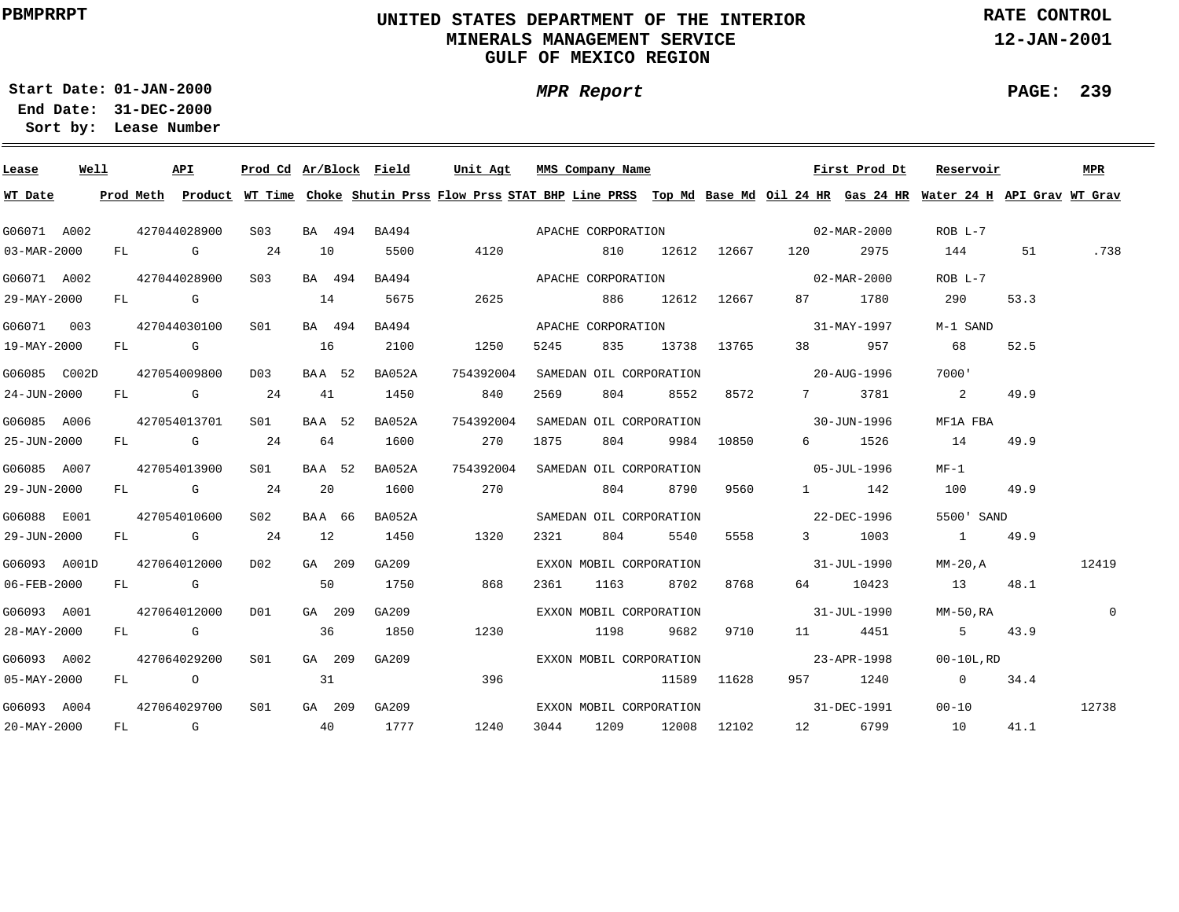# **UNITED STATES DEPARTMENT OF THE INTERIOR MINERALS MANAGEMENT SERVICEGULF OF MEXICO REGION**

**MPR Report**

**RATE CONTROL**

**12-JAN-2001**

**01-JAN-2000Start Date:**

**31-DEC-2000 End Date: Lease Number Sort by:**

| Lease                    | Well |  | API          | Prod Cd Ar/Block Field |    |        |        | Unit Agt  |      |      | MMS Company Name        |                 |             | First Prod Dt                  | Reservoir                                                                                                                               |      | MPR          |
|--------------------------|------|--|--------------|------------------------|----|--------|--------|-----------|------|------|-------------------------|-----------------|-------------|--------------------------------|-----------------------------------------------------------------------------------------------------------------------------------------|------|--------------|
| WT Date                  |      |  |              |                        |    |        |        |           |      |      |                         |                 |             |                                | Prod Meth Product WT Time Choke Shutin Prss Flow Prss STAT BHP Line PRSS Top Md Base Md Oil 24 HR Gas 24 HR Water 24 H API Grav WT Grav |      |              |
| G06071 A002              |      |  | 427044028900 | S03                    |    | BA 494 |        |           |      |      |                         |                 |             |                                | ROB L-7                                                                                                                                 |      |              |
| $03 - \text{MAR} - 2000$ |      |  | FL G         | 24                     | 10 |        | 5500   | 4120      |      |      | 810                     |                 |             | 12612 12667 120 2975           | 144                                                                                                                                     | 51   | .738         |
| G06071 A002              |      |  | 427044028900 | S03                    |    | BA 494 | BA494  |           |      |      |                         |                 |             | APACHE CORPORATION 02-MAR-2000 | $ROB L-7$                                                                                                                               |      |              |
| 29-MAY-2000              |      |  | FL G         |                        | 14 |        | 5675   |           | 2625 |      |                         | 886 12612 12667 |             | 87 1780                        | 290                                                                                                                                     | 53.3 |              |
| G06071 003               |      |  | 427044030100 | S01                    |    | BA 494 | BA494  |           |      |      | APACHE CORPORATION      |                 |             | $31 - MAX - 1997$              | M-1 SAND                                                                                                                                |      |              |
| 19-MAY-2000              |      |  | FL G         |                        | 16 |        | 2100   |           | 1250 | 5245 | 835                     |                 | 13738 13765 | 38 957                         | 68                                                                                                                                      | 52.5 |              |
| G06085 C002D             |      |  | 427054009800 | D03                    |    | BAA 52 | BA052A | 754392004 |      |      | SAMEDAN OIL CORPORATION |                 |             | $20 - \text{AUG} - 1996$       | 7000'                                                                                                                                   |      |              |
| 24-JUN-2000              |      |  | $FL$ G 24    |                        |    | 41     | 1450   |           | 840  | 2569 | 804                     | 8552            | 8572        | 7 3781                         | 2                                                                                                                                       | 49.9 |              |
| G06085 A006              |      |  | 427054013701 | S01 <b>S</b>           |    | BAA 52 | BA052A | 754392004 |      |      | SAMEDAN OIL CORPORATION |                 |             | $30 - JUN - 1996$              | MF1A FBA                                                                                                                                |      |              |
| 25-JUN-2000              |      |  | FL G         | 24                     | 64 |        | 1600   |           | 270  | 1875 | 804                     |                 | 9984 10850  | 6 1526                         | 14                                                                                                                                      | 49.9 |              |
| G06085 A007              |      |  | 427054013900 | S01 - <b>S</b>         |    | BAA 52 | BA052A | 754392004 |      |      | SAMEDAN OIL CORPORATION |                 |             | $05 - JUL - 1996$              | $MF-1$                                                                                                                                  |      |              |
| 29-JUN-2000              |      |  | FL G         | 24                     | 20 |        | 1600   | 270       |      |      |                         | 804 8790        | 9560        | 1 142                          | 100                                                                                                                                     | 49.9 |              |
| G06088 E001              |      |  | 427054010600 | S02 <b>S</b>           |    | BAA 66 | BA052A |           |      |      | SAMEDAN OIL CORPORATION |                 |             | 22-DEC-1996                    | 5500' SAND                                                                                                                              |      |              |
| 29-JUN-2000              |      |  | FL G         | 24                     | 12 |        | 1450   |           | 1320 | 2321 | 804                     | 5540            | 5558        | 3 1003                         | 1 49.9                                                                                                                                  |      |              |
| G06093 A001D             |      |  | 427064012000 | DO <sub>2</sub>        |    | GA 209 | GA209  |           |      |      | EXXON MOBIL CORPORATION |                 |             | $31 - JUL - 1990$              | $MM-20$ , $A$                                                                                                                           |      | 12419        |
| 06-FEB-2000              |      |  | FL G         |                        | 50 |        | 1750   |           | 868  | 2361 | 1163                    | 8702            | 8768        | 64 10423                       | 13                                                                                                                                      | 48.1 |              |
| G06093 A001              |      |  | 427064012000 | DO1                    |    | GA 209 | GA209  |           |      |      | EXXON MOBIL CORPORATION |                 |             | 31-JUL-1990                    | MM-50.RA                                                                                                                                |      | $\mathbf{0}$ |
| $28 - \text{MAX} - 2000$ |      |  | FL G         |                        | 36 |        | 1850   |           | 1230 |      | 1198                    | 9682            | 9710        | 11 4451                        | $5 \t 43.9$                                                                                                                             |      |              |
| G06093 A002              |      |  | 427064029200 | S01                    |    | GA 209 | GA209  |           |      |      | EXXON MOBIL CORPORATION |                 |             | $23 - APR - 1998$              | 00-10L,RD                                                                                                                               |      |              |
| $05 - MAX - 2000$        |      |  | FL O         |                        | 31 |        |        |           | 396  |      | 11589 11628             |                 |             | 957 1240                       | $0 \t 34.4$                                                                                                                             |      |              |
| G06093 A004              |      |  | 427064029700 | S01                    |    | GA 209 | GA209  |           |      |      | EXXON MOBIL CORPORATION |                 |             |                                | $31 - DEC - 1991$ 00-10                                                                                                                 |      | 12738        |
| $20 - \text{MAX} - 2000$ |      |  | FL G         | 40                     |    |        | 1777   |           | 1240 |      | 3044 1209 12008 12102   |                 |             | 12 6799                        | 10                                                                                                                                      | 41.1 |              |

**PAGE: 239**

÷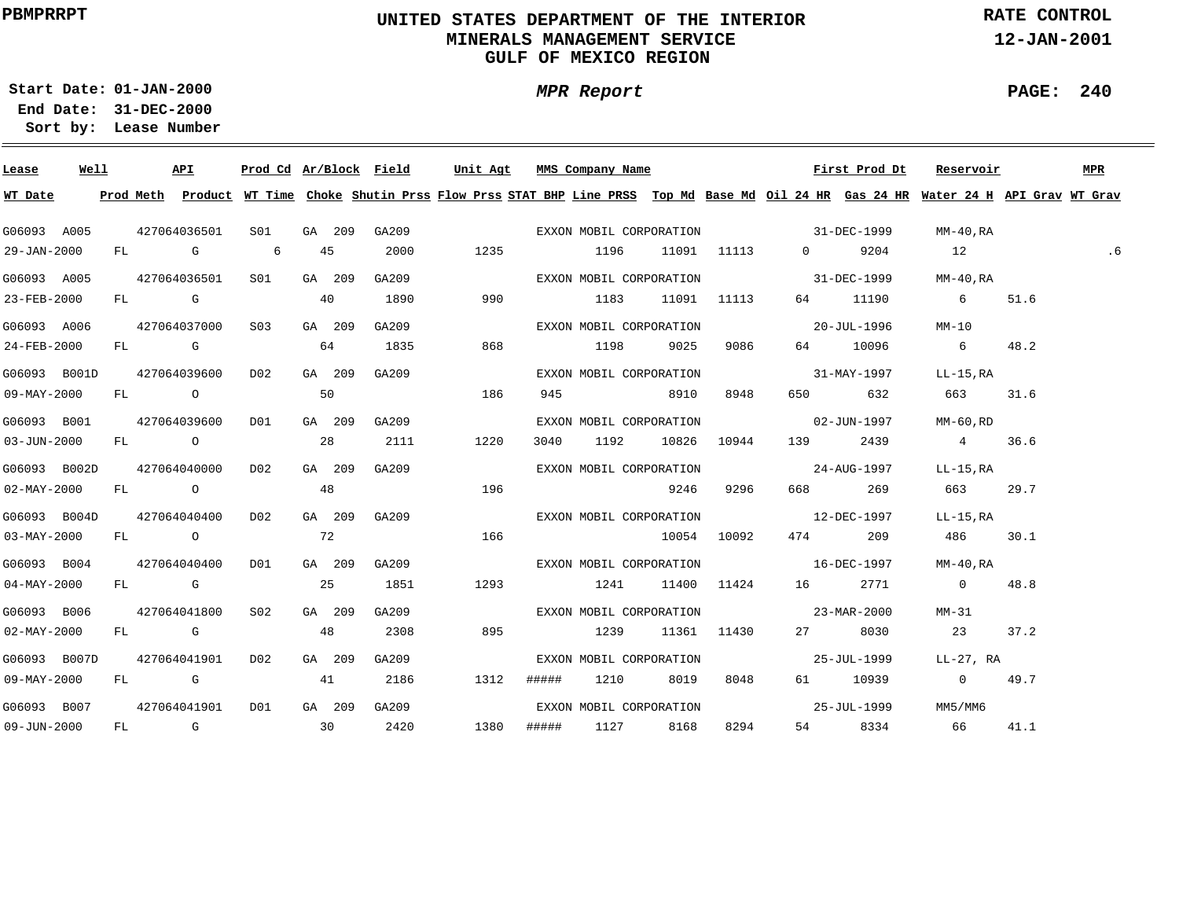# **UNITED STATES DEPARTMENT OF THE INTERIOR MINERALS MANAGEMENT SERVICEGULF OF MEXICO REGION**

**MPR Report**

**RATE CONTROL**

**12-JAN-2001**

**PAGE: 240**

÷

**01-JAN-2000Start Date:**

| Lease                     | Well |  | API              |              |    |        | Prod Cd Ar/Block Field |       |       | Unit Agt MMS Company Name |           |                  | First Prod Dt                         | Reservoir                                                                                                                               |      | MPR |
|---------------------------|------|--|------------------|--------------|----|--------|------------------------|-------|-------|---------------------------|-----------|------------------|---------------------------------------|-----------------------------------------------------------------------------------------------------------------------------------------|------|-----|
| WT Date                   |      |  |                  |              |    |        |                        |       |       |                           |           |                  |                                       | Prod Meth Product WT Time Choke Shutin Prss Flow Prss STAT BHP Line PRSS Top Md Base Md Oil 24 HR Gas 24 HR Water 24 H API Grav WT Grav |      |     |
| G06093 A005               |      |  | 427064036501     | S01 <b>S</b> |    | GA 209 | GA209                  |       |       |                           |           |                  | EXXON MOBIL CORPORATION 31-DEC-1999   | MM-40,RA                                                                                                                                |      |     |
| 29-JAN-2000               |      |  | FL G 6           |              |    | 45     | 2000                   | 1235  |       | 1196 11091 11113          |           |                  | 0 9204                                | 12                                                                                                                                      |      | .6  |
| G06093 A005               |      |  | 427064036501     | S01 <b>S</b> |    | GA 209 | GA209                  |       |       | EXXON MOBIL CORPORATION   |           |                  | 31-DEC-1999                           | MM-40,RA                                                                                                                                |      |     |
| 23-FEB-2000               |      |  | FL G             |              | 40 |        | 1890                   | 990   |       | 1183 11091 11113          |           |                  | 64 11190                              | 6 51.6                                                                                                                                  |      |     |
| G06093 A006               |      |  | 427064037000 S03 |              |    | GA 209 | GA209                  |       |       | EXXON MOBIL CORPORATION   |           |                  | 20-JUL-1996                           | MM-10                                                                                                                                   |      |     |
| $24 - FEB - 2000$         |      |  | $FL$ G $G$       |              | 64 |        | 1835                   | 868   |       | 1198 9025                 |           | 9086             | 64 10096                              | 6 48.2                                                                                                                                  |      |     |
| G06093 B001D              |      |  | 427064039600     | D02          |    | GA 209 | GA209                  |       |       |                           |           |                  | EXXON MOBIL CORPORATION 31-MAY-1997   | LL-15,RA                                                                                                                                |      |     |
| 09-MAY-2000               |      |  | FL O             |              | 50 |        |                        | 186   |       | 945 8910                  |           | 8948             | 650 632                               | 663 31.6                                                                                                                                |      |     |
| G06093 B001               |      |  | 427064039600     | D01          |    | GA 209 | GA209                  |       |       |                           |           |                  | EXXON MOBIL CORPORATION 02-JUN-1997   | MM-60,RD                                                                                                                                |      |     |
| $03 - JUN - 2000$         |      |  | FL O             |              | 28 |        | 2111                   | 1220  |       | 3040                      |           | 1192 10826 10944 | 139 2439                              | 4 36.6                                                                                                                                  |      |     |
| G06093 B002D              |      |  | 427064040000     | D02          |    | GA 209 | GA209                  |       |       |                           |           |                  | EXXON MOBIL CORPORATION 5 24-AUG-1997 | LL-15,RA                                                                                                                                |      |     |
| $02 - MAX - 2000$         |      |  | FL O             |              | 48 |        |                        | 196   |       |                           | 9246      | 9296             | 668 269                               | 663 29.7                                                                                                                                |      |     |
| G06093 B004D 427064040400 |      |  |                  | D02          |    | GA 209 |                        | GA209 |       |                           |           |                  | EXXON MOBIL CORPORATION 12-DEC-1997   | LL-15,RA                                                                                                                                |      |     |
| 03-MAY-2000               |      |  | FL O             |              | 72 |        |                        | 166   |       |                           |           | 10054 10092      | 474 209                               | 486 30.1                                                                                                                                |      |     |
| G06093 B004               |      |  | 427064040400     | DO1          |    | GA 209 | GA209                  |       |       |                           |           |                  | EXXON MOBIL CORPORATION 16-DEC-1997   | MM-40,RA                                                                                                                                |      |     |
| $04 - \text{MAX} - 2000$  |      |  | FL G             |              |    | 25     | 1851                   | 1293  |       | 1241                      |           |                  | 11400 11424 16 2771                   | $0 \t 48.8$                                                                                                                             |      |     |
| G06093 B006               |      |  | 427064041800     | S02          |    | GA 209 | GA209                  |       |       |                           |           |                  | EXXON MOBIL CORPORATION 23-MAR-2000   | MM-31                                                                                                                                   |      |     |
| $02 - MAX - 2000$         |      |  | FL G             |              | 48 |        | 2308                   | 895   |       | 1239                      |           | 11361 11430      | 27 8030                               | 23                                                                                                                                      | 37.2 |     |
| G06093 B007D              |      |  | 427064041901     | D02          |    | GA 209 | GA209                  |       |       | EXXON MOBIL CORPORATION   |           |                  | 25-JUL-1999                           | LL-27, RA                                                                                                                               |      |     |
| 09-MAY-2000               |      |  | FL G             |              | 41 |        | 2186                   | 1312  | ##### |                           | 1210 8019 | 8048             | 61 10939                              | $0 \t 49.7$                                                                                                                             |      |     |
| G06093 B007               |      |  | 427064041901     | D01          |    | GA 209 | GA209                  |       |       | EXXON MOBIL CORPORATION   |           |                  | 25-JUL-1999                           | MM5/MM6                                                                                                                                 |      |     |
| $09 - JUN - 2000$         |      |  |                  | FL G 30 2420 |    |        |                        |       |       | 1380 ##### 1127 8168      |           | 8294             | 54 8334                               | 66 66                                                                                                                                   | 41.1 |     |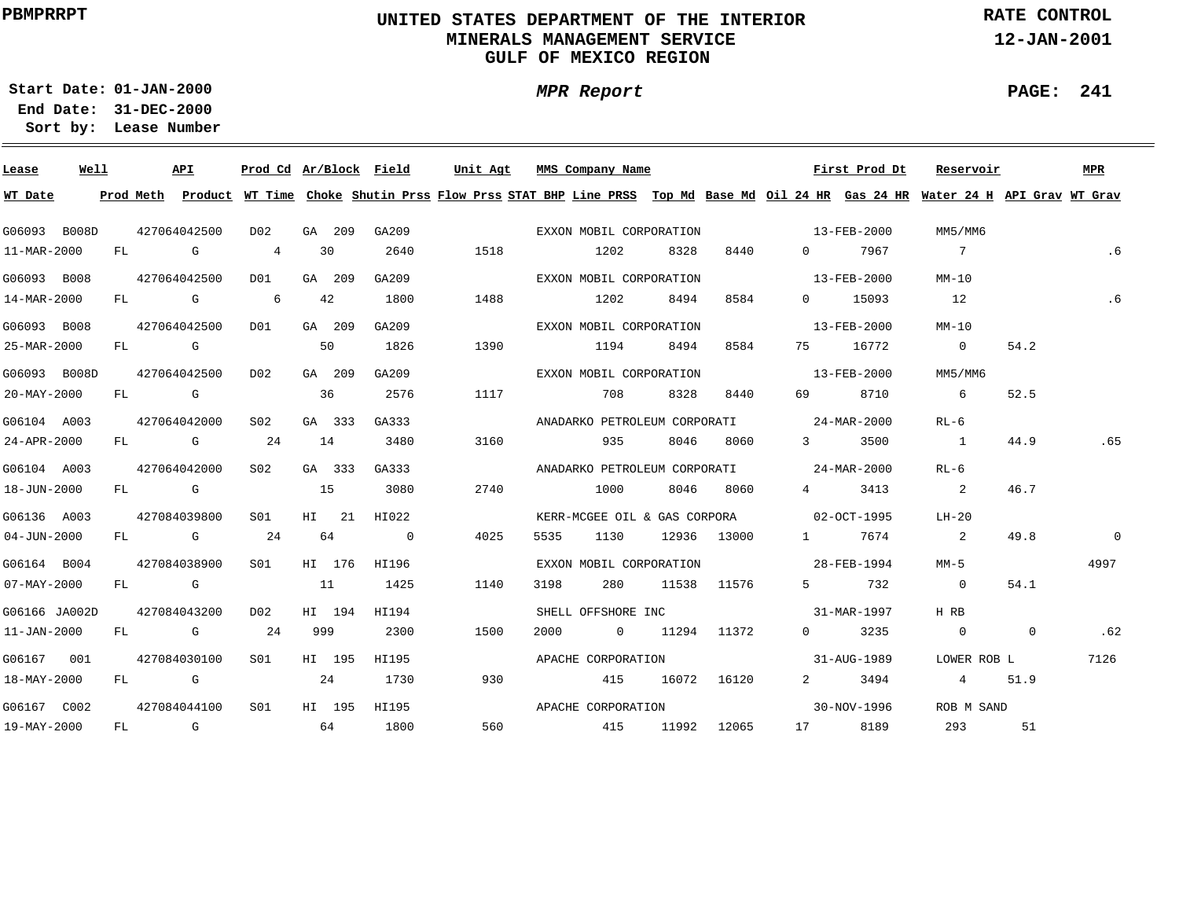# **UNITED STATES DEPARTMENT OF THE INTERIOR MINERALS MANAGEMENT SERVICEGULF OF MEXICO REGION**

**MPR Report**

**RATE CONTROL**

**12-JAN-2001**

**PAGE: 241**

**01-JAN-2000Start Date:**

| Lease             | Well |    |              | API                                                                                                                                                                                                                            |                 |     |        | <u>Prod Cd Ar/Block Field</u> | Unit Agt |      | MMS Company Name        |       |             |                                          | First Prod Dt | Reservoir                                                                                                                                                                                                                                                                                                                                                                           |                | MPR     |
|-------------------|------|----|--------------|--------------------------------------------------------------------------------------------------------------------------------------------------------------------------------------------------------------------------------|-----------------|-----|--------|-------------------------------|----------|------|-------------------------|-------|-------------|------------------------------------------|---------------|-------------------------------------------------------------------------------------------------------------------------------------------------------------------------------------------------------------------------------------------------------------------------------------------------------------------------------------------------------------------------------------|----------------|---------|
| WT Date           |      |    |              |                                                                                                                                                                                                                                |                 |     |        |                               |          |      |                         |       |             |                                          |               | Prod Meth Product WT Time Choke Shutin Prss Flow Prss STAT BHP Line PRSS Top Md Base Md Oil 24 HR Gas 24 HR Water 24 H API Grav WT Grav                                                                                                                                                                                                                                             |                |         |
| G06093 B008D      |      |    | 427064042500 |                                                                                                                                                                                                                                | D02             |     | GA 209 | GA209                         |          |      | EXXON MOBIL CORPORATION |       |             | $13 - FEB - 2000$                        |               | MM5/MM6                                                                                                                                                                                                                                                                                                                                                                             |                |         |
| 11-MAR-2000       |      | FL |              | and the Company of the Company of the Company of the Company of the Company of the Company of the Company of the Company of the Company of the Company of the Company of the Company of the Company of the Company of the Comp | 4               |     | 30     | 2640                          | 1518     |      | 1202                    | 8328  | 8440        | $\Omega$                                 | 7967          | $\overline{7}$                                                                                                                                                                                                                                                                                                                                                                      |                | .6      |
| G06093 B008       |      |    | 427064042500 |                                                                                                                                                                                                                                | DO1             |     | GA 209 | GA209                         |          |      | EXXON MOBIL CORPORATION |       |             |                                          | 13-FEB-2000   | $MM-10$                                                                                                                                                                                                                                                                                                                                                                             |                |         |
| 14-MAR-2000       |      |    |              | FL G                                                                                                                                                                                                                           | $6\overline{6}$ |     | 42     | 1800                          | 1488     |      | 1202                    | 8494  | 8584        |                                          | 0 15093       | 12                                                                                                                                                                                                                                                                                                                                                                                  |                | .6      |
| G06093 B008       |      |    | 427064042500 |                                                                                                                                                                                                                                | D01             |     | GA 209 | GA209                         |          |      | EXXON MOBIL CORPORATION |       |             |                                          | 13-FEB-2000   | $MM-10$                                                                                                                                                                                                                                                                                                                                                                             |                |         |
| 25-MAR-2000       |      |    |              | FL G                                                                                                                                                                                                                           |                 | 50  |        | 1826                          | 1390     |      | 1194                    | 8494  | 8584        |                                          | 75 16772      | $\sim$ 0                                                                                                                                                                                                                                                                                                                                                                            | 54.2           |         |
| G06093 B008D      |      |    | 427064042500 |                                                                                                                                                                                                                                | D02             |     | GA 209 | GA209                         |          |      | EXXON MOBIL CORPORATION |       |             | $13 - FEB - 2000$                        |               | MM5/MM6                                                                                                                                                                                                                                                                                                                                                                             |                |         |
| 20-MAY-2000       |      |    |              | FL G                                                                                                                                                                                                                           |                 | 36  |        | 2576                          | 1117     |      | 708                     | 8328  | 8440        | 69 — 10                                  | 8710          | 6 <sup>6</sup>                                                                                                                                                                                                                                                                                                                                                                      | 52.5           |         |
| G06104 A003       |      |    | 427064042000 |                                                                                                                                                                                                                                | S02             |     | GA 333 | GA333                         |          |      |                         |       |             |                                          |               | $RL-6$                                                                                                                                                                                                                                                                                                                                                                              |                |         |
| 24-APR-2000       |      |    |              | FL G                                                                                                                                                                                                                           | 24              | 14  |        | 3480                          | 3160     |      | 935                     |       | 8046 8060   |                                          | 3 3500        | $\frac{1}{2}$                                                                                                                                                                                                                                                                                                                                                                       | 44.9           | .65     |
| G06104 A003       |      |    | 427064042000 |                                                                                                                                                                                                                                | S02             |     | GA 333 | GA333                         |          |      |                         |       |             |                                          |               | $RL-6$                                                                                                                                                                                                                                                                                                                                                                              |                |         |
| 18-JUN-2000       |      |    |              | FL G                                                                                                                                                                                                                           |                 | 15  |        | 3080                          | 2740     |      | 1000                    |       | 8046 8060   |                                          | 4 3413        | $\sim$ 2                                                                                                                                                                                                                                                                                                                                                                            | 46.7           |         |
| G06136 A003       |      |    | 427084039800 |                                                                                                                                                                                                                                | S01             |     | HI 21  | HI022                         |          |      |                         |       |             | KERR-MCGEE OIL & GAS CORPORA 02-OCT-1995 |               | LH-20                                                                                                                                                                                                                                                                                                                                                                               |                |         |
| 04-JUN-2000       |      |    |              | FL G                                                                                                                                                                                                                           | 24              | 64  |        | $\overline{0}$                | 4025     | 5535 | 1130                    |       | 12936 13000 | $1 \qquad \qquad$                        | 7674          | 2                                                                                                                                                                                                                                                                                                                                                                                   | 49.8           | $\circ$ |
| G06164 B004       |      |    |              | 427084038900                                                                                                                                                                                                                   | S <sub>01</sub> |     | HI 176 | HI196                         |          |      | EXXON MOBIL CORPORATION |       |             | $28 - FEB - 1994$                        |               | $MM-5$                                                                                                                                                                                                                                                                                                                                                                              |                | 4997    |
| $07 - MAX - 2000$ |      |    | FL G         |                                                                                                                                                                                                                                |                 | 11  |        | 1425                          | 1140     | 3198 | 280                     |       | 11538 11576 |                                          | 5 732         | $\sim$ 0                                                                                                                                                                                                                                                                                                                                                                            | 54.1           |         |
| G06166 JA002D     |      |    | 427084043200 |                                                                                                                                                                                                                                | D02             |     | HI 194 | HI194                         |          |      | SHELL OFFSHORE INC      |       |             |                                          | 31-MAR-1997   | H RB                                                                                                                                                                                                                                                                                                                                                                                |                |         |
| 11-JAN-2000       |      |    |              | FL G                                                                                                                                                                                                                           | 24              | 999 |        | 2300                          | 1500     | 2000 | 0 11294 11372           |       |             | $\Omega$                                 | 3235          | $\sim$ 0                                                                                                                                                                                                                                                                                                                                                                            | $\overline{0}$ | .62     |
| G06167 001        |      |    |              | 427084030100                                                                                                                                                                                                                   | S01             |     | HI 195 | HI195                         |          |      | APACHE CORPORATION      |       |             | 31-AUG-1989                              |               | LOWER ROB L                                                                                                                                                                                                                                                                                                                                                                         |                | 7126    |
| 18-MAY-2000       |      |    |              | FL G                                                                                                                                                                                                                           |                 | 24  |        | 1730                          | 930      |      | 415                     |       | 16072 16120 |                                          | 2 3494        | $4\phantom{.0000}\phantom{.0000}\phantom{.0000}\phantom{.0000}\phantom{.0000}\phantom{.0000}\phantom{.0000}\phantom{.0000}\phantom{.0000}\phantom{.0000}\phantom{.0000}\phantom{.0000}\phantom{.0000}\phantom{.0000}\phantom{.0000}\phantom{.0000}\phantom{.0000}\phantom{.0000}\phantom{.0000}\phantom{.0000}\phantom{.0000}\phantom{.0000}\phantom{.0000}\phantom{.0000}\phantom$ | 51.9           |         |
| G06167 C002       |      |    |              | 427084044100                                                                                                                                                                                                                   | S <sub>01</sub> |     | HI 195 | HI195                         |          |      | APACHE CORPORATION      |       |             | $30-NOV-1996$                            |               | ROB M SAND                                                                                                                                                                                                                                                                                                                                                                          |                |         |
| 19-MAY-2000       |      |    |              | FL G                                                                                                                                                                                                                           | 64              |     |        | 1800                          | 560      |      | 415                     | 11992 | 12065       |                                          | 17 8189       | 293                                                                                                                                                                                                                                                                                                                                                                                 | 51             |         |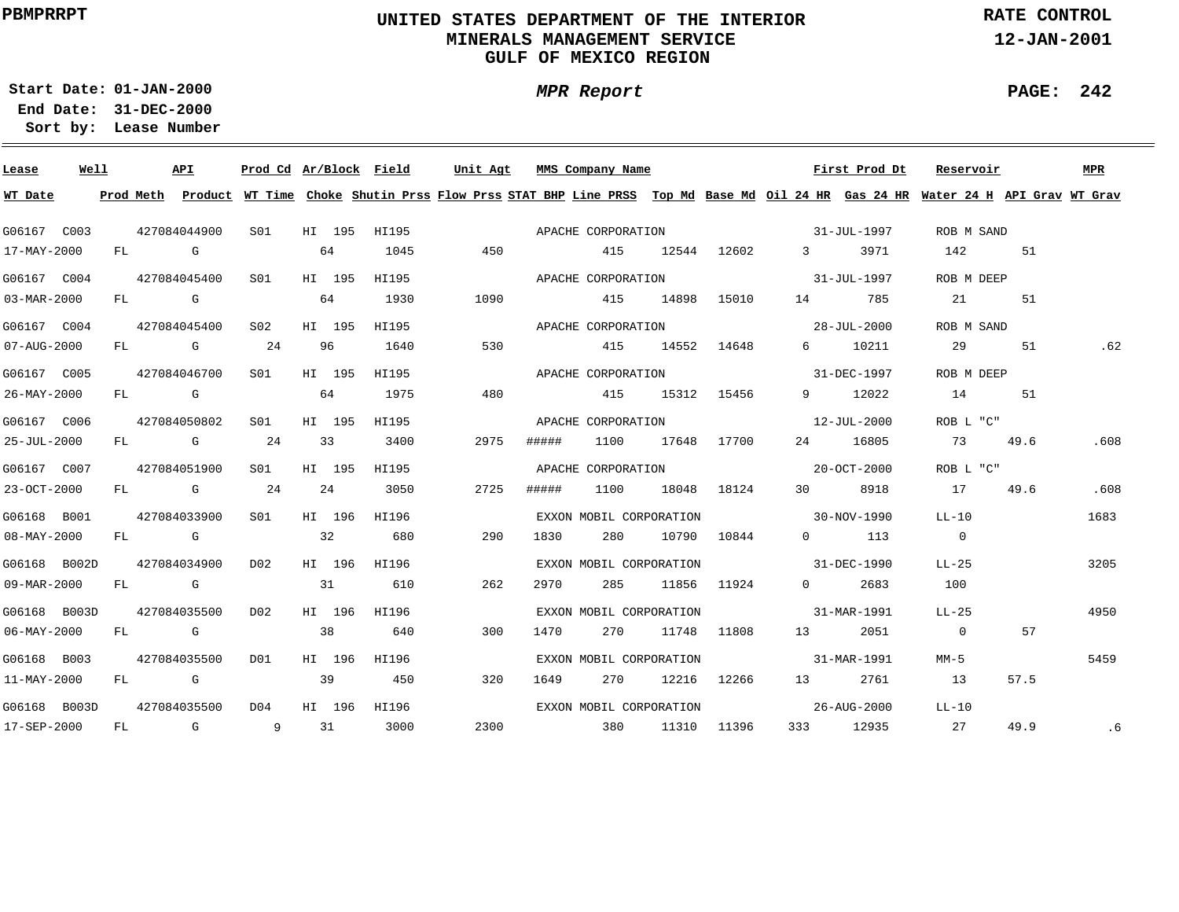# **UNITED STATES DEPARTMENT OF THE INTERIOR MINERALS MANAGEMENT SERVICEGULF OF MEXICO REGION**

**MPR Report**

**RATE CONTROL**

**12-JAN-2001**

**PAGE: 242**

÷

**01-JAN-2000Start Date:31-DEC-2000 End Date:** 

| Lease                    | Well |      |                                                                                                                 | API                                                                                                                                                                                                                            | Prod Cd Ar/Block Field |        |       | Unit Agt |       | MMS Company Name        |       |             |                                                         | First Prod Dt | Reservoir                                                                                                                               |      | <b>MPR</b> |
|--------------------------|------|------|-----------------------------------------------------------------------------------------------------------------|--------------------------------------------------------------------------------------------------------------------------------------------------------------------------------------------------------------------------------|------------------------|--------|-------|----------|-------|-------------------------|-------|-------------|---------------------------------------------------------|---------------|-----------------------------------------------------------------------------------------------------------------------------------------|------|------------|
| WT Date                  |      |      |                                                                                                                 |                                                                                                                                                                                                                                |                        |        |       |          |       |                         |       |             |                                                         |               | Prod Meth Product WT Time Choke Shutin Prss Flow Prss STAT BHP Line PRSS Top Md Base Md Oil 24 HR Gas 24 HR Water 24 H API Grav WT Grav |      |            |
| G06167 C003              |      |      |                                                                                                                 | 427084044900                                                                                                                                                                                                                   | S <sub>01</sub>        | HI 195 | HI195 |          |       | APACHE CORPORATION      |       |             |                                                         | 31-JUL-1997   | ROB M SAND                                                                                                                              |      |            |
| 17-MAY-2000              |      | FL   | and the Control Control Control Control Control Control Control Control Control Control Control Control Control |                                                                                                                                                                                                                                |                        | 64     | 1045  | 450      |       | 415                     |       | 12544 12602 | $3 \sim$                                                | 3971          | 142                                                                                                                                     | 51   |            |
| G06167 C004              |      |      |                                                                                                                 | 427084045400                                                                                                                                                                                                                   | S <sub>01</sub>        | HI 195 | HI195 |          |       | APACHE CORPORATION      |       |             |                                                         | 31–JUL–1997   | ROB M DEEP                                                                                                                              |      |            |
| 03-MAR-2000              |      |      | FL G                                                                                                            |                                                                                                                                                                                                                                |                        | 64     | 1930  | 1090     |       | 415                     | 14898 | 15010       |                                                         | 785           | 21                                                                                                                                      | 51   |            |
| G06167 C004              |      |      |                                                                                                                 | 427084045400                                                                                                                                                                                                                   | S <sub>02</sub>        | HI 195 | HI195 |          |       | APACHE CORPORATION      |       |             | $28 - JUL - 2000$                                       |               | ROB M SAND                                                                                                                              |      |            |
| 07-AUG-2000              |      |      |                                                                                                                 | FL G                                                                                                                                                                                                                           | 24                     | 96     | 1640  | 530      |       | 415                     | 14552 | 14648       | $6 \quad \Box$                                          | 10211         | 29                                                                                                                                      | 51   | .62        |
| G06167 C005              |      |      |                                                                                                                 | 427084046700                                                                                                                                                                                                                   | S01                    | HI 195 | HI195 |          |       | APACHE CORPORATION      |       |             |                                                         | 31-DEC-1997   | ROB M DEEP                                                                                                                              |      |            |
| 26-MAY-2000              |      |      | FL G                                                                                                            |                                                                                                                                                                                                                                |                        | 64     | 1975  | 480      |       | 415                     | 15312 | 15456       | $9 \left( \begin{array}{ccc} 9 & 1 \end{array} \right)$ | 12022         | 14                                                                                                                                      | 51   |            |
| G06167 C006              |      |      |                                                                                                                 | 427084050802                                                                                                                                                                                                                   | SO1                    | HI 195 | HI195 |          |       | APACHE CORPORATION      |       |             |                                                         | 12-JUL-2000   | ROB L "C"                                                                                                                               |      |            |
| 25-JUL-2000              |      |      |                                                                                                                 | FL G                                                                                                                                                                                                                           | 24                     | 33     | 3400  | 2975     | ##### | 1100                    | 17648 | 17700       | 24                                                      | 16805         | 73                                                                                                                                      | 49.6 | .608       |
| G06167 C007              |      |      |                                                                                                                 | 427084051900                                                                                                                                                                                                                   | S <sub>01</sub>        | HI 195 | HI195 |          |       | APACHE CORPORATION      |       |             |                                                         | 20-0CT-2000   | ROB L "C"                                                                                                                               |      |            |
| 23-OCT-2000              |      | FL - |                                                                                                                 | and the control of the control of the control of the control of the control of the control of the control of the control of the control of the control of the control of the control of the control of the control of the cont | 24                     | 24     | 3050  | 2725     | ##### | 1100                    | 18048 | 18124       | $30^{\circ}$                                            | 8918          | 17                                                                                                                                      | 49.6 | .608       |
| G06168 B001              |      |      |                                                                                                                 | 427084033900                                                                                                                                                                                                                   | SO1                    | HI 196 | HI196 |          |       | EXXON MOBIL CORPORATION |       |             |                                                         | 30-NOV-1990   | $LL-10$                                                                                                                                 |      | 1683       |
| 08-MAY-2000              |      |      |                                                                                                                 | FL G                                                                                                                                                                                                                           |                        | 32     | 680   | 290      | 1830  | 280                     | 10790 | 10844       | $\Omega$                                                | 113           | $\overline{0}$                                                                                                                          |      |            |
| G06168 B002D             |      |      |                                                                                                                 | 427084034900                                                                                                                                                                                                                   | D <sub>02</sub>        | HI 196 | HI196 |          |       | EXXON MOBIL CORPORATION |       |             | $31 - DEC - 1990$                                       |               | $LL-25$                                                                                                                                 |      | 3205       |
| 09-MAR-2000              |      | FL   |                                                                                                                 | $\mathbb G$                                                                                                                                                                                                                    |                        | 31     | 610   | 262      | 2970  | 285                     | 11856 | 11924       | $\Omega$                                                | 2683          | 100                                                                                                                                     |      |            |
| G06168 B003D             |      |      |                                                                                                                 | 427084035500                                                                                                                                                                                                                   | D02                    | HI 196 | HI196 |          |       | EXXON MOBIL CORPORATION |       |             |                                                         | 31-MAR-1991   | $LL-25$                                                                                                                                 |      | 4950       |
| $06 - \text{MAX} - 2000$ |      |      |                                                                                                                 | $FL$ G                                                                                                                                                                                                                         |                        | 38     | 640   | 300      | 1470  | 270                     | 11748 | 11808       | $13 \quad$                                              | 2051          | $\overline{0}$                                                                                                                          | 57   |            |
| G06168 B003              |      |      |                                                                                                                 | 427084035500                                                                                                                                                                                                                   | D01                    | HI 196 | HI196 |          |       | EXXON MOBIL CORPORATION |       |             |                                                         | 31-MAR-1991   | MM-5                                                                                                                                    |      | 5459       |
| $11 - \text{MAX} - 2000$ |      | FL   |                                                                                                                 | <b>G</b>                                                                                                                                                                                                                       |                        | 39     | 450   | 320      | 1649  | 270                     |       | 12216 12266 | 13                                                      | 2761          | 13                                                                                                                                      | 57.5 |            |
| G06168 B003D             |      |      |                                                                                                                 | 427084035500                                                                                                                                                                                                                   | D04                    | HI 196 | HI196 |          |       | EXXON MOBIL CORPORATION |       |             |                                                         | 26-AUG-2000   | $LL-10$                                                                                                                                 |      |            |
| 17-SEP-2000              |      | FL   |                                                                                                                 | G                                                                                                                                                                                                                              | 9                      | 31     | 3000  | 2300     |       | 380                     | 11310 | 11396       | 333                                                     | 12935         | 27                                                                                                                                      | 49.9 | .6         |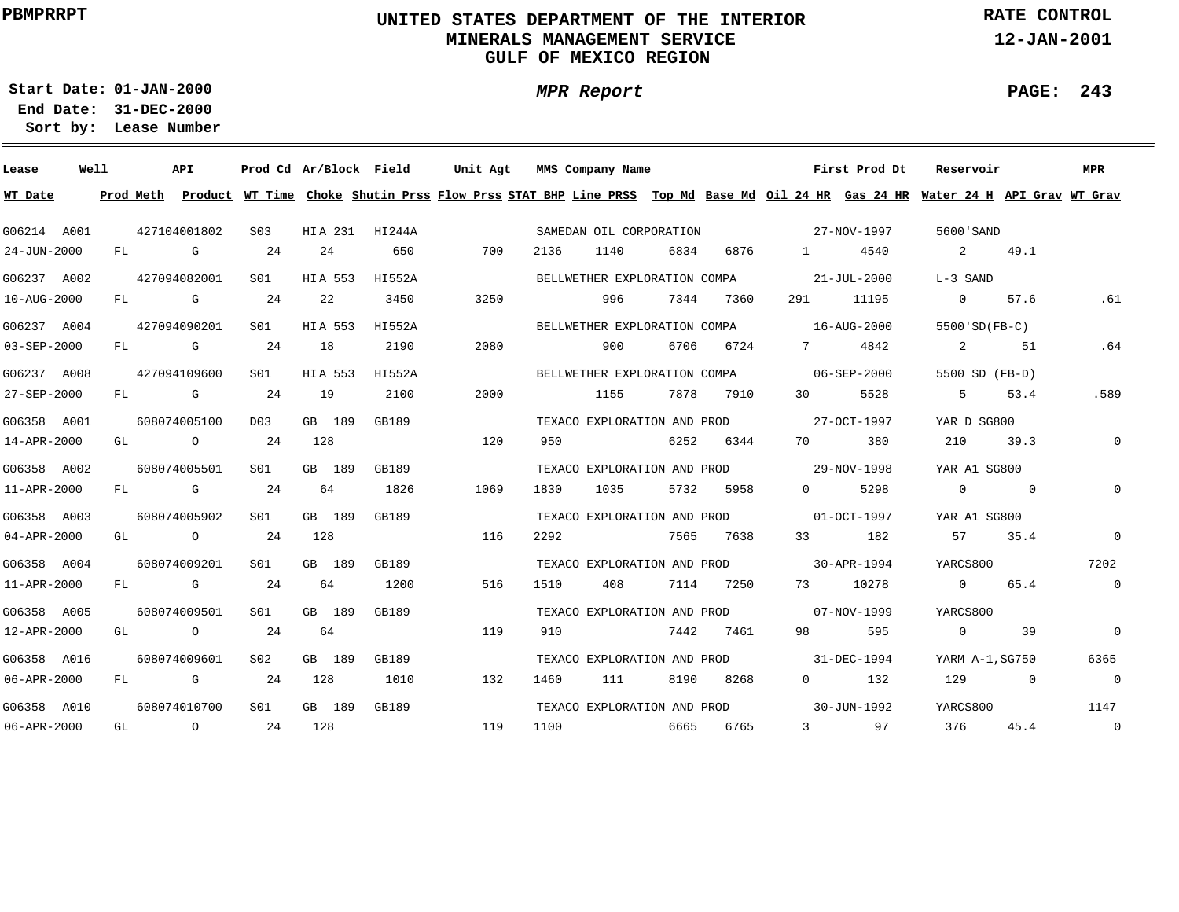# **UNITED STATES DEPARTMENT OF THE INTERIOR MINERALS MANAGEMENT SERVICEGULF OF MEXICO REGION**

**MPR Report**

**RATE CONTROL**

**12-JAN-2001**

**PAGE: 243**

÷

**01-JAN-2000Start Date:**

| Lease             | Well |           |                                                                                                                                                                                                                                 | API          | Prod Cd Ar/Block Field |         |                | Unit Agt |      | MMS Company Name             |      |      |                                | First Prod Dt     | Reservoir                                                                                                                     |                | <b>MPR</b>     |
|-------------------|------|-----------|---------------------------------------------------------------------------------------------------------------------------------------------------------------------------------------------------------------------------------|--------------|------------------------|---------|----------------|----------|------|------------------------------|------|------|--------------------------------|-------------------|-------------------------------------------------------------------------------------------------------------------------------|----------------|----------------|
| WT Date           |      | Prod Meth |                                                                                                                                                                                                                                 |              |                        |         |                |          |      |                              |      |      |                                |                   | Product WT Time Choke Shutin Prss Flow Prss STAT BHP Line PRSS Top Md Base Md Oil 24 HR Gas 24 HR Water 24 H API Grav WT Grav |                |                |
| G06214 A001       |      |           |                                                                                                                                                                                                                                 | 427104001802 | S <sub>03</sub>        |         | HIA 231 HI244A |          |      | SAMEDAN OIL CORPORATION      |      |      |                                | 27-NOV-1997       | 5600 SAND                                                                                                                     |                |                |
| 24-JUN-2000       |      | FL        |                                                                                                                                                                                                                                 | G            | 24                     | 24      | 650            | 700      | 2136 | 1140                         | 6834 | 6876 | $\mathbf{1}$                   | 4540              | 2                                                                                                                             | 49.1           |                |
| G06237 A002       |      |           |                                                                                                                                                                                                                                 | 427094082001 | S01                    | HIA 553 | HI552A         |          |      | BELLWETHER EXPLORATION COMPA |      |      |                                | $21 - JUL - 2000$ | L-3 SAND                                                                                                                      |                |                |
| 10-AUG-2000       |      | FL.       |                                                                                                                                                                                                                                 | G            | 24                     | 22      | 3450           | 3250     |      | 996                          | 7344 | 7360 | 291                            | 11195             | $\Omega$                                                                                                                      | 57.6           | .61            |
| G06237 A004       |      |           | 427094090201                                                                                                                                                                                                                    |              | S01                    | HIA 553 | HI552A         |          |      | BELLWETHER EXPLORATION COMPA |      |      |                                | 16-AUG-2000       | $5500'SD(FB-C)$                                                                                                               |                |                |
| $03 - SEP - 2000$ |      | FL        |                                                                                                                                                                                                                                 | G            | 24                     | 18      | 2190           | 2080     |      | 900                          | 6706 | 6724 | 7                              | 4842              | 2                                                                                                                             | 51             | .64            |
| G06237 A008       |      |           |                                                                                                                                                                                                                                 | 427094109600 | S01                    | HIA 553 | HI552A         |          |      | BELLWETHER EXPLORATION COMPA |      |      |                                | 06-SEP-2000       | 5500 SD (FB-D)                                                                                                                |                |                |
| 27-SEP-2000       |      | FL.       |                                                                                                                                                                                                                                 | G            | -24                    | 19      | 2100           | 2000     |      | 1155                         | 7878 | 7910 | 30                             | 5528              | 5                                                                                                                             | 53.4           | .589           |
| G06358 A001       |      |           |                                                                                                                                                                                                                                 | 608074005100 | D <sub>0</sub> 3       | GB 189  | GB189          |          |      | TEXACO EXPLORATION AND PROD  |      |      |                                | 27-OCT-1997       | YAR D SG800                                                                                                                   |                |                |
| 14-APR-2000       |      | GL        |                                                                                                                                                                                                                                 | $\circ$      | 24                     | 128     |                | 120      | 950  |                              | 6252 | 6344 | 70                             | 380               | 210                                                                                                                           | 39.3           | $\mathbf{0}$   |
| G06358 A002       |      |           |                                                                                                                                                                                                                                 | 608074005501 | S01                    | GB 189  | GB189          |          |      | TEXACO EXPLORATION AND PROD  |      |      |                                | 29-NOV-1998       | YAR A1 SG800                                                                                                                  |                |                |
| 11-APR-2000       |      | FL.       | a de la concerta de la concerta de la concerta de la concerta de la concerta de la concerta de la concerta de<br>La concerta de la concerta de la concerta de la concerta de la concerta de la concerta de la concerta de la co |              | 24                     | 64      | 1826           | 1069     | 1830 | 1035                         | 5732 | 5958 | $\Omega$                       | 5298              | $\overline{0}$                                                                                                                | $\overline{0}$ | $\mathbf{0}$   |
| G06358 A003       |      |           |                                                                                                                                                                                                                                 | 608074005902 | S01                    | GB 189  | GB189          |          |      | TEXACO EXPLORATION AND PROD  |      |      | $01-0CT-1997$                  |                   | YAR A1 SG800                                                                                                                  |                |                |
| $04 - APR - 2000$ |      | GL        | $\overline{a}$                                                                                                                                                                                                                  |              | 24                     | 128     |                | 116      | 2292 |                              | 7565 | 7638 | 33                             | 182               | 57                                                                                                                            | 35.4           | $\mathbf 0$    |
| G06358 A004       |      |           |                                                                                                                                                                                                                                 | 608074009201 | S01                    | GB 189  | GB189          |          |      | TEXACO EXPLORATION AND PROD  |      |      |                                | 30-APR-1994       | YARCS800                                                                                                                      |                | 7202           |
| 11-APR-2000       |      | FL        |                                                                                                                                                                                                                                 | G            | 24                     | 64      | 1200           | 516      | 1510 | 408                          | 7114 | 7250 | 73 — 1                         | 10278             | $\Omega$                                                                                                                      | 65.4           | $\overline{0}$ |
| G06358 A005       |      |           |                                                                                                                                                                                                                                 | 608074009501 | S01                    | GB 189  | GB189          |          |      | TEXACO EXPLORATION AND PROD  |      |      |                                | 07-NOV-1999       | YARCS800                                                                                                                      |                |                |
| 12-APR-2000       |      | GL        |                                                                                                                                                                                                                                 | $\circ$      | 24                     | 64      |                | 119      | 910  |                              | 7442 | 7461 | 98                             | 595               | $\overline{0}$                                                                                                                | 39             | $\mathbf 0$    |
| G06358 A016       |      |           |                                                                                                                                                                                                                                 | 608074009601 | S02                    | GB 189  | GB189          |          |      | TEXACO EXPLORATION AND PROD  |      |      |                                | 31-DEC-1994       | YARM A-1, SG750                                                                                                               |                | 6365           |
| 06-APR-2000       |      | FL        |                                                                                                                                                                                                                                 | G            | 24                     | 128     | 1010           | 132      | 1460 | 111                          | 8190 | 8268 | $\Omega$                       | 132               | 129                                                                                                                           | $\Omega$       | $\overline{0}$ |
| G06358 A010       |      |           |                                                                                                                                                                                                                                 | 608074010700 | SO1                    | GB 189  | GB189          |          |      | TEXACO EXPLORATION AND PROD  |      |      |                                | 30-JUN-1992       | YARCS800                                                                                                                      |                | 1147           |
| 06-APR-2000       |      | GL        |                                                                                                                                                                                                                                 | $\circ$      | 24                     | 128     |                | 119      | 1100 |                              | 6665 | 6765 | $3 \left( \frac{1}{2} \right)$ | 97                | 376                                                                                                                           | 45.4           | $\overline{0}$ |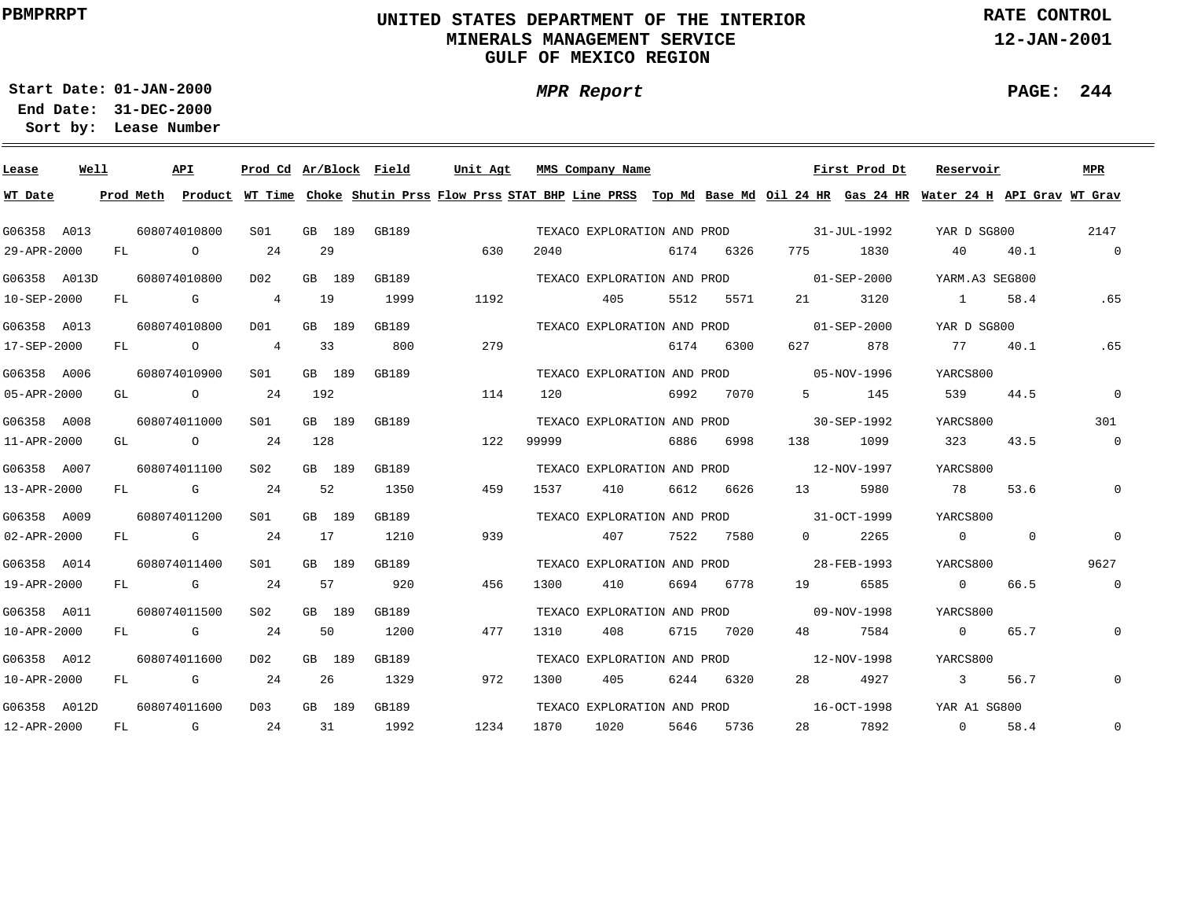# **UNITED STATES DEPARTMENT OF THE INTERIOR MINERALS MANAGEMENT SERVICEGULF OF MEXICO REGION**

**MPR Report**

**RATE CONTROL**

**12-JAN-2001**

**PAGE: 244**

÷

**01-JAN-2000Start Date:31-DEC-2000 End Date:** 

| Lease        | Well |           |              | <b>API</b> | Prod Cd Ar/Block Field |        |        |       | Unit Agt |      |       | MMS Company Name            |      |      |          | First Prod Dt     | Reservoir                                                                                                                     |              | <b>MPR</b>     |
|--------------|------|-----------|--------------|------------|------------------------|--------|--------|-------|----------|------|-------|-----------------------------|------|------|----------|-------------------|-------------------------------------------------------------------------------------------------------------------------------|--------------|----------------|
| WT Date      |      | Prod Meth |              |            |                        |        |        |       |          |      |       |                             |      |      |          |                   | Product WT Time Choke Shutin Prss Flow Prss STAT BHP Line PRSS Top Md Base Md Oil 24 HR Gas 24 HR Water 24 H API Grav WT Grav |              |                |
| G06358 A013  |      |           | 608074010800 |            | S <sub>01</sub>        |        | GB 189 | GB189 |          |      |       | TEXACO EXPLORATION AND PROD |      |      |          | 31-JUL-1992       | YAR D SG800                                                                                                                   |              | 2147           |
| 29-APR-2000  |      | FL        |              | $\circ$    | 24                     | 29     |        |       |          | 630  | 2040  |                             | 6174 | 6326 | 775      | 1830              | 40                                                                                                                            | 40.1         | $\overline{0}$ |
| G06358 A013D |      |           | 608074010800 |            | D <sub>0</sub> 2       | GB 189 |        | GB189 |          |      |       | TEXACO EXPLORATION AND PROD |      |      |          | $01 - SEP - 2000$ | YARM.A3 SEG800                                                                                                                |              |                |
| 10-SEP-2000  |      | FL        |              | G          | $\overline{4}$         | 19     |        | 1999  |          | 1192 |       | 405                         | 5512 | 5571 | 21       | 3120              | $\sim$ 1                                                                                                                      | 58.4         | .65            |
| G06358 A013  |      |           | 608074010800 |            | DO1                    | GB 189 |        | GB189 |          |      |       | TEXACO EXPLORATION AND PROD |      |      |          | $01 - SEP - 2000$ | YAR D SG800                                                                                                                   |              |                |
| 17-SEP-2000  |      | FL        |              | $\circ$    | $\overline{4}$         | 33     |        | 800   |          | 279  |       |                             | 6174 | 6300 | 627      | 878               | 77                                                                                                                            | 40.1         | .65            |
| G06358 A006  |      |           | 608074010900 |            | S01                    | GB 189 |        | GB189 |          |      |       | TEXACO EXPLORATION AND PROD |      |      |          | 05-NOV-1996       | YARCS800                                                                                                                      |              |                |
| 05-APR-2000  |      | GL        |              | $\circ$    | 24                     | 192    |        |       |          | 114  | 120   |                             | 6992 | 7070 | 5        | 145               | 539                                                                                                                           | 44.5         | $\mathbf 0$    |
| G06358 A008  |      |           | 608074011000 |            | S01                    | GB 189 |        | GB189 |          |      |       | TEXACO EXPLORATION AND PROD |      |      |          | 30-SEP-1992       | YARCS800                                                                                                                      |              | 301            |
| 11-APR-2000  |      | GL        |              | $\circ$    | 24                     | 128    |        |       |          | 122  | 99999 |                             | 6886 | 6998 | 138      | 1099              | 323                                                                                                                           | 43.5         | $\mathsf{O}$   |
| G06358 A007  |      |           | 608074011100 |            | S <sub>02</sub>        | GB 189 |        | GB189 |          |      |       | TEXACO EXPLORATION AND PROD |      |      |          | 12-NOV-1997       | YARCS800                                                                                                                      |              |                |
| 13-APR-2000  |      | FL        |              | G          | 24                     | 52     |        | 1350  |          | 459  | 1537  | 410                         | 6612 | 6626 | 13       | 5980              | 78                                                                                                                            | 53.6         | 0              |
| G06358 A009  |      |           | 608074011200 |            | SO1                    | GB 189 |        | GB189 |          |      |       | TEXACO EXPLORATION AND PROD |      |      |          | 31-OCT-1999       | YARCS800                                                                                                                      |              |                |
| 02-APR-2000  |      | FL        |              | G          | 24                     | 17     |        | 1210  |          | 939  |       | 407                         | 7522 | 7580 | $\Omega$ | 2265              | $\overline{0}$                                                                                                                | $\mathbf{0}$ | $\mathbf 0$    |
| G06358 A014  |      |           | 608074011400 |            | S <sub>01</sub>        | GB 189 |        | GB189 |          |      |       | TEXACO EXPLORATION AND PROD |      |      |          | 28-FEB-1993       | YARCS800                                                                                                                      |              | 9627           |
| 19-APR-2000  |      | FL        |              | G          | 24                     | 57     |        | 920   |          | 456  | 1300  | 410                         | 6694 | 6778 | 19       | 6585              | $\overline{0}$                                                                                                                | 66.5         | $\mathsf{O}$   |
| G06358 A011  |      |           | 608074011500 |            | S <sub>02</sub>        | GB 189 |        | GB189 |          |      |       | TEXACO EXPLORATION AND PROD |      |      |          | 09-NOV-1998       | YARCS800                                                                                                                      |              |                |
| 10-APR-2000  |      | FL        |              | G          | 24                     | 50     |        | 1200  |          | 477  | 1310  | 408                         | 6715 | 7020 | 48       | 7584              | $\overline{0}$                                                                                                                | 65.7         | $\mathbf{0}$   |
| G06358 A012  |      |           | 608074011600 |            | D02                    | GB 189 |        | GB189 |          |      |       | TEXACO EXPLORATION AND PROD |      |      |          | 12-NOV-1998       | YARCS800                                                                                                                      |              |                |
| 10-APR-2000  |      | FL        |              | G          | 24                     | 26     |        | 1329  |          | 972  | 1300  | 405                         | 6244 | 6320 | 28       | 4927              | $\overline{3}$                                                                                                                | 56.7         | $\mathbf 0$    |
| G06358 A012D |      |           | 608074011600 |            | D <sub>0</sub> 3       | GB 189 |        | GB189 |          |      |       | TEXACO EXPLORATION AND PROD |      |      |          | 16-OCT-1998       | YAR A1 SG800                                                                                                                  |              |                |
| 12-APR-2000  |      | FL        |              | G          | 24                     | 31     |        | 1992  |          | 1234 | 1870  | 1020                        | 5646 | 5736 | 28       | 7892              | $\Omega$                                                                                                                      | 58.4         | $\mathbf 0$    |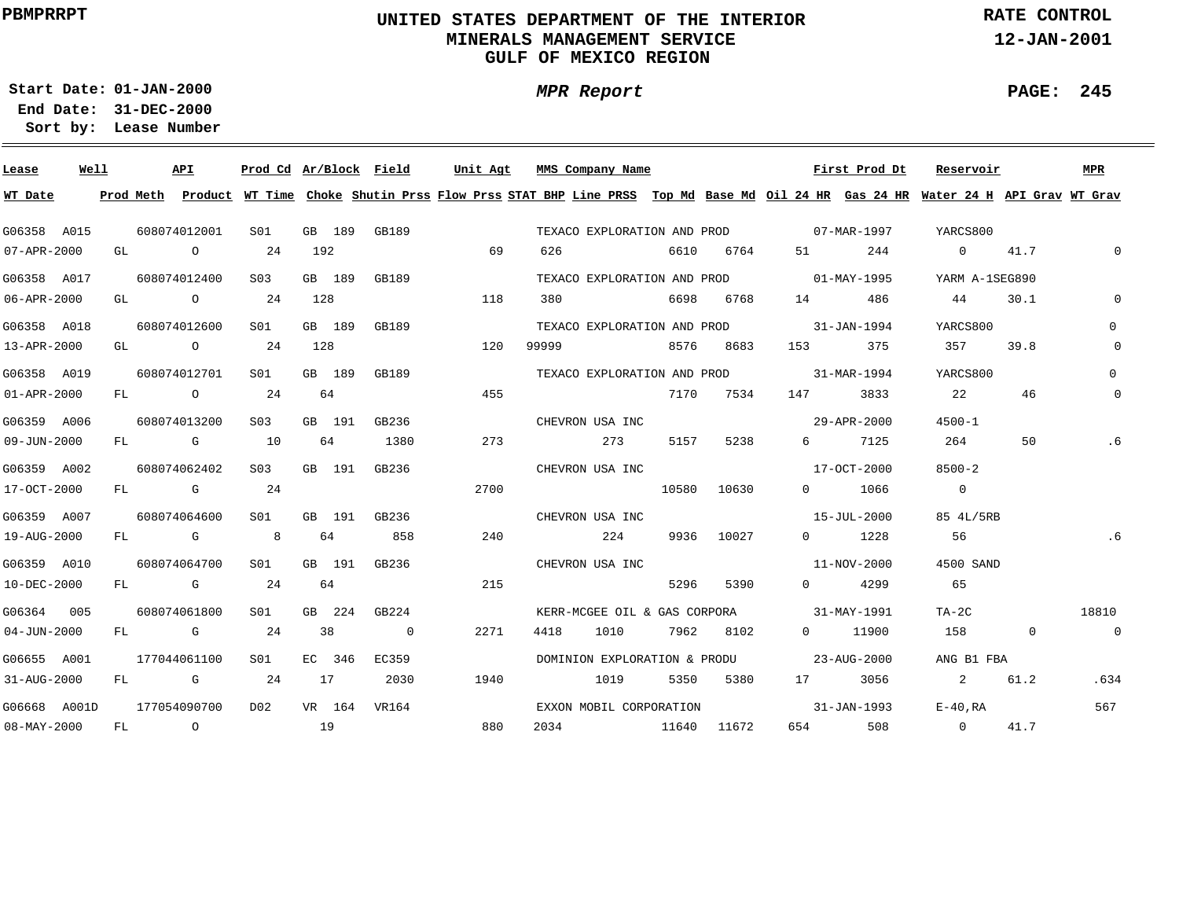# **UNITED STATES DEPARTMENT OF THE INTERIOR MINERALS MANAGEMENT SERVICEGULF OF MEXICO REGION**

**MPR Report**

**RATE CONTROL**

**12-JAN-2001**

**PAGE: 245**

**01-JAN-2000Start Date:31-DEC-2000 End Date:** 

| Lease             | Well | API                                   |                 |        |        | Prod Cd Ar/Block Field | Unit Agt                                                                                                                                | MMS Company Name        |      |      |             |                                          | First Prod Dt | Reservoir               |              | MPR            |
|-------------------|------|---------------------------------------|-----------------|--------|--------|------------------------|-----------------------------------------------------------------------------------------------------------------------------------------|-------------------------|------|------|-------------|------------------------------------------|---------------|-------------------------|--------------|----------------|
| WT Date           |      |                                       |                 |        |        |                        | Prod Meth Product WT Time Choke Shutin Prss Flow Prss STAT BHP Line PRSS Top Md Base Md Oil 24 HR Gas 24 HR Water 24 H API Grav WT Grav |                         |      |      |             |                                          |               |                         |              |                |
| G06358 A015       |      | 608074012001                          | S01             | GB 189 |        | GB189                  |                                                                                                                                         |                         |      |      |             | TEXACO EXPLORATION AND PROD 07-MAR-1997  |               | YARCS800                |              |                |
| 07-APR-2000       |      | GL O                                  | 24              | 192    |        |                        | 69                                                                                                                                      | 626                     |      | 6610 | 6764        | 51 — 1                                   | 244           | $\overline{0}$          | 41.7         | $\mathbf{0}$   |
| G06358 A017       |      | 608074012400                          | S <sub>03</sub> | GB 189 |        | GB189                  |                                                                                                                                         |                         |      |      |             | TEXACO EXPLORATION AND PROD 01-MAY-1995  |               | YARM A-1SEG890          |              |                |
| 06-APR-2000       |      | GL O                                  | 24              | 128    |        |                        | 118                                                                                                                                     | 380                     |      |      | 6698 6768   |                                          | 486           | 44                      | 30.1         |                |
| G06358 A018       |      | 608074012600                          | S01             |        | GB 189 | GB189                  |                                                                                                                                         |                         |      |      |             | TEXACO EXPLORATION AND PROD 31-JAN-1994  |               | YARCS800                |              | $\mathbf 0$    |
| 13-APR-2000       |      | GL $\qquad \qquad 0 \qquad \qquad 24$ |                 | 128    |        |                        | 120                                                                                                                                     | 99999                   |      | 8576 | 8683        | 153 and 153                              | 375           | 357                     | 39.8         | 0              |
| G06358 A019       |      | 608074012701                          | S01 <b>S</b>    | GB 189 |        | GB189                  |                                                                                                                                         |                         |      |      |             | TEXACO EXPLORATION AND PROD 31-MAR-1994  |               | YARCS800                |              | $\Omega$       |
| $01 - APR - 2000$ |      | $FL$ 0                                | 24              | 64     |        |                        | 455                                                                                                                                     |                         |      | 7170 | 7534        | 147 — 147                                | 3833          | 22                      | 46           | 0              |
| G06359 A006       |      | 608074013200                          | S <sub>03</sub> |        | GB 191 | GB236                  |                                                                                                                                         | CHEVRON USA INC         |      |      |             | $29 - APR - 2000$                        |               | $4500 - 1$              |              |                |
| 09-JUN-2000       |      | FL G                                  | 10              |        | 64     | 1380                   | 273                                                                                                                                     |                         | 273  | 5157 | 5238        |                                          | 6 7125        | 264                     | 50           | . 6            |
| G06359 A002       |      | 608074062402                          | S <sub>03</sub> |        | GB 191 | GB236                  |                                                                                                                                         | CHEVRON USA INC         |      |      |             | $17 - OCT - 2000$                        |               | $8500 - 2$              |              |                |
| 17-OCT-2000       |      | FL G                                  | 24              |        |        |                        | 2700                                                                                                                                    |                         |      |      | 10580 10630 |                                          | 0 1066        | $\overline{0}$          |              |                |
| G06359 A007       |      | 608074064600                          | SO1             | GB 191 |        | GB236                  |                                                                                                                                         | CHEVRON USA INC         |      |      |             | $15 - JUL - 2000$                        |               | 85 4L/5RB               |              |                |
| 19-AUG-2000       |      | $FL$ G 8                              |                 | 64     |        | 858                    | 240                                                                                                                                     |                         | 224  |      | 9936 10027  |                                          | $0 \t 1228$   | 56                      |              | .6             |
| G06359 A010       |      | 608074064700                          | SO1 SO          | GB 191 |        | GB236                  |                                                                                                                                         | CHEVRON USA INC         |      |      |             | 11-NOV-2000                              |               | 4500 SAND               |              |                |
| 10-DEC-2000       |      | FL G                                  | 24              | 64     |        |                        | 215                                                                                                                                     |                         |      | 5296 | 5390        |                                          | $0$ 4299      | 65                      |              |                |
| G06364 005        |      | 608074061800                          | S01 <b>S</b>    |        | GB 224 | GB224                  |                                                                                                                                         |                         |      |      |             | KERR-MCGEE OIL & GAS CORPORA 31-MAY-1991 |               | $TA-2C$                 |              | 18810          |
| $04 - JUN - 2000$ |      | FL G                                  | 24              | 38     |        | $\overline{0}$         | 2271                                                                                                                                    | 4418                    | 1010 | 7962 | 8102        |                                          | 0 11900       | 158                     | $\mathbf{0}$ | $\overline{0}$ |
| G06655 A001       |      | 177044061100                          | S01 <b>S</b>    | EC 346 |        | EC359                  |                                                                                                                                         |                         |      |      |             | DOMINION EXPLORATION & PRODU 23-AUG-2000 |               | ANG B1 FBA              |              |                |
| 31-AUG-2000       |      | FL G 24                               |                 | 17     |        | 2030                   | 1940                                                                                                                                    | 1019                    |      | 5350 | 5380        |                                          | 17 3056       | $\overline{\mathbf{a}}$ | 61.2         | .634           |
| G06668 A001D      |      | 177054090700                          | D02             |        |        | VR 164 VR164           |                                                                                                                                         | EXXON MOBIL CORPORATION |      |      |             | $31 - JAN - 1993$                        |               | E-40,RA                 |              | 567            |
| $08 - MAY - 2000$ |      | FL O                                  | 19              |        |        |                        | 880                                                                                                                                     | 2034 11640 11672        |      |      |             | 654                                      | 508           | $\overline{0}$          | 41.7         |                |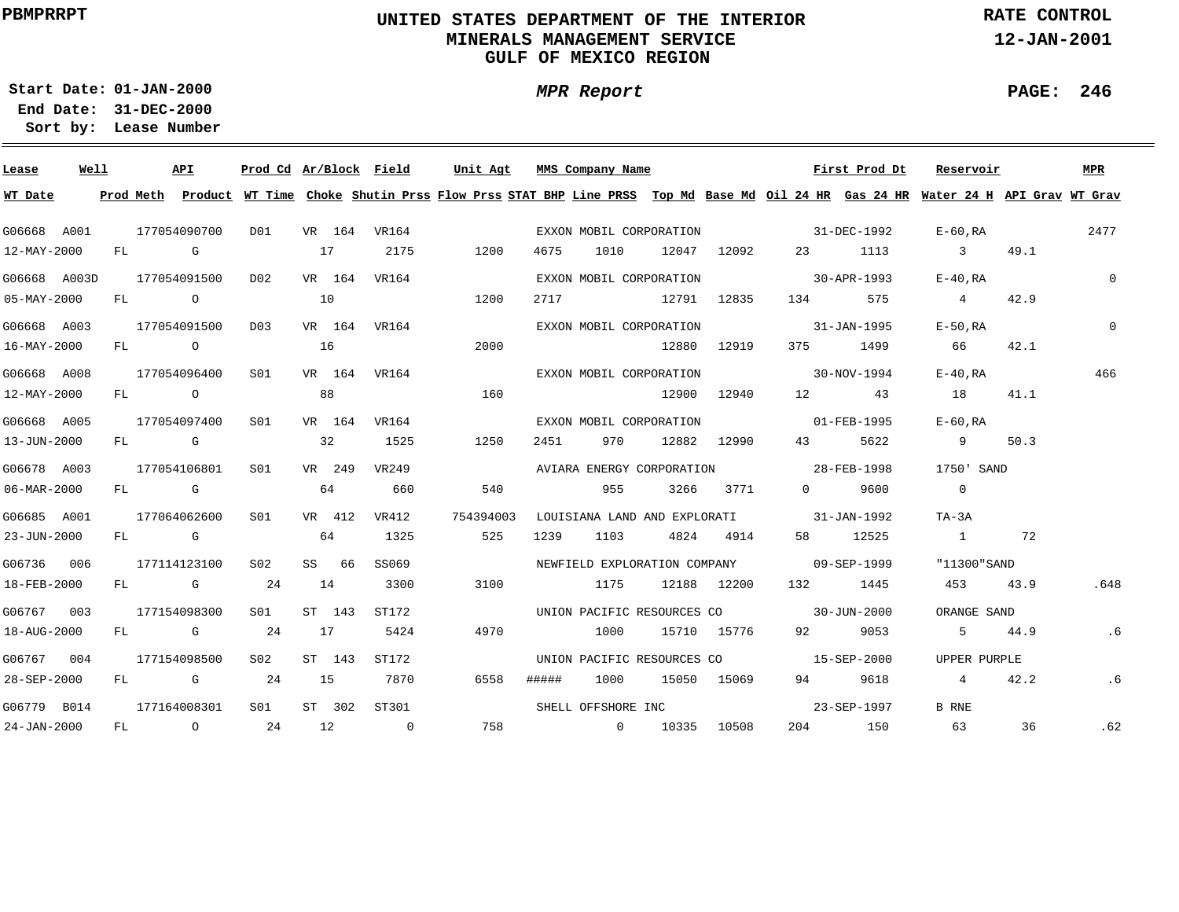# **UNITED STATES DEPARTMENT OF THE INTERIOR MINERALS MANAGEMENT SERVICEGULF OF MEXICO REGION**

**MPR Report**

**RATE CONTROL**

**12-JAN-2001**

**PAGE: 246**

÷

**01-JAN-2000Start Date:31-DEC-2000 End Date:** 

| Lease                    | Well |    |                | API          | Prod Cd Ar/Block Field |    |        |                | Unit Agt                                                                                                                                |       | MMS Company Name           |             |             |                                          | First Prod Dt | Reservoir               |      | <b>MPR</b> |
|--------------------------|------|----|----------------|--------------|------------------------|----|--------|----------------|-----------------------------------------------------------------------------------------------------------------------------------------|-------|----------------------------|-------------|-------------|------------------------------------------|---------------|-------------------------|------|------------|
| WT Date                  |      |    |                |              |                        |    |        |                | Prod Meth Product WT Time Choke Shutin Prss Flow Prss STAT BHP Line PRSS Top Md Base Md Oil 24 HR Gas 24 HR Water 24 H API Grav WT Grav |       |                            |             |             |                                          |               |                         |      |            |
| G06668 A001              |      |    |                | 177054090700 | DO1                    |    |        | VR 164 VR164   |                                                                                                                                         |       | EXXON MOBIL CORPORATION    |             |             | $31 - DEC - 1992$                        |               | E-60,RA                 |      | 2477       |
| 12-MAY-2000              |      |    | FL G           |              |                        | 17 |        | 2175           | 1200                                                                                                                                    | 4675  | 1010                       |             | 12047 12092 |                                          | 23 1113       | $\overline{\mathbf{3}}$ | 49.1 |            |
| G06668 A003D             |      |    |                | 177054091500 | D <sub>0</sub> 2       |    | VR 164 | VR164          |                                                                                                                                         |       | EXXON MOBIL CORPORATION    |             |             | $30 - APR - 1993$                        |               | $E-40$ .RA              |      | $\Omega$   |
| $05 - MAX - 2000$        |      | FL | $\overline{a}$ |              |                        | 10 |        |                | 1200                                                                                                                                    | 2717  |                            | 12791 12835 |             | 134                                      | 575           | $\overline{4}$          | 42.9 |            |
| G06668 A003              |      |    |                | 177054091500 | D03                    |    |        | VR 164 VR164   |                                                                                                                                         |       | EXXON MOBIL CORPORATION    |             |             |                                          | 31-JAN-1995   | $E-50$ , RA             |      | $\Omega$   |
| $16 - \text{MAX} - 2000$ |      | FL | $\overline{O}$ |              |                        | 16 |        |                | 2000                                                                                                                                    |       |                            |             | 12880 12919 | 375 — 1                                  | 1499          | 66                      | 42.1 |            |
| G06668 A008              |      |    |                | 177054096400 | SO1                    |    |        | VR 164 VR164   |                                                                                                                                         |       | EXXON MOBIL CORPORATION    |             |             |                                          | 30-NOV-1994   | E-40.RA                 |      | 466        |
| 12-MAY-2000              |      | FL | $\overline{a}$ |              |                        |    | 88     |                | 160                                                                                                                                     |       |                            |             | 12900 12940 | 12                                       | 43            | 18                      | 41.1 |            |
| G06668 A005              |      |    |                | 177054097400 | S01                    |    | VR 164 | VR164          |                                                                                                                                         |       | EXXON MOBIL CORPORATION    |             |             |                                          | 01-FEB-1995   | $E-60$ .RA              |      |            |
| 13-JUN-2000              |      |    |                | FL G         |                        |    | 32     | 1525           | 1250                                                                                                                                    | 2451  | 970                        |             | 12882 12990 | 43 — 13                                  | 5622          | 9                       | 50.3 |            |
| G06678 A003              |      |    |                | 177054106801 | SO1                    |    | VR 249 | VR249          |                                                                                                                                         |       | AVIARA ENERGY CORPORATION  |             |             | 28-FEB-1998                              |               | 1750' SAND              |      |            |
| 06-MAR-2000              |      |    |                | FL G         |                        | 64 |        | 660            | 540                                                                                                                                     |       | 955                        |             | 3266 3771   | $\Omega$                                 | 9600          | $\overline{0}$          |      |            |
| G06685 A001              |      |    |                | 177064062600 | S01                    |    | VR 412 | VR412          | 754394003                                                                                                                               |       |                            |             |             | LOUISIANA LAND AND EXPLORATI 31-JAN-1992 |               | TA-3A                   |      |            |
| 23-JUN-2000              |      |    | FL G           |              |                        |    | 64     | 1325           | 525                                                                                                                                     | 1239  | 1103                       |             | 4824 4914   |                                          | 58 12525      | $\sim$ 1                | 72   |            |
| G06736 006               |      |    |                | 177114123100 | S02                    |    | SS 66  | SS069          |                                                                                                                                         |       |                            |             |             | NEWFIELD EXPLORATION COMPANY 09-SEP-1999 |               | "11300"SAND             |      |            |
| 18-FEB-2000              |      |    |                | FL G         | 24                     | 14 |        | 3300           | 3100                                                                                                                                    |       | 1175                       |             | 12188 12200 | 132                                      | 1445          | 453                     | 43.9 | .648       |
| G06767 003               |      |    |                | 177154098300 | SO1                    |    | ST 143 | ST172          |                                                                                                                                         |       |                            |             |             | UNION PACIFIC RESOURCES CO 30-JUN-2000   |               | ORANGE SAND             |      |            |
| 18-AUG-2000              |      | FL |                | <b>G</b>     | 24                     |    | 17     | 5424           | 4970                                                                                                                                    |       | 1000                       |             | 15710 15776 | 92 — 10                                  | 9053          | 5                       | 44.9 | .6         |
| G06767 004               |      |    |                | 177154098500 | S <sub>02</sub>        |    | ST 143 | ST172          |                                                                                                                                         |       | UNION PACIFIC RESOURCES CO |             |             |                                          | 15-SEP-2000   | UPPER PURPLE            |      |            |
| 28-SEP-2000              |      | FL |                | <b>G</b>     | 24                     | 15 |        | 7870           | 6558                                                                                                                                    | ##### | 1000                       |             | 15050 15069 | 94 — 1                                   | 9618          | $\overline{4}$          | 42.2 | .6         |
| G06779 B014              |      |    |                | 177164008301 | S01                    |    | ST 302 | ST301          |                                                                                                                                         |       | SHELL OFFSHORE INC         |             |             |                                          | 23-SEP-1997   | B RNE                   |      |            |
| $24 - JAN - 2000$        |      |    |                | FL O         | 24                     | 12 |        | $\overline{0}$ |                                                                                                                                         |       | 758 0 10335 10508          |             |             |                                          | 204 150       | 63                      | 36   | .62        |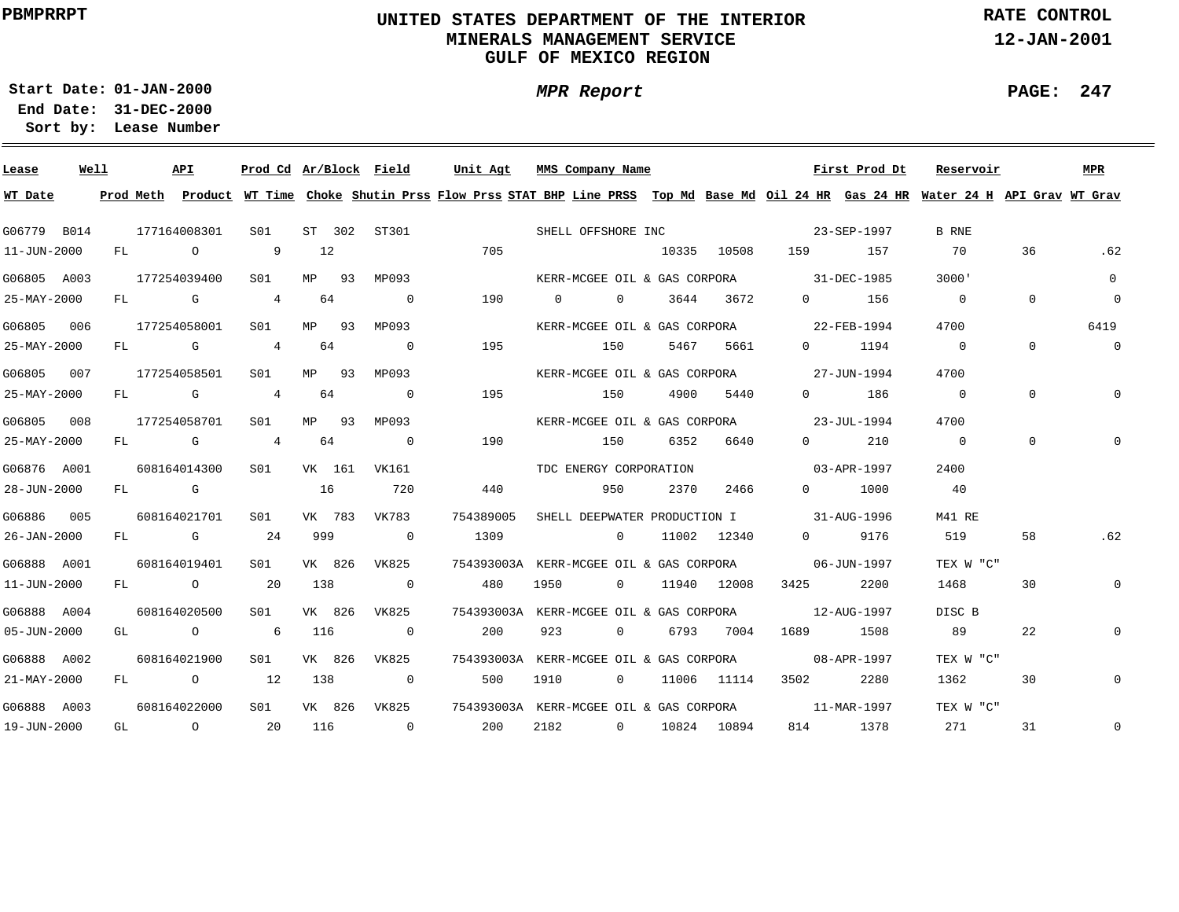# **UNITED STATES DEPARTMENT OF THE INTERIOR MINERALS MANAGEMENT SERVICEGULF OF MEXICO REGION**

**MPR Report**

**RATE CONTROL**

**12-JAN-2001**

**PAGE: 247**

÷

**01-JAN-2000Start Date:31-DEC-2000 End Date:** 

| Lease             | Well |  | API           | Prod Cd Ar/Block Field |       |                          | Unit Agt                                                                                                                                |      | MMS Company Name       |                   |      |                    |                                          | First Prod Dt | Reservoir                |                | <b>MPR</b>     |
|-------------------|------|--|---------------|------------------------|-------|--------------------------|-----------------------------------------------------------------------------------------------------------------------------------------|------|------------------------|-------------------|------|--------------------|------------------------------------------|---------------|--------------------------|----------------|----------------|
| WT Date           |      |  |               |                        |       |                          | Prod Meth Product WT Time Choke Shutin Prss Flow Prss STAT BHP Line PRSS Top Md Base Md Oil 24 HR Gas 24 HR Water 24 H API Grav WT Grav |      |                        |                   |      |                    |                                          |               |                          |                |                |
| G06779 B014       |      |  | 177164008301  | S01                    |       |                          | ST 302 ST301 SHELL OFFSHORE INC 23-SEP-1997                                                                                             |      |                        |                   |      |                    |                                          |               | B RNE                    |                |                |
| 11-JUN-2000       |      |  | FL O          | 9 12                   |       |                          | 705                                                                                                                                     |      |                        |                   |      | 10335 10508        | 159 157                                  |               | 70                       | 36             | .62            |
| G06805 A003       |      |  | 177254039400  | SO1 MP 93              |       | MP093                    |                                                                                                                                         |      |                        |                   |      |                    | KERR-MCGEE OIL & GAS CORPORA 31-DEC-1985 |               | 3000'                    |                | $\Omega$       |
| 25-MAY-2000       |      |  | FL G 4 64     |                        |       | $\overline{\phantom{0}}$ | 190                                                                                                                                     |      |                        |                   |      | 0 0 3644 3672      |                                          | $0$ 156       | $\overline{0}$           | $\overline{0}$ | $\mathbf 0$    |
| G06805 006        |      |  | 177254058001  | S01 <b>S</b>           | MP 93 | MP093                    |                                                                                                                                         |      |                        |                   |      |                    | KERR-MCGEE OIL & GAS CORPORA 22-FEB-1994 |               | 4700                     |                | 6419           |
| 25-MAY-2000       |      |  | FL G 4 64     |                        |       | $\overline{\phantom{0}}$ | 195                                                                                                                                     |      | 150                    |                   | 5467 | 5661               |                                          | 0 1194        | $\overline{0}$           | $\Omega$       | $\overline{0}$ |
| G06805 007        |      |  | 177254058501  | S01 <b>S</b>           |       | MP 93 MP093              |                                                                                                                                         |      |                        |                   |      |                    | KERR-MCGEE OIL & GAS CORPORA 27-JUN-1994 |               | 4700                     |                |                |
| 25-MAY-2000       |      |  | FL G 4 64     |                        |       | $\sim$ 0                 | 195                                                                                                                                     |      | 150                    |                   | 4900 | 5440               |                                          | 0 186         | $\overline{\phantom{0}}$ | $\Omega$       |                |
| G06805 008        |      |  | 177254058701  | S01                    |       | MP 93 MP093              |                                                                                                                                         |      |                        |                   |      |                    | KERR-MCGEE OIL & GAS CORPORA 23-JUL-1994 |               | 4700                     |                |                |
| 25-MAY-2000       |      |  | FL G 4 64     |                        |       | $\sim$ 0                 | 190                                                                                                                                     |      | 150                    |                   | 6352 | 6640               | $\Omega$ and $\Omega$                    | 210           | $\overline{0}$           | $\Omega$       |                |
| G06876 A001       |      |  | 608164014300  |                        |       | S01 VK 161 VK161         |                                                                                                                                         |      | TDC ENERGY CORPORATION |                   |      |                    | $03 - APR - 1997$                        |               | 2400                     |                |                |
| 28-JUN-2000       |      |  | FL G 16 720   |                        |       |                          | 440                                                                                                                                     |      | 950                    |                   | 2370 | 2466               |                                          | 0 1000        | 40                       |                |                |
| G06886 005        |      |  | 608164021701  | S01 - <b>S</b>         |       | VK 783 VK783             | 754389005                                                                                                                               |      |                        |                   |      |                    | SHELL DEEPWATER PRODUCTION I 31-AUG-1996 |               | M41 RE                   |                |                |
| 26-JAN-2000       |      |  | FL G 24 999 0 |                        |       |                          | 1309                                                                                                                                    |      |                        |                   |      |                    | 0 11002 12340 0 9176                     |               | 519                      | 58             | .62            |
| G06888 A001       |      |  | 608164019401  | S01 <b>S</b>           |       | VK 826 VK825             | 754393003A KERR-MCGEE OIL & GAS CORPORA 06-JUN-1997                                                                                     |      |                        |                   |      |                    |                                          |               | TEX W "C"                |                |                |
| 11-JUN-2000       |      |  | FL 0 20 138   |                        |       | $\sim$ 0                 | 480                                                                                                                                     | 1950 |                        |                   |      | 0 11940 12008      | 3425                                     | 2200          | 1468                     | 30             | $\mathbf 0$    |
| G06888 A004       |      |  | 608164020500  | S01 <b>S</b>           |       | VK 826 VK825             | 754393003A KERR-MCGEE OIL & GAS CORPORA 12-AUG-1997                                                                                     |      |                        |                   |      |                    |                                          |               | DISC B                   |                |                |
| $05 - JUN - 2000$ |      |  | GL O          | 6 116                  |       | $\overline{0}$           | 200                                                                                                                                     | 923  |                        | $\overline{0}$    |      | 6793 7004          |                                          | 1689 1508     | 89                       | 22             | 0              |
| G06888 A002       |      |  | 608164021900  | S01 <b>S</b>           |       | VK 826 VK825             | 754393003A KERR-MCGEE OIL & GAS CORPORA 08-APR-1997                                                                                     |      |                        |                   |      |                    |                                          |               | TEX W "C"                |                |                |
| 21-MAY-2000       |      |  | FL 0 12       |                        | 138   | $\sim$ 0                 | 500                                                                                                                                     | 1910 |                        | $0 \qquad \qquad$ |      | 11006 11114        | 3502 200                                 | 2280          | 1362                     | 30             | $\mathbf 0$    |
| G06888 A003       |      |  | 608164022000  | S01                    |       |                          | VK 826 VK825 754393003A KERR-MCGEE OIL & GAS CORPORA 11-MAR-1997                                                                        |      |                        |                   |      |                    |                                          |               | TEX W "C"                |                |                |
| 19-JUN-2000       |      |  | GL 0 20       |                        |       | 116 0                    | 200                                                                                                                                     |      |                        |                   |      | 2182 0 10824 10894 |                                          | 814 1378      | 271                      | 31             | $\mathbf 0$    |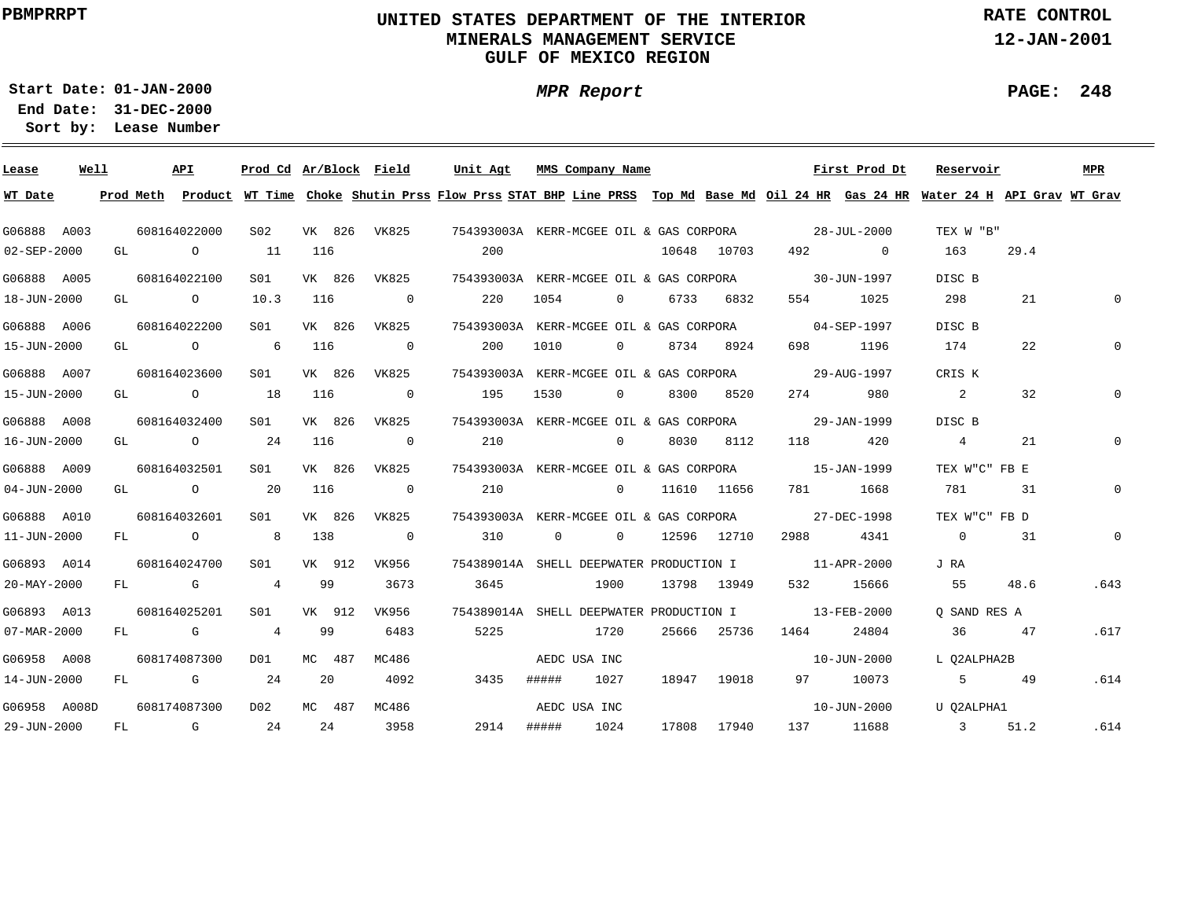# **UNITED STATES DEPARTMENT OF THE INTERIOR MINERALS MANAGEMENT SERVICEGULF OF MEXICO REGION**

**MPR Report**

**RATE CONTROL**

**12-JAN-2001**

**PAGE: 248**

÷

**01-JAN-2000Start Date:**

| Lease        | Well |    | API          | Prod Cd Ar/Block Field |     |        |                          | Unit Agt                                                                                                                                |                | MMS Company Name  |       |               |           | First Prod Dt     | Reservoir                  |      | <b>MPR</b>   |
|--------------|------|----|--------------|------------------------|-----|--------|--------------------------|-----------------------------------------------------------------------------------------------------------------------------------------|----------------|-------------------|-------|---------------|-----------|-------------------|----------------------------|------|--------------|
| WT Date      |      |    |              |                        |     |        |                          | Prod Meth Product WT Time Choke Shutin Prss Flow Prss STAT BHP Line PRSS Top Md Base Md Oil 24 HR Gas 24 HR Water 24 H API Grav WT Grav |                |                   |       |               |           |                   |                            |      |              |
| G06888 A003  |      |    | 608164022000 | S02                    |     |        | VK 826 VK825             | 754393003A KERR-MCGEE OIL & GAS CORPORA 28-JUL-2000                                                                                     |                |                   |       |               |           |                   | TEX W "B"                  |      |              |
| 02-SEP-2000  |      |    | GL O         | 11                     | 116 |        |                          | 200                                                                                                                                     |                |                   |       | 10648 10703   |           | 492 0             | 163                        | 29.4 |              |
| G06888 A005  |      |    | 608164022100 | S01                    |     | VK 826 | VK825                    | 754393003A KERR-MCGEE OIL & GAS CORPORA                                                                                                 |                |                   |       |               |           | 30-JUN-1997       | DISC B                     |      |              |
| 18-JUN-2000  |      |    | GL O         | 10.3                   | 116 |        | $\sim$ 0                 | 220                                                                                                                                     | 1054           | $\overline{0}$    |       | 6733 6832     |           | 1025              | 298                        | 21   |              |
| G06888 A006  |      |    | 608164022200 | SO1                    |     | VK 826 | VK825                    | 754393003A KERR-MCGEE OIL & GAS CORPORA                                                                                                 |                |                   |       |               |           | $04 - SEP - 1997$ | DISC B                     |      |              |
| 15-JUN-2000  |      |    | GL O         | $6\overline{6}$        | 116 |        | $\overline{\phantom{0}}$ | 200                                                                                                                                     | 1010           | $0 \qquad \qquad$ |       | 8734 8924     | 698       | 1196              | 174                        | 22   |              |
| G06888 A007  |      |    | 608164023600 | SO1                    |     | VK 826 | VK825                    | 754393003A KERR-MCGEE OIL & GAS CORPORA                                                                                                 |                |                   |       |               |           | 29-AUG-1997       | CRIS K                     |      |              |
| 15-JUN-2000  |      |    | GL O         | 18                     | 116 |        | $\overline{0}$           | 195                                                                                                                                     | 1530           | $\overline{0}$    |       | 8300<br>8520  | 274       | 980               | $\overline{\phantom{a}}$ 2 | 32   |              |
| G06888 A008  |      |    | 608164032400 | S01                    |     | VK 826 | VK825                    | 754393003A KERR-MCGEE OIL & GAS CORPORA                                                                                                 |                |                   |       |               |           | 29-JAN-1999       | DISC B                     |      |              |
| 16-JUN-2000  |      |    | GL O         | 24                     | 116 |        | $\overline{0}$           | 210                                                                                                                                     |                | $\overline{0}$    |       | 8030 8112     | 118 — 118 | 420               | $\overline{4}$             | 21   |              |
| G06888 A009  |      |    | 608164032501 | SO1 SO                 |     | VK 826 | VK825                    | 754393003A KERR-MCGEE OIL & GAS CORPORA 15-JAN-1999                                                                                     |                |                   |       |               |           |                   | TEX W"C" FB E              |      |              |
| 04-JUN-2000  |      |    | GL O         | 20                     | 116 |        | $\overline{0}$           | 210                                                                                                                                     |                |                   |       | 0 11610 11656 |           | 781 1668          | 781                        | 31   | $\mathbf{0}$ |
| G06888 A010  |      |    | 608164032601 | SO1                    |     | VK 826 | VK825                    | 754393003A KERR-MCGEE OIL & GAS CORPORA 27-DEC-1998                                                                                     |                |                   |       |               |           |                   | TEX W"C" FB D              |      |              |
| 11-JUN-2000  |      |    | FL O         | 8 <sup>1</sup>         | 138 |        | $\sim$ 0                 | 310                                                                                                                                     | $\overline{0}$ | $\Omega$          |       | 12596 12710   | 2988 — 10 | 4341              | $\overline{0}$             | 31   | $\mathbf{0}$ |
| G06893 A014  |      |    | 608164024700 | S01 <b>S</b>           |     | VK 912 | VK956                    | 754389014A SHELL DEEPWATER PRODUCTION I 11-APR-2000                                                                                     |                |                   |       |               |           |                   | J RA                       |      |              |
| 20-MAY-2000  |      |    | FL G         | 4 99                   |     |        | 3673                     | 3645                                                                                                                                    |                | 1900              |       | 13798 13949   | 532 6     | 15666             | 55                         | 48.6 | .643         |
| G06893 A013  |      |    | 608164025201 | S01                    |     | VK 912 | VK956                    | 754389014A SHELL DEEPWATER PRODUCTION I                                                                                                 |                |                   |       |               |           | 13-FEB-2000       | O SAND RES A               |      |              |
| 07-MAR-2000  |      |    | FL G         | $\overline{4}$         | 99  |        | 6483                     | 5225                                                                                                                                    |                | 1720              | 25666 | 25736         | 1464      | 24804             | 36                         | 47   | .617         |
| G06958 A008  |      |    | 608174087300 | DO 1                   |     | MC 487 | MC486                    |                                                                                                                                         |                | AEDC USA INC      |       |               |           | 10-JUN-2000       | L O2ALPHA2B                |      |              |
| 14-JUN-2000  |      |    | FL G         | 24                     | 20  |        | 4092                     | 3435                                                                                                                                    | #####          | 1027              |       | 18947 19018   |           | 97 10073          | $5 - 5$                    | 49   | .614         |
| G06958 A008D |      |    | 608174087300 | D02                    |     | MC 487 | MC486                    |                                                                                                                                         |                | AEDC USA INC      |       |               |           | 10-JUN-2000       | U O2ALPHA1                 |      |              |
| 29-JUN-2000  |      | FL | $\mathbb G$  | 24                     | 24  |        | 3958                     | 2914                                                                                                                                    |                | ##### 1024        | 17808 | 17940         |           | 137 11688         | 3 51.2                     |      | .614         |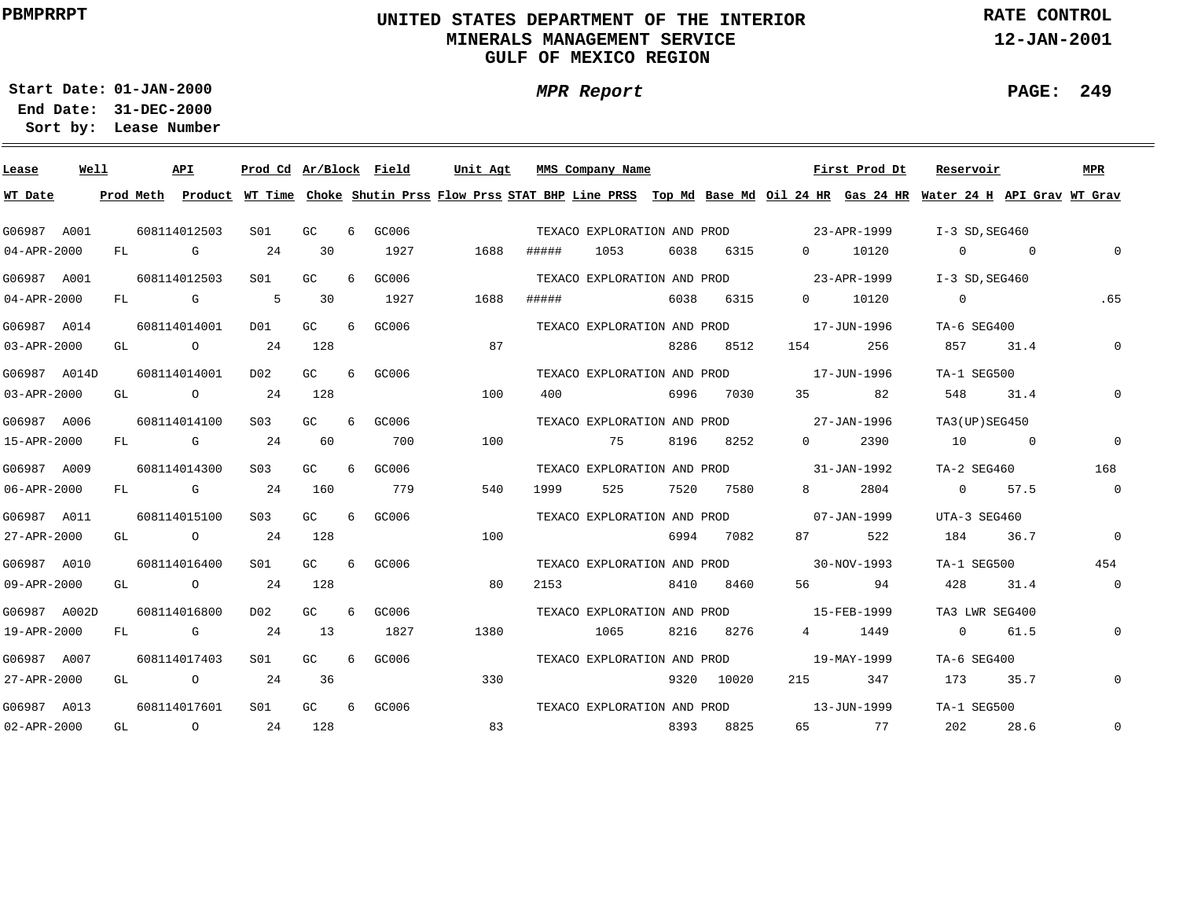# **UNITED STATES DEPARTMENT OF THE INTERIOR MINERALS MANAGEMENT SERVICEGULF OF MEXICO REGION**

**MPR Report**

**RATE CONTROL**

**12-JAN-2001**

**PAGE: 249**

÷

**01-JAN-2000Start Date:**

| Lease             | Well |    | API                                                                                                                                                                                                                            | Prod Cd Ar/Block Field |     |   |       | Unit Agt |      |       | MMS Company Name            |      |            |                                         | First Prod Dt                                                                                                                           | Reservoir        |          | MPR            |
|-------------------|------|----|--------------------------------------------------------------------------------------------------------------------------------------------------------------------------------------------------------------------------------|------------------------|-----|---|-------|----------|------|-------|-----------------------------|------|------------|-----------------------------------------|-----------------------------------------------------------------------------------------------------------------------------------------|------------------|----------|----------------|
| WT Date           |      |    |                                                                                                                                                                                                                                |                        |     |   |       |          |      |       |                             |      |            |                                         | Prod Meth Product WT Time Choke Shutin Prss Flow Prss STAT BHP Line PRSS Top Md Base Md Oil 24 HR Gas 24 HR Water 24 H API Grav WT Grav |                  |          |                |
| G06987 A001       |      |    | 608114012503                                                                                                                                                                                                                   | SO1                    | GC  | 6 | GC006 |          |      |       | TEXACO EXPLORATION AND PROD |      |            | 23-APR-1999                             |                                                                                                                                         | I-3 SD, SEG460   |          |                |
| $04 - APR - 2000$ |      | FL | G                                                                                                                                                                                                                              | 24                     | 30  |   | 1927  |          | 1688 | ##### | 1053                        | 6038 | 6315       | $\Omega$                                | 10120                                                                                                                                   | $\Omega$         | $\sim$ 0 | $\Omega$       |
| G06987 A001       |      |    | 608114012503                                                                                                                                                                                                                   | SO1                    | GC  | 6 | GC006 |          |      |       | TEXACO EXPLORATION AND PROD |      |            | 23-APR-1999                             |                                                                                                                                         | $I-3$ SD, SEG460 |          |                |
| $04 - APR - 2000$ |      | FL | and the control of the control of the control of the control of the control of the control of the control of the control of the control of the control of the control of the control of the control of the control of the cont | $5^{\circ}$            | 30  |   | 1927  |          | 1688 | ##### |                             | 6038 | 6315       | $0 \qquad \qquad$                       | 10120                                                                                                                                   | $\overline{0}$   |          | .65            |
| G06987 A014       |      |    | 608114014001                                                                                                                                                                                                                   | DO1                    | GC. | 6 | GC006 |          |      |       | TEXACO EXPLORATION AND PROD |      |            |                                         | 17-JUN-1996                                                                                                                             | TA-6 SEG400      |          |                |
| 03-APR-2000       |      | GL | $\circ$                                                                                                                                                                                                                        | -24                    | 128 |   |       |          | 87   |       |                             | 8286 | 8512       | 154                                     | 256                                                                                                                                     | 857              | 31.4     | $\Omega$       |
| G06987 A014D      |      |    | 608114014001                                                                                                                                                                                                                   | D02                    | GC. | 6 | GC006 |          |      |       | TEXACO EXPLORATION AND PROD |      |            |                                         | 17-JUN-1996                                                                                                                             | TA-1 SEG500      |          |                |
| 03-APR-2000       |      | GL | $\circ$                                                                                                                                                                                                                        | 24                     | 128 |   |       |          | 100  | 400   |                             | 6996 | 7030       | 35                                      | 82                                                                                                                                      | 548              | 31.4     |                |
| G06987 A006       |      |    | 608114014100                                                                                                                                                                                                                   | S <sub>03</sub>        | GC  | 6 | GC006 |          |      |       | TEXACO EXPLORATION AND PROD |      |            |                                         | 27-JAN-1996                                                                                                                             | TA3(UP)SEG450    |          |                |
| 15-APR-2000       |      | FL | and the Company of the Company of the Company of the Company of the Company of the Company of the Company of the Company of the Company of the Company of the Company of the Company of the Company of the Company of the Comp | 24                     | 60  |   | 700   |          | 100  |       | 75                          | 8196 | 8252       | $\Omega$                                | 2390                                                                                                                                    | 10               | $\sim$ 0 | $\mathbf{0}$   |
| G06987 A009       |      |    | 608114014300                                                                                                                                                                                                                   | S <sub>03</sub>        | GC. | 6 | GC006 |          |      |       | TEXACO EXPLORATION AND PROD |      |            |                                         | 31-JAN-1992                                                                                                                             | TA-2 SEG460      |          | 168            |
| 06-APR-2000       |      | FL | and the control of the control of the control of the control of the control of the control of the control of the control of the control of the control of the control of the control of the control of the control of the cont | 24                     | 160 |   | 779   |          | 540  | 1999  | 525                         | 7520 | 7580       | 8 - 10                                  | 2804                                                                                                                                    | $\overline{0}$   | 57.5     | $\overline{0}$ |
| G06987 A011       |      |    | 608114015100                                                                                                                                                                                                                   | S <sub>03</sub>        | GC. | 6 | GC006 |          |      |       | TEXACO EXPLORATION AND PROD |      |            |                                         | 07-JAN-1999                                                                                                                             | UTA-3 SEG460     |          |                |
| 27-APR-2000       |      | GL | $\overline{O}$                                                                                                                                                                                                                 | 24                     | 128 |   |       |          | 100  |       |                             | 6994 | 7082       | 87 — 18                                 | 522                                                                                                                                     | 184              | 36.7     | $\mathbf 0$    |
| G06987 A010       |      |    | 608114016400                                                                                                                                                                                                                   | SO1                    | GC  | 6 | GC006 |          |      |       | TEXACO EXPLORATION AND PROD |      |            | $30 - NOV - 1993$                       |                                                                                                                                         | TA-1 SEG500      |          | 454            |
| $09 - APR - 2000$ |      | GL | $\overline{O}$                                                                                                                                                                                                                 | 24                     | 128 |   |       |          | 80   | 2153  |                             | 8410 | 8460       | 56                                      | 94                                                                                                                                      | 428              | 31.4     | $\overline{0}$ |
| G06987 A002D      |      |    | 608114016800                                                                                                                                                                                                                   | D02                    | GC  | 6 | GC006 |          |      |       | TEXACO EXPLORATION AND PROD |      |            | 15-FEB-1999                             |                                                                                                                                         | TA3 LWR SEG400   |          |                |
| 19-APR-2000       |      | FL | and the Contract of the Contract of the Contract of the Contract of the Contract of the Contract of the Contract of the Contract of the Contract of the Contract of the Contract of the Contract of the Contract of the Contra | 24                     | 13  |   | 1827  |          | 1380 |       | 1065                        | 8216 | 8276       |                                         | 4 1449                                                                                                                                  | 0 61.5           |          | $\overline{0}$ |
| G06987 A007       |      |    | 608114017403                                                                                                                                                                                                                   | S01                    | GC  | 6 | GC006 |          |      |       |                             |      |            | TEXACO EXPLORATION AND PROD 19-MAY-1999 |                                                                                                                                         | TA-6 SEG400      |          |                |
| 27-APR-2000       |      | GL | $\overline{O}$                                                                                                                                                                                                                 | 24                     | 36  |   |       |          | 330  |       |                             |      | 9320 10020 | 215                                     | 347                                                                                                                                     | 173              | 35.7     | $\mathbf 0$    |
| G06987 A013       |      |    | 608114017601                                                                                                                                                                                                                   | S01                    | GC. | 6 | GC006 |          |      |       | TEXACO EXPLORATION AND PROD |      |            | $13 - JUN - 1999$                       |                                                                                                                                         | TA-1 SEG500      |          |                |
| $02 - APR - 2000$ |      | GL | $\overline{O}$                                                                                                                                                                                                                 | 24                     | 128 |   |       |          | 83   |       |                             | 8393 | 8825       |                                         | 65 77                                                                                                                                   | 202              | 28.6     | $\overline{0}$ |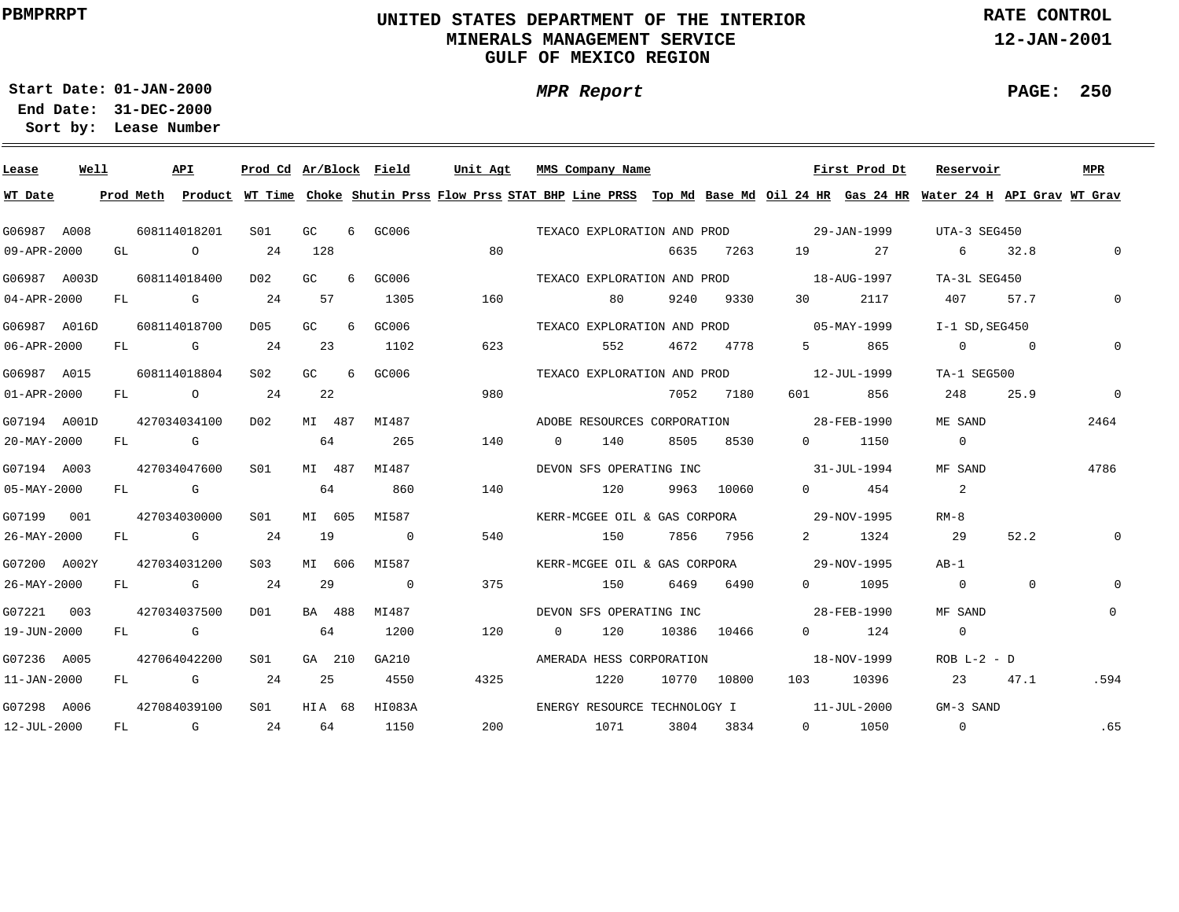# **UNITED STATES DEPARTMENT OF THE INTERIOR MINERALS MANAGEMENT SERVICEGULF OF MEXICO REGION**

**MPR Report**

**RATE CONTROL**

**12-JAN-2001**

**PAGE: 250**

÷

**01-JAN-2000Start Date:**

| Lease             | Well |    |              | API                                                                                                                                                                                                                            | Prod Cd Ar/Block Field |        |   |                | Unit Agt                                                                                                                                |              | MMS Company Name             |      |             |                                          | First Prod Dt | Reservoir        |                          | <b>MPR</b>   |
|-------------------|------|----|--------------|--------------------------------------------------------------------------------------------------------------------------------------------------------------------------------------------------------------------------------|------------------------|--------|---|----------------|-----------------------------------------------------------------------------------------------------------------------------------------|--------------|------------------------------|------|-------------|------------------------------------------|---------------|------------------|--------------------------|--------------|
| WT Date           |      |    |              |                                                                                                                                                                                                                                |                        |        |   |                | Prod Meth Product WT Time Choke Shutin Prss Flow Prss STAT BHP Line PRSS Top Md Base Md Oil 24 HR Gas 24 HR Water 24 H API Grav WT Grav |              |                              |      |             |                                          |               |                  |                          |              |
| G06987 A008       |      |    | 608114018201 |                                                                                                                                                                                                                                | S01                    | GC     | 6 | GC006          |                                                                                                                                         |              |                              |      |             | TEXACO EXPLORATION AND PROD 29-JAN-1999  |               | UTA-3 SEG450     |                          |              |
| 09-APR-2000       |      | GL |              | $\circ$                                                                                                                                                                                                                        | 24                     | 128    |   |                | 80                                                                                                                                      |              |                              | 6635 | 7263        | 19                                       | 27            | 6                | 32.8                     | $\Omega$     |
| G06987 A003D      |      |    | 608114018400 |                                                                                                                                                                                                                                | D <sub>02</sub>        | GC     | 6 | GC006          |                                                                                                                                         |              | TEXACO EXPLORATION AND PROD  |      |             |                                          | 18-AUG-1997   | TA-3L SEG450     |                          |              |
| $04 - APR - 2000$ |      | FL |              | <b>G</b>                                                                                                                                                                                                                       | 24                     | 57     |   | 1305           | 160                                                                                                                                     |              | 80                           | 9240 | 9330        | 30                                       | 2117          | 407              | 57.7                     |              |
| G06987 A016D      |      |    | 608114018700 |                                                                                                                                                                                                                                | D05                    | GC     | 6 | GC006          |                                                                                                                                         |              | TEXACO EXPLORATION AND PROD  |      |             |                                          | 05-MAY-1999   | $I-1$ SD, SEG450 |                          |              |
| 06-APR-2000       |      | FL |              | and the control of the control of the control of the control of the control of the control of the control of the control of the control of the control of the control of the control of the control of the control of the cont | 24                     | -23    |   | 1102           | 623                                                                                                                                     |              | 552                          | 4672 | 4778        | $5^{\circ}$                              | 865           | $\overline{0}$   | $\overline{\phantom{0}}$ | 0            |
| G06987 A015       |      |    |              | 608114018804                                                                                                                                                                                                                   | S <sub>02</sub>        | GC.    | 6 | GC006          |                                                                                                                                         |              | TEXACO EXPLORATION AND PROD  |      |             |                                          | 12-JUL-1999   | TA-1 SEG500      |                          |              |
| $01 - APR - 2000$ |      | FL |              | $\overline{O}$                                                                                                                                                                                                                 | 24                     | 22     |   |                | 980                                                                                                                                     |              |                              | 7052 | 7180        | 601 60                                   | 856           | 248              | 25.9                     | $\Omega$     |
| G07194 A001D      |      |    |              | 427034034100                                                                                                                                                                                                                   | D02                    | MI 487 |   | MI487          |                                                                                                                                         |              | ADOBE RESOURCES CORPORATION  |      |             |                                          | 28-FEB-1990   | ME SAND          |                          | 2464         |
| 20-MAY-2000       |      |    | FL G         |                                                                                                                                                                                                                                |                        | 64     |   | 265            | 140                                                                                                                                     | $\circ$      | 140                          | 8505 | 8530        | $0 \qquad \qquad$                        | 1150          | $\overline{0}$   |                          |              |
| G07194 A003       |      |    |              | 427034047600                                                                                                                                                                                                                   | S01                    | MI 487 |   | MI487          |                                                                                                                                         |              | DEVON SFS OPERATING INC      |      |             | $31 - JUL - 1994$                        |               | MF SAND          |                          | 4786         |
| $05 - MAX - 2000$ |      |    | FL G         |                                                                                                                                                                                                                                |                        | 64     |   | 860            | 140                                                                                                                                     |              | 120                          |      | 9963 10060  | $\Omega$                                 | 454           | 2                |                          |              |
| G07199 001        |      |    |              | 427034030000                                                                                                                                                                                                                   | SO1                    | MI 605 |   | MI587          |                                                                                                                                         |              |                              |      |             | KERR-MCGEE OIL & GAS CORPORA 29-NOV-1995 |               | $RM-8$           |                          |              |
| 26-MAY-2000       |      |    |              | FL G                                                                                                                                                                                                                           | 24                     | 19     |   | $\overline{0}$ | 540                                                                                                                                     |              | 150                          |      | 7856 7956   | $\mathbf{2}$                             | 1324          | 29               | 52.2                     | $\Omega$     |
| G07200 A002Y      |      |    |              | 427034031200                                                                                                                                                                                                                   | S03                    | MI 606 |   | MI587          |                                                                                                                                         |              |                              |      |             | KERR-MCGEE OIL & GAS CORPORA 29-NOV-1995 |               | AB-1             |                          |              |
| 26-MAY-2000       |      |    | FL G         |                                                                                                                                                                                                                                | 24                     | 29     |   | $\overline{0}$ | 375                                                                                                                                     |              | 150                          | 6469 | 6490        |                                          | 0 1095        | $\overline{0}$   | $\mathbf{0}$             | $\Omega$     |
| G07221 003        |      |    |              | 427034037500                                                                                                                                                                                                                   | D01                    | BA 488 |   | MI487          |                                                                                                                                         |              | DEVON SFS OPERATING INC      |      |             |                                          | 28-FEB-1990   | MF SAND          |                          | $\mathbf{0}$ |
| 19-JUN-2000       |      |    | FL G         |                                                                                                                                                                                                                                |                        | 64     |   | 1200           | 120                                                                                                                                     | $\mathbf{0}$ | 120                          |      | 10386 10466 | $0 \qquad \qquad$                        | 124           | $\circ$          |                          |              |
| G07236 A005       |      |    |              | 427064042200                                                                                                                                                                                                                   | SO1                    | GA 210 |   | GA210          |                                                                                                                                         |              | AMERADA HESS CORPORATION     |      |             | $18 - NOV - 1999$                        |               | $ROB L-2 - D$    |                          |              |
| 11-JAN-2000       |      | FL |              | and the Company of the Company of the Company of the Company of the Company of the Company of the Company of the Company of the Company of the Company of the Company of the Company of the Company of the Company of the Comp | 24                     | 25     |   | 4550           | 4325                                                                                                                                    |              | 1220                         |      | 10770 10800 | 103 — 103                                | 10396         | 23               | 47.1                     | .594         |
| G07298 A006       |      |    |              | 427084039100                                                                                                                                                                                                                   | SO1                    | HIA 68 |   | HI083A         |                                                                                                                                         |              | ENERGY RESOURCE TECHNOLOGY I |      |             | $11 - JUL - 2000$                        |               | GM-3 SAND        |                          |              |
| 12-JUL-2000       |      | FL |              | $\overline{G}$                                                                                                                                                                                                                 | 24                     | 64     |   | 1150           | 200                                                                                                                                     |              | 1071                         | 3804 | 3834        |                                          | 0 1050        | 0                |                          | .65          |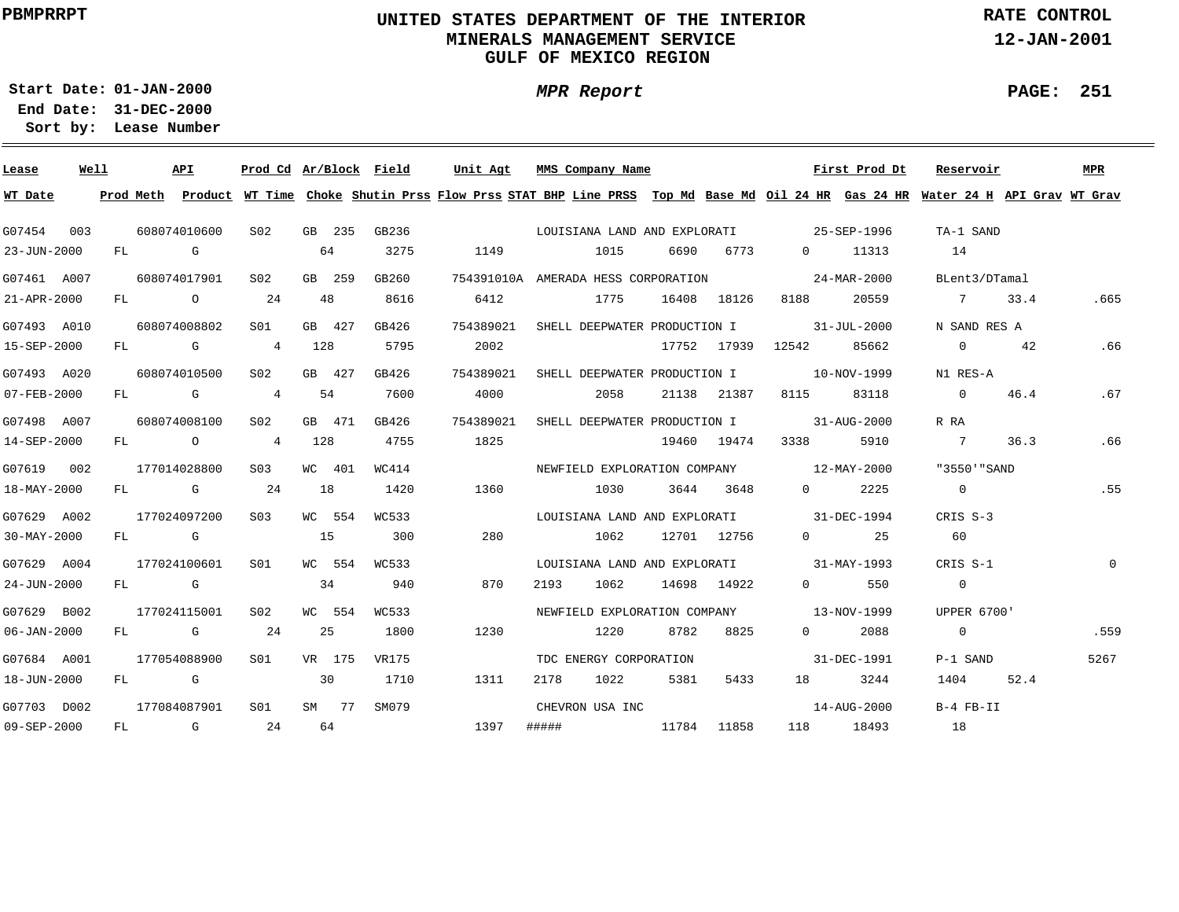# **UNITED STATES DEPARTMENT OF THE INTERIOR MINERALS MANAGEMENT SERVICEGULF OF MEXICO REGION**

**MPR Report**

**RATE CONTROL**

**12-JAN-2001**

**PAGE: 251**

-

**01-JAN-2000Start Date:**

| Lease       | Well |    |                                                                                                                                                                                                                                | API          | Prod Cd Ar/Block Field |     |        |       | Unit Agt  |      | MMS Company Name                         |       |             |                          | First Prod Dt               | Reservoir                                                                                                                               |      | MPR  |
|-------------|------|----|--------------------------------------------------------------------------------------------------------------------------------------------------------------------------------------------------------------------------------|--------------|------------------------|-----|--------|-------|-----------|------|------------------------------------------|-------|-------------|--------------------------|-----------------------------|-----------------------------------------------------------------------------------------------------------------------------------------|------|------|
| WT Date     |      |    |                                                                                                                                                                                                                                |              |                        |     |        |       |           |      |                                          |       |             |                          |                             | Prod Meth Product WT Time Choke Shutin Prss Flow Prss STAT BHP Line PRSS Top Md Base Md Oil 24 HR Gas 24 HR Water 24 H API Grav WT Grav |      |      |
| G07454      | 003  |    |                                                                                                                                                                                                                                | 608074010600 | S02                    |     | GB 235 | GB236 |           |      |                                          |       |             |                          |                             | TA-1 SAND                                                                                                                               |      |      |
| 23-JUN-2000 |      |    | FL G                                                                                                                                                                                                                           |              |                        |     | 64     | 3275  | 1149      |      | 1015                                     | 6690  | 6773        | $\overline{0}$           | 11313                       | 14                                                                                                                                      |      |      |
| G07461 A007 |      |    |                                                                                                                                                                                                                                | 608074017901 | S02                    |     | GB 259 | GB260 |           |      | 754391010A AMERADA HESS CORPORATION      |       |             | $24 - \text{MAR} - 2000$ |                             | BLent3/DTamal                                                                                                                           |      |      |
| 21-APR-2000 |      |    |                                                                                                                                                                                                                                | FL O         | 24                     |     | 48     | 8616  | 6412      |      | 1775                                     |       | 16408 18126 | 8188                     | 20559                       | 7 33.4                                                                                                                                  |      | .665 |
| G07493 A010 |      |    |                                                                                                                                                                                                                                | 608074008802 | SO1                    |     | GB 427 | GB426 | 754389021 |      | SHELL DEEPWATER PRODUCTION I             |       |             | $31 - JUL - 2000$        |                             | N SAND RES A                                                                                                                            |      |      |
| 15-SEP-2000 |      |    |                                                                                                                                                                                                                                | FL G         | $\overline{4}$         | 128 |        | 5795  | 2002      |      |                                          |       | 17752 17939 | 12542                    | 85662                       | $\overline{0}$                                                                                                                          | 42   | .66  |
| G07493 A020 |      |    |                                                                                                                                                                                                                                | 608074010500 | S02                    |     | GB 427 | GB426 | 754389021 |      | SHELL DEEPWATER PRODUCTION I 10-NOV-1999 |       |             |                          |                             | N1 RES-A                                                                                                                                |      |      |
| 07-FEB-2000 |      |    |                                                                                                                                                                                                                                | FL G         | $\overline{4}$         |     | 54     | 7600  | 4000      |      | 2058                                     |       | 21138 21387 | 8115                     | 83118                       | $\sim$ 0                                                                                                                                | 46.4 | .67  |
| G07498 A007 |      |    |                                                                                                                                                                                                                                | 608074008100 | S02                    |     | GB 471 | GB426 | 754389021 |      | SHELL DEEPWATER PRODUCTION I 31-AUG-2000 |       |             |                          |                             | R RA                                                                                                                                    |      |      |
| 14-SEP-2000 |      |    |                                                                                                                                                                                                                                | FL O         | $\overline{4}$         | 128 |        | 4755  | 1825      |      |                                          |       | 19460 19474 | 3338                     | 5910                        | $\overline{7}$                                                                                                                          | 36.3 | .66  |
| G07619 002  |      |    |                                                                                                                                                                                                                                | 177014028800 | S <sub>03</sub>        |     | WC 401 | WC414 |           |      | NEWFIELD EXPLORATION COMPANY 12-MAY-2000 |       |             |                          |                             | "3550'"SAND                                                                                                                             |      |      |
| 18-MAY-2000 |      |    |                                                                                                                                                                                                                                | FL G         | 24                     | 18  |        | 1420  | 1360      |      | 1030                                     |       | 3644 3648   | $\overline{0}$           | 2225                        | $\overline{0}$                                                                                                                          |      | .55  |
| G07629 A002 |      |    |                                                                                                                                                                                                                                | 177024097200 | S <sub>03</sub>        |     | WC 554 | WC533 |           |      | LOUISIANA LAND AND EXPLORATI 31-DEC-1994 |       |             |                          |                             | CRIS S-3                                                                                                                                |      |      |
| 30-MAY-2000 |      |    | FL G                                                                                                                                                                                                                           |              |                        | 15  |        | 300   | 280       |      | 1062                                     |       | 12701 12756 |                          | 25<br>$\Omega$ and $\Omega$ | 60                                                                                                                                      |      |      |
| G07629 A004 |      |    |                                                                                                                                                                                                                                | 177024100601 | S <sub>01</sub>        |     | WC 554 | WC533 |           |      | LOUISIANA LAND AND EXPLORATI 31-MAY-1993 |       |             |                          |                             | CRIS S-1                                                                                                                                |      | 0    |
| 24-JUN-2000 |      | FL | in the Group of Group of the Group of the State of the State of the State of the State of the State of the State of the State of the State of the State of the State of the State of the State of the State of the State of th |              |                        |     | 34     | 940   | 870       | 2193 | 1062                                     |       | 14698 14922 | $0 \qquad \qquad$        | 550                         | $\overline{0}$                                                                                                                          |      |      |
| G07629 B002 |      |    |                                                                                                                                                                                                                                | 177024115001 | S02                    |     | WC 554 | WC533 |           |      | NEWFIELD EXPLORATION COMPANY             |       |             |                          | 13-NOV-1999                 | <b>UPPER 6700'</b>                                                                                                                      |      |      |
| 06-JAN-2000 |      | FL |                                                                                                                                                                                                                                | <b>G</b>     | 24                     |     | 25     | 1800  | 1230      |      | 1220                                     | 8782  | 8825        | $0 \qquad \qquad$        | 2088                        | $\overline{0}$                                                                                                                          |      | .559 |
| G07684 A001 |      |    |                                                                                                                                                                                                                                | 177054088900 | SO1 SO                 |     | VR 175 | VR175 |           |      | TDC ENERGY CORPORATION                   |       |             |                          | 31-DEC-1991                 | P-1 SAND                                                                                                                                |      | 5267 |
| 18-JUN-2000 |      |    |                                                                                                                                                                                                                                | FL G         |                        | 30  |        | 1710  | 1311      | 2178 | 1022                                     | 5381  | 5433        |                          | 3244                        | 1404                                                                                                                                    | 52.4 |      |
| G07703 D002 |      |    |                                                                                                                                                                                                                                | 177084087901 | S01                    |     | SM 77  | SM079 |           |      | CHEVRON USA INC                          |       |             |                          | 14-AUG-2000                 | B-4 FB-II                                                                                                                               |      |      |
| 09-SEP-2000 |      | FL |                                                                                                                                                                                                                                | $\mathbf G$  | 24                     |     | 64     |       | 1397      |      |                                          | 11784 | 11858       |                          | 118 18493                   | 18                                                                                                                                      |      |      |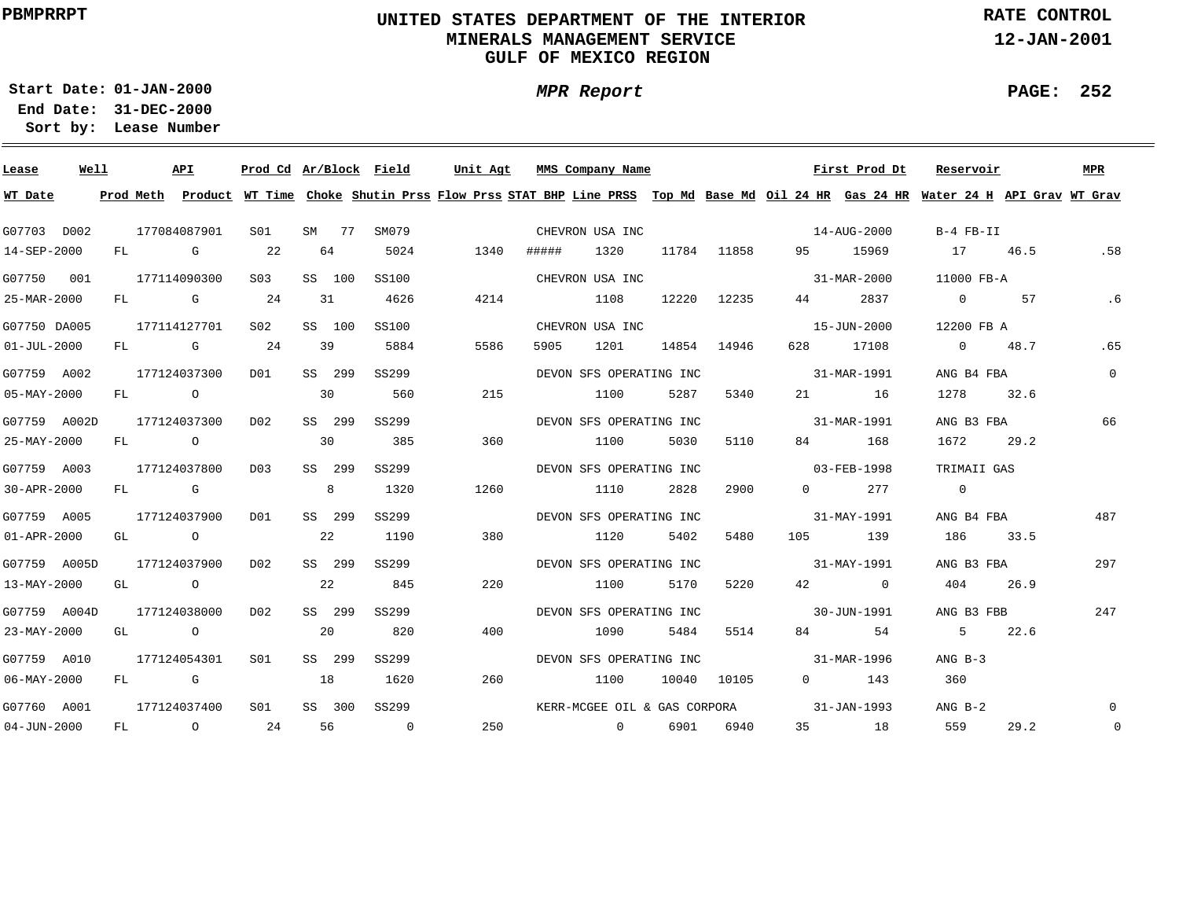# **UNITED STATES DEPARTMENT OF THE INTERIOR MINERALS MANAGEMENT SERVICEGULF OF MEXICO REGION**

**MPR Report**

**RATE CONTROL**

**12-JAN-2001**

**PAGE: 252**

÷

**01-JAN-2000Start Date:**

| Lease             | Well |      | API          |                 |    |        | Prod Cd Ar/Block Field | Unit Agt |       | MMS Company Name             |       |             |                          | First Prod Dt | Reservoir                                                                                                                               |      | MPR          |
|-------------------|------|------|--------------|-----------------|----|--------|------------------------|----------|-------|------------------------------|-------|-------------|--------------------------|---------------|-----------------------------------------------------------------------------------------------------------------------------------------|------|--------------|
| WT Date           |      |      |              |                 |    |        |                        |          |       |                              |       |             |                          |               | Prod Meth Product WT Time Choke Shutin Prss Flow Prss STAT BHP Line PRSS Top Md Base Md Oil 24 HR Gas 24 HR Water 24 H API Grav WT Grav |      |              |
| G07703 D002       |      |      | 177084087901 | S01             |    |        | SM 77 SM079            |          |       | CHEVRON USA INC              |       |             | $14 - \text{AUG} - 2000$ |               | B-4 FB-II                                                                                                                               |      |              |
| 14-SEP-2000       |      |      | FL G         | 22              |    | 64     | 5024                   | 1340     | ##### | 1320                         |       | 11784 11858 |                          | 95 15969      | 17 46.5                                                                                                                                 |      | .58          |
| G07750 001        |      |      | 177114090300 | S03             |    | SS 100 | SS100                  |          |       | CHEVRON USA INC              |       |             |                          | 31-MAR-2000   | 11000 FB-A                                                                                                                              |      |              |
| 25-MAR-2000       |      |      | FL G         | 24              |    | 31     | 4626                   | 4214     |       | 1108                         | 12220 | 12235       | 44 \                     | 2837          | $\Omega$                                                                                                                                | 57   | .6           |
| G07750 DA005      |      |      | 177114127701 | S02             |    | SS 100 | SS100                  |          |       | CHEVRON USA INC              |       |             |                          | 15-JUN-2000   | 12200 FB A                                                                                                                              |      |              |
| $01 - JUL - 2000$ |      |      | FL G 24      |                 |    | 39     | 5884                   | 5586     | 5905  | 1201                         |       | 14854 14946 | 628 —                    | 17108         | 0 $48.7$                                                                                                                                |      | .65          |
| G07759 A002       |      |      | 177124037300 | DO1             |    | SS 299 | SS299                  |          |       | DEVON SFS OPERATING INC      |       |             |                          | 31-MAR-1991   | ANG B4 FBA                                                                                                                              |      | $\mathbf{0}$ |
| $05 - MAX - 2000$ |      |      | FL O         |                 | 30 |        | 560                    | 215      |       | 1100                         | 5287  | 5340        |                          | 21 16         | 1278 32.6                                                                                                                               |      |              |
| G07759 A002D      |      |      | 177124037300 | D02             |    | SS 299 | SS299                  |          |       | DEVON SFS OPERATING INC      |       |             |                          | 31-MAR-1991   | ANG B3 FBA                                                                                                                              |      | 66           |
| 25-MAY-2000       |      |      | FL O         |                 | 30 |        | 385                    | 360      |       | 1100                         | 5030  | 5110        |                          | 84 168        | 1672                                                                                                                                    | 29.2 |              |
| G07759 A003       |      |      | 177124037800 | D03             |    | SS 299 | SS299                  |          |       | DEVON SFS OPERATING INC      |       |             |                          | 03-FEB-1998   | TRIMAII GAS                                                                                                                             |      |              |
| $30 - APR - 2000$ |      |      | $FL$ G       |                 |    | 8      | 1320                   | 1260     |       | 1110                         | 2828  | 2900        | $0 \qquad \qquad$        | 277           | $\overline{0}$                                                                                                                          |      |              |
| G07759 A005       |      |      | 177124037900 | DO1             |    | SS 299 | SS299                  |          |       | DEVON SFS OPERATING INC      |       |             | 31-MAY-1991              |               | ANG B4 FBA                                                                                                                              |      | 487          |
| $01 - APR - 2000$ |      |      | GL O         |                 |    | 22     | 1190                   | 380      |       | 1120                         | 5402  | 5480        |                          | 105 139       | 186 33.5                                                                                                                                |      |              |
| G07759 A005D      |      |      | 177124037900 | DO 2            |    | SS 299 | SS299                  |          |       | DEVON SFS OPERATING INC      |       |             | $31 - MAX - 1991$        |               | ANG B3 FBA                                                                                                                              |      | 297          |
| 13-MAY-2000       |      |      | GL O         |                 |    | 22     | 845                    | 220      |       | 1100                         | 5170  | 5220        |                          | 42 0          | 404                                                                                                                                     | 26.9 |              |
| G07759 A004D      |      |      | 177124038000 | DO 2            |    | SS 299 | SS299                  |          |       | DEVON SFS OPERATING INC      |       |             | $30 - JUN - 1991$        |               | ANG B3 FBB                                                                                                                              |      | 247          |
| 23-MAY-2000       |      |      | GL O         |                 |    | 20     | 820                    | 400      |       | 1090                         | 5484  | 5514        | 84 and $\overline{84}$   | 54            | 5 22.6                                                                                                                                  |      |              |
| G07759 A010       |      |      | 177124054301 | SO1             |    | SS 299 | SS299                  |          |       | DEVON SFS OPERATING INC      |       |             | $31 - MAR - 1996$        |               | $ANG B-3$                                                                                                                               |      |              |
| $06 - MAX - 2000$ |      | FL G |              |                 | 18 |        | 1620                   | 260      |       | 1100                         |       | 10040 10105 |                          | $0$ 143       | 360                                                                                                                                     |      |              |
| G07760 A001       |      |      | 177124037400 | S <sub>01</sub> |    | SS 300 | SS299                  |          |       | KERR-MCGEE OIL & GAS CORPORA |       |             | $31 - JAN - 1993$        |               | ANG B-2                                                                                                                                 |      | $\Omega$     |
| $04 - JUN - 2000$ |      |      | FL 0 24      |                 |    | 56     | $\overline{0}$         | 250      |       | $\sim$ 0                     | 6901  | 6940        |                          | 35 18         | 559                                                                                                                                     | 29.2 | $\mathbf 0$  |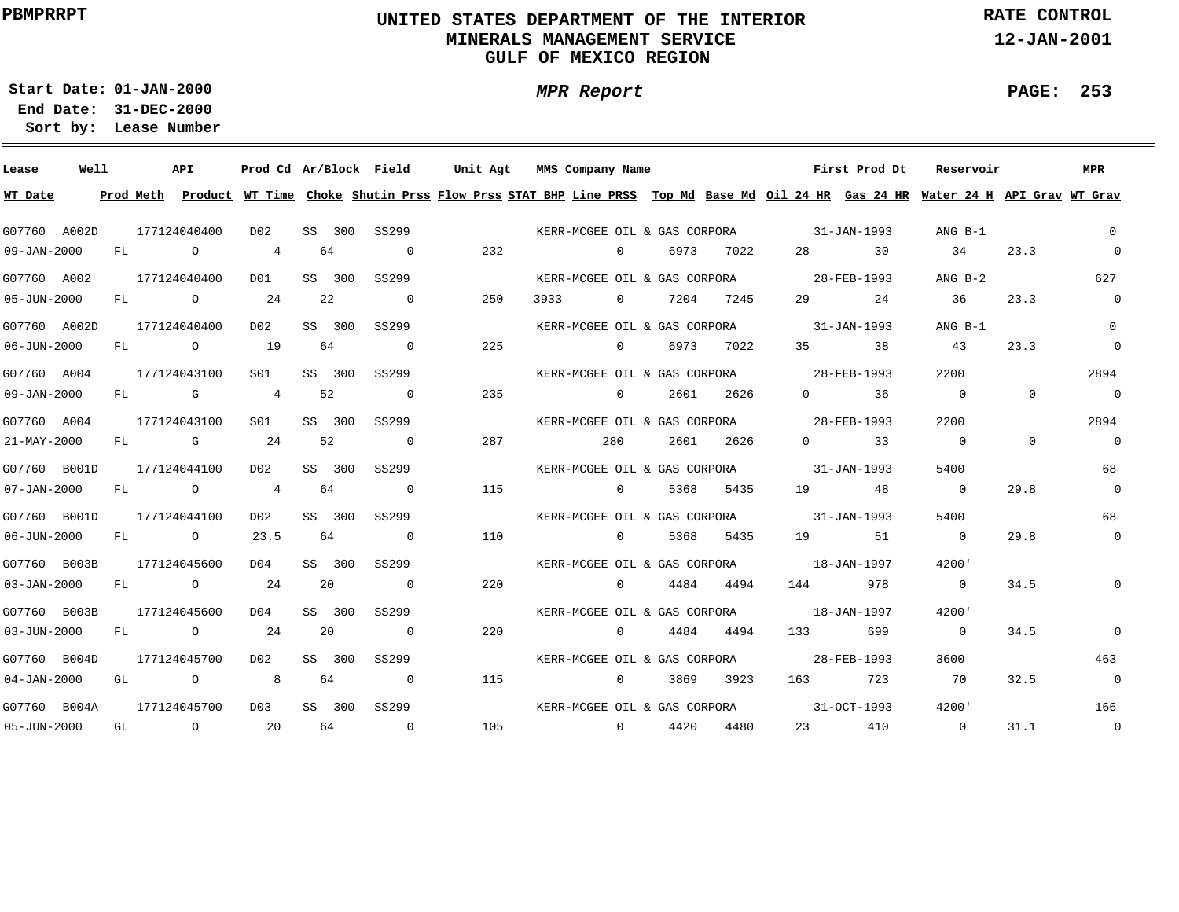# **UNITED STATES DEPARTMENT OF THE INTERIOR MINERALS MANAGEMENT SERVICEGULF OF MEXICO REGION**

**MPR Report**

**RATE CONTROL**

**12-JAN-2001**

**PAGE: 253**

÷

**01-JAN-2000Start Date:31-DEC-2000 End Date:** 

| Lease                     | Well |    | API          |                |    |        | Prod Cd Ar/Block Field   |                                          | Unit Agt MMS Company Name |                |                |                 |                                          | First Prod Dt        | Reservoir                                                                                                                               |          | MPR            |
|---------------------------|------|----|--------------|----------------|----|--------|--------------------------|------------------------------------------|---------------------------|----------------|----------------|-----------------|------------------------------------------|----------------------|-----------------------------------------------------------------------------------------------------------------------------------------|----------|----------------|
| WT Date                   |      |    |              |                |    |        |                          |                                          |                           |                |                |                 |                                          |                      | Prod Meth Product WT Time Choke Shutin Prss Flow Prss STAT BHP Line PRSS Top Md Base Md Oil 24 HR Gas 24 HR Water 24 H API Grav WT Grav |          |                |
| G07760 A002D              |      |    | 177124040400 | DO 2           |    |        | SS 300 SS299             | KERR-MCGEE OIL & GAS CORPORA 31-JAN-1993 |                           |                |                |                 |                                          |                      | ANG B-1                                                                                                                                 |          | $\overline{0}$ |
| 09-JAN-2000               |      |    | FL O         | $\overline{4}$ |    | 64     | $\overline{0}$           | 232                                      |                           |                | $\overline{0}$ | 6973 7022       |                                          | 28 30                | 34                                                                                                                                      | 23.3     | $\overline{0}$ |
| G07760 A002               |      |    | 177124040400 | DO1            |    | SS 300 | SS299                    |                                          |                           |                |                |                 | KERR-MCGEE OIL & GAS CORPORA 28-FEB-1993 |                      | $ANG B-2$                                                                                                                               |          | 627            |
| $05 - JUN - 2000$         |      |    | FL 0 24      |                | 22 |        | $\sim$ 0                 | 250                                      | 3933                      |                |                | 0 7204 7245     |                                          | 29 24                | 36                                                                                                                                      | 23.3     | $\mathsf{O}$   |
| G07760 A002D              |      |    | 177124040400 | D02            |    | SS 300 | SS299                    |                                          |                           |                |                |                 | KERR-MCGEE OIL & GAS CORPORA 31-JAN-1993 |                      | ANG B-1                                                                                                                                 |          | $\Omega$       |
| $06 - JUN - 2000$         |      | FL | $\circ$ 19   |                |    | 64     | $\sim$ 0                 | 225                                      |                           | $\sim$ 0       |                | 6973 7022       |                                          | 35 38                | 43                                                                                                                                      | 23.3     | $\mathbf 0$    |
| G07760 A004               |      |    | 177124043100 | SO1            |    | SS 300 | SS299                    |                                          |                           |                |                |                 | KERR-MCGEE OIL & GAS CORPORA 28-FEB-1993 |                      | 2200                                                                                                                                    |          | 2894           |
| 09-JAN-2000               |      | FL | $G$ 4        |                |    | 52     | $\overline{0}$           | 235                                      |                           | $\sim$ 0       |                | 2601 2626       |                                          | $0 \qquad \qquad$ 36 | $\overline{0}$                                                                                                                          | $\Omega$ | $\overline{0}$ |
| G07760 A004               |      |    | 177124043100 | S01            |    | SS 300 | SS299                    |                                          |                           |                |                |                 | KERR-MCGEE OIL & GAS CORPORA 28-FEB-1993 |                      | 2200                                                                                                                                    |          | 2894           |
| $21 - MAX - 2000$         |      |    | FL G 24      |                | 52 |        | $\overline{\phantom{0}}$ | 287                                      |                           |                |                | 280 2601 2626   |                                          | $0 \qquad \qquad$ 33 | $\overline{0}$                                                                                                                          | $\Omega$ | $\overline{0}$ |
| G07760 B001D              |      |    | 177124044100 | D02            |    | SS 300 | SS299                    |                                          |                           |                |                |                 | KERR-MCGEE OIL & GAS CORPORA 31-JAN-1993 |                      | 5400                                                                                                                                    |          | 68             |
| $07 - JAN - 2000$         |      |    | $FL$ 0 4     |                | 64 |        | $\overline{0}$           | 115                                      |                           | 0 5368 5435    |                |                 |                                          | 19 48                | $\overline{0}$                                                                                                                          | 29.8     | $\mathsf{O}$   |
| G07760 B001D              |      |    | 177124044100 | D02            |    | SS 300 | SS299                    |                                          |                           |                |                |                 | KERR-MCGEE OIL & GAS CORPORA 31-JAN-1993 |                      | 5400                                                                                                                                    |          | 68             |
| $06 - JUN - 2000$         |      |    | FL 0 23.5    |                | 64 |        | $\sim$ 0                 | 110                                      |                           |                |                | 0 5368 5435     | 19 51                                    |                      | $\overline{0}$                                                                                                                          | 29.8     | $\mathbf 0$    |
| G07760 B003B              |      |    | 177124045600 | DO 4           |    | SS 300 | SS299                    |                                          |                           |                |                |                 | KERR-MCGEE OIL & GAS CORPORA 18-JAN-1997 |                      | 4200'                                                                                                                                   |          |                |
| $03 - JAN - 2000$         |      |    | FL 0 24      |                | 20 |        | $\sim$ 0                 | 220                                      |                           |                |                | 0 $4484$ $4494$ | 144 978                                  |                      | $\overline{0}$                                                                                                                          | 34.5     | 0              |
| G07760 B003B              |      |    | 177124045600 | DO 4           |    | SS 300 | SS299                    |                                          |                           |                |                |                 | KERR-MCGEE OIL & GAS CORPORA 18-JAN-1997 |                      | 4200'                                                                                                                                   |          |                |
| $03 - JUN - 2000$         |      |    | FL 0 24      |                | 20 |        | $\overline{0}$           | 220                                      |                           |                | $\Omega$       | 4484 4494       | 133 699                                  |                      | $\overline{0}$                                                                                                                          | 34.5     | $\mathbf 0$    |
| G07760 B004D              |      |    | 177124045700 | D02            |    | SS 300 | SS299                    |                                          |                           |                |                |                 | KERR-MCGEE OIL & GAS CORPORA 28-FEB-1993 |                      | 3600                                                                                                                                    |          | 463            |
| $04 - JAN - 2000$         |      |    | GL O 8       |                | 64 |        | $\overline{0}$           | 115                                      |                           | $\overline{0}$ |                | 3869 3923       |                                          | 163 723              | 70                                                                                                                                      | 32.5     | $\overline{0}$ |
| G07760 B004A 177124045700 |      |    |              | D0.3           |    |        | SS 300 SS299             |                                          |                           |                |                |                 | KERR-MCGEE OIL & GAS CORPORA 31-OCT-1993 |                      | 4200'                                                                                                                                   |          | 166            |
| $05 - JUN - 2000$         |      |    | GL 0 20      |                |    |        | 64 0                     | 105                                      |                           | $\sim$ 0       |                | 4420 4480       |                                          | 23 410               | $\overline{0}$                                                                                                                          | 31.1     | $\overline{0}$ |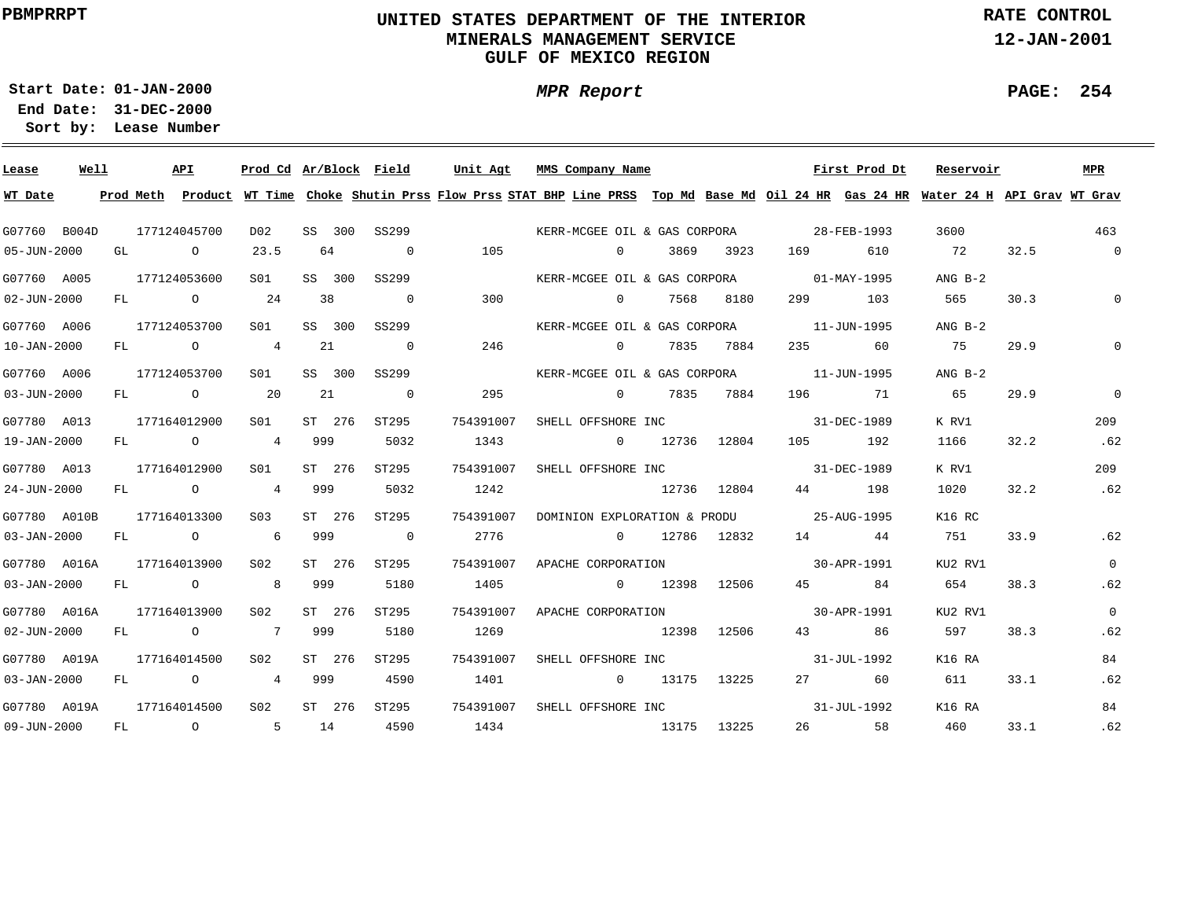# **UNITED STATES DEPARTMENT OF THE INTERIOR MINERALS MANAGEMENT SERVICEGULF OF MEXICO REGION**

**MPR Report**

**RATE CONTROL**

**12-JAN-2001**

**PAGE: 254**

÷

**01-JAN-2000Start Date:31-DEC-2000 End Date:** 

| Lease             | Well |    | API            | Prod Cd Ar/Block Field |        |        |                          | Unit Agt                                                                                                                                | MMS Company Name                         |                |      |             |                   | First Prod Dt | Reservoir |      | <b>MPR</b>     |
|-------------------|------|----|----------------|------------------------|--------|--------|--------------------------|-----------------------------------------------------------------------------------------------------------------------------------------|------------------------------------------|----------------|------|-------------|-------------------|---------------|-----------|------|----------------|
| WT Date           |      |    |                |                        |        |        |                          | Prod Meth Product WT Time Choke Shutin Prss Flow Prss STAT BHP Line PRSS Top Md Base Md Oil 24 HR Gas 24 HR Water 24 H API Grav WT Grav |                                          |                |      |             |                   |               |           |      |                |
| G07760 B004D      |      |    | 177124045700   | D02                    |        | SS 300 | SS299                    |                                                                                                                                         | KERR-MCGEE OIL & GAS CORPORA             |                |      |             |                   | 28-FEB-1993   | 3600      |      | 463            |
| 05-JUN-2000       |      | GL | $\overline{O}$ | 23.5                   | 64     |        | $\overline{0}$           | 105                                                                                                                                     |                                          | $\overline{0}$ | 3869 | 3923        | 169               | 610           | 72        | 32.5 | $\overline{0}$ |
| G07760 A005       |      |    | 177124053600   | S <sub>01</sub>        |        | SS 300 | SS299                    |                                                                                                                                         | KERR-MCGEE OIL & GAS CORPORA 01-MAY-1995 |                |      |             |                   |               | $ANG B-2$ |      |                |
| $02 - JUN - 2000$ |      | FL | $\overline{O}$ | 24                     | 38     |        | $\overline{\phantom{0}}$ | 300                                                                                                                                     |                                          | $\overline{0}$ | 7568 | 8180        | 299 — 10          | 103           | 565       | 30.3 | $\mathbf{0}$   |
| G07760 A006       |      |    | 177124053700   | S01                    |        | SS 300 | SS299                    |                                                                                                                                         | KERR-MCGEE OIL & GAS CORPORA             |                |      |             | 11-JUN-1995       |               | $ANG B-2$ |      |                |
| 10-JAN-2000       |      | FL | $\overline{O}$ | 4                      | 21     |        | $\overline{\phantom{0}}$ | 246                                                                                                                                     | $\overline{0}$                           |                | 7835 | 7884        | 235               | 60            | 75        | 29.9 | $\mathbf 0$    |
| G07760 A006       |      |    | 177124053700   | S01                    | SS 300 |        | SS299                    |                                                                                                                                         | KERR-MCGEE OIL & GAS CORPORA             |                |      |             | 11-JUN-1995       |               | $ANG B-2$ |      |                |
| 03-JUN-2000       |      |    | FL O           | 20                     | 21     |        | $\overline{0}$           | 295                                                                                                                                     |                                          | $\overline{0}$ | 7835 | 7884        | 196 — 196         | 71            | 65        | 29.9 | $\mathbf 0$    |
| G07780 A013       |      |    | 177164012900   | S01                    |        | ST 276 | ST295                    | 754391007                                                                                                                               | SHELL OFFSHORE INC                       |                |      |             | 31-DEC-1989       |               | K RV1     |      | 209            |
| 19-JAN-2000       |      |    |                | FL 0 4 999             |        |        | 5032                     | 1343                                                                                                                                    | $0$ 12736 12804                          |                |      |             |                   | 105 192       | 1166      | 32.2 | .62            |
| G07780 A013       |      |    | 177164012900   | S01                    |        | ST 276 | ST295                    | 754391007                                                                                                                               | SHELL OFFSHORE INC 31-DEC-1989           |                |      |             |                   |               | K RV1     |      | 209            |
| 24-JUN-2000       |      |    |                | FL 0 4 999             |        |        | 5032                     | 1242                                                                                                                                    | 12736 12804                              |                |      |             |                   | 44 198        | 1020      | 32.2 | .62            |
| G07780 A010B      |      |    | 177164013300   | S03                    | ST 276 |        | ST295                    | 754391007                                                                                                                               | DOMINION EXPLORATION & PRODU 25-AUG-1995 |                |      |             |                   |               | K16 RC    |      |                |
| 03-JAN-2000       |      |    | FL O           | 6 999                  |        |        | $\overline{\phantom{0}}$ | 2776                                                                                                                                    | $0 \t 12786 \t 12832$                    |                |      |             | 14 44             |               | 751       | 33.9 | .62            |
| G07780 A016A      |      |    | 177164013900   | S02                    |        | ST 276 | ST295                    | 754391007                                                                                                                               | APACHE CORPORATION                       |                |      |             | $30 - APR - 1991$ |               | KU2 RV1   |      | $\overline{0}$ |
| $03 - JAN - 2000$ |      |    | FL O           | 8 <sup>1</sup>         | 999    |        | 5180                     | 1405                                                                                                                                    | $\sim$ 0                                 |                |      | 12398 12506 | 45 and $\sim$     | 84            | 654       | 38.3 | .62            |
| G07780 A016A      |      |    | 177164013900   | S02                    |        | ST 276 | ST295                    | 754391007                                                                                                                               | APACHE CORPORATION                       |                |      |             |                   | 30-APR-1991   | KU2 RV1   |      | $\overline{0}$ |
| $02 - JUN - 2000$ |      | FL | $\overline{O}$ | 7 999                  |        |        | 5180                     | 1269                                                                                                                                    | 12398 12506                              |                |      |             | 43 and $\sim$     | 86            | 597       | 38.3 | .62            |
| G07780 A019A      |      |    | 177164014500   | S02                    | ST 276 |        | ST295                    | 754391007                                                                                                                               | SHELL OFFSHORE INC                       |                |      |             |                   | 31-JUL-1992   | K16 RA    |      | 84             |
| $03 - JAN - 2000$ |      | FL | $\overline{O}$ | $\overline{4}$         | 999    |        | 4590                     | 1401                                                                                                                                    | $\sim$ 0                                 |                |      | 13175 13225 |                   | 27 60         | 611       | 33.1 | .62            |
| G07780 A019A      |      |    | 177164014500   | S <sub>02</sub>        |        | ST 276 | ST295                    | 754391007                                                                                                                               | SHELL OFFSHORE INC                       |                |      |             | $31 - JUL - 1992$ |               | K16 RA    |      | 84             |
| 09-JUN-2000       |      |    | FL 0 5         |                        | 14     |        | 4590                     | 1434                                                                                                                                    | 13175                                    |                |      | 13225       |                   | 26 58         | 460       | 33.1 | .62            |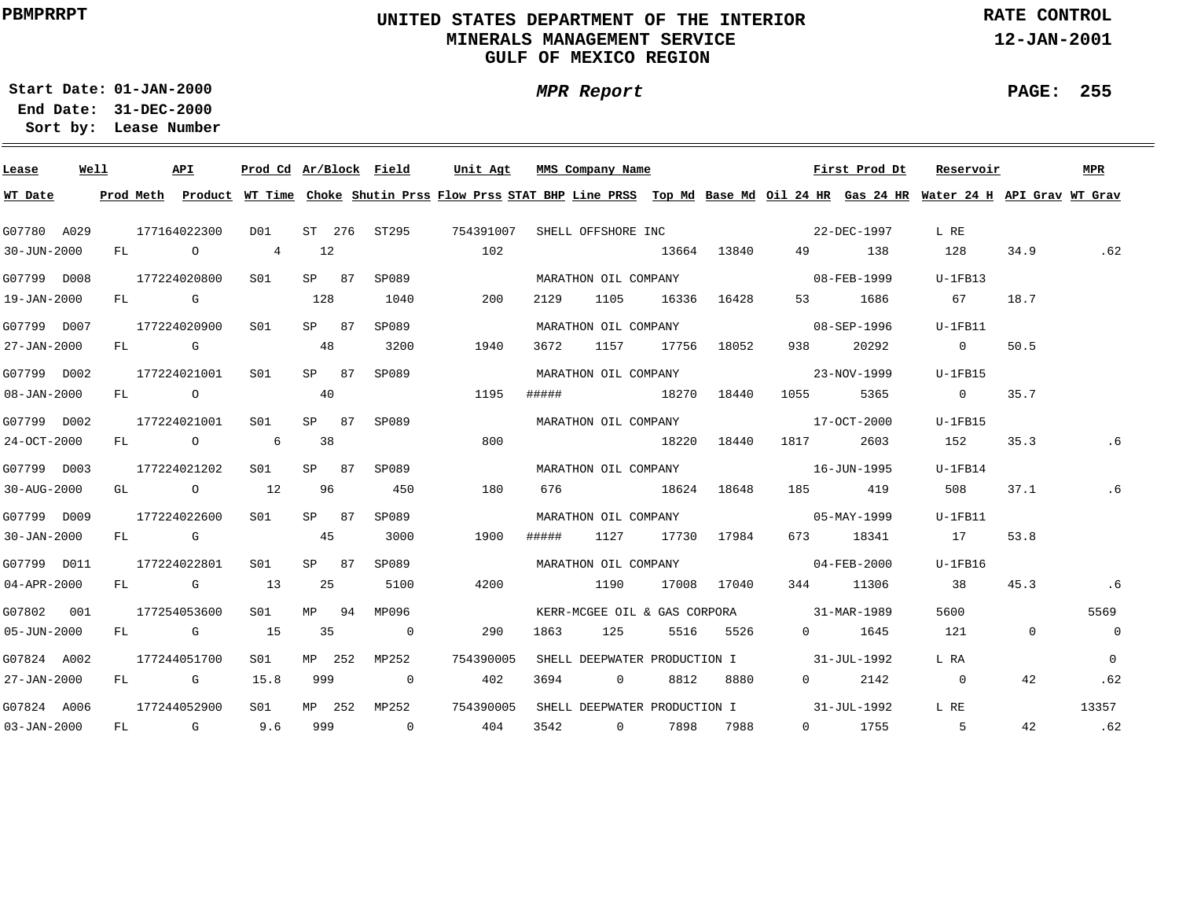# **UNITED STATES DEPARTMENT OF THE INTERIOR MINERALS MANAGEMENT SERVICEGULF OF MEXICO REGION**

**MPR Report**

**RATE CONTROL**

**12-JAN-2001**

**PAGE: 255**

÷

**01-JAN-2000Start Date:31-DEC-2000 End Date:** 

| Lease             | Well |  | API                                   | Prod Cd Ar/Block Field |        |        |                         | Unit Agt                                                                                                                                |       | MMS Company Name     |      |                  |                                          | First Prod Dt | Reservoir      |             | <b>MPR</b>     |
|-------------------|------|--|---------------------------------------|------------------------|--------|--------|-------------------------|-----------------------------------------------------------------------------------------------------------------------------------------|-------|----------------------|------|------------------|------------------------------------------|---------------|----------------|-------------|----------------|
| WT Date           |      |  |                                       |                        |        |        |                         | Prod Meth Product WT Time Choke Shutin Prss Flow Prss STAT BHP Line PRSS Top Md Base Md Oil 24 HR Gas 24 HR Water 24 H API Grav WT Grav |       |                      |      |                  |                                          |               |                |             |                |
| G07780 A029       |      |  | 177164022300                          | D01                    |        |        |                         | ST 276 ST295 754391007                                                                                                                  |       |                      |      |                  | SHELL OFFSHORE INC 32-DEC-1997           |               | L RE           |             |                |
| 30-JUN-2000       |      |  | FL O                                  | 4                      | 12     |        |                         | 102                                                                                                                                     |       |                      |      | 13664 13840      |                                          | 49 138        | 128            | 34.9        | .62            |
| G07799 D008       |      |  | 177224020800                          | S <sub>01</sub>        | SP 87  |        | SP089                   |                                                                                                                                         |       | MARATHON OIL COMPANY |      |                  | $08 - \text{FEB} - 1999$                 |               | $U-1FB13$      |             |                |
| 19-JAN-2000       |      |  | FL G                                  |                        | 128    |        | 1040                    | 200                                                                                                                                     | 2129  | 1105                 |      | 16336 16428      |                                          | 53 1686       | 67             | 18.7        |                |
| G07799 D007       |      |  | 177224020900                          | S <sub>01</sub>        |        | SP 87  | SP089                   |                                                                                                                                         |       | MARATHON OIL COMPANY |      |                  | $08 - SEP - 1996$                        |               | $U-1FB11$      |             |                |
| 27-JAN-2000       |      |  | FL G                                  |                        | 48     |        | 3200                    | 1940                                                                                                                                    | 3672  | 1157                 |      | 17756 18052      | 938                                      | 20292         | $\overline{0}$ | 50.5        |                |
| G07799 D002       |      |  | 177224021001                          | S01                    | SP 87  |        | SP089                   |                                                                                                                                         |       | MARATHON OIL COMPANY |      |                  |                                          | 23-NOV-1999   | $U-1FB15$      |             |                |
| $08 - JAN - 2000$ |      |  | FL O                                  |                        | 40     |        |                         | 1195                                                                                                                                    |       | ##### 18270          |      | 18440            | 1055                                     | 5365          | $\sim$ 0       | 35.7        |                |
| G07799 D002       |      |  | 177224021001                          | S01                    | SP 87  |        | SP089                   |                                                                                                                                         |       |                      |      |                  | MARATHON OIL COMPANY 17-OCT-2000         |               | $U-1FB15$      |             |                |
| 24-OCT-2000       |      |  | FL O                                  | $\sim$ 6               | 38     |        |                         | 800                                                                                                                                     |       | 18220 18440          |      |                  | 1817                                     | 2603          | 152            | 35.3        | $.6\,$         |
| G07799 D003       |      |  | 177224021202                          | S01                    | SP 87  |        | SP089                   |                                                                                                                                         |       |                      |      |                  | MARATHON OIL COMPANY 16-JUN-1995         |               | $U-1FB14$      |             |                |
| 30-AUG-2000       |      |  | GL $\qquad \qquad 0 \qquad \qquad 12$ |                        | 96     |        | 450                     | 180                                                                                                                                     |       | 676 18624 18648      |      |                  |                                          | 185 419       | 508            | 37.1        | .6             |
| G07799 D009       |      |  | 177224022600                          | S <sub>01</sub>        | SP 87  |        | SP089                   |                                                                                                                                         |       |                      |      |                  |                                          |               | $U-1FB11$      |             |                |
| 30-JAN-2000       |      |  | $FL$ G                                |                        | 45     |        | 3000                    | 1900                                                                                                                                    | ##### |                      |      | 1127 17730 17984 |                                          | 673 18341     | 17             | 53.8        |                |
| G07799 D011       |      |  | 177224022801                          | S01                    | SP 87  |        | SP089                   |                                                                                                                                         |       |                      |      |                  | MARATHON OIL COMPANY 04-FEB-2000         |               | U-1FB16        |             |                |
| 04-APR-2000       |      |  | $FL$ G 13                             |                        | 25     |        | 5100                    | 4200                                                                                                                                    |       | 1190                 |      | 17008 17040      |                                          | 344 11306     | 38             | 45.3        | .6             |
| G07802 001        |      |  | 177254053600                          | S <sub>01</sub>        |        | MP 94  | MP096                   |                                                                                                                                         |       |                      |      |                  | KERR-MCGEE OIL & GAS CORPORA 31-MAR-1989 |               | 5600           |             | 5569           |
| 05-JUN-2000       |      |  | FL G                                  | 15                     | 35     |        | $\overline{0}$          | 290                                                                                                                                     | 1863  | 125                  |      | 5516 5526        |                                          | 0 1645        | 121            | $\mathbf 0$ | $\overline{0}$ |
| G07824 A002       |      |  | 177244051700                          | S01                    | MP 252 |        | MP252                   | 754390005                                                                                                                               |       |                      |      |                  | SHELL DEEPWATER PRODUCTION I 31-JUL-1992 |               | L RA           |             | $\Omega$       |
| 27-JAN-2000       |      |  | FL G                                  | 15.8                   | 999    |        | $\overline{\mathbf{0}}$ | 402                                                                                                                                     | 3694  | $\overline{0}$       | 8812 | 8880             | $0 \qquad \qquad$                        | 2142          | $\overline{0}$ | 42          | .62            |
| G07824 A006       |      |  | 177244052900                          | S01                    |        | MP 252 | MP252                   | 754390005                                                                                                                               |       |                      |      |                  | SHELL DEEPWATER PRODUCTION I 31-JUL-1992 |               | L RE           |             | 13357          |
| 03-JAN-2000       |      |  | FL G 9.6                              |                        |        |        | 999 0                   | 404                                                                                                                                     |       | 3542 0 7898 7988     |      |                  |                                          | $0$ 1755      | $5^{\circ}$    | 42          | .62            |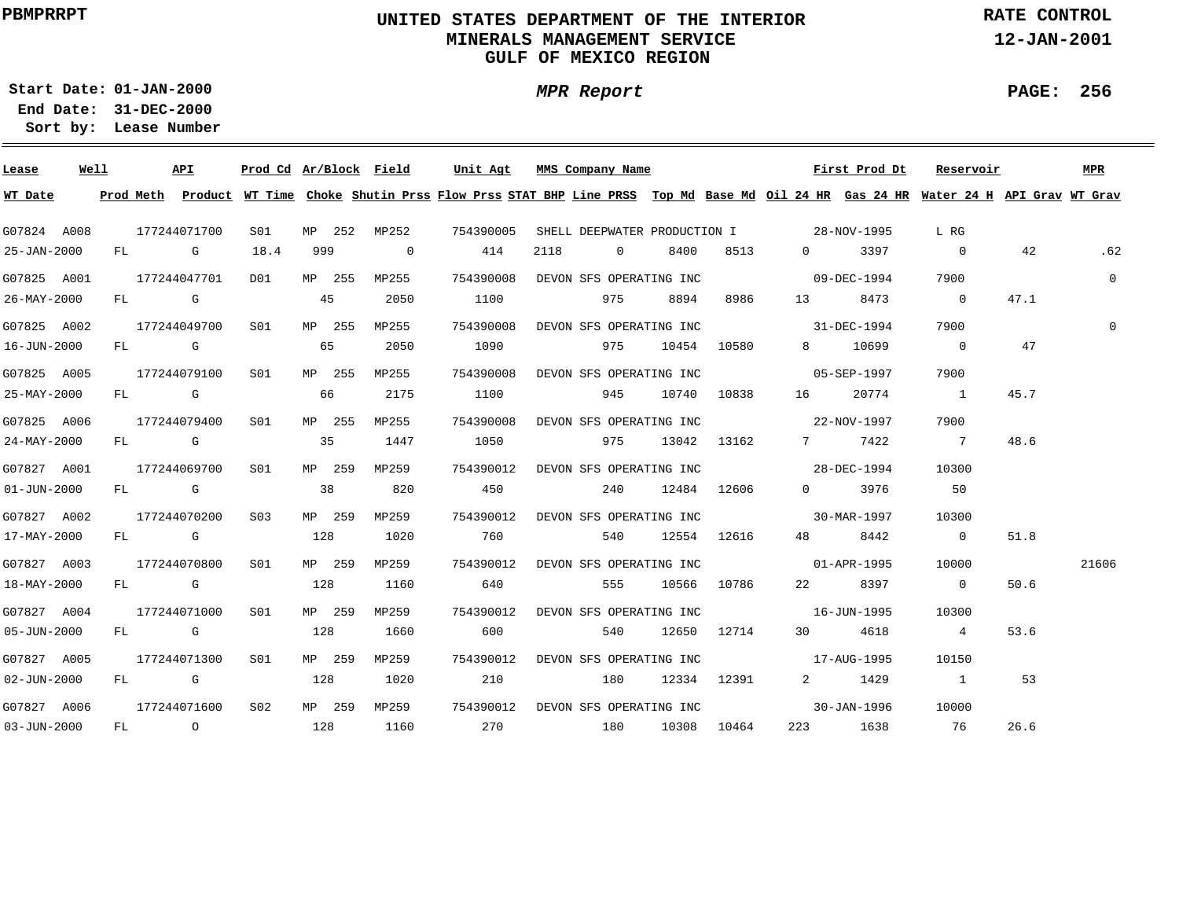# **UNITED STATES DEPARTMENT OF THE INTERIOR MINERALS MANAGEMENT SERVICEGULF OF MEXICO REGION**

**MPR Report**

**RATE CONTROL**

**12-JAN-2001**

**PAGE: 256**

**01-JAN-2000Start Date:31-DEC-2000 End Date:** 

| Lease             | Well |  | API              | Prod Cd Ar/Block Field |        |        |                         | Unit Agt  |                                   | MMS Company Name |                |                         |                 | First Prod Dt                            | Reservoir                                                                                                                               |      | MPR            |
|-------------------|------|--|------------------|------------------------|--------|--------|-------------------------|-----------|-----------------------------------|------------------|----------------|-------------------------|-----------------|------------------------------------------|-----------------------------------------------------------------------------------------------------------------------------------------|------|----------------|
| WT Date           |      |  |                  |                        |        |        |                         |           |                                   |                  |                |                         |                 |                                          | Prod Meth Product WT Time Choke Shutin Prss Flow Prss STAT BHP Line PRSS Top Md Base Md Oil 24 HR Gas 24 HR Water 24 H API Grav WT Grav |      |                |
| G07824 A008       |      |  | 177244071700     | SO1                    |        |        | MP 252 MP252 754390005  |           |                                   |                  |                |                         |                 | SHELL DEEPWATER PRODUCTION I 28-NOV-1995 | L RG                                                                                                                                    |      |                |
| 25-JAN-2000       |      |  | FL G             | 18.4                   | 999    |        | $\overline{\mathbf{0}}$ | 414       | 2118                              |                  | $\overline{0}$ | 8400                    | 8513            | 0 3397                                   | $\overline{0}$                                                                                                                          | 42   | .62            |
| G07825 A001       |      |  | 177244047701     | DO1                    | MP 255 |        | MP255                   |           | 754390008 DEVON SFS OPERATING INC |                  |                |                         |                 | $09 - DEC - 1994$                        | 7900                                                                                                                                    |      | $\overline{0}$ |
| 26-MAY-2000       |      |  | FL G             |                        | 45     |        | 2050                    | 1100      |                                   |                  | 975            | 8894                    | 8986            | 13 8473                                  | $\overline{0}$                                                                                                                          | 47.1 |                |
| G07825 A002       |      |  | 177244049700     | SO1 SO                 | MP 255 |        | MP255                   | 754390008 |                                   |                  |                | DEVON SFS OPERATING INC |                 | $31 - DEC - 1994$                        | 7900                                                                                                                                    |      | $\Omega$       |
| 16-JUN-2000       |      |  | $FL$ G 65        |                        |        |        | 2050                    | 1090      |                                   |                  |                |                         | 975 10454 10580 | 8 10699                                  | $\overline{0}$                                                                                                                          | 47   |                |
| G07825 A005       |      |  | 177244079100 S01 |                        |        | MP 255 | MP255                   | 754390008 |                                   |                  |                | DEVON SFS OPERATING INC |                 | $05 - SEP - 1997$                        | 7900                                                                                                                                    |      |                |
| 25-MAY-2000       |      |  | $FL$ G 66        |                        |        |        | 2175                    | 1100      |                                   | 945              |                |                         | 10740 10838     | 20774                                    | $\sim$ 1                                                                                                                                | 45.7 |                |
| G07825 A006       |      |  | 177244079400     | S01 <b>S</b>           | MP 255 |        | MP255                   | 754390008 |                                   |                  |                |                         |                 | DEVON SFS OPERATING INC 22-NOV-1997      | 7900                                                                                                                                    |      |                |
| 24-MAY-2000       |      |  | FL G             |                        |        | 35     | 1447                    | 1050      |                                   |                  |                |                         | 975 13042 13162 | 7 7422                                   | $\overline{7}$                                                                                                                          | 48.6 |                |
| G07827 A001       |      |  | 177244069700     | S01 <b>S</b>           | MP 259 |        | MP259                   | 754390012 |                                   |                  |                |                         |                 | DEVON SFS OPERATING INC 28-DEC-1994      | 10300                                                                                                                                   |      |                |
| $01 - JUN - 2000$ |      |  | FL G             |                        | 38     |        | 820                     | 450       |                                   |                  |                |                         | 240 12484 12606 | 0 3976                                   | 50                                                                                                                                      |      |                |
| G07827 A002       |      |  | 177244070200     | S03                    | MP 259 |        | MP259                   | 754390012 |                                   |                  |                |                         |                 | DEVON SFS OPERATING INC 30-MAR-1997      | 10300                                                                                                                                   |      |                |
| 17-MAY-2000       |      |  | FL G             |                        | 128    |        | 1020                    | 760       |                                   |                  |                |                         | 540 12554 12616 | 48 8442                                  | $\overline{0}$                                                                                                                          | 51.8 |                |
| G07827 A003       |      |  | 177244070800     | S01                    |        | MP 259 | MP259                   | 754390012 |                                   |                  |                | DEVON SFS OPERATING INC |                 | $01 - APR - 1995$                        | 10000                                                                                                                                   |      | 21606          |
| 18-MAY-2000       |      |  | FL G             |                        | 128    |        | 1160                    | 640       |                                   |                  | 555            |                         | 10566 10786     | 22 8397                                  | $\overline{0}$                                                                                                                          | 50.6 |                |
| G07827 A004       |      |  | 177244071000 SO1 |                        | MP 259 |        | MP259                   | 754390012 |                                   |                  |                | DEVON SFS OPERATING INC |                 | $16 - JUN - 1995$                        | 10300                                                                                                                                   |      |                |
| 05-JUN-2000       |      |  | FL G             |                        | 128    |        | 1660                    | 600       |                                   |                  | 540            |                         | 12650 12714     | 30 4618                                  | $\overline{4}$                                                                                                                          | 53.6 |                |
| G07827 A005       |      |  | 177244071300 SO1 |                        | MP 259 |        | MP259                   | 754390012 |                                   |                  |                | DEVON SFS OPERATING INC |                 | $17 - \text{AUG} - 1995$                 | 10150                                                                                                                                   |      |                |
| $02 - JUN - 2000$ |      |  | FL G             |                        |        | 128    | 1020                    | 210       |                                   |                  |                |                         | 180 12334 12391 | 2 1429                                   | $\sim$ 1                                                                                                                                | 53   |                |
| G07827 A006       |      |  | 177244071600 S02 |                        | MP 259 |        | MP259                   |           | 754390012 DEVON SFS OPERATING INC |                  |                |                         |                 | $30 - JAN - 1996$                        | 10000                                                                                                                                   |      |                |
| 03-JUN-2000       |      |  | FL O             |                        | 128    |        | 1160                    | 270       |                                   |                  |                |                         | 180 10308 10464 | 223 1638                                 | 76                                                                                                                                      | 26.6 |                |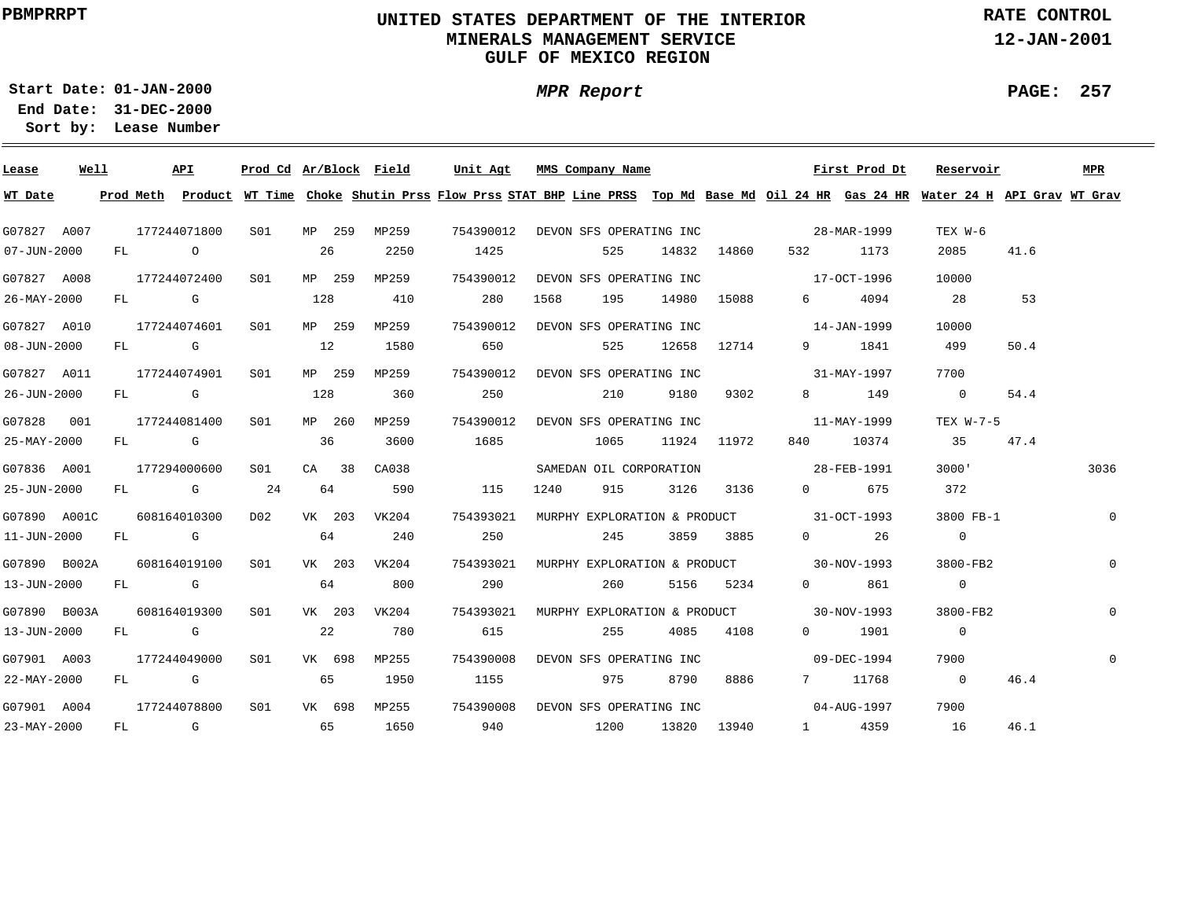# **UNITED STATES DEPARTMENT OF THE INTERIOR MINERALS MANAGEMENT SERVICEGULF OF MEXICO REGION**

**RATE CONTROL**

**12-JAN-2001**

**01-JAN-2000Start Date:**

**31-DEC-2000 End Date: Lease Number Sort by:**

| Lease                     | Well |      | API          | Prod Cd Ar/Block Field |     |         |              | Unit Agt  |           |      | MMS Company Name                  |               |             |          | First Prod Dt                                                                                                                           | Reservoir      |      | MPR          |
|---------------------------|------|------|--------------|------------------------|-----|---------|--------------|-----------|-----------|------|-----------------------------------|---------------|-------------|----------|-----------------------------------------------------------------------------------------------------------------------------------------|----------------|------|--------------|
| WT Date                   |      |      |              |                        |     |         |              |           |           |      |                                   |               |             |          | Prod Meth Product WT Time Choke Shutin Prss Flow Prss STAT BHP Line PRSS Top Md Base Md Oil 24 HR Gas 24 HR Water 24 H API Grav WT Grav |                |      |              |
| G07827 A007               |      |      | 177244071800 | S01 MP 259             |     |         | MP259        |           |           |      |                                   |               |             |          | 754390012 DEVON SFS OPERATING INC 28-MAR-1999                                                                                           | TEX W-6        |      |              |
| $07 - JUN - 2000$         |      | FL O |              |                        | 26  |         | 2250         | 1425      |           |      | 525                               |               | 14832 14860 |          | 532 1173                                                                                                                                | 2085           | 41.6 |              |
| G07827 A008               |      |      | 177244072400 | S01                    |     | MP 259  | MP259        |           | 754390012 |      | DEVON SFS OPERATING INC           |               |             |          | $17 - OCT - 1996$                                                                                                                       | 10000          |      |              |
| 26-MAY-2000               |      |      | FL G         |                        | 128 |         | 410          |           | 280       | 1568 | 195 - 195                         |               | 14980 15088 |          | 6 4094                                                                                                                                  | 28             | 53   |              |
| G07827 A010               |      |      | 177244074601 | S01                    |     | MP 259  | MP259        |           |           |      | 754390012 DEVON SFS OPERATING INC |               |             |          | $14 - JAN - 1999$                                                                                                                       | 10000          |      |              |
| $08 - JUN - 2000$         |      |      | FL G         |                        | 12  |         | 1580         |           | 650       |      | 525                               |               | 12658 12714 |          | 9 1841                                                                                                                                  | 499            | 50.4 |              |
| G07827 A011               |      |      | 177244074901 | S01                    |     | MP 259  | MP259        |           |           |      | 754390012 DEVON SFS OPERATING INC |               |             |          | 31-MAY-1997                                                                                                                             | 7700           |      |              |
| 26-JUN-2000               |      |      | $FL$ G $G$   |                        | 128 |         | 360          |           | 250       |      | 210                               | 9180          | 9302        |          | 8 149                                                                                                                                   | $\overline{0}$ | 54.4 |              |
| G07828 001                |      |      | 177244081400 | S01                    |     | MP 260  | MP259        | 754390012 |           |      | DEVON SFS OPERATING INC           |               |             |          | 11-MAY-1999                                                                                                                             | TEX W-7-5      |      |              |
| 25-MAY-2000               |      |      | FL G         |                        | 36  |         | 3600         | 1685      |           |      | 1065                              |               | 11924 11972 | 840 — 10 | 10374                                                                                                                                   | 35             | 47.4 |              |
| G07836 A001               |      |      | 177294000600 | S01                    |     | $CA$ 38 | CA038        |           |           |      | SAMEDAN OIL CORPORATION           |               |             |          | 28-FEB-1991                                                                                                                             | 3000'          |      | 3036         |
| 25-JUN-2000               |      |      | $FL$ G 24    |                        |     | 64      | 590          |           | 115       | 1240 |                                   | 915 3126 3136 |             |          | 675<br>$\Omega$                                                                                                                         | 372            |      |              |
| G07890 A001C              |      |      | 608164010300 | DO 2                   |     | VK 203  | VK204        | 754393021 |           |      |                                   |               |             |          | MURPHY EXPLORATION & PRODUCT 31-OCT-1993                                                                                                | 3800 FB-1      |      |              |
| 11-JUN-2000 FL G          |      |      |              |                        | 64  |         | 240          |           | 250       |      | 245                               |               | 3859 3885   |          | $0 \qquad \qquad 26$                                                                                                                    | $\overline{0}$ |      |              |
| G07890 B002A 608164019100 |      |      |              | S01                    |     |         | VK 203 VK204 |           |           |      |                                   |               |             |          | 754393021 MURPHY EXPLORATION & PRODUCT 30-NOV-1993                                                                                      | 3800-FB2       |      | $\circ$      |
| 13-JUN-2000               |      |      | FL G         |                        | 64  |         | 800          |           | 290       |      | 260                               |               | 5156 5234   |          | 861<br>$\overline{0}$                                                                                                                   | $\overline{0}$ |      |              |
| G07890 B003A              |      |      | 608164019300 | S01                    |     |         | VK 203 VK204 |           |           |      |                                   |               |             |          | 754393021 MURPHY EXPLORATION & PRODUCT 30-NOV-1993                                                                                      | 3800-FB2       |      | $\mathbf{0}$ |
| 13-JUN-2000               |      |      | FL G         |                        | 22  |         | 780          |           | 615       |      | 255                               | 4085          | 4108        |          | 0 1901                                                                                                                                  | $\overline{0}$ |      |              |
| G07901 A003               |      |      | 177244049000 | S01                    |     | VK 698  | MP255        |           |           |      | 754390008 DEVON SFS OPERATING INC |               |             |          | 09-DEC-1994                                                                                                                             | 7900           |      | $\Omega$     |
| 22-MAY-2000               |      |      | FL G         |                        | 65  |         | 1950         | 1155      |           |      |                                   | 975 8790      | 8886        |          | 7 11768                                                                                                                                 | $\overline{0}$ | 46.4 |              |
| G07901 A004               |      |      | 177244078800 | S01                    |     | VK 698  | MP255        |           |           |      | 754390008 DEVON SFS OPERATING INC |               |             |          | $04 - \text{AUG} - 1997$                                                                                                                | 7900           |      |              |
| 23-MAY-2000               |      |      | FL G         | 65                     |     |         | 1650         |           | 940 —     |      | 1200 13820 13940                  |               |             |          | 1 4359                                                                                                                                  | 16             | 46.1 |              |

**PAGE: 257**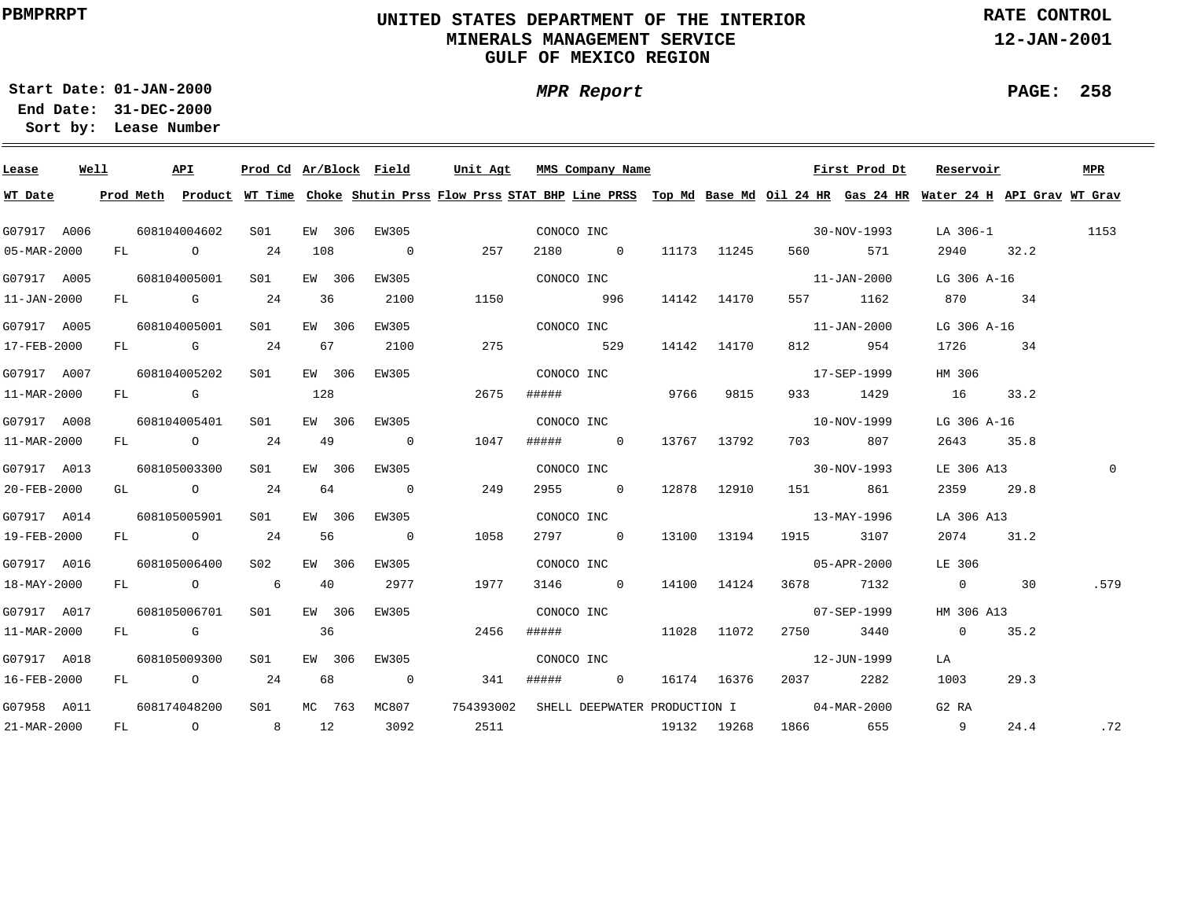# **UNITED STATES DEPARTMENT OF THE INTERIOR MINERALS MANAGEMENT SERVICEGULF OF MEXICO REGION**

**MPR Report**

**RATE CONTROL**

**12-JAN-2001**

**PAGE: 258**

÷

**01-JAN-2000Start Date:**

| Lease             | Well |      | API          | Prod Cd Ar/Block Field |     |        |                          | Unit Agt  |       | MMS Company Name             |      |             |                          | First Prod Dt     | Reservoir                                                                                                                               |      | MPR      |
|-------------------|------|------|--------------|------------------------|-----|--------|--------------------------|-----------|-------|------------------------------|------|-------------|--------------------------|-------------------|-----------------------------------------------------------------------------------------------------------------------------------------|------|----------|
| WT Date           |      |      |              |                        |     |        |                          |           |       |                              |      |             |                          |                   | Prod Meth Product WT Time Choke Shutin Prss Flow Prss STAT BHP Line PRSS Top Md Base Md Oil 24 HR Gas 24 HR Water 24 H API Grav WT Grav |      |          |
| G07917 A006       |      |      | 608104004602 | SO1                    |     | EW 306 | EW305                    |           |       | CONOCO INC                   |      |             | $30-NOV-1993$            |                   | LA 306-1                                                                                                                                |      | 1153     |
| 05-MAR-2000       |      |      | FL O         | 24                     | 108 |        | $\overline{0}$           | 257       |       | 2180 0                       |      | 11173 11245 | 560 — 10                 | 571               | 2940 32.2                                                                                                                               |      |          |
| G07917 A005       |      |      | 608104005001 | S01                    |     | EW 306 | EW305                    |           |       | CONOCO INC                   |      |             | $11 - JAN - 2000$        |                   | LG 306 A-16                                                                                                                             |      |          |
| $11 - JAN - 2000$ |      |      | FL G         | 24                     | 36  |        | 2100                     | 1150      |       | 996                          |      | 14142 14170 |                          | 557 1162          | 870                                                                                                                                     | 34   |          |
| G07917 A005       |      |      | 608104005001 | S01                    |     | EW 306 | EW305                    |           |       | CONOCO INC                   |      |             |                          | 11-JAN-2000       | LG 306 A-16                                                                                                                             |      |          |
| 17-FEB-2000       |      |      | FL G         | 24                     |     | 67     | 2100                     | 275       |       | 529                          |      | 14142 14170 | 812 72                   | 954               | 1726                                                                                                                                    | 34   |          |
| G07917 A007       |      |      | 608104005202 | S01                    |     | EW 306 | EW305                    |           |       | CONOCO INC                   |      |             |                          | 17-SEP-1999       | HM 306                                                                                                                                  |      |          |
| 11-MAR-2000       |      |      | FL G         |                        | 128 |        |                          | 2675      | ##### |                              | 9766 | 9815        | 933 — 100                | 1429              | 16                                                                                                                                      | 33.2 |          |
| G07917 A008       |      |      | 608104005401 | SO1                    |     | EW 306 | EW305                    |           |       | CONOCO INC                   |      |             |                          | 10-NOV-1999       | LG 306 A-16                                                                                                                             |      |          |
| 11-MAR-2000       |      |      | FL O         | 24                     | 49  |        | $\overline{0}$           | 1047      | ##### | $\overline{0}$               |      | 13767 13792 | 703 — 10                 | 807               | 2643                                                                                                                                    | 35.8 |          |
| G07917 A013       |      |      | 608105003300 | S01                    |     | EW 306 | EW305                    |           |       | CONOCO INC                   |      |             |                          | $30 - NOV - 1993$ | LE 306 A13                                                                                                                              |      | $\Omega$ |
| 20-FEB-2000       |      |      | GL O         | 24                     | 64  |        | $\overline{0}$           | 249       |       | 2955 0                       |      | 12878 12910 |                          | 151 861           | 2359                                                                                                                                    | 29.8 |          |
| G07917 A014       |      |      | 608105005901 | S01                    |     | EW 306 | EW305                    |           |       | CONOCO INC                   |      |             | 13-MAY-1996              |                   | LA 306 A13                                                                                                                              |      |          |
| 19-FEB-2000       |      |      | FL O         | 24                     | 56  |        | $\overline{0}$           | 1058      |       | 2797 0                       |      | 13100 13194 | 1915 3107                |                   | 2074                                                                                                                                    | 31.2 |          |
| G07917 A016       |      |      | 608105006400 | S02                    |     | EW 306 | EW305                    |           |       | CONOCO INC                   |      |             |                          | 05-APR-2000       | LE 306                                                                                                                                  |      |          |
| 18-MAY-2000       |      |      | FL O         | $6\overline{6}$        | 40  |        | 2977                     | 1977      |       | 3146 0                       |      | 14100 14124 | 3678 7132                |                   | $\overline{0}$                                                                                                                          | 30   | .579     |
| G07917 A017       |      |      | 608105006701 | SO1                    |     | EW 306 | EW305                    |           |       | CONOCO INC                   |      |             |                          | 07-SEP-1999       | HM 306 A13                                                                                                                              |      |          |
| 11-MAR-2000       |      | FL G |              |                        | 36  |        |                          | 2456      | ##### |                              |      | 11028 11072 | 2750 3440                |                   | $\overline{0}$                                                                                                                          | 35.2 |          |
| G07917 A018       |      |      | 608105009300 | S01                    |     | EW 306 | EW305                    |           |       | CONOCO INC                   |      |             |                          | 12-JUN-1999       | LA                                                                                                                                      |      |          |
| 16-FEB-2000       |      |      | FL O         | 24                     | 68  |        | $\overline{\phantom{0}}$ | 341       | ##### | $\overline{\mathbf{0}}$      |      | 16174 16376 | 2037                     | 2282              | 1003                                                                                                                                    | 29.3 |          |
| G07958 A011       |      |      | 608174048200 | S01                    |     | MC 763 | MC807                    | 754393002 |       | SHELL DEEPWATER PRODUCTION I |      |             | $04 - \text{MAR} - 2000$ |                   | G2 RA                                                                                                                                   |      |          |
| 21-MAR-2000       |      |      | FL O         | 8                      | 12  |        | 3092                     | 2511      |       |                              |      | 19132 19268 | 1866 655                 |                   | $\overline{9}$                                                                                                                          | 24.4 | .72      |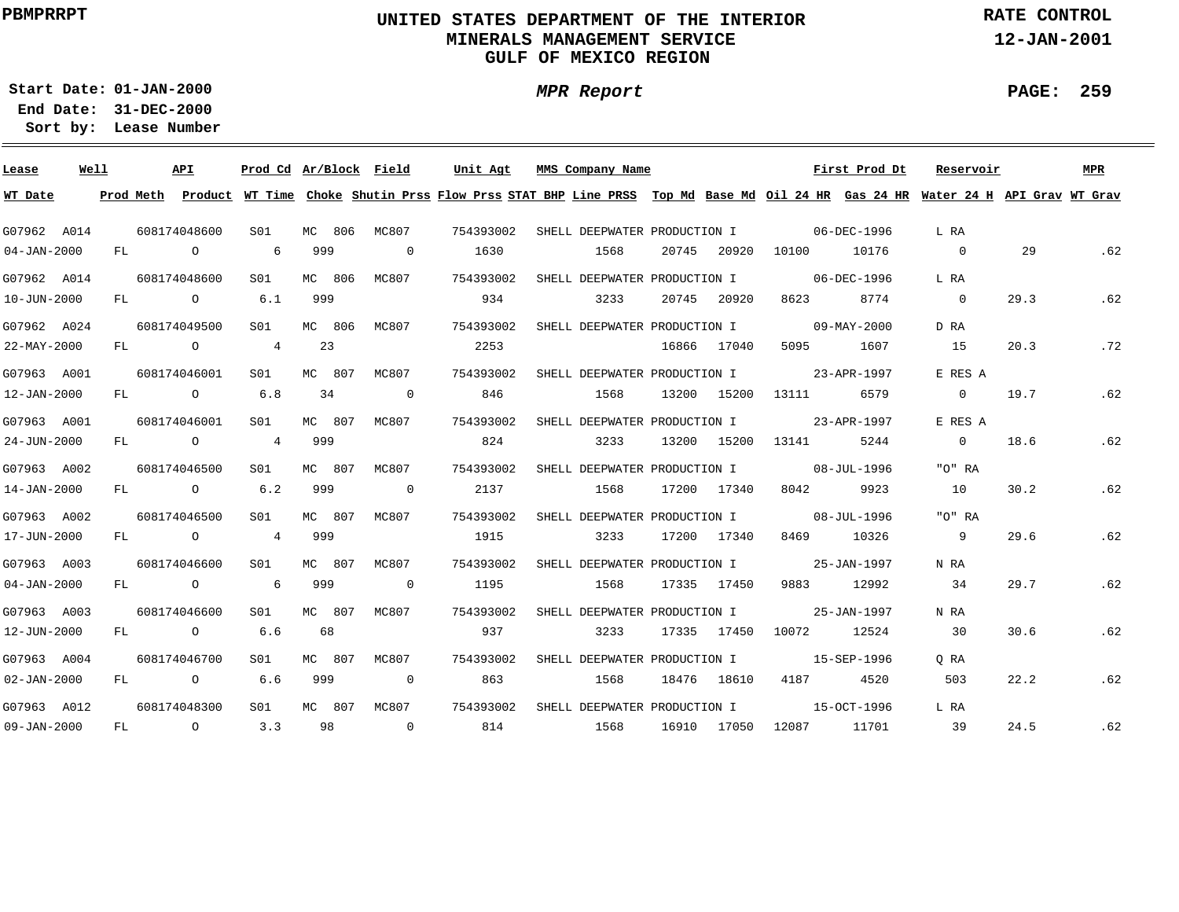# **UNITED STATES DEPARTMENT OF THE INTERIOR MINERALS MANAGEMENT SERVICEGULF OF MEXICO REGION**

**MPR Report**

**RATE CONTROL**

**12-JAN-2001**

**PAGE: 259**

÷

**01-JAN-2000Start Date:**

| Lease             | Well |    | API            |                 |        | Prod Cd Ar/Block Field   | Unit Agt  | MMS Company Name                                                                                                              |       |             |                   | First Prod Dt | Reservoir      |      | <b>MPR</b> |
|-------------------|------|----|----------------|-----------------|--------|--------------------------|-----------|-------------------------------------------------------------------------------------------------------------------------------|-------|-------------|-------------------|---------------|----------------|------|------------|
| WT Date           |      |    | Prod Meth      |                 |        |                          |           | Product WT Time Choke Shutin Prss Flow Prss STAT BHP Line PRSS Top Md Base Md Oil 24 HR Gas 24 HR Water 24 H API Grav WT Grav |       |             |                   |               |                |      |            |
| G07962 A014       |      |    | 608174048600   | SO1             | MC 806 | MC807                    | 754393002 | SHELL DEEPWATER PRODUCTION I                                                                                                  |       |             | $06 - DEC - 1996$ |               | L RA           |      |            |
| $04 - JAN - 2000$ |      | FL | $\circ$        | 6               | 999    | $\overline{0}$           | 1630      | 1568                                                                                                                          | 20745 | 20920       | 10100             | 10176         | $\overline{0}$ | 29   | .62        |
| G07962 A014       |      |    | 608174048600   | S <sub>01</sub> | MC 806 | MC807                    | 754393002 | SHELL DEEPWATER PRODUCTION I                                                                                                  |       |             |                   | 06-DEC-1996   | L RA           |      |            |
| 10-JUN-2000       |      |    | FL O           | 6.1             | 999    |                          | 934       | 3233                                                                                                                          | 20745 | 20920       | 8623              | 8774          | $\overline{0}$ | 29.3 | .62        |
| G07962 A024       |      |    | 608174049500   | S01             | MC 806 | MC807                    | 754393002 | SHELL DEEPWATER PRODUCTION I                                                                                                  |       |             |                   | 09-MAY-2000   | D RA           |      |            |
| 22-MAY-2000       |      | FL | $\circ$        | $4\overline{ }$ | 23     |                          | 2253      |                                                                                                                               |       | 16866 17040 | 5095              | 1607          | 15             | 20.3 | .72        |
| G07963 A001       |      |    | 608174046001   | S01             | MC 807 | MC807                    | 754393002 | SHELL DEEPWATER PRODUCTION I                                                                                                  |       |             |                   | 23-APR-1997   | E RES A        |      |            |
| 12-JAN-2000       |      | FL | $\overline{O}$ | 6.8             | 34     | $\overline{\phantom{0}}$ | 846       | 1568                                                                                                                          | 13200 | 15200       | 13111             | 6579          | $\overline{0}$ | 19.7 | .62        |
| G07963 A001       |      |    | 608174046001   | S01             | MC 807 | MC807                    | 754393002 | SHELL DEEPWATER PRODUCTION I                                                                                                  |       |             |                   | 23-APR-1997   | E RES A        |      |            |
| 24-JUN-2000       |      | FL | $\circ$        | $4\overline{ }$ | 999    |                          | 824       | 3233                                                                                                                          | 13200 | 15200       | 13141             | 5244          | $\overline{0}$ | 18.6 | .62        |
| G07963 A002       |      |    | 608174046500   | S01             | MC 807 | MC807                    | 754393002 | SHELL DEEPWATER PRODUCTION I                                                                                                  |       |             | 08-JUL-1996       |               | "O" RA         |      |            |
| 14-JAN-2000       |      | FL | $\overline{O}$ | 6.2             | 999    | $\overline{0}$           | 2137      | 1568                                                                                                                          |       | 17200 17340 | 8042              | 9923          | 10             | 30.2 | .62        |
| G07963 A002       |      |    | 608174046500   | S01             | MC 807 | MC807                    | 754393002 | SHELL DEEPWATER PRODUCTION I                                                                                                  |       |             | $08 - JUL - 1996$ |               | "O" RA         |      |            |
| 17-JUN-2000       |      | FL | $\overline{O}$ | 4               | 999    |                          | 1915      | 3233                                                                                                                          |       | 17200 17340 | 8469              | 10326         | 9              | 29.6 | .62        |
| G07963 A003       |      |    | 608174046600   | SO1             | MC 807 | MC807                    | 754393002 | SHELL DEEPWATER PRODUCTION I                                                                                                  |       |             |                   | 25-JAN-1997   | N RA           |      |            |
| $04 - JAN - 2000$ |      |    | FL O           | 6               | 999    | $\overline{0}$           | 1195      | 1568                                                                                                                          |       | 17335 17450 | 9883              | 12992         | 34             | 29.7 | .62        |
| G07963 A003       |      |    | 608174046600   | S01             | MC 807 | MC807                    | 754393002 | SHELL DEEPWATER PRODUCTION I                                                                                                  |       |             |                   | 25-JAN-1997   | N RA           |      |            |
| 12-JUN-2000       |      |    | $FL$ 0         | 6.6             | 68     |                          | 937       | 3233                                                                                                                          |       | 17335 17450 | 10072             | 12524         | 30             | 30.6 | .62        |
| G07963 A004       |      |    | 608174046700   | S01             | MC 807 | MC807                    | 754393002 | SHELL DEEPWATER PRODUCTION I                                                                                                  |       |             |                   | 15-SEP-1996   | O RA           |      |            |
| $02 - JAN - 2000$ |      | FL | $\overline{O}$ | 6.6             | 999    | $\overline{0}$           | 863       | 1568                                                                                                                          |       | 18476 18610 | 4187              | 4520          | 503            | 22.2 | .62        |
| G07963 A012       |      |    | 608174048300   | S01             | MC 807 | MC807                    | 754393002 | SHELL DEEPWATER PRODUCTION I                                                                                                  |       |             |                   | 15-OCT-1996   | L RA           |      |            |
| 09-JAN-2000       |      | FL | $\circ$ 0      | 3.3             | 98     | $\overline{0}$           | 814       | 1568                                                                                                                          |       | 16910 17050 | 12087             | 11701         | 39             | 24.5 | .62        |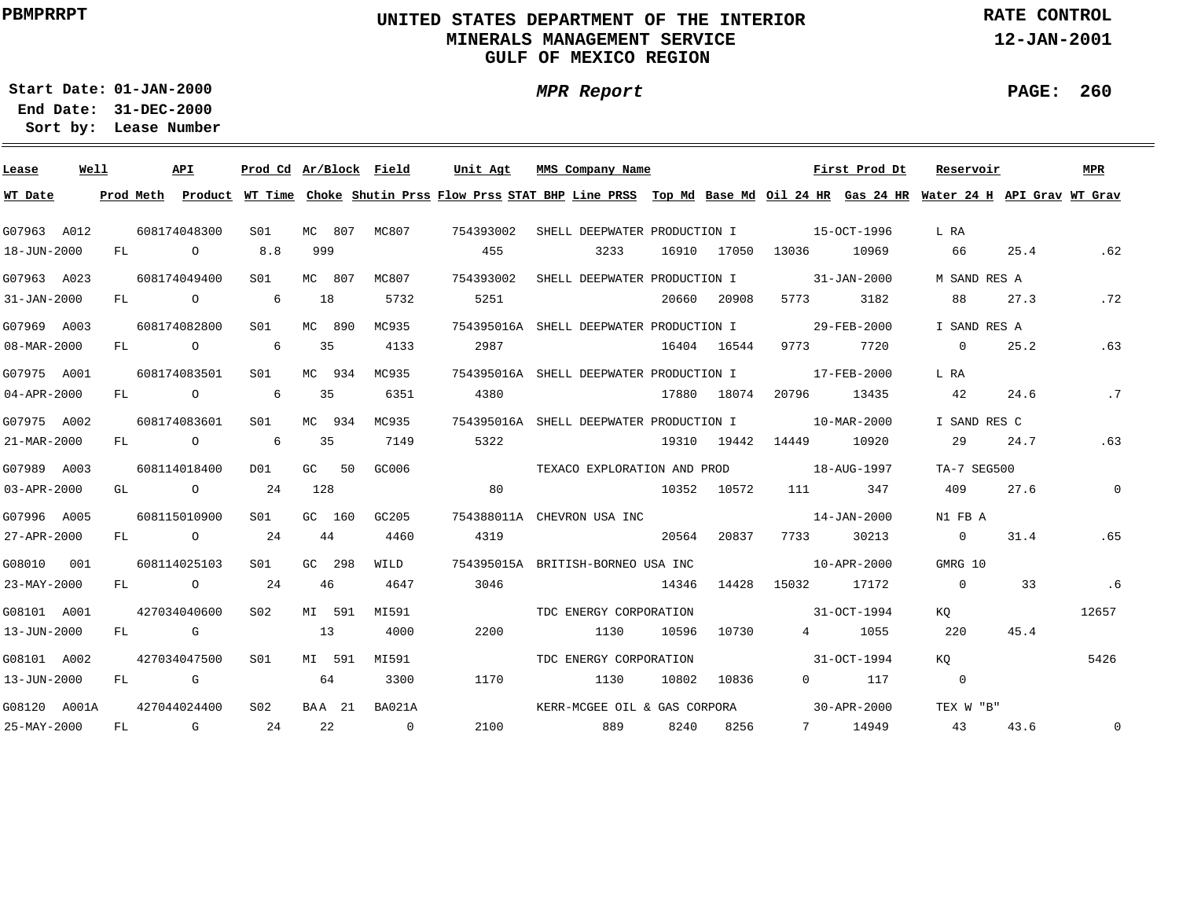# **UNITED STATES DEPARTMENT OF THE INTERIOR MINERALS MANAGEMENT SERVICEGULF OF MEXICO REGION**

**MPR Report**

**RATE CONTROL**

**12-JAN-2001**

**PAGE: 260**

÷

**01-JAN-2000Start Date:**

| Lease        | Well |    | API                                                                                                                                                                                                                            | Prod Cd Ar/Block Field |        |                | Unit Agt  | MMS Company Name                                                                                                                        |       |             |                          | First Prod Dt | Reservoir      |      | <b>MPR</b>     |
|--------------|------|----|--------------------------------------------------------------------------------------------------------------------------------------------------------------------------------------------------------------------------------|------------------------|--------|----------------|-----------|-----------------------------------------------------------------------------------------------------------------------------------------|-------|-------------|--------------------------|---------------|----------------|------|----------------|
| WT Date      |      |    |                                                                                                                                                                                                                                |                        |        |                |           | Prod Meth Product WT Time Choke Shutin Prss Flow Prss STAT BHP Line PRSS Top Md Base Md Oil 24 HR Gas 24 HR Water 24 H API Grav WT Grav |       |             |                          |               |                |      |                |
| G07963 A012  |      |    | 608174048300                                                                                                                                                                                                                   | S01                    | MC 807 | MC807          | 754393002 | SHELL DEEPWATER PRODUCTION I                                                                                                            |       |             | $15-9CT-1996$            |               | L RA           |      |                |
| 18-JUN-2000  |      |    | $\circ$<br>$FL$ and $FL$                                                                                                                                                                                                       | 8.8                    | 999    |                | 455       | 3233                                                                                                                                    |       | 16910 17050 | 13036                    | 10969         | 66             | 25.4 | .62            |
| G07963 A023  |      |    | 608174049400                                                                                                                                                                                                                   | S01                    | MC 807 | MC807          | 754393002 | SHELL DEEPWATER PRODUCTION I                                                                                                            |       |             | $31 - JAN - 2000$        |               | M SAND RES A   |      |                |
| 31-JAN-2000  |      |    | FL O                                                                                                                                                                                                                           | 6                      | 18     | 5732           | 5251      |                                                                                                                                         | 20660 | 20908       | 5773                     | 3182          | 88             | 27.3 | .72            |
| G07969 A003  |      |    | 608174082800                                                                                                                                                                                                                   | S01                    | MC 890 | MC935          |           | 754395016A SHELL DEEPWATER PRODUCTION I                                                                                                 |       |             |                          | 29-FEB-2000   | I SAND RES A   |      |                |
| 08-MAR-2000  |      | FL | $\overline{O}$                                                                                                                                                                                                                 | 6                      | 35     | 4133           | 2987      |                                                                                                                                         |       | 16404 16544 | 9773                     | 7720          | $\overline{0}$ | 25.2 | .63            |
| G07975 A001  |      |    | 608174083501                                                                                                                                                                                                                   | S01                    | MC 934 | MC935          |           | 754395016A SHELL DEEPWATER PRODUCTION I                                                                                                 |       |             | 17-FEB-2000              |               | L RA           |      |                |
| 04-APR-2000  |      |    | FL O                                                                                                                                                                                                                           | 6                      | 35     | 6351           | 4380      |                                                                                                                                         |       | 17880 18074 | 20796                    | 13435         | 42             | 24.6 | .7             |
| G07975 A002  |      |    | 608174083601                                                                                                                                                                                                                   | S01                    | MC 934 | MC935          |           | 754395016A SHELL DEEPWATER PRODUCTION I                                                                                                 |       |             | $10 - \text{MAR} - 2000$ |               | I SAND RES C   |      |                |
| 21-MAR-2000  |      |    | FL O                                                                                                                                                                                                                           | 6                      | 35     | 7149           | 5322      |                                                                                                                                         |       |             | 19310 19442 14449        | 10920         | 29             | 24.7 | .63            |
| G07989 A003  |      |    | 608114018400                                                                                                                                                                                                                   | DO1                    | GC 50  | GC006          |           | TEXACO EXPLORATION AND PROD                                                                                                             |       |             | $18 - \text{AUG} - 1997$ |               | TA-7 SEG500    |      |                |
| 03-APR-2000  |      |    | GL O                                                                                                                                                                                                                           | 24                     | 128    |                | 80        |                                                                                                                                         |       | 10352 10572 | 111 \,                   | 347           | 409            | 27.6 | $\overline{0}$ |
| G07996 A005  |      |    | 608115010900                                                                                                                                                                                                                   | SO1                    | GC 160 | GC205          |           | 754388011A CHEVRON USA INC                                                                                                              |       |             |                          | 14-JAN-2000   | N1 FB A        |      |                |
| 27-APR-2000  |      |    | $FL$ 0                                                                                                                                                                                                                         | 24                     | 44     | 4460           | 4319      |                                                                                                                                         | 20564 | 20837       | 7733                     | 30213         | $\overline{0}$ | 31.4 | .65            |
| G08010 001   |      |    | 608114025103                                                                                                                                                                                                                   | SO1                    | GC 298 | WILD           |           | 754395015A BRITISH-BORNEO USA INC                                                                                                       |       |             | $10 - APR - 2000$        |               | GMRG 10        |      |                |
| 23-MAY-2000  |      | FL | $\overline{O}$                                                                                                                                                                                                                 | 24                     | 46     | 4647           | 3046      |                                                                                                                                         | 14346 | 14428       | 15032 17172              |               | $\overline{0}$ | 33   | .6             |
| G08101 A001  |      |    | 427034040600                                                                                                                                                                                                                   | S02                    | MI 591 | MI591          |           | TDC ENERGY CORPORATION                                                                                                                  |       |             |                          | 31-OCT-1994   | KQ             |      | 12657          |
| 13-JUN-2000  |      | FL | in the Group of Group of the Group of the State of the State of the State of the State of the State of the State of the State of the State of the State of the State of the State of the State of the State of the State of th |                        | 13     | 4000           | 2200      | 1130                                                                                                                                    | 10596 | 10730       | $\overline{4}$           | 1055          | 220            | 45.4 |                |
| G08101 A002  |      |    | 427034047500                                                                                                                                                                                                                   | S <sub>01</sub>        | MI 591 | MI591          |           | TDC ENERGY CORPORATION                                                                                                                  |       |             |                          | 31-OCT-1994   | KO             |      | 5426           |
| 13-JUN-2000  |      | FL | and the control of the control of the control of the control of the control of the control of the control of the control of the control of the control of the control of the control of the control of the control of the cont |                        | 64     | 3300           | 1170      | 1130                                                                                                                                    | 10802 | 10836       | $\Omega$ and $\Omega$    | 117           | $\overline{0}$ |      |                |
| G08120 A001A |      |    | 427044024400                                                                                                                                                                                                                   | S <sub>02</sub>        | BAA 21 | BA021A         |           | KERR-MCGEE OIL & GAS CORPORA                                                                                                            |       |             | $30 - APR - 2000$        |               | TEX W "B"      |      |                |
| 25-MAY-2000  |      | FL | and the control of the control of the control of the control of the control of the control of the control of the control of the control of the control of the control of the control of the control of the control of the cont | 24                     | 22     | $\overline{0}$ | 2100      | 889                                                                                                                                     | 8240  | 8256        |                          | 7 14949       | 43             | 43.6 | $\circ$        |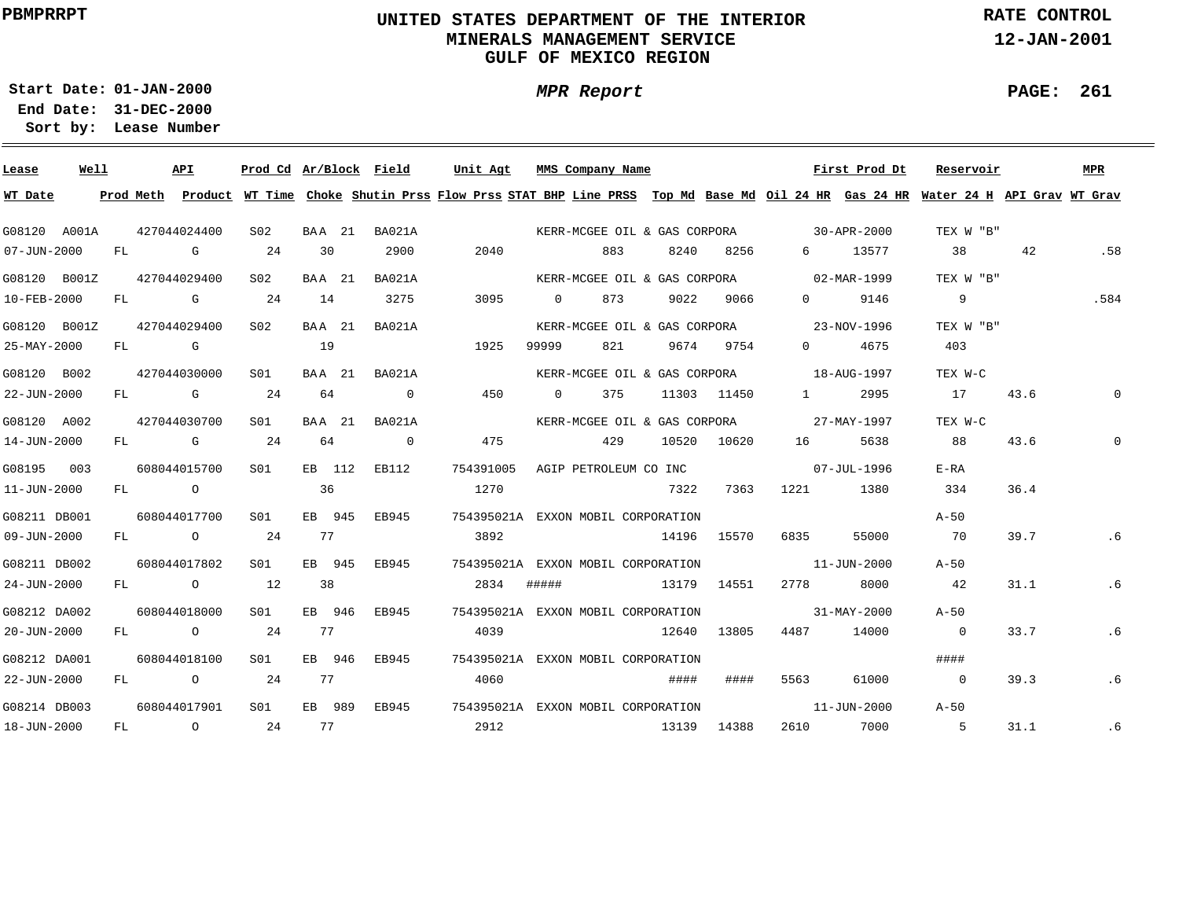# **UNITED STATES DEPARTMENT OF THE INTERIOR MINERALS MANAGEMENT SERVICEGULF OF MEXICO REGION**

**MPR Report**

**RATE CONTROL**

**12-JAN-2001**

**PAGE: 261**

÷

**01-JAN-2000Start Date:31-DEC-2000 End Date:** 

| Lease        | Well |    | API                                                                                                                                                                                                                            | Prod Cd Ar/Block Field |        |                          | Unit Agt                                                                                                                                |                | MMS Company Name |                              |             |                                          | First Prod Dt     | Reservoir      |      | MPR  |
|--------------|------|----|--------------------------------------------------------------------------------------------------------------------------------------------------------------------------------------------------------------------------------|------------------------|--------|--------------------------|-----------------------------------------------------------------------------------------------------------------------------------------|----------------|------------------|------------------------------|-------------|------------------------------------------|-------------------|----------------|------|------|
| WT Date      |      |    |                                                                                                                                                                                                                                |                        |        |                          | Prod Meth Product WT Time Choke Shutin Prss Flow Prss STAT BHP Line PRSS Top Md Base Md Oil 24 HR Gas 24 HR Water 24 H API Grav WT Grav |                |                  |                              |             |                                          |                   |                |      |      |
| G08120 A001A |      |    | 427044024400                                                                                                                                                                                                                   | S02                    | BAA 21 | BA021A                   |                                                                                                                                         |                |                  |                              |             | KERR-MCGEE OIL & GAS CORPORA 30-APR-2000 |                   | TEX W "B"      |      |      |
| 07-JUN-2000  |      | FL | G                                                                                                                                                                                                                              | 24                     | 30     | 2900                     | 2040                                                                                                                                    |                | 883              | 8240                         | 8256        | 6 — 1                                    | 13577             | 38             | 42   | .58  |
| G08120 B001Z |      |    | 427044029400                                                                                                                                                                                                                   | S <sub>02</sub>        | BAA 21 | BA021A                   |                                                                                                                                         |                |                  |                              |             | KERR-MCGEE OIL & GAS CORPORA 02-MAR-1999 |                   | TEX W "B"      |      |      |
| 10-FEB-2000  |      | FL | <b>G</b> G                                                                                                                                                                                                                     | 24                     | 14     | 3275                     | 3095                                                                                                                                    | $\overline{0}$ | 873              | 9022                         | 9066        | $0 \qquad \qquad$                        | 9146              | $\overline{9}$ |      | .584 |
| G08120 B001Z |      |    | 427044029400                                                                                                                                                                                                                   | S02                    | BAA 21 | BA021A                   |                                                                                                                                         |                |                  |                              |             | KERR-MCGEE OIL & GAS CORPORA 23-NOV-1996 |                   | TEX W "B"      |      |      |
| 25-MAY-2000  |      | FL | in the Group of Group of the Group of the State of the State of the State of the State of the State of the State of the State of the State of the State of the State of the State of the State of the State of the State of th |                        | 19     |                          | 1925                                                                                                                                    | 99999          | 821              |                              | 9674 9754   | $0 \qquad \qquad$                        | 4675              | 403            |      |      |
| G08120 B002  |      |    | 427044030000                                                                                                                                                                                                                   | SO1                    | BAA 21 | BA021A                   |                                                                                                                                         |                |                  | KERR-MCGEE OIL & GAS CORPORA |             | $18 - \text{AUG} - 1997$                 |                   | TEX W-C        |      |      |
| 22-JUN-2000  |      | FL | G                                                                                                                                                                                                                              | -24                    | 64     | $\overline{\phantom{0}}$ | 450                                                                                                                                     | $\Omega$       | 375              |                              | 11303 11450 | $1 \quad \cdots$                         | 2995              | 17             | 43.6 |      |
| G08120 A002  |      |    | 427044030700                                                                                                                                                                                                                   | S01                    | BAA 21 | BA021A                   |                                                                                                                                         |                |                  | KERR-MCGEE OIL & GAS CORPORA |             |                                          | 27-MAY-1997       | TEX W-C        |      |      |
| 14-JUN-2000  |      | FL | G                                                                                                                                                                                                                              | 24                     | 64     | $\overline{0}$           | 475                                                                                                                                     |                | 429              |                              | 10520 10620 | 16                                       | 5638              | 88             | 43.6 |      |
| G08195 003   |      |    | 608044015700                                                                                                                                                                                                                   | S01                    | EB 112 | EB112                    | 754391005                                                                                                                               |                |                  |                              |             | AGIP PETROLEUM CO INC 07-JUL-1996        |                   | $E - RA$       |      |      |
| 11-JUN-2000  |      |    | FL O                                                                                                                                                                                                                           |                        | 36     |                          | 1270                                                                                                                                    |                |                  | 7322                         | 7363        | 1221                                     | 1380              | 334            | 36.4 |      |
| G08211 DB001 |      |    | 608044017700                                                                                                                                                                                                                   | S01                    | EB 945 | EB945                    | 754395021A EXXON MOBIL CORPORATION                                                                                                      |                |                  |                              |             |                                          |                   | $A-50$         |      |      |
| 09-JUN-2000  |      |    | FL O                                                                                                                                                                                                                           | 24                     | 77     |                          | 3892                                                                                                                                    |                |                  |                              | 14196 15570 | 6835                                     | 55000             | 70             | 39.7 | . 6  |
| G08211 DB002 |      |    | 608044017802                                                                                                                                                                                                                   | SO1                    | EB 945 | EB945                    | 754395021A EXXON MOBIL CORPORATION                                                                                                      |                |                  |                              |             |                                          | 11-JUN-2000       | A-50           |      |      |
| 24-JUN-2000  |      |    | FL O                                                                                                                                                                                                                           | 12                     | 38     |                          | 2834                                                                                                                                    | #####          |                  |                              | 13179 14551 | 2778                                     | 8000              | 42             | 31.1 | . 6  |
| G08212 DA002 |      |    | 608044018000                                                                                                                                                                                                                   | S01                    | EB 946 | EB945                    | 754395021A EXXON MOBIL CORPORATION                                                                                                      |                |                  |                              |             |                                          | 31-MAY-2000       | $A-50$         |      |      |
| 20-JUN-2000  |      |    | FL O                                                                                                                                                                                                                           | 24                     | 77     |                          | 4039                                                                                                                                    |                |                  | 12640                        | 13805       | 4487                                     | 14000             | $\overline{0}$ | 33.7 | . 6  |
| G08212 DA001 |      |    | 608044018100                                                                                                                                                                                                                   | S01                    | EB 946 | EB945                    | 754395021A EXXON MOBIL CORPORATION                                                                                                      |                |                  |                              |             |                                          |                   | ####           |      |      |
| 22-JUN-2000  |      | FL | $\overline{O}$                                                                                                                                                                                                                 | 24                     | 77     |                          | 4060                                                                                                                                    |                |                  | ####                         | ####        | 5563                                     | 61000             | $\overline{0}$ | 39.3 | .6   |
| G08214 DB003 |      |    | 608044017901                                                                                                                                                                                                                   | S <sub>01</sub>        | EB 989 | EB945                    | 754395021A EXXON MOBIL CORPORATION                                                                                                      |                |                  |                              |             |                                          | $11 - JUN - 2000$ | $A-50$         |      |      |
| 18-JUN-2000  |      | FL | $\overline{O}$                                                                                                                                                                                                                 | 24                     | 77     |                          | 2912                                                                                                                                    |                |                  | 13139                        | 14388       | 2610                                     | 7000              | $\overline{5}$ | 31.1 | .6   |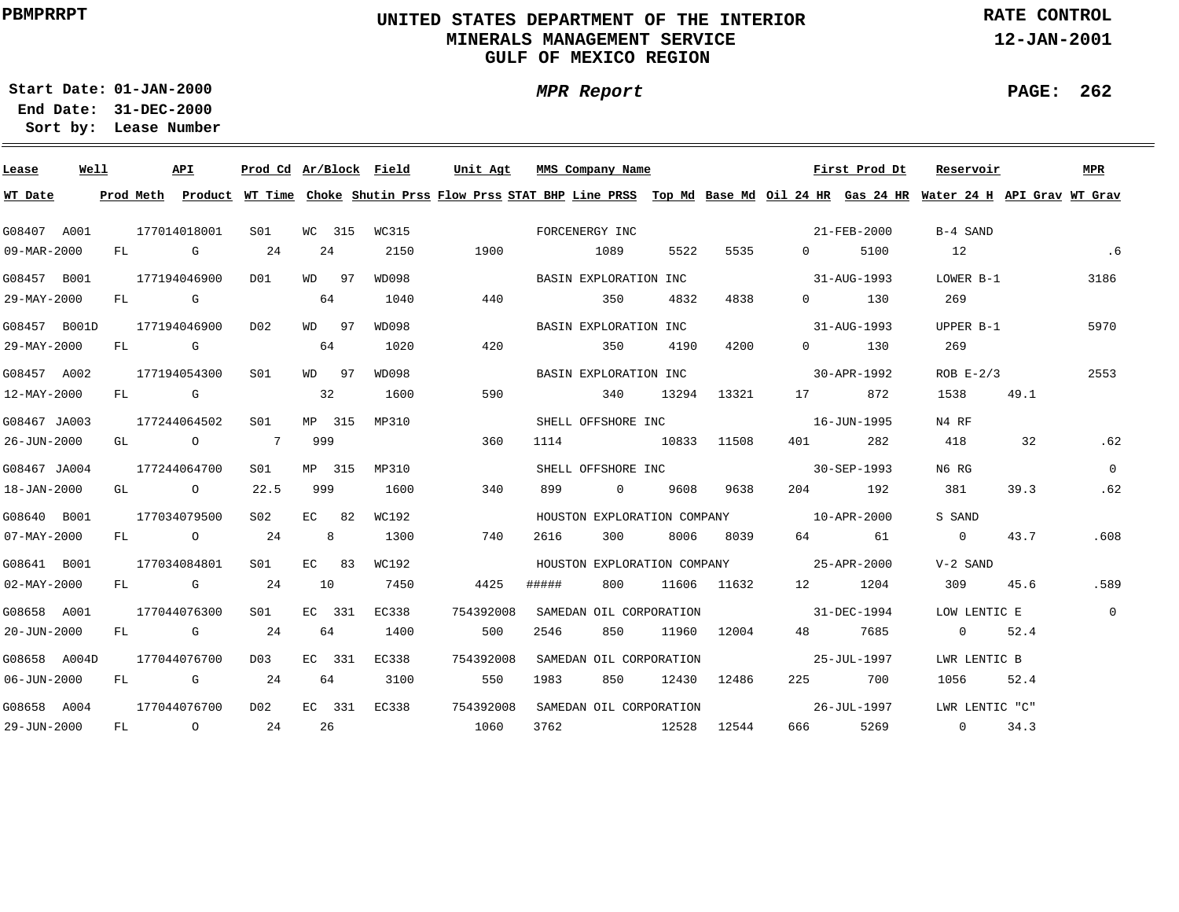# **UNITED STATES DEPARTMENT OF THE INTERIOR MINERALS MANAGEMENT SERVICEGULF OF MEXICO REGION**

**MPR Report**

**RATE CONTROL**

**12-JAN-2001**

**PAGE: 262**

÷

**01-JAN-2000Start Date:**

| Lease             | Well |    |                                                                                                                                                                                                                                | API            | Prod Cd Ar/Block Field |         |       | Unit Agt  |                | MMS Company Name            |       |             |                                         | First Prod Dt         | Reservoir                                                                                                                               |      | <b>MPR</b>     |
|-------------------|------|----|--------------------------------------------------------------------------------------------------------------------------------------------------------------------------------------------------------------------------------|----------------|------------------------|---------|-------|-----------|----------------|-----------------------------|-------|-------------|-----------------------------------------|-----------------------|-----------------------------------------------------------------------------------------------------------------------------------------|------|----------------|
| WT Date           |      |    |                                                                                                                                                                                                                                |                |                        |         |       |           |                |                             |       |             |                                         |                       | Prod Meth Product WT Time Choke Shutin Prss Flow Prss STAT BHP Line PRSS Top Md Base Md Oil 24 HR Gas 24 HR Water 24 H API Grav WT Grav |      |                |
| G08407 A001       |      |    |                                                                                                                                                                                                                                | 177014018001   | S01                    | WC 315  | WC315 |           | FORCENERGY INC |                             |       |             |                                         | 21-FEB-2000           | B-4 SAND                                                                                                                                |      |                |
| 09-MAR-2000       |      |    |                                                                                                                                                                                                                                | FL G           | 24                     | 24      | 2150  | 1900      | 1089           |                             | 5522  | 5535        | $0 \qquad \qquad$                       | 5100                  | 12                                                                                                                                      |      | .6             |
| G08457 B001       |      |    |                                                                                                                                                                                                                                | 177194046900   | D01                    | WD 97   | WD098 |           |                | BASIN EXPLORATION INC       |       |             |                                         | 31-AUG-1993           | LOWER B-1                                                                                                                               |      | 3186           |
| 29-MAY-2000       |      | FL | and the Control Control Control Control Control Control Control Control Control Control Control Control Control Co                                                                                                             |                |                        | 64      | 1040  | 440       |                | 350                         | 4832  | 4838        | $0 \qquad \qquad$                       | 130                   | 269                                                                                                                                     |      |                |
| G08457 B001D      |      |    |                                                                                                                                                                                                                                | 177194046900   | DO 2                   | WD 97   | WD098 |           |                | BASIN EXPLORATION INC       |       |             |                                         | 31-AUG-1993           | UPPER B-1                                                                                                                               |      | 5970           |
| 29-MAY-2000       |      | FL | <b>G</b> G                                                                                                                                                                                                                     |                |                        | 64      | 1020  | 420       |                | 350                         | 4190  | 4200        |                                         | $0 \qquad \qquad 130$ | 269                                                                                                                                     |      |                |
| G08457 A002       |      |    |                                                                                                                                                                                                                                | 177194054300   | S <sub>01</sub>        | WD 97   | WD098 |           |                | BASIN EXPLORATION INC       |       |             |                                         | 30-APR-1992           | $ROB E-2/3$                                                                                                                             |      | 2553           |
| 12-MAY-2000       |      | FL | discovered the control of the control of the control of the control of the control of the control of the control of the control of the control of the control of the control of the control of the control of the control of t |                |                        | 32      | 1600  | 590       |                | 340                         | 13294 | 13321       |                                         | 872                   | 1538                                                                                                                                    | 49.1 |                |
| G08467 JA003      |      |    |                                                                                                                                                                                                                                | 177244064502   | SO1                    | MP 315  | MP310 |           |                | SHELL OFFSHORE INC          |       |             |                                         | 16-JUN-1995           | N4 RF                                                                                                                                   |      |                |
| 26-JUN-2000       |      |    |                                                                                                                                                                                                                                | GL O           | $\overline{7}$         | 999     |       | 360       | 1114           |                             |       | 10833 11508 | 401 \                                   | 282                   | 418                                                                                                                                     | 32   | .62            |
| G08467 JA004      |      |    |                                                                                                                                                                                                                                | 177244064700   | S01                    | MP 315  | MP310 |           |                |                             |       |             | SHELL OFFSHORE INC 30-SEP-1993          |                       | N6 RG                                                                                                                                   |      | $\Omega$       |
| 18-JAN-2000       |      |    |                                                                                                                                                                                                                                | GL O           | 22.5                   | 999     | 1600  | 340       | 899            | $\sim$ 0                    |       | 9608 9638   |                                         | 204 192               | 381                                                                                                                                     | 39.3 | .62            |
| G08640 B001       |      |    |                                                                                                                                                                                                                                | 177034079500   | S02                    | $EC$ 82 | WC192 |           |                | HOUSTON EXPLORATION COMPANY |       |             | $10 - APR - 2000$                       |                       | S SAND                                                                                                                                  |      |                |
| $07 - MAX - 2000$ |      |    |                                                                                                                                                                                                                                | FL O           | 24                     | 8       | 1300  | 740       | 2616           | 300                         | 8006  | 8039        |                                         | 64 61                 | $\overline{0}$                                                                                                                          | 43.7 | .608           |
| G08641 B001       |      |    |                                                                                                                                                                                                                                | 177034084801   | S <sub>01</sub>        | $EC$ 83 | WC192 |           |                |                             |       |             | HOUSTON EXPLORATION COMPANY 25-APR-2000 |                       | V-2 SAND                                                                                                                                |      |                |
| $02 - MAX - 2000$ |      |    |                                                                                                                                                                                                                                | FL G           | 24                     | 10      | 7450  | 4425      | #####          | 800                         |       | 11606 11632 | 12 1204                                 |                       | 309                                                                                                                                     | 45.6 | .589           |
| G08658 A001       |      |    |                                                                                                                                                                                                                                | 177044076300   | SO1                    | EC 331  | EC338 | 754392008 |                | SAMEDAN OIL CORPORATION     |       |             | 31-DEC-1994                             |                       | LOW LENTIC E                                                                                                                            |      | $\overline{0}$ |
| 20-JUN-2000       |      |    |                                                                                                                                                                                                                                | FL G           | 24                     | 64      | 1400  | 500       | 2546           | 850                         |       | 11960 12004 | 48 — 18                                 | 7685                  | $\overline{0}$                                                                                                                          | 52.4 |                |
| G08658 A004D      |      |    |                                                                                                                                                                                                                                | 177044076700   | D03                    | EC 331  | EC338 | 754392008 |                | SAMEDAN OIL CORPORATION     |       |             |                                         | 25-JUL-1997           | LWR LENTIC B                                                                                                                            |      |                |
| 06-JUN-2000       |      | FL |                                                                                                                                                                                                                                | <b>G</b>       | 24                     | 64      | 3100  | 550       | 1983           | 850                         | 12430 | 12486       |                                         | 225 700               | 1056                                                                                                                                    | 52.4 |                |
| G08658 A004       |      |    |                                                                                                                                                                                                                                | 177044076700   | D02                    | EC 331  | EC338 | 754392008 |                | SAMEDAN OIL CORPORATION     |       |             |                                         | 26-JUL-1997           | LWR LENTIC "C"                                                                                                                          |      |                |
| 29-JUN-2000       |      | FL |                                                                                                                                                                                                                                | $\overline{O}$ | 24                     | 26      |       | 1060      | 3762           | 12528 12544                 |       |             | 666 100                                 | 5269                  | $\overline{0}$                                                                                                                          | 34.3 |                |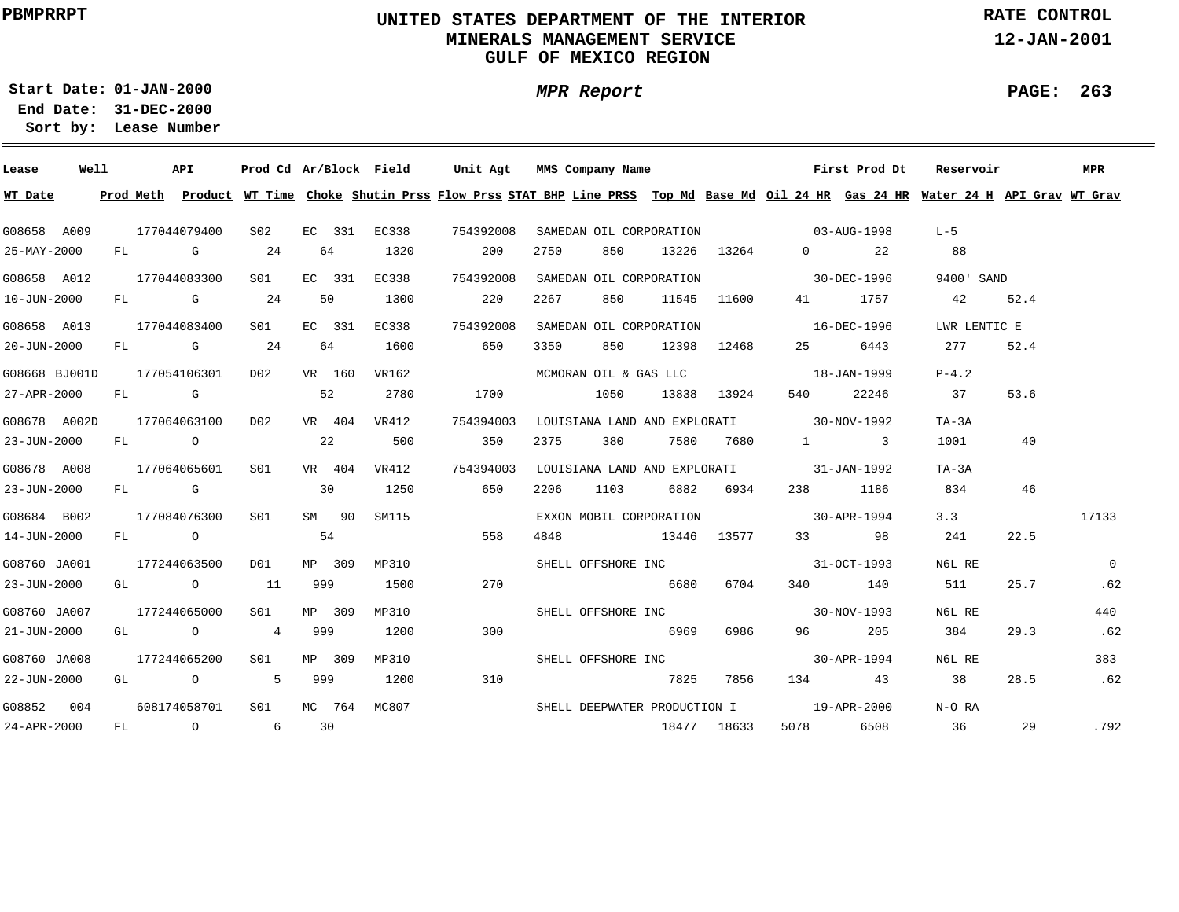# **UNITED STATES DEPARTMENT OF THE INTERIOR MINERALS MANAGEMENT SERVICEGULF OF MEXICO REGION**

**MPR Report**

**RATE CONTROL**

**12-JAN-2001**

**PAGE: 263**

**01-JAN-2000Start Date:31-DEC-2000 End Date:** 

| Lease         | Well |    | API          | Prod Cd Ar/Block Field                                 |     |        |       | Unit Agt                                                                                                                      | MMS Company Name             |                         |       |             |                                          | First Prod Dt | Reservoir    |      | <b>MPR</b> |
|---------------|------|----|--------------|--------------------------------------------------------|-----|--------|-------|-------------------------------------------------------------------------------------------------------------------------------|------------------------------|-------------------------|-------|-------------|------------------------------------------|---------------|--------------|------|------------|
| WT Date       |      |    | Prod Meth    |                                                        |     |        |       | Product WT Time Choke Shutin Prss Flow Prss STAT BHP Line PRSS Top Md Base Md Oil 24 HR Gas 24 HR Water 24 H API Grav WT Grav |                              |                         |       |             |                                          |               |              |      |            |
| G08658 A009   |      |    | 177044079400 | S02                                                    |     | EC 331 | EC338 | 754392008                                                                                                                     |                              | SAMEDAN OIL CORPORATION |       |             | $03 - \text{AUG} - 1998$                 |               | $L - 5$      |      |            |
| 25-MAY-2000   |      |    | FL G         | 24                                                     |     | 64     | 1320  | 200                                                                                                                           | 2750                         | 850                     |       | 13226 13264 | $0 \qquad \qquad$                        | 22            | 88           |      |            |
| G08658 A012   |      |    | 177044083300 | S01                                                    |     | EC 331 | EC338 | 754392008                                                                                                                     |                              | SAMEDAN OIL CORPORATION |       |             | $30 - DEC - 1996$                        |               | 9400' SAND   |      |            |
| 10-JUN-2000   |      |    | FL G         | 24                                                     |     | 50     | 1300  | 220                                                                                                                           | 2267                         | 850                     |       | 11545 11600 |                                          | 41 1757       | 42           | 52.4 |            |
| G08658 A013   |      |    | 177044083400 | S01                                                    |     | EC 331 | EC338 | 754392008                                                                                                                     |                              | SAMEDAN OIL CORPORATION |       |             | $16-DEC-1996$                            |               | LWR LENTIC E |      |            |
| 20-JUN-2000   |      |    | FL G         | 24                                                     |     | 64     | 1600  | 650                                                                                                                           | 3350                         | 850                     | 12398 | 12468       | 25                                       | 6443          | 277          | 52.4 |            |
| G08668 BJ001D |      |    | 177054106301 | D02                                                    |     | VR 160 | VR162 |                                                                                                                               |                              |                         |       |             | MCMORAN OIL & GAS LLC 18-JAN-1999        |               | $P-4.2$      |      |            |
| 27-APR-2000   |      |    | $FL$ G       | 52                                                     |     |        | 2780  | 1700                                                                                                                          |                              | 1050                    |       | 13838 13924 | 540 —                                    | 22246         | 37           | 53.6 |            |
| G08678 A002D  |      |    | 177064063100 | D02                                                    |     | VR 404 | VR412 | 754394003                                                                                                                     |                              |                         |       |             | LOUISIANA LAND AND EXPLORATI 30-NOV-1992 |               | TA-3A        |      |            |
| 23-JUN-2000   |      |    | FL O         |                                                        |     | 22     | 500   | 350                                                                                                                           | 2375                         | 380                     | 7580  | 7680        | $1 \qquad \qquad 3$                      |               | 1001         | 40   |            |
| G08678 A008   |      |    | 177064065601 | SO1                                                    |     | VR 404 | VR412 | 754394003                                                                                                                     |                              |                         |       |             | LOUISIANA LAND AND EXPLORATI 31-JAN-1992 |               | $TA-3A$      |      |            |
| 23-JUN-2000   |      |    | FL G         |                                                        | 30  |        | 1250  | 650                                                                                                                           | 2206                         | 1103                    | 6882  | 6934        |                                          | 238 1186      | 834          | 46   |            |
| G08684 B002   |      |    | 177084076300 | S01                                                    |     | SM 90  | SM115 |                                                                                                                               |                              | EXXON MOBIL CORPORATION |       |             | $30 - APR - 1994$                        |               | 3.3          |      | 17133      |
| 14-JUN-2000   |      |    | FL O         |                                                        |     | 54     |       | 558                                                                                                                           | 4848                         |                         |       | 13446 13577 |                                          | 33 98         | 241          | 22.5 |            |
| G08760 JA001  |      |    | 177244063500 | DO1                                                    |     | MP 309 | MP310 |                                                                                                                               |                              |                         |       |             | SHELL OFFSHORE INC 31-OCT-1993           |               | N6L RE       |      | $\Omega$   |
| 23-JUN-2000   |      |    | GL O         | 11                                                     | 999 |        | 1500  | 270                                                                                                                           |                              | 6680                    |       | 6704        |                                          | 340 140       | 511          | 25.7 | .62        |
| G08760 JA007  |      |    | 177244065000 | S01                                                    |     | MP 309 | MP310 |                                                                                                                               |                              | SHELL OFFSHORE INC      |       |             | $30 - NOV - 1993$                        |               | N6L RE       |      | 440        |
| 21-JUN-2000   |      |    | GL O         | $4\overline{4}$                                        | 999 |        | 1200  | 300                                                                                                                           |                              | 6969                    |       | 6986        | 96 11                                    | 205           | 384          | 29.3 | .62        |
| G08760 JA008  |      |    | 177244065200 | S01 <b>S</b>                                           |     | MP 309 | MP310 |                                                                                                                               |                              | SHELL OFFSHORE INC      |       |             | $30 - APR - 1994$                        |               | N6L RE       |      | 383        |
| 22-JUN-2000   |      |    | GL O         | $5^{\circ}$                                            | 999 |        | 1200  | 310                                                                                                                           |                              |                         | 7825  | 7856        |                                          | 134 43        | 38           | 28.5 | .62        |
| G08852 004    |      |    | 608174058701 | S01                                                    |     | MC 764 | MC807 |                                                                                                                               | SHELL DEEPWATER PRODUCTION I |                         |       |             | $19 - APR - 2000$                        |               | N-O RA       |      |            |
| 24-APR-2000   |      | FL |              | $\begin{array}{ccc} & & & 0 & \quad & & 6 \end{array}$ |     | 30     |       |                                                                                                                               |                              |                         |       | 18477 18633 | 5078 — 100                               | 6508          | 36           | 29   | .792       |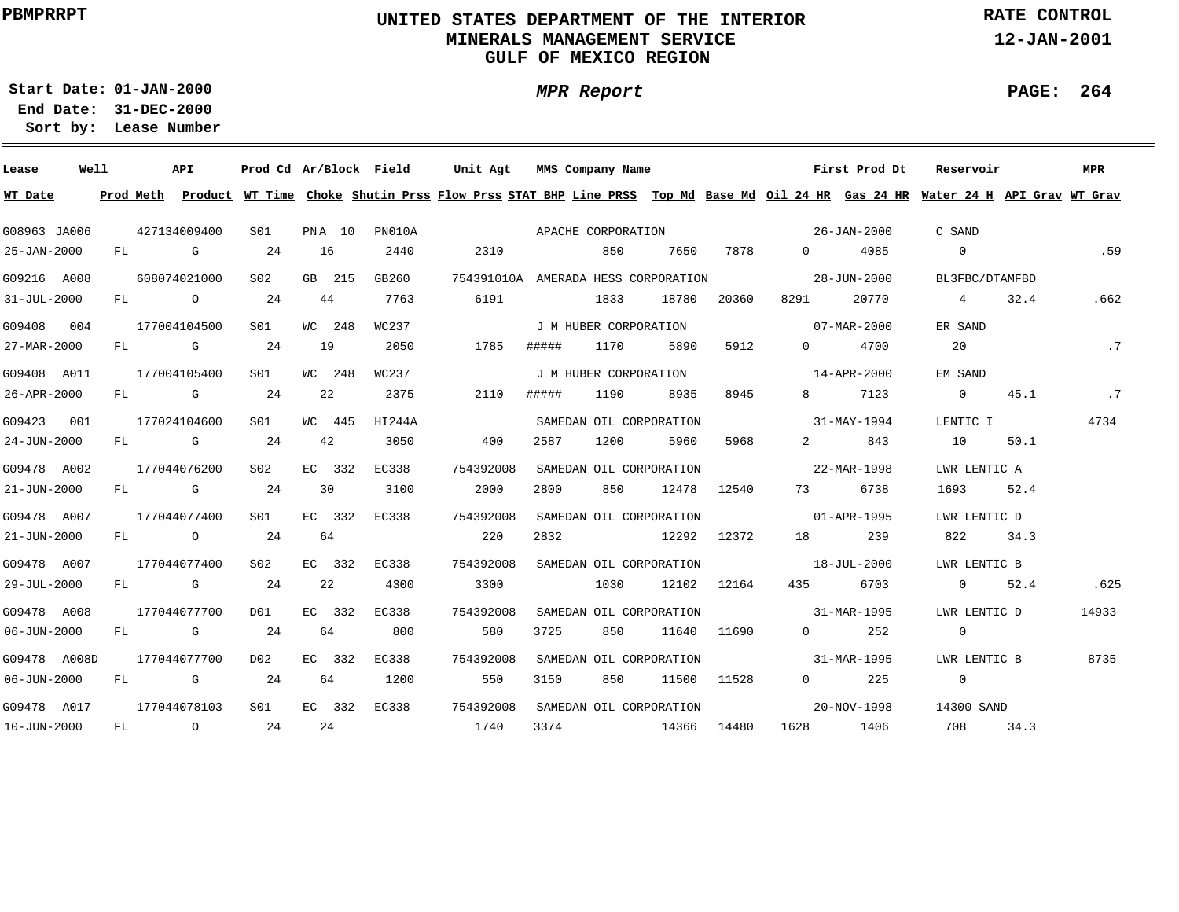# **UNITED STATES DEPARTMENT OF THE INTERIOR MINERALS MANAGEMENT SERVICEGULF OF MEXICO REGION**

**MPR Report**

**RATE CONTROL**

**12-JAN-2001**

**PAGE: 264**

÷

**01-JAN-2000Start Date:**

| Lease        | Well |    | API                                                                                                                                                                                                                            |                 |    |        | Prod Cd Ar/Block Field | Unit Agt                                                                                                                      | MMS Company Name      |      |                         |             |                                   | First Prod Dt | Reservoir      |      | MPR   |
|--------------|------|----|--------------------------------------------------------------------------------------------------------------------------------------------------------------------------------------------------------------------------------|-----------------|----|--------|------------------------|-------------------------------------------------------------------------------------------------------------------------------|-----------------------|------|-------------------------|-------------|-----------------------------------|---------------|----------------|------|-------|
| WT Date      |      |    | Prod Meth                                                                                                                                                                                                                      |                 |    |        |                        | Product WT Time Choke Shutin Prss Flow Prss STAT BHP Line PRSS Top Md Base Md Oil 24 HR Gas 24 HR Water 24 H API Grav WT Grav |                       |      |                         |             |                                   |               |                |      |       |
| G08963 JA006 |      |    | 427134009400                                                                                                                                                                                                                   | SO1             |    | PNA 10 | PN010A                 | APACHE CORPORATION                                                                                                            |                       |      |                         |             | 26-JAN-2000                       |               | C SAND         |      |       |
| 25-JAN-2000  |      | FL | <b>G</b> G                                                                                                                                                                                                                     | 24              |    | 16     | 2440                   | 2310                                                                                                                          |                       | 850  | 7650                    | 7878        | $\Omega$                          | 4085          | $\overline{0}$ |      | .59   |
| G09216 A008  |      |    | 608074021000                                                                                                                                                                                                                   | S <sub>02</sub> |    | GB 215 | GB260                  | 754391010A AMERADA HESS CORPORATION                                                                                           |                       |      |                         |             |                                   | 28-JUN-2000   | BL3FBC/DTAMFBD |      |       |
| 31-JUL-2000  |      |    | FL O                                                                                                                                                                                                                           | 24              |    | 44     | 7763                   | 6191                                                                                                                          |                       | 1833 | 18780                   | 20360       | 8291                              | 20770         | $\overline{4}$ | 32.4 | .662  |
| G09408 004   |      |    | 177004104500                                                                                                                                                                                                                   | S01             |    | WC 248 | WC237                  |                                                                                                                               | J M HUBER CORPORATION |      |                         |             |                                   | 07-MAR-2000   | ER SAND        |      |       |
| 27-MAR-2000  |      | FL | $\mathbb G$                                                                                                                                                                                                                    | 24              |    | 19     | 2050                   | 1785                                                                                                                          | #####                 | 1170 | 5890                    | 5912        | $\Omega$                          | 4700          | 20             |      | .7    |
| G09408 A011  |      |    | 177004105400                                                                                                                                                                                                                   | S01             |    | WC 248 | WC237                  |                                                                                                                               | J M HUBER CORPORATION |      |                         |             |                                   | 14-APR-2000   | EM SAND        |      |       |
| 26-APR-2000  |      | FL | and the control of the control of the control of the control of the control of the control of the control of the control of the control of the control of the control of the control of the control of the control of the cont |                 | 24 | 22     | 2375                   | 2110                                                                                                                          | #####                 | 1190 | 8935                    | 8945        | 8                                 | 7123          | $\overline{0}$ | 45.1 | .7    |
| G09423 001   |      |    | 177024104600                                                                                                                                                                                                                   | S01             |    | WC 445 | HI244A                 |                                                                                                                               |                       |      | SAMEDAN OIL CORPORATION |             |                                   | 31-MAY-1994   | LENTIC I       |      | 4734  |
| 24-JUN-2000  |      | FL | <b>G</b> G                                                                                                                                                                                                                     | 24              |    | 42     | 3050                   | 400                                                                                                                           | 2587                  | 1200 | 5960                    | 5968        | $\overline{2}$ and $\overline{2}$ | 843           | 10             | 50.1 |       |
| G09478 A002  |      |    | 177044076200                                                                                                                                                                                                                   | S <sub>02</sub> |    | EC 332 | EC338                  | 754392008                                                                                                                     |                       |      | SAMEDAN OIL CORPORATION |             | 22-MAR-1998                       |               | LWR LENTIC A   |      |       |
| 21-JUN-2000  |      |    | FL G                                                                                                                                                                                                                           | 24              |    | 30     | 3100                   | 2000                                                                                                                          | 2800                  | 850  | 12478                   | 12540       | 73                                | 6738          | 1693           | 52.4 |       |
| G09478 A007  |      |    | 177044077400                                                                                                                                                                                                                   | S01             |    | EC 332 | EC338                  | 754392008                                                                                                                     |                       |      | SAMEDAN OIL CORPORATION |             | $01 - APR - 1995$                 |               | LWR LENTIC D   |      |       |
| 21-JUN-2000  |      |    | FL O                                                                                                                                                                                                                           | 24              |    | 64     |                        | 220                                                                                                                           | 2832                  |      | 12292                   | 12372       |                                   | 239           | 822            | 34.3 |       |
| G09478 A007  |      |    | 177044077400                                                                                                                                                                                                                   | S02             |    | EC 332 | EC338                  | 754392008                                                                                                                     |                       |      | SAMEDAN OIL CORPORATION |             | $18 - JUL - 2000$                 |               | LWR LENTIC B   |      |       |
| 29-JUL-2000  |      |    | FL G                                                                                                                                                                                                                           | 24              |    | 22     | 4300                   | 3300                                                                                                                          |                       | 1030 |                         | 12102 12164 | 435                               | 6703          | $\overline{0}$ | 52.4 | .625  |
| G09478 A008  |      |    | 177044077700                                                                                                                                                                                                                   | DO1             |    | EC 332 | EC338                  | 754392008                                                                                                                     |                       |      | SAMEDAN OIL CORPORATION |             | 31-MAR-1995                       |               | LWR LENTIC D   |      | 14933 |
| 06-JUN-2000  |      | FL | <b>G</b> G                                                                                                                                                                                                                     | 24              |    | 64     | 800                    | 580                                                                                                                           | 3725                  | 850  | 11640                   | 11690       | $0 \qquad \qquad$                 | 252           | $\overline{0}$ |      |       |
| G09478 A008D |      |    | 177044077700                                                                                                                                                                                                                   | D02             |    | EC 332 | EC338                  | 754392008                                                                                                                     |                       |      | SAMEDAN OIL CORPORATION |             |                                   | 31-MAR-1995   | LWR LENTIC B   |      | 8735  |
| 06-JUN-2000  |      | FL | $\mathbf G$                                                                                                                                                                                                                    | 24              |    | 64     | 1200                   | 550                                                                                                                           | 3150                  | 850  |                         | 11500 11528 | $0 \qquad \qquad$                 | 225           | $\overline{0}$ |      |       |
| G09478 A017  |      |    | 177044078103                                                                                                                                                                                                                   | S01             |    | EC 332 | EC338                  | 754392008                                                                                                                     |                       |      | SAMEDAN OIL CORPORATION |             |                                   | 20-NOV-1998   | 14300 SAND     |      |       |
| 10-JUN-2000  |      | FL | $\overline{O}$                                                                                                                                                                                                                 |                 | 24 | 24     |                        | 1740                                                                                                                          | 3374                  |      |                         | 14366 14480 | 1628                              | 1406          | 708            | 34.3 |       |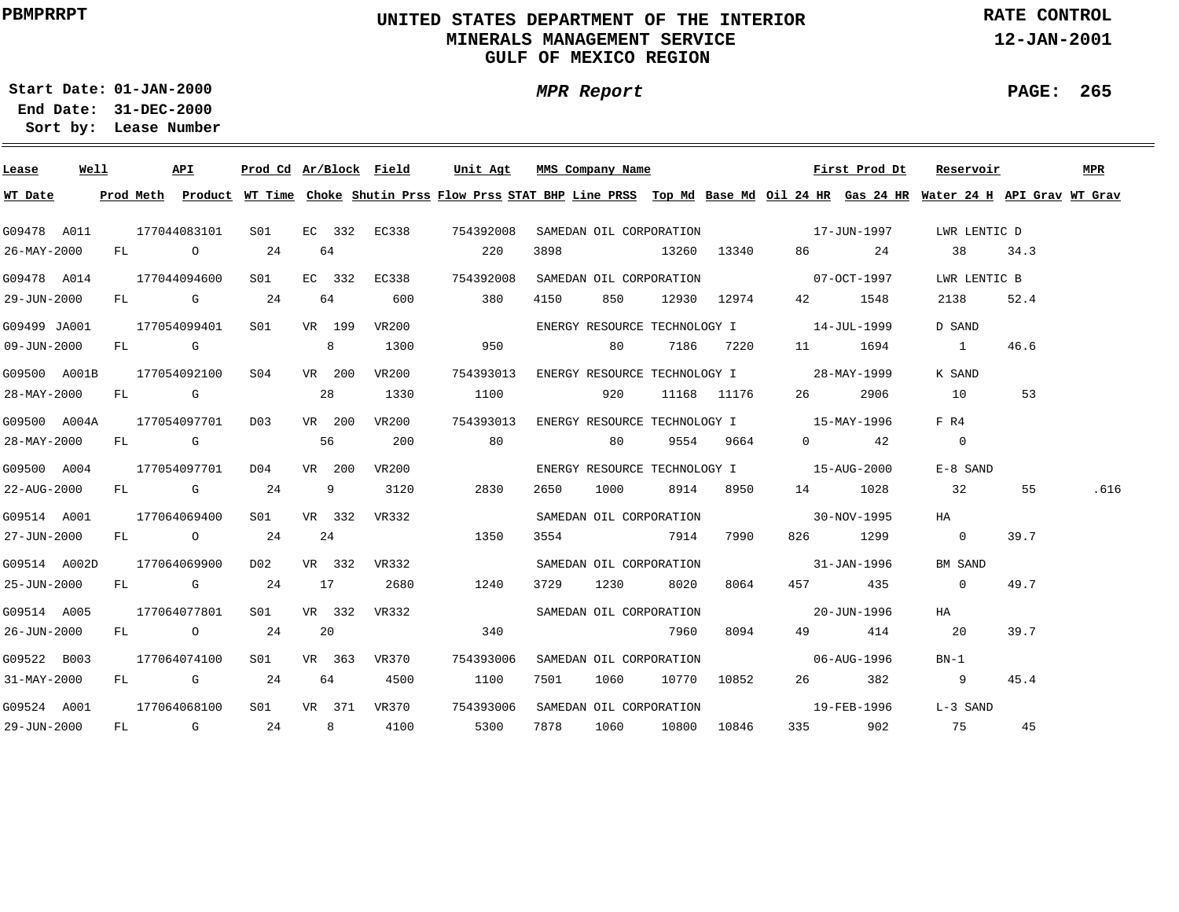# **UNITED STATES DEPARTMENT OF THE INTERIOR MINERALS MANAGEMENT SERVICEGULF OF MEXICO REGION**

**MPR Report**

**RATE CONTROL**

**12-JAN-2001**

**PAGE: 265**

**01-JAN-2000Start Date:31-DEC-2000 End Date:** 

| Lease        | <u>Well</u> |  | <b>API</b>       | Prod Cd Ar/Block Field  |        |        |                | Unit Agt                                                                                                                                |      | MMS Company Name        |           |                  |                                          | First Prod Dt                       | Reservoir      |      | MPR  |
|--------------|-------------|--|------------------|-------------------------|--------|--------|----------------|-----------------------------------------------------------------------------------------------------------------------------------------|------|-------------------------|-----------|------------------|------------------------------------------|-------------------------------------|----------------|------|------|
| WT Date      |             |  |                  |                         |        |        |                | Prod Meth Product WT Time Choke Shutin Prss Flow Prss STAT BHP Line PRSS Top Md Base Md Oil 24 HR Gas 24 HR Water 24 H API Grav WT Grav |      |                         |           |                  |                                          |                                     |                |      |      |
| G09478 A011  |             |  | 177044083101 S01 |                         |        |        |                | EC 332 EC338 754392008                                                                                                                  |      |                         |           |                  |                                          | SAMEDAN OIL CORPORATION 17-JUN-1997 | LWR LENTIC D   |      |      |
| 26-MAY-2000  |             |  | FL O             | 24                      | 64     |        |                | 220                                                                                                                                     | 3898 |                         |           | 13260 13340      |                                          | 86 24                               | 38             | 34.3 |      |
| G09478 A014  |             |  | 177044094600     | S01                     |        | EC 332 | EC338          | 754392008                                                                                                                               |      |                         |           |                  | SAMEDAN OIL CORPORATION 67-OCT-1997      |                                     | LWR LENTIC B   |      |      |
| 29-JUN-2000  |             |  | FL G 24          |                         | 64     |        | 600            | 380                                                                                                                                     | 4150 | 850                     |           |                  | 12930 12974 42 1548                      |                                     | 2138           | 52.4 |      |
| G09499 JA001 |             |  |                  | 177054099401 S01 VR 199 |        |        | VR200          |                                                                                                                                         |      |                         |           |                  | ENERGY RESOURCE TECHNOLOGY I 14-JUL-1999 |                                     | D SAND         |      |      |
| 09-JUN-2000  |             |  | FL G             |                         |        | 8 - 10 | 1300           | 950                                                                                                                                     |      | 80                      |           | 7186 7220        |                                          | 11 1694                             | $\sim$ 1       | 46.6 |      |
| G09500 A001B |             |  |                  | 177054092100 S04 VR 200 |        |        | VR 200         | 754393013                                                                                                                               |      |                         |           |                  | ENERGY RESOURCE TECHNOLOGY I 28-MAY-1999 |                                     | K SAND         |      |      |
| 28-MAY-2000  |             |  |                  | FL G 28                 |        |        | 1330           | 1100                                                                                                                                    |      | 920                     |           | 11168 11176      | 26 — 26                                  | 2906                                | 10             | 53   |      |
| G09500 A004A |             |  |                  |                         |        |        |                | 754393013                                                                                                                               |      |                         |           |                  | ENERGY RESOURCE TECHNOLOGY I 15-MAY-1996 |                                     | F R4           |      |      |
| 28-MAY-2000  |             |  | FL G             |                         | 56     |        | 200            | 80                                                                                                                                      |      | 80 9554                 |           | 9664             |                                          | $0 \qquad \qquad 42$                | $\overline{0}$ |      |      |
| G09500 A004  |             |  | 177054097701     | D04                     | VR 200 |        | VR200          |                                                                                                                                         |      |                         |           |                  | ENERGY RESOURCE TECHNOLOGY I 15-AUG-2000 |                                     | E-8 SAND       |      |      |
| 22-AUG-2000  |             |  | FL G 24          |                         |        | 9      | 3120           | 2830                                                                                                                                    | 2650 |                         | 1000 8914 | 8950             |                                          | 14 1028                             | 32             | 55   | .616 |
| G09514 A001  |             |  | 177064069400     | S01 <b>S</b>            | VR 332 |        | VR332          |                                                                                                                                         |      |                         |           |                  | SAMEDAN OIL CORPORATION 30-NOV-1995      |                                     | HA             |      |      |
| 27-JUN-2000  |             |  | FL 0 24          |                         | 24     |        |                | 1350                                                                                                                                    |      | 3554 7914               |           | 7990             |                                          | 826 1299                            | $\overline{0}$ | 39.7 |      |
| G09514 A002D |             |  | 177064069900     | D02 VR 332              |        |        | VR332          |                                                                                                                                         |      | SAMEDAN OIL CORPORATION |           |                  | $31 - JAN - 1996$                        |                                     | BM SAND        |      |      |
| 25-JUN-2000  |             |  | $FL$ G 24        |                         | 17     |        | 2680           | 1240                                                                                                                                    | 3729 | 1230 8020               |           | 8064             |                                          | 457 435                             | $\overline{0}$ | 49.7 |      |
| G09514 A005  |             |  | 177064077801     | S01 VR 332              |        |        | VR332          |                                                                                                                                         |      | SAMEDAN OIL CORPORATION |           |                  | $20 - JUN - 1996$                        |                                     | HA             |      |      |
| 26-JUN-2000  |             |  | FL 0 24          |                         | 20     |        |                | 340                                                                                                                                     |      |                         | 7960      | 8094             |                                          | 49 414                              | 20             | 39.7 |      |
| G09522 B003  |             |  | 177064074100     | S01                     |        |        | VR 363 VR370   | 754393006                                                                                                                               |      | SAMEDAN OIL CORPORATION |           |                  | $06 - \text{AUG} - 1996$                 |                                     | $BN-1$         |      |      |
| 31-MAY-2000  |             |  | $FL$ G 24        |                         |        | 64     | 4500           | 1100                                                                                                                                    | 7501 | 1060                    |           | 10770 10852      |                                          | 26 382                              | $\overline{9}$ | 45.4 |      |
| G09524 A001  |             |  | 177064068100 S01 |                         |        |        | VR 371 VR370   | 754393006                                                                                                                               |      | SAMEDAN OIL CORPORATION |           |                  | $19 - FEB - 1996$                        |                                     | $L-3$ SAND     |      |      |
| 29-JUN-2000  |             |  |                  |                         |        |        | FL G 24 8 4100 | 5300                                                                                                                                    | 7878 |                         |           | 1060 10800 10846 |                                          | 335 902                             | 75 45          |      |      |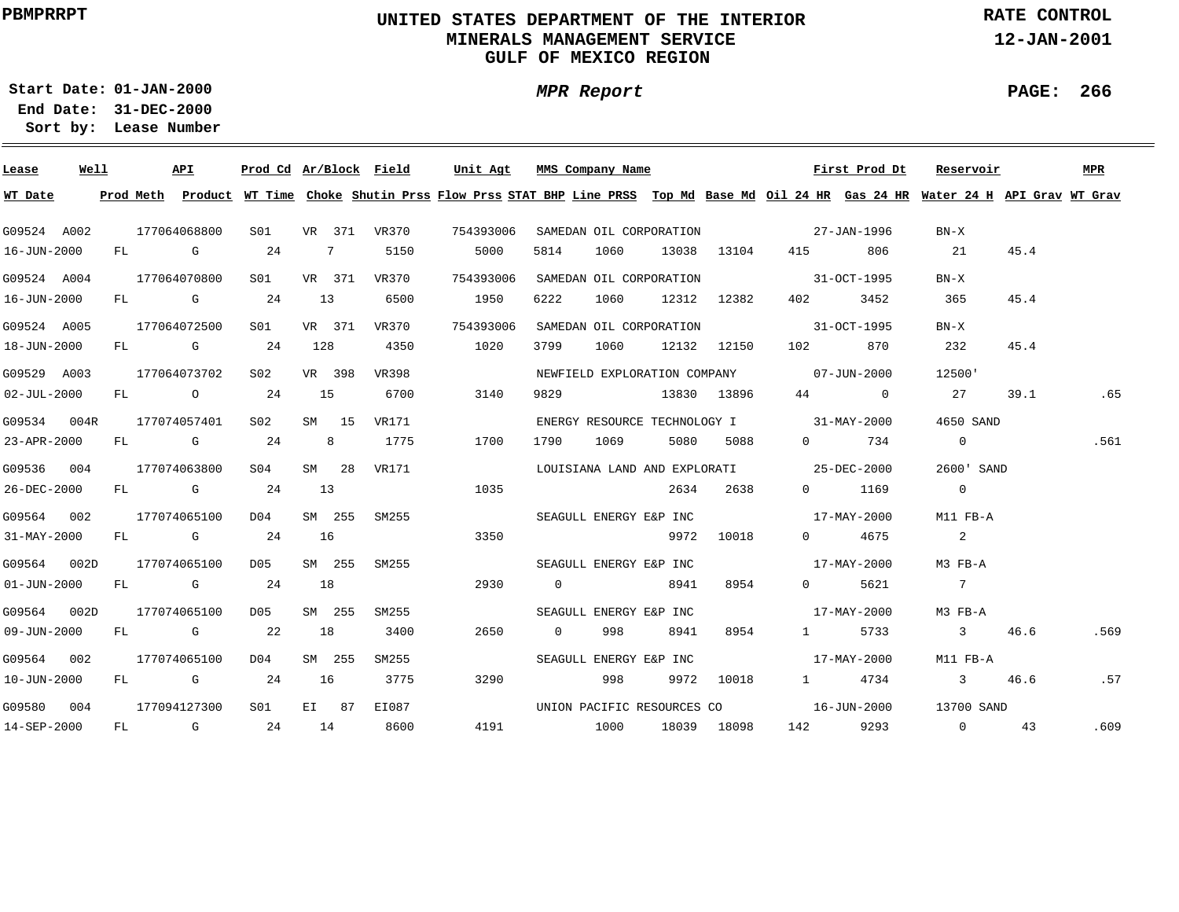# **UNITED STATES DEPARTMENT OF THE INTERIOR MINERALS MANAGEMENT SERVICEGULF OF MEXICO REGION**

**MPR Report**

**RATE CONTROL**

**12-JAN-2001**

**01-JAN-2000Start Date:**

**31-DEC-2000 End Date: Lease Number Sort by:**

| Lease             | Well |  | API          | Prod Cd Ar/Block Field |    |                 |              | Unit Agt  | MMS Company Name        |      |             |             |                                          | First Prod Dt | Reservoir                                                                                                                               |      | MPR  |
|-------------------|------|--|--------------|------------------------|----|-----------------|--------------|-----------|-------------------------|------|-------------|-------------|------------------------------------------|---------------|-----------------------------------------------------------------------------------------------------------------------------------------|------|------|
| WT Date           |      |  |              |                        |    |                 |              |           |                         |      |             |             |                                          |               | Prod Meth Product WT Time Choke Shutin Prss Flow Prss STAT BHP Line PRSS Top Md Base Md Oil 24 HR Gas 24 HR Water 24 H API Grav WT Grav |      |      |
| G09524 A002       |      |  | 177064068800 | S01 <b>S</b>           |    |                 | VR 371 VR370 | 754393006 |                         |      |             |             | SAMEDAN OIL CORPORATION 27-JAN-1996      |               | $BN-X$                                                                                                                                  |      |      |
| 16-JUN-2000       |      |  | $FL$ G 24    |                        |    | $7\overline{ }$ | 5150         | 5000      | 5814                    | 1060 |             |             | 13038 13104 415                          | 806           | 21                                                                                                                                      | 45.4 |      |
| G09524 A004       |      |  | 177064070800 | S01 VR 371 VR370       |    |                 |              | 754393006 | SAMEDAN OIL CORPORATION |      |             |             | $31-9CT-1995$                            |               | $BN-X$                                                                                                                                  |      |      |
| 16-JUN-2000       |      |  | $FL$ G 24    |                        | 13 |                 | 6500         | 1950      | 6222                    | 1060 |             | 12312 12382 | 402 and $\sim$                           | 3452          | 365                                                                                                                                     | 45.4 |      |
| G09524 A005       |      |  | 177064072500 | S01 <b>S</b>           |    | VR 371          | VR370        | 754393006 | SAMEDAN OIL CORPORATION |      |             |             | $31-9C$ T $-1995$                        |               | $BN-X$                                                                                                                                  |      |      |
| 18-JUN-2000       |      |  | FL G 24 128  |                        |    |                 | 4350         | 1020      | 3799                    | 1060 |             | 12132 12150 | 102                                      | 870           | 232                                                                                                                                     | 45.4 |      |
| G09529 A003       |      |  | 177064073702 | S02                    |    | VR 398          | VR398        |           |                         |      |             |             | NEWFIELD EXPLORATION COMPANY 07-JUN-2000 |               | 12500'                                                                                                                                  |      |      |
| $02 - JUL - 2000$ |      |  | FL 0 24      |                        |    | 15              | 6700         | 3140      | 9829                    |      | 13830 13896 |             |                                          | $44$ 0        | 27                                                                                                                                      | 39.1 | .65  |
| G09534 004R       |      |  | 177074057401 | S02                    |    | SM 15           | VR171        |           |                         |      |             |             | ENERGY RESOURCE TECHNOLOGY I 31-MAY-2000 |               | 4650 SAND                                                                                                                               |      |      |
| 23-APR-2000       |      |  | FL G 24      |                        |    | 8 <sup>1</sup>  | 1775         | 1700      | 1790                    | 1069 |             | 5080 5088   |                                          | 0 734         | $\overline{0}$                                                                                                                          |      | .561 |
| G09536 004        |      |  | 177074063800 | S04                    |    | SM 28           | VR171        |           |                         |      |             |             | LOUISIANA LAND AND EXPLORATI 25-DEC-2000 |               | 2600' SAND                                                                                                                              |      |      |
| 26-DEC-2000       |      |  | FL G 24      |                        | 13 |                 |              | 1035      |                         |      |             | 2634 2638   |                                          | 0 1169        | $\overline{0}$                                                                                                                          |      |      |
| G09564 002        |      |  | 177074065100 | D04                    |    | SM 255          | SM255        |           |                         |      |             |             | SEAGULL ENERGY E&P INC 17-MAY-2000       |               | M11 FB-A                                                                                                                                |      |      |
| 31-MAY-2000       |      |  | FL G 24      |                        | 16 |                 |              | 3350      |                         |      |             | 9972 10018  |                                          | 0 4675        | $\overline{\phantom{a}}$ 2                                                                                                              |      |      |
| G09564 002D       |      |  | 177074065100 | D05                    |    | SM 255          | SM255        |           |                         |      |             |             | SEAGULL ENERGY E&P INC 17-MAY-2000       |               | M3 FB-A                                                                                                                                 |      |      |
| $01 - JUN - 2000$ |      |  | FL G         | 24                     | 18 |                 |              | 2930      | $\overline{0}$          |      | 8941        | 8954        |                                          | 0 5621        | $\overline{7}$                                                                                                                          |      |      |
| G09564 002D       |      |  | 177074065100 | D05                    |    | SM 255          | SM255        |           | SEAGULL ENERGY E&P INC  |      |             |             | $17 - \text{MAX} - 2000$                 |               | M3 FB-A                                                                                                                                 |      |      |
| 09-JUN-2000       |      |  | FL G 22      |                        | 18 |                 | 3400         | 2650      | $\overline{0}$          | 998  | 8941        | 8954        |                                          | 1 5733        | $\overline{\mathbf{3}}$                                                                                                                 | 46.6 | .569 |
| G09564 002        |      |  | 177074065100 | D04                    |    | SM 255          | SM255        |           | SEAGULL ENERGY E&P INC  |      |             |             | $17 - \text{MAX} - 2000$                 |               | M11 FB-A                                                                                                                                |      |      |
| 10-JUN-2000       |      |  | $FL$ G 24    |                        | 16 |                 | 3775         | 3290      |                         | 998  |             | 9972 10018  |                                          | 1 4734        | 3 46.6                                                                                                                                  |      | .57  |
| G09580 004        |      |  | 177094127300 | S01                    |    | EI 87           | EI087        |           |                         |      |             |             | UNION PACIFIC RESOURCES CO 16-JUN-2000   |               | 13700 SAND                                                                                                                              |      |      |
| 14-SEP-2000       |      |  | FL G 24 14   |                        |    |                 | 8600         |           | 4191 1000               |      |             | 18039 18098 |                                          | 142 9293      | $\overline{0}$                                                                                                                          | 43   | .609 |

**PAGE: 266**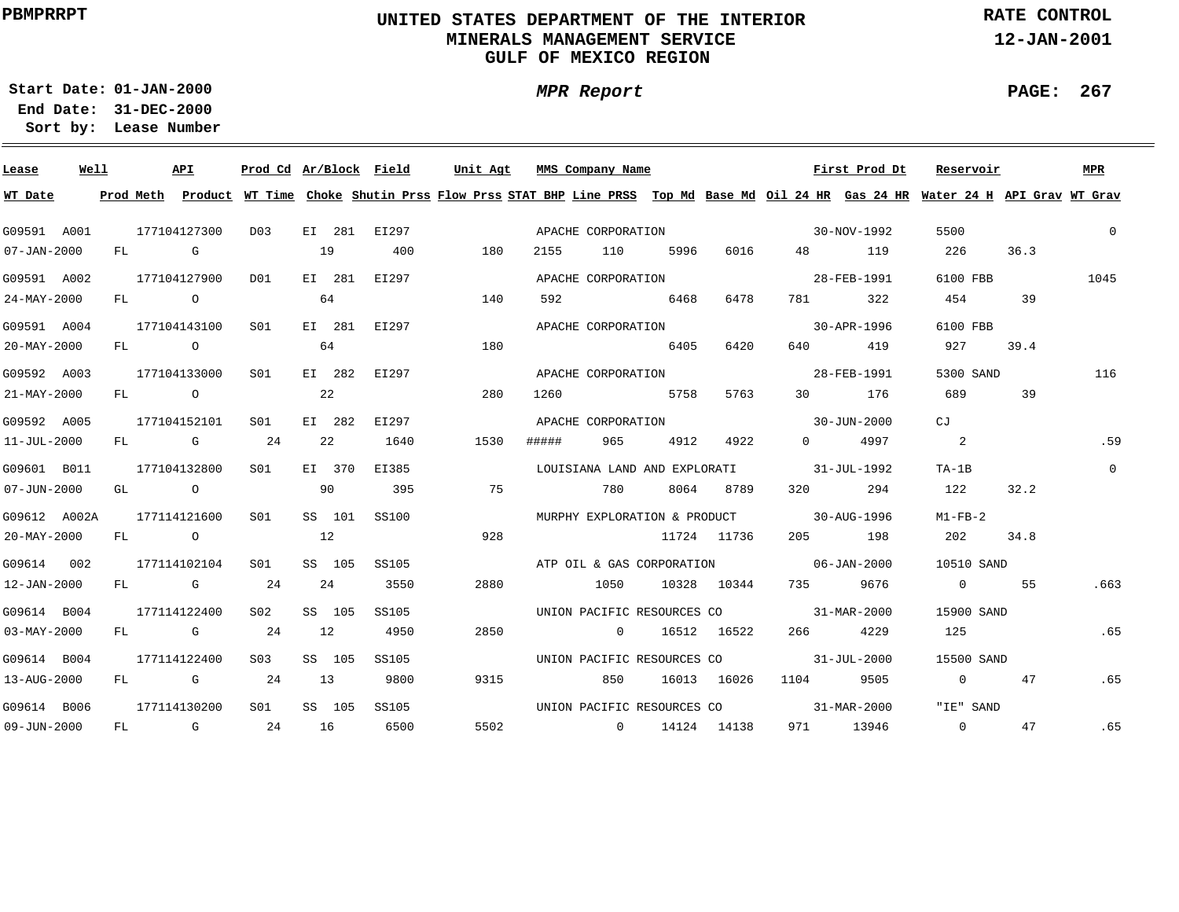# **UNITED STATES DEPARTMENT OF THE INTERIOR MINERALS MANAGEMENT SERVICEGULF OF MEXICO REGION**

**MPR Report**

**RATE CONTROL**

**12-JAN-2001**

**PAGE: 267**

÷

**01-JAN-2000Start Date:31-DEC-2000 End Date:** 

| Lease             | Well |    |      | API                                                                                                                                                                                                                                                                                                                                | Prod Cd Ar/Block Field |    |        |              | Unit Agt |       | MMS Company Name             |      |             |                                          | First Prod Dt            | Reservoir                                                                                                                               |      | MPR      |
|-------------------|------|----|------|------------------------------------------------------------------------------------------------------------------------------------------------------------------------------------------------------------------------------------------------------------------------------------------------------------------------------------|------------------------|----|--------|--------------|----------|-------|------------------------------|------|-------------|------------------------------------------|--------------------------|-----------------------------------------------------------------------------------------------------------------------------------------|------|----------|
| WT Date           |      |    |      |                                                                                                                                                                                                                                                                                                                                    |                        |    |        |              |          |       |                              |      |             |                                          |                          | Prod Meth Product WT Time Choke Shutin Prss Flow Prss STAT BHP Line PRSS Top Md Base Md Oil 24 HR Gas 24 HR Water 24 H API Grav WT Grav |      |          |
| G09591 A001       |      |    |      | 177104127300                                                                                                                                                                                                                                                                                                                       | D03                    |    |        | EI 281 EI297 |          |       | APACHE CORPORATION           |      |             | $30-NOV-1992$                            |                          | 5500                                                                                                                                    |      | $\Omega$ |
| $07 - JAN - 2000$ |      |    | FL G |                                                                                                                                                                                                                                                                                                                                    |                        | 19 |        | 400          | 180      | 2155  | 110                          | 5996 | 6016        | 48 — 18                                  | 119                      | 226                                                                                                                                     | 36.3 |          |
| G09591 A002       |      |    |      | 177104127900                                                                                                                                                                                                                                                                                                                       | D01                    |    |        | EI 281 EI297 |          |       | APACHE CORPORATION           |      |             | 28-FEB-1991                              |                          | 6100 FBB                                                                                                                                |      | 1045     |
| 24-MAY-2000       |      |    | FL O |                                                                                                                                                                                                                                                                                                                                    |                        |    | 64     |              | 140      | 592   |                              | 6468 | 6478        | 781 — 1                                  | 322                      | 454                                                                                                                                     | 39   |          |
| G09591 A004       |      |    |      | 177104143100                                                                                                                                                                                                                                                                                                                       | SO1                    |    |        | EI 281 EI297 |          |       | APACHE CORPORATION           |      |             |                                          | 30-APR-1996              | 6100 FBB                                                                                                                                |      |          |
| $20 - MAX - 2000$ |      |    |      | FL O                                                                                                                                                                                                                                                                                                                               |                        |    | 64     |              | 180      |       |                              | 6405 | 6420        | 640 640                                  | 419                      | 927                                                                                                                                     | 39.4 |          |
| G09592 A003       |      |    |      | 177104133000                                                                                                                                                                                                                                                                                                                       | S <sub>01</sub>        |    |        | EI 282 EI297 |          |       | APACHE CORPORATION           |      |             |                                          | 28-FEB-1991              | 5300 SAND                                                                                                                               |      | 116      |
| $21 - MAX - 2000$ |      | FL |      | $\overline{O}$ and $\overline{O}$ and $\overline{O}$ and $\overline{O}$ and $\overline{O}$ and $\overline{O}$ and $\overline{O}$ and $\overline{O}$ and $\overline{O}$ and $\overline{O}$ and $\overline{O}$ and $\overline{O}$ and $\overline{O}$ and $\overline{O}$ and $\overline{O}$ and $\overline{O}$ and $\overline{O}$ and |                        |    | 22     |              | 280      | 1260  |                              | 5758 | 5763        | 30                                       | 176                      | 689                                                                                                                                     | 39   |          |
| G09592 A005       |      |    |      | 177104152101                                                                                                                                                                                                                                                                                                                       | SO1                    |    |        | EI 282 EI297 |          |       | APACHE CORPORATION           |      |             |                                          | 30-JUN-2000              | CJ                                                                                                                                      |      |          |
| 11-JUL-2000       |      | FL |      | <b>G</b> 24                                                                                                                                                                                                                                                                                                                        |                        |    | 22     | 1640         | 1530     | ##### | 965                          | 4912 | 4922        | $\Omega$ and $\Omega$                    | 4997                     | 2                                                                                                                                       |      | .59      |
| G09601 B011       |      |    |      | 177104132800                                                                                                                                                                                                                                                                                                                       | S01                    |    | EI 370 | EI385        |          |       | LOUISIANA LAND AND EXPLORATI |      |             | 31-JUL-1992                              |                          | $TA-1B$                                                                                                                                 |      | $\Omega$ |
| $07 - JUN - 2000$ |      |    |      | GL O                                                                                                                                                                                                                                                                                                                               |                        | 90 |        | 395          | 75       |       | 780                          |      | 8064 8789   |                                          | 320 294                  | 122                                                                                                                                     | 32.2 |          |
| G09612 A002A      |      |    |      | 177114121600                                                                                                                                                                                                                                                                                                                       | SO1                    |    | SS 101 | SS100        |          |       |                              |      |             | MURPHY EXPLORATION & PRODUCT 30-AUG-1996 |                          | $M1-FB-2$                                                                                                                               |      |          |
| $20 - MAX - 2000$ |      |    |      | $FL$ 0                                                                                                                                                                                                                                                                                                                             |                        | 12 |        |              | 928      |       |                              |      | 11724 11736 |                                          | 205 198                  | 202                                                                                                                                     | 34.8 |          |
| G09614 002        |      |    |      | 177114102104                                                                                                                                                                                                                                                                                                                       | S01                    |    | SS 105 | SS105        |          |       |                              |      |             | ATP OIL & GAS CORPORATION 06-JAN-2000    |                          | 10510 SAND                                                                                                                              |      |          |
| 12-JAN-2000       |      |    |      | FL G                                                                                                                                                                                                                                                                                                                               | 24                     |    | 24     | 3550         | 2880     |       | 1050                         |      |             | 10328 10344 735 9676                     |                          | $\overline{0}$                                                                                                                          | 55   | .663     |
| G09614 B004       |      |    |      | 177114122400                                                                                                                                                                                                                                                                                                                       | S02                    |    | SS 105 | SS105        |          |       |                              |      |             | UNION PACIFIC RESOURCES CO 31-MAR-2000   |                          | 15900 SAND                                                                                                                              |      |          |
| $03 - MAX - 2000$ |      |    |      | FL G                                                                                                                                                                                                                                                                                                                               | 24                     | 12 |        | 4950         | 2850     |       | $\overline{0}$               |      | 16512 16522 | 266 — 1                                  | 4229                     | 125                                                                                                                                     |      | .65      |
| G09614 B004       |      |    |      | 177114122400                                                                                                                                                                                                                                                                                                                       | S03                    |    | SS 105 | SS105        |          |       | UNION PACIFIC RESOURCES CO   |      |             | $31 - JUL - 2000$                        |                          | 15500 SAND                                                                                                                              |      |          |
| 13-AUG-2000       |      | FL |      | <b>G</b> 24                                                                                                                                                                                                                                                                                                                        |                        | 13 |        | 9800         | 9315     |       | 850                          |      | 16013 16026 | 1104                                     | 9505                     | $\Omega$                                                                                                                                | 47   | .65      |
| G09614 B006       |      |    |      | 177114130200                                                                                                                                                                                                                                                                                                                       | S01                    |    | SS 105 | SS105        |          |       | UNION PACIFIC RESOURCES CO   |      |             |                                          | $31 - \text{MAR} - 2000$ | "IE" SAND                                                                                                                               |      |          |
| 09-JUN-2000       |      | FL |      | and the Company of the Company of the Company of the Company of the Company of the Company of the Company of the Company of the Company of the Company of the Company of the Company of the Company of the Company of the Comp                                                                                                     | 24                     | 16 |        | 6500         | 5502     |       | $0 \t 14124 \t 14138$        |      |             |                                          | 971 13946                | $\overline{0}$                                                                                                                          | 47   | .65      |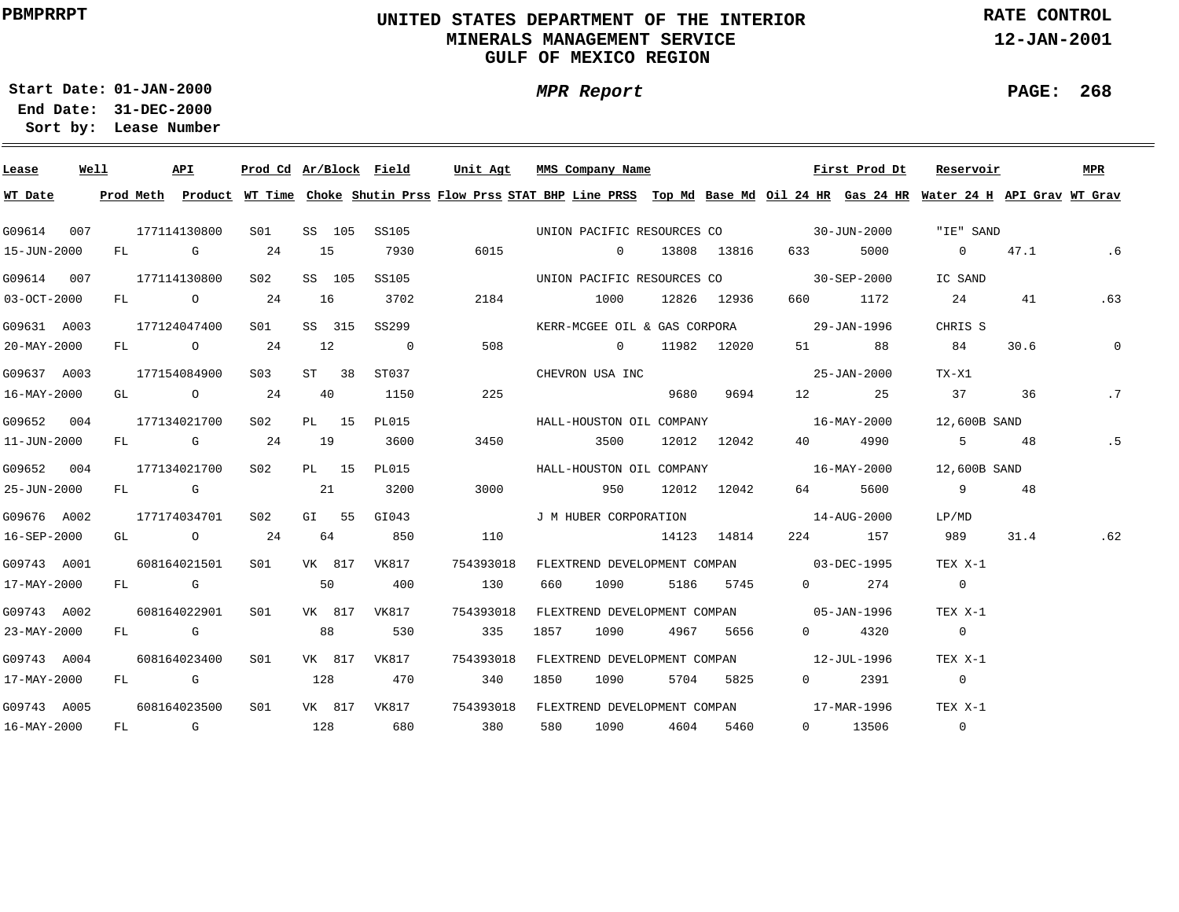# **UNITED STATES DEPARTMENT OF THE INTERIOR MINERALS MANAGEMENT SERVICEGULF OF MEXICO REGION**

**MPR Report**

**RATE CONTROL**

**12-JAN-2001**

**PAGE: 268**

÷

**01-JAN-2000Start Date:**

| Lease       | Well |  | API                     |                  |    |        |                          |           | <u>Prod Cd Ar/Block Field Unit Agt MMS Company Name</u>                                                                                 |      |                |                   | First Prod Dt         | Reservoir                |      | <b>MPR</b>  |
|-------------|------|--|-------------------------|------------------|----|--------|--------------------------|-----------|-----------------------------------------------------------------------------------------------------------------------------------------|------|----------------|-------------------|-----------------------|--------------------------|------|-------------|
| WT Date     |      |  |                         |                  |    |        |                          |           | Prod Meth Product WT Time Choke Shutin Prss Flow Prss STAT BHP Line PRSS Top Md Base Md Oil 24 HR Gas 24 HR Water 24 H API Grav WT Grav |      |                |                   |                       |                          |      |             |
| G09614 007  |      |  | 177114130800            | S01              |    |        | SS 105 SS105             |           | UNION PACIFIC RESOURCES CO 30-JUN-2000                                                                                                  |      |                |                   |                       | "IE" SAND                |      |             |
| 15-JUN-2000 |      |  | FL G 24                 |                  | 15 |        | 7930                     | 6015      | $\sim$ 0 $\sim$ 0 $\sim$ 0 $\sim$ 0 $\sim$                                                                                              |      | 13808 13816    | 633 — 100         | 5000                  | 0 $47.1$                 |      | .6          |
| G09614 007  |      |  | 177114130800            | S02              |    | SS 105 | SS105                    |           | UNION PACIFIC RESOURCES CO 30-SEP-2000                                                                                                  |      |                |                   |                       | IC SAND                  |      |             |
| 03-OCT-2000 |      |  | FL 0 24                 |                  | 16 |        | 3702                     | 2184      | 1000 12826 12936                                                                                                                        |      |                | 660 — 10          | 1172                  | 24                       | 41   | .63         |
| G09631 A003 |      |  | 177124047400            | S01              |    | SS 315 | SS299                    |           | KERR-MCGEE OIL & GAS CORPORA 29-JAN-1996                                                                                                |      |                |                   |                       | CHRIS S                  |      |             |
| 20-MAY-2000 |      |  | FL 0 24                 |                  | 12 |        | $\overline{\phantom{0}}$ | 508       | $0$ 11982 12020                                                                                                                         |      |                |                   | 51 88                 | 84                       | 30.6 | $\mathbf 0$ |
| G09637 A003 |      |  | 177154084900            | S <sub>0.3</sub> |    | ST 38  | ST037                    |           | CHEVRON USA INC                                                                                                                         |      |                | $25 - JAN - 2000$ |                       | TX-X1                    |      |             |
| 16-MAY-2000 |      |  | GL $\qquad \qquad$ 0 24 |                  | 40 |        | 1150                     | 225       |                                                                                                                                         |      | 9680 9694      |                   | 12 25                 | 37                       | 36   | .7          |
| G09652 004  |      |  | 177134021700            | S02              |    | PL 15  | PL015                    |           | HALL-HOUSTON OIL COMPANY 16-MAY-2000                                                                                                    |      |                |                   |                       | 12,600B SAND             |      |             |
| 11-JUN-2000 |      |  | $FL$ G 24               |                  | 19 |        | 3600                     | 3450      | 3500 12012 12042                                                                                                                        |      |                | 40 4990           |                       | $5 \t 48$                |      | .5          |
| G09652 004  |      |  | 177134021700            | S02 <b>S</b>     |    | PL 15  | PL015                    |           | HALL-HOUSTON OIL COMPANY 16-MAY-2000                                                                                                    |      |                |                   |                       | 12,600B SAND             |      |             |
| 25-JUN-2000 |      |  | $FL$ G 21               |                  |    |        | 3200                     | 3000      | 950                                                                                                                                     |      | 12012 12042    | 64                | 5600                  | 9 48                     |      |             |
| G09676 A002 |      |  | 177174034701            | S02 <b>S</b>     |    | GI 55  | GI043                    |           | J M HUBER CORPORATION 14-AUG-2000                                                                                                       |      |                |                   |                       | LP/MD                    |      |             |
| 16-SEP-2000 |      |  | GL 0 24                 |                  | 64 |        | 850                      | 110       |                                                                                                                                         |      | 14123 14814    |                   | 224 157               | 989                      | 31.4 | .62         |
| G09743 A001 |      |  | 608164021501            |                  |    |        | S01 VK 817 VK817         | 754393018 | FLEXTREND DEVELOPMENT COMPAN 03-DEC-1995                                                                                                |      |                |                   |                       | TEX X-1                  |      |             |
| 17-MAY-2000 |      |  | FL G                    | 50               |    |        | 400                      | 130       | 660                                                                                                                                     | 1090 | 5186 5745      |                   | $0 \qquad \qquad 274$ | $\sim$ 0                 |      |             |
| G09743 A002 |      |  | 608164022901            | S01              |    |        | VK 817 VK817             | 754393018 | FLEXTREND DEVELOPMENT COMPAN 05-JAN-1996                                                                                                |      |                |                   |                       | TEX X-1                  |      |             |
| 23-MAY-2000 |      |  | FL G                    |                  | 88 |        | 530                      | 335       | 1857                                                                                                                                    |      | 1090 4967 5656 |                   | $0 \t 4320$           | $\overline{\phantom{0}}$ |      |             |
| G09743 A004 |      |  | 608164023400            | S <sub>01</sub>  |    |        | VK 817 VK817             | 754393018 | FLEXTREND DEVELOPMENT COMPAN 12-JUL-1996                                                                                                |      |                |                   |                       | TEX X-1                  |      |             |
| 17-MAY-2000 |      |  | FL G                    |                  |    | 128    | 470                      | 340       | 1850                                                                                                                                    |      | 1090 5704 5825 |                   | $0 \t 2391$           | $\overline{0}$           |      |             |
| G09743 A005 |      |  | 608164023500            | S <sub>01</sub>  |    |        |                          |           | VK 817 VK817 754393018 FLEXTREND DEVELOPMENT COMPAN 17-MAR-1996 TEX X-1                                                                 |      |                |                   |                       |                          |      |             |
| 16-MAY-2000 |      |  | FL G 128 680            |                  |    |        |                          | 380       | 580 1090 4604 5460                                                                                                                      |      |                |                   | 0 13506               | $\overline{0}$           |      |             |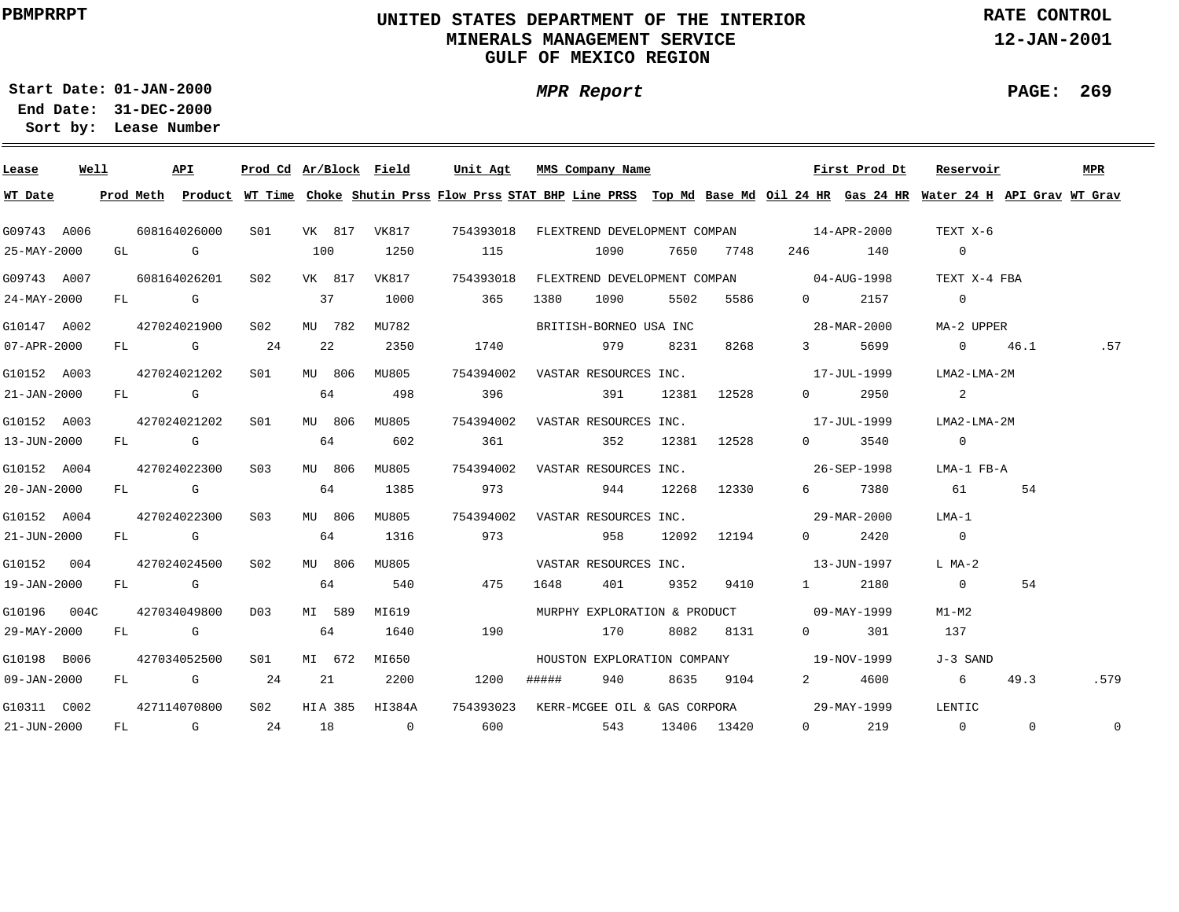# **UNITED STATES DEPARTMENT OF THE INTERIOR MINERALS MANAGEMENT SERVICEGULF OF MEXICO REGION**

**MPR Report**

**RATE CONTROL**

**12-JAN-2001**

**01-JAN-2000Start Date:31-DEC-2000 End Date:** 

**Lease Number Sort by:**

| Lease             | Well |  | API                     |                 |        |         | Prod Cd Ar/Block Field |      |     |       | Unit Agt MMS Company Name       |                 | First Prod Dt                                                                                                                           | Reservoir       |      |          | MPR      |
|-------------------|------|--|-------------------------|-----------------|--------|---------|------------------------|------|-----|-------|---------------------------------|-----------------|-----------------------------------------------------------------------------------------------------------------------------------------|-----------------|------|----------|----------|
| WT Date           |      |  |                         |                 |        |         |                        |      |     |       |                                 |                 | Prod Meth Product WT Time Choke Shutin Prss Flow Prss STAT BHP Line PRSS Top Md Base Md Oil 24 HR Gas 24 HR Water 24 H API Grav WT Grav |                 |      |          |          |
| G09743 A006       |      |  | 608164026000            |                 |        |         |                        |      |     |       |                                 |                 | S01 VK 817 VK817 754393018 FLEXTREND DEVELOPMENT COMPAN 14-APR-2000                                                                     | TEXT X-6        |      |          |          |
| 25-MAY-2000       |      |  | GL G                    |                 | 100    |         | 1250                   | 115  |     |       | 1090                            | 7650 7748       | 246 140                                                                                                                                 | $\overline{0}$  |      |          |          |
| G09743 A007       |      |  | 608164026201 S02 VK 817 |                 |        |         |                        |      |     |       |                                 |                 | VK817 754393018 FLEXTREND DEVELOPMENT COMPAN 04-AUG-1998                                                                                | TEXT X-4 FBA    |      |          |          |
| $24 - MAX - 2000$ |      |  | FL G                    |                 | 37     |         | 1000                   |      | 365 | 1380  | 1090                            | 5502 5586       | 2157<br>$\Omega$                                                                                                                        | $\overline{0}$  |      |          |          |
| G10147 A002       |      |  | 427024021900            | S02             |        | MTJ 782 | MU782                  |      |     |       | BRITISH-BORNEO USA INC          |                 | $28 - \text{MAR} - 2000$                                                                                                                | MA-2 UPPER      |      |          |          |
| 07-APR-2000       |      |  | $FL$ G 24               |                 | 22     |         | 2350                   | 1740 |     |       | 979                             | 8231 8268       | 5699<br>$3 \sim 3$                                                                                                                      | $0 \t 46.1$     |      |          | .57      |
| G10152 A003       |      |  | 427024021202 S01        |                 |        |         | MU 806 MU805           |      |     |       |                                 |                 |                                                                                                                                         | LMA2-LMA-2M     |      |          |          |
| 21-JAN-2000       |      |  | FL G                    |                 | 64     |         | 498                    |      | 396 |       | 391 —                           | 12381 12528     | 2950<br>$\Omega$                                                                                                                        | $\sim$ 2        |      |          |          |
| G10152 A003       |      |  | 427024021202 S01        |                 |        |         | MU 806 MU805           |      |     |       | 754394002 VASTAR RESOURCES INC. |                 | 17-JUL-1999                                                                                                                             | LMA2-LMA-2M     |      |          |          |
| 13-JUN-2000       |      |  | FL G C                  |                 | 64     |         | 602                    |      | 361 |       | 352                             | 12381 12528     | 0 3540                                                                                                                                  | $\overline{0}$  |      |          |          |
| G10152 A004       |      |  | 427024022300            | S03             | MU 806 |         | MU805                  |      |     |       |                                 |                 |                                                                                                                                         | LMA-1 FB-A      |      |          |          |
| $20 - JAN - 2000$ |      |  | FL G                    |                 | 64     |         | 1385                   | 973  |     |       |                                 | 944 12268 12330 | 6 7380                                                                                                                                  | 61              |      | 54       |          |
| G10152 A004       |      |  | 427024022300            | S03             | MU 806 |         | MU805                  |      |     |       |                                 |                 |                                                                                                                                         | LMA-1           |      |          |          |
| 21-JUN-2000       |      |  | FL G                    |                 | 64     |         | 1316                   | 973  |     |       | 958                             | 12092 12194     | $0 \t 2420$                                                                                                                             | $\overline{0}$  |      |          |          |
| G10152 004        |      |  | 427024024500            | S02             |        | MU 806  | MU805                  |      |     |       |                                 |                 | VASTAR RESOURCES INC. 13-JUN-1997                                                                                                       | L MA-2          |      |          |          |
| 19-JAN-2000       |      |  | FL G                    |                 | 64     |         | 540                    | 475  |     | 1648  |                                 | 401 9352 9410   | 2180<br>$1 \qquad \qquad$                                                                                                               | $\overline{0}$  |      | 54       |          |
| G10196 004C       |      |  | 427034049800            | D0.3            | MI 589 |         | MI619                  |      |     |       |                                 |                 | MURPHY EXPLORATION & PRODUCT 09-MAY-1999                                                                                                | M1-M2           |      |          |          |
| 29-MAY-2000       |      |  | FL G                    |                 | 64     |         | 1640                   | 190  |     |       | 170                             | 8082 8131       | $0$ 301                                                                                                                                 | 137             |      |          |          |
| G10198 B006       |      |  | 427034052500            | S01             |        | MI 672  | MI650                  |      |     |       |                                 |                 | HOUSTON EXPLORATION COMPANY 19-NOV-1999                                                                                                 | J-3 SAND        |      |          |          |
| $09 - JAN - 2000$ |      |  | FL G 24                 |                 | 21     |         | 2200                   | 1200 |     | ##### |                                 | 940 8635 9104   | 2 4600                                                                                                                                  | $6\overline{6}$ | 49.3 |          | .579     |
| G10311 C002       |      |  | 427114070800            | S <sub>02</sub> |        |         | HIA 385 HI384A         |      |     |       |                                 |                 | 754393023 KERR-MCGEE OIL & GAS CORPORA 29-MAY-1999                                                                                      | LENTIC          |      |          |          |
| 21-JUN-2000       |      |  | FL G 24 18              |                 |        |         | $\overline{0}$         |      |     |       | 600 543 13406 13420             |                 | $0 \qquad \qquad 219$                                                                                                                   | $\overline{0}$  |      | $\Omega$ | $\Omega$ |

**PAGE: 269**

÷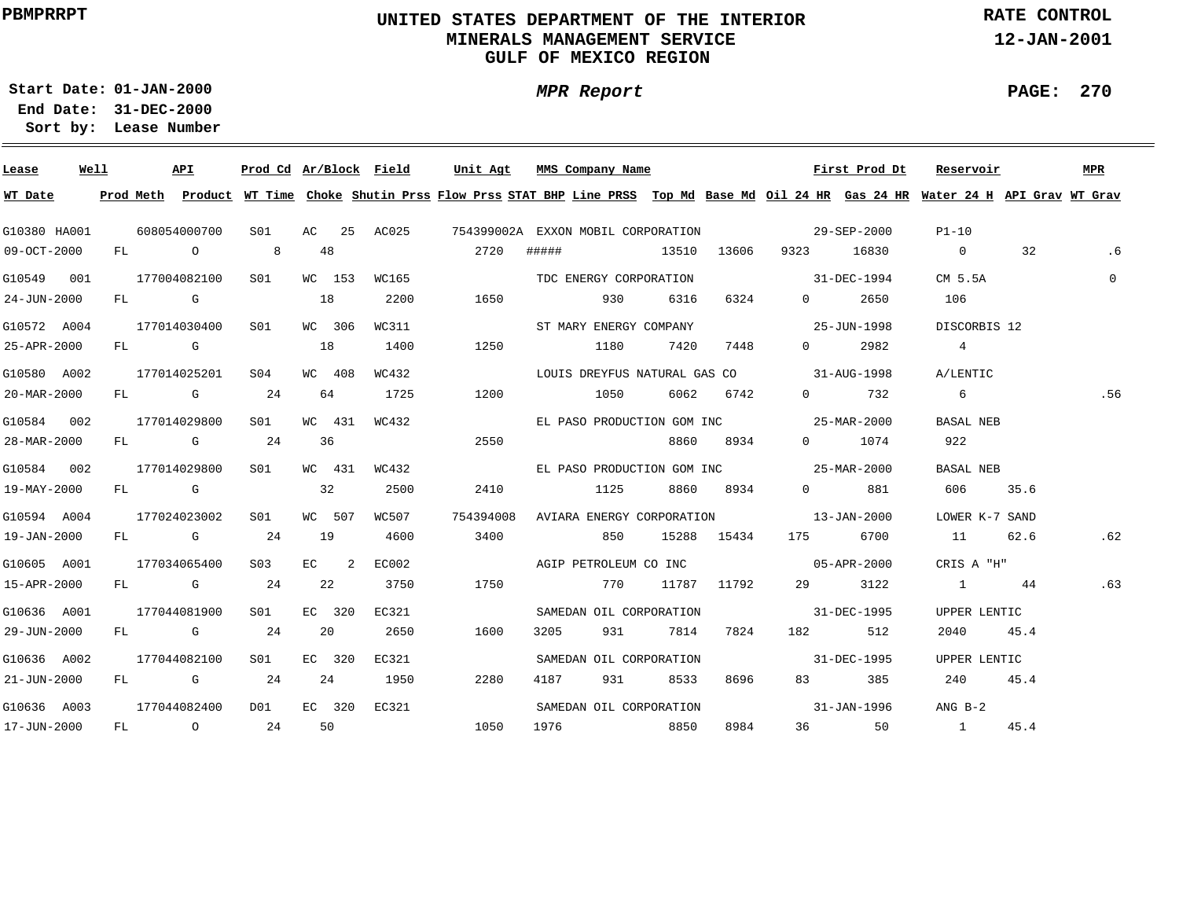# **UNITED STATES DEPARTMENT OF THE INTERIOR MINERALS MANAGEMENT SERVICEGULF OF MEXICO REGION**

**MPR Report**

**RATE CONTROL**

**12-JAN-2001**

**PAGE: 270**

-

**01-JAN-2000Start Date:31-DEC-2000 End Date:** 

| Lease        | Well |  | API          | Prod Cd Ar/Block Field |                                       |        |                 | Unit Agt                                                                                                                                |       | MMS Company Name        |      |                |                                                                                                                                                                                                                                 | First Prod Dt | Reservoir         |      | MPR          |
|--------------|------|--|--------------|------------------------|---------------------------------------|--------|-----------------|-----------------------------------------------------------------------------------------------------------------------------------------|-------|-------------------------|------|----------------|---------------------------------------------------------------------------------------------------------------------------------------------------------------------------------------------------------------------------------|---------------|-------------------|------|--------------|
| WT Date      |      |  |              |                        |                                       |        |                 | Prod Meth Product WT Time Choke Shutin Prss Flow Prss STAT BHP Line PRSS Top Md Base Md Oil 24 HR Gas 24 HR Water 24 H API Grav WT Grav |       |                         |      |                |                                                                                                                                                                                                                                 |               |                   |      |              |
| G10380 HA001 |      |  | 608054000700 |                        |                                       |        | S01 AC 25 AC025 | 754399002A EXXON MOBIL CORPORATION 29-SEP-2000                                                                                          |       |                         |      |                |                                                                                                                                                                                                                                 |               | $P1-10$           |      |              |
| 09-OCT-2000  |      |  | FL O 8       |                        |                                       | 48     |                 | 2720                                                                                                                                    | ##### |                         |      |                | 13510 13606 9323                                                                                                                                                                                                                | 16830         | $\overline{0}$    | 32   | . 6          |
| G10549 001   |      |  | 177004082100 | S01                    |                                       | WC 153 | WC165           |                                                                                                                                         |       | TDC ENERGY CORPORATION  |      |                | $31 - DEC - 1994$                                                                                                                                                                                                               |               | CM 5.5A           |      | $\mathbf{0}$ |
| 24-JUN-2000  |      |  | FL G         |                        | 18                                    |        | 2200            | 1650                                                                                                                                    |       | 930                     | 6316 | 6324           | $0 \qquad \qquad$                                                                                                                                                                                                               | 2650          | 106               |      |              |
| G10572 A004  |      |  | 177014030400 | S01                    |                                       | WC 306 | WC311           |                                                                                                                                         |       | ST MARY ENERGY COMPANY  |      |                | $25 - JUN - 1998$                                                                                                                                                                                                               |               | DISCORBIS 12      |      |              |
| 25-APR-2000  |      |  | FL G         |                        | $\begin{array}{ccc} & 18 \end{array}$ |        | 1400            | 1250                                                                                                                                    |       | 1180                    | 7420 | 7448           | $\Omega$ and $\Omega$                                                                                                                                                                                                           | 2982          | 4                 |      |              |
| G10580 A002  |      |  | 177014025201 | S04                    |                                       | WC 408 | WC432           |                                                                                                                                         |       |                         |      |                | LOUIS DREYFUS NATURAL GAS CO 31-AUG-1998                                                                                                                                                                                        |               | A/LENTIC          |      |              |
| 20-MAR-2000  |      |  | FL G 24      |                        |                                       | 64     | 1725            | 1200                                                                                                                                    |       | 1050                    | 6062 | 6742           |                                                                                                                                                                                                                                 | $0 \t 732$    | $6\overline{6}$   |      | .56          |
| G10584 002   |      |  | 177014029800 | S01 <b>S</b>           |                                       | WC 431 | WC432           |                                                                                                                                         |       |                         |      |                | EL PASO PRODUCTION GOM INC 25-MAR-2000                                                                                                                                                                                          |               | <b>BASAL NEB</b>  |      |              |
| 28-MAR-2000  |      |  | FL G         | 24                     | 36                                    |        |                 | 2550                                                                                                                                    |       |                         |      | 8860 8934      |                                                                                                                                                                                                                                 | 0 1074        | 922               |      |              |
| G10584 002   |      |  | 177014029800 | S01 <b>S</b>           |                                       | WC 431 | WC432           |                                                                                                                                         |       |                         |      |                | EL PASO PRODUCTION GOM INC $25-MAR-2000$                                                                                                                                                                                        |               | BASAL NEB         |      |              |
| 19-MAY-2000  |      |  | $FL$ G       |                        |                                       | 32     | 2500            | 2410                                                                                                                                    |       |                         |      | 1125 8860 8934 |                                                                                                                                                                                                                                 | 0 881         | 606 — 10          | 35.6 |              |
| G10594 A004  |      |  | 177024023002 | S01 -                  |                                       | WC 507 | WC507           | 754394008                                                                                                                               |       |                         |      |                | AVIARA ENERGY CORPORATION 13-JAN-2000                                                                                                                                                                                           |               | LOWER K-7 SAND    |      |              |
| 19-JAN-2000  |      |  | $FL$ G 24    |                        | 19                                    |        | 4600            | 3400                                                                                                                                    |       | 850                     |      | 15288 15434    |                                                                                                                                                                                                                                 | 175 6700      | 11                | 62.6 | .62          |
| G10605 A001  |      |  | 177034065400 | S03                    |                                       | $EC$ 2 | EC002           |                                                                                                                                         |       |                         |      |                | AGIP PETROLEUM CO INC 05-APR-2000                                                                                                                                                                                               |               | CRIS A "H"        |      |              |
| 15-APR-2000  |      |  | $FL$ G 24    |                        |                                       | 22     | 3750            | 1750                                                                                                                                    |       | 770                     |      | 11787 11792    |                                                                                                                                                                                                                                 | 29 3122       | 1 44              |      | .63          |
| G10636 A001  |      |  | 177044081900 | S01 <b>S</b>           |                                       | EC 320 | EC321           |                                                                                                                                         |       | SAMEDAN OIL CORPORATION |      |                | $31 - DEC - 1995$                                                                                                                                                                                                               |               | UPPER LENTIC      |      |              |
| 29-JUN-2000  |      |  | FL G 24      |                        |                                       | 20     | 2650            | 1600                                                                                                                                    | 3205  | 931                     | 7814 | 7824           | 182 — 182 — 182 — 182 — 182 — 182 — 182 — 182 — 182 — 182 — 182 — 182 — 182 — 182 — 182 — 182 — 182 — 182 — 182 — 182 — 182 — 182 — 182 — 182 — 182 — 182 — 182 — 182 — 182 — 182 — 182 — 182 — 182 — 182 — 182 — 182 — 182 — 1 | 512           | 2040              | 45.4 |              |
| G10636 A002  |      |  | 177044082100 | S01 <b>S</b>           |                                       | EC 320 | EC321           |                                                                                                                                         |       | SAMEDAN OIL CORPORATION |      |                |                                                                                                                                                                                                                                 | 31-DEC-1995   | UPPER LENTIC      |      |              |
| 21-JUN-2000  |      |  | FL G 24      |                        |                                       | 24     | 1950            | 2280                                                                                                                                    | 4187  | 931 — 10                | 8533 | 8696           |                                                                                                                                                                                                                                 | 83 385        | 240               | 45.4 |              |
| G10636 A003  |      |  | 177044082400 | D01                    |                                       | EC 320 | EC321           |                                                                                                                                         |       | SAMEDAN OIL CORPORATION |      |                | $31 - JAN - 1996$                                                                                                                                                                                                               |               | $ANG B-2$         |      |              |
| 17-JUN-2000  |      |  | FL O         | 24                     |                                       | 50     |                 | 1050                                                                                                                                    |       | 1976 8850               |      | 8984           |                                                                                                                                                                                                                                 | 36 50         | $1 \qquad \qquad$ | 45.4 |              |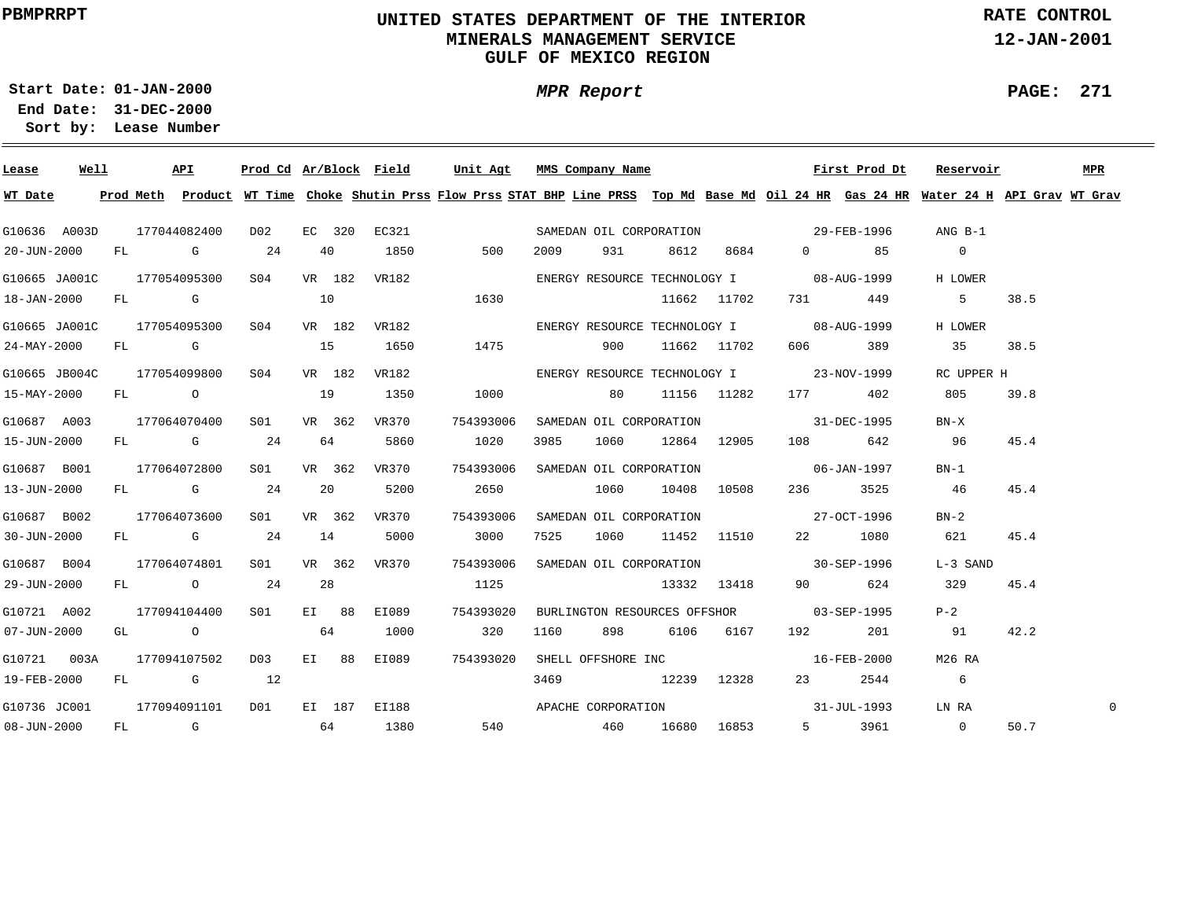# **UNITED STATES DEPARTMENT OF THE INTERIOR MINERALS MANAGEMENT SERVICEGULF OF MEXICO REGION**

**MPR Report**

**RATE CONTROL**

**12-JAN-2001**

**PAGE: 271**

**01-JAN-2000Start Date:31-DEC-2000 End Date:** 

| Lease                      | Well |  | API                        | Prod Cd Ar/Block Field |    |        |              | Unit Agt                  |      | MMS Company Name |          |                  |                                                                                                                | First Prod Dt | Reservoir                                                                                                                               |      | MPR |
|----------------------------|------|--|----------------------------|------------------------|----|--------|--------------|---------------------------|------|------------------|----------|------------------|----------------------------------------------------------------------------------------------------------------|---------------|-----------------------------------------------------------------------------------------------------------------------------------------|------|-----|
| WT Date                    |      |  |                            |                        |    |        |              |                           |      |                  |          |                  |                                                                                                                |               | Prod Meth Product WT Time Choke Shutin Prss Flow Prss STAT BHP Line PRSS Top Md Base Md Oil 24 HR Gas 24 HR Water 24 H API Grav WT Grav |      |     |
| G10636 A003D               |      |  | 177044082400               | D02                    |    | EC 320 |              | EC321                     |      |                  |          |                  |                                                                                                                |               | ANG B-1                                                                                                                                 |      |     |
| 20-JUN-2000                |      |  | FL G 24                    |                        |    | 40     | 1850         | 500                       | 2009 | 931 — 10         | 8612     | 8684             |                                                                                                                | $0 \qquad 85$ | $\overline{0}$                                                                                                                          |      |     |
| G10665 JA001C 177054095300 |      |  |                            | S04                    |    | VR 182 | VR182        |                           |      |                  |          |                  | ENERGY RESOURCE TECHNOLOGY I 08-AUG-1999                                                                       |               | H LOWER                                                                                                                                 |      |     |
| 18-JAN-2000                |      |  | FL G                       | 10                     |    |        |              | 1630                      |      |                  |          | 11662 11702      |                                                                                                                | 731 449       | $5^{\circ}$                                                                                                                             | 38.5 |     |
|                            |      |  | G10665 JA001C 177054095300 | S04 VR 182 VR182       |    |        |              |                           |      |                  |          |                  | ENERGY RESOURCE TECHNOLOGY I 08-AUG-1999                                                                       |               | H LOWER                                                                                                                                 |      |     |
| 24-MAY-2000                |      |  | FL G                       | $\sim$ 15              |    |        | 1650         | 1475                      |      | 900              |          | 11662 11702      | 606 700                                                                                                        | 389           | 35                                                                                                                                      | 38.5 |     |
| G10665 JB004C              |      |  | 177054099800               | S04 VR 182             |    |        | VR182        |                           |      |                  |          |                  | ENERGY RESOURCE TECHNOLOGY I 23-NOV-1999                                                                       |               | RC UPPER H                                                                                                                              |      |     |
| 15-MAY-2000                |      |  |                            | FL 0 19                |    |        | 1350         | 1000                      |      | 80 11156 11282   |          |                  |                                                                                                                | 177 402       | 805                                                                                                                                     | 39.8 |     |
| G10687 A003                |      |  | 177064070400               | S01                    |    | VR 362 | VR370        | 754393006                 |      |                  |          |                  | SAMEDAN OIL CORPORATION 31-DEC-1995                                                                            |               | $BN-X$                                                                                                                                  |      |     |
| 15-JUN-2000                |      |  | FL G 24                    |                        |    | 64     | 5860         | 1020                      | 3985 | 1060             |          | 12864 12905      | 108 7                                                                                                          | 642           | 96                                                                                                                                      | 45.4 |     |
| G10687 B001                |      |  | 177064072800               | S01 <b>S</b>           |    | VR 362 | VR370        | 754393006                 |      |                  |          |                  | SAMEDAN OIL CORPORATION 06-JAN-1997                                                                            |               | $BN-1$                                                                                                                                  |      |     |
| 13-JUN-2000                |      |  | $FL$ G 24                  |                        | 20 |        | 5200         | 2650                      |      |                  |          | 1060 10408 10508 | 236                                                                                                            | 3525          | 46                                                                                                                                      | 45.4 |     |
| G10687 B002                |      |  | 177064073600               | SO1 SO                 |    | VR 362 | VR370        | 754393006                 |      |                  |          |                  | SAMEDAN OIL CORPORATION 27-OCT-1996                                                                            |               | $BN-2$                                                                                                                                  |      |     |
| 30-JUN-2000                |      |  | $FL$ G 24                  |                        | 14 |        | 5000         | 3000                      | 7525 |                  |          | 1060 11452 11510 |                                                                                                                | 22 1080       | 621                                                                                                                                     | 45.4 |     |
| G10687 B004                |      |  | 177064074801               | S <sub>01</sub>        |    | VR 362 | VR 370       | 754393006                 |      |                  |          |                  | SAMEDAN OIL CORPORATION 30-SEP-1996                                                                            |               | L-3 SAND                                                                                                                                |      |     |
| 29-JUN-2000                |      |  | FL 0 24                    |                        |    | 28     |              | 1125                      |      |                  |          | 13332 13418      |                                                                                                                | 90 624        | 329                                                                                                                                     | 45.4 |     |
| G10721 A002                |      |  | 177094104400               | S01 EI 88              |    |        | EI089        | 754393020                 |      |                  |          |                  | BURLINGTON RESOURCES OFFSHOR 03-SEP-1995                                                                       |               | $P-2$                                                                                                                                   |      |     |
| 07-JUN-2000                |      |  | GL O                       | 64                     |    |        | 1000         | 320                       | 1160 |                  | 898 6106 | 6167             | 192 — 192 — 193 — 193 — 193 — 194 — 194 — 194 — 195 — 196 — 196 — 197 — 198 — 198 — 198 — 198 — 198 — 198 — 19 | 201           | 91                                                                                                                                      | 42.2 |     |
| G10721 003A                |      |  | 177094107502               | D03 EI 88              |    |        | EI089        | 754393020                 |      |                  |          |                  | SHELL OFFSHORE INC 16-FEB-2000                                                                                 |               | M26 RA                                                                                                                                  |      |     |
| 19-FEB-2000                |      |  | FL G 12                    |                        |    |        |              |                           | 3469 | 12239 12328      |          |                  | 23                                                                                                             | 2544          | $\overline{6}$                                                                                                                          |      |     |
| G10736 JC001               |      |  | 177094091101               | D01                    |    |        | EI 187 EI188 | APACHE CORPORATION        |      |                  |          |                  |                                                                                                                | 31-JUL-1993   | LN RA                                                                                                                                   |      | 0   |
| $08 - JUN - 2000$          |      |  |                            | $FL$ G 64              |    |        | 1380         | 540   460   16680   16853 |      |                  |          |                  |                                                                                                                | 5 3961 0      |                                                                                                                                         | 50.7 |     |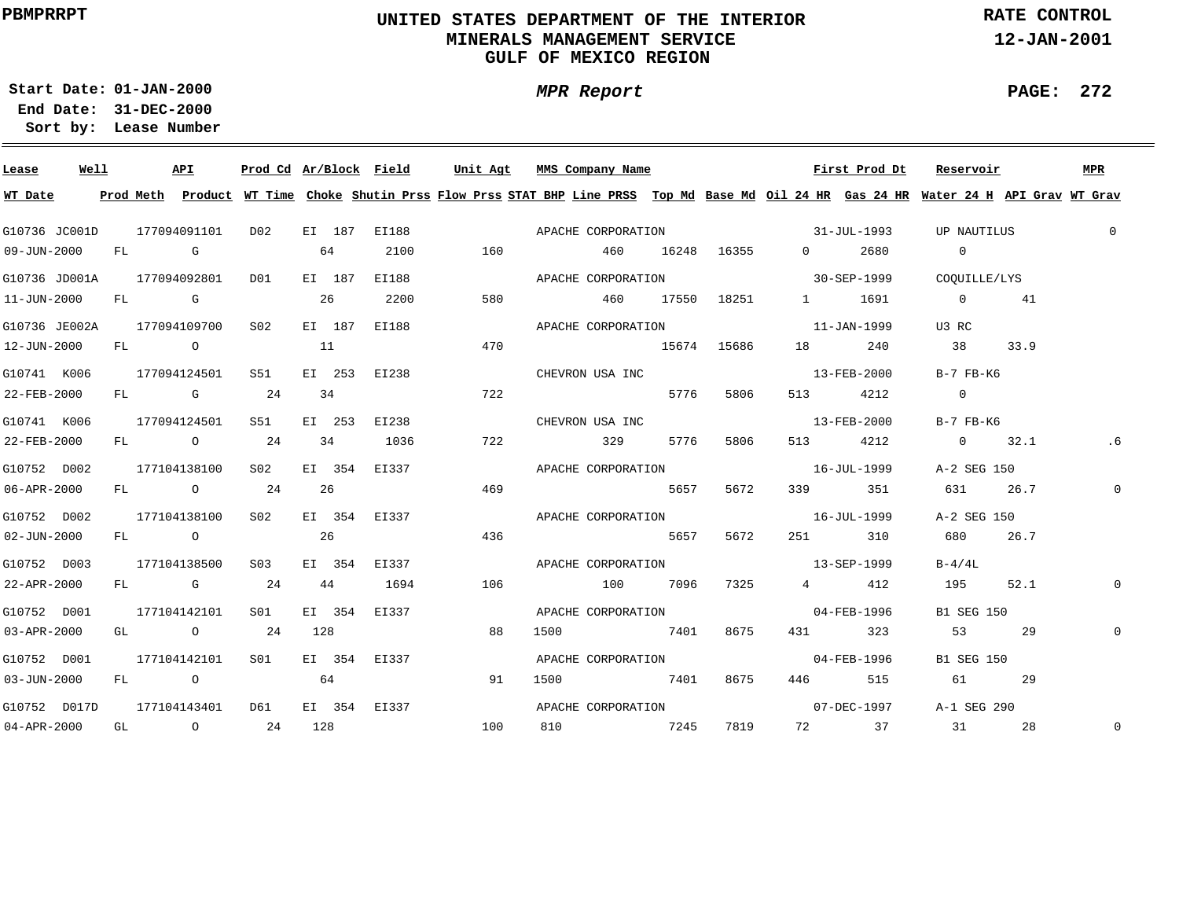# **UNITED STATES DEPARTMENT OF THE INTERIOR MINERALS MANAGEMENT SERVICEGULF OF MEXICO REGION**

**MPR Report**

**RATE CONTROL**

**12-JAN-2001**

**PAGE: 272**

÷

**01-JAN-2000Start Date:31-DEC-2000 End Date:** 

| Lease                      | Well |              | API                     |              |     |        |              |     | Prod Cd Ar/Block Field Unit Agt MMS Company Name                                                                                        |     |      |             |                   | First Prod Dt | Reservoir         |      | MPR         |
|----------------------------|------|--------------|-------------------------|--------------|-----|--------|--------------|-----|-----------------------------------------------------------------------------------------------------------------------------------------|-----|------|-------------|-------------------|---------------|-------------------|------|-------------|
| WT Date                    |      |              |                         |              |     |        |              |     | Prod Meth Product WT Time Choke Shutin Prss Flow Prss STAT BHP Line PRSS Top Md Base Md Oil 24 HR Gas 24 HR Water 24 H API Grav WT Grav |     |      |             |                   |               |                   |      |             |
| G10736 JC001D              |      |              | 177094091101            | D02          |     | EI 187 | EI188        |     | APACHE CORPORATION                                                                                                                      |     |      |             | $31 - JUL - 1993$ |               | UP NAUTILUS       |      | $\mathbf 0$ |
| 09-JUN-2000                |      |              | FL G                    |              | 64  |        | 2100         | 160 |                                                                                                                                         | 460 |      | 16248 16355 | $\overline{0}$    | 2680          | $\overline{0}$    |      |             |
| G10736 JD001A 177094092801 |      |              |                         | D01          |     | EI 187 | EI188        |     | APACHE CORPORATION                                                                                                                      |     |      |             |                   | 30-SEP-1999   | COOUILLE/LYS      |      |             |
| 11-JUN-2000                |      |              | FL G                    |              | 26  |        | 2200         | 580 | 460                                                                                                                                     |     |      | 17550 18251 | $1 -$             | 1691          | $\overline{0}$    | 41   |             |
| G10736 JE002A              |      |              | 177094109700            | S02          |     | EI 187 | EI188        |     | APACHE CORPORATION                                                                                                                      |     |      |             |                   | 11-JAN-1999   | U3 RC             |      |             |
| 12-JUN-2000                |      |              | FL O                    |              | 11  |        |              | 470 | 15674 15686                                                                                                                             |     |      |             |                   | 18 240        | 38                | 33.9 |             |
| G10741 K006                |      |              | 177094124501            | S51 <b>S</b> |     | EI 253 | EI238        |     | CHEVRON USA INC                                                                                                                         |     |      |             |                   | 13-FEB-2000   | $B-7$ $FB-K6$     |      |             |
| 22-FEB-2000                |      |              | FL G                    | 24           | 34  |        |              | 722 |                                                                                                                                         |     | 5776 | 5806        |                   | 513 4212      | $\overline{0}$    |      |             |
| G10741 K006                |      |              | 177094124501            | S51          |     | EI 253 | EI238        |     | CHEVRON USA INC                                                                                                                         |     |      |             |                   | 13-FEB-2000   | B-7 FB-K6         |      |             |
| 22-FEB-2000                |      |              | FL O                    | 24           |     | 34     | 1036         | 722 |                                                                                                                                         | 329 | 5776 | 5806        |                   | 513 4212      | $0 \t 32.1$       |      | .6          |
| G10752 D002                |      |              | 177104138100            | S02 <b>S</b> |     | EI 354 | EI337        |     | APACHE CORPORATION                                                                                                                      |     |      |             |                   | 16-JUL-1999   | A-2 SEG 150       |      |             |
| 06-APR-2000                |      |              | FL 0 24                 |              | 26  |        |              | 469 | 5657                                                                                                                                    |     |      | 5672        |                   | 339 351       | 631               | 26.7 | 0           |
| G10752 D002                |      |              | 177104138100            | S02          |     | EI 354 | EI337        |     | APACHE CORPORATION 16-JUL-1999                                                                                                          |     |      |             |                   |               | A-2 SEG 150       |      |             |
| $02 - JUN - 2000$          |      |              | FL O                    |              | 26  |        |              | 436 |                                                                                                                                         |     | 5657 | 5672        |                   | 251 310       | 680               | 26.7 |             |
| G10752 D003                |      |              | 177104138500            | S03          |     | EI 354 | EI337        |     | APACHE CORPORATION 13-SEP-1999                                                                                                          |     |      |             |                   |               | $B-4/4L$          |      |             |
| 22-APR-2000                |      |              | $FL$ G 24               |              | 44  |        | 1694         | 106 | 100 7096                                                                                                                                |     |      | 7325        |                   | 4 4 1 2       | 195               | 52.1 | 0           |
| G10752 D001                |      |              | 177104142101            | S01 -        |     | EI 354 | EI337        |     | APACHE CORPORATION 04-FEB-1996                                                                                                          |     |      |             |                   |               | <b>B1 SEG 150</b> |      |             |
| 03-APR-2000                |      |              | GL O                    | 24           | 128 |        |              | 88  | 1500                                                                                                                                    |     |      | 7401 8675   |                   | 431 323       | 53                | 29   | 0           |
| G10752 D001                |      | 177104142101 |                         | SO1 SO       |     | EI 354 | EI337        |     | APACHE CORPORATION 04-FEB-1996                                                                                                          |     |      |             |                   |               | <b>B1 SEG 150</b> |      |             |
| 03-JUN-2000                |      |              | FL O                    |              | 64  |        |              | 91  | 1500                                                                                                                                    |     |      | 7401 8675   |                   | 446 515       | 61 61             | 29   |             |
| G10752 D017D               |      |              | 177104143401            | D61          |     |        | EI 354 EI337 |     | APACHE CORPORATION 67-DEC-1997                                                                                                          |     |      |             |                   |               | A-1 SEG 290       |      |             |
| 04-APR-2000                |      |              | GL $\qquad \qquad$ 0 24 |              | 128 |        |              | 100 | 810                                                                                                                                     |     |      | 7245 7819   |                   | 72 37         | 31                | 28   | $\mathbf 0$ |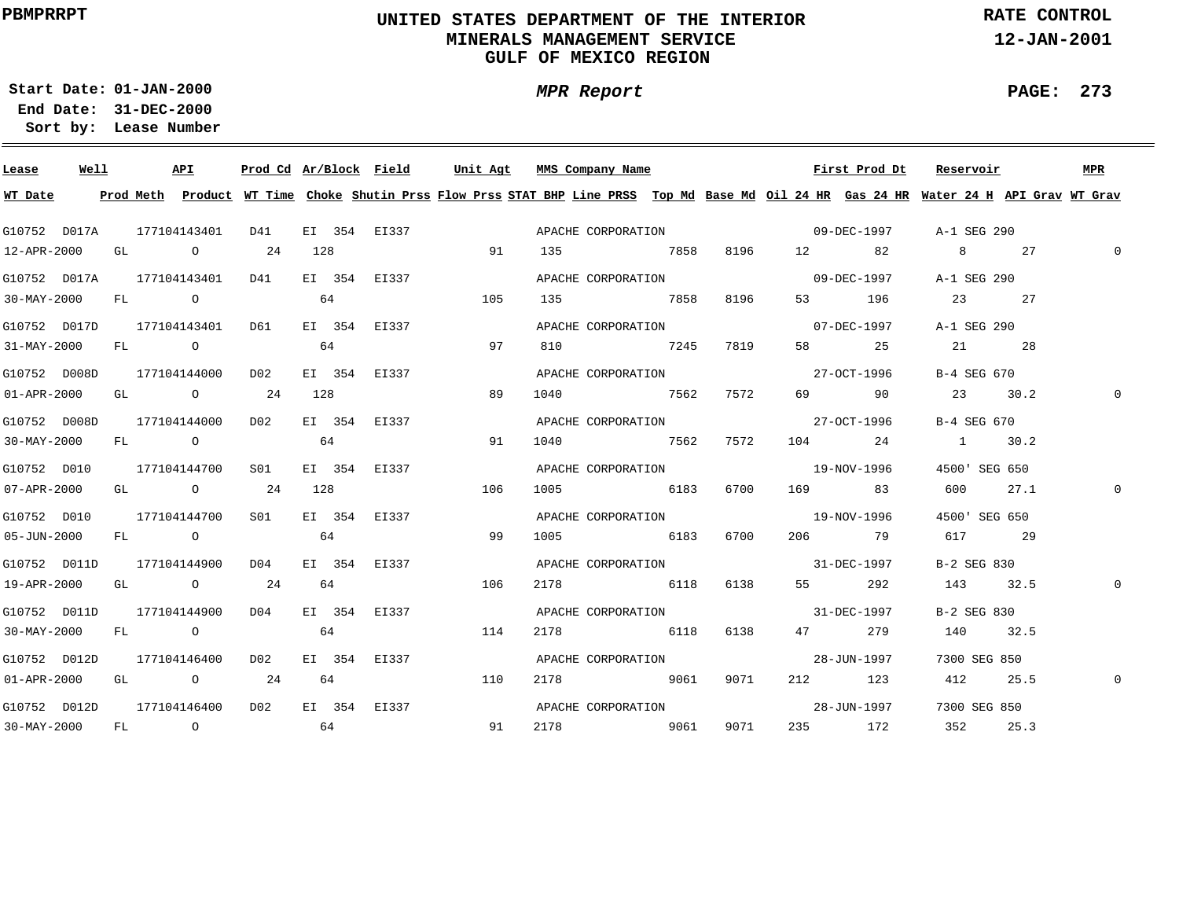# **UNITED STATES DEPARTMENT OF THE INTERIOR MINERALS MANAGEMENT SERVICEGULF OF MEXICO REGION**

**MPR Report**

**RATE CONTROL**

**12-JAN-2001**

**PAGE: 273**

÷

**01-JAN-2000Start Date:31-DEC-2000 End Date:** 

| Lease                     | Well |  | API                                   |                                            |     | Prod Cd Ar/Block Field | Unit Agt | MMS Company Name                                                                                                                        |      |      |                   | First Prod Dt | Reservoir     |      | MPR      |
|---------------------------|------|--|---------------------------------------|--------------------------------------------|-----|------------------------|----------|-----------------------------------------------------------------------------------------------------------------------------------------|------|------|-------------------|---------------|---------------|------|----------|
| WT Date                   |      |  |                                       |                                            |     |                        |          | Prod Meth Product WT Time Choke Shutin Prss Flow Prss STAT BHP Line PRSS Top Md Base Md Oil 24 HR Gas 24 HR Water 24 H API Grav WT Grav |      |      |                   |               |               |      |          |
| G10752 D017A              |      |  | 177104143401                          | D41                                        |     |                        |          |                                                                                                                                         |      |      |                   |               |               |      |          |
| 12-APR-2000               |      |  | GL 0 24                               |                                            | 128 |                        | 91       | 135 7858 8196 12 82                                                                                                                     |      |      |                   |               | 8 27          |      | $\Omega$ |
|                           |      |  |                                       | G10752 D017A 177104143401 D41              |     | EI 354 EI337           |          | APACHE CORPORATION 09-DEC-1997                                                                                                          |      |      |                   |               | A-1 SEG 290   |      |          |
|                           |      |  |                                       | 30-MAY-2000 FL 0 64                        |     |                        | 105      | 135 7858 8196                                                                                                                           |      |      |                   | 53 196        | 23 27         |      |          |
| G10752 D017D 177104143401 |      |  |                                       | D61                                        |     | EI 354 EI337           |          | APACHE CORPORATION 07-DEC-1997                                                                                                          |      |      |                   |               | A-1 SEG 290   |      |          |
| 31-MAY-2000               |      |  |                                       | $FL \t0$ 64                                |     |                        | 97       | 810 7245 7819                                                                                                                           |      |      |                   | 58 25         | 21 28         |      |          |
| G10752 D008D 177104144000 |      |  |                                       | D02                                        |     | EI 354 EI337           |          | APACHE CORPORATION                                                                                                                      |      |      |                   | 27-OCT-1996   | B-4 SEG 670   |      |          |
| $01 - APR - 2000$         |      |  | GL $\qquad \qquad 0 \qquad \qquad 24$ |                                            | 128 |                        | 89       | 1040 7562                                                                                                                               |      | 7572 |                   | 69 90         | 23 30.2       |      |          |
| G10752 D008D              |      |  | 177104144000                          | D02 EI 354 EI337                           |     |                        |          | APACHE CORPORATION 27-OCT-1996                                                                                                          |      |      |                   |               | B-4 SEG 670   |      |          |
| 30-MAY-2000               |      |  |                                       | $FL$ 0 64                                  |     |                        | 91       | 1040 7562                                                                                                                               |      | 7572 |                   | 104 24        | 1 30.2        |      |          |
| G10752 D010               |      |  | 177104144700                          | S01                                        |     | EI 354 EI337           |          | APACHE CORPORATION 19-NOV-1996                                                                                                          |      |      |                   |               | 4500' SEG 650 |      |          |
| 07-APR-2000               |      |  | GL $\qquad \qquad \circ$ 24           |                                            | 128 |                        | 106      | 1005 6183 6700 169 83                                                                                                                   |      |      |                   |               | 600 27.1      |      |          |
| G10752 D010               |      |  | 177104144700                          | S01 <b>S</b>                               |     | EI 354 EI337           |          | APACHE CORPORATION 19-NOV-1996                                                                                                          |      |      |                   |               | 4500' SEG 650 |      |          |
| 05-JUN-2000               |      |  |                                       | $FL$ 0 64                                  |     |                        | 99       | 1005 6183 6700                                                                                                                          |      |      |                   | 206 79        | 617 29        |      |          |
| G10752 D011D              |      |  | 177104144900                          | D04                                        |     | EI 354 EI337           |          | APACHE CORPORATION 31-DEC-1997                                                                                                          |      |      |                   |               | B-2 SEG 830   |      |          |
|                           |      |  | 19-APR-2000 GL 0 24                   |                                            | 64  |                        | 106      | 2178 6118 6138                                                                                                                          |      |      |                   | 55 292        | 143 32.5      |      |          |
| G10752 D011D 177104144900 |      |  |                                       | D <sub>0</sub> 4                           |     | EI 354 EI337           |          | APACHE CORPORATION 31-DEC-1997                                                                                                          |      |      |                   |               | B-2 SEG 830   |      |          |
| 30-MAY-2000               |      |  |                                       | $FL$ 0 64                                  |     |                        | 114      | 2178 6118                                                                                                                               |      | 6138 |                   | 47 279        | 140 32.5      |      |          |
| G10752 D012D 177104146400 |      |  |                                       | D02                                        |     | EI 354 EI337           |          | APACHE CORPORATION 28-JUN-1997                                                                                                          |      |      |                   |               | 7300 SEG 850  |      |          |
|                           |      |  |                                       | 01-APR-2000 GL 0 24 64                     |     |                        | 110      | 2178 9061 9071                                                                                                                          |      |      |                   | 212 123       | 412 25.5      |      |          |
|                           |      |  |                                       | G10752 D012D 177104146400 D02 EI 354 EI337 |     |                        |          | APACHE CORPORATION                                                                                                                      |      |      | $28 - JUN - 1997$ |               | 7300 SEG 850  |      |          |
| 30-MAY-2000               |      |  |                                       | $FL$ 0 64                                  |     |                        | 91       | 2178                                                                                                                                    | 9061 | 9071 |                   | 235 172       | 352           | 25.3 |          |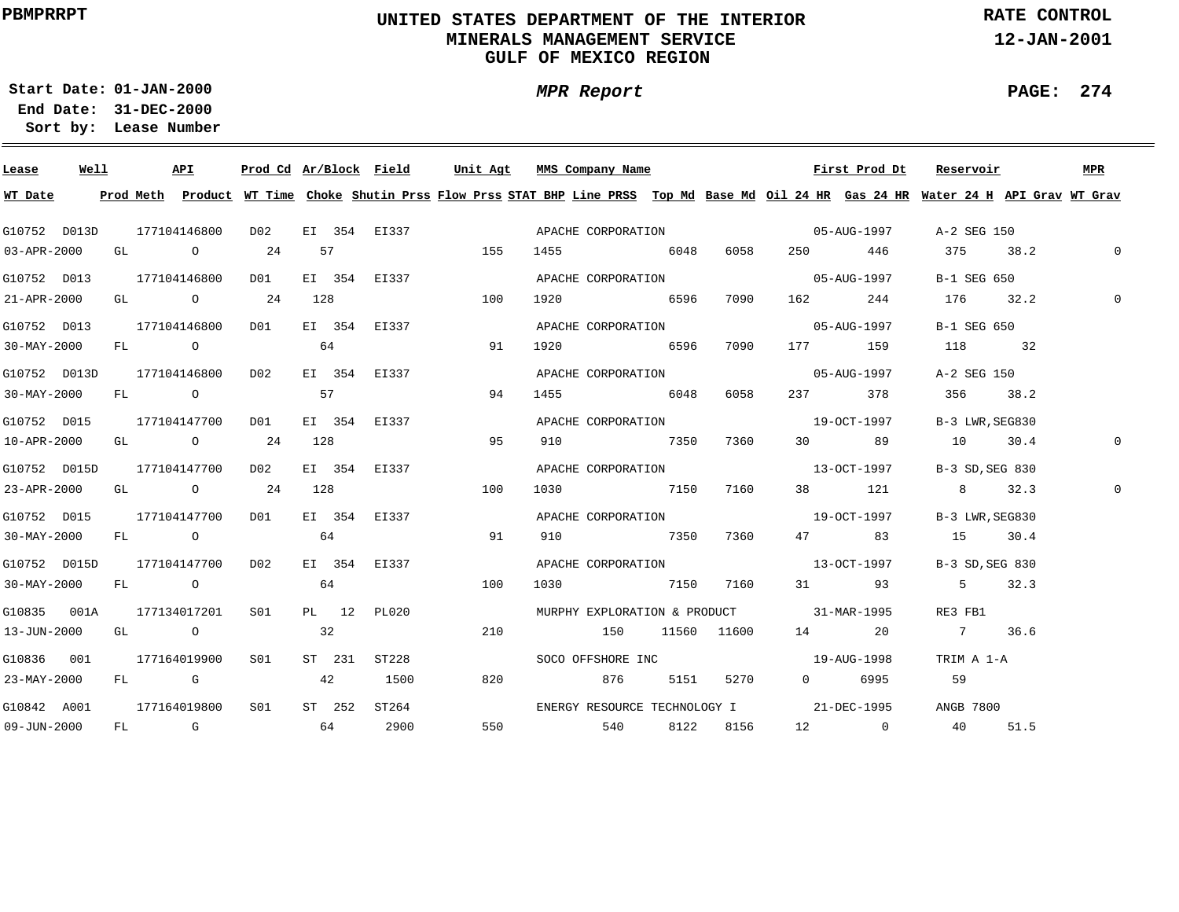# **UNITED STATES DEPARTMENT OF THE INTERIOR MINERALS MANAGEMENT SERVICEGULF OF MEXICO REGION**

**MPR Report**

**RATE CONTROL**

**12-JAN-2001**

**PAGE: 274**

÷

**01-JAN-2000Start Date:31-DEC-2000 End Date:** 

| Lease        | Well | API                           |     |  | Prod Cd Ar/Block Field | Unit Agt                                                                                                                                | MMS Company Name |       |           |                                          | First Prod Dt | Reservoir                                          | MPR          |
|--------------|------|-------------------------------|-----|--|------------------------|-----------------------------------------------------------------------------------------------------------------------------------------|------------------|-------|-----------|------------------------------------------|---------------|----------------------------------------------------|--------------|
| WT Date      |      |                               |     |  |                        | Prod Meth Product WT Time Choke Shutin Prss Flow Prss STAT BHP Line PRSS Top Md Base Md Oil 24 HR Gas 24 HR Water 24 H API Grav WT Grav |                  |       |           |                                          |               |                                                    |              |
| G10752 D013D |      |                               |     |  |                        | 177104146800 D02 EI 354 EI337 APACHE CORPORATION 05-AUG-1997 A-2 SEG 150                                                                |                  |       |           |                                          |               |                                                    |              |
| 03-APR-2000  |      | GL 0 24 57                    |     |  |                        | 155                                                                                                                                     |                  |       |           |                                          |               | $1455$ 6048 6058 250 446 375 38.2                  | $\mathbf{0}$ |
| G10752 D013  |      | 177104146800 D01              |     |  |                        | EI 354 EI337                                                                                                                            |                  |       |           | APACHE CORPORATION 05-AUG-1997           |               | B-1 SEG 650                                        |              |
| 21-APR-2000  |      | GL 0 24 128                   |     |  |                        | 100                                                                                                                                     |                  |       |           |                                          |               | 1920 6596 7090 162 244 176 32.2                    |              |
|              |      |                               |     |  |                        | G10752 D013 177104146800 D01 EI 354 EI337                                                                                               |                  |       |           | APACHE CORPORATION 05-AUG-1997           |               | B-1 SEG 650                                        |              |
| 30-MAY-2000  |      | $FL$ 0 64                     |     |  |                        | $\sim$ 0.1                                                                                                                              |                  |       |           | 1920 6596 7090 177 159                   |               | 118 32                                             |              |
|              |      | G10752 D013D 177104146800 D02 |     |  |                        | EI 354 EI337                                                                                                                            |                  |       |           | APACHE CORPORATION 05-AUG-1997           |               | A-2 SEG 150                                        |              |
| 30-MAY-2000  |      | FL 0 57                       |     |  |                        | 94                                                                                                                                      | 1455 6048        |       | 6058      |                                          | 237 378       | 356 38.2                                           |              |
| G10752 D015  |      | 177104147700 D01              |     |  |                        | EI 354 EI337                                                                                                                            |                  |       |           | APACHE CORPORATION 19-OCT-1997           |               | B-3 LWR, SEG830                                    |              |
| 10-APR-2000  |      | GL 0 24 128                   |     |  |                        | 95                                                                                                                                      | 910 7350         |       | 7360      |                                          |               | 30 89 10 30.4                                      |              |
| G10752 D015D |      | 177104147700 D02              |     |  |                        | EI 354 EI337                                                                                                                            |                  |       |           | APACHE CORPORATION 13-OCT-1997           |               | B-3 SD.SEG 830                                     |              |
| 23-APR-2000  |      | GL 0 24 128                   |     |  |                        | 100                                                                                                                                     | 1030 7150        |       | 7160      |                                          | 38 121        | 8 32.3                                             |              |
| G10752 D015  |      | 177104147700                  |     |  |                        | D01 EI 354 EI337                                                                                                                        |                  |       |           | APACHE CORPORATION 19-OCT-1997           |               | B-3 LWR, SEG830                                    |              |
| 30-MAY-2000  |      | FL 0 64                       |     |  |                        | 91                                                                                                                                      | 910 7350 7360    |       |           |                                          |               | 47 83 15 30.4                                      |              |
| G10752 D015D |      | 177104147700                  | D02 |  |                        | EI 354 EI337                                                                                                                            |                  |       |           | APACHE CORPORATION  and 13-OCT-1997      |               | B-3 SD. SEG 830                                    |              |
|              |      | $30-MAY-2000$ FL 0 64         |     |  |                        | 100                                                                                                                                     |                  |       |           | 1030 7150 7160 31 93                     |               | $5 \t 32.3$                                        |              |
|              |      | G10835 001A 177134017201 S01  |     |  | PL 12 PL020            |                                                                                                                                         |                  |       |           | MURPHY EXPLORATION & PRODUCT 31-MAR-1995 |               | RE3 FB1                                            |              |
|              |      | 13-JUN-2000 GL 0 32           |     |  |                        | 210                                                                                                                                     | 150 11560 11600  |       |           |                                          | 14 20         | 7 36.6                                             |              |
|              |      | G10836 001 177164019900 S01   |     |  | ST 231 ST228           |                                                                                                                                         |                  |       |           | SOCO OFFSHORE INC 19-AUG-1998            |               | TRIM A 1-A                                         |              |
| 23-MAY-2000  |      | FL G 42                       |     |  | 1500                   | 820                                                                                                                                     |                  | 876 7 |           | 5151 5270 0 6995                         |               | 59                                                 |              |
|              |      | G10842 A001 177164019800 S01  |     |  | ST 252 ST264           |                                                                                                                                         |                  |       |           |                                          |               | ENERGY RESOURCE TECHNOLOGY I 21-DEC-1995 ANGB 7800 |              |
| 09-JUN-2000  |      | FL G 64 2900                  |     |  |                        |                                                                                                                                         | 550 540          |       | 8122 8156 |                                          |               | 12 0 40 51.5                                       |              |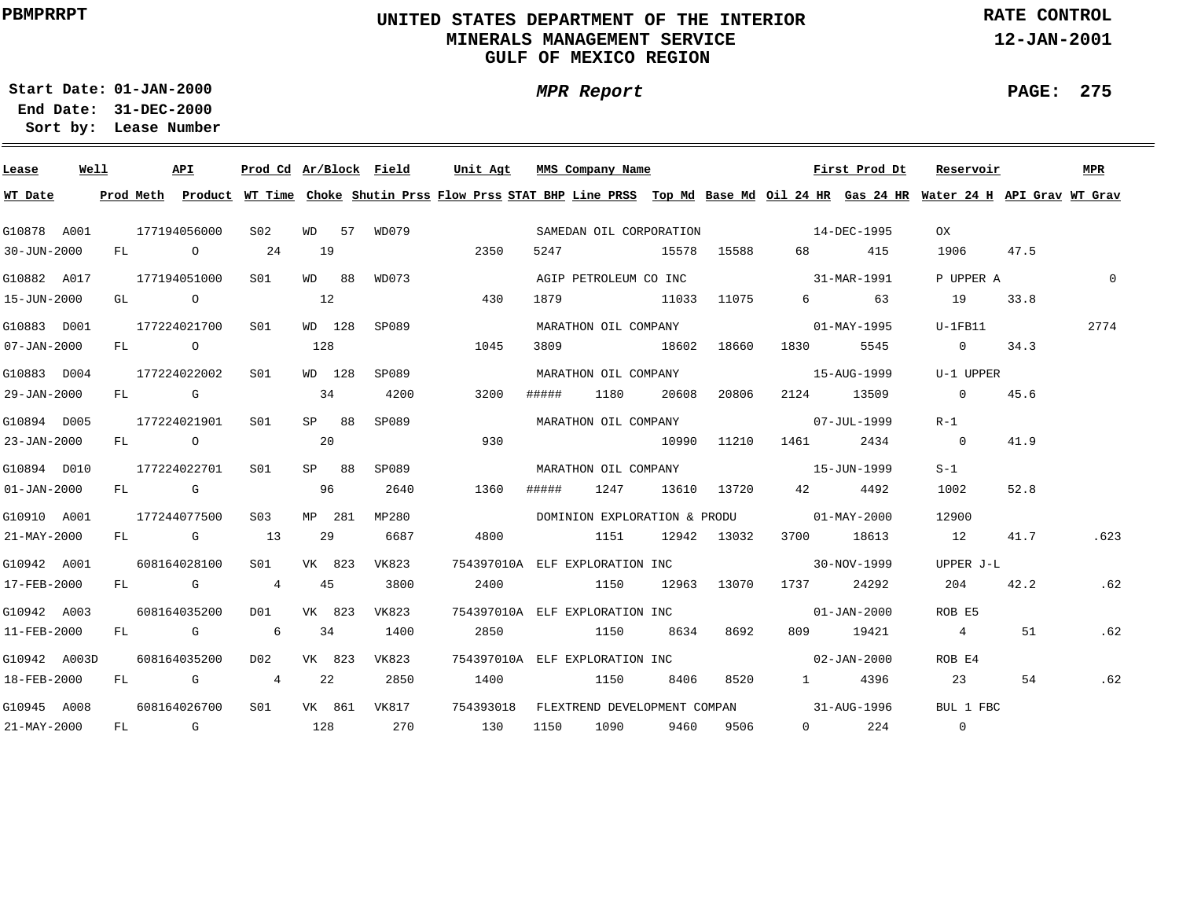# **UNITED STATES DEPARTMENT OF THE INTERIOR MINERALS MANAGEMENT SERVICEGULF OF MEXICO REGION**

**MPR Report**

**RATE CONTROL**

**12-JAN-2001**

**PAGE: 275**

÷

**01-JAN-2000Start Date:31-DEC-2000 End Date:** 

| Lease             | Well |  | API          | Prod Cd Ar/Block Field |        |        |              | Unit Agt                                                                                                                                |       | MMS Company Name      |             |             |                                            | First Prod Dt         | Reservoir       |      | MPR      |
|-------------------|------|--|--------------|------------------------|--------|--------|--------------|-----------------------------------------------------------------------------------------------------------------------------------------|-------|-----------------------|-------------|-------------|--------------------------------------------|-----------------------|-----------------|------|----------|
| WT Date           |      |  |              |                        |        |        |              | Prod Meth Product WT Time Choke Shutin Prss Flow Prss STAT BHP Line PRSS Top Md Base Md Oil 24 HR Gas 24 HR Water 24 H API Grav WT Grav |       |                       |             |             |                                            |                       |                 |      |          |
| G10878 A001       |      |  | 177194056000 | S02                    |        |        |              | WD 57 WD079                                                                                                                             |       |                       |             |             | SAMEDAN OIL CORPORATION 14-DEC-1995        |                       | OX              |      |          |
| 30-JUN-2000       |      |  | FL O         | 24                     | 19     |        |              | 2350                                                                                                                                    | 5247  | 15578 15588           |             |             |                                            | 68 415                | 1906            | 47.5 |          |
| G10882 A017       |      |  | 177194051000 | S01                    | WD 88  |        | WD073        |                                                                                                                                         |       | AGIP PETROLEUM CO INC |             |             | 31-MAR-1991                                |                       | P UPPER A       |      | $\Omega$ |
| 15-JUN-2000       |      |  | GL O         |                        | 12     |        |              | 430                                                                                                                                     | 1879  | 11033 11075           |             |             |                                            | 6 63                  | 19              | 33.8 |          |
| G10883 D001       |      |  | 177224021700 | S01                    |        |        | WD 128 SP089 |                                                                                                                                         |       | MARATHON OIL COMPANY  |             |             | $01 - \text{MAX} - 1995$                   |                       | U-1FB11         |      | 2774     |
| $07 - JAN - 2000$ |      |  | $FL$ 0       |                        | 128    |        |              | 1045                                                                                                                                    |       | 3809 18602            |             | 18660       |                                            | 5545                  | $\Omega$        | 34.3 |          |
| G10883 D004       |      |  | 177224022002 | S01                    |        | WD 128 | SP089        |                                                                                                                                         |       | MARATHON OIL COMPANY  |             |             | 15-AUG-1999                                |                       | U-1 UPPER       |      |          |
| 29-JAN-2000       |      |  | FL G         |                        | 34     |        | 4200         | 3200                                                                                                                                    | ##### | 1180                  | 20608       | 20806       | 2124                                       | 13509                 | $\sim$ 0        | 45.6 |          |
| G10894 D005       |      |  | 177224021901 | SO1                    | SP 88  |        | SP089        |                                                                                                                                         |       |                       |             |             | MARATHON OIL COMPANY 07-JUL-1999           |                       | $R-1$           |      |          |
| 23-JAN-2000       |      |  | FL O         |                        | 20     |        |              | 930                                                                                                                                     |       |                       | 10990 11210 |             | 1461 2434                                  |                       | $\overline{0}$  | 41.9 |          |
| G10894 D010       |      |  | 177224022701 | SO1                    | SP 88  |        | SP089        |                                                                                                                                         |       |                       |             |             | MARATHON OIL COMPANY 15-JUN-1999           |                       | $S-1$           |      |          |
| $01 - JAN - 2000$ |      |  | FL G         |                        | 96     |        | 2640         | 1360                                                                                                                                    |       |                       |             |             | ##### 1247 13610 13720 42 4492             |                       | 1002            | 52.8 |          |
| G10910 A001       |      |  | 177244077500 | S03                    |        | MP 281 | MP280        |                                                                                                                                         |       |                       |             |             | DOMINION EXPLORATION & PRODU 01-MAY-2000   |                       | 12900           |      |          |
| $21 - MAX - 2000$ |      |  | $FL$ G 13    |                        | 29     |        | 6687         | 4800                                                                                                                                    |       | 1151                  |             | 12942 13032 | 3700 18613                                 |                       | 12              | 41.7 | .623     |
| G10942 A001       |      |  | 608164028100 | S01 VK 823             |        |        | VK823        | 754397010A ELF EXPLORATION INC                                                                                                          |       |                       |             |             |                                            | 30-NOV-1999           | UPPER J-L       |      |          |
| 17-FEB-2000       |      |  | FL G         | 4 45                   |        |        | 3800         | 2400                                                                                                                                    |       | 1150                  |             | 12963 13070 | 1737 24292                                 |                       | 204             | 42.2 | .62      |
| G10942 A003       |      |  | 608164035200 | D01 VK 823             |        |        | VK823        | 754397010A ELF EXPLORATION INC                                                                                                          |       |                       |             |             |                                            | $01 - JAN - 2000$     | ROB E5          |      |          |
| 11-FEB-2000       |      |  | FL G 6       |                        | 34     |        | 1400         |                                                                                                                                         |       | 2850 1150 8634 8692   |             |             |                                            | 809 19421             | $4\overline{4}$ | 51   | .62      |
| G10942 A003D      |      |  | 608164035200 | D02                    | VK 823 |        | VK823        |                                                                                                                                         |       |                       |             |             | 754397010A ELF EXPLORATION INC 02-JAN-2000 |                       | ROB E4          |      |          |
| 18-FEB-2000       |      |  | $FL$ G 4     |                        | 22     |        | 2850         |                                                                                                                                         |       | 1400 1150 8406 8520   |             |             |                                            | 1 4396                | 23              | 54   | .62      |
| G10945 A008       |      |  | 608164026700 |                        |        |        |              | S01 VK 861 VK817 754393018 FLEXTREND DEVELOPMENT COMPAN 31-AUG-1996                                                                     |       |                       |             |             |                                            |                       | BUL 1 FBC       |      |          |
| 21-MAY-2000       |      |  | $FL$ G 128   |                        |        |        | 270          | 130 1150 1090 9460 9506                                                                                                                 |       |                       |             |             |                                            | $0 \qquad \qquad 224$ | $\overline{0}$  |      |          |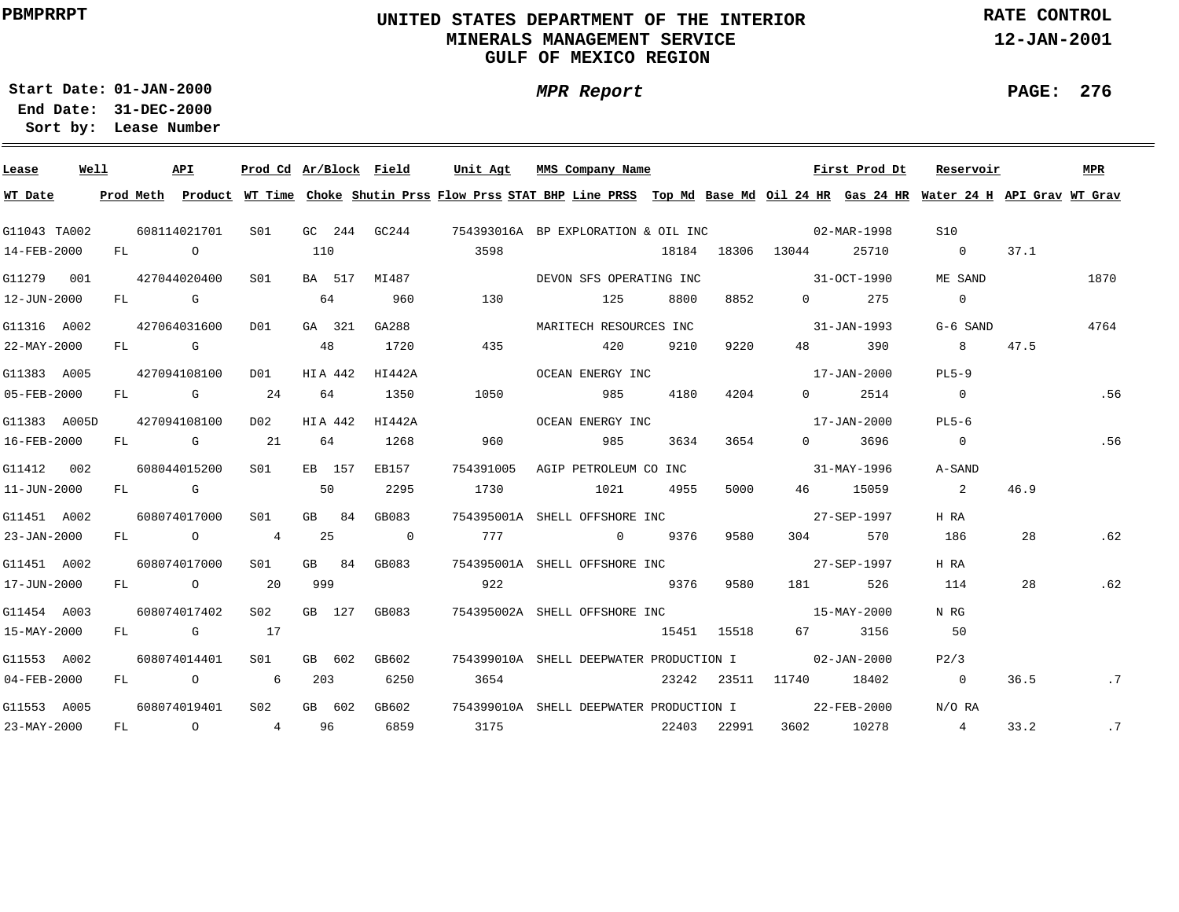# **UNITED STATES DEPARTMENT OF THE INTERIOR MINERALS MANAGEMENT SERVICEGULF OF MEXICO REGION**

**RATE CONTROL**

**12-JAN-2001**

**PAGE: 276**

÷

**01-JAN-2000Start Date:31-DEC-2000 End Date:** 

**Lease Number Sort by:**

| Lease        | Well |      | API          | Prod Cd Ar/Block Field |     |         |                | Unit Agt  | MMS Company Name                                                                                                                        |      |             |                                                                                                                                                                                                                                 | First Prod Dt | Reservoir      |      | MPR       |
|--------------|------|------|--------------|------------------------|-----|---------|----------------|-----------|-----------------------------------------------------------------------------------------------------------------------------------------|------|-------------|---------------------------------------------------------------------------------------------------------------------------------------------------------------------------------------------------------------------------------|---------------|----------------|------|-----------|
| WT Date      |      |      |              |                        |     |         |                |           | Prod Meth Product WT Time Choke Shutin Prss Flow Prss STAT BHP Line PRSS Top Md Base Md Oil 24 HR Gas 24 HR Water 24 H API Grav WT Grav |      |             |                                                                                                                                                                                                                                 |               |                |      |           |
| G11043 TA002 |      |      | 608114021701 | SO1 SO                 |     |         |                |           | GC 244 GC244 754393016A BP EXPLORATION & OIL INC 02-MAR-1998                                                                            |      |             |                                                                                                                                                                                                                                 |               | S10            |      |           |
| 14-FEB-2000  |      | FL O |              |                        | 110 |         |                | 3598      |                                                                                                                                         |      |             | 18184 18306 13044                                                                                                                                                                                                               | 25710         | $\overline{0}$ | 37.1 |           |
| G11279 001   |      |      | 427044020400 | S <sub>01</sub>        |     |         | BA 517 MI487   |           | DEVON SFS OPERATING INC                                                                                                                 |      |             | $31 - OCT - 1990$                                                                                                                                                                                                               |               | ME SAND        |      | 1870      |
| 12-JUN-2000  |      |      | $FL$ G $G$   |                        |     | 64      | 960            | 130       | 125                                                                                                                                     | 8800 | 8852        | $\Omega$                                                                                                                                                                                                                        | 275           | $\overline{0}$ |      |           |
| G11316 A002  |      |      | 427064031600 | DO1                    |     | GA 321  | GA288          |           | MARITECH RESOURCES INC                                                                                                                  |      |             |                                                                                                                                                                                                                                 | 31-JAN-1993   | G-6 SAND       |      | 4764      |
| 22-MAY-2000  |      |      | $FL$ G       |                        | 48  |         | 1720           | 435       | 420                                                                                                                                     | 9210 | 9220        | 48 — 18                                                                                                                                                                                                                         | 390           | 8 <sup>8</sup> | 47.5 |           |
| G11383 A005  |      |      | 427094108100 | D01                    |     | HIA 442 | HI442A         |           | OCEAN ENERGY INC                                                                                                                        |      |             |                                                                                                                                                                                                                                 | 17-JAN-2000   | $PL5-9$        |      |           |
| 05-FEB-2000  |      |      | FL G 24      |                        |     | 64      | 1350           | 1050      | 985                                                                                                                                     | 4180 | 4204        | $\Omega$ and $\Omega$                                                                                                                                                                                                           | 2514          | $\overline{0}$ |      | .56       |
| G11383 A005D |      |      | 427094108100 | D02                    |     | HIA 442 | HI442A         |           | OCEAN ENERGY INC                                                                                                                        |      |             |                                                                                                                                                                                                                                 | 17-JAN-2000   | $PL5-6$        |      |           |
| 16-FEB-2000  |      |      | $FL$ G 21    |                        | 64  |         | 1268           | 960       | 985                                                                                                                                     | 3634 | 3654        | $\Omega$                                                                                                                                                                                                                        | 3696          | $\overline{0}$ |      | .56       |
| G11412 002   |      |      | 608044015200 | S <sub>01</sub>        |     | EB 157  | EB157          | 754391005 | AGIP PETROLEUM CO INC                                                                                                                   |      |             |                                                                                                                                                                                                                                 | 31-MAY-1996   | A-SAND         |      |           |
| 11-JUN-2000  |      |      | FL G         |                        | 50  |         | 2295           | 1730      | 1021 4955                                                                                                                               |      | 5000        |                                                                                                                                                                                                                                 | 46 15059      | $\overline{2}$ | 46.9 |           |
| G11451 A002  |      |      | 608074017000 | SO1                    |     | GB 84   | GB083          |           | 754395001A SHELL OFFSHORE INC 27-SEP-1997                                                                                               |      |             |                                                                                                                                                                                                                                 |               | H RA           |      |           |
| 23-JAN-2000  |      |      | FL 0 4 25    |                        |     |         | $\overline{0}$ | 777       | 0 9376 9580                                                                                                                             |      |             | 304 30                                                                                                                                                                                                                          | 570           | 186            | 28   | .62       |
| G11451 A002  |      |      | 608074017000 | SO1 SO                 |     |         | GB 84 GB083    |           | 754395001A SHELL OFFSHORE INC 27-SEP-1997                                                                                               |      |             |                                                                                                                                                                                                                                 |               | H RA           |      |           |
| 17-JUN-2000  |      |      | FL O         | 20                     | 999 |         |                | 922       |                                                                                                                                         |      | 9376 9580   | 181 — 181 — 182 — 182 — 182 — 182 — 182 — 182 — 182 — 182 — 182 — 182 — 182 — 182 — 182 — 182 — 182 — 182 — 182 — 182 — 182 — 182 — 182 — 182 — 182 — 182 — 182 — 182 — 182 — 182 — 182 — 182 — 182 — 182 — 182 — 182 — 182 — 1 | 526           | 114            | 28   | .62       |
| G11454 A003  |      |      | 608074017402 | S02                    |     | GB 127  | GB083          |           | 754395002A SHELL OFFSHORE INC<br>15-MAY-2000                                                                                            |      |             |                                                                                                                                                                                                                                 |               | N RG           |      |           |
| 15-MAY-2000  |      |      | FL G 17      |                        |     |         |                |           |                                                                                                                                         |      | 15451 15518 |                                                                                                                                                                                                                                 | 67 3156       | 50             |      |           |
| G11553 A002  |      |      | 608074014401 | SO1                    |     | GB 602  | GB602          |           | 754399010A SHELL DEEPWATER PRODUCTION I                                                                                                 |      |             | $02 - JAN - 2000$                                                                                                                                                                                                               |               | P2/3           |      |           |
| 04-FEB-2000  |      |      | $FL$ 0 6     |                        | 203 |         | 6250           | 3654      |                                                                                                                                         |      |             | 23242 23511 11740 18402                                                                                                                                                                                                         |               | $\overline{0}$ | 36.5 | $\cdot$ 7 |
| G11553 A005  |      |      | 608074019401 | S <sub>02</sub>        |     | GB 602  | GB602          |           | 754399010A SHELL DEEPWATER PRODUCTION I 22-FEB-2000                                                                                     |      |             |                                                                                                                                                                                                                                 |               | N/O RA         |      |           |
| 23-MAY-2000  |      |      | FL 0 4 96    |                        |     |         | 6859           | 3175      |                                                                                                                                         |      | 22403 22991 | 3602 10278                                                                                                                                                                                                                      |               | $\overline{4}$ | 33.2 | .7        |

**MPR Report**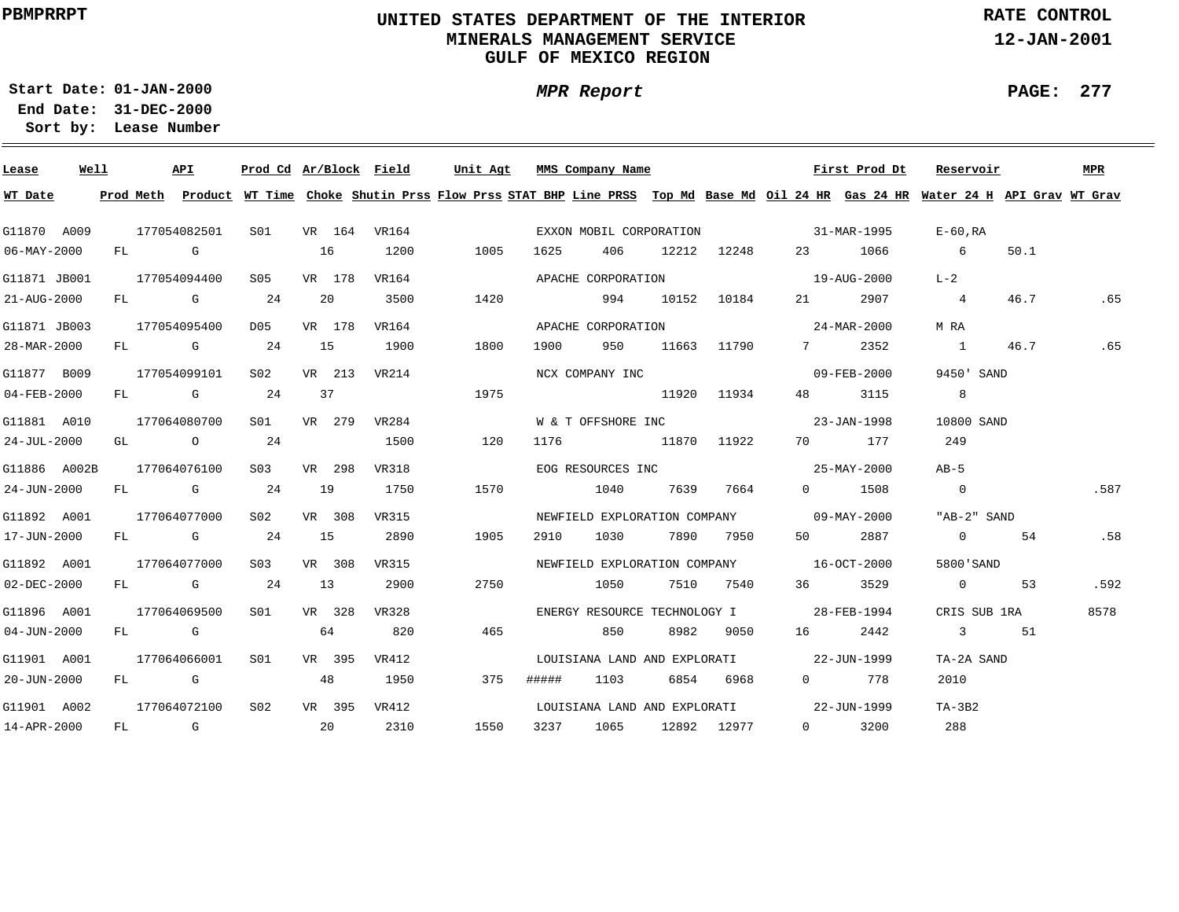# **UNITED STATES DEPARTMENT OF THE INTERIOR MINERALS MANAGEMENT SERVICEGULF OF MEXICO REGION**

**MPR Report**

**RATE CONTROL**

**12-JAN-2001**

**01-JAN-2000Start Date:31-DEC-2000 End Date:** 

**Lease Number Sort by:**

| Lease             | Well |  | API          | Prod Cd Ar/Block Field |    |        |       | Unit Agt                                 |       | MMS Company Name      |                 |                                          | First Prod Dt | Reservoir                                                                                                                               |      | MPR  |
|-------------------|------|--|--------------|------------------------|----|--------|-------|------------------------------------------|-------|-----------------------|-----------------|------------------------------------------|---------------|-----------------------------------------------------------------------------------------------------------------------------------------|------|------|
| WT Date           |      |  |              |                        |    |        |       |                                          |       |                       |                 |                                          |               | Prod Meth Product WT Time Choke Shutin Prss Flow Prss STAT BHP Line PRSS Top Md Base Md Oil 24 HR Gas 24 HR Water 24 H API Grav WT Grav |      |      |
| G11870 A009       |      |  | 177054082501 |                        |    |        |       | S01 VR 164 VR164                         |       |                       |                 | EXXON MOBIL CORPORATION 31-MAR-1995      |               | E-60,RA                                                                                                                                 |      |      |
| 06-MAY-2000       |      |  | FL G         |                        | 16 |        | 1200  | 1005                                     | 1625  | 406 10                | 12212 12248     |                                          | 23 1066       | $6\overline{6}$                                                                                                                         | 50.1 |      |
| G11871 JB001      |      |  | 177054094400 | S05 -                  |    | VR 178 | VR164 |                                          |       |                       |                 | APACHE CORPORATION 5 2000 19-AUG-2000    |               | $L-2$                                                                                                                                   |      |      |
| 21-AUG-2000       |      |  | FL G 24      |                        |    | 20     | 3500  | 1420                                     |       | 994 10152 10184       |                 |                                          | 21 2907       | $\overline{4}$                                                                                                                          | 46.7 | .65  |
| G11871 JB003      |      |  | 177054095400 | D05                    |    | VR 178 | VR164 |                                          |       | APACHE CORPORATION    |                 | $24 - \text{MAR} - 2000$                 |               | M RA                                                                                                                                    |      |      |
| 28-MAR-2000       |      |  | FL G 24      |                        |    | 15     | 1900  | 1800                                     | 1900  |                       | 950 11663 11790 |                                          | 7 2352        | $1 \qquad \qquad$                                                                                                                       | 46.7 | .65  |
| G11877 B009       |      |  | 177054099101 | S <sub>02</sub>        |    | VR 213 | VR214 |                                          |       | NCX COMPANY INC       |                 |                                          | 09-FEB-2000   | 9450' SAND                                                                                                                              |      |      |
| 04-FEB-2000       |      |  | $FL$ G 24    |                        | 37 |        |       | 1975                                     |       | 11920 11934           |                 | 48 — 18                                  | 3115          | 8 <sup>8</sup>                                                                                                                          |      |      |
| G11881 A010       |      |  | 177064080700 | S01                    |    | VR 279 |       | VR284                                    |       |                       |                 | W & T OFFSHORE INC 23-JAN-1998           |               | 10800 SAND                                                                                                                              |      |      |
| 24-JUL-2000       |      |  | GL 0 24      |                        |    |        | 1500  | 120                                      |       | 1176 11870 11922      |                 |                                          | 70 177        | 249                                                                                                                                     |      |      |
| G11886 A002B      |      |  | 177064076100 | S <sub>03</sub>        |    | VR 298 | VR318 |                                          |       |                       |                 | EOG RESOURCES INC 25-MAY-2000            |               | $AB-5$                                                                                                                                  |      |      |
| 24-JUN-2000       |      |  | $FL$ G 24    |                        |    | 19     | 1750  | 1570                                     |       | 1040 7639 7664        |                 |                                          | 0 1508        | $\overline{0}$                                                                                                                          |      | .587 |
| G11892 A001       |      |  | 177064077000 | S02 -                  |    | VR 308 | VR315 |                                          |       |                       |                 | NEWFIELD EXPLORATION COMPANY 09-MAY-2000 |               | "AB-2" SAND                                                                                                                             |      |      |
| 17-JUN-2000       |      |  | $FL$ G 24    |                        | 15 |        | 2890  | 1905                                     | 2910  |                       | 1030 7890 7950  |                                          | 50 2887       | $\overline{0}$                                                                                                                          | 54   | .58  |
| G11892 A001       |      |  | 177064077000 | S <sub>03</sub>        |    | VR 308 | VR315 |                                          |       |                       |                 | NEWFIELD EXPLORATION COMPANY 16-OCT-2000 |               | 5800'SAND                                                                                                                               |      |      |
| 02-DEC-2000       |      |  |              | FL G 24 13             |    |        | 2900  | 2750                                     |       | 1050                  | 7510 7540       |                                          | 36 3529       | $\overline{0}$                                                                                                                          | 53   | .592 |
| G11896 A001       |      |  | 177064069500 | S <sub>01</sub>        |    | VR 328 | VR328 |                                          |       |                       |                 | ENERGY RESOURCE TECHNOLOGY I 28-FEB-1994 |               | CRIS SUB 1RA                                                                                                                            |      | 8578 |
| $04 - JUN - 2000$ |      |  | FL G         | 64                     |    |        | 820   | 465                                      |       | 850                   | 8982 9050       |                                          | 16 2442       | 3 51                                                                                                                                    |      |      |
| G11901 A001       |      |  | 177064066001 | S01                    |    | VR 395 | VR412 |                                          |       |                       |                 | LOUISIANA LAND AND EXPLORATI 22-JUN-1999 |               | TA-2A SAND                                                                                                                              |      |      |
| 20-JUN-2000       |      |  | FL G         |                        |    | 48     | 1950  | 375                                      | ##### | 1103                  | 6854 6968       |                                          | 0 778         | 2010                                                                                                                                    |      |      |
| G11901 A002       |      |  | 177064072100 | S <sub>02</sub>        |    | VR 395 | VR412 | LOUISIANA LAND AND EXPLORATI 22-JUN-1999 |       |                       |                 |                                          |               | $TA-3B2$                                                                                                                                |      |      |
| 14-APR-2000       |      |  | FL G         |                        |    | 20     | 2310  | 1550                                     |       | 3237 1065 12892 12977 |                 | $\overline{0}$                           | 3200          | 288                                                                                                                                     |      |      |

# **PAGE: 277**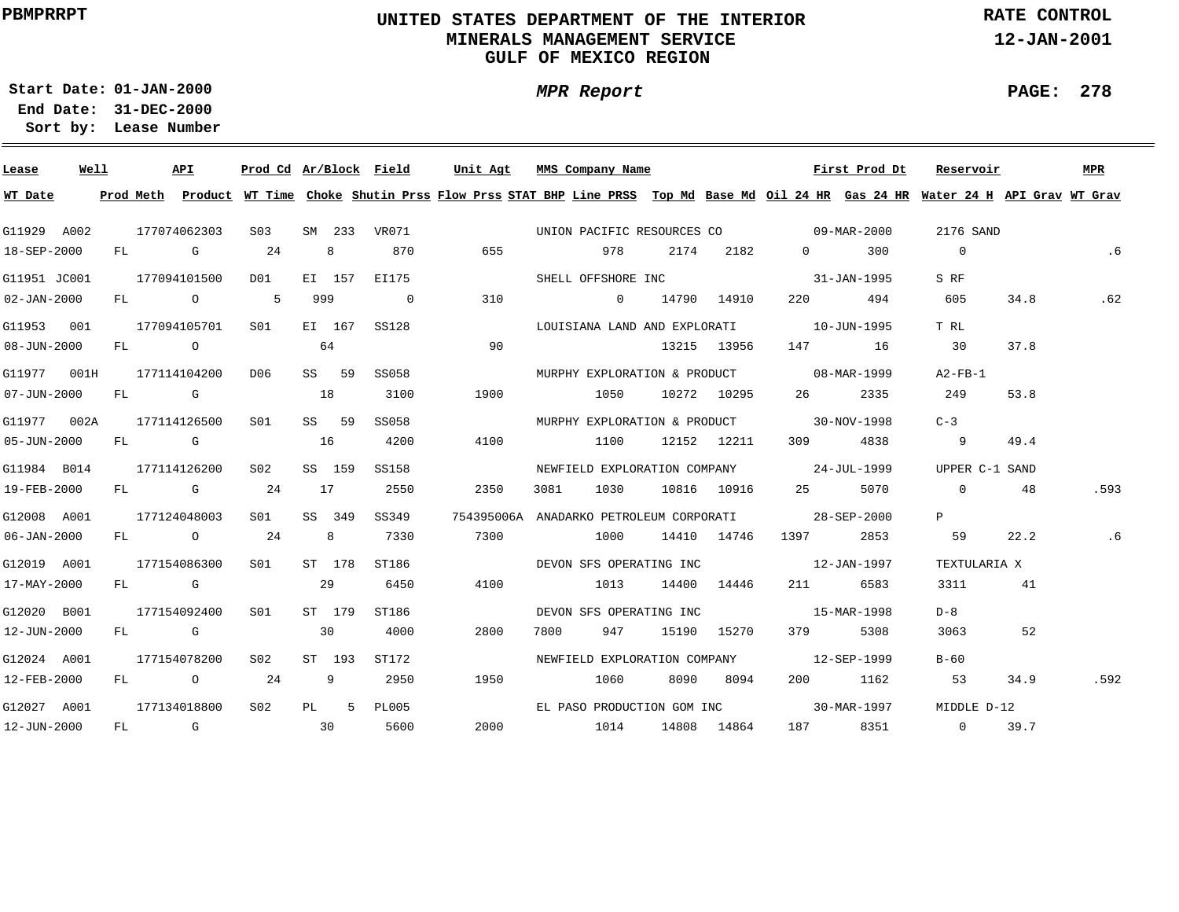# **UNITED STATES DEPARTMENT OF THE INTERIOR MINERALS MANAGEMENT SERVICEGULF OF MEXICO REGION**

**MPR Report**

**RATE CONTROL**

**12-JAN-2001**

**PAGE: 278**

÷

**01-JAN-2000Start Date:**

| Lease             | Well |    |                                                                                                                                                                                                                                | API            |              |     |        |                | Prod Cd Ar/Block Field Unit Agt MMS Company Name                                                                                        |                                                     |      |                  |                                                                                                                | First Prod Dt | Reservoir      |      | MPR  |
|-------------------|------|----|--------------------------------------------------------------------------------------------------------------------------------------------------------------------------------------------------------------------------------|----------------|--------------|-----|--------|----------------|-----------------------------------------------------------------------------------------------------------------------------------------|-----------------------------------------------------|------|------------------|----------------------------------------------------------------------------------------------------------------|---------------|----------------|------|------|
| WT Date           |      |    |                                                                                                                                                                                                                                |                |              |     |        |                | Prod Meth Product WT Time Choke Shutin Prss Flow Prss STAT BHP Line PRSS Top Md Base Md Oil 24 HR Gas 24 HR Water 24 H API Grav WT Grav |                                                     |      |                  |                                                                                                                |               |                |      |      |
| G11929 A002       |      |    |                                                                                                                                                                                                                                | 177074062303   | S03          |     |        | SM 233 VR071   |                                                                                                                                         | UNION PACIFIC RESOURCES CO 09-MAR-2000              |      |                  |                                                                                                                |               | 2176 SAND      |      |      |
| 18-SEP-2000       |      | FL | and the control of the control of the control of the control of the control of the control of the control of the control of the control of the control of the control of the control of the control of the control of the cont |                | 24           |     | 8      | 870            | 655                                                                                                                                     |                                                     | 978  | 2174 2182        | $\Omega$ and $\Omega$                                                                                          | 300           | $\overline{0}$ |      | .6   |
| G11951 JC001      |      |    |                                                                                                                                                                                                                                | 177094101500   | D01          |     | EI 157 | EI175          |                                                                                                                                         | SHELL OFFSHORE INC                                  |      |                  |                                                                                                                | 31-JAN-1995   | S RF           |      |      |
| $02 - JAN - 2000$ |      |    |                                                                                                                                                                                                                                | FL O           | 5            | 999 |        | $\overline{0}$ | 310                                                                                                                                     | $\sim$ 0                                            |      | 14790 14910      | 220 — 20                                                                                                       | 494           | 605            | 34.8 | .62  |
| G11953 001        |      |    |                                                                                                                                                                                                                                | 177094105701   | S01 <b>S</b> |     | EI 167 | SS128          |                                                                                                                                         | LOUISIANA LAND AND EXPLORATI                        |      |                  |                                                                                                                | 10-JUN-1995   | T RL           |      |      |
| $08 - JUN - 2000$ |      | FL |                                                                                                                                                                                                                                | $\overline{O}$ |              | 64  |        |                | 90                                                                                                                                      |                                                     |      | 13215 13956      |                                                                                                                | 147 16        | 30             | 37.8 |      |
| G11977 001H       |      |    |                                                                                                                                                                                                                                | 177114104200   | D06          |     | SS 59  | SS058          |                                                                                                                                         | MURPHY EXPLORATION & PRODUCT 08-MAR-1999            |      |                  |                                                                                                                |               | $A2-FB-1$      |      |      |
| 07-JUN-2000       |      |    |                                                                                                                                                                                                                                | FL G           |              | 18  |        | 3100           | 1900                                                                                                                                    |                                                     |      | 1050 10272 10295 | 26 — 26                                                                                                        | 2335          | 249            | 53.8 |      |
| G11977 002A       |      |    |                                                                                                                                                                                                                                | 177114126500   | S01          |     | SS 59  | SS058          |                                                                                                                                         | MURPHY EXPLORATION & PRODUCT 30-NOV-1998            |      |                  |                                                                                                                |               | $C-3$          |      |      |
| 05-JUN-2000       |      |    | FL G                                                                                                                                                                                                                           |                |              | 16  |        | 4200           | 4100                                                                                                                                    |                                                     |      | 1100 12152 12211 |                                                                                                                | 309 4838      | $\overline{9}$ | 49.4 |      |
| G11984 B014       |      |    |                                                                                                                                                                                                                                | 177114126200   | S02          |     | SS 159 | SS158          |                                                                                                                                         | NEWFIELD EXPLORATION COMPANY 24-JUL-1999            |      |                  |                                                                                                                |               | UPPER C-1 SAND |      |      |
| 19-FEB-2000       |      |    |                                                                                                                                                                                                                                | FL G           | 24           | 17  |        | 2550           | 2350                                                                                                                                    | 3081                                                | 1030 | 10816 10916      | 25 5070                                                                                                        |               | $\overline{0}$ | 48   | .593 |
| G12008 A001       |      |    |                                                                                                                                                                                                                                | 177124048003   | S01          |     | SS 349 | SS349          |                                                                                                                                         | 754395006A ANADARKO PETROLEUM CORPORATI 28-SEP-2000 |      |                  |                                                                                                                |               | $\mathbf{P}$   |      |      |
| $06 - JAN - 2000$ |      |    |                                                                                                                                                                                                                                | FL O           | 24           |     | 8      | 7330           | 7300                                                                                                                                    | 1000                                                |      | 14410 14746      | 1397 2853                                                                                                      |               | 59             | 22.2 | .6   |
| G12019 A001       |      |    |                                                                                                                                                                                                                                | 177154086300   | S01          |     | ST 178 | ST186          |                                                                                                                                         | DEVON SFS OPERATING INC                             |      |                  | $12 - JAN - 1997$                                                                                              |               | TEXTULARIA X   |      |      |
| 17-MAY-2000       |      |    | FL G                                                                                                                                                                                                                           |                |              | 29  |        | 6450           | 4100                                                                                                                                    |                                                     | 1013 | 14400 14446      | 211 — 211 — 211 — 211 — 211 — 212 — 212 — 212 — 212 — 212 — 212 — 212 — 212 — 212 — 212 — 212 — 212 — 212 — 21 | 6583          | 3311           | 41   |      |
| G12020 B001       |      |    |                                                                                                                                                                                                                                | 177154092400   | SO1          |     | ST 179 | ST186          |                                                                                                                                         | DEVON SFS OPERATING INC                             |      |                  | 15-MAR-1998                                                                                                    |               | D-8            |      |      |
| 12-JUN-2000       |      |    | FL G                                                                                                                                                                                                                           |                |              | 30  |        | 4000           | 2800                                                                                                                                    | 7800                                                | 947  | 15190 15270      | 379 — 1                                                                                                        | 5308          | 3063           | 52   |      |
| G12024 A001       |      |    |                                                                                                                                                                                                                                | 177154078200   | S02          |     | ST 193 | ST172          |                                                                                                                                         | NEWFIELD EXPLORATION COMPANY                        |      |                  |                                                                                                                | 12-SEP-1999   | $B-60$         |      |      |
| 12-FEB-2000       |      |    |                                                                                                                                                                                                                                | FL 0 24        |              |     | 9      | 2950           | 1950                                                                                                                                    | 1060                                                |      | 8090 8094        |                                                                                                                | 200 1162      | 53             | 34.9 | .592 |
| G12027 A001       |      |    |                                                                                                                                                                                                                                | 177134018800   | S02          |     | PL 5   | <b>PL005</b>   |                                                                                                                                         | EL PASO PRODUCTION GOM INC                          |      |                  |                                                                                                                | 30-MAR-1997   | MIDDLE D-12    |      |      |
| 12-JUN-2000       |      |    |                                                                                                                                                                                                                                | FL G           | $\sim$ 30    |     |        | 5600           | 2000                                                                                                                                    | 1014                                                |      | 14808 14864      |                                                                                                                | 187 8351      | $\overline{0}$ | 39.7 |      |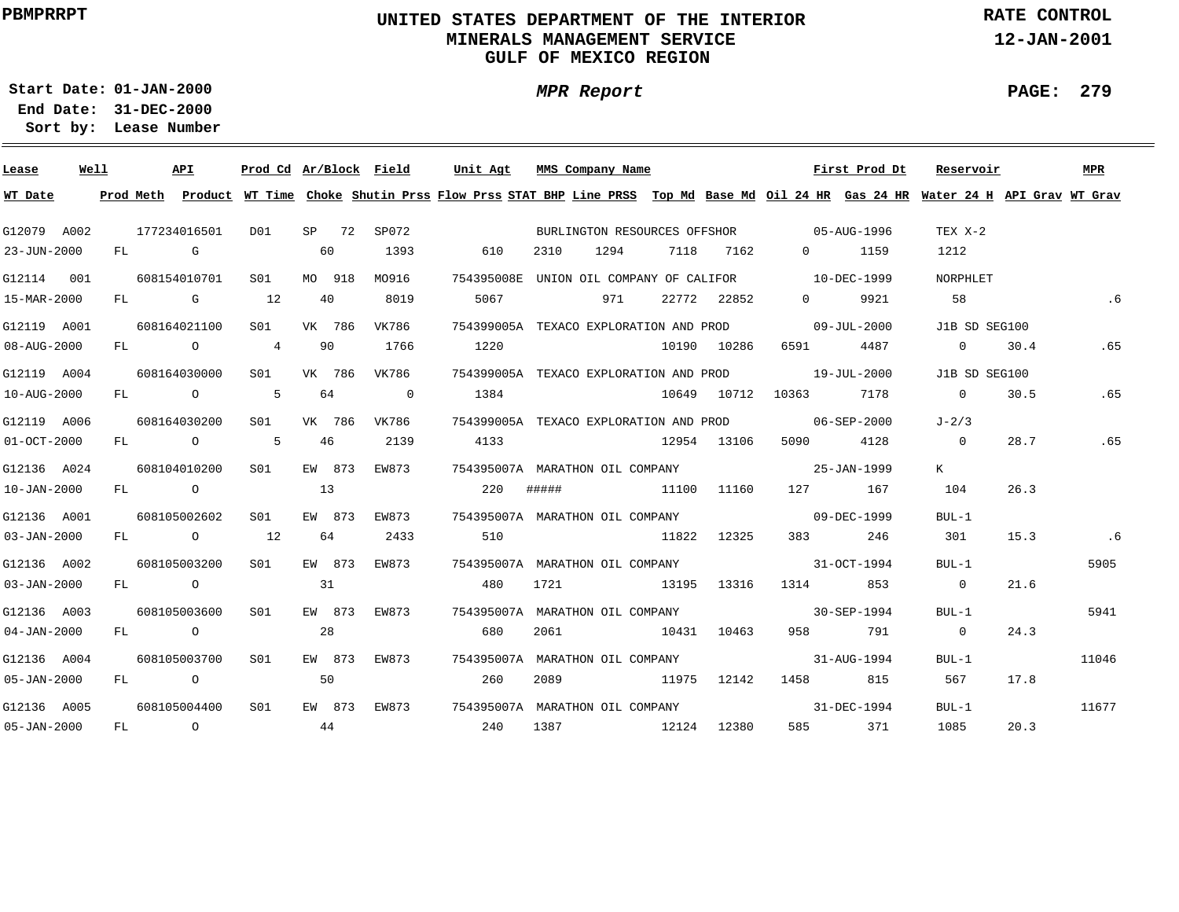# **UNITED STATES DEPARTMENT OF THE INTERIOR MINERALS MANAGEMENT SERVICEGULF OF MEXICO REGION**

**RATE CONTROL**

**12-JAN-2001**

**PAGE: 279**

**01-JAN-2000Start Date:**

**31-DEC-2000 End Date: Lease Number Sort by:**

| Lease             | Well |  | API          |                  |    |        | Prod Cd Ar/Block Field  | Unit Agt                                     | MMS Company Name                                                    |             |             | First Prod Dt                                                                                                                           | Reservoir                         |      | <b>MPR</b> |
|-------------------|------|--|--------------|------------------|----|--------|-------------------------|----------------------------------------------|---------------------------------------------------------------------|-------------|-------------|-----------------------------------------------------------------------------------------------------------------------------------------|-----------------------------------|------|------------|
| WT Date           |      |  |              |                  |    |        |                         |                                              |                                                                     |             |             | Prod Meth Product WT Time Choke Shutin Prss Flow Prss STAT BHP Line PRSS Top Md Base Md Oil 24 HR Gas 24 HR Water 24 H API Grav WT Grav |                                   |      |            |
| G12079 A002       |      |  | 177234016501 | D01              |    |        | SP 72 SP072             |                                              | BURLINGTON RESOURCES OFFSHOR 05-AUG-1996                            |             |             |                                                                                                                                         | TEX X-2                           |      |            |
| 23-JUN-2000       |      |  | FL G         |                  | 60 |        | 1393                    | 610                                          | 1294<br>2310                                                        |             | 7118 7162   | 0 1159                                                                                                                                  | 1212                              |      |            |
| G12114 001        |      |  | 608154010701 | S01 <b>S</b>     |    |        | MO 918 MO916            |                                              | 754395008E UNION OIL COMPANY OF CALIFOR 10-DEC-1999                 |             |             |                                                                                                                                         | NORPHLET                          |      |            |
| 15-MAR-2000       |      |  | $FL$ G 12    |                  | 40 |        | 8019                    | 5067                                         | 971                                                                 |             | 22772 22852 | 9921<br>$\Omega$                                                                                                                        | 58                                |      |            |
| G12119 A001       |      |  | 608164021100 | S01 VK 786       |    |        | VK786                   |                                              | 754399005A TEXACO EXPLORATION AND PROD                              |             |             | $09 - JUL - 2000$                                                                                                                       | J1B SD SEG100                     |      |            |
| 08-AUG-2000       |      |  |              | FL 0 4 90        |    |        | 1766                    | 1220                                         |                                                                     |             | 10190 10286 | 6591 4487                                                                                                                               | $\overline{0}$ and $\overline{0}$ | 30.4 | .65        |
| G12119 A004       |      |  | 608164030000 | S01 VK 786 VK786 |    |        |                         |                                              | 754399005A TEXACO EXPLORATION AND PROD 19-JUL-2000                  |             |             |                                                                                                                                         | J1B SD SEG100                     |      |            |
| 10-AUG-2000       |      |  | FL 0 5       |                  | 64 |        | $\overline{\mathbf{0}}$ | 1384                                         |                                                                     |             |             | 10649 10712 10363 7178                                                                                                                  | $0 \t30.5$                        |      | .65        |
| G12119 A006       |      |  | 608164030200 | S01              |    |        | VK 786 VK786            |                                              | 754399005A TEXACO EXPLORATION AND PROD 6-SEP-2000                   |             |             |                                                                                                                                         | $J-2/3$                           |      |            |
| $01 - OCT - 2000$ |      |  | FL 0 5       |                  | 46 |        | 2139                    | 4133                                         |                                                                     |             | 12954 13106 | 5090 4128                                                                                                                               | $\overline{0}$                    | 28.7 | .65        |
| G12136 A024       |      |  | 608104010200 | S01              |    | EW 873 | EW873                   |                                              |                                                                     |             |             |                                                                                                                                         | K                                 |      |            |
| $10 - JAN - 2000$ |      |  | FL O         |                  | 13 |        |                         |                                              | 220 ##### 11100 11160                                               |             |             | 127 167                                                                                                                                 | 104                               | 26.3 |            |
| G12136 A001       |      |  | 608105002602 | SO1              |    | EW 873 | EW873                   |                                              | 754395007A MARATHON OIL COMPANY CONDUCTER SUPPLIES AND 199-DEC-1999 |             |             |                                                                                                                                         | BUL-1                             |      |            |
| 03-JAN-2000       |      |  | FL 0 12      |                  | 64 |        | 2433                    | 510                                          | 11822 12325                                                         |             |             | 246                                                                                                                                     | 301                               | 15.3 | .6         |
| G12136 A002       |      |  | 608105003200 | S <sub>01</sub>  |    | EW 873 | EW873                   |                                              | 754395007A MARATHON OIL COMPANY                                     |             |             | $31 - 0CT - 1994$                                                                                                                       | $BUL-1$                           |      | 5905       |
| 03-JAN-2000       |      |  | FL O         |                  | 31 |        |                         | 480                                          | 1721                                                                |             |             | 13195 13316 1314 853                                                                                                                    | $\Omega$                          | 21.6 |            |
| G12136 A003       |      |  | 608105003600 | S01              |    |        | EW 873 EW873            |                                              | 754395007A MARATHON OIL COMPANY                                     |             |             | $30 - SEP - 1994$                                                                                                                       | $BUL-1$                           |      | 5941       |
| $04 - JAN - 2000$ |      |  | FL O         |                  | 28 |        |                         | 680                                          | 2061                                                                | 10431 10463 |             | 958 791                                                                                                                                 | $\sim$ 0                          | 24.3 |            |
| G12136 A004       |      |  | 608105003700 | S01              |    |        | EW 873 EW873            |                                              | 754395007A MARATHON OIL COMPANY                                     |             |             | $31 - \text{AUG} - 1994$                                                                                                                | BUL-1                             |      | 11046      |
| $05 - JAN - 2000$ |      |  | FL O         |                  | 50 |        |                         | 260                                          | 2089 11975 12142                                                    |             |             | 1458 815                                                                                                                                | 567                               | 17.8 |            |
| G12136 A005       |      |  | 608105004400 | S <sub>01</sub>  |    |        |                         | EW 873 EW873 754395007A MARATHON OIL COMPANY |                                                                     |             |             | $31 - DEC - 1994$                                                                                                                       | BUL-1                             |      | 11677      |
| $05 - JAN - 2000$ |      |  | $FL$ 0       |                  | 44 |        |                         | 240                                          | 1387 12124 12380                                                    |             |             | 585 371                                                                                                                                 | 1085                              | 20.3 |            |

**MPR Report**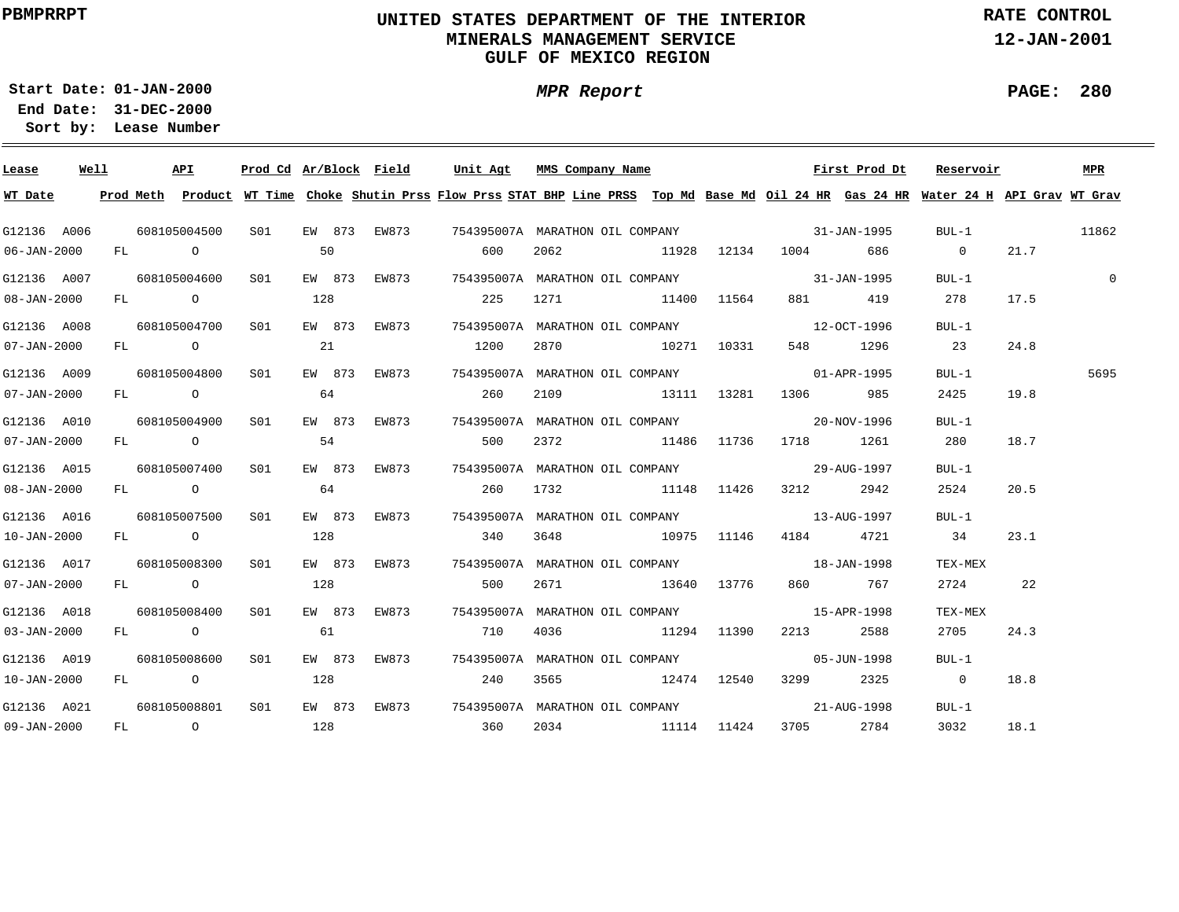# **UNITED STATES DEPARTMENT OF THE INTERIOR MINERALS MANAGEMENT SERVICEGULF OF MEXICO REGION**

**RATE CONTROL**

**12-JAN-2001**

**PAGE: 280**

**01-JAN-2000Start Date:31-DEC-2000 End Date:** 

**Lease Number Sort by:**

| Lease             | Well |  | API              | Prod Cd Ar/Block Field |     |              | Unit Agt                                                                                       |      | MMS Company Name               |  |                      | First Prod Dt | Reservoir                                                                                                                               |      | MPR         |
|-------------------|------|--|------------------|------------------------|-----|--------------|------------------------------------------------------------------------------------------------|------|--------------------------------|--|----------------------|---------------|-----------------------------------------------------------------------------------------------------------------------------------------|------|-------------|
| WT Date           |      |  |                  |                        |     |              |                                                                                                |      |                                |  |                      |               | Prod Meth Product WT Time Choke Shutin Prss Flow Prss STAT BHP Line PRSS Top Md Base Md Oil 24 HR Gas 24 HR Water 24 H API Grav WT Grav |      |             |
| G12136 A006       |      |  |                  |                        |     |              | 608105004500  S01  EW 873 EW873   754395007A MARATHON OIL COMPANY           31-JAN-1995        |      |                                |  |                      |               | $BUL-1$                                                                                                                                 |      | 11862       |
| 06-JAN-2000       |      |  | FL O             | 50                     |     |              | 600                                                                                            | 2062 |                                |  | 11928 12134 1004 686 |               | $\overline{0}$                                                                                                                          | 21.7 |             |
| G12136 A007       |      |  | 608105004600 S01 |                        |     |              |                                                                                                |      |                                |  |                      |               | $BUL-1$                                                                                                                                 |      | $\mathbf 0$ |
| $08 - JAN - 2000$ |      |  | FL O             |                        | 128 |              | 225                                                                                            |      | 1271 11400 11564               |  |                      | 881 419       | 278                                                                                                                                     | 17.5 |             |
| G12136 A008       |      |  |                  | 608105004700 S01       |     |              |                                                                                                |      |                                |  |                      |               | BUL-1                                                                                                                                   |      |             |
| 07-JAN-2000       |      |  |                  | FL 0 21                |     |              | 1200                                                                                           |      | 2870 10271 10331               |  |                      | 548 1296      | 23                                                                                                                                      | 24.8 |             |
| G12136 A009       |      |  |                  | 608105004800 S01       |     |              |                                                                                                |      |                                |  |                      |               | BUL-1                                                                                                                                   |      | 5695        |
| 07-JAN-2000       |      |  |                  | $FL$ 0 64              |     |              | 260                                                                                            |      | 2109 13111 13281 1306 985      |  |                      |               | 2425                                                                                                                                    | 19.8 |             |
| G12136 A010       |      |  |                  |                        |     |              | 608105004900   S01   EW 873   EW873    754395007A  MARATHON OIL COMPANY            20-NOV-1996 |      |                                |  |                      |               | BUL-1                                                                                                                                   |      |             |
| 07-JAN-2000       |      |  |                  | $FL$ 0 54              |     |              | 500                                                                                            |      | 2372 11486 11736 1718 1261     |  |                      |               | 280                                                                                                                                     | 18.7 |             |
| G12136 A015       |      |  |                  |                        |     |              | 608105007400 S01 EW 873 EW873 754395007A MARATHON OIL COMPANY 608105007400 29-AUG-1997         |      |                                |  |                      |               | $BUL-1$                                                                                                                                 |      |             |
| $08 - JAN - 2000$ |      |  | FL O             |                        | 64  |              |                                                                                                |      | 260 1732 11148 11426 3212 2942 |  |                      |               | 2524                                                                                                                                    | 20.5 |             |
| G12136 A016       |      |  | 608105007500 S01 |                        |     |              | EW 873 EW873 754395007A MARATHON OIL COMPANY 13-AUG-1997                                       |      |                                |  |                      |               | BUL-1                                                                                                                                   |      |             |
| 10-JAN-2000       |      |  | FL O             |                        | 128 |              | 340 3648 10975 11146 4184 4721                                                                 |      |                                |  |                      |               | 34                                                                                                                                      | 23.1 |             |
| G12136 A017       |      |  | 608105008300 S01 |                        |     | EW 873 EW873 | 754395007A MARATHON OIL COMPANY 18-JAN-1998                                                    |      |                                |  |                      |               | TEX-MEX                                                                                                                                 |      |             |
| $07 - JAN - 2000$ |      |  |                  | FL 0 128               |     |              | 500                                                                                            |      | 2671 13640 13776               |  |                      | 860 767       | 2724 22                                                                                                                                 |      |             |
| G12136 A018       |      |  | 608105008400 S01 |                        |     |              |                                                                                                |      |                                |  |                      |               | TEX-MEX                                                                                                                                 |      |             |
| $03 - JAN - 2000$ |      |  |                  | FL 0 61                |     |              | 710                                                                                            |      | 4036 11294 11390 2213 2588     |  |                      |               | 2705                                                                                                                                    | 24.3 |             |
| G12136 A019       |      |  | 608105008600 S01 |                        |     |              | EW 873 EW873 754395007A MARATHON OIL COMPANY                                                   |      |                                |  | $05 - JUN - 1998$    |               | BUL-1                                                                                                                                   |      |             |
| 10-JAN-2000       |      |  | FL O             |                        | 128 |              | 240                                                                                            |      | 3565 12474 12540               |  |                      | 3299 2325     | $0 \t 18.8$                                                                                                                             |      |             |
| G12136 A021       |      |  | 608105008801 S01 |                        |     |              | EW 873 EW873 754395007A MARATHON OIL COMPANY 673 21-AUG-1998                                   |      |                                |  |                      |               | $BUL-1$                                                                                                                                 |      |             |
| $09 - JAN - 2000$ |      |  |                  | FL 0 128               |     |              | 360 2034 11114 11424                                                                           |      |                                |  |                      | 3705 2784     | 3032                                                                                                                                    | 18.1 |             |

**MPR Report**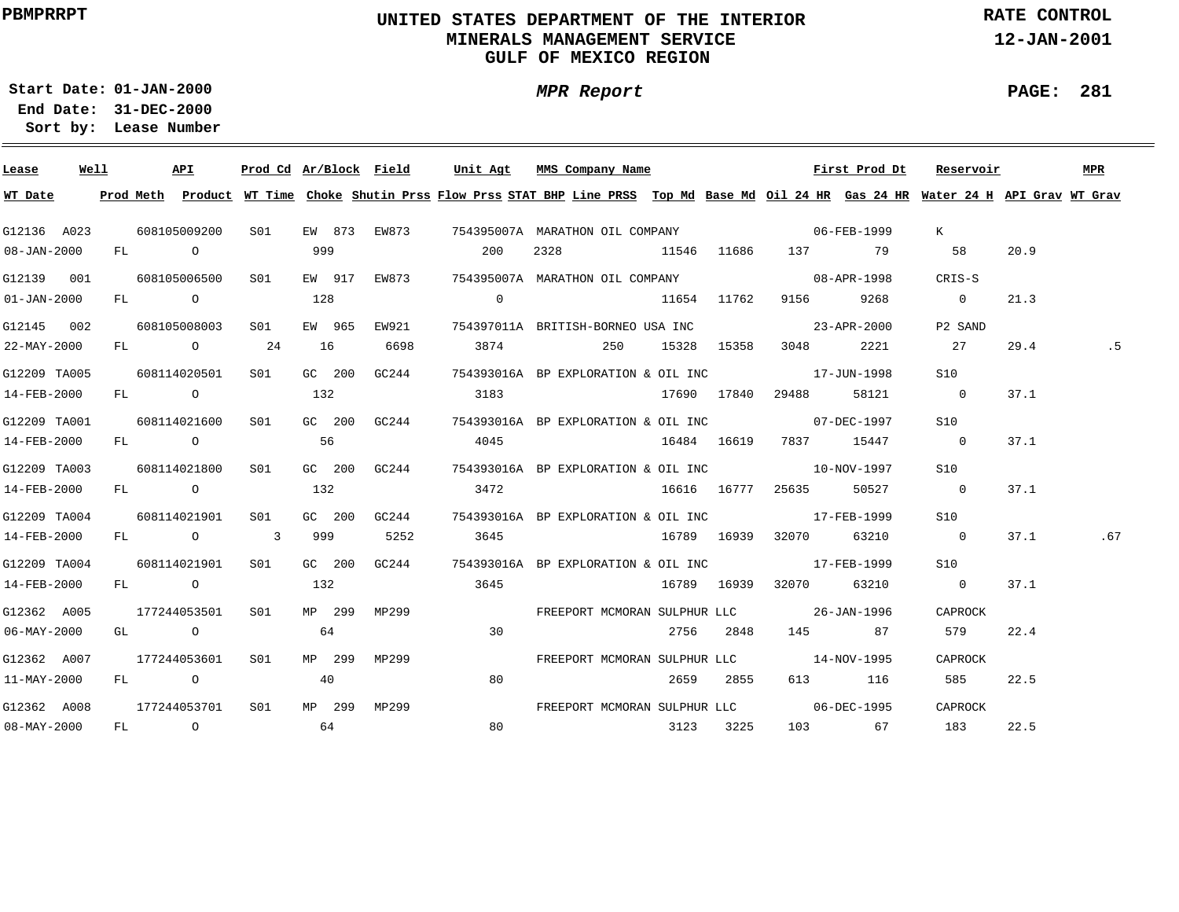# **UNITED STATES DEPARTMENT OF THE INTERIOR MINERALS MANAGEMENT SERVICEGULF OF MEXICO REGION**

**MPR Report**

**RATE CONTROL**

**12-JAN-2001**

**01-JAN-2000Start Date:31-DEC-2000 End Date:** 

**Lease Number Sort by:**

| Lease             | Well |  | API                         | Prod Cd Ar/Block Field |     |                               | Unit Agt       |    | MMS Company Name                                                                                                                        |           |                   | First Prod Dt          | Reservoir      |      | MPR. |
|-------------------|------|--|-----------------------------|------------------------|-----|-------------------------------|----------------|----|-----------------------------------------------------------------------------------------------------------------------------------------|-----------|-------------------|------------------------|----------------|------|------|
| WT Date           |      |  |                             |                        |     |                               |                |    | Prod Meth Product WT Time Choke Shutin Prss Flow Prss STAT BHP Line PRSS Top Md Base Md Oil 24 HR Gas 24 HR Water 24 H API Grav WT Grav |           |                   |                        |                |      |      |
|                   |      |  |                             |                        |     |                               |                |    | G12136 A023 608105009200 S01 EW 873 EW873 754395007A MARATHON OIL COMPANY 60000000 06-FEB-1999                                          |           |                   |                        | K —            |      |      |
| $08 - JAN - 2000$ |      |  | FL O                        |                        | 999 |                               | 200            |    | 11546 11686 137 79<br>2328                                                                                                              |           |                   |                        | 58             | 20.9 |      |
|                   |      |  | G12139 001 608105006500 S01 |                        |     |                               |                |    | EW 917 EW873 754395007A MARATHON OIL COMPANY 608-APR-1998                                                                               |           |                   |                        | CRIS-S         |      |      |
| $01 - JAN - 2000$ |      |  | FL O                        |                        | 128 |                               | $\overline{0}$ |    | 11654 11762 9156 9268                                                                                                                   |           |                   |                        | $\overline{0}$ | 21.3 |      |
| G12145 002        |      |  | 608105008003 S01            |                        |     | EW 965 EW921                  |                |    | 754397011A BRITISH-BORNEO USA INC 23-APR-2000                                                                                           |           |                   |                        | P2 SAND        |      |      |
| 22-MAY-2000       |      |  | FL 0 24 16                  |                        |     | 6698                          |                |    | 3874 250 15328 15358                                                                                                                    |           | 3048              | 2221                   | 27             | 29.4 |      |
| G12209 TA005      |      |  | 608114020501 S01            |                        |     | GC 200 GC244                  |                |    | 754393016A BP EXPLORATION & OIL INC $17$ -JUN-1998                                                                                      |           |                   |                        | S10            |      |      |
| 14-FEB-2000       |      |  | FL 0 132                    |                        |     |                               |                |    |                                                                                                                                         |           | 29488             | 58121                  | $\overline{0}$ | 37.1 |      |
| G12209 TA001      |      |  |                             |                        |     |                               |                |    | $608114021600$ S01 GC 200 GC244 754393016A BP EXPLORATION & OIL INC $07$ -DEC-1997                                                      |           |                   |                        | S10            |      |      |
| 14-FEB-2000       |      |  | FL O                        |                        | 56  |                               | 4045           |    |                                                                                                                                         |           |                   | 16484 16619 7837 15447 | $\sim$ 0       | 37.1 |      |
| G12209 TA003      |      |  | 608114021800                | S01                    |     |                               |                |    | GC $200$ GC244 754393016A BP EXPLORATION & OIL INC $10-NOV-1997$                                                                        |           |                   |                        | S10            |      |      |
| 14-FEB-2000       |      |  | FL O                        |                        | 132 |                               |                |    | 3472 16616 16777 25635                                                                                                                  |           |                   | 50527                  | $\overline{0}$ | 37.1 |      |
| G12209 TA004      |      |  | 608114021901 S01            |                        |     | GC 200 GC244                  |                |    |                                                                                                                                         |           |                   |                        | S10            |      |      |
| 14-FEB-2000       |      |  | FL 0 3 999                  |                        |     | 5252                          |                |    |                                                                                                                                         |           |                   |                        | $\overline{0}$ | 37.1 | .67  |
| G12209 TA004      |      |  | 608114021901 S01            |                        |     |                               |                |    | GC 200 GC244 754393016A BP EXPLORATION & OIL INC 37-FEB-1999                                                                            |           |                   |                        | S10            |      |      |
| 14-FEB-2000       |      |  | FL 0 132                    |                        |     |                               | 3645           |    |                                                                                                                                         |           | 16789 16939 32070 | 63210                  | $\sim$ 0       | 37.1 |      |
| G12362 A005       |      |  |                             |                        |     |                               |                |    | 177244053501 S01 MP 299 MP299 FREEPORT MCMORAN SULPHUR LLC 26-JAN-1996                                                                  |           |                   |                        | CAPROCK        |      |      |
| 06-MAY-2000       |      |  | $GL \t\t 0\t 64$            |                        |     |                               | 30             |    |                                                                                                                                         |           |                   | 2756 2848 145 87       | 579            | 22.4 |      |
| G12362 A007       |      |  | 177244053601 S01 MP 299     |                        |     | MP299                         |                |    | FREEPORT MCMORAN SULPHUR LLC 14-NOV-1995                                                                                                |           |                   |                        | CAPROCK        |      |      |
| 11-MAY-2000       |      |  | $FL$ 0 40                   |                        |     |                               |                | 80 |                                                                                                                                         | 2659 2855 |                   | 613 116                | 585            | 22.5 |      |
| G12362 A008       |      |  |                             |                        |     | 177244053701 S01 MP 299 MP299 |                |    | FREEPORT MCMORAN SULPHUR LLC 06-DEC-1995                                                                                                |           |                   |                        | CAPROCK        |      |      |
| 08-MAY-2000       |      |  |                             |                        |     | FL O 64                       |                | 80 | 3123 3225                                                                                                                               |           |                   | 103 67                 | 183            | 22.5 |      |

**PAGE: 281**

÷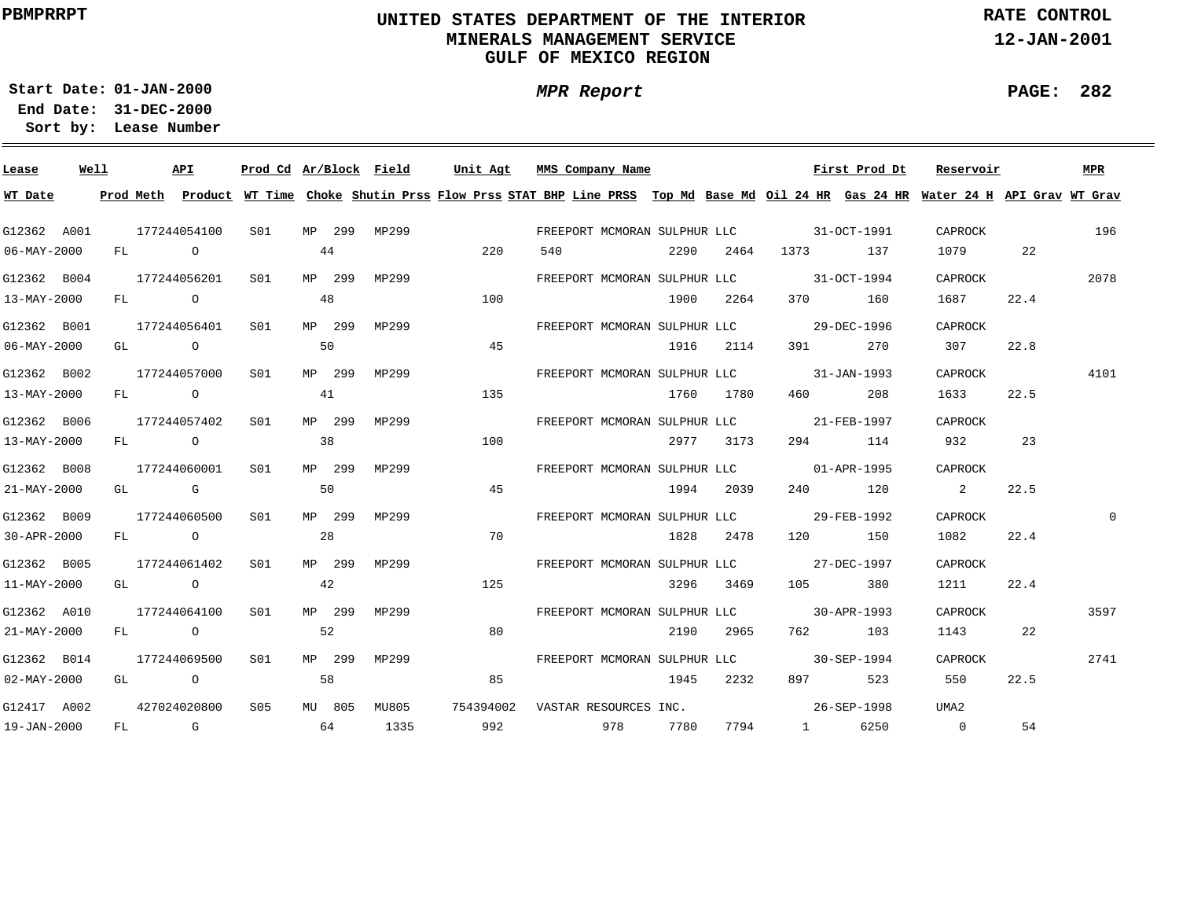# **UNITED STATES DEPARTMENT OF THE INTERIOR MINERALS MANAGEMENT SERVICEGULF OF MEXICO REGION**

**MPR Report**

**RATE CONTROL**

**12-JAN-2001**

**PAGE: 282**

÷

**01-JAN-2000Start Date:31-DEC-2000 End Date:** 

| Lease                    | Well | API              | Prod Cd Ar/Block Field |    |        |       | Unit Agt  |     | MMS Company Name                         |      |           |               | First Prod Dt | Reservoir                                                                                                                                                                                                                       |      | MPR  |
|--------------------------|------|------------------|------------------------|----|--------|-------|-----------|-----|------------------------------------------|------|-----------|---------------|---------------|---------------------------------------------------------------------------------------------------------------------------------------------------------------------------------------------------------------------------------|------|------|
| WT Date                  |      |                  |                        |    |        |       |           |     |                                          |      |           |               |               | Prod Meth Product WT Time Choke Shutin Prss Flow Prss STAT BHP Line PRSS Top Md Base Md Oil 24 HR Gas 24 HR Water 24 H API Grav WT Grav                                                                                         |      |      |
| G12362 A001              |      | 177244054100     | S01                    |    | MP 299 | MP299 |           |     | FREEPORT MCMORAN SULPHUR LLC 31-OCT-1991 |      |           |               |               | CAPROCK                                                                                                                                                                                                                         |      | 196  |
| 06-MAY-2000              |      | FL O             |                        | 44 |        |       | 220       | 540 |                                          | 2290 |           | 2464 1373 137 |               | 1079 — 1079 — 1079 — 1080 — 1080 — 1080 — 1080 — 1080 — 1080 — 1080 — 1080 — 1080 — 1080 — 1080 — 1080 — 1080 — 1080 — 1080 — 1080 — 1080 — 1080 — 1080 — 1080 — 1080 — 1080 — 1080 — 1080 — 1080 — 1080 — 1080 — 1080 — 1080 — | 22   |      |
| G12362 B004              |      | 177244056201     | S01                    |    | MP 299 | MP299 |           |     | FREEPORT MCMORAN SULPHUR LLC 31-OCT-1994 |      |           |               |               | CAPROCK                                                                                                                                                                                                                         |      | 2078 |
| 13-MAY-2000              |      | FL O             |                        | 48 |        |       | 100       |     |                                          |      | 1900 2264 |               | 370 160       | 1687                                                                                                                                                                                                                            | 22.4 |      |
| G12362 B001              |      | 177244056401     | S01                    |    | MP 299 | MP299 |           |     |                                          |      |           |               |               | CAPROCK                                                                                                                                                                                                                         |      |      |
| 06-MAY-2000              |      | GL O             |                        | 50 |        |       | 45        |     |                                          |      | 1916 2114 | 391 — 100     | 270           | 307                                                                                                                                                                                                                             | 22.8 |      |
| G12362 B002              |      | 177244057000 SO1 |                        |    | MP 299 | MP299 |           |     | FREEPORT MCMORAN SULPHUR LLC 31-JAN-1993 |      |           |               |               | CAPROCK                                                                                                                                                                                                                         |      | 4101 |
| 13-MAY-2000              |      | FL O             |                        | 41 |        |       | 135       |     |                                          |      | 1760 1780 | 460 — 100     | 208           | 1633                                                                                                                                                                                                                            | 22.5 |      |
| G12362 B006              |      | 177244057402     | S01                    |    | MP 299 | MP299 |           |     | FREEPORT MCMORAN SULPHUR LLC 21-FEB-1997 |      |           |               |               | CAPROCK                                                                                                                                                                                                                         |      |      |
| 13-MAY-2000              |      | FL O             |                        | 38 |        |       | 100       |     |                                          |      | 2977 3173 |               | 294 114       | 932                                                                                                                                                                                                                             | 23   |      |
| G12362 B008              |      | 177244060001     | S01                    |    | MP 299 | MP299 |           |     | FREEPORT MCMORAN SULPHUR LLC 01-APR-1995 |      |           |               |               | CAPROCK                                                                                                                                                                                                                         |      |      |
| 21-MAY-2000              |      | GL G             |                        | 50 |        |       | 45        |     |                                          |      | 1994 2039 |               | 240 120       | $\overline{\mathbf{2}}$                                                                                                                                                                                                         | 22.5 |      |
| G12362 B009              |      | 177244060500     | SO1                    |    | MP 299 | MP299 |           |     |                                          |      |           |               |               | CAPROCK                                                                                                                                                                                                                         |      |      |
| 30-APR-2000              |      | FL O             |                        | 28 |        |       | 70        |     |                                          |      | 1828 2478 |               | 120 150       | 1082                                                                                                                                                                                                                            | 22.4 |      |
| G12362 B005              |      | 177244061402     | SO1                    |    | MP 299 | MP299 |           |     |                                          |      |           |               |               | CAPROCK                                                                                                                                                                                                                         |      |      |
| 11-MAY-2000              |      | GL O             |                        | 42 |        |       | 125       |     |                                          |      | 3296 3469 | 105           | 380           | 1211                                                                                                                                                                                                                            | 22.4 |      |
| G12362 A010              |      | 177244064100     | SO1                    |    | MP 299 | MP299 |           |     | FREEPORT MCMORAN SULPHUR LLC 30-APR-1993 |      |           |               |               | CAPROCK                                                                                                                                                                                                                         |      | 3597 |
| 21-MAY-2000              |      | FL O             |                        | 52 |        |       | 80        |     |                                          | 2190 | 2965      |               | 762 103       | 1143                                                                                                                                                                                                                            | 22   |      |
| G12362 B014              |      | 177244069500     | S <sub>01</sub>        |    | MP 299 | MP299 |           |     | FREEPORT MCMORAN SULPHUR LLC 30-SEP-1994 |      |           |               |               | CAPROCK                                                                                                                                                                                                                         |      | 2741 |
| $02 - \text{MAX} - 2000$ |      | GL O             |                        | 58 |        |       | 85        |     |                                          | 1945 | 2232      | 897 — 100     | 523           | 550                                                                                                                                                                                                                             | 22.5 |      |
| G12417 A002              |      | 427024020800     | S05                    |    | MU 805 | MU805 | 754394002 |     | VASTAR RESOURCES INC.                    |      |           |               | 26-SEP-1998   | UMA2                                                                                                                                                                                                                            |      |      |
| 19-JAN-2000              |      | $FL$ G $G$       | 64                     |    |        | 1335  | 992       |     | 978 7780                                 |      |           | 7794 1        | 6250          | $\overline{0}$                                                                                                                                                                                                                  | 54   |      |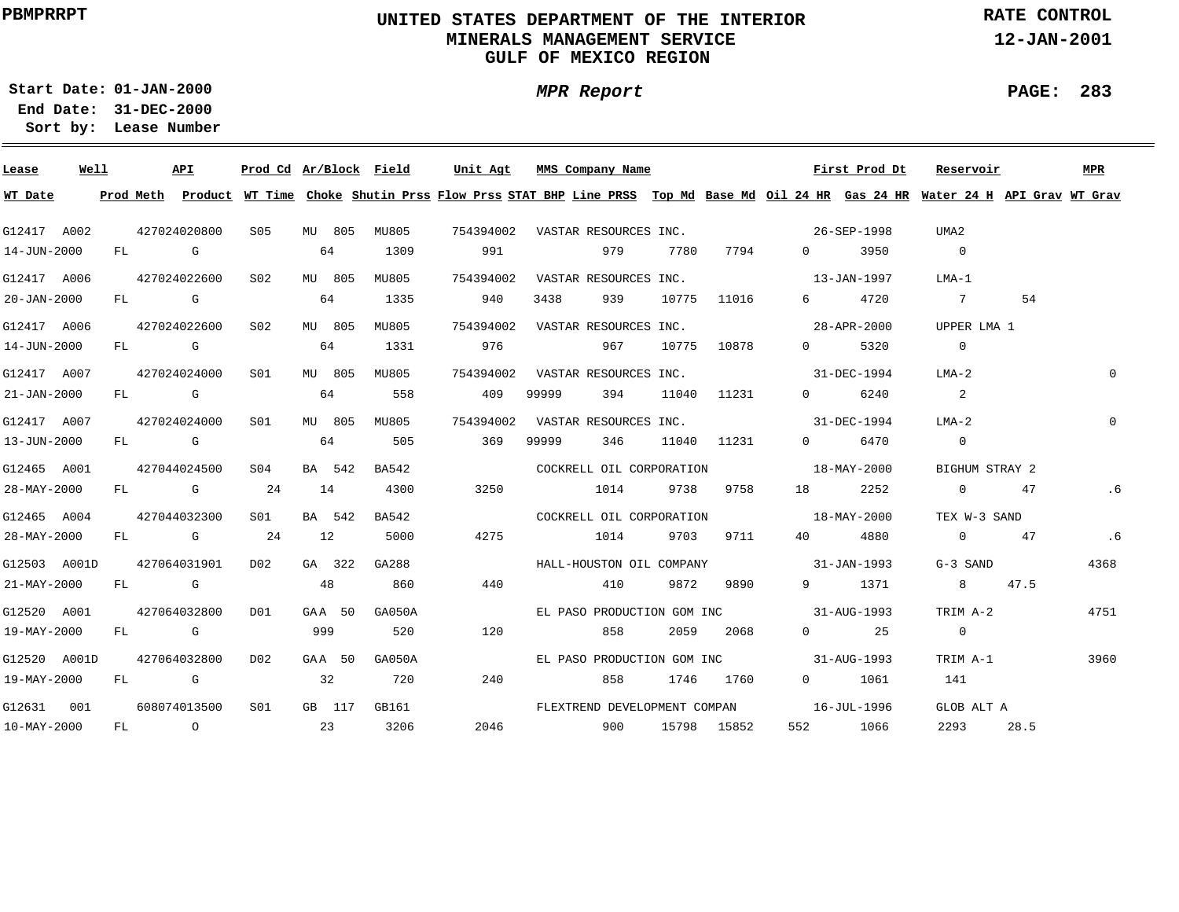# **UNITED STATES DEPARTMENT OF THE INTERIOR MINERALS MANAGEMENT SERVICEGULF OF MEXICO REGION**

**MPR Report**

**RATE CONTROL**

**12-JAN-2001**

**PAGE: 283**

÷

**01-JAN-2000Start Date:31-DEC-2000 End Date:** 

| Lease                   | Well |  | API                                                                                                                                                                                                                            |                 |     |        | Prod Cd Ar/Block Field | Unit Agt                                                                                                                                |       | MMS Company Name                |       |               |                                             | First Prod Dt        | Reservoir      |        | MPR      |
|-------------------------|------|--|--------------------------------------------------------------------------------------------------------------------------------------------------------------------------------------------------------------------------------|-----------------|-----|--------|------------------------|-----------------------------------------------------------------------------------------------------------------------------------------|-------|---------------------------------|-------|---------------|---------------------------------------------|----------------------|----------------|--------|----------|
| WT Date                 |      |  |                                                                                                                                                                                                                                |                 |     |        |                        | Prod Meth Product WT Time Choke Shutin Prss Flow Prss STAT BHP Line PRSS Top Md Base Md Oil 24 HR Gas 24 HR Water 24 H API Grav WT Grav |       |                                 |       |               |                                             |                      |                |        |          |
| G12417 A002             |      |  | 427024020800                                                                                                                                                                                                                   | S05 MU 805      |     |        | MU805                  |                                                                                                                                         |       |                                 |       |               |                                             |                      | UMA2           |        |          |
| 14-JUN-2000             |      |  | FL G                                                                                                                                                                                                                           |                 | 64  |        | 1309                   | 991                                                                                                                                     |       | 979                             | 7780  | 7794          | $\Omega$ and $\Omega$                       | 3950                 | $\overline{0}$ |        |          |
| G12417 A006             |      |  | 427024022600                                                                                                                                                                                                                   | S02             |     | MU 805 | MU805                  |                                                                                                                                         |       | 754394002 VASTAR RESOURCES INC. |       |               | $13 - JAN - 1997$                           |                      | LMA-1          |        |          |
| 20-JAN-2000             |      |  | FL G                                                                                                                                                                                                                           |                 | 64  |        | 1335                   | 940                                                                                                                                     | 3438  | 939                             |       | 10775 11016   |                                             | 6 4720               | $7\phantom{0}$ | 54     |          |
| G12417 A006             |      |  | 427024022600                                                                                                                                                                                                                   | S02             |     | MU 805 | MU805                  | 754394002 VASTAR RESOURCES INC.                                                                                                         |       |                                 |       |               |                                             | 28-APR-2000          | UPPER LMA 1    |        |          |
| 14-JUN-2000             |      |  | $FL$ G and $G$ and $G$ and $G$ and $G$ and $G$ and $G$ and $G$ and $G$ and $G$ and $G$ and $G$ and $G$ and $G$ and $G$ and $G$ and $G$ and $G$ and $G$ and $G$ and $G$ and $G$ and $G$ and $G$ and $G$ and $G$ and $G$ and $G$ |                 | 64  |        | 1331                   | 976                                                                                                                                     |       | 967                             |       | 10775 10878   | $\Omega$                                    | 5320                 | $\overline{0}$ |        |          |
| G12417 A007             |      |  | 427024024000                                                                                                                                                                                                                   | S01             |     |        | MU 805 MU805           |                                                                                                                                         |       | 754394002 VASTAR RESOURCES INC. |       |               |                                             | 31-DEC-1994          | LMA-2          |        |          |
| 21-JAN-2000             |      |  | $FL$ G $G$                                                                                                                                                                                                                     |                 | 64  |        | 558                    | 409                                                                                                                                     | 99999 | 394                             | 11040 | 11231         | $\Omega$ and $\Omega$                       | 6240                 | 2              |        |          |
| G12417 A007             |      |  | 427024024000                                                                                                                                                                                                                   | S01             |     | MU 805 | MU805                  |                                                                                                                                         |       |                                 |       |               | 754394002 VASTAR RESOURCES INC. 31-DEC-1994 |                      | $LMA-2$        |        | $\Omega$ |
| 13-JUN-2000             |      |  | FL G                                                                                                                                                                                                                           |                 | 64  |        | 505                    | 369                                                                                                                                     | 99999 | 346                             |       | 11040 11231   | $\Omega$                                    | 6470                 | $\overline{0}$ |        |          |
| G12465 A001             |      |  | 427044024500                                                                                                                                                                                                                   | S <sub>04</sub> |     | BA 542 | BA542                  |                                                                                                                                         |       |                                 |       |               | COCKRELL OIL CORPORATION 5 18-MAY-2000      |                      | BIGHUM STRAY 2 |        |          |
| 28-MAY-2000             |      |  | $FL$ G 24                                                                                                                                                                                                                      |                 | 14  |        | 4300                   | 3250                                                                                                                                    |       | 1014 9738 9758                  |       |               |                                             | 18 2252              | 0 47           |        | . 6      |
| G12465 A004             |      |  | 427044032300                                                                                                                                                                                                                   | SO1 SO          |     | BA 542 | BA542                  |                                                                                                                                         |       |                                 |       |               | COCKRELL OIL CORPORATION 18-MAY-2000        |                      | TEX W-3 SAND   |        |          |
| 28-MAY-2000             |      |  | $FL$ G 24                                                                                                                                                                                                                      |                 | 12  |        | 5000                   | 4275                                                                                                                                    | 1014  |                                 |       | 9703 9711     | 40 — 10                                     | 4880                 | 0 47           |        | .6       |
| G12503 A001D            |      |  | 427064031901 D02 GA 322                                                                                                                                                                                                        |                 |     |        | GA288                  |                                                                                                                                         |       |                                 |       |               | HALL-HOUSTON OIL COMPANY 31-JAN-1993        |                      | G-3 SAND       |        | 4368     |
| 21-MAY-2000             |      |  | FL G                                                                                                                                                                                                                           |                 | 48  |        | 860                    | 440                                                                                                                                     |       | 410                             | 9872  | 9890 — 1980   |                                             | 9 1371               |                | 8 47.5 |          |
| G12520 A001             |      |  | 427064032800                                                                                                                                                                                                                   | D <sub>01</sub> |     | GAA 50 | GA050A                 |                                                                                                                                         |       |                                 |       |               | EL PASO PRODUCTION GOM INC 31-AUG-1993      |                      | TRIM A-2       |        | 4751     |
| 19-MAY-2000             |      |  | FL G                                                                                                                                                                                                                           |                 | 999 |        | 520                    | 120                                                                                                                                     |       | 858                             |       | 2059 2068     |                                             | $0 \qquad \qquad 25$ | $\overline{0}$ |        |          |
| G12520 A001D            |      |  | 427064032800                                                                                                                                                                                                                   | DO <sub>2</sub> |     | GAA 50 | GA050A                 |                                                                                                                                         |       |                                 |       |               | EL PASO PRODUCTION GOM INC 31-AUG-1993      |                      | TRIM A-1       |        | 3960     |
| 19-MAY-2000             |      |  | FL G                                                                                                                                                                                                                           |                 | 32  |        | 720                    | 240                                                                                                                                     |       |                                 |       | 858 1746 1760 |                                             | 0 1061               | 141            |        |          |
| G12631 001 608074013500 |      |  |                                                                                                                                                                                                                                |                 |     |        |                        | S01 GB 117 GB161 CDMEXTREND DEVELOPMENT COMPAN 16-JUL-1996                                                                              |       |                                 |       |               |                                             |                      | GLOB ALT A     |        |          |
| 10-MAY-2000             |      |  | FL O                                                                                                                                                                                                                           |                 |     | 23     | 3206                   |                                                                                                                                         |       | 2046 900 15798 15852            |       |               | 552                                         | 1066                 | 2293           | 28.5   |          |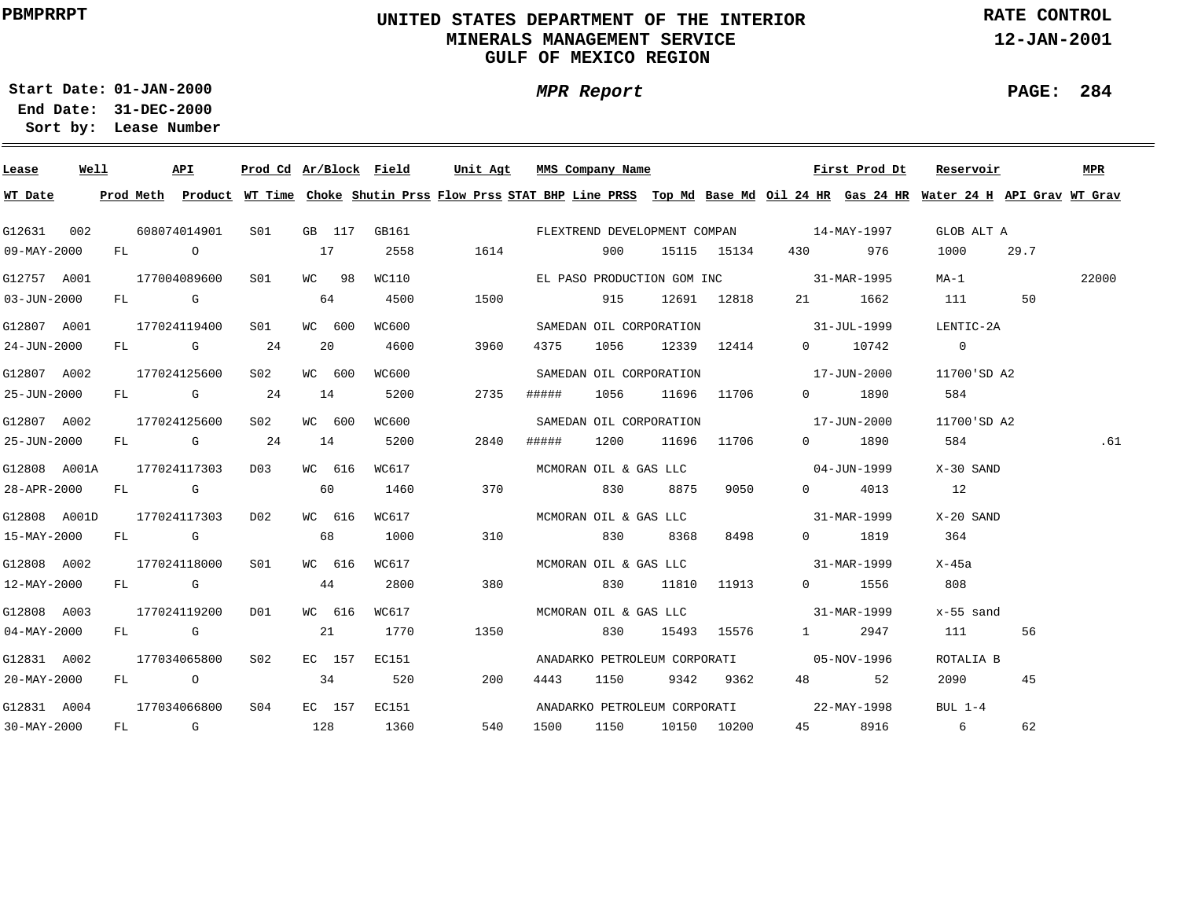# **UNITED STATES DEPARTMENT OF THE INTERIOR MINERALS MANAGEMENT SERVICEGULF OF MEXICO REGION**

**MPR Report**

**RATE CONTROL**

**12-JAN-2001**

**PAGE: 284**

÷

**01-JAN-2000Start Date:31-DEC-2000 End Date:** 

| Lease             | Well | API          | Prod Cd Ar/Block Field |        |        |       | Unit Agt |       | MMS Company Name             |             |                  |                                          | First Prod Dt | Reservoir                                                                                                                               |      | MPR   |
|-------------------|------|--------------|------------------------|--------|--------|-------|----------|-------|------------------------------|-------------|------------------|------------------------------------------|---------------|-----------------------------------------------------------------------------------------------------------------------------------------|------|-------|
| WT Date           |      |              |                        |        |        |       |          |       |                              |             |                  |                                          |               | Prod Meth Product WT Time Choke Shutin Prss Flow Prss STAT BHP Line PRSS Top Md Base Md Oil 24 HR Gas 24 HR Water 24 H API Grav WT Grav |      |       |
| G12631 002        |      | 608074014901 | S01                    |        | GB 117 | GB161 |          |       |                              |             |                  | FLEXTREND DEVELOPMENT COMPAN 14-MAY-1997 |               | GLOB ALT A                                                                                                                              |      |       |
| $09 - MAX - 2000$ |      | FL O         |                        | 17     |        | 2558  | 1614     |       | 900                          |             | 15115 15134      | 430 — 130                                | 976           | 1000                                                                                                                                    | 29.7 |       |
| G12757 A001       |      | 177004089600 | SO1                    | WC 98  |        | WC110 |          |       |                              |             |                  | EL PASO PRODUCTION GOM INC 31-MAR-1995   |               | MA-1                                                                                                                                    |      | 22000 |
| $03 - JUN - 2000$ |      | FL G         |                        | 64     |        | 4500  | 1500     |       | 915                          |             | 12691 12818      |                                          | 21 1662       | 111                                                                                                                                     | 50   |       |
| G12807 A001       |      | 177024119400 | S01                    | WC 600 |        | WC600 |          |       | SAMEDAN OIL CORPORATION      |             |                  | $31 - JUL - 1999$                        |               | LENTIC-2A                                                                                                                               |      |       |
| 24-JUN-2000       |      | FL G         | 24                     | 20     |        | 4600  | 3960     | 4375  |                              |             | 1056 12339 12414 |                                          | 0 10742       | $\overline{0}$                                                                                                                          |      |       |
| G12807 A002       |      | 177024125600 | S02                    | WC 600 |        | WC600 |          |       | SAMEDAN OIL CORPORATION      |             |                  |                                          | 17-JUN-2000   | 11700'SD A2                                                                                                                             |      |       |
| 25-JUN-2000       |      | FL G         | 24                     | 14     |        | 5200  | 2735     | ##### | 1056                         | 11696 11706 |                  |                                          | 0 1890        | 584                                                                                                                                     |      |       |
| G12807 A002       |      | 177024125600 | S02                    | WC 600 |        | WC600 |          |       | SAMEDAN OIL CORPORATION      |             |                  | $17 - JUN - 2000$                        |               | 11700'SD A2                                                                                                                             |      |       |
| 25-JUN-2000       |      | FL G         | 24                     | 14     |        | 5200  | 2840     | ##### | 1200                         | 11696 11706 |                  |                                          | 0 1890        | 584                                                                                                                                     |      | .61   |
| G12808 A001A      |      | 177024117303 | DO 3                   | WC 616 |        | WC617 |          |       | MCMORAN OIL & GAS LLC        |             |                  |                                          | 04-JUN-1999   | X-30 SAND                                                                                                                               |      |       |
| 28-APR-2000       |      | FL G         |                        | 60     |        | 1460  | 370      |       | 830                          | 8875        | 9050             |                                          | $0\quad 4013$ | 12                                                                                                                                      |      |       |
| G12808 A001D      |      | 177024117303 | DO <sub>2</sub>        | WC 616 |        | WC617 |          |       | MCMORAN OIL & GAS LLC        |             |                  | 31-MAR-1999                              |               | X-20 SAND                                                                                                                               |      |       |
| 15-MAY-2000       |      | FL G         |                        | 68     |        | 1000  | 310      |       | 830                          | 8368        | 8498             |                                          | 0 1819        | 364                                                                                                                                     |      |       |
| G12808 A002       |      | 177024118000 | SO1                    | WC 616 |        | WC617 |          |       | MCMORAN OIL & GAS LLC        |             |                  | 31-MAR-1999                              |               | X-45a                                                                                                                                   |      |       |
| 12-MAY-2000       |      | FL G         |                        | 44     |        | 2800  | 380      |       | 830                          |             | 11810 11913      |                                          | 0 1556        | 808                                                                                                                                     |      |       |
| G12808 A003       |      | 177024119200 | DO1                    | WC 616 |        | WC617 |          |       | MCMORAN OIL & GAS LLC        |             |                  | $31 - \text{MAR} - 1999$                 |               | x-55 sand                                                                                                                               |      |       |
| $04 - MAX - 2000$ |      | FL G         |                        | 21     |        | 1770  | 1350     |       | 830                          |             | 15493 15576      | $1 \qquad \qquad$                        | 2947          | 111                                                                                                                                     | 56   |       |
| G12831 A002       |      | 177034065800 | S <sub>02</sub>        |        | EC 157 | EC151 |          |       | ANADARKO PETROLEUM CORPORATI |             |                  |                                          | 05-NOV-1996   | ROTALIA B                                                                                                                               |      |       |
| 20-MAY-2000       |      | $FL$ 0       |                        | 34     |        | 520   | 200      | 4443  | 1150                         |             | 9342 9362        |                                          | 48 52         | 2090 — 200                                                                                                                              | 45   |       |
| G12831 A004       |      | 177034066800 | S04                    |        | EC 157 | EC151 |          |       |                              |             |                  | ANADARKO PETROLEUM CORPORATI 22-MAY-1998 |               | BUL $1-4$                                                                                                                               |      |       |
| $30 - MAX - 2000$ |      | FL G         |                        | 128    |        | 1360  | 540      | 1500  | 1150                         |             | 10150 10200      | 45 — 1                                   | 8916          | 6                                                                                                                                       | 62   |       |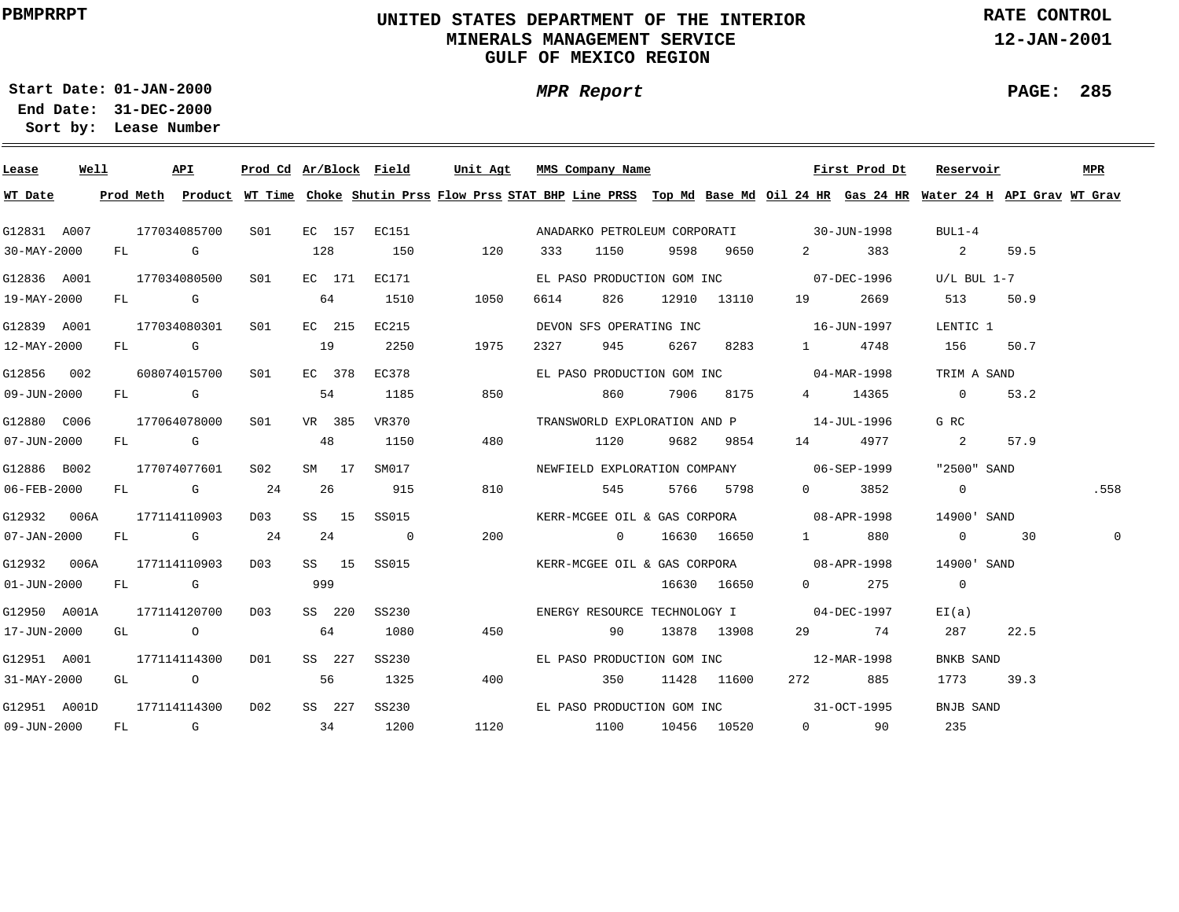# **UNITED STATES DEPARTMENT OF THE INTERIOR MINERALS MANAGEMENT SERVICEGULF OF MEXICO REGION**

**MPR Report**

**RATE CONTROL**

**12-JAN-2001**

**PAGE: 285**

÷

**01-JAN-2000Start Date:31-DEC-2000 End Date:** 

| Lease             | Well |        | API          |              |     |        | <u>Prod Cd Ar/Block Field</u> |      |      | Unit Agt MMS Company Name  |      |               |                                          | First Prod Dt | Reservoir                                                                                                                                                                                                                                                                                                                          |      | MPR  |
|-------------------|------|--------|--------------|--------------|-----|--------|-------------------------------|------|------|----------------------------|------|---------------|------------------------------------------|---------------|------------------------------------------------------------------------------------------------------------------------------------------------------------------------------------------------------------------------------------------------------------------------------------------------------------------------------------|------|------|
| WT Date           |      |        |              |              |     |        |                               |      |      |                            |      |               |                                          |               | Prod Meth Product WT Time Choke Shutin Prss Flow Prss STAT BHP Line PRSS Top Md Base Md Oil 24 HR Gas 24 HR Water 24 H API Grav WT Grav                                                                                                                                                                                            |      |      |
| G12831 A007       |      |        | 177034085700 | S01 <b>S</b> |     |        | EC 157 EC151                  |      |      |                            |      |               | ANADARKO PETROLEUM CORPORATI 30-JUN-1998 |               | $BUL1-4$                                                                                                                                                                                                                                                                                                                           |      |      |
| 30-MAY-2000       |      |        | FL G         |              | 128 |        | 150                           | 120  | 333  | 1150                       | 9598 | 9650          | $\overline{2}$ and $\overline{2}$        | 383           | $\overline{2}$ and $\overline{2}$                                                                                                                                                                                                                                                                                                  | 59.5 |      |
| G12836 A001       |      |        | 177034080500 | SO1          |     |        | EC 171 EC171                  |      |      |                            |      |               | EL PASO PRODUCTION GOM INC 07-DEC-1996   |               | $U/L$ BUL 1-7                                                                                                                                                                                                                                                                                                                      |      |      |
| 19-MAY-2000       |      |        | FL G         |              |     | 64     | 1510                          | 1050 | 6614 | 826                        |      | 12910 13110   | 19                                       | 2669          | 513                                                                                                                                                                                                                                                                                                                                | 50.9 |      |
| G12839 A001       |      |        | 177034080301 | S01          |     | EC 215 | EC215                         |      |      | DEVON SFS OPERATING INC    |      |               | $16 - JUN - 1997$                        |               | LENTIC 1                                                                                                                                                                                                                                                                                                                           |      |      |
| 12-MAY-2000       |      |        | FL G         |              | 19  |        | 2250                          | 1975 | 2327 | 945                        | 6267 | 8283          |                                          | 1 4748        | 156                                                                                                                                                                                                                                                                                                                                | 50.7 |      |
| G12856 002        |      |        | 608074015700 | S01          |     | EC 378 | EC378                         |      |      | EL PASO PRODUCTION GOM INC |      |               |                                          | 04-MAR-1998   | TRIM A SAND                                                                                                                                                                                                                                                                                                                        |      |      |
| 09-JUN-2000       |      |        | FL G         |              |     | 54     | 1185                          | 850  |      | 860                        |      | 7906 8175     |                                          | 4 14365       | $\overline{0}$ and $\overline{0}$ and $\overline{0}$ and $\overline{0}$ and $\overline{0}$ and $\overline{0}$ and $\overline{0}$ and $\overline{0}$ and $\overline{0}$ and $\overline{0}$ and $\overline{0}$ and $\overline{0}$ and $\overline{0}$ and $\overline{0}$ and $\overline{0}$ and $\overline{0}$ and $\overline{0}$ and | 53.2 |      |
| G12880 C006       |      |        | 177064078000 | SO1          |     | VR 385 | VR370                         |      |      |                            |      |               | TRANSWORLD EXPLORATION AND P 14-JUL-1996 |               | G RC                                                                                                                                                                                                                                                                                                                               |      |      |
| 07-JUN-2000       |      |        | FL G         |              | 48  |        | 1150                          | 480  |      | 1120                       | 9682 | 9854          |                                          | 14 4977       | $\overline{a}$                                                                                                                                                                                                                                                                                                                     | 57.9 |      |
| G12886 B002       |      |        | 177074077601 | S02          |     | SM 17  | SM017                         |      |      |                            |      |               | NEWFIELD EXPLORATION COMPANY 66-SEP-1999 |               | "2500" SAND                                                                                                                                                                                                                                                                                                                        |      |      |
| 06-FEB-2000       |      |        | FL G         | 24           | 26  |        | 915                           | 810  |      | 545                        |      | 5766 5798     |                                          | $0$ 3852      | $\overline{0}$                                                                                                                                                                                                                                                                                                                     |      | .558 |
| G12932 006A       |      |        | 177114110903 | D03          |     | SS 15  | SS015                         |      |      |                            |      |               | KERR-MCGEE OIL & GAS CORPORA 08-APR-1998 |               | 14900' SAND                                                                                                                                                                                                                                                                                                                        |      |      |
| $07 - JAN - 2000$ |      |        | FL G         | 24           |     | 24     | $\overline{0}$                | 200  |      |                            |      | 0 16630 16650 | 1 880                                    |               | $\sim$ 0 30                                                                                                                                                                                                                                                                                                                        |      |      |
| G12932 006A       |      |        | 177114110903 | D03          |     | SS 15  | SS015                         |      |      |                            |      |               | KERR-MCGEE OIL & GAS CORPORA 08-APR-1998 |               | 14900' SAND                                                                                                                                                                                                                                                                                                                        |      |      |
| $01 - JUN - 2000$ |      | FL G   |              |              | 999 |        |                               |      |      |                            |      | 16630 16650   | $\overline{0}$                           | 275           | $\overline{0}$                                                                                                                                                                                                                                                                                                                     |      |      |
| G12950 A001A      |      |        | 177114120700 | DO3          |     | SS 220 | SS230                         |      |      |                            |      |               | ENERGY RESOURCE TECHNOLOGY I 04-DEC-1997 |               | EI(a)                                                                                                                                                                                                                                                                                                                              |      |      |
| 17-JUN-2000       |      | GL O   |              |              | 64  |        | 1080                          | 450  |      | 90                         |      | 13878 13908   |                                          | 29 74         | 287                                                                                                                                                                                                                                                                                                                                | 22.5 |      |
| G12951 A001       |      |        | 177114114300 | DO1          |     | SS 227 | SS230                         |      |      |                            |      |               | EL PASO PRODUCTION GOM INC 12-MAR-1998   |               | BNKB SAND                                                                                                                                                                                                                                                                                                                          |      |      |
| 31-MAY-2000       |      |        | GL O         |              | 56  |        | 1325                          | 400  |      | 350                        |      | 11428 11600   | 272                                      | 885           | 1773 39.3                                                                                                                                                                                                                                                                                                                          |      |      |
| G12951 A001D      |      |        | 177114114300 | D02          |     | SS 227 | SS230                         |      |      |                            |      |               | EL PASO PRODUCTION GOM INC 31-OCT-1995   |               | BNJB SAND                                                                                                                                                                                                                                                                                                                          |      |      |
| 09-JUN-2000       |      | $FL$ G |              | 34           |     |        | 1200                          | 1120 |      | 1100                       |      | 10456 10520   |                                          | $0$ 90        | 235                                                                                                                                                                                                                                                                                                                                |      |      |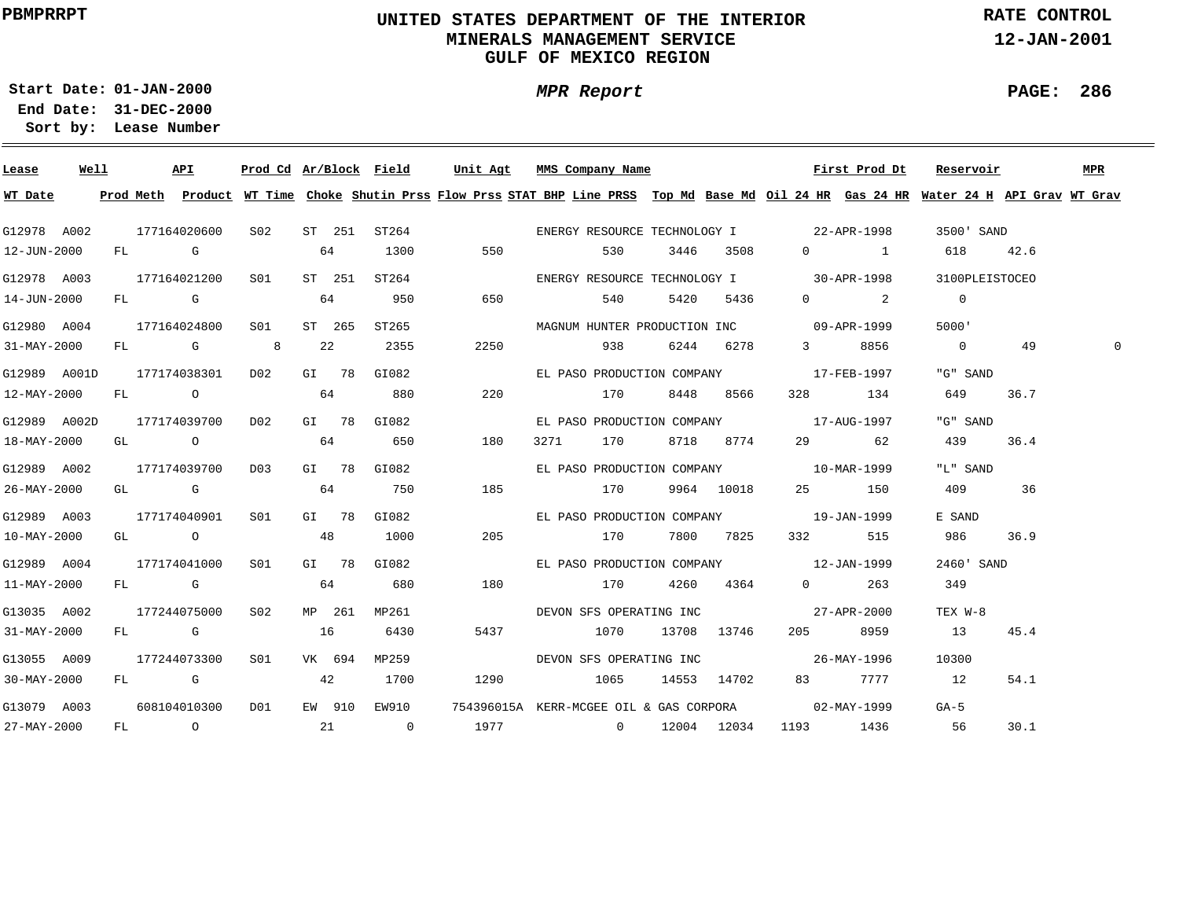# **UNITED STATES DEPARTMENT OF THE INTERIOR MINERALS MANAGEMENT SERVICEGULF OF MEXICO REGION**

**MPR Report**

**RATE CONTROL**

**12-JAN-2001**

**PAGE: 286**

**01-JAN-2000Start Date:31-DEC-2000 End Date:** 

| Lease             | Well |  | API                                       |     |  | Prod Cd Ar/Block Field                    | Unit Agt MMS Company Name                                                                                                                       |                       |           |                                          | First Prod Dt                          | Reservoir                                               |      | MPR |
|-------------------|------|--|-------------------------------------------|-----|--|-------------------------------------------|-------------------------------------------------------------------------------------------------------------------------------------------------|-----------------------|-----------|------------------------------------------|----------------------------------------|---------------------------------------------------------|------|-----|
|                   |      |  |                                           |     |  |                                           | WT Date Prod Meth Product WT Time Choke Shutin Prss Flow Prss STAT BHP Line PRSS Top Md Base Md Oil 24 HR Gas 24 HR Water 24 H API Grav WT Grav |                       |           |                                          |                                        |                                                         |      |     |
|                   |      |  |                                           |     |  |                                           | G12978 A002 177164020600 S02 ST 251 ST264 6 ENERGY RESOURCE TECHNOLOGY I 22-APR-1998 3500' SAND                                                 |                       |           |                                          |                                        |                                                         |      |     |
| 12-JUN-2000       |      |  | FL G                                      | 64  |  | 1300                                      |                                                                                                                                                 | 530 7                 | 3446 3508 |                                          |                                        | 0 1 618 42.6                                            |      |     |
|                   |      |  | G12978 A003 177164021200 S01              |     |  | ST 251 ST264                              |                                                                                                                                                 |                       |           |                                          |                                        | ENERGY RESOURCE TECHNOLOGY I 30-APR-1998 3100PLEISTOCEO |      |     |
| 14-JUN-2000       |      |  | FL G                                      |     |  | 64 950                                    | 650 540 5420 5436                                                                                                                               |                       |           |                                          | $\begin{array}{ccc} 0 & 2 \end{array}$ | $\overline{0}$                                          |      |     |
|                   |      |  | G12980 A004 177164024800 S01              |     |  |                                           | ST 265 ST265                                                                                                                                    |                       |           | MAGNUM HUNTER PRODUCTION INC 09-APR-1999 |                                        | 5000'                                                   |      |     |
| 31-MAY-2000       |      |  | FL G 8 22                                 |     |  | 2355                                      |                                                                                                                                                 | 2250 938              | 6244 6278 |                                          | 3 8856                                 | $\sim$ 0 49                                             |      |     |
|                   |      |  | G12989 A001D 177174038301 D02 GI 78 GI082 |     |  |                                           |                                                                                                                                                 |                       |           | EL PASO PRODUCTION COMPANY 17-FEB-1997   |                                        | "G" SAND                                                |      |     |
| 12-MAY-2000       |      |  | FL 0 64 880                               |     |  |                                           |                                                                                                                                                 | 220 170               | 8448 8566 |                                          | 328 134                                | 649 36.7                                                |      |     |
|                   |      |  |                                           |     |  | G12989 A002D 177174039700 D02 GI 78 GI082 |                                                                                                                                                 |                       |           | EL PASO PRODUCTION COMPANY 17-AUG-1997   |                                        | "G" SAND                                                |      |     |
| 18-MAY-2000       |      |  | GL 0 64 650                               |     |  |                                           | 180                                                                                                                                             | 3271 170 8718 8774    |           |                                          | 29 62                                  | 439                                                     | 36.4 |     |
| G12989 A002       |      |  |                                           |     |  | 177174039700 D03 GI 78 GI082              |                                                                                                                                                 |                       |           | EL PASO PRODUCTION COMPANY 10-MAR-1999   |                                        | "L" SAND                                                |      |     |
| 26-MAY-2000       |      |  | GL G                                      |     |  | 64 750                                    | 185 170 9964 10018                                                                                                                              |                       |           | 25 150                                   |                                        | 409 36                                                  |      |     |
| G12989 A003       |      |  | 177174040901                              | SO1 |  | GI 78 GI082                               |                                                                                                                                                 |                       |           | EL PASO PRODUCTION COMPANY 19-JAN-1999   |                                        | E SAND                                                  |      |     |
| 10-MAY-2000       |      |  | $GL$ 0 48                                 |     |  | 1000                                      |                                                                                                                                                 | 205 170 7800 7825     |           |                                          | 332 515                                | 986 36.9                                                |      |     |
|                   |      |  | G12989 A004 177174041000                  |     |  | S01 GI 78 GI082                           |                                                                                                                                                 |                       |           | EL PASO PRODUCTION COMPANY 12-JAN-1999   |                                        | 2460' SAND                                              |      |     |
| 11-MAY-2000       |      |  | FL G 64 680                               |     |  |                                           | 180                                                                                                                                             | 170 4260 4364         |           |                                          | $0 \qquad \qquad 263$                  | 349                                                     |      |     |
|                   |      |  | G13035 A002 177244075000 S02              |     |  | MP 261 MP261                              |                                                                                                                                                 |                       |           |                                          |                                        | TEX W-8                                                 |      |     |
| 31-MAY-2000       |      |  | FL G 16                                   |     |  | 6430                                      |                                                                                                                                                 | 5437 1070 13708 13746 |           |                                          | 205 8959                               | 13                                                      | 45.4 |     |
| G13055 A009       |      |  |                                           |     |  | 177244073300 SO1 VK 694 MP259             |                                                                                                                                                 |                       |           |                                          |                                        | 10300                                                   |      |     |
| $30 - MAX - 2000$ |      |  |                                           |     |  | FL G 42 1700                              |                                                                                                                                                 |                       |           |                                          |                                        |                                                         | 54.1 |     |
|                   |      |  | G13079 A003 608104010300 D01              |     |  |                                           | EW 910 EW910 754396015A KERR-MCGEE OIL & GAS CORPORA 02-MAY-1999                                                                                |                       |           |                                          |                                        | $GA-5$                                                  |      |     |
| 27-MAY-2000       |      |  |                                           |     |  | FL 0 21 0                                 | 1977 0 12004 12034                                                                                                                              |                       |           | 1193 1436                                |                                        | 56                                                      | 30.1 |     |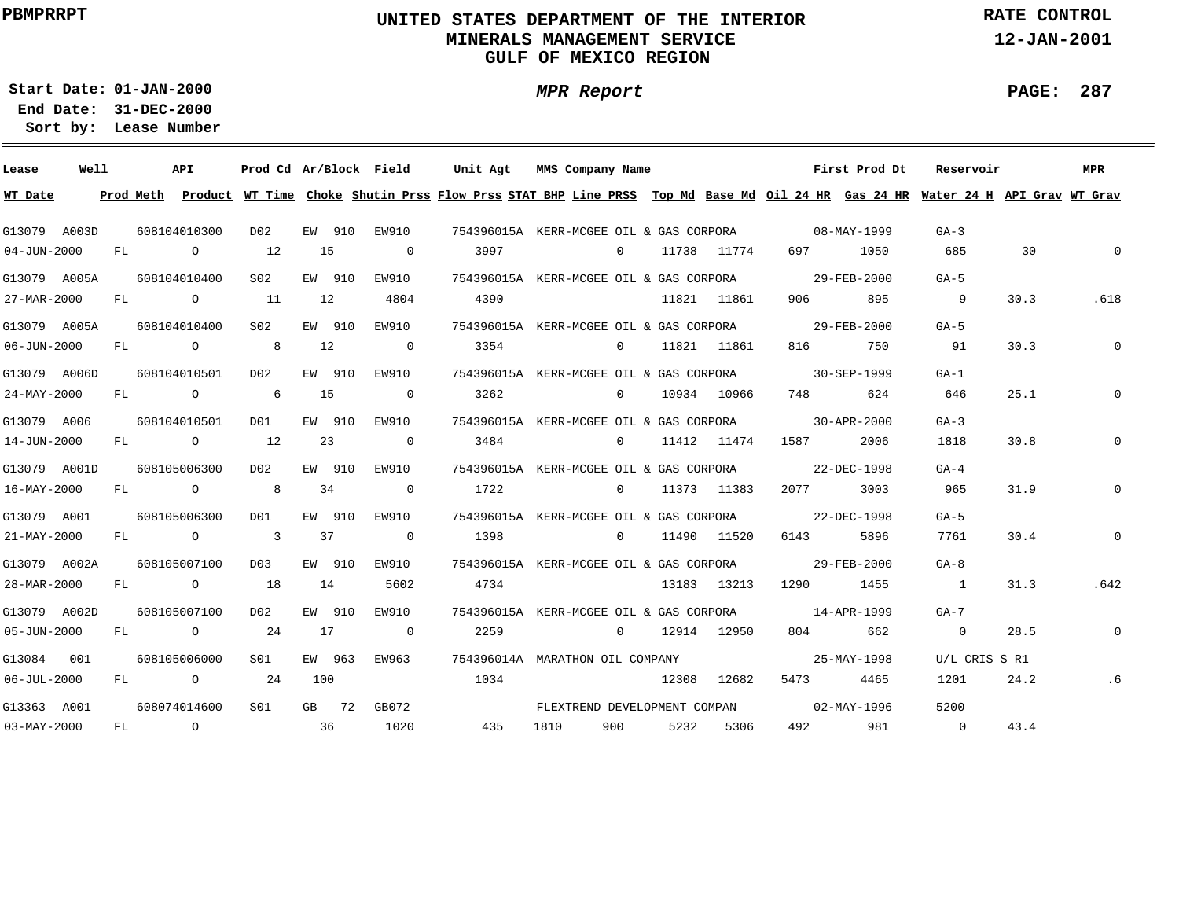# **UNITED STATES DEPARTMENT OF THE INTERIOR MINERALS MANAGEMENT SERVICEGULF OF MEXICO REGION**

**MPR Report**

**RATE CONTROL**

**12-JAN-2001**

**PAGE: 287**

÷

**01-JAN-2000Start Date:**

| Lease             | Well |    |                | API             | Prod Cd Ar/Block Field |        |         |                | Unit Agt                                                                                                                      |      | MMS Company Name             |      |               |                                                     | First Prod Dt     | Reservoir                |      | <b>MPR</b>   |
|-------------------|------|----|----------------|-----------------|------------------------|--------|---------|----------------|-------------------------------------------------------------------------------------------------------------------------------|------|------------------------------|------|---------------|-----------------------------------------------------|-------------------|--------------------------|------|--------------|
| WT Date           |      |    | Prod Meth      |                 |                        |        |         |                | Product WT Time Choke Shutin Prss Flow Prss STAT BHP Line PRSS Top Md Base Md Oil 24 HR Gas 24 HR Water 24 H API Grav WT Grav |      |                              |      |               |                                                     |                   |                          |      |              |
| G13079 A003D      |      |    | 608104010300   |                 | D02                    |        | EW 910  | EW910          |                                                                                                                               |      |                              |      |               | 754396015A KERR-MCGEE OIL & GAS CORPORA 08-MAY-1999 |                   | $GA-3$                   |      |              |
| 04-JUN-2000       |      | FL |                | $\circ$         | 12                     | 15     |         | $\overline{0}$ | 3997                                                                                                                          |      | $\circ$                      |      | 11738 11774   | 697                                                 | 1050              | 685                      | 30   | $\Omega$     |
| G13079 A005A      |      |    | 608104010400   |                 | S <sub>02</sub>        | EW 910 |         | EW910          | 754396015A KERR-MCGEE OIL & GAS CORPORA                                                                                       |      |                              |      |               |                                                     | 29-FEB-2000       | $GA-5$                   |      |              |
| 27-MAR-2000       |      | FL |                | $\overline{O}$  | 11                     | 12     |         | 4804           | 4390                                                                                                                          |      |                              |      | 11821 11861   | 906                                                 | 895               | $\overline{\phantom{a}}$ | 30.3 | .618         |
| G13079 A005A      |      |    | 608104010400   |                 | S <sub>02</sub>        |        | EW 910  | EW910          | 754396015A KERR-MCGEE OIL & GAS CORPORA                                                                                       |      |                              |      |               |                                                     | 29-FEB-2000       | $GA-5$                   |      |              |
| 06-JUN-2000       |      | FL |                | $\overline{O}$  |                        | 12     |         | $\overline{0}$ | 3354                                                                                                                          |      |                              |      | 0 11821 11861 | 816 — 10                                            | 750               | 91                       | 30.3 | $\Omega$     |
| G13079 A006D      |      |    | 608104010501   |                 | D02                    | EW 910 |         | EW910          | 754396015A KERR-MCGEE OIL & GAS CORPORA                                                                                       |      |                              |      |               |                                                     | 30-SEP-1999       | $G_A - 1$                |      |              |
| 24-MAY-2000       |      | FL |                | $\overline{O}$  | 6                      | 15     |         | $\overline{0}$ | 3262                                                                                                                          |      | $\Omega$                     |      | 10934 10966   | 748 — 10                                            | 624               | 646                      | 25.1 | 0            |
| G13079 A006       |      |    | 608104010501   |                 | D01                    | EW 910 |         | EW910          | 754396015A KERR-MCGEE OIL & GAS CORPORA                                                                                       |      |                              |      |               |                                                     | 30-APR-2000       | $GA-3$                   |      |              |
| 14-JUN-2000       |      |    |                | FL O            | 12                     | 23     |         | $\sim$ 0       | 3484                                                                                                                          |      | $\Omega$ and $\Omega$        |      | 11412 11474   | 1587 — 1587                                         | 2006              | 1818                     | 30.8 | $\Omega$     |
| G13079 A001D      |      |    | 608105006300   |                 | D02                    |        | EW 910  | EW910          |                                                                                                                               |      |                              |      |               | 754396015A KERR-MCGEE OIL & GAS CORPORA 22-DEC-1998 |                   | $GA-4$                   |      |              |
| 16-MAY-2000       |      | FL |                | $\overline{O}$  | 8                      | 34     |         | $\overline{0}$ | 1722                                                                                                                          |      | $\overline{0}$               |      | 11373 11383   | 2077 — 2077                                         | 3003              | 965                      | 31.9 | $\mathbf{0}$ |
| G13079 A001       |      |    | 608105006300   |                 | DO1                    |        | EW 910  | EW910          | 754396015A KERR-MCGEE OIL & GAS CORPORA 22-DEC-1998                                                                           |      |                              |      |               |                                                     |                   | $GA-5$                   |      |              |
| 21-MAY-2000       |      | FL |                | $\overline{a}$  | $\sim$ 3               | 37     |         | $\overline{0}$ | 1398                                                                                                                          |      | $\Omega$                     |      | 11490 11520   | 6143                                                | 5896              | 7761                     | 30.4 | $\mathbf{0}$ |
| G13079 A002A      |      |    | 608105007100   |                 | D <sub>0</sub> 3       | EW 910 |         | EW910          | 754396015A KERR-MCGEE OIL & GAS CORPORA                                                                                       |      |                              |      |               |                                                     | 29-FEB-2000       | $GA-8$                   |      |              |
| 28-MAR-2000       |      | FL |                | $\circ$ $\circ$ | 18                     | 14     |         | 5602           | 4734                                                                                                                          |      |                              |      | 13183 13213   | 1290                                                | 1455              | $\overline{1}$           | 31.3 | .642         |
| G13079 A002D      |      |    | 608105007100   |                 | D02                    |        | EW 910  | EW910          | 754396015A KERR-MCGEE OIL & GAS CORPORA                                                                                       |      |                              |      |               |                                                     | $14 - APR - 1999$ | $G_A - 7$                |      |              |
| 05-JUN-2000       |      | FL |                | $\overline{O}$  | 24                     | 17     |         | $\overline{0}$ | 2259                                                                                                                          |      | $\sim$ 0                     |      | 12914 12950   | 804 — 100                                           | 662               | $\overline{0}$           | 28.5 | $\mathbf 0$  |
| G13084 001        |      |    | 608105006000   |                 | SO1                    | EW 963 |         | EW963          | 754396014A MARATHON OIL COMPANY                                                                                               |      |                              |      |               |                                                     | 25-MAY-1998       | U/L CRIS S R1            |      |              |
| $06 - JUL - 2000$ |      | FL |                | $\circ$ 24      |                        | 100    |         |                | 1034                                                                                                                          |      |                              |      | 12308 12682   | 5473                                                | 4465              | 1201                     | 24.2 | .6           |
|                   |      |    |                |                 |                        |        |         |                |                                                                                                                               |      |                              |      |               |                                                     |                   |                          |      |              |
| G13363 A001       |      |    | 608074014600   |                 | S <sub>01</sub>        |        | $GB$ 72 | GB072          |                                                                                                                               |      | FLEXTREND DEVELOPMENT COMPAN |      |               |                                                     | 02-MAY-1996       | 5200                     |      |              |
| $03 - MAX - 2000$ |      | FL | $\overline{O}$ |                 |                        | 36     |         | 1020           | 435                                                                                                                           | 1810 | 900 — 100                    | 5232 | 5306          | 492 — 100                                           | 981               | $\overline{0}$           | 43.4 |              |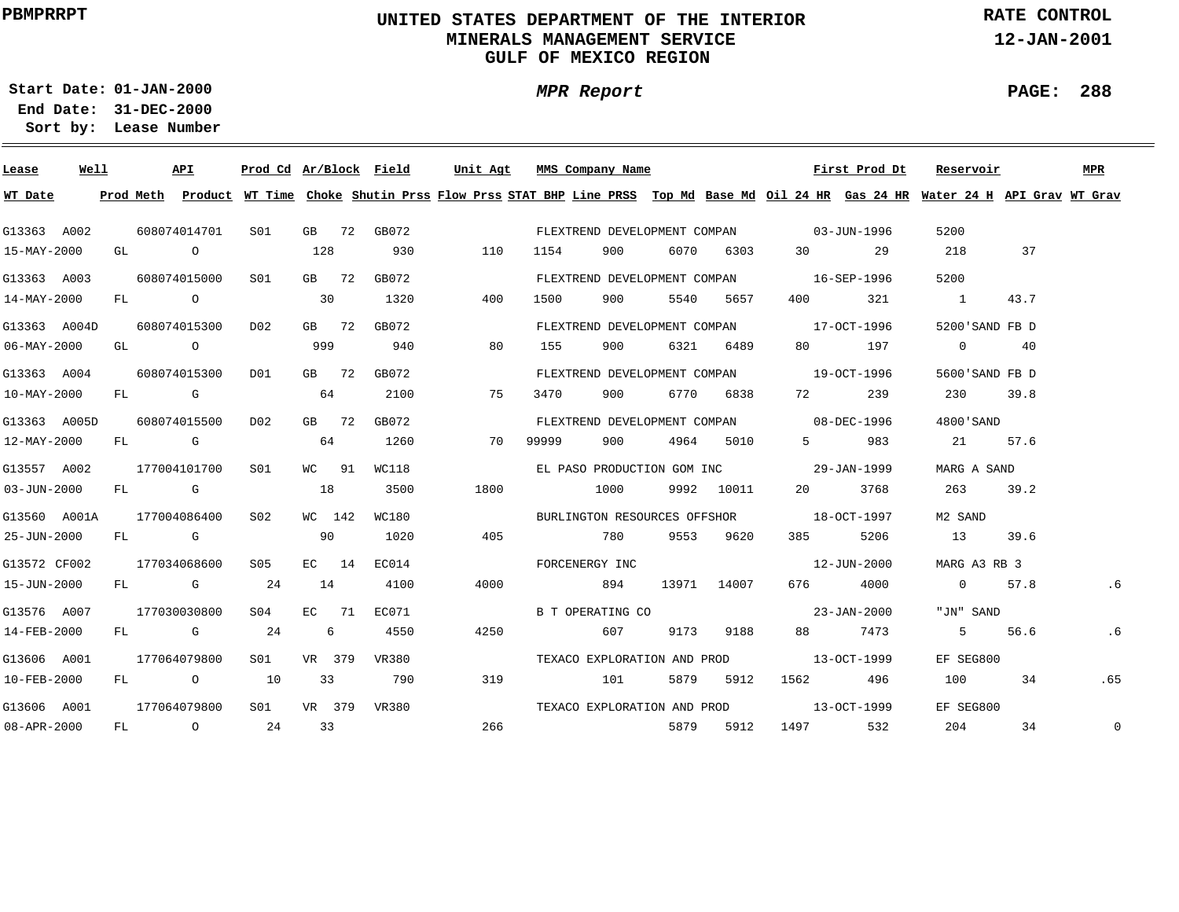# **UNITED STATES DEPARTMENT OF THE INTERIOR MINERALS MANAGEMENT SERVICEGULF OF MEXICO REGION**

**MPR Report**

**RATE CONTROL**

**12-JAN-2001**

**PAGE: 288**

÷

**01-JAN-2000Start Date:31-DEC-2000 End Date:** 

|                                                                                                                                                                                                                                                                                                              |                                                      |                                                                                                                                                                                                                                                                       |                                                                          |                                                                                                                              |                                                                   |                        |      |                |                                               |                                                                                                                                   |      |                                                                                                                                                                                                                                                                                                                                                                                                                                                                                                                                                                                |      | MPR                                                                                                                                                                                                                                                                                                                                        |
|--------------------------------------------------------------------------------------------------------------------------------------------------------------------------------------------------------------------------------------------------------------------------------------------------------------|------------------------------------------------------|-----------------------------------------------------------------------------------------------------------------------------------------------------------------------------------------------------------------------------------------------------------------------|--------------------------------------------------------------------------|------------------------------------------------------------------------------------------------------------------------------|-------------------------------------------------------------------|------------------------|------|----------------|-----------------------------------------------|-----------------------------------------------------------------------------------------------------------------------------------|------|--------------------------------------------------------------------------------------------------------------------------------------------------------------------------------------------------------------------------------------------------------------------------------------------------------------------------------------------------------------------------------------------------------------------------------------------------------------------------------------------------------------------------------------------------------------------------------|------|--------------------------------------------------------------------------------------------------------------------------------------------------------------------------------------------------------------------------------------------------------------------------------------------------------------------------------------------|
|                                                                                                                                                                                                                                                                                                              |                                                      |                                                                                                                                                                                                                                                                       |                                                                          |                                                                                                                              |                                                                   |                        |      |                |                                               |                                                                                                                                   |      |                                                                                                                                                                                                                                                                                                                                                                                                                                                                                                                                                                                |      |                                                                                                                                                                                                                                                                                                                                            |
|                                                                                                                                                                                                                                                                                                              |                                                      | S01                                                                                                                                                                                                                                                                   |                                                                          |                                                                                                                              |                                                                   |                        |      |                |                                               |                                                                                                                                   |      | 5200                                                                                                                                                                                                                                                                                                                                                                                                                                                                                                                                                                           |      |                                                                                                                                                                                                                                                                                                                                            |
|                                                                                                                                                                                                                                                                                                              |                                                      |                                                                                                                                                                                                                                                                       |                                                                          | 930                                                                                                                          | 110                                                               | 1154                   | 900  |                |                                               |                                                                                                                                   |      | 218                                                                                                                                                                                                                                                                                                                                                                                                                                                                                                                                                                            | 37   |                                                                                                                                                                                                                                                                                                                                            |
|                                                                                                                                                                                                                                                                                                              |                                                      | SO1                                                                                                                                                                                                                                                                   |                                                                          | GB072                                                                                                                        |                                                                   |                        |      |                |                                               |                                                                                                                                   |      | 5200                                                                                                                                                                                                                                                                                                                                                                                                                                                                                                                                                                           |      |                                                                                                                                                                                                                                                                                                                                            |
|                                                                                                                                                                                                                                                                                                              |                                                      |                                                                                                                                                                                                                                                                       |                                                                          | 1320                                                                                                                         | 400                                                               | 1500                   | 900  |                |                                               |                                                                                                                                   |      | $\sim$ 1                                                                                                                                                                                                                                                                                                                                                                                                                                                                                                                                                                       | 43.7 |                                                                                                                                                                                                                                                                                                                                            |
|                                                                                                                                                                                                                                                                                                              |                                                      |                                                                                                                                                                                                                                                                       |                                                                          | GB072                                                                                                                        |                                                                   |                        |      |                |                                               |                                                                                                                                   |      |                                                                                                                                                                                                                                                                                                                                                                                                                                                                                                                                                                                |      |                                                                                                                                                                                                                                                                                                                                            |
|                                                                                                                                                                                                                                                                                                              |                                                      |                                                                                                                                                                                                                                                                       |                                                                          | 940                                                                                                                          | 80                                                                | 155                    | 900  |                |                                               |                                                                                                                                   |      | $\overline{0}$                                                                                                                                                                                                                                                                                                                                                                                                                                                                                                                                                                 |      |                                                                                                                                                                                                                                                                                                                                            |
|                                                                                                                                                                                                                                                                                                              |                                                      | DO1                                                                                                                                                                                                                                                                   |                                                                          | GB072                                                                                                                        |                                                                   |                        |      |                |                                               |                                                                                                                                   |      |                                                                                                                                                                                                                                                                                                                                                                                                                                                                                                                                                                                |      |                                                                                                                                                                                                                                                                                                                                            |
|                                                                                                                                                                                                                                                                                                              |                                                      |                                                                                                                                                                                                                                                                       |                                                                          | 2100                                                                                                                         | 75                                                                | 3470                   | 900  |                |                                               |                                                                                                                                   | 239  |                                                                                                                                                                                                                                                                                                                                                                                                                                                                                                                                                                                |      |                                                                                                                                                                                                                                                                                                                                            |
|                                                                                                                                                                                                                                                                                                              |                                                      |                                                                                                                                                                                                                                                                       |                                                                          | GB072                                                                                                                        |                                                                   |                        |      |                |                                               |                                                                                                                                   |      |                                                                                                                                                                                                                                                                                                                                                                                                                                                                                                                                                                                |      |                                                                                                                                                                                                                                                                                                                                            |
|                                                                                                                                                                                                                                                                                                              |                                                      |                                                                                                                                                                                                                                                                       |                                                                          | 1260                                                                                                                         | 70                                                                | 99999                  | 900  |                |                                               |                                                                                                                                   | 983  |                                                                                                                                                                                                                                                                                                                                                                                                                                                                                                                                                                                | 57.6 |                                                                                                                                                                                                                                                                                                                                            |
|                                                                                                                                                                                                                                                                                                              |                                                      |                                                                                                                                                                                                                                                                       |                                                                          | WC118                                                                                                                        |                                                                   |                        |      |                |                                               |                                                                                                                                   |      |                                                                                                                                                                                                                                                                                                                                                                                                                                                                                                                                                                                |      |                                                                                                                                                                                                                                                                                                                                            |
|                                                                                                                                                                                                                                                                                                              |                                                      |                                                                                                                                                                                                                                                                       |                                                                          | 3500                                                                                                                         | 1800                                                              |                        | 1000 |                |                                               |                                                                                                                                   | 3768 | 263                                                                                                                                                                                                                                                                                                                                                                                                                                                                                                                                                                            | 39.2 |                                                                                                                                                                                                                                                                                                                                            |
|                                                                                                                                                                                                                                                                                                              |                                                      |                                                                                                                                                                                                                                                                       |                                                                          | WC180                                                                                                                        |                                                                   |                        |      |                |                                               |                                                                                                                                   |      | M2 SAND                                                                                                                                                                                                                                                                                                                                                                                                                                                                                                                                                                        |      |                                                                                                                                                                                                                                                                                                                                            |
|                                                                                                                                                                                                                                                                                                              |                                                      |                                                                                                                                                                                                                                                                       |                                                                          | 1020                                                                                                                         | 405                                                               |                        | 780  |                |                                               |                                                                                                                                   |      |                                                                                                                                                                                                                                                                                                                                                                                                                                                                                                                                                                                | 39.6 |                                                                                                                                                                                                                                                                                                                                            |
|                                                                                                                                                                                                                                                                                                              |                                                      |                                                                                                                                                                                                                                                                       |                                                                          | EC014                                                                                                                        |                                                                   |                        |      |                |                                               |                                                                                                                                   |      |                                                                                                                                                                                                                                                                                                                                                                                                                                                                                                                                                                                |      |                                                                                                                                                                                                                                                                                                                                            |
|                                                                                                                                                                                                                                                                                                              |                                                      |                                                                                                                                                                                                                                                                       |                                                                          | 4100                                                                                                                         | 4000                                                              |                        | 894  |                |                                               |                                                                                                                                   |      |                                                                                                                                                                                                                                                                                                                                                                                                                                                                                                                                                                                |      |                                                                                                                                                                                                                                                                                                                                            |
|                                                                                                                                                                                                                                                                                                              |                                                      | S04 - 1                                                                                                                                                                                                                                                               |                                                                          | EC071                                                                                                                        |                                                                   |                        |      |                |                                               |                                                                                                                                   |      |                                                                                                                                                                                                                                                                                                                                                                                                                                                                                                                                                                                |      |                                                                                                                                                                                                                                                                                                                                            |
|                                                                                                                                                                                                                                                                                                              |                                                      |                                                                                                                                                                                                                                                                       |                                                                          | 4550                                                                                                                         | 4250                                                              |                        | 607  |                |                                               |                                                                                                                                   |      |                                                                                                                                                                                                                                                                                                                                                                                                                                                                                                                                                                                | 56.6 | . 6                                                                                                                                                                                                                                                                                                                                        |
|                                                                                                                                                                                                                                                                                                              |                                                      | S <sub>01</sub>                                                                                                                                                                                                                                                       |                                                                          | VR380                                                                                                                        |                                                                   |                        |      |                |                                               |                                                                                                                                   |      |                                                                                                                                                                                                                                                                                                                                                                                                                                                                                                                                                                                |      |                                                                                                                                                                                                                                                                                                                                            |
|                                                                                                                                                                                                                                                                                                              |                                                      |                                                                                                                                                                                                                                                                       |                                                                          | 790                                                                                                                          | 319                                                               |                        | 101  |                |                                               |                                                                                                                                   |      |                                                                                                                                                                                                                                                                                                                                                                                                                                                                                                                                                                                | 34   | .65                                                                                                                                                                                                                                                                                                                                        |
|                                                                                                                                                                                                                                                                                                              |                                                      | SO1 SO                                                                                                                                                                                                                                                                |                                                                          |                                                                                                                              |                                                                   |                        |      |                |                                               |                                                                                                                                   |      |                                                                                                                                                                                                                                                                                                                                                                                                                                                                                                                                                                                |      |                                                                                                                                                                                                                                                                                                                                            |
|                                                                                                                                                                                                                                                                                                              |                                                      |                                                                                                                                                                                                                                                                       |                                                                          |                                                                                                                              | 266                                                               |                        |      |                |                                               |                                                                                                                                   | 532  |                                                                                                                                                                                                                                                                                                                                                                                                                                                                                                                                                                                | 34   | $\mathbf 0$                                                                                                                                                                                                                                                                                                                                |
| G13363 A002<br>15-MAY-2000<br>G13363 A003<br>14-MAY-2000<br>$06 - MAX - 2000$<br>G13363 A004<br>$10 - MAX - 2000$<br>12-MAY-2000<br>G13557 A002<br>$03 - JUN - 2000$<br>25-JUN-2000<br>G13572 CF002<br>15-JUN-2000<br>G13576 A007<br>14-FEB-2000<br>G13606 A001<br>10-FEB-2000<br>G13606 A001<br>08-APR-2000 | Well<br>G13363 A004D<br>G13363 A005D<br>G13560 A001A | API<br>608074014701<br>GL O<br>608074015000<br>FL O<br>608074015300<br>GL O<br>608074015300<br>$FL$ G<br>608074015500<br>FL G<br>177004101700<br>FL G<br>177004086400<br>FL G<br>177034068600<br>FL G<br>177030030800<br>FL G<br>177064079800<br>FL O<br>177064079800 | D02<br>D <sub>02</sub><br>S01<br>S02<br>S05<br>24<br>24<br>10<br>FL 0 24 | 128<br>30<br>999<br>64<br>64<br>WC 91<br>18<br>WC 142<br>90<br>EC 14<br>14<br>EC 71<br>$6\overline{6}$<br>VR 379<br>33<br>33 | GB 72 GB072<br>GB 72<br>$GB$ 72<br>GB 72<br>GB 72<br>VR 379 VR380 | Prod Cd Ar/Block Field |      | FORCENERGY INC | Unit Agt MMS Company Name<br>B T OPERATING CO | 6070 6303<br>5540 5657<br>6321 6489<br>6770 6838<br>4964 5010<br>9992 10011<br>9553 9620<br>13971 14007<br>9173 9188<br>5879 5912 |      | First Prod Dt<br>FLEXTREND DEVELOPMENT COMPAN 03-JUN-1996<br>30 29<br>FLEXTREND DEVELOPMENT COMPAN 16-SEP-1996<br>400 321<br>FLEXTREND DEVELOPMENT COMPAN 17-OCT-1996<br>80 197<br>FLEXTREND DEVELOPMENT COMPAN 19-OCT-1996<br>72 — 20<br>FLEXTREND DEVELOPMENT COMPAN 08-DEC-1996<br>$5 - 5$<br>EL PASO PRODUCTION GOM INC 29-JAN-1999<br>BURLINGTON RESOURCES OFFSHOR 18-OCT-1997<br>385 5206<br>12-JUN-2000<br>676 4000<br>$23 - JAN - 2000$<br>88 7473<br>TEXACO EXPLORATION AND PROD 13-OCT-1999<br>5879 5912 1562 496<br>TEXACO EXPLORATION AND PROD 13-OCT-1999<br>1497 |      | Reservoir<br>Prod Meth Product WT Time Choke Shutin Prss Flow Prss STAT BHP Line PRSS Top Md Base Md Oil 24 HR Gas 24 HR Water 24 H API Grav WT Grav<br>5200'SAND FB D<br>40<br>5600'SAND FB D<br>230 39.8<br>4800'SAND<br>MARG A SAND<br>13<br>MARG A3 RB 3<br>0 57.8<br>"JN" SAND<br>$5^{\circ}$<br>EF SEG800<br>100<br>EF SEG800<br>204 |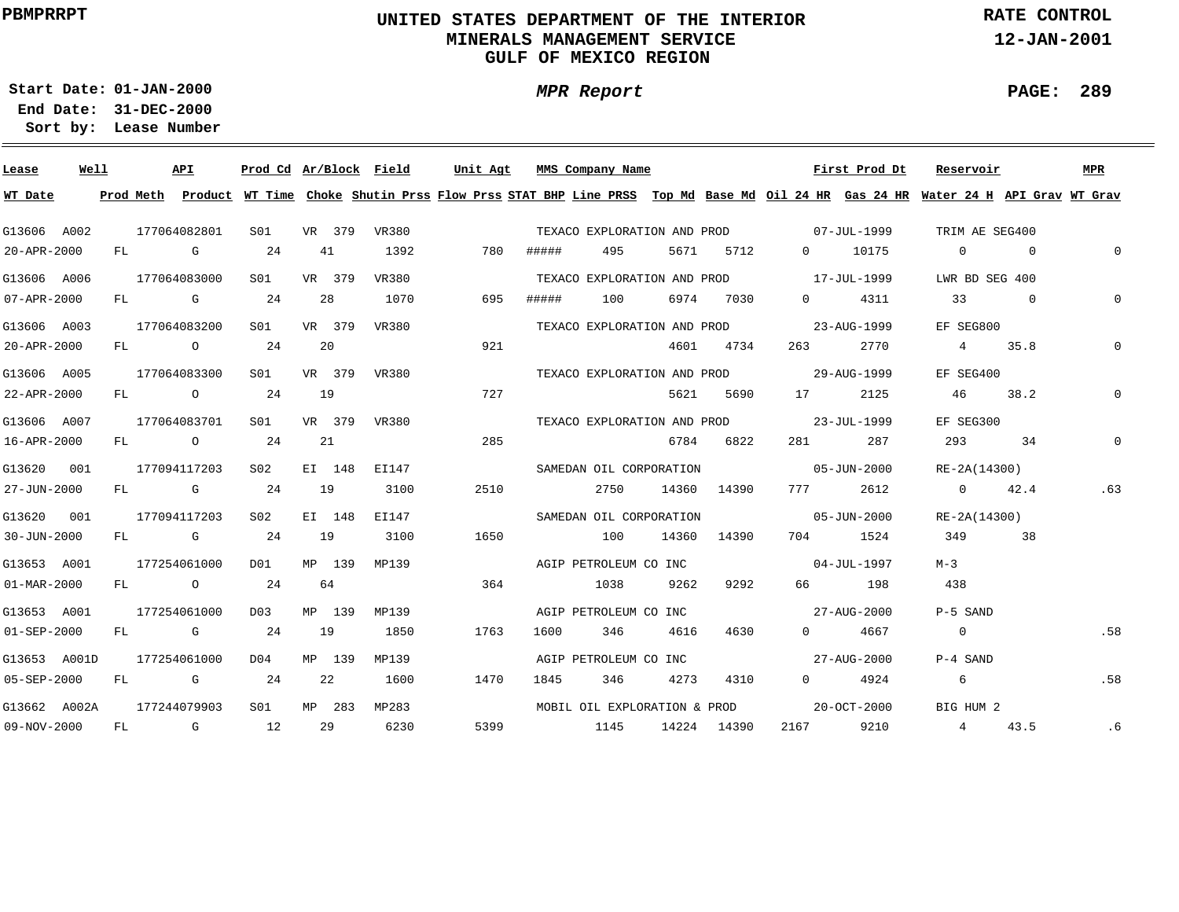# **UNITED STATES DEPARTMENT OF THE INTERIOR MINERALS MANAGEMENT SERVICEGULF OF MEXICO REGION**

**MPR Report**

**RATE CONTROL**

**12-JAN-2001**

**PAGE: 289**

**01-JAN-2000Start Date:31-DEC-2000 End Date:** 

| Lease                    | Well |    | API                                                                                                                                                                                                                            | Prod Cd Ar/Block Field |        |       | Unit Agt |       | MMS Company Name             |      |             |                                         | First Prod Dt | Reservoir                                                                                                                               |                | MPR          |
|--------------------------|------|----|--------------------------------------------------------------------------------------------------------------------------------------------------------------------------------------------------------------------------------|------------------------|--------|-------|----------|-------|------------------------------|------|-------------|-----------------------------------------|---------------|-----------------------------------------------------------------------------------------------------------------------------------------|----------------|--------------|
| WT Date                  |      |    |                                                                                                                                                                                                                                |                        |        |       |          |       |                              |      |             |                                         |               | Prod Meth Product WT Time Choke Shutin Prss Flow Prss STAT BHP Line PRSS Top Md Base Md Oil 24 HR Gas 24 HR Water 24 H API Grav WT Grav |                |              |
| G13606 A002              |      |    | 177064082801                                                                                                                                                                                                                   | S01                    | VR 379 | VR380 |          |       |                              |      |             | TEXACO EXPLORATION AND PROD 07-JUL-1999 |               | TRIM AE SEG400                                                                                                                          |                |              |
| 20-APR-2000              |      |    | FL G                                                                                                                                                                                                                           | 24                     | 41     | 1392  | 780      | ##### | 495                          | 5671 | 5712        |                                         | 0 10175       | $\overline{0}$                                                                                                                          | $\sim$ 0       | $\Omega$     |
| G13606 A006              |      |    | 177064083000                                                                                                                                                                                                                   | SO1                    | VR 379 | VR380 |          |       | TEXACO EXPLORATION AND PROD  |      |             | 17-JUL-1999                             |               | LWR BD SEG 400                                                                                                                          |                |              |
| 07-APR-2000              |      |    | FL G                                                                                                                                                                                                                           | 24                     | 28     | 1070  | 695      | ##### | 100                          |      | 6974 7030   | $0 \qquad \qquad$                       | 4311          | 33                                                                                                                                      | $\overline{0}$ | $\Omega$     |
| G13606 A003              |      |    | 177064083200                                                                                                                                                                                                                   | SO1                    | VR 379 | VR380 |          |       | TEXACO EXPLORATION AND PROD  |      |             |                                         | 23-AUG-1999   | EF SEG800                                                                                                                               |                |              |
| 20-APR-2000              |      |    | FL O                                                                                                                                                                                                                           | 24                     | 20     |       | 921      |       |                              |      | 4601 4734   | 263                                     | 2770          | 4 35.8                                                                                                                                  |                | 0            |
| G13606 A005              |      |    | 177064083300                                                                                                                                                                                                                   | S01                    | VR 379 | VR380 |          |       | TEXACO EXPLORATION AND PROD  |      |             | 29-AUG-1999                             |               | EF SEG400                                                                                                                               |                |              |
| 22-APR-2000              |      |    | FL O                                                                                                                                                                                                                           | 24                     | 19     |       | 727      |       |                              | 5621 | 5690        |                                         | 2125          | 46 —                                                                                                                                    | 38.2           | $\mathbf{0}$ |
| G13606 A007              |      |    | 177064083701                                                                                                                                                                                                                   | S01                    | VR 379 | VR380 |          |       | TEXACO EXPLORATION AND PROD  |      |             | 23-JUL-1999                             |               | EF SEG300                                                                                                                               |                |              |
| 16-APR-2000              |      |    | FL O                                                                                                                                                                                                                           | 24                     | 21     |       | 285      |       |                              |      | 6784 6822   |                                         | 287           | 293 — 2014                                                                                                                              | 34             | $\mathbf 0$  |
| G13620 001               |      |    | 177094117203                                                                                                                                                                                                                   | S02                    | EI 148 | EI147 |          |       | SAMEDAN OIL CORPORATION      |      |             | $05 - JUN - 2000$                       |               | RE-2A(14300)                                                                                                                            |                |              |
| 27-JUN-2000              |      |    | FL G                                                                                                                                                                                                                           | 24                     | 19     | 3100  | 2510     |       | 2750                         |      | 14360 14390 |                                         | 777 2612      | 0 $42.4$                                                                                                                                |                | .63          |
| G13620 001               |      |    | 177094117203                                                                                                                                                                                                                   | S02                    | EI 148 | EI147 |          |       | SAMEDAN OIL CORPORATION      |      |             | $05 - JUN - 2000$                       |               | RE-2A(14300)                                                                                                                            |                |              |
| 30-JUN-2000              |      |    | FL G                                                                                                                                                                                                                           | 24                     | 19     | 3100  | 1650     |       | 100                          |      | 14360 14390 |                                         | 704 1524      | 349                                                                                                                                     | 38             |              |
| G13653 A001              |      |    | 177254061000                                                                                                                                                                                                                   | D01                    | MP 139 | MP139 |          |       | AGIP PETROLEUM CO INC        |      |             | $04 - JUL - 1997$                       |               | $M-3$                                                                                                                                   |                |              |
| $01 - \text{MAR} - 2000$ |      |    | FL O                                                                                                                                                                                                                           | 24                     | 64     |       | 364      |       | 1038                         | 9262 | 9292        |                                         | 66 198        | 438                                                                                                                                     |                |              |
| G13653 A001              |      |    | 177254061000                                                                                                                                                                                                                   | D03                    | MP 139 | MP139 |          |       | AGIP PETROLEUM CO INC        |      |             | $27 - \text{AUG} - 2000$                |               | P-5 SAND                                                                                                                                |                |              |
| $01 - SEP - 2000$        |      |    | FL G                                                                                                                                                                                                                           | 24                     | 19     | 1850  | 1763     | 1600  | 346                          | 4616 | 4630        | $0 \qquad \qquad$                       | 4667          | $\overline{0}$                                                                                                                          |                | .58          |
| G13653 A001D             |      |    | 177254061000                                                                                                                                                                                                                   | DO4                    | MP 139 | MP139 |          |       | AGIP PETROLEUM CO INC        |      |             | 27-AUG-2000                             |               | P-4 SAND                                                                                                                                |                |              |
| 05-SEP-2000              |      | FL | and the Company of the Company of the Company of the Company of the Company of the Company of the Company of the Company of the Company of the Company of the Company of the Company of the Company of the Company of the Comp | 24                     | 22     | 1600  | 1470     | 1845  | 346                          | 4273 | 4310        | $\Omega$ and $\Omega$                   | 4924          | - 6                                                                                                                                     |                | .58          |
| G13662 A002A             |      |    | 177244079903                                                                                                                                                                                                                   | S <sub>01</sub>        | MP 283 | MP283 |          |       | MOBIL OIL EXPLORATION & PROD |      |             |                                         | 20-OCT-2000   | BIG HUM 2                                                                                                                               |                |              |
| 09-NOV-2000              |      | FL | $\mathbb G$                                                                                                                                                                                                                    | 12                     | 29     | 6230  | 5399     |       | 1145                         |      | 14224 14390 | 2167                                    | 9210          | 4 43.5                                                                                                                                  |                | .6           |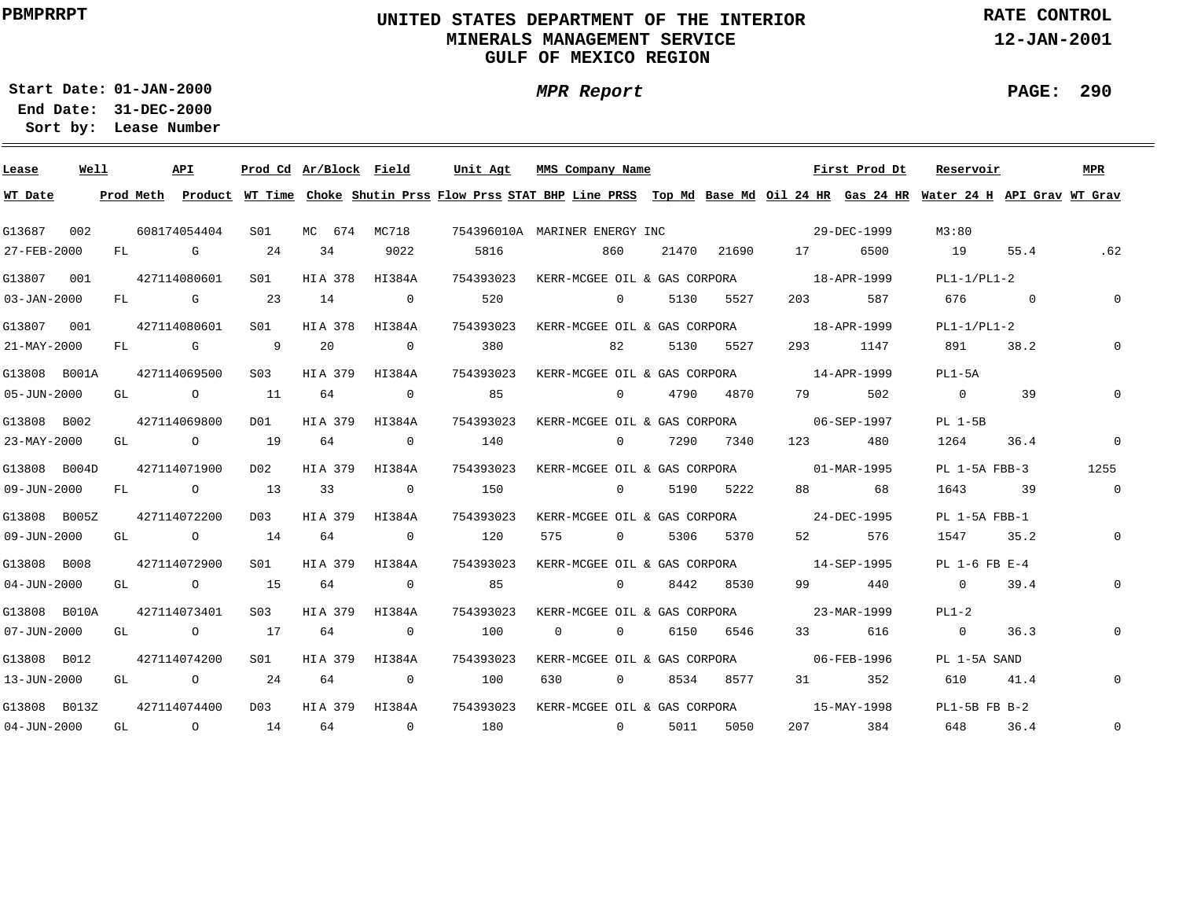# **UNITED STATES DEPARTMENT OF THE INTERIOR MINERALS MANAGEMENT SERVICEGULF OF MEXICO REGION**

**MPR Report**

**RATE CONTROL**

**12-JAN-2001**

**PAGE: 290**

÷

**01-JAN-2000Start Date:**

| Lease             | Well |    | API                                                                                                            |                | Prod Cd Ar/Block Field |                | Unit Agt  | MMS Company Name                                                                                                                        |       |           |             | First Prod Dt            | Reservoir         |          | <b>MPR</b>     |
|-------------------|------|----|----------------------------------------------------------------------------------------------------------------|----------------|------------------------|----------------|-----------|-----------------------------------------------------------------------------------------------------------------------------------------|-------|-----------|-------------|--------------------------|-------------------|----------|----------------|
| WT Date           |      |    |                                                                                                                |                |                        |                |           | Prod Meth Product WT Time Choke Shutin Prss Flow Prss STAT BHP Line PRSS Top Md Base Md Oil 24 HR Gas 24 HR Water 24 H API Grav WT Grav |       |           |             |                          |                   |          |                |
| G13687            | 002  |    | 608174054404                                                                                                   | S01            |                        | MC 674 MC718   |           | 754396010A MARINER ENERGY INC                                                                                                           |       |           |             | 29-DEC-1999              | M3:80             |          |                |
| 27-FEB-2000       |      | FL | in the Group of the Group of the State of the State of the State of the State of the State of the State of the | 24             | 34                     | 9022           | 5816      | 860                                                                                                                                     | 21470 | 21690     |             | 6500                     | 19                | 55.4     | .62            |
| G13807<br>001     |      |    | 427114080601                                                                                                   | S01            | HIA 378                | HI384A         | 754393023 | KERR-MCGEE OIL & GAS CORPORA                                                                                                            |       |           | 18-APR-1999 |                          | $PL1-1/PL1-2$     |          |                |
| $03 - JAN - 2000$ |      | FL | $\mathbb G$                                                                                                    | 23             | 14                     | $\overline{0}$ | 520       | $\overline{0}$                                                                                                                          | 5130  | 5527      | 203         | 587                      | 676               | $\sim$ 0 | $\mathbf 0$    |
| G13807            | 001  |    | 427114080601                                                                                                   | SO1            | HIA 378                | HI384A         | 754393023 | KERR-MCGEE OIL & GAS CORPORA 18-APR-1999                                                                                                |       |           |             |                          | $PL1-1/PL1-2$     |          |                |
| 21-MAY-2000       |      | FL | <b>G</b> G                                                                                                     | $\overline{9}$ | 20                     | $\overline{0}$ | 380       | 82                                                                                                                                      | 5130  | 5527      | 293         | 1147                     | 891               | 38.2     | $\Omega$       |
| G13808 B001A      |      |    | 427114069500                                                                                                   | S03            |                        | HIA 379 HI384A | 754393023 | KERR-MCGEE OIL & GAS CORPORA 14-APR-1999                                                                                                |       |           |             |                          | $PL1-5A$          |          |                |
| 05-JUN-2000       |      | GL | $\circ$ $\circ$                                                                                                | 11             | 64                     | $\mathbf 0$    | 85        | $\overline{0}$                                                                                                                          | 4790  | 4870      | 79          | 502                      | $\overline{0}$    | 39       |                |
| G13808 B002       |      |    | 427114069800                                                                                                   | DO1            | HIA 379                | HI384A         | 754393023 | KERR-MCGEE OIL & GAS CORPORA                                                                                                            |       |           | 06-SEP-1997 |                          | PL 1-5B           |          |                |
| 23-MAY-2000       |      | GL | $\overline{O}$                                                                                                 | 19             | 64                     | $\mathbf{0}$   | 140       | $\overline{0}$                                                                                                                          | 7290  | 7340      | 123         | 480                      | 1264              | 36.4     | $\mathbf 0$    |
| G13808 B004D      |      |    | 427114071900                                                                                                   | DO 2           | HIA 379                | HI384A         | 754393023 | KERR-MCGEE OIL & GAS CORPORA 01-MAR-1995                                                                                                |       |           |             |                          | $PL$ 1-5A $FBB-3$ |          | 1255           |
| 09-JUN-2000       |      | FL | $\overline{O}$                                                                                                 | 13             | 33                     | $\overline{0}$ | 150       | $\Omega$                                                                                                                                | 5190  | 5222      | 88          | 68                       | 1643              | 39       | $\mathbf{0}$   |
| G13808 B005Z      |      |    | 427114072200                                                                                                   | D03            | HIA 379                | HI384A         | 754393023 | KERR-MCGEE OIL & GAS CORPORA 24-DEC-1995                                                                                                |       |           |             |                          | PL 1-5A FBB-1     |          |                |
| 09-JUN-2000       |      | GL | $\overline{O}$                                                                                                 | 14             | 64                     | $\overline{0}$ | 120       | 575<br>$\overline{0}$                                                                                                                   | 5306  | 5370      |             | 576                      | 1547              | 35.2     | $\mathbf 0$    |
| G13808 B008       |      |    | 427114072900                                                                                                   | S01            | HIA 379                | HI384A         | 754393023 | KERR-MCGEE OIL & GAS CORPORA 14-SEP-1995                                                                                                |       |           |             |                          | $PL$ 1-6 FB $E-4$ |          |                |
| $04 - JUN - 2000$ |      | GL | $\overline{O}$                                                                                                 | 15             | 64                     | $\overline{0}$ | 85        | $\Omega$                                                                                                                                |       | 8442 8530 | 99 — 1      | 440                      | $\overline{0}$    | 39.4     | $\overline{0}$ |
| G13808 B010A      |      |    | 427114073401                                                                                                   | S03            | HIA 379                | HI384A         | 754393023 | KERR-MCGEE OIL & GAS CORPORA 23-MAR-1999                                                                                                |       |           |             |                          | $PL1-2$           |          |                |
| $07 - JUN - 2000$ |      | GL | $\overline{O}$                                                                                                 | 17             | 64                     | $\mathbf{0}$   | 100       | $\Omega$<br>$\overline{0}$                                                                                                              | 6150  | 6546      |             | 616                      | $\overline{0}$    | 36.3     | $\mathbf 0$    |
| G13808 B012       |      |    | 427114074200                                                                                                   | S01            | HIA 379                | HI384A         | 754393023 | KERR-MCGEE OIL & GAS CORPORA 66-FEB-1996                                                                                                |       |           |             |                          | PL 1-5A SAND      |          |                |
| 13-JUN-2000       |      | GL | $\overline{O}$                                                                                                 | 24             | 64                     | $\overline{0}$ | 100       | 630<br>$\Omega$                                                                                                                         | 8534  | 8577      |             | 352                      | 610               | 41.4     | $\mathbf 0$    |
| G13808 B013Z      |      |    | 427114074400                                                                                                   | D03            |                        | HIA 379 HI384A | 754393023 | KERR-MCGEE OIL & GAS CORPORA                                                                                                            |       |           |             | $15 - \text{MAX} - 1998$ | $PL1-5B$ FB $B-2$ |          |                |
| $04 - JUN - 2000$ |      | GL | $\overline{O}$                                                                                                 | 14             | 64                     | $\overline{0}$ | 180       | $\overline{0}$                                                                                                                          | 5011  | 5050      | 207 — 207   | 384                      | 648               | 36.4     | $\mathsf{O}$   |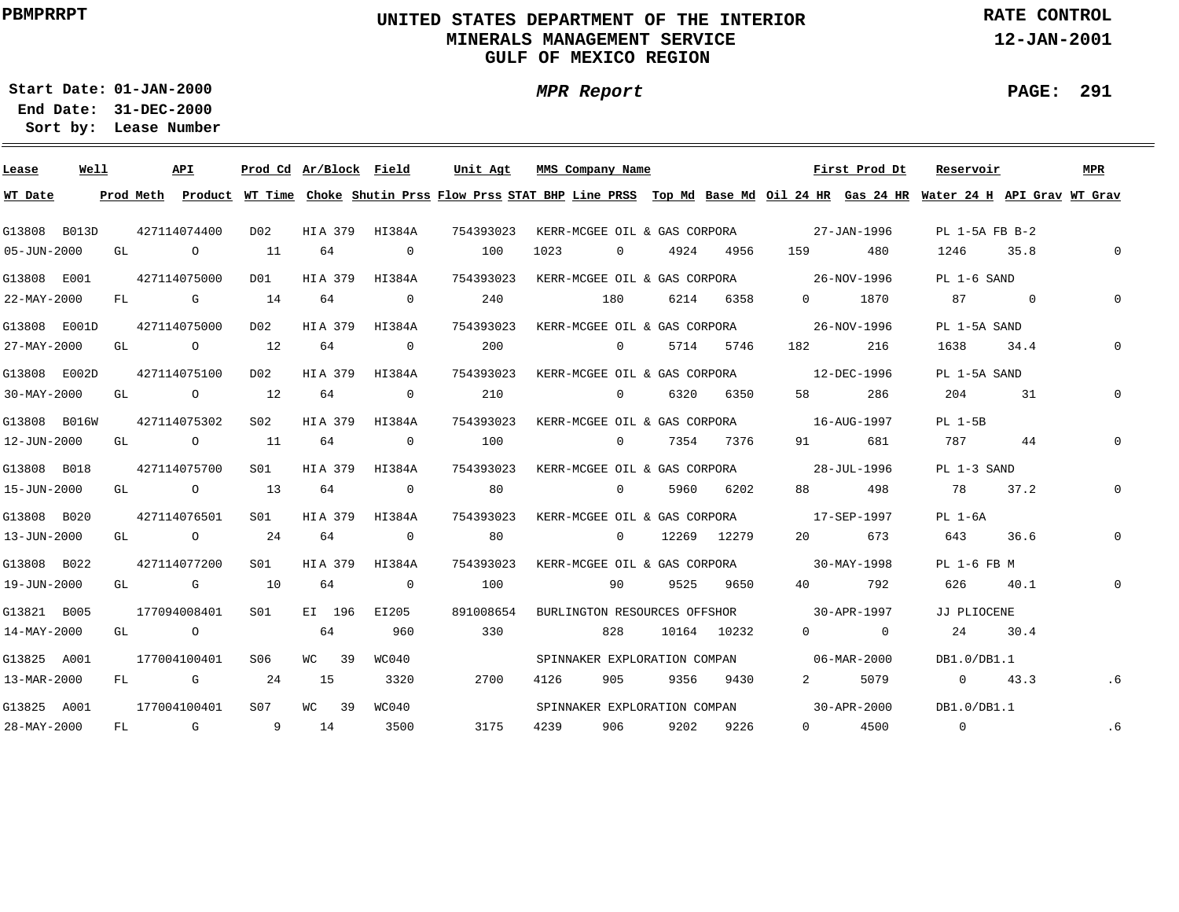# **UNITED STATES DEPARTMENT OF THE INTERIOR MINERALS MANAGEMENT SERVICEGULF OF MEXICO REGION**

**MPR Report**

**RATE CONTROL**

**12-JAN-2001**

**PAGE: 291**

÷

**01-JAN-2000Start Date:31-DEC-2000 End Date:** 

| Lease        | Well |    |           | API                                                                                                                                                                                                                            |                 | Prod Cd Ar/Block Field |                | Unit Agt                                                                                                                      | MMS Company Name                         |                |      |               |                                                                                                                                                                                                                                 | First Prod Dt                            | Reservoir                                                                                                      |          | MPR          |
|--------------|------|----|-----------|--------------------------------------------------------------------------------------------------------------------------------------------------------------------------------------------------------------------------------|-----------------|------------------------|----------------|-------------------------------------------------------------------------------------------------------------------------------|------------------------------------------|----------------|------|---------------|---------------------------------------------------------------------------------------------------------------------------------------------------------------------------------------------------------------------------------|------------------------------------------|----------------------------------------------------------------------------------------------------------------|----------|--------------|
| WT Date      |      |    | Prod Meth |                                                                                                                                                                                                                                |                 |                        |                | Product WT Time Choke Shutin Prss Flow Prss STAT BHP Line PRSS Top Md Base Md Oil 24 HR Gas 24 HR Water 24 H API Grav WT Grav |                                          |                |      |               |                                                                                                                                                                                                                                 |                                          |                                                                                                                |          |              |
| G13808 B013D |      |    |           | 427114074400                                                                                                                                                                                                                   | D02             | HIA 379 HI384A         |                | 754393023                                                                                                                     | KERR-MCGEE OIL & GAS CORPORA 27-JAN-1996 |                |      |               |                                                                                                                                                                                                                                 |                                          | PL 1-5A FB B-2                                                                                                 |          |              |
| 05-JUN-2000  |      | GL |           | $\overline{a}$                                                                                                                                                                                                                 | 11              | 64                     | $\sim$ 0       | 100                                                                                                                           | 1023                                     | $\overline{0}$ | 4924 | 4956          | 159 — 159 — 159 — 159 — 159 — 159 — 159 — 159 — 159 — 159 — 159 — 159 — 159 — 159 — 159 — 159 — 159 — 159 — 159 — 159 — 159 — 159 — 159 — 159 — 159 — 159 — 159 — 159 — 159 — 159 — 159 — 159 — 159 — 159 — 159 — 159 — 159 — 1 | 480                                      | 1246                                                                                                           | 35.8     | $\mathbf 0$  |
| G13808 E001  |      |    |           | 427114075000                                                                                                                                                                                                                   | D01             | HIA 379 HI384A         |                | 754393023 KERR-MCGEE OIL & GAS CORPORA 26-NOV-1996                                                                            |                                          |                |      |               |                                                                                                                                                                                                                                 |                                          | PL 1-6 SAND                                                                                                    |          |              |
| 22-MAY-2000  |      |    |           | $FL$ G $G$                                                                                                                                                                                                                     | 14              | 64                     | $\overline{0}$ | 240                                                                                                                           |                                          | 180            |      | 6214 6358     |                                                                                                                                                                                                                                 | 0 1870                                   | 87                                                                                                             | $\sim$ 0 | $\Omega$     |
| G13808 E001D |      |    |           | 427114075000                                                                                                                                                                                                                   | D02             | HIA 379 HI384A         |                | 754393023                                                                                                                     | KERR-MCGEE OIL & GAS CORPORA 26-NOV-1996 |                |      |               |                                                                                                                                                                                                                                 |                                          | PL 1-5A SAND                                                                                                   |          |              |
| 27-MAY-2000  |      |    |           | GL O                                                                                                                                                                                                                           | 12              | 64                     | $\overline{0}$ | 200                                                                                                                           |                                          | $\overline{0}$ |      | 5714 5746     |                                                                                                                                                                                                                                 | 216                                      | 1638                                                                                                           | 34.4     | $\Omega$     |
| G13808 E002D |      |    |           | 427114075100                                                                                                                                                                                                                   | D02             | HIA 379                | HI384A         | 754393023                                                                                                                     | KERR-MCGEE OIL & GAS CORPORA 12-DEC-1996 |                |      |               |                                                                                                                                                                                                                                 |                                          | PL 1-5A SAND                                                                                                   |          |              |
| 30-MAY-2000  |      | GL |           | $\overline{O}$                                                                                                                                                                                                                 | 12              | 64                     | $\mathbf{0}$   | 210                                                                                                                           |                                          | $\overline{0}$ |      | 6320 6350     | 58 — 1                                                                                                                                                                                                                          | 286                                      | 204                                                                                                            | 31       |              |
| G13808 B016W |      |    |           | 427114075302                                                                                                                                                                                                                   | S02             | HIA 379 HI384A         |                | 754393023                                                                                                                     | KERR-MCGEE OIL & GAS CORPORA 16-AUG-1997 |                |      |               |                                                                                                                                                                                                                                 |                                          | PL 1-5B                                                                                                        |          |              |
| 12-JUN-2000  |      | GL |           | $\overline{O}$                                                                                                                                                                                                                 | 11              | 64                     | $\Omega$       | 100                                                                                                                           | 0 7354 7376                              |                |      |               | 91 —                                                                                                                                                                                                                            | 681                                      | 787 — 787 — 787 — 787 — 787 — 787 — 787 — 792 — 792 — 792 — 792 — 792 — 792 — 792 — 792 — 792 — 792 — 792 — 79 | 44       |              |
| G13808 B018  |      |    |           | 427114075700                                                                                                                                                                                                                   | SO1             | HIA 379                | HI384A         | 754393023                                                                                                                     | KERR-MCGEE OIL & GAS CORPORA 28-JUL-1996 |                |      |               |                                                                                                                                                                                                                                 |                                          | PL 1-3 SAND                                                                                                    |          |              |
| 15-JUN-2000  |      |    |           | GL O                                                                                                                                                                                                                           | 13              | 64                     | $\overline{0}$ | 80                                                                                                                            |                                          | $\overline{0}$ |      | 5960 6202     | 88 — 10                                                                                                                                                                                                                         | 498                                      | 78                                                                                                             | 37.2     |              |
| G13808 B020  |      |    |           | 427114076501                                                                                                                                                                                                                   | SO1             | HIA 379                | HI384A         | 754393023                                                                                                                     |                                          |                |      |               | KERR-MCGEE OIL & GAS CORPORA 17-SEP-1997                                                                                                                                                                                        |                                          | PL 1-6A                                                                                                        |          |              |
| 13-JUN-2000  |      |    |           | GL O                                                                                                                                                                                                                           | 24              | 64                     | $\overline{0}$ | 80                                                                                                                            |                                          |                |      | 0 12269 12279 | 20                                                                                                                                                                                                                              | 673                                      | 643                                                                                                            | 36.6     | 0            |
| G13808 B022  |      |    |           | 427114077200                                                                                                                                                                                                                   | S01             | HIA 379                | HI384A         | 754393023                                                                                                                     |                                          |                |      |               | KERR-MCGEE OIL & GAS CORPORA 30-MAY-1998                                                                                                                                                                                        |                                          | PL 1-6 FB M                                                                                                    |          |              |
| 19-JUN-2000  |      |    |           | GL G                                                                                                                                                                                                                           | 10              | 64                     | $\sim$ 0       | 100                                                                                                                           |                                          | 90             |      | 9525 9650     | 40 — 10                                                                                                                                                                                                                         | 792                                      | 626                                                                                                            | 40.1     | $\mathbf{0}$ |
| G13821 B005  |      |    |           | 177094008401                                                                                                                                                                                                                   | SO1             | EI 196                 | EI205          | 891008654                                                                                                                     |                                          |                |      |               | BURLINGTON RESOURCES OFFSHOR 30-APR-1997                                                                                                                                                                                        |                                          | JJ PLIOCENE                                                                                                    |          |              |
| 14-MAY-2000  |      |    |           | GL O                                                                                                                                                                                                                           |                 | 64                     | 960            | 330                                                                                                                           |                                          | 828            |      | 10164 10232   |                                                                                                                                                                                                                                 | $\begin{array}{ccc} 0 & & 0 \end{array}$ | 24                                                                                                             | 30.4     |              |
| G13825 A001  |      |    |           | 177004100401                                                                                                                                                                                                                   | S06             | WC 39                  | WC040          |                                                                                                                               |                                          |                |      |               | SPINNAKER EXPLORATION COMPAN 06-MAR-2000                                                                                                                                                                                        |                                          | DB1.0/DB1.1                                                                                                    |          |              |
| 13-MAR-2000  |      | FL |           | and the control of the control of the control of the control of the control of the control of the control of the control of the control of the control of the control of the control of the control of the control of the cont | 24              | 15                     | 3320           | 2700                                                                                                                          | 4126                                     | 905            | 9356 | 9430          | $2^{\circ}$                                                                                                                                                                                                                     | 5079                                     | 0 $43.3$                                                                                                       |          | $.6 \,$      |
| G13825 A001  |      |    |           | 177004100401                                                                                                                                                                                                                   | S <sub>07</sub> | WC 39                  | WC040          |                                                                                                                               |                                          |                |      |               | SPINNAKER EXPLORATION COMPAN 30-APR-2000                                                                                                                                                                                        |                                          | DB1.0/DB1.1                                                                                                    |          |              |
| 28-MAY-2000  |      | FL |           | and the control of the control of the control of the control of the control of the control of the control of the control of the control of the control of the control of the control of the control of the control of the cont | 9 14            |                        | 3500           | 3175                                                                                                                          | 4239                                     | 906 —          | 9202 | 9226          |                                                                                                                                                                                                                                 | 0 4500                                   | $\overline{0}$                                                                                                 |          | .6           |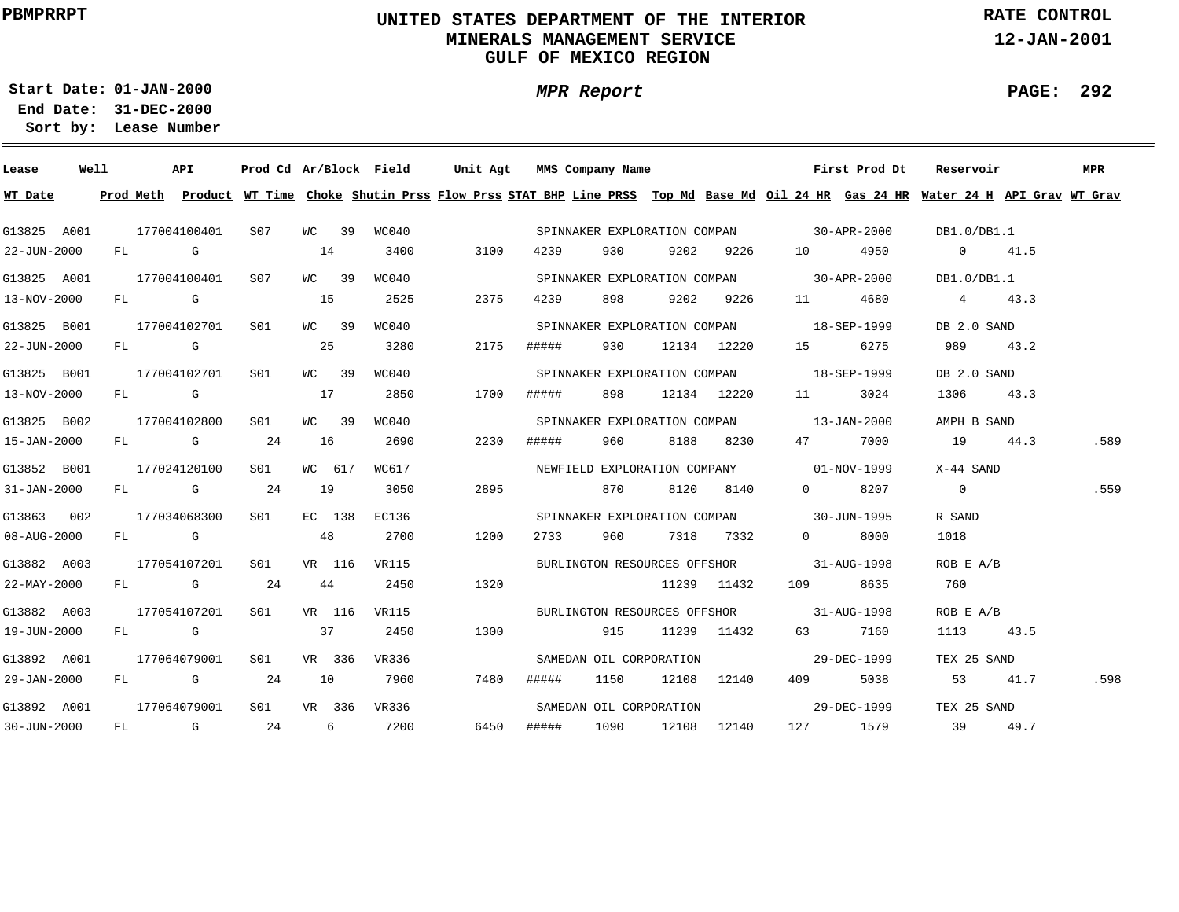# **UNITED STATES DEPARTMENT OF THE INTERIOR MINERALS MANAGEMENT SERVICEGULF OF MEXICO REGION**

**MPR Report**

**RATE CONTROL**

**12-JAN-2001**

**PAGE: 292**

÷

**01-JAN-2000Start Date:**

| Lease       | Well |    |                                                                                   | API                                                                                                                                                                                                                            |                 |    |        |       | Prod Cd Ar/Block Field Unit Agt MMS Company Name |       |                         |      |             |                                          | First Prod Dt | Reservoir                                                                                                                               |      | MPR  |
|-------------|------|----|-----------------------------------------------------------------------------------|--------------------------------------------------------------------------------------------------------------------------------------------------------------------------------------------------------------------------------|-----------------|----|--------|-------|--------------------------------------------------|-------|-------------------------|------|-------------|------------------------------------------|---------------|-----------------------------------------------------------------------------------------------------------------------------------------|------|------|
| WT Date     |      |    |                                                                                   |                                                                                                                                                                                                                                |                 |    |        |       |                                                  |       |                         |      |             |                                          |               | Prod Meth Product WT Time Choke Shutin Prss Flow Prss STAT BHP Line PRSS Top Md Base Md Oil 24 HR Gas 24 HR Water 24 H API Grav WT Grav |      |      |
| G13825 A001 |      |    |                                                                                   | 177004100401                                                                                                                                                                                                                   | S07             |    | WC 39  | WC040 |                                                  |       |                         |      |             | SPINNAKER EXPLORATION COMPAN 30-APR-2000 |               | DB1.0/DB1.1                                                                                                                             |      |      |
| 22-JUN-2000 |      | FL |                                                                                   | G                                                                                                                                                                                                                              |                 | 14 |        | 3400  | 3100                                             | 4239  | 930                     | 9202 | 9226        | 10 0                                     | 4950          | $0 \t 41.5$                                                                                                                             |      |      |
| G13825 A001 |      |    |                                                                                   | 177004100401                                                                                                                                                                                                                   | S07             |    | WC 39  | WC040 |                                                  |       |                         |      |             | SPINNAKER EXPLORATION COMPAN 30-APR-2000 |               | DB1.0/DB1.1                                                                                                                             |      |      |
| 13-NOV-2000 |      | FL | in the Control Control Control Control Control Control Control Control Control Co |                                                                                                                                                                                                                                |                 | 15 |        | 2525  | 2375                                             | 4239  | 898                     | 9202 | 9226        |                                          | 4680          | $4\degree$                                                                                                                              | 43.3 |      |
| G13825 B001 |      |    |                                                                                   | 177004102701                                                                                                                                                                                                                   | S <sub>01</sub> |    | WC 39  | WC040 |                                                  |       |                         |      |             | SPINNAKER EXPLORATION COMPAN 18-SEP-1999 |               | DB 2.0 SAND                                                                                                                             |      |      |
| 22-JUN-2000 |      |    |                                                                                   | FL G                                                                                                                                                                                                                           |                 | 25 |        | 3280  | 2175                                             | ##### | 930                     |      | 12134 12220 | 15                                       | 6275          | 989 — 198                                                                                                                               | 43.2 |      |
| G13825 B001 |      |    |                                                                                   | 177004102701                                                                                                                                                                                                                   | SO1             |    | WC 39  | WC040 |                                                  |       |                         |      |             | SPINNAKER EXPLORATION COMPAN 18-SEP-1999 |               | DB 2.0 SAND                                                                                                                             |      |      |
| 13-NOV-2000 |      |    | FL G                                                                              |                                                                                                                                                                                                                                |                 | 17 |        | 2850  | 1700                                             | ##### | 898                     |      | 12134 12220 |                                          | 3024          | 1306 43.3                                                                                                                               |      |      |
| G13825 B002 |      |    |                                                                                   | 177004102800                                                                                                                                                                                                                   | SO1             |    | WC 39  | WC040 |                                                  |       |                         |      |             | SPINNAKER EXPLORATION COMPAN 13-JAN-2000 |               | AMPH B SAND                                                                                                                             |      |      |
| 15-JAN-2000 |      |    |                                                                                   | FL G                                                                                                                                                                                                                           | 24              | 16 |        | 2690  | 2230                                             | ##### | 960                     | 8188 | 8230        | 47 — 17                                  | 7000          | 19 44.3                                                                                                                                 |      | .589 |
| G13852 B001 |      |    |                                                                                   | 177024120100                                                                                                                                                                                                                   | S01             |    | WC 617 | WC617 |                                                  |       |                         |      |             | NEWFIELD EXPLORATION COMPANY 01-NOV-1999 |               | X-44 SAND                                                                                                                               |      |      |
| 31-JAN-2000 |      |    |                                                                                   | FL G                                                                                                                                                                                                                           | 24              | 19 |        | 3050  | 2895                                             |       | 870                     | 8120 | 8140        | $\Omega$                                 | 8207          | $\overline{0}$                                                                                                                          |      | .559 |
| G13863 002  |      |    |                                                                                   | 177034068300                                                                                                                                                                                                                   | S01             |    | EC 138 | EC136 |                                                  |       |                         |      |             | SPINNAKER EXPLORATION COMPAN 30-JUN-1995 |               | R SAND                                                                                                                                  |      |      |
| 08-AUG-2000 |      |    | FL G                                                                              |                                                                                                                                                                                                                                |                 |    | 48     | 2700  | 1200                                             | 2733  | 960                     |      | 7318 7332   | $\Omega$                                 | 8000          | 1018                                                                                                                                    |      |      |
| G13882 A003 |      |    |                                                                                   | 177054107201                                                                                                                                                                                                                   | S01             |    | VR 116 | VR115 |                                                  |       |                         |      |             | BURLINGTON RESOURCES OFFSHOR 31-AUG-1998 |               | ROB E A/B                                                                                                                               |      |      |
| 22-MAY-2000 |      | FL |                                                                                   | <b>G</b> G                                                                                                                                                                                                                     | 24              |    | 44     | 2450  | 1320                                             |       |                         |      | 11239 11432 | 109                                      | 8635          | 760                                                                                                                                     |      |      |
| G13882 A003 |      |    |                                                                                   | 177054107201                                                                                                                                                                                                                   | S01             |    | VR 116 | VR115 |                                                  |       |                         |      |             | BURLINGTON RESOURCES OFFSHOR 31-AUG-1998 |               | ROB E A/B                                                                                                                               |      |      |
| 19-JUN-2000 |      |    | FL G                                                                              |                                                                                                                                                                                                                                |                 |    | 37     | 2450  | 1300                                             |       | 915                     |      | 11239 11432 | 63 — 1                                   | 7160          | 1113                                                                                                                                    | 43.5 |      |
| G13892 A001 |      |    |                                                                                   | 177064079001                                                                                                                                                                                                                   | SO1             |    | VR 336 | VR336 |                                                  |       | SAMEDAN OIL CORPORATION |      |             |                                          | 29-DEC-1999   | TEX 25 SAND                                                                                                                             |      |      |
| 29-JAN-2000 |      | FL |                                                                                   | $\mathbf G$                                                                                                                                                                                                                    | 24              |    | 10     | 7960  | 7480                                             | ##### | 1150                    |      | 12108 12140 | 409 — 109                                | 5038          | 53                                                                                                                                      | 41.7 | .598 |
| G13892 A001 |      |    |                                                                                   | 177064079001                                                                                                                                                                                                                   | S01             |    | VR 336 | VR336 |                                                  |       | SAMEDAN OIL CORPORATION |      |             |                                          | 29-DEC-1999   | TEX 25 SAND                                                                                                                             |      |      |
| 30-JUN-2000 |      | FL |                                                                                   | and the Company of the Company of the Company of the Company of the Company of the Company of the Company of the Company of the Company of the Company of the Company of the Company of the Company of the Company of the Comp | 24              |    | 6      | 7200  | 6450                                             | ##### | 1090                    |      | 12108 12140 |                                          | 127 1579      | 39                                                                                                                                      | 49.7 |      |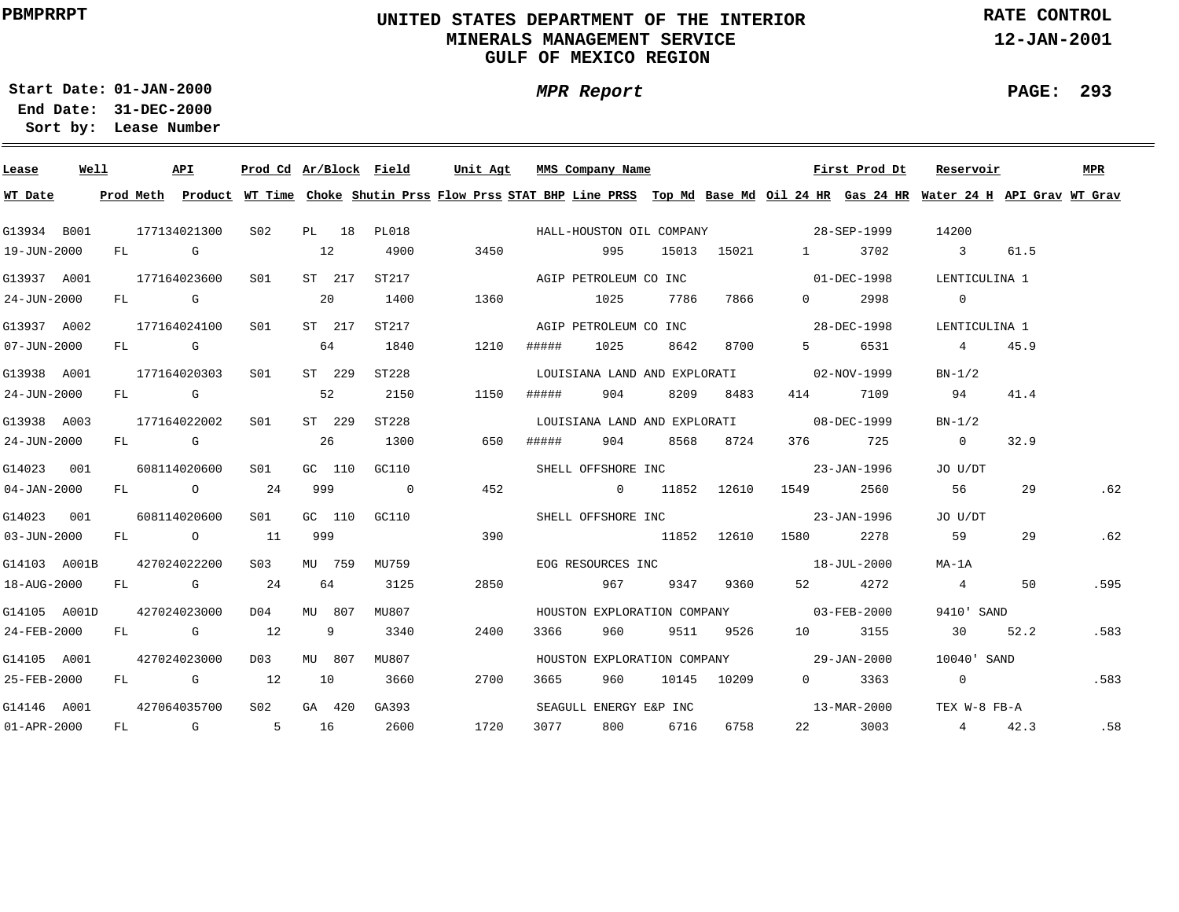# **UNITED STATES DEPARTMENT OF THE INTERIOR MINERALS MANAGEMENT SERVICEGULF OF MEXICO REGION**

**MPR Report**

**RATE CONTROL**

**12-JAN-2001**

**PAGE: 293**

÷

**01-JAN-2000Start Date:31-DEC-2000 End Date:** 

| Lease             | Well | API          | Prod Cd Ar/Block Field |        |        |                | Unit Agt |       | MMS Company Name             |     |      |             |                                          | First Prod Dt                                                                                                                           | Reservoir               |      | MPR  |
|-------------------|------|--------------|------------------------|--------|--------|----------------|----------|-------|------------------------------|-----|------|-------------|------------------------------------------|-----------------------------------------------------------------------------------------------------------------------------------------|-------------------------|------|------|
| WT Date           |      |              |                        |        |        |                |          |       |                              |     |      |             |                                          | Prod Meth Product WT Time Choke Shutin Prss Flow Prss STAT BHP Line PRSS Top Md Base Md Oil 24 HR Gas 24 HR Water 24 H API Grav WT Grav |                         |      |      |
| G13934 B001       |      | 177134021300 | S02                    |        | PL 18  | PL018          |          |       |                              |     |      |             | HALL-HOUSTON OIL COMPANY 28-SEP-1999     |                                                                                                                                         | 14200                   |      |      |
| 19-JUN-2000       |      | FL G         |                        | 12     |        | 4900           | 3450     |       | 995                          |     |      | 15013 15021 | $1 \quad \cdots$                         | 3702                                                                                                                                    | $\overline{\mathbf{3}}$ | 61.5 |      |
| G13937 A001       |      | 177164023600 | S01                    |        | ST 217 | ST217          |          |       | AGIP PETROLEUM CO INC        |     |      |             |                                          | 01-DEC-1998                                                                                                                             | LENTICULINA 1           |      |      |
| 24-JUN-2000       |      | $FL$ G       |                        | -20    |        | 1400           | 1360     |       | 1025                         |     | 7786 | 7866        | $\Omega$                                 | 2998                                                                                                                                    | $\overline{0}$          |      |      |
| G13937 A002       |      | 177164024100 | S01                    |        | ST 217 | ST217          |          |       | AGIP PETROLEUM CO INC        |     |      |             |                                          | 28-DEC-1998                                                                                                                             | LENTICULINA 1           |      |      |
| 07-JUN-2000       |      | FL G         |                        | 64     |        | 1840           | 1210     | ##### | 1025                         |     | 8642 | 8700        | $5^{\circ}$                              | 6531                                                                                                                                    | $4\overline{ }$         | 45.9 |      |
| G13938 A001       |      | 177164020303 | SO1                    | ST 229 |        | ST228          |          |       | LOUISIANA LAND AND EXPLORATI |     |      |             |                                          | 02-NOV-1999                                                                                                                             | $BN-1/2$                |      |      |
| 24-JUN-2000       |      | FL G         |                        | 52     |        | 2150           | 1150     | ##### | 904                          |     | 8209 | 8483        | 414                                      | 7109                                                                                                                                    | 94                      | 41.4 |      |
| G13938 A003       |      | 177164022002 | S <sub>01</sub>        | ST 229 |        | ST228          |          |       |                              |     |      |             | LOUISIANA LAND AND EXPLORATI 08-DEC-1999 |                                                                                                                                         | $BN-1/2$                |      |      |
| 24-JUN-2000       |      | FL G         |                        | 26     |        | 1300           | 650      | ##### | 904                          |     |      | 8568 8724   |                                          | 376 725                                                                                                                                 | $\overline{0}$          | 32.9 |      |
| G14023 001        |      | 608114020600 | SO1                    | GC 110 |        | GC110          |          |       |                              |     |      |             | SHELL OFFSHORE INC 23-JAN-1996           |                                                                                                                                         | JO U/DT                 |      |      |
| $04 - JAN - 2000$ |      | FL O         | 24                     | 999    |        | $\overline{0}$ | 452      |       | 0 11852 12610                |     |      |             |                                          | 2560                                                                                                                                    | 56                      | 29   | .62  |
| G14023 001        |      | 608114020600 | SO1                    | GC 110 |        | GC110          |          |       |                              |     |      |             | SHELL OFFSHORE INC 23-JAN-1996           |                                                                                                                                         | JO U/DT                 |      |      |
| $03 - JUN - 2000$ |      | FL O         | 11                     | 999    |        |                | 390      |       |                              |     |      | 11852 12610 | 1580 700                                 | 2278                                                                                                                                    | 59                      | 29   | .62  |
| G14103 A001B      |      | 427024022200 | S <sub>03</sub>        |        | MU 759 | MU759          |          |       |                              |     |      |             | EOG RESOURCES INC 18-JUL-2000            |                                                                                                                                         | MA-1A                   |      |      |
| 18-AUG-2000       |      | FL G         | 24                     | 64     |        | 3125           | 2850     |       | 967                          |     |      | 9347 9360   |                                          | 4272                                                                                                                                    | $\overline{4}$          | 50   | .595 |
| G14105 A001D      |      | 427024023000 | D04                    | MU 807 |        | MU807          |          |       |                              |     |      |             | HOUSTON EXPLORATION COMPANY 03-FEB-2000  |                                                                                                                                         | 9410' SAND              |      |      |
| 24-FEB-2000       |      | FL G         | 12                     |        | 9      | 3340           | 2400     | 3366  | 960                          |     |      | 9511 9526   | 10 10                                    | 3155                                                                                                                                    | 30                      | 52.2 | .583 |
| G14105 A001       |      | 427024023000 | D03                    | MU 807 |        | MU807          |          |       |                              |     |      |             | HOUSTON EXPLORATION COMPANY 29-JAN-2000  |                                                                                                                                         | 10040' SAND             |      |      |
| 25-FEB-2000       |      | $FL$ G 12    |                        | 10     |        | 3660           | 2700     | 3665  | 960                          |     |      | 10145 10209 | $0 \qquad \qquad$                        | 3363                                                                                                                                    | $\overline{0}$          |      | .583 |
| G14146 A001       |      | 427064035700 | S02                    | GA 420 |        | GA393          |          |       | SEAGULL ENERGY E&P INC       |     |      |             |                                          | 13-MAR-2000                                                                                                                             | TEX W-8 FB-A            |      |      |
| $01 - APR - 2000$ |      | $FL$ G       |                        | 5 16   |        | 2600           | 1720     | 3077  |                              | 800 | 6716 | 6758        | 22 and $\sim$                            | 3003                                                                                                                                    | 4 42.3                  |      | .58  |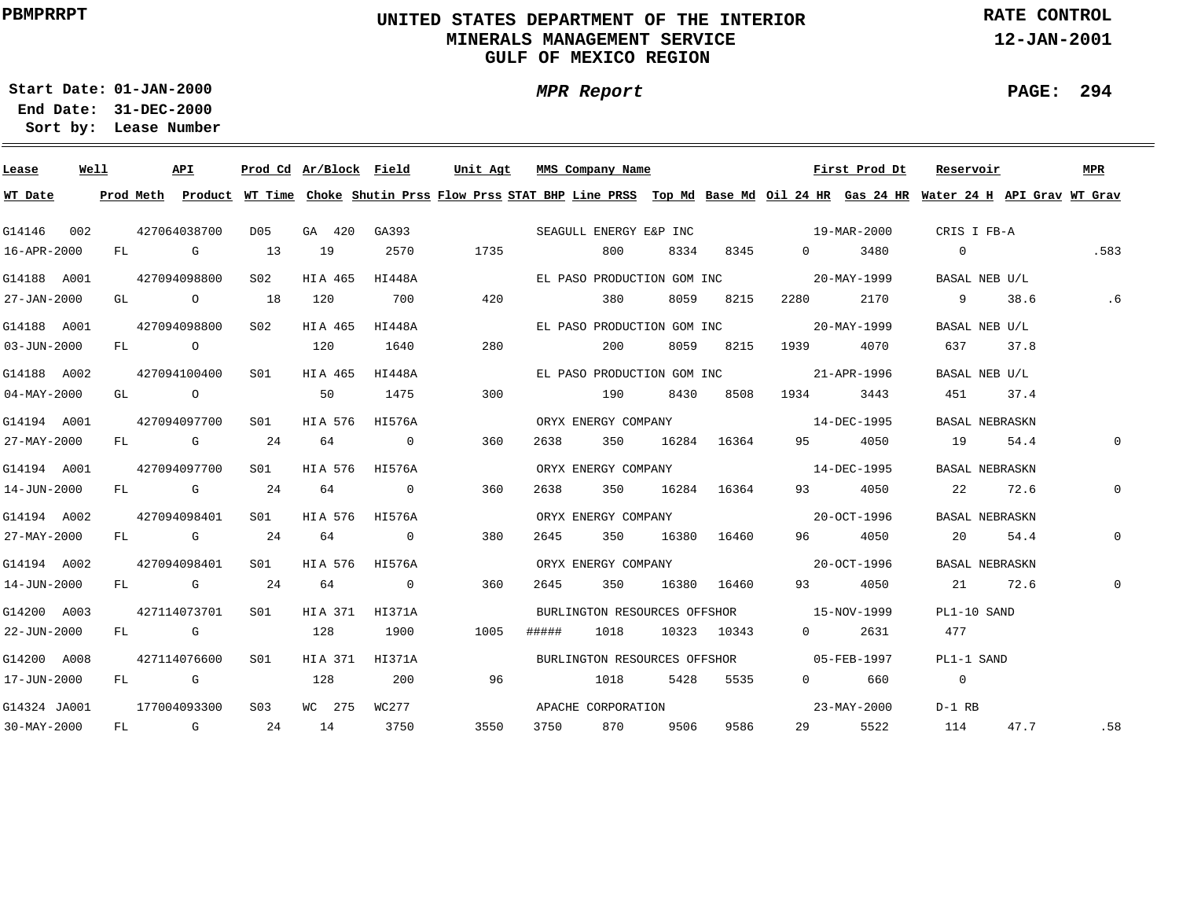# **UNITED STATES DEPARTMENT OF THE INTERIOR MINERALS MANAGEMENT SERVICEGULF OF MEXICO REGION**

**MPR Report**

**RATE CONTROL**

**12-JAN-2001**

**PAGE: 294**

÷

**01-JAN-2000Start Date:**

| Lease             | Well |    |        | API            |        | Prod Cd Ar/Block Field |                | Unit Agt                                                                                                                                | MMS Company Name           |      |      |             |                                          | First Prod Dt | Reservoir      |      | MPR          |
|-------------------|------|----|--------|----------------|--------|------------------------|----------------|-----------------------------------------------------------------------------------------------------------------------------------------|----------------------------|------|------|-------------|------------------------------------------|---------------|----------------|------|--------------|
| WT Date           |      |    |        |                |        |                        |                | Prod Meth Product WT Time Choke Shutin Prss Flow Prss STAT BHP Line PRSS Top Md Base Md Oil 24 HR Gas 24 HR Water 24 H API Grav WT Grav |                            |      |      |             |                                          |               |                |      |              |
| G14146            | 002  |    |        | 427064038700   | D05    | GA 420                 | GA393          |                                                                                                                                         | SEAGULL ENERGY E&P INC     |      |      |             | $19 - \text{MAR} - 2000$                 |               | CRIS I FB-A    |      |              |
| 16-APR-2000       |      |    |        | FL G           | 13     | 19                     | 2570           | 1735                                                                                                                                    |                            | 800  | 8334 | 8345        | $\overline{0}$                           | 3480          | $\overline{0}$ |      | .583         |
| G14188 A001       |      |    |        | 427094098800   | S02    | HIA 465                | HI448A         |                                                                                                                                         | EL PASO PRODUCTION GOM INC |      |      |             |                                          | 20-MAY-1999   | BASAL NEB U/L  |      |              |
| 27-JAN-2000       |      |    |        | GL O           | 18     | 120                    | 700            | 420                                                                                                                                     |                            | 380  | 8059 | 8215        | 2280                                     | 2170          | 9              | 38.6 | .6           |
| G14188 A001       |      |    |        | 427094098800   | SO2    | HIA 465                | HI448A         |                                                                                                                                         | EL PASO PRODUCTION GOM INC |      |      |             |                                          | 20-MAY-1999   | BASAL NEB U/L  |      |              |
| $03 - JUN - 2000$ |      | FL |        | $\overline{O}$ |        | 120                    | 1640           | 280                                                                                                                                     |                            | 200  |      | 8059 8215   | 1939                                     | 4070          | 637            | 37.8 |              |
| G14188 A002       |      |    |        | 427094100400   | S01    | HIA 465                | HI448A         |                                                                                                                                         | EL PASO PRODUCTION GOM INC |      |      |             |                                          | 21-APR-1996   | BASAL NEB U/L  |      |              |
| $04 - MAX - 2000$ |      | GL |        | $\overline{O}$ |        | 50                     | 1475           | 300                                                                                                                                     |                            | 190  | 8430 | 8508        | 1934                                     | 3443          | 451            | 37.4 |              |
| G14194 A001       |      |    |        | 427094097700   | S01    | HIA 576                | HI576A         |                                                                                                                                         | ORYX ENERGY COMPANY        |      |      |             |                                          | 14-DEC-1995   | BASAL NEBRASKN |      |              |
| 27-MAY-2000       |      | FL |        | <b>G</b>       | 24     | 64                     | $\overline{0}$ | 360                                                                                                                                     | 2638                       | 350  |      | 16284 16364 | 95 —                                     | 4050          | 19             | 54.4 | 0            |
| G14194 A001       |      |    |        | 427094097700   | S01    | HIA 576                | HI576A         |                                                                                                                                         | ORYX ENERGY COMPANY        |      |      |             |                                          | 14-DEC-1995   | BASAL NEBRASKN |      |              |
| 14-JUN-2000       |      |    |        | FL G           | 24     | 64                     | $\overline{0}$ | 360                                                                                                                                     | 2638                       | 350  |      | 16284 16364 | 93 — 1                                   | 4050          | 22 and $\sim$  | 72.6 | $\mathbf{0}$ |
| G14194 A002       |      |    |        | 427094098401   | SO1 SO | HIA 576                | HI576A         |                                                                                                                                         | ORYX ENERGY COMPANY        |      |      |             |                                          | 20-OCT-1996   | BASAL NEBRASKN |      |              |
| 27-MAY-2000       |      |    |        | FL G           | 24     | 64                     | $\overline{0}$ | 380                                                                                                                                     | 2645                       | 350  |      | 16380 16460 | 96 — 1                                   | 4050          | $20^{\circ}$   | 54.4 | 0            |
| G14194 A002       |      |    |        | 427094098401   | SO1 SO | HIA 576                | HI576A         |                                                                                                                                         | ORYX ENERGY COMPANY        |      |      |             |                                          | 20-OCT-1996   | BASAL NEBRASKN |      |              |
| 14-JUN-2000       |      |    |        | FL G           | 24     | 64                     | $\overline{0}$ | 360                                                                                                                                     | 2645                       | 350  |      | 16380 16460 | 93 — 10                                  | 4050          | 21 72.6        |      | $\mathbf 0$  |
| G14200 A003       |      |    |        | 427114073701   | S01    | HIA 371 HI371A         |                |                                                                                                                                         |                            |      |      |             | BURLINGTON RESOURCES OFFSHOR 15-NOV-1999 |               | PL1-10 SAND    |      |              |
| 22-JUN-2000       |      |    | FL G   |                |        | 128                    | 1900           | 1005                                                                                                                                    | #####                      | 1018 |      | 10323 10343 | $0 \qquad \qquad$                        | 2631          | 477            |      |              |
| G14200 A008       |      |    |        | 427114076600   | S01    | HIA 371 HI371A         |                |                                                                                                                                         |                            |      |      |             | BURLINGTON RESOURCES OFFSHOR 05-FEB-1997 |               | PL1-1 SAND     |      |              |
| 17-JUN-2000       |      |    | $FL$ G |                |        | 128                    | 200            | 96                                                                                                                                      |                            | 1018 |      | 5428 5535   | $\overline{0}$                           | 660           | $\overline{0}$ |      |              |
| G14324 JA001      |      |    |        | 177004093300   | S03    | WC 275                 | WC277          |                                                                                                                                         | APACHE CORPORATION         |      |      |             |                                          | 23-MAY-2000   | $D-1$ RB       |      |              |
| $30 - MAX - 2000$ |      | FL |        | G $24$         |        | 14                     | 3750           | 3550                                                                                                                                    | 3750                       | 870  | 9506 | 9586        | 29                                       | 5522          | 114            | 47.7 | .58          |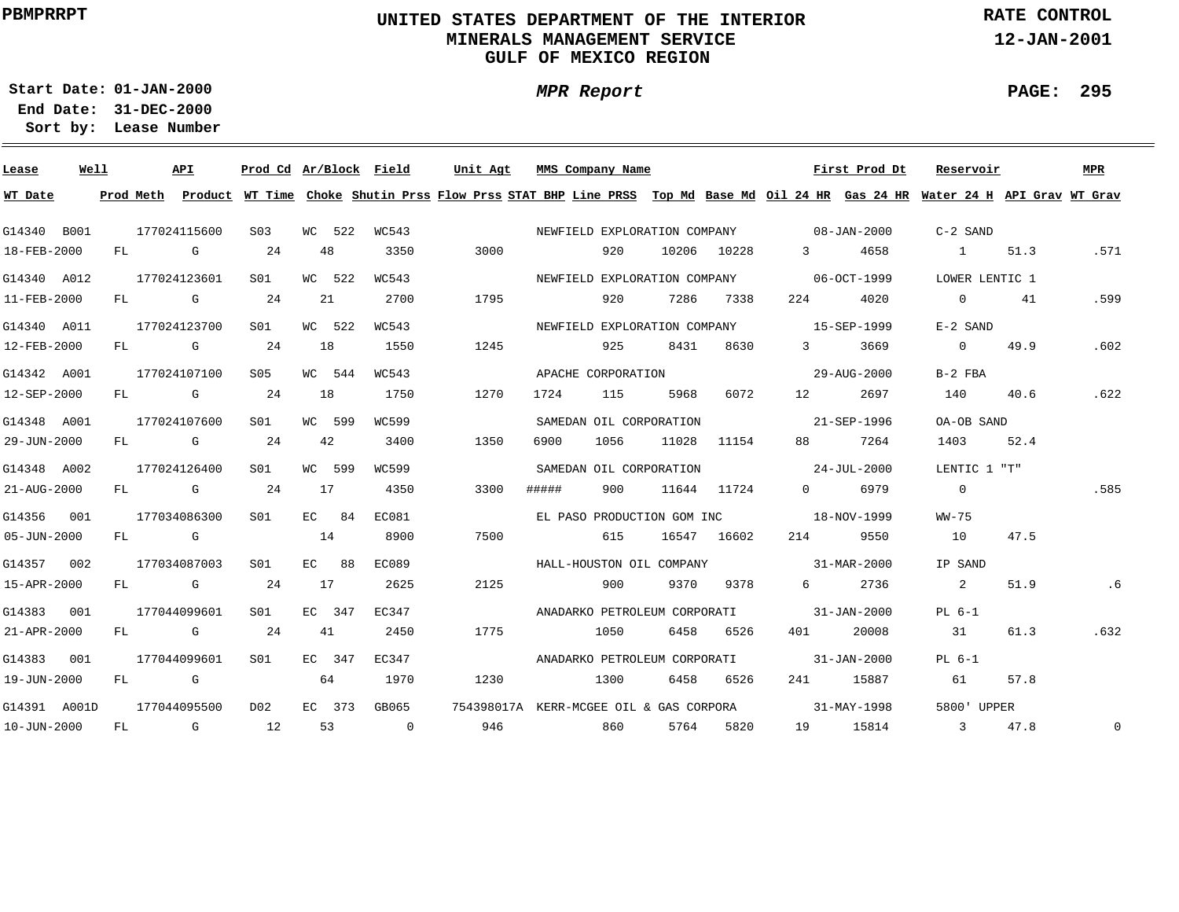# **UNITED STATES DEPARTMENT OF THE INTERIOR MINERALS MANAGEMENT SERVICEGULF OF MEXICO REGION**

**MPR Report**

**RATE CONTROL**

**12-JAN-2001**

**PAGE: 295**

÷

**01-JAN-2000Start Date:31-DEC-2000 End Date:** 

| Lease        | Well |    | API          | Prod Cd Ar/Block Field |    |         |                | Unit Agt |       | MMS Company Name             |       |                                         |                                                                                                                                                                                                                                 | First Prod Dt | Reservoir                                                                                                                               |      | <b>MPR</b>  |
|--------------|------|----|--------------|------------------------|----|---------|----------------|----------|-------|------------------------------|-------|-----------------------------------------|---------------------------------------------------------------------------------------------------------------------------------------------------------------------------------------------------------------------------------|---------------|-----------------------------------------------------------------------------------------------------------------------------------------|------|-------------|
| WT Date      |      |    |              |                        |    |         |                |          |       |                              |       |                                         |                                                                                                                                                                                                                                 |               | Prod Meth Product WT Time Choke Shutin Prss Flow Prss STAT BHP Line PRSS Top Md Base Md Oil 24 HR Gas 24 HR Water 24 H API Grav WT Grav |      |             |
| G14340 B001  |      |    | 177024115600 | S03                    |    | WC 522  | WC543          |          |       |                              |       |                                         | NEWFIELD EXPLORATION COMPANY 68-JAN-2000                                                                                                                                                                                        |               | C-2 SAND                                                                                                                                |      |             |
| 18-FEB-2000  |      |    | FL G         | 24                     | 48 |         | 3350           | 3000     |       | 920                          |       | 10206 10228                             | $3 \sim$                                                                                                                                                                                                                        | 4658          | $\sim$ 1                                                                                                                                | 51.3 | .571        |
| G14340 A012  |      |    | 177024123601 | S01                    |    | WC 522  | WC543          |          |       |                              |       |                                         | NEWFIELD EXPLORATION COMPANY 06-OCT-1999                                                                                                                                                                                        |               | LOWER LENTIC 1                                                                                                                          |      |             |
| 11-FEB-2000  |      |    | FL G         | 24                     |    | 21      | 2700           | 1795     |       | 920                          | 7286  | 7338                                    | 224                                                                                                                                                                                                                             | 4020          | $\overline{0}$                                                                                                                          | 41   | .599        |
| G14340 A011  |      |    | 177024123700 | S <sub>01</sub>        |    | WC 522  | WC543          |          |       | NEWFIELD EXPLORATION COMPANY |       |                                         | 15-SEP-1999                                                                                                                                                                                                                     |               | $E-2$ SAND                                                                                                                              |      |             |
| 12-FEB-2000  |      |    | $FL$ G $G$   | 24                     | 18 |         | 1550           | 1245     |       | 925                          | 8431  | 8630                                    | $3 \sim$                                                                                                                                                                                                                        | 3669          | $\overline{0}$                                                                                                                          | 49.9 | .602        |
| G14342 A001  |      |    | 177024107100 | S05                    |    | WC 544  | WC543          |          |       | APACHE CORPORATION           |       |                                         |                                                                                                                                                                                                                                 | 29-AUG-2000   | $B-2$ FBA                                                                                                                               |      |             |
| 12-SEP-2000  |      |    | $FL$ G $G$   | 24                     | 18 |         | 1750           | 1270     | 1724  | 115                          | 5968  | 6072                                    | 12 \,                                                                                                                                                                                                                           | 2697          | 140                                                                                                                                     | 40.6 | .622        |
| G14348 A001  |      |    | 177024107600 | SO1                    |    | WC 599  | WC599          |          |       | SAMEDAN OIL CORPORATION      |       |                                         |                                                                                                                                                                                                                                 | 21-SEP-1996   | OA-OB SAND                                                                                                                              |      |             |
| 29-JUN-2000  |      |    | FL G         | 24                     |    | 42      | 3400           | 1350     | 6900  | 1056                         | 11028 | 11154                                   | 88 — 18                                                                                                                                                                                                                         | 7264          | 1403                                                                                                                                    | 52.4 |             |
| G14348 A002  |      |    | 177024126400 | SO1                    |    | WC 599  | WC599          |          |       | SAMEDAN OIL CORPORATION      |       |                                         | $24 - JUL - 2000$                                                                                                                                                                                                               |               | LENTIC 1 "T"                                                                                                                            |      |             |
| 21-AUG-2000  |      |    | FL G         | 24                     | 17 |         | 4350           | 3300     | ##### | 900                          |       | 11644 11724                             | $\Omega$                                                                                                                                                                                                                        | 6979          | $\overline{0}$                                                                                                                          |      | .585        |
| G14356 001   |      |    | 177034086300 | S01                    |    | $EC$ 84 | EC081          |          |       |                              |       |                                         | EL PASO PRODUCTION GOM INC 18-NOV-1999                                                                                                                                                                                          |               | WW-75                                                                                                                                   |      |             |
| 05-JUN-2000  |      |    | FL G         |                        | 14 |         | 8900           | 7500     |       | 615                          |       | 16547 16602                             | 214                                                                                                                                                                                                                             | 9550          | 10                                                                                                                                      | 47.5 |             |
| G14357 002   |      |    | 177034087003 | SO1                    |    | EC 88   | EC089          |          |       | HALL-HOUSTON OIL COMPANY     |       |                                         | $31 - \text{MAR} - 2000$                                                                                                                                                                                                        |               | IP SAND                                                                                                                                 |      |             |
| 15-APR-2000  |      |    | FL G         | 24                     | 17 |         | 2625           | 2125     |       | 900                          |       | 9370 9378                               | $6 \quad \sigma$                                                                                                                                                                                                                | 2736          | 2                                                                                                                                       | 51.9 | .6          |
| G14383 001   |      |    | 177044099601 | SO1                    |    | EC 347  | EC347          |          |       |                              |       | ANADARKO PETROLEUM CORPORATI            |                                                                                                                                                                                                                                 | 31-JAN-2000   | PL 6-1                                                                                                                                  |      |             |
| 21-APR-2000  |      |    | FL G         | 24                     | 41 |         | 2450           | 1775     |       | 1050                         |       | 6458 6526                               | 401 — 101 — 102 — 102 — 102 — 102 — 102 — 102 — 102 — 102 — 102 — 102 — 102 — 102 — 102 — 102 — 102 — 102 — 102 — 102 — 102 — 102 — 102 — 102 — 102 — 102 — 102 — 102 — 102 — 102 — 102 — 102 — 102 — 102 — 102 — 102 — 102 — 1 | 20008         | 31                                                                                                                                      | 61.3 | .632        |
| G14383 001   |      |    | 177044099601 | S <sub>01</sub>        |    | EC 347  | EC347          |          |       |                              |       |                                         | ANADARKO PETROLEUM CORPORATI 31-JAN-2000                                                                                                                                                                                        |               | PL 6-1                                                                                                                                  |      |             |
| 19-JUN-2000  |      |    | FL G         |                        |    | 64      | 1970           | 1230     |       | 1300                         | 6458  | 6526                                    |                                                                                                                                                                                                                                 | 241 15887     | 61                                                                                                                                      | 57.8 |             |
| G14391 A001D |      |    | 177044095500 | D02                    |    | EC 373  | GB065          |          |       |                              |       | 754398017A KERR-MCGEE OIL & GAS CORPORA | $31 - MAX - 1998$                                                                                                                                                                                                               |               | 5800' UPPER                                                                                                                             |      |             |
| 10-JUN-2000  |      | FL | $\mathbb G$  | 12                     |    | 53      | $\overline{0}$ | 946      |       | 860                          | 5764  | 5820                                    | 19                                                                                                                                                                                                                              | 15814         | 3 47.8                                                                                                                                  |      | $\mathbf 0$ |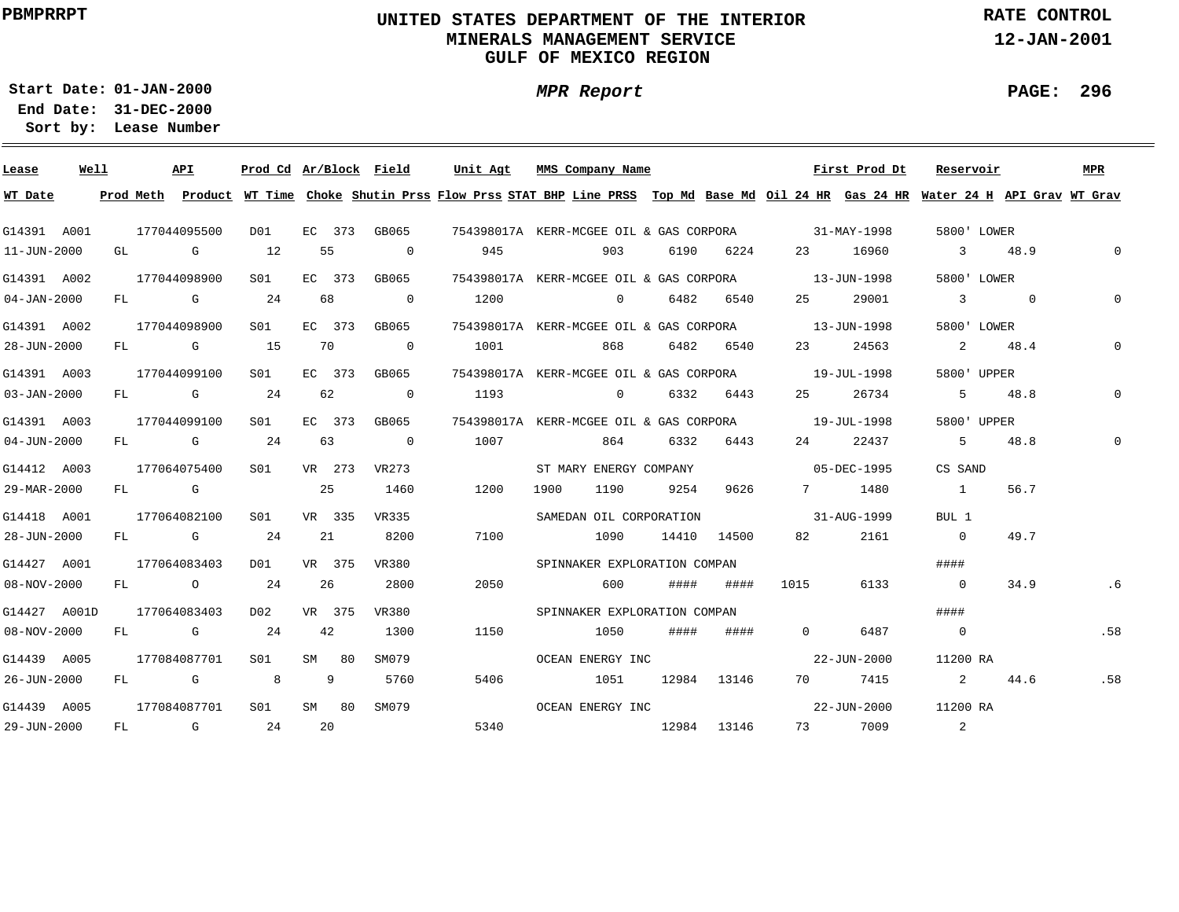# **UNITED STATES DEPARTMENT OF THE INTERIOR MINERALS MANAGEMENT SERVICEGULF OF MEXICO REGION**

**MPR Report**

**RATE CONTROL**

**12-JAN-2001**

**PAGE: 296**

÷

**01-JAN-2000Start Date:31-DEC-2000 End Date:** 

| Lease             | Well |    | API                                                                                                                                                                                                                            | Prod Cd Ar/Block Field |    |        |                          | Unit Agt                                                                                                                                |      | MMS Company Name             |      |             |                          | First Prod Dt | Reservoir      |                                   |      | MPR          |
|-------------------|------|----|--------------------------------------------------------------------------------------------------------------------------------------------------------------------------------------------------------------------------------|------------------------|----|--------|--------------------------|-----------------------------------------------------------------------------------------------------------------------------------------|------|------------------------------|------|-------------|--------------------------|---------------|----------------|-----------------------------------|------|--------------|
| WT Date           |      |    |                                                                                                                                                                                                                                |                        |    |        |                          | Prod Meth Product WT Time Choke Shutin Prss Flow Prss STAT BHP Line PRSS Top Md Base Md Oil 24 HR Gas 24 HR Water 24 H API Grav WT Grav |      |                              |      |             |                          |               |                |                                   |      |              |
| G14391 A001       |      |    | 177044095500                                                                                                                                                                                                                   | DO1                    |    |        |                          | EC 373 GB065 754398017A KERR-MCGEE OIL & GAS CORPORA 31-MAY-1998                                                                        |      |                              |      |             |                          |               | 5800' LOWER    |                                   |      |              |
| 11-JUN-2000       |      |    | GL G                                                                                                                                                                                                                           | 12                     |    | 55     | $\overline{\phantom{0}}$ | 945                                                                                                                                     |      | 903                          |      | 6190 6224   |                          | 23 16960      | 3 48.9         |                                   |      | $\mathbf{0}$ |
| G14391 A002       |      |    | 177044098900                                                                                                                                                                                                                   | S01                    |    | EC 373 | GB065                    | 754398017A KERR-MCGEE OIL & GAS CORPORA 13-JUN-1998                                                                                     |      |                              |      |             |                          |               |                | 5800' LOWER                       |      |              |
| $04 - JAN - 2000$ |      |    | FL G                                                                                                                                                                                                                           | 24                     |    | 68     | $\overline{0}$           | 1200                                                                                                                                    |      | $\sim$ 0                     |      | 6482 6540   | 25 —                     | 29001         | $\sim$ 3 0     |                                   |      | $\Omega$     |
| G14391 A002       |      |    | 177044098900                                                                                                                                                                                                                   | S01                    |    | EC 373 | GB065                    | 754398017A KERR-MCGEE OIL & GAS CORPORA 13-JUN-1998                                                                                     |      |                              |      |             |                          |               |                | 5800' LOWER                       |      |              |
| 28-JUN-2000       |      |    | FL G 15                                                                                                                                                                                                                        |                        |    | 70     | $\overline{0}$           | 1001                                                                                                                                    |      | 868                          | 6482 | 6540        | 23                       | 24563         | 2              |                                   | 48.4 | $\Omega$     |
| G14391 A003       |      |    | 177044099100                                                                                                                                                                                                                   | S01                    |    | EC 373 | GB065                    | 754398017A KERR-MCGEE OIL & GAS CORPORA                                                                                                 |      |                              |      |             | $19 - JUL - 1998$        |               |                | 5800' UPPER                       |      |              |
| $03 - JAN - 2000$ |      | FL | and the control of the control of the control of the control of the control of the control of the control of the control of the control of the control of the control of the control of the control of the control of the cont | 24                     |    | 62     | $\overline{0}$           | 1193                                                                                                                                    |      | $\sim$ 0                     |      | 6332 6443   | 25                       | 26734         |                | 5 48.8                            |      |              |
| G14391 A003       |      |    | 177044099100                                                                                                                                                                                                                   | SO1                    |    | EC 373 | GB065                    | 754398017A KERR-MCGEE OIL & GAS CORPORA                                                                                                 |      |                              |      |             |                          | 19-JUL-1998   | 5800' UPPER    |                                   |      |              |
| $04 - JUN - 2000$ |      |    | $FL$ G                                                                                                                                                                                                                         | 24                     |    | 63     | $\overline{\phantom{0}}$ | 1007                                                                                                                                    |      | 864                          | 6332 | 6443        | 24                       | 22437         | .5             |                                   | 48.8 |              |
| G14412 A003       |      |    | 177064075400                                                                                                                                                                                                                   | SO1 SO                 |    | VR 273 | VR273                    |                                                                                                                                         |      | ST MARY ENERGY COMPANY       |      |             | $05 - DEC - 1995$        |               | CS SAND        |                                   |      |              |
| 29-MAR-2000       |      |    | FL G                                                                                                                                                                                                                           |                        |    | 25     | 1460                     | 1200                                                                                                                                    | 1900 | 1190                         | 9254 | 9626        |                          | 7 1480        | $\sim$ 1       |                                   | 56.7 |              |
| G14418 A001       |      |    | 177064082100                                                                                                                                                                                                                   | S01                    |    | VR 335 | VR335                    |                                                                                                                                         |      | SAMEDAN OIL CORPORATION      |      |             | $31 - \text{AUG} - 1999$ |               | BUL 1          |                                   |      |              |
| 28-JUN-2000       |      |    | $FL$ G 24                                                                                                                                                                                                                      |                        |    | 21     | 8200                     | 7100                                                                                                                                    |      | 1090                         |      | 14410 14500 | 82 —                     | 2161          | $\overline{0}$ |                                   | 49.7 |              |
| G14427 A001       |      |    | 177064083403                                                                                                                                                                                                                   | DO1                    |    | VR 375 | VR380                    |                                                                                                                                         |      | SPINNAKER EXPLORATION COMPAN |      |             |                          |               | ####           |                                   |      |              |
| 08-NOV-2000       |      |    | FL O                                                                                                                                                                                                                           | 24                     | 26 |        | 2800                     | 2050                                                                                                                                    |      | 600                          | #### | ####        | 1015                     | 6133          | $\overline{0}$ |                                   | 34.9 | .6           |
| G14427 A001D      |      |    | 177064083403                                                                                                                                                                                                                   | DO 2                   |    | VR 375 | VR380                    |                                                                                                                                         |      | SPINNAKER EXPLORATION COMPAN |      |             |                          |               | ####           |                                   |      |              |
| 08-NOV-2000       |      |    | FL G                                                                                                                                                                                                                           | 24                     |    | 42     | 1300                     | 1150                                                                                                                                    |      | 1050                         | #### | ####        | $\Omega$                 | 6487          | $\overline{0}$ |                                   |      | .58          |
| G14439 A005       |      |    | 177084087701                                                                                                                                                                                                                   | SO1                    |    | SM 80  | SM079                    |                                                                                                                                         |      | OCEAN ENERGY INC             |      |             |                          | 22-JUN-2000   | 11200 RA       |                                   |      |              |
| 26-JUN-2000       |      |    | FL G                                                                                                                                                                                                                           | 8 <sup>8</sup>         |    | 9      | 5760                     | 5406                                                                                                                                    |      | 1051                         |      | 12984 13146 | 70 — 20                  | 7415          |                | $\overline{2}$ and $\overline{2}$ | 44.6 | .58          |
| G14439 A005       |      |    | 177084087701                                                                                                                                                                                                                   | S01                    |    | SM 80  | SM079                    |                                                                                                                                         |      | OCEAN ENERGY INC             |      |             |                          | 22-JUN-2000   | 11200 RA       |                                   |      |              |
| 29-JUN-2000       |      |    | FL G                                                                                                                                                                                                                           | 24                     | 20 |        |                          | 5340                                                                                                                                    |      | 12984 13146                  |      |             |                          | 73 7009       | 2              |                                   |      |              |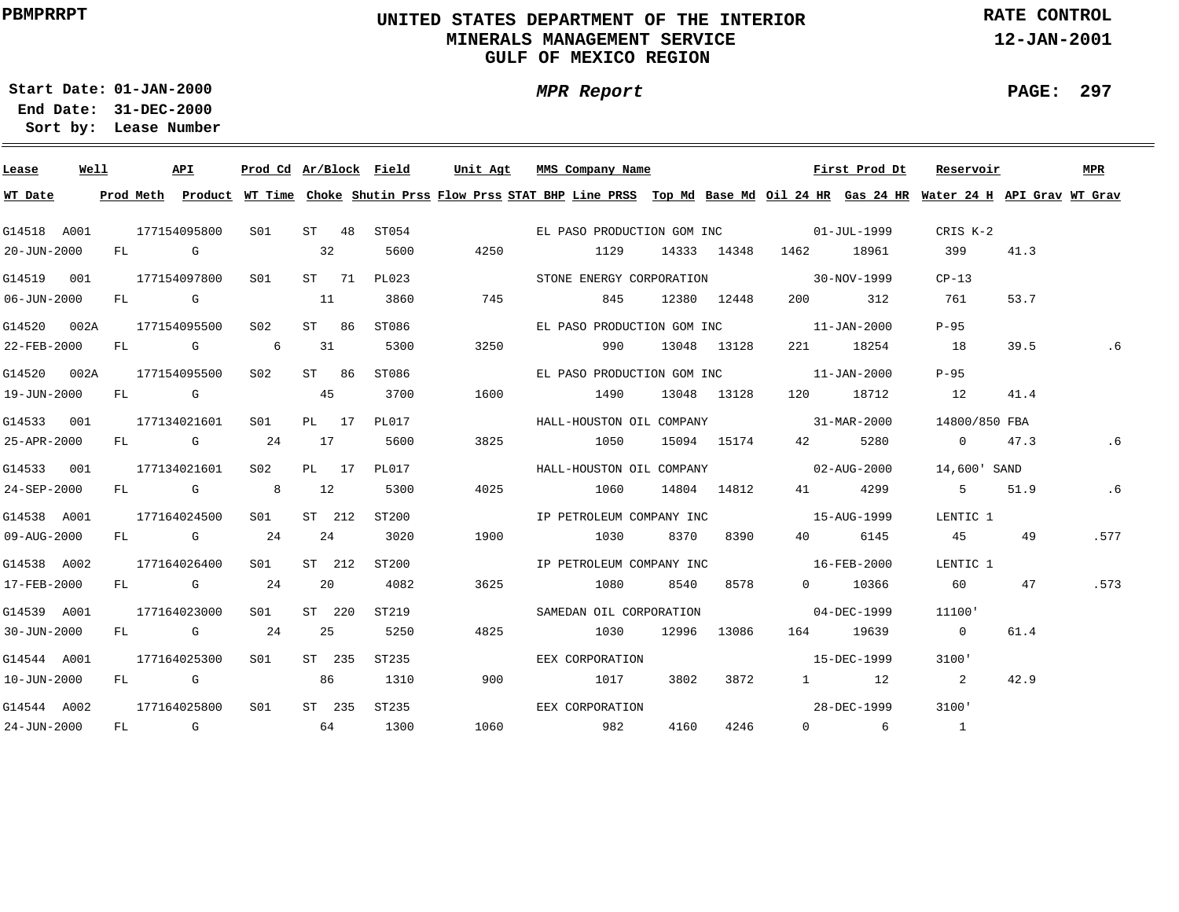# **UNITED STATES DEPARTMENT OF THE INTERIOR MINERALS MANAGEMENT SERVICEGULF OF MEXICO REGION**

**MPR Report**

**RATE CONTROL**

**12-JAN-2001**

**PAGE: 297**

-

**01-JAN-2000Start Date:31-DEC-2000 End Date:** 

| Lease       | Well |  | API          |                 |        |        | Prod Cd Ar/Block Field |      | Unit Agt MMS Company Name                                                                                                               |      |             |                                                                                                                                                                                                                                 | First Prod Dt     | Reservoir      |      | MPR  |
|-------------|------|--|--------------|-----------------|--------|--------|------------------------|------|-----------------------------------------------------------------------------------------------------------------------------------------|------|-------------|---------------------------------------------------------------------------------------------------------------------------------------------------------------------------------------------------------------------------------|-------------------|----------------|------|------|
| WT Date     |      |  |              |                 |        |        |                        |      | Prod Meth Product WT Time Choke Shutin Prss Flow Prss STAT BHP Line PRSS Top Md Base Md Oil 24 HR Gas 24 HR Water 24 H API Grav WT Grav |      |             |                                                                                                                                                                                                                                 |                   |                |      |      |
| G14518 A001 |      |  | 177154095800 | S01             |        | ST 48  | ST054                  |      | EL PASO PRODUCTION GOM INC 01-JUL-1999                                                                                                  |      |             |                                                                                                                                                                                                                                 |                   | CRIS K-2       |      |      |
| 20-JUN-2000 |      |  | $FL$ G $G$   |                 | 32     |        | 5600                   | 4250 | 1129                                                                                                                                    |      | 14333 14348 | 1462                                                                                                                                                                                                                            | 18961             | 399            | 41.3 |      |
| G14519 001  |      |  | 177154097800 | S01             |        | ST 71  | PL023                  |      | STONE ENERGY CORPORATION 30-NOV-1999                                                                                                    |      |             |                                                                                                                                                                                                                                 |                   | $CP-13$        |      |      |
| 06-JUN-2000 |      |  | $FL$ G $G$   | $\sim$ 11       |        |        | 3860                   | 745  |                                                                                                                                         | 845  | 12380 12448 | 200 — 200 — 200 — 200 — 200 — 200 — 200 — 200 — 200 — 200 — 200 — 200 — 200 — 200 — 200 — 200 — 200 — 200 — 200 — 200 — 200 — 200 — 200 — 200 — 200 — 200 — 200 — 200 — 200 — 200 — 200 — 200 — 200 — 200 — 200 — 200 — 200 — 2 | 312               | 761            | 53.7 |      |
| G14520 002A |      |  | 177154095500 | S02             |        | ST 86  | ST086                  |      | EL PASO PRODUCTION GOM INC                                                                                                              |      |             |                                                                                                                                                                                                                                 | $11 - JAN - 2000$ | $P-95$         |      |      |
| 22-FEB-2000 |      |  | FL G 6       |                 | 31     |        | 5300                   | 3250 | 990                                                                                                                                     |      | 13048 13128 |                                                                                                                                                                                                                                 | 221 18254         | 18             | 39.5 | . 6  |
| G14520 002A |      |  | 177154095500 | S02 <b>S</b>    | ST 86  |        | ST086                  |      | EL PASO PRODUCTION GOM INC 11-JAN-2000                                                                                                  |      |             |                                                                                                                                                                                                                                 |                   | $P-95$         |      |      |
| 19-JUN-2000 |      |  | FL G         |                 | 45     |        | 3700                   | 1600 | 1490                                                                                                                                    |      | 13048 13128 | 120 18712                                                                                                                                                                                                                       |                   | 12             | 41.4 |      |
| G14533 001  |      |  | 177134021601 | S01             | PL 17  |        | PL017                  |      | HALL-HOUSTON OIL COMPANY 31-MAR-2000                                                                                                    |      |             |                                                                                                                                                                                                                                 |                   | 14800/850 FBA  |      |      |
| 25-APR-2000 |      |  | FL G 24      |                 | 17     |        | 5600                   | 3825 | 1050                                                                                                                                    |      | 15094 15174 | 42 and $\overline{a}$                                                                                                                                                                                                           | 5280              | 0 47.3         |      | . 6  |
| G14533 001  |      |  | 177134021601 | S02             | PL 17  |        | PL017                  |      | HALL-HOUSTON OIL COMPANY 02-AUG-2000                                                                                                    |      |             |                                                                                                                                                                                                                                 |                   | 14,600' SAND   |      |      |
| 24-SEP-2000 |      |  | FL G 8       |                 | 12     |        | 5300                   | 4025 | 1060 14804 14812                                                                                                                        |      |             |                                                                                                                                                                                                                                 | 41 4299           | 5 51.9         |      | .6   |
| G14538 A001 |      |  | 177164024500 | S01             | ST 212 |        | ST200                  |      | IP PETROLEUM COMPANY INC 15-AUG-1999                                                                                                    |      |             |                                                                                                                                                                                                                                 |                   | LENTIC 1       |      |      |
| 09-AUG-2000 |      |  | $FL$ G 24    |                 | 24     |        | 3020                   | 1900 | 1030                                                                                                                                    |      | 8370 8390   | 40 — 10                                                                                                                                                                                                                         | 6145              | 45             | 49   | .577 |
| G14538 A002 |      |  | 177164026400 | SO1 SO          |        | ST 212 | ST200                  |      | IP PETROLEUM COMPANY INC 16-FEB-2000                                                                                                    |      |             |                                                                                                                                                                                                                                 |                   | LENTIC 1       |      |      |
| 17-FEB-2000 |      |  | $FL$ G 24    |                 | 20     |        | 4082                   | 3625 | 1080                                                                                                                                    |      | 8540 8578   |                                                                                                                                                                                                                                 | 0 10366           | 60             | 47   | .573 |
| G14539 A001 |      |  | 177164023000 | S01 -           |        | ST 220 | ST219                  |      | SAMEDAN OIL CORPORATION                                                                                                                 |      |             | $04 - DEC - 1999$                                                                                                                                                                                                               |                   | 11100'         |      |      |
| 30-JUN-2000 |      |  | FL G 24      |                 | 25     |        | 5250                   | 4825 | 1030                                                                                                                                    |      | 12996 13086 |                                                                                                                                                                                                                                 | 164 19639         | $\overline{0}$ | 61.4 |      |
| G14544 A001 |      |  | 177164025300 | S <sub>01</sub> |        | ST 235 | ST235                  |      | EEX CORPORATION                                                                                                                         |      |             |                                                                                                                                                                                                                                 | 15-DEC-1999       | 3100'          |      |      |
| 10-JUN-2000 |      |  | FL G         |                 | 86     |        | 1310                   | 900  | 1017                                                                                                                                    |      | 3802 3872   |                                                                                                                                                                                                                                 | 1 12              | $\sim$ 2       | 42.9 |      |
| G14544 A002 |      |  | 177164025800 | S01             |        | ST 235 | ST235                  |      | EEX CORPORATION                                                                                                                         |      |             |                                                                                                                                                                                                                                 | 28-DEC-1999       | 3100'          |      |      |
| 24-JUN-2000 |      |  | FL G         | 64              |        |        | 1300                   | 1060 | 982                                                                                                                                     | 4160 | 4246        |                                                                                                                                                                                                                                 | $0 \qquad 6$      | $\sim$ 1       |      |      |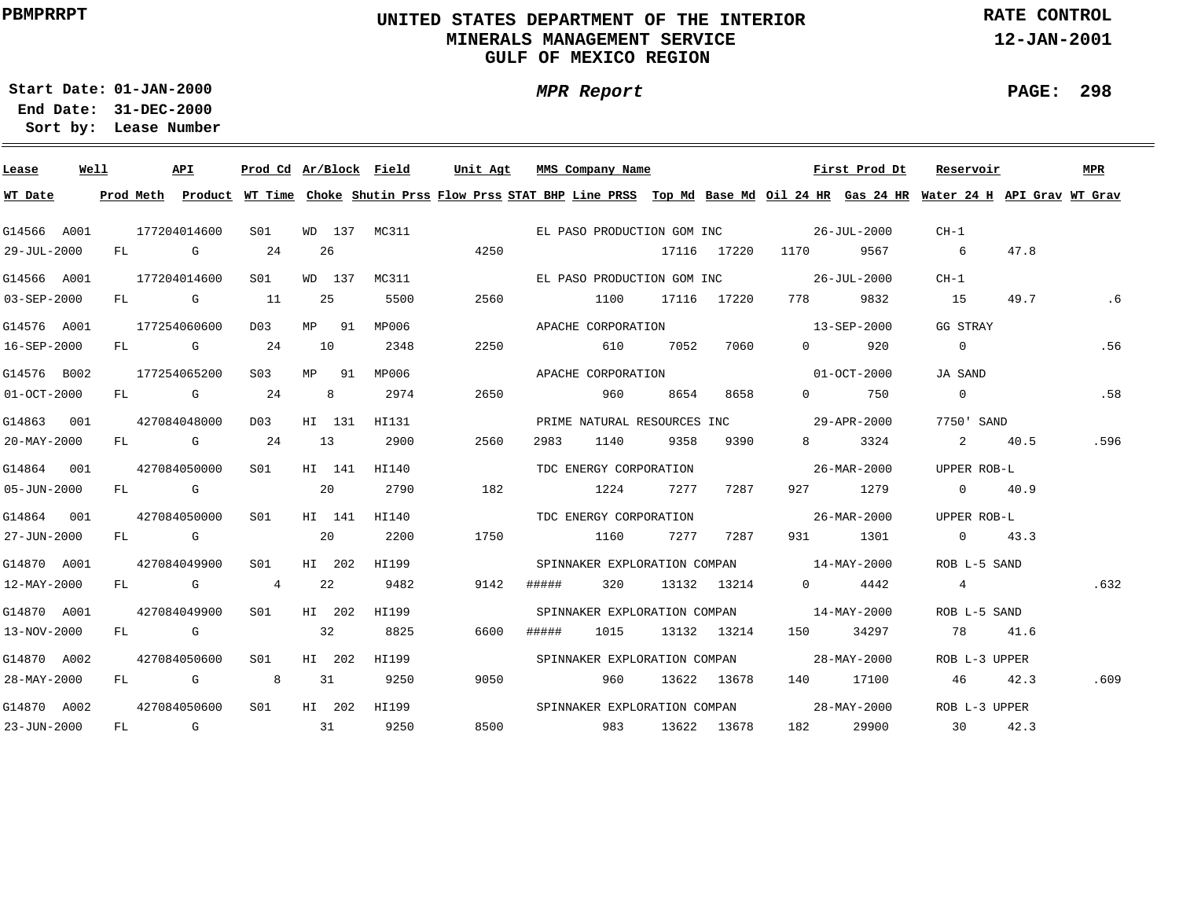# **UNITED STATES DEPARTMENT OF THE INTERIOR MINERALS MANAGEMENT SERVICEGULF OF MEXICO REGION**

**MPR Report**

**RATE CONTROL**

**12-JAN-2001**

**PAGE: 298**

÷

**01-JAN-2000Start Date:31-DEC-2000 End Date:** 

| Lease       | Well | API          | Prod Cd Ar/Block Field |    |        |              | Unit Agt                                                                                                                                | MMS Company Name             |      |      |             |                                          | First Prod Dt | Reservoir       |      | <b>MPR</b> |
|-------------|------|--------------|------------------------|----|--------|--------------|-----------------------------------------------------------------------------------------------------------------------------------------|------------------------------|------|------|-------------|------------------------------------------|---------------|-----------------|------|------------|
| WT Date     |      |              |                        |    |        |              | Prod Meth Product WT Time Choke Shutin Prss Flow Prss STAT BHP Line PRSS Top Md Base Md Oil 24 HR Gas 24 HR Water 24 H API Grav WT Grav |                              |      |      |             |                                          |               |                 |      |            |
| G14566 A001 |      | 177204014600 | SO1                    |    |        |              | WD 137 MC311                                                                                                                            |                              |      |      |             | EL PASO PRODUCTION GOM INC 26-JUL-2000   |               | $CH-1$          |      |            |
| 29-JUL-2000 |      | $FL$ G       | 24                     |    | 26     |              | 4250                                                                                                                                    |                              |      |      |             | 17116 17220 1170                         | 9567          | 6 <sup>6</sup>  | 47.8 |            |
| G14566 A001 |      | 177204014600 | S01                    |    | WD 137 | MC311        |                                                                                                                                         |                              |      |      |             | EL PASO PRODUCTION GOM INC 36-JUL-2000   |               | $CH-1$          |      |            |
| 03-SEP-2000 |      | FL G 11      |                        |    | 25     | 5500         | 2560                                                                                                                                    |                              | 1100 |      | 17116 17220 | 778 — 178                                | 9832          | 15              | 49.7 | $.6 \,$    |
| G14576 A001 |      | 177254060600 | D <sub>0</sub> 3       |    | MP 91  | MP006        |                                                                                                                                         | APACHE CORPORATION           |      |      |             |                                          | 13-SEP-2000   | GG STRAY        |      |            |
| 16-SEP-2000 |      | $FL$ G 24    |                        | 10 |        | 2348         | 2250                                                                                                                                    |                              | 610  | 7052 | 7060        | $\overline{0}$                           | 920           | $\overline{0}$  |      | .56        |
| G14576 B002 |      | 177254065200 | S03                    |    | MP 91  | MP006        |                                                                                                                                         | APACHE CORPORATION           |      |      |             |                                          | 01-OCT-2000   | JA SAND         |      |            |
| 01-OCT-2000 |      | $FL$ G 24    |                        |    | 8      | 2974         | 2650                                                                                                                                    |                              | 960  | 8654 | 8658        | $\Omega$                                 | 750           | $\overline{0}$  |      | .58        |
| G14863 001  |      | 427084048000 | D03                    |    | HI 131 | HI131        |                                                                                                                                         |                              |      |      |             |                                          |               | 7750' SAND      |      |            |
| 20-MAY-2000 |      | $FL$ G 24    |                        | 13 |        | 2900         | 2560                                                                                                                                    | 2983                         | 1140 | 9358 | 9390        | $8 \left( \frac{1}{2} \right)$           | 3324          | 2 40.5          |      | .596       |
| G14864 001  |      | 427084050000 | SO1 SO                 |    | HI 141 | HI140        |                                                                                                                                         | TDC ENERGY CORPORATION       |      |      |             | $26 - \text{MAR} - 2000$                 |               | UPPER ROB-L     |      |            |
| 05-JUN-2000 |      | FL G         |                        | 20 |        | 2790         | 182                                                                                                                                     |                              | 1224 | 7277 | 7287        |                                          | 927 1279      | $0 \qquad 40.9$ |      |            |
| G14864 001  |      | 427084050000 | SO1                    |    | HI 141 | HI140        |                                                                                                                                         | TDC ENERGY CORPORATION       |      |      |             | $26 - \text{MAR} - 2000$                 |               | UPPER ROB-L     |      |            |
| 27-JUN-2000 |      | FL G         |                        | 20 |        | 2200         | 1750                                                                                                                                    |                              | 1160 |      | 7277 7287   |                                          | 931 1301      | 0 $43.3$        |      |            |
| G14870 A001 |      | 427084049900 | S01                    |    | HI 202 | HI199        |                                                                                                                                         |                              |      |      |             | SPINNAKER EXPLORATION COMPAN 14-MAY-2000 |               | ROB L-5 SAND    |      |            |
| 12-MAY-2000 |      | FL G         | $\overline{4}$         |    | 22     | 9482         | 9142                                                                                                                                    | #####                        | 320  |      | 13132 13214 | $\overline{0}$ and $\overline{0}$        | 4442          | $\overline{4}$  |      | .632       |
| G14870 A001 |      | 427084049900 | S <sub>01</sub>        |    | HI 202 | HI199        |                                                                                                                                         |                              |      |      |             | SPINNAKER EXPLORATION COMPAN 14-MAY-2000 |               | ROB L-5 SAND    |      |            |
| 13-NOV-2000 |      | FL G         |                        | 32 |        | 8825         | 6600                                                                                                                                    | #####                        | 1015 |      | 13132 13214 |                                          | 34297         | 78 41.6         |      |            |
| G14870 A002 |      | 427084050600 | S01                    |    | HI 202 | HI199        |                                                                                                                                         | SPINNAKER EXPLORATION COMPAN |      |      |             |                                          | 28-MAY-2000   | ROB L-3 UPPER   |      |            |
| 28-MAY-2000 |      | FL G         | 8 <sup>8</sup>         | 31 |        | 9250         | 9050                                                                                                                                    |                              | 960  |      | 13622 13678 |                                          | 140 17100     | 46              | 42.3 | .609       |
| G14870 A002 |      | 427084050600 | S01                    |    |        | HI 202 HI199 |                                                                                                                                         | SPINNAKER EXPLORATION COMPAN |      |      |             | $28 - MAX - 2000$                        |               | ROB L-3 UPPER   |      |            |
| 23-JUN-2000 |      | FL G         | $\sim$ 31              |    |        | 9250         | 8500                                                                                                                                    | 983                          |      |      | 13622 13678 |                                          | 182 29900     | 30              | 42.3 |            |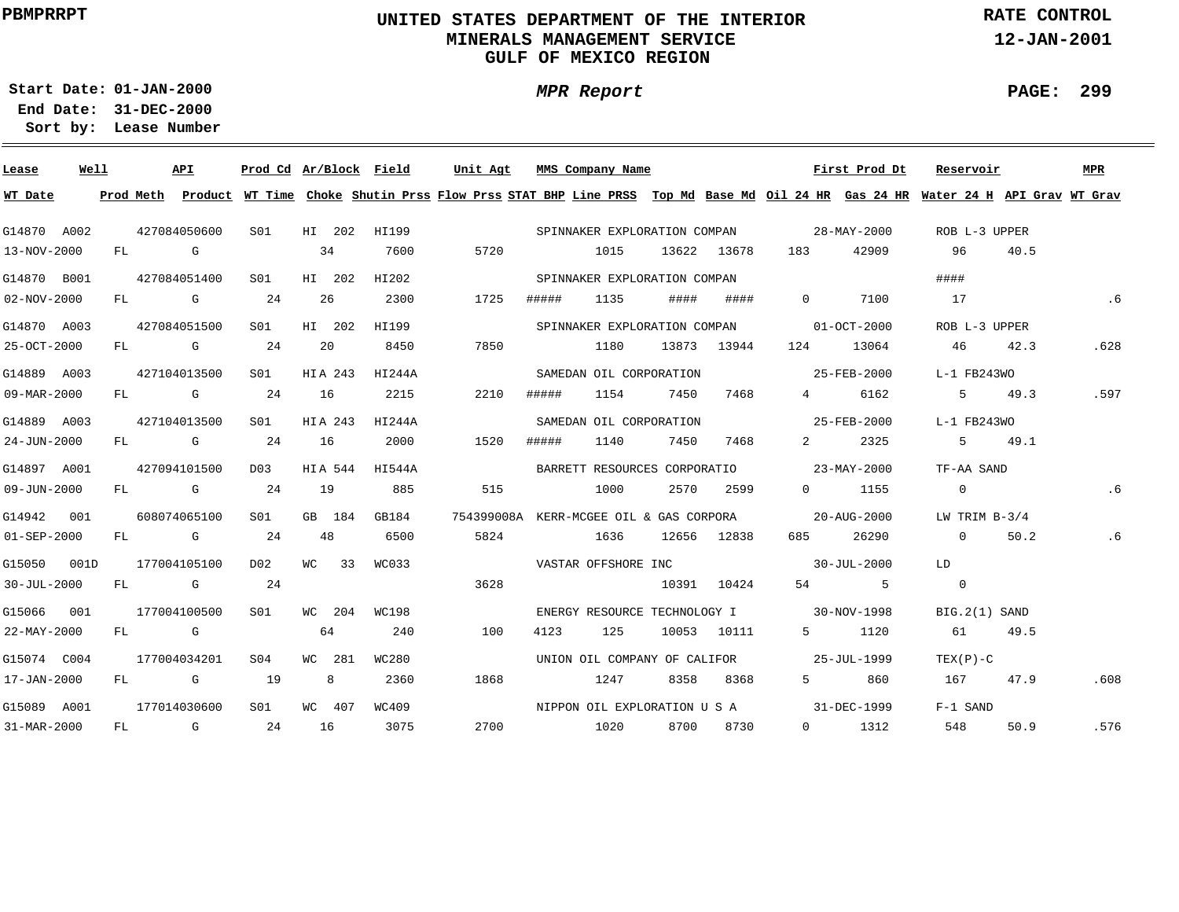# **UNITED STATES DEPARTMENT OF THE INTERIOR MINERALS MANAGEMENT SERVICEGULF OF MEXICO REGION**

**MPR Report**

**RATE CONTROL**

**12-JAN-2001**

**PAGE: 299**

÷

**01-JAN-2000Start Date:31-DEC-2000 End Date:** 

| Lease             | Well |    |        | API                                                                                                                                                                                                                            | Prod Cd Ar/Block Field |              |        | Unit Agt |       | MMS Company Name                        |      |             |                                          | First Prod Dt     | Reservoir                                                                                                                               |        | MPR  |
|-------------------|------|----|--------|--------------------------------------------------------------------------------------------------------------------------------------------------------------------------------------------------------------------------------|------------------------|--------------|--------|----------|-------|-----------------------------------------|------|-------------|------------------------------------------|-------------------|-----------------------------------------------------------------------------------------------------------------------------------------|--------|------|
| WT Date           |      |    |        |                                                                                                                                                                                                                                |                        |              |        |          |       |                                         |      |             |                                          |                   | Prod Meth Product WT Time Choke Shutin Prss Flow Prss STAT BHP Line PRSS Top Md Base Md Oil 24 HR Gas 24 HR Water 24 H API Grav WT Grav |        |      |
| G14870 A002       |      |    |        | 427084050600                                                                                                                                                                                                                   | S01                    | HI 202       | HI199  |          |       | SPINNAKER EXPLORATION COMPAN            |      |             |                                          | 28-MAY-2000       | ROB L-3 UPPER                                                                                                                           |        |      |
| 13-NOV-2000       |      |    | FL G   |                                                                                                                                                                                                                                |                        | 34           | 7600   | 5720     |       | 1015                                    |      | 13622 13678 | 183                                      | 42909             | 96                                                                                                                                      | 40.5   |      |
| G14870 B001       |      |    |        | 427084051400                                                                                                                                                                                                                   | S01                    | HI 202       | HI202  |          |       | SPINNAKER EXPLORATION COMPAN            |      |             |                                          |                   | ####                                                                                                                                    |        |      |
| $02 - NOV - 2000$ |      |    | $FL$ G |                                                                                                                                                                                                                                | 24                     | 26           | 2300   | 1725     | ##### | 1135                                    | #### | ####        | $\mathbf{0}$                             | 7100              | 17                                                                                                                                      |        | . 6  |
| G14870 A003       |      |    |        | 427084051500                                                                                                                                                                                                                   | S01                    | HI 202       | HI199  |          |       | SPINNAKER EXPLORATION COMPAN            |      |             |                                          | $01 - OCT - 2000$ | ROB L-3 UPPER                                                                                                                           |        |      |
| 25-OCT-2000       |      | FL |        | $\mathbf G$                                                                                                                                                                                                                    | 24                     | $20^{\circ}$ | 8450   | 7850     |       | 1180                                    |      | 13873 13944 | 124                                      | 13064             | 46                                                                                                                                      | 42.3   | .628 |
| G14889 A003       |      |    |        | 427104013500                                                                                                                                                                                                                   | SO1                    | HIA 243      | HI244A |          |       | SAMEDAN OIL CORPORATION                 |      |             |                                          | 25-FEB-2000       | L-1 FB243WO                                                                                                                             |        |      |
| 09-MAR-2000       |      | FL |        | $\mathbf G$                                                                                                                                                                                                                    | 24                     | 16           | 2215   | 2210     | ##### | 1154                                    | 7450 | 7468        | $\overline{4}$                           | 6162              |                                                                                                                                         | 5 49.3 | .597 |
| G14889 A003       |      |    |        | 427104013500                                                                                                                                                                                                                   | S01                    | HIA 243      | HI244A |          |       | SAMEDAN OIL CORPORATION                 |      |             |                                          | 25-FEB-2000       | L-1 FB243WO                                                                                                                             |        |      |
| 24-JUN-2000       |      | FL |        | and the control of the control of the control of the control of the control of the control of the control of the control of the control of the control of the control of the control of the control of the control of the cont | 24                     | 16           | 2000   | 1520     | ##### | 1140                                    | 7450 | 7468        | $2^{\circ}$                              | 2325              |                                                                                                                                         | 5 49.1 |      |
| G14897 A001       |      |    |        | 427094101500                                                                                                                                                                                                                   | D03                    | HIA 544      | HI544A |          |       | BARRETT RESOURCES CORPORATIO            |      |             | 23-MAY-2000                              |                   | TF-AA SAND                                                                                                                              |        |      |
| $09 - JUN - 2000$ |      | FL |        | <b>G</b>                                                                                                                                                                                                                       | 24                     | 19           | 885    | 515      |       | 1000                                    | 2570 | 2599        | $\Omega$                                 | 1155              | $\overline{0}$                                                                                                                          |        | .6   |
| G14942 001        |      |    |        | 608074065100                                                                                                                                                                                                                   | S01                    | GB 184       | GB184  |          |       | 754399008A KERR-MCGEE OIL & GAS CORPORA |      |             | $20 - AUG - 2000$                        |                   | LW TRIM B-3/4                                                                                                                           |        |      |
| $01 - SEP - 2000$ |      |    |        | FL G                                                                                                                                                                                                                           | 24                     | 48           | 6500   | 5824     |       | 1636                                    |      | 12656 12838 | 685                                      | 26290             | $\overline{0}$                                                                                                                          | 50.2   | .6   |
| G15050 001D       |      |    |        | 177004105100                                                                                                                                                                                                                   | D02                    | $WC$ 33      | WC033  |          |       | VASTAR OFFSHORE INC                     |      |             |                                          | $30 - JUL - 2000$ | LD                                                                                                                                      |        |      |
| $30 - JUL - 2000$ |      |    | FL G   |                                                                                                                                                                                                                                | 24                     |              |        | 3628     |       |                                         |      | 10391 10424 |                                          | 54 5              | $\overline{0}$                                                                                                                          |        |      |
| G15066 001        |      |    |        | 177004100500                                                                                                                                                                                                                   | S <sub>01</sub>        | WC 204       | WC198  |          |       |                                         |      |             | ENERGY RESOURCE TECHNOLOGY I 30-NOV-1998 |                   | BIG.2(1) SAND                                                                                                                           |        |      |
| 22-MAY-2000       |      |    | FL G   |                                                                                                                                                                                                                                |                        | 64           | 240    | 100      | 4123  | 125                                     |      | 10053 10111 | $5^{\circ}$                              | 1120              | 61                                                                                                                                      | 49.5   |      |
| G15074 C004       |      |    |        | 177004034201                                                                                                                                                                                                                   | SO4                    | WC 281       | WC280  |          |       |                                         |      |             | UNION OIL COMPANY OF CALIFOR 25-JUL-1999 |                   | TEX(P)-C                                                                                                                                |        |      |
| 17-JAN-2000       |      | FL |        | <b>G</b> G                                                                                                                                                                                                                     | 19                     | 8            | 2360   | 1868     |       | 1247                                    | 8358 | 8368        | $5^{\circ}$                              | 860               | 167                                                                                                                                     | 47.9   | .608 |
| G15089 A001       |      |    |        | 177014030600                                                                                                                                                                                                                   | S <sub>01</sub>        | WC 407       | WC409  |          |       |                                         |      |             | NIPPON OIL EXPLORATION U S A 31-DEC-1999 |                   | $F-1$ SAND                                                                                                                              |        |      |
| 31-MAR-2000       |      | FL |        | $\mathbb G$                                                                                                                                                                                                                    | 24                     | 16           | 3075   | 2700     |       | 1020                                    | 8700 | 8730        |                                          | $0 \t 1312$       | 548                                                                                                                                     | 50.9   | .576 |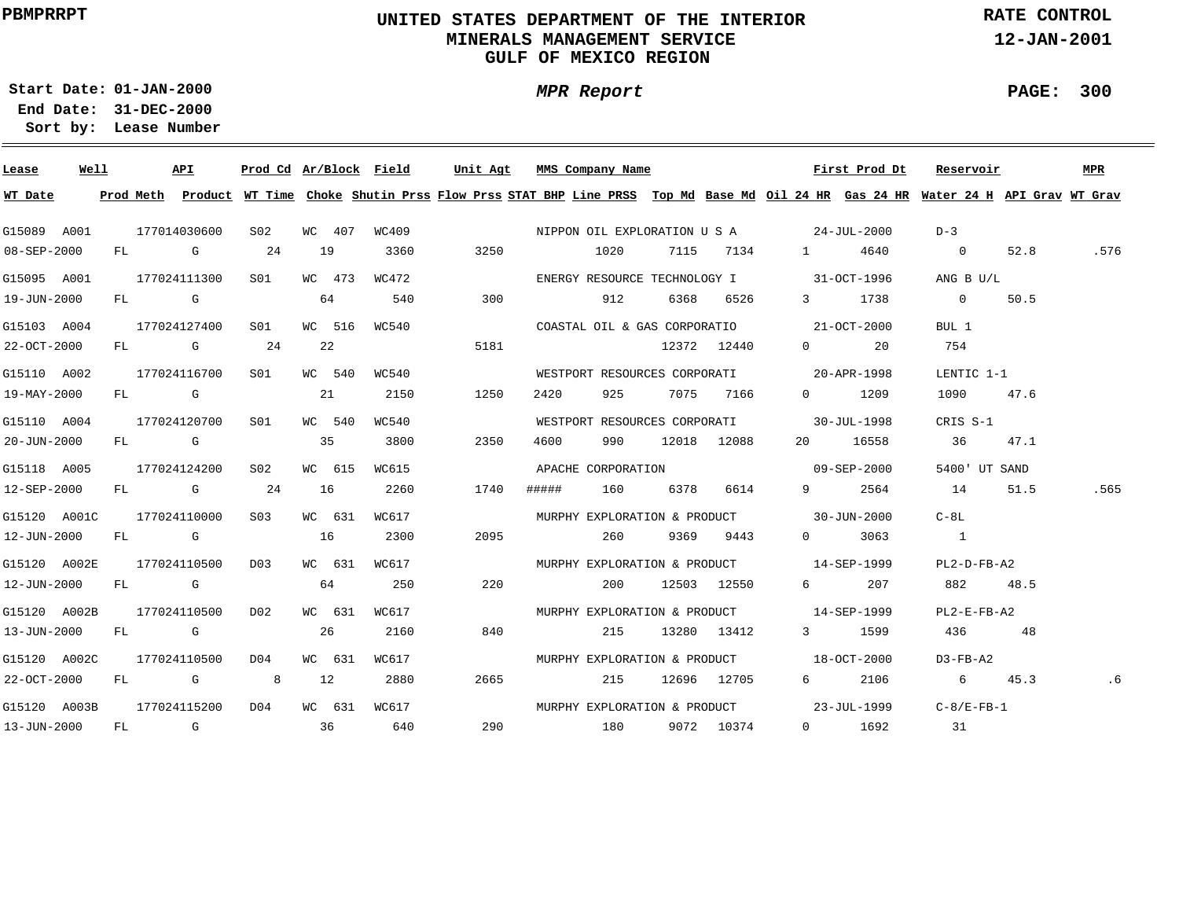# **UNITED STATES DEPARTMENT OF THE INTERIOR MINERALS MANAGEMENT SERVICEGULF OF MEXICO REGION**

**MPR Report**

**RATE CONTROL**

**12-JAN-2001**

**PAGE: 300**

÷

**01-JAN-2000Start Date:**

| Lease        | Well |  | API          |                  |        |        | Prod Cd Ar/Block Field |      |       | Unit Agt MMS Company Name |                |             |                                                         | First Prod Dt        | Reservoir                                                                                                                               |      | MPR  |
|--------------|------|--|--------------|------------------|--------|--------|------------------------|------|-------|---------------------------|----------------|-------------|---------------------------------------------------------|----------------------|-----------------------------------------------------------------------------------------------------------------------------------------|------|------|
| WT Date      |      |  |              |                  |        |        |                        |      |       |                           |                |             |                                                         |                      | Prod Meth Product WT Time Choke Shutin Prss Flow Prss STAT BHP Line PRSS Top Md Base Md Oil 24 HR Gas 24 HR Water 24 H API Grav WT Grav |      |      |
| G15089 A001  |      |  | 177014030600 | S <sub>02</sub>  |        | WC 407 | WC409                  |      |       |                           |                |             | NIPPON OIL EXPLORATION U S A 24-JUL-2000                |                      | $D-3$                                                                                                                                   |      |      |
| 08-SEP-2000  |      |  | FL G         | 24               | 19     |        | 3360                   | 3250 |       | 1020                      |                |             | 7115 7134 1                                             | 4640                 | $\overline{\phantom{0}}$                                                                                                                | 52.8 | .576 |
| G15095 A001  |      |  | 177024111300 | S01 <b>S</b>     |        | WC 473 | WC472                  |      |       |                           |                |             | ENERGY RESOURCE TECHNOLOGY I 31-OCT-1996                |                      | ANG B U/L                                                                                                                               |      |      |
| 19-JUN-2000  |      |  | $FL$ G       |                  | 64     |        | 540                    | 300  |       | 912                       |                | 6368 6526   | $\overline{3}$ and $\overline{3}$                       | 1738                 | $\overline{0}$                                                                                                                          | 50.5 |      |
| G15103 A004  |      |  | 177024127400 | S01              |        | WC 516 | WC540                  |      |       |                           |                |             | COASTAL OIL & GAS CORPORATIO 21-OCT-2000                |                      | BUL 1                                                                                                                                   |      |      |
| 22-OCT-2000  |      |  | FL G         | 24               | 22     |        |                        | 5181 |       |                           |                | 12372 12440 |                                                         | $0 \qquad \qquad 20$ | 754                                                                                                                                     |      |      |
| G15110 A002  |      |  | 177024116700 | S01 - 1          | WC 540 |        | WC540                  |      |       |                           |                |             | WESTPORT RESOURCES CORPORATI 20-APR-1998                |                      | LENTIC 1-1                                                                                                                              |      |      |
| 19-MAY-2000  |      |  | FL G         |                  | 21     |        | 2150                   | 1250 | 2420  | 925                       |                | 7075 7166   |                                                         | $0 \t 1209$          | 1090                                                                                                                                    | 47.6 |      |
| G15110 A004  |      |  | 177024120700 | SO1              | WC 540 |        | WC540                  |      |       |                           |                |             | WESTPORT RESOURCES CORPORATI 30-JUL-1998                |                      | CRIS S-1                                                                                                                                |      |      |
| 20-JUN-2000  |      |  | $FL$ G       |                  | 35     |        | 3800                   | 2350 | 4600  | 990                       |                | 12018 12088 |                                                         | 20 16558             | 36                                                                                                                                      | 47.1 |      |
| G15118 A005  |      |  | 177024124200 | S02              | WC 615 |        | WC615                  |      |       |                           |                |             | APACHE CORPORATION 69-SEP-2000                          |                      | 5400' UT SAND                                                                                                                           |      |      |
| 12-SEP-2000  |      |  | FL G         | 24               | 16     |        | 2260                   | 1740 | ##### |                           | 160 - 160      | 6378 6614   | $9 \left( \begin{array}{ccc} 9 & 1 \end{array} \right)$ | 2564                 | 14                                                                                                                                      | 51.5 | .565 |
| G15120 A001C |      |  | 177024110000 | S03              | WC 631 |        | WC617                  |      |       |                           |                |             | MURPHY EXPLORATION & PRODUCT 30-JUN-2000                |                      | $C-8L$                                                                                                                                  |      |      |
| 12-JUN-2000  |      |  | FL G         |                  | 16     |        | 2300                   | 2095 |       | 260                       |                | 9369 9443   | $\overline{0}$                                          | 3063                 | $\sim$ 1                                                                                                                                |      |      |
| G15120 A002E |      |  | 177024110500 | D03              |        | WC 631 | WC617                  |      |       |                           |                |             | MURPHY EXPLORATION & PRODUCT 14-SEP-1999                |                      | $PL2-D-FB- A2$                                                                                                                          |      |      |
| 12-JUN-2000  |      |  | FL G         |                  | 64     |        | 250                    | 220  |       | 200                       |                | 12503 12550 | $6\overline{}$                                          | 207                  | 882                                                                                                                                     | 48.5 |      |
| G15120 A002B |      |  | 177024110500 | D02              |        | WC 631 | WC617                  |      |       |                           |                |             | MURPHY EXPLORATION & PRODUCT 14-SEP-1999                |                      | $PL2-E-FB-A2$                                                                                                                           |      |      |
| 13-JUN-2000  |      |  | FL G         |                  | 26     |        | 2160                   | 840  |       | 215                       |                | 13280 13412 |                                                         | 3 1599               | 436                                                                                                                                     | 48   |      |
| G15120 A002C |      |  | 177024110500 | DO 4             |        | WC 631 | WC617                  |      |       |                           |                |             | MURPHY EXPLORATION & PRODUCT 18-OCT-2000                |                      | $D3-FB- A2$                                                                                                                             |      |      |
| 22-OCT-2000  |      |  | FL G 8       |                  | 12     |        | 2880                   | 2665 |       | 215                       |                | 12696 12705 | $6 \qquad \qquad$                                       | 2106                 | 6 45.3                                                                                                                                  |      | . 6  |
| G15120 A003B |      |  | 177024115200 | D <sub>0</sub> 4 |        | WC 631 | WC617                  |      |       |                           |                |             | MURPHY EXPLORATION & PRODUCT 23-JUL-1999                |                      | $C-8/E-FB-1$                                                                                                                            |      |      |
| 13-JUN-2000  |      |  | FL G         | 36               |        |        | 640                    |      | 290   |                           | 180 9072 10374 |             |                                                         | $0$ 1692             | 31                                                                                                                                      |      |      |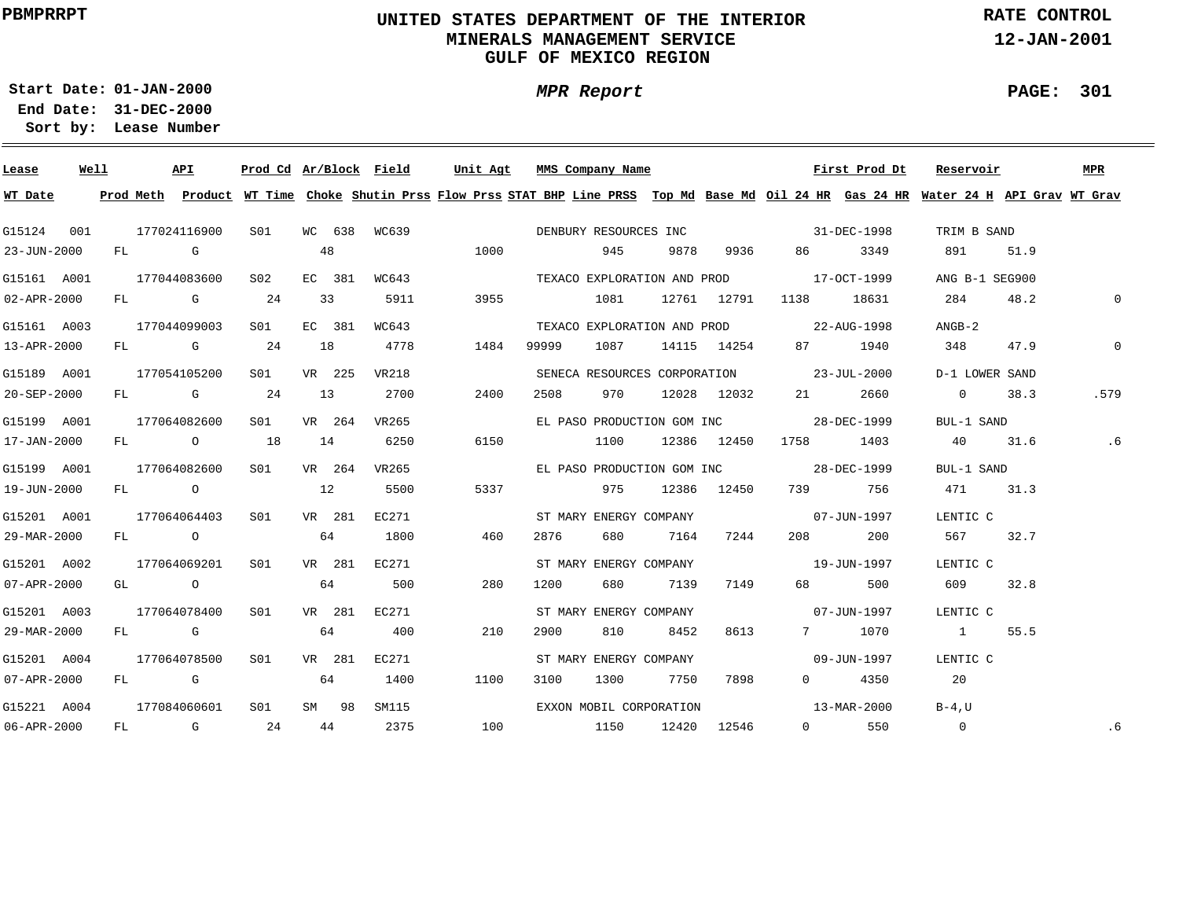# **UNITED STATES DEPARTMENT OF THE INTERIOR MINERALS MANAGEMENT SERVICEGULF OF MEXICO REGION**

**MPR Report**

**RATE CONTROL**

**12-JAN-2001**

**PAGE: 301**

÷

**01-JAN-2000Start Date:31-DEC-2000 End Date:** 

| Lease       | Well |    |      | API          | Prod Cd Ar/Block Field |    |        |              | Unit Agt |       | MMS Company Name            |       |             |                                                                                                                                                                                                                                 | First Prod Dt | Reservoir                                                                                                                               |      | MPR         |
|-------------|------|----|------|--------------|------------------------|----|--------|--------------|----------|-------|-----------------------------|-------|-------------|---------------------------------------------------------------------------------------------------------------------------------------------------------------------------------------------------------------------------------|---------------|-----------------------------------------------------------------------------------------------------------------------------------------|------|-------------|
| WT Date     |      |    |      |              |                        |    |        |              |          |       |                             |       |             |                                                                                                                                                                                                                                 |               | Prod Meth Product WT Time Choke Shutin Prss Flow Prss STAT BHP Line PRSS Top Md Base Md Oil 24 HR Gas 24 HR Water 24 H API Grav WT Grav |      |             |
| G15124      | 001  |    |      | 177024116900 | SO1 SO                 |    |        | WC 638 WC639 |          |       | DENBURY RESOURCES INC       |       |             | 31-DEC-1998                                                                                                                                                                                                                     |               | TRIM B SAND                                                                                                                             |      |             |
| 23-JUN-2000 |      |    | FL G |              |                        | 48 |        |              | 1000     |       | 945                         | 9878  | 9936        | 86 18                                                                                                                                                                                                                           | 3349          | 891                                                                                                                                     | 51.9 |             |
| G15161 A001 |      |    |      | 177044083600 | S <sub>02</sub>        |    | EC 381 | WC643        |          |       | TEXACO EXPLORATION AND PROD |       |             | 17-0CT-1999                                                                                                                                                                                                                     |               | ANG B-1 SEG900                                                                                                                          |      |             |
| 02-APR-2000 |      |    |      | FL G         | 24                     |    | 33     | 5911         | 3955     |       | 1081                        |       | 12761 12791 | 1138                                                                                                                                                                                                                            | 18631         | 284                                                                                                                                     | 48.2 | $\mathbf 0$ |
| G15161 A003 |      |    |      | 177044099003 | SO1                    |    | EC 381 | WC643        |          |       |                             |       |             | TEXACO EXPLORATION AND PROD 22-AUG-1998                                                                                                                                                                                         |               | $ANGB-2$                                                                                                                                |      |             |
| 13-APR-2000 |      |    |      | FL G         | 24                     | 18 |        | 4778         | 1484     | 99999 | 1087                        |       | 14115 14254 | 87 — 18                                                                                                                                                                                                                         | 1940          | 348                                                                                                                                     | 47.9 | $\Omega$    |
| G15189 A001 |      |    |      | 177054105200 | SO1                    |    | VR 225 | VR218        |          |       |                             |       |             | SENECA RESOURCES CORPORATION 23-JUL-2000                                                                                                                                                                                        |               | D-1 LOWER SAND                                                                                                                          |      |             |
| 20-SEP-2000 |      |    |      | FL G         | 24                     | 13 |        | 2700         | 2400     | 2508  | 970                         |       | 12028 12032 |                                                                                                                                                                                                                                 | 2660          | $\overline{0}$                                                                                                                          | 38.3 | .579        |
| G15199 A001 |      |    |      | 177064082600 | SO1                    |    | VR 264 | VR265        |          |       |                             |       |             | EL PASO PRODUCTION GOM INC 38-DEC-1999                                                                                                                                                                                          |               | BUL-1 SAND                                                                                                                              |      |             |
| 17-JAN-2000 |      |    |      | FL O         | 18                     | 14 |        | 6250         | 6150     |       | 1100                        |       | 12386 12450 | 1758                                                                                                                                                                                                                            | 1403          | 40                                                                                                                                      | 31.6 | .6          |
| G15199 A001 |      |    |      | 177064082600 | S01                    |    | VR 264 | VR265        |          |       |                             |       |             | EL PASO PRODUCTION GOM INC 38-DEC-1999                                                                                                                                                                                          |               | BUL-1 SAND                                                                                                                              |      |             |
| 19-JUN-2000 |      |    | FL O |              |                        | 12 |        | 5500         | 5337     |       | 975                         |       | 12386 12450 |                                                                                                                                                                                                                                 | 739 756       | 471                                                                                                                                     | 31.3 |             |
| G15201 A001 |      |    |      | 177064064403 | SO1                    |    | VR 281 | EC271        |          |       | ST MARY ENERGY COMPANY      |       |             | $07 - JUN - 1997$                                                                                                                                                                                                               |               | LENTIC C                                                                                                                                |      |             |
| 29-MAR-2000 |      |    |      | FL O         |                        |    | 64     | 1800         | 460      | 2876  | 680                         | 7164  | 7244        | 208 — 208 — 208 — 208 — 208 — 208 — 208 — 208 — 208 — 208 — 208 — 208 — 208 — 208 — 208 — 208 — 208 — 208 — 208 — 208 — 208 — 208 — 208 — 208 — 208 — 208 — 208 — 208 — 208 — 208 — 208 — 208 — 208 — 208 — 208 — 208 — 208 — 2 | 200           | 567 —                                                                                                                                   | 32.7 |             |
| G15201 A002 |      |    |      | 177064069201 | SO1                    |    | VR 281 | EC271        |          |       | ST MARY ENERGY COMPANY      |       |             | $19 - JUN - 1997$                                                                                                                                                                                                               |               | LENTIC C                                                                                                                                |      |             |
| 07-APR-2000 |      |    |      | GL O         |                        |    | 64     | 500          | 280      | 1200  | 680                         | 7139  | 7149        | 68 — 1                                                                                                                                                                                                                          | 500           | 609                                                                                                                                     | 32.8 |             |
| G15201 A003 |      |    |      | 177064078400 | S01                    |    | VR 281 | EC271        |          |       | ST MARY ENERGY COMPANY      |       |             | $07 - JUN - 1997$                                                                                                                                                                                                               |               | LENTIC C                                                                                                                                |      |             |
| 29-MAR-2000 |      |    |      | FL G         |                        |    | 64     | 400          | 210      | 2900  | 810                         | 8452  | 8613        |                                                                                                                                                                                                                                 | 7 1070        | $\overline{1}$                                                                                                                          | 55.5 |             |
| G15201 A004 |      |    |      | 177064078500 | SO1                    |    | VR 281 | EC271        |          |       | ST MARY ENERGY COMPANY      |       |             | $09 - JUN - 1997$                                                                                                                                                                                                               |               | LENTIC C                                                                                                                                |      |             |
| 07-APR-2000 |      |    | FL G |              |                        |    | 64     | 1400         | 1100     | 3100  | 1300                        | 7750  | 7898        | $0 \qquad \qquad$                                                                                                                                                                                                               | 4350          | 20                                                                                                                                      |      |             |
| G15221 A004 |      |    |      | 177084060601 | S01                    |    | SM 98  | SM115        |          |       | EXXON MOBIL CORPORATION     |       |             | $13 - \text{MAR} - 2000$                                                                                                                                                                                                        |               | $B-4$ , U                                                                                                                               |      |             |
| 06-APR-2000 |      | FL |      | $\mathbb G$  | 24                     |    | 44     | 2375         | 100      |       | 1150                        | 12420 | 12546       | $\overline{0}$                                                                                                                                                                                                                  | 550           | $\overline{0}$                                                                                                                          |      | .6          |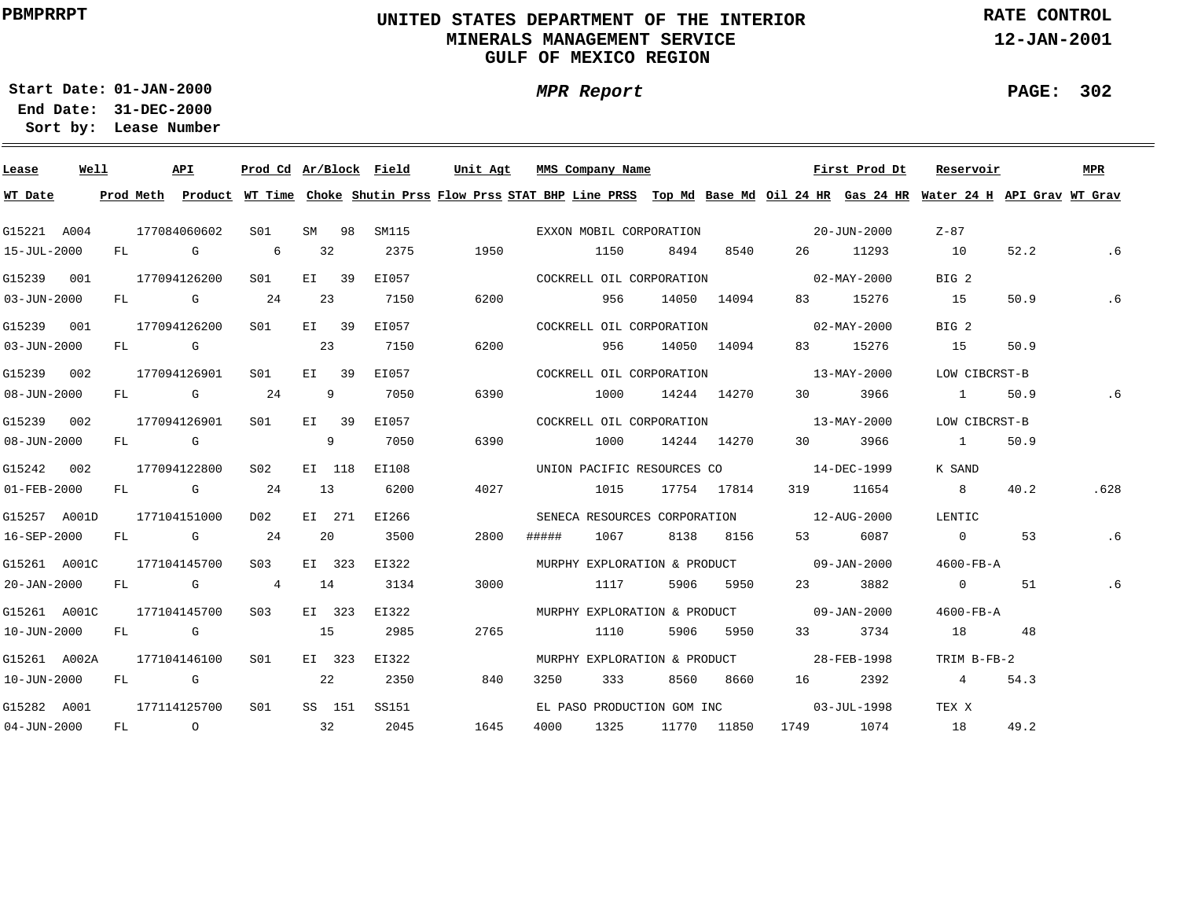# **UNITED STATES DEPARTMENT OF THE INTERIOR MINERALS MANAGEMENT SERVICEGULF OF MEXICO REGION**

**MPR Report**

**RATE CONTROL**

**12-JAN-2001**

**PAGE: 302**

**01-JAN-2000Start Date:**

| Lease        | Well |    |                                                                                                                                                                                                                                | API                                                                                                                                                                                                                            |                  |     |        | Prod Cd Ar/Block Field | Unit Agt |       | MMS Company Name             |             |             |                                          | First Prod Dt            | Reservoir                                                                                                                     |      | <b>MPR</b> |
|--------------|------|----|--------------------------------------------------------------------------------------------------------------------------------------------------------------------------------------------------------------------------------|--------------------------------------------------------------------------------------------------------------------------------------------------------------------------------------------------------------------------------|------------------|-----|--------|------------------------|----------|-------|------------------------------|-------------|-------------|------------------------------------------|--------------------------|-------------------------------------------------------------------------------------------------------------------------------|------|------------|
| WT Date      |      |    | Prod Meth                                                                                                                                                                                                                      |                                                                                                                                                                                                                                |                  |     |        |                        |          |       |                              |             |             |                                          |                          | Product WT Time Choke Shutin Prss Flow Prss STAT BHP Line PRSS Top Md Base Md Oil 24 HR Gas 24 HR Water 24 H API Grav WT Grav |      |            |
| G15221 A004  |      |    |                                                                                                                                                                                                                                | 177084060602                                                                                                                                                                                                                   | S01              |     | SM 98  | SM115                  |          |       | EXXON MOBIL CORPORATION      |             |             | $20 - JUN - 2000$                        |                          | Z-87                                                                                                                          |      |            |
| 15-JUL-2000  |      | FL |                                                                                                                                                                                                                                | <b>G</b> G                                                                                                                                                                                                                     | - 6              | 32  |        | 2375                   | 1950     |       | 1150                         | 8494        | 8540        |                                          | 26 11293                 | 10                                                                                                                            | 52.2 | .6         |
| G15239 001   |      |    |                                                                                                                                                                                                                                | 177094126200                                                                                                                                                                                                                   | S01 <b>S</b>     |     | EI 39  | EI057                  |          |       | COCKRELL OIL CORPORATION     |             |             |                                          | $02 - MAX - 2000$        | BIG 2                                                                                                                         |      |            |
| 03-JUN-2000  |      | FL |                                                                                                                                                                                                                                | and the Company of the Company of the Company of the Company of the Company of the Company of the Company of the Company of the Company of the Company of the Company of the Company of the Company of the Company of the Comp | 24               | 23  |        | 7150                   | 6200     |       | 956                          |             | 14050 14094 |                                          | 83 15276                 | 15                                                                                                                            | 50.9 | . 6        |
| G15239 001   |      |    |                                                                                                                                                                                                                                | 177094126200                                                                                                                                                                                                                   | S01 <b>S</b>     |     | EI 39  | EI057                  |          |       | COCKRELL OIL CORPORATION     |             |             |                                          | $02 - \text{MAX} - 2000$ | BIG 2                                                                                                                         |      |            |
| 03-JUN-2000  |      | FL |                                                                                                                                                                                                                                | and the control of the control of the control of the control of the control of the control of the control of the control of the control of the control of the control of the control of the control of the control of the cont |                  | 23  |        | 7150                   | 6200     |       | 956                          |             | 14050 14094 |                                          | 83 15276                 | 15                                                                                                                            | 50.9 |            |
| G15239 002   |      |    |                                                                                                                                                                                                                                | 177094126901                                                                                                                                                                                                                   | S <sub>01</sub>  |     | EI 39  | EI057                  |          |       |                              |             |             | COCKRELL OIL CORPORATION 13-MAY-2000     |                          | LOW CIBCRST-B                                                                                                                 |      |            |
| 08-JUN-2000  |      |    |                                                                                                                                                                                                                                | FL G                                                                                                                                                                                                                           | 24               | - 9 |        | 7050                   | 6390     |       | 1000                         | 14244 14270 |             | 30 — 1                                   | 3966                     | $\sim$ 1                                                                                                                      | 50.9 | . 6        |
| G15239 002   |      |    |                                                                                                                                                                                                                                | 177094126901                                                                                                                                                                                                                   | S01 <b>S</b>     |     | EI 39  | EI057                  |          |       |                              |             |             | COCKRELL OIL CORPORATION 13-MAY-2000     |                          | LOW CIBCRST-B                                                                                                                 |      |            |
| 08-JUN-2000  |      |    |                                                                                                                                                                                                                                | FL G                                                                                                                                                                                                                           |                  |     | 9      | 7050                   | 6390     |       | 1000                         |             | 14244 14270 | 30                                       | 3966                     | $\sim$ 1 $\sim$                                                                                                               | 50.9 |            |
| G15242 002   |      |    |                                                                                                                                                                                                                                | 177094122800                                                                                                                                                                                                                   | S02              |     | EI 118 | EI108                  |          |       |                              |             |             | UNION PACIFIC RESOURCES CO 14-DEC-1999   |                          | K SAND                                                                                                                        |      |            |
| 01-FEB-2000  |      |    |                                                                                                                                                                                                                                | FL G                                                                                                                                                                                                                           | 24               | 13  |        | 6200                   | 4027     |       | 1015                         |             | 17754 17814 |                                          | 319 11654                | 8 <sup>1</sup>                                                                                                                | 40.2 | .628       |
| G15257 A001D |      |    |                                                                                                                                                                                                                                | 177104151000                                                                                                                                                                                                                   | DO 2             |     | EI 271 | EI266                  |          |       |                              |             |             | SENECA RESOURCES CORPORATION 12-AUG-2000 |                          | LENTIC                                                                                                                        |      |            |
| 16-SEP-2000  |      |    |                                                                                                                                                                                                                                | FL G                                                                                                                                                                                                                           | 24               | 20  |        | 3500                   | 2800     | ##### | 1067                         |             | 8138 8156   |                                          | 6087                     | $\overline{0}$                                                                                                                | 53   | .6         |
| G15261 A001C |      |    |                                                                                                                                                                                                                                | 177104145700                                                                                                                                                                                                                   | S <sub>03</sub>  |     | EI 323 | EI322                  |          |       |                              |             |             | MURPHY EXPLORATION & PRODUCT 09-JAN-2000 |                          | 4600-FB-A                                                                                                                     |      |            |
| 20-JAN-2000  |      | FL |                                                                                                                                                                                                                                | <b>G</b>                                                                                                                                                                                                                       | $\overline{4}$   | 14  |        | 3134                   | 3000     |       | 1117                         | 5906        | 5950        | 23                                       | 3882                     | $\overline{0}$                                                                                                                | 51   | .6         |
| G15261 A001C |      |    |                                                                                                                                                                                                                                | 177104145700                                                                                                                                                                                                                   | S <sub>0.3</sub> |     | EI 323 | EI322                  |          |       |                              |             |             | MURPHY EXPLORATION & PRODUCT 09-JAN-2000 |                          | $4600 - FB - A$                                                                                                               |      |            |
| 10-JUN-2000  |      | FL | and the control of the control of the control of the control of the control of the control of the control of the control of the control of the control of the control of the control of the control of the control of the cont |                                                                                                                                                                                                                                |                  | 15  |        | 2985                   | 2765     |       | 1110                         | 5906        | 5950        |                                          | 3734                     | 18                                                                                                                            | 48   |            |
| G15261 A002A |      |    |                                                                                                                                                                                                                                | 177104146100                                                                                                                                                                                                                   | S01              |     | EI 323 | EI322                  |          |       | MURPHY EXPLORATION & PRODUCT |             |             | 28-FEB-1998                              |                          | TRIM B-FB-2                                                                                                                   |      |            |
| 10-JUN-2000  |      | FL |                                                                                                                                                                                                                                | <b>G</b>                                                                                                                                                                                                                       |                  | 22  |        | 2350                   | 840      | 3250  | 333                          | 8560        | 8660        |                                          | 2392                     | $\overline{4}$                                                                                                                | 54.3 |            |
|              |      |    |                                                                                                                                                                                                                                |                                                                                                                                                                                                                                |                  |     |        |                        |          |       |                              |             |             |                                          |                          |                                                                                                                               |      |            |
| G15282 A001  |      |    |                                                                                                                                                                                                                                | 177114125700                                                                                                                                                                                                                   | S <sub>01</sub>  |     | SS 151 | SS151                  |          |       |                              |             |             | EL PASO PRODUCTION GOM INC 03-JUL-1998   |                          | TEX X                                                                                                                         |      |            |
| 04-JUN-2000  |      | FL |                                                                                                                                                                                                                                | $\overline{O}$                                                                                                                                                                                                                 |                  | 32  |        | 2045                   | 1645     | 4000  | 1325                         |             | 11770 11850 |                                          | 1749 1074                | 18                                                                                                                            | 49.2 |            |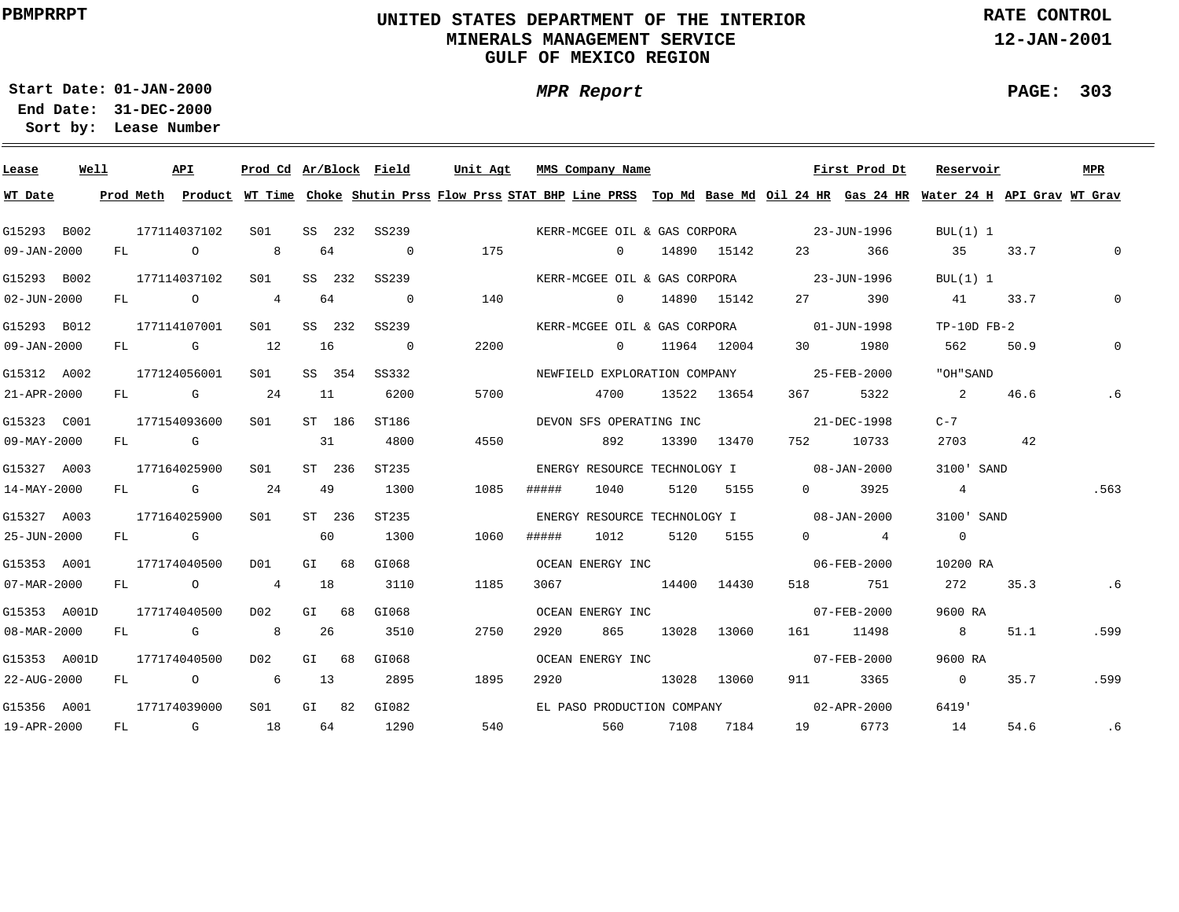# **UNITED STATES DEPARTMENT OF THE INTERIOR MINERALS MANAGEMENT SERVICEGULF OF MEXICO REGION**

**MPR Report**

**RATE CONTROL**

**12-JAN-2001**

**PAGE: 303**

÷

**01-JAN-2000Start Date:**

| Lease        | Well |    |               | API                                                                                                                                                                                                                            | Prod Cd Ar/Block Field |    |         |                |      | Unit Agt MMS Company Name                                                                                                               |             |             |                   | First Prod Dt                          | Reservoir                |      | MPR      |
|--------------|------|----|---------------|--------------------------------------------------------------------------------------------------------------------------------------------------------------------------------------------------------------------------------|------------------------|----|---------|----------------|------|-----------------------------------------------------------------------------------------------------------------------------------------|-------------|-------------|-------------------|----------------------------------------|--------------------------|------|----------|
| WT Date      |      |    |               |                                                                                                                                                                                                                                |                        |    |         |                |      | Prod Meth Product WT Time Choke Shutin Prss Flow Prss STAT BHP Line PRSS Top Md Base Md Oil 24 HR Gas 24 HR Water 24 H API Grav WT Grav |             |             |                   |                                        |                          |      |          |
| G15293 B002  |      |    |               | 177114037102                                                                                                                                                                                                                   | SO1                    |    |         | SS 232 SS239   |      | KERR-MCGEE OIL & GAS CORPORA 23-JUN-1996                                                                                                |             |             |                   |                                        | BUL(1) 1                 |      |          |
| 09-JAN-2000  |      | FL |               | $\circ$                                                                                                                                                                                                                        | 8 <sup>8</sup>         |    | 64      | $\overline{0}$ | 175  | $\overline{0}$                                                                                                                          |             | 14890 15142 | 23 and $\sim$     | 366                                    | 35                       | 33.7 | $\Omega$ |
| G15293 B002  |      |    |               | 177114037102                                                                                                                                                                                                                   | SO1                    |    | SS 232  | SS239          |      | KERR-MCGEE OIL & GAS CORPORA 23-JUN-1996                                                                                                |             |             |                   |                                        | BUL(1) 1                 |      |          |
| 02-JUN-2000  |      | FL |               | $\overline{O}$                                                                                                                                                                                                                 | 4                      |    | 64      | $\overline{0}$ | 140  | $\overline{0}$                                                                                                                          |             | 14890 15142 | 27 — 27           | 390                                    | 41                       | 33.7 | $\Omega$ |
| G15293 B012  |      |    |               | 177114107001                                                                                                                                                                                                                   | S01                    |    | SS 232  | SS239          |      | KERR-MCGEE OIL & GAS CORPORA                                                                                                            |             |             |                   | 01-JUN-1998                            | $TP-10D$ $FB-2$          |      |          |
| 09-JAN-2000  |      | FL |               | <b>G</b>                                                                                                                                                                                                                       | 12                     |    | 16      | $\overline{0}$ | 2200 | $\Omega$                                                                                                                                |             | 11964 12004 | $30^{\circ}$      | 1980                                   | 562                      | 50.9 | $\Omega$ |
| G15312 A002  |      |    |               | 177124056001                                                                                                                                                                                                                   | S01                    |    | SS 354  | SS332          |      | NEWFIELD EXPLORATION COMPANY                                                                                                            |             |             |                   | 25-FEB-2000                            | "OH"SAND                 |      |          |
| 21-APR-2000  |      |    |               | FL G                                                                                                                                                                                                                           | 24                     | 11 |         | 6200           | 5700 | 4700                                                                                                                                    |             | 13522 13654 | 367 — 1           | 5322                                   | $\overline{\phantom{a}}$ | 46.6 | .6       |
| G15323 C001  |      |    |               | 177154093600                                                                                                                                                                                                                   | S01                    |    | ST 186  | ST186          |      | DEVON SFS OPERATING INC                                                                                                                 |             |             | 21-DEC-1998       |                                        | $C - 7$                  |      |          |
| 09-MAY-2000  |      |    | FL G          |                                                                                                                                                                                                                                |                        |    | 31      | 4800           | 4550 | 892                                                                                                                                     |             | 13390 13470 | 752 —             | 10733                                  | 2703                     | 42   |          |
| G15327 A003  |      |    |               | 177164025900                                                                                                                                                                                                                   | SO1                    |    | ST 236  | ST235          |      | ENERGY RESOURCE TECHNOLOGY I                                                                                                            |             |             | $08 - JAN - 2000$ |                                        | 3100' SAND               |      |          |
| 14-MAY-2000  |      |    |               | FL G                                                                                                                                                                                                                           | 24                     |    | 49      | 1300           | 1085 | #####<br>1040                                                                                                                           | 5120        | 5155        | $\overline{0}$    | 3925                                   | $\overline{4}$           |      | .563     |
| G15327 A003  |      |    |               | 177164025900                                                                                                                                                                                                                   | S01                    |    | ST 236  | ST235          |      | ENERGY RESOURCE TECHNOLOGY I 08-JAN-2000                                                                                                |             |             |                   |                                        | 3100' SAND               |      |          |
| 25-JUN-2000  |      |    | FL G          |                                                                                                                                                                                                                                |                        |    | 60      | 1300           | 1060 | #####<br>1012                                                                                                                           | 5120        | 5155        |                   | $\begin{array}{ccc} 0 & 4 \end{array}$ | $\Omega$                 |      |          |
| G15353 A001  |      |    |               | 177174040500                                                                                                                                                                                                                   | DO1                    |    | GI 68   | GI068          |      | OCEAN ENERGY INC                                                                                                                        |             |             |                   | 06-FEB-2000                            | 10200 RA                 |      |          |
| 07-MAR-2000  |      |    | $FL$ and $FL$ | $\circ$                                                                                                                                                                                                                        | $\overline{4}$         |    | 18      | 3110           | 1185 | 3067                                                                                                                                    | 14400 14430 |             |                   | 518 751                                | 272                      | 35.3 | .6       |
| G15353 A001D |      |    |               | 177174040500                                                                                                                                                                                                                   | D02                    |    | GI 68   | GI068          |      | OCEAN ENERGY INC                                                                                                                        |             |             |                   | 07-FEB-2000                            | 9600 RA                  |      |          |
| 08-MAR-2000  |      | FL |               | and the control of the control of the control of the control of the control of the control of the control of the control of the control of the control of the control of the control of the control of the control of the cont | 8 <sup>8</sup>         |    | 26      | 3510           | 2750 | 2920<br>865                                                                                                                             |             | 13028 13060 |                   | 161 11498                              | 8                        | 51.1 | .599     |
| G15353 A001D |      |    |               | 177174040500                                                                                                                                                                                                                   | DO 2                   |    | GI 68   | GI068          |      | OCEAN ENERGY INC                                                                                                                        |             |             |                   | 07-FEB-2000                            | 9600 RA                  |      |          |
| 22-AUG-2000  |      | FL |               | $\circ$                                                                                                                                                                                                                        | 6                      | 13 |         | 2895           | 1895 | 2920                                                                                                                                    |             | 13028 13060 | 911 — 200         | 3365                                   | $\overline{0}$           | 35.7 | .599     |
| G15356 A001  |      |    |               | 177174039000                                                                                                                                                                                                                   | S01                    |    | $GI$ 82 | GI082          |      | EL PASO PRODUCTION COMPANY                                                                                                              |             |             |                   | $02 - APR - 2000$                      | 6419'                    |      |          |
| 19-APR-2000  |      | FL |               | G                                                                                                                                                                                                                              | 18                     |    | 64      | 1290           | 540  | 560                                                                                                                                     |             | 7108 7184   | 19                | 6773                                   | 14                       | 54.6 | .6       |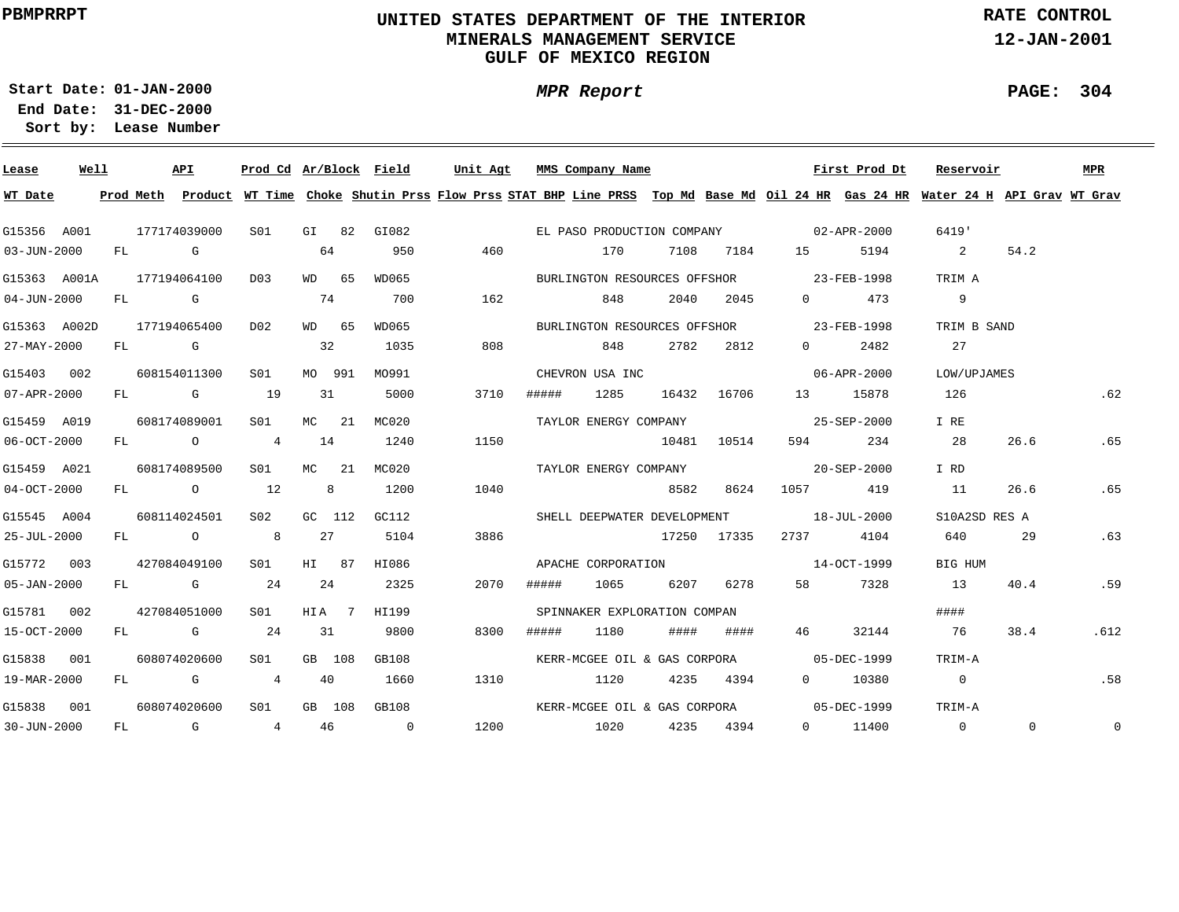# **UNITED STATES DEPARTMENT OF THE INTERIOR MINERALS MANAGEMENT SERVICEGULF OF MEXICO REGION**

**MPR Report**

**RATE CONTROL**

**12-JAN-2001**

**PAGE: 304**

÷

**01-JAN-2000Start Date:31-DEC-2000 End Date:** 

| Lease             | Well |  | API                       |                  |                |         | Prod Cd Ar/Block Field | Unit Agt MMS Company Name                                                                                                               |       |                              |      |             |                                                                                                                                                                                                                                                                                                                                    | First Prod Dt | Reservoir      |                | <b>MPR</b>  |
|-------------------|------|--|---------------------------|------------------|----------------|---------|------------------------|-----------------------------------------------------------------------------------------------------------------------------------------|-------|------------------------------|------|-------------|------------------------------------------------------------------------------------------------------------------------------------------------------------------------------------------------------------------------------------------------------------------------------------------------------------------------------------|---------------|----------------|----------------|-------------|
| WT Date           |      |  |                           |                  |                |         |                        | Prod Meth Product WT Time Choke Shutin Prss Flow Prss STAT BHP Line PRSS Top Md Base Md Oil 24 HR Gas 24 HR Water 24 H API Grav WT Grav |       |                              |      |             |                                                                                                                                                                                                                                                                                                                                    |               |                |                |             |
| G15356 A001       |      |  | 177174039000              | S01 <b>S</b>     |                |         | GI 82 GI082            |                                                                                                                                         |       |                              |      |             | EL PASO PRODUCTION COMPANY 02-APR-2000                                                                                                                                                                                                                                                                                             |               | 6419'          |                |             |
| $03 - JUN - 2000$ |      |  | FL G                      |                  | 64             |         | 950                    | 460                                                                                                                                     |       | 170                          |      |             | 7108 7184 15 5194                                                                                                                                                                                                                                                                                                                  |               | 2              | 54.2           |             |
|                   |      |  | G15363 A001A 177194064100 | D <sub>0</sub> 3 |                | WD 65   | WD065                  |                                                                                                                                         |       |                              |      |             | BURLINGTON RESOURCES OFFSHOR 23-FEB-1998                                                                                                                                                                                                                                                                                           |               | TRIM A         |                |             |
| $04 - JUN - 2000$ |      |  | FL G                      |                  | 74             |         | 700                    | 162                                                                                                                                     |       | 848                          |      | 2040 2045   | $\overline{0}$ and $\overline{0}$ and $\overline{0}$ and $\overline{0}$ and $\overline{0}$ and $\overline{0}$ and $\overline{0}$ and $\overline{0}$ and $\overline{0}$ and $\overline{0}$ and $\overline{0}$ and $\overline{0}$ and $\overline{0}$ and $\overline{0}$ and $\overline{0}$ and $\overline{0}$ and $\overline{0}$ and | 473           | 9              |                |             |
| G15363 A002D      |      |  | 177194065400              | D02              |                | WD 65   | WD065                  |                                                                                                                                         |       |                              |      |             | BURLINGTON RESOURCES OFFSHOR 23-FEB-1998                                                                                                                                                                                                                                                                                           |               | TRIM B SAND    |                |             |
| 27-MAY-2000       |      |  | FL G                      |                  | 32             |         | 1035                   | 808                                                                                                                                     |       | 848                          |      | 2782 2812   | $\overline{0}$ and $\overline{0}$ and $\overline{0}$ and $\overline{0}$ and $\overline{0}$ and $\overline{0}$ and $\overline{0}$ and $\overline{0}$ and $\overline{0}$ and $\overline{0}$ and $\overline{0}$ and $\overline{0}$ and $\overline{0}$ and $\overline{0}$ and $\overline{0}$ and $\overline{0}$ and $\overline{0}$ and | 2482          | 27             |                |             |
| G15403 002        |      |  | 608154011300              | S01              |                | MO 991  | MO991                  |                                                                                                                                         |       | CHEVRON USA INC              |      |             |                                                                                                                                                                                                                                                                                                                                    | 06-APR-2000   | LOW/UPJAMES    |                |             |
| $07 - APR - 2000$ |      |  | FL G 19                   |                  | 31             |         | 5000                   | 3710                                                                                                                                    | ##### | 1285                         |      | 16432 16706 |                                                                                                                                                                                                                                                                                                                                    | 13 15878      | 126            |                | .62         |
| G15459 A019       |      |  | 608174089001              | S01              |                | MC 21   | MC020                  |                                                                                                                                         |       | TAYLOR ENERGY COMPANY        |      |             |                                                                                                                                                                                                                                                                                                                                    | 25-SEP-2000   | I RE           |                |             |
| $06 - OCT - 2000$ |      |  | FL O                      | 4                | 14             |         | 1240                   | 1150                                                                                                                                    |       |                              |      | 10481 10514 |                                                                                                                                                                                                                                                                                                                                    | 594 234       | 28             | 26.6           | .65         |
| G15459 A021       |      |  | 608174089500              | S01 <b>S</b>     |                | $MC$ 21 | MC020                  |                                                                                                                                         |       |                              |      |             |                                                                                                                                                                                                                                                                                                                                    |               | I RD           |                |             |
| $04-0CT-2000$     |      |  | FL 0 12                   |                  | 8 <sup>8</sup> |         | 1200                   | 1040                                                                                                                                    |       |                              | 8582 | 8624        | 1057 419                                                                                                                                                                                                                                                                                                                           |               | 11             | 26.6           | .65         |
| G15545 A004       |      |  | 608114024501              | S02 <b>S</b>     | GC 112         |         | GC112                  |                                                                                                                                         |       |                              |      |             | SHELL DEEPWATER DEVELOPMENT 18-JUL-2000                                                                                                                                                                                                                                                                                            |               | S10A2SD RES A  |                |             |
| $25 - JUL - 2000$ |      |  | FL O 8                    |                  | 27             |         | 5104                   | 3886                                                                                                                                    |       |                              |      | 17250 17335 | 2737                                                                                                                                                                                                                                                                                                                               | 4104          | 640            | 29             | .63         |
| G15772 003        |      |  | 427084049100              | S01              | HI 87          |         | HI086                  |                                                                                                                                         |       |                              |      |             | APACHE CORPORATION 14-OCT-1999                                                                                                                                                                                                                                                                                                     |               | BIG HUM        |                |             |
| 05-JAN-2000       |      |  | FL G 24                   |                  | 24             |         | 2325                   | 2070                                                                                                                                    | ##### | 1065 - 10                    |      | 6207 6278   |                                                                                                                                                                                                                                                                                                                                    | 58 7328       | 13             | 40.4           | .59         |
| G15781 002        |      |  | 427084051000              | S01              |                | HIA 7   | HI199                  |                                                                                                                                         |       | SPINNAKER EXPLORATION COMPAN |      |             |                                                                                                                                                                                                                                                                                                                                    |               | ####           |                |             |
| 15-OCT-2000       |      |  | FL G                      | 24               | 31             |         | 9800                   | 8300                                                                                                                                    | ##### | 1180                         |      | #### ####   | 46 — 16                                                                                                                                                                                                                                                                                                                            | 32144         | 76             | 38.4           | .612        |
| G15838 001        |      |  | 608074020600              | S <sub>01</sub>  | GB 108         |         | GB108                  |                                                                                                                                         |       |                              |      |             | KERR-MCGEE OIL & GAS CORPORA 05-DEC-1999                                                                                                                                                                                                                                                                                           |               | TRIM-A         |                |             |
| 19-MAR-2000       |      |  | FL G                      | $\overline{4}$   | 40             |         | 1660                   | 1310                                                                                                                                    |       | 1120                         |      | 4235 4394   |                                                                                                                                                                                                                                                                                                                                    | 0 10380       | $\overline{0}$ |                | .58         |
| G15838 001        |      |  | 608074020600              | S01              |                | GB 108  | GB108                  |                                                                                                                                         |       |                              |      |             | KERR-MCGEE OIL & GAS CORPORA 05-DEC-1999                                                                                                                                                                                                                                                                                           |               | TRIM-A         |                |             |
| $30 - JUN - 2000$ |      |  | FL G                      | 4 46             |                |         | $\overline{0}$         | 1200                                                                                                                                    | 1020  |                              |      | 4235 4394   |                                                                                                                                                                                                                                                                                                                                    | 0 11400       | $\overline{0}$ | $\overline{0}$ | $\mathbf 0$ |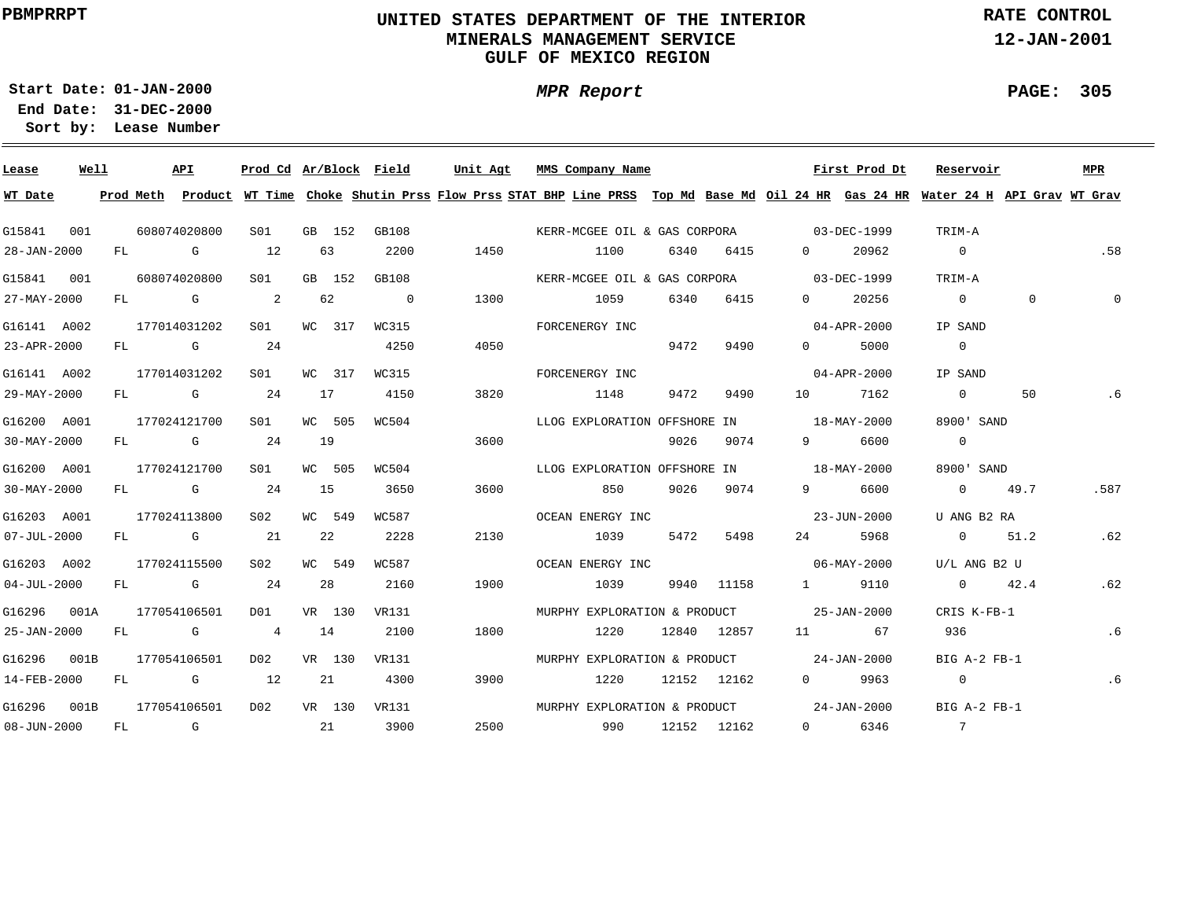# **UNITED STATES DEPARTMENT OF THE INTERIOR MINERALS MANAGEMENT SERVICEGULF OF MEXICO REGION**

**MPR Report**

**RATE CONTROL**

**12-JAN-2001**

**PAGE: 305**

÷

**01-JAN-2000Start Date:**

| Lease             | Well |    |              | API          | Prod Cd Ar/Block Field     |    |        |                | Unit Agt |      | MMS Company Name                                                                                                                        |     |      |             |                                                         | First Prod Dt     | Reservoir       |                | <b>MPR</b> |
|-------------------|------|----|--------------|--------------|----------------------------|----|--------|----------------|----------|------|-----------------------------------------------------------------------------------------------------------------------------------------|-----|------|-------------|---------------------------------------------------------|-------------------|-----------------|----------------|------------|
| WT Date           |      |    |              |              |                            |    |        |                |          |      | Prod Meth Product WT Time Choke Shutin Prss Flow Prss STAT BHP Line PRSS Top Md Base Md Oil 24 HR Gas 24 HR Water 24 H API Grav WT Grav |     |      |             |                                                         |                   |                 |                |            |
| G15841            | 001  |    | 608074020800 |              | SO1                        |    | GB 152 | GB108          |          |      | KERR-MCGEE OIL & GAS CORPORA 03-DEC-1999                                                                                                |     |      |             |                                                         |                   | TRIM-A          |                |            |
| 28-JAN-2000       |      |    | FL G         |              | 12                         |    | 63     | 2200           |          | 1450 | 1100                                                                                                                                    |     | 6340 | 6415        | $\overline{0}$                                          | 20962             | $\overline{0}$  |                | .58        |
| G15841            | 001  |    | 608074020800 |              | SO1                        |    | GB 152 | GB108          |          |      | KERR-MCGEE OIL & GAS CORPORA 03-DEC-1999                                                                                                |     |      |             |                                                         |                   | TRIM-A          |                |            |
| 27-MAY-2000       |      | FL | <b>G</b>     |              | $\overline{\phantom{a}}$ 2 |    | 62     | $\overline{0}$ |          | 1300 | 1059                                                                                                                                    |     | 6340 | 6415        | $\overline{0}$                                          | 20256             | $\overline{0}$  | $\overline{0}$ | $\Omega$   |
| G16141 A002       |      |    | 177014031202 |              | S01                        |    | WC 317 | WC315          |          |      | FORCENERGY INC                                                                                                                          |     |      |             |                                                         | $04 - APR - 2000$ | IP SAND         |                |            |
| 23-APR-2000       |      |    |              | FL G         | 24                         |    |        | 4250           |          | 4050 |                                                                                                                                         |     | 9472 | 9490        | $0 \qquad \qquad$                                       | 5000              | $\overline{0}$  |                |            |
| G16141 A002       |      |    |              | 177014031202 | S01                        |    | WC 317 | WC315          |          |      | FORCENERGY INC                                                                                                                          |     |      |             |                                                         | 04-APR-2000       | IP SAND         |                |            |
| 29-MAY-2000       |      |    |              | FL G         | 24                         |    | 17     | 4150           |          | 3820 | 1148                                                                                                                                    |     | 9472 | 9490        | 10                                                      | 7162              | $\overline{0}$  | 50             | . 6        |
| G16200 A001       |      |    |              | 177024121700 | SO1                        |    | WC 505 | WC504          |          |      | LLOG EXPLORATION OFFSHORE IN                                                                                                            |     |      |             |                                                         | 18-MAY-2000       | 8900' SAND      |                |            |
| $30 - MAX - 2000$ |      |    |              | FL G         | 24                         | 19 |        |                |          | 3600 |                                                                                                                                         |     | 9026 | 9074        | $9 \left( \begin{array}{ccc} 9 & 1 \end{array} \right)$ | 6600              | $\overline{0}$  |                |            |
| G16200 A001       |      |    |              | 177024121700 | S01                        |    | WC 505 | WC504          |          |      | LLOG EXPLORATION OFFSHORE IN                                                                                                            |     |      |             | $18 - \text{MAX} - 2000$                                |                   | 8900' SAND      |                |            |
| $30 - MAX - 2000$ |      |    |              | FL G         | 24                         | 15 |        | 3650           |          | 3600 |                                                                                                                                         | 850 |      | 9026 9074   | $9 \left( \begin{array}{ccc} 9 & 1 \end{array} \right)$ | 6600              | $0 \qquad 49.7$ |                | .587       |
| G16203 A001       |      |    |              | 177024113800 | S02                        |    | WC 549 | WC587          |          |      | OCEAN ENERGY INC                                                                                                                        |     |      |             |                                                         | 23-JUN-2000       | U ANG B2 RA     |                |            |
| $07 - JUL - 2000$ |      |    |              | FL G         | 21                         |    | 22     | 2228           |          | 2130 | 1039                                                                                                                                    |     | 5472 | 5498        | 24 \                                                    | 5968              | 0 $51.2$        |                | .62        |
| G16203 A002       |      |    |              | 177024115500 | S02                        |    | WC 549 | WC587          |          |      | OCEAN ENERGY INC                                                                                                                        |     |      |             |                                                         | 06-MAY-2000       | U/L ANG B2 U    |                |            |
| $04 - JUL - 2000$ |      |    |              | FL G         | 24                         |    | 28     | 2160           |          | 1900 | 1039                                                                                                                                    |     |      | 9940 11158  | $\sim$ 1                                                | 9110              | $0 \t 42.4$     |                | .62        |
| G16296            | 001A |    |              | 177054106501 | DO1                        |    | VR 130 | VR131          |          |      | MURPHY EXPLORATION & PRODUCT 25-JAN-2000                                                                                                |     |      |             |                                                         |                   | CRIS K-FB-1     |                |            |
| 25-JAN-2000       |      | FL |              | $\mathbb G$  | $\overline{4}$             | 14 |        | 2100           |          | 1800 | 1220                                                                                                                                    |     |      | 12840 12857 |                                                         | 67                | 936             |                | .6         |
| G16296            | 001B |    |              | 177054106501 | DO 2                       |    | VR 130 | VR131          |          |      | MURPHY EXPLORATION & PRODUCT 24-JAN-2000                                                                                                |     |      |             |                                                         |                   | BIG A-2 FB-1    |                |            |
| 14-FEB-2000       |      | FL |              |              | 12                         |    | 21     | 4300           |          | 3900 | 1220                                                                                                                                    |     |      | 12152 12162 | $\Omega$                                                | 9963              | $\overline{0}$  |                | .6         |
| G16296            | 001B |    |              | 177054106501 | D02                        |    | VR 130 | VR131          |          |      | MURPHY EXPLORATION & PRODUCT 24-JAN-2000                                                                                                |     |      |             |                                                         |                   | BIG A-2 FB-1    |                |            |
| $08 - JUN - 2000$ |      | FL |              | <b>G</b>     | $\sim$ 21                  |    |        | 3900           |          | 2500 | 990                                                                                                                                     |     |      | 12152 12162 | $0 \qquad \qquad$                                       | 6346              | $\overline{7}$  |                |            |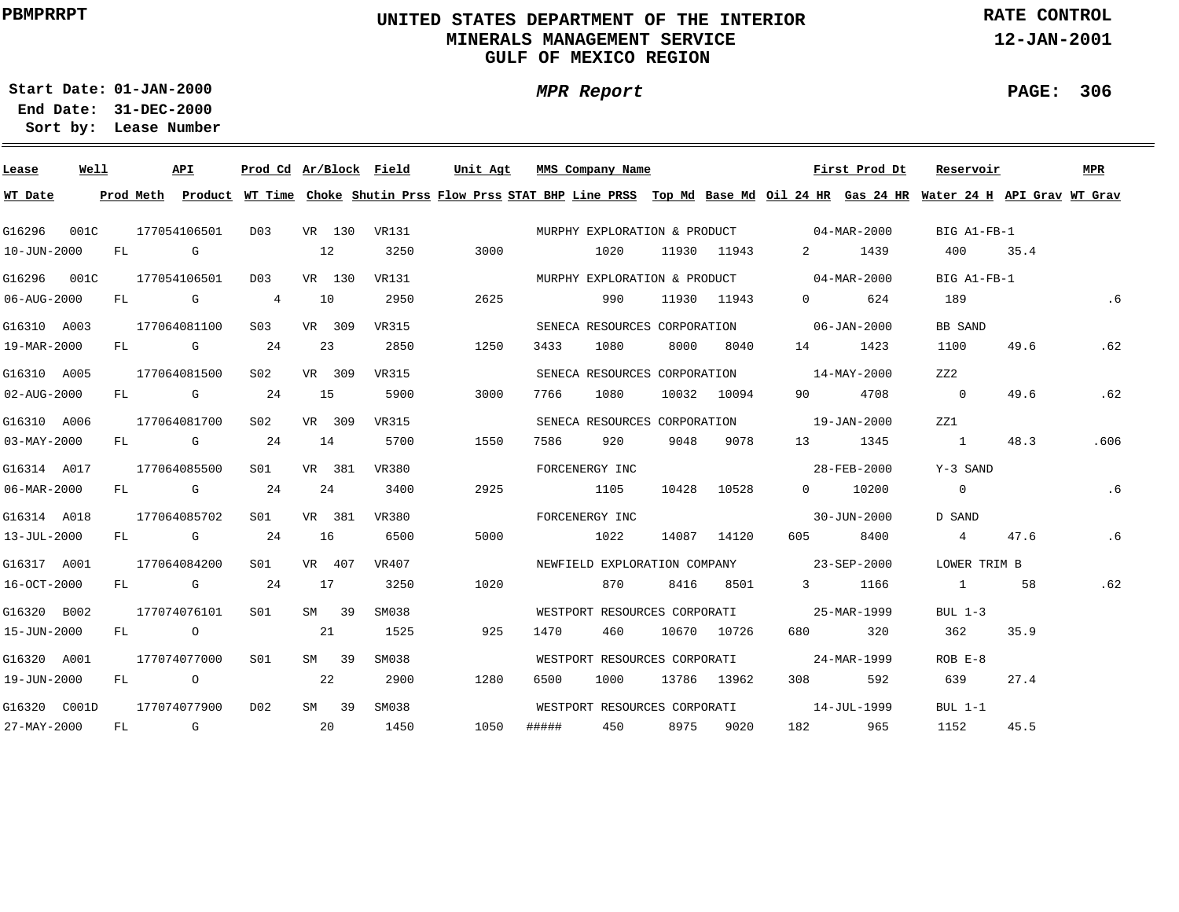# **UNITED STATES DEPARTMENT OF THE INTERIOR MINERALS MANAGEMENT SERVICEGULF OF MEXICO REGION**

**MPR Report**

**RATE CONTROL**

**12-JAN-2001**

**PAGE: 306**

÷

**01-JAN-2000Start Date:**

| Lease             | Well |           |                | API      | Prod Cd Ar/Block Field |      |        |       | Unit Agt |     |       | MMS Company Name             |      |             |                                                                                                                                                                                                                                                                                                                                    | First Prod Dt | Reservoir                                                                                                                     |      | <b>MPR</b> |
|-------------------|------|-----------|----------------|----------|------------------------|------|--------|-------|----------|-----|-------|------------------------------|------|-------------|------------------------------------------------------------------------------------------------------------------------------------------------------------------------------------------------------------------------------------------------------------------------------------------------------------------------------------|---------------|-------------------------------------------------------------------------------------------------------------------------------|------|------------|
| WT Date           |      | Prod Meth |                |          |                        |      |        |       |          |     |       |                              |      |             |                                                                                                                                                                                                                                                                                                                                    |               | Product WT Time Choke Shutin Prss Flow Prss STAT BHP Line PRSS Top Md Base Md Oil 24 HR Gas 24 HR Water 24 H API Grav WT Grav |      |            |
| G16296            | 001C |           | 177054106501   |          | D03                    |      | VR 130 | VR131 |          |     |       |                              |      |             | MURPHY EXPLORATION & PRODUCT 04-MAR-2000                                                                                                                                                                                                                                                                                           |               | BIG A1-FB-1                                                                                                                   |      |            |
| 10-JUN-2000       |      | FL        | <b>G</b> G     |          |                        | 12   |        | 3250  | 3000     |     |       | 1020                         |      | 11930 11943 | $\mathbf{2}$                                                                                                                                                                                                                                                                                                                       | 1439          | 400                                                                                                                           | 35.4 |            |
| G16296            | 001C |           | 177054106501   |          | D03                    |      | VR 130 | VR131 |          |     |       |                              |      |             | MURPHY EXPLORATION & PRODUCT 04-MAR-2000                                                                                                                                                                                                                                                                                           |               | BIG A1-FB-1                                                                                                                   |      |            |
| 06-AUG-2000       |      | FL        |                | <b>G</b> | $\overline{4}$         | 10   |        | 2950  | 2625     |     |       | 990                          |      | 11930 11943 | $\overline{0}$ and $\overline{0}$ and $\overline{0}$ and $\overline{0}$ and $\overline{0}$ and $\overline{0}$ and $\overline{0}$ and $\overline{0}$ and $\overline{0}$ and $\overline{0}$ and $\overline{0}$ and $\overline{0}$ and $\overline{0}$ and $\overline{0}$ and $\overline{0}$ and $\overline{0}$ and $\overline{0}$ and | 624           | 189                                                                                                                           |      | . 6        |
| G16310 A003       |      |           | 177064081100   |          | S03                    |      | VR 309 | VR315 |          |     |       |                              |      |             | SENECA RESOURCES CORPORATION 06-JAN-2000                                                                                                                                                                                                                                                                                           |               | BB SAND                                                                                                                       |      |            |
| 19-MAR-2000       |      |           | FL G           |          | 24                     |      | 23     | 2850  | 1250     |     | 3433  | 1080                         | 8000 | 8040        | 14                                                                                                                                                                                                                                                                                                                                 | 1423          | 1100                                                                                                                          | 49.6 | .62        |
| G16310 A005       |      |           | 177064081500   |          | S02                    |      | VR 309 | VR315 |          |     |       | SENECA RESOURCES CORPORATION |      |             | 14-MAY-2000                                                                                                                                                                                                                                                                                                                        |               | ZZ2                                                                                                                           |      |            |
| 02-AUG-2000       |      |           | FL G           |          | 24                     | - 15 |        | 5900  | 3000     |     | 7766  | 1080                         |      | 10032 10094 | 90 — 10                                                                                                                                                                                                                                                                                                                            | 4708          | $\overline{0}$                                                                                                                | 49.6 | .62        |
| G16310 A006       |      |           | 177064081700   |          | S02                    |      | VR 309 | VR315 |          |     |       | SENECA RESOURCES CORPORATION |      |             | 19-JAN-2000                                                                                                                                                                                                                                                                                                                        |               | ZZ1                                                                                                                           |      |            |
| $03 - MAX - 2000$ |      |           |                | FL G     | 24                     | 14   |        | 5700  | 1550     |     | 7586  | 920                          | 9048 | 9078        | 13                                                                                                                                                                                                                                                                                                                                 | 1345          | $\sim$ 1                                                                                                                      | 48.3 | .606       |
| G16314 A017       |      |           | 177064085500   |          | SO1                    |      | VR 381 | VR380 |          |     |       | FORCENERGY INC               |      |             |                                                                                                                                                                                                                                                                                                                                    | 28-FEB-2000   | Y-3 SAND                                                                                                                      |      |            |
| 06-MAR-2000       |      |           |                | FL G     | 24                     |      | 24     | 3400  | 2925     |     |       | 1105                         |      | 10428 10528 |                                                                                                                                                                                                                                                                                                                                    | 0 10200       | $\overline{0}$                                                                                                                |      | .6         |
| G16314 A018       |      |           | 177064085702   |          | S01                    |      | VR 381 | VR380 |          |     |       | FORCENERGY INC               |      |             |                                                                                                                                                                                                                                                                                                                                    | 30-JUN-2000   | D SAND                                                                                                                        |      |            |
| 13-JUL-2000       |      |           |                | FL G     | 24                     | 16   |        | 6500  | 5000     |     |       | 1022                         |      | 14087 14120 | 605 — 100                                                                                                                                                                                                                                                                                                                          | 8400          | $4\overline{4}$                                                                                                               | 47.6 | .6         |
| G16317 A001       |      |           | 177064084200   |          | S <sub>01</sub>        |      | VR 407 | VR407 |          |     |       |                              |      |             | NEWFIELD EXPLORATION COMPANY 23-SEP-2000                                                                                                                                                                                                                                                                                           |               | LOWER TRIM B                                                                                                                  |      |            |
| 16-OCT-2000       |      |           | FL G           |          | 24                     | 17   |        | 3250  | 1020     |     |       | 870                          |      | 8416 8501   |                                                                                                                                                                                                                                                                                                                                    | 3 1166        | $\sim$ 1                                                                                                                      | 58   | .62        |
| G16320 B002       |      |           | 177074076101   |          | SO1                    |      | SM 39  | SM038 |          |     |       |                              |      |             | WESTPORT RESOURCES CORPORATI 25-MAR-1999                                                                                                                                                                                                                                                                                           |               | BUL 1-3                                                                                                                       |      |            |
| 15-JUN-2000       |      |           | FL O           |          |                        |      | 21     | 1525  |          | 925 | 1470  | 460                          |      | 10670 10726 | 680 700                                                                                                                                                                                                                                                                                                                            | 320           | 362                                                                                                                           | 35.9 |            |
| G16320 A001       |      |           | 177074077000   |          | S <sub>01</sub>        |      | SM 39  | SM038 |          |     |       | WESTPORT RESOURCES CORPORATI |      |             | 24-MAR-1999                                                                                                                                                                                                                                                                                                                        |               | $ROB E-8$                                                                                                                     |      |            |
| 19-JUN-2000       |      | FL        | $\overline{a}$ |          |                        |      | 22     | 2900  | 1280     |     | 6500  | 1000                         |      | 13786 13962 | 308 — 10                                                                                                                                                                                                                                                                                                                           | 592           | 639                                                                                                                           | 27.4 |            |
| G16320 C001D      |      |           | 177074077900   |          | D02                    |      | SM 39  | SM038 |          |     |       | WESTPORT RESOURCES CORPORATI |      |             |                                                                                                                                                                                                                                                                                                                                    | 14-JUL-1999   | $BUL$ 1-1                                                                                                                     |      |            |
| 27-MAY-2000       |      | FL        | $\overline{G}$ |          |                        |      | 20     | 1450  | 1050     |     | ##### | 450                          | 8975 | 9020        | 182                                                                                                                                                                                                                                                                                                                                | 965           | 1152                                                                                                                          | 45.5 |            |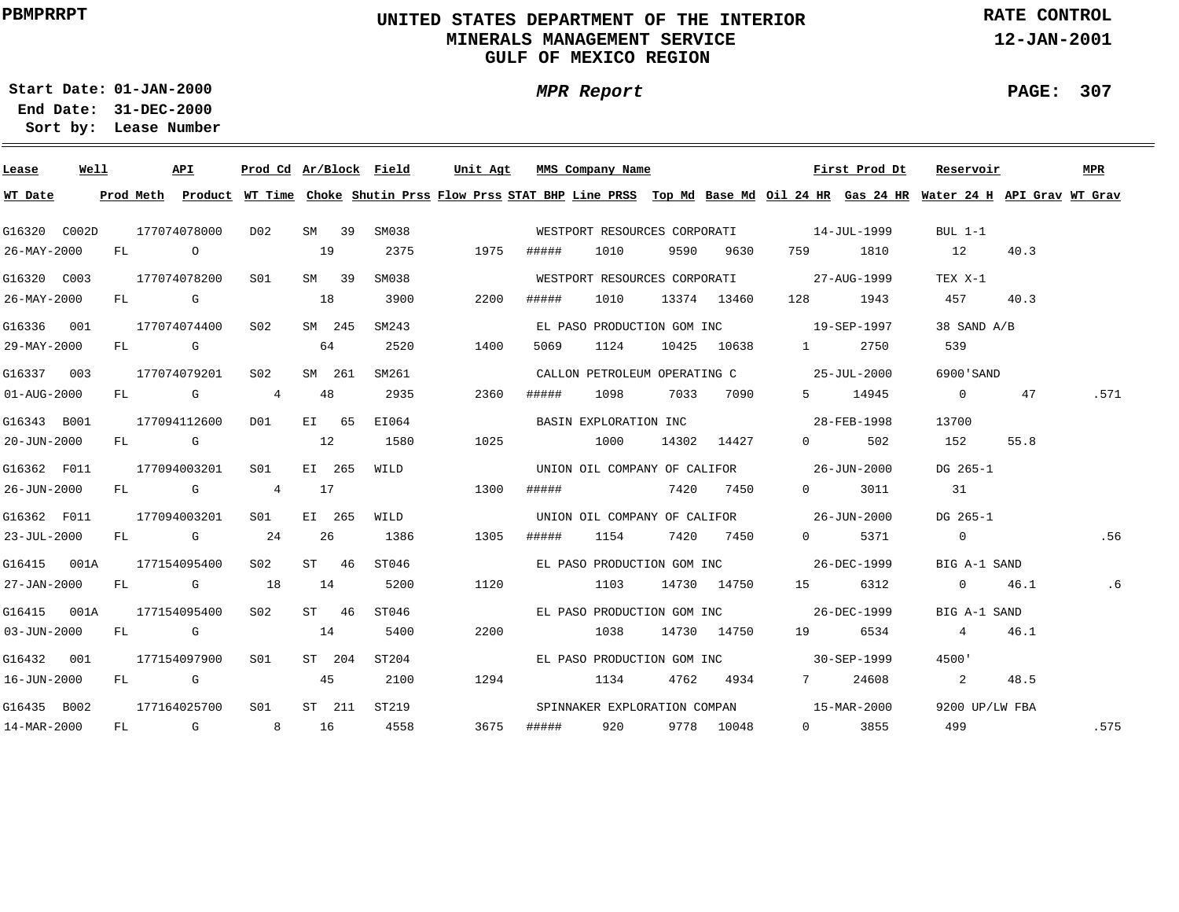# **UNITED STATES DEPARTMENT OF THE INTERIOR MINERALS MANAGEMENT SERVICEGULF OF MEXICO REGION**

**MPR Report**

**RATE CONTROL**

**12-JAN-2001**

**PAGE: 307**

-

**01-JAN-2000Start Date:31-DEC-2000 End Date:** 

| Lease                    | Well |    |      | API                                                                                                                                                                                                                            | Prod Cd Ar/Block Field |    |         |              | Unit Agt |       | MMS Company Name      |      |                  |                                          | First Prod Dt                            | Reservoir                                                                                                                               |      | <b>MPR</b> |
|--------------------------|------|----|------|--------------------------------------------------------------------------------------------------------------------------------------------------------------------------------------------------------------------------------|------------------------|----|---------|--------------|----------|-------|-----------------------|------|------------------|------------------------------------------|------------------------------------------|-----------------------------------------------------------------------------------------------------------------------------------------|------|------------|
| WT Date                  |      |    |      |                                                                                                                                                                                                                                |                        |    |         |              |          |       |                       |      |                  |                                          |                                          | Prod Meth Product WT Time Choke Shutin Prss Flow Prss STAT BHP Line PRSS Top Md Base Md Oil 24 HR Gas 24 HR Water 24 H API Grav WT Grav |      |            |
| G16320 C002D             |      |    |      | 177074078000                                                                                                                                                                                                                   | D02                    |    | SM 39   | SM038        |          |       |                       |      |                  | WESTPORT RESOURCES CORPORATI 14-JUL-1999 |                                          | $BUL$ 1-1                                                                                                                               |      |            |
| 26-MAY-2000              |      |    | FL O |                                                                                                                                                                                                                                |                        | 19 |         | 2375         | 1975     | ##### | 1010                  |      | 9590 9630        |                                          | 759 1810                                 | 12                                                                                                                                      | 40.3 |            |
| G16320 C003              |      |    |      | 177074078200                                                                                                                                                                                                                   | S01                    |    | SM 39   | SM038        |          |       |                       |      |                  | WESTPORT RESOURCES CORPORATI 27-AUG-1999 |                                          | TEX X-1                                                                                                                                 |      |            |
| 26-MAY-2000              |      |    |      | FL G                                                                                                                                                                                                                           |                        | 18 |         | 3900         | 2200     | ##### | 1010                  |      | 13374 13460      | 128 — 128                                | 1943                                     | 457                                                                                                                                     | 40.3 |            |
| G16336 001               |      |    |      | 177074074400                                                                                                                                                                                                                   | S02                    |    | SM 245  | SM243        |          |       |                       |      |                  | EL PASO PRODUCTION GOM INC 19-SEP-1997   |                                          | 38 SAND A/B                                                                                                                             |      |            |
| 29-MAY-2000              |      |    |      | $FL$ G                                                                                                                                                                                                                         |                        | 64 |         | 2520         | 1400     | 5069  | 1124                  |      | 10425 10638      |                                          | 1 2750                                   | 539                                                                                                                                     |      |            |
| G16337 003               |      |    |      | 177074079201                                                                                                                                                                                                                   | S02                    |    | SM 261  | SM261        |          |       |                       |      |                  | CALLON PETROLEUM OPERATING C 25-JUL-2000 |                                          | 6900'SAND                                                                                                                               |      |            |
| $01 - \text{AUG} - 2000$ |      | FL |      | and the Company of the Company of the Company of the Company of the Company of the Company of the Company of the Company of the Company of the Company of the Company of the Company of the Company of the Company of the Comp | $\overline{4}$         | 48 |         | 2935         | 2360     | ##### | 1098                  | 7033 | 7090             |                                          | 5 14945                                  | $\Omega$                                                                                                                                | 47   | .571       |
| G16343 B001              |      |    |      | 177094112600                                                                                                                                                                                                                   | DO1                    |    | EI 65   | EI064        |          |       | BASIN EXPLORATION INC |      |                  |                                          | 28-FEB-1998                              | 13700                                                                                                                                   |      |            |
| 20-JUN-2000              |      |    |      | FL G                                                                                                                                                                                                                           |                        | 12 |         | 1580         | 1025     |       | 1000                  |      | 14302 14427      | $\Omega$ and $\Omega$                    | 502                                      | 152                                                                                                                                     | 55.8 |            |
| G16362 F011              |      |    |      | 177094003201                                                                                                                                                                                                                   | S01                    |    | EI 265  | WILD         |          |       |                       |      |                  | UNION OIL COMPANY OF CALIFOR 26-JUN-2000 |                                          | DG 265-1                                                                                                                                |      |            |
| $26 - JUN - 2000$        |      |    |      | FL G                                                                                                                                                                                                                           | $\overline{4}$         | 17 |         |              | 1300     |       |                       |      | 7420 7450        | $\Omega$                                 | 3011                                     | 31                                                                                                                                      |      |            |
| G16362 F011              |      |    |      | 177094003201                                                                                                                                                                                                                   | S01                    |    | EI 265  | WILD         |          |       |                       |      |                  | UNION OIL COMPANY OF CALIFOR 26-JUN-2000 |                                          | DG 265-1                                                                                                                                |      |            |
| $23 - JUL - 2000$        |      |    |      | FL G                                                                                                                                                                                                                           | 24                     | 26 |         | 1386         | 1305     | ##### | 1154                  |      | 7420 7450        |                                          | 0 5371                                   | $\overline{0}$                                                                                                                          |      | .56        |
| G16415 001A              |      |    |      | 177154095400                                                                                                                                                                                                                   | S02                    |    | ST 46   | ST046        |          |       |                       |      |                  | EL PASO PRODUCTION GOM INC 26-DEC-1999   |                                          | BIG A-1 SAND                                                                                                                            |      |            |
| 27-JAN-2000              |      |    |      | FL G                                                                                                                                                                                                                           | 18                     | 14 |         | 5200         | 1120     |       |                       |      | 1103 14730 14750 |                                          | 15 6312                                  | 0 $46.1$                                                                                                                                |      | .6         |
| G16415 001A              |      |    |      | 177154095400                                                                                                                                                                                                                   | S02                    |    | $ST$ 46 | ST046        |          |       |                       |      |                  | EL PASO PRODUCTION GOM INC 36-DEC-1999   |                                          | BIG A-1 SAND                                                                                                                            |      |            |
| $03 - JUN - 2000$        |      |    |      | FL G                                                                                                                                                                                                                           |                        | 14 |         | 5400         | 2200     |       | 1038                  |      | 14730 14750      |                                          | 19 6534                                  | $\overline{4}$                                                                                                                          | 46.1 |            |
| G16432 001               |      |    |      | 177154097900                                                                                                                                                                                                                   | S01                    |    | ST 204  | ST204        |          |       |                       |      |                  | EL PASO PRODUCTION GOM INC 30-SEP-1999   |                                          | 4500'                                                                                                                                   |      |            |
| 16-JUN-2000              |      |    |      | FL G                                                                                                                                                                                                                           |                        | 45 |         | 2100         | 1294     |       | 1134                  |      | 4762 4934        |                                          | 7 24608                                  | $\sim$ 2                                                                                                                                | 48.5 |            |
| G16435 B002              |      |    |      | 177164025700                                                                                                                                                                                                                   | S01                    |    |         | ST 211 ST219 |          |       |                       |      |                  |                                          | SPINNAKER EXPLORATION COMPAN 15-MAR-2000 | 9200 UP/LW FBA                                                                                                                          |      |            |
| 14-MAR-2000              |      |    |      | FL G 8                                                                                                                                                                                                                         |                        | 16 |         | 4558         | 3675     | ##### | 920                   |      | 9778 10048       |                                          | $0$ 3855                                 | 499                                                                                                                                     |      | .575       |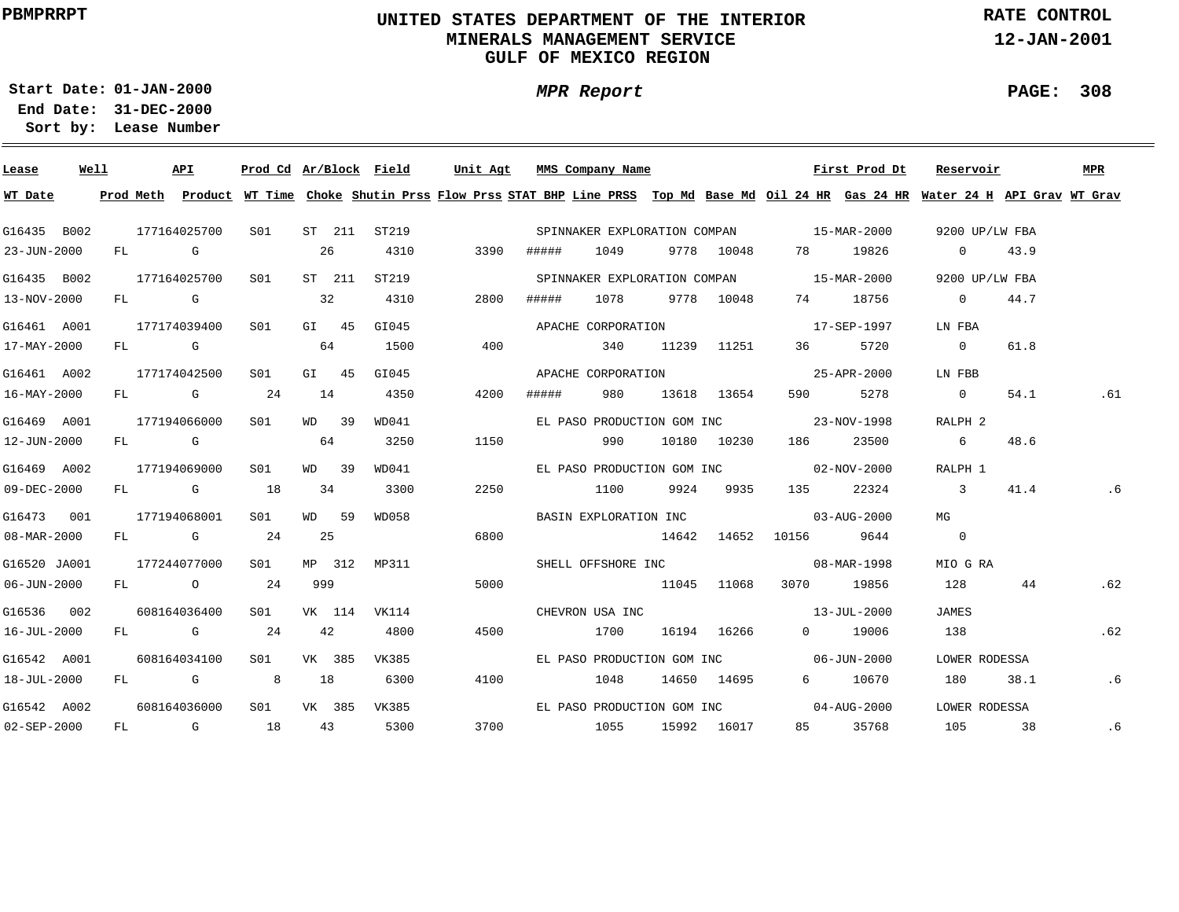# **UNITED STATES DEPARTMENT OF THE INTERIOR MINERALS MANAGEMENT SERVICEGULF OF MEXICO REGION**

**MPR Report**

**RATE CONTROL**

**12-JAN-2001**

**PAGE: 308**

÷

**01-JAN-2000Start Date:31-DEC-2000 End Date:** 

| Lease             | Well |    |                                                                                                                                                                                                                                | API          | Prod Cd Ar/Block Field |     |         |              | Unit Agt |       | MMS Company Name             |             |                                          | First Prod Dt | Reservoir                                                                                                                               |      | <b>MPR</b> |
|-------------------|------|----|--------------------------------------------------------------------------------------------------------------------------------------------------------------------------------------------------------------------------------|--------------|------------------------|-----|---------|--------------|----------|-------|------------------------------|-------------|------------------------------------------|---------------|-----------------------------------------------------------------------------------------------------------------------------------------|------|------------|
| WT Date           |      |    |                                                                                                                                                                                                                                |              |                        |     |         |              |          |       |                              |             |                                          |               | Prod Meth Product WT Time Choke Shutin Prss Flow Prss STAT BHP Line PRSS Top Md Base Md Oil 24 HR Gas 24 HR Water 24 H API Grav WT Grav |      |            |
| G16435 B002       |      |    |                                                                                                                                                                                                                                | 177164025700 | S01                    |     |         | ST 211 ST219 |          |       |                              |             | SPINNAKER EXPLORATION COMPAN 15-MAR-2000 |               | 9200 UP/LW FBA                                                                                                                          |      |            |
| 23-JUN-2000       |      |    | FL G                                                                                                                                                                                                                           |              |                        |     | 26      | 4310         | 3390     | ##### | 1049                         | 9778 10048  |                                          | 78 19826      | $\overline{0}$                                                                                                                          | 43.9 |            |
| G16435 B002       |      |    |                                                                                                                                                                                                                                | 177164025700 | S01                    |     | ST 211  | ST219        |          |       | SPINNAKER EXPLORATION COMPAN |             | 15-MAR-2000                              |               | 9200 UP/LW FBA                                                                                                                          |      |            |
| 13-NOV-2000       |      |    |                                                                                                                                                                                                                                | FL G         |                        |     | 32      | 4310         | 2800     | ##### | 1078                         | 9778 10048  | 74                                       | 18756         | $\overline{\phantom{0}}$                                                                                                                | 44.7 |            |
| G16461 A001       |      |    |                                                                                                                                                                                                                                | 177174039400 | S01                    |     | $G1$ 45 | GI045        |          |       | APACHE CORPORATION           |             |                                          | 17-SEP-1997   | LN FBA                                                                                                                                  |      |            |
| 17-MAY-2000       |      | FL | and the control of the control of the control of the control of the control of the control of the control of the control of the control of the control of the control of the control of the control of the control of the cont |              |                        |     | 64      | 1500         | 400      |       | 340                          | 11239 11251 | 36 — 1                                   | 5720          | $\overline{0}$                                                                                                                          | 61.8 |            |
| G16461 A002       |      |    |                                                                                                                                                                                                                                | 177174042500 | SO1                    |     | GI 45   | GI045        |          |       | APACHE CORPORATION           |             |                                          | 25-APR-2000   | LN FBB                                                                                                                                  |      |            |
| 16-MAY-2000       |      | FL |                                                                                                                                                                                                                                | $\mathbb G$  | 24                     | 14  |         | 4350         | 4200     | ##### | 980                          | 13618 13654 | 590                                      | 5278          | $\overline{\phantom{0}}$                                                                                                                | 54.1 | .61        |
| G16469 A001       |      |    |                                                                                                                                                                                                                                | 177194066000 | S01                    |     | WD 39   | WD041        |          |       | EL PASO PRODUCTION GOM INC   |             |                                          | 23-NOV-1998   | RALPH 2                                                                                                                                 |      |            |
| 12-JUN-2000       |      |    | FL G                                                                                                                                                                                                                           |              |                        |     | 64      | 3250         | 1150     |       | 990                          | 10180 10230 | 186                                      | 23500         | 6                                                                                                                                       | 48.6 |            |
| G16469 A002       |      |    |                                                                                                                                                                                                                                | 177194069000 | SO1                    |     | WD 39   | WD041        |          |       |                              |             | EL PASO PRODUCTION GOM INC 02-NOV-2000   |               | RALPH 1                                                                                                                                 |      |            |
| $09 - DEC - 2000$ |      |    |                                                                                                                                                                                                                                | FL G         | 18                     |     | 34      | 3300         | 2250     |       | 1100                         | 9924 9935   | 135                                      | 22324         | $\sim$ 3                                                                                                                                | 41.4 | . 6        |
| G16473 001        |      |    |                                                                                                                                                                                                                                | 177194068001 | S01                    |     | WD 59   | WD058        |          |       |                              |             | BASIN EXPLORATION INC 03-AUG-2000        |               | MG                                                                                                                                      |      |            |
| 08-MAR-2000       |      |    |                                                                                                                                                                                                                                | FL G         | 24                     |     | 25      |              | 6800     |       |                              | 14642 14652 | 10156 9644                               |               | $\overline{0}$                                                                                                                          |      |            |
| G16520 JA001      |      |    |                                                                                                                                                                                                                                | 177244077000 | SO1 SO                 |     | MP 312  | MP311        |          |       | SHELL OFFSHORE INC           |             |                                          | 08-MAR-1998   | MIO G RA                                                                                                                                |      |            |
| $06 - JUN - 2000$ |      |    |                                                                                                                                                                                                                                | FL O         | 24                     | 999 |         |              | 5000     |       | 11045 11068                  |             | 3070 19856                               |               | 128                                                                                                                                     | 44   | .62        |
| G16536 002        |      |    |                                                                                                                                                                                                                                | 608164036400 | SO1                    |     | VK 114  | VK114        |          |       | CHEVRON USA INC              |             | $13 - JUL - 2000$                        |               | JAMES                                                                                                                                   |      |            |
| 16-JUL-2000       |      |    |                                                                                                                                                                                                                                | FL G         | 24                     |     | 42      | 4800         | 4500     |       | 1700                         | 16194 16266 |                                          | 0 19006       | 138                                                                                                                                     |      | .62        |
| G16542 A001       |      |    |                                                                                                                                                                                                                                | 608164034100 | S01                    |     | VK 385  | VK385        |          |       |                              |             | EL PASO PRODUCTION GOM INC 06-JUN-2000   |               | LOWER RODESSA                                                                                                                           |      |            |
| 18-JUL-2000       |      |    |                                                                                                                                                                                                                                | FL G         |                        | 18  |         | 6300         | 4100     |       | 1048                         | 14650 14695 |                                          | 6 10670       | 180                                                                                                                                     | 38.1 | .6         |
| G16542 A002       |      |    |                                                                                                                                                                                                                                | 608164036000 | S01 <b>S</b>           |     | VK 385  | VK385        |          |       |                              |             | EL PASO PRODUCTION GOM INC 04-AUG-2000   |               | LOWER RODESSA                                                                                                                           |      |            |
| $02 - SEP - 2000$ |      | FL |                                                                                                                                                                                                                                | $\mathbb G$  | 18                     |     | 43      | 5300         | 3700     |       | 1055                         | 15992 16017 |                                          | 85 35768      | 105                                                                                                                                     | 38   | .6         |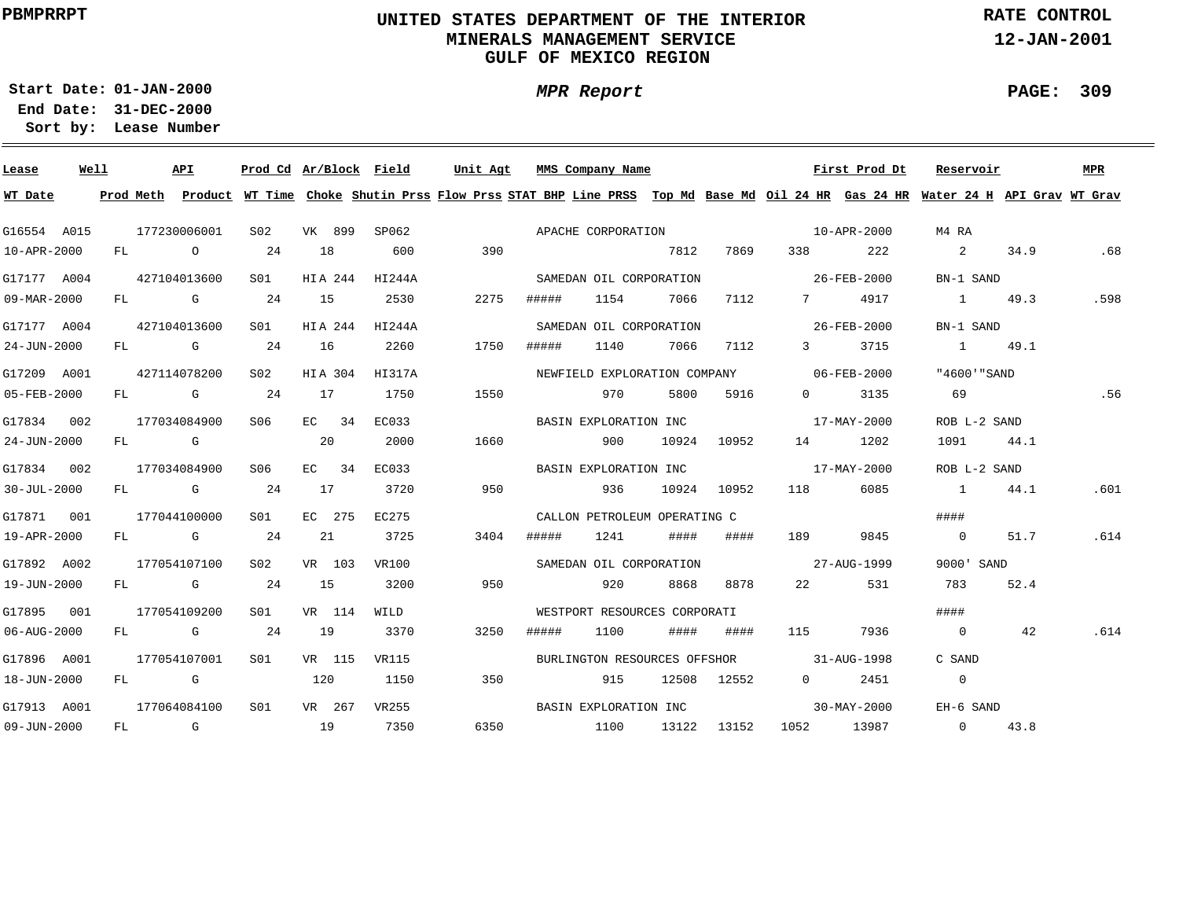# **UNITED STATES DEPARTMENT OF THE INTERIOR MINERALS MANAGEMENT SERVICEGULF OF MEXICO REGION**

**MPR Report**

**RATE CONTROL**

**12-JAN-2001**

**PAGE: 309**

÷

**01-JAN-2000Start Date:31-DEC-2000 End Date:** 

| Lease                    | Well |  | API          |              |        |         | Prod Cd Ar/Block Field | Unit Agt |       | MMS Company Name             |      |             |                                          | First Prod Dt | Reservoir                                                                                                                               |      | MPR  |
|--------------------------|------|--|--------------|--------------|--------|---------|------------------------|----------|-------|------------------------------|------|-------------|------------------------------------------|---------------|-----------------------------------------------------------------------------------------------------------------------------------------|------|------|
| WT Date                  |      |  |              |              |        |         |                        |          |       |                              |      |             |                                          |               | Prod Meth Product WT Time Choke Shutin Prss Flow Prss STAT BHP Line PRSS Top Md Base Md Oil 24 HR Gas 24 HR Water 24 H API Grav WT Grav |      |      |
| G16554 A015              |      |  | 177230006001 | S02          |        |         | VK 899 SP062           |          |       |                              |      |             |                                          |               | M4 RA                                                                                                                                   |      |      |
| 10-APR-2000              |      |  | FL O         | 24           | 18     |         | 600                    | 390      |       |                              | 7812 | 7869        | 338 33                                   | 222           | $\sim$ 2                                                                                                                                | 34.9 | .68  |
| G17177 A004              |      |  | 427104013600 | S01 <b>S</b> |        |         | HIA 244 HI244A         |          |       | SAMEDAN OIL CORPORATION      |      |             | $26 - \text{FEB} - 2000$                 |               | BN-1 SAND                                                                                                                               |      |      |
| $09 - \text{MAR} - 2000$ |      |  | FL G         | 24           | 15     |         | 2530                   | 2275     | ##### | 1154                         | 7066 |             | 7112 7                                   | 4917          | 1 49.3                                                                                                                                  |      | .598 |
| G17177 A004              |      |  | 427104013600 | S01          |        |         | HIA 244 HI244A         |          |       | SAMEDAN OIL CORPORATION      |      |             | $26 - \text{FEB} - 2000$                 |               | BN-1 SAND                                                                                                                               |      |      |
| 24-JUN-2000              |      |  | $FL$ G 24    |              | 16     |         | 2260                   | 1750     | ##### | 1140                         | 7066 | 7112        | $\overline{3}$                           | 3715          | 1 49.1                                                                                                                                  |      |      |
| G17209 A001              |      |  | 427114078200 | S02          |        | HIA 304 | HI317A                 |          |       |                              |      |             | NEWFIELD EXPLORATION COMPANY 06-FEB-2000 |               | "4600'"SAND                                                                                                                             |      |      |
| 05-FEB-2000              |      |  | $FL$ G 24    |              | 17     |         | 1750                   | 1550     |       | 970                          | 5800 | 5916        | $\Omega$                                 | 3135          | 69                                                                                                                                      |      | .56  |
| G17834 002               |      |  | 177034084900 | S06 -        |        | $EC$ 34 | EC033                  |          |       | BASIN EXPLORATION INC        |      |             |                                          | 17-MAY-2000   | ROB L-2 SAND                                                                                                                            |      |      |
| 24-JUN-2000              |      |  | FL G         |              | 20     |         | 2000                   | 1660     |       | 900                          |      | 10924 10952 |                                          | 14 1202       | 1091 44.1                                                                                                                               |      |      |
| G17834 002               |      |  | 177034084900 | S06          |        | EC 34   | EC033                  |          |       |                              |      |             | BASIN EXPLORATION INC 17-MAY-2000        |               | ROB L-2 SAND                                                                                                                            |      |      |
| $30 - JUL - 2000$        |      |  | $FL$ G 24    |              | 17     |         | 3720                   | 950      |       | 936                          |      | 10924 10952 | 118                                      | 6085          | 1 44.1                                                                                                                                  |      | .601 |
| G17871 001               |      |  | 177044100000 | S01          | EC 275 |         | EC275                  |          |       | CALLON PETROLEUM OPERATING C |      |             |                                          |               | ####                                                                                                                                    |      |      |
| 19-APR-2000              |      |  | $FL$ G 24    |              | 21     |         | 3725                   | 3404     | ##### | 1241                         | #### | ####        | 189                                      | 9845          | $\overline{0}$                                                                                                                          | 51.7 | .614 |
| G17892 A002              |      |  | 177054107100 | S02          |        | VR 103  | VR100                  |          |       | SAMEDAN OIL CORPORATION      |      |             | 27-AUG-1999                              |               | 9000' SAND                                                                                                                              |      |      |
| 19-JUN-2000              |      |  | $FL$ G 24    |              | 15     |         | 3200                   | 950      |       | 920                          | 8868 | 8878        | 22 and $\sim$                            | 531           | 783                                                                                                                                     | 52.4 |      |
| G17895 001               |      |  | 177054109200 | S01          |        | VR 114  | WILD                   |          |       | WESTPORT RESOURCES CORPORATI |      |             |                                          |               | ####                                                                                                                                    |      |      |
| 06-AUG-2000              |      |  | $FL$ G 24    |              | 19     |         | 3370                   | 3250     | ##### | 1100                         | #### | ####        | 115                                      | 7936          | $\sim$ 0                                                                                                                                | 42   | .614 |
| G17896 A001              |      |  | 177054107001 | S01 <b>S</b> |        |         | VR 115 VR115           |          |       |                              |      |             | BURLINGTON RESOURCES OFFSHOR 31-AUG-1998 |               | C SAND                                                                                                                                  |      |      |
| 18-JUN-2000              |      |  | FL G         |              | 120    |         | 1150                   | 350      |       | 915                          |      | 12508 12552 | $0 \qquad \qquad$                        | 2451          | $\overline{0}$                                                                                                                          |      |      |
| G17913 A001              |      |  | 177064084100 | S01          |        | VR 267  | VR255                  |          |       |                              |      |             | BASIN EXPLORATION INC 30-MAY-2000        |               | EH-6 SAND                                                                                                                               |      |      |
| $09 - JUN - 2000$        |      |  | FL G         | 19           |        |         | 7350                   |          |       |                              |      |             | 6350 1100 13122 13152 1052 13987         |               | $0 \t 43.8$                                                                                                                             |      |      |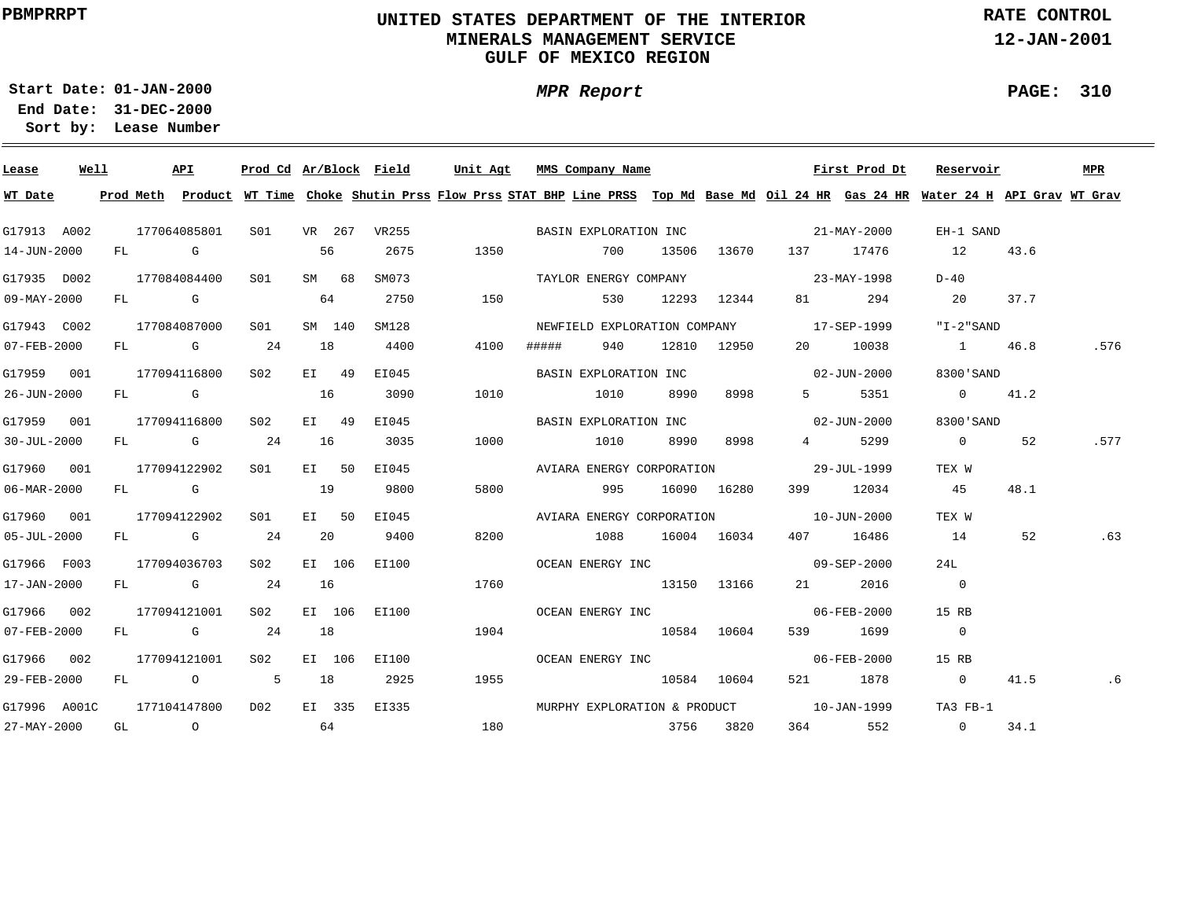# **UNITED STATES DEPARTMENT OF THE INTERIOR MINERALS MANAGEMENT SERVICEGULF OF MEXICO REGION**

**MPR Report**

**RATE CONTROL**

**12-JAN-2001**

**PAGE: 310**

**01-JAN-2000Start Date:31-DEC-2000 End Date:** 

| Lease             | Well | API          |                 |    |        | Prod Cd Ar/Block Field | Unit Agt MMS Company Name |       |                       |       |             |                                          | First Prod Dt | Reservoir                                                                                                                               |      | MPR  |
|-------------------|------|--------------|-----------------|----|--------|------------------------|---------------------------|-------|-----------------------|-------|-------------|------------------------------------------|---------------|-----------------------------------------------------------------------------------------------------------------------------------------|------|------|
| WT Date           |      |              |                 |    |        |                        |                           |       |                       |       |             |                                          |               | Prod Meth Product WT Time Choke Shutin Prss Flow Prss STAT BHP Line PRSS Top Md Base Md Oil 24 HR Gas 24 HR Water 24 H API Grav WT Grav |      |      |
| G17913 A002       |      | 177064085801 |                 |    |        | S01 VR 267 VR255       |                           |       | BASIN EXPLORATION INC |       |             | $21 - \text{MAX} - 2000$                 |               | EH-1 SAND                                                                                                                               |      |      |
| 14-JUN-2000       |      | FL G         |                 | 56 |        | 2675                   | 1350                      |       | 700                   | 13506 |             | 13670 137 17476                          |               | 12                                                                                                                                      | 43.6 |      |
| G17935 D002       |      | 177084084400 | S01 <b>S</b>    |    | SM 68  | SM073                  |                           |       | TAYLOR ENERGY COMPANY |       |             | $23 - \text{MAX} - 1998$                 |               | D-40                                                                                                                                    |      |      |
| 09-MAY-2000       |      | FL G         |                 | 64 |        | 2750                   | 150                       |       | 530                   |       | 12293 12344 | 81 — 100                                 | 294           | 20 37.7                                                                                                                                 |      |      |
| G17943 C002       |      | 177084087000 | S01             |    | SM 140 | SM128                  |                           |       |                       |       |             | NEWFIELD EXPLORATION COMPANY 17-SEP-1999 |               | "I-2"SAND                                                                                                                               |      |      |
| 07-FEB-2000       |      | FL G 24      |                 | 18 |        | 4400                   | 4100                      | ##### | 940 —                 |       | 12810 12950 |                                          | 20 10038      | 1 46.8                                                                                                                                  |      | .576 |
| G17959 001        |      | 177094116800 | S <sub>02</sub> |    | EI 49  | EI045                  |                           |       | BASIN EXPLORATION INC |       |             | $02 - JUN - 2000$                        |               | 8300 SAND                                                                                                                               |      |      |
| 26-JUN-2000       |      | FL G         |                 | 16 |        | 3090                   | 1010                      |       | 1010                  | 8990  | 8998        | $5 - 1$                                  | 5351          | $0 \t 41.2$                                                                                                                             |      |      |
| G17959 001        |      | 177094116800 | S02             |    | EI 49  | EI045                  |                           |       |                       |       |             | BASIN EXPLORATION INC 02-JUN-2000        |               | 8300'SAND                                                                                                                               |      |      |
| $30 - JUL - 2000$ |      | $FL$ G 24    |                 | 16 |        | 3035                   | 1000                      |       | 1010 8990 8998        |       |             |                                          | 4 5299        | $\overline{0}$                                                                                                                          | 52   | .577 |
| G17960 001        |      | 177094122902 | SO1 SO          |    | EI 50  | EI045                  |                           |       |                       |       |             | AVIARA ENERGY CORPORATION 29-JUL-1999    |               | TEX W                                                                                                                                   |      |      |
| 06-MAR-2000       |      | FL G         |                 | 19 |        | 9800                   | 5800                      |       | 995                   |       | 16090 16280 |                                          | 399 12034     | 45                                                                                                                                      | 48.1 |      |
| G17960 001        |      | 177094122902 | SO1             |    | EI 50  | EI045                  |                           |       |                       |       |             | AVIARA ENERGY CORPORATION 10-JUN-2000    |               | TEX W                                                                                                                                   |      |      |
| $05 - JUL - 2000$ |      | $FL$ G 24    |                 | 20 |        | 9400                   | 8200                      |       | 1088 16004 16034      |       |             |                                          | 407 16486     | 14                                                                                                                                      | 52   | .63  |
| G17966 F003       |      | 177094036703 | S02             |    | EI 106 | EI100                  |                           |       |                       |       |             | OCEAN ENERGY INC 09-SEP-2000             |               | 24L                                                                                                                                     |      |      |
| 17-JAN-2000       |      | FL G         | 24              | 16 |        |                        | 1760                      |       | 13150 13166           |       |             |                                          | 21 2016       | $\overline{0}$                                                                                                                          |      |      |
| G17966 002        |      | 177094121001 | S02             |    | EI 106 | EI100                  |                           |       | OCEAN ENERGY INC      |       |             | $06 - FEB - 2000$                        |               | 15 RB                                                                                                                                   |      |      |
| 07-FEB-2000       |      | FL G 24      |                 | 18 |        |                        | 1904                      |       | 10584 10604           |       |             |                                          | 539 1699      | $\overline{0}$                                                                                                                          |      |      |
| G17966 002        |      | 177094121001 | S02             |    | EI 106 | EI100                  |                           |       | OCEAN ENERGY INC      |       |             | $06 - FEB - 2000$                        |               | 15 RB                                                                                                                                   |      |      |
| 29-FEB-2000       |      |              | FL 0 5 18       |    |        | 2925                   | 1955                      |       | 10584 10604           |       |             |                                          | 521 1878      | $\sim$ 0                                                                                                                                | 41.5 | .6   |
| G17996 A001C      |      | 177104147800 | D02             |    |        | EI 335 EI335           |                           |       |                       |       |             | MURPHY EXPLORATION & PRODUCT 10-JAN-1999 |               | TA3 FB-1                                                                                                                                |      |      |
| 27-MAY-2000       |      |              | $GL$ 0 64       |    |        |                        | 180                       |       |                       |       | 3756 3820   | 364                                      | 552           | $\overline{0}$                                                                                                                          | 34.1 |      |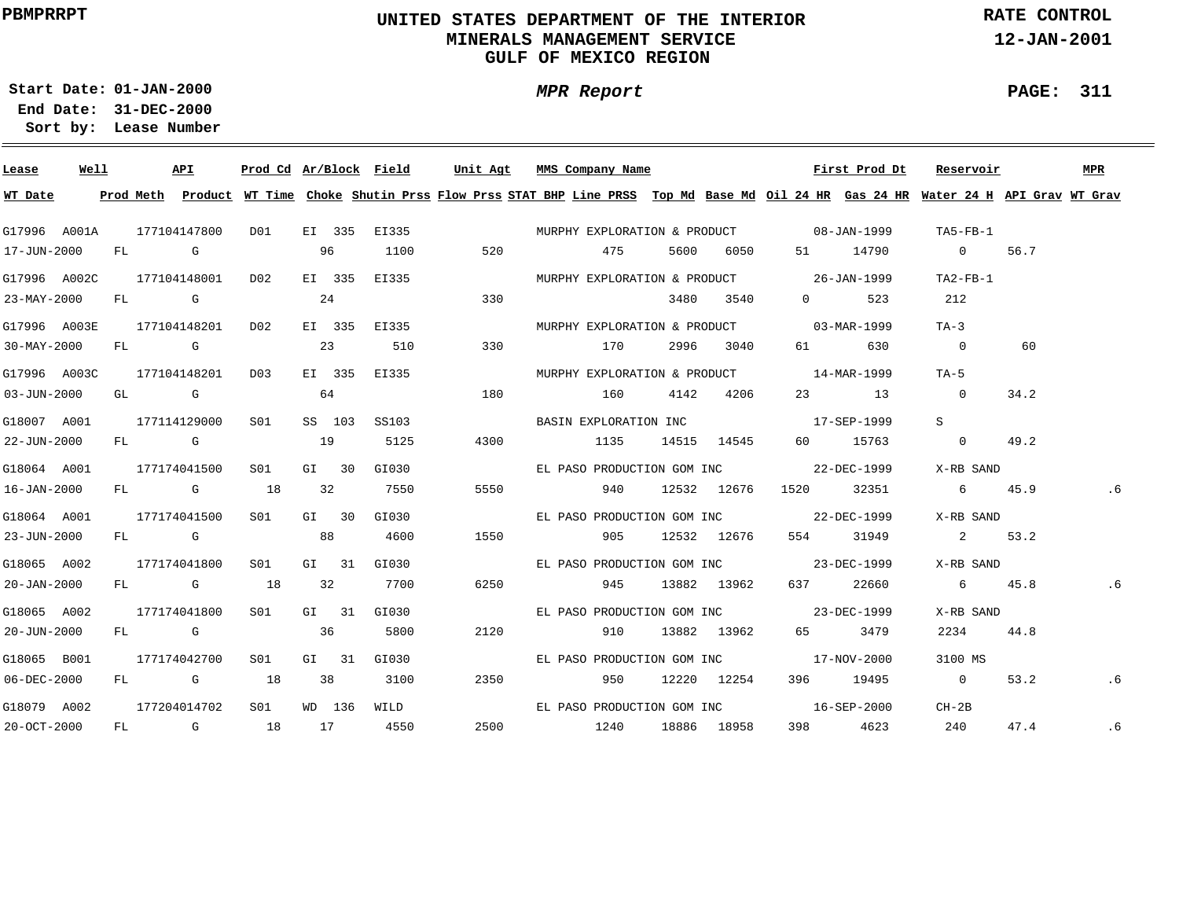# **UNITED STATES DEPARTMENT OF THE INTERIOR MINERALS MANAGEMENT SERVICEGULF OF MEXICO REGION**

**MPR Report**

**RATE CONTROL**

**12-JAN-2001**

**PAGE: 311**

÷

**01-JAN-2000Start Date:31-DEC-2000 End Date:** 

| Lease             | Well |  | API          |                 |       |                | Prod Cd Ar/Block Field | Unit Agt     | MMS Company Name                                                                                                                                                                                                                |                 |             |                           | First Prod Dt | Reservoir      |      | MPR |
|-------------------|------|--|--------------|-----------------|-------|----------------|------------------------|--------------|---------------------------------------------------------------------------------------------------------------------------------------------------------------------------------------------------------------------------------|-----------------|-------------|---------------------------|---------------|----------------|------|-----|
| WT Date           |      |  |              |                 |       |                |                        |              | Prod Meth Product WT Time Choke Shutin Prss Flow Prss STAT BHP Line PRSS Top Md Base Md Oil 24 HR Gas 24 HR Water 24 H API Grav WT Grav                                                                                         |                 |             |                           |               |                |      |     |
| G17996 A001A      |      |  | 177104147800 | DO1             |       |                |                        | EI 335 EI335 | MURPHY EXPLORATION & PRODUCT 08-JAN-1999                                                                                                                                                                                        |                 |             |                           |               | TA5-FB-1       |      |     |
| 17-JUN-2000       |      |  | FL G         |                 | 96    |                | 1100                   | 520          | 475                                                                                                                                                                                                                             | 5600            | 6050 — 100  |                           | 51 14790      | $\overline{0}$ | 56.7 |     |
| G17996 A002C      |      |  | 177104148001 | DO <sub>2</sub> |       | EI 335         | EI335                  |              | MURPHY EXPLORATION & PRODUCT 26-JAN-1999                                                                                                                                                                                        |                 |             |                           |               | TA2-FB-1       |      |     |
| 23-MAY-2000       |      |  | FL G         |                 | 24    |                |                        | 330          |                                                                                                                                                                                                                                 |                 | 3480 3540   | $\overline{0}$            | 523           | 212            |      |     |
| G17996 A003E      |      |  | 177104148201 | DO <sub>2</sub> |       |                | EI 335 EI335           |              | MURPHY EXPLORATION & PRODUCT 03-MAR-1999                                                                                                                                                                                        |                 |             |                           |               | $TA-3$         |      |     |
| 30-MAY-2000       |      |  | FL G         |                 |       | 23             | 510                    | 330          | 170                                                                                                                                                                                                                             |                 | 2996 3040   | 61 — 10                   | 630           | $\sim$ 0       | 60   |     |
| G17996 A003C      |      |  | 177104148201 | D03             |       |                | EI 335 EI335           |              | MURPHY EXPLORATION & PRODUCT 14-MAR-1999                                                                                                                                                                                        |                 |             |                           |               | TA-5           |      |     |
| 03-JUN-2000       |      |  | GL G         |                 | 64    |                |                        | 180          | 160 - 160 - 161 - 162 - 163 - 164 - 165 - 166 - 167 - 168 - 168 - 168 - 169 - 169 - 169 - 169 - 169 - 169 - 169 - 169 - 169 - 169 - 169 - 169 - 169 - 169 - 169 - 169 - 169 - 169 - 169 - 169 - 169 - 169 - 169 - 169 - 169 - 1 |                 | 4142 4206   |                           | 23 13         | $\overline{0}$ | 34.2 |     |
| G18007 A001       |      |  | 177114129000 | S01             |       | SS 103         | SS103                  |              | BASIN EXPLORATION INC                                                                                                                                                                                                           |                 |             |                           | 17-SEP-1999   | S              |      |     |
| 22-JUN-2000       |      |  | FL G         |                 | 19    |                | 5125                   | 4300         | 1135                                                                                                                                                                                                                            |                 | 14515 14545 |                           | 60 15763      | $\overline{0}$ | 49.2 |     |
| G18064 A001       |      |  | 177174041500 | S01             |       | $G1 \qquad 30$ | GI030                  |              | EL PASO PRODUCTION GOM INC 22-DEC-1999                                                                                                                                                                                          |                 |             |                           |               | X-RB SAND      |      |     |
| 16-JAN-2000       |      |  | FL G 18      |                 | 32    |                | 7550                   | 5550         | 940                                                                                                                                                                                                                             |                 |             | 12532 12676 1520 32351    |               | 6 45.9         |      |     |
| G18064 A001       |      |  | 177174041500 | SO1 SO          | GI 30 |                | GI030                  |              | EL PASO PRODUCTION GOM INC 22-DEC-1999                                                                                                                                                                                          |                 |             |                           |               | X-RB SAND      |      |     |
| 23-JUN-2000       |      |  | FL G         |                 | 88    |                | 4600                   | 1550         |                                                                                                                                                                                                                                 |                 |             | 905 12532 12676 554 31949 |               | 2 53.2         |      |     |
| G18065 A002       |      |  | 177174041800 | SO1             |       | $GI$ 31        | GI030                  |              | EL PASO PRODUCTION GOM INC 23-DEC-1999                                                                                                                                                                                          |                 |             |                           |               | X-RB SAND      |      |     |
| $20 - JAN - 2000$ |      |  | FL G 18      |                 | 32    |                | 7700                   | 6250         |                                                                                                                                                                                                                                 | 945 13882 13962 |             |                           | 637 22660     | 6 45.8         |      | . 6 |
| G18065 A002       |      |  | 177174041800 | S01 -           |       | GI 31          | GI030                  |              | EL PASO PRODUCTION GOM INC 33-DEC-1999                                                                                                                                                                                          |                 |             |                           |               | X-RB SAND      |      |     |
| 20-JUN-2000       |      |  | FL G         | 36              |       |                | 5800                   | 2120         | 910                                                                                                                                                                                                                             |                 | 13882 13962 |                           | 65 3479       | 2234 44.8      |      |     |
| G18065 B001       |      |  | 177174042700 | S01 <b>S</b>    |       | GI 31          | GI030                  |              | EL PASO PRODUCTION GOM INC 17-NOV-2000                                                                                                                                                                                          |                 |             |                           |               | 3100 MS        |      |     |
| 06-DEC-2000       |      |  | FL G 18      |                 |       | 38             | 3100                   | 2350         | 950                                                                                                                                                                                                                             |                 | 12220 12254 |                           | 396 19495     | $\overline{0}$ | 53.2 | . 6 |
| G18079 A002       |      |  | 177204014702 | S <sub>01</sub> |       | WD 136         | WILD                   |              | EL PASO PRODUCTION GOM INC $16-\text{SEP}-2000$                                                                                                                                                                                 |                 |             |                           |               | $CH-2B$        |      |     |
| 20-OCT-2000       |      |  | $FL$ G 18    |                 |       |                | 17 4550                | 2500         | 1240                                                                                                                                                                                                                            |                 | 18886 18958 |                           | 398 4623      | 240            | 47.4 | .6  |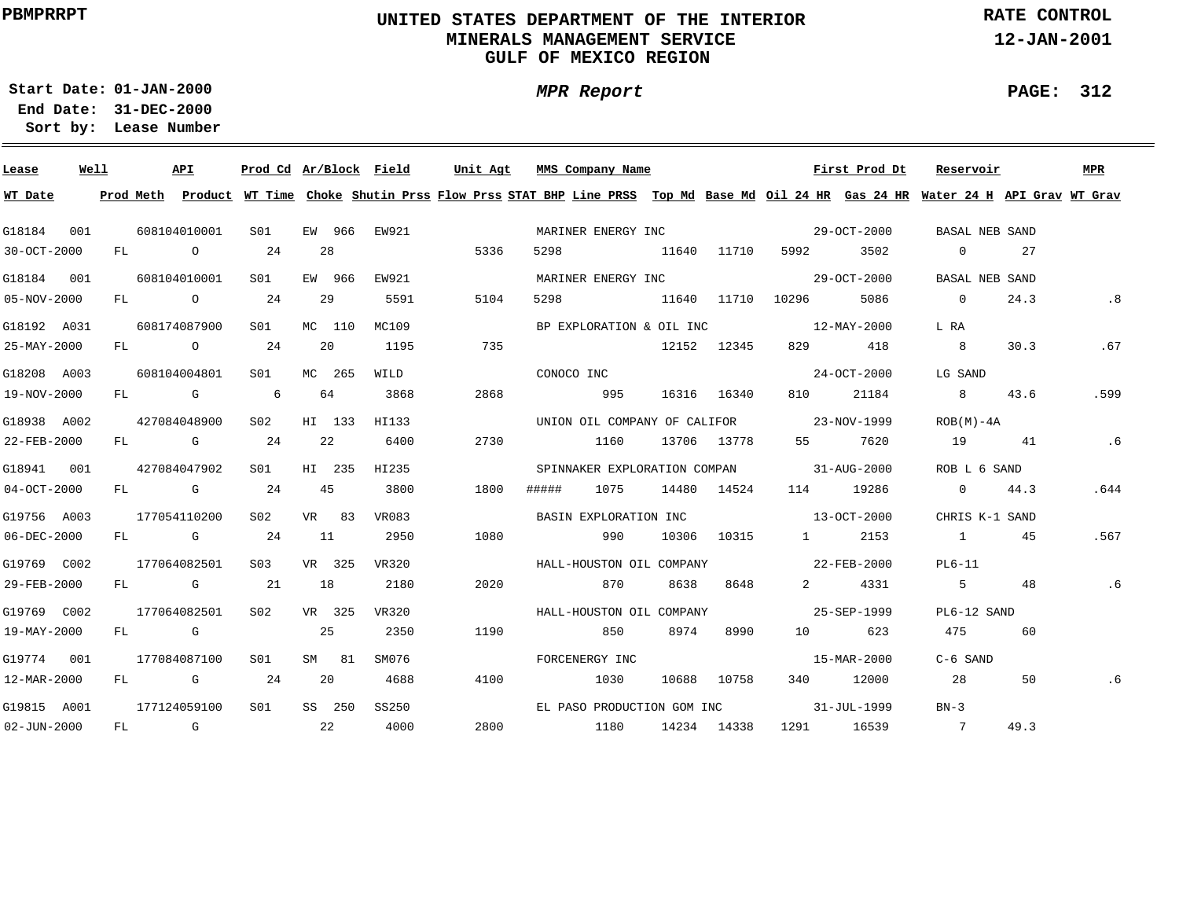# **UNITED STATES DEPARTMENT OF THE INTERIOR MINERALS MANAGEMENT SERVICEGULF OF MEXICO REGION**

**MPR Report**

**RATE CONTROL**

**12-JAN-2001**

**PAGE: 312**

÷

**01-JAN-2000Start Date:**

| Lease             | Well |    | API                                                                                                                                                                                                                            |         | Prod Cd Ar/Block Field |    |        |       | Unit Agt                                                                                                                                | MMS Company Name      |      |                              |             |                                          | First Prod Dt | Reservoir                          |      | <b>MPR</b> |
|-------------------|------|----|--------------------------------------------------------------------------------------------------------------------------------------------------------------------------------------------------------------------------------|---------|------------------------|----|--------|-------|-----------------------------------------------------------------------------------------------------------------------------------------|-----------------------|------|------------------------------|-------------|------------------------------------------|---------------|------------------------------------|------|------------|
| WT Date           |      |    |                                                                                                                                                                                                                                |         |                        |    |        |       | Prod Meth Product WT Time Choke Shutin Prss Flow Prss STAT BHP Line PRSS Top Md Base Md Oil 24 HR Gas 24 HR Water 24 H API Grav WT Grav |                       |      |                              |             |                                          |               |                                    |      |            |
| G18184            | 001  |    | 608104010001                                                                                                                                                                                                                   |         | S01                    |    | EW 966 | EW921 |                                                                                                                                         | MARINER ENERGY INC    |      |                              |             |                                          | 29-OCT-2000   | BASAL NEB SAND                     |      |            |
| 30-OCT-2000       |      | FL |                                                                                                                                                                                                                                | $\circ$ | 24                     | 28 |        |       | 5336                                                                                                                                    | 5298                  |      | 11640 11710                  |             | 5992                                     | 3502          | $\overline{0}$                     | 27   |            |
| G18184 001        |      |    | 608104010001                                                                                                                                                                                                                   |         | S01                    |    | EW 966 | EW921 |                                                                                                                                         | MARINER ENERGY INC    |      |                              |             |                                          | 29-OCT-2000   | BASAL NEB SAND                     |      |            |
| 05-NOV-2000       |      | FL |                                                                                                                                                                                                                                | $\circ$ | 24                     |    | 29     | 5591  | 5104                                                                                                                                    | 5298                  |      | 11640 11710 10296            |             |                                          | 5086          | $\overline{0}$                     | 24.3 | .8         |
| G18192 A031       |      |    | 608174087900                                                                                                                                                                                                                   |         | S <sub>01</sub>        |    | MC 110 | MC109 |                                                                                                                                         |                       |      | BP EXPLORATION & OIL INC     |             |                                          | 12-MAY-2000   | L RA                               |      |            |
| 25-MAY-2000       |      | FL | $\overline{O}$                                                                                                                                                                                                                 |         | 24                     |    | 20     | 1195  | 735                                                                                                                                     |                       |      |                              | 12152 12345 | 829                                      | 418           | 8 <sup>8</sup>                     | 30.3 | .67        |
| G18208 A003       |      |    | 608104004801                                                                                                                                                                                                                   |         | S01                    |    | MC 265 | WILD  |                                                                                                                                         | CONOCO INC            |      |                              |             |                                          | 24-OCT-2000   | LG SAND                            |      |            |
| 19-NOV-2000       |      |    | FL G                                                                                                                                                                                                                           |         | 6                      |    | 64     | 3868  | 2868                                                                                                                                    |                       | 995  |                              | 16316 16340 | 810                                      | 21184         | 8                                  | 43.6 | .599       |
| G18938 A002       |      |    | 427084048900                                                                                                                                                                                                                   |         | S02                    |    | HI 133 | HI133 |                                                                                                                                         |                       |      | UNION OIL COMPANY OF CALIFOR |             | 23-NOV-1999                              |               | $ROB(M) - 4A$                      |      |            |
| 22-FEB-2000       |      |    | FL G                                                                                                                                                                                                                           |         | 24                     | 22 |        | 6400  | 2730                                                                                                                                    |                       | 1160 |                              | 13706 13778 | 55 —                                     | 7620          | 19                                 | 41   | . 6        |
| G18941 001        |      |    | 427084047902                                                                                                                                                                                                                   |         | S01                    |    | HI 235 | HI235 |                                                                                                                                         |                       |      |                              |             | SPINNAKER EXPLORATION COMPAN 31-AUG-2000 |               | ROB L 6 SAND                       |      |            |
| $04-OCT-2000$     |      |    | FL G                                                                                                                                                                                                                           |         | 24                     | 45 |        | 3800  | 1800                                                                                                                                    | #####                 | 1075 |                              | 14480 14524 |                                          | 114 19286     | $\overline{0}$                     | 44.3 | .644       |
| G19756 A003       |      |    | 177054110200                                                                                                                                                                                                                   |         | S <sub>02</sub>        |    | VR 83  | VR083 |                                                                                                                                         | BASIN EXPLORATION INC |      |                              |             | $13 - OCT - 2000$                        |               | CHRIS K-1 SAND                     |      |            |
| 06-DEC-2000       |      |    | FL G                                                                                                                                                                                                                           |         | 24                     | 11 |        | 2950  | 1080                                                                                                                                    |                       | 990  |                              | 10306 10315 | $\sim$ 1                                 | 2153          | and the first product of the state | 45   | .567       |
| G19769 C002       |      |    | 177064082501                                                                                                                                                                                                                   |         | S <sub>0.3</sub>       |    | VR 325 | VR320 |                                                                                                                                         |                       |      | HALL-HOUSTON OIL COMPANY     |             | $22 - FEB - 2000$                        |               | $PL6-11$                           |      |            |
| 29-FEB-2000       |      |    | FL G                                                                                                                                                                                                                           |         | 21                     | 18 |        | 2180  | 2020                                                                                                                                    |                       | 870  | 8638                         | 8648        | $2 \left( \frac{1}{2} \right)$           | 4331          | $5^{\circ}$                        | 48   | .6         |
| G19769 C002       |      |    | 177064082501                                                                                                                                                                                                                   |         | S02                    |    | VR 325 | VR320 |                                                                                                                                         |                       |      | HALL-HOUSTON OIL COMPANY     |             |                                          | 25-SEP-1999   | PL6-12 SAND                        |      |            |
| 19-MAY-2000       |      | FL | and the control of the control of the control of the control of the control of the control of the control of the control of the control of the control of the control of the control of the control of the control of the cont |         |                        | 25 |        | 2350  | 1190                                                                                                                                    |                       | 850  | 8974                         | 8990        |                                          | 623           | 475                                | 60   |            |
| G19774 001        |      |    | 177084087100                                                                                                                                                                                                                   |         | S <sub>01</sub>        |    | SM 81  | SM076 |                                                                                                                                         | FORCENERGY INC        |      |                              |             |                                          | 15-MAR-2000   | C-6 SAND                           |      |            |
| 12-MAR-2000       |      | FL | <b>G</b>                                                                                                                                                                                                                       |         | 24                     | 20 |        | 4688  | 4100                                                                                                                                    |                       | 1030 |                              | 10688 10758 |                                          | 340 12000     | 28                                 | 50   | .6         |
| G19815 A001       |      |    | 177124059100                                                                                                                                                                                                                   |         | S01                    |    | SS 250 | SS250 |                                                                                                                                         |                       |      | EL PASO PRODUCTION GOM INC   |             |                                          | 31-JUL-1999   | $BN-3$                             |      |            |
| $02 - JUN - 2000$ |      | FL | and the control of the control of the control of the control of the control of the control of the control of the control of the control of the control of the control of the control of the control of the control of the cont |         | $\sim$ 22              |    |        | 4000  | 2800                                                                                                                                    |                       | 1180 |                              | 14234 14338 |                                          | 1291 16539    | $\overline{7}$                     | 49.3 |            |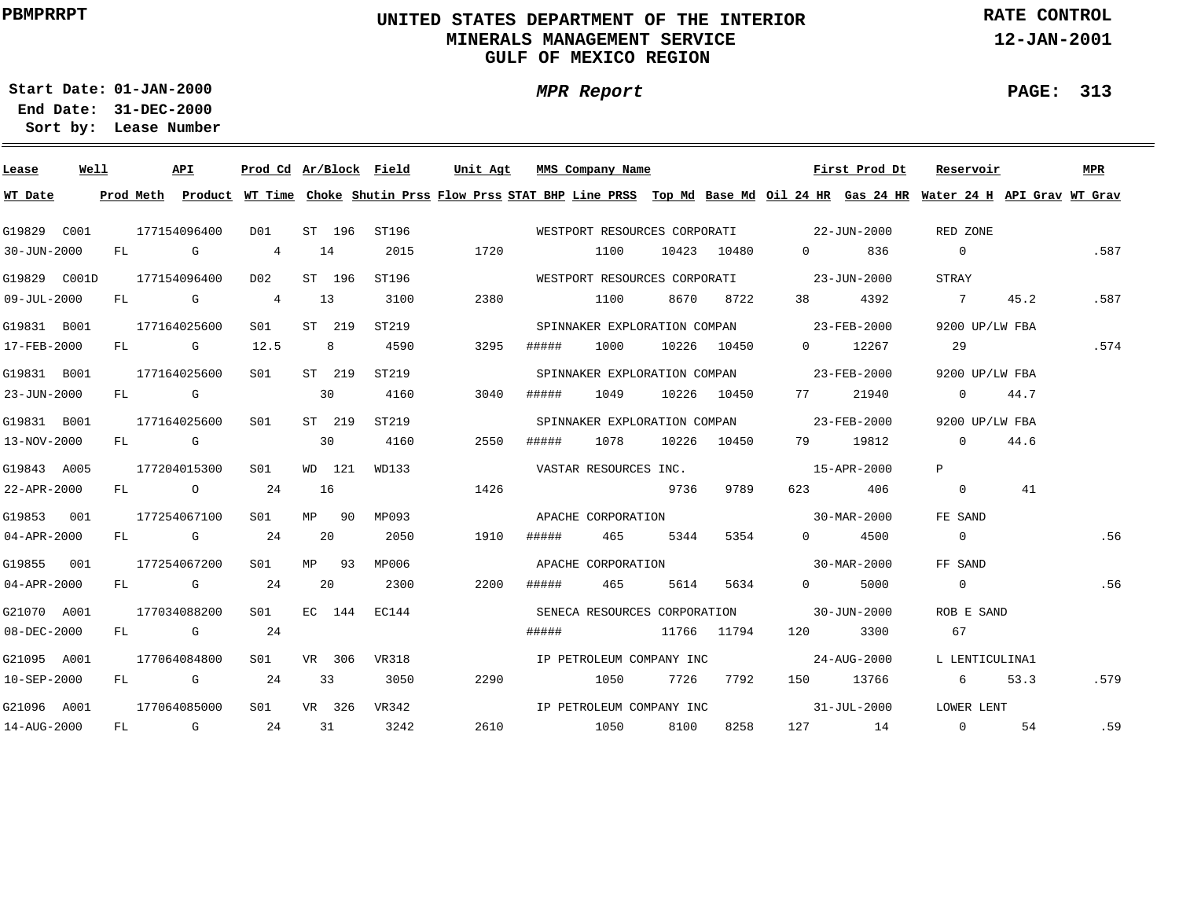# **UNITED STATES DEPARTMENT OF THE INTERIOR MINERALS MANAGEMENT SERVICEGULF OF MEXICO REGION**

**MPR Report**

**RATE CONTROL**

**12-JAN-2001**

**PAGE: 313**

**01-JAN-2000Start Date:31-DEC-2000 End Date:** 

| Lease        | Well |    | <b>API</b>                                                                                                                                                                                                                     |  |                |                |    | Prod Cd Ar/Block Field   | Unit Agt                                                                                                                      |                                          | MMS Company Name             |             |             |                                          | First Prod Dt | Reservoir      |      | <b>MPR</b> |
|--------------|------|----|--------------------------------------------------------------------------------------------------------------------------------------------------------------------------------------------------------------------------------|--|----------------|----------------|----|--------------------------|-------------------------------------------------------------------------------------------------------------------------------|------------------------------------------|------------------------------|-------------|-------------|------------------------------------------|---------------|----------------|------|------------|
| WT Date      |      |    | Prod Meth                                                                                                                                                                                                                      |  |                |                |    |                          | Product WT Time Choke Shutin Prss Flow Prss STAT BHP Line PRSS Top Md Base Md Oil 24 HR Gas 24 HR Water 24 H API Grav WT Grav |                                          |                              |             |             |                                          |               |                |      |            |
| G19829 C001  |      |    | 177154096400                                                                                                                                                                                                                   |  | D01            | ST 196         |    | ST196                    |                                                                                                                               |                                          |                              |             |             | WESTPORT RESOURCES CORPORATI 22-JUN-2000 |               | RED ZONE       |      |            |
| 30-JUN-2000  |      | FL | <b>G</b>                                                                                                                                                                                                                       |  | $\overline{4}$ | 14             |    | 2015                     | 1720                                                                                                                          |                                          | 1100                         |             | 10423 10480 | $\Omega$                                 | 836           | $\overline{0}$ |      | .587       |
| G19829 C001D |      |    | 177154096400                                                                                                                                                                                                                   |  | D02            | ST 196         |    | ST196                    |                                                                                                                               |                                          | WESTPORT RESOURCES CORPORATI |             |             | $23 - JUN - 2000$                        |               | STRAY          |      |            |
| 09-JUL-2000  |      | FL | $\mathbb G$                                                                                                                                                                                                                    |  | $\overline{4}$ | 13             |    | 3100                     | 2380                                                                                                                          |                                          | 1100                         | 8670        | 8722        | 38 — 1                                   | 4392          | $\overline{7}$ | 45.2 | .587       |
| G19831 B001  |      |    | 177164025600                                                                                                                                                                                                                   |  | S01            | ST 219         |    | ST219                    |                                                                                                                               |                                          | SPINNAKER EXPLORATION COMPAN |             |             | $23 - FEB - 2000$                        |               | 9200 UP/LW FBA |      |            |
| 17-FEB-2000  |      | FL | and the Company of the Company of the Company of the Company of the Company of the Company of the Company of the Company of the Company of the Company of the Company of the Company of the Company of the Company of the Comp |  | 12.5           | 8 <sup>8</sup> |    | 4590                     | 3295                                                                                                                          | #####                                    | 1000                         |             | 10226 10450 | $\overline{0}$                           | 12267         | 29             |      | .574       |
| G19831 B001  |      |    | 177164025600                                                                                                                                                                                                                   |  | S01            | ST 219         |    | ST219                    |                                                                                                                               |                                          | SPINNAKER EXPLORATION COMPAN |             |             | $23 - FEB - 2000$                        |               | 9200 UP/LW FBA |      |            |
| 23-JUN-2000  |      | FL | <b>G</b>                                                                                                                                                                                                                       |  |                | 30             |    | 4160                     | 3040                                                                                                                          | #####                                    | 1049                         |             | 10226 10450 | 77 —                                     | 21940         | $\Omega$       | 44.7 |            |
| G19831 B001  |      |    | 177164025600                                                                                                                                                                                                                   |  | SO1            | ST 219         |    | ST219                    |                                                                                                                               |                                          |                              |             |             | SPINNAKER EXPLORATION COMPAN 23-FEB-2000 |               | 9200 UP/LW FBA |      |            |
| 13-NOV-2000  |      | FL | <b>G</b>                                                                                                                                                                                                                       |  |                | 30             |    | 4160                     | 2550                                                                                                                          | #####                                    | 1078                         |             | 10226 10450 | 79 —                                     | 19812         | $\Omega$       | 44.6 |            |
| G19843 A005  |      |    | 177204015300                                                                                                                                                                                                                   |  | SO1            | WD 121         |    | WD133                    |                                                                                                                               |                                          | VASTAR RESOURCES INC.        |             |             | 15-APR-2000                              |               | P              |      |            |
| 22-APR-2000  |      |    | $FL$ 0                                                                                                                                                                                                                         |  | 24             | 16             |    |                          | 1426                                                                                                                          |                                          |                              | 9736        | 9789        | 623 — 100                                | 406           | $\Omega$       | 41   |            |
| G19853 001   |      |    | 177254067100                                                                                                                                                                                                                   |  | SO1            | MP             | 90 | MP093                    |                                                                                                                               |                                          | APACHE CORPORATION           |             |             | $30 - \text{MAR} - 2000$                 |               | FE SAND        |      |            |
| 04-APR-2000  |      |    | FL G                                                                                                                                                                                                                           |  | 24             | 20             |    | 2050                     | 1910                                                                                                                          | #####                                    | 465                          | 5344        | 5354        | $0 \qquad \qquad$                        | 4500          | $\overline{0}$ |      | .56        |
| G19855 001   |      |    | 177254067200                                                                                                                                                                                                                   |  | S01            | MP 93          |    | MP006                    |                                                                                                                               |                                          | APACHE CORPORATION           |             |             | $30 - \text{MAR} - 2000$                 |               | FF SAND        |      |            |
| 04-APR-2000  |      |    | FL G                                                                                                                                                                                                                           |  | 24             | 20             |    | 2300                     | 2200                                                                                                                          | #####                                    | 465                          | 5614        | 5634        | $0 \qquad \qquad$                        | 5000          | $\mathbf{0}$   |      | .56        |
| G21070 A001  |      |    | 177034088200<br>S <sub>01</sub>                                                                                                                                                                                                |  |                | EC 144         |    | EC144                    |                                                                                                                               | SENECA RESOURCES CORPORATION 30-JUN-2000 |                              |             |             |                                          | ROB E SAND    |                |      |            |
| 08-DEC-2000  |      |    | $FL$ G $G$                                                                                                                                                                                                                     |  | 24             |                |    |                          |                                                                                                                               | #####                                    |                              |             | 11766 11794 | 120                                      | 3300          | 67             |      |            |
| G21095 A001  |      |    | 177064084800                                                                                                                                                                                                                   |  | SO1            | VR 306         |    | VR318                    |                                                                                                                               |                                          | IP PETROLEUM COMPANY INC     |             |             | 24-AUG-2000                              |               | L LENTICULINA1 |      |            |
| 10-SEP-2000  |      | FL | $\mathbb G$                                                                                                                                                                                                                    |  | 24             | 33             |    | 3050                     | 2290                                                                                                                          |                                          | 1050                         | 7726        | 7792        |                                          | 150 13766     | 6              | 53.3 | .579       |
| G21096 A001  |      |    | S <sub>01</sub><br>VR 326<br>VR342<br>177064085000                                                                                                                                                                             |  |                |                |    | IP PETROLEUM COMPANY INC |                                                                                                                               |                                          |                              | 31-JUL-2000 |             | LOWER LENT                               |               |                |      |            |
| 14-AUG-2000  |      | FL | <b>G</b>                                                                                                                                                                                                                       |  | 24             | 31             |    | 3242                     | 2610                                                                                                                          |                                          | 1050                         | 8100        | 8258        |                                          | 127 14        | $\overline{0}$ | 54   | .59        |